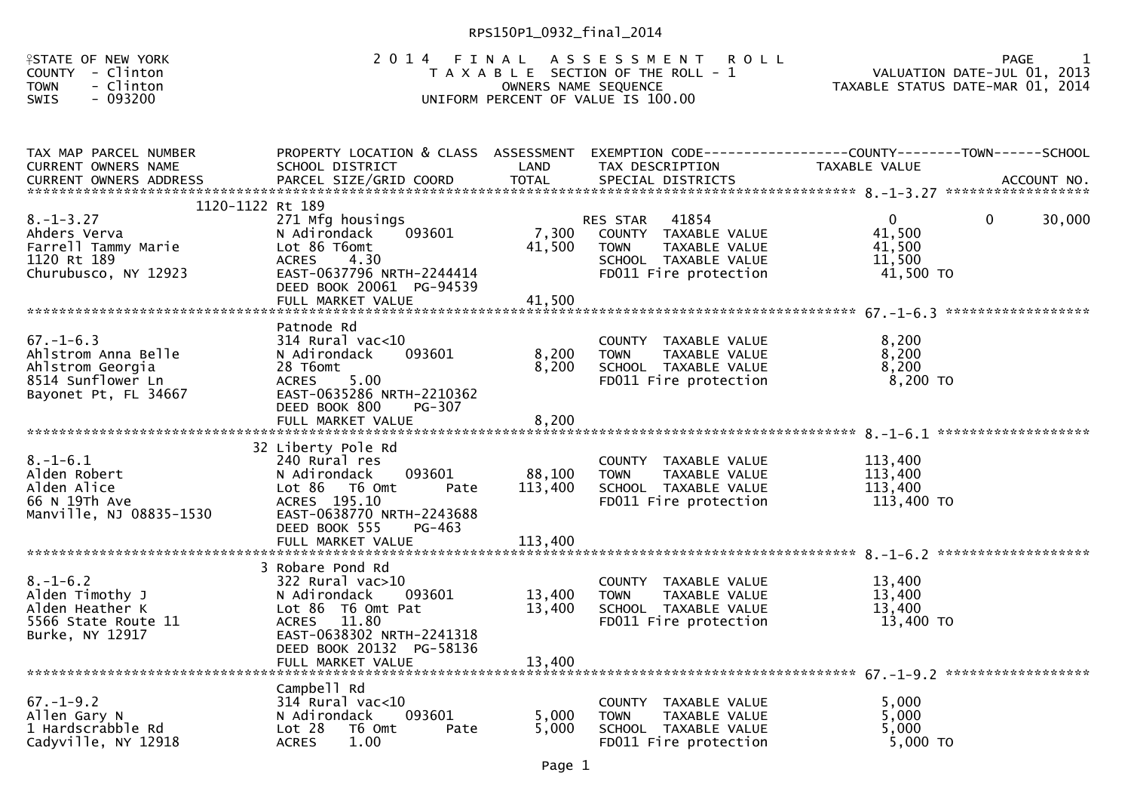| <b>FSTATE OF NEW YORK</b><br>COUNTY - Clinton<br><b>TOWN</b><br>- Clinton<br>$-093200$<br><b>SWIS</b>             | 2014                                                                                                                                                                                  | FINAL<br>OWNERS NAME SEQUENCE | A S S E S S M E N T<br><b>ROLL</b><br>T A X A B L E SECTION OF THE ROLL - 1<br>UNIFORM PERCENT OF VALUE IS 100.00          | <b>PAGE</b><br>VALUATION DATE-JUL 01, 2013<br>TAXABLE STATUS DATE-MAR 01, 2014         |  |
|-------------------------------------------------------------------------------------------------------------------|---------------------------------------------------------------------------------------------------------------------------------------------------------------------------------------|-------------------------------|----------------------------------------------------------------------------------------------------------------------------|----------------------------------------------------------------------------------------|--|
| TAX MAP PARCEL NUMBER<br><b>CURRENT OWNERS NAME</b>                                                               | PROPERTY LOCATION & CLASS ASSESSMENT<br>SCHOOL DISTRICT                                                                                                                               | LAND                          | TAX DESCRIPTION                                                                                                            | EXEMPTION CODE------------------COUNTY--------TOWN------SCHOOL<br><b>TAXABLE VALUE</b> |  |
| 1120-1122 Rt 189<br>$8. - 1 - 3.27$<br>Ahders Verva<br>Farrell Tammy Marie<br>1120 Rt 189<br>Churubusco, NY 12923 | 271 Mfg housings<br>093601<br>N Adirondack<br>Lot 86 T6omt<br>4.30<br><b>ACRES</b><br>EAST-0637796 NRTH-2244414<br>DEED BOOK 20061 PG-94539<br>FULL MARKET VALUE                      | 7,300<br>41,500<br>41.500     | 41854<br>RES STAR<br>COUNTY TAXABLE VALUE<br>TAXABLE VALUE<br><b>TOWN</b><br>SCHOOL TAXABLE VALUE<br>FD011 Fire protection | 30,000<br>$\Omega$<br>0<br>41,500<br>41,500<br>11,500<br>41,500 TO                     |  |
| $67. - 1 - 6.3$<br>Ahlstrom Anna Belle<br>Ahlstrom Georgia<br>8514 Sunflower Ln<br>Bayonet Pt, FL 34667           | Patnode Rd<br>314 Rural vac<10<br>093601<br>N Adirondack<br>28 T6omt<br>5.00<br><b>ACRES</b><br>EAST-0635286 NRTH-2210362<br>DEED BOOK 800<br>$PG-307$<br>FULL MARKET VALUE           | 8,200<br>8,200<br>8,200       | COUNTY TAXABLE VALUE<br>TAXABLE VALUE<br><b>TOWN</b><br>SCHOOL TAXABLE VALUE<br>FD011 Fire protection                      | 8.200<br>8,200<br>8,200<br>$8,200$ TO                                                  |  |
| $8. - 1 - 6.1$<br>Alden Robert<br>Alden Alice<br>66 N 19Th Ave<br>Manville, NJ 08835-1530                         | 32 Liberty Pole Rd<br>240 Rural res<br>N Adirondack<br>093601<br>$Lot 86$ T6 Omt<br>Pate<br>ACRES 195.10<br>EAST-0638770 NRTH-2243688<br>DEED BOOK 555<br>PG-463<br>FULL MARKET VALUE | 88,100<br>113,400<br>113,400  | COUNTY TAXABLE VALUE<br>TAXABLE VALUE<br><b>TOWN</b><br>SCHOOL TAXABLE VALUE<br>FD011 Fire protection                      | 113,400<br>113,400<br>113,400<br>113,400 TO                                            |  |
| $8. - 1 - 6.2$<br>Alden Timothy J<br>Alden Heather K<br>5566 State Route 11<br>Burke, NY 12917                    | 3 Robare Pond Rd<br>$322$ Rural vac $>10$<br>N Adirondack<br>093601<br>Lot 86 T6 Omt Pat<br>ACRES 11.80<br>EAST-0638302 NRTH-2241318<br>DEED BOOK 20132 PG-58136<br>FULL MARKET VALUE | 13,400<br>13,400<br>13,400    | COUNTY TAXABLE VALUE<br>TAXABLE VALUE<br><b>TOWN</b><br>SCHOOL TAXABLE VALUE<br>FD011 Fire protection                      | 13,400<br>13,400<br>13,400<br>13,400 TO                                                |  |
| $67. - 1 - 9.2$<br>Allen Gary N<br>1 Hardscrabble Rd<br>Cadyville, NY 12918                                       | Campbell Rd<br>314 Rural vac<10<br>093601<br>N Adirondack<br>Lot 28<br>T6 Omt<br>Pate<br><b>ACRES</b><br>1.00                                                                         | 5,000<br>5,000                | COUNTY TAXABLE VALUE<br><b>TOWN</b><br>TAXABLE VALUE<br>SCHOOL TAXABLE VALUE<br>FD011 Fire protection                      | 5,000<br>5.000<br>5,000<br>5,000 TO                                                    |  |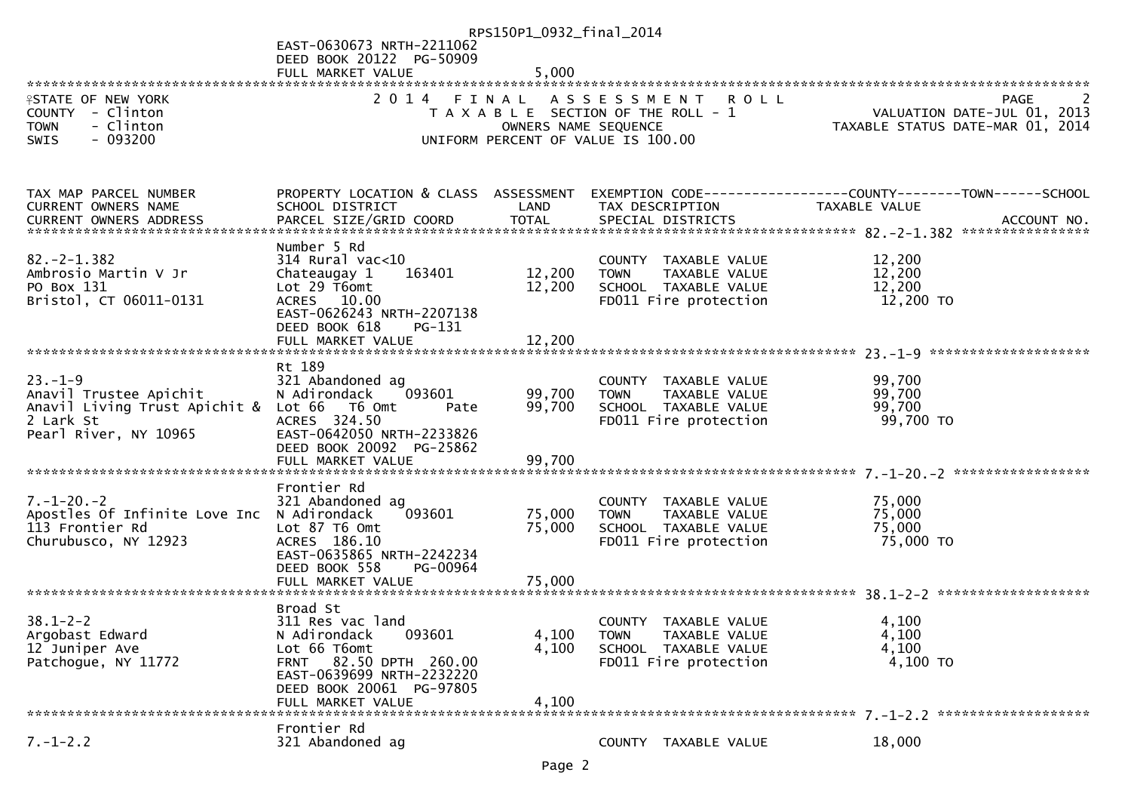|                                                                                                       | EAST-0630673 NRTH-2211062                                                                                                                                                      | RPS150P1_0932_final_2014   |                                                                                                           |                                         |                                     |
|-------------------------------------------------------------------------------------------------------|--------------------------------------------------------------------------------------------------------------------------------------------------------------------------------|----------------------------|-----------------------------------------------------------------------------------------------------------|-----------------------------------------|-------------------------------------|
|                                                                                                       | DEED BOOK 20122 PG-50909<br>FULL MARKET VALUE                                                                                                                                  | 5,000                      |                                                                                                           |                                         |                                     |
|                                                                                                       |                                                                                                                                                                                |                            |                                                                                                           |                                         |                                     |
| <b>ISTATE OF NEW YORK</b><br>COUNTY - Clinton<br><b>TOWN</b><br>- Clinton<br>$-093200$<br><b>SWIS</b> |                                                                                                                                                                                | OWNERS NAME SEQUENCE       | 2014 FINAL ASSESSMENT ROLL<br>T A X A B L E SECTION OF THE ROLL - 1<br>UNIFORM PERCENT OF VALUE IS 100.00 | TAXABLE STATUS DATE-MAR 01, 2014        | PAGE<br>VALUATION DATE-JUL 01, 2013 |
|                                                                                                       |                                                                                                                                                                                |                            |                                                                                                           |                                         |                                     |
| TAX MAP PARCEL NUMBER<br>CURRENT OWNERS NAME                                                          | PROPERTY LOCATION & CLASS ASSESSMENT<br>SCHOOL DISTRICT                                                                                                                        | LAND                       | EXEMPTION        CODE-----------------COUNTY-------TOWN------SCHOOL<br>TAX DESCRIPTION                    | TAXABLE VALUE                           | ACCOUNT NO.                         |
|                                                                                                       |                                                                                                                                                                                |                            |                                                                                                           |                                         | ****************                    |
| $82 - 2 - 1.382$<br>Ambrosio Martin V Jr<br>PO Box 131<br>Bristol, CT 06011-0131                      | Number 5 Rd<br>$314$ Rural vac<10<br>Chateaugay 1<br>163401<br>Lot 29 T6omt<br>ACRES 10.00<br>EAST-0626243 NRTH-2207138<br>DEED BOOK 618<br>PG-131<br>FULL MARKET VALUE        | 12,200<br>12,200<br>12,200 | COUNTY TAXABLE VALUE<br>TAXABLE VALUE<br><b>TOWN</b><br>SCHOOL TAXABLE VALUE<br>FD011 Fire protection     | 12,200<br>12,200<br>12,200<br>12,200 TO |                                     |
|                                                                                                       | Rt 189                                                                                                                                                                         |                            |                                                                                                           |                                         |                                     |
| $23. - 1 - 9$<br>Anavil Trustee Apichit<br>Anavil Living Trust Apichit & Lot 66                       | 321 Abandoned ag<br>093601<br>N Adirondack<br>T6 Omt<br>Pate                                                                                                                   | 99,700<br>99,700           | COUNTY TAXABLE VALUE<br>TAXABLE VALUE<br><b>TOWN</b><br>SCHOOL TAXABLE VALUE                              | 99,700<br>99,700<br>99,700              |                                     |
| 2 Lark St<br>Pearl River, NY 10965                                                                    | ACRES 324.50<br>EAST-0642050 NRTH-2233826<br>DEED BOOK 20092 PG-25862<br>FULL MARKET VALUE                                                                                     | 99,700                     | FD011 Fire protection                                                                                     | 99,700 TO                               |                                     |
|                                                                                                       |                                                                                                                                                                                |                            |                                                                                                           |                                         |                                     |
| $7. - 1 - 20. - 2$<br>Apostles Of Infinite Love Inc<br>113 Frontier Rd<br>Churubusco, NY 12923        | Frontier Rd<br>321 Abandoned ag<br>N Adirondack<br>093601<br>Lot 87 T6 Omt<br>ACRES 186.10<br>EAST-0635865 NRTH-2242234<br>DEED BOOK 558<br>PG-00964                           | 75,000<br>75,000           | COUNTY TAXABLE VALUE<br>TAXABLE VALUE<br><b>TOWN</b><br>SCHOOL TAXABLE VALUE<br>FD011 Fire protection     | 75,000<br>75,000<br>75,000<br>75,000 TO |                                     |
|                                                                                                       |                                                                                                                                                                                |                            |                                                                                                           |                                         |                                     |
| $38.1 - 2 - 2$<br>Argobast Edward<br>12 Juniper Ave<br>Patchogue, NY 11772                            | Broad St<br>311 Res vac land<br>093601<br>N Adirondack<br>Lot 66 T6omt<br>FRNT 82.50 DPTH 260.00<br>EAST-0639699 NRTH-2232220<br>DEED BOOK 20061 PG-97805<br>FULL MARKET VALUE | 4,100<br>4,100<br>4,100    | COUNTY TAXABLE VALUE<br><b>TOWN</b><br>TAXABLE VALUE<br>SCHOOL TAXABLE VALUE<br>FD011 Fire protection     | 4,100<br>4,100<br>4,100<br>4,100 TO     |                                     |
|                                                                                                       | Frontier Rd                                                                                                                                                                    |                            |                                                                                                           |                                         |                                     |
| $7. - 1 - 2.2$                                                                                        | 321 Abandoned ag                                                                                                                                                               |                            | COUNTY TAXABLE VALUE                                                                                      | 18,000                                  |                                     |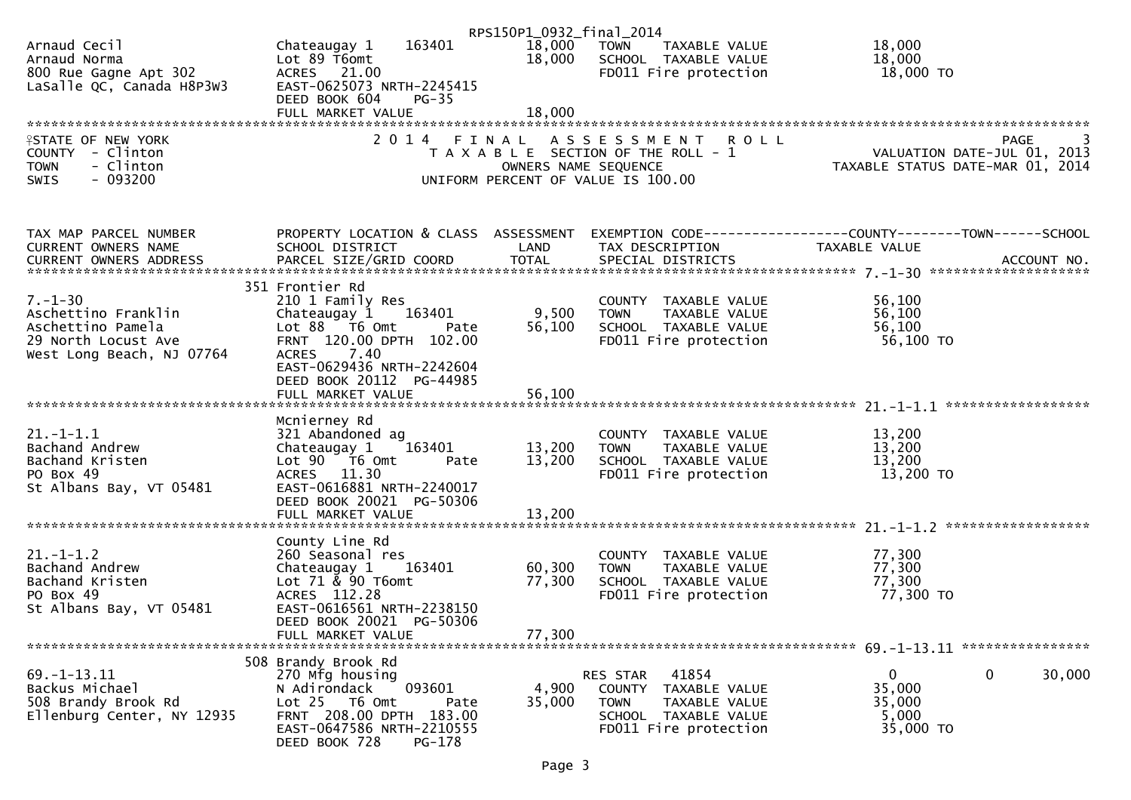|                            |                                      | RPS150P1_0932_final_2014 |                                       |                                                                 |
|----------------------------|--------------------------------------|--------------------------|---------------------------------------|-----------------------------------------------------------------|
| Arnaud Cecil               | 163401<br>Chateaugay 1               | 18,000                   | TOWN<br>TAXABLE VALUE                 | 18,000                                                          |
| Arnaud Norma               | Lot 89 T6omt                         | 18,000                   | SCHOOL TAXABLE VALUE                  | 18,000                                                          |
| 800 Rue Gagne Apt 302      | ACRES 21.00                          |                          | FD011 Fire protection                 | 18,000 TO                                                       |
| LaSalle QC, Canada H8P3W3  | EAST-0625073 NRTH-2245415            |                          |                                       |                                                                 |
|                            | DEED BOOK 604<br>$PG-35$             |                          |                                       |                                                                 |
|                            | FULL MARKET VALUE                    | 18,000                   |                                       |                                                                 |
|                            |                                      |                          |                                       |                                                                 |
| <b>ISTATE OF NEW YORK</b>  | 2014 FINAL                           |                          | ASSESSMENT ROLL                       | PAGE<br>3                                                       |
| COUNTY - Clinton           |                                      |                          | T A X A B L E SECTION OF THE ROLL - 1 | VALUATION DATE-JUL 01, 2013<br>TAXABLE STATUS DATE-MAR 01, 2014 |
| - Clinton<br><b>TOWN</b>   |                                      | OWNERS NAME SEQUENCE     |                                       |                                                                 |
| $-093200$<br><b>SWIS</b>   |                                      |                          | UNIFORM PERCENT OF VALUE IS 100.00    |                                                                 |
|                            |                                      |                          |                                       |                                                                 |
|                            |                                      |                          |                                       |                                                                 |
| TAX MAP PARCEL NUMBER      | PROPERTY LOCATION & CLASS ASSESSMENT |                          |                                       | EXEMPTION CODE------------------COUNTY--------TOWN------SCHOOL  |
| CURRENT OWNERS NAME        | SCHOOL DISTRICT                      | LAND                     | TAX DESCRIPTION                       | TAXABLE VALUE                                                   |
|                            |                                      |                          |                                       |                                                                 |
|                            |                                      |                          |                                       |                                                                 |
|                            | 351 Frontier Rd                      |                          |                                       |                                                                 |
| $7. - 1 - 30$              | 210 1 Family Res                     |                          | COUNTY TAXABLE VALUE                  | 56,100                                                          |
| Aschettino Franklin        | Chateaugay 1 163401                  | 9,500                    | TAXABLE VALUE<br><b>TOWN</b>          | 56,100                                                          |
| Aschettino Pamela          | Lot 88 T6 Omt<br>Pate                | 56,100                   | SCHOOL TAXABLE VALUE                  | 56,100                                                          |
| 29 North Locust Ave        | FRNT 120.00 DPTH 102.00              |                          | FD011 Fire protection                 | 56,100 TO                                                       |
| West Long Beach, NJ 07764  | ACRES 7.40                           |                          |                                       |                                                                 |
|                            | EAST-0629436 NRTH-2242604            |                          |                                       |                                                                 |
|                            | DEED BOOK 20112 PG-44985             |                          |                                       |                                                                 |
|                            |                                      |                          |                                       |                                                                 |
|                            |                                      |                          |                                       |                                                                 |
|                            | Mcnierney Rd                         |                          |                                       |                                                                 |
| $21. - 1 - 1.1$            | 321 Abandoned ag                     |                          | COUNTY TAXABLE VALUE                  | 13,200                                                          |
| Bachand Andrew             | Chateaugay $1$ $163401$              | 13,200                   | <b>TOWN</b><br>TAXABLE VALUE          | 13,200                                                          |
| Bachand Kristen            | Lot 90 T6 Omt<br>Pate                | 13,200                   | SCHOOL TAXABLE VALUE                  | 13,200                                                          |
| PO Box 49                  | ACRES 11.30                          |                          | FD011 Fire protection                 | 13,200 TO                                                       |
| St Albans Bay, VT 05481    | EAST-0616881 NRTH-2240017            |                          |                                       |                                                                 |
|                            | DEED BOOK 20021 PG-50306             |                          |                                       |                                                                 |
|                            | FULL MARKET VALUE                    | 13,200                   |                                       |                                                                 |
|                            |                                      |                          |                                       |                                                                 |
|                            | County Line Rd                       |                          |                                       |                                                                 |
| $21. - 1 - 1.2$            | 260 Seasonal res                     |                          | COUNTY TAXABLE VALUE                  | 77,300                                                          |
| Bachand Andrew             | Chateaugay 1<br>163401               | 60,300                   | <b>TOWN</b><br>TAXABLE VALUE          | 77,300                                                          |
| Bachand Kristen            | Lot 71 & 90 T6omt                    | 77,300                   | SCHOOL TAXABLE VALUE                  | 77,300                                                          |
| PO Box 49                  | ACRES 112.28                         |                          | FD011 Fire protection                 | 77,300 TO                                                       |
| St Albans Bay, VT 05481    | EAST-0616561 NRTH-2238150            |                          |                                       |                                                                 |
|                            | DEED BOOK 20021 PG-50306             |                          |                                       |                                                                 |
|                            | FULL MARKET VALUE                    | 77,300                   |                                       |                                                                 |
|                            |                                      |                          |                                       |                                                                 |
|                            | 508 Brandy Brook Rd                  |                          |                                       |                                                                 |
| $69. - 1 - 13.11$          | 270 Mfg housing                      |                          | RES STAR<br>41854                     | 0<br>0<br>30,000                                                |
| Backus Michael             | N Adirondack<br>093601               | 4,900                    | COUNTY TAXABLE VALUE                  | 35,000                                                          |
| 508 Brandy Brook Rd        | Lot 25 T6 Omt<br>Pate                | 35,000                   | <b>TOWN</b><br>TAXABLE VALUE          | 35,000                                                          |
| Ellenburg Center, NY 12935 | FRNT 208.00 DPTH 183.00              |                          | SCHOOL TAXABLE VALUE                  | 5,000                                                           |
|                            | EAST-0647586 NRTH-2210555            |                          | FD011 Fire protection                 | 35,000 TO                                                       |
|                            | PG-178<br>DEED BOOK 728              |                          |                                       |                                                                 |
|                            |                                      |                          |                                       |                                                                 |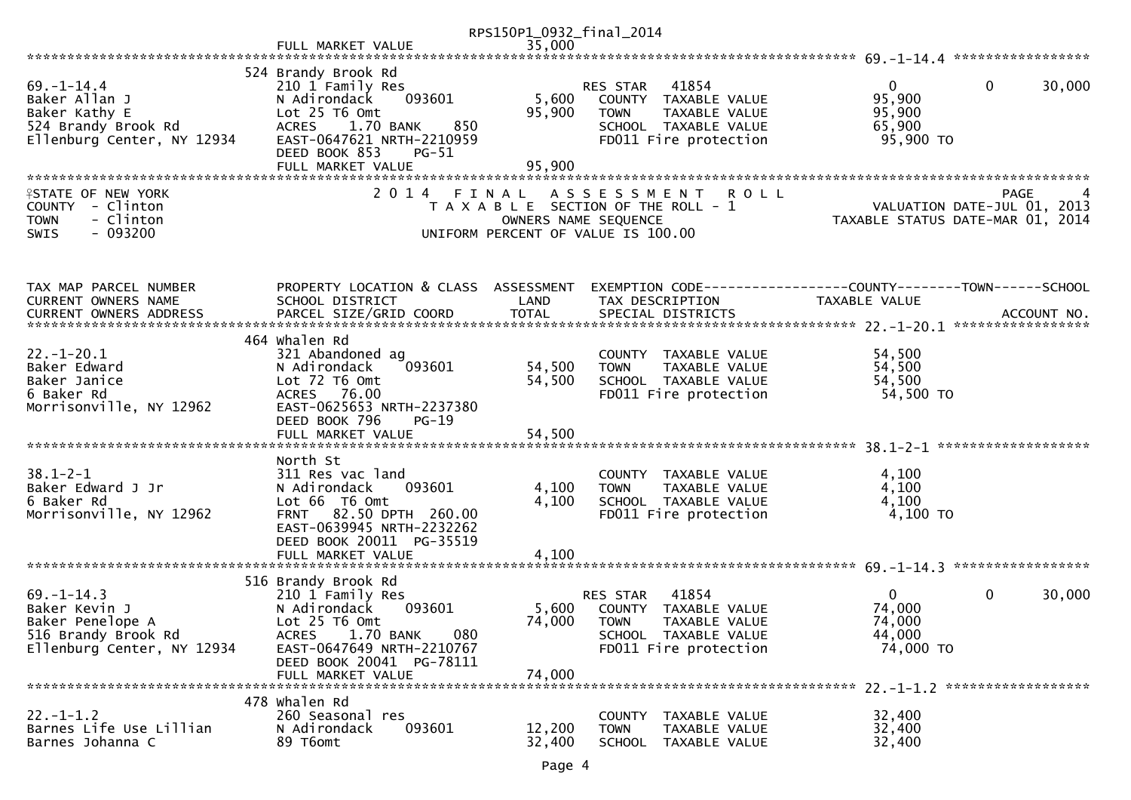|                                                                                                            |                                                                                                                                                                                                      | RPS150P1_0932_final_2014  |                                                                                                                                   |                                                                 |                        |
|------------------------------------------------------------------------------------------------------------|------------------------------------------------------------------------------------------------------------------------------------------------------------------------------------------------------|---------------------------|-----------------------------------------------------------------------------------------------------------------------------------|-----------------------------------------------------------------|------------------------|
|                                                                                                            | FULL MARKET VALUE                                                                                                                                                                                    | 35,000                    |                                                                                                                                   |                                                                 |                        |
|                                                                                                            |                                                                                                                                                                                                      |                           |                                                                                                                                   |                                                                 |                        |
| $69. - 1 - 14.4$<br>Baker Allan J<br>Baker Kathy E<br>524 Brandy Brook Rd<br>Ellenburg Center, NY 12934    | 524 Brandy Brook Rd<br>210 1 Family Res<br>093601<br>N Adirondack<br>Lot 25 T6 Omt<br>1.70 BANK<br><b>ACRES</b><br>850<br>EAST-0647621 NRTH-2210959<br>DEED BOOK 853<br>PG-51                        | 5,600<br>95,900           | 41854<br><b>RES STAR</b><br>COUNTY TAXABLE VALUE<br><b>TOWN</b><br>TAXABLE VALUE<br>SCHOOL TAXABLE VALUE<br>FD011 Fire protection | 0<br>95,900<br>95,900<br>65,900<br>95,900 TO                    | $\mathbf{0}$<br>30,000 |
|                                                                                                            | FULL MARKET VALUE                                                                                                                                                                                    | 95,900                    |                                                                                                                                   |                                                                 |                        |
| <b>ISTATE OF NEW YORK</b><br>COUNTY - Clinton<br>- Clinton<br><b>TOWN</b><br>$-093200$<br><b>SWIS</b>      | 2014 FINAL                                                                                                                                                                                           | OWNERS NAME SEQUENCE      | A S S E S S M E N T<br><b>ROLL</b><br>T A X A B L E SECTION OF THE ROLL - 1<br>UNIFORM PERCENT OF VALUE IS 100.00                 | VALUATION DATE-JUL 01, 2013<br>TAXABLE STATUS DATE-MAR 01, 2014 | PAGE<br>4              |
| TAX MAP PARCEL NUMBER<br>CURRENT OWNERS NAME                                                               | PROPERTY LOCATION & CLASS ASSESSMENT<br>SCHOOL DISTRICT                                                                                                                                              | LAND                      | EXEMPTION CODE------------------COUNTY--------TOWN------SCHOOL<br>TAX DESCRIPTION                                                 | <b>TAXABLE VALUE</b>                                            |                        |
|                                                                                                            | 464 Whalen Rd                                                                                                                                                                                        |                           |                                                                                                                                   |                                                                 |                        |
| $22. - 1 - 20.1$<br>Baker Edward<br>Baker Janice<br>6 Baker Rd<br>Morrisonville, NY 12962                  | 321 Abandoned ag<br>093601<br>N Adirondack<br>Lot 72 T6 Omt<br>ACRES 76.00<br>EAST-0625653 NRTH-2237380                                                                                              | 54,500<br>54,500          | COUNTY TAXABLE VALUE<br>TAXABLE VALUE<br><b>TOWN</b><br>SCHOOL TAXABLE VALUE<br>FD011 Fire protection                             | 54,500<br>54,500<br>54,500<br>54,500 TO                         |                        |
|                                                                                                            | DEED BOOK 796<br>$PG-19$                                                                                                                                                                             |                           |                                                                                                                                   |                                                                 |                        |
|                                                                                                            | North St                                                                                                                                                                                             |                           |                                                                                                                                   |                                                                 |                        |
| $38.1 - 2 - 1$<br>Baker Edward J Jr<br>6 Baker Rd<br>Morrisonville, NY 12962                               | 311 Res vac land<br>093601<br>N Adirondack<br>Lot 66 T6 Omt<br>FRNT 82.50 DPTH 260.00<br>EAST-0639945 NRTH-2232262<br>DEED BOOK 20011 PG-35519<br>FULL MARKET VALUE                                  | 4,100<br>4,100<br>4,100   | COUNTY TAXABLE VALUE<br>TAXABLE VALUE<br><b>TOWN</b><br>SCHOOL TAXABLE VALUE<br>FD011 Fire protection                             | 4,100<br>4,100<br>4,100<br>4,100 TO                             |                        |
|                                                                                                            |                                                                                                                                                                                                      |                           |                                                                                                                                   |                                                                 |                        |
| $69. - 1 - 14.3$<br>Baker Kevin J<br>Baker Penelope A<br>516 Brandy Brook Rd<br>Ellenburg Center, NY 12934 | 516 Brandy Brook Rd<br>210 1 Family Res<br>093601<br>N Adirondack<br>Lot 25 T6 Omt<br>1.70 BANK<br><b>ACRES</b><br>080<br>EAST-0647649 NRTH-2210767<br>DEED BOOK 20041 PG-78111<br>FULL MARKET VALUE | 5,600<br>74,000<br>74,000 | 41854<br>RES STAR<br>TAXABLE VALUE<br>COUNTY<br><b>TOWN</b><br>TAXABLE VALUE<br>SCHOOL TAXABLE VALUE<br>FD011 Fire protection     | $\overline{0}$<br>74,000<br>74,000<br>44,000<br>74,000 TO       | 0<br>30,000            |
|                                                                                                            | 478 Whalen Rd                                                                                                                                                                                        |                           |                                                                                                                                   |                                                                 |                        |
| $22. - 1 - 1.2$<br>Barnes Life Use Lillian<br>Barnes Johanna C                                             | 260 Seasonal res<br>N Adirondack<br>093601<br>89 T6omt                                                                                                                                               | 12,200<br>32,400          | COUNTY<br>TAXABLE VALUE<br>TAXABLE VALUE<br><b>TOWN</b><br><b>SCHOOL</b><br>TAXABLE VALUE                                         | 32,400<br>32,400<br>32,400                                      |                        |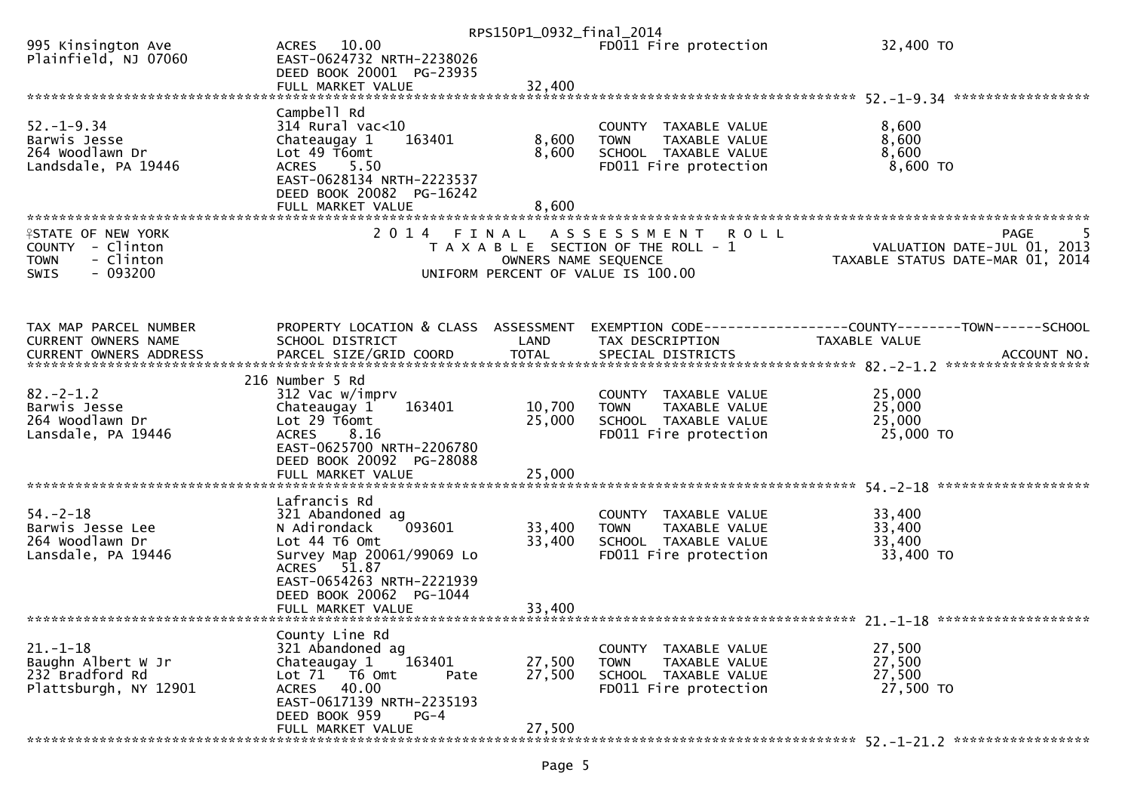|                                              |                                                       | RPS150P1_0932_final_2014 |                                                      |                                                                                                                                                                             |
|----------------------------------------------|-------------------------------------------------------|--------------------------|------------------------------------------------------|-----------------------------------------------------------------------------------------------------------------------------------------------------------------------------|
| 995 Kinsington Ave<br>Plainfield, NJ 07060   | ACRES 10.00<br>EAST-0624732 NRTH-2238026              |                          | FD011 Fire protection                                | 32,400 TO                                                                                                                                                                   |
|                                              | DEED BOOK 20001 PG-23935                              |                          |                                                      |                                                                                                                                                                             |
|                                              |                                                       |                          |                                                      |                                                                                                                                                                             |
|                                              | Campbell Rd                                           |                          |                                                      |                                                                                                                                                                             |
| $52. - 1 - 9.34$<br>Barwis Jesse             | $314$ Rural vac<10<br>163401<br>Chateaugay 1          | 8,600                    | COUNTY TAXABLE VALUE<br><b>TOWN</b><br>TAXABLE VALUE | 8,600<br>8,600                                                                                                                                                              |
| 264 Woodlawn Dr                              | Lot 49 T6omt                                          | 8,600                    | SCHOOL TAXABLE VALUE                                 | 8,600                                                                                                                                                                       |
| Landsdale, PA 19446                          | ACRES 5.50                                            |                          | FD011 Fire protection                                | 8,600 TO                                                                                                                                                                    |
|                                              | EAST-0628134 NRTH-2223537<br>DEED BOOK 20082 PG-16242 |                          |                                                      |                                                                                                                                                                             |
|                                              | FULL MARKET VALUE                                     | 8,600                    |                                                      |                                                                                                                                                                             |
|                                              |                                                       |                          |                                                      |                                                                                                                                                                             |
| <b>ISTATE OF NEW YORK</b>                    | 2014 FINAL                                            |                          | A S S E S S M E N T<br><b>ROLL</b>                   | <b>PAGE</b>                                                                                                                                                                 |
| COUNTY - Clinton<br><b>TOWN</b><br>- Clinton |                                                       | OWNERS NAME SEQUENCE     | T A X A B L E SECTION OF THE ROLL - 1                | VALUATION DATE-JUL 01, 2013<br>TAXABLE STATUS DATE-MAR 01, 2014                                                                                                             |
| $-093200$<br><b>SWIS</b>                     |                                                       |                          | UNIFORM PERCENT OF VALUE IS 100.00                   |                                                                                                                                                                             |
|                                              |                                                       |                          |                                                      |                                                                                                                                                                             |
|                                              |                                                       |                          |                                                      |                                                                                                                                                                             |
| TAX MAP PARCEL NUMBER                        | PROPERTY LOCATION & CLASS ASSESSMENT                  |                          |                                                      | EXEMPTION CODE------------------COUNTY--------TOWN------SCHOOL                                                                                                              |
| <b>CURRENT OWNERS NAME</b>                   | SCHOOL DISTRICT                                       | LAND                     | TAX DESCRIPTION                                      | TAXABLE VALUE                                                                                                                                                               |
|                                              |                                                       |                          |                                                      | -CURRENT OWNERS ADDRESS PARCEL SIZE/GRID COORD TOTAL SPECIAL DISTRICTS AND MONERS ADDRESS PARCEL SIZE/GRID COORD TOTAL SPECIAL DISTRICTS AND MONERS ADDRESS AND ACCOUNT NO. |
|                                              | 216 Number 5 Rd                                       |                          |                                                      |                                                                                                                                                                             |
| $82 - 2 - 1.2$                               | 312 Vac w/imprv                                       |                          | COUNTY TAXABLE VALUE                                 | 25,000                                                                                                                                                                      |
| Barwis Jesse<br>264 Woodlawn Dr              | 163401<br>Chateaugay 1<br>Lot 29 T6omt                | 10,700<br>25,000         | TAXABLE VALUE<br><b>TOWN</b>                         | 25,000<br>25,000                                                                                                                                                            |
| Lansdale, PA 19446                           | <b>ACRES</b><br>8.16                                  |                          | SCHOOL TAXABLE VALUE<br>FD011 Fire protection        | 25,000 TO                                                                                                                                                                   |
|                                              | EAST-0625700 NRTH-2206780                             |                          |                                                      |                                                                                                                                                                             |
|                                              | DEED BOOK 20092 PG-28088                              |                          |                                                      |                                                                                                                                                                             |
|                                              | FULL MARKET VALUE                                     | 25,000                   |                                                      |                                                                                                                                                                             |
|                                              | Lafrancis Rd                                          |                          |                                                      |                                                                                                                                                                             |
| $54. - 2 - 18$                               | 321 Abandoned ag                                      |                          | COUNTY TAXABLE VALUE                                 | 33,400                                                                                                                                                                      |
| Barwis Jesse Lee<br>264 Woodlawn Dr          | 093601<br>N Adirondack<br>Lot 44 T6 Omt               | 33,400<br>33,400         | TAXABLE VALUE<br><b>TOWN</b><br>SCHOOL TAXABLE VALUE | 33,400<br>33,400                                                                                                                                                            |
| Lansdale, PA 19446                           | Survey Map 20061/99069 Lo                             |                          | FD011 Fire protection                                | 33,400 TO                                                                                                                                                                   |
|                                              | ACRES 51.87                                           |                          |                                                      |                                                                                                                                                                             |
|                                              | EAST-0654263 NRTH-2221939                             |                          |                                                      |                                                                                                                                                                             |
|                                              | DEED BOOK 20062 PG-1044<br>FULL MARKET VALUE          | 33,400                   |                                                      |                                                                                                                                                                             |
|                                              |                                                       |                          |                                                      |                                                                                                                                                                             |
|                                              | County Line Rd                                        |                          |                                                      |                                                                                                                                                                             |
| $21. - 1 - 18$<br>Baughn Albert W Jr         | 321 Abandoned ag<br>Chateaugay 1<br>163401            | 27,500                   | COUNTY TAXABLE VALUE<br><b>TOWN</b><br>TAXABLE VALUE | 27,500<br>27,500                                                                                                                                                            |
| 232 Bradford Rd                              | Lot 71 T6 Omt<br>Pate                                 | 27,500                   | SCHOOL TAXABLE VALUE                                 | 27,500                                                                                                                                                                      |
| Plattsburgh, NY 12901                        | ACRES<br>40.00                                        |                          | FD011 Fire protection                                | 27,500 TO                                                                                                                                                                   |
|                                              | EAST-0617139 NRTH-2235193<br>DEED BOOK 959<br>$PG-4$  |                          |                                                      |                                                                                                                                                                             |
|                                              | FULL MARKET VALUE                                     | 27,500                   |                                                      |                                                                                                                                                                             |
|                                              |                                                       |                          |                                                      |                                                                                                                                                                             |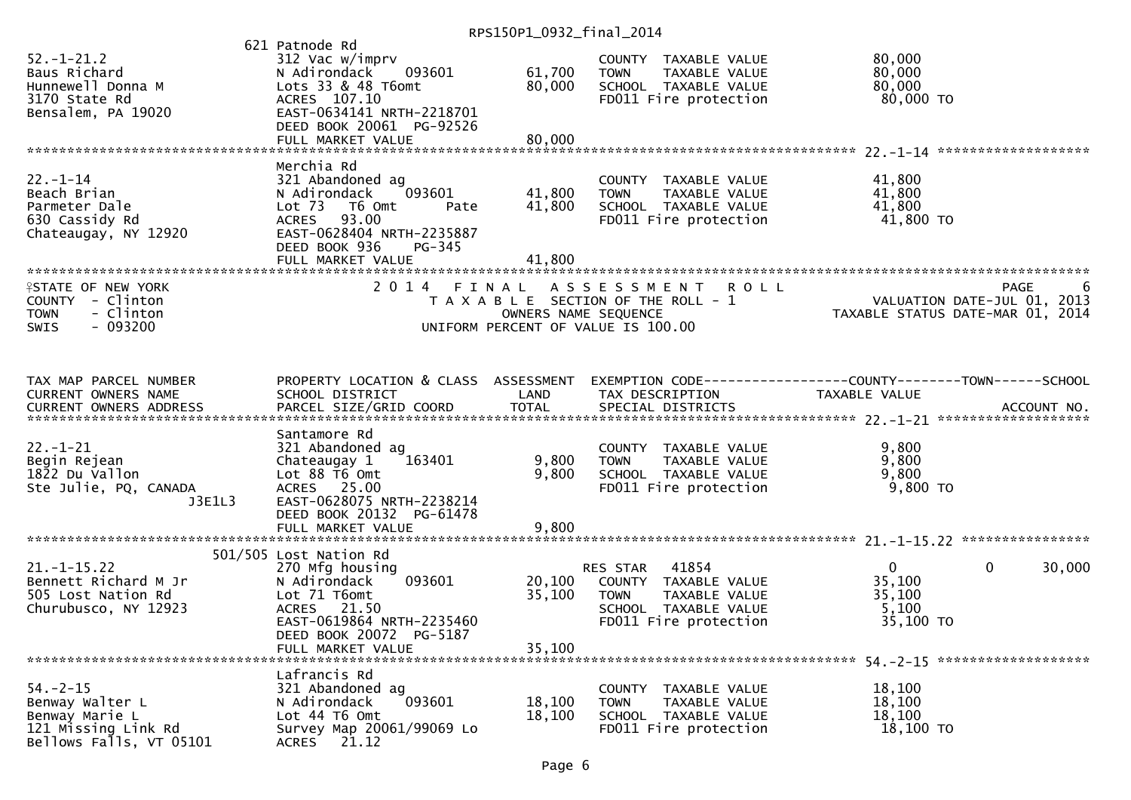|                                                                                                       |                                                                                                                                                                                             | 11.31301120022211110122017 |                                                                                                                            |                                                                 |                       |
|-------------------------------------------------------------------------------------------------------|---------------------------------------------------------------------------------------------------------------------------------------------------------------------------------------------|----------------------------|----------------------------------------------------------------------------------------------------------------------------|-----------------------------------------------------------------|-----------------------|
| $52. - 1 - 21.2$<br>Baus Richard<br>Hunnewell Donna M<br>3170 State Rd<br>Bensalem, PA 19020          | 621 Patnode Rd<br>312 Vac w/imprv<br>093601<br>N Adirondack<br>Lots 33 & 48 T6omt<br>ACRES 107.10<br>EAST-0634141 NRTH-2218701<br>DEED BOOK 20061 PG-92526<br>FULL MARKET VALUE             | 61,700<br>80,000<br>80,000 | COUNTY TAXABLE VALUE<br><b>TOWN</b><br>TAXABLE VALUE<br>SCHOOL TAXABLE VALUE<br>FD011 Fire protection                      | 80,000<br>80,000<br>80,000<br>80,000 TO                         |                       |
|                                                                                                       |                                                                                                                                                                                             |                            |                                                                                                                            |                                                                 |                       |
| $22 - 1 - 14$<br>Beach Brian<br>Parmeter Dale<br>630 Cassidy Rd<br>Chateaugay, NY 12920               | Merchia Rd<br>321 Abandoned ag<br>N Adirondack<br>093601<br>Lot <sub>73</sub><br>T6 Omt<br>Pate<br>ACRES 93.00<br>EAST-0628404 NRTH-2235887<br>DEED BOOK 936<br>PG-345<br>FULL MARKET VALUE | 41,800<br>41,800<br>41,800 | COUNTY TAXABLE VALUE<br><b>TOWN</b><br>TAXABLE VALUE<br>SCHOOL TAXABLE VALUE<br>FD011 Fire protection                      | 41,800<br>41,800<br>41,800<br>41,800 TO                         |                       |
| <b>ISTATE OF NEW YORK</b><br>COUNTY - Clinton<br>- Clinton<br><b>TOWN</b><br>$-093200$<br>SWIS        | 2 0 1 4<br>FINAL                                                                                                                                                                            | OWNERS NAME SEQUENCE       | <b>ROLL</b><br>A S S E S S M E N T<br>T A X A B L E SECTION OF THE ROLL - 1<br>UNIFORM PERCENT OF VALUE IS 100.00          | VALUATION DATE-JUL 01, 2013<br>TAXABLE STATUS DATE-MAR 01, 2014 | PAGE                  |
| TAX MAP PARCEL NUMBER<br>CURRENT OWNERS NAME                                                          | PROPERTY LOCATION & CLASS ASSESSMENT<br>SCHOOL DISTRICT                                                                                                                                     | LAND                       | EXEMPTION CODE------------------COUNTY--------TOWN------SCHOOL<br>TAX DESCRIPTION                                          | <b>TAXABLE VALUE</b>                                            |                       |
| $22. - 1 - 21$<br>Begin Rejean<br>1822 Du Vallon<br>Ste Julie, PQ, CANADA<br>J3E1L3                   | Santamore Rd<br>321 Abandoned ag<br>163401<br>Chateaugay 1<br>Lot 88 T6 Omt<br>ACRES 25.00<br>EAST-0628075 NRTH-2238214<br>DEED BOOK 20132 PG-61478                                         | 9,800<br>9,800             | COUNTY TAXABLE VALUE<br>TAXABLE VALUE<br><b>TOWN</b><br>SCHOOL TAXABLE VALUE<br>FD011 Fire protection                      | 9,800<br>9,800<br>9,800<br>9,800 TO                             |                       |
| $21. -1 - 15.22$<br>Bennett Richard M Jr<br>505 Lost Nation Rd<br>Churubusco, NY 12923                | 501/505 Lost Nation Rd<br>270 Mfg housing<br>093601<br>N Adirondack<br>Lot 71 T6omt<br>ACRES 21.50<br>EAST-0619864 NRTH-2235460<br>DEED BOOK 20072 PG-5187<br>FULL MARKET VALUE             | 20,100<br>35,100<br>35,100 | RES STAR<br>41854<br>COUNTY TAXABLE VALUE<br>TAXABLE VALUE<br><b>TOWN</b><br>SCHOOL TAXABLE VALUE<br>FD011 Fire protection | $\mathbf{0}$<br>35,100<br>35,100<br>5,100<br>35,100 TO          | $\mathbf 0$<br>30,000 |
| $54. - 2 - 15$<br>Benway Walter L<br>Benway Marie L<br>121 Missing Link Rd<br>Bellows Falls, VT 05101 | Lafrancis Rd<br>321 Abandoned ag<br>093601<br>N Adirondack<br>Lot 44 T6 Omt<br>Survey Map 20061/99069 Lo<br>21.12<br><b>ACRES</b>                                                           | 18,100<br>18,100           | COUNTY TAXABLE VALUE<br>TAXABLE VALUE<br><b>TOWN</b><br>SCHOOL TAXABLE VALUE<br>FD011 Fire protection                      | 18,100<br>18,100<br>18,100<br>18,100 TO                         |                       |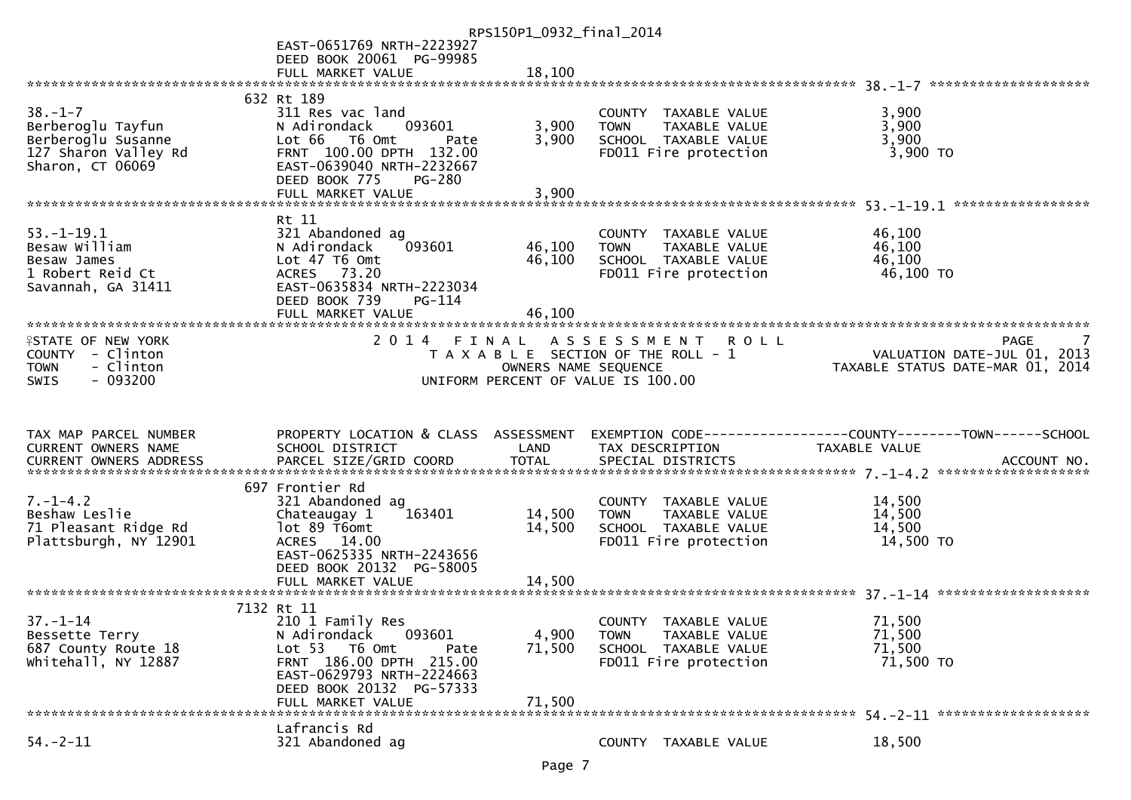|                           |                                      | RPS150P1_0932_final_2014 |                                       |                                                                 |
|---------------------------|--------------------------------------|--------------------------|---------------------------------------|-----------------------------------------------------------------|
|                           | EAST-0651769 NRTH-2223927            |                          |                                       |                                                                 |
|                           | DEED BOOK 20061 PG-99985             |                          |                                       |                                                                 |
|                           | FULL MARKET VALUE                    | 18,100                   |                                       |                                                                 |
|                           |                                      |                          |                                       |                                                                 |
|                           | 632 Rt 189                           |                          |                                       |                                                                 |
| $38. - 1 - 7$             | 311 Res vac land                     |                          | COUNTY TAXABLE VALUE                  | 3,900                                                           |
| Berberoglu Tayfun         | N Adirondack<br>093601               | 3,900                    | <b>TOWN</b><br>TAXABLE VALUE          | 3,900                                                           |
| Berberoglu Susanne        | Lot 66 T6 Omt<br>Pate                | 3,900                    | SCHOOL TAXABLE VALUE                  | 3,900                                                           |
| 127 Sharon Valley Rd      | FRNT 100.00 DPTH 132.00              |                          | FD011 Fire protection                 | 3,900 TO                                                        |
| Sharon, CT 06069          | EAST-0639040 NRTH-2232667            |                          |                                       |                                                                 |
|                           | DEED BOOK 775<br>$PG-280$            |                          |                                       |                                                                 |
|                           | FULL MARKET VALUE                    | 3,900                    |                                       |                                                                 |
|                           | Rt 11                                |                          |                                       |                                                                 |
| $53. - 1 - 19.1$          | 321 Abandoned ag                     |                          | COUNTY TAXABLE VALUE                  | 46,100                                                          |
| Besaw William             | 093601<br>N Adirondack               | 46,100                   | TAXABLE VALUE<br>TOWN                 | 46,100                                                          |
| Besaw James               | Lot 47 T6 Omt                        | 46,100                   | SCHOOL TAXABLE VALUE                  | 46,100                                                          |
| 1 Robert Reid Ct          | ACRES 73.20                          |                          | FD011 Fire protection                 | 46,100 TO                                                       |
| Savannah, GA 31411        | EAST-0635834 NRTH-2223034            |                          |                                       |                                                                 |
|                           | DEED BOOK 739<br>$PG-114$            |                          |                                       |                                                                 |
|                           | FULL MARKET VALUE                    | 46,100                   |                                       |                                                                 |
|                           |                                      |                          |                                       |                                                                 |
| <b>ISTATE OF NEW YORK</b> |                                      |                          | 2014 FINAL ASSESSMENT<br><b>ROLL</b>  | PAGE                                                            |
| COUNTY - Clinton          |                                      |                          | T A X A B L E SECTION OF THE ROLL - 1 | VALUATION DATE-JUL 01, 2013<br>TAXABLE STATUS DATE-MAR 01, 2014 |
| - Clinton<br><b>TOWN</b>  |                                      | OWNERS NAME SEQUENCE     |                                       |                                                                 |
|                           |                                      |                          |                                       |                                                                 |
| $-093200$<br><b>SWIS</b>  |                                      |                          | UNIFORM PERCENT OF VALUE IS 100.00    |                                                                 |
|                           |                                      |                          |                                       |                                                                 |
|                           |                                      |                          |                                       |                                                                 |
|                           |                                      |                          |                                       |                                                                 |
| TAX MAP PARCEL NUMBER     | PROPERTY LOCATION & CLASS ASSESSMENT |                          |                                       | EXEMPTION CODE-----------------COUNTY-------TOWN------SCHOOL    |
| CURRENT OWNERS NAME       | SCHOOL DISTRICT                      | LAND                     | TAX DESCRIPTION                       | TAXABLE VALUE                                                   |
| CURRENT OWNERS ADDRESS    |                                      |                          |                                       |                                                                 |
|                           | 697 Frontier Rd                      |                          |                                       |                                                                 |
| $7. - 1 - 4.2$            | 321 Abandoned ag                     |                          | COUNTY TAXABLE VALUE                  | 14,500                                                          |
| Beshaw Leslie             | 163401<br>Chateaugay 1               | 14,500                   | TAXABLE VALUE<br><b>TOWN</b>          | 14,500                                                          |
| 71 Pleasant Ridge Rd      | lot 89 T6omt                         | 14,500                   | SCHOOL TAXABLE VALUE                  | 14,500                                                          |
| Plattsburgh, NY 12901     | ACRES 14.00                          |                          | FD011 Fire protection                 | 14,500 TO                                                       |
|                           | EAST-0625335 NRTH-2243656            |                          |                                       |                                                                 |
|                           | DEED BOOK 20132 PG-58005             |                          |                                       |                                                                 |
|                           | FULL MARKET VALUE                    | 14,500                   |                                       |                                                                 |
|                           |                                      |                          |                                       |                                                                 |
|                           | 7132 Rt 11                           |                          |                                       |                                                                 |
| $37. - 1 - 14$            | 210 1 Family Res                     |                          | COUNTY TAXABLE VALUE                  | 71,500                                                          |
| Bessette Terry            | 093601<br>N Adirondack               | 4,900                    | <b>TOWN</b><br>TAXABLE VALUE          | 71,500                                                          |
| 687 County Route 18       | Lot 53  T6 Omt<br>Pate               | 71,500                   | SCHOOL TAXABLE VALUE                  | 71,500                                                          |
| whitehall, NY 12887       | FRNT 186.00 DPTH 215.00              |                          | FD011 Fire protection                 | 71,500 TO                                                       |
|                           | EAST-0629793 NRTH-2224663            |                          |                                       |                                                                 |
|                           | DEED BOOK 20132 PG-57333             |                          |                                       |                                                                 |
|                           | FULL MARKET VALUE                    | 71,500                   |                                       |                                                                 |
| $54. - 2 - 11$            | Lafrancis Rd<br>321 Abandoned ag     |                          |                                       |                                                                 |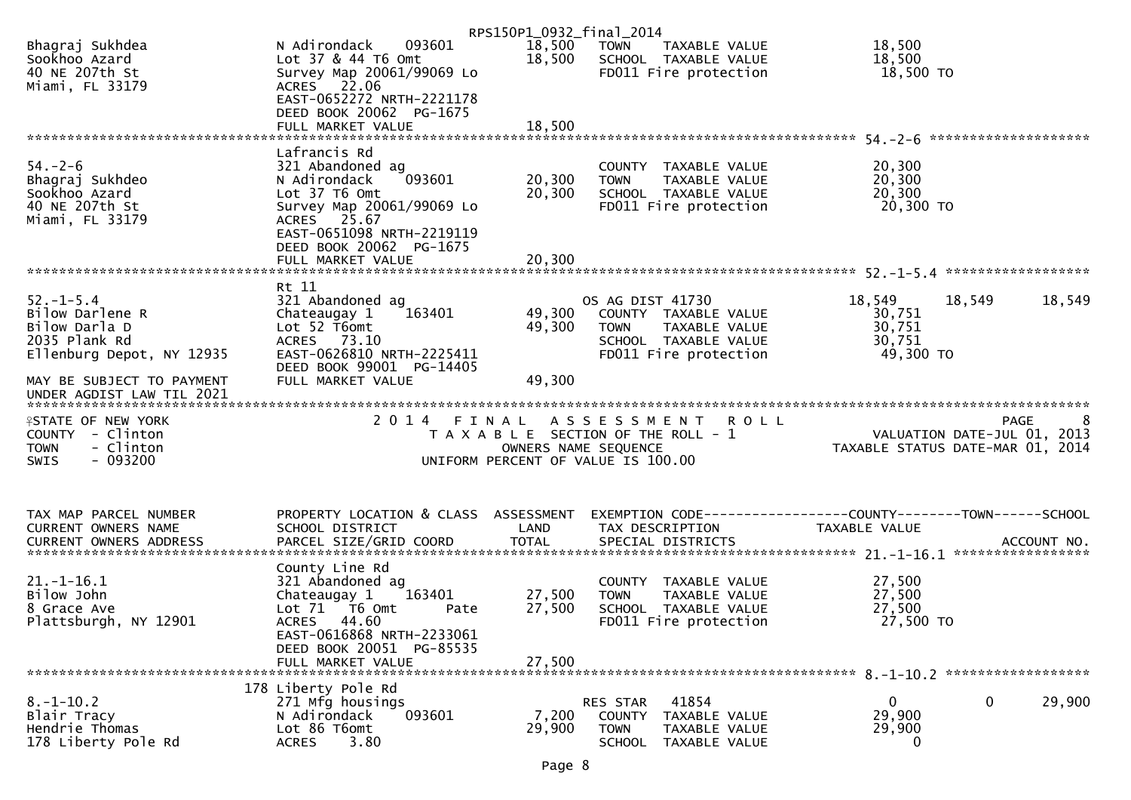|                                                                                                       |                                                                                                                                                                                     | RPS150P1_0932_final_2014   |                                                                                                                           |                                                                                     |
|-------------------------------------------------------------------------------------------------------|-------------------------------------------------------------------------------------------------------------------------------------------------------------------------------------|----------------------------|---------------------------------------------------------------------------------------------------------------------------|-------------------------------------------------------------------------------------|
| Bhagraj Sukhdea<br>Sookhoo Azard<br>40 NE 207th St<br>Miami, FL 33179                                 | 093601<br>N Adirondack<br>Lot 37 & 44 T6 Omt<br>Survey Map 20061/99069 Lo<br>ACRES 22.06                                                                                            | 18,500<br>18,500           | TAXABLE VALUE<br>TOWN<br>SCHOOL TAXABLE VALUE<br>FD011 Fire protection                                                    | 18,500<br>18,500<br>18,500 TO                                                       |
|                                                                                                       | EAST-0652272 NRTH-2221178<br>DEED BOOK 20062 PG-1675<br>FULL MARKET VALUE                                                                                                           | 18,500                     |                                                                                                                           |                                                                                     |
|                                                                                                       |                                                                                                                                                                                     |                            |                                                                                                                           |                                                                                     |
| $54. - 2 - 6$<br>Bhagraj Sukhdeo<br>Sookhoo Azard<br>40 NE 207th St<br>Miami, FL 33179                | Lafrancis Rd<br>321 Abandoned ag<br>093601<br>N Adirondack<br>Lot 37 T6 Omt<br>Survey Map 20061/99069 Lo<br>ACRES 25.67<br>EAST-0651098 NRTH-2219119                                | 20,300<br>20,300           | COUNTY TAXABLE VALUE<br>TAXABLE VALUE<br><b>TOWN</b><br>SCHOOL TAXABLE VALUE<br>FD011 Fire protection                     | 20,300<br>20,300<br>20,300<br>20,300 TO                                             |
|                                                                                                       | DEED BOOK 20062 PG-1675<br>FULL MARKET VALUE                                                                                                                                        | 20,300                     |                                                                                                                           |                                                                                     |
| $52. - 1 - 5.4$<br>Bilow Darlene R<br>Bilow Darla D<br>2035 Plank Rd<br>Ellenburg Depot, NY 12935     | Rt 11<br>321 Abandoned ag<br>163401<br>Chateaugay 1<br>Lot 52 T6omt<br>ACRES 73.10<br>EAST-0626810 NRTH-2225411                                                                     | 49,300<br>49,300           | OS AG DIST 41730<br>COUNTY TAXABLE VALUE<br>TAXABLE VALUE<br><b>TOWN</b><br>SCHOOL TAXABLE VALUE<br>FD011 Fire protection | 18,549<br>18,549<br>18,549<br>30,751<br>30,751<br>30,751<br>49,300 TO               |
| MAY BE SUBJECT TO PAYMENT                                                                             | DEED BOOK 99001 PG-14405<br>FULL MARKET VALUE                                                                                                                                       | 49,300                     |                                                                                                                           |                                                                                     |
| <b>ISTATE OF NEW YORK</b><br>COUNTY - Clinton<br>- Clinton<br><b>TOWN</b><br>$-093200$<br><b>SWIS</b> | 2014 FINAL                                                                                                                                                                          | OWNERS NAME SEQUENCE       | A S S E S S M E N T R O L L<br>T A X A B L E SECTION OF THE ROLL - 1<br>UNIFORM PERCENT OF VALUE IS 100.00                | <b>PAGE</b><br>8<br>VALUATION DATE-JUL 01, 2013<br>TAXABLE STATUS DATE-MAR 01, 2014 |
| TAX MAP PARCEL NUMBER                                                                                 | PROPERTY LOCATION & CLASS ASSESSMENT                                                                                                                                                |                            |                                                                                                                           | EXEMPTION CODE-----------------COUNTY-------TOWN------SCHOOL                        |
| CURRENT OWNERS NAME<br><b>CURRENT OWNERS ADDRESS</b>                                                  | SCHOOL DISTRICT<br>PARCEL SIZE/GRID COORD                                                                                                                                           | LAND<br><b>TOTAL</b>       | TAX DESCRIPTION<br>SPECIAL DISTRICTS                                                                                      | TAXABLE VALUE<br>ACCOUNT NO.                                                        |
| $21. - 1 - 16.1$<br>Bilow John<br>8 Grace Ave<br>Plattsburgh, NY 12901                                | County Line Rd<br>321 Abandoned ag<br>Chateaugay 1<br>163401<br>Lot 71  T6 0mt<br>Pate<br>ACRES 44.60<br>EAST-0616868 NRTH-2233061<br>DEED BOOK 20051 PG-85535<br>FULL MARKET VALUE | 27,500<br>27,500<br>27,500 | COUNTY TAXABLE VALUE<br>TAXABLE VALUE<br><b>TOWN</b><br>SCHOOL TAXABLE VALUE<br>FD011 Fire protection                     | 27,500<br>27,500<br>27,500<br>27,500 TO                                             |
|                                                                                                       |                                                                                                                                                                                     |                            |                                                                                                                           |                                                                                     |
| $8. -1 - 10.2$<br>Blair Tracy<br>Hendrie Thomas<br>178 Liberty Pole Rd                                | 178 Liberty Pole Rd<br>271 Mfg housings<br>093601<br>N Adirondack<br>Lot 86 T6omt<br>3.80<br><b>ACRES</b>                                                                           | 7,200<br>29,900            | 41854<br>RES STAR<br>COUNTY<br>TAXABLE VALUE<br><b>TOWN</b><br>TAXABLE VALUE<br><b>SCHOOL</b><br>TAXABLE VALUE            | 0<br>29,900<br>0<br>29,900<br>29,900<br>0                                           |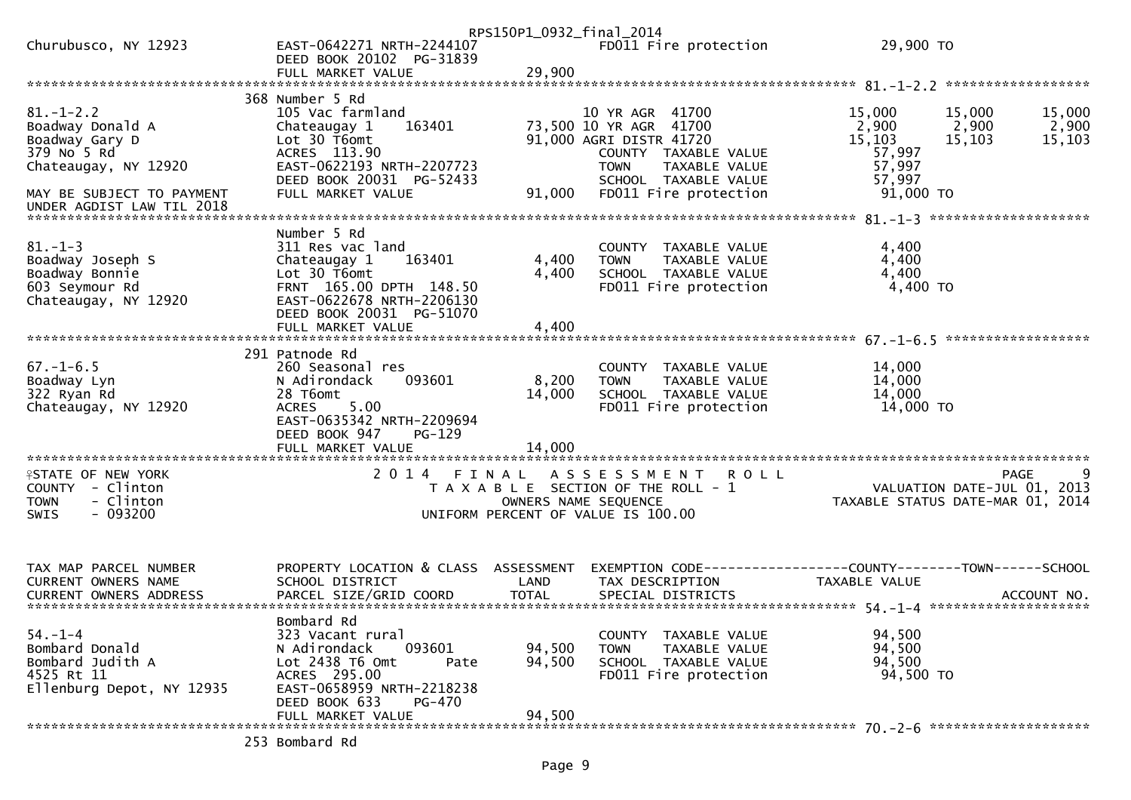|                                              |                                                                            | RPS150P1_0932_final_2014 |                                                               |                                                                                           |                 |
|----------------------------------------------|----------------------------------------------------------------------------|--------------------------|---------------------------------------------------------------|-------------------------------------------------------------------------------------------|-----------------|
| Churubusco, NY 12923                         | EAST-0642271 NRTH-2244107<br>DEED BOOK 20102 PG-31839<br>FULL MARKET VALUE | 29,900                   | FD011 Fire protection                                         | 29,900 TO                                                                                 |                 |
|                                              |                                                                            |                          |                                                               |                                                                                           |                 |
|                                              | 368 Number 5 Rd                                                            |                          |                                                               |                                                                                           |                 |
| $81. - 1 - 2.2$                              | 105 Vac farmland<br>163401                                                 |                          | 10 YR AGR 41700                                               | 15,000<br>15,000<br>2,900                                                                 | 15,000          |
| Boadway Donald A<br>Boadway Gary D           | Chateaugay 1<br>Lot 30 T6omt                                               |                          | 73,500 10 YR AGR 41700<br>91,000 AGRI DISTR 41720             | 2,900<br>15,103<br>15,103                                                                 | 2,900<br>15,103 |
| 379 No 5 Rd                                  | ACRES 113.90                                                               |                          | COUNTY TAXABLE VALUE                                          | 57,997                                                                                    |                 |
| Chateaugay, NY 12920                         | EAST-0622193 NRTH-2207723                                                  |                          | <b>TOWN</b><br>TAXABLE VALUE                                  | 57,997                                                                                    |                 |
| MAY BE SUBJECT TO PAYMENT                    | DEED BOOK 20031 PG-52433<br>FULL MARKET VALUE                              | 91,000                   | SCHOOL TAXABLE VALUE<br>FD011 Fire protection                 | 57,997<br>91,000 TO                                                                       |                 |
| UNDER AGDIST LAW TIL 2018                    |                                                                            |                          |                                                               |                                                                                           |                 |
|                                              | Number 5 Rd                                                                |                          |                                                               |                                                                                           |                 |
| $81. - 1 - 3$                                | 311 Res vac land                                                           |                          | COUNTY TAXABLE VALUE                                          | 4,400                                                                                     |                 |
| Boadway Joseph S                             | Chateaugay 1<br>163401                                                     | 4,400                    | <b>TOWN</b><br>TAXABLE VALUE                                  | 4,400                                                                                     |                 |
| Boadway Bonnie                               | Lot 30 T6omt                                                               | 4,400                    | SCHOOL TAXABLE VALUE                                          | 4,400                                                                                     |                 |
| 603 Seymour Rd<br>Chateaugay, NY 12920       | FRNT 165.00 DPTH 148.50<br>EAST-0622678 NRTH-2206130                       |                          | FD011 Fire protection                                         | 4,400 TO                                                                                  |                 |
|                                              | DEED BOOK 20031 PG-51070                                                   |                          |                                                               |                                                                                           |                 |
|                                              | FULL MARKET VALUE                                                          | 4,400                    |                                                               |                                                                                           |                 |
|                                              | 291 Patnode Rd                                                             |                          |                                                               |                                                                                           |                 |
| $67. - 1 - 6.5$                              | 260 Seasonal res                                                           |                          | COUNTY TAXABLE VALUE                                          | 14,000                                                                                    |                 |
| Boadway Lyn<br>322 Ryan Rd                   | 093601<br>N Adirondack<br>28 T6omt                                         | 8,200<br>14,000          | <b>TOWN</b><br>TAXABLE VALUE<br>SCHOOL TAXABLE VALUE          | 14,000<br>14,000                                                                          |                 |
| Chateaugay, NY 12920                         | 5.00<br><b>ACRES</b>                                                       |                          | FD011 Fire protection                                         | 14,000 TO                                                                                 |                 |
|                                              | EAST-0635342 NRTH-2209694                                                  |                          |                                                               |                                                                                           |                 |
|                                              | DEED BOOK 947<br>$PG-129$                                                  |                          |                                                               |                                                                                           |                 |
|                                              |                                                                            |                          |                                                               |                                                                                           |                 |
| <b>ISTATE OF NEW YORK</b>                    | 2014 FINAL                                                                 |                          | A S S E S S M E N T<br><b>ROLL</b>                            | <b>PAGE</b>                                                                               | 9               |
| COUNTY - Clinton<br><b>TOWN</b><br>- Clinton |                                                                            |                          | T A X A B L E SECTION OF THE ROLL - 1<br>OWNERS NAME SEQUENCE | TANE<br>VALUATION DATE-JUL 01,<br>TAYARLE STATUS PIRE<br>TAXABLE STATUS DATE-MAR 01, 2014 | 2013            |
| $-093200$<br><b>SWIS</b>                     |                                                                            |                          | UNIFORM PERCENT OF VALUE IS 100.00                            |                                                                                           |                 |
|                                              |                                                                            |                          |                                                               |                                                                                           |                 |
|                                              |                                                                            |                          |                                                               |                                                                                           |                 |
| TAX MAP PARCEL NUMBER                        | PROPERTY LOCATION & CLASS ASSESSMENT                                       |                          |                                                               | EXEMPTION CODE------------------COUNTY--------TOWN------SCHOOL                            |                 |
| CURRENT OWNERS NAME                          | SCHOOL DISTRICT                                                            | LAND                     | TAX DESCRIPTION                                               | TAXABLE VALUE                                                                             |                 |
|                                              |                                                                            |                          |                                                               |                                                                                           |                 |
| $54. - 1 - 4$                                | Bombard Rd                                                                 |                          | COUNTY TAXABLE VALUE                                          | 94,500                                                                                    |                 |
| Bombard Donald                               | 323 Vacant rural<br>093601<br>N Adirondack                                 | 94,500                   | TAXABLE VALUE<br><b>TOWN</b>                                  | 94,500                                                                                    |                 |
| Bombard Judith A                             | Lot 2438 T6 Omt<br>Pate                                                    | 94,500                   | SCHOOL TAXABLE VALUE                                          | 94,500                                                                                    |                 |
| 4525 Rt 11                                   | ACRES 295.00                                                               |                          | FD011 Fire protection                                         | 94,500 TO                                                                                 |                 |
| Ellenburg Depot, NY 12935                    | EAST-0658959 NRTH-2218238<br>DEED BOOK 633<br><b>PG-470</b>                |                          |                                                               |                                                                                           |                 |
|                                              | FULL MARKET VALUE                                                          | 94,500                   |                                                               |                                                                                           |                 |
|                                              | 253 Bombard Rd                                                             |                          |                                                               |                                                                                           |                 |
|                                              |                                                                            |                          |                                                               |                                                                                           |                 |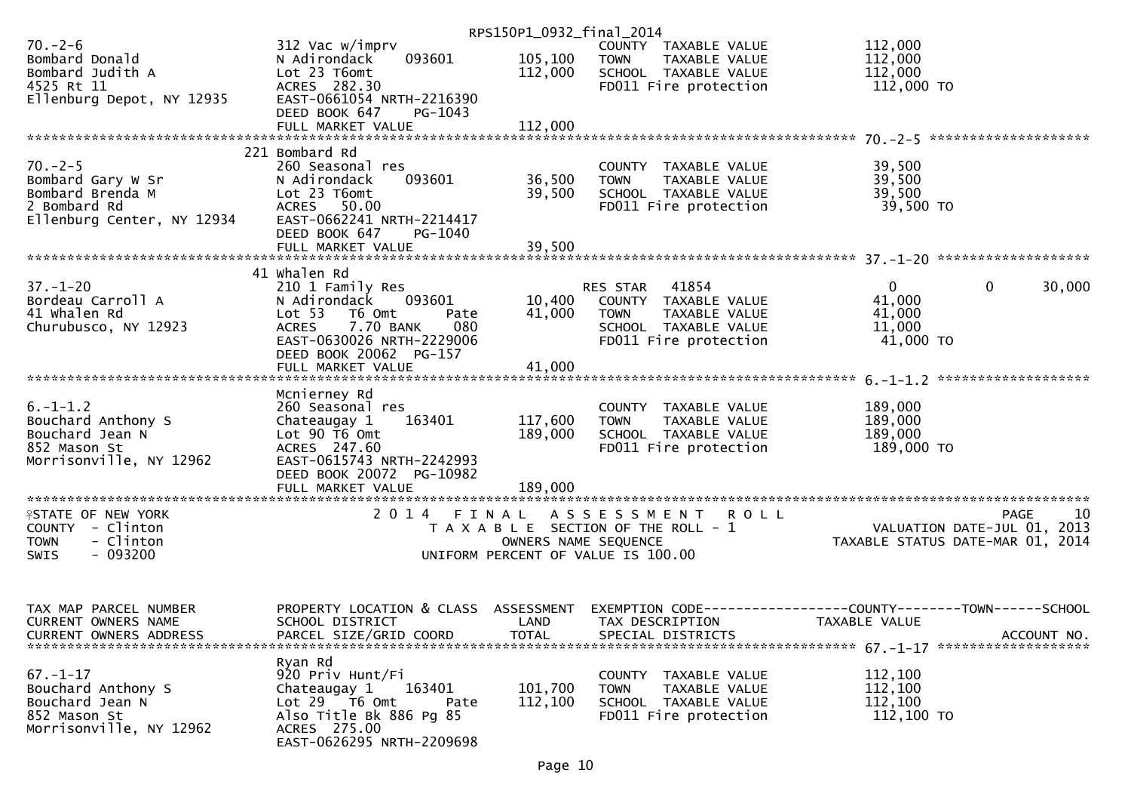|                                       |                                                       | RPS150P1_0932_final_2014 |                                                      |                                                |                   |
|---------------------------------------|-------------------------------------------------------|--------------------------|------------------------------------------------------|------------------------------------------------|-------------------|
| $70. - 2 - 6$                         | 312 Vac w/imprv                                       |                          | COUNTY TAXABLE VALUE                                 | 112,000                                        |                   |
| Bombard Donald                        | 093601<br>N Adirondack                                | 105,100                  | <b>TOWN</b><br>TAXABLE VALUE                         | 112,000                                        |                   |
| Bombard Judith A                      | Lot 23 T6omt                                          | 112,000                  | SCHOOL TAXABLE VALUE                                 | 112,000                                        |                   |
| 4525 Rt 11                            | ACRES 282.30                                          |                          | FD011 Fire protection                                | 112,000 TO                                     |                   |
| Ellenburg Depot, NY 12935             | EAST-0661054 NRTH-2216390                             |                          |                                                      |                                                |                   |
|                                       | DEED BOOK 647<br>PG-1043                              |                          |                                                      |                                                |                   |
|                                       | FULL MARKET VALUE                                     | 112,000                  |                                                      |                                                |                   |
|                                       |                                                       |                          |                                                      |                                                |                   |
|                                       | 221 Bombard Rd                                        |                          |                                                      |                                                |                   |
| $70. -2 - 5$                          | 260 Seasonal res                                      |                          | COUNTY TAXABLE VALUE                                 | 39,500                                         |                   |
| Bombard Gary W Sr<br>Bombard Brenda M | N Adirondack<br>093601<br>Lot 23 T6omt                | 36,500<br>39,500         | TAXABLE VALUE<br><b>TOWN</b><br>SCHOOL TAXABLE VALUE | 39,500                                         |                   |
| 2 Bombard Rd                          | ACRES 50.00                                           |                          | FD011 Fire protection                                | 39,500<br>39,500 TO                            |                   |
| Ellenburg Center, NY 12934            | EAST-0662241 NRTH-2214417                             |                          |                                                      |                                                |                   |
|                                       | DEED BOOK 647<br>PG-1040                              |                          |                                                      |                                                |                   |
|                                       |                                                       |                          |                                                      |                                                |                   |
|                                       |                                                       |                          |                                                      |                                                |                   |
|                                       | 41 whalen Rd                                          |                          |                                                      |                                                |                   |
| $37. - 1 - 20$                        | 210 1 Family Res                                      |                          | 41854<br>RES STAR                                    | $\overline{0}$<br>$\mathbf 0$                  | 30,000            |
| Bordeau Carroll A                     | 093601<br>N Adirondack                                | 10,400                   | COUNTY TAXABLE VALUE                                 | 41,000                                         |                   |
| 41 Whalen Rd                          | Lot <sub>53</sub><br>T6 Omt<br>Pate                   | 41,000                   | TAXABLE VALUE<br><b>TOWN</b>                         | 41,000                                         |                   |
| Churubusco, NY 12923                  | <b>ACRES</b><br>7.70 BANK<br>080                      |                          | SCHOOL TAXABLE VALUE                                 | 11,000                                         |                   |
|                                       | EAST-0630026 NRTH-2229006                             |                          | FD011 Fire protection                                | 41,000 TO                                      |                   |
|                                       | DEED BOOK 20062 PG-157                                |                          |                                                      |                                                |                   |
|                                       | FULL MARKET VALUE                                     | 41,000                   |                                                      |                                                |                   |
|                                       |                                                       |                          |                                                      |                                                |                   |
|                                       | Mcnierney Rd                                          |                          |                                                      |                                                |                   |
| $6. -1 - 1.2$                         | 260 Seasonal res                                      |                          | COUNTY TAXABLE VALUE                                 | 189,000                                        |                   |
| Bouchard Anthony S                    | Chateaugay 1<br>163401                                | 117,600                  | TAXABLE VALUE<br><b>TOWN</b>                         | 189,000                                        |                   |
| Bouchard Jean N                       | Lot 90 T6 Omt                                         | 189,000                  | SCHOOL TAXABLE VALUE                                 | 189,000                                        |                   |
| 852 Mason St                          | ACRES 247.60                                          |                          | FD011 Fire protection                                | 189,000 TO                                     |                   |
| Morrisonville, NY 12962               | EAST-0615743 NRTH-2242993<br>DEED BOOK 20072 PG-10982 |                          |                                                      |                                                |                   |
|                                       |                                                       |                          |                                                      |                                                |                   |
|                                       |                                                       |                          |                                                      |                                                |                   |
| <b>ISTATE OF NEW YORK</b>             |                                                       |                          | 2014 FINAL ASSESSMENT ROLL                           |                                                | 10<br><b>PAGE</b> |
| COUNTY - Clinton                      |                                                       |                          | T A X A B L E SECTION OF THE ROLL - 1                | VALUATION DATE-JUL 01, 2013                    |                   |
| - Clinton<br><b>TOWN</b>              |                                                       | OWNERS NAME SEQUENCE     |                                                      | TAXABLE STATUS DATE-MAR 01, 2014               |                   |
| $-093200$<br>SWIS                     |                                                       |                          | UNIFORM PERCENT OF VALUE IS 100.00                   |                                                |                   |
|                                       |                                                       |                          |                                                      |                                                |                   |
|                                       |                                                       |                          |                                                      |                                                |                   |
|                                       |                                                       |                          |                                                      |                                                |                   |
| TAX MAP PARCEL NUMBER                 | PROPERTY LOCATION & CLASS                             | ASSESSMENT               | EXEMPTION CODE--                                     | ----------------COUNTY--------TOWN------SCHOOL |                   |
| CURRENT OWNERS NAME                   | SCHOOL DISTRICT                                       | LAND                     | TAX DESCRIPTION                                      | TAXABLE VALUE                                  |                   |
| <b>CURRENT OWNERS ADDRESS</b>         | PARCEL SIZE/GRID COORD                                | <b>TOTAL</b>             | SPECIAL DISTRICTS                                    |                                                | ACCOUNT NO.       |
|                                       |                                                       |                          |                                                      |                                                |                   |
|                                       | Ryan Rd                                               |                          |                                                      |                                                |                   |
| $67. - 1 - 17$                        | 920 Priv Hunt/Fi                                      |                          | COUNTY<br>TAXABLE VALUE                              | 112,100                                        |                   |
| Bouchard Anthony S                    | 163401<br>Chateaugay 1                                | 101,700                  | <b>TOWN</b><br>TAXABLE VALUE                         | 112,100                                        |                   |
| Bouchard Jean N<br>852 Mason St       | Lot 29 T6 Omt<br>Pate<br>Also Title Bk 886 Pg 85      | 112,100                  | SCHOOL TAXABLE VALUE<br>FD011 Fire protection        | 112,100<br>112,100 TO                          |                   |
| Morrisonville, NY 12962               | ACRES 275.00                                          |                          |                                                      |                                                |                   |
|                                       | EAST-0626295 NRTH-2209698                             |                          |                                                      |                                                |                   |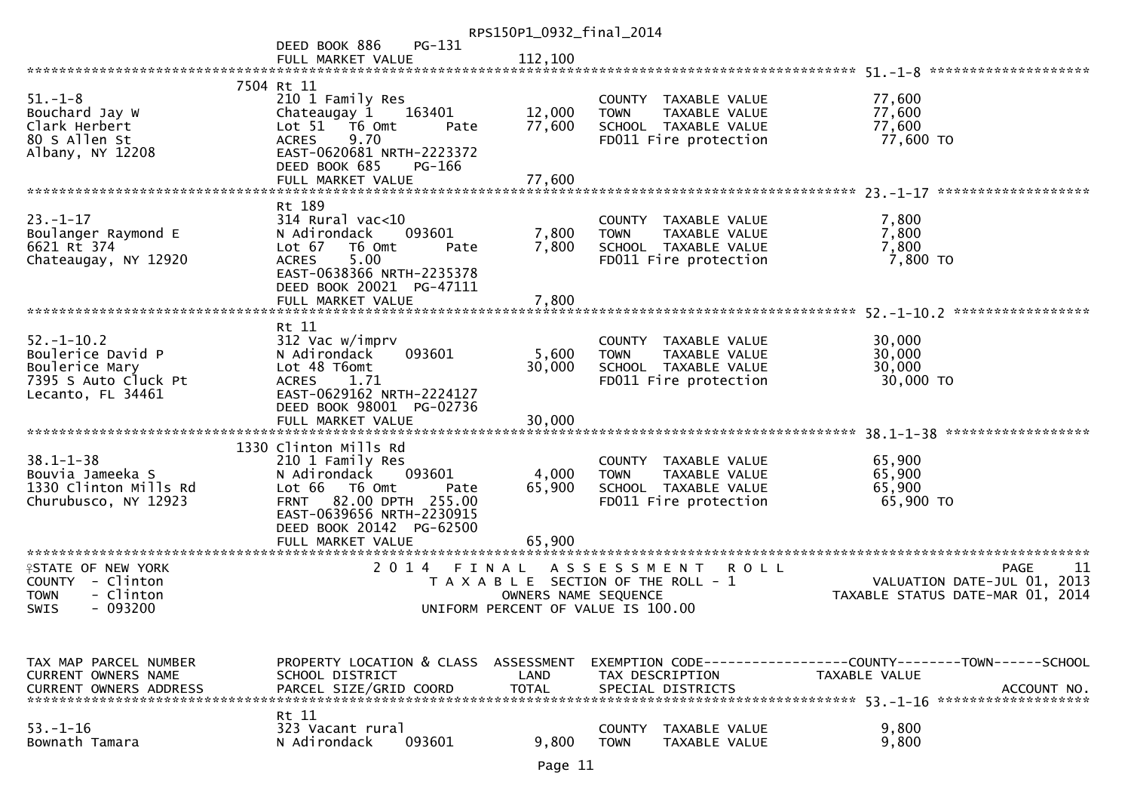| RPS150P1_0932_final_2014                                                                                       |                                                                                                                                                                                                                                             |                                    |                                                                                                       |                                                                                                |  |  |
|----------------------------------------------------------------------------------------------------------------|---------------------------------------------------------------------------------------------------------------------------------------------------------------------------------------------------------------------------------------------|------------------------------------|-------------------------------------------------------------------------------------------------------|------------------------------------------------------------------------------------------------|--|--|
|                                                                                                                | PG-131<br>DEED BOOK 886<br>FULL MARKET VALUE                                                                                                                                                                                                | 112,100                            |                                                                                                       |                                                                                                |  |  |
|                                                                                                                |                                                                                                                                                                                                                                             |                                    |                                                                                                       |                                                                                                |  |  |
| $51 - 1 - 8$<br>Bouchard Jay W<br>Clark Herbert<br>80 S Allen St<br>Albany, NY 12208                           | 7504 Rt 11<br>210 1 Family Res<br>Chateaugay 1<br>163401<br>Lot 51 76 0mt<br>Pate<br>9.70<br><b>ACRES</b><br>EAST-0620681 NRTH-2223372<br>DEED BOOK 685<br>PG-166<br>FULL MARKET VALUE                                                      | 12,000<br>77,600<br>77,600         | COUNTY TAXABLE VALUE<br><b>TOWN</b><br>TAXABLE VALUE<br>SCHOOL TAXABLE VALUE<br>FD011 Fire protection | 77,600<br>77,600<br>77,600<br>77,600 TO                                                        |  |  |
|                                                                                                                |                                                                                                                                                                                                                                             |                                    |                                                                                                       |                                                                                                |  |  |
| $23 - 1 - 17$<br>Boulanger Raymond E<br>6621 Rt 374<br>Chateaugay, NY 12920                                    | Rt 189<br>$314$ Rural vac<10<br>093601<br>N Adirondack<br>Lot $67$<br>T6 Omt<br>Pate<br>5.00<br><b>ACRES</b><br>EAST-0638366 NRTH-2235378<br>DEED BOOK 20021 PG-47111<br>FULL MARKET VALUE                                                  | 7,800<br>7,800<br>7,800            | COUNTY TAXABLE VALUE<br><b>TOWN</b><br>TAXABLE VALUE<br>SCHOOL TAXABLE VALUE<br>FD011 Fire protection | 7,800<br>7,800<br>7,800<br>7,800 TO                                                            |  |  |
|                                                                                                                |                                                                                                                                                                                                                                             |                                    |                                                                                                       |                                                                                                |  |  |
| $52. - 1 - 10.2$<br>Boulerice David P<br>Boulerice Mary<br>7395 S Auto Cluck Pt<br>Lecanto, FL 34461           | Rt 11<br>312 Vac w/imprv<br>093601<br>N Adirondack<br>Lot 48 T6omt<br>1.71<br><b>ACRES</b><br>EAST-0629162 NRTH-2224127<br>DEED BOOK 98001 PG-02736                                                                                         | 5,600<br>30,000                    | COUNTY TAXABLE VALUE<br>TAXABLE VALUE<br><b>TOWN</b><br>SCHOOL TAXABLE VALUE<br>FD011 Fire protection | 30,000<br>30,000<br>30,000<br>30,000 TO                                                        |  |  |
|                                                                                                                | FULL MARKET VALUE                                                                                                                                                                                                                           | 30,000                             |                                                                                                       |                                                                                                |  |  |
| $38.1 - 1 - 38$<br>Bouvia Jameeka S<br>1330 Clinton Mills Rd<br>Churubusco, NY 12923<br>********************** | 1330 Clinton Mills Rd<br>210 1 Family Res<br>N Adirondack<br>093601<br>Lot 66 T6 Omt<br>Pate<br><b>FRNT</b><br>82.00 DPTH 255.00<br>EAST-0639656 NRTH-2230915<br>DEED BOOK 20142 PG-62500<br>FULL MARKET VALUE<br>************************* | 4,000<br>65,900<br>65,900          | COUNTY TAXABLE VALUE<br><b>TOWN</b><br>TAXABLE VALUE<br>SCHOOL TAXABLE VALUE<br>FD011 Fire protection | 65,900<br>65,900<br>65,900<br>65,900 TO                                                        |  |  |
| <b>ISTATE OF NEW YORK</b>                                                                                      | 2 0 1 4<br>FINAL                                                                                                                                                                                                                            |                                    | A S S E S S M E N T<br><b>ROLL</b>                                                                    | <b>PAGE</b><br>-11                                                                             |  |  |
| COUNTY - Clinton<br>- Clinton<br><b>TOWN</b><br>$-093200$<br><b>SWIS</b>                                       |                                                                                                                                                                                                                                             | OWNERS NAME SEQUENCE               | T A X A B L E SECTION OF THE ROLL - 1<br>UNIFORM PERCENT OF VALUE IS 100.00                           | VALUATION DATE-JUL 01, 2013<br>TAXABLE STATUS DATE-MAR 01, 2014                                |  |  |
| TAX MAP PARCEL NUMBER<br><b>CURRENT OWNERS NAME</b><br><b>CURRENT OWNERS ADDRESS</b>                           | PROPERTY LOCATION & CLASS<br>SCHOOL DISTRICT<br>PARCEL SIZE/GRID COORD                                                                                                                                                                      | ASSESSMENT<br>LAND<br><b>TOTAL</b> | TAX DESCRIPTION<br>SPECIAL DISTRICTS                                                                  | EXEMPTION CODE------------------COUNTY--------TOWN------SCHOOL<br>TAXABLE VALUE<br>ACCOUNT NO. |  |  |
| $53. - 1 - 16$<br>Bownath Tamara                                                                               | Rt 11<br>323 Vacant rural<br>N Adirondack<br>093601                                                                                                                                                                                         | 9,800                              | <b>COUNTY</b><br>TAXABLE VALUE<br><b>TOWN</b><br>TAXABLE VALUE                                        | 9,800<br>9,800                                                                                 |  |  |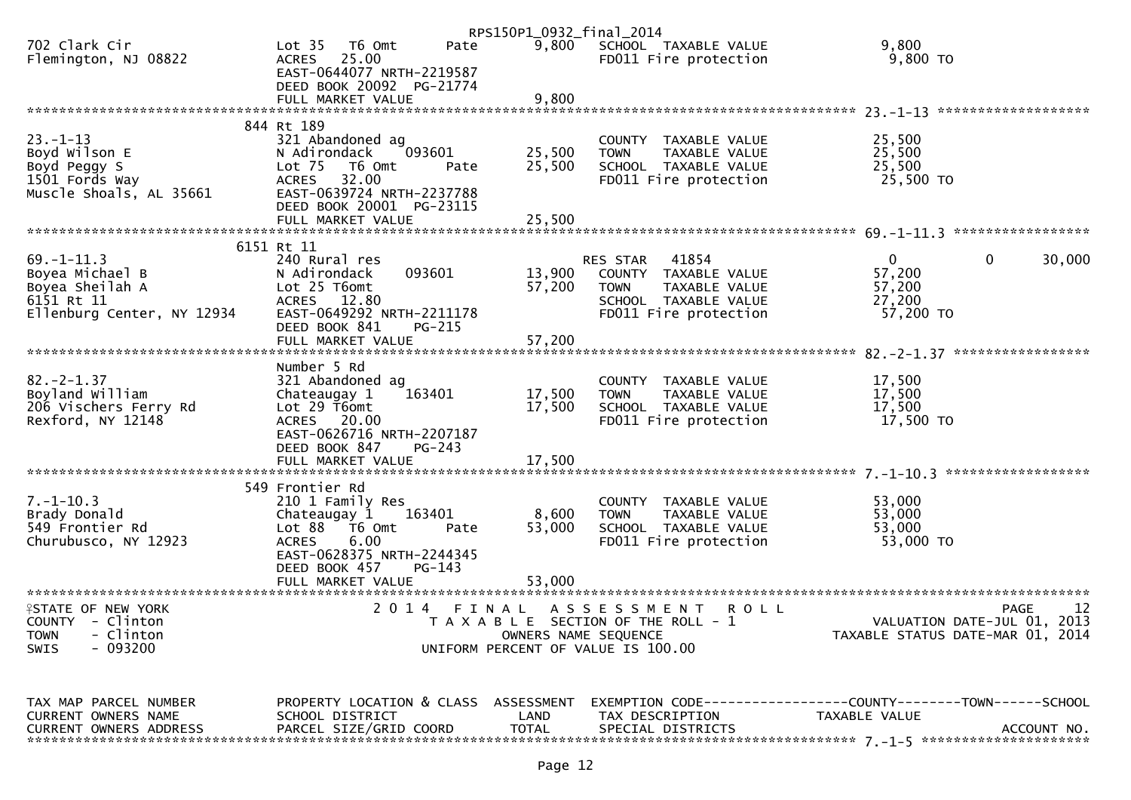|                                                                                                    |                                                                                                                                                                          | RPS150P1_0932_final_2014 |                                                                                                                                   |                                                                                                                    |        |
|----------------------------------------------------------------------------------------------------|--------------------------------------------------------------------------------------------------------------------------------------------------------------------------|--------------------------|-----------------------------------------------------------------------------------------------------------------------------------|--------------------------------------------------------------------------------------------------------------------|--------|
| 702 Clark Cir<br>Flemington, NJ 08822                                                              | Lot <sub>35</sub><br>T6 Omt<br>Pate<br>ACRES 25.00<br>EAST-0644077 NRTH-2219587                                                                                          |                          | 9,800 SCHOOL TAXABLE VALUE<br>FD011 Fire protection                                                                               | 9,800<br>9,800 TO                                                                                                  |        |
|                                                                                                    | DEED BOOK 20092 PG-21774                                                                                                                                                 |                          |                                                                                                                                   |                                                                                                                    |        |
|                                                                                                    |                                                                                                                                                                          |                          |                                                                                                                                   |                                                                                                                    |        |
| $23 - 1 - 13$<br>Boyd Wilson E<br>Boyd Peggy S<br>1501 Fords Way<br>Muscle Shoals, AL 35661        | 844 Rt 189<br>321 Abandoned ag<br>N Adirondack<br>093601<br>Lot $75$<br>T6 Omt<br>Pate<br>32.00<br><b>ACRES</b><br>EAST-0639724 NRTH-2237788<br>DEED BOOK 20001 PG-23115 | 25,500<br>25,500         | COUNTY TAXABLE VALUE<br><b>TOWN</b><br>TAXABLE VALUE<br>SCHOOL TAXABLE VALUE<br>FD011 Fire protection                             | 25,500<br>25,500<br>25,500<br>25,500 TO                                                                            |        |
|                                                                                                    |                                                                                                                                                                          |                          |                                                                                                                                   |                                                                                                                    |        |
|                                                                                                    | 6151 Rt 11                                                                                                                                                               |                          |                                                                                                                                   |                                                                                                                    |        |
| $69. - 1 - 11.3$<br>Boyea Michael B<br>Boyea Sheilah A<br>6151 Rt 11<br>Ellenburg Center, NY 12934 | 240 Rural res<br>093601<br>N Adirondack<br>Lot 25 T6omt<br>ACRES 12.80<br>EAST-0649292 NRTH-2211178                                                                      | 13,900<br>57,200         | 41854<br><b>RES STAR</b><br>COUNTY TAXABLE VALUE<br>TAXABLE VALUE<br><b>TOWN</b><br>SCHOOL TAXABLE VALUE<br>FD011 Fire protection | $\mathbf{0}$<br>$\mathbf{0}$<br>57,200<br>57,200<br>27,200<br>57,200 TO                                            | 30,000 |
|                                                                                                    | DEED BOOK 841<br>PG-215<br>FULL MARKET VALUE                                                                                                                             | 57,200                   |                                                                                                                                   |                                                                                                                    |        |
|                                                                                                    |                                                                                                                                                                          |                          |                                                                                                                                   |                                                                                                                    |        |
| $82 - 2 - 1.37$<br>Boyland William<br>206 Vischers Ferry Rd<br>Rexford, NY 12148                   | Number 5 Rd<br>321 Abandoned ag<br>Chateaugay 1<br>163401<br>Lot 29 T6omt<br>ACRES 20.00<br>EAST-0626716 NRTH-2207187<br>PG-243<br>DEED BOOK 847                         | 17,500<br>17,500         | COUNTY TAXABLE VALUE<br><b>TOWN</b><br>TAXABLE VALUE<br>SCHOOL TAXABLE VALUE<br>FD011 Fire protection                             | 17,500<br>17,500<br>17,500<br>17,500 TO                                                                            |        |
|                                                                                                    |                                                                                                                                                                          |                          |                                                                                                                                   |                                                                                                                    |        |
| $7. - 1 - 10.3$<br>Brady Donald<br>549 Frontier Rd<br>Churubusco, NY 12923                         | 549 Frontier Rd<br>210 1 Family Res<br>163401<br>Chateaugay 1<br>Lot 88 T6 Omt<br>Pate<br>6.00<br><b>ACRES</b><br>EAST-0628375 NRTH-2244345<br>DEED BOOK 457<br>PG-143   | 8,600<br>53,000          | COUNTY TAXABLE VALUE<br><b>TOWN</b><br>TAXABLE VALUE<br>SCHOOL TAXABLE VALUE<br>FD011 Fire protection                             | 53,000<br>53,000<br>53,000<br>53,000 TO                                                                            |        |
|                                                                                                    | FULL MARKET VALUE                                                                                                                                                        | 53,000                   |                                                                                                                                   |                                                                                                                    |        |
| <b>ISTATE OF NEW YORK</b><br>COUNTY - Clinton<br>- Clinton<br><b>TOWN</b><br>$-093200$<br>SWIS     | 2014 FINAL                                                                                                                                                               | OWNERS NAME SEQUENCE     | A S S E S S M E N T<br><b>ROLL</b><br>T A X A B L E SECTION OF THE ROLL - 1<br>UNIFORM PERCENT OF VALUE IS 100.00                 | <b>PAGE</b><br>VALUATION DATE-JUL 01, 2013<br>TAXABLE STATUS DATE-MAR 01, 2014                                     | 12     |
| TAX MAP PARCEL NUMBER<br>CUPPENT OWNEDS NAME                                                       | SCHOOL DISTRICT CONDUCTER AND TAY DESCRIPTION                                                                                                                            |                          |                                                                                                                                   | PROPERTY LOCATION & CLASS ASSESSMENT EXEMPTION CODE----------------COUNTY--------TOWN------SCHOOL<br>TAYARIE VALUE |        |

| URREN,<br>OWNERS | NAME<br>$\sim$<br>л      |       | _AND         | ION<br>A)<br>$\cdot$ , $\Gamma$ | <b>ADI</b><br>۰DL | VALUE |                       |
|------------------|--------------------------|-------|--------------|---------------------------------|-------------------|-------|-----------------------|
| URREN.<br>OWNERS | <b>ADDRESS</b><br>PARCEI | :00RD | <b>TOTAL</b> | SPE<br>STRI<br>$\mathsf{L}$     |                   |       | <b>NO</b><br>CCOUNT   |
|                  |                          |       |              |                                 | - * * * * * * *   |       | ********************* |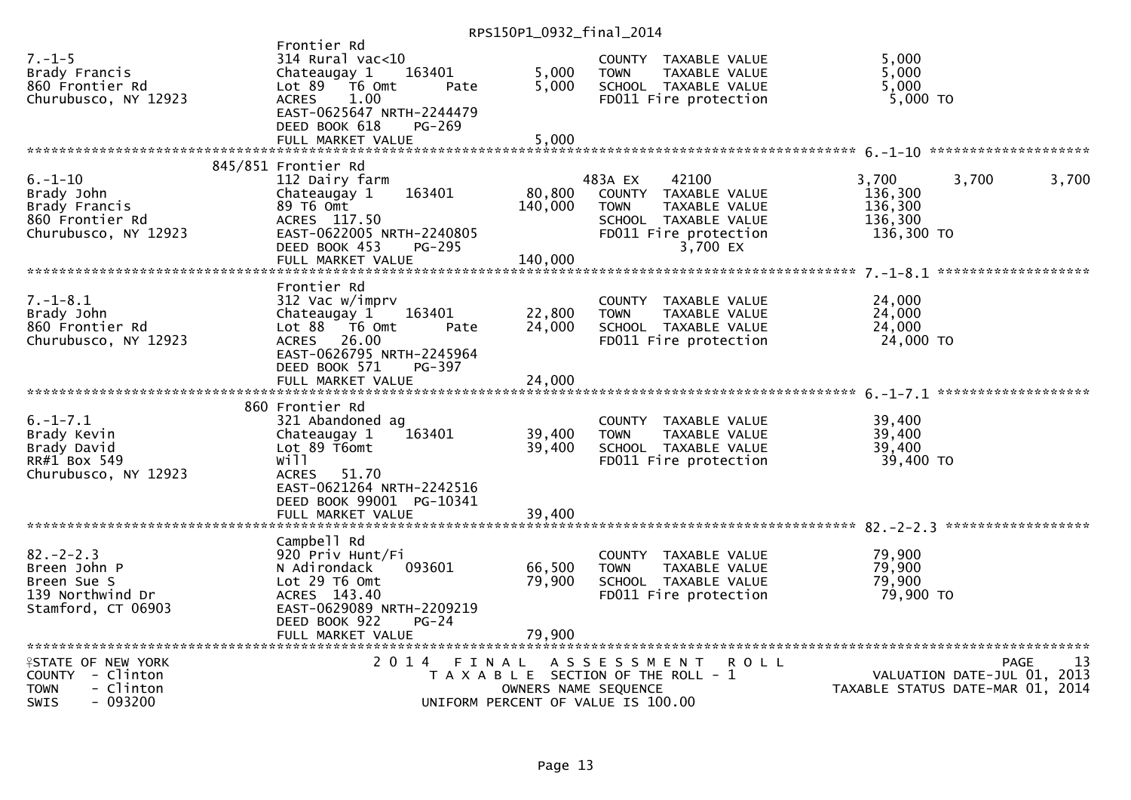|                                                                                                      |                                                                                                                                                                                     | RP313UP1_0934_THIQ1_ZU14   |                                                                                                                                       |                                                                                      |
|------------------------------------------------------------------------------------------------------|-------------------------------------------------------------------------------------------------------------------------------------------------------------------------------------|----------------------------|---------------------------------------------------------------------------------------------------------------------------------------|--------------------------------------------------------------------------------------|
| $7. - 1 - 5$<br>Brady Francis<br>860 Frontier Rd<br>Churubusco, NY 12923                             | Frontier Rd<br>314 Rural vac<10<br>163401<br>Chateaugay 1<br>Lot $89$ $\overline{16}$ Omt<br>Pate<br><b>ACRES</b><br>1.00<br>EAST-0625647 NRTH-2244479<br>DEED BOOK 618<br>$PG-269$ | 5,000<br>5,000             | COUNTY TAXABLE VALUE<br>TAXABLE VALUE<br><b>TOWN</b><br>SCHOOL TAXABLE VALUE<br>FD011 Fire protection                                 | 5,000<br>5,000<br>5,000<br>5,000 TO                                                  |
|                                                                                                      | FULL MARKET VALUE                                                                                                                                                                   | 5,000                      |                                                                                                                                       |                                                                                      |
|                                                                                                      | 845/851 Frontier Rd                                                                                                                                                                 |                            |                                                                                                                                       |                                                                                      |
| $6. - 1 - 10$<br>Brady John<br>Brady Francis<br>860 Frontier Rd<br>Churubusco, NY 12923              | 112 Dairy farm<br>163401<br>Chateaugay 1<br>89 T6 Omt<br>ACRES 117.50<br>EAST-0622005 NRTH-2240805<br>DEED BOOK 453<br>PG-295                                                       | 80,800<br>140,000          | 483A EX<br>42100<br>COUNTY TAXABLE VALUE<br><b>TOWN</b><br>TAXABLE VALUE<br>SCHOOL TAXABLE VALUE<br>FD011 Fire protection<br>3,700 EX | 3.700<br>3,700<br>3,700<br>136,300<br>136,300<br>136,300<br>136,300 TO               |
|                                                                                                      | FULL MARKET VALUE                                                                                                                                                                   | 140,000                    |                                                                                                                                       |                                                                                      |
| $7. - 1 - 8.1$<br>Brady John<br>860 Frontier Rd<br>Churubusco, NY 12923                              | Frontier Rd<br>312 Vac w/imprv<br>163401<br>Chateaugay 1<br>Lot 88 T6 Omt<br>Pate<br>ACRES 26.00<br>EAST-0626795 NRTH-2245964                                                       | 22,800<br>24,000           | COUNTY TAXABLE VALUE<br><b>TOWN</b><br>TAXABLE VALUE<br>SCHOOL TAXABLE VALUE<br>FD011 Fire protection                                 | 24,000<br>24,000<br>24,000<br>24,000 TO                                              |
|                                                                                                      | DEED BOOK 571<br>PG-397<br>FULL MARKET VALUE                                                                                                                                        | 24,000                     |                                                                                                                                       |                                                                                      |
| $6. - 1 - 7.1$<br>Brady Kevin<br>Brady David<br>RR#1 Box 549<br>Churubusco, NY 12923                 | 860 Frontier Rd<br>321 Abandoned ag<br>163401<br>Chateaugay 1<br>Lot 89 T6omt<br>will<br>51.70<br><b>ACRES</b><br>EAST-0621264 NRTH-2242516<br>DEED BOOK 99001 PG-10341             | 39,400<br>39,400           | COUNTY TAXABLE VALUE<br><b>TOWN</b><br>TAXABLE VALUE<br>SCHOOL TAXABLE VALUE<br>FD011 Fire protection                                 | 39,400<br>39,400<br>39,400<br>39,400 TO                                              |
|                                                                                                      | FULL MARKET VALUE                                                                                                                                                                   | 39,400                     |                                                                                                                                       |                                                                                      |
| $82 - 2 - 2.3$<br>Breen John P<br>Breen Sue S<br>139 Northwind Dr<br>Stamford, CT 06903              | Campbell Rd<br>920 Priv Hunt/Fi<br>N Adirondack<br>093601<br>Lot 29 T6 Omt<br>ACRES 143.40<br>EAST-0629089 NRTH-2209219<br>DEED BOOK 922<br>$PG-24$<br>FULL MARKET VALUE            | 66,500<br>79,900<br>79,900 | COUNTY TAXABLE VALUE<br>TAXABLE VALUE<br><b>TOWN</b><br>SCHOOL TAXABLE VALUE<br>FD011 Fire protection                                 | 79,900<br>79,900<br>79,900<br>79,900 TO                                              |
|                                                                                                      |                                                                                                                                                                                     |                            |                                                                                                                                       |                                                                                      |
| <b>ISTATE OF NEW YORK</b><br>COUNTY - Clinton<br>- Clinton<br><b>TOWN</b><br>- 093200<br><b>SWIS</b> | 2 0 1 4<br>FINAL                                                                                                                                                                    |                            | ASSESSMENT<br><b>ROLL</b><br>T A X A B L E SECTION OF THE ROLL - 1<br>OWNERS NAME SEQUENCE<br>UNIFORM PERCENT OF VALUE IS 100.00      | <b>PAGE</b><br>13<br>VALUATION DATE-JUL 01, 2013<br>TAXABLE STATUS DATE-MAR 01, 2014 |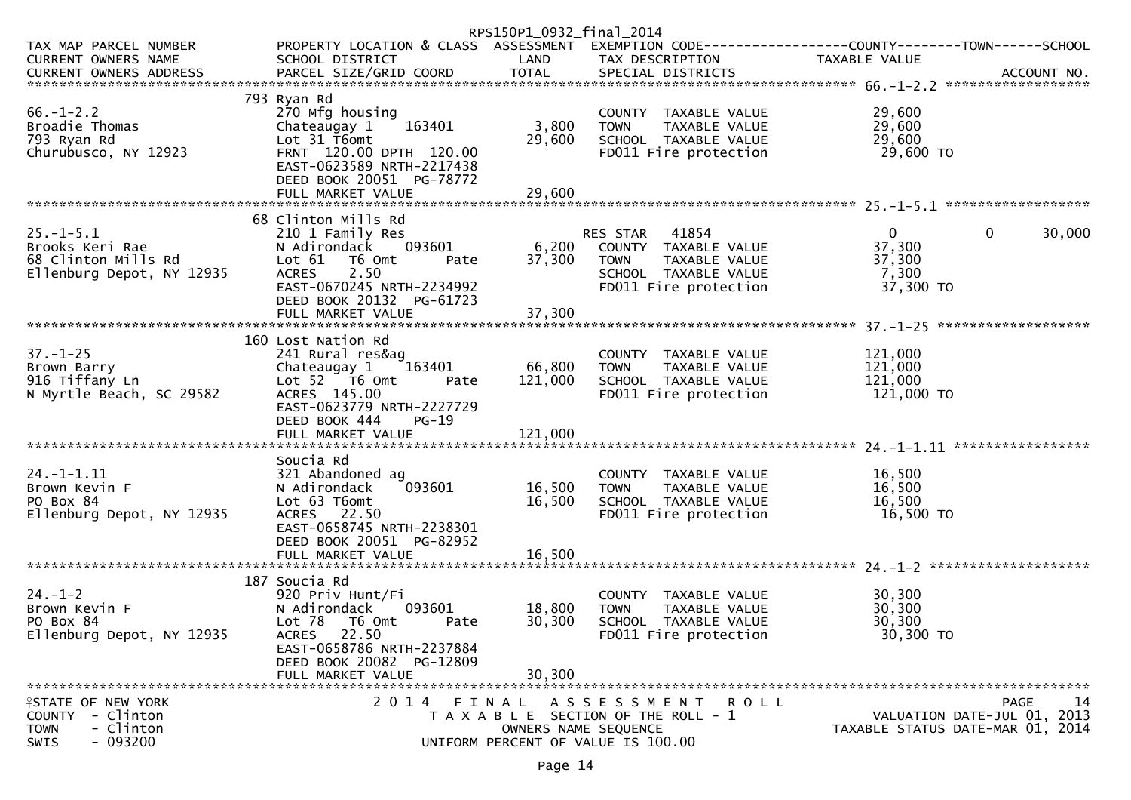|                                                                                                          |                                                                                                                                                                                                       | RPS150P1_0932_final_2014     |                                                                                                                            |                                                          |                                                                                      |
|----------------------------------------------------------------------------------------------------------|-------------------------------------------------------------------------------------------------------------------------------------------------------------------------------------------------------|------------------------------|----------------------------------------------------------------------------------------------------------------------------|----------------------------------------------------------|--------------------------------------------------------------------------------------|
| TAX MAP PARCEL NUMBER<br><b>CURRENT OWNERS NAME</b>                                                      | PROPERTY LOCATION & CLASS ASSESSMENT EXEMPTION CODE----------------COUNTY-------TOWN------SCHOOL<br>SCHOOL DISTRICT                                                                                   | LAND                         | TAX DESCRIPTION                                                                                                            | TAXABLE VALUE                                            |                                                                                      |
| $66. - 1 - 2.2$<br>Broadie Thomas<br>793 Ryan Rd<br>Churubusco, NY 12923                                 | 793 Ryan Rd<br>270 Mfg housing<br>163401<br>Chateaugay 1<br>Lot 31 T6omt<br>FRNT 120.00 DPTH 120.00<br>EAST-0623589 NRTH-2217438<br>DEED BOOK 20051 PG-78772<br>FULL MARKET VALUE                     | 3,800<br>29,600<br>29,600    | COUNTY TAXABLE VALUE<br><b>TOWN</b><br>TAXABLE VALUE<br>SCHOOL TAXABLE VALUE<br>FD011 Fire protection                      | 29,600<br>29,600<br>29,600<br>29,600 TO                  |                                                                                      |
|                                                                                                          |                                                                                                                                                                                                       |                              |                                                                                                                            |                                                          |                                                                                      |
| $25. - 1 - 5.1$<br>Brooks Keri Rae<br>68 Clinton Mills Rd<br>Ellenburg Depot, NY 12935                   | 68 Clinton Mills Rd<br>210 1 Family Res<br>093601<br>N Adirondack<br>Lot $61$<br>T6 Omt<br>Pate<br>2.50<br><b>ACRES</b><br>EAST-0670245 NRTH-2234992<br>DEED BOOK 20132 PG-61723<br>FULL MARKET VALUE | 6,200<br>37,300<br>37,300    | RES STAR<br>41854<br>COUNTY TAXABLE VALUE<br><b>TOWN</b><br>TAXABLE VALUE<br>SCHOOL TAXABLE VALUE<br>FD011 Fire protection | $\overline{0}$<br>37,300<br>37,300<br>7,300<br>37,300 TO | 0<br>30,000                                                                          |
|                                                                                                          | 160 Lost Nation Rd                                                                                                                                                                                    |                              |                                                                                                                            |                                                          |                                                                                      |
| $37. - 1 - 25$<br>Brown Barry<br>916 Tiffany Ln<br>N Myrtle Beach, SC 29582                              | 241 Rural res&ag<br>Chateaugay 1<br>163401<br>Lot $52 \times 76$ omt<br>Pate<br>ACRES 145.00<br>EAST-0623779 NRTH-2227729<br>DEED BOOK 444<br>$PG-19$<br>FULL MARKET VALUE                            | 66,800<br>121,000<br>121,000 | COUNTY TAXABLE VALUE<br><b>TOWN</b><br>TAXABLE VALUE<br>SCHOOL TAXABLE VALUE<br>FD011 Fire protection                      | 121,000<br>121,000<br>121,000<br>121,000 TO              |                                                                                      |
|                                                                                                          | Soucia Rd                                                                                                                                                                                             |                              |                                                                                                                            |                                                          |                                                                                      |
| $24. - 1 - 1.11$<br>Brown Kevin F<br>PO Box 84<br>Ellenburg Depot, NY 12935                              | 321 Abandoned ag<br>093601<br>N Adirondack<br>Lot 63 T6omt<br>ACRES 22.50<br>EAST-0658745 NRTH-2238301<br>DEED BOOK 20051 PG-82952                                                                    | 16,500<br>16,500             | COUNTY TAXABLE VALUE<br>TAXABLE VALUE<br><b>TOWN</b><br>SCHOOL TAXABLE VALUE<br>FD011 Fire protection                      | 16,500<br>16,500<br>16,500<br>16,500 TO                  |                                                                                      |
|                                                                                                          |                                                                                                                                                                                                       |                              |                                                                                                                            |                                                          |                                                                                      |
| $24. - 1 - 2$<br>Brown Kevin F<br>PO Box 84<br>Ellenburg Depot, NY 12935                                 | 187 Soucia Rd<br>920 Priv Hunt/Fi<br>N Adirondack<br>093601<br>Lot 78<br>T6 Omt<br>Pate<br>ACRES 22.50<br>EAST-0658786 NRTH-2237884                                                                   | 18,800<br>30,300             | COUNTY TAXABLE VALUE<br><b>TOWN</b><br><b>TAXABLE VALUE</b><br>SCHOOL TAXABLE VALUE<br>FD011 Fire protection               | 30,300<br>30,300<br>30,300<br>30,300 TO                  |                                                                                      |
|                                                                                                          | DEED BOOK 20082 PG-12809<br>FULL MARKET VALUE                                                                                                                                                         | 30,300                       |                                                                                                                            |                                                          |                                                                                      |
|                                                                                                          |                                                                                                                                                                                                       |                              |                                                                                                                            |                                                          |                                                                                      |
| <b>ISTATE OF NEW YORK</b><br>- Clinton<br><b>COUNTY</b><br>- Clinton<br><b>TOWN</b><br>$-093200$<br>SWIS |                                                                                                                                                                                                       | OWNERS NAME SEQUENCE         | 2014 FINAL ASSESSMENT ROLL<br>T A X A B L E SECTION OF THE ROLL - 1<br>UNIFORM PERCENT OF VALUE IS 100.00                  |                                                          | 14<br><b>PAGE</b><br>VALUATION DATE-JUL 01, 2013<br>TAXABLE STATUS DATE-MAR 01, 2014 |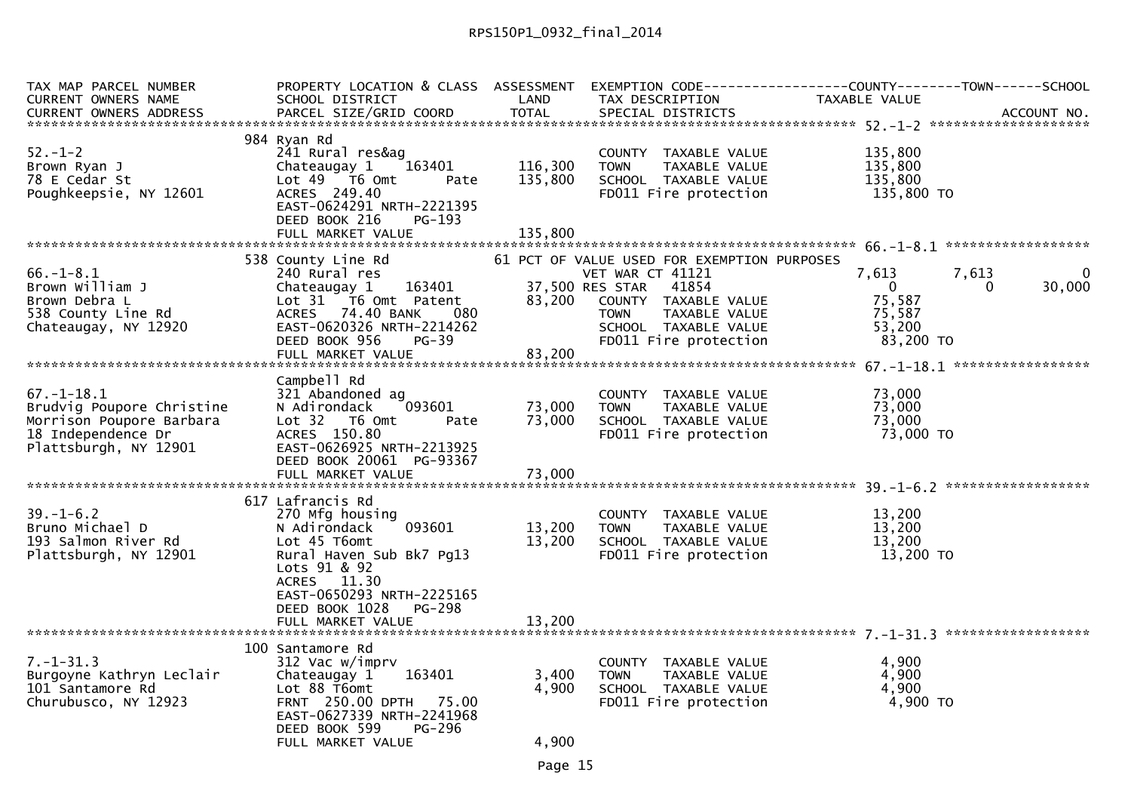| <b>TOTAL</b><br>CURRENT OWNERS ADDRESS<br>PARCEL SIZE/GRID COORD<br>SPECIAL DISTRICTS<br>ACCOUNT NO.<br>984 Ryan Rd<br>241 Rural res&ag<br>135,800<br>COUNTY TAXABLE VALUE<br>116,300<br>Brown Ryan J<br>Chateaugay 1<br>163401<br>TAXABLE VALUE<br>135,800<br><b>TOWN</b><br>78 E Cedar St<br>Lot 49 T6 Omt<br>135,800<br>SCHOOL TAXABLE VALUE<br>135,800<br>Pate<br>$135,800$ TO<br>ACRES 249.40<br>Poughkeepsie, NY 12601<br>FD011 Fire protection<br>EAST-0624291 NRTH-2221395<br>DEED BOOK 216<br>$PG-193$<br>FULL MARKET VALUE<br>135,800<br>538 County Line Rd<br>61 PCT OF VALUE USED FOR EXEMPTION PURPOSES<br>$66. - 1 - 8.1$<br>240 Rural res<br>VET WAR CT 41121<br>7,613<br>7.613<br>$\mathbf{0}$<br>Chateaugay 1 163401<br>Brown William J<br>37,500 RES STAR<br>41854<br>30,000<br>0 <sup>1</sup><br>$\Omega$<br>75,587<br>Lot 31 T6 Omt Patent<br>83,200<br>COUNTY TAXABLE VALUE<br>ACRES 74.40 BANK<br>-- 080<br>75,587<br><b>TOWN</b><br>TAXABLE VALUE<br>Chateaugay, NY 12920<br>EAST-0620326 NRTH-2214262<br>53,200<br>SCHOOL TAXABLE VALUE<br>DEED BOOK 956<br>FD011 Fire protection<br>83,200 TO<br>$PG-39$<br>83,200<br>FULL MARKET VALUE<br>Campbell Rd<br>321 Abandoned ag<br>73,000<br>COUNTY TAXABLE VALUE<br>093601<br>73,000<br>73,000<br>N Adirondack<br>TAXABLE VALUE<br><b>TOWN</b><br>73,000<br>73,000<br>Morrison Poupore Barbara<br>Lot 32 T6 Omt<br>SCHOOL TAXABLE VALUE<br>Pate<br>73,000 TO<br>18 Independence Dr<br>ACRES 150.80<br>FD011 Fire protection<br>Plattsburgh, NY 12901<br>EAST-0626925 NRTH-2213925<br>DEED BOOK 20061 PG-93367<br>73,000<br>FULL MARKET VALUE<br>617 Lafrancis Rd<br>$39. - 1 - 6.2$<br>270 Mfg housing<br>13,200<br>COUNTY TAXABLE VALUE<br>093601<br>13,200<br>13,200<br>Bruno Michael D<br>N Adirondack<br><b>TOWN</b><br>TAXABLE VALUE<br>13,200<br>193 Salmon River Rd<br>13,200<br>Lot 45 T6omt<br>SCHOOL TAXABLE VALUE<br>Plattsburgh, NY 12901<br>FD011 Fire protection<br>13,200 TO<br>Rural Haven Sub Bk7 Pq13<br>Lots 91 & 92<br>ACRES 11.30<br>EAST-0650293 NRTH-2225165<br>DEED BOOK 1028<br><b>PG-298</b><br>13,200<br>FULL MARKET VALUE<br>100 Santamore Rd | TAX MAP PARCEL NUMBER     |                         |       |                       | PROPERTY LOCATION & CLASS ASSESSMENT EXEMPTION CODE----------------COUNTY--------TOWN------SCHOOL |
|------------------------------------------------------------------------------------------------------------------------------------------------------------------------------------------------------------------------------------------------------------------------------------------------------------------------------------------------------------------------------------------------------------------------------------------------------------------------------------------------------------------------------------------------------------------------------------------------------------------------------------------------------------------------------------------------------------------------------------------------------------------------------------------------------------------------------------------------------------------------------------------------------------------------------------------------------------------------------------------------------------------------------------------------------------------------------------------------------------------------------------------------------------------------------------------------------------------------------------------------------------------------------------------------------------------------------------------------------------------------------------------------------------------------------------------------------------------------------------------------------------------------------------------------------------------------------------------------------------------------------------------------------------------------------------------------------------------------------------------------------------------------------------------------------------------------------------------------------------------------------------------------------------------------------------------------------------------------------------------------------------------------------------------------------------------------------------------------------------------------------------------------|---------------------------|-------------------------|-------|-----------------------|---------------------------------------------------------------------------------------------------|
|                                                                                                                                                                                                                                                                                                                                                                                                                                                                                                                                                                                                                                                                                                                                                                                                                                                                                                                                                                                                                                                                                                                                                                                                                                                                                                                                                                                                                                                                                                                                                                                                                                                                                                                                                                                                                                                                                                                                                                                                                                                                                                                                                | CURRENT OWNERS NAME       | SCHOOL DISTRICT         | LAND  | TAX DESCRIPTION       | TAXABLE VALUE                                                                                     |
|                                                                                                                                                                                                                                                                                                                                                                                                                                                                                                                                                                                                                                                                                                                                                                                                                                                                                                                                                                                                                                                                                                                                                                                                                                                                                                                                                                                                                                                                                                                                                                                                                                                                                                                                                                                                                                                                                                                                                                                                                                                                                                                                                |                           |                         |       |                       |                                                                                                   |
|                                                                                                                                                                                                                                                                                                                                                                                                                                                                                                                                                                                                                                                                                                                                                                                                                                                                                                                                                                                                                                                                                                                                                                                                                                                                                                                                                                                                                                                                                                                                                                                                                                                                                                                                                                                                                                                                                                                                                                                                                                                                                                                                                |                           |                         |       |                       |                                                                                                   |
|                                                                                                                                                                                                                                                                                                                                                                                                                                                                                                                                                                                                                                                                                                                                                                                                                                                                                                                                                                                                                                                                                                                                                                                                                                                                                                                                                                                                                                                                                                                                                                                                                                                                                                                                                                                                                                                                                                                                                                                                                                                                                                                                                | $52 - 1 - 2$              |                         |       |                       |                                                                                                   |
|                                                                                                                                                                                                                                                                                                                                                                                                                                                                                                                                                                                                                                                                                                                                                                                                                                                                                                                                                                                                                                                                                                                                                                                                                                                                                                                                                                                                                                                                                                                                                                                                                                                                                                                                                                                                                                                                                                                                                                                                                                                                                                                                                |                           |                         |       |                       |                                                                                                   |
|                                                                                                                                                                                                                                                                                                                                                                                                                                                                                                                                                                                                                                                                                                                                                                                                                                                                                                                                                                                                                                                                                                                                                                                                                                                                                                                                                                                                                                                                                                                                                                                                                                                                                                                                                                                                                                                                                                                                                                                                                                                                                                                                                |                           |                         |       |                       |                                                                                                   |
|                                                                                                                                                                                                                                                                                                                                                                                                                                                                                                                                                                                                                                                                                                                                                                                                                                                                                                                                                                                                                                                                                                                                                                                                                                                                                                                                                                                                                                                                                                                                                                                                                                                                                                                                                                                                                                                                                                                                                                                                                                                                                                                                                |                           |                         |       |                       |                                                                                                   |
|                                                                                                                                                                                                                                                                                                                                                                                                                                                                                                                                                                                                                                                                                                                                                                                                                                                                                                                                                                                                                                                                                                                                                                                                                                                                                                                                                                                                                                                                                                                                                                                                                                                                                                                                                                                                                                                                                                                                                                                                                                                                                                                                                |                           |                         |       |                       |                                                                                                   |
|                                                                                                                                                                                                                                                                                                                                                                                                                                                                                                                                                                                                                                                                                                                                                                                                                                                                                                                                                                                                                                                                                                                                                                                                                                                                                                                                                                                                                                                                                                                                                                                                                                                                                                                                                                                                                                                                                                                                                                                                                                                                                                                                                |                           |                         |       |                       |                                                                                                   |
|                                                                                                                                                                                                                                                                                                                                                                                                                                                                                                                                                                                                                                                                                                                                                                                                                                                                                                                                                                                                                                                                                                                                                                                                                                                                                                                                                                                                                                                                                                                                                                                                                                                                                                                                                                                                                                                                                                                                                                                                                                                                                                                                                |                           |                         |       |                       |                                                                                                   |
|                                                                                                                                                                                                                                                                                                                                                                                                                                                                                                                                                                                                                                                                                                                                                                                                                                                                                                                                                                                                                                                                                                                                                                                                                                                                                                                                                                                                                                                                                                                                                                                                                                                                                                                                                                                                                                                                                                                                                                                                                                                                                                                                                |                           |                         |       |                       |                                                                                                   |
|                                                                                                                                                                                                                                                                                                                                                                                                                                                                                                                                                                                                                                                                                                                                                                                                                                                                                                                                                                                                                                                                                                                                                                                                                                                                                                                                                                                                                                                                                                                                                                                                                                                                                                                                                                                                                                                                                                                                                                                                                                                                                                                                                |                           |                         |       |                       |                                                                                                   |
|                                                                                                                                                                                                                                                                                                                                                                                                                                                                                                                                                                                                                                                                                                                                                                                                                                                                                                                                                                                                                                                                                                                                                                                                                                                                                                                                                                                                                                                                                                                                                                                                                                                                                                                                                                                                                                                                                                                                                                                                                                                                                                                                                | Brown Debra L             |                         |       |                       |                                                                                                   |
|                                                                                                                                                                                                                                                                                                                                                                                                                                                                                                                                                                                                                                                                                                                                                                                                                                                                                                                                                                                                                                                                                                                                                                                                                                                                                                                                                                                                                                                                                                                                                                                                                                                                                                                                                                                                                                                                                                                                                                                                                                                                                                                                                | 538 County Line Rd        |                         |       |                       |                                                                                                   |
|                                                                                                                                                                                                                                                                                                                                                                                                                                                                                                                                                                                                                                                                                                                                                                                                                                                                                                                                                                                                                                                                                                                                                                                                                                                                                                                                                                                                                                                                                                                                                                                                                                                                                                                                                                                                                                                                                                                                                                                                                                                                                                                                                |                           |                         |       |                       |                                                                                                   |
|                                                                                                                                                                                                                                                                                                                                                                                                                                                                                                                                                                                                                                                                                                                                                                                                                                                                                                                                                                                                                                                                                                                                                                                                                                                                                                                                                                                                                                                                                                                                                                                                                                                                                                                                                                                                                                                                                                                                                                                                                                                                                                                                                |                           |                         |       |                       |                                                                                                   |
|                                                                                                                                                                                                                                                                                                                                                                                                                                                                                                                                                                                                                                                                                                                                                                                                                                                                                                                                                                                                                                                                                                                                                                                                                                                                                                                                                                                                                                                                                                                                                                                                                                                                                                                                                                                                                                                                                                                                                                                                                                                                                                                                                |                           |                         |       |                       |                                                                                                   |
|                                                                                                                                                                                                                                                                                                                                                                                                                                                                                                                                                                                                                                                                                                                                                                                                                                                                                                                                                                                                                                                                                                                                                                                                                                                                                                                                                                                                                                                                                                                                                                                                                                                                                                                                                                                                                                                                                                                                                                                                                                                                                                                                                |                           |                         |       |                       |                                                                                                   |
|                                                                                                                                                                                                                                                                                                                                                                                                                                                                                                                                                                                                                                                                                                                                                                                                                                                                                                                                                                                                                                                                                                                                                                                                                                                                                                                                                                                                                                                                                                                                                                                                                                                                                                                                                                                                                                                                                                                                                                                                                                                                                                                                                | $67. - 1 - 18.1$          |                         |       |                       |                                                                                                   |
|                                                                                                                                                                                                                                                                                                                                                                                                                                                                                                                                                                                                                                                                                                                                                                                                                                                                                                                                                                                                                                                                                                                                                                                                                                                                                                                                                                                                                                                                                                                                                                                                                                                                                                                                                                                                                                                                                                                                                                                                                                                                                                                                                | Brudvig Poupore Christine |                         |       |                       |                                                                                                   |
|                                                                                                                                                                                                                                                                                                                                                                                                                                                                                                                                                                                                                                                                                                                                                                                                                                                                                                                                                                                                                                                                                                                                                                                                                                                                                                                                                                                                                                                                                                                                                                                                                                                                                                                                                                                                                                                                                                                                                                                                                                                                                                                                                |                           |                         |       |                       |                                                                                                   |
|                                                                                                                                                                                                                                                                                                                                                                                                                                                                                                                                                                                                                                                                                                                                                                                                                                                                                                                                                                                                                                                                                                                                                                                                                                                                                                                                                                                                                                                                                                                                                                                                                                                                                                                                                                                                                                                                                                                                                                                                                                                                                                                                                |                           |                         |       |                       |                                                                                                   |
|                                                                                                                                                                                                                                                                                                                                                                                                                                                                                                                                                                                                                                                                                                                                                                                                                                                                                                                                                                                                                                                                                                                                                                                                                                                                                                                                                                                                                                                                                                                                                                                                                                                                                                                                                                                                                                                                                                                                                                                                                                                                                                                                                |                           |                         |       |                       |                                                                                                   |
|                                                                                                                                                                                                                                                                                                                                                                                                                                                                                                                                                                                                                                                                                                                                                                                                                                                                                                                                                                                                                                                                                                                                                                                                                                                                                                                                                                                                                                                                                                                                                                                                                                                                                                                                                                                                                                                                                                                                                                                                                                                                                                                                                |                           |                         |       |                       |                                                                                                   |
|                                                                                                                                                                                                                                                                                                                                                                                                                                                                                                                                                                                                                                                                                                                                                                                                                                                                                                                                                                                                                                                                                                                                                                                                                                                                                                                                                                                                                                                                                                                                                                                                                                                                                                                                                                                                                                                                                                                                                                                                                                                                                                                                                |                           |                         |       |                       |                                                                                                   |
|                                                                                                                                                                                                                                                                                                                                                                                                                                                                                                                                                                                                                                                                                                                                                                                                                                                                                                                                                                                                                                                                                                                                                                                                                                                                                                                                                                                                                                                                                                                                                                                                                                                                                                                                                                                                                                                                                                                                                                                                                                                                                                                                                |                           |                         |       |                       |                                                                                                   |
|                                                                                                                                                                                                                                                                                                                                                                                                                                                                                                                                                                                                                                                                                                                                                                                                                                                                                                                                                                                                                                                                                                                                                                                                                                                                                                                                                                                                                                                                                                                                                                                                                                                                                                                                                                                                                                                                                                                                                                                                                                                                                                                                                |                           |                         |       |                       |                                                                                                   |
|                                                                                                                                                                                                                                                                                                                                                                                                                                                                                                                                                                                                                                                                                                                                                                                                                                                                                                                                                                                                                                                                                                                                                                                                                                                                                                                                                                                                                                                                                                                                                                                                                                                                                                                                                                                                                                                                                                                                                                                                                                                                                                                                                |                           |                         |       |                       |                                                                                                   |
|                                                                                                                                                                                                                                                                                                                                                                                                                                                                                                                                                                                                                                                                                                                                                                                                                                                                                                                                                                                                                                                                                                                                                                                                                                                                                                                                                                                                                                                                                                                                                                                                                                                                                                                                                                                                                                                                                                                                                                                                                                                                                                                                                |                           |                         |       |                       |                                                                                                   |
|                                                                                                                                                                                                                                                                                                                                                                                                                                                                                                                                                                                                                                                                                                                                                                                                                                                                                                                                                                                                                                                                                                                                                                                                                                                                                                                                                                                                                                                                                                                                                                                                                                                                                                                                                                                                                                                                                                                                                                                                                                                                                                                                                |                           |                         |       |                       |                                                                                                   |
|                                                                                                                                                                                                                                                                                                                                                                                                                                                                                                                                                                                                                                                                                                                                                                                                                                                                                                                                                                                                                                                                                                                                                                                                                                                                                                                                                                                                                                                                                                                                                                                                                                                                                                                                                                                                                                                                                                                                                                                                                                                                                                                                                |                           |                         |       |                       |                                                                                                   |
|                                                                                                                                                                                                                                                                                                                                                                                                                                                                                                                                                                                                                                                                                                                                                                                                                                                                                                                                                                                                                                                                                                                                                                                                                                                                                                                                                                                                                                                                                                                                                                                                                                                                                                                                                                                                                                                                                                                                                                                                                                                                                                                                                |                           |                         |       |                       |                                                                                                   |
|                                                                                                                                                                                                                                                                                                                                                                                                                                                                                                                                                                                                                                                                                                                                                                                                                                                                                                                                                                                                                                                                                                                                                                                                                                                                                                                                                                                                                                                                                                                                                                                                                                                                                                                                                                                                                                                                                                                                                                                                                                                                                                                                                |                           |                         |       |                       |                                                                                                   |
|                                                                                                                                                                                                                                                                                                                                                                                                                                                                                                                                                                                                                                                                                                                                                                                                                                                                                                                                                                                                                                                                                                                                                                                                                                                                                                                                                                                                                                                                                                                                                                                                                                                                                                                                                                                                                                                                                                                                                                                                                                                                                                                                                |                           |                         |       |                       |                                                                                                   |
|                                                                                                                                                                                                                                                                                                                                                                                                                                                                                                                                                                                                                                                                                                                                                                                                                                                                                                                                                                                                                                                                                                                                                                                                                                                                                                                                                                                                                                                                                                                                                                                                                                                                                                                                                                                                                                                                                                                                                                                                                                                                                                                                                |                           |                         |       |                       |                                                                                                   |
|                                                                                                                                                                                                                                                                                                                                                                                                                                                                                                                                                                                                                                                                                                                                                                                                                                                                                                                                                                                                                                                                                                                                                                                                                                                                                                                                                                                                                                                                                                                                                                                                                                                                                                                                                                                                                                                                                                                                                                                                                                                                                                                                                | $7. - 1 - 31.3$           | 312 Vac w/imprv         |       | COUNTY TAXABLE VALUE  | 4,900                                                                                             |
| 4,900<br>163401<br>3,400<br>Chateaugay 1<br><b>TOWN</b><br>TAXABLE VALUE                                                                                                                                                                                                                                                                                                                                                                                                                                                                                                                                                                                                                                                                                                                                                                                                                                                                                                                                                                                                                                                                                                                                                                                                                                                                                                                                                                                                                                                                                                                                                                                                                                                                                                                                                                                                                                                                                                                                                                                                                                                                       | Burgoyne Kathryn Leclair  |                         |       |                       |                                                                                                   |
| 4,900<br>Lot 88 T6omt<br>4,900<br>SCHOOL TAXABLE VALUE                                                                                                                                                                                                                                                                                                                                                                                                                                                                                                                                                                                                                                                                                                                                                                                                                                                                                                                                                                                                                                                                                                                                                                                                                                                                                                                                                                                                                                                                                                                                                                                                                                                                                                                                                                                                                                                                                                                                                                                                                                                                                         | 101 Santamore Rd          |                         |       |                       |                                                                                                   |
|                                                                                                                                                                                                                                                                                                                                                                                                                                                                                                                                                                                                                                                                                                                                                                                                                                                                                                                                                                                                                                                                                                                                                                                                                                                                                                                                                                                                                                                                                                                                                                                                                                                                                                                                                                                                                                                                                                                                                                                                                                                                                                                                                | Churubusco, NY 12923      | FRNT 250.00 DPTH 75.00  |       | FD011 Fire protection | 4,900 TO                                                                                          |
|                                                                                                                                                                                                                                                                                                                                                                                                                                                                                                                                                                                                                                                                                                                                                                                                                                                                                                                                                                                                                                                                                                                                                                                                                                                                                                                                                                                                                                                                                                                                                                                                                                                                                                                                                                                                                                                                                                                                                                                                                                                                                                                                                |                           | DEED BOOK 599<br>PG-296 |       |                       |                                                                                                   |
| EAST-0627339 NRTH-2241968                                                                                                                                                                                                                                                                                                                                                                                                                                                                                                                                                                                                                                                                                                                                                                                                                                                                                                                                                                                                                                                                                                                                                                                                                                                                                                                                                                                                                                                                                                                                                                                                                                                                                                                                                                                                                                                                                                                                                                                                                                                                                                                      |                           | FULL MARKET VALUE       | 4,900 |                       |                                                                                                   |
|                                                                                                                                                                                                                                                                                                                                                                                                                                                                                                                                                                                                                                                                                                                                                                                                                                                                                                                                                                                                                                                                                                                                                                                                                                                                                                                                                                                                                                                                                                                                                                                                                                                                                                                                                                                                                                                                                                                                                                                                                                                                                                                                                |                           |                         |       |                       |                                                                                                   |
|                                                                                                                                                                                                                                                                                                                                                                                                                                                                                                                                                                                                                                                                                                                                                                                                                                                                                                                                                                                                                                                                                                                                                                                                                                                                                                                                                                                                                                                                                                                                                                                                                                                                                                                                                                                                                                                                                                                                                                                                                                                                                                                                                |                           |                         |       |                       |                                                                                                   |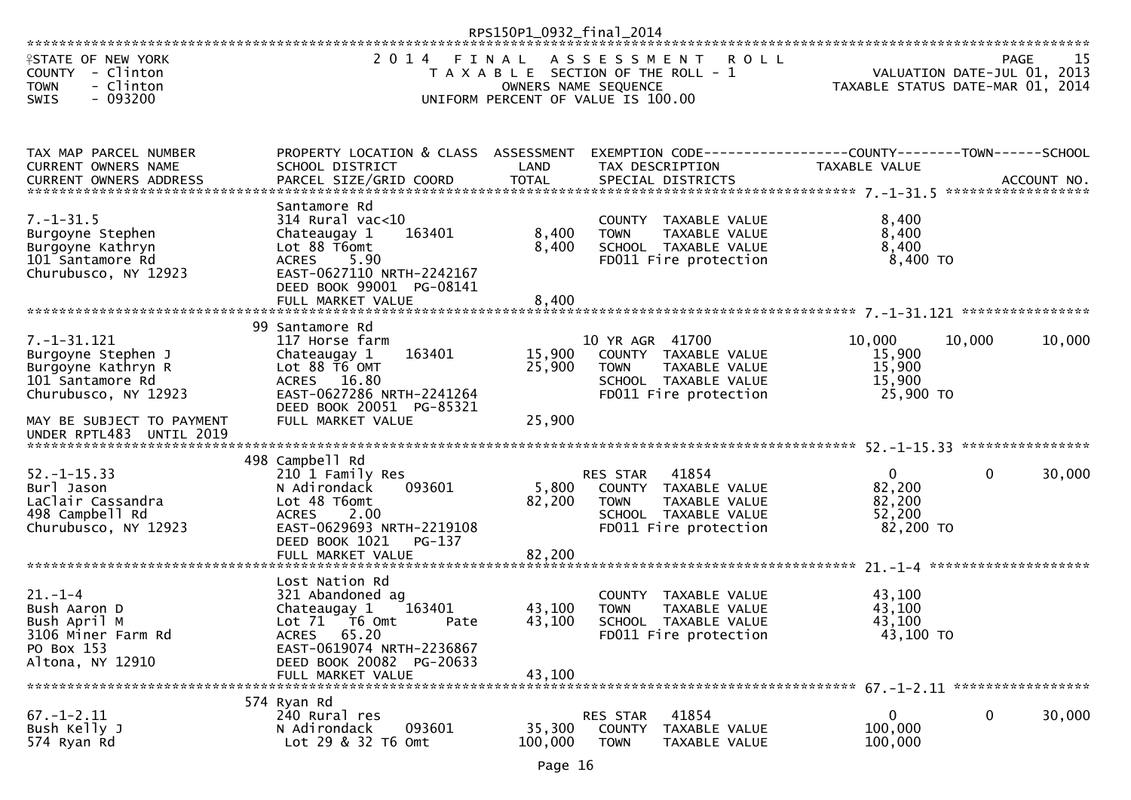|                                                                                                                                                                                                                                                                                |                                                                                                                                                                                     | RPS150P1_0932_final_2014   |                                                                                                                                   |                                                     |                                     |        |
|--------------------------------------------------------------------------------------------------------------------------------------------------------------------------------------------------------------------------------------------------------------------------------|-------------------------------------------------------------------------------------------------------------------------------------------------------------------------------------|----------------------------|-----------------------------------------------------------------------------------------------------------------------------------|-----------------------------------------------------|-------------------------------------|--------|
| <b>ISTATE OF NEW YORK</b><br>COUNTY - Clinton<br><b>TOWN</b><br>- Clinton<br>$-093200$<br><b>SWIS</b>                                                                                                                                                                          | 2014 FINAL                                                                                                                                                                          | OWNERS NAME SEQUENCE       | ASSESSMENT<br><b>ROLL</b><br>T A X A B L E SECTION OF THE ROLL - 1<br>UNIFORM PERCENT OF VALUE IS 100.00                          | TAXABLE STATUS DATE-MAR 01, 2014                    | PAGE<br>VALUATION DATE-JUL 01, 2013 | 15     |
| TAX MAP PARCEL NUMBER<br>CURRENT OWNERS NAME<br>.CURRENT OWNERS ADDRESS PARCEL SIZE/GRID COORD TOTAL SPECIAL DISTRICTS THE SAME ACCOUNT NO ACCOUNT NO AND A SERVER THE SERVER AND TOTAL SPECIAL DISTRICTS AND A SERVER AND THE SERVER AND THE SERVER AND THE SERVER AND THE SE | PROPERTY LOCATION & CLASS ASSESSMENT<br>SCHOOL DISTRICT                                                                                                                             | LAND                       | EXEMPTION CODE-----------------COUNTY-------TOWN------SCHOOL<br>TAX DESCRIPTION                                                   | TAXABLE VALUE                                       |                                     |        |
| $7. - 1 - 31.5$<br>Burgoyne Stephen<br>Burgoyne Kathryn<br>101 Santamore Rd<br>Churubusco, NY 12923                                                                                                                                                                            | Santamore Rd<br>$314$ Rural vac<10<br>163401<br>Chateaugay 1<br>Lot 88 T6omt<br><b>ACRES</b><br>5.90<br>EAST-0627110 NRTH-2242167<br>DEED BOOK 99001 PG-08141                       | 8,400<br>8,400             | COUNTY TAXABLE VALUE<br>TAXABLE VALUE<br><b>TOWN</b><br>SCHOOL TAXABLE VALUE<br>FD011 Fire protection                             | 8,400<br>8,400<br>8,400<br>8,400 TO                 |                                     |        |
|                                                                                                                                                                                                                                                                                |                                                                                                                                                                                     |                            |                                                                                                                                   |                                                     |                                     |        |
| $7. - 1 - 31.121$<br>Burgoyne Stephen J<br>Burgoyne Kathryn R<br>101 Santamore Rd<br>Churubusco, NY 12923<br>MAY BE SUBJECT TO PAYMENT                                                                                                                                         | 99 Santamore Rd<br>117 Horse farm<br>163401<br>Chateaugay 1<br>Lot 88 T6 OMT<br>ACRES 16.80<br>EAST-0627286 NRTH-2241264<br>DEED BOOK 20051 PG-85321<br>FULL MARKET VALUE           | 15,900<br>25,900<br>25,900 | 10 YR AGR 41700<br>COUNTY TAXABLE VALUE<br>TAXABLE VALUE<br><b>TOWN</b><br>SCHOOL TAXABLE VALUE<br>FD011 Fire protection          | 10,000<br>15,900<br>15,900<br>15,900<br>25,900 TO   | 10,000                              | 10,000 |
| UNDER RPTL483 UNTIL 2019                                                                                                                                                                                                                                                       |                                                                                                                                                                                     |                            |                                                                                                                                   |                                                     |                                     |        |
| $52. - 1 - 15.33$<br>Burl Jason<br>LaClair Cassandra<br>498 Campbell Rd<br>Churubusco, NY 12923                                                                                                                                                                                | 498 Campbell Rd<br>210 1 Family Res<br>093601<br>N Adirondack<br>Lot 48 T6omt<br>2.00<br><b>ACRES</b><br>EAST-0629693 NRTH-2219108<br>DEED BOOK 1021<br>PG-137<br>FULL MARKET VALUE | 5,800<br>82,200<br>82,200  | 41854<br><b>RES STAR</b><br>COUNTY TAXABLE VALUE<br>TAXABLE VALUE<br><b>TOWN</b><br>SCHOOL TAXABLE VALUE<br>FD011 Fire protection | $\Omega$<br>82,200<br>82,200<br>52,200<br>82,200 TO | 0                                   | 30,000 |
| $21. - 1 - 4$<br>Bush Aaron D<br>Bush April M<br>3106 Miner Farm Rd<br>PO Box 153<br>Altona, NY 12910                                                                                                                                                                          | Lost Nation Rd<br>321 Abandoned ag<br>Chateaugay 1<br>163401<br>Lot 71  T6 0mt<br>Pate<br>ACRES 65.20<br>EAST-0619074 NRTH-2236867<br>DEED BOOK 20082 PG-20633<br>FULL MARKET VALUE | 43,100<br>43,100<br>43,100 | COUNTY TAXABLE VALUE<br>TAXABLE VALUE<br><b>TOWN</b><br>SCHOOL TAXABLE VALUE<br>FD011 Fire protection                             | 43,100<br>43,100<br>43,100<br>43,100 TO             |                                     |        |
| $67. - 1 - 2.11$<br>Bush Kelly J<br>574 Ryan Rd                                                                                                                                                                                                                                | 574 Ryan Rd<br>240 Rural res<br>093601<br>N Adirondack<br>Lot 29 & 32 T6 Omt                                                                                                        | 35,300<br>100,000          | 41854<br>RES STAR<br><b>COUNTY</b><br>TAXABLE VALUE<br><b>TOWN</b><br>TAXABLE VALUE                                               | 0<br>100,000<br>100,000                             | 0                                   | 30,000 |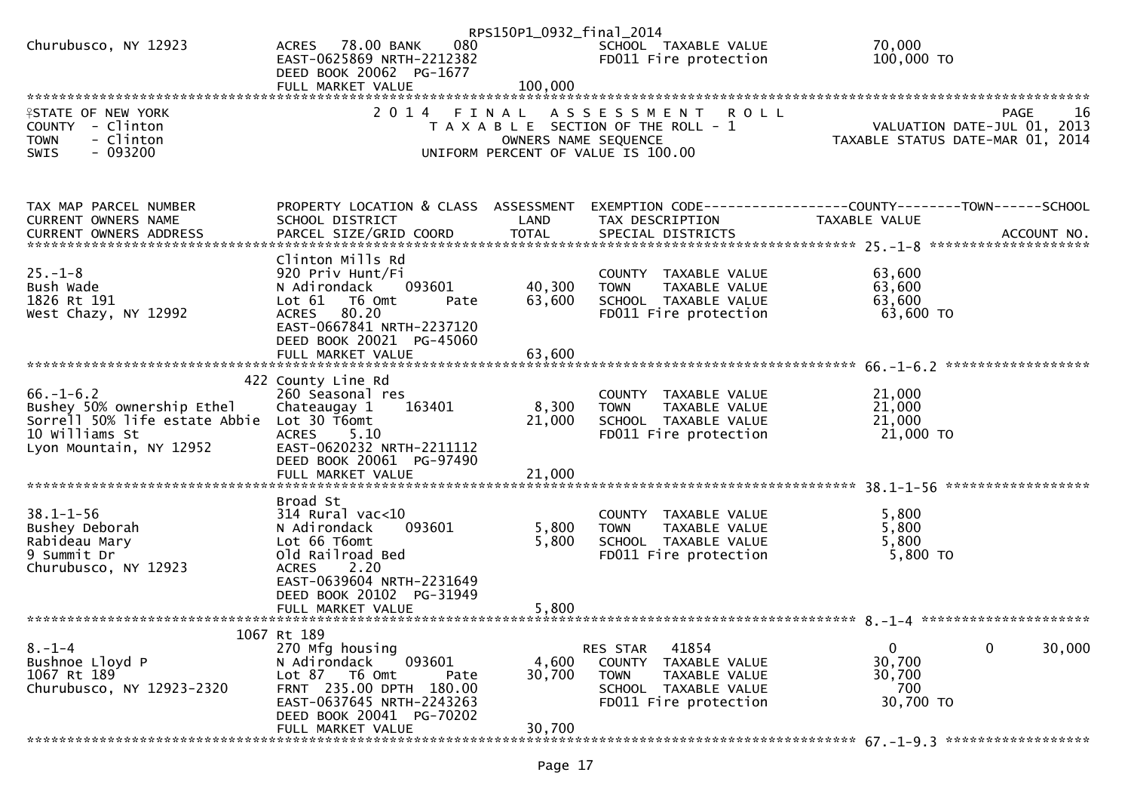| 080<br>SCHOOL TAXABLE VALUE                                                                                                                                                                                                                                                                                                           |        | RPS150P1_0932_final_2014 |                  |                      |
|---------------------------------------------------------------------------------------------------------------------------------------------------------------------------------------------------------------------------------------------------------------------------------------------------------------------------------------|--------|--------------------------|------------------|----------------------|
| EAST-0625869 NRTH-2212382<br>FD011 Fire protection<br>100,000 TO<br>DEED BOOK 20062 PG-1677                                                                                                                                                                                                                                           | 70,000 |                          | ACRES 78.00 BANK | Churubusco, NY 12923 |
|                                                                                                                                                                                                                                                                                                                                       |        |                          |                  |                      |
|                                                                                                                                                                                                                                                                                                                                       |        |                          |                  |                      |
| 2014 FINAL ASSESSMENT<br><b>ISTATE OF NEW YORK</b><br><b>ROLL</b><br>16<br>PAGE<br>VALUATION DATE-JUL 01, 2013<br>COUNTY - Clinton<br>T A X A B L E SECTION OF THE ROLL - 1<br>- Clinton<br><b>TOWN</b><br>TAXABLE STATUS DATE-MAR 01, 2014<br>OWNERS NAME SEQUENCE<br>$-093200$<br><b>SWIS</b><br>UNIFORM PERCENT OF VALUE IS 100.00 |        |                          |                  |                      |
|                                                                                                                                                                                                                                                                                                                                       |        |                          |                  |                      |
|                                                                                                                                                                                                                                                                                                                                       |        |                          |                  |                      |
| PROPERTY LOCATION & CLASS ASSESSMENT<br>TAX MAP PARCEL NUMBER                                                                                                                                                                                                                                                                         |        |                          |                  |                      |
| CURRENT OWNERS NAME<br>SCHOOL DISTRICT<br>LAND<br>TAX DESCRIPTION<br>TAXABLE VALUE                                                                                                                                                                                                                                                    |        |                          |                  |                      |
|                                                                                                                                                                                                                                                                                                                                       |        |                          |                  |                      |
| Clinton Mills Rd                                                                                                                                                                                                                                                                                                                      |        |                          |                  |                      |
| $25. - 1 - 8$<br>920 Priv Hunt/Fi<br>COUNTY TAXABLE VALUE<br>63,600                                                                                                                                                                                                                                                                   |        |                          |                  |                      |
| 40,300<br>63,600<br>Bush Wade<br>093601<br>N Adirondack<br>TAXABLE VALUE<br><b>TOWN</b>                                                                                                                                                                                                                                               |        |                          |                  |                      |
| 63,600<br>1826 Rt 191<br>63,600<br>SCHOOL TAXABLE VALUE<br>Lot $61$<br>T6 Omt<br>Pate<br>ACRES 80.20<br>63,600 TO<br>FD011 Fire protection<br>West Chazy, NY 12992                                                                                                                                                                    |        |                          |                  |                      |
| EAST-0667841 NRTH-2237120                                                                                                                                                                                                                                                                                                             |        |                          |                  |                      |
| DEED BOOK 20021 PG-45060                                                                                                                                                                                                                                                                                                              |        |                          |                  |                      |
| 63,600<br>FULL MARKET VALUE                                                                                                                                                                                                                                                                                                           |        |                          |                  |                      |
| 422 County Line Rd                                                                                                                                                                                                                                                                                                                    |        |                          |                  |                      |
| $66. - 1 - 6.2$<br>21,000<br>260 Seasonal res<br>COUNTY TAXABLE VALUE                                                                                                                                                                                                                                                                 |        |                          |                  |                      |
| 8,300<br>Bushey 50% ownership Ethel<br>163401<br>21,000<br>Chateaugay 1<br>TAXABLE VALUE<br><b>TOWN</b>                                                                                                                                                                                                                               |        |                          |                  |                      |
| Sorrell 50% life estate Abbie<br>21,000<br>Lot 30 T6omt<br>21,000<br>SCHOOL TAXABLE VALUE                                                                                                                                                                                                                                             |        |                          |                  |                      |
| 10 Williams St<br>21,000 TO<br><b>ACRES</b><br>5.10<br>FD011 Fire protection                                                                                                                                                                                                                                                          |        |                          |                  |                      |
| Lyon Mountain, NY 12952<br>EAST-0620232 NRTH-2211112<br>DEED BOOK 20061 PG-97490                                                                                                                                                                                                                                                      |        |                          |                  |                      |
| 21,000<br>FULL MARKET VALUE                                                                                                                                                                                                                                                                                                           |        |                          |                  |                      |
|                                                                                                                                                                                                                                                                                                                                       |        |                          |                  |                      |
| Broad St                                                                                                                                                                                                                                                                                                                              |        |                          |                  |                      |
| $38.1 - 1 - 56$<br>5,800<br>$314$ Rural vac<10<br>COUNTY TAXABLE VALUE                                                                                                                                                                                                                                                                |        |                          |                  |                      |
| Bushey Deborah<br>093601<br>5,800<br>5,800<br>N Adirondack<br>TAXABLE VALUE<br><b>TOWN</b><br>5,800<br>Rabideau Mary<br>Lot 66 T6omt<br>5,800<br>SCHOOL TAXABLE VALUE                                                                                                                                                                 |        |                          |                  |                      |
| 5,800 TO<br>9 Summit Dr<br>Old Railroad Bed<br>FD011 Fire protection                                                                                                                                                                                                                                                                  |        |                          |                  |                      |
| Churubusco, NY 12923<br>2.20<br><b>ACRES</b>                                                                                                                                                                                                                                                                                          |        |                          |                  |                      |
| EAST-0639604 NRTH-2231649                                                                                                                                                                                                                                                                                                             |        |                          |                  |                      |
| DEED BOOK 20102 PG-31949<br>5,800<br>FULL MARKET VALUE                                                                                                                                                                                                                                                                                |        |                          |                  |                      |
|                                                                                                                                                                                                                                                                                                                                       |        |                          |                  |                      |
| 1067 Rt 189                                                                                                                                                                                                                                                                                                                           |        |                          |                  |                      |
| $\mathbf 0$<br>30,000<br>$8. - 1 - 4$<br>270 Mfg housing<br>41854<br>0<br>RES STAR                                                                                                                                                                                                                                                    |        |                          |                  |                      |
| Bushnoe Lloyd P<br>093601<br>4,600<br>30,700<br>N Adirondack<br>COUNTY<br>TAXABLE VALUE<br>Lot 87 T6 Omt                                                                                                                                                                                                                              |        |                          |                  |                      |
| 1067 Rt 189<br>30,700<br>30,700<br>Pate<br><b>TOWN</b><br>TAXABLE VALUE<br>Churubusco, NY 12923-2320<br>FRNT 235.00 DPTH 180.00<br>700<br>SCHOOL TAXABLE VALUE                                                                                                                                                                        |        |                          |                  |                      |
| 30,700 TO<br>EAST-0637645 NRTH-2243263<br>FD011 Fire protection                                                                                                                                                                                                                                                                       |        |                          |                  |                      |
| DEED BOOK 20041 PG-70202                                                                                                                                                                                                                                                                                                              |        |                          |                  |                      |
| 30,700<br>FULL MARKET VALUE                                                                                                                                                                                                                                                                                                           |        |                          |                  |                      |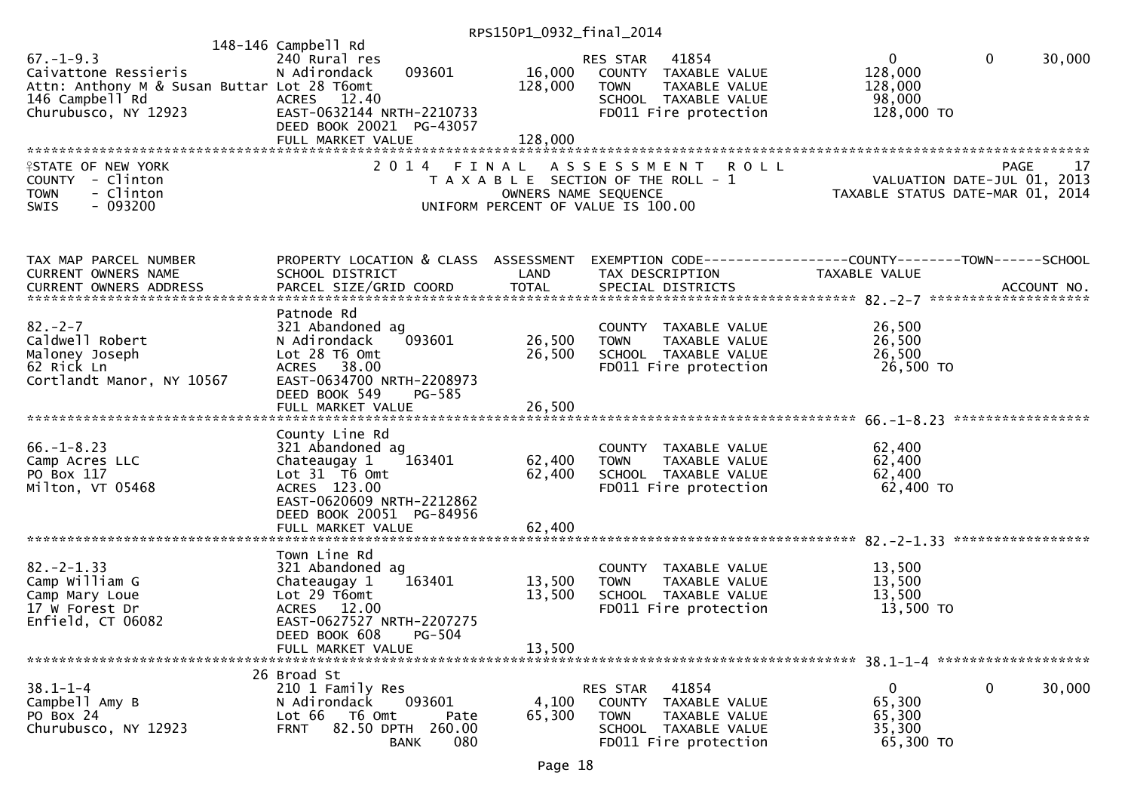| $67. - 1 - 9.3$<br>Caivattone Ressieris<br>Attn: Anthony M & Susan Buttar Lot 28 T6omt<br>146 Campbell Rd<br>Churubusco, NY 12923<br><b>ISTATE OF NEW YORK</b><br>COUNTY - Clinton<br><b>TOWN</b><br>- Clinton<br>$-093200$<br><b>SWIS</b> | 148-146 Campbell Rd<br>240 Rural res<br>093601<br>N Adirondack<br>ACRES 12.40<br>EAST-0632144 NRTH-2210733<br>DEED BOOK 20021 PG-43057<br>FULL MARKET VALUE<br>2014 FINAL | 16,000<br>128,000<br>128,000<br>OWNERS NAME SEQUENCE | RES STAR 41854<br>COUNTY TAXABLE VALUE<br><b>TOWN</b><br>TAXABLE VALUE<br>SCHOOL TAXABLE VALUE<br>FD011 Fire protection<br>ASSESSMENT ROLL<br>T A X A B L E SECTION OF THE ROLL - 1<br>UNIFORM PERCENT OF VALUE IS 100.00 | $\overline{0}$<br>128,000<br>128,000<br>98,000<br>128,000 TO<br><br>VALUATION DATE-JUL 01, 2013<br>TAXABLE STATUS DATE-MAR 01, 2014 | $\mathbf{0}$<br>30,000<br>PAGE<br>17 |
|--------------------------------------------------------------------------------------------------------------------------------------------------------------------------------------------------------------------------------------------|---------------------------------------------------------------------------------------------------------------------------------------------------------------------------|------------------------------------------------------|---------------------------------------------------------------------------------------------------------------------------------------------------------------------------------------------------------------------------|-------------------------------------------------------------------------------------------------------------------------------------|--------------------------------------|
| TAX MAP PARCEL NUMBER<br>CURRENT OWNERS NAME                                                                                                                                                                                               | PROPERTY LOCATION & CLASS ASSESSMENT<br>SCHOOL DISTRICT                                                                                                                   | LAND                                                 | EXEMPTION CODE-----------------COUNTY--------TOWN------SCHOOL<br>TAX DESCRIPTION                                                                                                                                          | TAXABLE VALUE                                                                                                                       |                                      |
| $82 - 2 - 7$<br>Caldwell Robert<br>Maloney Joseph<br>62 Rick Ln<br>Cortlandt Manor, NY 10567                                                                                                                                               | Patnode Rd<br>321 Abandoned ag<br>093601<br>N Adirondack<br>Lot 28 T6 Omt<br>ACRES 38.00<br>EAST-0634700 NRTH-2208973<br>DEED BOOK 549<br>PG-585<br>FULL MARKET VALUE     | 26,500<br>26,500<br>26,500                           | COUNTY TAXABLE VALUE<br><b>TOWN</b><br>TAXABLE VALUE<br>SCHOOL TAXABLE VALUE<br>FD011 Fire protection                                                                                                                     | 26,500<br>26,500<br>26,500<br>26,500 TO                                                                                             |                                      |
| $66. - 1 - 8.23$<br>Camp Acres LLC<br>PO Box 117<br>Milton, VT 05468                                                                                                                                                                       | County Line Rd<br>321 Abandoned ag<br>Chateaugay 1<br>163401<br>Lot $31$ T6 Omt<br>ACRES 123.00<br>EAST-0620609 NRTH-2212862<br>DEED BOOK 20051 PG-84956                  | 62,400<br>62,400                                     | COUNTY TAXABLE VALUE<br>TAXABLE VALUE<br><b>TOWN</b><br>SCHOOL TAXABLE VALUE<br>FD011 Fire protection                                                                                                                     | 62,400<br>62,400<br>62,400<br>62,400 TO                                                                                             |                                      |
| $82 - 2 - 1.33$<br>Camp William G<br>Camp Mary Loue<br>17 W Forest Dr<br>Enfield, CT 06082                                                                                                                                                 | Town Line Rd<br>321 Abandoned ag<br>163401<br>Chateaugay 1<br>Lot 29 T6omt<br>ACRES 12.00<br>EAST-0627527 NRTH-2207275<br>DEED BOOK 608<br>PG-504<br>FULL MARKET VALUE    | 13,500<br>13,500<br>13,500                           | COUNTY TAXABLE VALUE<br>TAXABLE VALUE<br><b>TOWN</b><br>SCHOOL TAXABLE VALUE<br>FD011 Fire protection                                                                                                                     | 13,500<br>13,500<br>13,500<br>13,500 TO                                                                                             |                                      |
| $38.1 - 1 - 4$<br>Campbell Amy B<br>PO Box 24<br>Churubusco, NY 12923                                                                                                                                                                      | 26 Broad St<br>210 1 Family Res<br>093601<br>N Adirondack<br>Lot 66<br>T6 Omt<br>Pate<br>82.50 DPTH 260.00<br><b>FRNT</b><br>080<br><b>BANK</b>                           | 4,100<br>65,300                                      | 41854<br>RES STAR<br><b>COUNTY</b><br>TAXABLE VALUE<br><b>TOWN</b><br>TAXABLE VALUE<br><b>SCHOOL</b><br>TAXABLE VALUE<br>FD011 Fire protection                                                                            | 0<br>65,300<br>65,300<br>35,300<br>65,300 TO                                                                                        | 0<br>30,000                          |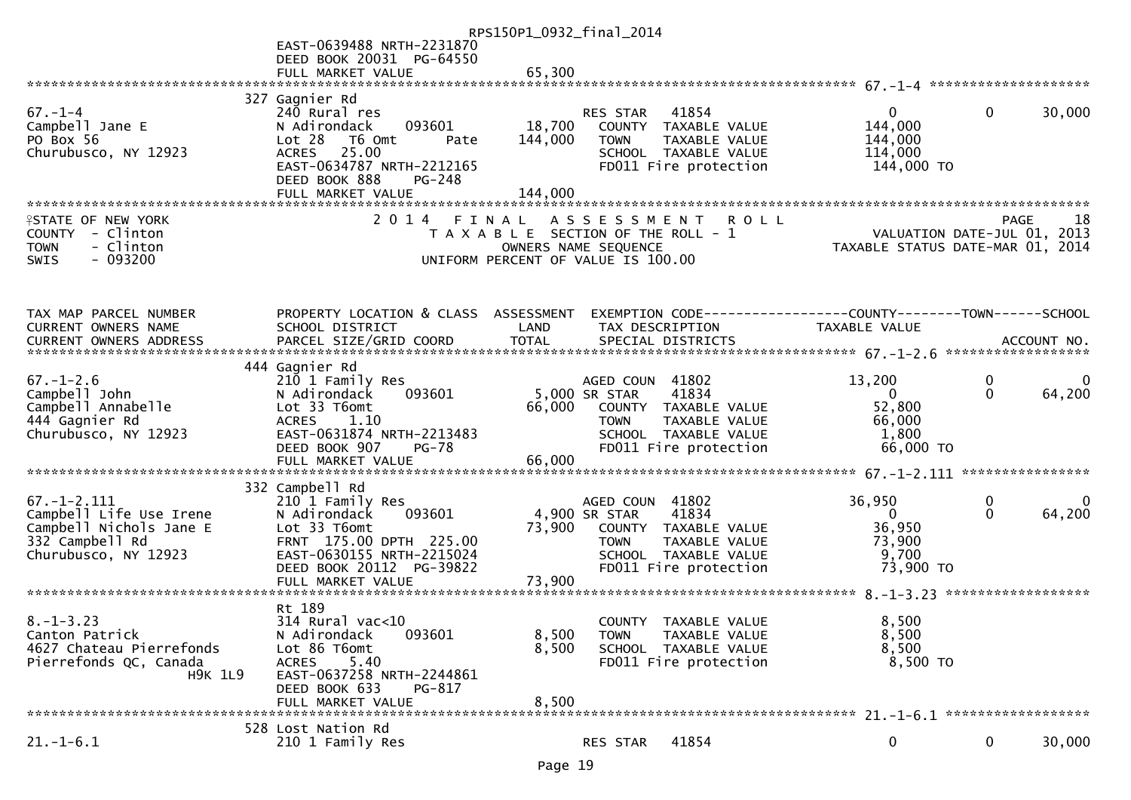|                                                                                                                    |                                                                                                                                                                                         | RPS150P1_0932_final_2014                                                                                                                                               |                                                                                                  |
|--------------------------------------------------------------------------------------------------------------------|-----------------------------------------------------------------------------------------------------------------------------------------------------------------------------------------|------------------------------------------------------------------------------------------------------------------------------------------------------------------------|--------------------------------------------------------------------------------------------------|
|                                                                                                                    | EAST-0639488 NRTH-2231870                                                                                                                                                               |                                                                                                                                                                        |                                                                                                  |
|                                                                                                                    | DEED BOOK 20031 PG-64550<br>FULL MARKET VALUE                                                                                                                                           | 65,300                                                                                                                                                                 |                                                                                                  |
|                                                                                                                    |                                                                                                                                                                                         |                                                                                                                                                                        |                                                                                                  |
| $67. - 1 - 4$<br>Campbell Jane E<br>PO Box 56<br>Churubusco, NY 12923                                              | 327 Gagnier Rd<br>240 Rural res<br>N Adirondack<br>093601<br>Lot 28<br>T6 Omt<br>Pate<br>25.00<br><b>ACRES</b><br>EAST-0634787 NRTH-2212165<br>DEED BOOK 888<br>PG-248                  | 41854<br>RES STAR<br>18,700<br>COUNTY TAXABLE VALUE<br>144,000<br>TAXABLE VALUE<br><b>TOWN</b><br>SCHOOL TAXABLE VALUE<br>FD011 Fire protection                        | $\mathbf{0}$<br>30,000<br>$\overline{0}$<br>144,000<br>144,000<br>114,000<br>144,000 TO          |
|                                                                                                                    | FULL MARKET VALUE                                                                                                                                                                       | 144,000                                                                                                                                                                |                                                                                                  |
|                                                                                                                    |                                                                                                                                                                                         |                                                                                                                                                                        |                                                                                                  |
| <b>ISTATE OF NEW YORK</b><br>COUNTY - Clinton<br>- Clinton<br><b>TOWN</b><br>$-093200$<br><b>SWIS</b>              |                                                                                                                                                                                         | 2014 FINAL ASSESSMENT<br><b>ROLL</b><br>T A X A B L E SECTION OF THE ROLL - 1<br>OWNERS NAME SEQUENCE<br>UNIFORM PERCENT OF VALUE IS 100.00                            | 18<br>PAGE<br>VALUATION DATE-JUL 01, 2013<br>TAXABLE STATUS DATE-MAR 01, 2014                    |
|                                                                                                                    |                                                                                                                                                                                         |                                                                                                                                                                        |                                                                                                  |
| TAX MAP PARCEL NUMBER<br>CURRENT OWNERS NAME                                                                       | PROPERTY LOCATION & CLASS ASSESSMENT<br>SCHOOL DISTRICT                                                                                                                                 | TAX DESCRIPTION<br>LAND                                                                                                                                                | EXEMPTION CODE-----------------COUNTY-------TOWN------SCHOOL<br><b>TAXABLE VALUE</b>             |
|                                                                                                                    |                                                                                                                                                                                         |                                                                                                                                                                        |                                                                                                  |
| $67. - 1 - 2.6$<br>Campbell John<br>Campbell Annabelle<br>444 Gagnier Rd<br>Churubusco, NY 12923                   | 444 Gagnier Rd<br>210 1 Family Res<br>093601<br>N Adirondack<br>Lot 33 T6omt<br>1.10<br><b>ACRES</b><br>EAST-0631874 NRTH-2213483<br>DEED BOOK 907<br><b>PG-78</b><br>FULL MARKET VALUE | AGED COUN 41802<br>5,000 SR STAR<br>41834<br>66,000<br>COUNTY TAXABLE VALUE<br>TAXABLE VALUE<br><b>TOWN</b><br>SCHOOL TAXABLE VALUE<br>FD011 Fire protection<br>66,000 | 13,200<br>0<br>64,200<br>$\Omega$<br>$\mathbf{0}$<br>52,800<br>66,000<br>1,800<br>66,000 TO      |
|                                                                                                                    | 332 Campbell Rd                                                                                                                                                                         |                                                                                                                                                                        |                                                                                                  |
| $67. - 1 - 2.111$<br>Campbell Life Use Irene<br>Campbell Nichols Jane E<br>332 Campbell Rd<br>Churubusco, NY 12923 | 210 1 Family Res<br>N Adirondack<br>093601<br>Lot 33 T6omt<br>FRNT 175.00 DPTH 225.00<br>EAST-0630155 NRTH-2215024<br>DEED BOOK 20112 PG-39822<br>FULL MARKET VALUE                     | AGED COUN 41802<br>41834<br>4,900 SR STAR<br>73,900<br>COUNTY TAXABLE VALUE<br>TAXABLE VALUE<br><b>TOWN</b><br>SCHOOL TAXABLE VALUE<br>FD011 Fire protection<br>73,900 | 36,950<br>0<br>64,200<br>$\mathbf 0$<br>$\overline{0}$<br>36,950<br>73,900<br>9,700<br>73,900 TO |
|                                                                                                                    | Rt 189                                                                                                                                                                                  |                                                                                                                                                                        |                                                                                                  |
| $8. - 1 - 3.23$<br>Canton Patrick<br>4627 Chateau Pierrefonds<br>Pierrefonds QC, Canada<br><b>H9K 1L9</b>          | $314$ Rural vac<10<br>N Adirondack<br>093601<br>Lot 86 T6omt<br>5.40<br><b>ACRES</b><br>EAST-0637258 NRTH-2244861<br>DEED BOOK 633<br>PG-817                                            | COUNTY TAXABLE VALUE<br>8,500<br><b>TOWN</b><br>TAXABLE VALUE<br>8,500<br>SCHOOL TAXABLE VALUE<br>FD011 Fire protection                                                | 8.500<br>8,500<br>8,500<br>8,500 TO                                                              |
|                                                                                                                    | FULL MARKET VALUE                                                                                                                                                                       | 8,500                                                                                                                                                                  |                                                                                                  |
| $21.-1-6.1$                                                                                                        | 528 Lost Nation Rd<br>210 1 Family Res                                                                                                                                                  | 41854<br>RES STAR                                                                                                                                                      | 30,000<br>0<br>0                                                                                 |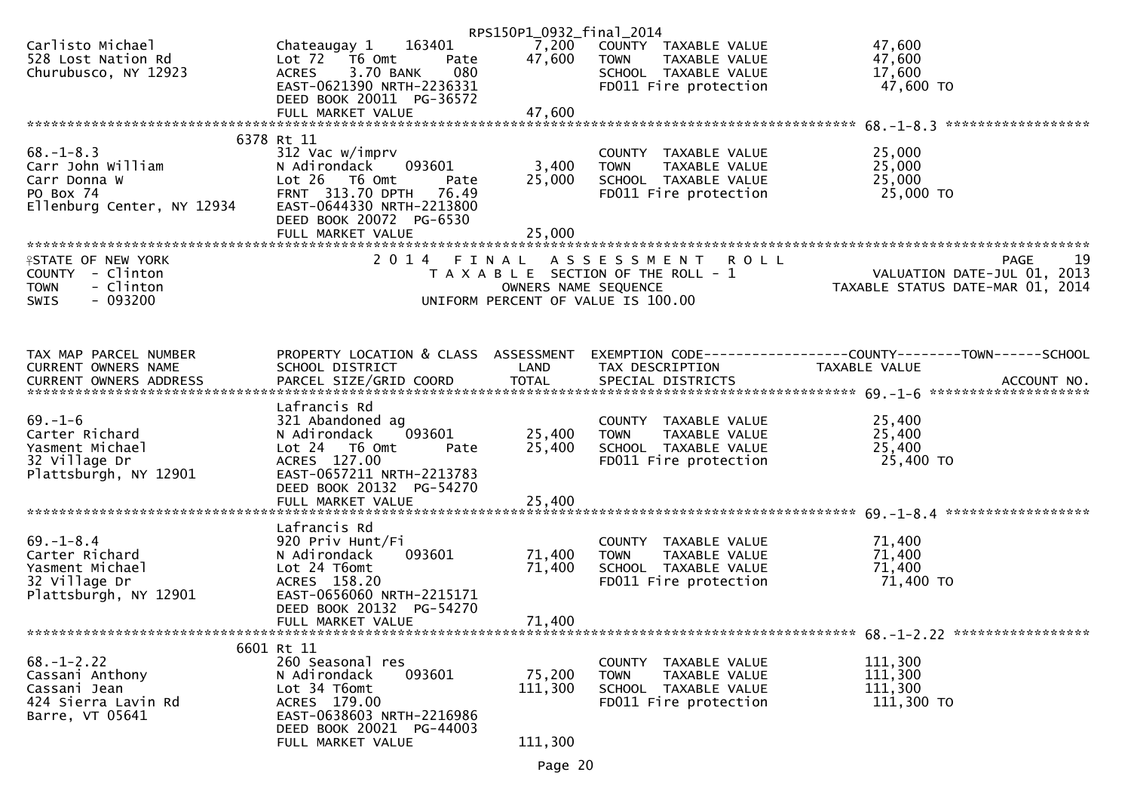| 163401<br>Chateaugay 1<br>Lot 72<br>T6 Omt<br>Pate<br><b>ACRES</b><br>3.70 BANK<br>080<br>EAST-0621390 NRTH-2236331                                                          | 7,200<br>47,600                                                                           | COUNTY TAXABLE VALUE<br><b>TOWN</b><br>TAXABLE VALUE<br>SCHOOL TAXABLE VALUE<br>FD011 Fire protection | 47,600<br>47,600<br>17,600<br>47,600 TO                                                                                                                                                                                                                           |
|------------------------------------------------------------------------------------------------------------------------------------------------------------------------------|-------------------------------------------------------------------------------------------|-------------------------------------------------------------------------------------------------------|-------------------------------------------------------------------------------------------------------------------------------------------------------------------------------------------------------------------------------------------------------------------|
| FULL MARKET VALUE                                                                                                                                                            | 47,600                                                                                    |                                                                                                       |                                                                                                                                                                                                                                                                   |
|                                                                                                                                                                              |                                                                                           |                                                                                                       | ******************                                                                                                                                                                                                                                                |
| 312 Vac w/imprv<br>093601<br>N Adirondack<br>Lot 26 T6 Omt<br>Pate<br>FRNT 313.70 DPTH<br>76.49<br>EAST-0644330 NRTH-2213800<br>DEED BOOK 20072 PG-6530<br>FULL MARKET VALUE | 3,400<br>25,000<br>25,000                                                                 | COUNTY TAXABLE VALUE<br>TAXABLE VALUE<br><b>TOWN</b><br>SCHOOL TAXABLE VALUE<br>FD011 Fire protection | 25,000<br>25,000<br>25,000<br>25,000 TO                                                                                                                                                                                                                           |
|                                                                                                                                                                              |                                                                                           |                                                                                                       | 19<br>PAGE                                                                                                                                                                                                                                                        |
|                                                                                                                                                                              |                                                                                           |                                                                                                       | VALUATION DATE-JUL 01, 2013<br>TAXABLE STATUS DATE-MAR 01, 2014                                                                                                                                                                                                   |
| SCHOOL DISTRICT                                                                                                                                                              | LAND                                                                                      | TAX DESCRIPTION                                                                                       | TAXABLE VALUE                                                                                                                                                                                                                                                     |
| Lafrancis Rd<br>321 Abandoned ag<br>N Adirondack<br>093601<br>Lot 24  T6 Omt<br>Pate<br>ACRES 127.00<br>EAST-0657211 NRTH-2213783<br>DEED BOOK 20132 PG-54270                | 25,400<br>25,400                                                                          | COUNTY TAXABLE VALUE<br>TAXABLE VALUE<br><b>TOWN</b><br>SCHOOL TAXABLE VALUE<br>FD011 Fire protection | 25,400<br>25,400<br>25,400<br>25,400 TO                                                                                                                                                                                                                           |
|                                                                                                                                                                              |                                                                                           |                                                                                                       |                                                                                                                                                                                                                                                                   |
| 920 Priv Hunt/Fi<br>093601<br>N Adirondack<br>Lot 24 T6omt<br>ACRES 158.20<br>EAST-0656060 NRTH-2215171<br>DEED BOOK 20132 PG-54270                                          | 71,400<br>71,400                                                                          | COUNTY TAXABLE VALUE<br>TAXABLE VALUE<br><b>TOWN</b><br>SCHOOL TAXABLE VALUE<br>FD011 Fire protection | 71,400<br>71,400<br>71,400<br>71,400 TO                                                                                                                                                                                                                           |
| FULL MARKET VALUE                                                                                                                                                            | 71,400                                                                                    |                                                                                                       |                                                                                                                                                                                                                                                                   |
|                                                                                                                                                                              |                                                                                           |                                                                                                       |                                                                                                                                                                                                                                                                   |
| 260 Seasonal res<br>093601<br>N Adirondack<br>Lot 34 T6omt<br>ACRES 179.00<br>EAST-0638603 NRTH-2216986<br>DEED BOOK 20021 PG-44003                                          | 75,200<br>111,300                                                                         | COUNTY TAXABLE VALUE<br><b>TOWN</b><br>TAXABLE VALUE<br>SCHOOL TAXABLE VALUE<br>FD011 Fire protection | 111,300<br>111,300<br>111,300<br>111,300 TO                                                                                                                                                                                                                       |
|                                                                                                                                                                              | DEED BOOK 20011 PG-36572<br>6378 Rt 11<br>Lafrancis Rd<br>6601 Rt 11<br>FULL MARKET VALUE | 2014 FINAL<br>111,300                                                                                 | RPS150P1_0932_final_2014<br>ASSESSMENT<br><b>ROLL</b><br>T A X A B L E SECTION OF THE ROLL - 1<br>OWNERS NAME SEQUENCE<br>UNIFORM PERCENT OF VALUE IS 100.00<br>PROPERTY LOCATION & CLASS ASSESSMENT EXEMPTION CODE----------------COUNTY--------TOWN------SCHOOL |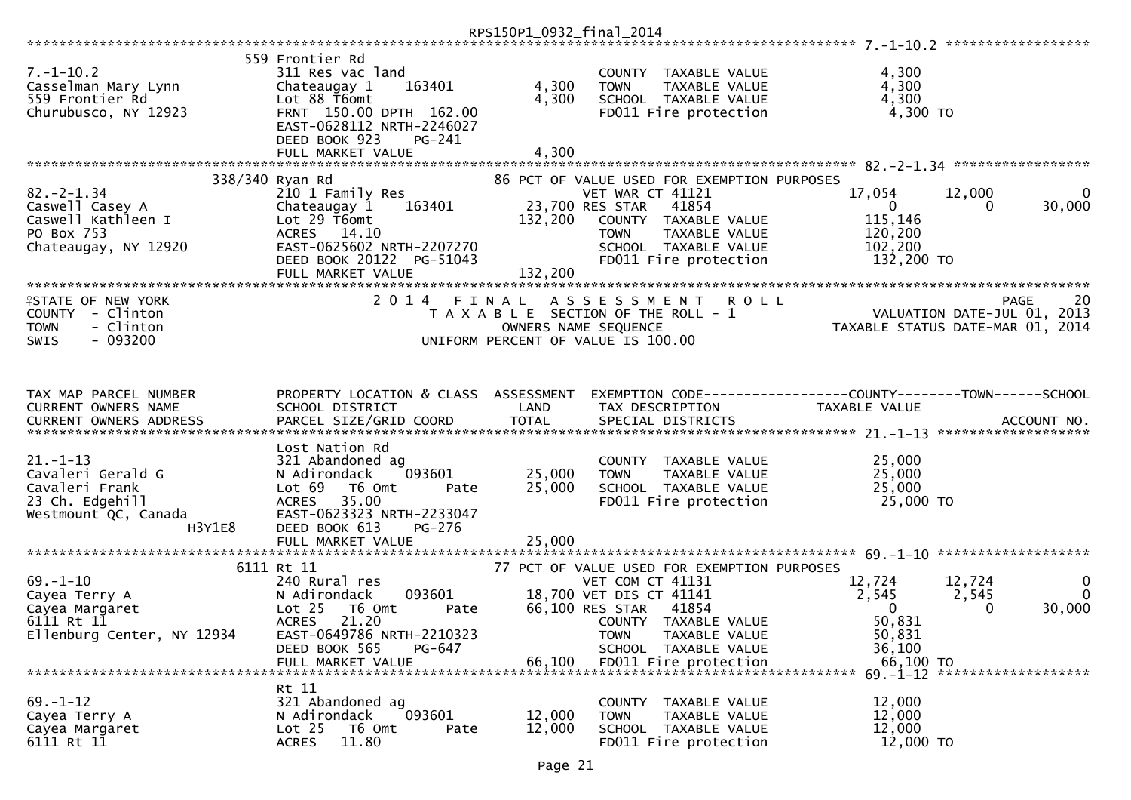| $7. - 1 - 10.2$<br>Casselman Mary Lynn<br>559 Frontier Rd<br>Churubusco, NY 12923                          | 559 Frontier Rd<br>311 Res vac land<br>Chateaugay 1<br>163401<br>Lot 88 T6omt<br>FRNT 150.00 DPTH 162.00<br>EAST-0628112 NRTH-2246027                                                              | 4,300<br>4,300     | COUNTY TAXABLE VALUE<br>TAXABLE VALUE<br><b>TOWN</b><br>SCHOOL TAXABLE VALUE<br>FD011 Fire protection                                                                                                                           | 4,300<br>4,300<br>4,300<br>4,300 TO                                        |                                                     |
|------------------------------------------------------------------------------------------------------------|----------------------------------------------------------------------------------------------------------------------------------------------------------------------------------------------------|--------------------|---------------------------------------------------------------------------------------------------------------------------------------------------------------------------------------------------------------------------------|----------------------------------------------------------------------------|-----------------------------------------------------|
|                                                                                                            | DEED BOOK 923<br>PG-241                                                                                                                                                                            |                    |                                                                                                                                                                                                                                 |                                                                            |                                                     |
|                                                                                                            | FULL MARKET VALUE                                                                                                                                                                                  | 4,300              |                                                                                                                                                                                                                                 |                                                                            |                                                     |
|                                                                                                            | 338/340 Ryan Rd                                                                                                                                                                                    |                    | 86 PCT OF VALUE USED FOR EXEMPTION PURPOSES                                                                                                                                                                                     |                                                                            |                                                     |
| $82 - 2 - 1.34$<br>Caswell Casey A<br>Caswell Kathleen I<br>PO Box 753<br>Chateaugay, NY 12920             | 210 1 Family Res<br>Chateaugay 1<br>163401<br>Lot 29 T6omt<br>ACRES 14.10<br>EAST-0625602 NRTH-2207270<br>DEED BOOK 20122 PG-51043<br>FULL MARKET VALUE                                            | 132,200<br>132,200 | VET WAR CT 41121<br>41854<br>23,700 RES STAR<br>COUNTY TAXABLE VALUE<br><b>TOWN</b><br>TAXABLE VALUE<br>SCHOOL TAXABLE VALUE<br>FD011 Fire protection                                                                           | 17,054<br>$\mathbf{0}$<br>115,146<br>120,200<br>102,200<br>132,200 TO      | 12,000<br>$\mathbf{0}$<br>30,000<br>0               |
|                                                                                                            |                                                                                                                                                                                                    |                    |                                                                                                                                                                                                                                 |                                                                            |                                                     |
| <b>ISTATE OF NEW YORK</b><br>COUNTY - Clinton<br>- Clinton<br><b>TOWN</b><br>$-093200$<br>SWIS             | 2014 FINAL                                                                                                                                                                                         |                    | ASSESSMENT ROLL<br>T A X A B L E SECTION OF THE ROLL - 1<br>OWNERS NAME SEQUENCE<br>UNIFORM PERCENT OF VALUE IS 100.00                                                                                                          | VALUATION DATE-JUL 01, 2013<br>TAXABLE STATUS DATE-MAR 01, 2014            | 20<br><b>PAGE</b>                                   |
|                                                                                                            |                                                                                                                                                                                                    |                    |                                                                                                                                                                                                                                 |                                                                            |                                                     |
| TAX MAP PARCEL NUMBER<br>CURRENT OWNERS NAME                                                               | PROPERTY LOCATION & CLASS ASSESSMENT<br>SCHOOL DISTRICT                                                                                                                                            | LAND               | EXEMPTION CODE-----------------COUNTY-------TOWN------SCHOOL<br>TAX DESCRIPTION                                                                                                                                                 | TAXABLE VALUE                                                              |                                                     |
|                                                                                                            |                                                                                                                                                                                                    |                    |                                                                                                                                                                                                                                 |                                                                            |                                                     |
| $21. - 1 - 13$<br>Cavaleri Gerald G<br>Cavaleri Frank<br>23 Ch. Edgehill<br>Westmount QC, Canada<br>H3Y1E8 | Lost Nation Rd<br>321 Abandoned ag<br>093601<br>N Adirondack<br>Lot 69<br>T6 Omt<br>Pate<br>35.00<br><b>ACRES</b><br>EAST-0623323 NRTH-2233047<br>DEED BOOK 613<br>PG-276                          | 25,000<br>25,000   | COUNTY TAXABLE VALUE<br><b>TOWN</b><br>TAXABLE VALUE<br>SCHOOL TAXABLE VALUE<br>FD011 Fire protection                                                                                                                           | 25,000<br>25,000<br>25,000<br>25,000 TO                                    |                                                     |
|                                                                                                            | FULL MARKET VALUE                                                                                                                                                                                  | 25,000             |                                                                                                                                                                                                                                 |                                                                            |                                                     |
|                                                                                                            |                                                                                                                                                                                                    |                    |                                                                                                                                                                                                                                 |                                                                            |                                                     |
| $69. - 1 - 10$<br>Cayea Terry A<br>Cayea Margaret<br>6111 Rt 11<br>Ellenburg Center, NY 12934              | 6111 Rt 11<br>240 Rural res<br>093601<br>N Adirondack<br>Lot <sub>25</sub><br>T6 Omt<br>Pate<br><b>ACRES</b><br>21.20<br>EAST-0649786 NRTH-2210323<br>DEED BOOK 565<br>PG-647<br>FULL MARKET VALUE | 66,100             | 77 PCT OF VALUE USED FOR EXEMPTION PURPOSES<br>VET COM CT 41131<br>18,700 VET DIS CT 41141<br>66,100 RES STAR<br>41854<br>COUNTY TAXABLE VALUE<br>TAXABLE VALUE<br><b>TOWN</b><br>SCHOOL TAXABLE VALUE<br>FD011 Fire protection | 12,724<br>2,545<br>$\mathbf{0}$<br>50,831<br>50,831<br>36,100<br>66,100 TO | 12,724<br>0<br>$\mathbf{0}$<br>2,545<br>30,000<br>0 |
|                                                                                                            |                                                                                                                                                                                                    |                    |                                                                                                                                                                                                                                 |                                                                            | 69. -1-12 *********************                     |
| $69. - 1 - 12$<br>Cayea Terry A<br>Cayea Margaret<br>6111 Rt 11                                            | Rt 11<br>321 Abandoned ag<br>093601<br>N Adirondack<br>Lot <sub>25</sub><br>T6 Omt<br>Pate<br>11.80<br><b>ACRES</b>                                                                                | 12,000<br>12,000   | COUNTY TAXABLE VALUE<br><b>TOWN</b><br>TAXABLE VALUE<br>SCHOOL TAXABLE VALUE<br>FD011 Fire protection                                                                                                                           | 12,000<br>12,000<br>12,000<br>12,000 TO                                    |                                                     |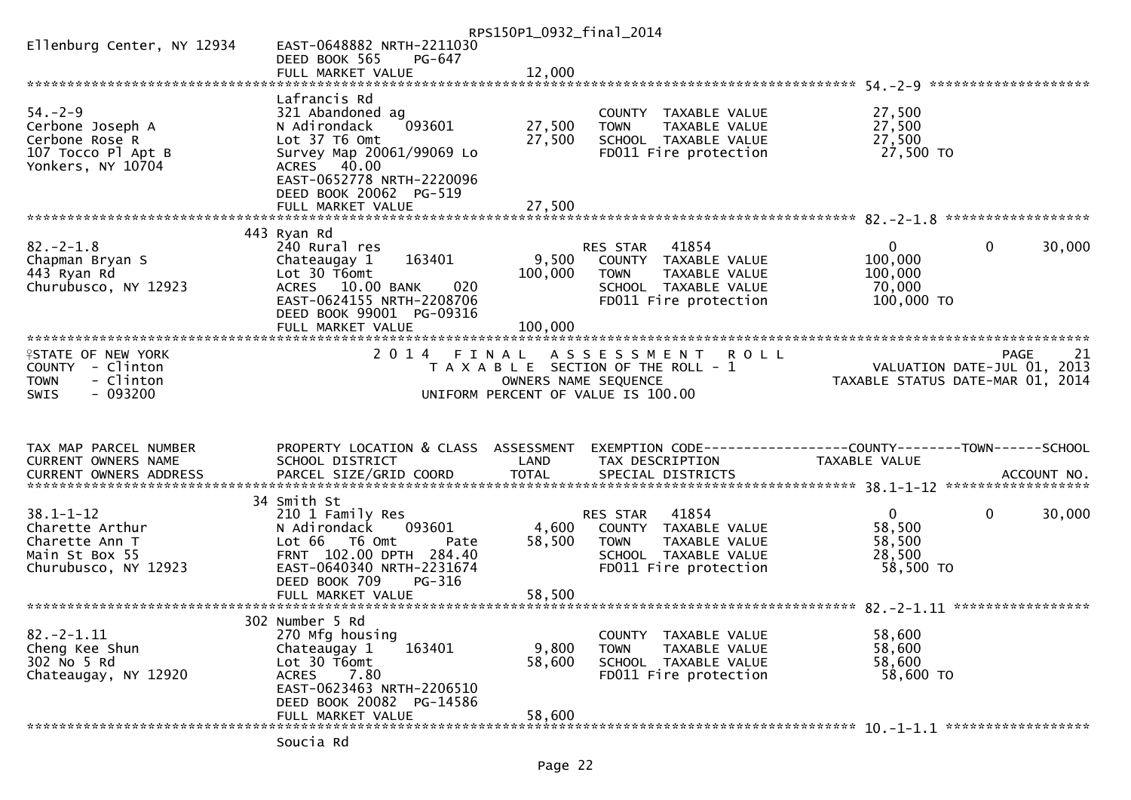|                                     |                                            | RPS150P1_0932_final_2014 |                                                                |                                  |              |        |
|-------------------------------------|--------------------------------------------|--------------------------|----------------------------------------------------------------|----------------------------------|--------------|--------|
| Ellenburg Center, NY 12934          | EAST-0648882 NRTH-2211030                  |                          |                                                                |                                  |              |        |
|                                     | DEED BOOK 565<br>PG-647                    |                          |                                                                |                                  |              |        |
|                                     |                                            |                          |                                                                |                                  |              |        |
|                                     |                                            |                          |                                                                |                                  |              |        |
| $54. - 2 - 9$                       | Lafrancis Rd                               |                          |                                                                | 27,500                           |              |        |
| Cerbone Joseph A                    | 321 Abandoned ag<br>N Adirondack<br>093601 | 27,500                   | COUNTY TAXABLE VALUE<br><b>TOWN</b><br>TAXABLE VALUE           | 27,500                           |              |        |
| Cerbone Rose R                      | Lot 37 T6 Omt                              | 27,500                   | SCHOOL TAXABLE VALUE                                           | 27,500                           |              |        |
| 107 Tocco Pl Apt B                  | Survey Map 20061/99069 Lo                  |                          | FD011 Fire protection                                          | 27,500 TO                        |              |        |
| Yonkers, NY 10704                   | ACRES 40.00                                |                          |                                                                |                                  |              |        |
|                                     | EAST-0652778 NRTH-2220096                  |                          |                                                                |                                  |              |        |
|                                     | DEED BOOK 20062 PG-519                     |                          |                                                                |                                  |              |        |
|                                     | FULL MARKET VALUE                          | 27,500                   |                                                                |                                  |              |        |
|                                     |                                            |                          |                                                                |                                  |              |        |
|                                     | 443 Ryan Rd                                |                          |                                                                |                                  |              |        |
| $82 - 2 - 1.8$                      | 240 Rural res                              |                          | RES STAR<br>41854                                              | $\Omega$                         | $\mathbf{0}$ | 30,000 |
| Chapman Bryan S                     | 163401<br>Chateaugay 1                     | 9,500                    | COUNTY TAXABLE VALUE                                           | 100,000                          |              |        |
| 443 Ryan Rd<br>Churubusco, NY 12923 | Lot 30 T6omt<br>ACRES 10.00 BANK<br>020    | 100,000                  | <b>TOWN</b><br>TAXABLE VALUE<br>SCHOOL TAXABLE VALUE           | 100,000<br>70,000                |              |        |
|                                     | EAST-0624155 NRTH-2208706                  |                          | FD011 Fire protection                                          | 100,000 TO                       |              |        |
|                                     | DEED BOOK 99001 PG-09316                   |                          |                                                                |                                  |              |        |
|                                     | FULL MARKET VALUE                          | 100,000                  |                                                                |                                  |              |        |
|                                     |                                            |                          |                                                                |                                  |              |        |
| <b>ISTATE OF NEW YORK</b>           |                                            |                          | 2014 FINAL ASSESSMENT<br><b>ROLL</b>                           |                                  | PAGE         | 21     |
| COUNTY - Clinton                    |                                            |                          | T A X A B L E SECTION OF THE ROLL - 1                          | VALUATION DATE-JUL $01, 2013$    |              |        |
| - Clinton<br><b>TOWN</b>            |                                            |                          | OWNERS NAME SEQUENCE                                           | TAXABLE STATUS DATE-MAR 01, 2014 |              |        |
| $-093200$<br><b>SWIS</b>            |                                            |                          | UNIFORM PERCENT OF VALUE IS 100.00                             |                                  |              |        |
|                                     |                                            |                          |                                                                |                                  |              |        |
|                                     |                                            |                          |                                                                |                                  |              |        |
| TAX MAP PARCEL NUMBER               | PROPERTY LOCATION & CLASS ASSESSMENT       |                          | EXEMPTION CODE------------------COUNTY--------TOWN------SCHOOL |                                  |              |        |
| CURRENT OWNERS NAME                 | SCHOOL DISTRICT                            | LAND                     | TAX DESCRIPTION                                                | TAXABLE VALUE                    |              |        |
|                                     |                                            |                          |                                                                |                                  |              |        |
|                                     |                                            |                          |                                                                |                                  |              |        |
|                                     | 34 Smith St                                |                          |                                                                |                                  |              |        |
| $38.1 - 1 - 12$                     | 210 1 Family Res                           |                          | 41854<br>RES STAR                                              | $\overline{0}$                   | $\mathbf{0}$ | 30,000 |
| Charette Arthur                     | N Adirondack<br>093601                     | 4,600                    | COUNTY TAXABLE VALUE                                           | 58,500                           |              |        |
| Charette Ann T                      | Lot 66 T6 Omt<br>Pate                      | 58,500                   | <b>TOWN</b><br>TAXABLE VALUE                                   | 58,500                           |              |        |
| Main St Box 55                      |                                            |                          |                                                                |                                  |              |        |
| Churubusco, NY 12923                | FRNT 102.00 DPTH 284.40                    |                          | SCHOOL TAXABLE VALUE                                           | 28,500                           |              |        |
|                                     | EAST-0640340 NRTH-2231674                  |                          | FD011 Fire protection                                          | 58,500 TO                        |              |        |
|                                     | DEED BOOK 709<br>PG-316                    |                          |                                                                |                                  |              |        |
|                                     | FULL MARKET VALUE                          | 58,500                   |                                                                |                                  |              |        |
|                                     |                                            |                          |                                                                |                                  |              |        |
|                                     | 302 Number 5 Rd                            |                          |                                                                |                                  |              |        |
| $82 - 2 - 1.11$<br>Cheng Kee Shun   | 270 Mfg housing<br>163401<br>Chateaugay 1  | 9,800                    | COUNTY TAXABLE VALUE<br><b>TOWN</b><br>TAXABLE VALUE           | 58,600<br>58,600                 |              |        |
| 302 No 5 Rd                         | Lot 30 T6omt                               | 58,600                   | SCHOOL TAXABLE VALUE                                           | 58,600                           |              |        |
| Chateaugay, NY 12920                | ACRES 7.80                                 |                          | FD011 Fire protection                                          | 58,600 TO                        |              |        |
|                                     | EAST-0623463 NRTH-2206510                  |                          |                                                                |                                  |              |        |
|                                     | DEED BOOK 20082 PG-14586                   |                          |                                                                |                                  |              |        |
|                                     | FULL MARKET VALUE                          | 58,600                   |                                                                |                                  |              |        |
|                                     | Soucia Rd                                  |                          |                                                                |                                  |              |        |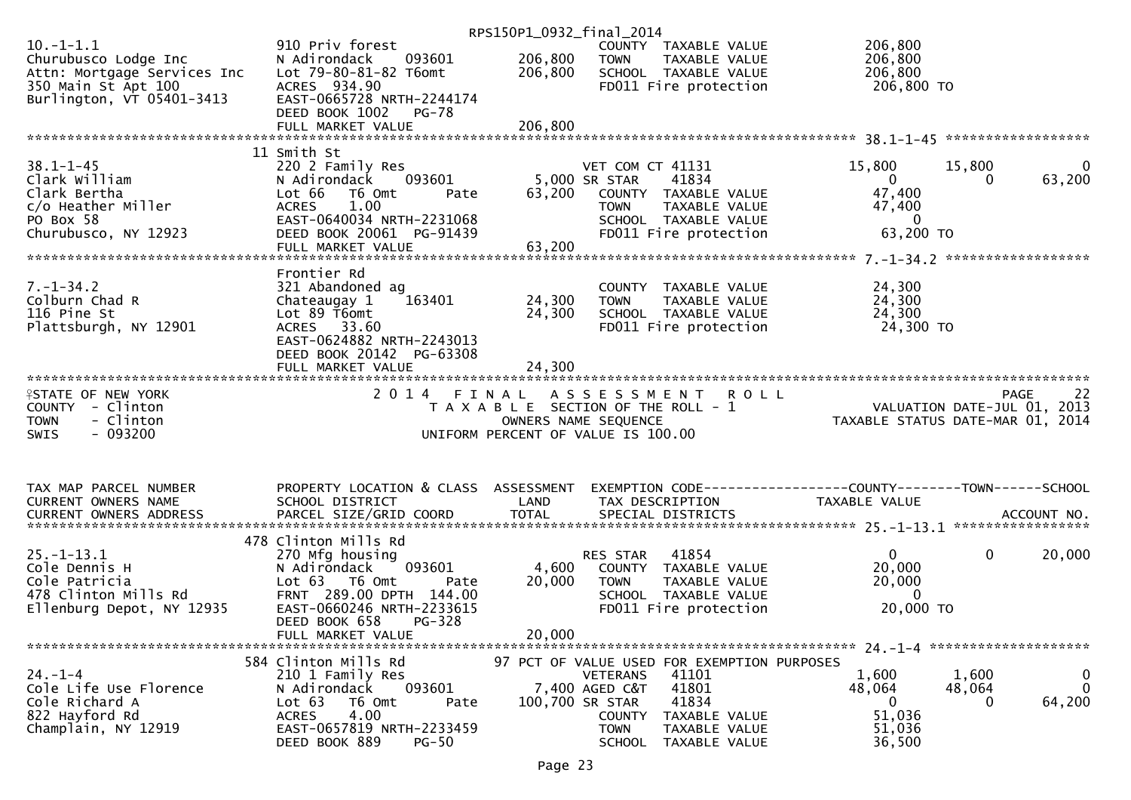|                             |                                                       | RPS150P1_0932_final_2014 |                                                      |                                                                                                                                               |
|-----------------------------|-------------------------------------------------------|--------------------------|------------------------------------------------------|-----------------------------------------------------------------------------------------------------------------------------------------------|
| $10.-1-1.1$                 | 910 Priv forest                                       |                          | COUNTY TAXABLE VALUE                                 | 206,800                                                                                                                                       |
| Churubusco Lodge Inc        | 093601<br>N Adirondack                                | 206,800                  | <b>TOWN</b><br>TAXABLE VALUE                         | 206,800                                                                                                                                       |
| Attn: Mortgage Services Inc | Lot 79-80-81-82 T6omt                                 | 206,800                  | SCHOOL TAXABLE VALUE                                 | 206,800                                                                                                                                       |
| 350 Main St Apt 100         | ACRES 934.90                                          |                          | FD011 Fire protection                                | 206,800 TO                                                                                                                                    |
| Burlington, VT 05401-3413   | EAST-0665728 NRTH-2244174                             |                          |                                                      |                                                                                                                                               |
|                             | DEED BOOK 1002<br>PG-78                               |                          |                                                      |                                                                                                                                               |
|                             | FULL MARKET VALUE                                     | 206,800                  |                                                      |                                                                                                                                               |
|                             |                                                       |                          |                                                      |                                                                                                                                               |
|                             | 11 Smith St                                           |                          |                                                      |                                                                                                                                               |
| $38.1 - 1 - 45$             | 220 2 Family Res                                      |                          | VET COM CT 41131                                     | 15,800<br>15,800<br>$\bf{0}$                                                                                                                  |
| Clark William               | N Adirondack 093601                                   |                          | 41834<br>5,000 SR STAR                               | 63,200<br>$\overline{0}$<br>0                                                                                                                 |
| Clark Bertha                | Lot 66<br>T6 Omt<br>Pate                              | 63,200                   | COUNTY TAXABLE VALUE                                 | 47,400                                                                                                                                        |
| c/o Heather Miller          | <b>ACRES</b><br>1.00                                  |                          | TAXABLE VALUE<br><b>TOWN</b>                         | 47,400                                                                                                                                        |
| PO Box 58                   | EAST-0640034 NRTH-2231068                             |                          | SCHOOL TAXABLE VALUE                                 | $\overline{0}$                                                                                                                                |
| Churubusco, NY 12923        | DEED BOOK 20061 PG-91439                              |                          | FD011 Fire protection                                | 63,200 TO                                                                                                                                     |
|                             |                                                       |                          |                                                      |                                                                                                                                               |
|                             |                                                       |                          |                                                      |                                                                                                                                               |
|                             | Frontier Rd                                           |                          |                                                      |                                                                                                                                               |
| $7. - 1 - 34.2$             | 321 Abandoned ag                                      |                          | COUNTY TAXABLE VALUE                                 | 24,300                                                                                                                                        |
| Colburn Chad R              | 163401<br>Chateaugay 1                                | 24,300                   | <b>TOWN</b><br>TAXABLE VALUE                         | 24,300                                                                                                                                        |
| 116 Pine St                 | Lot 89 T6omt                                          | 24,300                   | SCHOOL TAXABLE VALUE                                 | 24,300                                                                                                                                        |
| Plattsburgh, NY 12901       | ACRES 33.60                                           |                          | FD011 Fire protection                                | 24,300 TO                                                                                                                                     |
|                             | EAST-0624882 NRTH-2243013                             |                          |                                                      |                                                                                                                                               |
|                             | DEED BOOK 20142 PG-63308                              |                          |                                                      |                                                                                                                                               |
|                             | FULL MARKET VALUE                                     | 24,300                   |                                                      |                                                                                                                                               |
|                             |                                                       |                          |                                                      |                                                                                                                                               |
| <b>ISTATE OF NEW YORK</b>   | 2014 FINAL                                            |                          |                                                      |                                                                                                                                               |
|                             |                                                       |                          |                                                      |                                                                                                                                               |
|                             |                                                       |                          | ASSESSMENT ROLL                                      | <b>PAGE</b><br>-22                                                                                                                            |
| COUNTY - Clinton            |                                                       |                          | T A X A B L E SECTION OF THE ROLL - 1                |                                                                                                                                               |
| - Clinton<br><b>TOWN</b>    |                                                       |                          | OWNERS NAME SEQUENCE                                 | 0 L L<br>2013, VALUATION DATE-JUL 01<br>101, TAXABLE STATUS DATE-MAR 01, 2014                                                                 |
| $-093200$<br><b>SWIS</b>    |                                                       |                          | UNIFORM PERCENT OF VALUE IS 100.00                   |                                                                                                                                               |
|                             |                                                       |                          |                                                      |                                                                                                                                               |
|                             |                                                       |                          |                                                      |                                                                                                                                               |
|                             |                                                       |                          |                                                      |                                                                                                                                               |
| TAX MAP PARCEL NUMBER       | PROPERTY LOCATION & CLASS ASSESSMENT                  |                          |                                                      | EXEMPTION CODE------------------COUNTY--------TOWN------SCHOOL                                                                                |
| CURRENT OWNERS NAME         | SCHOOL DISTRICT                                       | LAND                     | TAX DESCRIPTION                                      | TAXABLE VALUE                                                                                                                                 |
|                             |                                                       |                          |                                                      |                                                                                                                                               |
|                             |                                                       |                          |                                                      | .4CCOUNT NO . PARCEL SIZE/GRID COORD TOTAL SPECIAL DISTRICTS SPERE SERVIT MO . ACCOUNT NO . AND ARCEL SIZE/GRID COORD TOTAL SPECIAL DISTRICTS |
|                             | 478 Clinton Mills Rd                                  |                          |                                                      |                                                                                                                                               |
| $25. - 1 - 13.1$            | 270 Mfg housing                                       |                          | RES STAR<br>41854                                    | 0<br>20,000<br>$\mathbf{0}$                                                                                                                   |
| Cole Dennis H               | 093601<br>N Adirondack                                | 4,600                    | COUNTY TAXABLE VALUE                                 | 20,000                                                                                                                                        |
| Cole Patricia               | Lot 63 T6 Omt<br>Pate                                 | 20,000                   | TAXABLE VALUE<br><b>TOWN</b>                         | 20,000                                                                                                                                        |
| 478 Clinton Mills Rd        | FRNT 289.00 DPTH 144.00                               |                          | SCHOOL TAXABLE VALUE                                 | $\mathbf{0}$                                                                                                                                  |
| Ellenburg Depot, NY 12935   | EAST-0660246 NRTH-2233615                             |                          | FD011 Fire protection                                | 20,000 TO                                                                                                                                     |
|                             | DEED BOOK 658<br>PG-328                               |                          |                                                      |                                                                                                                                               |
|                             | FULL MARKET VALUE                                     | 20,000                   |                                                      |                                                                                                                                               |
|                             |                                                       |                          |                                                      |                                                                                                                                               |
|                             | 584 Clinton Mills Rd                                  |                          | 97 PCT OF VALUE USED FOR EXEMPTION PURPOSES          |                                                                                                                                               |
| $24. - 1 - 4$               | 210 1 Family Res                                      |                          | 41101<br><b>VETERANS</b>                             | 1,600<br>1,600<br>$\bf{0}$                                                                                                                    |
| Cole Life Use Florence      | 093601<br>N Adirondack                                |                          | 41801<br>7,400 AGED C&T                              | $\mathbf{0}$<br>48,064<br>48,064                                                                                                              |
| Cole Richard A              | Lot 63<br>T6 Omt<br>Pate                              | 100,700 SR STAR          | 41834                                                | 64,200<br>$\mathbf{0}$<br>0                                                                                                                   |
| 822 Hayford Rd              | 4.00<br><b>ACRES</b>                                  |                          | COUNTY<br>TAXABLE VALUE                              | 51,036                                                                                                                                        |
| Champlain, NY 12919         | EAST-0657819 NRTH-2233459<br>DEED BOOK 889<br>$PG-50$ |                          | <b>TOWN</b><br>TAXABLE VALUE<br>SCHOOL TAXABLE VALUE | 51,036<br>36,500                                                                                                                              |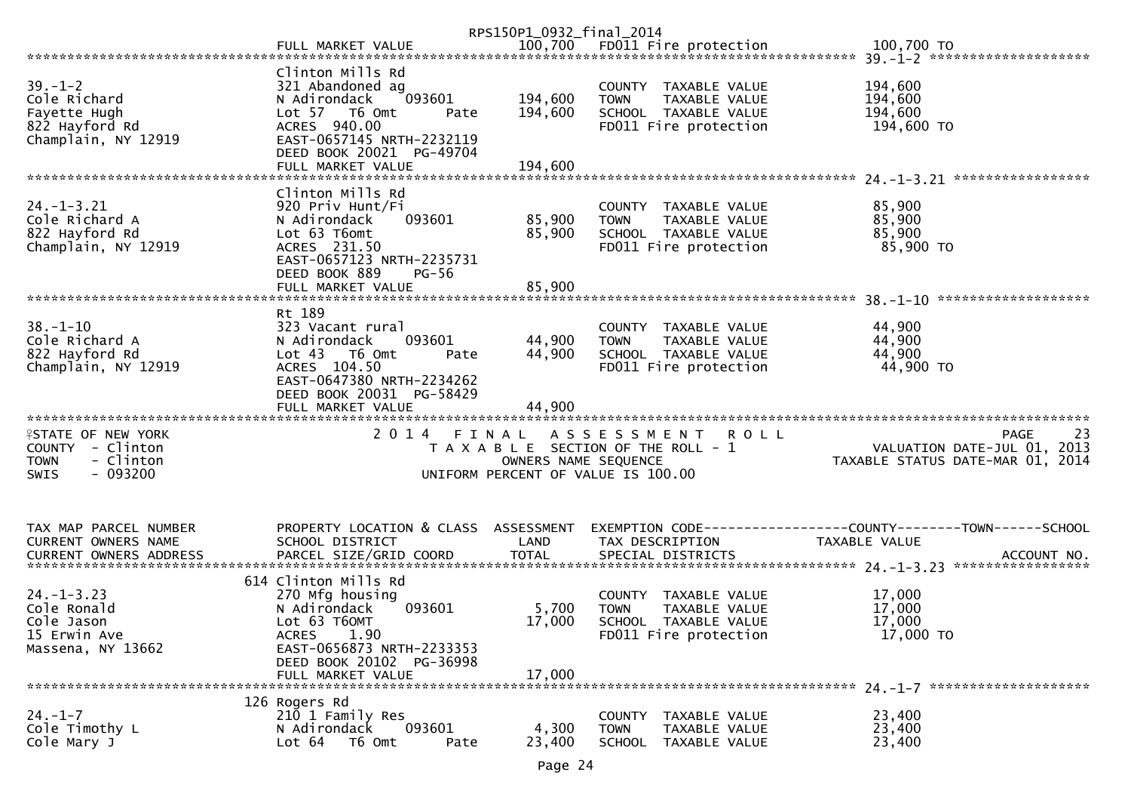|                                |                                           | RPS150P1_0932_final_2014 |                                               |                                                                                                                  |
|--------------------------------|-------------------------------------------|--------------------------|-----------------------------------------------|------------------------------------------------------------------------------------------------------------------|
|                                |                                           |                          |                                               | FULL MARKET VALUE 700,700 FD011 Fire protection 100,700 TO 100,700 TO FARKET VALUE 7555500 FD011 Fire protection |
|                                |                                           |                          |                                               |                                                                                                                  |
|                                | Clinton Mills Rd                          |                          |                                               |                                                                                                                  |
| $39. - 1 - 2$                  | 321 Abandoned ag                          |                          | COUNTY TAXABLE VALUE                          | 194,600                                                                                                          |
| Cole Richard                   | 093601<br>N Adirondack                    | 194,600                  | TAXABLE VALUE<br><b>TOWN</b>                  | 194,600                                                                                                          |
| Fayette Hugh                   | Lot 57 T6 Omt<br>Pate                     | 194,600                  | SCHOOL TAXABLE VALUE                          | 194,600                                                                                                          |
| 822 Hayford Rd                 | ACRES 940.00                              |                          | FD011 Fire protection                         | 194,600 TO                                                                                                       |
| Champlain, NY 12919            | EAST-0657145 NRTH-2232119                 |                          |                                               |                                                                                                                  |
|                                | DEED BOOK 20021 PG-49704                  |                          |                                               |                                                                                                                  |
|                                | FULL MARKET VALUE                         | 194,600                  |                                               |                                                                                                                  |
|                                |                                           |                          |                                               |                                                                                                                  |
|                                | Clinton Mills Rd                          |                          |                                               |                                                                                                                  |
| $24. - 1 - 3.21$               | 920 Priv Hunt/Fi                          |                          | COUNTY TAXABLE VALUE                          | 85,900                                                                                                           |
| Cole Richard A                 | 093601<br>N Adirondack                    | 85,900                   | <b>TAXABLE VALUE</b><br><b>TOWN</b>           | 85,900                                                                                                           |
| 822 Hayford Rd                 | Lot 63 T6omt                              | 85,900                   | SCHOOL TAXABLE VALUE                          | 85,900                                                                                                           |
| Champlain, NY 12919            | ACRES 231.50                              |                          | FD011 Fire protection                         | 85,900 TO                                                                                                        |
|                                | EAST-0657123 NRTH-2235731                 |                          |                                               |                                                                                                                  |
|                                | DEED BOOK 889<br>$PG-56$                  |                          |                                               |                                                                                                                  |
|                                | FULL MARKET VALUE                         | 85,900                   |                                               | *******************                                                                                              |
|                                | Rt 189                                    |                          |                                               |                                                                                                                  |
| $38. - 1 - 10$                 | 323 Vacant rural                          |                          | COUNTY TAXABLE VALUE                          | 44,900                                                                                                           |
| Cole Richard A                 | 093601<br>N Adirondack                    | 44,900                   | <b>TOWN</b><br>TAXABLE VALUE                  | 44,900                                                                                                           |
| 822 Hayford Rd                 | Lot 43 76 0mt<br>Pate                     | 44,900                   | SCHOOL TAXABLE VALUE                          | 44,900                                                                                                           |
| Champlain, NY 12919            | ACRES 104.50                              |                          | FD011 Fire protection                         | 44,900 TO                                                                                                        |
|                                | EAST-0647380 NRTH-2234262                 |                          |                                               |                                                                                                                  |
|                                | DEED BOOK 20031 PG-58429                  |                          |                                               |                                                                                                                  |
|                                | FULL MARKET VALUE                         | 44,900                   |                                               |                                                                                                                  |
|                                |                                           |                          |                                               |                                                                                                                  |
| <b>ISTATE OF NEW YORK</b>      |                                           |                          | 2014 FINAL ASSESSMENT<br><b>ROLL</b>          | 23<br>PAGE                                                                                                       |
| COUNTY - Clinton               |                                           |                          | T A X A B L E SECTION OF THE ROLL - 1         | VALUATION DATE-JUL 01, 2013                                                                                      |
| <b>TOWN</b><br>- Clinton       |                                           | OWNERS NAME SEQUENCE     |                                               | TAXABLE STATUS DATE-MAR 01, 2014                                                                                 |
| $-093200$<br><b>SWIS</b>       |                                           |                          | UNIFORM PERCENT OF VALUE IS 100.00            |                                                                                                                  |
|                                |                                           |                          |                                               |                                                                                                                  |
|                                |                                           |                          |                                               |                                                                                                                  |
|                                |                                           |                          |                                               |                                                                                                                  |
| TAX MAP PARCEL NUMBER          | PROPERTY LOCATION & CLASS ASSESSMENT      |                          |                                               | EXEMPTION CODE-----------------COUNTY-------TOWN------SCHOOL                                                     |
| CURRENT OWNERS NAME            | SCHOOL DISTRICT                           | LAND                     | TAX DESCRIPTION                               | TAXABLE VALUE                                                                                                    |
|                                |                                           |                          |                                               |                                                                                                                  |
|                                |                                           |                          |                                               |                                                                                                                  |
| $24. - 1 - 3.23$               | 614 Clinton Mills Rd<br>270 Mfg housing   |                          | COUNTY TAXABLE VALUE                          | 17,000                                                                                                           |
| Cole Ronald                    | 093601<br>N Adirondack                    |                          |                                               | 17,000                                                                                                           |
|                                |                                           | 5,700<br>17,000          | TAXABLE VALUE<br><b>TOWN</b>                  | 17,000                                                                                                           |
| Cole Jason<br>15 Erwin Ave     | Lot 63 T6OMT<br>1.90                      |                          | SCHOOL TAXABLE VALUE<br>FD011 Fire protection | 17,000 TO                                                                                                        |
|                                | <b>ACRES</b><br>EAST-0656873 NRTH-2233353 |                          |                                               |                                                                                                                  |
| Massena, NY 13662              | DEED BOOK 20102 PG-36998                  |                          |                                               |                                                                                                                  |
|                                | FULL MARKET VALUE                         | 17,000                   |                                               |                                                                                                                  |
| ****************************** |                                           |                          |                                               |                                                                                                                  |
|                                | 126 Rogers Rd                             |                          |                                               |                                                                                                                  |
| $24. - 1 - 7$                  | 210 1 Family Res                          |                          | TAXABLE VALUE<br><b>COUNTY</b>                | 23,400                                                                                                           |
| Cole Timothy L                 | 093601<br>N Adirondack                    | 4,300                    | <b>TOWN</b><br>TAXABLE VALUE                  | 23,400                                                                                                           |
| Cole Mary J                    | T6 Omt<br>Lot $64$<br>Pate                | 23,400                   | <b>SCHOOL</b><br>TAXABLE VALUE                | 23,400                                                                                                           |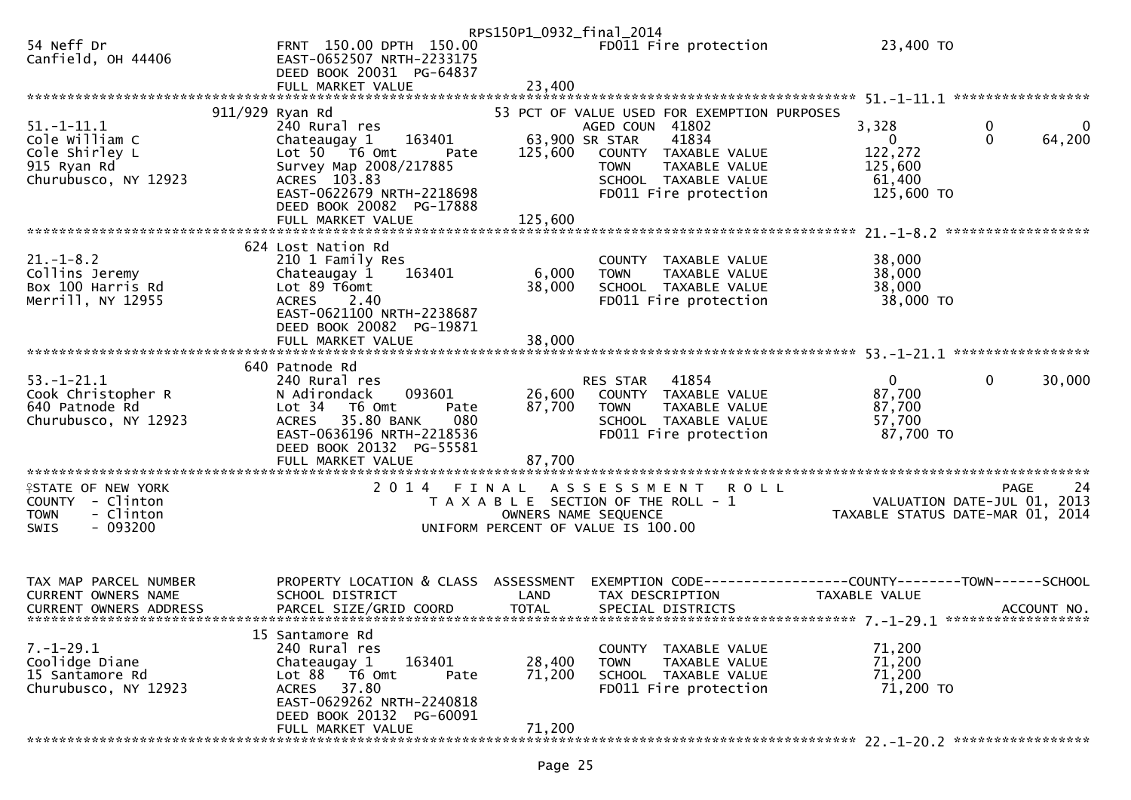|                                                                                                            |                                                                                                                                                                                                             | RPS150P1_0932_final_2014                                                    |                                                  |                                                                                                                                                |                                                                                      |                  |                    |
|------------------------------------------------------------------------------------------------------------|-------------------------------------------------------------------------------------------------------------------------------------------------------------------------------------------------------------|-----------------------------------------------------------------------------|--------------------------------------------------|------------------------------------------------------------------------------------------------------------------------------------------------|--------------------------------------------------------------------------------------|------------------|--------------------|
| 54 Neff Dr<br>Canfield, OH 44406                                                                           | FRNT 150.00 DPTH 150.00<br>EAST-0652507 NRTH-2233175<br>DEED BOOK 20031 PG-64837                                                                                                                            |                                                                             |                                                  | FD011 Fire protection                                                                                                                          | 23,400 TO                                                                            |                  |                    |
|                                                                                                            |                                                                                                                                                                                                             |                                                                             |                                                  |                                                                                                                                                |                                                                                      |                  |                    |
| $51. - 1 - 11.1$<br>Cole William C<br>Cole Shirley L<br>915 Ryan Rd<br>Churubusco, NY 12923                | 911/929 Ryan Rd<br>240 Rural res<br>163401<br>Chateaugay 1<br>Lot 50 T6 Omt<br>Pate<br>Survey Map 2008/217885<br>ACRES 103.83<br>EAST-0622679 NRTH-2218698<br>DEED BOOK 20082 PG-17888<br>FULL MARKET VALUE | 125,600<br>125,600                                                          | AGED COUN 41802<br>63,900 SR STAR<br><b>TOWN</b> | 53 PCT OF VALUE USED FOR EXEMPTION PURPOSES<br>41834<br>COUNTY TAXABLE VALUE<br>TAXABLE VALUE<br>SCHOOL TAXABLE VALUE<br>FD011 Fire protection | 3,328<br>$\mathbf{0}$<br>122,272<br>125,600<br>61,400<br>125,600 TO                  | 0<br>$\mathbf 0$ | $\bf{0}$<br>64,200 |
|                                                                                                            |                                                                                                                                                                                                             |                                                                             |                                                  |                                                                                                                                                |                                                                                      |                  |                    |
| $21. - 1 - 8.2$<br>Collins Jeremy<br>Box 100 Harris Rd<br>Merrill, NY 12955                                | 624 Lost Nation Rd<br>210 1 Family Res<br>163401<br>Chateaugay 1<br>Lot 89 T6omt<br>ACRES 2.40<br>EAST-0621100 NRTH-2238687<br>DEED BOOK 20082 PG-19871                                                     | 6,000<br>38,000                                                             | <b>TOWN</b>                                      | COUNTY TAXABLE VALUE<br>TAXABLE VALUE<br>SCHOOL TAXABLE VALUE<br>FD011 Fire protection                                                         | 38,000<br>38,000<br>38,000<br>38,000 TO                                              |                  |                    |
|                                                                                                            |                                                                                                                                                                                                             |                                                                             |                                                  |                                                                                                                                                |                                                                                      |                  |                    |
|                                                                                                            | 640 Patnode Rd                                                                                                                                                                                              |                                                                             |                                                  |                                                                                                                                                |                                                                                      |                  |                    |
| $53. - 1 - 21.1$<br>Cook Christopher R<br>640 Patnode Rd<br>Churubusco, NY 12923<br>********************** | 240 Rural res<br>093601<br>N Adirondack<br>Lot 34 T6 Omt<br>Pate<br>ACRES 35.80 BANK<br>080<br>EAST-0636196 NRTH-2218536<br>DEED BOOK 20132 PG-55581<br>FULL MARKET VALUE                                   | 26,600<br>87,700<br>87,700                                                  | RES STAR 41854<br><b>TOWN</b>                    | COUNTY TAXABLE VALUE<br>TAXABLE VALUE<br>SCHOOL TAXABLE VALUE<br>FD011 Fire protection                                                         | $\mathbf{0}$<br>87,700<br>87,700<br>57,700<br>87,700 TO                              | $\mathbf{0}$     | 30,000             |
| <b>ISTATE OF NEW YORK</b>                                                                                  | 2014 FINAL                                                                                                                                                                                                  |                                                                             | A S S E S S M E N T                              | <b>ROLL</b>                                                                                                                                    |                                                                                      | <b>PAGE</b>      | -24                |
| COUNTY - Clinton<br>- Clinton<br><b>TOWN</b><br>$-093200$<br><b>SWIS</b>                                   |                                                                                                                                                                                                             | T A X A B L E SECTION OF THE ROLL - 1<br>UNIFORM PERCENT OF VALUE IS 100.00 | OWNERS NAME SEQUENCE                             |                                                                                                                                                | 44 FAGE<br>2013 VALUATION DATE-JUL 01, 2013<br>2014 TAXABLE STATUS DATE-MAR 01, 2014 |                  |                    |
| TAX MAP PARCEL NUMBER<br><b>CURRENT OWNERS NAME</b><br><b>CURRENT OWNERS ADDRESS</b>                       | PROPERTY LOCATION & CLASS ASSESSMENT<br>SCHOOL DISTRICT<br>PARCEL SIZE/GRID COORD                                                                                                                           | LAND<br><b>TOTAL</b>                                                        | TAX DESCRIPTION                                  | SPECIAL DISTRICTS                                                                                                                              | EXEMPTION CODE------------------COUNTY--------TOWN------SCHOOL<br>TAXABLE VALUE      |                  | ACCOUNT NO.        |
| $7. - 1 - 29.1$<br>Coolidge Diane<br>15 Santamore Rd<br>Churubusco, NY 12923                               | 15 Santamore Rd<br>240 Rural res<br>163401<br>Chateaugay 1<br>Lot 88<br>T6 Omt<br>Pate<br>ACRES 37.80<br>EAST-0629262 NRTH-2240818<br>DEED BOOK 20132 PG-60091<br>FULL MARKET VALUE                         | 28,400<br>71,200<br>71,200                                                  | <b>TOWN</b>                                      | COUNTY TAXABLE VALUE<br>TAXABLE VALUE<br>SCHOOL TAXABLE VALUE<br>FD011 Fire protection                                                         | 71,200<br>71,200<br>71,200<br>71,200 TO                                              |                  |                    |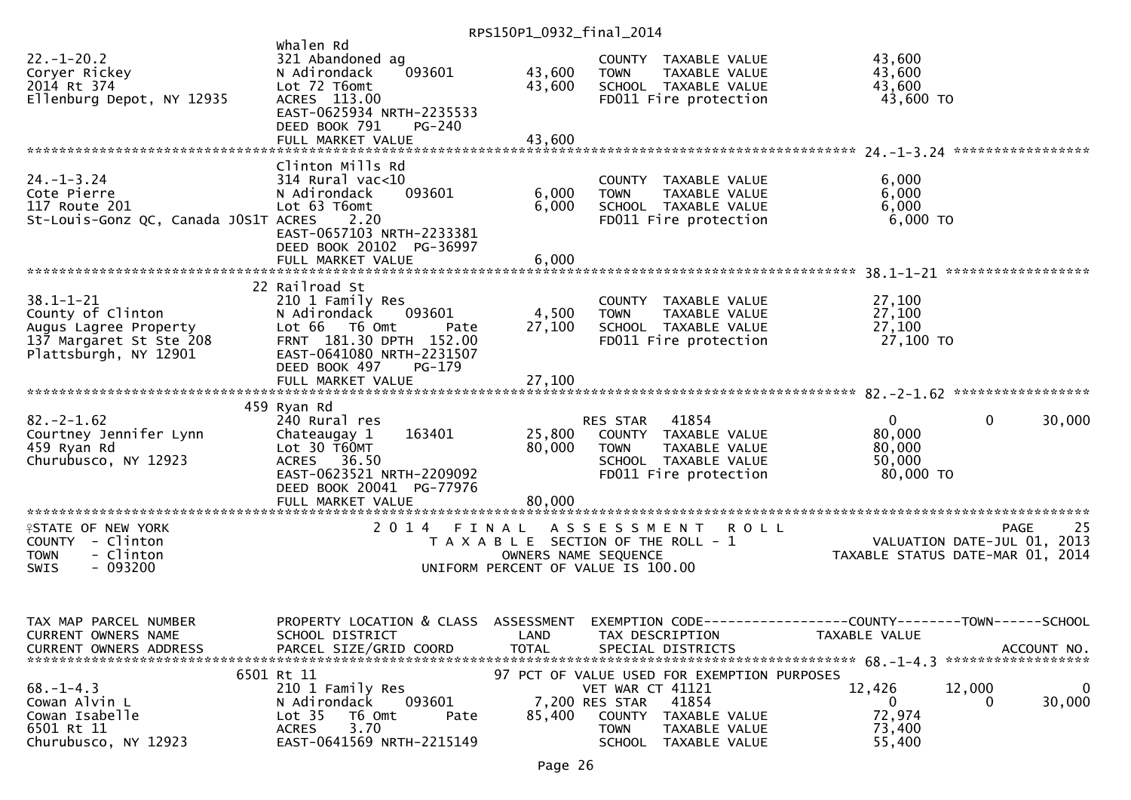|                                                                                               |                                                                                                                                                      | $11.1$ 31301 1 0332 1 1110 1 2017 |                                                                                                                                                                                         |                                                         |                                           |
|-----------------------------------------------------------------------------------------------|------------------------------------------------------------------------------------------------------------------------------------------------------|-----------------------------------|-----------------------------------------------------------------------------------------------------------------------------------------------------------------------------------------|---------------------------------------------------------|-------------------------------------------|
| $22. - 1 - 20.2$<br>Coryer Rickey<br>2014 Rt 374<br>Ellenburg Depot, NY 12935                 | Whalen Rd<br>321 Abandoned ag<br>093601<br>N Adirondack<br>Lot 72 T6omt<br>ACRES 113.00<br>EAST-0625934 NRTH-2235533<br>DEED BOOK 791<br>PG-240      | 43,600<br>43,600                  | COUNTY TAXABLE VALUE<br><b>TOWN</b><br>TAXABLE VALUE<br>SCHOOL TAXABLE VALUE<br>FD011 Fire protection                                                                                   | 43,600<br>43,600<br>43,600<br>43,600 TO                 |                                           |
|                                                                                               | FULL MARKET VALUE                                                                                                                                    | 43,600                            |                                                                                                                                                                                         |                                                         |                                           |
|                                                                                               | Clinton Mills Rd                                                                                                                                     |                                   |                                                                                                                                                                                         |                                                         |                                           |
| $24. - 1 - 3.24$<br>Cote Pierre<br>117 Route 201<br>St-Louis-Gonz QC, Canada JOS1T ACRES      | $314$ Rural vac<10<br>093601<br>N Adirondack<br>Lot 63 T6omt<br>2.20<br>EAST-0657103 NRTH-2233381<br>DEED BOOK 20102 PG-36997                        | 6,000<br>6,000                    | COUNTY TAXABLE VALUE<br>TAXABLE VALUE<br><b>TOWN</b><br>SCHOOL TAXABLE VALUE<br>FD011 Fire protection                                                                                   | 6,000<br>6,000<br>6,000<br>6,000 TO                     |                                           |
|                                                                                               |                                                                                                                                                      |                                   |                                                                                                                                                                                         |                                                         |                                           |
| $38.1 - 1 - 21$<br>County of Clinton<br>Augus Lagree Property<br>137 Margaret St Ste 208      | 22 Railroad St<br>210 1 Family Res<br>N Adirondack<br>093601<br>Lot 66 T6 Omt<br>Pate<br>FRNT 181.30 DPTH 152.00                                     | 4,500<br>27,100                   | COUNTY TAXABLE VALUE<br>TAXABLE VALUE<br>TOWN<br>SCHOOL TAXABLE VALUE<br>FD011 Fire protection                                                                                          | 27,100<br>27,100<br>27,100<br>27,100 TO                 |                                           |
| Plattsburgh, NY 12901                                                                         | EAST-0641080 NRTH-2231507<br>DEED BOOK 497<br>$PG-179$<br>FULL MARKET VALUE                                                                          | 27,100                            |                                                                                                                                                                                         |                                                         |                                           |
| $82. -2 - 1.62$<br>Courtney Jennifer Lynn<br>459 Ryan Rd<br>Churubusco, NY 12923              | 459 Ryan Rd<br>240 Rural res<br>163401<br>Chateaugay 1<br>Lot 30 T60MT<br>ACRES 36.50<br>EAST-0623521 NRTH-2209092<br>DEED BOOK 20041 PG-77976       | 25,800<br>80,000                  | 41854<br>RES STAR<br>COUNTY TAXABLE VALUE<br><b>TOWN</b><br>TAXABLE VALUE<br>SCHOOL TAXABLE VALUE<br>FD011 Fire protection                                                              | $\mathbf{0}$<br>80,000<br>80,000<br>50,000<br>80,000 TO | 30,000<br>$\mathbf{0}$                    |
|                                                                                               | FULL MARKET VALUE                                                                                                                                    | 80,000                            |                                                                                                                                                                                         |                                                         |                                           |
| <b>ISTATE OF NEW YORK</b><br>COUNTY - Clinton<br>- Clinton<br><b>TOWN</b><br>- 093200<br>SWIS | 2014 FINAL                                                                                                                                           | OWNERS NAME SEQUENCE              | <b>ROLL</b><br>A S S E S S M E N T<br>T A X A B L E SECTION OF THE ROLL - 1<br>UNIFORM PERCENT OF VALUE IS 100.00                                                                       | TAXABLE STATUS DATE-MAR 01, 2014                        | 25<br>PAGE<br>VALUATION DATE-JUL 01, 2013 |
| TAX MAP PARCEL NUMBER<br>CURRENT OWNERS NAME<br><b>CURRENT OWNERS ADDRESS</b>                 | PROPERTY LOCATION & CLASS ASSESSMENT EXEMPTION CODE----------------COUNTY--------TOWN------SCHOOL<br>SCHOOL DISTRICT<br>PARCEL SIZE/GRID COORD       | <b>TOTAL</b>                      | LAND TAX DESCRIPTION<br>SPECIAL DISTRICTS                                                                                                                                               | TAXABLE VALUE                                           | ACCOUNT NO.                               |
| $68. - 1 - 4.3$<br>Cowan Alvin L<br>Cowan Isabelle<br>6501 Rt 11<br>Churubusco, NY 12923      | 6501 Rt 11<br>210 1 Family Res<br>093601<br>N Adirondack<br>Lot <sub>35</sub><br>T6 Omt<br>Pate<br>3.70<br><b>ACRES</b><br>EAST-0641569 NRTH-2215149 | 85,400                            | 97 PCT OF VALUE USED FOR EXEMPTION PURPOSES<br>VET WAR CT 41121<br>41854<br>7,200 RES STAR<br><b>COUNTY</b><br>TAXABLE VALUE<br>TOWN<br>TAXABLE VALUE<br><b>SCHOOL</b><br>TAXABLE VALUE | 12,426<br>0<br>72,974<br>73,400<br>55,400               | 12,000<br>$\overline{0}$<br>30,000<br>0   |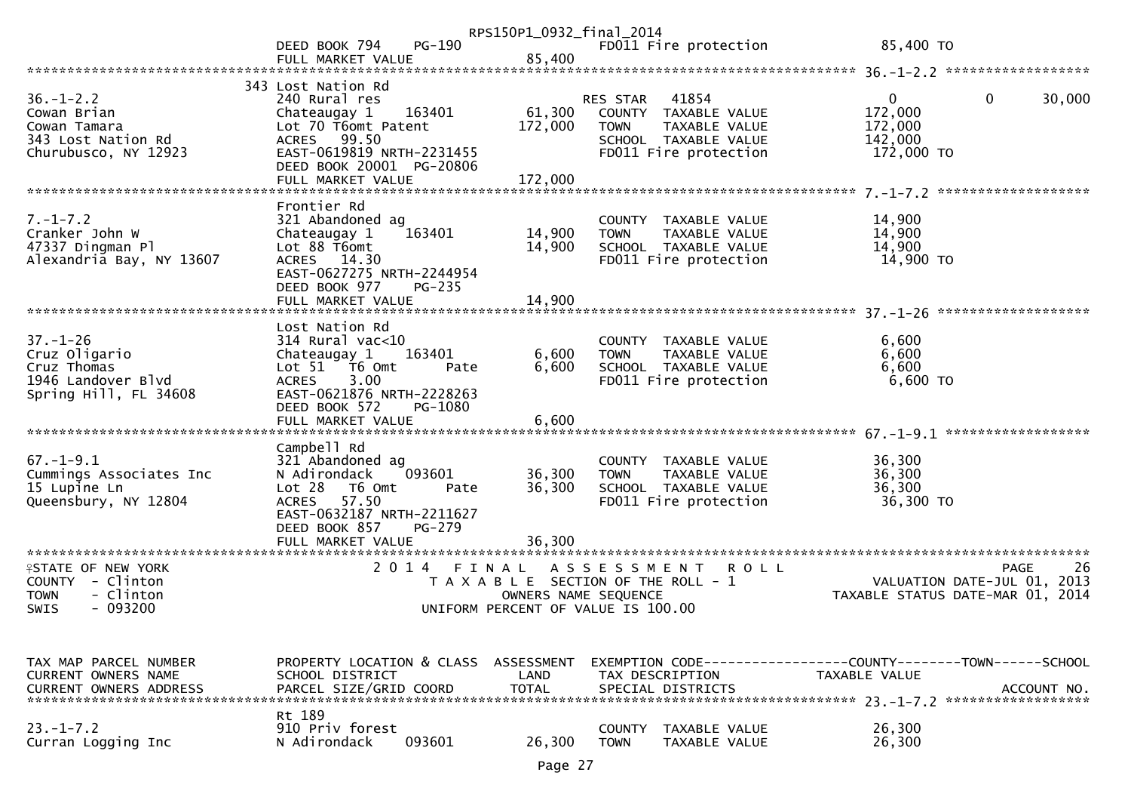|                                                                                                             |                                                                                                                                                                                                                        | RPS150P1_0932_final_2014           |                                                                                                                                           |                                                                                       |
|-------------------------------------------------------------------------------------------------------------|------------------------------------------------------------------------------------------------------------------------------------------------------------------------------------------------------------------------|------------------------------------|-------------------------------------------------------------------------------------------------------------------------------------------|---------------------------------------------------------------------------------------|
|                                                                                                             | PG-190<br>DEED BOOK 794<br>FULL MARKET VALUE                                                                                                                                                                           | 85,400                             | FD011 Fire protection                                                                                                                     | 85,400 TO                                                                             |
|                                                                                                             |                                                                                                                                                                                                                        |                                    |                                                                                                                                           |                                                                                       |
| $36. - 1 - 2.2$<br>Cowan Brian<br>Cowan Tamara<br>343 Lost Nation Rd<br>Churubusco, NY 12923                | 343 Lost Nation Rd<br>240 Rural res<br>163401<br>Chateaugay 1<br>Lot 70 T6omt Patent<br>ACRES 99.50<br>EAST-0619819 NRTH-2231455<br>DEED BOOK 20001 PG-20806<br>FULL MARKET VALUE                                      | 61,300<br>172,000<br>172,000       | RES STAR<br>41854<br>COUNTY TAXABLE VALUE<br><b>TOWN</b><br>TAXABLE VALUE<br>SCHOOL TAXABLE VALUE<br>FD011 Fire protection                | 0<br>30,000<br>$\overline{0}$<br>172,000<br>172,000<br>142,000<br>172,000 TO          |
|                                                                                                             |                                                                                                                                                                                                                        |                                    |                                                                                                                                           |                                                                                       |
| $7. - 1 - 7.2$<br>Cranker John W<br>47337 Dingman Pl<br>Alexandria Bay, NY 13607                            | Frontier Rd<br>321 Abandoned ag<br>163401<br>Chateaugay 1<br>Lot 88 T6omt<br>ACRES 14.30<br>EAST-0627275 NRTH-2244954<br>DEED BOOK 977<br>PG-235<br>FULL MARKET VALUE                                                  | 14,900<br>14,900<br>14,900         | COUNTY TAXABLE VALUE<br><b>TOWN</b><br>TAXABLE VALUE<br>SCHOOL TAXABLE VALUE<br>FD011 Fire protection                                     | 14,900<br>14,900<br>14,900<br>14,900 TO                                               |
|                                                                                                             |                                                                                                                                                                                                                        |                                    |                                                                                                                                           |                                                                                       |
| $37. - 1 - 26$<br>Cruz Oligario<br>Cruz Thomas<br>1946 Landover Blvd<br>Spring Hill, FL 34608               | Lost Nation Rd<br>$314$ Rural vac<10<br>Chateaugay 1<br>163401<br>Lot $51$ $\overline{76}$ Omt<br>Pate<br>3.00<br><b>ACRES</b><br>EAST-0621876 NRTH-2228263<br>DEED BOOK 572<br>PG-1080<br>FULL MARKET VALUE           | 6,600<br>6,600<br>6,600            | COUNTY TAXABLE VALUE<br>TAXABLE VALUE<br><b>TOWN</b><br>SCHOOL TAXABLE VALUE<br>FD011 Fire protection                                     | 6,600<br>6,600<br>6,600<br>$6,600$ TO                                                 |
|                                                                                                             |                                                                                                                                                                                                                        |                                    |                                                                                                                                           |                                                                                       |
| $67. - 1 - 9.1$<br>Cummings Associates Inc<br>15 Lupine Ln<br>Queensbury, NY 12804<br>********************* | Campbell Rd<br>321 Abandoned ag<br>093601<br>N Adirondack<br>Lot 28<br>T6 Omt<br>Pate<br><b>ACRES</b><br>57.50<br>EAST-0632187 NRTH-2211627<br>DEED BOOK 857<br>PG-279<br>FULL MARKET VALUE<br>*********************** | 36,300<br>36,300<br>36,300         | COUNTY TAXABLE VALUE<br>TAXABLE VALUE<br><b>TOWN</b><br>SCHOOL TAXABLE VALUE<br>FD011 Fire protection                                     | 36,300<br>36,300<br>36,300<br>36,300 TO                                               |
| <b>ISTATE OF NEW YORK</b><br>COUNTY - Clinton<br>- Clinton<br><b>TOWN</b><br>$-093200$<br><b>SWIS</b>       | 2014 FINAL                                                                                                                                                                                                             |                                    | A S S E S S M E N T<br><b>ROLL</b><br>T A X A B L E SECTION OF THE ROLL - 1<br>OWNERS NAME SEQUENCE<br>UNIFORM PERCENT OF VALUE IS 100.00 | -26<br><b>PAGE</b><br>VALUATION DATE-JUL 01, 2013<br>TAXABLE STATUS DATE-MAR 01, 2014 |
|                                                                                                             |                                                                                                                                                                                                                        |                                    |                                                                                                                                           |                                                                                       |
| TAX MAP PARCEL NUMBER<br><b>CURRENT OWNERS NAME</b><br><b>CURRENT OWNERS ADDRESS</b>                        | PROPERTY LOCATION & CLASS<br>SCHOOL DISTRICT<br>PARCEL SIZE/GRID COORD                                                                                                                                                 | ASSESSMENT<br>LAND<br><b>TOTAL</b> | TAX DESCRIPTION<br>SPECIAL DISTRICTS                                                                                                      | TAXABLE VALUE<br>ACCOUNT NO.                                                          |
| $23 - 1 - 7.2$<br>Curran Logging Inc                                                                        | Rt 189<br>910 Priv forest<br>093601<br>N Adirondack                                                                                                                                                                    | 26,300                             | <b>COUNTY</b><br>TAXABLE VALUE<br><b>TOWN</b><br><b>TAXABLE VALUE</b>                                                                     | 26,300<br>26,300                                                                      |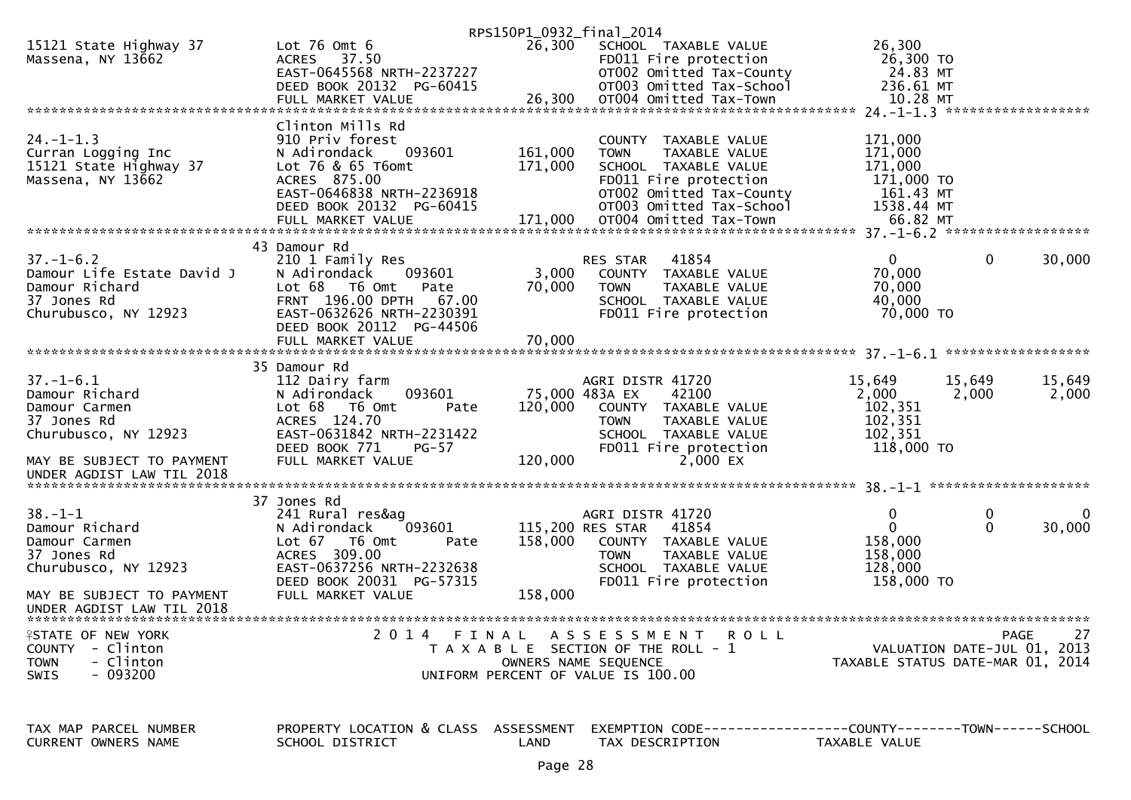|                                                        |                                          | RPS150P1_0932_final_2014 |                                                                     |                                  |                 |                             |
|--------------------------------------------------------|------------------------------------------|--------------------------|---------------------------------------------------------------------|----------------------------------|-----------------|-----------------------------|
| 15121 State Highway 37                                 | Lot $76$ Omt $6$                         | 26,300                   | SCHOOL TAXABLE VALUE                                                | 26,300                           |                 |                             |
| Massena, NY 13662                                      | ACRES 37.50                              |                          | FD011 Fire protection                                               | 26,300 TO                        |                 |                             |
|                                                        | EAST-0645568 NRTH-2237227                |                          | OT002 Omitted Tax-County                                            | 24.83 MT                         |                 |                             |
|                                                        | DEED BOOK 20132 PG-60415                 |                          | OT003 Omitted Tax-School                                            | 236.61 MT                        |                 |                             |
|                                                        | FULL MARKET VALUE                        | 26,300                   | OT004 Omitted Tax-Town                                              | 10.28 MT                         |                 |                             |
|                                                        |                                          |                          |                                                                     |                                  |                 |                             |
| $24. - 1 - 1.3$                                        | Clinton Mills Rd<br>910 Priv forest      |                          | COUNTY TAXABLE VALUE                                                | 171,000                          |                 |                             |
| Curran Logging Inc                                     | N Adirondack<br>093601                   | 161,000                  | <b>TOWN</b><br>TAXABLE VALUE                                        | 171,000                          |                 |                             |
| 15121 State Highway 37                                 | Lot 76 & 65 T6omt                        | 171,000                  | SCHOOL TAXABLE VALUE                                                | 171,000                          |                 |                             |
| Massena, NY 13662                                      | ACRES 875.00                             |                          | FD011 Fire protection                                               | 171,000 TO                       |                 |                             |
|                                                        | EAST-0646838 NRTH-2236918                |                          | OT002 Omitted Tax-County                                            | 161.43 MT                        |                 |                             |
|                                                        | DEED BOOK 20132 PG-60415                 |                          | OT003 Omitted Tax-School                                            | 1538.44 MT                       |                 |                             |
|                                                        |                                          |                          |                                                                     |                                  |                 |                             |
|                                                        |                                          |                          |                                                                     |                                  |                 |                             |
|                                                        | 43 Damour Rd                             |                          |                                                                     |                                  |                 |                             |
| $37. - 1 - 6.2$                                        | 210 1 Family Res                         |                          | 41854<br>RES STAR                                                   | $\Omega$                         | 0               | 30,000                      |
| Damour Life Estate David J                             | N Adirondack<br>093601                   | 3,000                    | COUNTY TAXABLE VALUE                                                | 70,000                           |                 |                             |
| Damour Richard                                         | Lot 68<br>T6 Omt<br>Pate                 | 70,000                   | <b>TOWN</b><br>TAXABLE VALUE                                        | 70,000                           |                 |                             |
| 37 Jones Rd                                            | FRNT 196.00 DPTH<br>67.00                |                          | SCHOOL TAXABLE VALUE                                                | 40,000                           |                 |                             |
| Churubusco, NY 12923                                   | EAST-0632626 NRTH-2230391                |                          | FD011 Fire protection                                               | 70,000 TO                        |                 |                             |
|                                                        | DEED BOOK 20112 PG-44506                 |                          |                                                                     |                                  |                 |                             |
|                                                        |                                          |                          |                                                                     |                                  |                 |                             |
|                                                        |                                          |                          |                                                                     |                                  |                 |                             |
| $37. - 1 - 6.1$                                        | 35 Damour Rd                             |                          |                                                                     |                                  |                 | 15,649                      |
| Damour Richard                                         | 112 Dairy farm<br>093601<br>N Adirondack |                          | AGRI DISTR 41720<br>75,000 483A EX<br>42100                         | 15,649<br>2,000                  | 15,649<br>2,000 | 2,000                       |
| Damour Carmen                                          | T6 Omt<br>Lot 68<br>Pate                 | 120,000                  | COUNTY TAXABLE VALUE                                                | 102,351                          |                 |                             |
| 37 Jones Rd                                            | ACRES 124.70                             |                          | TAXABLE VALUE<br><b>TOWN</b>                                        | 102,351                          |                 |                             |
| Churubusco, NY 12923                                   | EAST-0631842 NRTH-2231422                |                          | SCHOOL TAXABLE VALUE                                                | 102,351                          |                 |                             |
|                                                        | DEED BOOK 771<br>$PG-57$                 |                          | FD011 Fire protection                                               | 118,000 TO                       |                 |                             |
| MAY BE SUBJECT TO PAYMENT                              | FULL MARKET VALUE                        | 120,000                  | 2,000 EX                                                            |                                  |                 |                             |
| UNDER AGDIST LAW TIL 2018                              |                                          |                          |                                                                     |                                  |                 |                             |
|                                                        |                                          |                          |                                                                     |                                  |                 |                             |
|                                                        | 37 Jones Rd                              |                          |                                                                     |                                  |                 |                             |
| $38. - 1 - 1$                                          | 241 Rural res&ag                         |                          | AGRI DISTR 41720                                                    | $\mathbf 0$                      | 0               | 0                           |
| Damour Richard                                         | 093601<br>N Adirondack                   |                          | 115,200 RES STAR<br>41854                                           | $\mathbf{0}$                     | $\mathbf{0}$    | 30,000                      |
| Damour Carmen                                          | Lot $67$<br>T6 Omt<br>Pate               | 158,000                  | COUNTY TAXABLE VALUE                                                | 158,000                          |                 |                             |
| 37 Jones Rd                                            | ACRES 309.00                             |                          | TAXABLE VALUE<br><b>TOWN</b>                                        | 158,000                          |                 |                             |
| Churubusco, NY 12923                                   | EAST-0637256 NRTH-2232638                |                          | SCHOOL TAXABLE VALUE                                                | 128,000                          |                 |                             |
|                                                        | DEED BOOK 20031 PG-57315                 | 158,000                  | FD011 Fire protection                                               | 158,000 TO                       |                 |                             |
| MAY BE SUBJECT TO PAYMENT<br>UNDER AGDIST LAW TIL 2018 | FULL MARKET VALUE                        |                          |                                                                     |                                  |                 |                             |
|                                                        |                                          |                          |                                                                     |                                  |                 |                             |
| <b>FSTATE OF NEW YORK</b>                              |                                          |                          | 2014 FINAL ASSESSMENT ROLL                                          |                                  |                 | PAGE<br>27                  |
| COUNTY - Clinton                                       |                                          |                          | T A X A B L E SECTION OF THE ROLL - 1                               |                                  |                 | VALUATION DATE-JUL 01, 2013 |
| - Clinton<br><b>TOWN</b>                               |                                          |                          | OWNERS NAME SEQUENCE                                                | TAXABLE STATUS DATE-MAR 01, 2014 |                 |                             |
| - 093200<br><b>SWIS</b>                                |                                          |                          | UNIFORM PERCENT OF VALUE IS 100.00                                  |                                  |                 |                             |
|                                                        |                                          |                          |                                                                     |                                  |                 |                             |
|                                                        |                                          |                          |                                                                     |                                  |                 |                             |
|                                                        |                                          |                          |                                                                     |                                  |                 |                             |
| TAX MAP PARCEL NUMBER                                  | PROPERTY LOCATION & CLASS ASSESSMENT     |                          | EXEMPTION        CODE-----------------COUNTY-------TOWN------SCHOOL |                                  |                 |                             |
| CURRENT OWNERS NAME                                    | SCHOOL DISTRICT                          | LAND                     | TAX DESCRIPTION                                                     | TAXABLE VALUE                    |                 |                             |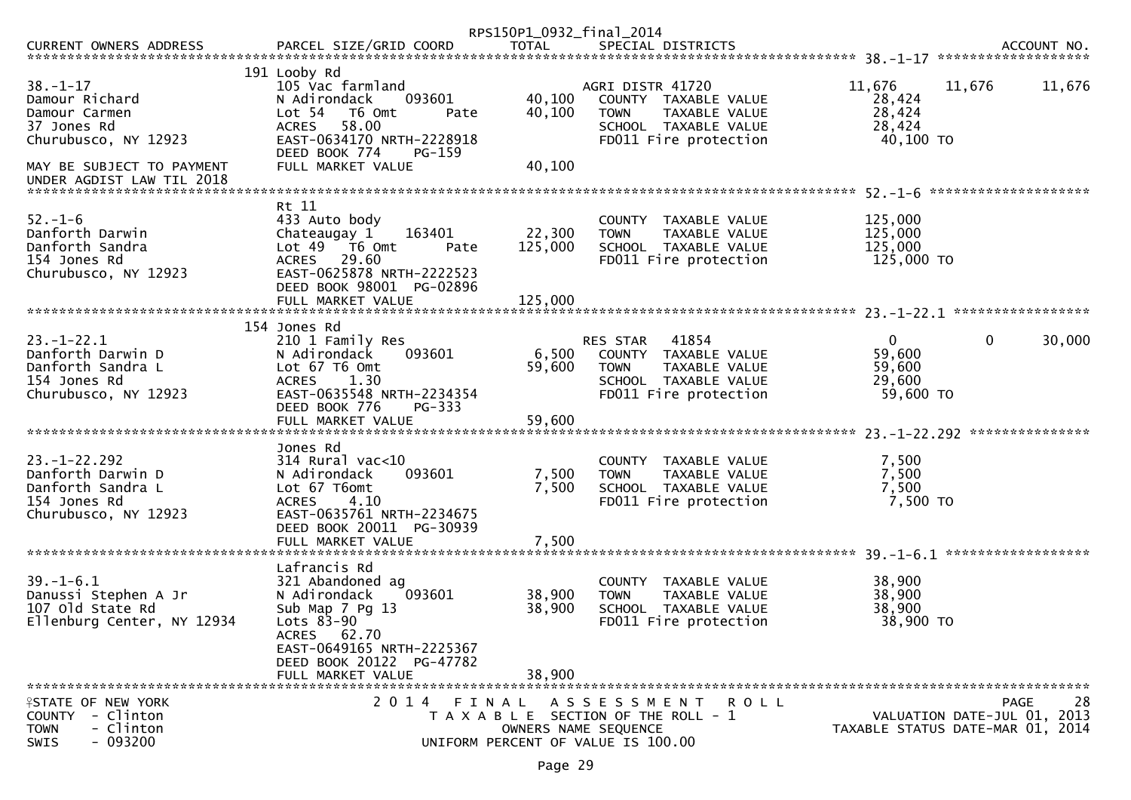|                                                                                                                       |                                                                                                                                                                                                           | RPS150P1_0932_final_2014   |                                                                                                                            |                                                           |                                            |        |
|-----------------------------------------------------------------------------------------------------------------------|-----------------------------------------------------------------------------------------------------------------------------------------------------------------------------------------------------------|----------------------------|----------------------------------------------------------------------------------------------------------------------------|-----------------------------------------------------------|--------------------------------------------|--------|
| CURRENT OWNERS ADDRESS                                                                                                | PARCEL SIZE/GRID COORD                                                                                                                                                                                    | <b>TOTAL</b>               | SPECIAL DISTRICTS                                                                                                          |                                                           | ACCOUNT NO.                                |        |
| $38. - 1 - 17$<br>Damour Richard<br>Damour Carmen<br>37 Jones Rd<br>Churubusco, NY 12923<br>MAY BE SUBJECT TO PAYMENT | 191 Looby Rd<br>105 Vac farmland<br>N Adirondack<br>093601<br>Lot <sub>54</sub><br>T6 Omt<br>Pate<br>58.00<br><b>ACRES</b><br>EAST-0634170 NRTH-2228918<br>DEED BOOK 774<br>$PG-159$<br>FULL MARKET VALUE | 40,100<br>40,100<br>40,100 | AGRI DISTR 41720<br>COUNTY TAXABLE VALUE<br>TAXABLE VALUE<br><b>TOWN</b><br>SCHOOL TAXABLE VALUE<br>FD011 Fire protection  | 11,676<br>28,424<br>28,424<br>28,424<br>40,100 TO         | 11,676<br>********************             | 11,676 |
| $52. - 1 - 6$<br>Danforth Darwin<br>Danforth Sandra<br>154 Jones Rd<br>Churubusco, NY 12923                           | Rt 11<br>433 Auto body<br>Chateaugay 1<br>163401<br>Lot 49<br>T6 Omt<br>Pate<br>29.60<br><b>ACRES</b><br>EAST-0625878 NRTH-2222523<br>DEED BOOK 98001 PG-02896                                            | 22,300<br>125,000          | COUNTY TAXABLE VALUE<br>TAXABLE VALUE<br><b>TOWN</b><br>SCHOOL TAXABLE VALUE<br>FD011 Fire protection                      | 125,000<br>125,000<br>125,000<br>125,000 TO               |                                            |        |
| $23. - 1 - 22.1$<br>Danforth Darwin D<br>Danforth Sandra L<br>154 Jones Rd<br>Churubusco, NY 12923                    | 154 Jones Rd<br>210 1 Family Res<br>093601<br>N Adirondack<br>Lot 67 T6 Omt<br><b>ACRES</b><br>1.30<br>EAST-0635548 NRTH-2234354<br>DEED BOOK 776<br>PG-333                                               | 6,500<br>59,600            | 41854<br>RES STAR<br>COUNTY TAXABLE VALUE<br>TAXABLE VALUE<br><b>TOWN</b><br>SCHOOL TAXABLE VALUE<br>FD011 Fire protection | $\overline{0}$<br>59,600<br>59,600<br>29,600<br>59,600 TO | $\mathbf 0$                                | 30,000 |
| $23. - 1 - 22.292$<br>Danforth Darwin D<br>Danforth Sandra L<br>154 Jones Rd<br>Churubusco, NY 12923                  | Jones Rd<br>$314$ Rural vac<10<br>093601<br>N Adirondack<br>Lot 67 T6omt<br><b>ACRES</b><br>4.10<br>EAST-0635761 NRTH-2234675<br>DEED BOOK 20011 PG-30939<br>FULL MARKET VALUE                            | 7,500<br>7,500<br>7,500    | COUNTY TAXABLE VALUE<br><b>TOWN</b><br>TAXABLE VALUE<br>SCHOOL TAXABLE VALUE<br>FD011 Fire protection                      | 7,500<br>7,500<br>7,500<br>7,500 TO                       |                                            |        |
| $39. - 1 - 6.1$<br>Danussi Stephen A Jr<br>107 old State Rd<br>Ellenburg Center, NY 12934                             | Lafrancis Rd<br>321 Abandoned ag<br>093601<br>N Adirondack<br>Sub Map 7 Pg 13<br>Lots 83-90<br>62.70<br>ACRES<br>EAST-0649165 NRTH-2225367<br>DEED BOOK 20122 PG-47782<br>FULL MARKET VALUE               | 38,900<br>38,900<br>38,900 | COUNTY TAXABLE VALUE<br>TAXABLE VALUE<br><b>TOWN</b><br>SCHOOL TAXABLE VALUE<br>FD011 Fire protection                      | 38,900<br>38,900<br>38,900<br>38,900 TO                   |                                            |        |
| <b>FIRITE OF NEW YORK</b><br>- Clinton<br><b>COUNTY</b><br>- Clinton<br><b>TOWN</b><br>$-093200$<br>SWIS              | 2014 FINAL                                                                                                                                                                                                | OWNERS NAME SEQUENCE       | ASSESSMENT ROLL<br>T A X A B L E SECTION OF THE ROLL - 1<br>UNIFORM PERCENT OF VALUE IS 100.00                             | TAXABLE STATUS DATE-MAR 01, 2014                          | <b>PAGE</b><br>VALUATION DATE-JUL 01, 2013 | 28     |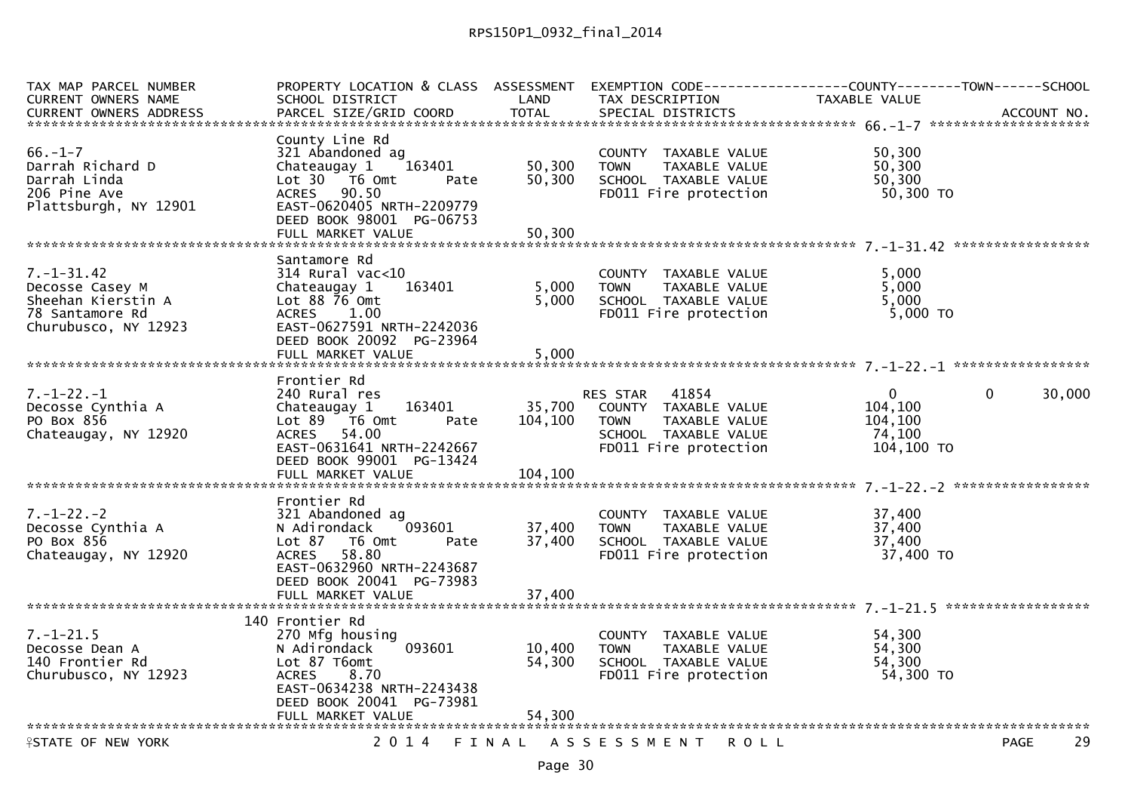| EXEMPTION CODE------------------COUNTY--------TOWN------SCHOOL |
|----------------------------------------------------------------|
|                                                                |
|                                                                |
|                                                                |
|                                                                |
|                                                                |
|                                                                |
|                                                                |
|                                                                |
|                                                                |
|                                                                |
|                                                                |
|                                                                |
|                                                                |
|                                                                |
|                                                                |
|                                                                |
|                                                                |
|                                                                |
|                                                                |
| $\mathbf{0}$<br>30,000                                         |
|                                                                |
|                                                                |
|                                                                |
|                                                                |
|                                                                |
|                                                                |
|                                                                |
|                                                                |
|                                                                |
|                                                                |
|                                                                |
|                                                                |
|                                                                |
|                                                                |
|                                                                |
|                                                                |
|                                                                |
|                                                                |
|                                                                |
|                                                                |
|                                                                |
|                                                                |
| 29                                                             |
|                                                                |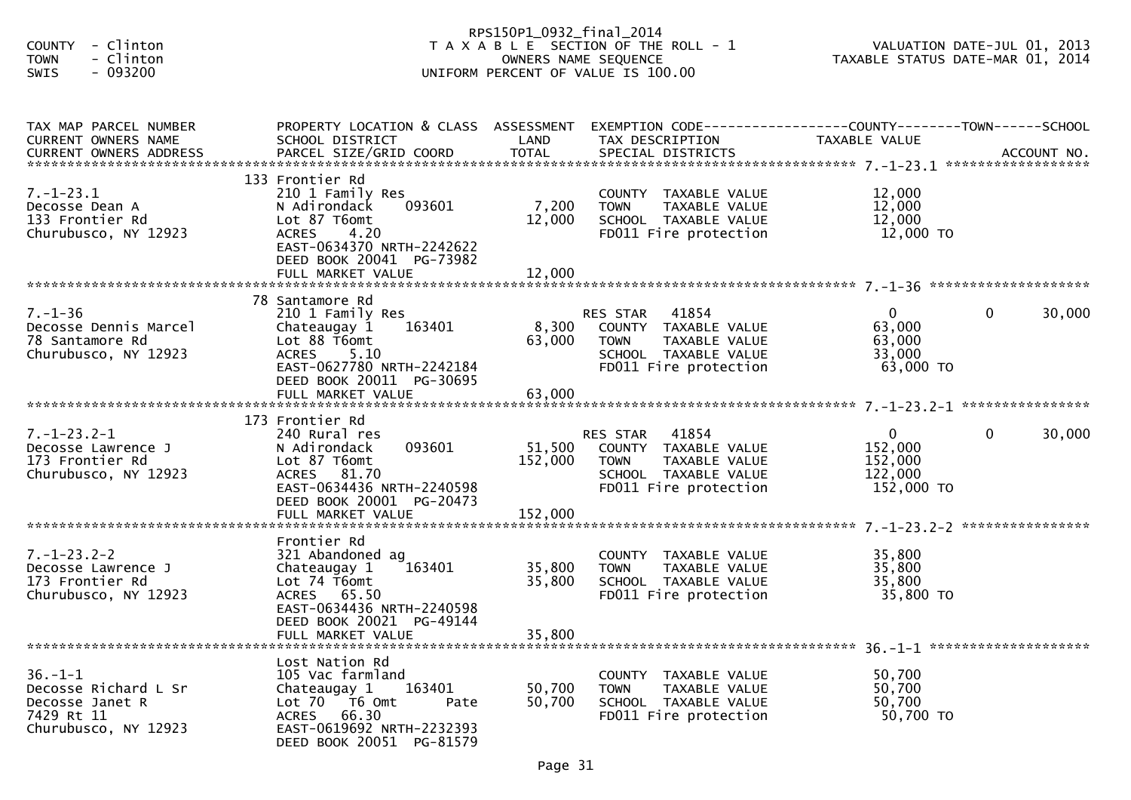| - Clinton<br><b>COUNTY</b><br>- Clinton<br><b>TOWN</b><br>SWIS<br>$-093200$                    |                                                                                                                                                                            | RPS150P1_0932_final_2014<br>OWNERS NAME SEQUENCE | T A X A B L E SECTION OF THE ROLL - 1<br>UNIFORM PERCENT OF VALUE IS 100.00                                             | TAXABLE STATUS DATE-MAR 01, 2014                              | VALUATION DATE-JUL 01, 2013 |
|------------------------------------------------------------------------------------------------|----------------------------------------------------------------------------------------------------------------------------------------------------------------------------|--------------------------------------------------|-------------------------------------------------------------------------------------------------------------------------|---------------------------------------------------------------|-----------------------------|
| TAX MAP PARCEL NUMBER<br>CURRENT OWNERS NAME                                                   | PROPERTY LOCATION & CLASS ASSESSMENT EXEMPTION CODE----------------COUNTY-------TOWN------SCHOOL<br>SCHOOL DISTRICT                                                        | LAND                                             | TAX DESCRIPTION                                                                                                         | TAXABLE VALUE                                                 |                             |
| $7. - 1 - 23.1$<br>Decosse Dean A<br>133 Frontier Rd<br>Churubusco, NY 12923                   | 133 Frontier Rd<br>210 1 Family Res<br>N Adirondack<br>093601<br>Lot 87 T6omt<br>4.20<br><b>ACRES</b><br>EAST-0634370 NRTH-2242622<br>DEED BOOK 20041 PG-73982             | 7,200<br>12,000                                  | COUNTY TAXABLE VALUE<br>TAXABLE VALUE<br><b>TOWN</b><br>SCHOOL TAXABLE VALUE<br>FD011 Fire protection                   | 12,000<br>12,000<br>12,000<br>12,000 TO                       |                             |
| $7. - 1 - 36$<br>Decosse Dennis Marcel<br>78 Santamore Rd<br>Churubusco, NY 12923              | 78 Santamore Rd<br>210 1 Family Res<br>163401<br>Chateaugay 1<br>Lot 88 T6omt<br><b>ACRES</b><br>5.10<br>EAST-0627780 NRTH-2242184<br>DEED BOOK 20011 PG-30695             | 8,300<br>63,000                                  | RES STAR 41854<br>COUNTY TAXABLE VALUE<br><b>TOWN</b><br>TAXABLE VALUE<br>SCHOOL TAXABLE VALUE<br>FD011 Fire protection | $\overline{0}$<br>63,000<br>63,000<br>33,000<br>63,000 TO     | $\Omega$<br>30,000          |
| $7. - 1 - 23.2 - 1$<br>Decosse Lawrence J<br>173 Frontier Rd<br>Churubusco, NY 12923           | 173 Frontier Rd<br>240 Rural res<br>093601<br>N Adirondack<br>Lot 87 T6omt<br>ACRES 81.70<br>EAST-0634436 NRTH-2240598<br>DEED BOOK 20001 PG-20473                         | 51,500<br>152,000                                | RES STAR 41854<br>COUNTY TAXABLE VALUE<br><b>TOWN</b><br>TAXABLE VALUE<br>SCHOOL TAXABLE VALUE<br>FD011 Fire protection | $\overline{0}$<br>152,000<br>152,000<br>122,000<br>152,000 TO | 30,000<br>$\mathbf{0}$      |
| $7. - 1 - 23.2 - 2$<br>Decosse Lawrence J<br>173 Frontier Rd<br>Churubusco, NY 12923           | Frontier Rd<br>321 Abandoned ag<br>Chateaugay 1<br>163401<br>Lot 74 T6omt<br>ACRES 65.50<br>EAST-0634436 NRTH-2240598<br>DEED BOOK 20021 PG-49144<br>FULL MARKET VALUE     | 35,800<br>35,800<br>35,800                       | COUNTY TAXABLE VALUE<br>TAXABLE VALUE<br><b>TOWN</b><br>SCHOOL TAXABLE VALUE<br>FD011 Fire protection                   | 35,800<br>35,800<br>35,800<br>35,800 TO                       |                             |
| $36. - 1 - 1$<br>Decosse Richard L Sr<br>Decosse Janet R<br>7429 Rt 11<br>Churubusco, NY 12923 | Lost Nation Rd<br>105 Vac farmland<br>Chateaugay 1<br>163401<br>Lot 70<br>T6 Omt<br>Pate<br>66.30<br><b>ACRES</b><br>EAST-0619692 NRTH-2232393<br>DEED BOOK 20051 PG-81579 | 50,700<br>50,700                                 | COUNTY TAXABLE VALUE<br><b>TOWN</b><br>TAXABLE VALUE<br>SCHOOL TAXABLE VALUE<br>FD011 Fire protection                   | 50,700<br>50,700<br>50,700<br>50,700 TO                       |                             |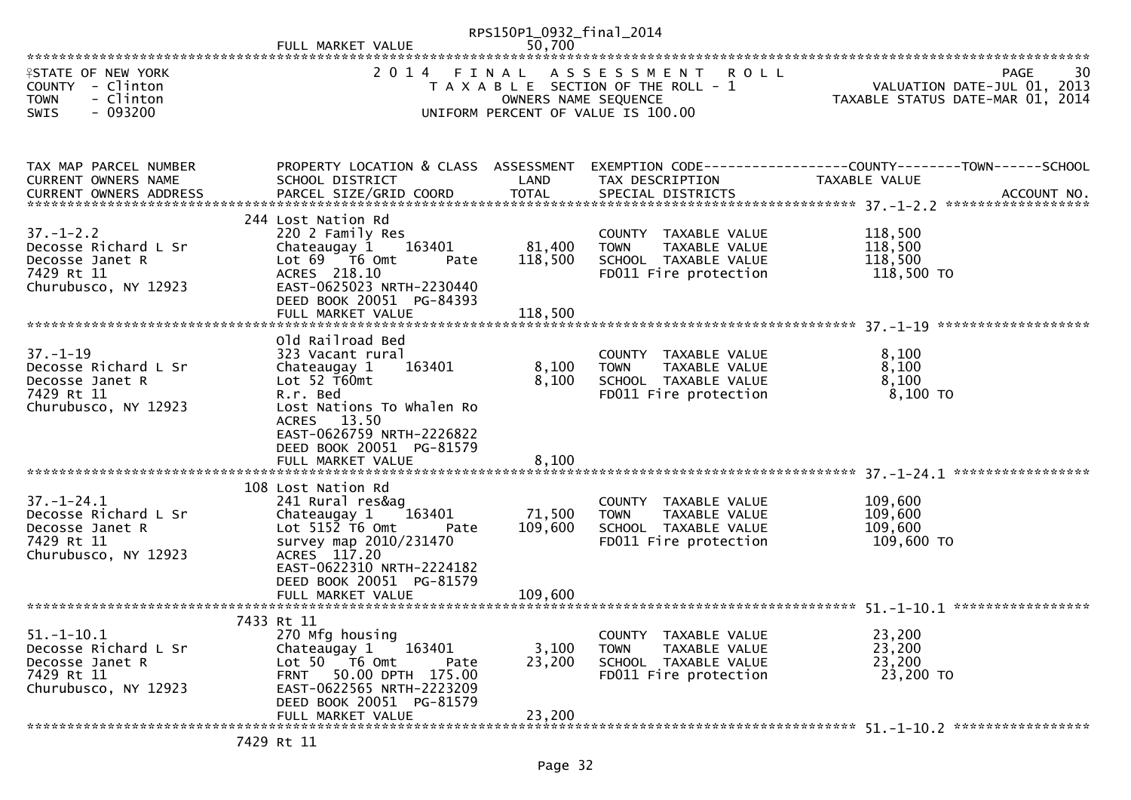|                                                                                                   | FULL MARKET VALUE                                                                                                                                                                                                      | RPS150P1_0932_final_2014<br>50,700 |                                                                                                                        |                                                                                 |
|---------------------------------------------------------------------------------------------------|------------------------------------------------------------------------------------------------------------------------------------------------------------------------------------------------------------------------|------------------------------------|------------------------------------------------------------------------------------------------------------------------|---------------------------------------------------------------------------------|
| <b>ISTATE OF NEW YORK</b><br>COUNTY - Clinton<br><b>TOWN</b><br>- Clinton<br>$-093200$<br>SWIS    | 2014 FINAL                                                                                                                                                                                                             | OWNERS NAME SEQUENCE               | ASSESSMENT ROLL<br>T A X A B L E SECTION OF THE ROLL - 1<br>UNIFORM PERCENT OF VALUE IS 100.00                         | 30<br>PAGE<br>VALUATION DATE-JUL 01, 2013<br>TAXABLE STATUS DATE-MAR 01, 2014   |
| TAX MAP PARCEL NUMBER<br><b>CURRENT OWNERS NAME</b>                                               | PROPERTY LOCATION & CLASS ASSESSMENT<br>SCHOOL DISTRICT                                                                                                                                                                | LAND                               | TAX DESCRIPTION                                                                                                        | EXEMPTION CODE------------------COUNTY--------TOWN------SCHOOL<br>TAXABLE VALUE |
| $37. - 1 - 2.2$<br>Decosse Richard L Sr<br>Decosse Janet R<br>7429 Rt 11<br>Churubusco, NY 12923  | 244 Lost Nation Rd<br>220 2 Family Res<br>Chateaugay 1 163401<br>Lot 69  T6 0mt<br>Pate<br>ACRES 218.10<br>EAST-0625023 NRTH-2230440<br>DEED BOOK 20051 PG-84393<br>FULL MARKET VALUE                                  | 81,400<br>118,500<br>118,500       | COUNTY TAXABLE VALUE<br><b>TOWN</b><br>TAXABLE VALUE<br>SCHOOL TAXABLE VALUE<br>FD011 Fire protection                  | 118,500<br>118,500<br>118,500<br>118,500 TO                                     |
| $37. - 1 - 19$<br>Decosse Richard L Sr<br>Decosse Janet R<br>7429 Rt 11<br>Churubusco, NY 12923   | Old Railroad Bed<br>323 Vacant rural<br>Chateaugay 1<br>163401<br>Lot $52$ T60mt<br>R.r. Bed<br>Lost Nations To Whalen Ro<br>ACRES 13.50<br>EAST-0626759 NRTH-2226822<br>DEED BOOK 20051 PG-81579<br>FULL MARKET VALUE | 8,100<br>8,100<br>8,100            | COUNTY TAXABLE VALUE<br>TAXABLE VALUE<br>TAXABLE VALUE<br><b>TOWN</b><br>SCHOOL TAXABLE VALUE<br>FD011 Fire protection | 8,100<br>8,100<br>8,100<br>8,100 TO                                             |
| $37. - 1 - 24.1$<br>Decosse Richard L Sr<br>Decosse Janet R<br>7429 Rt 11<br>Churubusco, NY 12923 | 108 Lost Nation Rd<br>241 Rural res&ag<br>Chateaugay 1<br>163401<br>Lot $515\overline{2}$ T6 Omt<br>Pate<br>survey map 2010/231470<br>ACRES 117.20<br>EAST-0622310 NRTH-2224182<br>DEED BOOK 20051 PG-81579            | 71,500<br>109,600                  | COUNTY TAXABLE VALUE<br>TAXABLE VALUE<br><b>TOWN</b><br>SCHOOL TAXABLE VALUE<br>FD011 Fire protection                  | 109,600<br>109,600<br>109,600<br>109,600 то                                     |
| $51. - 1 - 10.1$<br>Decosse Richard L Sr<br>Decosse Janet R<br>7429 Rt 11<br>Churubusco, NY 12923 | 7433 Rt 11<br>270 Mfg housing<br>163401<br>Chateaugay 1<br>Lot 50 T6 Omt<br>Pate<br>FRNT 50.00 DPTH 175.00<br>EAST-0622565 NRTH-2223209<br>DEED BOOK 20051 PG-81579                                                    | 3,100<br>23,200                    | COUNTY TAXABLE VALUE<br><b>TOWN</b><br>TAXABLE VALUE<br>SCHOOL TAXABLE VALUE<br>FD011 Fire protection                  | 23,200<br>23,200<br>23,200<br>23,200 TO                                         |
|                                                                                                   | FULL MARKET VALUE                                                                                                                                                                                                      | 23,200                             |                                                                                                                        |                                                                                 |

7429 Rt 11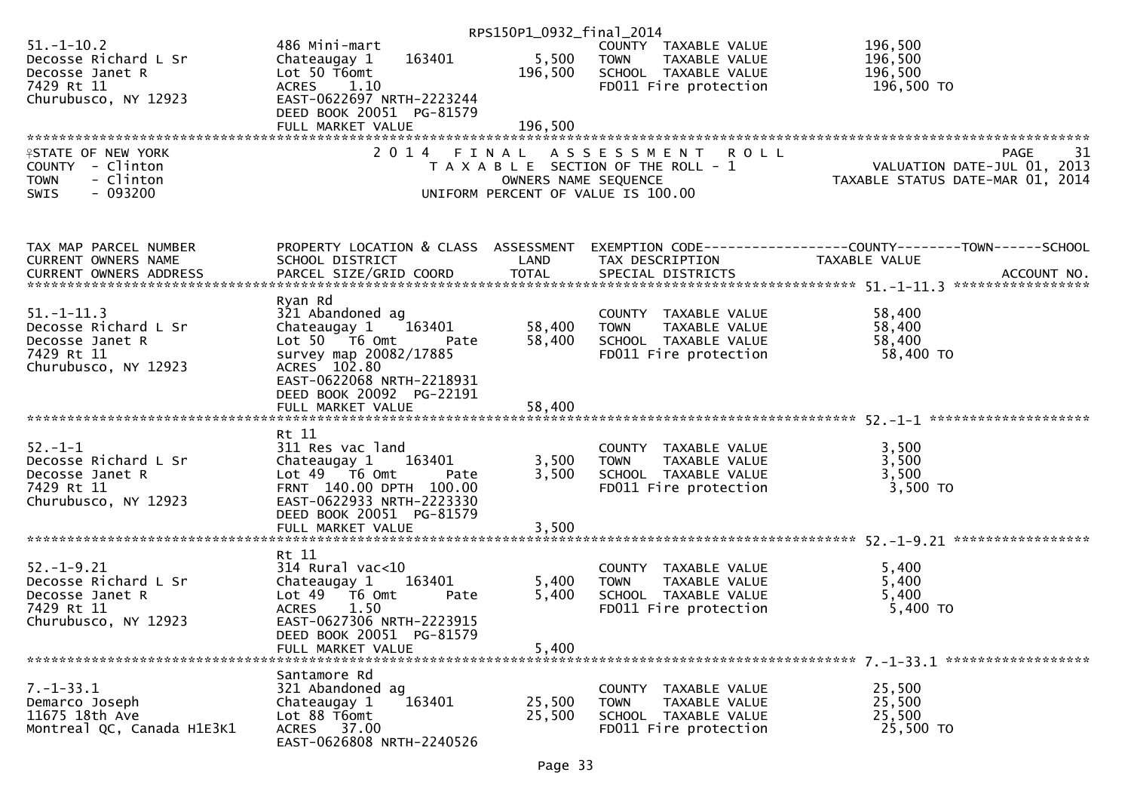|                                                                                                   |                                                                                                                                                                                   | RPS150P1_0932_final_2014 |                                                                                                           |                                                                                                                   |
|---------------------------------------------------------------------------------------------------|-----------------------------------------------------------------------------------------------------------------------------------------------------------------------------------|--------------------------|-----------------------------------------------------------------------------------------------------------|-------------------------------------------------------------------------------------------------------------------|
| $51. - 1 - 10.2$<br>Decosse Richard L Sr<br>Decosse Janet R<br>7429 Rt 11                         | 486 Mini-mart<br>163401<br>Chateaugay 1<br>Lot 50 T6omt<br>ACRES 1.10                                                                                                             | 5,500<br>196,500         | COUNTY TAXABLE VALUE<br><b>TOWN</b><br>TAXABLE VALUE<br>SCHOOL TAXABLE VALUE<br>FD011 Fire protection     | 196,500<br>196,500<br>196,500<br>196,500 TO                                                                       |
| Churubusco, NY 12923                                                                              | EAST-0622697 NRTH-2223244<br>DEED BOOK 20051 PG-81579                                                                                                                             |                          |                                                                                                           |                                                                                                                   |
|                                                                                                   | FULL MARKET VALUE                                                                                                                                                                 | 196,500                  |                                                                                                           |                                                                                                                   |
| <b>ISTATE OF NEW YORK</b><br>COUNTY - Clinton<br>- Clinton<br><b>TOWN</b><br>$-093200$<br>SWIS    |                                                                                                                                                                                   | OWNERS NAME SEQUENCE     | 2014 FINAL ASSESSMENT ROLL<br>T A X A B L E SECTION OF THE ROLL - 1<br>UNIFORM PERCENT OF VALUE IS 100.00 | PAGE<br>31                                                                                                        |
| TAX MAP PARCEL NUMBER<br>CURRENT OWNERS NAME                                                      | SCHOOL DISTRICT                                                                                                                                                                   | LAND                     | TAX DESCRIPTION                                                                                           | PROPERTY LOCATION & CLASS ASSESSMENT EXEMPTION CODE----------------COUNTY-------TOWN------SCHOOL<br>TAXABLE VALUE |
|                                                                                                   |                                                                                                                                                                                   |                          |                                                                                                           |                                                                                                                   |
| $51. - 1 - 11.3$<br>Decosse Richard L Sr<br>Decosse Janet R<br>7429 Rt 11<br>Churubusco, NY 12923 | Ryan Rd<br>321 Abandoned ag<br>Chateaugay 1<br>163401<br>Lot 50 T6 Omt<br>Pate<br>survey map 20082/17885<br>ACRES 102.80<br>EAST-0622068 NRTH-2218931<br>DEED BOOK 20092 PG-22191 | 58,400<br>58,400         | COUNTY TAXABLE VALUE<br><b>TOWN</b><br>TAXABLE VALUE<br>SCHOOL TAXABLE VALUE<br>FD011 Fire protection     | 58,400<br>58,400<br>58,400<br>58,400 TO                                                                           |
|                                                                                                   | FULL MARKET VALUE                                                                                                                                                                 | 58,400                   |                                                                                                           |                                                                                                                   |
|                                                                                                   |                                                                                                                                                                                   |                          |                                                                                                           |                                                                                                                   |
| $52 - 1 - 1$<br>Decosse Richard L Sr<br>Decosse Janet R<br>7429 Rt 11<br>Churubusco, NY 12923     | Rt 11<br>311 Res vac land<br>Chateaugay 1<br>163401<br>Lot $49$ $\overline{76}$ Omt<br>Pate<br>FRNT 140.00 DPTH 100.00<br>EAST-0622933 NRTH-2223330<br>DEED BOOK 20051 PG-81579   | 3,500<br>3,500           | COUNTY TAXABLE VALUE<br>TAXABLE VALUE<br><b>TOWN</b><br>SCHOOL TAXABLE VALUE<br>FD011 Fire protection     | 3,500<br>3,500<br>3,500<br>3,500 TO                                                                               |
|                                                                                                   | FULL MARKET VALUE                                                                                                                                                                 | 3,500                    |                                                                                                           |                                                                                                                   |
| $52. - 1 - 9.21$<br>Decosse Richard L Sr<br>Decosse Janet R<br>7429 Rt 11<br>Churubusco, NY 12923 | Rt 11<br>$314$ Rural vac<10<br>163401<br>Chateaugay 1<br>Lot 49 T6 Omt<br>Pate<br><b>ACRES</b><br>1.50<br>EAST-0627306 NRTH-2223915                                               | 5,400<br>5,400           | COUNTY TAXABLE VALUE<br>TAXABLE VALUE<br><b>TOWN</b><br>SCHOOL TAXABLE VALUE<br>FD011 Fire protection     | 5,400<br>5,400<br>5,400<br>5,400 TO                                                                               |
|                                                                                                   | DEED BOOK 20051 PG-81579<br>FULL MARKET VALUE                                                                                                                                     | 5,400                    |                                                                                                           |                                                                                                                   |
| $7. - 1 - 33.1$<br>Demarco Joseph<br>11675 18th Ave<br>Montreal QC, Canada H1E3K1                 | Santamore Rd<br>321 Abandoned ag<br>Chateaugay 1<br>163401<br>Lot 88 T6omt<br>ACRES 37.00<br>EAST-0626808 NRTH-2240526                                                            | 25,500<br>25,500         | COUNTY TAXABLE VALUE<br><b>TOWN</b><br>TAXABLE VALUE<br>SCHOOL TAXABLE VALUE<br>FD011 Fire protection     | 25,500<br>25,500<br>25,500<br>25,500 TO                                                                           |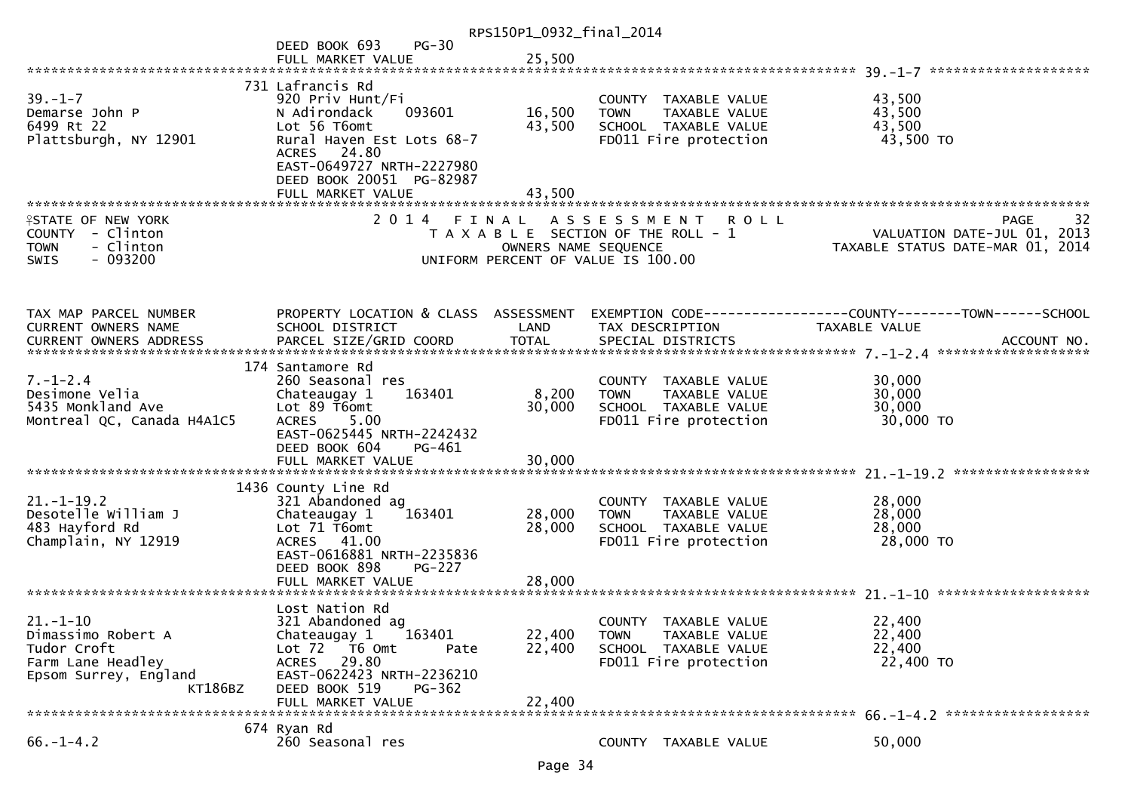| RPS150P1_0932_final_2014                                                                                     |                                                                                                                                                                                                          |                            |                                                                                                      |               |                                                                 |                   |
|--------------------------------------------------------------------------------------------------------------|----------------------------------------------------------------------------------------------------------------------------------------------------------------------------------------------------------|----------------------------|------------------------------------------------------------------------------------------------------|---------------|-----------------------------------------------------------------|-------------------|
|                                                                                                              | $PG-30$<br>DEED BOOK 693<br>FULL MARKET VALUE                                                                                                                                                            | 25,500                     |                                                                                                      |               |                                                                 |                   |
| $39. - 1 - 7$<br>Demarse John P<br>6499 Rt 22<br>Plattsburgh, NY 12901                                       | 731 Lafrancis Rd<br>920 Priv Hunt/Fi<br>093601<br>N Adirondack<br>Lot 56 T6omt<br>Rural Haven Est Lots 68-7<br>ACRES 24.80<br>EAST-0649727 NRTH-2227980<br>DEED BOOK 20051 PG-82987<br>FULL MARKET VALUE | 16,500<br>43,500<br>43,500 | COUNTY TAXABLE VALUE<br><b>TOWN</b><br>SCHOOL TAXABLE VALUE<br>FD011 Fire protection                 | TAXABLE VALUE | 43,500<br>43,500<br>43,500<br>43,500 TO                         |                   |
|                                                                                                              |                                                                                                                                                                                                          |                            |                                                                                                      |               |                                                                 |                   |
| <b>ISTATE OF NEW YORK</b><br>COUNTY - Clinton<br>- Clinton<br><b>TOWN</b><br>SWIS<br>- 093200                |                                                                                                                                                                                                          | OWNERS NAME SEQUENCE       | 2014 FINAL ASSESSMENT<br>T A X A B L E SECTION OF THE ROLL - 1<br>UNIFORM PERCENT OF VALUE IS 100.00 | <b>ROLL</b>   | VALUATION DATE-JUL 01, 2013<br>TAXABLE STATUS DATE-MAR 01, 2014 | 32<br><b>PAGE</b> |
| TAX MAP PARCEL NUMBER                                                                                        | PROPERTY LOCATION & CLASS ASSESSMENT                                                                                                                                                                     |                            |                                                                                                      |               |                                                                 |                   |
| CURRENT OWNERS NAME                                                                                          | SCHOOL DISTRICT                                                                                                                                                                                          | LAND                       | TAX DESCRIPTION                                                                                      |               | TAXABLE VALUE                                                   |                   |
|                                                                                                              | 174 Santamore Rd                                                                                                                                                                                         |                            |                                                                                                      |               |                                                                 |                   |
| $7. - 1 - 2.4$<br>Desimone Velia<br>5435 Monkland Ave<br>Montreal QC, Canada H4A1C5                          | 260 Seasonal res<br>Chateaugay 1<br>163401<br>Lot 89 T6omt<br>5.00<br><b>ACRES</b>                                                                                                                       | 8,200<br>30,000            | COUNTY TAXABLE VALUE<br><b>TOWN</b><br>SCHOOL TAXABLE VALUE<br>FD011 Fire protection                 | TAXABLE VALUE | 30,000<br>30,000<br>30,000<br>30,000 TO                         |                   |
|                                                                                                              | EAST-0625445 NRTH-2242432<br>DEED BOOK 604<br>PG-461                                                                                                                                                     |                            |                                                                                                      |               |                                                                 |                   |
|                                                                                                              |                                                                                                                                                                                                          |                            |                                                                                                      |               |                                                                 |                   |
| $21. - 1 - 19.2$<br>Desotelle William J<br>483 Hayford Rd<br>Champlain, NY 12919                             | 1436 County Line Rd<br>321 Abandoned ag<br>Chateaugay 1<br>163401<br>Lot 71 T6omt<br>ACRES 41.00<br>EAST-0616881 NRTH-2235836<br>DEED BOOK 898<br><b>PG-227</b>                                          | 28,000<br>28,000           | COUNTY TAXABLE VALUE<br><b>TOWN</b><br>SCHOOL TAXABLE VALUE<br>FD011 Fire protection                 | TAXABLE VALUE | 28,000<br>28,000<br>28,000<br>28,000 TO                         |                   |
|                                                                                                              |                                                                                                                                                                                                          |                            |                                                                                                      |               |                                                                 |                   |
| $21. - 1 - 10$<br>Dimassimo Robert A<br>Tudor Croft<br>Farm Lane Headley<br>Epsom Surrey, England<br>KT186BZ | Lost Nation Rd<br>321 Abandoned ag<br>163401<br>Chateaugay 1<br>Lot 72 T6 Omt<br>Pate<br>ACRES 29.80<br>EAST-0622423 NRTH-2236210<br>DEED BOOK 519<br>$PG-362$<br>FULL MARKET VALUE                      | 22,400<br>22,400<br>22,400 | <b>COUNTY</b><br>TAXABLE VALUE<br><b>TOWN</b><br>SCHOOL TAXABLE VALUE<br>FD011 Fire protection       | TAXABLE VALUE | 22,400<br>22,400<br>22,400<br>22,400 TO                         |                   |
|                                                                                                              |                                                                                                                                                                                                          |                            |                                                                                                      |               |                                                                 |                   |
| $66. - 1 - 4.2$                                                                                              | 674 Ryan Rd<br>260 Seasonal res                                                                                                                                                                          |                            | COUNTY TAXABLE VALUE                                                                                 |               | 50,000                                                          |                   |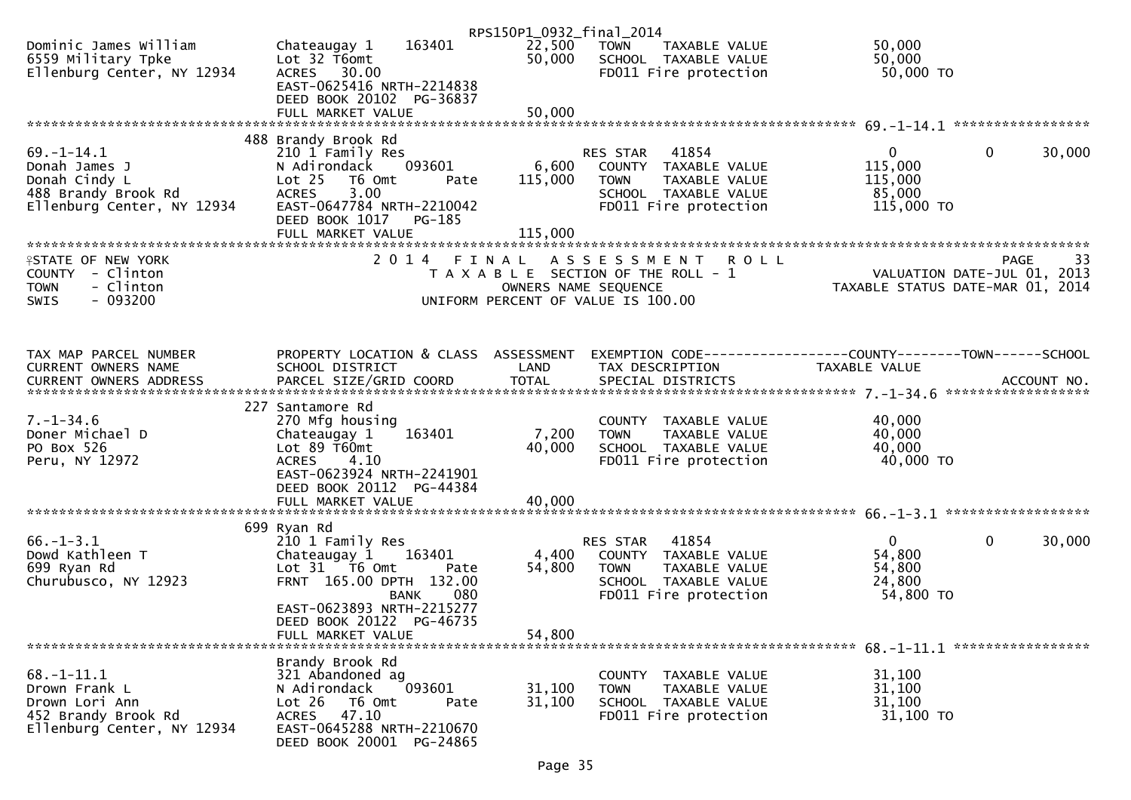|                                                                                                          |                                                                                                                                                                                                                | RPS150P1_0932_final_2014      |                                                                                                                            |                                                                 |                                    |
|----------------------------------------------------------------------------------------------------------|----------------------------------------------------------------------------------------------------------------------------------------------------------------------------------------------------------------|-------------------------------|----------------------------------------------------------------------------------------------------------------------------|-----------------------------------------------------------------|------------------------------------|
| Dominic James William<br>6559 Military Tpke<br>Ellenburg Center, NY 12934                                | 163401<br>Chateaugay 1<br>Lot 32 T6omt<br>ACRES 30.00                                                                                                                                                          | 22,500<br>50,000              | TOWN<br>TAXABLE VALUE<br>SCHOOL TAXABLE VALUE<br>FD011 Fire protection                                                     | 50,000<br>50,000<br>50,000 TO                                   |                                    |
|                                                                                                          | EAST-0625416 NRTH-2214838<br>DEED BOOK 20102 PG-36837<br>FULL MARKET VALUE                                                                                                                                     | 50,000                        |                                                                                                                            |                                                                 |                                    |
|                                                                                                          |                                                                                                                                                                                                                |                               |                                                                                                                            |                                                                 |                                    |
| $69. - 1 - 14.1$<br>Donah James J<br>Donah Cindy L<br>488 Brandy Brook Rd<br>Ellenburg Center, NY 12934  | 488 Brandy Brook Rd<br>210 1 Family Res<br>093601<br>N Adirondack<br>Lot <sub>25</sub><br>T6 Omt<br>Pate<br>3.00<br><b>ACRES</b><br>EAST-0647784 NRTH-2210042<br>DEED BOOK 1017<br>PG-185<br>FULL MARKET VALUE | 6,600<br>115,000<br>115,000   | RES STAR<br>41854<br>COUNTY TAXABLE VALUE<br><b>TOWN</b><br>TAXABLE VALUE<br>SCHOOL TAXABLE VALUE<br>FD011 Fire protection | $\overline{0}$<br>115,000<br>115,000<br>85,000<br>115,000 TO    | $\mathbf{0}$<br>30,000             |
|                                                                                                          |                                                                                                                                                                                                                |                               |                                                                                                                            |                                                                 |                                    |
| <b>ASTATE OF NEW YORK</b><br>COUNTY - Clinton<br><b>TOWN</b><br>- Clinton<br>$-093200$<br><b>SWIS</b>    | 2 0 1 4                                                                                                                                                                                                        | FINAL<br>OWNERS NAME SEQUENCE | <b>ROLL</b><br>A S S E S S M E N T<br>T A X A B L E SECTION OF THE ROLL - 1<br>UNIFORM PERCENT OF VALUE IS 100.00          | VALUATION DATE-JUL 01, 2013<br>TAXABLE STATUS DATE-MAR 01, 2014 | 33<br>PAGE                         |
| TAX MAP PARCEL NUMBER                                                                                    | PROPERTY LOCATION & CLASS ASSESSMENT                                                                                                                                                                           |                               | EXEMPTION CODE------------------COUNTY--------TOWN------SCHOOL                                                             |                                                                 |                                    |
| CURRENT OWNERS NAME                                                                                      | SCHOOL DISTRICT                                                                                                                                                                                                | LAND                          | TAX DESCRIPTION                                                                                                            | <b>TAXABLE VALUE</b>                                            | ACCOUNT NO.<br>******************* |
| $7. - 1 - 34.6$<br>Doner Michael D<br>PO Box 526<br>Peru, NY 12972                                       | 227 Santamore Rd<br>270 Mfg housing<br>Chateaugay 1<br>163401<br>Lot $89$ T60mt<br>4.10<br><b>ACRES</b><br>EAST-0623924 NRTH-2241901<br>DEED BOOK 20112 PG-44384                                               | 7,200<br>40,000               | COUNTY TAXABLE VALUE<br><b>TOWN</b><br>TAXABLE VALUE<br>SCHOOL TAXABLE VALUE<br>FD011 Fire protection                      | 40,000<br>40,000<br>40,000<br>40,000 TO                         |                                    |
|                                                                                                          | FULL MARKET VALUE                                                                                                                                                                                              | 40,000                        |                                                                                                                            |                                                                 |                                    |
|                                                                                                          |                                                                                                                                                                                                                |                               |                                                                                                                            |                                                                 |                                    |
| $66. - 1 - 3.1$<br>Dowd Kathleen T<br>699 Ryan Rd<br>Churubusco, NY 12923                                | 699 Ryan Rd<br>210 1 Family Res<br>Chateaugay 1 163401<br>Lot 31 76 0mt<br>Pate<br>FRNT 165.00 DPTH 132.00<br>080<br>BANK                                                                                      | 4,400<br>54,800               | 41854<br>RES STAR<br>COUNTY TAXABLE VALUE<br><b>TOWN</b><br>TAXABLE VALUE<br>SCHOOL TAXABLE VALUE<br>FD011 Fire protection | $\mathbf 0$<br>54,800<br>54,800<br>24,800<br>54,800 TO          | $\mathbf 0$<br>30,000              |
|                                                                                                          | EAST-0623893 NRTH-2215277<br>DEED BOOK 20122 PG-46735<br>FULL MARKET VALUE                                                                                                                                     | 54,800                        |                                                                                                                            |                                                                 |                                    |
| $68. - 1 - 11.1$<br>Drown Frank L<br>Drown Lori Ann<br>452 Brandy Brook Rd<br>Ellenburg Center, NY 12934 | Brandy Brook Rd<br>321 Abandoned ag<br>093601<br>N Adirondack<br>Lot $26$<br>T6 Omt<br>Pate<br>47.10<br><b>ACRES</b><br>EAST-0645288 NRTH-2210670<br>DEED BOOK 20001 PG-24865                                  | 31,100<br>31,100              | COUNTY TAXABLE VALUE<br><b>TOWN</b><br>TAXABLE VALUE<br>SCHOOL TAXABLE VALUE<br>FD011 Fire protection                      | 31,100<br>31,100<br>31,100<br>31,100 TO                         |                                    |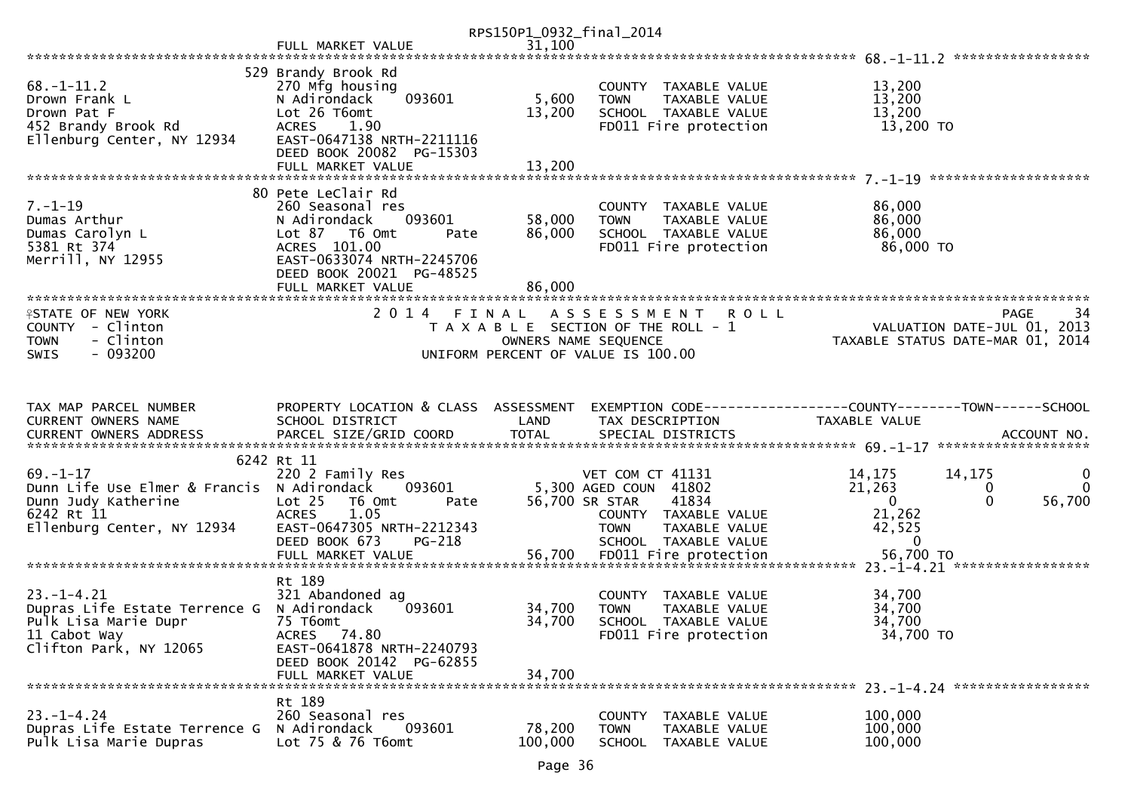|                                                                                                                                 |                                                                                                                                                                                         | RPS150P1_0932_final_2014   |                                                                                                                                           |                                                                  |                                                        |
|---------------------------------------------------------------------------------------------------------------------------------|-----------------------------------------------------------------------------------------------------------------------------------------------------------------------------------------|----------------------------|-------------------------------------------------------------------------------------------------------------------------------------------|------------------------------------------------------------------|--------------------------------------------------------|
|                                                                                                                                 | FULL MARKET VALUE                                                                                                                                                                       | 31,100                     |                                                                                                                                           |                                                                  |                                                        |
|                                                                                                                                 |                                                                                                                                                                                         |                            |                                                                                                                                           |                                                                  |                                                        |
| $68. - 1 - 11.2$<br>Drown Frank L<br>Drown Pat F<br>452 Brandy Brook Rd<br>Ellenburg Center, NY 12934                           | 529 Brandy Brook Rd<br>270 Mfg housing<br>093601<br>N Adirondack<br>Lot 26 T6omt<br>ACRES 1.90<br>EAST-0647138 NRTH-2211116                                                             | 5,600<br>13,200            | COUNTY TAXABLE VALUE<br><b>TOWN</b><br>TAXABLE VALUE<br>SCHOOL TAXABLE VALUE<br>FD011 Fire protection                                     | 13,200<br>13,200<br>13,200<br>13,200 TO                          |                                                        |
|                                                                                                                                 | DEED BOOK 20082 PG-15303<br>FULL MARKET VALUE                                                                                                                                           | 13,200                     |                                                                                                                                           |                                                                  |                                                        |
| $7. - 1 - 19$<br>Dumas Arthur<br>Dumas Carolyn L<br>5381 Rt 374<br>Merrill, NY 12955                                            | 80 Pete LeClair Rd<br>260 Seasonal res<br>N Adirondack<br>093601<br>Lot 87 76 0mt<br>Pate<br>ACRES 101.00<br>EAST-0633074 NRTH-2245706<br>DEED BOOK 20021 PG-48525<br>FULL MARKET VALUE | 58,000<br>86,000<br>86.000 | COUNTY TAXABLE VALUE<br><b>TOWN</b><br>TAXABLE VALUE<br>SCHOOL TAXABLE VALUE<br>FD011 Fire protection                                     | 86,000<br>86,000<br>86,000<br>86,000 TO                          |                                                        |
|                                                                                                                                 |                                                                                                                                                                                         |                            |                                                                                                                                           |                                                                  |                                                        |
| <b>ISTATE OF NEW YORK</b><br>COUNTY - Clinton<br>- Clinton<br><b>TOWN</b><br>$-093200$<br><b>SWIS</b>                           | 2014 FINAL                                                                                                                                                                              | OWNERS NAME SEQUENCE       | ASSESSMENT ROLL<br>T A X A B L E SECTION OF THE ROLL - 1<br>UNIFORM PERCENT OF VALUE IS 100.00                                            | VALUATION DATE-JUL U1, 2013<br>TAXABLE STATUS DATE-MAR 01, 2014  | 34<br>PAGE<br>VALUATION DATE-JUL 01, 2013              |
|                                                                                                                                 |                                                                                                                                                                                         |                            |                                                                                                                                           |                                                                  |                                                        |
| TAX MAP PARCEL NUMBER<br>CURRENT OWNERS NAME<br><b>CURRENT OWNERS ADDRESS</b>                                                   | PROPERTY LOCATION & CLASS ASSESSMENT<br>SCHOOL DISTRICT                                                                                                                                 | LAND                       | EXEMPTION CODE-----------------COUNTY--------TOWN------SCHOOL<br>TAX DESCRIPTION                                                          | TAXABLE VALUE                                                    |                                                        |
|                                                                                                                                 | 6242 Rt 11                                                                                                                                                                              |                            |                                                                                                                                           |                                                                  |                                                        |
| $69. - 1 - 17$<br>Dunn Life Use Elmer & Francis N Adirondack<br>Dunn Judy Katherine<br>6242 Rt 11<br>Ellenburg Center, NY 12934 | 220 2 Family Res<br>093601<br>Lot 25<br>T6 Omt<br>Pate<br>1.05<br><b>ACRES</b><br>EAST-0647305 NRTH-2212343<br>DEED BOOK 673<br>PG-218                                                  | 56,700 SR STAR             | VET COM CT 41131<br>5,300 AGED COUN 41802<br>41834<br>COUNTY TAXABLE VALUE<br><b>TAXABLE VALUE</b><br><b>TOWN</b><br>SCHOOL TAXABLE VALUE | 14,175<br>21,263<br>$\mathbf{0}$<br>21,262<br>42,525<br>$\bf{0}$ | 14,175<br>0<br>$\mathbf{0}$<br>0<br>$\Omega$<br>56,700 |
|                                                                                                                                 |                                                                                                                                                                                         |                            |                                                                                                                                           |                                                                  |                                                        |
| $23. - 1 - 4.21$<br>Dupras Life Estate Terrence G                                                                               | Rt 189<br>321 Abandoned ag                                                                                                                                                              |                            | COUNTY TAXABLE VALUE                                                                                                                      | 34,700                                                           |                                                        |
| Pulk Lisa Marie Dupr<br>11 Cabot Way<br>Clifton Park, NY 12065                                                                  | N Adirondack<br>093601<br>75 T6omt<br>ACRES 74.80<br>EAST-0641878 NRTH-2240793                                                                                                          | 34,700<br>34,700           | TAXABLE VALUE<br><b>TOWN</b><br>SCHOOL TAXABLE VALUE<br>FD011 Fire protection                                                             | 34,700<br>34,700<br>34,700 TO                                    |                                                        |
|                                                                                                                                 | DEED BOOK 20142 PG-62855<br>FULL MARKET VALUE                                                                                                                                           | 34,700                     |                                                                                                                                           |                                                                  |                                                        |
|                                                                                                                                 | Rt 189                                                                                                                                                                                  |                            |                                                                                                                                           |                                                                  |                                                        |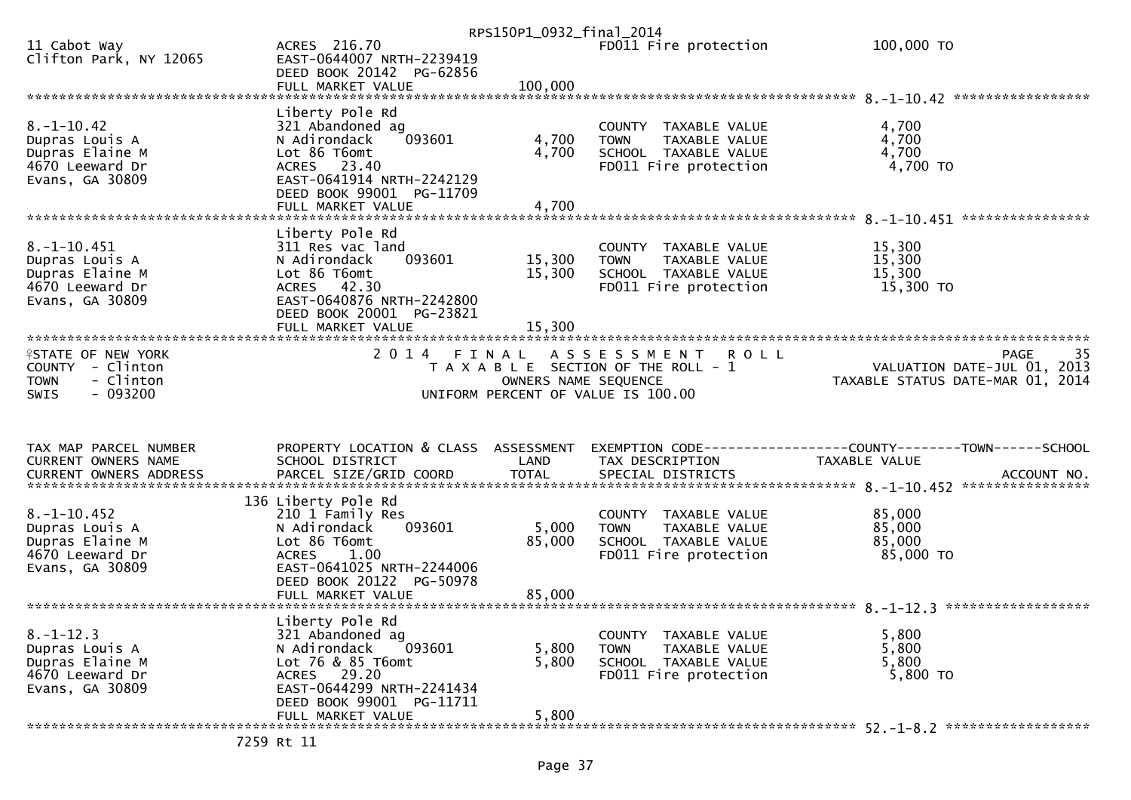|                                                                                              |                                                                                                                                                                            | RPS150P1_0932_final_2014   |                                                                                                       |                                                                 |
|----------------------------------------------------------------------------------------------|----------------------------------------------------------------------------------------------------------------------------------------------------------------------------|----------------------------|-------------------------------------------------------------------------------------------------------|-----------------------------------------------------------------|
| 11 Cabot Way<br>Clifton Park, NY 12065                                                       | ACRES 216.70<br>EAST-0644007 NRTH-2239419<br>DEED BOOK 20142 PG-62856                                                                                                      |                            | FD011 Fire protection                                                                                 | 100,000 TO                                                      |
|                                                                                              |                                                                                                                                                                            |                            |                                                                                                       |                                                                 |
| $8. - 1 - 10.42$<br>Dupras Louis A<br>Dupras Elaine M<br>4670 Leeward Dr<br>Evans, GA 30809  | Liberty Pole Rd<br>321 Abandoned ag<br>093601<br>N Adirondack<br>Lot 86 T6omt<br>ACRES 23.40<br>EAST-0641914 NRTH-2242129<br>DEED BOOK 99001 PG-11709                      | 4,700<br>4,700             | COUNTY TAXABLE VALUE<br><b>TOWN</b><br>TAXABLE VALUE<br>SCHOOL TAXABLE VALUE<br>FD011 Fire protection | 4,700<br>4,700<br>4,700<br>4,700 TO                             |
|                                                                                              | FULL MARKET VALUE                                                                                                                                                          | 4,700                      |                                                                                                       |                                                                 |
|                                                                                              |                                                                                                                                                                            |                            |                                                                                                       | ****************                                                |
| $8. -1 - 10.451$<br>Dupras Louis A<br>Dupras Elaine M<br>4670 Leeward Dr<br>Evans, GA 30809  | Liberty Pole Rd<br>311 Res vac land<br>093601<br>N Adirondack<br>Lot 86 T6omt<br>ACRES 42.30<br>EAST-0640876 NRTH-2242800<br>DEED BOOK 20001 PG-23821<br>FULL MARKET VALUE | 15,300<br>15,300<br>15,300 | COUNTY TAXABLE VALUE<br>TAXABLE VALUE<br><b>TOWN</b><br>SCHOOL TAXABLE VALUE<br>FD011 Fire protection | 15,300<br>15,300<br>15,300<br>15,300 TO                         |
| <b>ISTATE OF NEW YORK</b>                                                                    | 2 0 1 4                                                                                                                                                                    | FINAL                      | ASSESSMENT<br><b>ROLL</b>                                                                             | 35<br>PAGE                                                      |
| COUNTY - Clinton<br>- Clinton<br><b>TOWN</b><br>$-093200$<br><b>SWIS</b>                     |                                                                                                                                                                            | OWNERS NAME SEQUENCE       | T A X A B L E SECTION OF THE ROLL - 1<br>UNIFORM PERCENT OF VALUE IS 100.00                           | VALUATION DATE-JUL 01, 2013<br>TAXABLE STATUS DATE-MAR 01, 2014 |
|                                                                                              |                                                                                                                                                                            |                            |                                                                                                       |                                                                 |
|                                                                                              |                                                                                                                                                                            |                            |                                                                                                       |                                                                 |
| TAX MAP PARCEL NUMBER<br>CURRENT OWNERS NAME                                                 | PROPERTY LOCATION & CLASS ASSESSMENT<br>SCHOOL DISTRICT                                                                                                                    | LAND                       | TAX DESCRIPTION                                                                                       | TAXABLE VALUE                                                   |
|                                                                                              |                                                                                                                                                                            |                            |                                                                                                       |                                                                 |
| $8. - 1 - 10.452$<br>Dupras Louis A<br>Dupras Elaine M<br>4670 Leeward Dr<br>Evans, GA 30809 | 136 Liberty Pole Rd<br>210 1 Family Res<br>093601<br>N Adirondack<br>Lot 86 T6omt<br><b>ACRES</b><br>1.00<br>EAST-0641025 NRTH-2244006<br>DEED BOOK 20122 PG-50978         | 5,000<br>85,000            | COUNTY TAXABLE VALUE<br>TAXABLE VALUE<br><b>TOWN</b><br>SCHOOL TAXABLE VALUE<br>FD011 Fire protection | 85,000<br>85,000<br>85,000<br>85,000 TO                         |
|                                                                                              |                                                                                                                                                                            |                            |                                                                                                       |                                                                 |
| $8. - 1 - 12.3$<br>Dupras Louis A<br>Dupras Elaine M<br>4670 Leeward Dr<br>Evans, GA 30809   | Liberty Pole Rd<br>321 Abandoned ag<br>N Adirondack<br>093601<br>Lot 76 & 85 T6omt<br>ACRES 29.20<br>EAST-0644299 NRTH-2241434<br>DEED BOOK 99001 PG-11711                 | 5,800<br>5,800             | COUNTY TAXABLE VALUE<br>TAXABLE VALUE<br><b>TOWN</b><br>SCHOOL TAXABLE VALUE<br>FD011 Fire protection | 5,800<br>5,800<br>5,800<br>5,800 TO                             |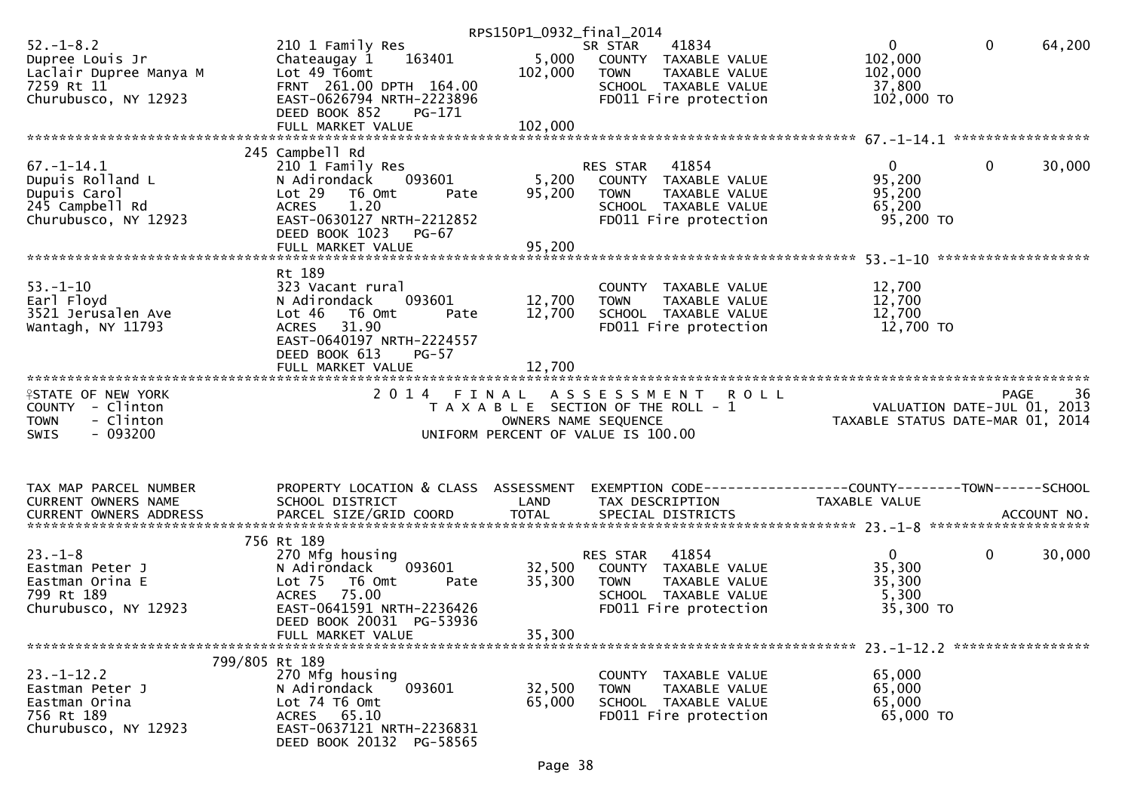|                           |                                      | RPS150P1_0932_final_2014 |                                                                |                                                                 |                        |
|---------------------------|--------------------------------------|--------------------------|----------------------------------------------------------------|-----------------------------------------------------------------|------------------------|
| $52. - 1 - 8.2$           | 210 1 Family Res                     |                          | 41834<br>SR STAR                                               | $\mathbf{0}$                                                    | $\mathbf{0}$<br>64,200 |
| Dupree Louis Jr           | 163401<br>Chateaugay 1               |                          | 5,000 COUNTY TAXABLE VALUE                                     | 102,000                                                         |                        |
| Laclair Dupree Manya M    | Lot 49 T6omt                         | 102,000                  | TAXABLE VALUE<br>TOWN                                          | 102,000                                                         |                        |
| 7259 Rt 11                | FRNT 261.00 DPTH 164.00              |                          | SCHOOL TAXABLE VALUE                                           | 37,800                                                          |                        |
| Churubusco, NY 12923      | EAST-0626794 NRTH-2223896            |                          | FD011 Fire protection                                          | 102,000 TO                                                      |                        |
|                           |                                      |                          |                                                                |                                                                 |                        |
|                           | DEED BOOK 852<br>PG-171              |                          |                                                                |                                                                 |                        |
|                           |                                      |                          |                                                                |                                                                 |                        |
|                           |                                      |                          |                                                                |                                                                 |                        |
|                           | 245 Campbell Rd                      |                          |                                                                |                                                                 |                        |
| $67. - 1 - 14.1$          | 210 1 Family Res                     |                          | 41854<br>RES STAR                                              | $\overline{0}$                                                  | $\mathbf{0}$<br>30,000 |
| Dupuis Rolland L          | N Adirondack<br>093601               | 5,200                    | COUNTY TAXABLE VALUE                                           | 95,200                                                          |                        |
| Dupuis Carol              | Lot 29 T6 Omt<br>Pate                | 95,200                   | TAXABLE VALUE<br>TOWN                                          | 95,200                                                          |                        |
| 245 Campbell Rd           | 1.20<br><b>ACRES</b>                 |                          | SCHOOL TAXABLE VALUE                                           | 65,200                                                          |                        |
| Churubusco, NY 12923      | EAST-0630127 NRTH-2212852            |                          | FD011 Fire protection                                          | 95,200 TO                                                       |                        |
|                           | DEED BOOK 1023<br>PG-67              |                          |                                                                |                                                                 |                        |
|                           |                                      |                          |                                                                |                                                                 |                        |
|                           |                                      |                          |                                                                |                                                                 |                        |
|                           |                                      |                          |                                                                |                                                                 |                        |
|                           | Rt 189                               |                          |                                                                |                                                                 |                        |
| $53. - 1 - 10$            | 323 Vacant rural                     |                          | COUNTY TAXABLE VALUE                                           | 12,700                                                          |                        |
| Earl Floyd                | 093601<br>N Adirondack               | 12,700                   | <b>TOWN</b><br>TAXABLE VALUE                                   | 12,700                                                          |                        |
| 3521 Jerusalen Ave        | Lot 46<br>T6 Omt<br>Pate             | 12,700                   | SCHOOL TAXABLE VALUE                                           | 12,700                                                          |                        |
| Wantagh, NY 11793         | 31.90<br><b>ACRES</b>                |                          | FD011 Fire protection                                          | 12,700 TO                                                       |                        |
|                           | EAST-0640197 NRTH-2224557            |                          |                                                                |                                                                 |                        |
|                           | DEED BOOK 613<br>$PG-57$             |                          |                                                                |                                                                 |                        |
|                           | FULL MARKET VALUE                    | 12,700                   |                                                                |                                                                 |                        |
|                           |                                      |                          |                                                                |                                                                 |                        |
|                           |                                      |                          |                                                                |                                                                 |                        |
|                           |                                      |                          |                                                                |                                                                 |                        |
| <b>ISTATE OF NEW YORK</b> | 2 0 1 4                              | FINAL                    | ASSESSMENT<br><b>ROLL</b>                                      |                                                                 | PAGE<br>36             |
| COUNTY - Clinton          |                                      |                          | T A X A B L E SECTION OF THE ROLL - 1                          |                                                                 |                        |
| - Clinton<br><b>TOWN</b>  |                                      | OWNERS NAME SEQUENCE     |                                                                | VALUATION DATE-JUL 01, 2013<br>TAXABLE STATUS DATE-MAR 01, 2014 |                        |
| $-093200$<br><b>SWIS</b>  |                                      |                          | UNIFORM PERCENT OF VALUE IS 100.00                             |                                                                 |                        |
|                           |                                      |                          |                                                                |                                                                 |                        |
|                           |                                      |                          |                                                                |                                                                 |                        |
|                           |                                      |                          |                                                                |                                                                 |                        |
| TAX MAP PARCEL NUMBER     | PROPERTY LOCATION & CLASS ASSESSMENT |                          | EXEMPTION CODE------------------COUNTY--------TOWN------SCHOOL |                                                                 |                        |
| CURRENT OWNERS NAME       | SCHOOL DISTRICT                      | LAND                     | TAX DESCRIPTION                                                | TAXABLE VALUE                                                   |                        |
|                           |                                      |                          |                                                                |                                                                 |                        |
|                           |                                      |                          |                                                                |                                                                 |                        |
|                           | 756 Rt 189                           |                          |                                                                |                                                                 |                        |
| $23. - 1 - 8$             | 270 Mfg housing                      |                          | 41854<br>RES STAR                                              | $\overline{0}$                                                  | 0<br>30,000            |
|                           | 093601<br>N Adirondack               |                          |                                                                |                                                                 |                        |
| Eastman Peter J           |                                      | 32,500                   | COUNTY TAXABLE VALUE                                           | 35,300                                                          |                        |
| Eastman Orina E           | Lot <sub>75</sub><br>T6 Omt<br>Pate  | 35,300                   | TAXABLE VALUE<br>TOWN                                          | 35,300                                                          |                        |
| 799 Rt 189                | <b>ACRES</b><br>75.00                |                          | SCHOOL TAXABLE VALUE                                           | 5,300                                                           |                        |
| Churubusco, NY 12923      | EAST-0641591 NRTH-2236426            |                          | FD011 Fire protection                                          | 35,300 TO                                                       |                        |
|                           | DEED BOOK 20031 PG-53936             |                          |                                                                |                                                                 |                        |
|                           | FULL MARKET VALUE                    | 35,300                   |                                                                |                                                                 |                        |
|                           |                                      |                          |                                                                |                                                                 |                        |
| 799/805 Rt 189            |                                      |                          |                                                                |                                                                 |                        |
| $23. - 1 - 12.2$          | 270 Mfg housing                      |                          | COUNTY TAXABLE VALUE                                           | 65,000                                                          |                        |
| Eastman Peter J           | 093601<br>N Adirondack               | 32,500                   | <b>TOWN</b><br>TAXABLE VALUE                                   | 65,000                                                          |                        |
| Eastman Orina             | Lot 74 T6 Omt                        | 65,000                   | SCHOOL TAXABLE VALUE                                           | 65,000                                                          |                        |
| 756 Rt 189                | ACRES 65.10                          |                          | FD011 Fire protection                                          | 65,000 TO                                                       |                        |
| Churubusco, NY 12923      | EAST-0637121 NRTH-2236831            |                          |                                                                |                                                                 |                        |
|                           | DEED BOOK 20132 PG-58565             |                          |                                                                |                                                                 |                        |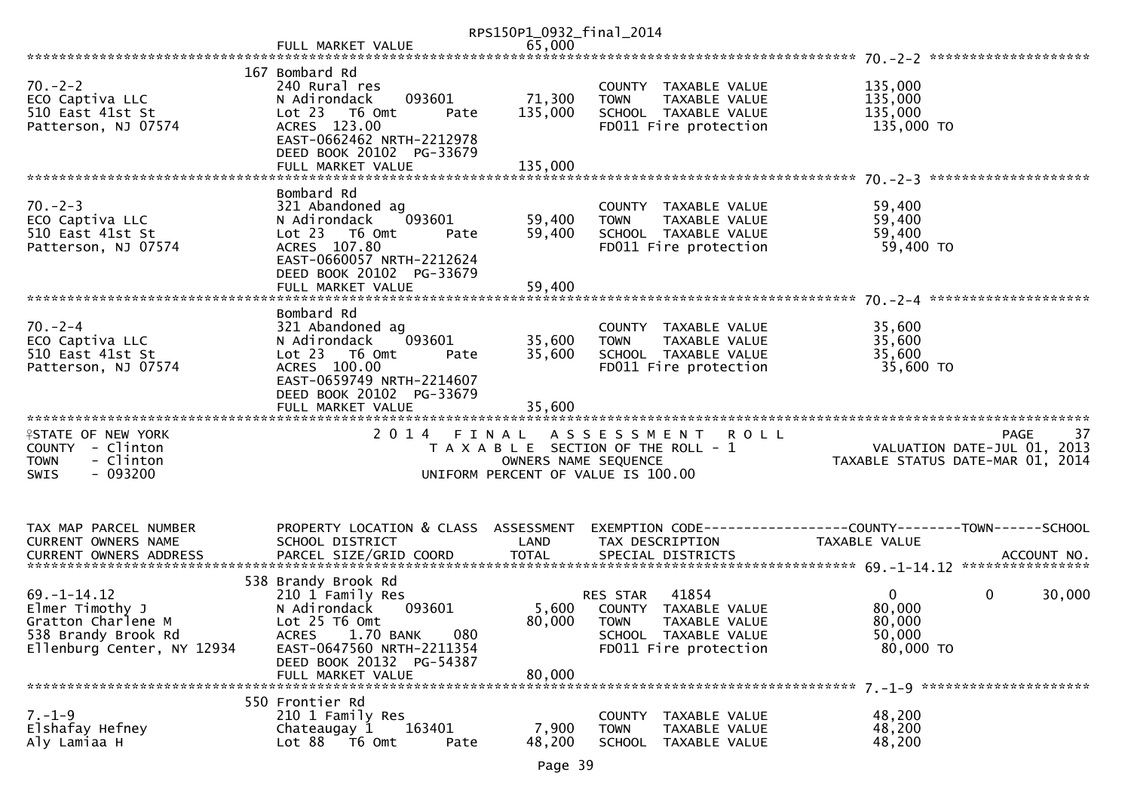|                                                                                                                 |                                                                                                                                                                                                      | RPS150P1_0932_final_2014   |                                                                                                                               |                                                                                    |    |
|-----------------------------------------------------------------------------------------------------------------|------------------------------------------------------------------------------------------------------------------------------------------------------------------------------------------------------|----------------------------|-------------------------------------------------------------------------------------------------------------------------------|------------------------------------------------------------------------------------|----|
|                                                                                                                 |                                                                                                                                                                                                      |                            |                                                                                                                               |                                                                                    |    |
|                                                                                                                 | 167 Bombard Rd                                                                                                                                                                                       |                            |                                                                                                                               |                                                                                    |    |
| $70 - 2 - 2$<br>ECO Captiva LLC<br>510 East 41st St<br>Patterson, NJ 07574                                      | 240 Rural res<br>093601<br>N Adirondack<br>Lot 23  T6 Omt<br>Pate<br>ACRES 123.00<br>EAST-0662462 NRTH-2212978                                                                                       | 71,300<br>135,000          | COUNTY TAXABLE VALUE<br>TAXABLE VALUE<br><b>TOWN</b><br>SCHOOL TAXABLE VALUE<br>FD011 Fire protection                         | 135,000<br>135,000<br>135,000<br>135,000 TO                                        |    |
|                                                                                                                 | DEED BOOK 20102 PG-33679<br>FULL MARKET VALUE                                                                                                                                                        | 135,000                    |                                                                                                                               |                                                                                    |    |
| $70. - 2 - 3$<br>ECO Captiva LLC<br>510 East 41st St<br>Patterson, NJ 07574                                     | Bombard Rd<br>321 Abandoned ag<br>093601<br>N Adirondack<br>Lot 23  T6 Omt<br>Pate<br>ACRES 107.80<br>EAST-0660057 NRTH-2212624<br>DEED BOOK 20102 PG-33679<br>FULL MARKET VALUE                     | 59,400<br>59,400<br>59,400 | COUNTY TAXABLE VALUE<br><b>TAXABLE VALUE</b><br><b>TOWN</b><br>SCHOOL TAXABLE VALUE<br>FD011 Fire protection                  | 59,400<br>59,400<br>59,400<br>59,400 TO                                            |    |
|                                                                                                                 |                                                                                                                                                                                                      |                            |                                                                                                                               |                                                                                    |    |
| $70 - 2 - 4$<br>ECO Captiva LLC<br>510 East 41st St<br>Patterson, NJ 07574                                      | Bombard Rd<br>321 Abandoned ag<br>N Adirondack<br>093601<br>Lot 23 T6 Omt<br>Pate<br>ACRES 100.00<br>EAST-0659749 NRTH-2214607<br>DEED BOOK 20102 PG-33679                                           | 35,600<br>35,600<br>35,600 | COUNTY TAXABLE VALUE<br><b>TOWN</b><br>TAXABLE VALUE<br>SCHOOL TAXABLE VALUE<br>FD011 Fire protection                         | 35,600<br>35,600<br>35,600<br>35,600 TO                                            |    |
|                                                                                                                 | FULL MARKET VALUE                                                                                                                                                                                    |                            |                                                                                                                               |                                                                                    |    |
| <b>ISTATE OF NEW YORK</b><br>COUNTY - Clinton<br>- Clinton<br><b>TOWN</b><br>$-093200$<br><b>SWIS</b>           |                                                                                                                                                                                                      | OWNERS NAME SEQUENCE       | 2014 FINAL ASSESSMENT<br><b>ROLL</b><br>T A X A B L E SECTION OF THE ROLL - 1<br>UNIFORM PERCENT OF VALUE IS 100.00           | PAGE<br>VALUATION DATE-JUL $01$ , 2013<br>TAXABLE STATUS DATE-MAR 01, 2014         | 37 |
| TAX MAP PARCEL NUMBER<br>CURRENT OWNERS NAME                                                                    | PROPERTY LOCATION & CLASS ASSESSMENT<br>SCHOOL DISTRICT                                                                                                                                              | LAND                       | TAX DESCRIPTION                                                                                                               | EXEMPTION CODE-----------------COUNTY-------TOWN------SCHOOL<br>TAXABLE VALUE      |    |
| $69. - 1 - 14.12$<br>Elmer Timothy J<br>Gratton Charlene M<br>538 Brandy Brook Rd<br>Ellenburg Center, NY 12934 | 538 Brandy Brook Rd<br>210 1 Family Res<br>N Adirondack<br>093601<br>Lot 25 T6 Omt<br>1.70 BANK<br>080<br><b>ACRES</b><br>EAST-0647560 NRTH-2211354<br>DEED BOOK 20132 PG-54387<br>FULL MARKET VALUE | 80,000<br>80,000           | RES STAR 41854<br>5,600 COUNTY TAXABLE VALUE<br><b>TOWN</b><br>TAXABLE VALUE<br>SCHOOL TAXABLE VALUE<br>FD011 Fire protection | $\overline{0}$<br>$\mathbf 0$<br>30,000<br>80,000<br>80,000<br>50,000<br>80,000 TO |    |
|                                                                                                                 | 550 Frontier Rd                                                                                                                                                                                      |                            |                                                                                                                               |                                                                                    |    |
| $7. - 1 - 9$<br>Elshafay Hefney<br>Aly Lamiaa H                                                                 | 210 1 Family Res<br>Chateaugay 1<br>163401<br>Lot 88 T6 Omt<br>Pate                                                                                                                                  | 7,900<br>48,200            | COUNTY TAXABLE VALUE<br><b>TOWN</b><br>TAXABLE VALUE<br><b>SCHOOL</b><br>TAXABLE VALUE                                        | 48,200<br>48,200<br>48,200                                                         |    |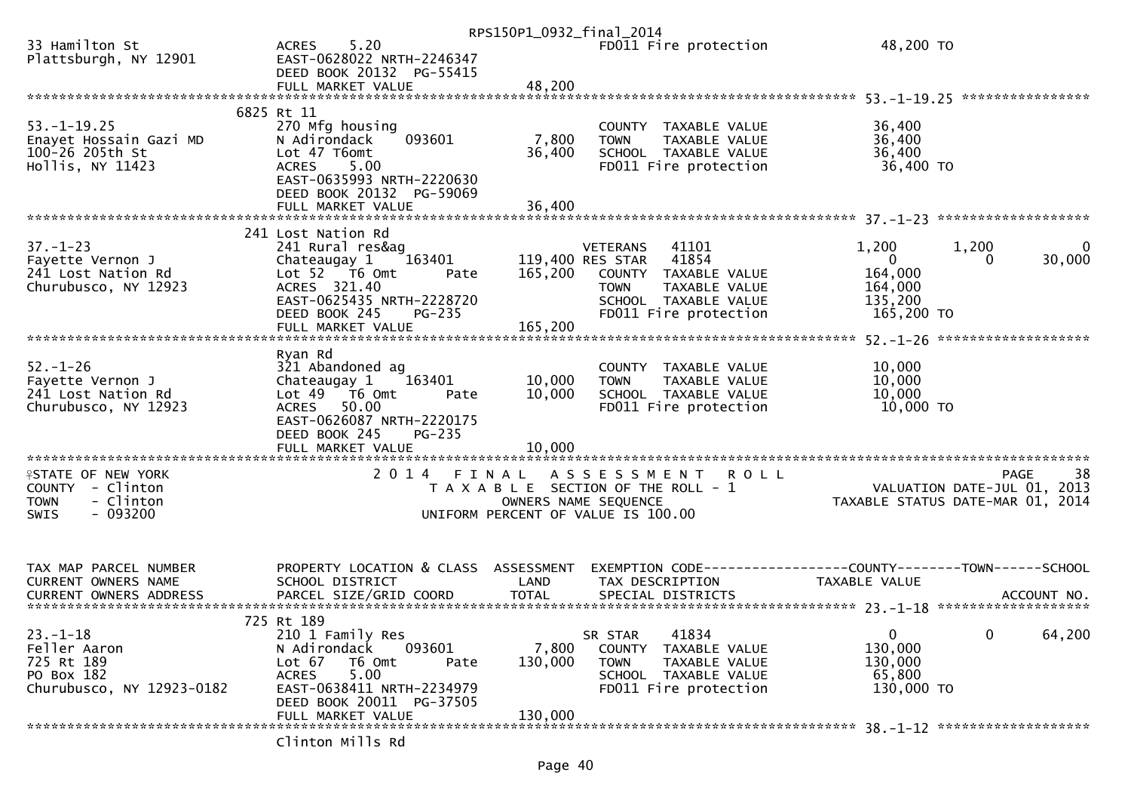|                                                                                                |                                                                                                                                                                   | RPS150P1_0932_final_2014 |                                                                                                                                                                |                                                                                    |                           |
|------------------------------------------------------------------------------------------------|-------------------------------------------------------------------------------------------------------------------------------------------------------------------|--------------------------|----------------------------------------------------------------------------------------------------------------------------------------------------------------|------------------------------------------------------------------------------------|---------------------------|
| 33 Hamilton St<br>Plattsburgh, NY 12901                                                        | 5.20<br><b>ACRES</b><br>EAST-0628022 NRTH-2246347<br>DEED BOOK 20132 PG-55415                                                                                     |                          | FD011 Fire protection                                                                                                                                          | 48,200 TO                                                                          |                           |
|                                                                                                | FULL MARKET VALUE                                                                                                                                                 | 48,200                   |                                                                                                                                                                |                                                                                    |                           |
| $53. - 1 - 19.25$<br>Enayet Hossain Gazi MD<br>100-26 205th St<br>Hollis, NY 11423             | 6825 Rt 11<br>270 Mfg housing<br>093601<br>N Adirondack<br>Lot 47 T6omt<br>5.00<br><b>ACRES</b><br>EAST-0635993 NRTH-2220630                                      | 7,800<br>36,400          | COUNTY TAXABLE VALUE<br>TAXABLE VALUE<br><b>TOWN</b><br>SCHOOL TAXABLE VALUE<br>FD011 Fire protection                                                          | 36,400<br>36,400<br>36,400<br>36,400 TO                                            |                           |
|                                                                                                | DEED BOOK 20132 PG-59069<br>FULL MARKET VALUE                                                                                                                     | 36,400                   |                                                                                                                                                                |                                                                                    |                           |
| $37. - 1 - 23$<br>Fayette Vernon J<br>241 Lost Nation Rd<br>Churubusco, NY 12923               | 241 Lost Nation Rd<br>241 Rural res&ag<br>Chateaugay 1<br>163401<br>Lot 52 T6 Omt<br>Pate<br>ACRES 321.40<br>EAST-0625435 NRTH-2228720<br>DEED BOOK 245<br>PG-235 | 165,200                  | 41101<br><b>VETERANS</b><br>119,400 RES STAR<br>41854<br>COUNTY TAXABLE VALUE<br><b>TOWN</b><br>TAXABLE VALUE<br>SCHOOL TAXABLE VALUE<br>FD011 Fire protection | 1,200<br>1,200<br>$\mathbf{0}$<br>0<br>164,000<br>164,000<br>135,200<br>165,200 TO | 0<br>30,000               |
|                                                                                                |                                                                                                                                                                   |                          |                                                                                                                                                                |                                                                                    |                           |
| $52 - 1 - 26$<br>Fayette Vernon J<br>241 Lost Nation Rd<br>Churubusco, NY 12923                | Ryan Rd<br>321 Abandoned ag<br>Chateaugay 1<br>163401<br>Lot 49  T6 0mt<br>Pate<br>50.00<br><b>ACRES</b><br>EAST-0626087 NRTH-2220175<br>DEED BOOK 245<br>PG-235  | 10,000<br>10,000         | COUNTY TAXABLE VALUE<br>TAXABLE VALUE<br><b>TOWN</b><br>SCHOOL TAXABLE VALUE<br>FD011 Fire protection                                                          | 10,000<br>10,000<br>10,000<br>10,000 TO                                            |                           |
|                                                                                                | FULL MARKET VALUE                                                                                                                                                 | 10,000                   | ***********************                                                                                                                                        |                                                                                    |                           |
| <b>ISTATE OF NEW YORK</b><br>COUNTY - Clinton<br>- Clinton<br><b>TOWN</b><br>$-093200$<br>SWIS | ************************<br>2014 FINAL                                                                                                                            |                          | ASSESSMENT ROLL<br>T A X A B L E SECTION OF THE ROLL - 1<br>OWNERS NAME SEQUENCE<br>UNIFORM PERCENT OF VALUE IS 100.00                                         | VALUATION DATE-JUL 01,<br>TAXABLE STATUS DATE-MAR 01, 2014                         | 38<br><b>PAGE</b><br>2013 |
| TAX MAP PARCEL NUMBER<br><b>CURRENT OWNERS NAME</b>                                            | PROPERTY LOCATION & CLASS ASSESSMENT<br>SCHOOL DISTRICT                                                                                                           | LAND                     | TAX DESCRIPTION                                                                                                                                                | EXEMPTION CODE-----------------COUNTY-------TOWN------SCHOOL<br>TAXABLE VALUE      |                           |
|                                                                                                | 725 Rt 189                                                                                                                                                        |                          |                                                                                                                                                                |                                                                                    |                           |
| $23. - 1 - 18$<br>Feller Aaron<br>725 Rt 189<br>PO Box 182<br>Churubusco, NY 12923-0182        | 210 1 Family Res<br>N Adirondack<br>093601<br>Lot 67<br>T6 Omt<br>Pate<br>5.00<br><b>ACRES</b><br>EAST-0638411 NRTH-2234979<br>DEED BOOK 20011 PG-37505           | 7,800<br>130,000         | 41834<br>SR STAR<br>COUNTY TAXABLE VALUE<br><b>TOWN</b><br>TAXABLE VALUE<br>SCHOOL TAXABLE VALUE<br>FD011 Fire protection                                      | $\mathbf 0$<br>0<br>130,000<br>130,000<br>65,800<br>130,000 TO                     | 64,200                    |
|                                                                                                | FULL MARKET VALUE<br>Clinton Mills Rd                                                                                                                             | 130,000                  |                                                                                                                                                                |                                                                                    |                           |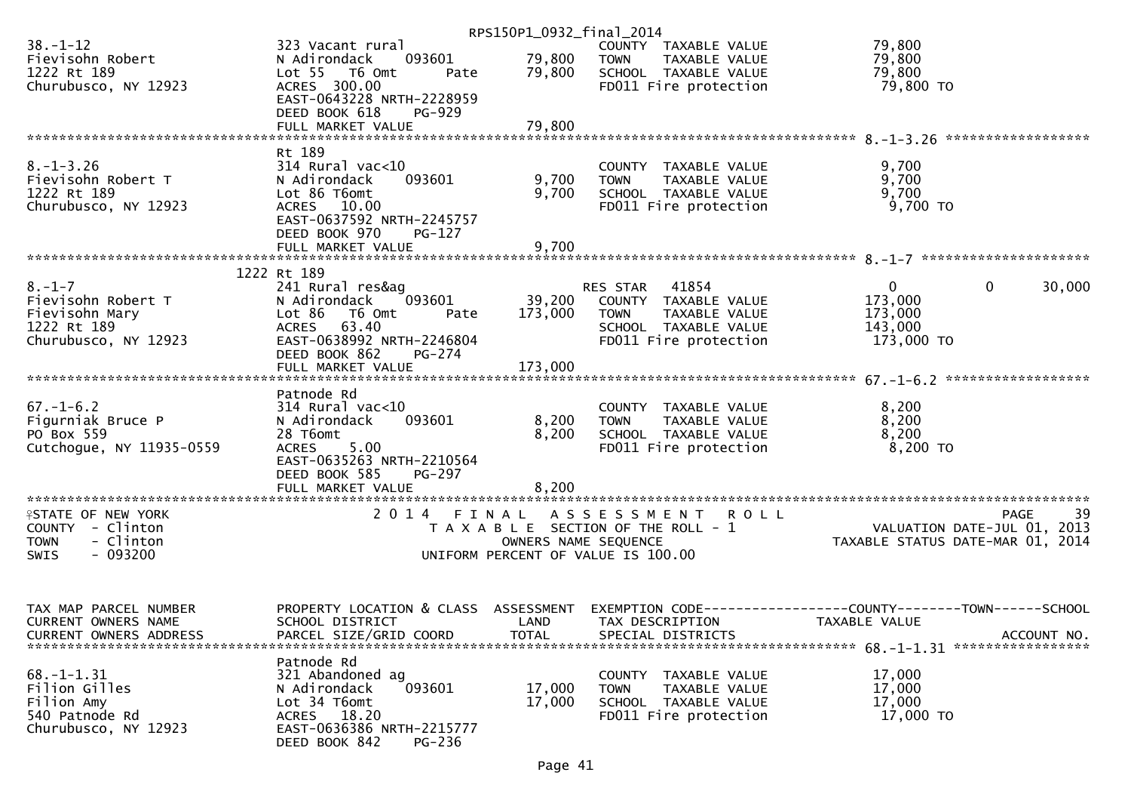|                                                                                                |                                                                                                                                                           | RPS150P1_0932_final_2014 |                                                                                                                                   |                                                                                                        |
|------------------------------------------------------------------------------------------------|-----------------------------------------------------------------------------------------------------------------------------------------------------------|--------------------------|-----------------------------------------------------------------------------------------------------------------------------------|--------------------------------------------------------------------------------------------------------|
| $38 - 1 - 12$<br>Fievisohn Robert<br>1222 Rt 189                                               | 323 Vacant rural<br>093601<br>N Adirondack<br>Lot 55  T6 Omt<br>Pate<br>ACRES 300.00                                                                      | 79,800<br>79,800         | COUNTY TAXABLE VALUE<br><b>TOWN</b><br>TAXABLE VALUE<br>SCHOOL TAXABLE VALUE                                                      | 79,800<br>79,800<br>79,800<br>79,800 TO                                                                |
| Churubusco, NY 12923                                                                           | EAST-0643228 NRTH-2228959<br>DEED BOOK 618<br>PG-929<br>FULL MARKET VALUE                                                                                 | 79,800                   | FD011 Fire protection                                                                                                             |                                                                                                        |
|                                                                                                |                                                                                                                                                           |                          |                                                                                                                                   |                                                                                                        |
| $8. - 1 - 3.26$<br>Fievisohn Robert T<br>1222 Rt 189<br>Churubusco, NY 12923                   | Rt 189<br>$314$ Rural vac< $10$<br>N Adirondack<br>093601<br>Lot 86 T6omt<br>ACRES 10.00<br>EAST-0637592 NRTH-2245757<br>DEED BOOK 970<br>PG-127          | 9,700<br>9,700           | COUNTY TAXABLE VALUE<br><b>TOWN</b><br>TAXABLE VALUE<br>SCHOOL TAXABLE VALUE<br>FD011 Fire protection                             | 9,700<br>9,700<br>9,700<br>9,700 TO                                                                    |
|                                                                                                |                                                                                                                                                           |                          |                                                                                                                                   |                                                                                                        |
|                                                                                                | 1222 Rt 189                                                                                                                                               |                          |                                                                                                                                   |                                                                                                        |
| $8. - 1 - 7$<br>Fievisohn Robert T<br>Fievisohn Mary<br>1222 Rt 189<br>Churubusco, NY 12923    | 241 Rural res&ag<br>093601<br>N Adirondack<br>Lot 86<br>T6 Omt<br>Pate<br>ACRES 63.40<br>EAST-0638992 NRTH-2246804<br>DEED BOOK 862<br>PG-274             | 173,000                  | 41854<br>RES STAR<br>39,200 COUNTY TAXABLE VALUE<br><b>TOWN</b><br>TAXABLE VALUE<br>SCHOOL TAXABLE VALUE<br>FD011 Fire protection | $\mathbf{0}$<br>30,000<br>$\mathbf{0}$<br>173,000<br>173,000<br>143,000<br>173,000 TO                  |
|                                                                                                | FULL MARKET VALUE                                                                                                                                         | 173,000                  |                                                                                                                                   |                                                                                                        |
| $67. - 1 - 6.2$<br>Figurniak Bruce P<br>PO Box 559<br>Cutchogue, NY 11935-0559                 | Patnode Rd<br>$314$ Rural vac< $10$<br>093601<br>N Adirondack<br>28 T6omt<br>5.00<br><b>ACRES</b><br>EAST-0635263 NRTH-2210564<br>DEED BOOK 585<br>PG-297 | 8,200<br>8,200<br>8,200  | COUNTY TAXABLE VALUE<br>TAXABLE VALUE<br><b>TOWN</b><br>SCHOOL TAXABLE VALUE<br>FD011 Fire protection                             | 8,200<br>8,200<br>8,200<br>$8,200$ TO                                                                  |
|                                                                                                |                                                                                                                                                           |                          |                                                                                                                                   |                                                                                                        |
| <b>ISTATE OF NEW YORK</b><br>COUNTY - Clinton<br><b>TOWN</b><br>- Clinton<br>$-093200$<br>SWIS |                                                                                                                                                           | OWNERS NAME SEQUENCE     | 2014 FINAL ASSESSMENT ROLL<br>T A X A B L E SECTION OF THE ROLL - 1<br>UNIFORM PERCENT OF VALUE IS 100.00                         | PAGE 39<br>VALUATION DATE-JUL 01, 2013<br>TAXARLE STATIS DATE :::-<br>TAXABLE STATUS DATE-MAR 01, 2014 |
| TAX MAP PARCEL NUMBER<br>CURRENT OWNERS NAME<br><b>CURRENT OWNERS ADDRESS</b>                  | PROPERTY LOCATION & CLASS ASSESSMENT<br>SCHOOL DISTRICT<br>PARCEL SIZE/GRID COORD                                                                         | LAND<br><b>TOTAL</b>     | TAX DESCRIPTION<br>SPECIAL DISTRICTS                                                                                              | EXEMPTION CODE-----------------COUNTY-------TOWN------SCHOOL<br>TAXABLE VALUE<br>ACCOUNT NO.           |
| $68. - 1 - 1.31$<br>Filion Gilles<br>Filion Amy<br>540 Patnode Rd<br>Churubusco, NY 12923      | Patnode Rd<br>321 Abandoned ag<br>093601<br>N Adirondack<br>Lot 34 T6omt<br>ACRES 18.20<br>EAST-0636386 NRTH-2215777<br>DEED BOOK 842<br>PG-236           | 17,000<br>17,000         | COUNTY<br>TAXABLE VALUE<br><b>TOWN</b><br>TAXABLE VALUE<br>SCHOOL TAXABLE VALUE<br>FD011 Fire protection                          | 17,000<br>17,000<br>17,000<br>17,000 TO                                                                |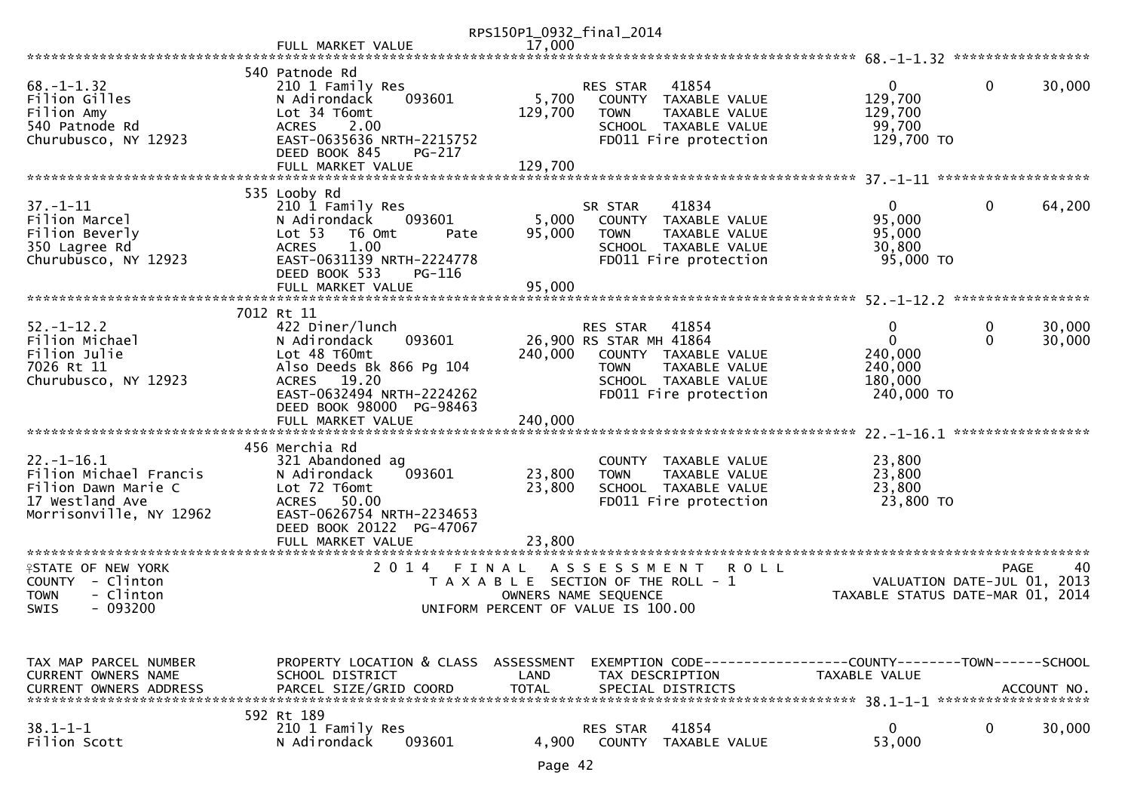|                                                                                                                 |                                                                                                                                                                                                        | RPS150P1_0932_final_2014  |                                                                                                                                                       |                                                                  |                                                                                      |
|-----------------------------------------------------------------------------------------------------------------|--------------------------------------------------------------------------------------------------------------------------------------------------------------------------------------------------------|---------------------------|-------------------------------------------------------------------------------------------------------------------------------------------------------|------------------------------------------------------------------|--------------------------------------------------------------------------------------|
|                                                                                                                 | FULL MARKET VALUE                                                                                                                                                                                      | 17,000                    |                                                                                                                                                       |                                                                  |                                                                                      |
|                                                                                                                 | 540 Patnode Rd                                                                                                                                                                                         |                           |                                                                                                                                                       |                                                                  |                                                                                      |
| $68. - 1 - 1.32$<br>Filion Gilles<br>Filion Amy<br>540 Patnode Rd<br>Churubusco, NY 12923                       | 210 1 Family Res<br>093601<br>N Adirondack<br>Lot 34 T6omt<br>2.00<br><b>ACRES</b><br>EAST-0635636 NRTH-2215752<br>DEED BOOK 845<br>PG-217                                                             | 5,700<br>129,700          | 41854<br>RES STAR<br>COUNTY TAXABLE VALUE<br><b>TOWN</b><br>TAXABLE VALUE<br>SCHOOL TAXABLE VALUE<br>FD011 Fire protection                            | $\overline{0}$<br>129,700<br>129,700<br>99,700<br>129,700 TO     | $\mathbf{0}$<br>30,000                                                               |
|                                                                                                                 | FULL MARKET VALUE                                                                                                                                                                                      | 129,700                   |                                                                                                                                                       |                                                                  |                                                                                      |
| $37. - 1 - 11$<br>Filion Marcel<br>Filion Beverly<br>350 Lagree Rd<br>Churubusco, NY 12923                      | 535 Looby Rd<br>210 1 Family Res<br>N Adirondack<br>093601<br>Lot <sub>53</sub><br>T6 Omt<br>Pate<br>1.00<br><b>ACRES</b><br>EAST-0631139 NRTH-2224778<br>DEED BOOK 533<br>PG-116<br>FULL MARKET VALUE | 5,000<br>95,000<br>95,000 | SR STAR<br>41834<br>COUNTY TAXABLE VALUE<br><b>TOWN</b><br>TAXABLE VALUE<br>SCHOOL TAXABLE VALUE<br>FD011 Fire protection                             | $\mathbf{0}$<br>95,000<br>95,000<br>30,800<br>95,000 TO          | $\mathbf 0$<br>64,200                                                                |
|                                                                                                                 |                                                                                                                                                                                                        |                           |                                                                                                                                                       |                                                                  | *****************                                                                    |
| $52. - 1 - 12.2$<br>Filion Michael<br>Filion Julie<br>7026 Rt 11<br>Churubusco, NY 12923                        | 7012 Rt 11<br>422 Diner/lunch<br>093601<br>N Adirondack<br>Lot 48 T60mt<br>Also Deeds Bk 866 Pg 104<br>ACRES 19.20<br>EAST-0632494 NRTH-2224262<br>DEED BOOK 98000 PG-98463                            | 240,000                   | RES STAR<br>41854<br>26,900 RS STAR MH 41864<br>COUNTY TAXABLE VALUE<br>TAXABLE VALUE<br><b>TOWN</b><br>SCHOOL TAXABLE VALUE<br>FD011 Fire protection | 0<br>$\mathbf{0}$<br>240,000<br>240,000<br>180,000<br>240,000 TO | 0<br>30,000<br>$\Omega$<br>30,000                                                    |
|                                                                                                                 | FULL MARKET VALUE                                                                                                                                                                                      | 240,000                   |                                                                                                                                                       |                                                                  |                                                                                      |
| $22. - 1 - 16.1$<br>Filion Michael Francis<br>Filion Dawn Marie C<br>17 Westland Ave<br>Morrisonville, NY 12962 | 456 Merchia Rd<br>321 Abandoned ag<br>093601<br>N Adirondack<br>Lot 72 T6omt<br><b>ACRES</b><br>50.00<br>EAST-0626754 NRTH-2234653                                                                     | 23,800<br>23,800          | COUNTY TAXABLE VALUE<br><b>TOWN</b><br>TAXABLE VALUE<br>SCHOOL TAXABLE VALUE<br>FD011 Fire protection                                                 | 23,800<br>23,800<br>23,800<br>23,800 TO                          |                                                                                      |
|                                                                                                                 | DEED BOOK 20122 PG-47067                                                                                                                                                                               |                           |                                                                                                                                                       |                                                                  |                                                                                      |
| <b>ISTATE OF NEW YORK</b><br>COUNTY - Clinton<br>- Clinton<br>TOWN<br>$-093200$<br>SWIS                         | FULL MARKET VALUE<br>2 0 1 4<br>FINAL                                                                                                                                                                  | 23,800                    | A S S E S S M E N T<br><b>ROLL</b><br>T A X A B L E SECTION OF THE ROLL - 1<br>OWNERS NAME SEQUENCE<br>UNIFORM PERCENT OF VALUE IS 100.00             |                                                                  | <b>PAGE</b><br>40<br>VALUATION DATE-JUL 01, 2013<br>TAXABLE STATUS DATE-MAR 01, 2014 |
| TAX MAP PARCEL NUMBER<br><b>CURRENT OWNERS NAME</b><br><b>CURRENT OWNERS ADDRESS</b>                            | PROPERTY LOCATION & CLASS ASSESSMENT<br>SCHOOL DISTRICT<br>PARCEL SIZE/GRID COORD                                                                                                                      | LAND<br><b>TOTAL</b>      | EXEMPTION CODE-----------------COUNTY-------TOWN------SCHOOL<br>TAX DESCRIPTION<br>SPECIAL DISTRICTS                                                  | TAXABLE VALUE                                                    | ACCOUNT NO.                                                                          |
| $38.1 - 1 - 1$<br>Filion Scott                                                                                  | 592 Rt 189<br>210 1 Family Res<br>N Adirondack<br>093601                                                                                                                                               | 4,900                     | 41854<br><b>RES STAR</b><br><b>COUNTY</b><br>TAXABLE VALUE                                                                                            | $\mathbf 0$<br>53,000                                            | 0<br>30,000                                                                          |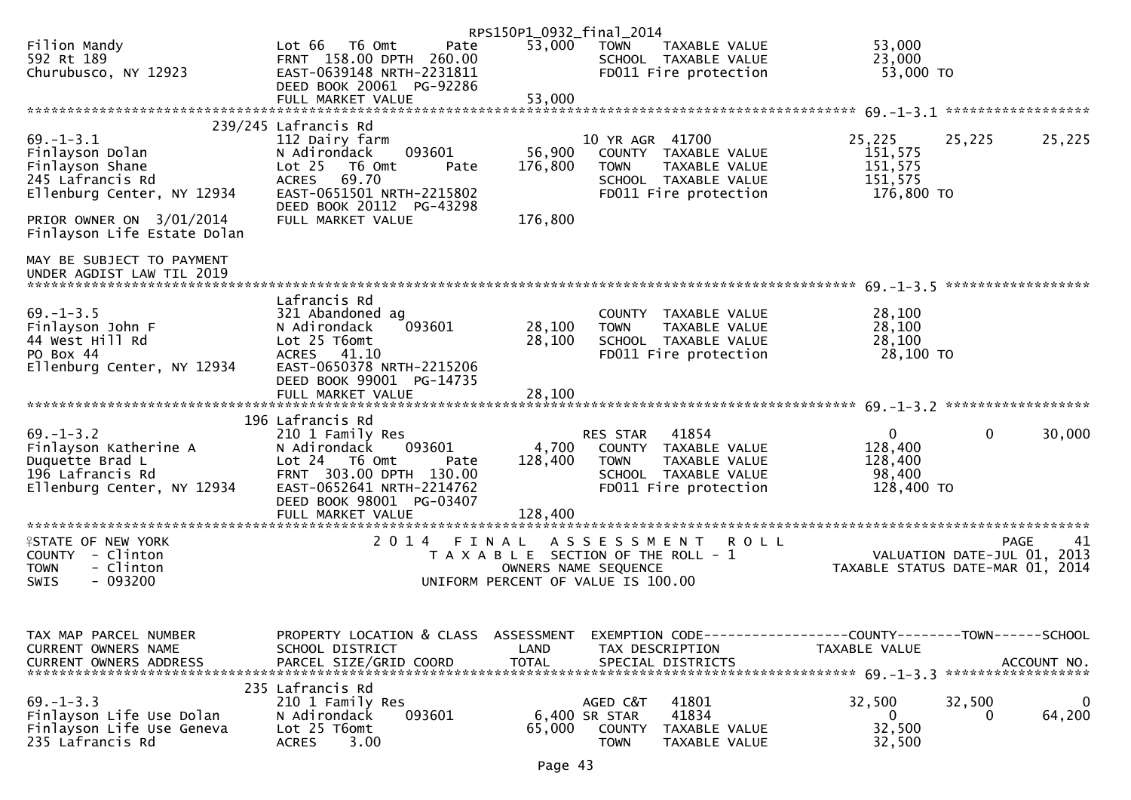|                                                                                                               |                                                                                                                                                                              | RPS150P1_0932_final_2014 |                                                                                                                                           |                                                            |                                                                                      |
|---------------------------------------------------------------------------------------------------------------|------------------------------------------------------------------------------------------------------------------------------------------------------------------------------|--------------------------|-------------------------------------------------------------------------------------------------------------------------------------------|------------------------------------------------------------|--------------------------------------------------------------------------------------|
| Filion Mandy<br>592 Rt 189<br>Churubusco, NY 12923                                                            | Lot 66  T6 0mt<br>Pate<br>FRNT 158.00 DPTH 260.00<br>EAST-0639148 NRTH-2231811<br>DEED BOOK 20061 PG-92286                                                                   | 53,000                   | <b>TOWN</b><br>TAXABLE VALUE<br>SCHOOL TAXABLE VALUE<br>FD011 Fire protection                                                             | 53,000<br>23,000<br>53,000 TO                              |                                                                                      |
|                                                                                                               | FULL MARKET VALUE                                                                                                                                                            | 53,000                   |                                                                                                                                           |                                                            |                                                                                      |
|                                                                                                               | 239/245 Lafrancis Rd                                                                                                                                                         |                          |                                                                                                                                           |                                                            |                                                                                      |
| $69. - 1 - 3.1$<br>Finlayson Dolan<br>Finlayson Shane<br>245 Lafrancis Rd<br>Ellenburg Center, NY 12934       | 112 Dairy farm<br>093601<br>N Adirondack<br>$Lot 25$ T6 Omt<br>Pate<br>69.70<br><b>ACRES</b><br>EAST-0651501 NRTH-2215802<br>DEED BOOK 20112 PG-43298                        | 56,900<br>176,800        | 10 YR AGR 41700<br>COUNTY TAXABLE VALUE<br>TAXABLE VALUE<br>TOWN<br>SCHOOL TAXABLE VALUE<br>FD011 Fire protection                         | 25,225<br>151,575<br>151,575<br>151,575<br>176,800 TO      | 25,225<br>25,225                                                                     |
| PRIOR OWNER ON 3/01/2014<br>Finlayson Life Estate Dolan                                                       | FULL MARKET VALUE                                                                                                                                                            | 176,800                  |                                                                                                                                           |                                                            |                                                                                      |
| MAY BE SUBJECT TO PAYMENT<br>UNDER AGDIST LAW TIL 2019                                                        |                                                                                                                                                                              |                          |                                                                                                                                           |                                                            | ******************                                                                   |
| $69. - 1 - 3.5$<br>Finlayson John F<br>44 West Hill Rd<br>PO Box 44<br>Ellenburg Center, NY 12934             | Lafrancis Rd<br>321 Abandoned ag<br>093601<br>N Adirondack<br>Lot 25 T6omt<br>ACRES 41.10<br>EAST-0650378 NRTH-2215206<br>DEED BOOK 99001 PG-14735                           | 28,100<br>28,100         | COUNTY TAXABLE VALUE<br>TAXABLE VALUE<br><b>TOWN</b><br>SCHOOL TAXABLE VALUE<br>FD011 Fire protection                                     | 28,100<br>28,100<br>28,100<br>28,100 TO                    |                                                                                      |
|                                                                                                               |                                                                                                                                                                              |                          |                                                                                                                                           |                                                            |                                                                                      |
| $69. - 1 - 3.2$<br>Finlayson Katherine A<br>Duquette Brad L<br>196 Lafrancis Rd<br>Ellenburg Center, NY 12934 | 196 Lafrancis Rd<br>210 1 Family Res<br>N Adirondack<br>093601<br>Lot 24  T6 Omt<br>Pate<br>FRNT 303.00 DPTH 130.00<br>EAST-0652641 NRTH-2214762<br>DEED BOOK 98001 PG-03407 | 4,700<br>128,400         | 41854<br>RES STAR<br>COUNTY TAXABLE VALUE<br><b>TOWN</b><br>TAXABLE VALUE<br>SCHOOL TAXABLE VALUE<br>FD011 Fire protection                | $\mathbf{0}$<br>128,400<br>128,400<br>98,400<br>128,400 TO | $\mathbf{0}$<br>30,000                                                               |
|                                                                                                               | FULL MARKET VALUE                                                                                                                                                            | 128,400                  |                                                                                                                                           |                                                            |                                                                                      |
| <b>ISTATE OF NEW YORK</b><br>COUNTY - Clinton<br><b>TOWN</b><br>- Clinton<br>$-093200$<br>SWIS                | 2014 FINAL                                                                                                                                                                   |                          | A S S E S S M E N T<br><b>ROLL</b><br>T A X A B L E SECTION OF THE ROLL - 1<br>OWNERS NAME SEQUENCE<br>UNIFORM PERCENT OF VALUE IS 100.00 |                                                            | 41<br><b>PAGE</b><br>VALUATION DATE-JUL 01, 2013<br>TAXABLE STATUS DATE-MAR 01, 2014 |
| TAX MAP PARCEL NUMBER<br>CURRENT OWNERS NAME<br><b>CURRENT OWNERS ADDRESS</b>                                 | PROPERTY LOCATION & CLASS ASSESSMENT<br>SCHOOL DISTRICT<br>PARCEL SIZE/GRID COORD                                                                                            | LAND<br><b>TOTAL</b>     | EXEMPTION CODE-----------------COUNTY--------TOWN------SCHOOL<br>TAX DESCRIPTION<br>SPECIAL DISTRICTS                                     | TAXABLE VALUE                                              | ACCOUNT NO.                                                                          |
| $69. - 1 - 3.3$<br>Finlayson Life Use Dolan<br>Finlayson Life Use Geneva<br>235 Lafrancis Rd                  | 235 Lafrancis Rd<br>210 1 Family Res<br>093601<br>N Adirondack<br>Lot 25 T6omt<br>3.00<br><b>ACRES</b>                                                                       | 65,000                   | 41801<br>AGED C&T<br>41834<br>6,400 SR STAR<br><b>COUNTY</b><br>TAXABLE VALUE<br><b>TOWN</b><br>TAXABLE VALUE                             | 32,500<br>$\mathbf{0}$<br>32,500<br>32,500                 | 32,500<br>$\overline{0}$<br>64,200<br>0                                              |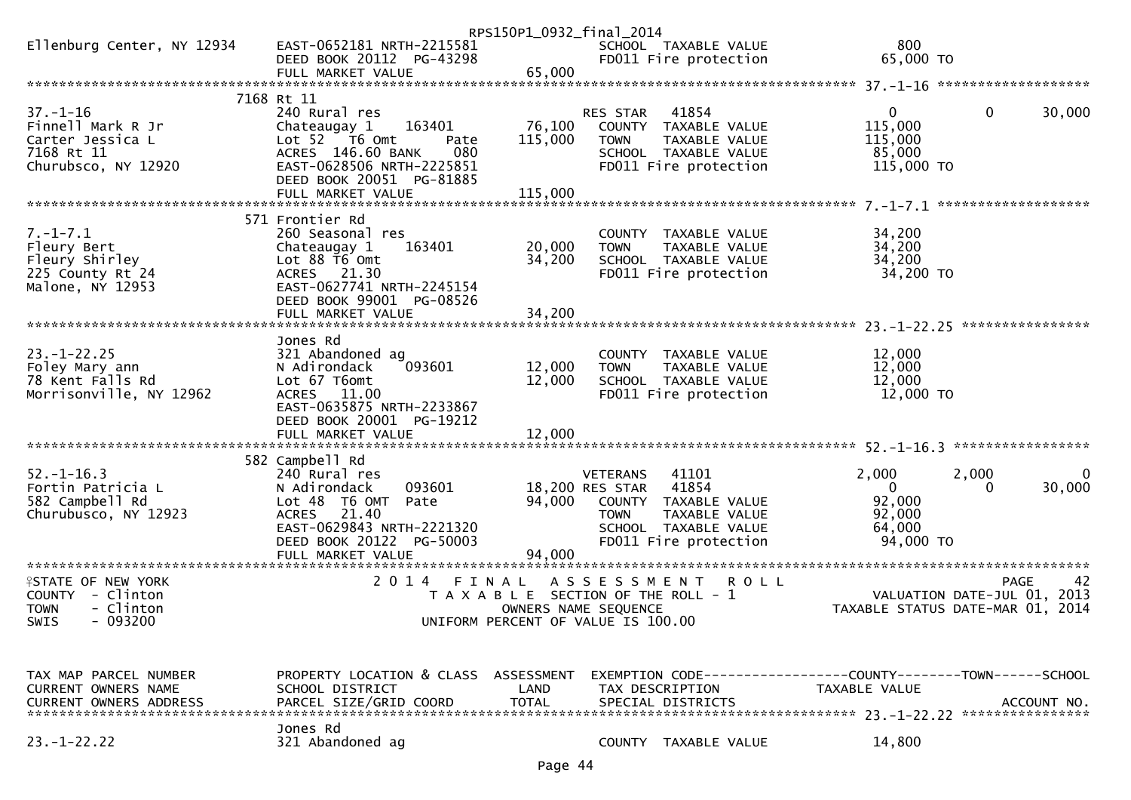|                                               |                                                       | RPS150P1_0932_final_2014              |                                    |                                               |                                                              |                                                  |
|-----------------------------------------------|-------------------------------------------------------|---------------------------------------|------------------------------------|-----------------------------------------------|--------------------------------------------------------------|--------------------------------------------------|
| Ellenburg Center, NY 12934                    | EAST-0652181 NRTH-2215581                             |                                       |                                    | SCHOOL TAXABLE VALUE                          | 800                                                          |                                                  |
|                                               | DEED BOOK 20112 PG-43298                              |                                       |                                    | FD011 Fire protection                         | 65,000 TO                                                    |                                                  |
|                                               | FULL MARKET VALUE                                     | 65,000                                |                                    |                                               |                                                              |                                                  |
|                                               | 7168 Rt 11                                            |                                       |                                    |                                               |                                                              |                                                  |
| $37. - 1 - 16$                                | 240 Rural res                                         |                                       | RES STAR                           | 41854                                         | $\overline{0}$                                               | $\mathbf 0$<br>30,000                            |
| Finnell Mark R Jr                             | 163401<br>Chateaugay 1                                | 76,100                                |                                    | COUNTY TAXABLE VALUE                          | 115,000                                                      |                                                  |
| Carter Jessica L                              | Lot 52  T6 Omt<br>Pate                                | 115,000                               | <b>TOWN</b>                        | TAXABLE VALUE                                 | 115,000                                                      |                                                  |
| 7168 Rt 11                                    | 080<br>ACRES 146.60 BANK                              |                                       |                                    | SCHOOL TAXABLE VALUE                          | 85,000                                                       |                                                  |
| Churubsco, NY 12920                           | EAST-0628506 NRTH-2225851<br>DEED BOOK 20051 PG-81885 |                                       |                                    | FD011 Fire protection                         | 115,000 TO                                                   |                                                  |
|                                               | FULL MARKET VALUE                                     | 115,000                               |                                    |                                               |                                                              |                                                  |
|                                               |                                                       |                                       |                                    |                                               |                                                              | *******************                              |
|                                               | 571 Frontier Rd                                       |                                       |                                    |                                               |                                                              |                                                  |
| $7. - 1 - 7.1$                                | 260 Seasonal res                                      |                                       |                                    | COUNTY TAXABLE VALUE                          | 34,200                                                       |                                                  |
| Fleury Bert                                   | Chateaugay 1<br>163401                                | 20,000                                | <b>TOWN</b>                        | TAXABLE VALUE                                 | 34,200                                                       |                                                  |
| Fleury Shirley                                | Lot 88 T6 Omt                                         | 34,200                                |                                    | SCHOOL TAXABLE VALUE                          | 34,200                                                       |                                                  |
| 225 County Rt 24<br>Malone, NY 12953          | ACRES 21.30<br>EAST-0627741 NRTH-2245154              |                                       |                                    | FD011 Fire protection                         | 34,200 TO                                                    |                                                  |
|                                               | DEED BOOK 99001 PG-08526                              |                                       |                                    |                                               |                                                              |                                                  |
|                                               | FULL MARKET VALUE                                     | 34,200                                |                                    |                                               |                                                              |                                                  |
|                                               |                                                       |                                       |                                    |                                               |                                                              |                                                  |
|                                               | Jones Rd                                              |                                       |                                    |                                               |                                                              |                                                  |
| $23. - 1 - 22.25$                             | 321 Abandoned ag                                      |                                       |                                    | COUNTY TAXABLE VALUE                          | 12,000                                                       |                                                  |
| Foley Mary ann                                | N Adirondack<br>093601                                | 12,000                                | <b>TOWN</b>                        | TAXABLE VALUE                                 | 12,000                                                       |                                                  |
| 78 Kent Falls Rd<br>Morrisonville, NY 12962   | Lot 67 T6omt<br>11.00<br><b>ACRES</b>                 | 12,000                                |                                    | SCHOOL TAXABLE VALUE<br>FD011 Fire protection | 12,000<br>12,000 TO                                          |                                                  |
|                                               | EAST-0635875 NRTH-2233867                             |                                       |                                    |                                               |                                                              |                                                  |
|                                               | DEED BOOK 20001 PG-19212                              |                                       |                                    |                                               |                                                              |                                                  |
|                                               |                                                       |                                       |                                    |                                               |                                                              |                                                  |
|                                               |                                                       |                                       |                                    |                                               |                                                              |                                                  |
|                                               | 582 Campbell Rd                                       |                                       |                                    |                                               |                                                              |                                                  |
| $52. - 1 - 16.3$<br>Fortin Patricia L         | 240 Rural res<br>093601<br>N Adirondack               |                                       | <b>VETERANS</b><br>18,200 RES STAR | 41101<br>41854                                | 2,000<br>$\overline{0}$                                      | 2,000<br>0<br>30,000<br>0                        |
| 582 Campbell Rd                               | Lot 48 T6 OMT<br>Pate                                 | 94,000                                |                                    | COUNTY TAXABLE VALUE                          | 92,000                                                       |                                                  |
| Churubusco, NY 12923                          | 21.40<br><b>ACRES</b>                                 |                                       | <b>TOWN</b>                        | TAXABLE VALUE                                 | 92,000                                                       |                                                  |
|                                               | EAST-0629843 NRTH-2221320                             |                                       |                                    | SCHOOL TAXABLE VALUE                          | 64,000                                                       |                                                  |
|                                               | DEED BOOK 20122 PG-50003                              |                                       |                                    | FD011 Fire protection                         | 94,000 TO                                                    |                                                  |
|                                               | FULL MARKET VALUE                                     | 94,000                                |                                    |                                               |                                                              |                                                  |
|                                               |                                                       |                                       |                                    |                                               |                                                              |                                                  |
| <b>ISTATE OF NEW YORK</b><br>COUNTY - Clinton | 2 0 1 4<br>FINAL                                      | T A X A B L E SECTION OF THE ROLL - 1 | A S S E S S M E N T                | <b>ROLL</b>                                   |                                                              | 42<br><b>PAGE</b><br>VALUATION DATE-JUL 01, 2013 |
| - Clinton<br><b>TOWN</b>                      |                                                       | OWNERS NAME SEQUENCE                  |                                    |                                               |                                                              | TAXABLE STATUS DATE-MAR 01, 2014                 |
| $-093200$<br>SWIS                             |                                                       | UNIFORM PERCENT OF VALUE IS 100.00    |                                    |                                               |                                                              |                                                  |
|                                               |                                                       |                                       |                                    |                                               |                                                              |                                                  |
|                                               |                                                       |                                       |                                    |                                               |                                                              |                                                  |
| TAX MAP PARCEL NUMBER                         | PROPERTY LOCATION & CLASS ASSESSMENT                  |                                       |                                    |                                               | EXEMPTION CODE-----------------COUNTY-------TOWN------SCHOOL |                                                  |
| <b>CURRENT OWNERS NAME</b>                    | SCHOOL DISTRICT                                       | LAND                                  | TAX DESCRIPTION                    |                                               | TAXABLE VALUE                                                |                                                  |
| <b>CURRENT OWNERS ADDRESS</b>                 | PARCEL SIZE/GRID COORD                                | <b>TOTAL</b>                          |                                    | SPECIAL DISTRICTS                             |                                                              | ACCOUNT NO.                                      |
|                                               |                                                       |                                       |                                    |                                               |                                                              |                                                  |
|                                               | Jones Rd                                              |                                       |                                    |                                               |                                                              |                                                  |
| $23. - 1 - 22.22$                             | 321 Abandoned ag                                      |                                       |                                    | COUNTY TAXABLE VALUE                          | 14,800                                                       |                                                  |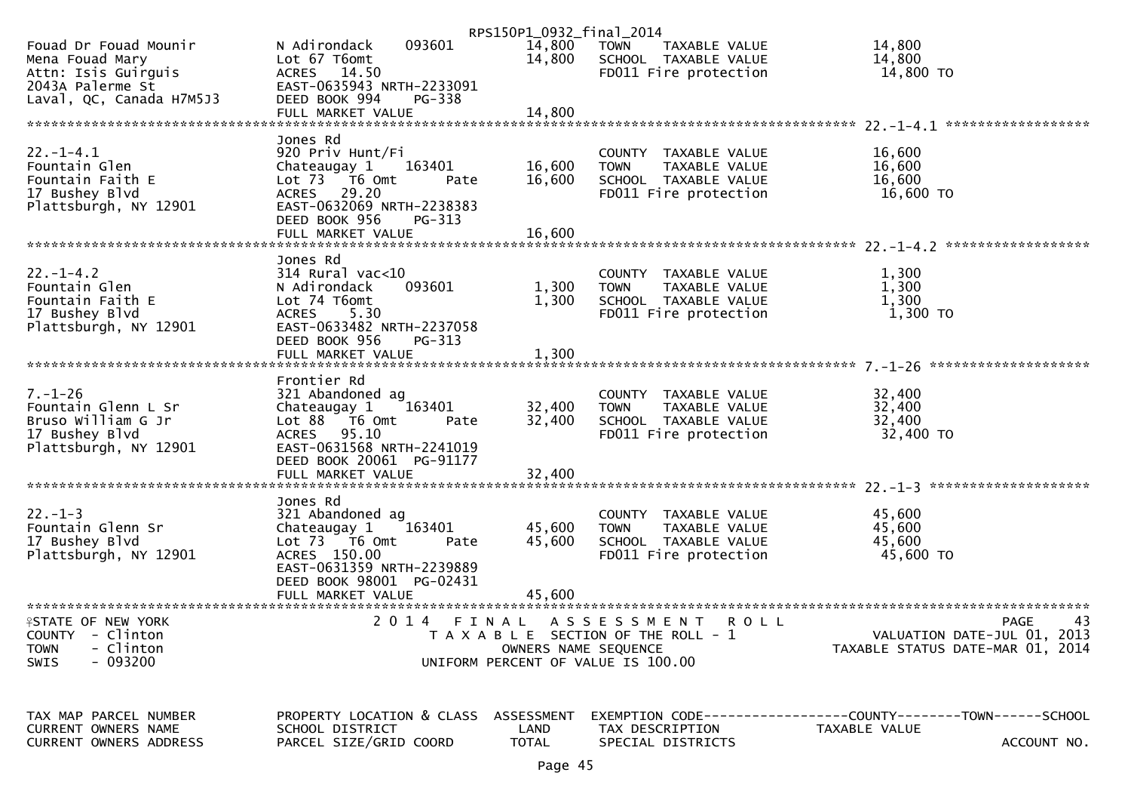|                                             |                           | RPS150P1_0932_final_2014 |                                       |                                  |
|---------------------------------------------|---------------------------|--------------------------|---------------------------------------|----------------------------------|
| Fouad Dr Fouad Mounir                       | 093601<br>N Adirondack    | 14,800                   | TOWN<br>TAXABLE VALUE                 | 14,800                           |
| Mena Fouad Mary                             | Lot 67 T6omt              | 14,800                   | SCHOOL TAXABLE VALUE                  | 14,800                           |
| Attn: Isis Guirguis                         | ACRES 14.50               |                          | FD011 Fire protection                 | 14,800 TO                        |
| 2043A Palerme St                            | EAST-0635943 NRTH-2233091 |                          |                                       |                                  |
| Laval, QC, Canada H7M5J3                    | DEED BOOK 994<br>PG-338   |                          |                                       |                                  |
|                                             | FULL MARKET VALUE         | 14,800                   |                                       |                                  |
|                                             |                           |                          |                                       |                                  |
|                                             |                           |                          |                                       |                                  |
|                                             | Jones Rd                  |                          |                                       |                                  |
| $22. - 1 - 4.1$                             | 920 Priv Hunt/Fi          |                          | COUNTY TAXABLE VALUE                  | 16,600                           |
| Fountain Glen                               | 163401<br>Chateaugay 1    | 16,600                   | <b>TOWN</b><br>TAXABLE VALUE          | 16,600                           |
| Fountain Faith E                            | Lot 73  T6 Omt<br>Pate    | 16,600                   | SCHOOL TAXABLE VALUE                  | 16,600                           |
| 17 Bushey Blvd                              | ACRES 29.20               |                          | FD011 Fire protection                 | 16,600 TO                        |
| Plattsburgh, NY 12901                       | EAST-0632069 NRTH-2238383 |                          |                                       |                                  |
|                                             | DEED BOOK 956<br>PG-313   |                          |                                       |                                  |
|                                             | FULL MARKET VALUE         | 16,600                   |                                       |                                  |
|                                             |                           |                          |                                       |                                  |
|                                             | Jones Rd                  |                          |                                       |                                  |
| $22. - 1 - 4.2$                             | $314$ Rural vac< $10$     |                          | COUNTY TAXABLE VALUE                  | 1,300                            |
| Fountain Glen                               | 093601<br>N Adirondack    | 1,300                    | <b>TOWN</b><br>TAXABLE VALUE          | 1,300                            |
| Fountain Faith E                            | Lot 74 T6omt              | 1,300                    | SCHOOL TAXABLE VALUE                  | 1,300                            |
| 17 Bushey Blvd                              | 5.30<br>ACRES             |                          | FD011 Fire protection                 | $1,300$ TO                       |
| Plattsburgh, NY 12901                       | EAST-0633482 NRTH-2237058 |                          |                                       |                                  |
|                                             | DEED BOOK 956<br>$PG-313$ |                          |                                       |                                  |
|                                             | FULL MARKET VALUE         | 1,300                    |                                       |                                  |
|                                             |                           |                          |                                       |                                  |
|                                             | Frontier Rd               |                          |                                       |                                  |
|                                             |                           |                          |                                       |                                  |
| $7. - 1 - 26$                               | 321 Abandoned ag          |                          | COUNTY TAXABLE VALUE                  | 32,400                           |
| Fountain Glenn L Sr                         | 163401<br>Chateaugay 1    | 32,400                   | TAXABLE VALUE<br><b>TOWN</b>          | 32,400                           |
| Bruso William G Jr                          | Lot 88 T6 Omt<br>Pate     | 32,400                   | SCHOOL TAXABLE VALUE                  | 32,400                           |
| 17 Bushey Blvd                              | ACRES 95.10               |                          | FD011 Fire protection                 | 32,400 TO                        |
| Plattsburgh, NY 12901                       | EAST-0631568 NRTH-2241019 |                          |                                       |                                  |
|                                             | DEED BOOK 20061 PG-91177  |                          |                                       |                                  |
|                                             | FULL MARKET VALUE         | 32,400                   |                                       |                                  |
|                                             |                           |                          |                                       |                                  |
|                                             | Jones Rd                  |                          |                                       |                                  |
| $22. - 1 - 3$                               | 321 Abandoned ag          |                          | COUNTY TAXABLE VALUE                  | 45,600                           |
| Fountain Glenn Sr                           | 163401<br>Chateaugay 1    | 45,600                   | <b>TOWN</b><br>TAXABLE VALUE          | 45,600                           |
| 17 Bushey Blvd                              | Lot 73  T6 Omt<br>Pate    | 45,600                   | SCHOOL TAXABLE VALUE                  | 45,600                           |
| Plattsburgh, NY 12901                       | ACRES 150.00              |                          | FD011 Fire protection                 | 45,600 TO                        |
|                                             | EAST-0631359 NRTH-2239889 |                          |                                       |                                  |
|                                             | DEED BOOK 98001 PG-02431  |                          |                                       |                                  |
|                                             | FULL MARKET VALUE         | 45,600                   |                                       |                                  |
|                                             |                           |                          |                                       |                                  |
| <b><i><del>I</del>STATE OF NEW YORK</i></b> | 2 0 1 4                   | FINAL                    | A S S E S S M E N T<br>R O L L        | 43<br><b>PAGE</b>                |
| <b>COUNTY</b><br>- Clinton                  |                           |                          | T A X A B L E SECTION OF THE ROLL - 1 | VALUATION DATE-JUL 01, 2013      |
| - Clinton<br><b>TOWN</b>                    |                           | OWNERS NAME SEQUENCE     |                                       | TAXABLE STATUS DATE-MAR 01, 2014 |
| $-093200$<br><b>SWIS</b>                    |                           |                          | UNIFORM PERCENT OF VALUE IS 100.00    |                                  |
|                                             |                           |                          |                                       |                                  |
|                                             |                           |                          |                                       |                                  |
|                                             |                           |                          |                                       |                                  |
| TAX MAP PARCEL NUMBER                       | PROPERTY LOCATION & CLASS | <b>ASSESSMENT</b>        |                                       |                                  |
| <b>CURRENT OWNERS NAME</b>                  | SCHOOL DISTRICT           | LAND                     | TAX DESCRIPTION                       | TAXABLE VALUE                    |
| CURRENT OWNERS ADDRESS                      | PARCEL SIZE/GRID COORD    | <b>TOTAL</b>             | SPECIAL DISTRICTS                     | ACCOUNT NO.                      |
|                                             |                           |                          |                                       |                                  |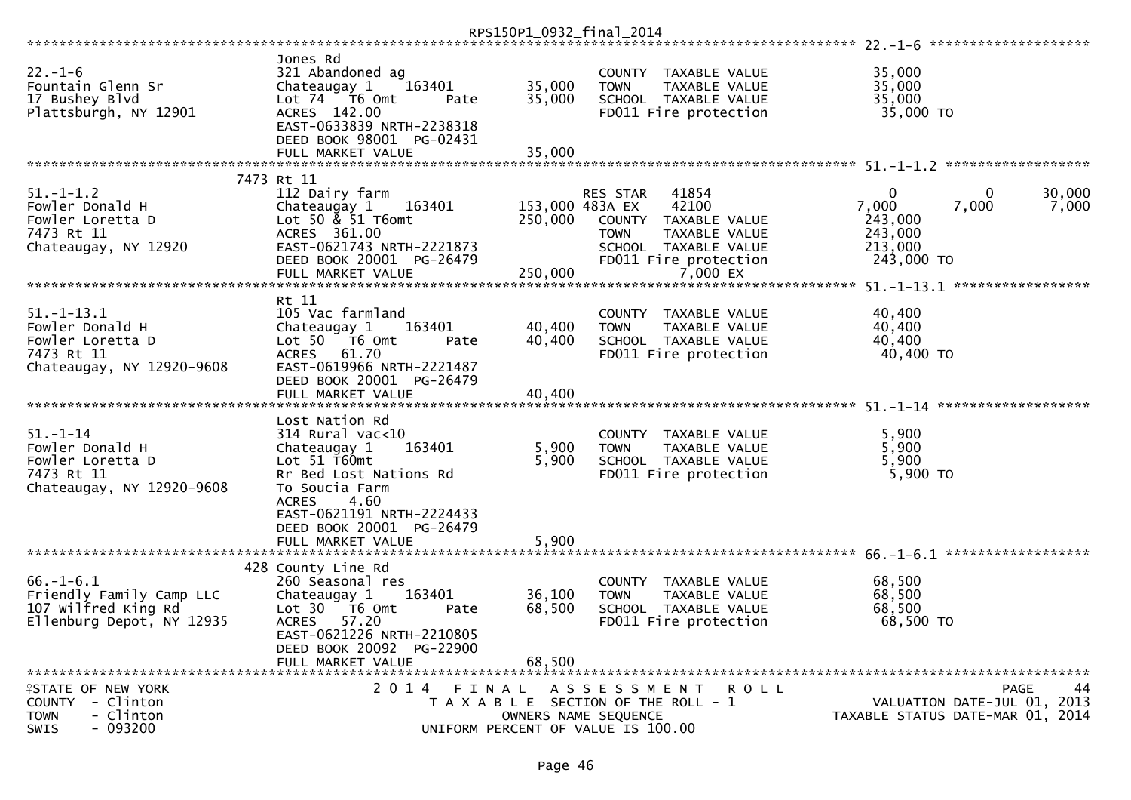|                                                                                                    |                                                                                                                                                                                                                                     | RPS150P1_0932_final_2014              |                         |                                                                                                                      |                                                           |                                                                                      |
|----------------------------------------------------------------------------------------------------|-------------------------------------------------------------------------------------------------------------------------------------------------------------------------------------------------------------------------------------|---------------------------------------|-------------------------|----------------------------------------------------------------------------------------------------------------------|-----------------------------------------------------------|--------------------------------------------------------------------------------------|
|                                                                                                    |                                                                                                                                                                                                                                     |                                       |                         |                                                                                                                      |                                                           |                                                                                      |
| $22. - 1 - 6$<br>Fountain Glenn Sr<br>17 Bushey Blvd<br>Plattsburgh, NY 12901                      | Jones Rd<br>321 Abandoned ag<br>Chateaugay 1<br>163401<br>Lot 74 T6 Omt<br>Pate<br>ACRES 142.00<br>EAST-0633839 NRTH-2238318<br>DEED BOOK 98001 PG-02431                                                                            | 35,000<br>35,000                      | <b>TOWN</b>             | COUNTY TAXABLE VALUE<br>TAXABLE VALUE<br>SCHOOL TAXABLE VALUE<br>FD011 Fire protection                               | 35,000<br>35,000<br>35,000<br>35,000 TO                   |                                                                                      |
|                                                                                                    | FULL MARKET VALUE                                                                                                                                                                                                                   | 35,000                                |                         |                                                                                                                      |                                                           |                                                                                      |
|                                                                                                    |                                                                                                                                                                                                                                     |                                       |                         |                                                                                                                      |                                                           |                                                                                      |
| $51. - 1 - 1.2$<br>Fowler Donald H<br>Fowler Loretta D<br>7473 Rt 11<br>Chateaugay, NY 12920       | 7473 Rt 11<br>112 Dairy farm<br>163401<br>Chateaugay 1<br>Lot 50 & 51 T6omt<br>ACRES 361.00<br>EAST-0621743 NRTH-2221873<br>DEED BOOK 20001 PG-26479<br>FULL MARKET VALUE                                                           | 153,000 483A EX<br>250,000<br>250,000 | RES STAR<br><b>TOWN</b> | 41854<br>42100<br>COUNTY TAXABLE VALUE<br>TAXABLE VALUE<br>SCHOOL TAXABLE VALUE<br>FD011 Fire protection<br>7,000 EX | 0<br>7,000<br>243,000<br>243,000<br>213,000<br>243,000 TO | 30,000<br>0<br>7,000<br>7,000                                                        |
|                                                                                                    | Rt 11                                                                                                                                                                                                                               |                                       |                         |                                                                                                                      |                                                           |                                                                                      |
| $51. - 1 - 13.1$<br>Fowler Donald H<br>Fowler Loretta D<br>7473 Rt 11<br>Chateaugay, NY 12920-9608 | 105 Vac farmland<br>Chateaugay 1<br>163401<br>Lot 50  T6 0mt<br>Pate<br>ACRES 61.70<br>EAST-0619966 NRTH-2221487<br>DEED BOOK 20001 PG-26479<br>FULL MARKET VALUE                                                                   | 40,400<br>40,400<br>40,400            | <b>TOWN</b>             | COUNTY TAXABLE VALUE<br>TAXABLE VALUE<br>SCHOOL TAXABLE VALUE<br>FD011 Fire protection                               | 40,400<br>40,400<br>40,400<br>40,400 TO                   |                                                                                      |
|                                                                                                    |                                                                                                                                                                                                                                     |                                       |                         |                                                                                                                      |                                                           |                                                                                      |
| $51. - 1 - 14$<br>Fowler Donald H<br>Fowler Loretta D<br>7473 Rt 11<br>Chateaugay, NY 12920-9608   | Lost Nation Rd<br>$314$ Rural vac< $10$<br>163401<br>Chateaugay 1<br>Lot 51 T60mt<br>Rr Bed Lost Nations Rd<br>To Soucia Farm<br><b>ACRES</b><br>4.60<br>EAST-0621191 NRTH-2224433<br>DEED BOOK 20001 PG-26479<br>FULL MARKET VALUE | 5,900<br>5,900<br>5,900               | <b>TOWN</b>             | COUNTY TAXABLE VALUE<br>TAXABLE VALUE<br>SCHOOL TAXABLE VALUE<br>FD011 Fire protection                               | 5,900<br>5,900<br>5,900<br>5,900 TO                       |                                                                                      |
|                                                                                                    |                                                                                                                                                                                                                                     |                                       |                         |                                                                                                                      |                                                           |                                                                                      |
| $66. - 1 - 6.1$<br>Friendly Family Camp LLC<br>107 Wilfred King Rd<br>Ellenburg Depot, NY 12935    | 428 County Line Rd<br>260 Seasonal res<br>Chateaugay 1<br>163401<br>Lot 30 76 0mt<br>Pate<br>57.20<br><b>ACRES</b><br>EAST-0621226 NRTH-2210805<br>DEED BOOK 20092 PG-22900<br>FULL MARKET VALUE                                    | 36,100<br>68,500<br>68,500            | <b>TOWN</b>             | COUNTY TAXABLE VALUE<br>TAXABLE VALUE<br>SCHOOL TAXABLE VALUE<br>FD011 Fire protection                               | 68,500<br>68,500<br>68,500<br>68,500 TO                   |                                                                                      |
| <b>ISTATE OF NEW YORK</b><br>COUNTY - Clinton<br>- Clinton<br><b>TOWN</b><br>$-093200$<br>SWIS     | 2014 FINAL<br>UNIFORM PERCENT OF VALUE IS 100.00                                                                                                                                                                                    | OWNERS NAME SEOUENCE                  |                         | A S S E S S M E N T R O L L<br>T A X A B L E SECTION OF THE ROLL - 1                                                 |                                                           | 44<br><b>PAGE</b><br>VALUATION DATE-JUL 01, 2013<br>TAXABLE STATUS DATE-MAR 01, 2014 |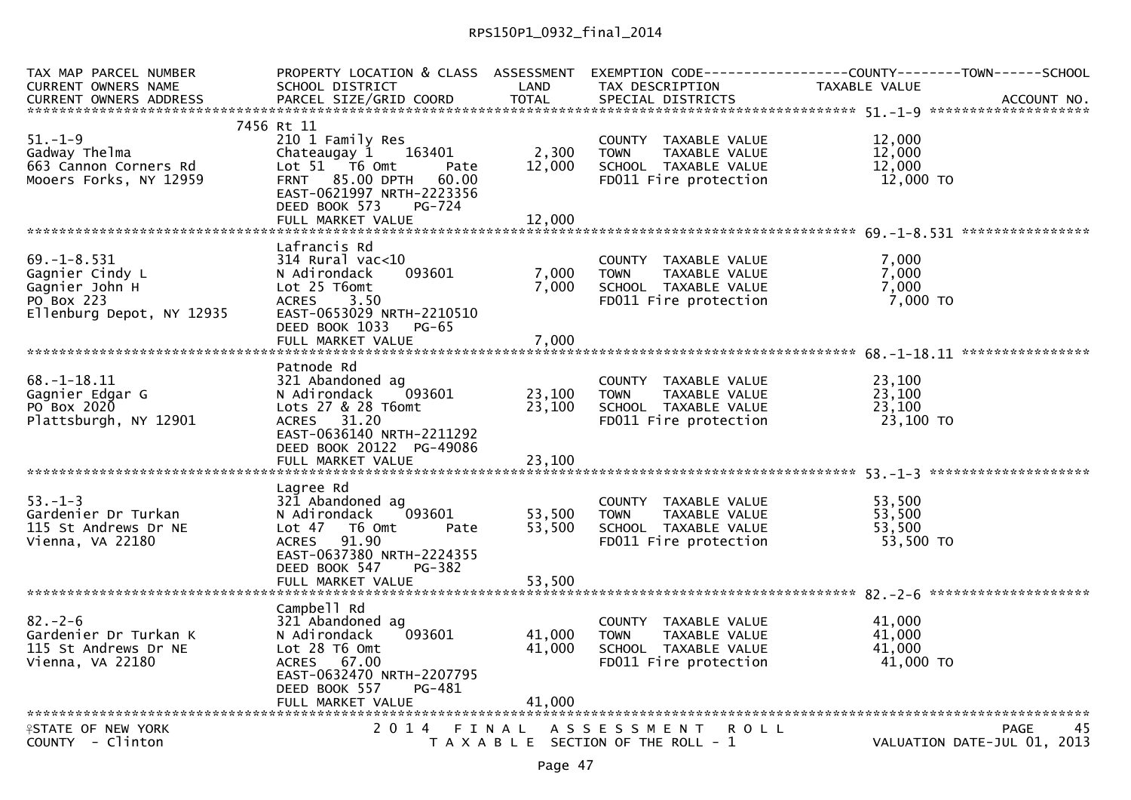| TAX MAP PARCEL NUMBER                           |                                         |                  |                                                      | PROPERTY LOCATION & CLASS ASSESSMENT EXEMPTION CODE----------------COUNTY--------TOWN------SCHOOL |
|-------------------------------------------------|-----------------------------------------|------------------|------------------------------------------------------|---------------------------------------------------------------------------------------------------|
| <b>CURRENT OWNERS NAME</b>                      | SCHOOL DISTRICT                         | LAND             | TAX DESCRIPTION                                      | TAXABLE VALUE                                                                                     |
| <b>CURRENT OWNERS ADDRESS</b>                   | PARCEL SIZE/GRID COORD                  | <b>TOTAL</b>     | SPECIAL DISTRICTS                                    | ACCOUNT NO.                                                                                       |
|                                                 |                                         |                  |                                                      |                                                                                                   |
| $51. - 1 - 9$                                   | 7456 Rt 11<br>210 1 Family Res          |                  |                                                      |                                                                                                   |
| Gadway Thelma                                   |                                         |                  | COUNTY TAXABLE VALUE                                 | 12,000<br>12,000                                                                                  |
|                                                 | Chateaugay 1<br>163401<br>Lot 51 76 0mt | 2,300<br>12,000  | <b>TOWN</b><br>TAXABLE VALUE<br>SCHOOL TAXABLE VALUE | 12,000                                                                                            |
| 663 Cannon Corners Rd<br>Mooers Forks, NY 12959 | Pate<br>FRNT 85.00 DPTH<br>60.00        |                  | FD011 Fire protection                                | 12,000 TO                                                                                         |
|                                                 | EAST-0621997 NRTH-2223356               |                  |                                                      |                                                                                                   |
|                                                 | DEED BOOK 573<br>PG-724                 |                  |                                                      |                                                                                                   |
|                                                 | FULL MARKET VALUE                       | 12,000           |                                                      |                                                                                                   |
|                                                 |                                         |                  |                                                      |                                                                                                   |
|                                                 | Lafrancis Rd                            |                  |                                                      |                                                                                                   |
| $69. - 1 - 8.531$                               | $314$ Rural vac<10                      |                  | COUNTY TAXABLE VALUE                                 | 7,000                                                                                             |
| Gagnier Cindy L                                 | 093601<br>N Adirondack                  | 7,000            | TAXABLE VALUE<br><b>TOWN</b>                         | 7,000                                                                                             |
| Gagnier John H                                  | Lot 25 T6omt                            | 7,000            | SCHOOL TAXABLE VALUE                                 | 7,000                                                                                             |
| PO Box 223                                      | <b>ACRES</b><br>3.50                    |                  | FD011 Fire protection                                | $7,000$ TO                                                                                        |
| Ellenburg Depot, NY 12935                       | EAST-0653029 NRTH-2210510               |                  |                                                      |                                                                                                   |
|                                                 | DEED BOOK 1033<br>$PG-65$               |                  |                                                      |                                                                                                   |
|                                                 |                                         |                  |                                                      |                                                                                                   |
|                                                 |                                         |                  |                                                      |                                                                                                   |
|                                                 | Patnode Rd                              |                  |                                                      |                                                                                                   |
| $68. - 1 - 18.11$                               | 321 Abandoned ag                        |                  | COUNTY TAXABLE VALUE                                 | 23,100                                                                                            |
| Gagnier Edgar G                                 | 093601<br>N Adirondack                  | 23,100           | TAXABLE VALUE<br><b>TOWN</b>                         | 23,100                                                                                            |
| PO Box 2020                                     | Lots 27 & 28 T6omt                      | 23,100           | SCHOOL TAXABLE VALUE                                 | 23,100                                                                                            |
| Plattsburgh, NY 12901                           | ACRES 31.20                             |                  | FD011 Fire protection                                | 23,100 TO                                                                                         |
|                                                 | EAST-0636140 NRTH-2211292               |                  |                                                      |                                                                                                   |
|                                                 | DEED BOOK 20122 PG-49086                |                  |                                                      |                                                                                                   |
|                                                 |                                         |                  |                                                      |                                                                                                   |
|                                                 |                                         |                  |                                                      |                                                                                                   |
|                                                 | Lagree Rd                               |                  |                                                      |                                                                                                   |
| $53. - 1 - 3$                                   | 321 Abandoned ag                        |                  | COUNTY TAXABLE VALUE                                 | 53,500                                                                                            |
| Gardenier Dr Turkan<br>115 St Andrews Dr NE     | 093601<br>N Adirondack                  | 53,500<br>53.500 | <b>TOWN</b><br>TAXABLE VALUE<br>SCHOOL TAXABLE VALUE | 53,500<br>53.500                                                                                  |
| Vienna, VA 22180                                | Lot 47 76 0<br>Pate<br>91.90<br>ACRES   |                  | FD011 Fire protection                                | 53,500 TO                                                                                         |
|                                                 | EAST-0637380 NRTH-2224355               |                  |                                                      |                                                                                                   |
|                                                 | DEED BOOK 547<br>PG-382                 |                  |                                                      |                                                                                                   |
|                                                 |                                         |                  |                                                      |                                                                                                   |
|                                                 |                                         |                  |                                                      |                                                                                                   |
|                                                 | Campbell Rd                             |                  |                                                      |                                                                                                   |
| $82 - 2 - 6$                                    | 321 Abandoned ag                        |                  | COUNTY TAXABLE VALUE                                 | 41,000                                                                                            |
| Gardenier Dr Turkan K                           | N Adirondack<br>093601                  | 41,000           | <b>TOWN</b><br>TAXABLE VALUE                         | 41,000                                                                                            |
| 115 St Andrews Dr NE                            | Lot 28 T6 Omt                           | 41,000           | SCHOOL TAXABLE VALUE                                 | 41,000                                                                                            |
| Vienna, VA 22180                                | ACRES 67.00                             |                  | FD011 Fire protection                                | 41,000 TO                                                                                         |
|                                                 | EAST-0632470 NRTH-2207795               |                  |                                                      |                                                                                                   |
|                                                 | DEED BOOK 557<br>PG-481                 |                  |                                                      |                                                                                                   |
|                                                 |                                         | 41,000           |                                                      |                                                                                                   |
|                                                 |                                         |                  |                                                      |                                                                                                   |
| <b>ASTATE OF NEW YORK</b>                       | 2014 FINAL                              |                  | A S S E S S M E N T<br><b>ROLL</b>                   | 45<br>PAGE                                                                                        |
| COUNTY - Clinton                                |                                         |                  | T A X A B L E SECTION OF THE ROLL - 1                | VALUATION DATE-JUL 01, 2013                                                                       |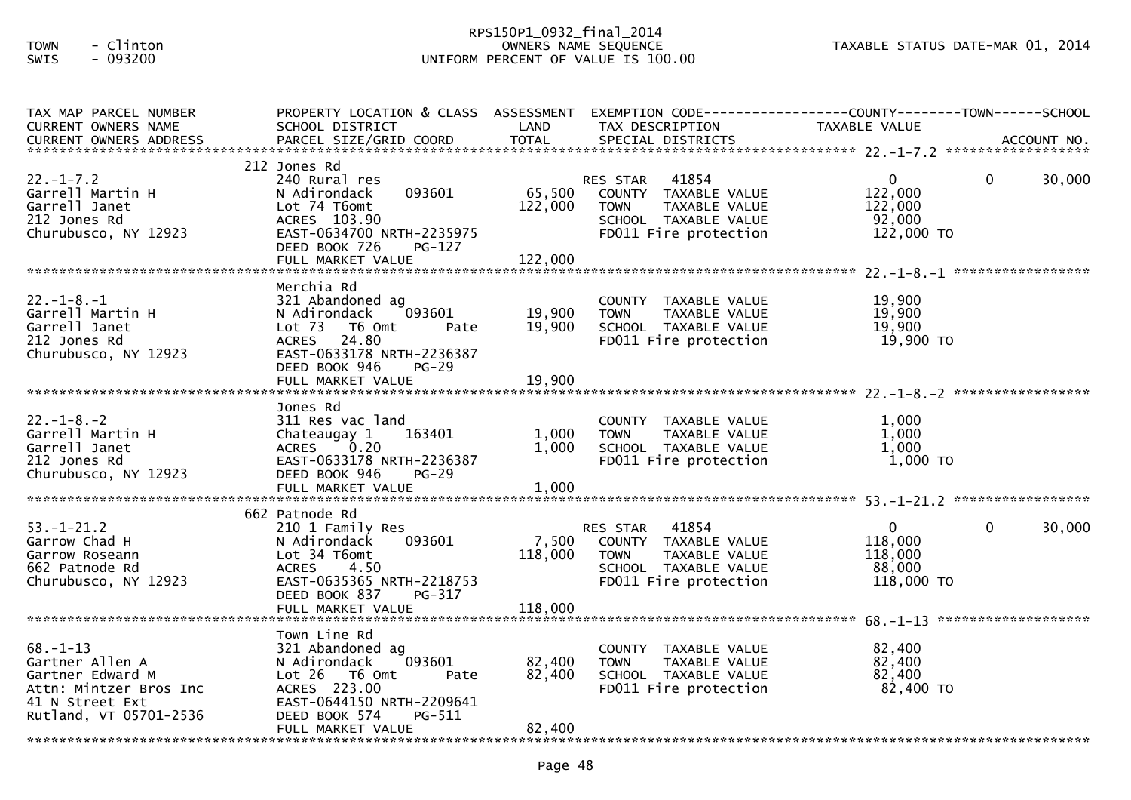## RPS150P1\_0932\_final\_2014 TOWN - Clinton OWNERS NAME SEQUENCE TAXABLE STATUS DATE-MAR 01, 2014SWIS - 093200 UNIFORM PERCENT OF VALUE IS 100.00

| TAX MAP PARCEL NUMBER                                                                                                        |                                                                                                                                                             |                                                                                                                  | PROPERTY LOCATION & CLASS ASSESSMENT EXEMPTION CODE----------------COUNTY-------TOWN------SCHOOL                        |                                                            |             |        |
|------------------------------------------------------------------------------------------------------------------------------|-------------------------------------------------------------------------------------------------------------------------------------------------------------|------------------------------------------------------------------------------------------------------------------|-------------------------------------------------------------------------------------------------------------------------|------------------------------------------------------------|-------------|--------|
| CURRENT OWNERS NAME                                                                                                          | SCHOOL DISTRICT                                                                                                                                             | <b>Example 12 DENTISY CONTROLLER IN THE STATE OF A STATE OF A STATE OF A STATE OF A STATE OF A STATE OF A ST</b> | TAX DESCRIPTION                                                                                                         | <b>TAXABLE VALUE</b>                                       |             |        |
| $22. - 1 - 7.2$                                                                                                              | 212 Jones Rd<br>240 Rural res                                                                                                                               |                                                                                                                  | RES STAR 41854                                                                                                          | $\overline{0}$                                             | $\mathbf 0$ | 30,000 |
| Garrell Martin H<br>Garrell Janet<br>212 Jones Rd<br>Churubusco, NY 12923                                                    | N Adirondack<br>Lot 74 T6omt<br>ACRES 103.90<br>EAST-0634700 NRTH-2235975<br>DEED BOOK 726<br>$PG-127$                                                      | 122,000                                                                                                          | 093601 65,500 COUNTY TAXABLE VALUE<br>TOWN TAXABLE VALUE<br>SCHOOL TAXABLE VALUE<br>FD011 Fire protection               | 122,000<br>122,000<br>$-92,000$<br>122,000 TO              |             |        |
|                                                                                                                              | FULL MARKET VALUE                                                                                                                                           | 122,000                                                                                                          |                                                                                                                         |                                                            |             |        |
|                                                                                                                              | Merchia Rd                                                                                                                                                  |                                                                                                                  |                                                                                                                         |                                                            |             |        |
| $22. - 1 - 8. - 1$<br>Garrell Martin H<br>Garrell Janet<br>212 Jones Rd<br>Churubusco, NY 12923                              | 321 Abandoned ag<br>093601<br>N Adirondack<br>Lot 73 T6 Omt<br>Pate<br>ACRES 24.80<br>EAST-0633178 NRTH-2236387<br>DEED BOOK 946<br><b>PG-29</b>            | 19,900<br>19,900                                                                                                 | COUNTY TAXABLE VALUE<br>TOWN TAXABLE VALUE<br>SCHOOL TAXABLE VALUE<br>FDO11 Fire protection                             | 19,900<br>19,900<br>19,900<br>19,900 TO                    |             |        |
|                                                                                                                              |                                                                                                                                                             |                                                                                                                  |                                                                                                                         |                                                            |             |        |
| $22. - 1 - 8. - 2$<br>Garrell Martin H<br>Garrell Janet<br>212 Jones Rd<br>Churubusco, NY 12923                              | Jones Rd<br>311 Res vac land<br>Chateaugay 1 163401<br>ACRES 0.20<br>EAST-0633178 NRTH-2236387<br>DEED BOOK 946<br><b>PG-29</b>                             | 1,000<br>1,000                                                                                                   | COUNTY TAXABLE VALUE<br>TAXABLE VALUE<br><b>TOWN</b><br>SCHOOL TAXABLE VALUE<br>FD011 Fire protection                   | 1,000<br>1,000<br>1,000<br>1,000 TO                        |             |        |
|                                                                                                                              | 662 Patnode Rd                                                                                                                                              |                                                                                                                  |                                                                                                                         |                                                            |             |        |
| $53. - 1 - 21.2$<br>Garrow Chad H<br>Garrow Roseann<br>662 Patnode Rd<br>Churubusco, NY 12923                                | 210 1 Family Res<br>093601<br>N Adirondack<br>Lot 34 T6omt<br>ACRES<br>4.50<br>EAST-0635365 NRTH-2218753<br>DEED BOOK 837<br>PG-317                         | 7,500<br>118,000                                                                                                 | RES STAR 41854<br>COUNTY TAXABLE VALUE<br><b>TOWN</b><br>TAXABLE VALUE<br>SCHOOL TAXABLE VALUE<br>FD011 Fire protection | $\mathbf{0}$<br>118,000<br>118,000<br>88,000<br>118,000 TO | $\Omega$    | 30,000 |
|                                                                                                                              |                                                                                                                                                             |                                                                                                                  |                                                                                                                         |                                                            |             |        |
| $68. - 1 - 13$<br>Gartner Allen A<br>Gartner Edward M<br>Attn: Mintzer Bros Inc<br>41 N Street Ext<br>Rutland, VT 05701-2536 | Town Line Rd<br>321 Abandoned ag<br>093601<br>N Adirondack<br>Lot 26 T6 Omt<br>Pate<br>ACRES 223.00<br>EAST-0644150 NRTH-2209641<br>DEED BOOK 574<br>PG-511 | 82,400<br>82,400                                                                                                 | COUNTY TAXABLE VALUE<br><b>TOWN</b><br>TAXABLE VALUE<br>SCHOOL TAXABLE VALUE<br>FD011 Fire protection                   | 82,400<br>82,400<br>82,400<br>82,400 TO                    |             |        |
|                                                                                                                              | FULL MARKET VALUE                                                                                                                                           | 82,400                                                                                                           |                                                                                                                         |                                                            |             |        |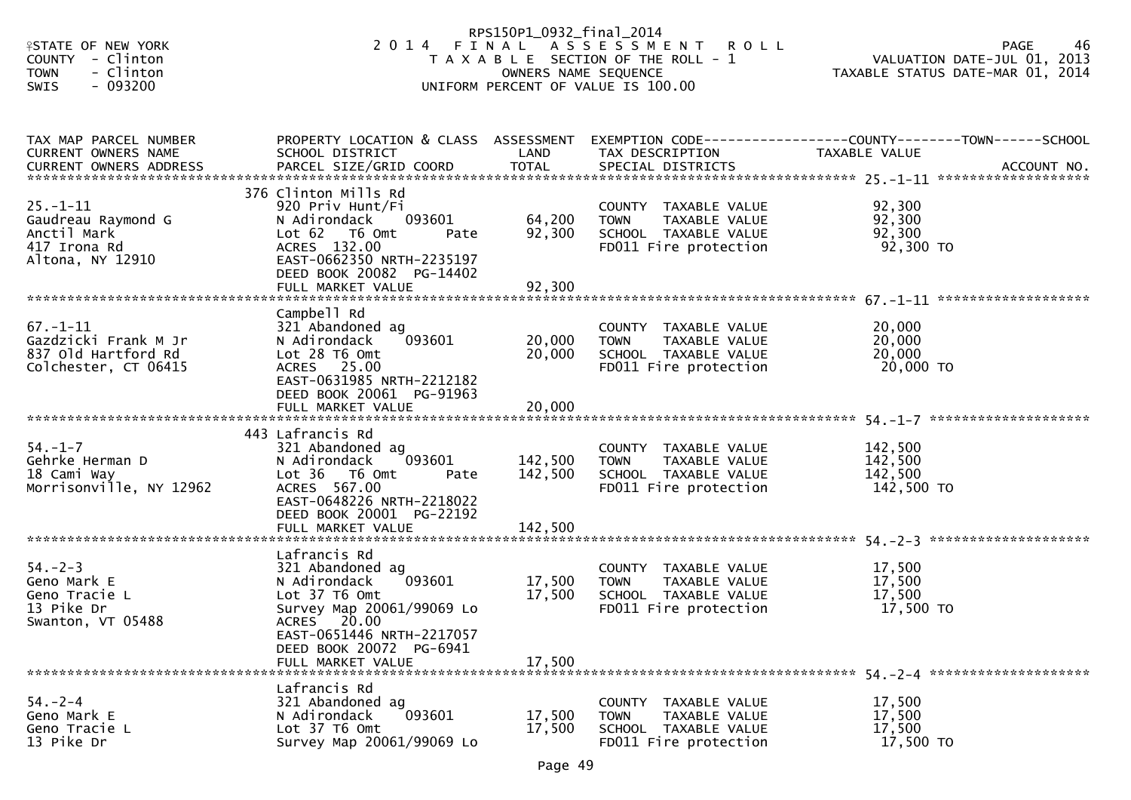| <b>ISTATE OF NEW YORK</b><br>COUNTY - Clinton<br><b>TOWN</b><br>- Clinton<br>- 093200<br><b>SWIS</b> |                                                                                                                                                                                                      | RPS150P1_0932_final_2014<br>OWNERS NAME SEQUENCE | 2014 FINAL ASSESSMENT<br><b>ROLL</b><br>T A X A B L E SECTION OF THE ROLL - 1<br>UNIFORM PERCENT OF VALUE IS 100.00 | VALUATION DATE-JUL 01, 2013<br>VALUATION DATE-MAR 01, 2014<br>TAXABLE STATUS DATE-MAR 01, 2014 |
|------------------------------------------------------------------------------------------------------|------------------------------------------------------------------------------------------------------------------------------------------------------------------------------------------------------|--------------------------------------------------|---------------------------------------------------------------------------------------------------------------------|------------------------------------------------------------------------------------------------|
| TAX MAP PARCEL NUMBER<br>CURRENT OWNERS NAME                                                         | PROPERTY LOCATION & CLASS ASSESSMENT<br>SCHOOL DISTRICT                                                                                                                                              | LAND                                             | TAX DESCRIPTION                                                                                                     | EXEMPTION CODE------------------COUNTY--------TOWN------SCHOOL<br>TAXABLE VALUE                |
| $25. - 1 - 11$<br>Gaudreau Raymond G<br>Anctil Mark<br>417 Irona Rd<br>Altona, NY 12910              | 376 Clinton Mills Rd<br>920 Priv Hunt/Fi<br>093601<br>N Adirondack<br>Lot 62  T6 0mt<br>Pate<br>ACRES 132.00<br>EAST-0662350 NRTH-2235197<br>DEED BOOK 20082 PG-14402<br>FULL MARKET VALUE           | 64,200<br>92,300<br>92,300                       | COUNTY TAXABLE VALUE<br><b>TOWN</b><br>TAXABLE VALUE<br>SCHOOL TAXABLE VALUE<br>FD011 Fire protection               | 92,300<br>92,300<br>92,300<br>92,300 TO                                                        |
| $67. - 1 - 11$<br>Gazdzicki Frank M Jr<br>837 Old Hartford Rd<br>Colchester, CT 06415                | Campbell Rd<br>321 Abandoned ag<br>N Adirondack<br>093601<br>Lot 28 T6 Omt<br>ACRES 25.00<br>EAST-0631985 NRTH-2212182<br>DEED BOOK 20061 PG-91963<br>FULL MARKET VALUE                              | 20,000<br>20,000<br>20,000                       | COUNTY TAXABLE VALUE<br><b>TOWN</b><br>TAXABLE VALUE<br>SCHOOL TAXABLE VALUE<br>FD011 Fire protection               | 20,000<br>20,000<br>20,000<br>20,000 TO                                                        |
| $54. - 1 - 7$<br>Gehrke Herman D<br>18 Cami Way<br>Morrisonville, NY 12962                           | 443 Lafrancis Rd<br>321 Abandoned ag<br>093601<br>N Adirondack<br>Lot 36 T6 Omt<br>Pate<br>ACRES 567.00<br>EAST-0648226 NRTH-2218022<br>DEED BOOK 20001 PG-22192                                     | 142,500<br>142,500                               | COUNTY TAXABLE VALUE<br>TAXABLE VALUE<br>TOWN<br>SCHOOL TAXABLE VALUE<br>FD011 Fire protection                      | 142,500<br>142,500<br>142,500<br>142,500 TO                                                    |
| $54. - 2 - 3$<br>Geno Mark E<br>Geno Tracie L<br>13 Pike Dr<br>Swanton, VT 05488                     | Lafrancis Rd<br>321 Abandoned ag<br>093601<br>N Adirondack<br>Lot 37 T6 Omt<br>Survey Map 20061/99069 Lo<br>ACRES 20.00<br>EAST-0651446 NRTH-2217057<br>DEED BOOK 20072 PG-6941<br>FULL MARKET VALUE | 17,500<br>17,500<br>17,500                       | COUNTY TAXABLE VALUE<br><b>TOWN</b><br>TAXABLE VALUE<br>SCHOOL TAXABLE VALUE<br>FD011 Fire protection               | 17,500<br>17,500<br>17,500<br>17,500 TO                                                        |
| $54. - 2 - 4$<br>Geno Mark E<br>Geno Tracie L<br>13 Pike Dr                                          | Lafrancis Rd<br>321 Abandoned ag<br>093601<br>N Adirondack<br>Lot 37 T6 Omt<br>Survey Map 20061/99069 Lo                                                                                             | 17,500<br>17,500                                 | COUNTY TAXABLE VALUE<br><b>TOWN</b><br>TAXABLE VALUE<br>SCHOOL TAXABLE VALUE<br>FD011 Fire protection               | 17,500<br>17,500<br>17,500<br>17,500 TO                                                        |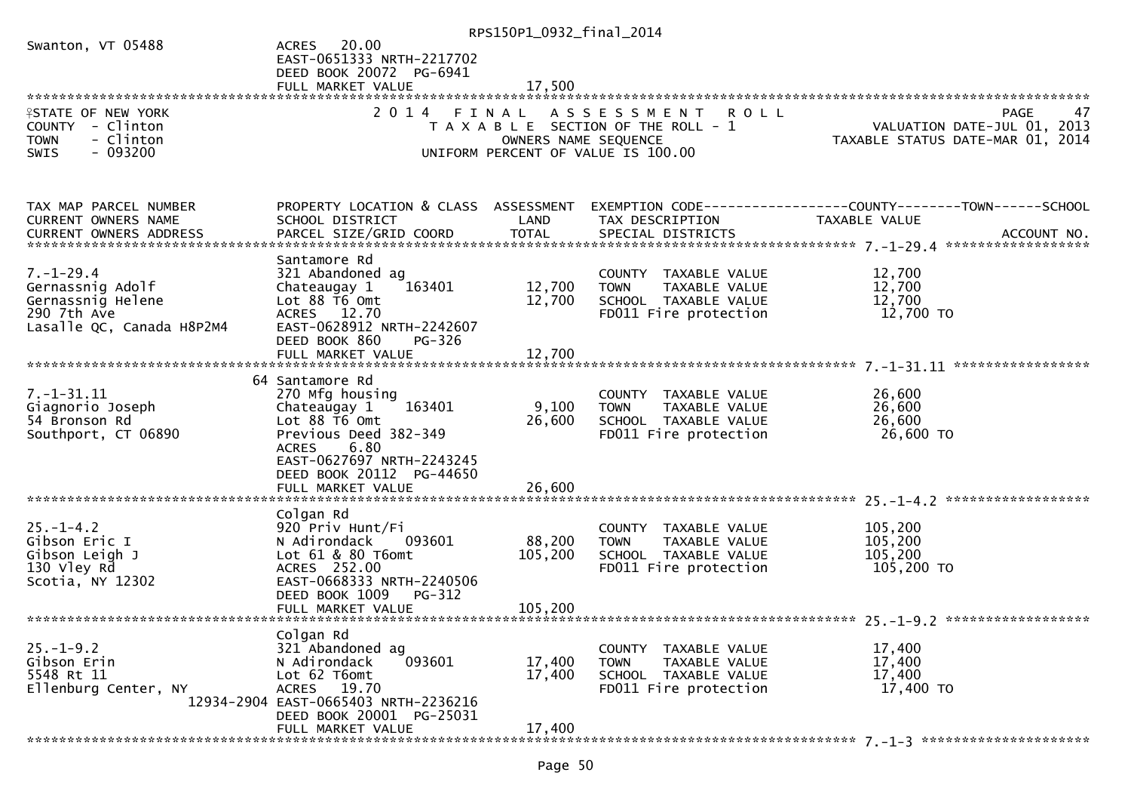|                               |                                            | RPS150P1_0932_final_2014 |                                       |                                                               |
|-------------------------------|--------------------------------------------|--------------------------|---------------------------------------|---------------------------------------------------------------|
| Swanton, VT 05488             | 20.00<br><b>ACRES</b>                      |                          |                                       |                                                               |
|                               | EAST-0651333 NRTH-2217702                  |                          |                                       |                                                               |
|                               | DEED BOOK 20072 PG-6941                    |                          |                                       |                                                               |
|                               |                                            |                          |                                       |                                                               |
|                               |                                            |                          |                                       |                                                               |
| <b>ISTATE OF NEW YORK</b>     |                                            |                          | 2014 FINAL ASSESSMENT ROLL            | PAGE<br>47                                                    |
| COUNTY - Clinton              |                                            |                          | T A X A B L E SECTION OF THE ROLL - 1 | VALUATION DATE-JUL 01, 2013                                   |
| - Clinton<br><b>TOWN</b>      |                                            |                          | OWNERS NAME SEQUENCE                  | TAXABLE STATUS DATE-MAR 01, 2014                              |
| $-093200$<br><b>SWIS</b>      |                                            |                          | UNIFORM PERCENT OF VALUE IS 100.00    |                                                               |
|                               |                                            |                          |                                       |                                                               |
| TAX MAP PARCEL NUMBER         | PROPERTY LOCATION & CLASS ASSESSMENT       |                          |                                       | EXEMPTION CODE-----------------COUNTY--------TOWN------SCHOOL |
| CURRENT OWNERS NAME           | SCHOOL DISTRICT                            | LAND                     | TAX DESCRIPTION                       | TAXABLE VALUE                                                 |
| <b>CURRENT OWNERS ADDRESS</b> |                                            |                          |                                       |                                                               |
|                               |                                            |                          |                                       |                                                               |
|                               | Santamore Rd                               |                          |                                       |                                                               |
| $7. - 1 - 29.4$               | 321 Abandoned ag                           |                          | COUNTY TAXABLE VALUE                  | 12,700                                                        |
| Gernassnig Adolf              | 163401<br>Chateaugay 1                     | 12,700                   | TAXABLE VALUE<br><b>TOWN</b>          | 12,700                                                        |
| Gernassnig Helene             | Lot 88 T6 Omt                              | 12,700                   | SCHOOL TAXABLE VALUE                  | 12,700                                                        |
| 290 7th Ave                   | ACRES 12.70                                |                          | FD011 Fire protection                 | 12,700 TO                                                     |
|                               | EAST-0628912 NRTH-2242607                  |                          |                                       |                                                               |
| Lasalle QC, Canada H8P2M4     |                                            |                          |                                       |                                                               |
|                               | DEED BOOK 860<br>PG-326                    |                          |                                       |                                                               |
|                               | FULL MARKET VALUE                          | 12,700                   |                                       |                                                               |
|                               | 64 Santamore Rd                            |                          |                                       |                                                               |
| $7. - 1 - 31.11$              | 270 Mfg housing                            |                          | COUNTY TAXABLE VALUE                  | 26,600                                                        |
| Giagnorio Joseph              | 163401                                     | 9,100                    | TAXABLE VALUE<br><b>TOWN</b>          | 26,600                                                        |
|                               | Chateaugay 1<br>Lot $88 \overline{16}$ Omt |                          |                                       |                                                               |
| 54 Bronson Rd                 |                                            | 26,600                   | SCHOOL TAXABLE VALUE                  | 26,600                                                        |
| Southport, CT 06890           | Previous Deed 382-349                      |                          | FD011 Fire protection                 | 26,600 TO                                                     |
|                               | 6.80<br><b>ACRES</b>                       |                          |                                       |                                                               |
|                               | EAST-0627697 NRTH-2243245                  |                          |                                       |                                                               |
|                               | DEED BOOK 20112 PG-44650                   |                          |                                       |                                                               |
|                               |                                            |                          |                                       |                                                               |
|                               |                                            |                          |                                       |                                                               |
|                               | Colgan Rd                                  |                          |                                       |                                                               |
| $25. - 1 - 4.2$               | 920 Priv Hunt/Fi                           |                          | COUNTY TAXABLE VALUE                  | 105,200                                                       |
| Gibson Eric I                 | 093601<br>N Adirondack                     | 88,200                   | <b>TOWN</b><br>TAXABLE VALUE          | 105,200                                                       |
| Gibson Leigh J                | Lot 61 & 80 T6omt                          | 105,200                  | SCHOOL TAXABLE VALUE                  | 105,200                                                       |
| 130 Vley Rd                   | ACRES 252.00                               |                          | FD011 Fire protection                 | 105,200 TO                                                    |
| Scotia, NY 12302              | EAST-0668333 NRTH-2240506                  |                          |                                       |                                                               |
|                               | DEED BOOK 1009<br>PG-312                   |                          |                                       |                                                               |
|                               | FULL MARKET VALUE                          | 105,200                  |                                       |                                                               |
|                               |                                            |                          |                                       |                                                               |
|                               | Colgan Rd                                  |                          |                                       |                                                               |
| $25. - 1 - 9.2$               | 321 Abandoned ag                           |                          | COUNTY TAXABLE VALUE                  | 17,400                                                        |
| Gibson Erin                   | 093601<br>N Adirondack                     | 17,400                   | <b>TOWN</b><br>TAXABLE VALUE          | 17,400                                                        |
| 5548 Rt 11                    | Lot 62 T6omt                               | 17,400                   | SCHOOL TAXABLE VALUE                  | 17,400                                                        |
| Ellenburg Center, NY          | 19.70<br><b>ACRES</b>                      |                          | FD011 Fire protection                 | 17,400 TO                                                     |
|                               | 12934-2904 EAST-0665403 NRTH-2236216       |                          |                                       |                                                               |
|                               | DEED BOOK 20001 PG-25031                   |                          |                                       |                                                               |
|                               | FULL MARKET VALUE                          | 17,400                   |                                       |                                                               |
|                               |                                            |                          |                                       |                                                               |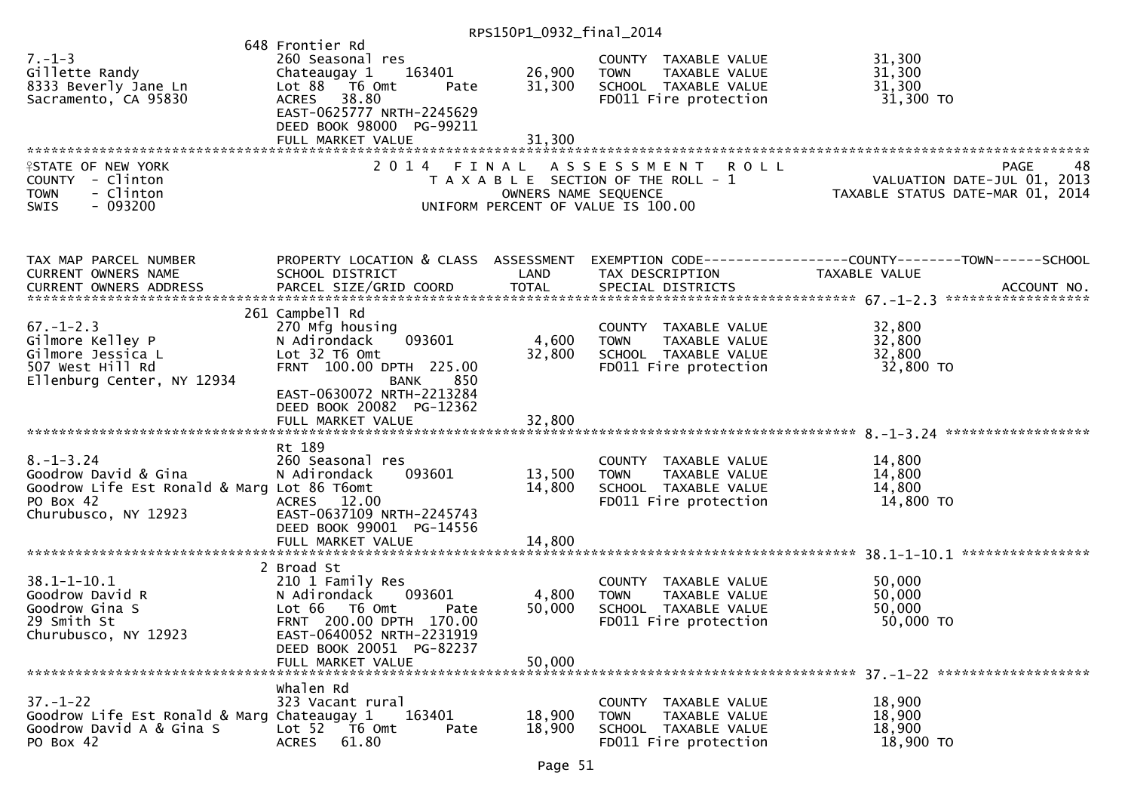RPS150P1\_0932\_final\_2014

|                                             | 648 Frontier Rd                     |                      |                                       |                                                                                                  |
|---------------------------------------------|-------------------------------------|----------------------|---------------------------------------|--------------------------------------------------------------------------------------------------|
| $7. - 1 - 3$                                | 260 Seasonal res                    |                      | COUNTY TAXABLE VALUE                  | 31,300                                                                                           |
| Gillette Randy                              | Chateaugay 1<br>163401              | 26,900               | <b>TOWN</b><br>TAXABLE VALUE          | 31,300                                                                                           |
| 8333 Beverly Jane Ln                        | Lot 88 T6 Omt<br>Pate               | 31,300               | SCHOOL TAXABLE VALUE                  | 31,300                                                                                           |
| Sacramento, CA 95830                        | 38.80<br><b>ACRES</b>               |                      | FD011 Fire protection                 | 31,300 TO                                                                                        |
|                                             | EAST-0625777 NRTH-2245629           |                      |                                       |                                                                                                  |
|                                             | DEED BOOK 98000 PG-99211            |                      |                                       |                                                                                                  |
|                                             | FULL MARKET VALUE                   | 31,300               |                                       |                                                                                                  |
|                                             |                                     |                      |                                       |                                                                                                  |
|                                             |                                     |                      |                                       |                                                                                                  |
| <b>ISTATE OF NEW YORK</b>                   | 2014 FINAL                          |                      | ASSESSMENT ROLL                       | 48<br>PAGE                                                                                       |
| COUNTY - Clinton                            |                                     |                      | T A X A B L E SECTION OF THE ROLL - 1 | VALUATION DATE-JUL 01, 2013<br>TAXABLE STATUS DATE-MAR 01, 2014                                  |
| - Clinton<br><b>TOWN</b>                    |                                     | OWNERS NAME SEQUENCE |                                       |                                                                                                  |
| $-093200$<br><b>SWIS</b>                    |                                     |                      | UNIFORM PERCENT OF VALUE IS 100.00    |                                                                                                  |
|                                             |                                     |                      |                                       |                                                                                                  |
| TAX MAP PARCEL NUMBER                       |                                     |                      |                                       | PROPERTY LOCATION & CLASS ASSESSMENT EXEMPTION CODE----------------COUNTY-------TOWN------SCHOOL |
| CURRENT OWNERS NAME                         | SCHOOL DISTRICT                     | LAND                 | TAX DESCRIPTION                       | TAXABLE VALUE                                                                                    |
|                                             |                                     |                      |                                       |                                                                                                  |
|                                             |                                     |                      |                                       |                                                                                                  |
|                                             | 261 Campbell Rd                     |                      |                                       |                                                                                                  |
| $67. - 1 - 2.3$                             | 270 Mfg housing                     |                      | COUNTY TAXABLE VALUE                  | 32,800                                                                                           |
| Gilmore Kelley P                            | 093601<br>N Adirondack              | 4,600                | TAXABLE VALUE<br><b>TOWN</b>          | 32,800                                                                                           |
| Gilmore Jessica L                           | Lot 32 T6 Omt                       | 32,800               | SCHOOL TAXABLE VALUE                  | 32,800                                                                                           |
|                                             |                                     |                      |                                       |                                                                                                  |
| 507 West Hill Rd                            | FRNT 100.00 DPTH 225.00             |                      | FD011 Fire protection                 | 32,800 TO                                                                                        |
| Ellenburg Center, NY 12934                  | 850<br><b>BANK</b>                  |                      |                                       |                                                                                                  |
|                                             | EAST-0630072 NRTH-2213284           |                      |                                       |                                                                                                  |
|                                             | DEED BOOK 20082 PG-12362            |                      |                                       |                                                                                                  |
|                                             | FULL MARKET VALUE                   | 32,800               |                                       |                                                                                                  |
|                                             |                                     |                      |                                       |                                                                                                  |
|                                             | Rt 189                              |                      |                                       |                                                                                                  |
| $8. - 1 - 3.24$                             | 260 Seasonal res                    |                      | COUNTY TAXABLE VALUE                  | 14,800                                                                                           |
| Goodrow David & Gina                        | 093601<br>N Adirondack              | 13,500               | <b>TOWN</b><br>TAXABLE VALUE          | 14,800                                                                                           |
| Goodrow Life Est Ronald & Marg Lot 86 T6omt |                                     | 14,800               | SCHOOL TAXABLE VALUE                  | 14,800                                                                                           |
| PO Box 42                                   | ACRES 12.00                         |                      | FD011 Fire protection                 | 14,800 TO                                                                                        |
| Churubusco, NY 12923                        | EAST-0637109 NRTH-2245743           |                      |                                       |                                                                                                  |
|                                             | DEED BOOK 99001 PG-14556            |                      |                                       |                                                                                                  |
|                                             | FULL MARKET VALUE                   | 14,800               |                                       |                                                                                                  |
|                                             |                                     |                      |                                       |                                                                                                  |
|                                             | 2 Broad St                          |                      |                                       |                                                                                                  |
| $38.1 - 1 - 10.1$                           | 210 1 Family Res                    |                      | COUNTY TAXABLE VALUE                  | 50,000                                                                                           |
| Goodrow David R                             | N Adirondack<br>093601              | 4,800                | <b>TOWN</b><br>TAXABLE VALUE          | 50,000                                                                                           |
|                                             |                                     |                      |                                       |                                                                                                  |
| Goodrow Gina S                              | Lot 66 T6 Omt<br>Pate               | 50,000               | SCHOOL TAXABLE VALUE                  | 50,000                                                                                           |
| 29 Smith St                                 | FRNT 200.00 DPTH 170.00             |                      | FD011 Fire protection                 | 50,000 TO                                                                                        |
| Churubusco, NY 12923                        | EAST-0640052 NRTH-2231919           |                      |                                       |                                                                                                  |
|                                             | DEED BOOK 20051 PG-82237            |                      |                                       |                                                                                                  |
|                                             | FULL MARKET VALUE                   | 50,000               |                                       |                                                                                                  |
|                                             |                                     |                      |                                       |                                                                                                  |
|                                             | whalen Rd                           |                      |                                       |                                                                                                  |
| $37. - 1 - 22$                              | 323 Vacant rural                    |                      | COUNTY TAXABLE VALUE                  | 18,900                                                                                           |
| Goodrow Life Est Ronald & Marg Chateaugay 1 | 163401                              | 18,900               | <b>TOWN</b><br>TAXABLE VALUE          | 18,900                                                                                           |
| Goodrow David A & Gina S                    | Lot <sub>52</sub><br>T6 Omt<br>Pate | 18,900               | SCHOOL TAXABLE VALUE                  | 18,900                                                                                           |
| PO Box 42                                   | 61.80<br><b>ACRES</b>               |                      | FD011 Fire protection                 | 18,900 TO                                                                                        |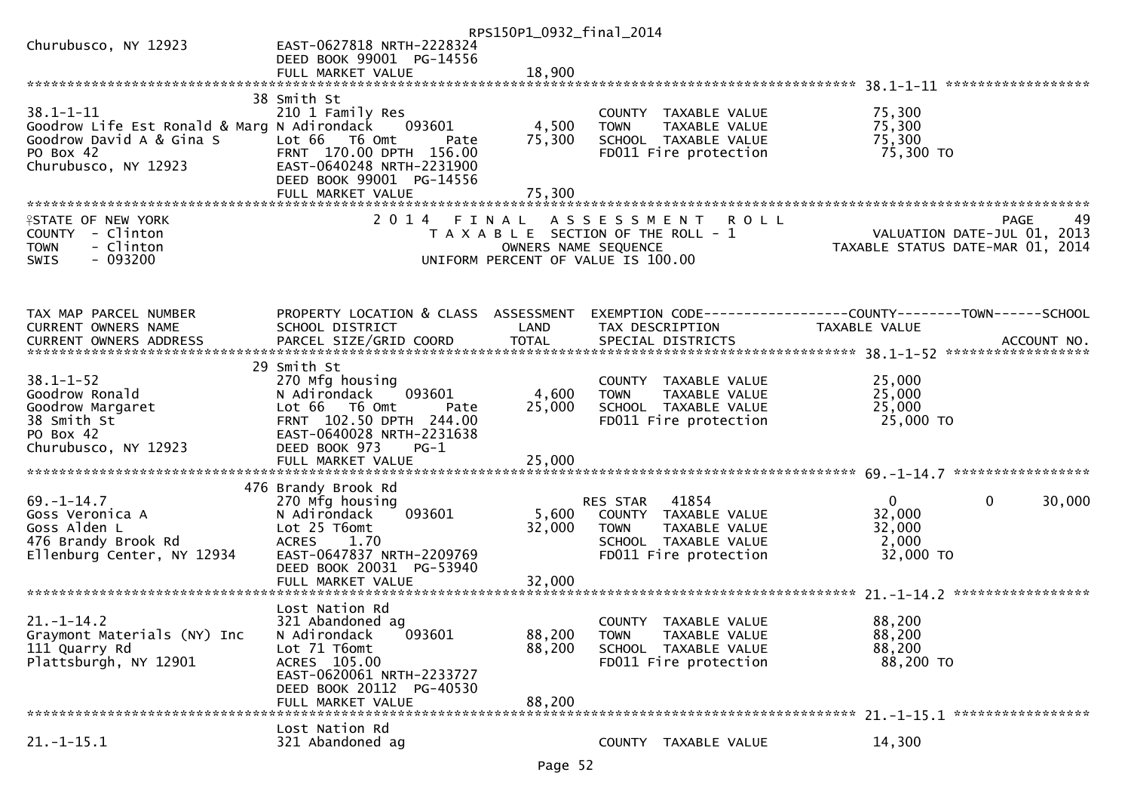|                                             |                                        | RPS150P1_0932_final_2014 |                                       |                                  |        |
|---------------------------------------------|----------------------------------------|--------------------------|---------------------------------------|----------------------------------|--------|
| Churubusco, NY 12923                        | EAST-0627818 NRTH-2228324              |                          |                                       |                                  |        |
|                                             | DEED BOOK 99001 PG-14556               |                          |                                       |                                  |        |
|                                             |                                        |                          |                                       |                                  |        |
|                                             |                                        |                          |                                       |                                  |        |
|                                             | 38 Smith St                            |                          |                                       |                                  |        |
| $38.1 - 1 - 11$                             | 210 1 Family Res                       |                          | COUNTY TAXABLE VALUE                  | 75,300                           |        |
| Goodrow Life Est Ronald & Marg N Adirondack | 093601                                 | 4,500                    | TAXABLE VALUE<br><b>TOWN</b>          | 75,300                           |        |
| Goodrow David A & Gina S                    | Lot 66 T6 Omt<br>Pate                  | 75,300                   | SCHOOL TAXABLE VALUE                  | 75,300                           |        |
| PO Box 42                                   | FRNT 170.00 DPTH 156.00                |                          | FD011 Fire protection                 | 75,300 TO                        |        |
| Churubusco, NY 12923                        | EAST-0640248 NRTH-2231900              |                          |                                       |                                  |        |
|                                             | DEED BOOK 99001 PG-14556               | 75,300                   |                                       |                                  |        |
|                                             | FULL MARKET VALUE                      |                          |                                       |                                  |        |
| <b>ISTATE OF NEW YORK</b>                   | 2014 FINAL                             |                          | ASSESSMENT ROLL                       | <b>PAGE</b>                      | 49     |
| COUNTY - Clinton                            |                                        |                          | T A X A B L E SECTION OF THE ROLL - 1 | VALUATION DATE-JUL 01, 2013      |        |
| - Clinton<br><b>TOWN</b>                    |                                        | OWNERS NAME SEQUENCE     |                                       | TAXABLE STATUS DATE-MAR 01, 2014 |        |
| $-093200$<br>SWIS                           |                                        |                          | UNIFORM PERCENT OF VALUE IS 100.00    |                                  |        |
|                                             |                                        |                          |                                       |                                  |        |
|                                             |                                        |                          |                                       |                                  |        |
|                                             |                                        |                          |                                       |                                  |        |
| TAX MAP PARCEL NUMBER                       | PROPERTY LOCATION & CLASS ASSESSMENT   |                          |                                       |                                  |        |
| CURRENT OWNERS NAME                         | SCHOOL DISTRICT                        | LAND                     | TAX DESCRIPTION                       | TAXABLE VALUE                    |        |
|                                             |                                        |                          |                                       |                                  |        |
|                                             |                                        |                          |                                       |                                  |        |
|                                             | 29 Smith St                            |                          |                                       |                                  |        |
| $38.1 - 1 - 52$                             | 270 Mfg housing                        |                          | COUNTY TAXABLE VALUE                  | 25,000                           |        |
| Goodrow Ronald                              | 093601<br>N Adirondack                 | 4,600                    | TAXABLE VALUE<br><b>TOWN</b>          | 25,000                           |        |
| Goodrow Margaret                            | Lot 66 T6 Omt<br>Pate                  | 25,000                   | SCHOOL TAXABLE VALUE                  | 25,000                           |        |
| 38 Smith St                                 | FRNT 102.50 DPTH 244.00                |                          | FD011 Fire protection                 | 25,000 TO                        |        |
| PO Box 42                                   | EAST-0640028 NRTH-2231638              |                          |                                       |                                  |        |
| Churubusco, NY 12923                        | DEED BOOK 973<br>PG-1                  |                          |                                       |                                  |        |
|                                             |                                        |                          |                                       |                                  |        |
|                                             |                                        |                          |                                       |                                  |        |
| $69. - 1 - 14.7$                            | 476 Brandy Brook Rd<br>270 Mfg housing |                          | RES STAR 41854                        | $\mathbf 0$<br>$\mathbf{0}$      | 30,000 |
| Goss Veronica A                             | N Adirondack<br>093601                 | 5,600                    | COUNTY TAXABLE VALUE                  | 32,000                           |        |
| Goss Alden L                                | Lot 25 T6omt                           | 32,000                   | <b>TOWN</b><br>TAXABLE VALUE          | 32,000                           |        |
| 476 Brandy Brook Rd                         | <b>ACRES</b><br>1.70                   |                          | SCHOOL TAXABLE VALUE                  | 2,000                            |        |
| Ellenburg Center, NY 12934                  | EAST-0647837 NRTH-2209769              |                          | FD011 Fire protection                 | 32,000 TO                        |        |
|                                             | DEED BOOK 20031 PG-53940               |                          |                                       |                                  |        |
|                                             |                                        |                          |                                       |                                  |        |
|                                             |                                        |                          |                                       |                                  |        |
|                                             | Lost Nation Rd                         |                          |                                       |                                  |        |
| $21. - 1 - 14.2$                            | 321 Abandoned ag                       |                          | COUNTY TAXABLE VALUE                  | 88,200                           |        |
| Graymont Materials (NY) Inc                 | 093601<br>N Adirondack                 | 88,200                   | TAXABLE VALUE<br><b>TOWN</b>          | 88,200                           |        |
| 111 Quarry Rd                               | Lot 71 T6omt                           | 88,200                   | SCHOOL TAXABLE VALUE                  | 88,200                           |        |
| Plattsburgh, NY 12901                       | ACRES 105.00                           |                          | FD011 Fire protection                 | 88,200 TO                        |        |
|                                             | EAST-0620061 NRTH-2233727              |                          |                                       |                                  |        |
|                                             | DEED BOOK 20112 PG-40530               |                          |                                       |                                  |        |
|                                             | FULL MARKET VALUE                      | 88,200                   |                                       |                                  |        |
|                                             |                                        |                          |                                       |                                  |        |
|                                             | Lost Nation Rd                         |                          |                                       |                                  |        |
| $21.-1-15.1$                                | 321 Abandoned ag                       |                          | COUNTY TAXABLE VALUE                  | 14,300                           |        |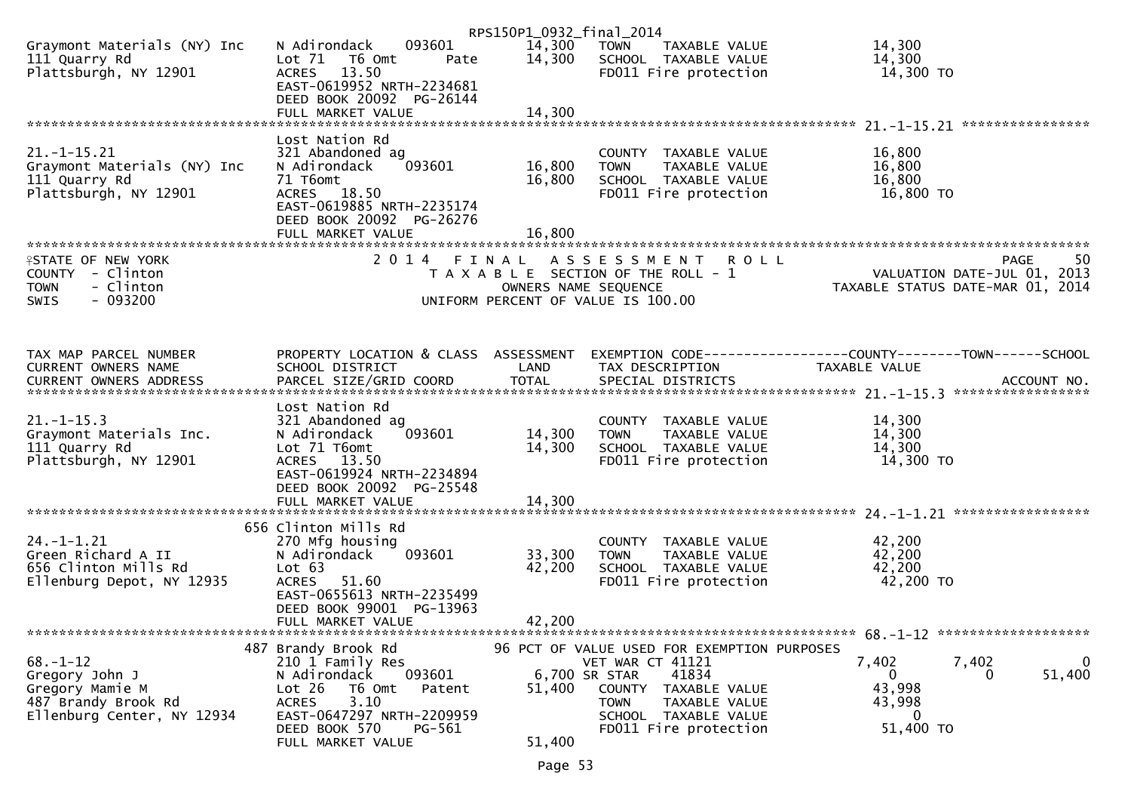|                                                                                            |                                                                                                    | RPS150P1_0932_final_2014 |                                                                                                |                                                                                      |
|--------------------------------------------------------------------------------------------|----------------------------------------------------------------------------------------------------|--------------------------|------------------------------------------------------------------------------------------------|--------------------------------------------------------------------------------------|
| Graymont Materials (NY) Inc<br>111 Quarry Rd<br>Plattsburgh, NY 12901                      | 093601<br>N Adirondack<br>Lot $71$<br>T6 Omt<br>Pate<br>ACRES 13.50<br>EAST-0619952 NRTH-2234681   | 14,300<br>14,300         | <b>TOWN</b><br>TAXABLE VALUE<br>SCHOOL TAXABLE VALUE<br>FD011 Fire protection                  | 14,300<br>14,300<br>14,300 TO                                                        |
|                                                                                            | DEED BOOK 20092 PG-26144<br>FULL MARKET VALUE                                                      | 14,300                   |                                                                                                |                                                                                      |
|                                                                                            | Lost Nation Rd                                                                                     |                          |                                                                                                |                                                                                      |
| $21. - 1 - 15.21$<br>Graymont Materials (NY) Inc<br>111 Quarry Rd<br>Plattsburgh, NY 12901 | 321 Abandoned ag<br>N Adirondack<br>093601<br>71 T6omt<br>ACRES 18.50<br>EAST-0619885 NRTH-2235174 | 16,800<br>16,800         | COUNTY TAXABLE VALUE<br>TAXABLE VALUE<br>TOWN<br>SCHOOL TAXABLE VALUE<br>FD011 Fire protection | 16,800<br>16,800<br>16,800<br>16,800 TO                                              |
|                                                                                            | DEED BOOK 20092 PG-26276                                                                           |                          |                                                                                                |                                                                                      |
|                                                                                            | FULL MARKET VALUE                                                                                  | 16,800                   |                                                                                                |                                                                                      |
| <b>ISTATE OF NEW YORK</b><br>COUNTY - Clinton<br>- Clinton<br><b>TOWN</b>                  | 2014 FINAL                                                                                         | OWNERS NAME SEQUENCE     | A S S E S S M E N T R O L L<br>T A X A B L E SECTION OF THE ROLL - 1                           | 50<br><b>PAGE</b><br>VALUATION DATE-JUL 01, 2013<br>TAXABLE STATUS DATE-MAR 01, 2014 |
| $-093200$<br><b>SWIS</b>                                                                   |                                                                                                    |                          | UNIFORM PERCENT OF VALUE IS 100.00                                                             |                                                                                      |
|                                                                                            |                                                                                                    |                          |                                                                                                |                                                                                      |
| TAX MAP PARCEL NUMBER                                                                      | PROPERTY LOCATION & CLASS ASSESSMENT                                                               |                          |                                                                                                | EXEMPTION CODE-----------------COUNTY--------TOWN------SCHOOL                        |
| CURRENT OWNERS NAME                                                                        | SCHOOL DISTRICT                                                                                    | LAND                     | TAX DESCRIPTION                                                                                | TAXABLE VALUE                                                                        |
|                                                                                            |                                                                                                    |                          |                                                                                                |                                                                                      |
|                                                                                            | Lost Nation Rd                                                                                     |                          |                                                                                                |                                                                                      |
| $21. - 1 - 15.3$                                                                           | 321 Abandoned ag                                                                                   |                          | COUNTY TAXABLE VALUE                                                                           | 14,300                                                                               |
| Graymont Materials Inc.<br>111 Quarry Rd                                                   | N Adirondack<br>093601<br>Lot 71 T6omt                                                             | 14,300<br>14,300         | TAXABLE VALUE<br>TOWN<br>SCHOOL TAXABLE VALUE                                                  | 14,300<br>14,300                                                                     |
| Plattsburgh, NY 12901                                                                      | ACRES 13.50                                                                                        |                          | FD011 Fire protection                                                                          | 14,300 TO                                                                            |
|                                                                                            | EAST-0619924 NRTH-2234894                                                                          |                          |                                                                                                |                                                                                      |
|                                                                                            | DEED BOOK 20092 PG-25548                                                                           | 14,300                   |                                                                                                |                                                                                      |
|                                                                                            | FULL MARKET VALUE                                                                                  |                          |                                                                                                |                                                                                      |
|                                                                                            | 656 Clinton Mills Rd                                                                               |                          |                                                                                                |                                                                                      |
| $24. - 1 - 1.21$                                                                           | 270 Mfg housing                                                                                    |                          | COUNTY TAXABLE VALUE                                                                           | 42,200                                                                               |
| Green Richard A II<br>656 Clinton Mills Rd                                                 | 093601<br>N Adirondack<br>Lot 63                                                                   | 33,300<br>42,200         | <b>TOWN</b><br>TAXABLE VALUE<br>SCHOOL TAXABLE VALUE                                           | 42,200<br>42,200                                                                     |
| Ellenburg Depot, NY 12935                                                                  | <b>ACRES</b><br>51.60                                                                              |                          | FD011 Fire protection                                                                          | 42,200 TO                                                                            |
|                                                                                            | EAST-0655613 NRTH-2235499<br>DEED BOOK 99001 PG-13963                                              |                          |                                                                                                |                                                                                      |
|                                                                                            | FULL MARKET VALUE                                                                                  | 42,200                   |                                                                                                |                                                                                      |
|                                                                                            | 487 Brandy Brook Rd                                                                                |                          | 96 PCT OF VALUE USED FOR EXEMPTION PURPOSES                                                    |                                                                                      |
| $68. - 1 - 12$                                                                             | 210 1 Family Res                                                                                   |                          | VET WAR CT 41121                                                                               | $\mathbf 0$<br>7,402<br>7,402                                                        |
| Gregory John J                                                                             | 093601<br>N Adirondack                                                                             |                          | 41834<br>6,700 SR STAR                                                                         | 51,400<br>$\overline{0}$<br>0                                                        |
| Gregory Mamie M<br>487 Brandy Brook Rd                                                     | Lot 26<br>T6 Omt<br>Patent<br>3.10<br><b>ACRES</b>                                                 | 51,400                   | COUNTY TAXABLE VALUE<br>TAXABLE VALUE<br><b>TOWN</b>                                           | 43,998<br>43,998                                                                     |
| Ellenburg Center, NY 12934                                                                 | EAST-0647297 NRTH-2209959                                                                          |                          | SCHOOL TAXABLE VALUE                                                                           | $\bf{0}$                                                                             |
|                                                                                            | DEED BOOK 570<br>PG-561<br>FULL MARKET VALUE                                                       | 51,400                   | FD011 Fire protection                                                                          | 51,400 TO                                                                            |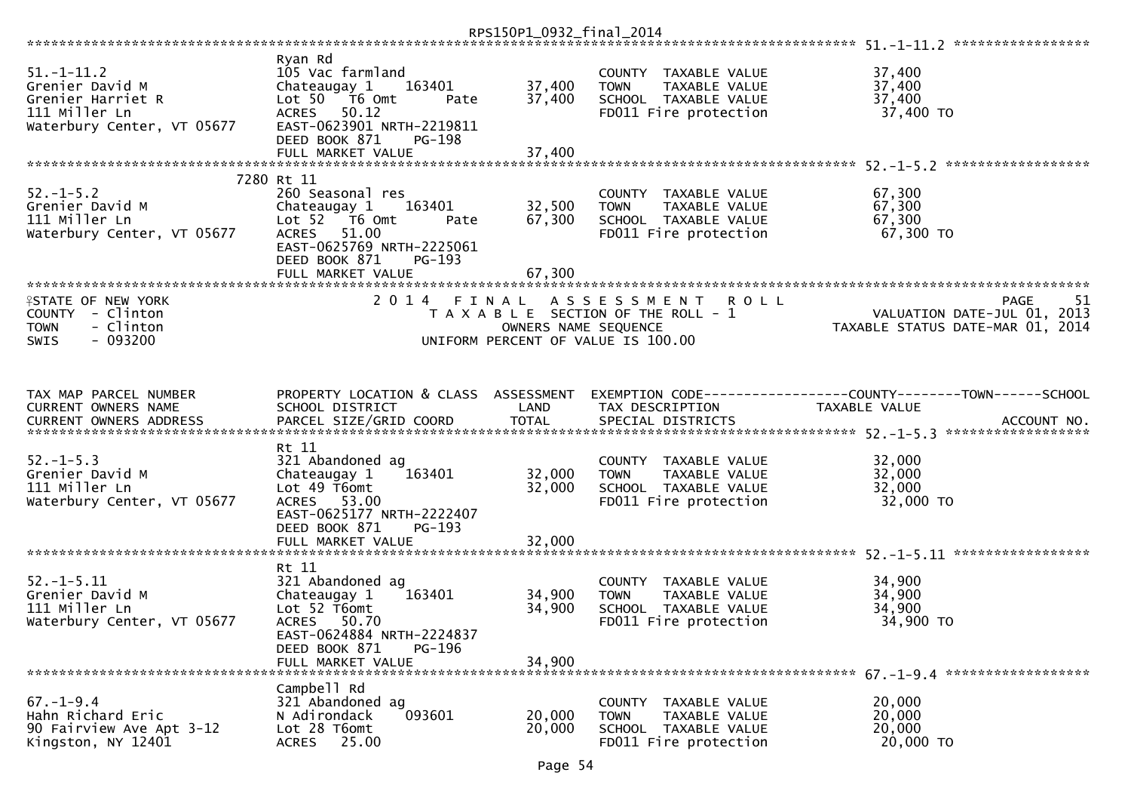| $51. - 1 - 11.2$<br>Grenier David M<br>Grenier Harriet R<br>111 Miller Ln<br>Waterbury Center, VT 05677 | Ryan Rd<br>105 Vac farmland<br>Chateaugay 1<br>163401<br>Lot 50 T6 Omt<br>Pate<br>ACRES 50.12<br>EAST-0623901 NRTH-2219811                                                              | 37,400<br>37,400           | COUNTY TAXABLE VALUE<br>TAXABLE VALUE<br><b>TOWN</b><br>SCHOOL TAXABLE VALUE<br>FD011 Fire protection             | 37,400<br>37,400<br>37,400<br>37,400 TO                                               |
|---------------------------------------------------------------------------------------------------------|-----------------------------------------------------------------------------------------------------------------------------------------------------------------------------------------|----------------------------|-------------------------------------------------------------------------------------------------------------------|---------------------------------------------------------------------------------------|
|                                                                                                         | DEED BOOK 871<br>PG-198                                                                                                                                                                 |                            |                                                                                                                   |                                                                                       |
| $52. - 1 - 5.2$<br>Grenier David M<br>111 Miller Ln<br>Waterbury Center, VT 05677                       | 7280 Rt 11<br>260 Seasonal res<br>Chateaugay 1<br>163401<br>Lot 52 T6 Omt<br>Pate<br>51.00<br><b>ACRES</b><br>EAST-0625769 NRTH-2225061<br>DEED BOOK 871<br>PG-193<br>FULL MARKET VALUE | 32,500<br>67,300<br>67,300 | COUNTY TAXABLE VALUE<br>TAXABLE VALUE<br><b>TOWN</b><br>SCHOOL TAXABLE VALUE<br>FD011 Fire protection             | 67,300<br>67,300<br>67,300<br>67,300 TO                                               |
| <b>ISTATE OF NEW YORK</b><br>COUNTY - Clinton<br><b>TOWN</b><br>- Clinton<br>$-093200$<br>SWIS          | 2014 FINAL                                                                                                                                                                              | OWNERS NAME SEQUENCE       | A S S E S S M E N T<br><b>ROLL</b><br>T A X A B L E SECTION OF THE ROLL - 1<br>UNIFORM PERCENT OF VALUE IS 100.00 | <b>PAGE</b><br>-51<br>VALUATION DATE-JUL 01, 2013<br>TAXABLE STATUS DATE-MAR 01, 2014 |
| TAX MAP PARCEL NUMBER<br>CURRENT OWNERS NAME                                                            | PROPERTY LOCATION & CLASS ASSESSMENT<br>SCHOOL DISTRICT                                                                                                                                 | LAND                       | TAX DESCRIPTION                                                                                                   | TAXABLE VALUE                                                                         |
| $52. - 1 - 5.3$<br>Grenier David M<br>111 Miller Ln<br>Waterbury Center, VT 05677                       | Rt 11<br>321 Abandoned ag<br>Chateaugay 1<br>163401<br>Lot 49 T6omt<br>ACRES 53.00<br>EAST-0625177 NRTH-2222407<br>DEED BOOK 871<br>$PG-193$<br>FULL MARKET VALUE                       | 32,000<br>32,000<br>32,000 | COUNTY TAXABLE VALUE<br><b>TOWN</b><br>TAXABLE VALUE<br>SCHOOL TAXABLE VALUE<br>FD011 Fire protection             | 32,000<br>32,000<br>32,000<br>32,000 TO                                               |
| $52. - 1 - 5.11$<br>Grenier David M<br>111 Miller Ln<br>Waterbury Center, VT 05677                      | Rt 11<br>321 Abandoned ag<br>Chateaugay 1<br>163401<br>Lot 52 T6omt<br>50.70<br><b>ACRES</b><br>EAST-0624884 NRTH-2224837<br>DEED BOOK 871<br>PG-196<br>FULL MARKET VALUE               | 34,900<br>34,900<br>34,900 | COUNTY TAXABLE VALUE<br>TAXABLE VALUE<br><b>TOWN</b><br>SCHOOL TAXABLE VALUE<br>FD011 Fire protection             | 34,900<br>34,900<br>34,900<br>34,900 TO                                               |
| $67. - 1 - 9.4$<br>Hahn Richard Eric<br>90 Fairview Ave Apt 3-12<br>Kingston, NY 12401                  | Campbell Rd<br>321 Abandoned ag<br>093601<br>N Adirondack<br>Lot 28 T6omt<br>25.00<br><b>ACRES</b>                                                                                      | 20,000<br>20,000           | COUNTY TAXABLE VALUE<br><b>TOWN</b><br>TAXABLE VALUE<br>SCHOOL TAXABLE VALUE<br>FD011 Fire protection             | 20,000<br>20,000<br>20,000<br>20,000 TO                                               |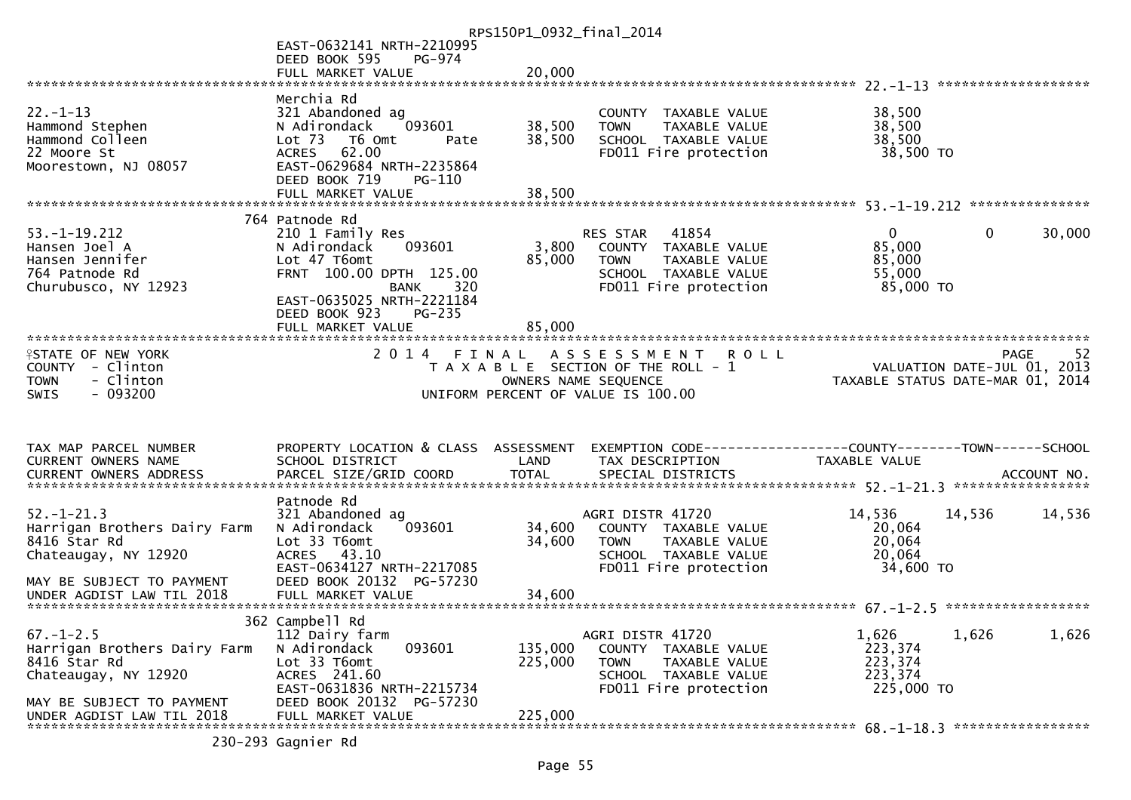|                                                        |                                                    | RPS150P1_0932_final_2014 |                                                            |                                  |              |                                  |
|--------------------------------------------------------|----------------------------------------------------|--------------------------|------------------------------------------------------------|----------------------------------|--------------|----------------------------------|
|                                                        | EAST-0632141 NRTH-2210995                          |                          |                                                            |                                  |              |                                  |
|                                                        | DEED BOOK 595<br>PG-974                            | 20,000                   |                                                            |                                  |              |                                  |
|                                                        | FULL MARKET VALUE                                  |                          |                                                            |                                  |              |                                  |
|                                                        | Merchia Rd                                         |                          |                                                            |                                  |              |                                  |
| $22. - 1 - 13$                                         | 321 Abandoned ag                                   |                          | COUNTY TAXABLE VALUE                                       | 38,500                           |              |                                  |
| Hammond Stephen                                        | 093601<br>N Adirondack                             | 38,500                   | TAXABLE VALUE<br><b>TOWN</b>                               | 38,500                           |              |                                  |
| Hammond Colleen                                        | Lot <sub>73</sub><br>T6 Omt<br>Pate                | 38,500                   | SCHOOL TAXABLE VALUE                                       | 38,500                           |              |                                  |
| 22 Moore St<br>Moorestown, NJ 08057                    | 62.00<br><b>ACRES</b><br>EAST-0629684 NRTH-2235864 |                          | FD011 Fire protection                                      | 38,500 TO                        |              |                                  |
|                                                        | DEED BOOK 719<br>PG-110                            |                          |                                                            |                                  |              |                                  |
|                                                        |                                                    |                          |                                                            |                                  |              |                                  |
|                                                        |                                                    |                          |                                                            |                                  |              |                                  |
|                                                        | 764 Patnode Rd                                     |                          |                                                            |                                  |              |                                  |
| $53. - 1 - 19.212$<br>Hansen Joel A                    | 210 1 Family Res<br>093601<br>N Adirondack         | 3,800                    | 41854<br>RES STAR<br>COUNTY TAXABLE VALUE                  | $\Omega$<br>85,000               | $\mathbf{0}$ | 30,000                           |
| Hansen Jennifer                                        | Lot 47 T6omt                                       | 85,000                   | <b>TOWN</b><br>TAXABLE VALUE                               | 85,000                           |              |                                  |
| 764 Patnode Rd                                         | FRNT 100.00 DPTH 125.00                            |                          | SCHOOL TAXABLE VALUE                                       | 55,000                           |              |                                  |
| Churubusco, NY 12923                                   | BANK<br>320                                        |                          | FD011 Fire protection                                      | 85,000 TO                        |              |                                  |
|                                                        | EAST-0635025 NRTH-2221184                          |                          |                                                            |                                  |              |                                  |
|                                                        | DEED BOOK 923<br>$PG-235$<br>FULL MARKET VALUE     | 85,000                   |                                                            |                                  |              |                                  |
|                                                        |                                                    |                          |                                                            |                                  |              |                                  |
| <b>ISTATE OF NEW YORK</b>                              | 2014 FINAL                                         |                          | A S S E S S M E N T<br><b>ROLL</b>                         |                                  |              | 52<br><b>PAGE</b>                |
| COUNTY - Clinton                                       |                                                    |                          | T A X A B L E SECTION OF THE ROLL - 1                      |                                  |              | VALUATION DATE-JUL 01, 2013      |
| - Clinton<br><b>TOWN</b><br>$-093200$<br><b>SWIS</b>   |                                                    |                          | OWNERS NAME SEQUENCE<br>UNIFORM PERCENT OF VALUE IS 100.00 | TAXABLE STATUS DATE-MAR 01, 2014 |              |                                  |
|                                                        |                                                    |                          |                                                            |                                  |              |                                  |
|                                                        |                                                    |                          |                                                            |                                  |              |                                  |
|                                                        |                                                    |                          |                                                            |                                  |              |                                  |
| TAX MAP PARCEL NUMBER                                  | PROPERTY LOCATION & CLASS ASSESSMENT               |                          |                                                            |                                  |              |                                  |
| CURRENT OWNERS NAME                                    |                                                    |                          |                                                            |                                  |              |                                  |
|                                                        | SCHOOL DISTRICT                                    | LAND                     | TAX DESCRIPTION                                            | <b>TAXABLE VALUE</b>             |              |                                  |
|                                                        |                                                    |                          |                                                            |                                  |              | ACCOUNT NO.<br>***************** |
|                                                        | Patnode Rd                                         |                          |                                                            |                                  |              |                                  |
| $52. - 1 - 21.3$                                       | 321 Abandoned ag                                   |                          | AGRI DISTR 41720                                           | 14,536                           | 14,536       | 14,536                           |
| Harrigan Brothers Dairy Farm                           | 093601<br>N Adirondack                             | 34,600                   | COUNTY TAXABLE VALUE                                       | 20,064                           |              |                                  |
| 8416 Star Rd                                           | Lot 33 T6omt                                       | 34,600                   | <b>TOWN</b><br>TAXABLE VALUE                               | 20,064                           |              |                                  |
| Chateaugay, NY 12920                                   | ACRES 43.10<br>EAST-0634127 NRTH-2217085           |                          | SCHOOL TAXABLE VALUE<br>FD011 Fire protection              | 20,064<br>34,600 TO              |              |                                  |
| MAY BE SUBJECT TO PAYMENT                              | DEED BOOK 20132 PG-57230                           |                          |                                                            |                                  |              |                                  |
|                                                        |                                                    |                          |                                                            |                                  |              |                                  |
|                                                        |                                                    |                          |                                                            |                                  |              |                                  |
|                                                        | 362 Campbell Rd                                    |                          |                                                            |                                  |              |                                  |
| $67. - 1 - 2.5$<br>Harrigan Brothers Dairy Farm        | 112 Dairy farm<br>093601<br>N Adirondack           | 135,000                  | AGRI DISTR 41720<br>COUNTY TAXABLE VALUE                   | 1,626<br>223,374                 | 1,626        | 1,626                            |
| 8416 Star Rd                                           | Lot 33 T6omt                                       | 225,000                  | <b>TOWN</b><br>TAXABLE VALUE                               | 223,374                          |              |                                  |
| Chateaugay, NY 12920                                   | ACRES 241.60                                       |                          | SCHOOL TAXABLE VALUE                                       | 223,374                          |              |                                  |
|                                                        | EAST-0631836 NRTH-2215734                          |                          | FD011 Fire protection                                      | 225,000 TO                       |              |                                  |
| MAY BE SUBJECT TO PAYMENT<br>UNDER AGDIST LAW TIL 2018 | DEED BOOK 20132 PG-57230<br>FULL MARKET VALUE      | 225,000                  |                                                            |                                  |              |                                  |

230-293 Gagnier Rd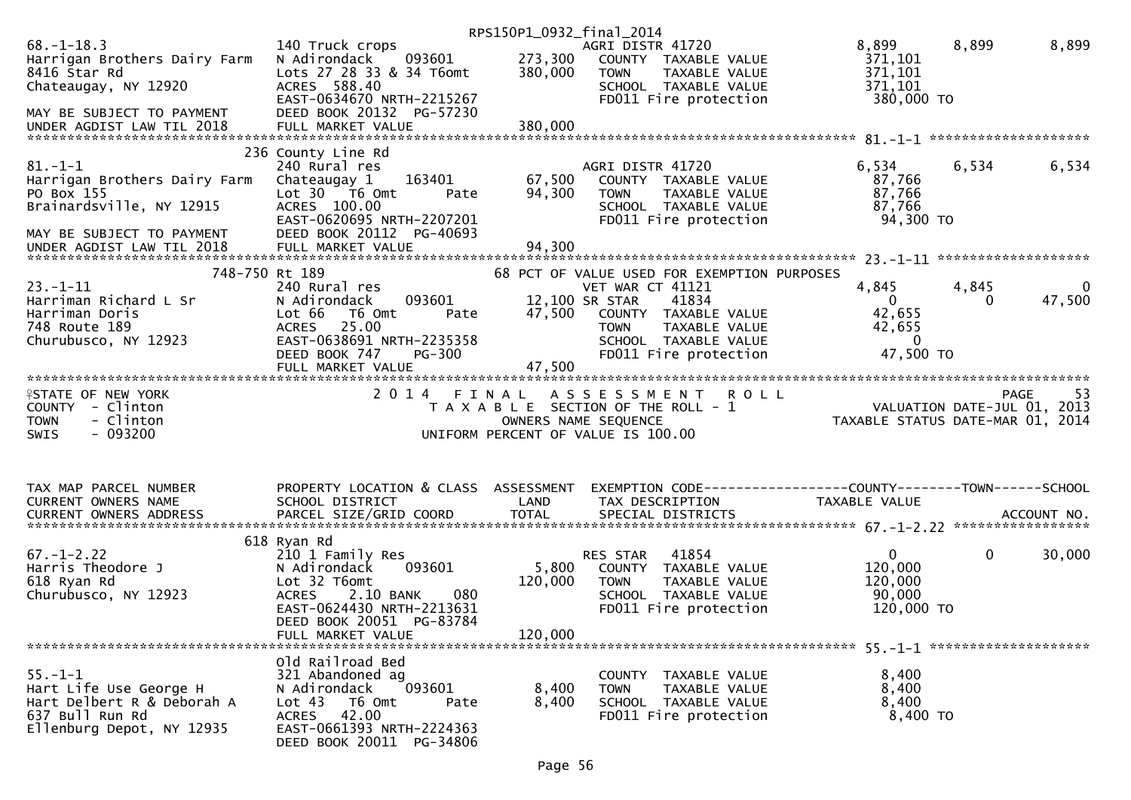|                                                                                                                       |                                                                                                                                                             | RPS150P1_0932_final_2014 |                                                                                                                                                      |                                                                              |                       |            |
|-----------------------------------------------------------------------------------------------------------------------|-------------------------------------------------------------------------------------------------------------------------------------------------------------|--------------------------|------------------------------------------------------------------------------------------------------------------------------------------------------|------------------------------------------------------------------------------|-----------------------|------------|
| $68. - 1 - 18.3$<br>Harrigan Brothers Dairy Farm<br>8416 Star Rd<br>Chateaugay, NY 12920                              | 140 Truck crops<br>093601<br>N Adirondack<br>Lots 27 28 33 & 34 T6omt<br>ACRES 588.40<br>EAST-0634670 NRTH-2215267                                          | 273,300<br>380,000       | AGRI DISTR 41720<br>COUNTY TAXABLE VALUE<br>TAXABLE VALUE<br>TOWN<br>SCHOOL TAXABLE VALUE<br>FD011 Fire protection                                   | 8,899<br>371,101<br>371,101<br>371,101<br>380,000 TO                         | 8,899                 | 8,899      |
| MAY BE SUBJECT TO PAYMENT                                                                                             | DEED BOOK 20132 PG-57230                                                                                                                                    |                          |                                                                                                                                                      |                                                                              |                       |            |
|                                                                                                                       | 236 County Line Rd                                                                                                                                          |                          |                                                                                                                                                      |                                                                              |                       |            |
| $81. - 1 - 1$<br>Harrigan Brothers Dairy Farm<br>PO Box 155<br>Brainardsville, NY 12915                               | 240 Rural res<br>163401<br>Chateaugay 1<br>Lot 30 76 0mt<br>Pate<br>ACRES 100.00<br>EAST-0620695 NRTH-2207201<br>DEED BOOK 20112 PG-40693                   | 67,500<br>94,300         | AGRI DISTR 41720<br>COUNTY TAXABLE VALUE<br>TAXABLE VALUE<br><b>TOWN</b><br>SCHOOL TAXABLE VALUE<br>FD011 Fire protection                            | 6,534<br>87,766<br>87,766<br>87,766<br>94,300 TO                             | 6,534                 | 6,534      |
| MAY BE SUBJECT TO PAYMENT                                                                                             |                                                                                                                                                             |                          |                                                                                                                                                      |                                                                              |                       |            |
| 748-750 Rt 189                                                                                                        |                                                                                                                                                             |                          | 68 PCT OF VALUE USED FOR EXEMPTION PURPOSES                                                                                                          |                                                                              |                       |            |
| $23. - 1 - 11$<br>Harriman Richard L Sr<br>Harriman Doris<br>748 Route 189<br>Churubusco, NY 12923                    | 240 Rural res<br>N Adirondack<br>093601<br>Lot 66<br>T6 Omt<br>Pate<br>25.00<br><b>ACRES</b><br>EAST-0638691 NRTH-2235358<br>DEED BOOK 747<br><b>PG-300</b> | 47,500                   | VET WAR CT 41121<br>12,100 SR STAR<br>41834<br>COUNTY TAXABLE VALUE<br><b>TOWN</b><br>TAXABLE VALUE<br>SCHOOL TAXABLE VALUE<br>FD011 Fire protection | 4,845<br>$\mathbf{0}$<br>42,655<br>42,655<br>$\Omega$<br>47,500 TO           | 4,845<br>$\mathbf{0}$ | 47,500     |
|                                                                                                                       | FULL MARKET VALUE                                                                                                                                           | 47,500                   |                                                                                                                                                      |                                                                              |                       |            |
|                                                                                                                       |                                                                                                                                                             |                          |                                                                                                                                                      |                                                                              |                       |            |
| <b>ISTATE OF NEW YORK</b><br>COUNTY - Clinton<br>- Clinton<br><b>TOWN</b><br>$-093200$<br><b>SWIS</b>                 | 2014 FINAL                                                                                                                                                  |                          | <b>ROLL</b><br>A S S E S S M E N T<br>T A X A B L E SECTION OF THE ROLL - 1<br>OWNERS NAME SEQUENCE<br>UNIFORM PERCENT OF VALUE IS 100.00            | 95 - YAGE<br>2013 ,VALUATION DATE-JUL 01<br>2014 ,TAXABLE STATUS DATE-MAR 01 |                       | PAGE<br>53 |
| TAX MAP PARCEL NUMBER<br>CURRENT OWNERS NAME                                                                          | PROPERTY LOCATION & CLASS ASSESSMENT<br>SCHOOL DISTRICT                                                                                                     | LAND                     | EXEMPTION CODE-----------------COUNTY--------TOWN------SCHOOL<br>TAX DESCRIPTION                                                                     | TAXABLE VALUE                                                                |                       |            |
| .4CCOUNT NO . PARCEL SIZE/GRID COORD TOTAL SPECIAL DISTRICTS SPERE BELL ACCOUNT NO . ACCOUNT NO . AND A AND RES       |                                                                                                                                                             |                          |                                                                                                                                                      |                                                                              |                       |            |
|                                                                                                                       | 618 Ryan Rd                                                                                                                                                 |                          |                                                                                                                                                      |                                                                              |                       |            |
| $67. - 1 - 2.22$<br>Harris Theodore J<br>618 Ryan Rd<br>Churubusco, NY 12923                                          | 210 1 Family Res<br>093601<br>N Adirondack<br>Lot 32 T6omt<br>2.10 BANK<br>080<br><b>ACRES</b><br>EAST-0624430 NRTH-2213631                                 | 5,800<br>120,000         | 41854<br>RES STAR<br>COUNTY TAXABLE VALUE<br>TAXABLE VALUE<br><b>TOWN</b><br>SCHOOL TAXABLE VALUE<br>FD011 Fire protection                           | $\mathbf{0}$<br>120,000<br>120,000<br>90,000<br>120,000 TO                   | $\mathbf 0$           | 30,000     |
|                                                                                                                       | DEED BOOK 20051 PG-83784<br>FULL MARKET VALUE                                                                                                               | 120,000                  |                                                                                                                                                      |                                                                              |                       |            |
|                                                                                                                       | Old Railroad Bed                                                                                                                                            |                          |                                                                                                                                                      |                                                                              |                       |            |
| $55. - 1 - 1$<br>Hart Life Use George H<br>Hart Delbert R & Deborah A<br>637 Bull Run Rd<br>Ellenburg Depot, NY 12935 | 321 Abandoned ag<br>N Adirondack<br>093601<br>Lot <sub>43</sub><br>T6 Omt<br>Pate<br>ACRES 42.00<br>EAST-0661393 NRTH-2224363<br>DEED BOOK 20011 PG-34806   | 8,400<br>8,400           | COUNTY TAXABLE VALUE<br>TAXABLE VALUE<br><b>TOWN</b><br>SCHOOL TAXABLE VALUE<br>FD011 Fire protection                                                | 8,400<br>8,400<br>8,400<br>8,400 TO                                          |                       |            |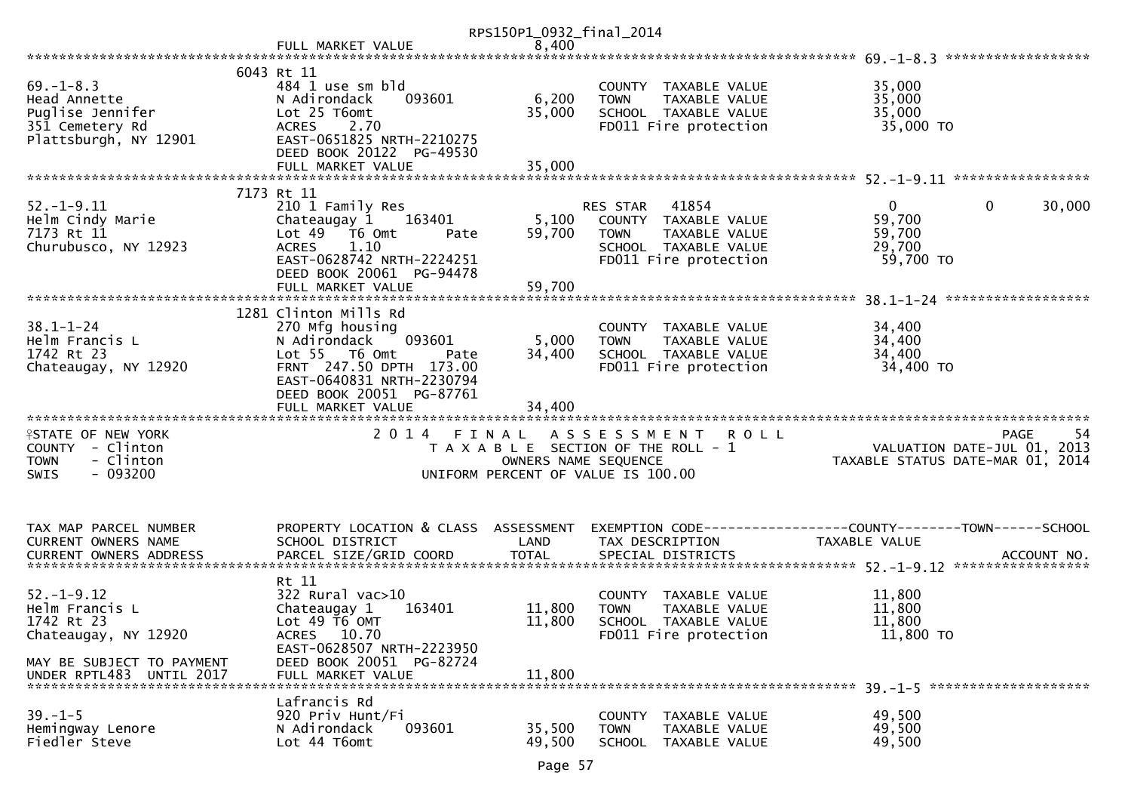|                           |                                                      | RPS150P1_0932_final_2014 |                                       |                                       |
|---------------------------|------------------------------------------------------|--------------------------|---------------------------------------|---------------------------------------|
|                           | FULL MARKET VALUE                                    | 8,400                    |                                       | ******************                    |
|                           | 6043 Rt 11                                           |                          |                                       |                                       |
| $69. - 1 - 8.3$           | 484 1 use sm bld                                     |                          | COUNTY TAXABLE VALUE                  | 35,000                                |
| Head Annette              | N Adirondack<br>093601                               | 6,200                    | TAXABLE VALUE<br><b>TOWN</b>          | 35,000                                |
| Puglise Jennifer          | Lot 25 T6omt                                         | 35,000                   | SCHOOL TAXABLE VALUE                  | 35,000                                |
|                           | <b>ACRES</b><br>2.70                                 |                          | FD011 Fire protection                 | 35,000 TO                             |
| 351 Cemetery Rd           | EAST-0651825 NRTH-2210275                            |                          |                                       |                                       |
| Plattsburgh, NY 12901     |                                                      |                          |                                       |                                       |
|                           | DEED BOOK 20122 PG-49530                             |                          |                                       |                                       |
|                           | FULL MARKET VALUE                                    | 35,000                   |                                       |                                       |
|                           | 7173 Rt 11                                           |                          |                                       |                                       |
| $52. - 1 - 9.11$          | 210 1 Family Res                                     |                          | 41854<br>RES STAR                     | $\mathbf 0$<br>$\mathbf{0}$<br>30,000 |
| Helm Cindy Marie          | Chateaugay 1<br>163401                               | 5,100                    | COUNTY TAXABLE VALUE                  | 59,700                                |
| 7173 Rt 11                | Lot $49$ $\overline{76}$ Omt                         | 59,700                   | <b>TOWN</b><br>TAXABLE VALUE          | 59,700                                |
|                           | Pate                                                 |                          |                                       |                                       |
| Churubusco, NY 12923      | 1.10<br><b>ACRES</b><br>EAST-0628742 NRTH-2224251    |                          | SCHOOL TAXABLE VALUE                  | 29,700<br>59,700 TO                   |
|                           |                                                      |                          | FD011 Fire protection                 |                                       |
|                           | DEED BOOK 20061 PG-94478                             |                          |                                       |                                       |
|                           | FULL MARKET VALUE                                    | 59,700                   |                                       | ******************                    |
|                           | 1281 Clinton Mills Rd                                |                          |                                       |                                       |
| $38.1 - 1 - 24$           | 270 Mfg housing                                      |                          |                                       |                                       |
|                           |                                                      |                          | COUNTY TAXABLE VALUE                  | 34,400                                |
| Helm Francis L            | N Adirondack<br>093601                               | 5,000                    | TAXABLE VALUE<br><b>TOWN</b>          | 34,400<br>34,400                      |
| 1742 Rt 23                | Lot 55 T6 Omt<br>Pate                                | 34,400                   | SCHOOL TAXABLE VALUE                  |                                       |
| Chateaugay, NY 12920      | FRNT 247.50 DPTH 173.00<br>EAST-0640831 NRTH-2230794 |                          | FD011 Fire protection                 | 34,400 TO                             |
|                           |                                                      |                          |                                       |                                       |
|                           | DEED BOOK 20051 PG-87761                             |                          |                                       |                                       |
|                           | FULL MARKET VALUE                                    | 34,400                   |                                       |                                       |
|                           |                                                      |                          |                                       |                                       |
| <b>ISTATE OF NEW YORK</b> | 2014 FINAL                                           |                          | <b>ROLL</b><br>A S S E S S M E N T    | PAGE<br>54                            |
| COUNTY - Clinton          |                                                      |                          | T A X A B L E SECTION OF THE ROLL - 1 | VALUATION DATE-JUL 01, 2013           |
| - Clinton<br><b>TOWN</b>  |                                                      | OWNERS NAME SEQUENCE     |                                       | TAXABLE STATUS DATE-MAR 01, 2014      |
| $-093200$<br><b>SWIS</b>  |                                                      |                          | UNIFORM PERCENT OF VALUE IS 100.00    |                                       |
|                           |                                                      |                          |                                       |                                       |
|                           |                                                      |                          |                                       |                                       |
| TAX MAP PARCEL NUMBER     | PROPERTY LOCATION & CLASS ASSESSMENT                 |                          |                                       |                                       |
| CURRENT OWNERS NAME       | SCHOOL DISTRICT                                      | LAND                     | TAX DESCRIPTION                       | TAXABLE VALUE                         |
|                           |                                                      |                          |                                       |                                       |
|                           |                                                      |                          |                                       |                                       |
|                           | Rt 11                                                |                          |                                       |                                       |
| $52. - 1 - 9.12$          | 322 Rural vac>10                                     |                          | COUNTY TAXABLE VALUE                  | 11,800                                |
| Helm Francis L            | Chateaugay 1<br>163401                               | 11,800                   | <b>TOWN</b><br><b>TAXABLE VALUE</b>   | 11,800                                |
| 1742 Rt 23                | Lot 49 T6 OMT                                        | 11,800                   | SCHOOL TAXABLE VALUE                  | 11,800                                |
| Chateaugay, NY 12920      | ACRES 10.70                                          |                          | FD011 Fire protection                 | $11,800$ TO                           |
|                           | EAST-0628507 NRTH-2223950                            |                          |                                       |                                       |
| MAY BE SUBJECT TO PAYMENT | DEED BOOK 20051 PG-82724                             |                          |                                       |                                       |
| UNDER RPTL483 UNTIL 2017  |                                                      | 11,800                   |                                       |                                       |
|                           | FULL MARKET VALUE                                    |                          |                                       |                                       |
|                           | Lafrancis Rd                                         |                          |                                       |                                       |
| $39. - 1 - 5$             | 920 Priv Hunt/Fi                                     |                          | COUNTY TAXABLE VALUE                  | 49,500                                |
| Hemingway Lenore          | 093601<br>N Adirondack                               | 35,500                   | <b>TOWN</b><br>TAXABLE VALUE          | 49,500                                |
| Fiedler Steve             | Lot 44 T6omt                                         | 49,500                   | <b>SCHOOL</b><br>TAXABLE VALUE        | 49,500                                |
|                           |                                                      |                          |                                       |                                       |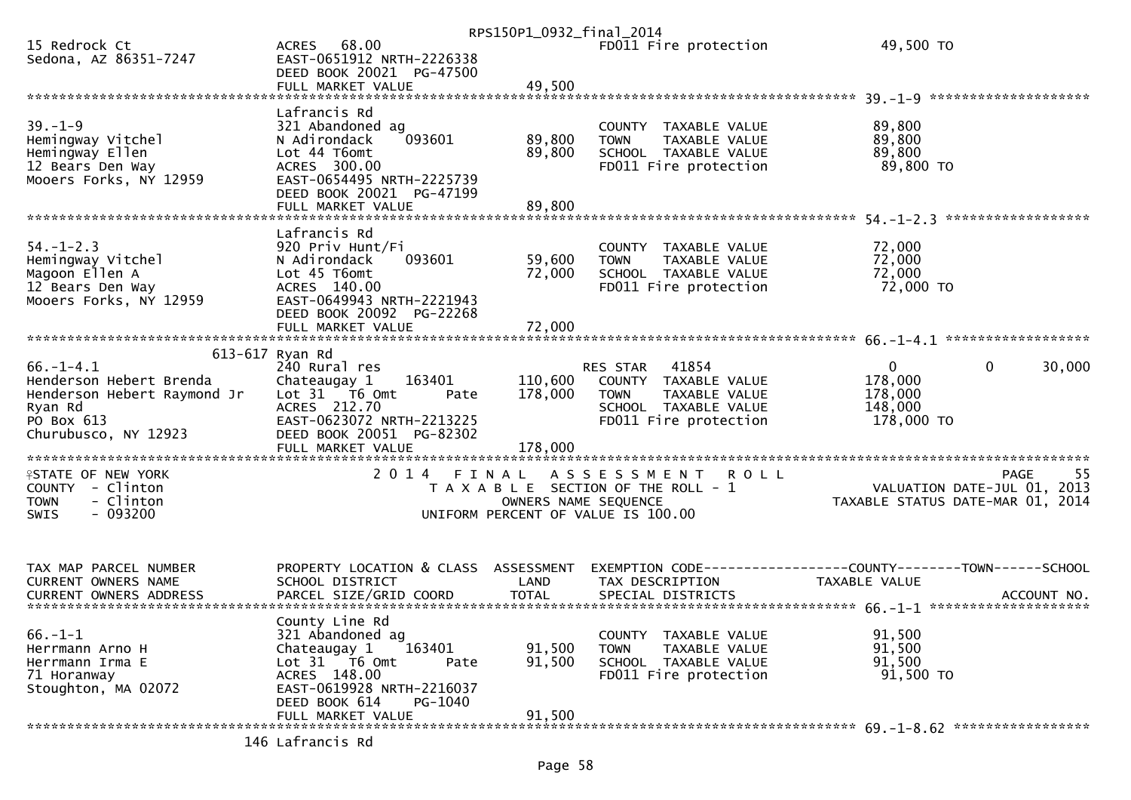|                                                                                                                            |                                                                                                                                                                                                         | RPS150P1_0932_final_2014        |                                                                                                                  |                                                                                                         |                    |
|----------------------------------------------------------------------------------------------------------------------------|---------------------------------------------------------------------------------------------------------------------------------------------------------------------------------------------------------|---------------------------------|------------------------------------------------------------------------------------------------------------------|---------------------------------------------------------------------------------------------------------|--------------------|
| 15 Redrock Ct<br>Sedona, AZ 86351-7247                                                                                     | ACRES 68.00<br>EAST-0651912 NRTH-2226338<br>DEED BOOK 20021 PG-47500                                                                                                                                    |                                 | FD011 Fire protection                                                                                            | 49,500 TO                                                                                               |                    |
|                                                                                                                            |                                                                                                                                                                                                         |                                 |                                                                                                                  |                                                                                                         |                    |
| $39. - 1 - 9$<br>Hemingway Vitchel<br>Hemingway Ellen<br>12 Bears Den Way<br>Mooers Forks, NY 12959                        | Lafrancis Rd<br>321 Abandoned ag<br>093601<br>N Adirondack<br>Lot 44 T6omt<br>ACRES 300.00<br>EAST-0654495 NRTH-2225739<br>DEED BOOK 20021 PG-47199                                                     | 89,800<br>89,800                | COUNTY TAXABLE VALUE<br><b>TOWN</b><br>TAXABLE VALUE<br>SCHOOL TAXABLE VALUE<br>FD011 Fire protection            | 89,800<br>89,800<br>89,800<br>89,800 TO                                                                 |                    |
|                                                                                                                            | FULL MARKET VALUE                                                                                                                                                                                       | 89,800                          |                                                                                                                  |                                                                                                         | ****************** |
| $54. - 1 - 2.3$<br>Hemingway Vitchel<br>Magoon Ellen A<br>12 Bears Den Way<br>Mooers Forks, NY 12959                       | Lafrancis Rd<br>920 Priv Hunt/Fi<br>N Adirondack<br>093601<br>Lot 45 T6omt<br>ACRES 140.00<br>EAST-0649943 NRTH-2221943<br>DEED BOOK 20092 PG-22268                                                     | 59,600<br>72,000                | COUNTY TAXABLE VALUE<br><b>TOWN</b><br>TAXABLE VALUE<br>SCHOOL TAXABLE VALUE<br>FD011 Fire protection            | 72,000<br>72,000<br>72,000<br>72,000 TO                                                                 |                    |
|                                                                                                                            |                                                                                                                                                                                                         |                                 |                                                                                                                  |                                                                                                         |                    |
| $66. - 1 - 4.1$<br>Henderson Hebert Brenda<br>Henderson Hebert Raymond Jr<br>Ryan Rd<br>PO Box 613<br>Churubusco, NY 12923 | 613-617 Ryan Rd<br>240 Rural res<br>Chateaugay 1<br>163401<br>Lot 31 T6 Omt<br>Pate<br>ACRES 212.70<br>EAST-0623072 NRTH-2213225<br>DEED BOOK 20051 PG-82302                                            | 110,600<br>178,000              | RES STAR 41854<br>COUNTY TAXABLE VALUE<br>TAXABLE VALUE<br>TOWN<br>SCHOOL TAXABLE VALUE<br>FD011 Fire protection | $\mathbf 0$<br>$\mathbf{0}$<br>178,000<br>178,000<br>148,000<br>178,000 TO                              | 30,000             |
| <b>ISTATE OF NEW YORK</b><br>COUNTY - Clinton<br>- Clinton<br><b>TOWN</b><br>$-093200$<br>SWIS                             | FULL MARKET VALUE<br>2014 FINAL                                                                                                                                                                         | 178,000<br>OWNERS NAME SEQUENCE | ASSESSMENT ROLL<br>T A X A B L E SECTION OF THE ROLL - 1<br>UNIFORM PERCENT OF VALUE IS 100.00                   | לל בירות VALUATION DATE-JUL 01, 2013<br>TAXARLE STATUS DATE WAS DIE<br>TAXABLE STATUS DATE-MAR 01, 2014 | 55<br><b>PAGE</b>  |
| TAX MAP PARCEL NUMBER<br><b>CURRENT OWNERS NAME</b>                                                                        | PROPERTY LOCATION & CLASS ASSESSMENT<br>SCHOOL DISTRICT                                                                                                                                                 | LAND                            | TAX DESCRIPTION                                                                                                  | EXEMPTION CODE-----------------COUNTY-------TOWN------SCHOOL<br>TAXABLE VALUE                           |                    |
| $66. -1 - 1$<br>Herrmann Arno H<br>Herrmann Irma E<br>71 Horanway<br>Stoughton, MA 02072                                   | County Line Rd<br>321 Abandoned ag<br>Chateaugay 1<br>163401<br>Lot 31 T6 Omt<br>Pate<br>ACRES 148.00<br>EAST-0619928 NRTH-2216037<br>DEED BOOK 614<br>PG-1040<br>FULL MARKET VALUE<br>146 Lafrancis Rd | 91,500<br>91,500<br>91,500      | COUNTY TAXABLE VALUE<br><b>TOWN</b><br>TAXABLE VALUE<br>SCHOOL TAXABLE VALUE<br>FD011 Fire protection            | 91,500<br>91,500<br>91,500<br>91,500 TO                                                                 |                    |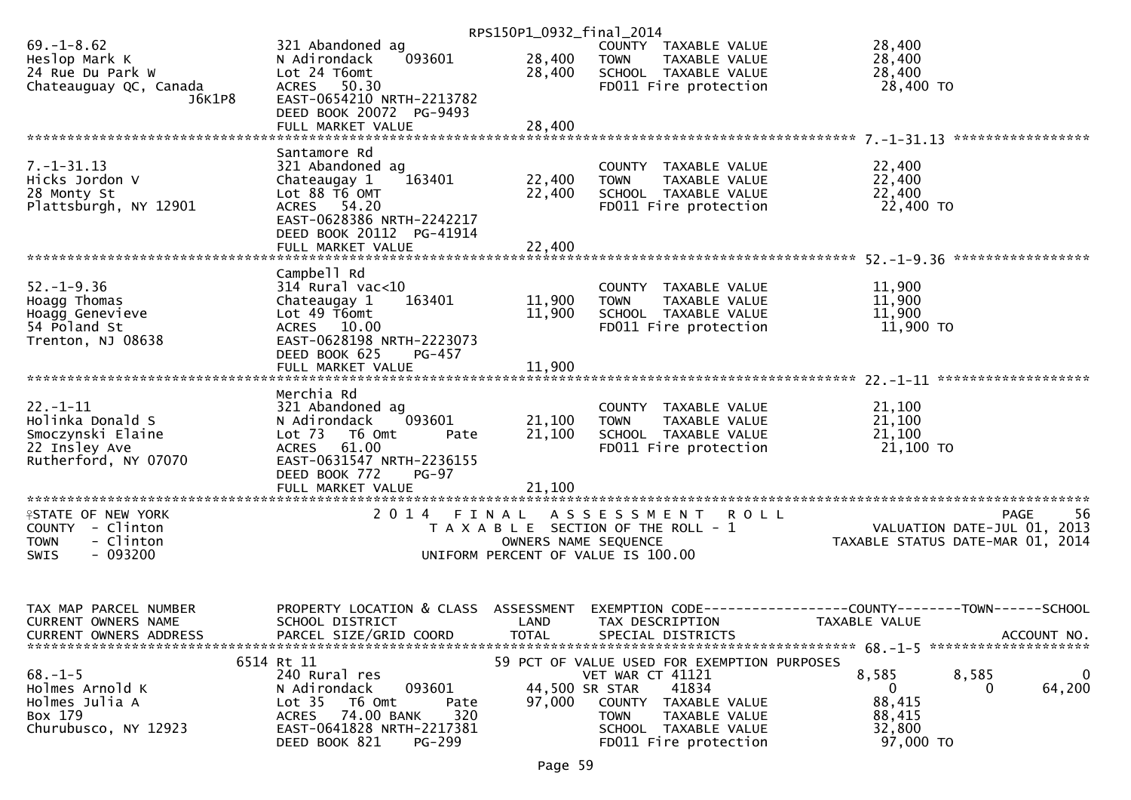|                                               |                                                                | RPS150P1_0932_final_2014 |                                               |                                               |
|-----------------------------------------------|----------------------------------------------------------------|--------------------------|-----------------------------------------------|-----------------------------------------------|
| $69. - 1 - 8.62$                              | 321 Abandoned ag                                               |                          | COUNTY TAXABLE VALUE                          | 28,400                                        |
| Heslop Mark K                                 | 093601<br>N Adirondack<br>Lot 24 T6omt                         | 28,400                   | <b>TOWN</b><br>TAXABLE VALUE                  | 28,400                                        |
| 24 Rue Du Park W<br>Chateauguay QC, Canada    | ACRES 50.30                                                    | 28,400                   | SCHOOL TAXABLE VALUE<br>FD011 Fire protection | 28,400<br>28,400 TO                           |
| J6K1P8                                        | EAST-0654210 NRTH-2213782                                      |                          |                                               |                                               |
|                                               | DEED BOOK 20072 PG-9493                                        |                          |                                               |                                               |
|                                               | FULL MARKET VALUE                                              | 28,400                   |                                               |                                               |
|                                               |                                                                |                          |                                               |                                               |
| $7. - 1 - 31.13$                              | Santamore Rd<br>321 Abandoned ag                               |                          | COUNTY TAXABLE VALUE                          | 22,400                                        |
| Hicks Jordon V                                | Chateaugay 1<br>163401                                         | 22,400                   | <b>TOWN</b><br>TAXABLE VALUE                  | 22,400                                        |
| 28 Monty St                                   | Lot 88 T6 OMT                                                  | 22,400                   | SCHOOL TAXABLE VALUE                          | 22,400                                        |
| Plattsburgh, NY 12901                         | ACRES 54.20                                                    |                          | FD011 Fire protection                         | 22,400 TO                                     |
|                                               | EAST-0628386 NRTH-2242217                                      |                          |                                               |                                               |
|                                               | DEED BOOK 20112 PG-41914                                       |                          |                                               |                                               |
|                                               | FULL MARKET VALUE                                              | 22,400                   |                                               |                                               |
|                                               | Campbell Rd                                                    |                          |                                               |                                               |
| $52. - 1 - 9.36$                              | $314$ Rural vac<10                                             |                          | COUNTY TAXABLE VALUE                          | 11,900                                        |
| Hoagg Thomas                                  | Chateaugay 1<br>163401                                         | 11,900                   | TAXABLE VALUE<br><b>TOWN</b>                  | 11,900                                        |
| Hoagg Genevieve                               | Lot 49 T6omt                                                   | 11,900                   | SCHOOL TAXABLE VALUE                          | 11,900                                        |
| 54 Poland St                                  | ACRES 10.00                                                    |                          | FD011 Fire protection                         | 11,900 TO                                     |
| Trenton, NJ 08638                             | EAST-0628198 NRTH-2223073                                      |                          |                                               |                                               |
|                                               | DEED BOOK 625<br>PG-457<br>FULL MARKET VALUE                   | 11,900                   |                                               |                                               |
|                                               |                                                                |                          |                                               |                                               |
|                                               | Merchia Rd                                                     |                          |                                               |                                               |
| $22 - 1 - 11$                                 | 321 Abandoned ag                                               |                          | COUNTY TAXABLE VALUE                          | 21,100                                        |
| Holinka Donald S                              | 093601<br>N Adirondack                                         | 21,100                   | TAXABLE VALUE<br><b>TOWN</b>                  | 21,100                                        |
| Smoczynski Elaine                             | Lot 73 T6 Omt<br>Pate                                          | 21,100                   | SCHOOL TAXABLE VALUE                          | 21,100                                        |
| 22 Insley Ave<br>Rutherford, NY 07070         | <b>ACRES</b><br>61.00<br>EAST-0631547 NRTH-2236155             |                          | FD011 Fire protection                         | 21,100 TO                                     |
|                                               | DEED BOOK 772<br>$PG-97$                                       |                          |                                               |                                               |
|                                               |                                                                |                          |                                               |                                               |
|                                               |                                                                |                          |                                               |                                               |
| <b>ISTATE OF NEW YORK</b>                     | 2014 FINAL ASSESSMENT                                          |                          | <b>ROLL</b>                                   | -56<br><b>PAGE</b>                            |
| COUNTY - Clinton                              |                                                                |                          | T A X A B L E SECTION OF THE ROLL - 1         | VALUATION DATE-JUL 01, 2013                   |
| - Clinton<br><b>TOWN</b><br>$-093200$<br>SWIS |                                                                | OWNERS NAME SEQUENCE     | UNIFORM PERCENT OF VALUE IS 100.00            | TAXABLE STATUS DATE-MAR 01, 2014              |
|                                               |                                                                |                          |                                               |                                               |
|                                               |                                                                |                          |                                               |                                               |
|                                               |                                                                |                          |                                               |                                               |
| TAX MAP PARCEL NUMBER                         | PROPERTY LOCATION & CLASS                                      | ASSESSMENT               | EXEMPTION CODE--                              | ---------------COUNTY--------TOWN------SCHOOL |
| <b>CURRENT OWNERS NAME</b>                    | SCHOOL DISTRICT                                                | LAND                     | TAX DESCRIPTION                               | TAXABLE VALUE                                 |
| <b>CURRENT OWNERS ADDRESS</b>                 | PARCEL SIZE/GRID COORD                                         | <b>TOTAL</b>             | SPECIAL DISTRICTS                             | ACCOUNT NO.                                   |
|                                               | 6514 Rt 11                                                     |                          | 59 PCT OF VALUE USED FOR EXEMPTION PURPOSES   |                                               |
| $68. - 1 - 5$                                 | 240 Rural res                                                  |                          | VET WAR CT 41121                              | 8,585<br>8,585<br>$\bf{0}$                    |
| Holmes Arnold K                               | 093601<br>N Adirondack                                         | 44,500 SR STAR           | 41834                                         | 64,200<br>$\overline{0}$<br>$\Omega$          |
| Holmes Julia A                                | Lot <sub>35</sub><br>T6 Omt<br>Pate                            | 97,000                   | COUNTY TAXABLE VALUE                          | 88,415                                        |
| Box 179                                       | 74.00 BANK<br>320<br><b>ACRES</b><br>EAST-0641828 NRTH-2217381 |                          | TAXABLE VALUE<br><b>TOWN</b>                  | 88,415                                        |
| Churubusco, NY 12923                          | DEED BOOK 821<br>PG-299                                        |                          | SCHOOL TAXABLE VALUE<br>FD011 Fire protection | 32,800<br>97,000 TO                           |
|                                               |                                                                |                          |                                               |                                               |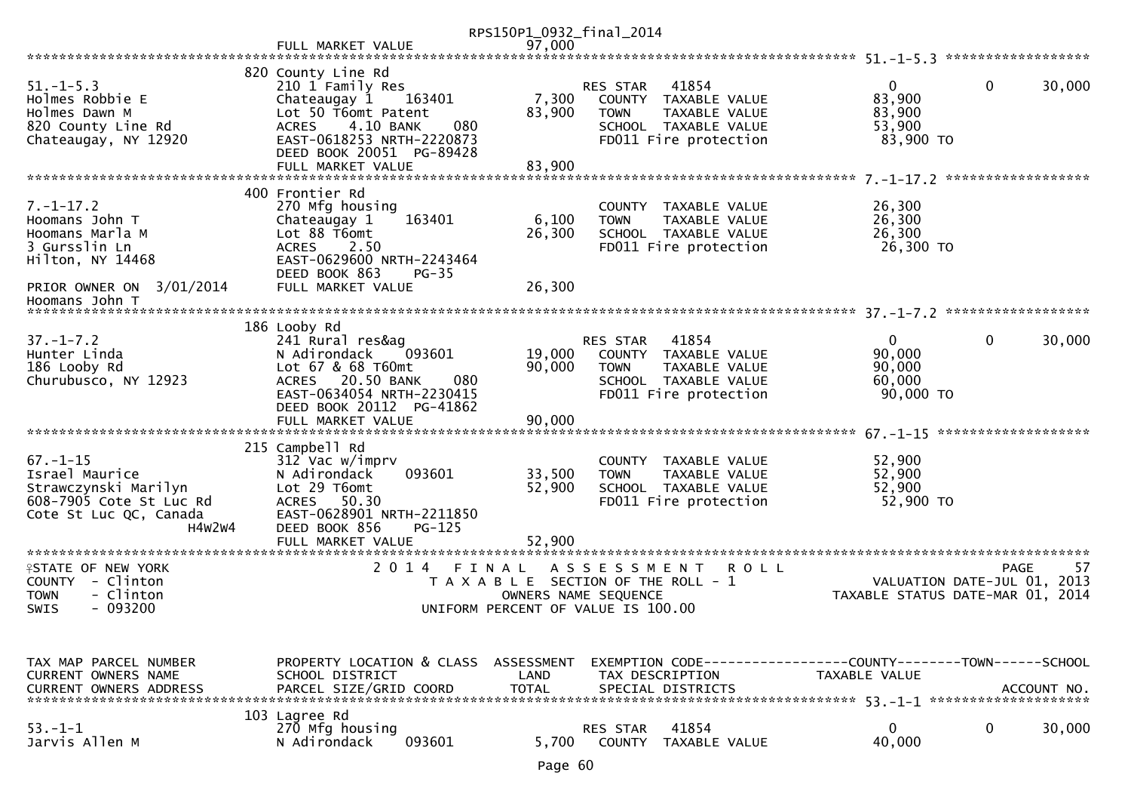|                                                                                                                         |                                                                                                                                                                                      | RPS150P1_0932_final_2014 |                                                                                                                                   |                                                         |                                                                                      |
|-------------------------------------------------------------------------------------------------------------------------|--------------------------------------------------------------------------------------------------------------------------------------------------------------------------------------|--------------------------|-----------------------------------------------------------------------------------------------------------------------------------|---------------------------------------------------------|--------------------------------------------------------------------------------------|
|                                                                                                                         | FULL MARKET VALUE                                                                                                                                                                    | 97,000                   |                                                                                                                                   |                                                         |                                                                                      |
|                                                                                                                         |                                                                                                                                                                                      |                          |                                                                                                                                   |                                                         |                                                                                      |
| $51. - 1 - 5.3$<br>Holmes Robbie E<br>Holmes Dawn M<br>820 County Line Rd<br>Chateaugay, NY 12920                       | 820 County Line Rd<br>210 1 Family Res<br>Chateaugay 1<br>163401<br>Lot 50 T6omt Patent<br>4.10 BANK<br>080<br><b>ACRES</b><br>EAST-0618253 NRTH-2220873<br>DEED BOOK 20051 PG-89428 | 7,300<br>83,900          | 41854<br><b>RES STAR</b><br>COUNTY TAXABLE VALUE<br><b>TOWN</b><br>TAXABLE VALUE<br>SCHOOL TAXABLE VALUE<br>FD011 Fire protection | 0<br>83,900<br>83,900<br>53,900<br>83,900 TO            | $\mathbf{0}$<br>30,000                                                               |
|                                                                                                                         | FULL MARKET VALUE                                                                                                                                                                    | 83,900                   |                                                                                                                                   |                                                         |                                                                                      |
| $7. - 1 - 17.2$<br>Hoomans John T<br>Hoomans Marla M<br>3 Gursslin Ln                                                   | 400 Frontier Rd<br>270 Mfg housing<br>163401<br>Chateaugay 1<br>Lot 88 T6omt<br>2.50<br>ACRES                                                                                        | 6,100<br>26,300          | COUNTY TAXABLE VALUE<br>TAXABLE VALUE<br><b>TOWN</b><br>SCHOOL TAXABLE VALUE<br>FD011 Fire protection                             | 26,300<br>26,300<br>26,300<br>26,300 TO                 |                                                                                      |
| Hilton, NY 14468<br>PRIOR OWNER ON 3/01/2014                                                                            | EAST-0629600 NRTH-2243464<br>DEED BOOK 863<br>$PG-35$<br>FULL MARKET VALUE                                                                                                           | 26,300                   |                                                                                                                                   |                                                         |                                                                                      |
| Hoomans John T                                                                                                          |                                                                                                                                                                                      |                          |                                                                                                                                   |                                                         |                                                                                      |
|                                                                                                                         | 186 Looby Rd                                                                                                                                                                         |                          |                                                                                                                                   |                                                         |                                                                                      |
| $37. - 1 - 7.2$<br>Hunter Linda<br>186 Looby Rd<br>Churubusco, NY 12923                                                 | 241 Rural res&ag<br>N Adirondack<br>093601<br>Lot 67 & 68 T60mt<br>20.50 BANK<br>080<br><b>ACRES</b><br>EAST-0634054 NRTH-2230415<br>DEED BOOK 20112 PG-41862                        | 19,000<br>90,000         | 41854<br>RES STAR<br>COUNTY TAXABLE VALUE<br>TAXABLE VALUE<br><b>TOWN</b><br>SCHOOL TAXABLE VALUE<br>FD011 Fire protection        | $\mathbf{0}$<br>90,000<br>90,000<br>60,000<br>90,000 TO | $\mathbf 0$<br>30,000                                                                |
|                                                                                                                         | FULL MARKET VALUE                                                                                                                                                                    | 90,000                   |                                                                                                                                   |                                                         |                                                                                      |
|                                                                                                                         | 215 Campbell Rd                                                                                                                                                                      |                          |                                                                                                                                   |                                                         |                                                                                      |
| $67. - 1 - 15$<br>Israel Maurice<br>Strawczynski Marilyn<br>608-7905 Cote St Luc Rd<br>Cote St Luc QC, Canada<br>H4W2W4 | 312 Vac w/imprv<br>093601<br>N Adirondack<br>Lot 29 T6omt<br>50.30<br>ACRES<br>EAST-0628901 NRTH-2211850<br>DEED BOOK 856<br>$PG-125$                                                | 33,500<br>52,900         | COUNTY TAXABLE VALUE<br><b>TOWN</b><br>TAXABLE VALUE<br>SCHOOL TAXABLE VALUE<br>FD011 Fire protection                             | 52,900<br>52,900<br>52,900<br>52,900 TO                 |                                                                                      |
|                                                                                                                         | FULL MARKET VALUE                                                                                                                                                                    | 52.900                   |                                                                                                                                   |                                                         |                                                                                      |
| <b>ISTATE OF NEW YORK</b><br>COUNTY - Clinton<br>- Clinton<br>TOWN<br>$-093200$<br><b>SWIS</b>                          | 2 0 1 4<br>FINAL                                                                                                                                                                     | OWNERS NAME SEQUENCE     | A S S E S S M E N T<br>R O L L<br>T A X A B L E SECTION OF THE ROLL - 1<br>UNIFORM PERCENT OF VALUE IS 100.00                     |                                                         | <b>PAGE</b><br>57<br>VALUATION DATE-JUL 01, 2013<br>TAXABLE STATUS DATE-MAR 01, 2014 |
| TAX MAP PARCEL NUMBER<br><b>CURRENT OWNERS NAME</b><br><b>CURRENT OWNERS ADDRESS</b>                                    | PROPERTY LOCATION & CLASS ASSESSMENT<br>SCHOOL DISTRICT<br>PARCEL SIZE/GRID COORD                                                                                                    | LAND<br><b>TOTAL</b>     | EXEMPTION CODE------------------COUNTY--------TOWN------SCHOOL<br>TAX DESCRIPTION<br>SPECIAL DISTRICTS                            | TAXABLE VALUE                                           | ACCOUNT NO.                                                                          |
| $53. - 1 - 1$<br>Jarvis Allen M                                                                                         | 103 Lagree Rd<br>270 Mfg housing<br>093601<br>N Adirondack                                                                                                                           | 5,700                    | 41854<br>RES STAR<br><b>COUNTY</b><br>TAXABLE VALUE                                                                               | 0<br>40,000                                             | 0<br>30,000                                                                          |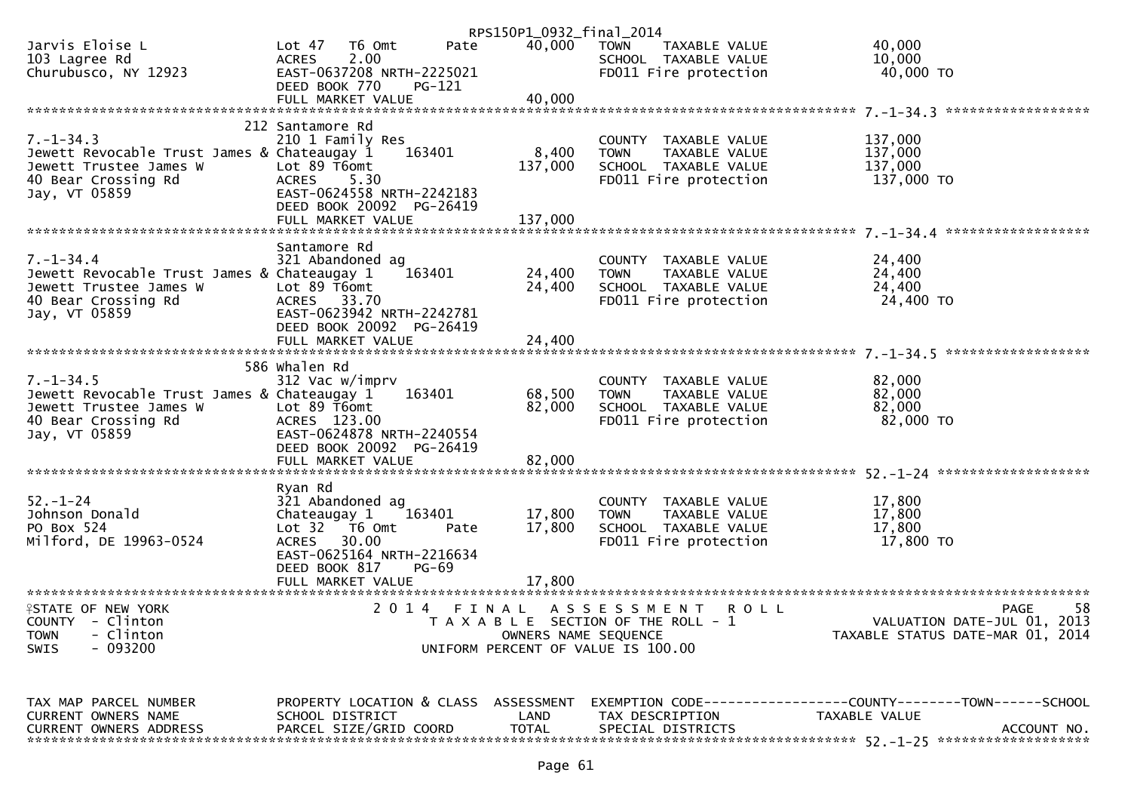|                                                                       |                                                       |            | RPS150P1_0932_final_2014                                      |             |                                               |             |                     |                                                                     |
|-----------------------------------------------------------------------|-------------------------------------------------------|------------|---------------------------------------------------------------|-------------|-----------------------------------------------|-------------|---------------------|---------------------------------------------------------------------|
| Jarvis Eloise L                                                       | Lot 47<br>T6 Omt                                      | Pate       | 40,000                                                        | TOWN        | TAXABLE VALUE                                 |             | 40,000              |                                                                     |
| 103 Lagree Rd<br>Churubusco, NY 12923                                 | 2.00<br><b>ACRES</b><br>EAST-0637208 NRTH-2225021     |            |                                                               |             | SCHOOL TAXABLE VALUE<br>FD011 Fire protection |             | 10,000<br>40,000 TO |                                                                     |
|                                                                       | DEED BOOK 770                                         | PG-121     |                                                               |             |                                               |             |                     |                                                                     |
|                                                                       |                                                       |            |                                                               |             |                                               |             |                     |                                                                     |
|                                                                       |                                                       |            |                                                               |             |                                               |             |                     |                                                                     |
| $7. - 1 - 34.3$                                                       | 212 Santamore Rd<br>210 1 Family Res                  |            |                                                               |             | COUNTY TAXABLE VALUE                          |             | 137,000             |                                                                     |
| Jewett Revocable Trust James & Chateaugay 1                           |                                                       | 163401     | 8,400                                                         | <b>TOWN</b> | TAXABLE VALUE                                 |             | 137,000             |                                                                     |
| Jewett Trustee James W                                                | Lot 89 T6omt                                          |            | 137,000                                                       |             | SCHOOL TAXABLE VALUE                          |             | 137,000             |                                                                     |
| 40 Bear Crossing Rd                                                   | 5.30<br><b>ACRES</b>                                  |            |                                                               |             | FD011 Fire protection                         |             | 137,000 TO          |                                                                     |
| Jay, VT 05859                                                         | EAST-0624558 NRTH-2242183<br>DEED BOOK 20092 PG-26419 |            |                                                               |             |                                               |             |                     |                                                                     |
|                                                                       |                                                       |            |                                                               |             |                                               |             |                     |                                                                     |
|                                                                       |                                                       |            |                                                               |             |                                               |             |                     |                                                                     |
|                                                                       | Santamore Rd                                          |            |                                                               |             |                                               |             |                     |                                                                     |
| $7. - 1 - 34.4$                                                       | 321 Abandoned ag                                      |            |                                                               |             | COUNTY TAXABLE VALUE                          |             | 24,400              |                                                                     |
| Jewett Revocable Trust James & Chateaugay 1<br>Jewett Trustee James W | Lot 89 T6omt                                          | 163401     | 24,400<br>24,400                                              | <b>TOWN</b> | TAXABLE VALUE<br>SCHOOL TAXABLE VALUE         |             | 24,400<br>24,400    |                                                                     |
| 40 Bear Crossing Rd                                                   | ACRES 33.70                                           |            |                                                               |             | FD011 Fire protection                         |             | 24,400 TO           |                                                                     |
| Jay, VT 05859                                                         | EAST-0623942 NRTH-2242781                             |            |                                                               |             |                                               |             |                     |                                                                     |
|                                                                       | DEED BOOK 20092 PG-26419                              |            |                                                               |             |                                               |             |                     |                                                                     |
|                                                                       |                                                       |            |                                                               |             |                                               |             |                     |                                                                     |
|                                                                       | 586 Whalen Rd                                         |            |                                                               |             |                                               |             |                     |                                                                     |
| $7. - 1 - 34.5$                                                       | 312 Vac w/imprv                                       |            |                                                               |             | COUNTY TAXABLE VALUE                          |             | 82,000              |                                                                     |
| Jewett Revocable Trust James & Chateaugay 1                           |                                                       | 163401     | 68,500                                                        | <b>TOWN</b> | TAXABLE VALUE                                 |             | 82,000              |                                                                     |
| Jewett Trustee James W                                                | Lot 89 T6omt<br>ACRES 123.00                          |            | 82,000                                                        |             | SCHOOL TAXABLE VALUE                          |             | 82,000<br>82,000 TO |                                                                     |
| 40 Bear Crossing Rd<br>Jay, VT 05859                                  | EAST-0624878 NRTH-2240554                             |            |                                                               |             | FD011 Fire protection                         |             |                     |                                                                     |
|                                                                       | DEED BOOK 20092 PG-26419                              |            |                                                               |             |                                               |             |                     |                                                                     |
|                                                                       |                                                       |            |                                                               |             |                                               |             |                     |                                                                     |
|                                                                       |                                                       |            |                                                               |             |                                               |             |                     |                                                                     |
| $52. - 1 - 24$                                                        | Ryan Rd<br>321 Abandoned ag                           |            |                                                               |             | COUNTY TAXABLE VALUE                          |             | 17,800              |                                                                     |
| Johnson Donald                                                        | Chateaugay 1                                          | 163401     | 17,800                                                        | <b>TOWN</b> | TAXABLE VALUE                                 |             | 17,800              |                                                                     |
| PO Box 524                                                            | Lot 32 76 0mt                                         | Pate       | 17,800                                                        |             | SCHOOL TAXABLE VALUE                          |             | 17,800              |                                                                     |
| Milford, DE 19963-0524                                                | ACRES 30.00                                           |            |                                                               |             | FD011 Fire protection                         |             | 17,800 TO           |                                                                     |
|                                                                       | EAST-0625164 NRTH-2216634<br>DEED BOOK 817            | PG-69      |                                                               |             |                                               |             |                     |                                                                     |
|                                                                       |                                                       |            |                                                               |             |                                               |             |                     |                                                                     |
|                                                                       |                                                       |            |                                                               |             |                                               |             |                     |                                                                     |
| <b>ISTATE OF NEW YORK</b>                                             |                                                       | 2014 FINAL |                                                               |             | A S S E S S M E N T                           | <b>ROLL</b> |                     | 58<br><b>PAGE</b>                                                   |
| COUNTY - Clinton<br>- Clinton<br><b>TOWN</b>                          |                                                       |            | T A X A B L E SECTION OF THE ROLL - 1<br>OWNERS NAME SEQUENCE |             |                                               |             |                     | VALUATION DATE-JUL 01, 2013<br>TAXABLE STATUS DATE-MAR 01, 2014     |
| $-093200$<br><b>SWIS</b>                                              |                                                       |            | UNIFORM PERCENT OF VALUE IS 100.00                            |             |                                               |             |                     |                                                                     |
|                                                                       |                                                       |            |                                                               |             |                                               |             |                     |                                                                     |
| TAX MAP PARCEL NUMBER                                                 | PROPERTY LOCATION & CLASS                             |            | ASSESSMENT                                                    |             |                                               |             |                     | EXEMPTION        CODE-----------------COUNTY-------TOWN------SCHOOL |
| <b>CURRENT OWNERS NAME</b>                                            | SCHOOL DISTRICT                                       |            | LAND                                                          |             | TAX DESCRIPTION                               |             | TAXABLE VALUE       |                                                                     |
| <b>CURRENT OWNERS ADDRESS</b>                                         | PARCEL SIZE/GRID COORD                                |            | <b>TOTAL</b>                                                  |             | SPECIAL DISTRICTS                             |             |                     | ACCOUNT NO.                                                         |

| Page | 61 |
|------|----|
|------|----|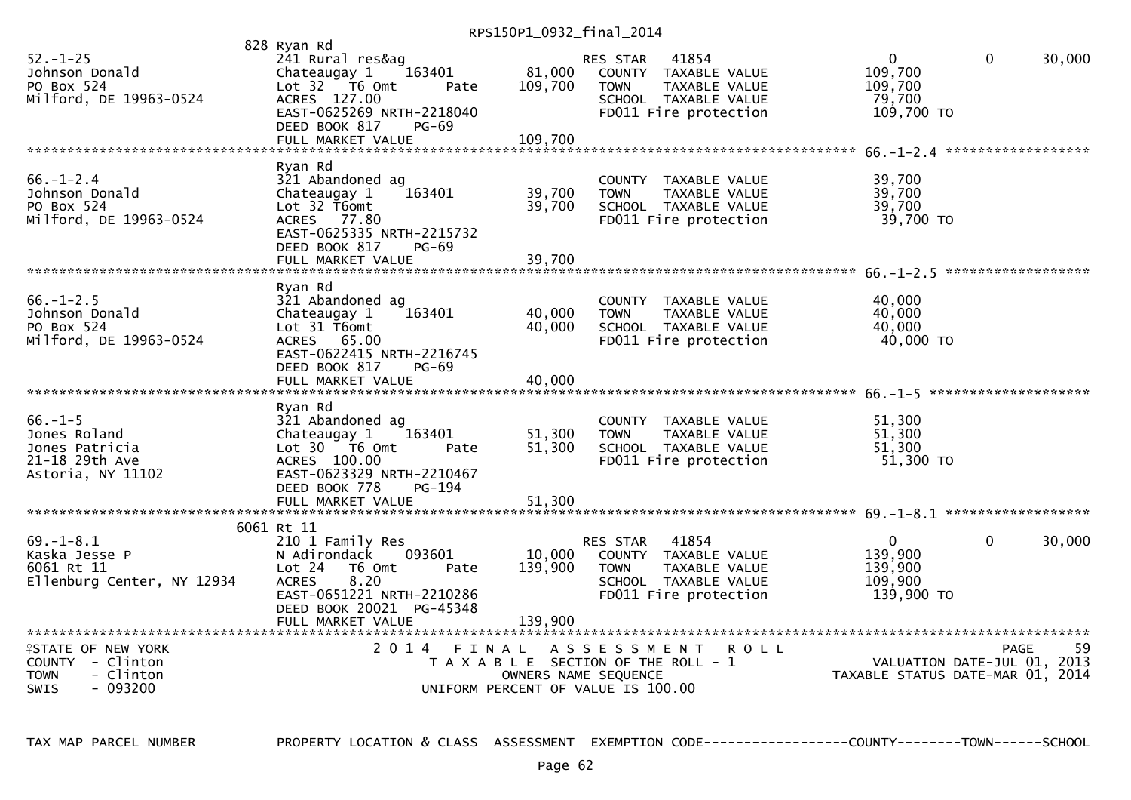RPS150P1\_0932\_final\_2014

| $52. - 1 - 25$<br>Johnson Donald<br>PO Box 524<br>Milford, DE 19963-0524                                | 828 Ryan Rd<br>241 Rural res&ag<br>Chateaugay 1<br>163401<br>Lot 32 76 0mt<br>Pate<br>ACRES 127.00<br>EAST-0625269 NRTH-2218040<br>DEED BOOK 817<br>$PG-69$                     | 81,000<br>109,700          | RES STAR<br><b>TOWN</b> | 41854<br>COUNTY TAXABLE VALUE<br><b>TAXABLE VALUE</b><br>SCHOOL TAXABLE VALUE<br>FD011 Fire protection | $\Omega$<br>109,700<br>109,700<br>79,700<br>109,700 TO     | $\mathbf 0$  | 30,000     |
|---------------------------------------------------------------------------------------------------------|---------------------------------------------------------------------------------------------------------------------------------------------------------------------------------|----------------------------|-------------------------|--------------------------------------------------------------------------------------------------------|------------------------------------------------------------|--------------|------------|
| $66. - 1 - 2.4$<br>Johnson Donald<br>PO Box 524<br>Milford, DE 19963-0524                               | Ryan Rd<br>321 Abandoned ag<br>Chateaugay 1<br>163401<br>Lot 32 T6omt<br>ACRES 77.80<br>EAST-0625335 NRTH-2215732<br>DEED BOOK 817<br>$PG-69$<br>FULL MARKET VALUE              | 39,700<br>39,700<br>39,700 | <b>TOWN</b>             | COUNTY TAXABLE VALUE<br>TAXABLE VALUE<br>SCHOOL TAXABLE VALUE<br>FD011 Fire protection                 | 39,700<br>39,700<br>39,700<br>39,700 TO                    |              |            |
| $66. - 1 - 2.5$<br>Johnson Donald<br>PO Box 524<br>Milford, DE 19963-0524                               | Ryan Rd<br>321 Abandoned ag<br>Chateaugay 1<br>163401<br>Lot 31 T6omt<br>ACRES 65.00<br>EAST-0622415 NRTH-2216745<br>DEED BOOK 817<br>$PG-69$<br>FULL MARKET VALUE              | 40,000<br>40.000<br>40,000 | <b>TOWN</b>             | COUNTY TAXABLE VALUE<br>TAXABLE VALUE<br>SCHOOL TAXABLE VALUE<br>FD011 Fire protection                 | 40,000<br>40,000<br>40,000<br>40,000 TO                    |              |            |
| $66. - 1 - 5$<br>Jones Roland<br>Jones Patricia<br>21-18 29th Ave<br>Astoria, NY 11102                  | Ryan Rd<br>321 Abandoned ag<br>Chateaugay 1<br>163401<br>Lot $30 - 76$ Omt<br>Pate<br>ACRES 100.00<br>EAST-0623329 NRTH-2210467<br>DEED BOOK 778<br>PG-194<br>FULL MARKET VALUE | 51,300<br>51,300<br>51,300 | <b>TOWN</b>             | COUNTY TAXABLE VALUE<br><b>TAXABLE VALUE</b><br>SCHOOL TAXABLE VALUE<br>FD011 Fire protection          | 51,300<br>51,300<br>51,300<br>51,300 TO                    |              |            |
| $69. - 1 - 8.1$<br>Kaska Jesse P<br>6061 Rt 11<br>Ellenburg Center, NY 12934                            | 6061 Rt 11<br>210 1 Family Res<br>N Adirondack<br>093601<br>Lot 24<br>T6 Omt<br>Pate<br>8.20<br><b>ACRES</b><br>EAST-0651221 NRTH-2210286<br>DEED BOOK 20021 PG-45348           | 10,000<br>139,900          | RES STAR<br><b>TOWN</b> | 41854<br>COUNTY TAXABLE VALUE<br>TAXABLE VALUE<br>SCHOOL TAXABLE VALUE<br>FD011 Fire protection        | $\Omega$<br>139,900<br>139,900<br>109,900<br>139,900 TO    | $\mathbf{0}$ | 30,000     |
| <b>ISTATE OF NEW YORK</b><br>$COUNTY - Clinton$<br>- Clinton<br><b>TOWN</b><br>$-093200$<br><b>SWIS</b> | 2014 FINAL<br>T A X A B L E SECTION OF THE ROLL - 1<br>UNIFORM PERCENT OF VALUE IS 100.00                                                                                       | OWNERS NAME SEQUENCE       | ASSESSMENT              | <b>ROLL</b>                                                                                            | VALUATION DATE-JUL 01,<br>TAXABLE STATUS DATE-MAR 01, 2014 | <b>PAGE</b>  | 59<br>2013 |

TAX MAP PARCEL NUMBER PROPERTY LOCATION & CLASS ASSESSMENT EXEMPTION CODE------------------COUNTY--------TOWN------SCHOOL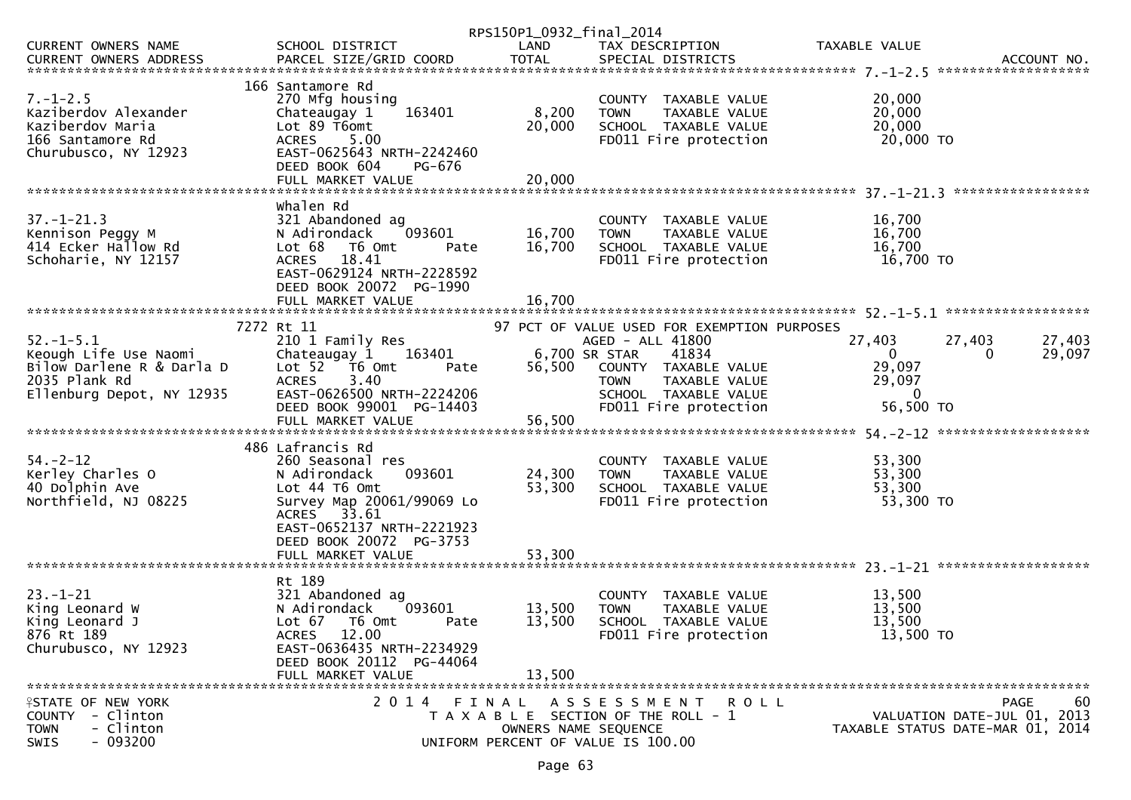|                                                                                                                               |                                                                                                                                                                            | RPS150P1_0932_final_2014 |                                                                                                                                       |                                                              |                                                                               |
|-------------------------------------------------------------------------------------------------------------------------------|----------------------------------------------------------------------------------------------------------------------------------------------------------------------------|--------------------------|---------------------------------------------------------------------------------------------------------------------------------------|--------------------------------------------------------------|-------------------------------------------------------------------------------|
| CURRENT OWNERS NAME                                                                                                           | SCHOOL DISTRICT                                                                                                                                                            | LAND                     | TAX DESCRIPTION                                                                                                                       | TAXABLE VALUE                                                |                                                                               |
|                                                                                                                               | 166 Santamore Rd                                                                                                                                                           |                          |                                                                                                                                       |                                                              |                                                                               |
| $7. - 1 - 2.5$<br>Kaziberdov Alexander<br>Kaziberdov Maria<br>166 Santamore Rd<br>Churubusco, NY 12923                        | 270 Mfg housing<br>163401<br>Chateaugay 1<br>Lot 89 T6omt<br>ACRES 5.00<br>EAST-0625643 NRTH-2242460<br>DEED BOOK 604<br>PG-676                                            | 8,200<br>20,000          | COUNTY TAXABLE VALUE<br><b>TOWN</b><br>TAXABLE VALUE<br>SCHOOL TAXABLE VALUE<br>FD011 Fire protection                                 | 20,000<br>20,000<br>20,000<br>20,000 TO                      |                                                                               |
|                                                                                                                               |                                                                                                                                                                            |                          |                                                                                                                                       |                                                              |                                                                               |
|                                                                                                                               |                                                                                                                                                                            |                          |                                                                                                                                       |                                                              |                                                                               |
| $37. - 1 - 21.3$<br>Kennison Peggy M<br>414 Ecker Hallow Rd<br>Schoharie, NY 12157                                            | Whalen Rd<br>321 Abandoned ag<br>093601<br>N Adirondack<br>Lot 68<br>T6 Omt<br>Pate<br>ACRES 18.41<br>EAST-0629124 NRTH-2228592<br>DEED BOOK 20072 PG-1990                 | 16,700<br>16,700         | COUNTY TAXABLE VALUE<br>TAXABLE VALUE<br><b>TOWN</b><br>SCHOOL TAXABLE VALUE<br>FD011 Fire protection                                 | 16,700<br>16,700<br>16,700<br>16,700 TO                      |                                                                               |
|                                                                                                                               |                                                                                                                                                                            |                          |                                                                                                                                       |                                                              |                                                                               |
|                                                                                                                               | 7272 Rt 11                                                                                                                                                                 |                          | 97 PCT OF VALUE USED FOR EXEMPTION PURPOSES                                                                                           |                                                              |                                                                               |
| $52 - 1 - 5.1$<br>>z.-⊥-;<br>Keough Life Use Naomi<br>Bilow Darlene R & Darla D<br>2035 Plank Rd<br>Ellenburg Depot, NY 12935 | 210 1 Family Res<br>Chateaugay 1 163401<br>Lot 52 T6 Omt<br>Pate<br>3.40<br><b>ACRES</b><br>EAST-0626500 NRTH-2224206                                                      |                          | AGED - ALL 41800<br>6,700 SR STAR<br>41834<br>56,500 COUNTY TAXABLE VALUE<br>TAXABLE VALUE<br><b>TOWN</b><br>SCHOOL TAXABLE VALUE     | 27,403<br>$\overline{0}$<br>29,097<br>29,097<br>$\mathbf{0}$ | 27,403<br>27,403<br>29,097<br>0                                               |
|                                                                                                                               | DEED BOOK 99001 PG-14403<br>FULL MARKET VALUE                                                                                                                              | 56,500                   | FD011 Fire protection                                                                                                                 | 56,500 TO                                                    |                                                                               |
|                                                                                                                               | 486 Lafrancis Rd                                                                                                                                                           |                          |                                                                                                                                       |                                                              |                                                                               |
| $54. - 2 - 12$<br>Kerley Charles O<br>40 Dolphin Ave<br>Northfield, NJ 08225                                                  | 260 Seasonal res<br>093601<br>N Adirondack<br>Lot 44 T6 Omt<br>Survey Map 20061/99069 Lo<br>ACRES 33.61<br>EAST-0652137 NRTH-2221923<br>DEED BOOK 20072 PG-3753            | 24,300<br>53,300         | COUNTY TAXABLE VALUE<br>TAXABLE VALUE<br><b>TOWN</b><br>SCHOOL TAXABLE VALUE<br>FD011 Fire protection                                 | 53,300<br>53,300<br>53,300<br>53,300 TO                      |                                                                               |
|                                                                                                                               |                                                                                                                                                                            |                          |                                                                                                                                       |                                                              |                                                                               |
| $23 - 1 - 21$<br>King Leonard W<br>King Leonard J<br>876 Rt 189<br>Churubusco, NY 12923                                       | Rt 189<br>321 Abandoned ag<br>N Adirondack<br>093601<br>Lot 67 T6 Omt<br>Pate<br>ACRES 12.00<br>EAST-0636435 NRTH-2234929<br>DEED BOOK 20112 PG-44064<br>FULL MARKET VALUE | 13,500<br>13,500         | COUNTY TAXABLE VALUE<br><b>TOWN</b><br>TAXABLE VALUE<br>13,500 SCHOOL TAXABLE VALUE<br>FD011 Fire protection                          | 13,500<br>13,500<br>13,500<br>13,500 TO                      |                                                                               |
|                                                                                                                               |                                                                                                                                                                            |                          |                                                                                                                                       |                                                              |                                                                               |
| <b>ISTATE OF NEW YORK</b><br>COUNTY - Clinton<br>- Clinton<br><b>TOWN</b><br>$-093200$<br>SWIS                                | 2014 FINAL                                                                                                                                                                 |                          | A S S E S S M E N T<br>R O L L<br>T A X A B L E SECTION OF THE ROLL - 1<br>OWNERS NAME SEQUENCE<br>UNIFORM PERCENT OF VALUE IS 100.00 |                                                              | PAGE<br>60<br>VALUATION DATE-JUL 01, 2013<br>TAXABLE STATUS DATE-MAR 01, 2014 |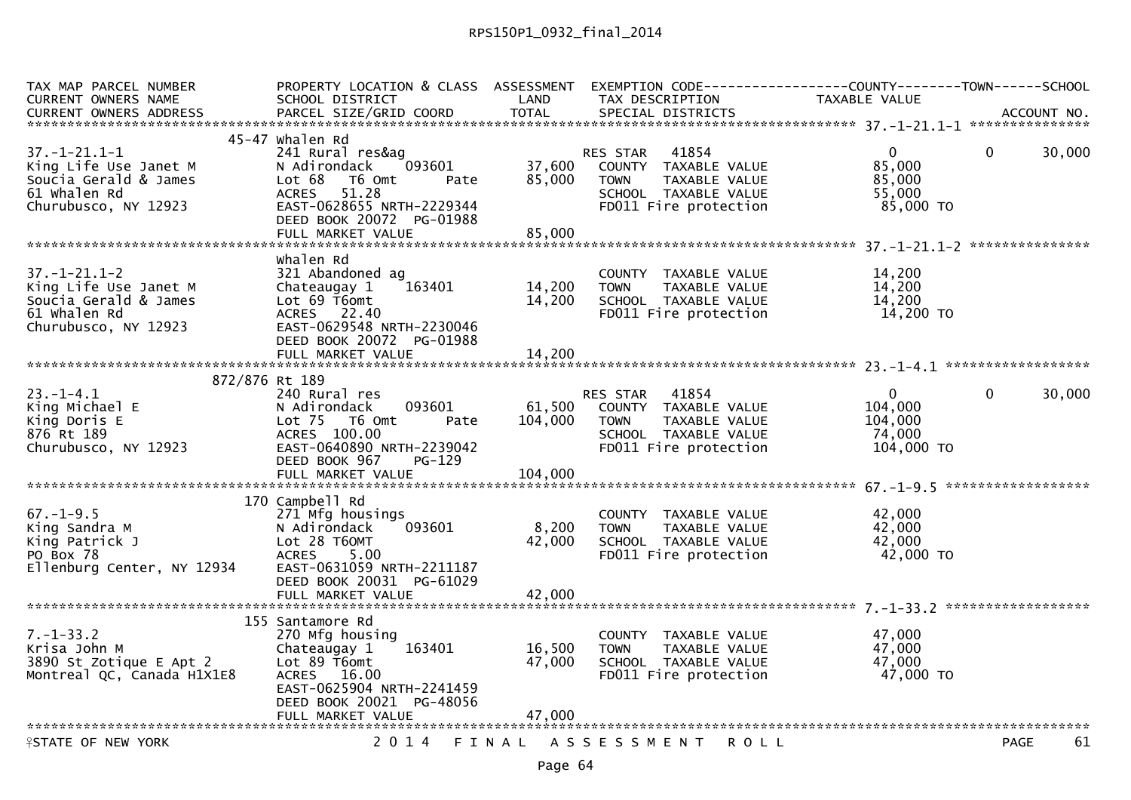| TAX MAP PARCEL NUMBER<br><b>CURRENT OWNERS NAME</b> | PROPERTY LOCATION & CLASS ASSESSMENT EXEMPTION CODE----------------COUNTY--------TOWN------SCHOOL<br>SCHOOL DISTRICT | LAND             | TAX DESCRIPTION                                      | TAXABLE VALUE       |                        |
|-----------------------------------------------------|----------------------------------------------------------------------------------------------------------------------|------------------|------------------------------------------------------|---------------------|------------------------|
| CURRENT OWNERS ADDRESS                              | PARCEL SIZE/GRID COORD                                                                                               | <b>TOTAL</b>     | SPECIAL DISTRICTS                                    |                     | ACCOUNT NO.            |
|                                                     |                                                                                                                      |                  |                                                      |                     |                        |
|                                                     | 45-47 whalen Rd                                                                                                      |                  |                                                      |                     |                        |
| $37. - 1 - 21.1 - 1$                                | 241 Rural res&ag                                                                                                     |                  | 41854<br><b>RES STAR</b>                             | $\mathbf{0}$        | $\mathbf 0$<br>30,000  |
| King Life Use Janet M<br>Soucia Gerald & James      | 093601<br>N Adirondack<br>T6 Omt                                                                                     | 37,600<br>85,000 | COUNTY TAXABLE VALUE<br><b>TOWN</b><br>TAXABLE VALUE | 85,000<br>85,000    |                        |
| 61 Whalen Rd                                        | Lot 68<br>Pate<br>51.28<br><b>ACRES</b>                                                                              |                  | SCHOOL TAXABLE VALUE                                 | 55,000              |                        |
| Churubusco, NY 12923                                | EAST-0628655 NRTH-2229344                                                                                            |                  | FD011 Fire protection                                | 85,000 TO           |                        |
|                                                     | DEED BOOK 20072 PG-01988                                                                                             |                  |                                                      |                     |                        |
|                                                     | FULL MARKET VALUE                                                                                                    | 85,000           |                                                      |                     |                        |
|                                                     |                                                                                                                      |                  |                                                      |                     |                        |
|                                                     | Whalen Rd                                                                                                            |                  |                                                      |                     |                        |
| $37. - 1 - 21.1 - 2$                                | 321 Abandoned ag                                                                                                     |                  | COUNTY TAXABLE VALUE                                 | 14,200              |                        |
| King Life Use Janet M                               | 163401<br>Chateaugay 1                                                                                               | 14,200           | TAXABLE VALUE<br><b>TOWN</b>                         | 14,200              |                        |
| Soucia Gerald & James<br>61 Whalen Rd               | Lot 69 T6omt<br>ACRES 22.40                                                                                          | 14,200           | SCHOOL TAXABLE VALUE<br>FD011 Fire protection        | 14,200<br>14,200 TO |                        |
| Churubusco, NY 12923                                | EAST-0629548 NRTH-2230046                                                                                            |                  |                                                      |                     |                        |
|                                                     | DEED BOOK 20072 PG-01988                                                                                             |                  |                                                      |                     |                        |
|                                                     | FULL MARKET VALUE                                                                                                    | 14,200           |                                                      |                     |                        |
|                                                     |                                                                                                                      |                  |                                                      |                     |                        |
| 872/876 Rt 189                                      |                                                                                                                      |                  |                                                      |                     |                        |
| $23. - 1 - 4.1$                                     | 240 Rural res                                                                                                        |                  | RES STAR 41854                                       | $\mathbf{0}$        | $\mathbf{0}$<br>30,000 |
| King Michael E                                      | 093601<br>N Adirondack                                                                                               | 61,500           | COUNTY TAXABLE VALUE                                 | 104,000             |                        |
| King Doris E                                        | Lot $75$<br>T6 Omt<br>Pate                                                                                           | 104,000          | TAXABLE VALUE<br><b>TOWN</b>                         | 104,000             |                        |
| 876 Rt 189                                          | ACRES 100.00                                                                                                         |                  | SCHOOL TAXABLE VALUE                                 | 74.000              |                        |
| Churubusco, NY 12923                                | EAST-0640890 NRTH-2239042<br>DEED BOOK 967                                                                           |                  | FD011 Fire protection                                | 104,000 TO          |                        |
|                                                     | PG-129<br>FULL MARKET VALUE                                                                                          | 104,000          |                                                      |                     |                        |
|                                                     |                                                                                                                      |                  |                                                      |                     |                        |
|                                                     | 170 Campbell Rd                                                                                                      |                  |                                                      |                     |                        |
| $67. - 1 - 9.5$                                     | 271 Mfg housings                                                                                                     |                  | COUNTY TAXABLE VALUE                                 | 42,000              |                        |
| King Sandra M                                       | 093601<br>N Adirondack                                                                                               | 8,200            | <b>TOWN</b><br>TAXABLE VALUE                         | 42,000              |                        |
| King Patrick J                                      | Lot 28 T60MT                                                                                                         | 42,000           | SCHOOL TAXABLE VALUE                                 | 42,000              |                        |
| PO Box 78                                           | 5.00<br><b>ACRES</b>                                                                                                 |                  | FD011 Fire protection                                | 42,000 TO           |                        |
| Ellenburg Center, NY 12934                          | EAST-0631059 NRTH-2211187                                                                                            |                  |                                                      |                     |                        |
|                                                     | DEED BOOK 20031 PG-61029                                                                                             |                  |                                                      |                     |                        |
|                                                     |                                                                                                                      |                  |                                                      |                     |                        |
|                                                     | 155 Santamore Rd                                                                                                     |                  |                                                      |                     |                        |
| $7. - 1 - 33.2$                                     | 270 Mfg housing                                                                                                      |                  | COUNTY TAXABLE VALUE                                 | 47,000              |                        |
| Krisa John M                                        | 163401<br>Chateaugay 1                                                                                               | 16,500           | TAXABLE VALUE<br><b>TOWN</b>                         | 47,000              |                        |
| 3890 St Zotique E Apt 2                             | Lot $89$ T6omt                                                                                                       | 47,000           | SCHOOL TAXABLE VALUE                                 | 47.000              |                        |
| Montreal QC, Canada H1X1E8                          | ACRES 16.00                                                                                                          |                  | FD011 Fire protection                                | 47,000 TO           |                        |
|                                                     | EAST-0625904 NRTH-2241459                                                                                            |                  |                                                      |                     |                        |
|                                                     | DEED BOOK 20021 PG-48056                                                                                             |                  |                                                      |                     |                        |
|                                                     | FULL MARKET VALUE                                                                                                    | 47,000           |                                                      |                     |                        |
| <b>ASTATE OF NEW YORK</b>                           | 2 0 1 4                                                                                                              | FINAL            | A S S E S S M E N T<br>R O L L                       |                     | 61<br>PAGE             |
|                                                     |                                                                                                                      |                  |                                                      |                     |                        |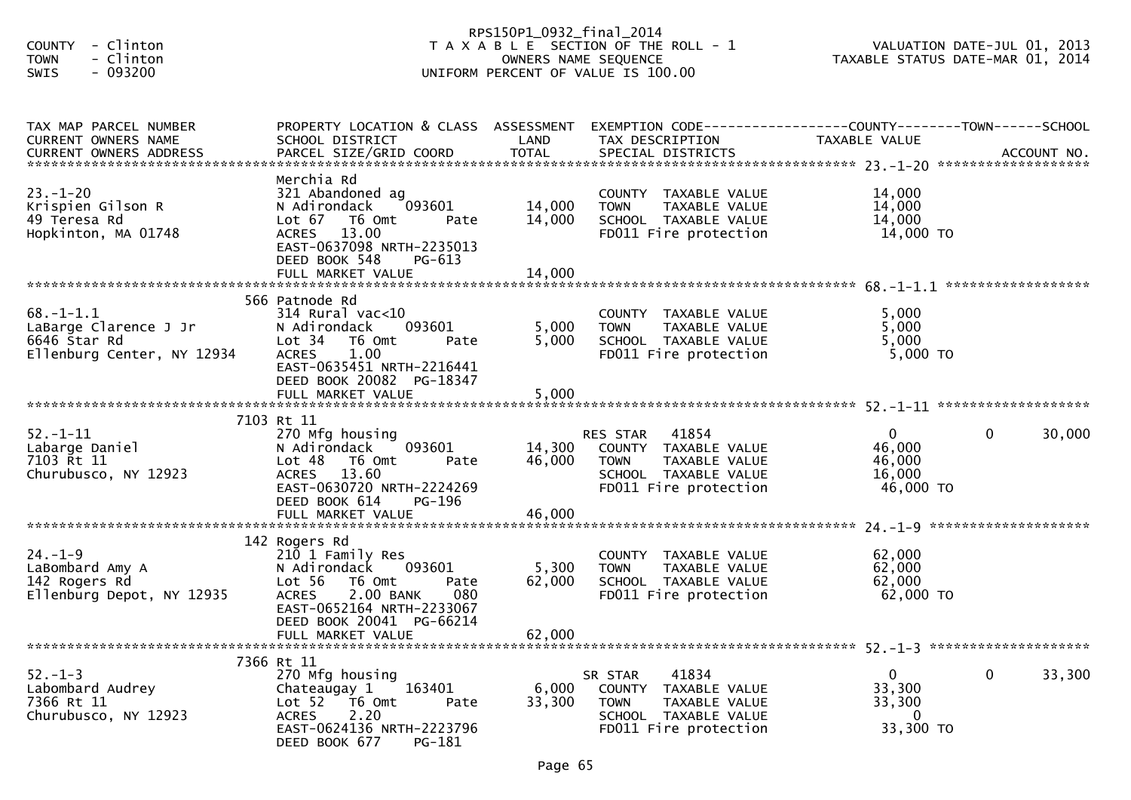| - Clinton<br><b>COUNTY</b>                   |                                                         | RPS150P1_0932_final_2014 | T A X A B L E SECTION OF THE ROLL - 1                |                  | VALUATION DATE-JUL 01, 2013      |
|----------------------------------------------|---------------------------------------------------------|--------------------------|------------------------------------------------------|------------------|----------------------------------|
| - Clinton<br><b>TOWN</b>                     |                                                         |                          | OWNERS NAME SEQUENCE                                 |                  | TAXABLE STATUS DATE-MAR 01, 2014 |
| SWIS<br>$-093200$                            |                                                         |                          | UNIFORM PERCENT OF VALUE IS 100.00                   |                  |                                  |
|                                              |                                                         |                          |                                                      |                  |                                  |
| TAX MAP PARCEL NUMBER<br>CURRENT OWNERS NAME | PROPERTY LOCATION & CLASS ASSESSMENT<br>SCHOOL DISTRICT | LAND                     | TAX DESCRIPTION                                      | TAXABLE VALUE    |                                  |
|                                              |                                                         |                          |                                                      |                  |                                  |
|                                              | Merchia Rd                                              |                          |                                                      |                  |                                  |
| $23. - 1 - 20$                               | 321 Abandoned ag                                        |                          | COUNTY TAXABLE VALUE                                 | 14,000           |                                  |
| Krispien Gilson R<br>49 Teresa Rd            | 093601<br>N Adirondack<br>Lot 67 76 0mt                 | 14,000<br>14,000         | TAXABLE VALUE<br><b>TOWN</b>                         | 14,000<br>14,000 |                                  |
| Hopkinton, MA 01748                          | Pate<br>ACRES 13.00                                     |                          | SCHOOL TAXABLE VALUE<br>FD011 Fire protection        | 14,000 TO        |                                  |
|                                              | EAST-0637098 NRTH-2235013<br>DEED BOOK 548<br>PG-613    |                          |                                                      |                  |                                  |
|                                              |                                                         |                          |                                                      |                  |                                  |
|                                              | 566 Patnode Rd                                          |                          |                                                      |                  |                                  |
| $68. - 1 - 1.1$                              | $314$ Rural vac<10                                      |                          | COUNTY TAXABLE VALUE                                 | 5,000            |                                  |
| LaBarge Clarence J Jr                        | 093601<br>N Adirondack                                  | 5,000                    | TAXABLE VALUE<br><b>TOWN</b>                         | 5,000            |                                  |
| 6646 Star Rd                                 | Lot 34 T6 Omt<br>Pate                                   | 5,000                    | SCHOOL TAXABLE VALUE                                 | 5,000            |                                  |
| Ellenburg Center, NY 12934                   | <b>ACRES</b><br>1.00<br>EAST-0635451 NRTH-2216441       |                          | FD011 Fire protection                                | $5,000$ TO       |                                  |
|                                              | DEED BOOK 20082 PG-18347                                |                          |                                                      |                  |                                  |
|                                              |                                                         |                          |                                                      |                  |                                  |
|                                              |                                                         |                          |                                                      |                  |                                  |
| $52. - 1 - 11$                               | 7103 Rt 11<br>270 Mfg housing                           |                          | 41854<br>RES STAR                                    | $\mathbf{0}$     | 0<br>30,000                      |
| Labarge Daniel                               | 093601<br>N Adirondack                                  | 14,300                   | COUNTY TAXABLE VALUE                                 | 46,000           |                                  |
| 7103 Rt 11                                   | Lot <sub>48</sub><br>T6 Omt<br>Pate                     | 46,000                   | <b>TOWN</b><br>TAXABLE VALUE                         | 46,000           |                                  |
| Churubusco, NY 12923                         | ACRES 13.60                                             |                          | SCHOOL TAXABLE VALUE                                 | 16,000           |                                  |
|                                              | EAST-0630720 NRTH-2224269                               |                          | FD011 Fire protection                                | 46,000 TO        |                                  |
|                                              | DEED BOOK 614<br><b>PG-196</b>                          |                          |                                                      |                  |                                  |
|                                              |                                                         |                          |                                                      |                  |                                  |
|                                              | 142 Rogers Rd                                           |                          |                                                      |                  |                                  |
| $24. - 1 - 9$                                | 210 1 Family Res                                        |                          | COUNTY TAXABLE VALUE                                 | 62,000           |                                  |
| LaBombard Amy A<br>142 Rogers Rd             | 093601<br>N Adirondack<br>Lot 56<br>T6 Omt<br>Pate      | 5,300<br>62,000          | <b>TOWN</b><br>TAXABLE VALUE<br>SCHOOL TAXABLE VALUE | 62,000<br>62,000 |                                  |
| Ellenburg Depot, NY 12935                    | 2.00 BANK<br>080<br><b>ACRES</b>                        |                          | FD011 Fire protection                                | 62,000 TO        |                                  |
|                                              | EAST-0652164 NRTH-2233067                               |                          |                                                      |                  |                                  |
|                                              | DEED BOOK 20041 PG-66214                                |                          |                                                      |                  |                                  |
|                                              | FULL MARKET VALUE                                       | 62,000                   |                                                      |                  |                                  |
|                                              | 7366 Rt 11                                              |                          |                                                      |                  |                                  |
| $52 - 1 - 3$                                 | 270 Mfg housing                                         |                          | 41834<br>SR STAR                                     | 0                | 0<br>33,300                      |
| Labombard Audrey                             | 163401<br>Chateaugay 1                                  | 6,000                    | COUNTY TAXABLE VALUE                                 | 33,300           |                                  |
| 7366 Rt 11                                   | Lot 52<br>T6 Omt<br>Pate                                | 33,300                   | TAXABLE VALUE<br>TOWN                                | 33,300           |                                  |
| Churubusco, NY 12923                         | 2.20<br><b>ACRES</b>                                    |                          | SCHOOL TAXABLE VALUE                                 | 0                |                                  |
|                                              | EAST-0624136 NRTH-2223796<br>DEED BOOK 677<br>PG-181    |                          | FD011 Fire protection                                | 33,300 TO        |                                  |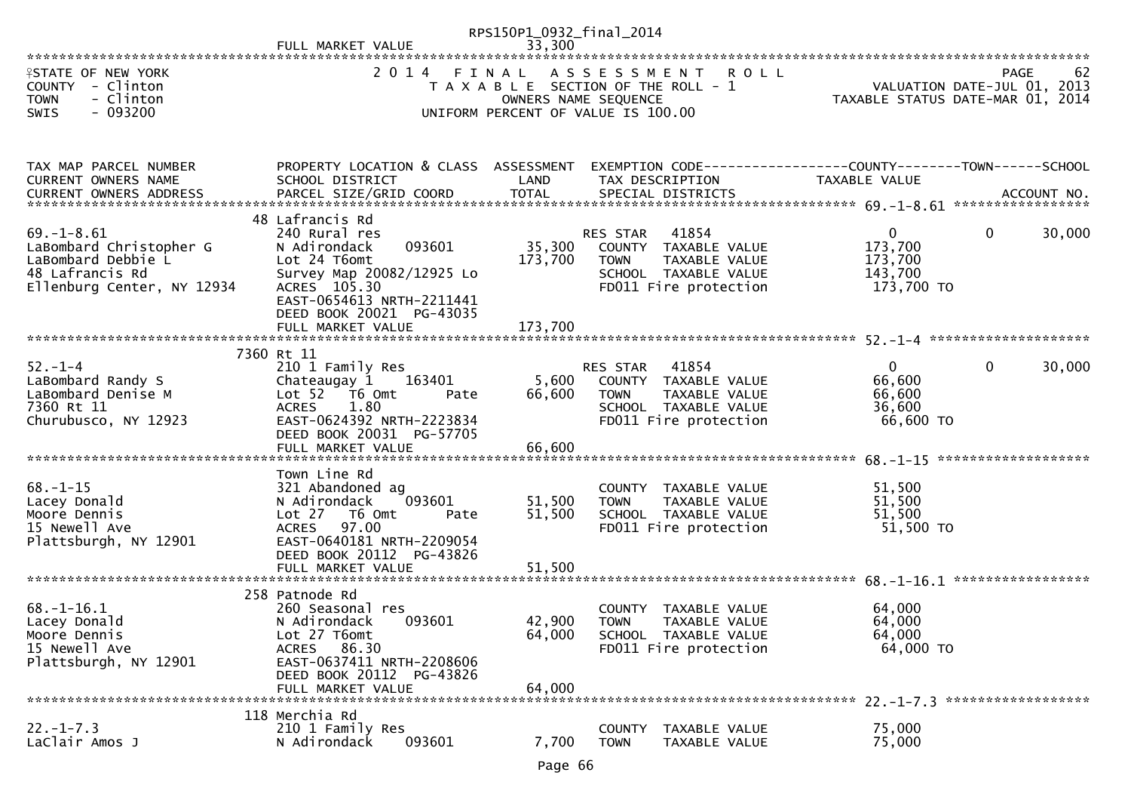|                                                                                                                    |                                                                                                                                                                                                       | RPS150P1_0932_final_2014     |                                                                                                                            |                                                             |                                                                                      |
|--------------------------------------------------------------------------------------------------------------------|-------------------------------------------------------------------------------------------------------------------------------------------------------------------------------------------------------|------------------------------|----------------------------------------------------------------------------------------------------------------------------|-------------------------------------------------------------|--------------------------------------------------------------------------------------|
| <b>ISTATE OF NEW YORK</b><br>COUNTY - Clinton<br>- Clinton<br><b>TOWN</b><br>$-093200$<br><b>SWIS</b>              | 2014 FINAL                                                                                                                                                                                            |                              | ASSESSMENT ROLL<br>T A X A B L E SECTION OF THE ROLL - 1<br>OWNERS NAME SEQUENCE<br>UNIFORM PERCENT OF VALUE IS 100.00     |                                                             | <b>PAGE</b><br>62<br>VALUATION DATE-JUL 01, 2013<br>TAXABLE STATUS DATE-MAR 01, 2014 |
| TAX MAP PARCEL NUMBER<br>CURRENT OWNERS NAME                                                                       | PROPERTY LOCATION & CLASS ASSESSMENT<br>SCHOOL DISTRICT                                                                                                                                               | LAND                         | EXEMPTION CODE-----------------COUNTY--------TOWN------SCHOOL<br>TAX DESCRIPTION                                           | TAXABLE VALUE                                               |                                                                                      |
| $69. - 1 - 8.61$<br>LaBombard Christopher G<br>LaBombard Debbie L<br>48 Lafrancis Rd<br>Ellenburg Center, NY 12934 | 48 Lafrancis Rd<br>240 Rural res<br>093601<br>N Adirondack<br>Lot 24 T6omt<br>Survey Map 20082/12925 Lo<br>ACRES 105.30<br>EAST-0654613 NRTH-2211441<br>DEED BOOK 20021 PG-43035<br>FULL MARKET VALUE | 35,300<br>173,700<br>173,700 | RES STAR<br>41854<br>COUNTY TAXABLE VALUE<br>TAXABLE VALUE<br><b>TOWN</b><br>SCHOOL TAXABLE VALUE<br>FD011 Fire protection | $\mathbf{0}$<br>173,700<br>173,700<br>143,700<br>173,700 TO | $\mathbf 0$<br>30,000                                                                |
| $52 - 1 - 4$<br>LaBombard Randy S<br>LaBombard Denise M<br>7360 Rt 11<br>Churubusco, NY 12923                      | 7360 Rt 11<br>210 1 Family Res<br>Chateaugay 1<br>163401<br>Lot 52 T6 Omt<br>Pate<br>1.80<br>ACRES<br>EAST-0624392 NRTH-2223834<br>DEED BOOK 20031 PG-57705<br>FULL MARKET VALUE                      | 5,600<br>66,600<br>66,600    | RES STAR 41854<br>COUNTY TAXABLE VALUE<br><b>TOWN</b><br>TAXABLE VALUE<br>SCHOOL TAXABLE VALUE<br>FD011 Fire protection    | $\overline{0}$<br>66,600<br>66,600<br>36,600<br>66,600 TO   | $\mathbf{0}$<br>30,000                                                               |
| $68. - 1 - 15$<br>Lacey Donald<br>Moore Dennis<br>15 Newell Ave<br>Plattsburgh, NY 12901                           | Town Line Rd<br>321 Abandoned ag<br>093601<br>N Adirondack<br>Lot 27 T6 Omt<br>Pate<br>ACRES 97.00<br>EAST-0640181 NRTH-2209054<br>DEED BOOK 20112 PG-43826<br>FULL MARKET VALUE                      | 51,500<br>51,500<br>51,500   | COUNTY TAXABLE VALUE<br><b>TOWN</b><br>TAXABLE VALUE<br>SCHOOL TAXABLE VALUE<br>FD011 Fire protection                      | 51,500<br>51,500<br>51,500<br>51,500 TO                     |                                                                                      |
| $68. - 1 - 16.1$<br>Lacey Donald<br>Moore Dennis<br>15 Newell Ave<br>Plattsburgh, NY 12901                         | 258 Patnode Rd<br>260 Seasonal res<br>093601<br>N Adirondack<br>Lot 27 T6omt<br>86.30<br><b>ACRES</b><br>EAST-0637411 NRTH-2208606<br>DEED BOOK 20112 PG-43826<br>FULL MARKET VALUE                   | 42,900<br>64,000<br>64,000   | COUNTY TAXABLE VALUE<br><b>TOWN</b><br>TAXABLE VALUE<br>SCHOOL TAXABLE VALUE<br>FD011 Fire protection                      | 64,000<br>64,000<br>64,000<br>64,000 TO                     |                                                                                      |
| $22. - 1 - 7.3$<br>LaClair Amos J                                                                                  | 118 Merchia Rd<br>210 1 Family Res<br>N Adirondack<br>093601                                                                                                                                          | 7,700                        | <b>COUNTY</b><br>TAXABLE VALUE<br><b>TOWN</b><br>TAXABLE VALUE                                                             | 75,000<br>75,000                                            |                                                                                      |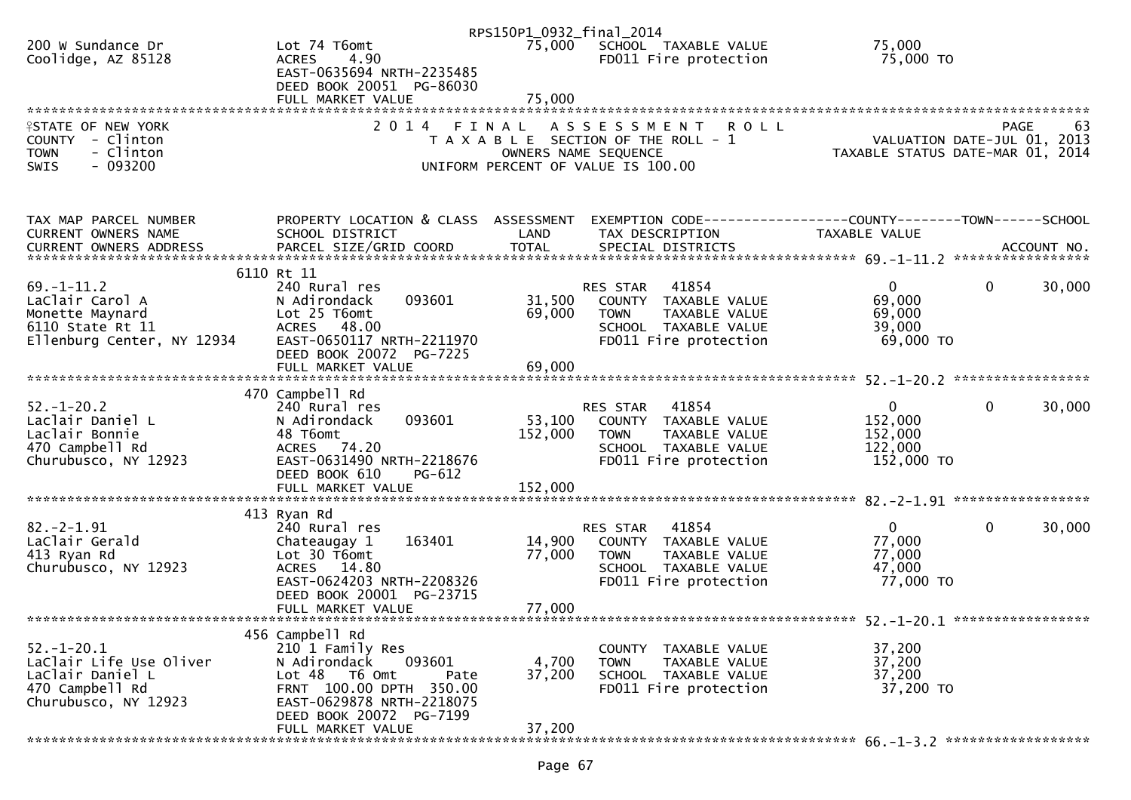|                                                      |                                                      | RPS150P1_0932_final_2014 |                                                            |                                                              |                   |
|------------------------------------------------------|------------------------------------------------------|--------------------------|------------------------------------------------------------|--------------------------------------------------------------|-------------------|
| 200 W Sundance Dr                                    | Lot 74 T6omt                                         | 75,000                   | SCHOOL TAXABLE VALUE                                       | 75,000                                                       |                   |
| Coolidge, AZ 85128                                   | 4.90<br><b>ACRES</b>                                 |                          | FD011 Fire protection                                      | 75,000 TO                                                    |                   |
|                                                      | EAST-0635694 NRTH-2235485                            |                          |                                                            |                                                              |                   |
|                                                      | DEED BOOK 20051 PG-86030                             |                          |                                                            |                                                              |                   |
|                                                      |                                                      |                          |                                                            |                                                              |                   |
|                                                      |                                                      |                          |                                                            |                                                              |                   |
| <b>ISTATE OF NEW YORK</b>                            | 2 0 1 4                                              | FINAL                    | ASSESSMENT<br><b>ROLL</b>                                  |                                                              | <b>PAGE</b><br>63 |
| COUNTY - Clinton                                     |                                                      |                          | T A X A B L E SECTION OF THE ROLL - 1                      | VALUATION DATE-JUL 01,                                       | 2013              |
| <b>TOWN</b><br>- Clinton<br>$-093200$<br><b>SWIS</b> |                                                      |                          | OWNERS NAME SEQUENCE<br>UNIFORM PERCENT OF VALUE IS 100.00 | TAXABLE STATUS DATE-MAR 01, 2014                             |                   |
|                                                      |                                                      |                          |                                                            |                                                              |                   |
|                                                      |                                                      |                          |                                                            |                                                              |                   |
|                                                      |                                                      |                          |                                                            |                                                              |                   |
| TAX MAP PARCEL NUMBER                                | PROPERTY LOCATION & CLASS ASSESSMENT                 |                          |                                                            | EXEMPTION CODE-----------------COUNTY-------TOWN------SCHOOL |                   |
| CURRENT OWNERS NAME                                  | SCHOOL DISTRICT                                      | LAND                     | TAX DESCRIPTION                                            | TAXABLE VALUE                                                |                   |
|                                                      |                                                      |                          |                                                            |                                                              |                   |
|                                                      |                                                      |                          |                                                            |                                                              |                   |
|                                                      | 6110 Rt 11                                           |                          |                                                            |                                                              |                   |
| $69. - 1 - 11.2$                                     | 240 Rural res                                        |                          | 41854<br>RES STAR                                          | $\mathbf{0}$<br>0                                            | 30,000            |
| LaClair Carol A                                      | N Adirondack<br>093601                               | 31,500                   | COUNTY TAXABLE VALUE                                       | 69,000                                                       |                   |
| Monette Maynard                                      | Lot 25 T6omt                                         | 69,000                   | TAXABLE VALUE<br><b>TOWN</b>                               | 69,000                                                       |                   |
| 6110 State Rt 11                                     | ACRES 48.00                                          |                          | SCHOOL TAXABLE VALUE                                       | 39,000                                                       |                   |
| Ellenburg Center, NY 12934                           | EAST-0650117 NRTH-2211970<br>DEED BOOK 20072 PG-7225 |                          | FD011 Fire protection                                      | $69,000$ TO                                                  |                   |
|                                                      |                                                      |                          |                                                            |                                                              |                   |
|                                                      |                                                      |                          |                                                            |                                                              |                   |
|                                                      | 470 Campbell Rd                                      |                          |                                                            |                                                              |                   |
| $52. - 1 - 20.2$                                     | 240 Rural res                                        |                          | 41854<br>RES STAR                                          | $\mathbf 0$<br>$\mathbf{0}$                                  | 30,000            |
| Laclair Daniel L                                     | 093601<br>N Adirondack                               | 53,100                   | COUNTY TAXABLE VALUE                                       | 152,000                                                      |                   |
| Laclair Bonnie                                       | 48 T6omt                                             | 152,000                  | TAXABLE VALUE<br><b>TOWN</b>                               | 152,000                                                      |                   |
| 470 Campbell Rd                                      | ACRES 74.20                                          |                          | SCHOOL TAXABLE VALUE                                       | 122,000                                                      |                   |
| Churubusco, NY 12923                                 | EAST-0631490 NRTH-2218676                            |                          | FD011 Fire protection                                      | 152,000 TO                                                   |                   |
|                                                      | DEED BOOK 610<br>PG-612                              |                          |                                                            |                                                              |                   |
|                                                      |                                                      |                          |                                                            |                                                              |                   |
|                                                      |                                                      |                          |                                                            |                                                              |                   |
|                                                      | 413 Ryan Rd                                          |                          |                                                            |                                                              |                   |
| $82. -2 - 1.91$<br>LaClair Gerald                    | 240 Rural res<br>163401<br>Chateaugay 1              | 14,900                   | 41854<br>RES STAR<br>COUNTY TAXABLE VALUE                  | $\mathbf{0}$<br>0<br>77,000                                  | 30,000            |
| 413 Ryan Rd                                          | Lot 30 T6omt                                         | 77,000                   | TAXABLE VALUE<br><b>TOWN</b>                               | 77,000                                                       |                   |
| Churubusco, NY 12923                                 | ACRES 14.80                                          |                          | SCHOOL TAXABLE VALUE                                       | 47,000                                                       |                   |
|                                                      | EAST-0624203 NRTH-2208326                            |                          | FD011 Fire protection                                      | 77,000 TO                                                    |                   |
|                                                      | DEED BOOK 20001 PG-23715                             |                          |                                                            |                                                              |                   |
|                                                      | FULL MARKET VALUE                                    | 77,000                   |                                                            |                                                              |                   |
|                                                      |                                                      |                          |                                                            |                                                              |                   |
|                                                      | 456 Campbell Rd                                      |                          |                                                            |                                                              |                   |
| $52. - 1 - 20.1$                                     | 210 1 Family Res                                     |                          | COUNTY TAXABLE VALUE                                       | 37,200                                                       |                   |
| LaClair Life Use Oliver                              | 093601<br>N Adirondack                               | 4,700                    | TAXABLE VALUE<br><b>TOWN</b>                               | 37,200                                                       |                   |
| LaClair Daniel L                                     | Lot 48 T6 Omt<br>Pate                                | 37,200                   | SCHOOL TAXABLE VALUE                                       | 37,200                                                       |                   |
| 470 Campbell Rd                                      | FRNT 100.00 DPTH 350.00                              |                          | FD011 Fire protection                                      | 37,200 TO                                                    |                   |
| Churubusco, NY 12923                                 | EAST-0629878 NRTH-2218075                            |                          |                                                            |                                                              |                   |
|                                                      | DEED BOOK 20072 PG-7199<br>FULL MARKET VALUE         | 37,200                   |                                                            |                                                              |                   |
|                                                      |                                                      |                          |                                                            |                                                              |                   |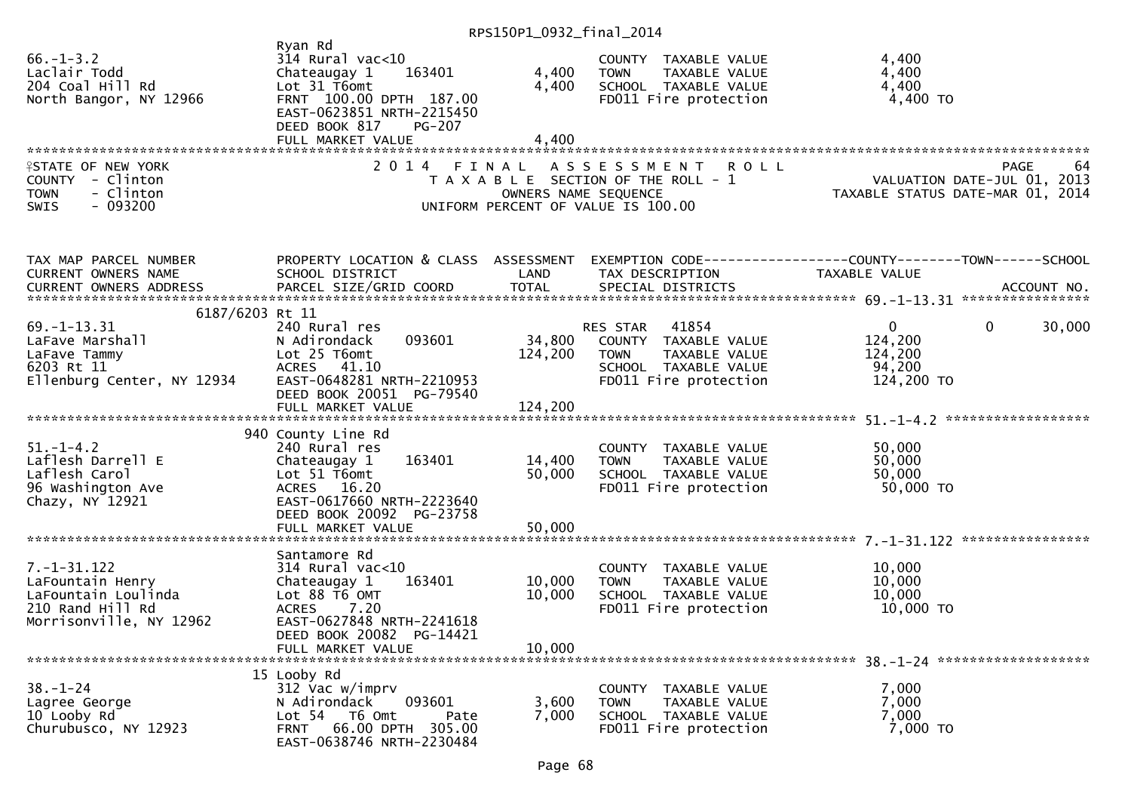## RPS150P1\_0932\_final\_2014

| $66. - 1 - 3.2$<br>Laclair Todd<br>204 Coal Hill Rd<br>North Bangor, NY 12966                                                                                                                                                                    | Ryan Rd<br>$314$ Rural vac<10<br>163401<br>Chateaugay 1<br>Lot 31 T6omt<br>FRNT 100.00 DPTH 187.00<br>EAST-0623851 NRTH-2215450<br>DEED BOOK 817<br><b>PG-207</b><br>FULL MARKET VALUE | 4,400<br>4,400<br>4,400       | COUNTY TAXABLE VALUE<br>TAXABLE VALUE<br><b>TOWN</b><br>SCHOOL TAXABLE VALUE<br>FD011 Fire protection             | 4,400<br>4,400<br>4,400<br>$4,400$ TO                                           |                   |
|--------------------------------------------------------------------------------------------------------------------------------------------------------------------------------------------------------------------------------------------------|----------------------------------------------------------------------------------------------------------------------------------------------------------------------------------------|-------------------------------|-------------------------------------------------------------------------------------------------------------------|---------------------------------------------------------------------------------|-------------------|
|                                                                                                                                                                                                                                                  |                                                                                                                                                                                        |                               |                                                                                                                   |                                                                                 |                   |
| <b>ISTATE OF NEW YORK</b><br>COUNTY - Clinton<br>- Clinton<br><b>TOWN</b><br>$-093200$<br><b>SWIS</b>                                                                                                                                            | 2 0 1 4                                                                                                                                                                                | FINAL<br>OWNERS NAME SEQUENCE | A S S E S S M E N T<br><b>ROLL</b><br>T A X A B L E SECTION OF THE ROLL - 1<br>UNIFORM PERCENT OF VALUE IS 100.00 | VALUATION DATE-JUL 01, 2013<br>TAXABLE STATUS DATE-MAR 01, 2014                 | <b>PAGE</b><br>64 |
| TAX MAP PARCEL NUMBER<br>CURRENT OWNERS NAME                                                                                                                                                                                                     | PROPERTY LOCATION & CLASS ASSESSMENT<br>SCHOOL DISTRICT                                                                                                                                | LAND                          | TAX DESCRIPTION                                                                                                   | EXEMPTION CODE------------------COUNTY--------TOWN------SCHOOL<br>TAXABLE VALUE |                   |
|                                                                                                                                                                                                                                                  |                                                                                                                                                                                        |                               |                                                                                                                   |                                                                                 |                   |
| .CURRENT OWNERS ADDRESS PARCEL SIZE/GRID COORD TOTAL SPECIAL DISTRICTS (1994-1995) ACCOUNT NO ACCOUNT NO ACTUAL SERVER AND REALLY AND AND A AND A SERVER AND A SERVER AND TOTAL SPECIAL DISTRICTS AND A SERVER AND THE SERVER<br>6187/6203 Rt 11 |                                                                                                                                                                                        |                               |                                                                                                                   |                                                                                 |                   |
| $69. - 1 - 13.31$                                                                                                                                                                                                                                | 240 Rural res                                                                                                                                                                          |                               | 41854<br>RES STAR                                                                                                 | $\mathbf{0}$<br>$\mathbf{0}$                                                    | 30,000            |
| LaFave Marshall                                                                                                                                                                                                                                  | 093601<br>N Adirondack                                                                                                                                                                 | 34,800                        | COUNTY TAXABLE VALUE                                                                                              | 124,200                                                                         |                   |
| LaFave Tammy                                                                                                                                                                                                                                     | Lot 25 T6omt                                                                                                                                                                           | 124,200                       | TAXABLE VALUE<br><b>TOWN</b>                                                                                      | 124,200                                                                         |                   |
| 6203 Rt 11                                                                                                                                                                                                                                       | ACRES 41.10                                                                                                                                                                            |                               | SCHOOL TAXABLE VALUE                                                                                              | 94,200                                                                          |                   |
| Ellenburg Center, NY 12934                                                                                                                                                                                                                       | EAST-0648281 NRTH-2210953<br>DEED BOOK 20051 PG-79540<br>FULL MARKET VALUE                                                                                                             | 124,200                       | FD011 Fire protection                                                                                             | 124,200 TO                                                                      |                   |
|                                                                                                                                                                                                                                                  |                                                                                                                                                                                        |                               |                                                                                                                   |                                                                                 |                   |
|                                                                                                                                                                                                                                                  | 940 County Line Rd                                                                                                                                                                     |                               |                                                                                                                   |                                                                                 |                   |
| $51. - 1 - 4.2$                                                                                                                                                                                                                                  | 240 Rural res                                                                                                                                                                          |                               | COUNTY TAXABLE VALUE                                                                                              | 50,000                                                                          |                   |
| Laflesh Darrell E                                                                                                                                                                                                                                | Chateaugay 1<br>163401                                                                                                                                                                 | 14,400                        | <b>TOWN</b><br>TAXABLE VALUE                                                                                      | 50,000                                                                          |                   |
| Laflesh Carol                                                                                                                                                                                                                                    | Lot $51$ T6omt                                                                                                                                                                         | 50,000                        | SCHOOL TAXABLE VALUE                                                                                              | 50,000                                                                          |                   |
| 96 Washington Ave<br>Chazy, NY 12921                                                                                                                                                                                                             | ACRES 16.20<br>EAST-0617660 NRTH-2223640<br>DEED BOOK 20092 PG-23758                                                                                                                   |                               | FD011 Fire protection                                                                                             | 50,000 TO                                                                       |                   |
|                                                                                                                                                                                                                                                  | FULL MARKET VALUE                                                                                                                                                                      | 50,000                        |                                                                                                                   |                                                                                 |                   |
|                                                                                                                                                                                                                                                  |                                                                                                                                                                                        |                               |                                                                                                                   |                                                                                 |                   |
| $7. - 1 - 31.122$                                                                                                                                                                                                                                | Santamore Rd<br>$314$ Rural vac<10                                                                                                                                                     |                               | COUNTY TAXABLE VALUE                                                                                              | 10,000                                                                          |                   |
| LaFountain Henry                                                                                                                                                                                                                                 | 163401<br>Chateaugay 1                                                                                                                                                                 | 10,000                        | TAXABLE VALUE<br><b>TOWN</b>                                                                                      | 10,000                                                                          |                   |
| LaFountain Loulinda                                                                                                                                                                                                                              | Lot 88 T6 OMT                                                                                                                                                                          | 10,000                        | SCHOOL TAXABLE VALUE                                                                                              | 10,000                                                                          |                   |
| 210 Rand Hill Rd                                                                                                                                                                                                                                 | <b>ACRES</b><br>7.20                                                                                                                                                                   |                               | FD011 Fire protection                                                                                             | 10,000 TO                                                                       |                   |
| Morrisonville, NY 12962                                                                                                                                                                                                                          | EAST-0627848 NRTH-2241618                                                                                                                                                              |                               |                                                                                                                   |                                                                                 |                   |
|                                                                                                                                                                                                                                                  | DEED BOOK 20082 PG-14421                                                                                                                                                               |                               |                                                                                                                   |                                                                                 |                   |
|                                                                                                                                                                                                                                                  | FULL MARKET VALUE                                                                                                                                                                      | 10,000                        |                                                                                                                   |                                                                                 |                   |
|                                                                                                                                                                                                                                                  | 15 Looby Rd                                                                                                                                                                            |                               |                                                                                                                   |                                                                                 |                   |
| $38. - 1 - 24$                                                                                                                                                                                                                                   | 312 Vac w/imprv                                                                                                                                                                        |                               | COUNTY TAXABLE VALUE                                                                                              | 7,000                                                                           |                   |
| Lagree George                                                                                                                                                                                                                                    | N Adirondack<br>093601                                                                                                                                                                 | 3,600                         | TAXABLE VALUE<br><b>TOWN</b>                                                                                      | 7,000                                                                           |                   |
| 10 Looby Rd                                                                                                                                                                                                                                      | Lot 54 T6 Omt<br>Pate                                                                                                                                                                  | 7,000                         | SCHOOL TAXABLE VALUE                                                                                              | 7,000                                                                           |                   |
| Churubusco, NY 12923                                                                                                                                                                                                                             | 66.00 DPTH 305.00<br>FRNT<br>EAST-0638746 NRTH-2230484                                                                                                                                 |                               | FD011 Fire protection                                                                                             | 7,000 TO                                                                        |                   |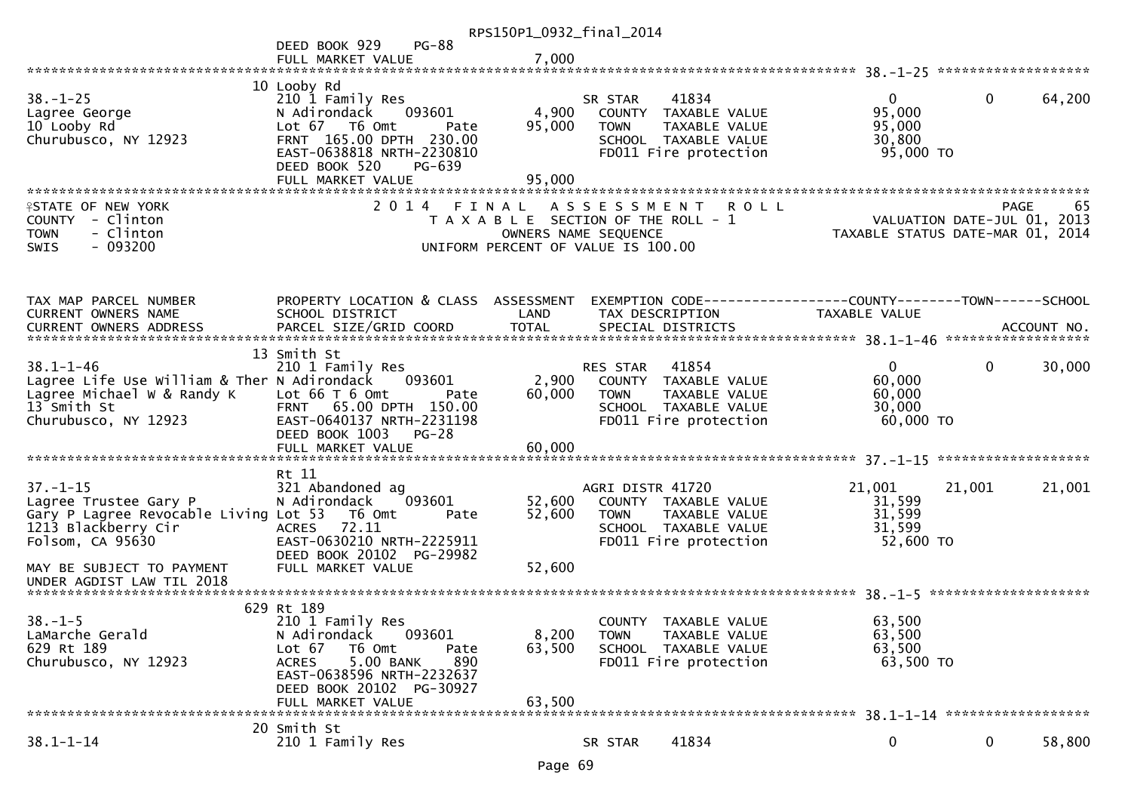|                                                                                                                                                          |                                                                                                                                                                                                        | RPS150P1_0932_final_2014   |                                                                                                     |                                                                                                 |                                                                                      |                                     |        |
|----------------------------------------------------------------------------------------------------------------------------------------------------------|--------------------------------------------------------------------------------------------------------------------------------------------------------------------------------------------------------|----------------------------|-----------------------------------------------------------------------------------------------------|-------------------------------------------------------------------------------------------------|--------------------------------------------------------------------------------------|-------------------------------------|--------|
|                                                                                                                                                          | $PG-88$<br>DEED BOOK 929<br>FULL MARKET VALUE                                                                                                                                                          | 7,000                      |                                                                                                     |                                                                                                 |                                                                                      |                                     |        |
|                                                                                                                                                          |                                                                                                                                                                                                        |                            |                                                                                                     |                                                                                                 |                                                                                      |                                     |        |
| $38. - 1 - 25$<br>Lagree George<br>10 Looby Rd<br>Churubusco, NY 12923                                                                                   | 10 Looby Rd<br>210 1 Family Res<br>N Adirondack<br>093601<br>Lot 67 T6 Omt<br>Pate<br>FRNT 165.00 DPTH 230.00<br>EAST-0638818 NRTH-2230810<br>DEED BOOK 520<br>PG-639                                  | 4,900<br>95,000            | SR STAR<br><b>TOWN</b>                                                                              | 41834<br>COUNTY TAXABLE VALUE<br>TAXABLE VALUE<br>SCHOOL TAXABLE VALUE<br>FD011 Fire protection | 0<br>95,000<br>95,000<br>30,800<br>95,000 TO                                         | $\mathbf{0}$                        | 64,200 |
|                                                                                                                                                          | FULL MARKET VALUE                                                                                                                                                                                      | 95,000                     |                                                                                                     |                                                                                                 |                                                                                      |                                     |        |
| <b>ISTATE OF NEW YORK</b><br>- Clinton<br><b>COUNTY</b><br>- Clinton<br><b>TOWN</b><br>$-093200$<br><b>SWIS</b>                                          | 2014 FINAL ASSESSMENT                                                                                                                                                                                  |                            | T A X A B L E SECTION OF THE ROLL - 1<br>OWNERS NAME SEQUENCE<br>UNIFORM PERCENT OF VALUE IS 100.00 | <b>ROLL</b>                                                                                     | TAXABLE STATUS DATE-MAR 01, 2014                                                     | PAGE<br>VALUATION DATE-JUL 01, 2013 | 65     |
| TAX MAP PARCEL NUMBER<br><b>CURRENT OWNERS NAME</b>                                                                                                      | PROPERTY LOCATION & CLASS ASSESSMENT<br>SCHOOL DISTRICT                                                                                                                                                | LAND                       | TAX DESCRIPTION                                                                                     |                                                                                                 | EXEMPTION        CODE-----------------COUNTY-------TOWN------SCHOOL<br>TAXABLE VALUE |                                     |        |
|                                                                                                                                                          | 13 Smith St                                                                                                                                                                                            |                            |                                                                                                     |                                                                                                 |                                                                                      |                                     |        |
| $38.1 - 1 - 46$<br>Lagree Life Use William & Ther N Adirondack<br>Lagree Michael W & Randy K<br>13 <sup>-</sup> Smith St<br>Churubusco, NY 12923         | 210 1 Family Res<br>093601<br>Lot $66$ T $6$ Omt<br>Pate<br>FRNT 65.00 DPTH 150.00<br>EAST-0640137 NRTH-2231198<br>DEED BOOK 1003<br>$PG-28$<br>FULL MARKET VALUE                                      | 2,900<br>60,000<br>60,000  | <b>RES STAR</b><br><b>TOWN</b>                                                                      | 41854<br>COUNTY TAXABLE VALUE<br>TAXABLE VALUE<br>SCHOOL TAXABLE VALUE<br>FD011 Fire protection | $\mathbf{0}$<br>60,000<br>60,000<br>30,000<br>60,000 TO                              | 0                                   | 30,000 |
|                                                                                                                                                          | Rt 11                                                                                                                                                                                                  |                            |                                                                                                     |                                                                                                 |                                                                                      |                                     |        |
| $37. - 1 - 15$<br>Lagree Trustee Gary P<br>Gary P Lagree Revocable Living Lot 53<br>1213 Blackberry Cir<br>Folsom, CA 95630<br>MAY BE SUBJECT TO PAYMENT | 321 Abandoned ag<br>093601<br>N Adirondack<br>T6 Omt<br>Pate<br>72.11<br><b>ACRES</b><br>EAST-0630210 NRTH-2225911<br>DEED BOOK 20102 PG-29982<br>FULL MARKET VALUE                                    | 52,600<br>52,600<br>52,600 | AGRI DISTR 41720<br><b>TOWN</b>                                                                     | COUNTY TAXABLE VALUE<br>TAXABLE VALUE<br>SCHOOL TAXABLE VALUE<br>FD011 Fire protection          | 21,001<br>31,599<br>31,599<br>31,599<br>52,600 TO                                    | 21,001                              | 21,001 |
| UNDER AGDIST LAW TIL 2018                                                                                                                                |                                                                                                                                                                                                        |                            |                                                                                                     |                                                                                                 |                                                                                      |                                     |        |
| $38. - 1 - 5$<br>LaMarche Gerald<br>629 Rt 189<br>Churubusco, NY 12923                                                                                   | 629 Rt 189<br>210 1 Family Res<br>093601<br>N Adirondack<br>Lot 67<br>T6 Omt<br>Pate<br>5.00 BANK<br>890<br><b>ACRES</b><br>EAST-0638596 NRTH-2232637<br>DEED BOOK 20102 PG-30927<br>FULL MARKET VALUE | 8,200<br>63,500<br>63,500  | <b>COUNTY</b><br><b>TOWN</b>                                                                        | TAXABLE VALUE<br>TAXABLE VALUE<br>SCHOOL TAXABLE VALUE<br>FD011 Fire protection                 | 63,500<br>63,500<br>63,500<br>63,500 TO                                              |                                     |        |
|                                                                                                                                                          | 20 Smith St                                                                                                                                                                                            |                            |                                                                                                     |                                                                                                 |                                                                                      |                                     |        |
| $38.1 - 1 - 14$                                                                                                                                          | 210 1 Family Res                                                                                                                                                                                       |                            | SR STAR                                                                                             | 41834                                                                                           | $\bf{0}$                                                                             | $\bf{0}$                            | 58,800 |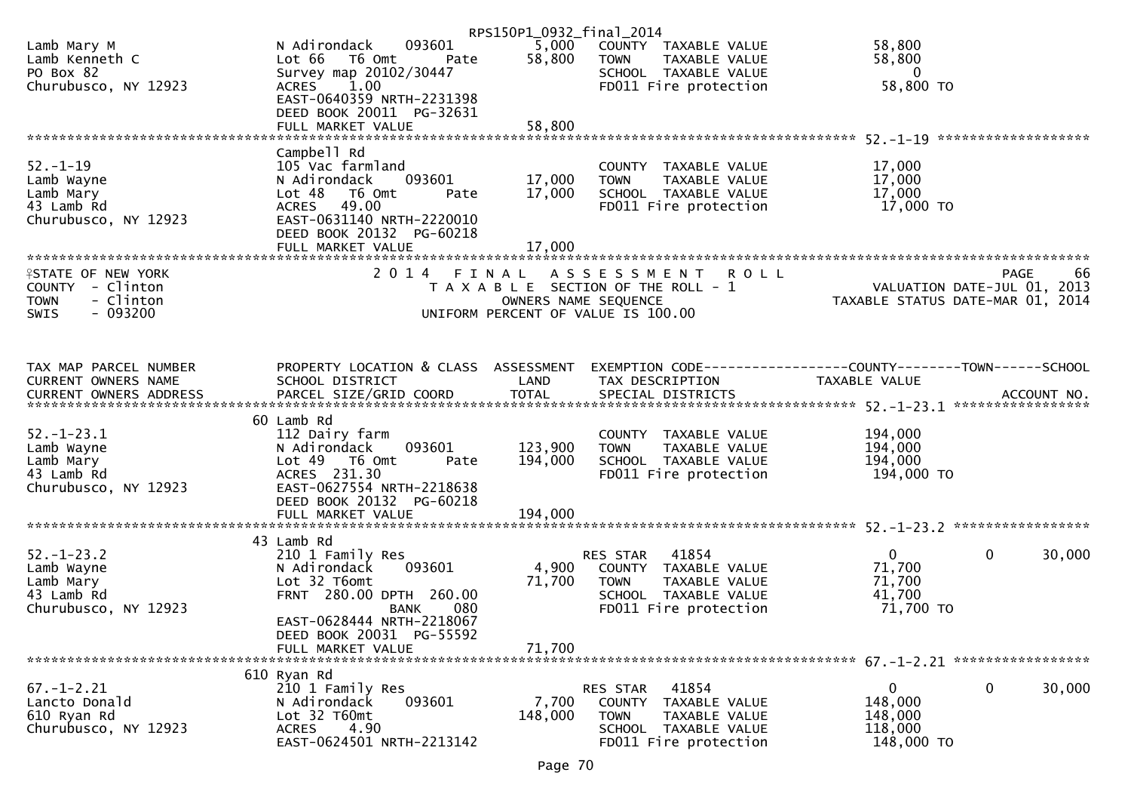|                                                                   |                                                                                | RPS150P1_0932_final_2014 |                                                                              |                                  |                             |
|-------------------------------------------------------------------|--------------------------------------------------------------------------------|--------------------------|------------------------------------------------------------------------------|----------------------------------|-----------------------------|
| Lamb Mary M<br>Lamb Kenneth C<br>PO Box 82                        | 093601<br>N Adirondack<br>Lot 66<br>T6 Omt<br>Pate<br>Survey map 20102/30447   | 5,000<br>58,800          | COUNTY TAXABLE VALUE<br><b>TOWN</b><br>TAXABLE VALUE<br>SCHOOL TAXABLE VALUE | 58,800<br>58,800<br>$\bf{0}$     |                             |
| Churubusco, NY 12923                                              | 1.00<br><b>ACRES</b><br>EAST-0640359 NRTH-2231398<br>DEED BOOK 20011 PG-32631  |                          | FD011 Fire protection                                                        | 58,800 TO                        |                             |
|                                                                   | FULL MARKET VALUE                                                              | 58,800                   |                                                                              |                                  |                             |
|                                                                   | Campbell Rd                                                                    |                          |                                                                              |                                  |                             |
| $52 - 1 - 19$<br>Lamb Wayne                                       | 105 Vac farmland<br>N Adirondack<br>093601                                     | 17,000                   | COUNTY<br>TAXABLE VALUE<br>TAXABLE VALUE<br><b>TOWN</b>                      | 17,000<br>17,000                 |                             |
| Lamb Mary                                                         | Lot <sub>48</sub><br>T6 Omt<br>Pate                                            | 17,000                   | SCHOOL TAXABLE VALUE                                                         | 17,000                           |                             |
| 43 Lamb Rd<br>Churubusco, NY 12923                                | 49.00<br><b>ACRES</b><br>EAST-0631140 NRTH-2220010<br>DEED BOOK 20132 PG-60218 |                          | FD011 Fire protection                                                        | 17,000 TO                        |                             |
|                                                                   | FULL MARKET VALUE                                                              | 17,000                   |                                                                              |                                  |                             |
| <b>ISTATE OF NEW YORK</b>                                         | 2014 FINAL                                                                     |                          | A S S E S S M E N T<br><b>ROLL</b>                                           |                                  | -66<br>PAGE                 |
| COUNTY - Clinton<br>- Clinton<br><b>TOWN</b><br>$-093200$<br>SWIS |                                                                                | OWNERS NAME SEQUENCE     | T A X A B L E SECTION OF THE ROLL - 1<br>UNIFORM PERCENT OF VALUE IS 100.00  | TAXABLE STATUS DATE-MAR 01, 2014 | VALUATION DATE-JUL 01, 2013 |
|                                                                   |                                                                                |                          |                                                                              |                                  |                             |
|                                                                   |                                                                                |                          |                                                                              |                                  |                             |
| TAX MAP PARCEL NUMBER<br><b>CURRENT OWNERS NAME</b>               | PROPERTY LOCATION & CLASS ASSESSMENT<br>SCHOOL DISTRICT                        | LAND                     | TAX DESCRIPTION                                                              | <b>TAXABLE VALUE</b>             |                             |
|                                                                   |                                                                                |                          |                                                                              |                                  |                             |
|                                                                   | 60 Lamb Rd                                                                     |                          |                                                                              |                                  |                             |
| $52. - 1 - 23.1$                                                  | 112 Dairy farm                                                                 |                          | COUNTY TAXABLE VALUE                                                         | 194,000                          |                             |
| Lamb Wayne<br>Lamb Mary                                           | 093601<br>N Adirondack<br>Lot 49  T6 0mt<br>Pate                               | 123,900<br>194,000       | TAXABLE VALUE<br><b>TOWN</b><br>SCHOOL TAXABLE VALUE                         | 194,000<br>194,000               |                             |
| 43 Lamb Rd                                                        | ACRES 231.30                                                                   |                          | FD011 Fire protection                                                        | 194,000 TO                       |                             |
| Churubusco, NY 12923                                              | EAST-0627554 NRTH-2218638<br>DEED BOOK 20132 PG-60218                          |                          |                                                                              |                                  |                             |
|                                                                   | FULL MARKET VALUE                                                              | 194,000                  |                                                                              |                                  |                             |
|                                                                   | 43 Lamb Rd                                                                     |                          |                                                                              |                                  |                             |
| $52. - 1 - 23.2$                                                  | 210 1 Family Res                                                               |                          | RES STAR<br>41854                                                            | $\mathbf{0}$                     | $\mathbf 0$<br>30,000       |
| Lamb Wayne<br>Lamb Mary                                           | 093601<br>N Adirondack<br>Lot 32 T6omt                                         | 4,900<br>71,700          | COUNTY<br>TAXABLE VALUE<br><b>TOWN</b><br>TAXABLE VALUE                      | 71,700<br>71,700                 |                             |
| 43 Lamb Rd                                                        | FRNT 280.00 DPTH 260.00                                                        |                          | SCHOOL TAXABLE VALUE                                                         | 41,700                           |                             |
| Churubusco, NY 12923                                              | 080<br><b>BANK</b>                                                             |                          | FD011 Fire protection                                                        | 71,700 TO                        |                             |
|                                                                   | EAST-0628444 NRTH-2218067<br>DEED BOOK 20031 PG-55592                          |                          |                                                                              |                                  |                             |
|                                                                   | FULL MARKET VALUE                                                              | 71,700                   |                                                                              |                                  |                             |
|                                                                   | 610 Ryan Rd                                                                    |                          |                                                                              |                                  |                             |
| $67. - 1 - 2.21$                                                  | 210 1 Family Res                                                               |                          | RES STAR<br>41854                                                            | $\mathbf{0}$                     | 0<br>30,000                 |
| Lancto Donald<br>610 Ryan Rd                                      | N Adirondack<br>093601<br>Lot 32 T60mt                                         | 7,700<br>148,000         | COUNTY<br>TAXABLE VALUE<br><b>TOWN</b><br>TAXABLE VALUE                      | 148,000<br>148,000               |                             |
| Churubusco, NY 12923                                              | 4.90<br>ACRES                                                                  |                          | SCHOOL TAXABLE VALUE                                                         | 118,000                          |                             |
|                                                                   | EAST-0624501 NRTH-2213142                                                      |                          | FD011 Fire protection                                                        | 148,000 TO                       |                             |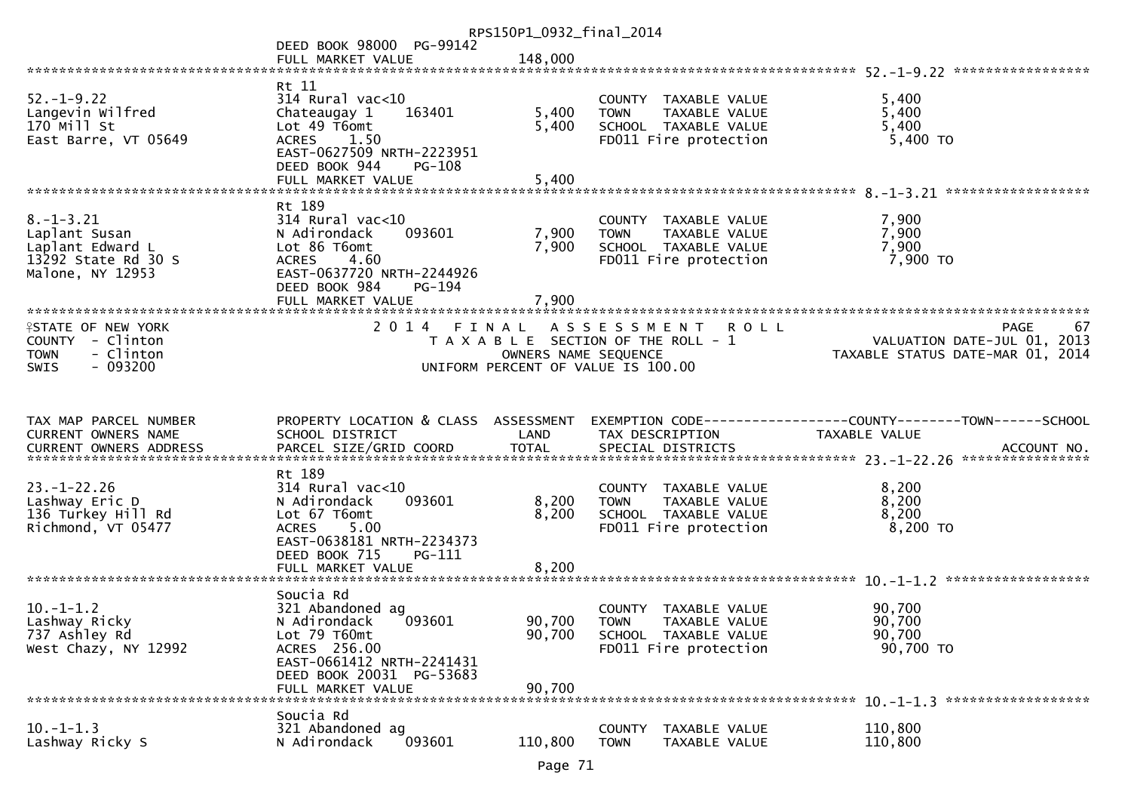|                                                                                                       |                                                                                                                             | RPS150P1_0932_final_2014 |                                                                                                       |                                                                                                                     |
|-------------------------------------------------------------------------------------------------------|-----------------------------------------------------------------------------------------------------------------------------|--------------------------|-------------------------------------------------------------------------------------------------------|---------------------------------------------------------------------------------------------------------------------|
|                                                                                                       | DEED BOOK 98000 PG-99142                                                                                                    |                          |                                                                                                       |                                                                                                                     |
|                                                                                                       | FULL MARKET VALUE                                                                                                           | 148,000                  |                                                                                                       |                                                                                                                     |
|                                                                                                       | Rt 11                                                                                                                       |                          |                                                                                                       |                                                                                                                     |
| $52. - 1 - 9.22$<br>Langevin Wilfred<br>170 Mill St<br>East Barre, VT 05649                           | $314$ Rural vac<10<br>Chateaugay 1<br>163401<br>Lot 49 T6omt<br>ACRES 1.50<br>EAST-0627509 NRTH-2223951                     | 5,400<br>5,400           | COUNTY TAXABLE VALUE<br>TAXABLE VALUE<br><b>TOWN</b><br>SCHOOL TAXABLE VALUE<br>FD011 Fire protection | 5,400<br>5,400<br>5,400<br>$5,400$ TO                                                                               |
|                                                                                                       | DEED BOOK 944<br>PG-108<br>FULL MARKET VALUE                                                                                | 5,400                    |                                                                                                       |                                                                                                                     |
| $8. - 1 - 3.21$<br>Laplant Susan<br>Laplant Edward L<br>13292 State Rd 30 S<br>Malone, NY 12953       | Rt 189<br>$314$ Rural vac<10<br>093601<br>N Adirondack<br>Lot 86 T6omt<br>4.60<br><b>ACRES</b><br>EAST-0637720 NRTH-2244926 | 7,900<br>7,900           | COUNTY TAXABLE VALUE<br><b>TOWN</b><br>TAXABLE VALUE<br>SCHOOL TAXABLE VALUE<br>FD011 Fire protection | 7,900<br>7,900<br>7,900<br>7,900 TO                                                                                 |
|                                                                                                       | DEED BOOK 984<br>PG-194                                                                                                     |                          |                                                                                                       |                                                                                                                     |
|                                                                                                       | FULL MARKET VALUE                                                                                                           | 7,900                    |                                                                                                       |                                                                                                                     |
| <b>ISTATE OF NEW YORK</b><br>COUNTY - Clinton<br>- Clinton<br><b>TOWN</b><br>$-093200$<br><b>SWIS</b> | 2014 FINAL                                                                                                                  | OWNERS NAME SEQUENCE     | ASSESSMENT ROLL<br>T A X A B L E SECTION OF THE ROLL - 1<br>UNIFORM PERCENT OF VALUE IS 100.00        | <b>PAGE</b><br>67<br>VALUATION DATE-JUL 01, 2013<br>VALUATION PATE SUL 01, 2014<br>TAXABLE STATUS DATE-MAR 01, 2014 |
|                                                                                                       |                                                                                                                             |                          |                                                                                                       |                                                                                                                     |
| TAX MAP PARCEL NUMBER                                                                                 | PROPERTY LOCATION & CLASS ASSESSMENT                                                                                        |                          |                                                                                                       | EXEMPTION CODE-----------------COUNTY-------TOWN------SCHOOL                                                        |
| CURRENT OWNERS NAME                                                                                   | SCHOOL DISTRICT                                                                                                             | LAND                     | TAX DESCRIPTION                                                                                       | TAXABLE VALUE                                                                                                       |
|                                                                                                       |                                                                                                                             |                          |                                                                                                       |                                                                                                                     |
| $23. - 1 - 22.26$                                                                                     | Rt 189<br>$314$ Rural vac< $10$                                                                                             |                          | COUNTY TAXABLE VALUE                                                                                  | 8,200                                                                                                               |
| Lashway Eric D                                                                                        | 093601<br>N Adirondack                                                                                                      | 8,200                    | <b>TOWN</b><br>TAXABLE VALUE                                                                          | 8,200                                                                                                               |
| 136 Turkey Hill Rd<br>Richmond, VT 05477                                                              | Lot 67 T6omt<br>5.00<br><b>ACRES</b><br>EAST-0638181 NRTH-2234373                                                           | 8,200                    | SCHOOL TAXABLE VALUE<br>FD011 Fire protection                                                         | 8,200<br>8,200 TO                                                                                                   |
|                                                                                                       | DEED BOOK 715<br>PG-111                                                                                                     |                          |                                                                                                       |                                                                                                                     |
|                                                                                                       | FULL MARKET VALUE                                                                                                           | 8,200                    |                                                                                                       |                                                                                                                     |
| $10.-1-1.2$                                                                                           | Soucia Rd<br>321 Abandoned ag                                                                                               |                          | COUNTY TAXABLE VALUE                                                                                  | 90,700                                                                                                              |
| Lashway Ricky<br>737 Ashley Rd<br>West Chazy, NY 12992                                                | 093601<br>N Adirondack<br>Lot 79 T60mt<br>ACRES 256.00<br>EAST-0661412 NRTH-2241431                                         | 90,700<br>90,700         | <b>TOWN</b><br>TAXABLE VALUE<br>SCHOOL TAXABLE VALUE<br>FD011 Fire protection                         | 90,700<br>90,700<br>90,700 TO                                                                                       |
|                                                                                                       | DEED BOOK 20031 PG-53683                                                                                                    |                          |                                                                                                       |                                                                                                                     |
|                                                                                                       | FULL MARKET VALUE<br>Soucia Rd                                                                                              | 90,700                   |                                                                                                       |                                                                                                                     |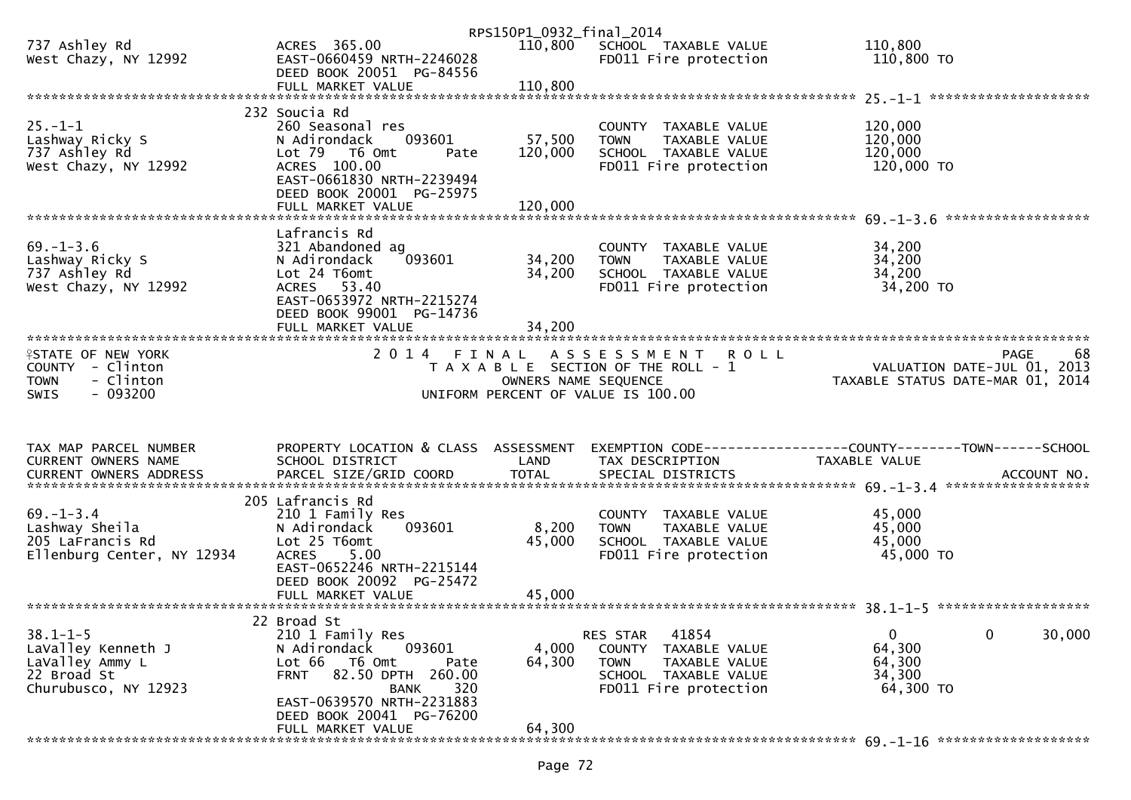|                                       |                                                                       | RPS150P1_0932_final_2014 |                                                      |                                                                |        |
|---------------------------------------|-----------------------------------------------------------------------|--------------------------|------------------------------------------------------|----------------------------------------------------------------|--------|
| 737 Ashley Rd<br>West Chazy, NY 12992 | ACRES 365.00<br>EAST-0660459 NRTH-2246028<br>DEED BOOK 20051 PG-84556 | 110,800                  | SCHOOL TAXABLE VALUE<br>FD011 Fire protection        | 110,800<br>110,800 TO                                          |        |
|                                       |                                                                       |                          |                                                      |                                                                |        |
|                                       |                                                                       |                          |                                                      |                                                                |        |
|                                       | 232 Soucia Rd                                                         |                          |                                                      |                                                                |        |
| $25. - 1 - 1$                         | 260 Seasonal res                                                      |                          | COUNTY TAXABLE VALUE                                 | 120,000                                                        |        |
| Lashway Ricky S                       | 093601<br>N Adirondack                                                | 57,500                   | <b>TOWN</b><br>TAXABLE VALUE                         | 120,000                                                        |        |
| 737 Ashley Rd<br>West Chazy, NY 12992 | Lot 79 T6 Omt<br>Pate<br>ACRES 100.00                                 | 120,000                  | SCHOOL TAXABLE VALUE<br>FD011 Fire protection        | 120,000<br>120,000 TO                                          |        |
|                                       | EAST-0661830 NRTH-2239494                                             |                          |                                                      |                                                                |        |
|                                       | DEED BOOK 20001 PG-25975                                              |                          |                                                      |                                                                |        |
|                                       | FULL MARKET VALUE                                                     | 120,000                  |                                                      |                                                                |        |
|                                       |                                                                       |                          |                                                      |                                                                |        |
| $69. - 1 - 3.6$                       | Lafrancis Rd<br>321 Abandoned ag                                      |                          | COUNTY TAXABLE VALUE                                 | 34,200                                                         |        |
| Lashway Ricky S                       | 093601<br>N Adirondack                                                | 34,200                   | TAXABLE VALUE<br><b>TOWN</b>                         | 34,200                                                         |        |
| 737 Ashley Rd                         | Lot 24 T6omt                                                          | 34,200                   | SCHOOL TAXABLE VALUE                                 | 34,200                                                         |        |
| West Chazy, NY 12992                  | ACRES 53.40                                                           |                          | FD011 Fire protection                                | 34,200 TO                                                      |        |
|                                       | EAST-0653972 NRTH-2215274                                             |                          |                                                      |                                                                |        |
|                                       | DEED BOOK 99001 PG-14736                                              |                          |                                                      |                                                                |        |
|                                       | FULL MARKET VALUE                                                     | 34,200                   |                                                      |                                                                |        |
| <b>ISTATE OF NEW YORK</b>             |                                                                       |                          | 2014 FINAL ASSESSMENT ROLL                           | PAGE                                                           | 68     |
| $COUNTY - Clinton$                    |                                                                       |                          | T A X A B L E SECTION OF THE ROLL - 1                | VALUATION DATE-JUL 01, 2013                                    |        |
| - Clinton<br><b>TOWN</b>              |                                                                       | OWNERS NAME SEQUENCE     |                                                      | TAXABLE STATUS DATE-MAR 01, 2014                               |        |
| $-093200$<br><b>SWIS</b>              |                                                                       |                          | UNIFORM PERCENT OF VALUE IS 100.00                   |                                                                |        |
|                                       |                                                                       |                          |                                                      |                                                                |        |
|                                       |                                                                       |                          |                                                      |                                                                |        |
| TAX MAP PARCEL NUMBER                 | PROPERTY LOCATION & CLASS ASSESSMENT                                  |                          |                                                      | EXEMPTION CODE------------------COUNTY--------TOWN------SCHOOL |        |
| CURRENT OWNERS NAME                   | SCHOOL DISTRICT                                                       | LAND                     | TAX DESCRIPTION                                      | TAXABLE VALUE                                                  |        |
|                                       |                                                                       |                          |                                                      |                                                                |        |
|                                       | 205 Lafrancis Rd                                                      |                          |                                                      |                                                                |        |
| $69. - 1 - 3.4$                       | 210 1 Family Res                                                      |                          | COUNTY TAXABLE VALUE                                 | 45,000                                                         |        |
| Lashway Sheila                        | 093601<br>N Adirondack                                                | 8,200                    | TAXABLE VALUE<br>TOWN                                | 45,000                                                         |        |
| 205 LaFrancis Rd                      | Lot 25 T6omt                                                          | 45,000                   | SCHOOL TAXABLE VALUE                                 | 45,000                                                         |        |
| Ellenburg Center, NY 12934            | 5.00<br>ACRES                                                         |                          | FD011 Fire protection                                | 45,000 TO                                                      |        |
|                                       | EAST-0652246 NRTH-2215144<br>DEED BOOK 20092 PG-25472                 |                          |                                                      |                                                                |        |
|                                       | FULL MARKET VALUE                                                     | 45,000                   |                                                      |                                                                |        |
|                                       |                                                                       |                          |                                                      |                                                                |        |
|                                       | 22 Broad St                                                           |                          |                                                      |                                                                |        |
| $38.1 - 1 - 5$                        | 210 1 Family Res                                                      |                          | 41854<br>RES STAR                                    | $\mathbf 0$<br>$\mathbf{0}$                                    | 30,000 |
| LaValley Kenneth J                    | 093601<br>N Adirondack                                                | 4,000                    | <b>COUNTY</b><br>TAXABLE VALUE                       | 64,300                                                         |        |
| LaValley Ammy L<br>22 Broad St        | Lot 66<br>T6 Omt<br>Pate<br>82.50 DPTH 260.00<br><b>FRNT</b>          | 64,300                   | <b>TOWN</b><br>TAXABLE VALUE<br>SCHOOL TAXABLE VALUE | 64,300<br>34,300                                               |        |
| Churubusco, NY 12923                  | 320<br>BANK                                                           |                          | FD011 Fire protection                                | 64,300 TO                                                      |        |
|                                       |                                                                       |                          |                                                      |                                                                |        |
|                                       | EAST-0639570 NRTH-2231883                                             |                          |                                                      |                                                                |        |
|                                       | DEED BOOK 20041 PG-76200                                              |                          |                                                      |                                                                |        |
|                                       | FULL MARKET VALUE                                                     | 64,300                   |                                                      |                                                                |        |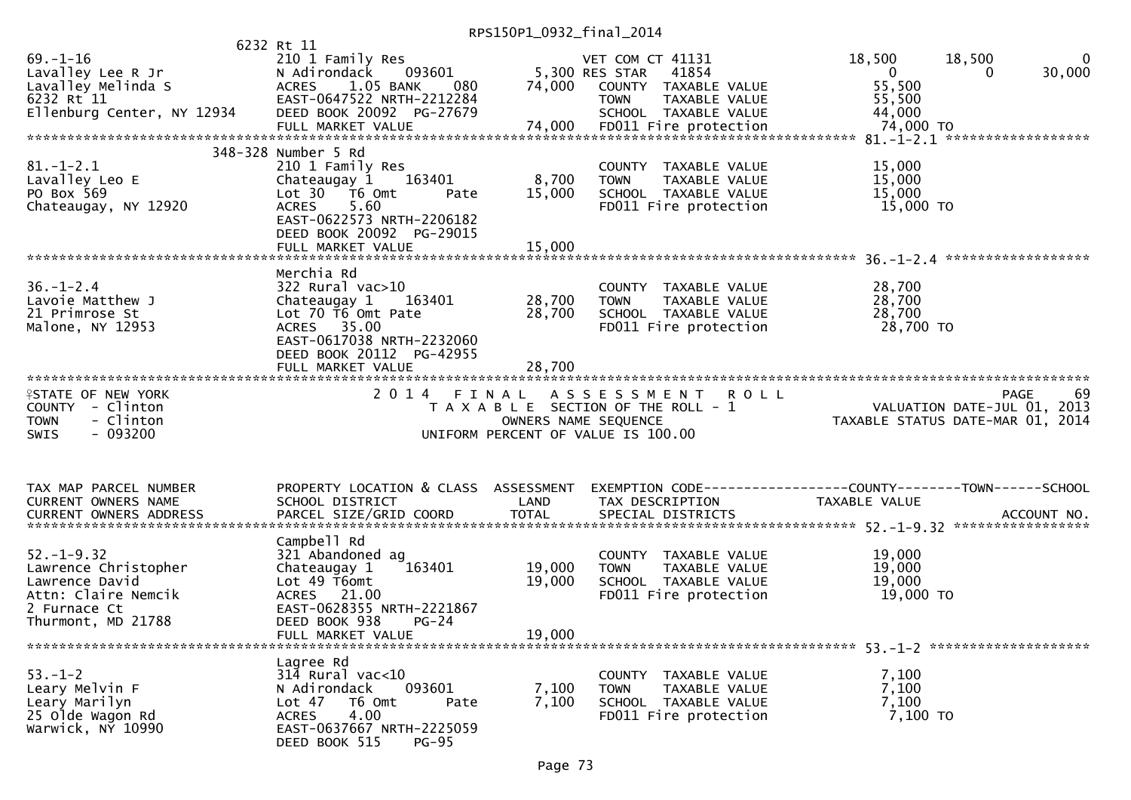RPS150P1\_0932\_final\_2014

|                                                                                                | 6232 Rt 11                                                                                |                      |                                                                                                                   |                                                                                |
|------------------------------------------------------------------------------------------------|-------------------------------------------------------------------------------------------|----------------------|-------------------------------------------------------------------------------------------------------------------|--------------------------------------------------------------------------------|
| $69. - 1 - 16$<br>Lavalley Lee R Jr<br>Lavalley Melinda S                                      | 210 1 Family Res<br>093601<br>N Adirondack<br>ACRES 1.05 BANK<br>080                      | 74,000               | VET COM CT 41131<br>5,300 RES STAR<br>41854<br>COUNTY TAXABLE VALUE                                               | 18,500<br>18,500<br>0<br>30,000<br>$\mathbf{0}$<br>0<br>55,500                 |
| 6232 Rt 11<br>Ellenburg Center, NY 12934                                                       | EAST-0647522 NRTH-2212284<br>DEED BOOK 20092 PG-27679                                     |                      | <b>TOWN</b><br>TAXABLE VALUE<br>SCHOOL TAXABLE VALUE                                                              | 55,500<br>44,000                                                               |
|                                                                                                |                                                                                           |                      |                                                                                                                   |                                                                                |
| $81.-1-2.1$                                                                                    | 348-328 Number 5 Rd<br>210 1 Family Res                                                   |                      | COUNTY TAXABLE VALUE                                                                                              | 15,000                                                                         |
| Lavalley Leo E<br>PO Box 569                                                                   | Chateaugay 1<br>163401<br>Lot 30  T6 0mt<br>Pate                                          | 8,700<br>15,000      | TAXABLE VALUE<br><b>TOWN</b><br>SCHOOL TAXABLE VALUE                                                              | 15,000<br>15,000                                                               |
| Chateaugay, NY 12920                                                                           | 5.60<br><b>ACRES</b><br>EAST-0622573 NRTH-2206182<br>DEED BOOK 20092 PG-29015             |                      | FD011 Fire protection                                                                                             | 15,000 TO                                                                      |
|                                                                                                | FULL MARKET VALUE                                                                         | 15,000               |                                                                                                                   |                                                                                |
| $36. - 1 - 2.4$                                                                                | Merchia Rd<br>322 Rural vac>10                                                            |                      | COUNTY TAXABLE VALUE                                                                                              | 28,700                                                                         |
| Lavoie Matthew J                                                                               | Chateaugay 1<br>163401                                                                    | 28,700               | TAXABLE VALUE<br><b>TOWN</b>                                                                                      | 28,700                                                                         |
| 21 Primrose St                                                                                 | Lot 70 T6 Omt Pate                                                                        | 28,700               | SCHOOL TAXABLE VALUE                                                                                              | 28,700                                                                         |
| Malone, NY 12953                                                                               | ACRES 35.00<br>EAST-0617038 NRTH-2232060<br>DEED BOOK 20112 PG-42955<br>FULL MARKET VALUE | 28,700               | FD011 Fire protection                                                                                             | 28,700 TO                                                                      |
| *******************************                                                                |                                                                                           |                      |                                                                                                                   |                                                                                |
| <b>ISTATE OF NEW YORK</b><br>COUNTY - Clinton<br>- Clinton<br><b>TOWN</b><br>$-093200$<br>SWIS | 2014 FINAL                                                                                | OWNERS NAME SEQUENCE | A S S E S S M E N T<br><b>ROLL</b><br>T A X A B L E SECTION OF THE ROLL - 1<br>UNIFORM PERCENT OF VALUE IS 100.00 | 69<br>PAGE<br>VALUATION DATE-JUL 01, 2013<br>TAXABLE STATUS DATE-MAR 01, 2014  |
|                                                                                                |                                                                                           |                      |                                                                                                                   |                                                                                |
| TAX MAP PARCEL NUMBER<br>CURRENT OWNERS NAME                                                   | PROPERTY LOCATION & CLASS ASSESSMENT<br>SCHOOL DISTRICT                                   | LAND                 | TAX DESCRIPTION                                                                                                   | EXEMPTION CODE-----------------COUNTY--------TOWN------SCHOOL<br>TAXABLE VALUE |
|                                                                                                |                                                                                           |                      |                                                                                                                   |                                                                                |
|                                                                                                | Campbell Rd                                                                               |                      |                                                                                                                   |                                                                                |
| $52. - 1 - 9.32$                                                                               | 321 Abandoned ag                                                                          |                      | COUNTY TAXABLE VALUE                                                                                              | 19,000                                                                         |
| Lawrence Christopher<br>Lawrence David                                                         | 163401<br>Chateaugay 1<br>Lot 49 T6omt                                                    | 19,000<br>19,000     | <b>TOWN</b><br>TAXABLE VALUE<br>SCHOOL TAXABLE VALUE                                                              | 19,000<br>19,000                                                               |
| Attn: Claire Nemcik                                                                            | ACRES 21.00                                                                               |                      | FD011 Fire protection                                                                                             | 19,000 TO                                                                      |
| 2 Furnace Ct                                                                                   | EAST-0628355 NRTH-2221867                                                                 |                      |                                                                                                                   |                                                                                |
| Thurmont, MD 21788                                                                             | DEED BOOK 938<br>$PG-24$                                                                  |                      |                                                                                                                   |                                                                                |
|                                                                                                | FULL MARKET VALUE                                                                         | 19,000               |                                                                                                                   |                                                                                |
| $53. - 1 - 2$                                                                                  | Lagree Rd<br>$31\overline{4}$ Rural vac<10                                                |                      | COUNTY TAXABLE VALUE                                                                                              | 7,100                                                                          |
| Leary Melvin F                                                                                 | 093601<br>N Adirondack                                                                    | 7,100                | <b>TOWN</b><br>TAXABLE VALUE                                                                                      | 7,100                                                                          |
| Leary Marilyn                                                                                  | Lot 47<br>T6 Omt<br>Pate                                                                  | 7,100                | SCHOOL TAXABLE VALUE                                                                                              | 7,100                                                                          |
| 25 Olde Wagon Rd<br>Warwick, NY 10990                                                          | 4.00<br><b>ACRES</b><br>EAST-0637667 NRTH-2225059<br>DEED BOOK 515<br>$PG-95$             |                      | FD011 Fire protection                                                                                             | 7,100 TO                                                                       |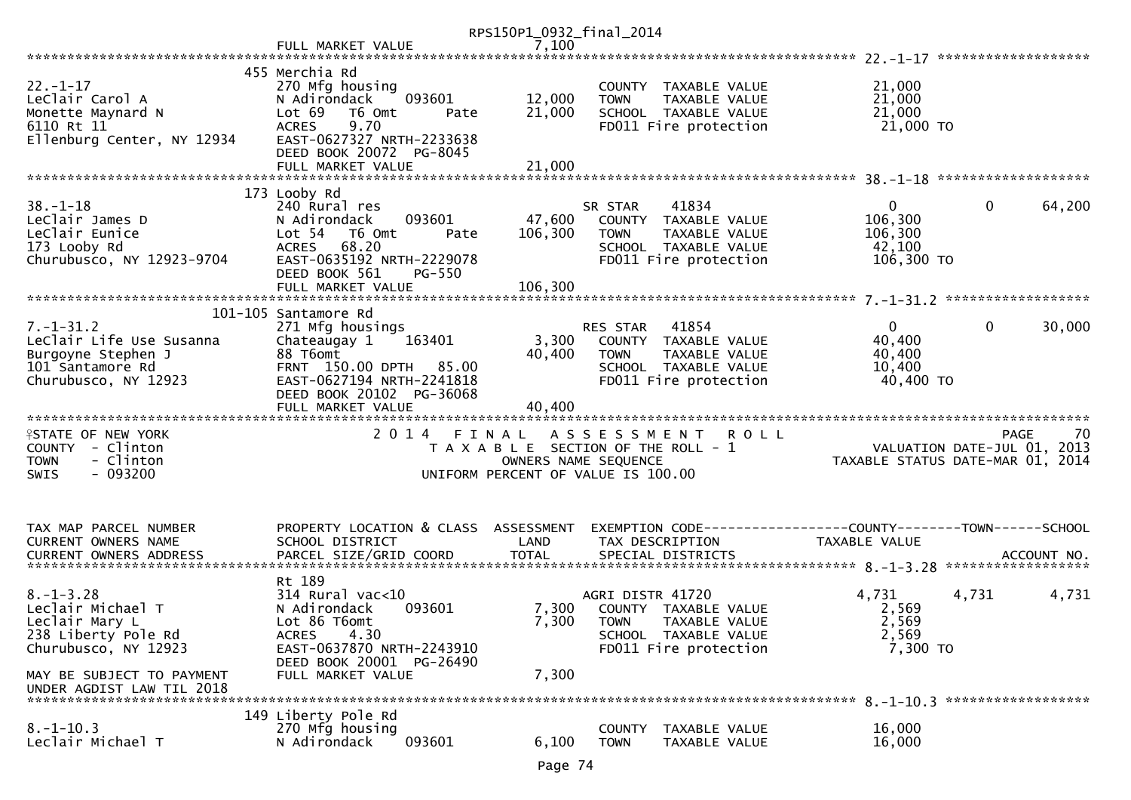|                                                                                                                                                                 |                                                                                                                                                                                        | RPS150P1_0932_final_2014     |                                                                                                                                             |                                                                    |                        |
|-----------------------------------------------------------------------------------------------------------------------------------------------------------------|----------------------------------------------------------------------------------------------------------------------------------------------------------------------------------------|------------------------------|---------------------------------------------------------------------------------------------------------------------------------------------|--------------------------------------------------------------------|------------------------|
|                                                                                                                                                                 | FULL MARKET VALUE                                                                                                                                                                      | 7,100                        |                                                                                                                                             |                                                                    |                        |
|                                                                                                                                                                 |                                                                                                                                                                                        |                              |                                                                                                                                             |                                                                    |                        |
| $22. - 1 - 17$<br>LeClair Carol A<br>Monette Maynard N<br>6110 Rt 11<br>Ellenburg Center, NY 12934                                                              | 455 Merchia Rd<br>270 Mfg housing<br>093601<br>N Adirondack<br>Lot 69<br>T6 Omt<br>Pate<br>9.70<br><b>ACRES</b><br>EAST-0627327 NRTH-2233638                                           | 12,000<br>21,000             | COUNTY TAXABLE VALUE<br>TAXABLE VALUE<br><b>TOWN</b><br>SCHOOL TAXABLE VALUE<br>FD011 Fire protection                                       | 21,000<br>21,000<br>21,000<br>21,000 TO                            |                        |
|                                                                                                                                                                 | DEED BOOK 20072 PG-8045<br>FULL MARKET VALUE                                                                                                                                           | 21,000                       |                                                                                                                                             |                                                                    |                        |
| $38 - 1 - 18$<br>LeClair James D<br>LeClair Eunice<br>173 Looby Rd<br>Churubusco, NY 12923-9704                                                                 | 173 Looby Rd<br>240 Rural res<br>093601<br>N Adirondack<br>Lot 54 T6 Omt<br>Pate<br>ACRES 68.20<br>EAST-0635192 NRTH-2229078<br>DEED BOOK 561<br><b>PG-550</b><br>FULL MARKET VALUE    | 47,600<br>106,300<br>106,300 | 41834<br>SR STAR<br>COUNTY TAXABLE VALUE<br>TAXABLE VALUE<br><b>TOWN</b><br>SCHOOL TAXABLE VALUE<br>FD011 Fire protection                   | $\mathbf{0}$<br>106,300<br>106,300<br>42,100<br>106,300 TO         | $\mathbf{0}$<br>64,200 |
|                                                                                                                                                                 |                                                                                                                                                                                        |                              |                                                                                                                                             |                                                                    |                        |
| $7. - 1 - 31.2$<br>LeClair Life Use Susanna<br>Burgoyne Stephen J<br>101 Santamore Rd<br>Churubusco, NY 12923                                                   | 101-105 Santamore Rd<br>271 Mfg housings<br>163401<br>Chateaugay 1<br>88 T6omt<br>FRNT 150.00 DPTH 85.00<br>EAST-0627194 NRTH-2241818<br>DEED BOOK 20102 PG-36068<br>FULL MARKET VALUE | 3,300<br>40,400<br>40,400    | RES STAR<br>41854<br>COUNTY TAXABLE VALUE<br><b>TOWN</b><br>TAXABLE VALUE<br>SCHOOL TAXABLE VALUE<br>FD011 Fire protection                  | $\overline{0}$<br>40,400<br>40,400<br>10,400<br>40,400 TO          | $\mathbf{0}$<br>30,000 |
|                                                                                                                                                                 |                                                                                                                                                                                        |                              |                                                                                                                                             |                                                                    |                        |
| <b>ISTATE OF NEW YORK</b><br>COUNTY - Clinton<br><b>TOWN</b><br>- Clinton<br>$-093200$<br><b>SWIS</b>                                                           |                                                                                                                                                                                        |                              | 2014 FINAL ASSESSMENT<br><b>ROLL</b><br>T A X A B L E SECTION OF THE ROLL - 1<br>OWNERS NAME SEQUENCE<br>UNIFORM PERCENT OF VALUE IS 100.00 | VALUATION DATE-JUL $01$ , 2013<br>TAXABLE STATUS DATE-MAR 01, 2014 | 70<br><b>PAGE</b>      |
| TAX MAP PARCEL NUMBER<br>CURRENT OWNERS NAME                                                                                                                    | PROPERTY LOCATION & CLASS ASSESSMENT<br>SCHOOL DISTRICT                                                                                                                                | LAND                         | EXEMPTION CODE-----------------COUNTY-------TOWN------SCHOOL<br>TAX DESCRIPTION                                                             | TAXABLE VALUE                                                      |                        |
| $8. - 1 - 3.28$<br>Leclair Michael T<br>Leclair Mary L<br>238 Liberty Pole Rd<br>Churubusco, NY 12923<br>MAY BE SUBJECT TO PAYMENT<br>UNDER AGDIST LAW TIL 2018 | Rt 189<br>$314$ Rural vac<10<br>N Adirondack<br>093601<br>Lot 86 T6omt<br>4.30<br><b>ACRES</b><br>EAST-0637870 NRTH-2243910<br>DEED BOOK 20001 PG-26490<br>FULL MARKET VALUE           | 7,300<br>7,300<br>7,300      | AGRI DISTR 41720<br>COUNTY TAXABLE VALUE<br><b>TOWN</b><br>TAXABLE VALUE<br>SCHOOL TAXABLE VALUE<br>FD011 Fire protection                   | 4,731<br>4,731<br>2,569<br>2,569<br>2,569<br>7,300 TO              | 4,731                  |
| $8. - 1 - 10.3$<br>Leclair Michael T                                                                                                                            | 149 Liberty Pole Rd<br>270 Mfg housing<br>N Adirondack<br>093601                                                                                                                       | 6,100                        | <b>COUNTY</b><br>TAXABLE VALUE<br><b>TOWN</b><br>TAXABLE VALUE                                                                              | 16,000<br>16,000                                                   |                        |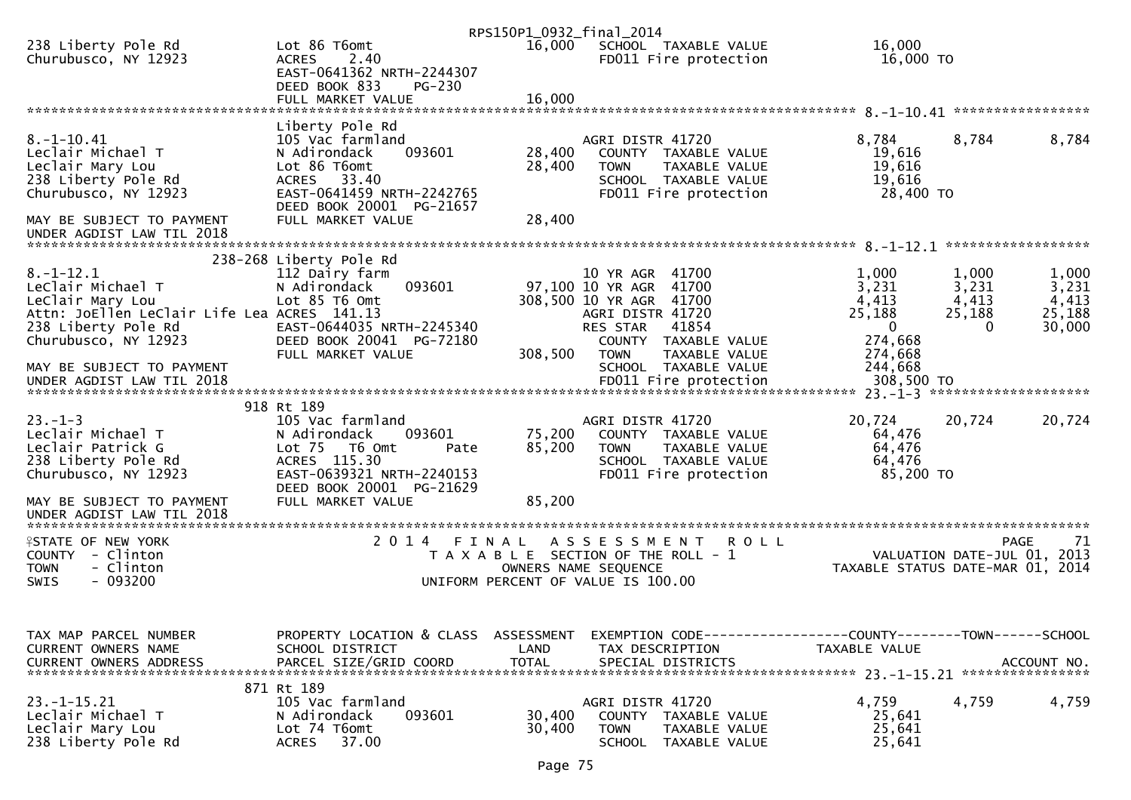|                                                                 |                                                                            | RPS150P1_0932_final_2014 |                                                                                 |                                      |                             |                   |
|-----------------------------------------------------------------|----------------------------------------------------------------------------|--------------------------|---------------------------------------------------------------------------------|--------------------------------------|-----------------------------|-------------------|
| 238 Liberty Pole Rd<br>Churubusco, NY 12923                     | Lot 86 T6omt<br><b>ACRES</b><br>2.40                                       | 16,000                   | SCHOOL TAXABLE VALUE<br>FD011 Fire protection                                   | 16,000<br>16,000 TO                  |                             |                   |
|                                                                 | EAST-0641362 NRTH-2244307<br>DEED BOOK 833<br>$PG-230$                     |                          |                                                                                 |                                      |                             |                   |
|                                                                 |                                                                            |                          |                                                                                 |                                      |                             |                   |
| $8. - 1 - 10.41$                                                | Liberty Pole Rd<br>105 Vac farmland                                        |                          | AGRI DISTR 41720                                                                | 8,784                                | 8,784                       | 8,784             |
| Leclair Michael T<br>Leclair Mary Lou                           | 093601<br>N Adirondack<br>Lot 86 T6omt                                     | 28,400<br>28,400         | COUNTY TAXABLE VALUE<br>TAXABLE VALUE<br><b>TOWN</b>                            | 19,616<br>19,616                     |                             |                   |
| 238 Liberty Pole Rd<br>Churubusco, NY 12923                     | ACRES 33.40<br>EAST-0641459 NRTH-2242765<br>DEED BOOK 20001 PG-21657       |                          | SCHOOL TAXABLE VALUE<br>FD011 Fire protection                                   | 19,616<br>28,400 TO                  |                             |                   |
| MAY BE SUBJECT TO PAYMENT<br>UNDER AGDIST LAW TIL 2018          | FULL MARKET VALUE                                                          | 28,400                   |                                                                                 |                                      |                             |                   |
|                                                                 | 238-268 Liberty Pole Rd                                                    |                          |                                                                                 |                                      |                             |                   |
| $8. - 1 - 12.1$<br>LeClair Michael T                            | 112 Dairy farm<br>093601<br>N Adirondack                                   |                          | 10 YR AGR 41700<br>97,100 10 YR AGR 41700                                       | 1,000<br>3,231                       | 1,000<br>3,231              | 1,000<br>3,231    |
| LeClair Mary Lou<br>Attn: JoEllen LeClair Life Lea ACRES 141.13 | Lot 85 T6 Omt                                                              |                          | 308,500 10 YR AGR 41700<br>AGRI DISTR 41720                                     | 4,413<br>25,188                      | 4,413<br>25,188<br>0        | 4,413<br>25,188   |
| 238 Liberty Pole Rd<br>Churubusco, NY 12923                     | EAST-0644035 NRTH-2245340<br>DEED BOOK 20041 PG-72180<br>FULL MARKET VALUE | 308,500                  | 41854<br>RES STAR<br>COUNTY TAXABLE VALUE<br>TAXABLE VALUE<br><b>TOWN</b>       | $\overline{0}$<br>274,668<br>274,668 |                             | 30,000            |
| MAY BE SUBJECT TO PAYMENT                                       |                                                                            |                          | SCHOOL TAXABLE VALUE                                                            | 244,668                              |                             |                   |
|                                                                 | 918 Rt 189                                                                 |                          |                                                                                 |                                      |                             |                   |
| $23 - 1 - 3$                                                    | 105 Vac farmland                                                           |                          | AGRI DISTR 41720                                                                | 20,724                               | 20,724                      | 20,724            |
| Leclair Michael T<br>Leclair Patrick G                          | N Adirondack<br>093601<br>Lot 75 T6 Omt<br>Pate                            | 75,200<br>85,200         | COUNTY TAXABLE VALUE<br>TAXABLE VALUE<br><b>TOWN</b>                            | 64,476<br>64,476                     |                             |                   |
| 238 Liberty Pole Rd<br>Churubusco, NY 12923                     | ACRES 115.30<br>EAST-0639321 NRTH-2240153                                  |                          | SCHOOL TAXABLE VALUE<br>FD011 Fire protection                                   | 64,476<br>85,200 TO                  |                             |                   |
| MAY BE SUBJECT TO PAYMENT<br>UNDER AGDIST LAW TIL 2018          | DEED BOOK 20001 PG-21629<br>FULL MARKET VALUE                              | 85,200                   |                                                                                 |                                      |                             |                   |
|                                                                 |                                                                            |                          |                                                                                 |                                      |                             |                   |
| <b>ISTATE OF NEW YORK</b><br>COUNTY - Clinton                   | 2014 FINAL                                                                 |                          | A S S E S S M E N T<br><b>ROLL</b><br>T A X A B L E SECTION OF THE ROLL - 1     |                                      | VALUATION DATE-JUL 01, 2013 | 71<br><b>PAGE</b> |
| <b>TOWN</b><br>- Clinton<br>$-093200$<br>SWIS                   |                                                                            |                          | OWNERS NAME SEQUENCE<br>UNIFORM PERCENT OF VALUE IS 100.00                      | TAXABLE STATUS DATE-MAR 01, 2014     |                             |                   |
|                                                                 |                                                                            |                          |                                                                                 |                                      |                             |                   |
| TAX MAP PARCEL NUMBER<br>CURRENT OWNERS NAME                    | PROPERTY LOCATION & CLASS<br>SCHOOL DISTRICT                               | ASSESSMENT<br>LAND       | EXEMPTION CODE-----------------COUNTY-------TOWN------SCHOOL<br>TAX DESCRIPTION | TAXABLE VALUE                        |                             |                   |
| <b>CURRENT OWNERS ADDRESS</b>                                   | PARCEL SIZE/GRID COORD                                                     | <b>TOTAL</b>             | SPECIAL DISTRICTS                                                               |                                      |                             | ACCOUNT NO.       |
|                                                                 | 871 Rt 189                                                                 |                          |                                                                                 |                                      |                             |                   |
| $23. -1 - 15.21$<br>Leclair Michael T                           | 105 Vac farmland<br>093601<br>N Adirondack                                 | 30,400                   | AGRI DISTR 41720<br>COUNTY TAXABLE VALUE                                        | 4,759<br>25,641                      | 4,759                       | 4,759             |
| Leclair Mary Lou<br>238 Liberty Pole Rd                         | Lot 74 T6omt<br><b>ACRES</b><br>37.00                                      | 30,400                   | <b>TOWN</b><br>TAXABLE VALUE<br><b>SCHOOL</b><br>TAXABLE VALUE                  | 25,641<br>25,641                     |                             |                   |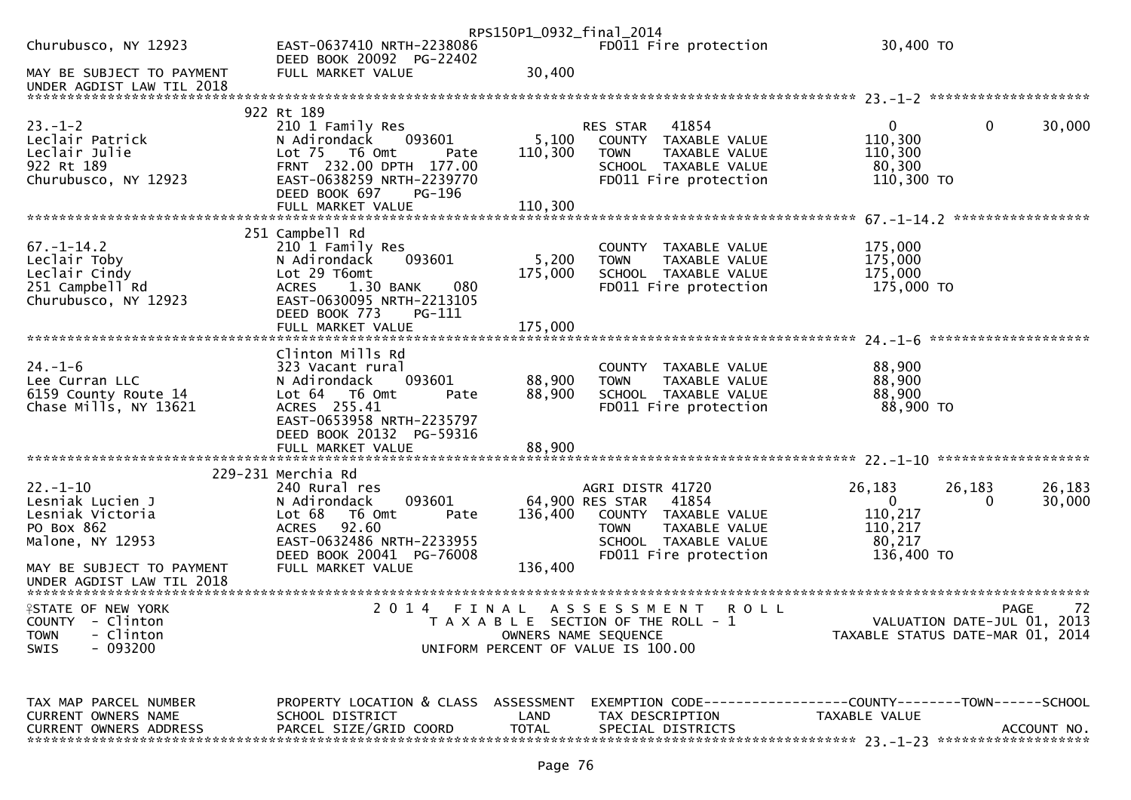|                                                                                              |                                                                                                                                                                                                | RPS150P1_0932_final_2014    |                                                                                                                                                       |                                                                            |                                            |
|----------------------------------------------------------------------------------------------|------------------------------------------------------------------------------------------------------------------------------------------------------------------------------------------------|-----------------------------|-------------------------------------------------------------------------------------------------------------------------------------------------------|----------------------------------------------------------------------------|--------------------------------------------|
| Churubusco, NY 12923                                                                         | EAST-0637410 NRTH-2238086<br>DEED BOOK 20092 PG-22402                                                                                                                                          |                             | FD011 Fire protection                                                                                                                                 | 30,400 TO                                                                  |                                            |
| MAY BE SUBJECT TO PAYMENT<br>UNDER AGDIST LAW TIL 2018                                       | FULL MARKET VALUE                                                                                                                                                                              | 30,400                      |                                                                                                                                                       |                                                                            |                                            |
|                                                                                              |                                                                                                                                                                                                |                             |                                                                                                                                                       |                                                                            |                                            |
| $23 - 1 - 2$<br>Leclair Patrick<br>Leclair Julie<br>922 Rt 189<br>Churubusco, NY 12923       | 922 Rt 189<br>210 1 Family Res<br>093601<br>N Adirondack<br>Lot 75  T6 Omt<br>Pate<br>FRNT 232.00 DPTH 177.00<br>EAST-0638259 NRTH-2239770<br>DEED BOOK 697<br>PG-196<br>FULL MARKET VALUE     | 5,100<br>110,300<br>110,300 | 41854<br><b>RES STAR</b><br>COUNTY TAXABLE VALUE<br><b>TOWN</b><br>TAXABLE VALUE<br>SCHOOL TAXABLE VALUE<br>FD011 Fire protection                     | $\overline{0}$<br>110,300<br>110,300<br>80,300<br>110,300 TO               | $\mathbf{0}$<br>30,000                     |
|                                                                                              |                                                                                                                                                                                                |                             |                                                                                                                                                       |                                                                            |                                            |
| $67. - 1 - 14.2$<br>Leclair Toby<br>Leclair Cindy<br>251 Campbell Rd<br>Churubusco, NY 12923 | 251 Campbell Rd<br>210 1 Family Res<br>093601<br>N Adirondack<br>Lot 29 T6omt<br>1.30 BANK<br>080<br><b>ACRES</b><br>EAST-0630095 NRTH-2213105<br>DEED BOOK 773<br>PG-111<br>FULL MARKET VALUE | 5,200<br>175,000<br>175,000 | COUNTY TAXABLE VALUE<br><b>TOWN</b><br>TAXABLE VALUE<br>SCHOOL TAXABLE VALUE<br>FD011 Fire protection                                                 | 175,000<br>175,000<br>175,000<br>175,000 TO                                |                                            |
|                                                                                              |                                                                                                                                                                                                |                             |                                                                                                                                                       |                                                                            |                                            |
| $24. - 1 - 6$<br>Lee Curran LLC<br>6159 County Route 14<br>Chase Mills, NY 13621             | Clinton Mills Rd<br>323 Vacant rural<br>093601<br>N Adirondack<br>Lot 64 76 0mt<br>Pate<br>ACRES 255.41<br>EAST-0653958 NRTH-2235797<br>DEED BOOK 20132 PG-59316                               | 88,900<br>88,900            | COUNTY TAXABLE VALUE<br>TAXABLE VALUE<br>TOWN<br>SCHOOL TAXABLE VALUE<br>FD011 Fire protection                                                        | 88,900<br>88,900<br>88,900<br>88,900 TO                                    |                                            |
|                                                                                              | FULL MARKET VALUE                                                                                                                                                                              | 88,900                      |                                                                                                                                                       |                                                                            |                                            |
|                                                                                              | 229-231 Merchia Rd                                                                                                                                                                             |                             |                                                                                                                                                       |                                                                            |                                            |
| $22. - 1 - 10$<br>Lesniak Lucien J<br>Lesniak Victoria<br>PO Box 862<br>Malone, NY 12953     | 240 Rural res<br>093601<br>N Adirondack<br>Lot 68<br>T6 Omt<br>Pate<br>92.60<br>ACRES<br>EAST-0632486 NRTH-2233955<br>DEED BOOK 20041 PG-76008                                                 | 136,400                     | AGRI DISTR 41720<br>64,900 RES STAR<br>41854<br>COUNTY TAXABLE VALUE<br>TAXABLE VALUE<br><b>TOWN</b><br>SCHOOL TAXABLE VALUE<br>FD011 Fire protection | 26,183<br>$\mathbf{0}$<br>110,217<br>110,217<br>80,217<br>136,400 TO       | 26,183<br>26,183<br>30,000<br>$\mathbf{0}$ |
| MAY BE SUBJECT TO PAYMENT<br>UNDER AGDIST LAW TIL 2018                                       | FULL MARKET VALUE                                                                                                                                                                              | 136,400                     |                                                                                                                                                       |                                                                            |                                            |
| <b>ASTATE OF NEW YORK</b>                                                                    | 2 0 1 4<br>FINAL                                                                                                                                                                               |                             | A S S E S S M E N T R O L L                                                                                                                           |                                                                            |                                            |
| COUNTY - Clinton<br><b>TOWN</b><br>- Clinton<br>- 093200<br><b>SWIS</b>                      |                                                                                                                                                                                                |                             | T A X A B L E SECTION OF THE ROLL - 1<br>OWNERS NAME SEQUENCE<br>UNIFORM PERCENT OF VALUE IS 100.00                                                   | PAGE 72<br>VALUATION DATE-JUL 01, 2013<br>TAXABLE STATUS DATE 110 01, 2013 |                                            |
|                                                                                              |                                                                                                                                                                                                |                             |                                                                                                                                                       |                                                                            |                                            |
| TAX MAP PARCEL NUMBER                                                                        | $CCILOOI$ $DTCTDTCT$                                                                                                                                                                           | $\overline{1}$              | PROPERTY LOCATION & CLASS ASSESSMENT EXEMPTION CODE----------------COUNTY-------TOWN------SCHOOL<br>TAY BECCBIDITAL                                   | TAYAD1F. VAI1IF                                                            |                                            |

CURRENT OWNERS NAME SCHOOL DISTRICT LAND TAX DESCRIPTION TAXABLE VALUE CURRENT OWNERS ADDRESS PARCEL SIZE/GRID COORD TOTAL SPECIAL DISTRICTS ACCOUNT NO. \*\*\*\*\*\*\*\*\*\*\*\*\*\*\*\*\*\*\*\*\*\*\*\*\*\*\*\*\*\*\*\*\*\*\*\*\*\*\*\*\*\*\*\*\*\*\*\*\*\*\*\*\*\*\*\*\*\*\*\*\*\*\*\*\*\*\*\*\*\*\*\*\*\*\*\*\*\*\*\*\*\*\*\*\*\*\*\*\*\*\*\*\*\*\*\*\*\*\*\*\*\*\* 23.-1-23 \*\*\*\*\*\*\*\*\*\*\*\*\*\*\*\*\*\*\*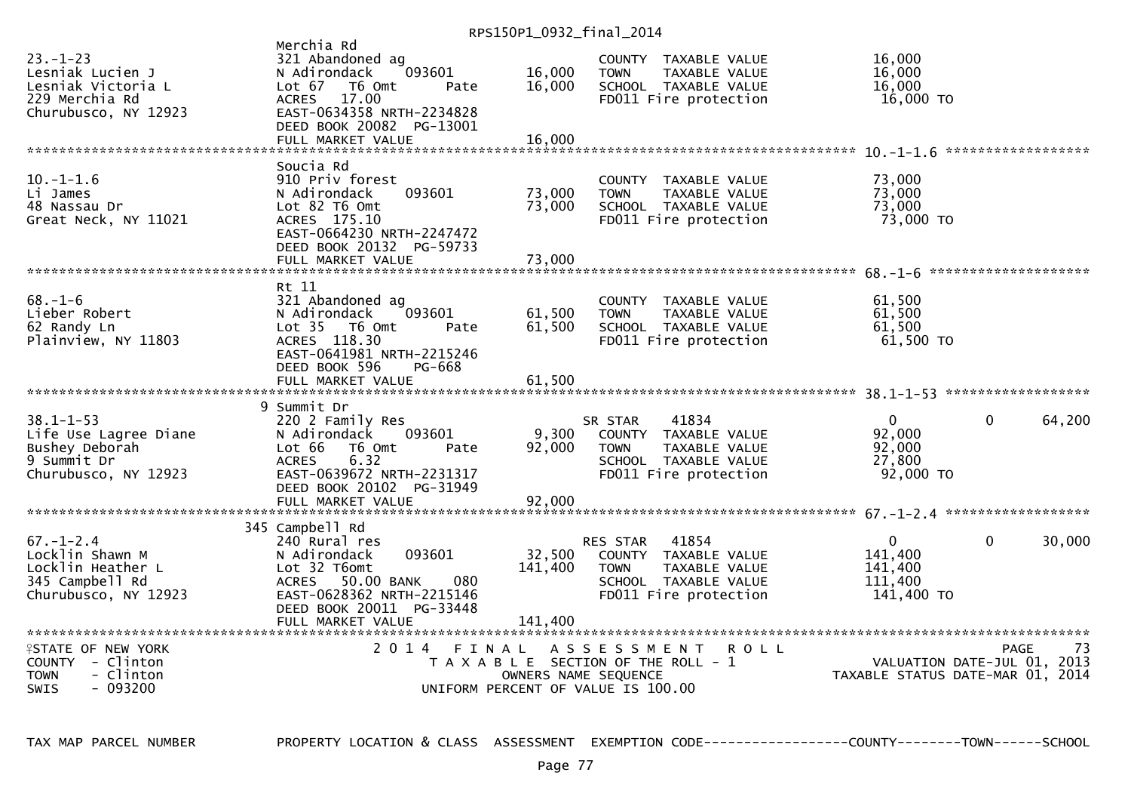RPS150P1\_0932\_final\_2014

| $23 - 1 - 23$<br>Lesniak Lucien J<br>Lesniak Victoria L<br>229 Merchia Rd<br>Churubusco, NY 12923    | Merchia Rd<br>321 Abandoned ag<br>N Adirondack<br>093601<br>Lot $67$<br>T6 Omt<br>Pate<br>17.00<br><b>ACRES</b><br>EAST-0634358 NRTH-2234828<br>DEED BOOK 20082 PG-13001<br>FULL MARKET VALUE | 16,000<br>16,000<br>16,000   | COUNTY TAXABLE VALUE<br>TAXABLE VALUE<br><b>TOWN</b><br>SCHOOL TAXABLE VALUE<br>FD011 Fire protection                                     | 16,000<br>16,000<br>16,000<br>16,000 TO                         |              | ****************** |
|------------------------------------------------------------------------------------------------------|-----------------------------------------------------------------------------------------------------------------------------------------------------------------------------------------------|------------------------------|-------------------------------------------------------------------------------------------------------------------------------------------|-----------------------------------------------------------------|--------------|--------------------|
| $10. -1 - 1.6$<br>Li James<br>48 Nassau Dr<br>Great Neck, NY 11021                                   | Soucia Rd<br>910 Priv forest<br>093601<br>N Adirondack<br>Lot 82 T6 Omt<br>ACRES 175.10<br>EAST-0664230 NRTH-2247472<br>DEED BOOK 20132 PG-59733<br>FULL MARKET VALUE                         | 73,000<br>73,000<br>73,000   | COUNTY TAXABLE VALUE<br><b>TOWN</b><br>TAXABLE VALUE<br>SCHOOL TAXABLE VALUE<br>FD011 Fire protection                                     | 73,000<br>73,000<br>73,000<br>73,000 TO                         |              |                    |
| $68. - 1 - 6$<br>Lieber Robert<br>62 Randy Ln<br>Plainview, NY 11803                                 | Rt 11<br>321 Abandoned ag<br>N Adirondack<br>093601<br>Lot 35 76 0mt<br>Pate<br>ACRES 118.30<br>EAST-0641981 NRTH-2215246<br>DEED BOOK 596<br>PG-668<br>FULL MARKET VALUE                     | 61,500<br>61,500<br>61,500   | COUNTY TAXABLE VALUE<br>TAXABLE VALUE<br><b>TOWN</b><br>SCHOOL TAXABLE VALUE<br>FD011 Fire protection                                     | 61,500<br>61,500<br>61,500<br>61,500 TO                         |              |                    |
| $38.1 - 1 - 53$<br>Life Use Lagree Diane<br>Bushey Deborah<br>9 Summit Dr<br>Churubusco, NY 12923    | 9 Summit Dr<br>220 2 Family Res<br>093601<br>N Adirondack<br>Lot 66<br>T6 Omt<br>Pate<br>6.32<br><b>ACRES</b><br>EAST-0639672 NRTH-2231317<br>DEED BOOK 20102 PG-31949<br>FULL MARKET VALUE   | 9,300<br>92,000<br>92,000    | 41834<br>SR STAR<br>COUNTY TAXABLE VALUE<br>TAXABLE VALUE<br><b>TOWN</b><br>SCHOOL TAXABLE VALUE<br>FD011 Fire protection                 | $\mathbf{0}$<br>92,000<br>92,000<br>27,800<br>92,000 TO         | $\Omega$     | 64,200             |
| $67. - 1 - 2.4$<br>Locklin Shawn M<br>Locklin Heather L<br>345 Campbell Rd<br>Churubusco, NY 12923   | 345 Campbell Rd<br>240 Rural res<br>093601<br>N Adirondack<br>Lot 32 T6omt<br>ACRES 50.00 BANK<br>080<br>EAST-0628362 NRTH-2215146<br>DEED BOOK 20011 PG-33448<br>FULL MARKET VALUE           | 32,500<br>141,400<br>141,400 | 41854<br><b>RES STAR</b><br>COUNTY TAXABLE VALUE<br><b>TOWN</b><br>TAXABLE VALUE<br>SCHOOL TAXABLE VALUE<br>FD011 Fire protection         | $\mathbf{0}$<br>141,400<br>141,400<br>111,400<br>141,400 TO     | $\mathbf{0}$ | 30,000             |
| <b>ISTATE OF NEW YORK</b><br>COUNTY - Clinton<br><b>TOWN</b><br>- Clinton<br>- 093200<br><b>SWIS</b> | 2014 FINAL                                                                                                                                                                                    |                              | A S S E S S M E N T<br><b>ROLL</b><br>T A X A B L E SECTION OF THE ROLL - 1<br>OWNERS NAME SEQUENCE<br>UNIFORM PERCENT OF VALUE IS 100.00 | VALUATION DATE-JUL 01, 2013<br>TAXABLE STATUS DATE-MAR 01, 2014 | <b>PAGE</b>  | 73                 |

TAX MAP PARCEL NUMBER PROPERTY LOCATION & CLASS ASSESSMENT EXEMPTION CODE------------------COUNTY--------TOWN------SCHOOL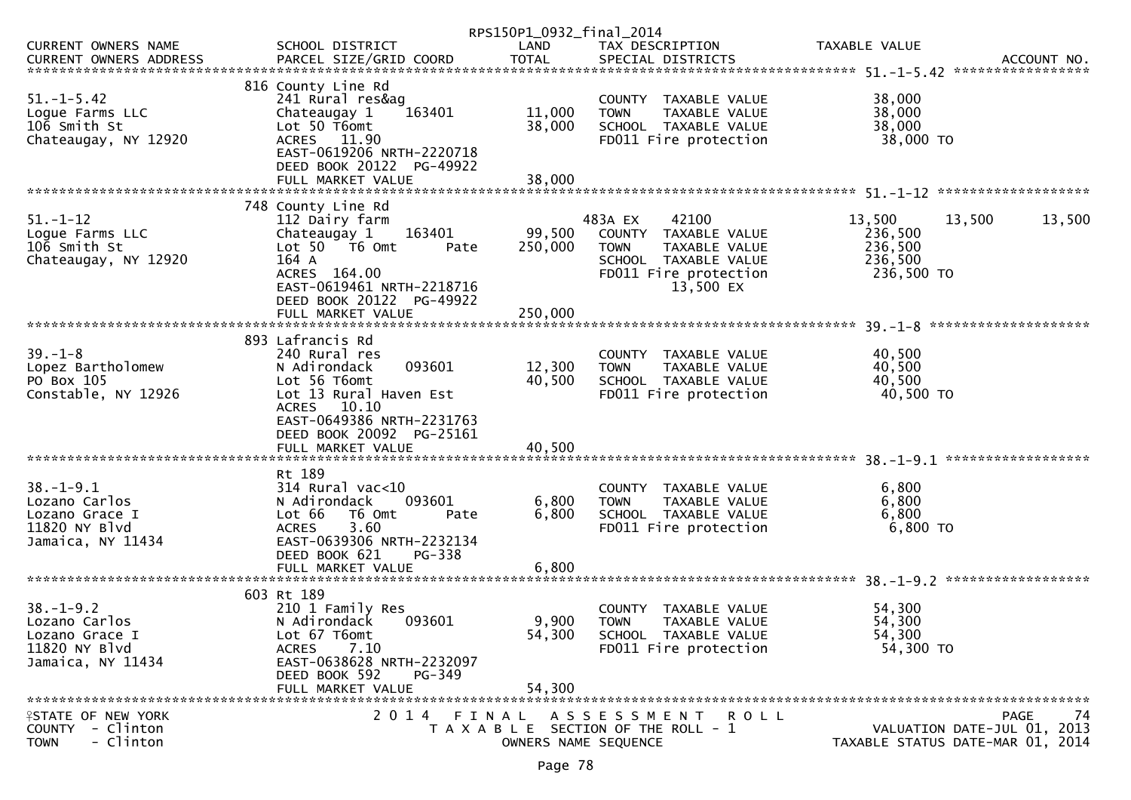|                                                                                          |                                                                                                                                                                               | RPS150P1_0932_final_2014   |                                                                                                                                        |                                                                           |
|------------------------------------------------------------------------------------------|-------------------------------------------------------------------------------------------------------------------------------------------------------------------------------|----------------------------|----------------------------------------------------------------------------------------------------------------------------------------|---------------------------------------------------------------------------|
| CURRENT OWNERS NAME                                                                      | SCHOOL DISTRICT                                                                                                                                                               | LAND                       | TAX DESCRIPTION                                                                                                                        | TAXABLE VALUE                                                             |
| $51. - 1 - 5.42$<br>Logue Farms LLC<br>106 Smith St<br>Chateaugay, NY 12920              | 816 County Line Rd<br>241 Rural res&ag<br>Chateaugay 1<br>163401<br>Lot 50 T6omt<br>ACRES 11.90<br>EAST-0619206 NRTH-2220718<br>DEED BOOK 20122 PG-49922<br>FULL MARKET VALUE | 11,000<br>38,000<br>38,000 | COUNTY TAXABLE VALUE<br><b>TOWN</b><br>TAXABLE VALUE<br>SCHOOL TAXABLE VALUE<br>FD011 Fire protection                                  | 38,000<br>38,000<br>38,000<br>38,000 TO                                   |
|                                                                                          | 748 County Line Rd                                                                                                                                                            |                            |                                                                                                                                        |                                                                           |
| $51. - 1 - 12$<br>Logue Farms LLC<br>106 Smith St<br>Chateaugay, NY 12920                | 112 Dairy farm<br>Chateaugay 1<br>163401<br>Lot 50 T6 Omt<br>Pate<br>164 A<br>ACRES 164.00<br>EAST-0619461 NRTH-2218716<br>DEED BOOK 20122 PG-49922                           | 99,500<br>250,000          | 483A EX<br>42100<br>COUNTY TAXABLE VALUE<br><b>TOWN</b><br>TAXABLE VALUE<br>SCHOOL TAXABLE VALUE<br>FD011 Fire protection<br>13,500 EX | 13,500<br>13,500<br>13,500<br>236,500<br>236,500<br>236,500<br>236,500 TO |
|                                                                                          | FULL MARKET VALUE                                                                                                                                                             | 250,000                    |                                                                                                                                        |                                                                           |
| $39. - 1 - 8$<br>Lopez Bartholomew<br>PO Box 105<br>Constable, NY 12926                  | 893 Lafrancis Rd<br>240 Rural res<br>093601<br>N Adirondack<br>Lot 56 T6omt<br>Lot 13 Rural Haven Est<br>ACRES 10.10<br>EAST-0649386 NRTH-2231763<br>DEED BOOK 20092 PG-25161 | 12,300<br>40,500           | COUNTY TAXABLE VALUE<br>TAXABLE VALUE<br><b>TOWN</b><br>SCHOOL TAXABLE VALUE<br>FD011 Fire protection                                  | 40,500<br>40,500<br>40,500<br>40,500 TO                                   |
|                                                                                          | Rt 189                                                                                                                                                                        |                            |                                                                                                                                        |                                                                           |
| $38. - 1 - 9.1$<br>Lozano Carlos<br>Lozano Grace I<br>11820 NY Blvd<br>Jamaica, NY 11434 | $314$ Rural vac<10<br>093601<br>N Adirondack<br>T6 Omt<br>Lot 66<br>Pate<br>3.60<br><b>ACRES</b><br>EAST-0639306 NRTH-2232134<br>DEED BOOK 621<br>PG-338                      | 6,800<br>6,800             | COUNTY TAXABLE VALUE<br><b>TOWN</b><br>TAXABLE VALUE<br>SCHOOL TAXABLE VALUE<br>FD011 Fire protection                                  | 6,800<br>6,800<br>6,800<br>6,800 TO                                       |
|                                                                                          | FULL MARKET VALUE                                                                                                                                                             | 6,800                      |                                                                                                                                        |                                                                           |
| $38. - 1 - 9.2$<br>Lozano Carlos<br>Lozano Grace I<br>11820 NY Blvd<br>Jamaica, NY 11434 | 603 Rt 189<br>210 1 Family Res<br>093601<br>N Adirondack<br>Lot 67 T6omt<br>7.10<br><b>ACRES</b><br>EAST-0638628 NRTH-2232097<br>DEED BOOK 592<br>PG-349<br>FULL MARKET VALUE | 54,300<br>54,300           | COUNTY TAXABLE VALUE<br>9,900 TOWN TAXABLE VALUE<br>SCHOOL TAXABLE VALUE<br>FD011 Fire protection                                      | 54,300<br>54,300<br>54,300<br>54,300 TO                                   |
| <b>ISTATE OF NEW YORK</b>                                                                | 2 0 1 4<br>FINAL                                                                                                                                                              |                            | A S S E S S M E N T R O L L                                                                                                            | 74<br>PAGE                                                                |
| COUNTY - Clinton<br>- Clinton<br><b>TOWN</b>                                             |                                                                                                                                                                               | OWNERS NAME SEQUENCE       | T A X A B L E SECTION OF THE ROLL - 1                                                                                                  | VALUATION DATE-JUL 01, 2013<br>TAXABLE STATUS DATE-MAR 01, 2014           |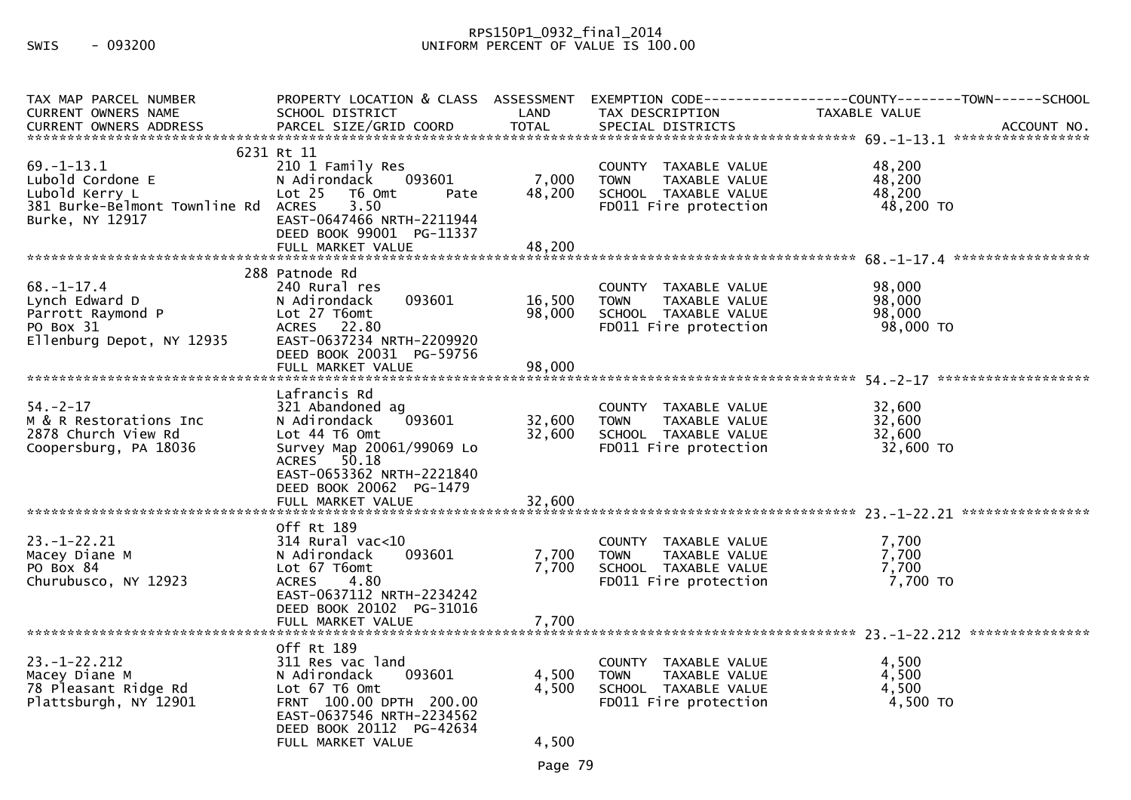## RPS150P1\_0932\_final\_2014 SWIS - 093200 UNIFORM PERCENT OF VALUE IS 100.00

| TAX MAP PARCEL NUMBER                                                                                      | PROPERTY LOCATION & CLASS ASSESSMENT                                                                                                                                               |                         |                                                                                                       | EXEMPTION CODE------------------COUNTY--------TOWN------SCHOOL |
|------------------------------------------------------------------------------------------------------------|------------------------------------------------------------------------------------------------------------------------------------------------------------------------------------|-------------------------|-------------------------------------------------------------------------------------------------------|----------------------------------------------------------------|
| <b>CURRENT OWNERS NAME</b>                                                                                 | SCHOOL DISTRICT                                                                                                                                                                    | LAND                    | TAX DESCRIPTION                                                                                       | <b>TAXABLE VALUE</b>                                           |
|                                                                                                            |                                                                                                                                                                                    |                         |                                                                                                       |                                                                |
| $69. - 1 - 13.1$<br>Lubold Cordone E<br>Lubold Kerry L<br>381 Burke-Belmont Townline Rd<br>Burke, NY 12917 | 6231 Rt 11<br>210 1 Family Res<br>N Adirondack<br>093601<br>Lot <sub>25</sub><br>T6 Omt<br>Pate<br>3.50<br><b>ACRES</b><br>EAST-0647466 NRTH-2211944<br>DEED BOOK 99001 PG-11337   | 7,000<br>48,200         | COUNTY TAXABLE VALUE<br>TAXABLE VALUE<br><b>TOWN</b><br>SCHOOL TAXABLE VALUE<br>FD011 Fire protection | 48,200<br>48,200<br>48,200<br>48,200 TO                        |
|                                                                                                            | FULL MARKET VALUE                                                                                                                                                                  | 48,200                  |                                                                                                       |                                                                |
| $68. - 1 - 17.4$<br>Lynch Edward D<br>Parrott Raymond P<br>PO Box 31<br>Ellenburg Depot, NY 12935          | 288 Patnode Rd<br>240 Rural res<br>093601<br>N Adirondack<br>Lot 27 T6omt<br>ACRES 22.80<br>EAST-0637234 NRTH-2209920<br>DEED BOOK 20031 PG-59756                                  | 16,500<br>98,000        | COUNTY TAXABLE VALUE<br><b>TOWN</b><br>TAXABLE VALUE<br>SCHOOL TAXABLE VALUE<br>FD011 Fire protection | 98,000<br>98,000<br>98,000<br>98,000 TO                        |
|                                                                                                            | Lafrancis Rd                                                                                                                                                                       |                         |                                                                                                       |                                                                |
| $54. - 2 - 17$<br>M & R Restorations Inc<br>2878 Church View Rd<br>Coopersburg, PA 18036                   | 321 Abandoned ag<br>093601<br>N Adirondack<br>Lot 44 T6 Omt<br>Survey Map 20061/99069 Lo<br>ACRES 50.18<br>EAST-0653362 NRTH-2221840<br>DEED BOOK 20062 PG-1479                    | 32,600<br>32,600        | COUNTY TAXABLE VALUE<br><b>TOWN</b><br>TAXABLE VALUE<br>SCHOOL TAXABLE VALUE<br>FD011 Fire protection | 32,600<br>32,600<br>32,600<br>32,600 TO                        |
|                                                                                                            | FULL MARKET VALUE                                                                                                                                                                  | 32,600                  |                                                                                                       |                                                                |
| $23. - 1 - 22.21$<br>Macey Diane M<br>PO Box 84<br>Churubusco, NY 12923                                    | Off Rt 189<br>$314$ Rural vac<10<br>093601<br>N Adirondack<br>Lot 67 T6omt<br><b>ACRES</b><br>4.80<br>EAST-0637112 NRTH-2234242<br>DEED BOOK 20102 PG-31016                        | 7,700<br>7,700          | COUNTY TAXABLE VALUE<br>TAXABLE VALUE<br><b>TOWN</b><br>SCHOOL TAXABLE VALUE<br>FD011 Fire protection | 7,700<br>7,700<br>7,700<br>7,700 TO                            |
|                                                                                                            | FULL MARKET VALUE                                                                                                                                                                  | 7,700                   |                                                                                                       |                                                                |
| $23. - 1 - 22.212$<br>Macey Diane M<br>78 Pleasant Ridge Rd<br>Plattsburgh, NY 12901                       | Off Rt 189<br>311 Res vac land<br>N Adirondack<br>093601<br>Lot 67 T6 Omt<br>FRNT 100.00 DPTH 200.00<br>EAST-0637546 NRTH-2234562<br>DEED BOOK 20112 PG-42634<br>FULL MARKET VALUE | 4,500<br>4,500<br>4,500 | COUNTY TAXABLE VALUE<br><b>TOWN</b><br>TAXABLE VALUE<br>SCHOOL TAXABLE VALUE<br>FD011 Fire protection | 4,500<br>4,500<br>4,500<br>4,500 TO                            |
|                                                                                                            |                                                                                                                                                                                    |                         |                                                                                                       |                                                                |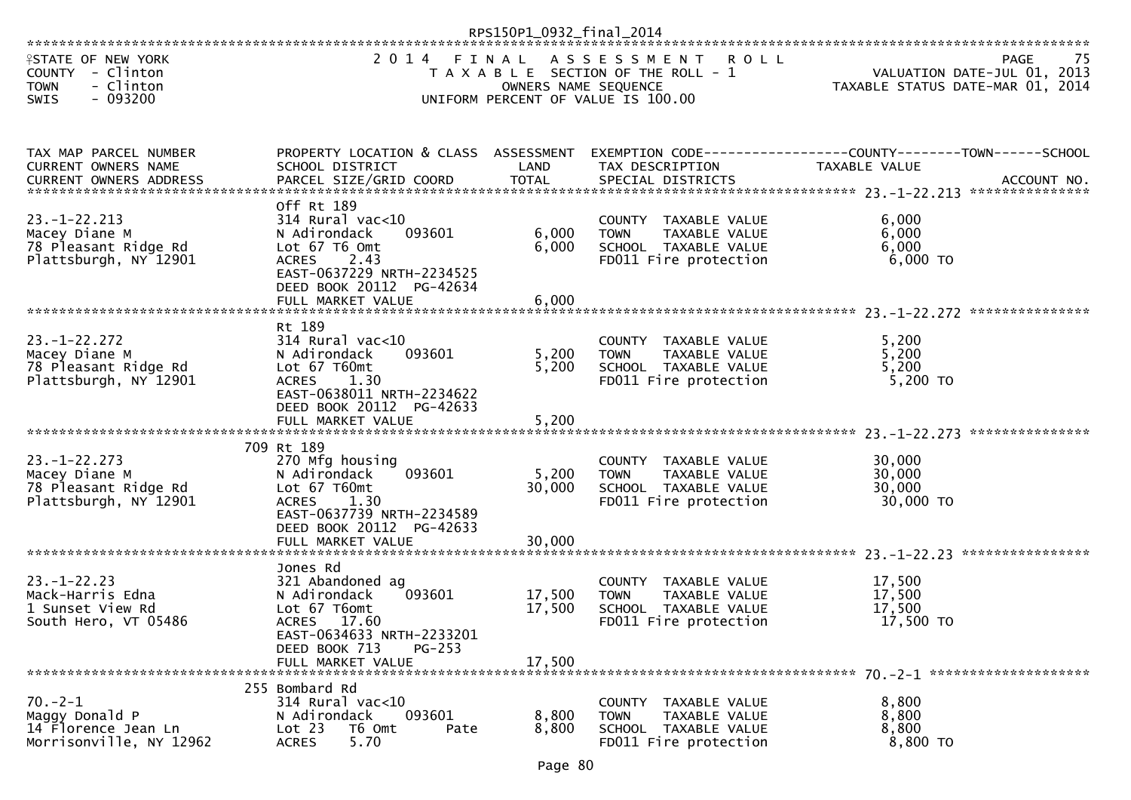|                                                                                                |                                                                                                                                                                                 | RPS150P1_0932_final_2014      |                                                                                                                   |                                                                                                                                                                                                                                                                                                              |
|------------------------------------------------------------------------------------------------|---------------------------------------------------------------------------------------------------------------------------------------------------------------------------------|-------------------------------|-------------------------------------------------------------------------------------------------------------------|--------------------------------------------------------------------------------------------------------------------------------------------------------------------------------------------------------------------------------------------------------------------------------------------------------------|
| <b>ISTATE OF NEW YORK</b><br>COUNTY - Clinton<br><b>TOWN</b><br>- Clinton<br>$-093200$<br>SWIS | 2 0 1 4                                                                                                                                                                         | FINAL<br>OWNERS NAME SEQUENCE | A S S E S S M E N T<br><b>ROLL</b><br>T A X A B L E SECTION OF THE ROLL - 1<br>UNIFORM PERCENT OF VALUE IS 100.00 | PAGE<br>75<br>VALUATION DATE-JUL 01, 2013<br>TAXABLE STATUS DATE-MAR 01, 2014                                                                                                                                                                                                                                |
| TAX MAP PARCEL NUMBER<br>CURRENT OWNERS NAME                                                   | PROPERTY LOCATION & CLASS ASSESSMENT<br>SCHOOL DISTRICT                                                                                                                         | LAND                          | TAX DESCRIPTION                                                                                                   | EXEMPTION CODE-----------------COUNTY-------TOWN------SCHOOL<br>TAXABLE VALUE<br>-OWNERS ADDRESS PARCEL SIZE/GRID COORD TOTAL SPECIAL DISTRICTS (NOREAFT OWNERS ADDRESS PARCEL SIZE/GRID COORD TOTAL SPECIAL DISTRICTS AND MONORESS AND MOLET AND MOLET AND MANUSCRIPT OWNERS ADDRESS PARCEL SIZE/GRID COORD |
| $23. - 1 - 22.213$<br>Macey Diane M<br>78 Pleasant Ridge Rd<br>Plattsburgh, NY 12901           | Off Rt 189<br>314 Rural vac<10<br>093601<br>N Adirondack<br>Lot 67 T6 Omt<br><b>ACRES</b><br>2.43<br>EAST-0637229 NRTH-2234525<br>DEED BOOK 20112 PG-42634<br>FULL MARKET VALUE | 6,000<br>6,000<br>6,000       | COUNTY TAXABLE VALUE<br>TAXABLE VALUE<br><b>TOWN</b><br>SCHOOL TAXABLE VALUE<br>FD011 Fire protection             | 6,000<br>6,000<br>6,000<br>6,000 TO                                                                                                                                                                                                                                                                          |
|                                                                                                |                                                                                                                                                                                 |                               |                                                                                                                   |                                                                                                                                                                                                                                                                                                              |
| $23. - 1 - 22.272$<br>Macey Diane M<br>78 Pleasant Ridge Rd<br>Plattsburgh, NY 12901           | Rt 189<br>$314$ Rural vac<10<br>093601<br>N Adirondack<br>Lot 67 T60mt<br>1.30<br><b>ACRES</b><br>EAST-0638011 NRTH-2234622<br>DEED BOOK 20112 PG-42633                         | 5,200<br>5,200                | COUNTY TAXABLE VALUE<br>TAXABLE VALUE<br><b>TOWN</b><br>SCHOOL TAXABLE VALUE<br>FD011 Fire protection             | 5,200<br>5,200<br>5,200<br>$5,200$ TO                                                                                                                                                                                                                                                                        |
|                                                                                                | FULL MARKET VALUE                                                                                                                                                               | 5,200                         |                                                                                                                   | ***************                                                                                                                                                                                                                                                                                              |
| $23. - 1 - 22.273$<br>Macey Diane M<br>78 Pleasant Ridge Rd<br>Plattsburgh, NY 12901           | 709 Rt 189<br>270 Mfg housing<br>093601<br>N Adirondack<br>Lot 67 T60mt<br>1.30<br><b>ACRES</b><br>EAST-0637739 NRTH-2234589<br>DEED BOOK 20112 PG-42633<br>FULL MARKET VALUE   | 5,200<br>30,000<br>30,000     | COUNTY TAXABLE VALUE<br><b>TOWN</b><br>TAXABLE VALUE<br>SCHOOL TAXABLE VALUE<br>FD011 Fire protection             | 30,000<br>30,000<br>30,000<br>30,000 TO                                                                                                                                                                                                                                                                      |
|                                                                                                |                                                                                                                                                                                 |                               |                                                                                                                   |                                                                                                                                                                                                                                                                                                              |
| $23 - 1 - 22.23$<br>Mack-Harris Edna<br>1 Sunset View Rd<br>South Hero, VT 05486               | Jones Rd<br>321 Abandoned ag<br>N Adirondack<br>093601<br>Lot 67 T6omt<br><b>ACRES</b><br>17.60<br>EAST-0634633 NRTH-2233201<br>$PG-253$<br>DEED BOOK 713<br>FULL MARKET VALUE  | 17,500<br>17,500<br>17,500    | COUNTY TAXABLE VALUE<br>TAXABLE VALUE<br><b>TOWN</b><br>SCHOOL TAXABLE VALUE<br>FD011 Fire protection             | 17,500<br>17,500<br>17,500<br>17,500 TO                                                                                                                                                                                                                                                                      |
|                                                                                                | 255 Bombard Rd                                                                                                                                                                  |                               |                                                                                                                   |                                                                                                                                                                                                                                                                                                              |
| $70. - 2 - 1$<br>Maggy Donald P<br>14 Florence Jean Ln<br>Morrisonville, NY 12962              | 314 Rural vac<10<br>093601<br>N Adirondack<br>Lot 23<br>T6 Omt<br>Pate<br>5.70<br><b>ACRES</b>                                                                                  | 8,800<br>8,800                | COUNTY TAXABLE VALUE<br><b>TOWN</b><br>TAXABLE VALUE<br>SCHOOL TAXABLE VALUE<br>FD011 Fire protection             | 8,800<br>8,800<br>8,800<br>8,800 TO                                                                                                                                                                                                                                                                          |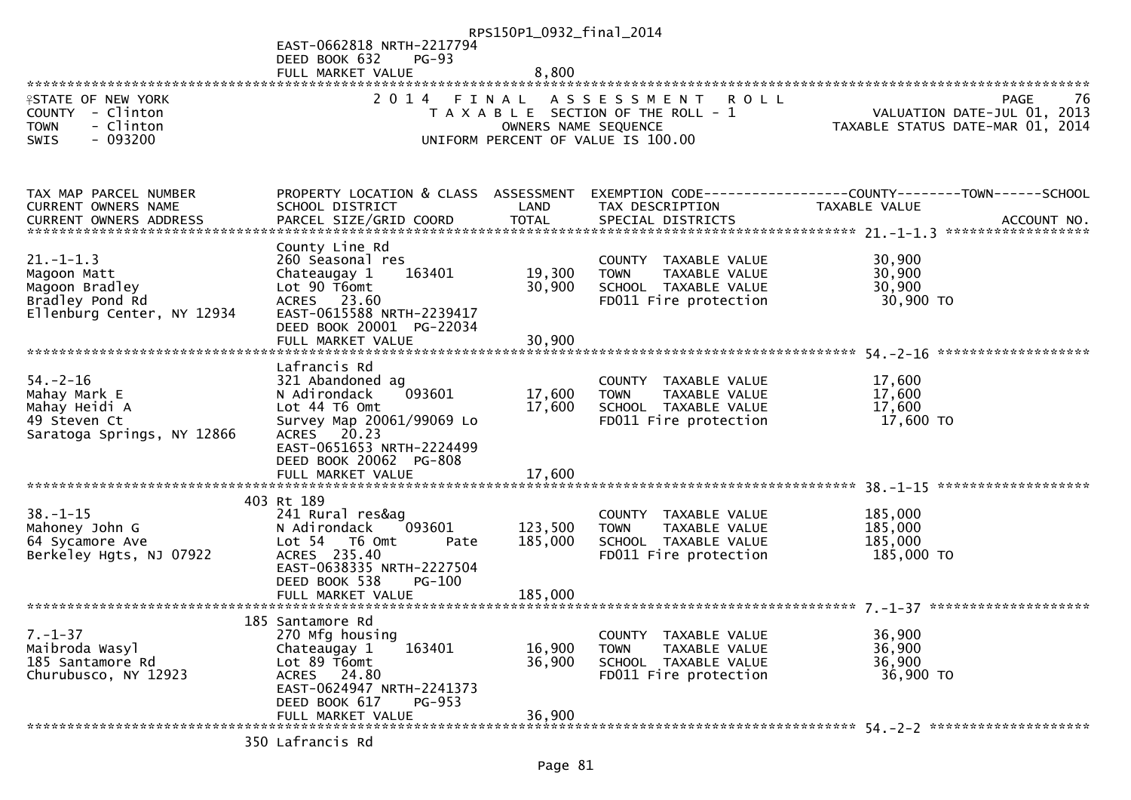|                                          |                                            | RPS150P1_0932_final_2014 |                                                                             |                                                                 |
|------------------------------------------|--------------------------------------------|--------------------------|-----------------------------------------------------------------------------|-----------------------------------------------------------------|
|                                          | EAST-0662818 NRTH-2217794                  |                          |                                                                             |                                                                 |
|                                          | DEED BOOK 632<br><b>PG-93</b>              |                          |                                                                             |                                                                 |
|                                          | FULL MARKET VALUE                          | 8,800                    |                                                                             |                                                                 |
| <b>ISTATE OF NEW YORK</b>                | 2 0 1 4                                    | FINAL                    |                                                                             | PAGE<br>-76                                                     |
| COUNTY - Clinton                         |                                            |                          | A S S E S S M E N T<br><b>ROLL</b><br>T A X A B L E SECTION OF THE ROLL - 1 |                                                                 |
| - Clinton<br><b>TOWN</b>                 |                                            | OWNERS NAME SEQUENCE     |                                                                             | VALUATION DATE-JUL 01, 2013<br>TAXABLE STATUS DATE-MAR 01, 2014 |
| $-093200$<br><b>SWIS</b>                 |                                            |                          | UNIFORM PERCENT OF VALUE IS 100.00                                          |                                                                 |
|                                          |                                            |                          |                                                                             |                                                                 |
|                                          |                                            |                          |                                                                             |                                                                 |
|                                          |                                            |                          |                                                                             |                                                                 |
| TAX MAP PARCEL NUMBER                    | PROPERTY LOCATION & CLASS ASSESSMENT       |                          |                                                                             | EXEMPTION CODE-----------------COUNTY-------TOWN------SCHOOL    |
| <b>CURRENT OWNERS NAME</b>               | SCHOOL DISTRICT                            | LAND<br><b>TOTAL</b>     | TAX DESCRIPTION                                                             | TAXABLE VALUE                                                   |
| CURRENT OWNERS ADDRESS                   | PARCEL SIZE/GRID COORD                     |                          | SPECIAL DISTRICTS                                                           | ACCOUNT NO.                                                     |
|                                          | County Line Rd                             |                          |                                                                             |                                                                 |
| $21 - 1 - 1.3$                           | 260 Seasonal res                           |                          | COUNTY TAXABLE VALUE                                                        | 30,900                                                          |
| Magoon Matt                              | 163401<br>Chateaugay 1                     | 19,300                   | <b>TOWN</b><br>TAXABLE VALUE                                                | 30,900                                                          |
| Magoon Bradley                           | Lot 90 T6omt                               | 30,900                   | SCHOOL TAXABLE VALUE                                                        | 30,900                                                          |
| Bradley Pond Rd                          | ACRES 23.60                                |                          | FD011 Fire protection                                                       | 30,900 TO                                                       |
| Ellenburg Center, NY 12934               | EAST-0615588 NRTH-2239417                  |                          |                                                                             |                                                                 |
|                                          | DEED BOOK 20001 PG-22034                   |                          |                                                                             |                                                                 |
|                                          | FULL MARKET VALUE                          | 30,900                   |                                                                             |                                                                 |
|                                          |                                            |                          |                                                                             |                                                                 |
| $54. - 2 - 16$                           | Lafrancis Rd                               |                          |                                                                             |                                                                 |
| Mahay Mark E                             | 321 Abandoned ag<br>093601<br>N Adirondack | 17,600                   | COUNTY TAXABLE VALUE<br>TAXABLE VALUE<br><b>TOWN</b>                        | 17,600<br>17,600                                                |
| Mahay Heidi A                            | Lot 44 T6 Omt                              | 17,600                   | SCHOOL TAXABLE VALUE                                                        | 17,600                                                          |
| 49 Steven Ct                             | Survey Map 20061/99069 Lo                  |                          | FD011 Fire protection                                                       | 17,600 TO                                                       |
| Saratoga Springs, NY 12866               | ACRES 20.23                                |                          |                                                                             |                                                                 |
|                                          | EAST-0651653 NRTH-2224499                  |                          |                                                                             |                                                                 |
|                                          | DEED BOOK 20062 PG-808                     |                          |                                                                             |                                                                 |
|                                          | FULL MARKET VALUE                          | 17,600                   |                                                                             |                                                                 |
|                                          |                                            |                          |                                                                             |                                                                 |
|                                          | 403 Rt 189                                 |                          |                                                                             |                                                                 |
| $38. - 1 - 15$                           | 241 Rural res&ag<br>093601                 | 123,500                  | COUNTY TAXABLE VALUE                                                        | 185,000<br>185,000                                              |
| Mahoney John G<br>64 Sycamore Ave        | N Adirondack<br>Lot 54 T6 Omt<br>Pate      | 185,000                  | TAXABLE VALUE<br><b>TOWN</b><br>SCHOOL TAXABLE VALUE                        | 185,000                                                         |
| Berkeley Hgts, NJ 07922                  | ACRES 235.40                               |                          | FD011 Fire protection                                                       | 185,000 TO                                                      |
|                                          | EAST-0638335 NRTH-2227504                  |                          |                                                                             |                                                                 |
|                                          | DEED BOOK 538<br>$PG-100$                  |                          |                                                                             |                                                                 |
|                                          |                                            |                          |                                                                             |                                                                 |
|                                          |                                            |                          |                                                                             |                                                                 |
|                                          | 185 Santamore Rd                           |                          |                                                                             |                                                                 |
| $7. - 1 - 37$                            | 270 Mfg housing                            |                          | COUNTY TAXABLE VALUE                                                        | 36,900                                                          |
| Maibroda Wasyl                           | Chateaugay 1<br>163401                     | 16,900                   | <b>TOWN</b><br>TAXABLE VALUE                                                | 36,900                                                          |
| 185 Santamore Rd<br>Churubusco, NY 12923 | Lot 89 T6omt<br>ACRES 24.80                | 36,900                   | SCHOOL TAXABLE VALUE<br>FD011 Fire protection                               | 36,900<br>36,900 TO                                             |
|                                          | EAST-0624947 NRTH-2241373                  |                          |                                                                             |                                                                 |
|                                          | DEED BOOK 617<br>PG-953                    |                          |                                                                             |                                                                 |
|                                          | FULL MARKET VALUE                          | 36,900                   |                                                                             |                                                                 |
|                                          |                                            |                          |                                                                             |                                                                 |
|                                          |                                            |                          |                                                                             |                                                                 |

350 Lafrancis Rd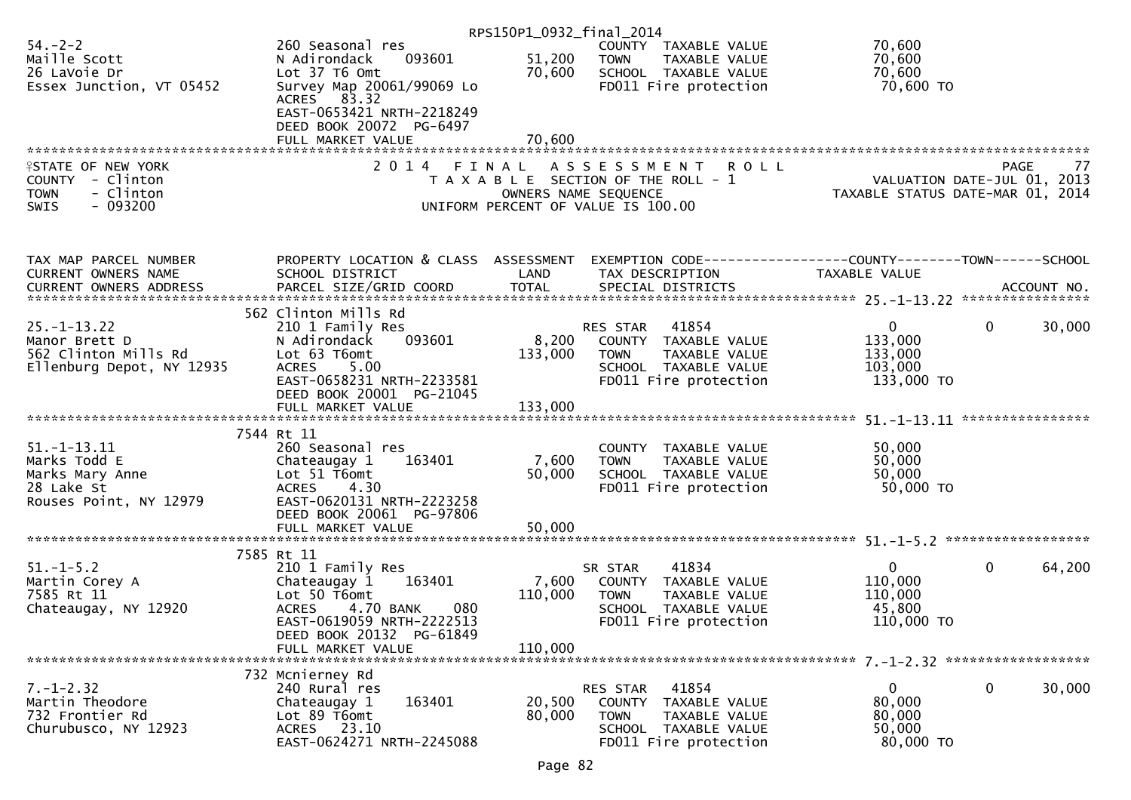|                           |                                      | RPS150P1_0932_final_2014 |                                       |                                                                |
|---------------------------|--------------------------------------|--------------------------|---------------------------------------|----------------------------------------------------------------|
| $54. - 2 - 2$             | 260 Seasonal res                     |                          | COUNTY TAXABLE VALUE                  | 70,600                                                         |
| Maille Scott              | 093601<br>N Adirondack               | 51,200                   | <b>TOWN</b><br>TAXABLE VALUE          | 70,600                                                         |
| 26 LaVoie Dr              | Lot 37 T6 Omt                        | 70,600                   | SCHOOL TAXABLE VALUE                  | 70,600                                                         |
| Essex Junction, VT 05452  | Survey Map 20061/99069 Lo            |                          | FD011 Fire protection                 | 70,600 TO                                                      |
|                           | ACRES 83.32                          |                          |                                       |                                                                |
|                           | EAST-0653421 NRTH-2218249            |                          |                                       |                                                                |
|                           |                                      |                          |                                       |                                                                |
|                           | DEED BOOK 20072 PG-6497              |                          |                                       |                                                                |
|                           | FULL MARKET VALUE                    | 70,600                   |                                       |                                                                |
|                           |                                      |                          |                                       |                                                                |
| <b>ISTATE OF NEW YORK</b> | 2 0 1 4<br>FINAL                     |                          | A S S E S S M E N T<br>R O L L        | <b>PAGE</b><br>77                                              |
| COUNTY - Clinton          |                                      |                          | T A X A B L E SECTION OF THE ROLL - 1 | VALUATION DATE-JUL 01, 2013                                    |
| <b>TOWN</b><br>- Clinton  |                                      | OWNERS NAME SEQUENCE     |                                       | TAXABLE STATUS DATE-MAR 01, 2014                               |
| $-093200$<br><b>SWIS</b>  |                                      |                          | UNIFORM PERCENT OF VALUE IS 100.00    |                                                                |
|                           |                                      |                          |                                       |                                                                |
|                           |                                      |                          |                                       |                                                                |
|                           |                                      |                          |                                       |                                                                |
|                           |                                      |                          |                                       |                                                                |
| TAX MAP PARCEL NUMBER     | PROPERTY LOCATION & CLASS ASSESSMENT |                          |                                       | EXEMPTION CODE------------------COUNTY--------TOWN------SCHOOL |
| CURRENT OWNERS NAME       | SCHOOL DISTRICT                      | LAND                     | TAX DESCRIPTION                       | TAXABLE VALUE                                                  |
|                           |                                      |                          |                                       |                                                                |
|                           |                                      |                          |                                       |                                                                |
|                           | 562 Clinton Mills Rd                 |                          |                                       |                                                                |
| $25. - 1 - 13.22$         | 210 1 Family Res                     |                          | 41854<br>RES STAR                     | $\mathbf{0}$<br>$\mathbf{0}$<br>30,000                         |
| Manor Brett D             | N Adirondack<br>093601               | 8,200                    | COUNTY TAXABLE VALUE                  | 133,000                                                        |
| 562 Clinton Mills Rd      | Lot 63 T6omt                         | 133,000                  | <b>TOWN</b><br>TAXABLE VALUE          | 133,000                                                        |
| Ellenburg Depot, NY 12935 | 5.00<br><b>ACRES</b>                 |                          | SCHOOL TAXABLE VALUE                  | 103,000                                                        |
|                           | EAST-0658231 NRTH-2233581            |                          | FD011 Fire protection                 | 133,000 TO                                                     |
|                           | DEED BOOK 20001 PG-21045             |                          |                                       |                                                                |
|                           |                                      |                          |                                       |                                                                |
|                           |                                      |                          |                                       |                                                                |
|                           |                                      |                          |                                       |                                                                |
|                           | 7544 Rt 11                           |                          |                                       |                                                                |
| $51. - 1 - 13.11$         | 260 Seasonal res                     |                          | COUNTY TAXABLE VALUE                  | 50,000                                                         |
| Marks Todd E              | Chateaugay 1<br>163401               | 7,600                    | TAXABLE VALUE<br><b>TOWN</b>          | 50,000                                                         |
| Marks Mary Anne           | Lot $51$ T6omt                       | 50,000                   | SCHOOL TAXABLE VALUE                  | 50,000                                                         |
| 28 Lake St                | <b>ACRES</b><br>4.30                 |                          | FD011 Fire protection                 | 50,000 TO                                                      |
| Rouses Point, NY 12979    | EAST-0620131 NRTH-2223258            |                          |                                       |                                                                |
|                           | DEED BOOK 20061 PG-97806             |                          |                                       |                                                                |
|                           |                                      |                          |                                       |                                                                |
|                           |                                      |                          |                                       |                                                                |
|                           | 7585 Rt 11                           |                          |                                       |                                                                |
|                           |                                      |                          |                                       | $\mathbf{0}$                                                   |
| $51. - 1 - 5.2$           | 210 1 Family Res                     |                          | 41834<br>SR STAR                      | $\mathbf 0$<br>64,200                                          |
| Martin Corey A            | 163401<br>Chateaugay 1               | 7,600                    | COUNTY TAXABLE VALUE                  | 110,000                                                        |
| 7585 Rt 11                | Lot 50 T6omt                         | 110,000                  | <b>TOWN</b><br>TAXABLE VALUE          | 110,000                                                        |
| Chateaugay, NY 12920      | <b>ACRES</b><br>4.70 BANK<br>080     |                          | SCHOOL TAXABLE VALUE                  | 45,800                                                         |
|                           | EAST-0619059 NRTH-2222513            |                          | FD011 Fire protection                 | 110,000 TO                                                     |
|                           | DEED BOOK 20132 PG-61849             |                          |                                       |                                                                |
|                           | FULL MARKET VALUE                    | 110,000                  |                                       |                                                                |
|                           |                                      |                          |                                       |                                                                |
|                           | 732 Mcnierney Rd                     |                          |                                       |                                                                |
| $7. - 1 - 2.32$           | 240 Rural res                        |                          | 41854<br>RES STAR                     | $\Omega$<br>0<br>30,000                                        |
| Martin Theodore           | 163401<br>Chateaugay 1               | 20,500                   | COUNTY TAXABLE VALUE                  | 80,000                                                         |
| 732 Frontier Rd           | Lot 89 T6omt                         | 80,000                   |                                       | 80,000                                                         |
|                           |                                      |                          | <b>TOWN</b><br>TAXABLE VALUE          |                                                                |
| Churubusco, NY 12923      | ACRES 23.10                          |                          | SCHOOL TAXABLE VALUE                  | 50,000                                                         |
|                           | EAST-0624271 NRTH-2245088            |                          | FD011 Fire protection                 | 80,000 TO                                                      |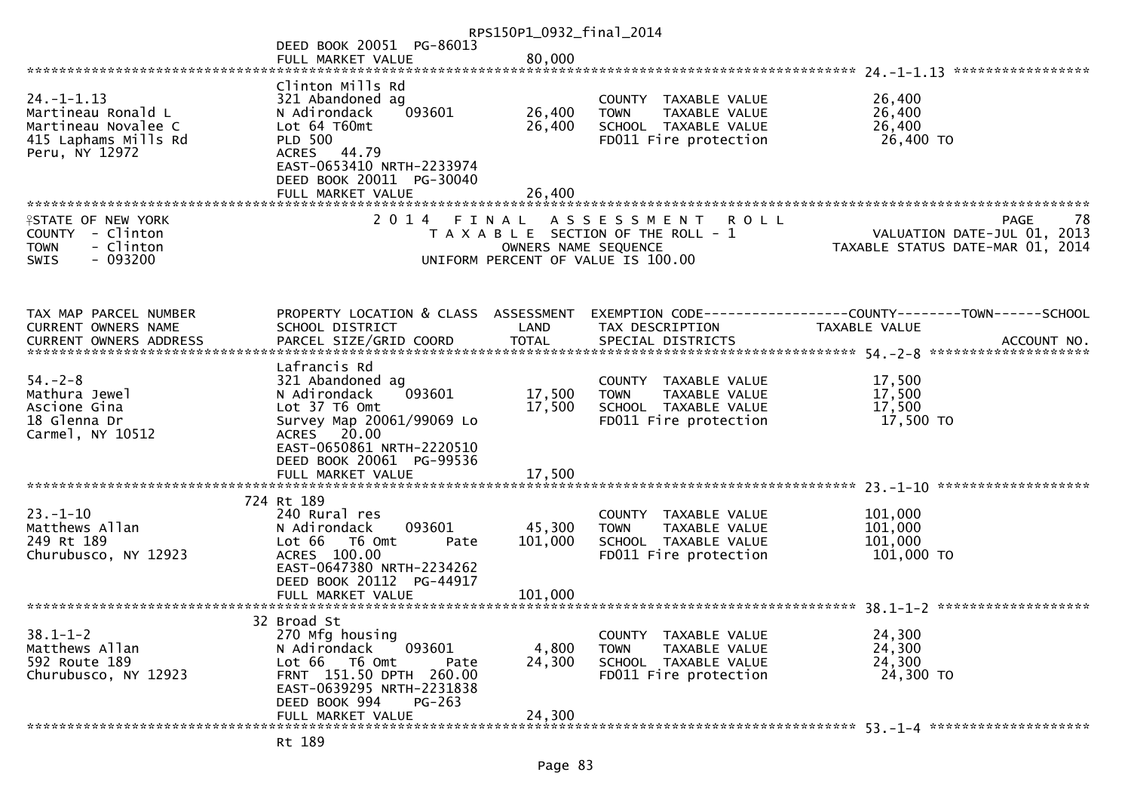|                                                                                                         |                                                                                                                                                                                  | RPS150P1_0932_final_2014      |                                                                                                                   |                                                                                                                              |
|---------------------------------------------------------------------------------------------------------|----------------------------------------------------------------------------------------------------------------------------------------------------------------------------------|-------------------------------|-------------------------------------------------------------------------------------------------------------------|------------------------------------------------------------------------------------------------------------------------------|
|                                                                                                         | DEED BOOK 20051 PG-86013                                                                                                                                                         |                               |                                                                                                                   |                                                                                                                              |
|                                                                                                         | FULL MARKET VALUE                                                                                                                                                                | 80,000                        |                                                                                                                   |                                                                                                                              |
|                                                                                                         |                                                                                                                                                                                  |                               |                                                                                                                   |                                                                                                                              |
| $24. - 1 - 1.13$<br>Martineau Ronald L<br>Martineau Novalee C<br>415 Laphams Mills Rd<br>Peru, NY 12972 | Clinton Mills Rd<br>321 Abandoned ag<br>093601<br>N Adirondack<br>Lot 64 T60mt<br><b>PLD 500</b><br>ACRES 44.79<br>EAST-0653410 NRTH-2233974                                     | 26,400<br>26,400              | COUNTY TAXABLE VALUE<br>TAXABLE VALUE<br><b>TOWN</b><br>SCHOOL TAXABLE VALUE<br>FD011 Fire protection             | 26,400<br>26,400<br>26,400<br>26,400 TO                                                                                      |
|                                                                                                         | DEED BOOK 20011 PG-30040<br>FULL MARKET VALUE                                                                                                                                    | 26,400                        |                                                                                                                   |                                                                                                                              |
|                                                                                                         |                                                                                                                                                                                  |                               |                                                                                                                   |                                                                                                                              |
| <b>ISTATE OF NEW YORK</b><br>COUNTY - Clinton<br>- Clinton<br><b>TOWN</b><br>$-093200$<br>SWIS          | 2 0 1 4                                                                                                                                                                          | FINAL<br>OWNERS NAME SEQUENCE | A S S E S S M E N T<br><b>ROLL</b><br>T A X A B L E SECTION OF THE ROLL - 1<br>UNIFORM PERCENT OF VALUE IS 100.00 | <b>PAGE</b><br>78<br>VALUATION DATE-JUL 01, 2013<br>TAXABLE STATUS DATE-MAR 01, 2014                                         |
|                                                                                                         |                                                                                                                                                                                  |                               |                                                                                                                   |                                                                                                                              |
| TAX MAP PARCEL NUMBER<br>CURRENT OWNERS NAME                                                            | PROPERTY LOCATION & CLASS ASSESSMENT<br>SCHOOL DISTRICT                                                                                                                          | LAND                          | TAX DESCRIPTION                                                                                                   | <b>TAXABLE VALUE</b>                                                                                                         |
|                                                                                                         |                                                                                                                                                                                  |                               |                                                                                                                   | CURRENT OWNERS ADDRESS <b>THE PARCEL SIZE/GRID COORD</b> TOTAL SPECIAL DISTRICTS THE THE SPECIAL POST MOTHERS AND ACCOUNT NO |
| $54. - 2 - 8$<br>Mathura Jewel<br>Ascione Gina<br>18 Glenna Dr<br>Carmel, NY 10512                      | Lafrancis Rd<br>321 Abandoned ag<br>093601<br>N Adirondack<br>Lot 37 T6 Omt<br>Survey Map 20061/99069 Lo<br>ACRES 20.00<br>EAST-0650861 NRTH-2220510<br>DEED BOOK 20061 PG-99536 | 17,500<br>17,500              | COUNTY TAXABLE VALUE<br>TAXABLE VALUE<br><b>TOWN</b><br>SCHOOL TAXABLE VALUE<br>FD011 Fire protection             | 17,500<br>17,500<br>17,500<br>17,500 TO                                                                                      |
|                                                                                                         | FULL MARKET VALUE                                                                                                                                                                | 17,500                        |                                                                                                                   |                                                                                                                              |
|                                                                                                         | 724 Rt 189                                                                                                                                                                       |                               |                                                                                                                   |                                                                                                                              |
| $23 - 1 - 10$<br>Matthews Allan<br>249 Rt 189<br>Churubusco, NY 12923                                   | 240 Rural res<br>N Adirondack<br>093601<br>T6 Omt<br>Lot 66<br>Pate<br>ACRES 100.00<br>EAST-0647380 NRTH-2234262<br>DEED BOOK 20112 PG-44917                                     | 45,300<br>101,000             | COUNTY TAXABLE VALUE<br>TAXABLE VALUE<br><b>TOWN</b><br>SCHOOL TAXABLE VALUE<br>FD011 Fire protection             | 101,000<br>101,000<br>101,000<br>101,000 TO                                                                                  |
|                                                                                                         |                                                                                                                                                                                  |                               |                                                                                                                   |                                                                                                                              |
|                                                                                                         |                                                                                                                                                                                  |                               |                                                                                                                   |                                                                                                                              |
| $38.1 - 1 - 2$<br>Matthews Allan<br>592 Route 189<br>Churubusco, NY 12923                               | 32 Broad St<br>270 Mfg housing<br>093601<br>N Adirondack<br>Lot 66 T6 Omt<br>Pate<br>FRNT 151.50 DPTH 260.00<br>EAST-0639295 NRTH-2231838                                        | 4,800<br>24,300               | COUNTY TAXABLE VALUE<br><b>TOWN</b><br>TAXABLE VALUE<br>SCHOOL TAXABLE VALUE<br>FD011 Fire protection             | 24,300<br>24,300<br>24,300<br>24,300 TO                                                                                      |
|                                                                                                         | DEED BOOK 994<br>$PG-263$<br>FULL MARKET VALUE                                                                                                                                   | 24,300                        |                                                                                                                   |                                                                                                                              |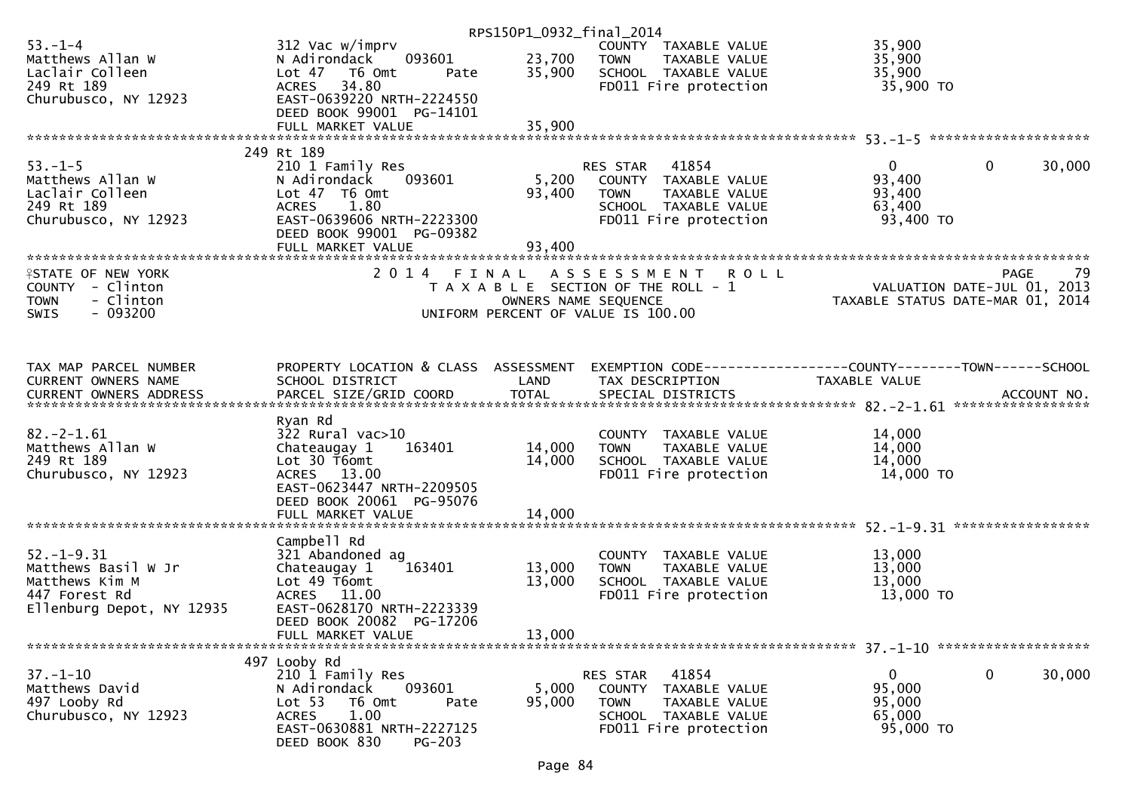|                            |                                                 | RPS150P1_0932_final_2014 |                                                              |                                  |                        |
|----------------------------|-------------------------------------------------|--------------------------|--------------------------------------------------------------|----------------------------------|------------------------|
| $53. - 1 - 4$              | 312 Vac w/imprv                                 |                          | COUNTY TAXABLE VALUE                                         | 35,900                           |                        |
| Matthews Allan W           | 093601<br>N Adirondack                          | 23,700                   | TAXABLE VALUE<br><b>TOWN</b>                                 | 35,900                           |                        |
| Laclair Colleen            | Lot 47 76 0mt<br>Pate                           | 35,900                   | SCHOOL TAXABLE VALUE                                         | 35,900                           |                        |
| 249 Rt 189                 | 34.80<br><b>ACRES</b>                           |                          | FD011 Fire protection                                        | 35,900 TO                        |                        |
| Churubusco, NY 12923       | EAST-0639220 NRTH-2224550                       |                          |                                                              |                                  |                        |
|                            | DEED BOOK 99001 PG-14101                        |                          |                                                              |                                  |                        |
|                            | FULL MARKET VALUE                               | 35,900                   |                                                              |                                  |                        |
|                            | 249 Rt 189                                      |                          |                                                              |                                  |                        |
| $53. - 1 - 5$              | 210 1 Family Res                                |                          | 41854<br>RES STAR                                            | $\overline{0}$                   | $\mathbf{0}$<br>30,000 |
| Matthews Allan W           | 093601<br>N Adirondack                          | 5,200                    | COUNTY TAXABLE VALUE                                         | 93,400                           |                        |
| Laclair Colleen            | Lot 47 T6 Omt                                   | 93,400                   | <b>TOWN</b><br>TAXABLE VALUE                                 | 93,400                           |                        |
| 249 Rt 189                 | <b>ACRES</b><br>1.80                            |                          | SCHOOL TAXABLE VALUE                                         | 63,400                           |                        |
| Churubusco, NY 12923       | EAST-0639606 NRTH-2223300                       |                          | FD011 Fire protection                                        | 93,400 TO                        |                        |
|                            | DEED BOOK 99001 PG-09382                        |                          |                                                              |                                  |                        |
|                            |                                                 |                          |                                                              |                                  |                        |
|                            |                                                 |                          |                                                              |                                  |                        |
| <b>ISTATE OF NEW YORK</b>  |                                                 |                          | 2014 FINAL ASSESSMENT<br><b>ROLL</b>                         |                                  | 79<br>PAGE             |
| COUNTY - Clinton           |                                                 |                          | T A X A B L E SECTION OF THE ROLL - 1                        | VALUATION DATE-JUL 01, 2013      |                        |
| - Clinton<br><b>TOWN</b>   |                                                 | OWNERS NAME SEQUENCE     |                                                              | TAXABLE STATUS DATE-MAR 01, 2014 |                        |
| $-093200$<br>SWIS          |                                                 |                          | UNIFORM PERCENT OF VALUE IS 100.00                           |                                  |                        |
|                            |                                                 |                          |                                                              |                                  |                        |
| TAX MAP PARCEL NUMBER      | PROPERTY LOCATION & CLASS ASSESSMENT            |                          | EXEMPTION CODE-----------------COUNTY-------TOWN------SCHOOL |                                  |                        |
| <b>CURRENT OWNERS NAME</b> | SCHOOL DISTRICT                                 | LAND                     | TAX DESCRIPTION                                              | TAXABLE VALUE                    |                        |
|                            |                                                 |                          |                                                              |                                  |                        |
|                            |                                                 |                          |                                                              |                                  |                        |
| $82 - 2 - 1.61$            | Ryan Rd                                         |                          |                                                              |                                  |                        |
| Matthews Allan W           | $322$ Rural vac $>10$<br>163401<br>Chateaugay 1 | 14,000                   | COUNTY TAXABLE VALUE<br>TAXABLE VALUE<br><b>TOWN</b>         | 14,000<br>14,000                 |                        |
| 249 Rt 189                 | Lot 30 T6omt                                    | 14,000                   | SCHOOL TAXABLE VALUE                                         | 14,000                           |                        |
| Churubusco, NY 12923       | ACRES 13.00                                     |                          | FD011 Fire protection                                        | 14,000 TO                        |                        |
|                            | EAST-0623447 NRTH-2209505                       |                          |                                                              |                                  |                        |
|                            | DEED BOOK 20061 PG-95076                        |                          |                                                              |                                  |                        |
|                            | FULL MARKET VALUE                               | 14,000                   |                                                              |                                  |                        |
|                            |                                                 |                          |                                                              |                                  |                        |
|                            | Campbell Rd                                     |                          |                                                              |                                  |                        |
| $52 - 1 - 9.31$            | 321 Abandoned ag                                |                          | COUNTY<br>TAXABLE VALUE                                      | 13,000                           |                        |
| Matthews Basil W Jr        | 163401<br>Chateaugay 1                          | 13,000                   | <b>TOWN</b><br>TAXABLE VALUE                                 | 13,000                           |                        |
| Matthews Kim M             | Lot 49 T6omt                                    | 13,000                   | SCHOOL TAXABLE VALUE                                         | 13,000                           |                        |
| 447 Forest Rd              | ACRES 11.00                                     |                          | FD011 Fire protection                                        | 13,000 TO                        |                        |
| Ellenburg Depot, NY 12935  | EAST-0628170 NRTH-2223339                       |                          |                                                              |                                  |                        |
|                            | DEED BOOK 20082 PG-17206                        |                          |                                                              |                                  |                        |
|                            | FULL MARKET VALUE                               | 13,000                   |                                                              |                                  |                        |
|                            | 497 Looby Rd                                    |                          |                                                              |                                  |                        |
| $37. - 1 - 10$             | 210 1 Family Res                                |                          | 41854<br>RES STAR                                            | 0                                | 0<br>30,000            |
| Matthews David             | 093601<br>N Adirondack                          | 5,000                    | COUNTY TAXABLE VALUE                                         | 95,000                           |                        |
| 497 Looby Rd               | Lot 53<br>T6 Omt<br>Pate                        | 95,000                   | <b>TOWN</b><br>TAXABLE VALUE                                 | 95,000                           |                        |
| Churubusco, NY 12923       | 1.00<br><b>ACRES</b>                            |                          | SCHOOL TAXABLE VALUE                                         | 65,000                           |                        |
|                            | EAST-0630881 NRTH-2227125                       |                          | FD011 Fire protection                                        | 95,000 TO                        |                        |
|                            | DEED BOOK 830<br>$PG-203$                       |                          |                                                              |                                  |                        |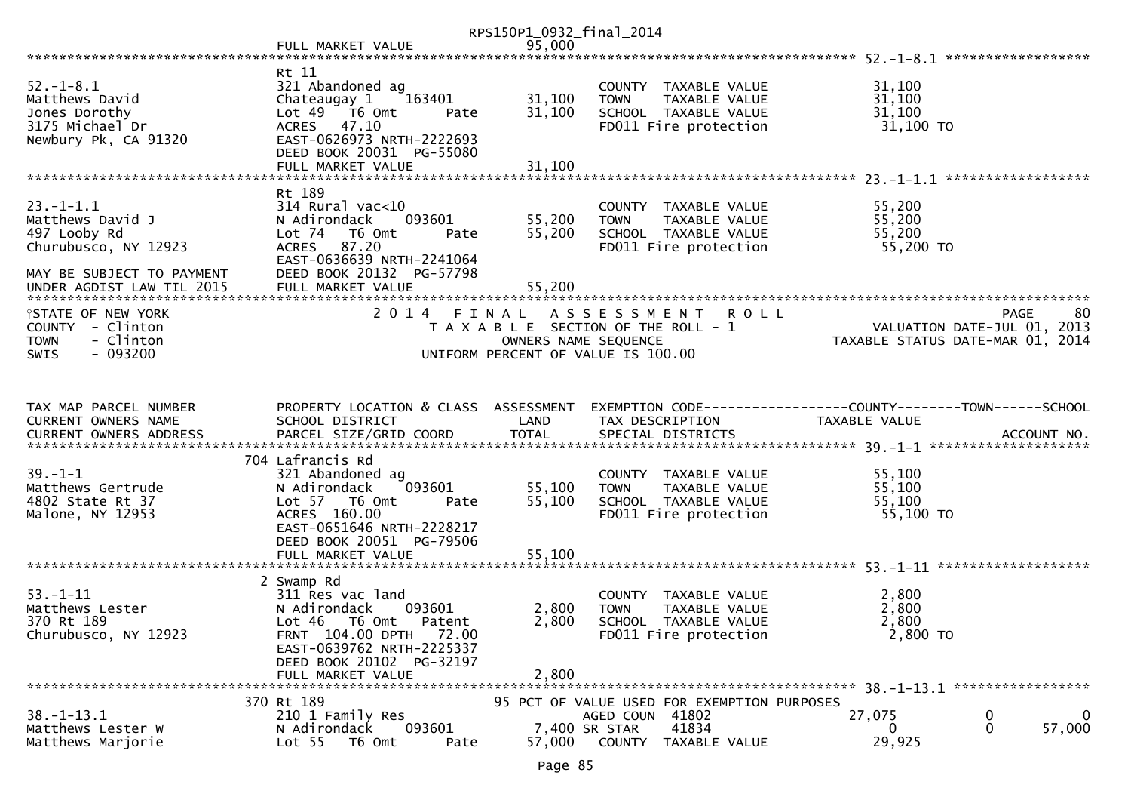|                                                                                                          |                                                                                                                                                                                                | RPS150P1_0932_final_2014   |                                                                                                                     |                                                                                 |                                                   |
|----------------------------------------------------------------------------------------------------------|------------------------------------------------------------------------------------------------------------------------------------------------------------------------------------------------|----------------------------|---------------------------------------------------------------------------------------------------------------------|---------------------------------------------------------------------------------|---------------------------------------------------|
|                                                                                                          | FULL MARKET VALUE                                                                                                                                                                              | 95,000                     |                                                                                                                     |                                                                                 |                                                   |
|                                                                                                          |                                                                                                                                                                                                |                            |                                                                                                                     |                                                                                 |                                                   |
| $52. - 1 - 8.1$<br>Matthews David<br>Jones Dorothy<br>3175 Michael Dr<br>Newbury Pk, CA 91320            | Rt 11<br>321 Abandoned ag<br>Chateaugay 1<br>163401<br>Lot 49  T6 0mt<br>Pate<br>ACRES 47.10<br>EAST-0626973 NRTH-2222693<br>DEED BOOK 20031 PG-55080                                          | 31,100<br>31,100           | COUNTY TAXABLE VALUE<br>TAXABLE VALUE<br><b>TOWN</b><br>SCHOOL TAXABLE VALUE<br>FD011 Fire protection               | 31,100<br>31,100<br>31,100<br>31,100 TO                                         |                                                   |
|                                                                                                          | FULL MARKET VALUE                                                                                                                                                                              | 31,100                     |                                                                                                                     |                                                                                 |                                                   |
|                                                                                                          |                                                                                                                                                                                                |                            |                                                                                                                     |                                                                                 |                                                   |
| $23. - 1 - 1.1$<br>Matthews David J<br>497 Looby Rd<br>Churubusco, NY 12923<br>MAY BE SUBJECT TO PAYMENT | Rt 189<br>$314$ Rural vac<10<br>N Adirondack<br>093601<br>Lot 74<br>T6 Omt<br>Pate<br>ACRES 87.20<br>EAST-0636639 NRTH-2241064<br>DEED BOOK 20132 PG-57798                                     | 55,200<br>55,200           | COUNTY TAXABLE VALUE<br>TAXABLE VALUE<br><b>TOWN</b><br>SCHOOL TAXABLE VALUE<br>FD011 Fire protection               | 55,200<br>55,200<br>55,200<br>55,200 TO                                         |                                                   |
| UNDER AGDIST LAW TIL 2015                                                                                | FULL MARKET VALUE                                                                                                                                                                              | 55,200                     |                                                                                                                     |                                                                                 |                                                   |
| <b>ISTATE OF NEW YORK</b><br>COUNTY - Clinton<br>- Clinton<br><b>TOWN</b><br>$-093200$<br><b>SWIS</b>    | 2014 FINAL                                                                                                                                                                                     | OWNERS NAME SEQUENCE       | A S S E S S M E N T<br><b>ROLL</b><br>T A X A B L E SECTION OF THE ROLL - 1<br>UNIFORM PERCENT OF VALUE IS 100.00   | TAXABLE STATUS DATE-MAR 01, 2014                                                | -80<br><b>PAGE</b><br>VALUATION DATE-JUL 01, 2013 |
|                                                                                                          |                                                                                                                                                                                                |                            |                                                                                                                     |                                                                                 |                                                   |
| TAX MAP PARCEL NUMBER<br>CURRENT OWNERS NAME                                                             | PROPERTY LOCATION & CLASS ASSESSMENT<br>SCHOOL DISTRICT                                                                                                                                        | LAND                       | TAX DESCRIPTION                                                                                                     | EXEMPTION CODE------------------COUNTY--------TOWN------SCHOOL<br>TAXABLE VALUE |                                                   |
|                                                                                                          | 704 Lafrancis Rd                                                                                                                                                                               |                            |                                                                                                                     |                                                                                 |                                                   |
| $39. - 1 - 1$<br>Matthews Gertrude<br>4802 State Rt 37<br>Malone, NY 12953                               | 321 Abandoned ag<br>093601<br>N Adirondack<br>Lot 57 T6 Omt<br>Pate<br>ACRES 160.00<br>EAST-0651646 NRTH-2228217<br>DEED BOOK 20051 PG-79506<br>FULL MARKET VALUE                              | 55,100<br>55,100<br>55,100 | COUNTY TAXABLE VALUE<br><b>TOWN</b><br>TAXABLE VALUE<br>SCHOOL TAXABLE VALUE<br>FD011 Fire protection               | 55,100<br>55,100<br>55,100<br>55,100 TO                                         |                                                   |
|                                                                                                          |                                                                                                                                                                                                |                            |                                                                                                                     |                                                                                 |                                                   |
| $53 - 1 - 11$<br>Matthews Lester<br>370 Rt 189<br>Churubusco, NY 12923                                   | 2 Swamp Rd<br>311 Res vac land<br>N Adirondack<br>093601<br>Lot 46<br>T6 Omt<br>Patent<br>FRNT 104.00 DPTH 72.00<br>EAST-0639762 NRTH-2225337<br>DEED BOOK 20102 PG-32197<br>FULL MARKET VALUE | 2,800<br>2,800<br>2,800    | COUNTY TAXABLE VALUE<br><b>TOWN</b><br>TAXABLE VALUE<br>SCHOOL TAXABLE VALUE<br>FD011 Fire protection               | 2,800<br>2,800<br>2,800<br>$2,800$ TO                                           |                                                   |
|                                                                                                          |                                                                                                                                                                                                |                            |                                                                                                                     |                                                                                 |                                                   |
| $38. - 1 - 13.1$<br>Matthews Lester W<br>Matthews Marjorie                                               | 370 Rt 189<br>210 1 Family Res<br>N Adirondack<br>093601<br>Lot 55<br>T6 Omt<br>Pate                                                                                                           | 57,000                     | 95 PCT OF VALUE USED FOR EXEMPTION PURPOSES<br>AGED COUN 41802<br>41834<br>7,400 SR STAR<br>COUNTY<br>TAXABLE VALUE | 27,075<br>0<br>29,925                                                           | $\mathbf 0$<br>0<br>0<br>57,000                   |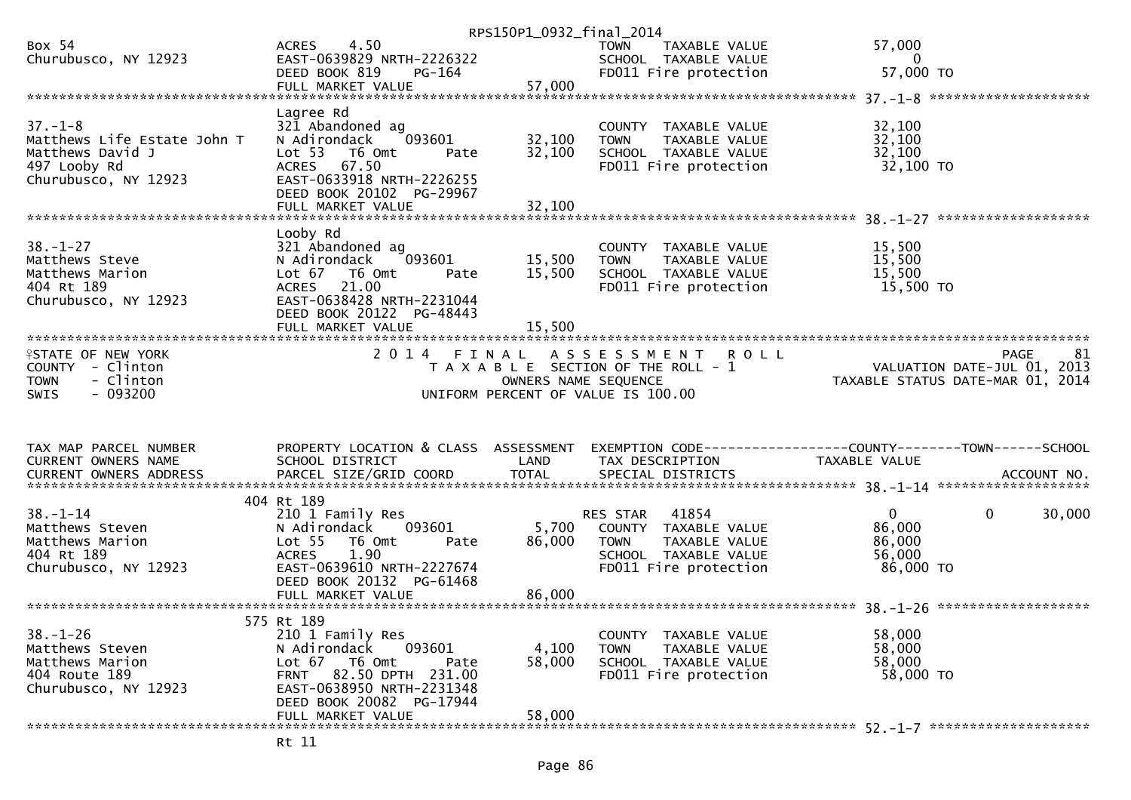| 4.50<br>57,000<br>Box 54<br><b>ACRES</b><br>TOWN<br>TAXABLE VALUE<br>EAST-0639829 NRTH-2226322<br>Churubusco, NY 12923<br>SCHOOL TAXABLE VALUE<br>0<br>57,000 TO<br><b>PG-164</b><br>FD011 Fire protection<br>DEED BOOK 819<br>57,000<br>FULL MARKET VALUE<br>Lagree Rd<br>$37. - 1 - 8$<br>321 Abandoned ag<br>32,100<br>COUNTY TAXABLE VALUE<br>32,100<br>093601<br>32,100<br>Matthews Life Estate John T<br>N Adirondack<br><b>TOWN</b><br>TAXABLE VALUE<br>32,100<br>Matthews David J<br>Lot 53 T6 Omt<br>32,100<br>SCHOOL TAXABLE VALUE<br>Pate<br>32,100 TO<br>497 Looby Rd<br>ACRES 67.50<br>FD011 Fire protection<br>EAST-0633918 NRTH-2226255<br>Churubusco, NY 12923<br>DEED BOOK 20102 PG-29967<br>FULL MARKET VALUE<br>32,100<br>Looby Rd<br>$38. - 1 - 27$<br>321 Abandoned ag<br>15,500<br>COUNTY TAXABLE VALUE<br>15,500<br>15,500<br>Matthews Steve<br>N Adirondack<br>093601<br>TAXABLE VALUE<br><b>TOWN</b><br>15,500<br>15,500<br>Matthews Marion<br>Lot 67<br>T6 Omt<br>SCHOOL TAXABLE VALUE<br>Pate<br>15,500 TO<br>404 Rt 189<br>21.00<br>FD011 Fire protection<br><b>ACRES</b><br>EAST-0638428 NRTH-2231044<br>Churubusco, NY 12923<br>DEED BOOK 20122 PG-48443<br>2014 FINAL ASSESSMENT<br>81<br><b>ISTATE OF NEW YORK</b><br><b>ROLL</b><br>PAGE<br>VALUATION DATE-JUL $01, 2013$<br>COUNTY - Clinton<br>T A X A B L E SECTION OF THE ROLL - 1<br>- Clinton<br>TAXABLE STATUS DATE-MAR 01, 2014<br><b>TOWN</b><br>OWNERS NAME SEQUENCE<br>$-093200$<br><b>SWIS</b><br>UNIFORM PERCENT OF VALUE IS 100.00<br>TAX MAP PARCEL NUMBER<br>PROPERTY LOCATION & CLASS ASSESSMENT<br>EXEMPTION CODE-----------------COUNTY-------TOWN------SCHOOL<br>CURRENT OWNERS NAME<br>SCHOOL DISTRICT<br>LAND<br>TAX DESCRIPTION<br>TAXABLE VALUE<br>404 Rt 189<br>$38. - 1 - 14$<br>41854<br>$\mathbf{0}$<br>$\mathbf{0}$<br>30,000<br>210 1 Family Res<br>RES STAR<br>86,000<br>5,700<br>Matthews Steven<br>N Adirondack<br>093601<br>COUNTY TAXABLE VALUE<br>86,000<br>Matthews Marion<br>Lot <sub>55</sub><br>T6 Omt<br>86,000<br>TAXABLE VALUE<br>Pate<br><b>TOWN</b><br>1.90<br>404 Rt 189<br>56,000<br><b>ACRES</b><br>SCHOOL TAXABLE VALUE<br>Churubusco, NY 12923<br>EAST-0639610 NRTH-2227674<br>86,000 TO<br>FD011 Fire protection<br>DEED BOOK 20132 PG-61468<br>FULL MARKET VALUE<br>86,000<br>575 Rt 189<br>$38. - 1 - 26$<br>210 1 Family Res<br>58,000<br>COUNTY TAXABLE VALUE<br>4,100<br>Matthews Steven<br>N Adirondack<br>093601<br>58,000<br><b>TOWN</b><br>TAXABLE VALUE<br>Matthews Marion<br>Lot 67  T6 0mt<br>58,000<br>SCHOOL TAXABLE VALUE<br>58,000<br>Pate<br>FRNT 82.50 DPTH 231.00<br>404 Route 189<br>FD011 Fire protection<br>58,000 TO<br>Churubusco, NY 12923<br>EAST-0638950 NRTH-2231348<br>DEED BOOK 20082 PG-17944<br>58,000<br>FULL MARKET VALUE |  | RPS150P1_0932_final_2014 |  |
|-------------------------------------------------------------------------------------------------------------------------------------------------------------------------------------------------------------------------------------------------------------------------------------------------------------------------------------------------------------------------------------------------------------------------------------------------------------------------------------------------------------------------------------------------------------------------------------------------------------------------------------------------------------------------------------------------------------------------------------------------------------------------------------------------------------------------------------------------------------------------------------------------------------------------------------------------------------------------------------------------------------------------------------------------------------------------------------------------------------------------------------------------------------------------------------------------------------------------------------------------------------------------------------------------------------------------------------------------------------------------------------------------------------------------------------------------------------------------------------------------------------------------------------------------------------------------------------------------------------------------------------------------------------------------------------------------------------------------------------------------------------------------------------------------------------------------------------------------------------------------------------------------------------------------------------------------------------------------------------------------------------------------------------------------------------------------------------------------------------------------------------------------------------------------------------------------------------------------------------------------------------------------------------------------------------------------------------------------------------------------------------------------------------------------------------------------------------------------------------------------------------------------------------------------------------------------------------------------------------------------------------------------------------------------------------------------------------------------------------------------------------------------------------------------|--|--------------------------|--|
|                                                                                                                                                                                                                                                                                                                                                                                                                                                                                                                                                                                                                                                                                                                                                                                                                                                                                                                                                                                                                                                                                                                                                                                                                                                                                                                                                                                                                                                                                                                                                                                                                                                                                                                                                                                                                                                                                                                                                                                                                                                                                                                                                                                                                                                                                                                                                                                                                                                                                                                                                                                                                                                                                                                                                                                                 |  |                          |  |
|                                                                                                                                                                                                                                                                                                                                                                                                                                                                                                                                                                                                                                                                                                                                                                                                                                                                                                                                                                                                                                                                                                                                                                                                                                                                                                                                                                                                                                                                                                                                                                                                                                                                                                                                                                                                                                                                                                                                                                                                                                                                                                                                                                                                                                                                                                                                                                                                                                                                                                                                                                                                                                                                                                                                                                                                 |  |                          |  |
|                                                                                                                                                                                                                                                                                                                                                                                                                                                                                                                                                                                                                                                                                                                                                                                                                                                                                                                                                                                                                                                                                                                                                                                                                                                                                                                                                                                                                                                                                                                                                                                                                                                                                                                                                                                                                                                                                                                                                                                                                                                                                                                                                                                                                                                                                                                                                                                                                                                                                                                                                                                                                                                                                                                                                                                                 |  |                          |  |
|                                                                                                                                                                                                                                                                                                                                                                                                                                                                                                                                                                                                                                                                                                                                                                                                                                                                                                                                                                                                                                                                                                                                                                                                                                                                                                                                                                                                                                                                                                                                                                                                                                                                                                                                                                                                                                                                                                                                                                                                                                                                                                                                                                                                                                                                                                                                                                                                                                                                                                                                                                                                                                                                                                                                                                                                 |  |                          |  |
|                                                                                                                                                                                                                                                                                                                                                                                                                                                                                                                                                                                                                                                                                                                                                                                                                                                                                                                                                                                                                                                                                                                                                                                                                                                                                                                                                                                                                                                                                                                                                                                                                                                                                                                                                                                                                                                                                                                                                                                                                                                                                                                                                                                                                                                                                                                                                                                                                                                                                                                                                                                                                                                                                                                                                                                                 |  |                          |  |
|                                                                                                                                                                                                                                                                                                                                                                                                                                                                                                                                                                                                                                                                                                                                                                                                                                                                                                                                                                                                                                                                                                                                                                                                                                                                                                                                                                                                                                                                                                                                                                                                                                                                                                                                                                                                                                                                                                                                                                                                                                                                                                                                                                                                                                                                                                                                                                                                                                                                                                                                                                                                                                                                                                                                                                                                 |  |                          |  |
|                                                                                                                                                                                                                                                                                                                                                                                                                                                                                                                                                                                                                                                                                                                                                                                                                                                                                                                                                                                                                                                                                                                                                                                                                                                                                                                                                                                                                                                                                                                                                                                                                                                                                                                                                                                                                                                                                                                                                                                                                                                                                                                                                                                                                                                                                                                                                                                                                                                                                                                                                                                                                                                                                                                                                                                                 |  |                          |  |
|                                                                                                                                                                                                                                                                                                                                                                                                                                                                                                                                                                                                                                                                                                                                                                                                                                                                                                                                                                                                                                                                                                                                                                                                                                                                                                                                                                                                                                                                                                                                                                                                                                                                                                                                                                                                                                                                                                                                                                                                                                                                                                                                                                                                                                                                                                                                                                                                                                                                                                                                                                                                                                                                                                                                                                                                 |  |                          |  |
|                                                                                                                                                                                                                                                                                                                                                                                                                                                                                                                                                                                                                                                                                                                                                                                                                                                                                                                                                                                                                                                                                                                                                                                                                                                                                                                                                                                                                                                                                                                                                                                                                                                                                                                                                                                                                                                                                                                                                                                                                                                                                                                                                                                                                                                                                                                                                                                                                                                                                                                                                                                                                                                                                                                                                                                                 |  |                          |  |
|                                                                                                                                                                                                                                                                                                                                                                                                                                                                                                                                                                                                                                                                                                                                                                                                                                                                                                                                                                                                                                                                                                                                                                                                                                                                                                                                                                                                                                                                                                                                                                                                                                                                                                                                                                                                                                                                                                                                                                                                                                                                                                                                                                                                                                                                                                                                                                                                                                                                                                                                                                                                                                                                                                                                                                                                 |  |                          |  |
|                                                                                                                                                                                                                                                                                                                                                                                                                                                                                                                                                                                                                                                                                                                                                                                                                                                                                                                                                                                                                                                                                                                                                                                                                                                                                                                                                                                                                                                                                                                                                                                                                                                                                                                                                                                                                                                                                                                                                                                                                                                                                                                                                                                                                                                                                                                                                                                                                                                                                                                                                                                                                                                                                                                                                                                                 |  |                          |  |
|                                                                                                                                                                                                                                                                                                                                                                                                                                                                                                                                                                                                                                                                                                                                                                                                                                                                                                                                                                                                                                                                                                                                                                                                                                                                                                                                                                                                                                                                                                                                                                                                                                                                                                                                                                                                                                                                                                                                                                                                                                                                                                                                                                                                                                                                                                                                                                                                                                                                                                                                                                                                                                                                                                                                                                                                 |  |                          |  |
|                                                                                                                                                                                                                                                                                                                                                                                                                                                                                                                                                                                                                                                                                                                                                                                                                                                                                                                                                                                                                                                                                                                                                                                                                                                                                                                                                                                                                                                                                                                                                                                                                                                                                                                                                                                                                                                                                                                                                                                                                                                                                                                                                                                                                                                                                                                                                                                                                                                                                                                                                                                                                                                                                                                                                                                                 |  |                          |  |
|                                                                                                                                                                                                                                                                                                                                                                                                                                                                                                                                                                                                                                                                                                                                                                                                                                                                                                                                                                                                                                                                                                                                                                                                                                                                                                                                                                                                                                                                                                                                                                                                                                                                                                                                                                                                                                                                                                                                                                                                                                                                                                                                                                                                                                                                                                                                                                                                                                                                                                                                                                                                                                                                                                                                                                                                 |  |                          |  |
|                                                                                                                                                                                                                                                                                                                                                                                                                                                                                                                                                                                                                                                                                                                                                                                                                                                                                                                                                                                                                                                                                                                                                                                                                                                                                                                                                                                                                                                                                                                                                                                                                                                                                                                                                                                                                                                                                                                                                                                                                                                                                                                                                                                                                                                                                                                                                                                                                                                                                                                                                                                                                                                                                                                                                                                                 |  |                          |  |
|                                                                                                                                                                                                                                                                                                                                                                                                                                                                                                                                                                                                                                                                                                                                                                                                                                                                                                                                                                                                                                                                                                                                                                                                                                                                                                                                                                                                                                                                                                                                                                                                                                                                                                                                                                                                                                                                                                                                                                                                                                                                                                                                                                                                                                                                                                                                                                                                                                                                                                                                                                                                                                                                                                                                                                                                 |  |                          |  |
|                                                                                                                                                                                                                                                                                                                                                                                                                                                                                                                                                                                                                                                                                                                                                                                                                                                                                                                                                                                                                                                                                                                                                                                                                                                                                                                                                                                                                                                                                                                                                                                                                                                                                                                                                                                                                                                                                                                                                                                                                                                                                                                                                                                                                                                                                                                                                                                                                                                                                                                                                                                                                                                                                                                                                                                                 |  |                          |  |
|                                                                                                                                                                                                                                                                                                                                                                                                                                                                                                                                                                                                                                                                                                                                                                                                                                                                                                                                                                                                                                                                                                                                                                                                                                                                                                                                                                                                                                                                                                                                                                                                                                                                                                                                                                                                                                                                                                                                                                                                                                                                                                                                                                                                                                                                                                                                                                                                                                                                                                                                                                                                                                                                                                                                                                                                 |  |                          |  |
|                                                                                                                                                                                                                                                                                                                                                                                                                                                                                                                                                                                                                                                                                                                                                                                                                                                                                                                                                                                                                                                                                                                                                                                                                                                                                                                                                                                                                                                                                                                                                                                                                                                                                                                                                                                                                                                                                                                                                                                                                                                                                                                                                                                                                                                                                                                                                                                                                                                                                                                                                                                                                                                                                                                                                                                                 |  |                          |  |
|                                                                                                                                                                                                                                                                                                                                                                                                                                                                                                                                                                                                                                                                                                                                                                                                                                                                                                                                                                                                                                                                                                                                                                                                                                                                                                                                                                                                                                                                                                                                                                                                                                                                                                                                                                                                                                                                                                                                                                                                                                                                                                                                                                                                                                                                                                                                                                                                                                                                                                                                                                                                                                                                                                                                                                                                 |  |                          |  |
|                                                                                                                                                                                                                                                                                                                                                                                                                                                                                                                                                                                                                                                                                                                                                                                                                                                                                                                                                                                                                                                                                                                                                                                                                                                                                                                                                                                                                                                                                                                                                                                                                                                                                                                                                                                                                                                                                                                                                                                                                                                                                                                                                                                                                                                                                                                                                                                                                                                                                                                                                                                                                                                                                                                                                                                                 |  |                          |  |
|                                                                                                                                                                                                                                                                                                                                                                                                                                                                                                                                                                                                                                                                                                                                                                                                                                                                                                                                                                                                                                                                                                                                                                                                                                                                                                                                                                                                                                                                                                                                                                                                                                                                                                                                                                                                                                                                                                                                                                                                                                                                                                                                                                                                                                                                                                                                                                                                                                                                                                                                                                                                                                                                                                                                                                                                 |  |                          |  |
|                                                                                                                                                                                                                                                                                                                                                                                                                                                                                                                                                                                                                                                                                                                                                                                                                                                                                                                                                                                                                                                                                                                                                                                                                                                                                                                                                                                                                                                                                                                                                                                                                                                                                                                                                                                                                                                                                                                                                                                                                                                                                                                                                                                                                                                                                                                                                                                                                                                                                                                                                                                                                                                                                                                                                                                                 |  |                          |  |
|                                                                                                                                                                                                                                                                                                                                                                                                                                                                                                                                                                                                                                                                                                                                                                                                                                                                                                                                                                                                                                                                                                                                                                                                                                                                                                                                                                                                                                                                                                                                                                                                                                                                                                                                                                                                                                                                                                                                                                                                                                                                                                                                                                                                                                                                                                                                                                                                                                                                                                                                                                                                                                                                                                                                                                                                 |  |                          |  |
|                                                                                                                                                                                                                                                                                                                                                                                                                                                                                                                                                                                                                                                                                                                                                                                                                                                                                                                                                                                                                                                                                                                                                                                                                                                                                                                                                                                                                                                                                                                                                                                                                                                                                                                                                                                                                                                                                                                                                                                                                                                                                                                                                                                                                                                                                                                                                                                                                                                                                                                                                                                                                                                                                                                                                                                                 |  |                          |  |
|                                                                                                                                                                                                                                                                                                                                                                                                                                                                                                                                                                                                                                                                                                                                                                                                                                                                                                                                                                                                                                                                                                                                                                                                                                                                                                                                                                                                                                                                                                                                                                                                                                                                                                                                                                                                                                                                                                                                                                                                                                                                                                                                                                                                                                                                                                                                                                                                                                                                                                                                                                                                                                                                                                                                                                                                 |  |                          |  |
|                                                                                                                                                                                                                                                                                                                                                                                                                                                                                                                                                                                                                                                                                                                                                                                                                                                                                                                                                                                                                                                                                                                                                                                                                                                                                                                                                                                                                                                                                                                                                                                                                                                                                                                                                                                                                                                                                                                                                                                                                                                                                                                                                                                                                                                                                                                                                                                                                                                                                                                                                                                                                                                                                                                                                                                                 |  |                          |  |
|                                                                                                                                                                                                                                                                                                                                                                                                                                                                                                                                                                                                                                                                                                                                                                                                                                                                                                                                                                                                                                                                                                                                                                                                                                                                                                                                                                                                                                                                                                                                                                                                                                                                                                                                                                                                                                                                                                                                                                                                                                                                                                                                                                                                                                                                                                                                                                                                                                                                                                                                                                                                                                                                                                                                                                                                 |  |                          |  |
|                                                                                                                                                                                                                                                                                                                                                                                                                                                                                                                                                                                                                                                                                                                                                                                                                                                                                                                                                                                                                                                                                                                                                                                                                                                                                                                                                                                                                                                                                                                                                                                                                                                                                                                                                                                                                                                                                                                                                                                                                                                                                                                                                                                                                                                                                                                                                                                                                                                                                                                                                                                                                                                                                                                                                                                                 |  |                          |  |
|                                                                                                                                                                                                                                                                                                                                                                                                                                                                                                                                                                                                                                                                                                                                                                                                                                                                                                                                                                                                                                                                                                                                                                                                                                                                                                                                                                                                                                                                                                                                                                                                                                                                                                                                                                                                                                                                                                                                                                                                                                                                                                                                                                                                                                                                                                                                                                                                                                                                                                                                                                                                                                                                                                                                                                                                 |  |                          |  |
|                                                                                                                                                                                                                                                                                                                                                                                                                                                                                                                                                                                                                                                                                                                                                                                                                                                                                                                                                                                                                                                                                                                                                                                                                                                                                                                                                                                                                                                                                                                                                                                                                                                                                                                                                                                                                                                                                                                                                                                                                                                                                                                                                                                                                                                                                                                                                                                                                                                                                                                                                                                                                                                                                                                                                                                                 |  |                          |  |
|                                                                                                                                                                                                                                                                                                                                                                                                                                                                                                                                                                                                                                                                                                                                                                                                                                                                                                                                                                                                                                                                                                                                                                                                                                                                                                                                                                                                                                                                                                                                                                                                                                                                                                                                                                                                                                                                                                                                                                                                                                                                                                                                                                                                                                                                                                                                                                                                                                                                                                                                                                                                                                                                                                                                                                                                 |  |                          |  |
|                                                                                                                                                                                                                                                                                                                                                                                                                                                                                                                                                                                                                                                                                                                                                                                                                                                                                                                                                                                                                                                                                                                                                                                                                                                                                                                                                                                                                                                                                                                                                                                                                                                                                                                                                                                                                                                                                                                                                                                                                                                                                                                                                                                                                                                                                                                                                                                                                                                                                                                                                                                                                                                                                                                                                                                                 |  |                          |  |
|                                                                                                                                                                                                                                                                                                                                                                                                                                                                                                                                                                                                                                                                                                                                                                                                                                                                                                                                                                                                                                                                                                                                                                                                                                                                                                                                                                                                                                                                                                                                                                                                                                                                                                                                                                                                                                                                                                                                                                                                                                                                                                                                                                                                                                                                                                                                                                                                                                                                                                                                                                                                                                                                                                                                                                                                 |  |                          |  |
|                                                                                                                                                                                                                                                                                                                                                                                                                                                                                                                                                                                                                                                                                                                                                                                                                                                                                                                                                                                                                                                                                                                                                                                                                                                                                                                                                                                                                                                                                                                                                                                                                                                                                                                                                                                                                                                                                                                                                                                                                                                                                                                                                                                                                                                                                                                                                                                                                                                                                                                                                                                                                                                                                                                                                                                                 |  |                          |  |
|                                                                                                                                                                                                                                                                                                                                                                                                                                                                                                                                                                                                                                                                                                                                                                                                                                                                                                                                                                                                                                                                                                                                                                                                                                                                                                                                                                                                                                                                                                                                                                                                                                                                                                                                                                                                                                                                                                                                                                                                                                                                                                                                                                                                                                                                                                                                                                                                                                                                                                                                                                                                                                                                                                                                                                                                 |  |                          |  |
|                                                                                                                                                                                                                                                                                                                                                                                                                                                                                                                                                                                                                                                                                                                                                                                                                                                                                                                                                                                                                                                                                                                                                                                                                                                                                                                                                                                                                                                                                                                                                                                                                                                                                                                                                                                                                                                                                                                                                                                                                                                                                                                                                                                                                                                                                                                                                                                                                                                                                                                                                                                                                                                                                                                                                                                                 |  |                          |  |
|                                                                                                                                                                                                                                                                                                                                                                                                                                                                                                                                                                                                                                                                                                                                                                                                                                                                                                                                                                                                                                                                                                                                                                                                                                                                                                                                                                                                                                                                                                                                                                                                                                                                                                                                                                                                                                                                                                                                                                                                                                                                                                                                                                                                                                                                                                                                                                                                                                                                                                                                                                                                                                                                                                                                                                                                 |  |                          |  |
|                                                                                                                                                                                                                                                                                                                                                                                                                                                                                                                                                                                                                                                                                                                                                                                                                                                                                                                                                                                                                                                                                                                                                                                                                                                                                                                                                                                                                                                                                                                                                                                                                                                                                                                                                                                                                                                                                                                                                                                                                                                                                                                                                                                                                                                                                                                                                                                                                                                                                                                                                                                                                                                                                                                                                                                                 |  |                          |  |
|                                                                                                                                                                                                                                                                                                                                                                                                                                                                                                                                                                                                                                                                                                                                                                                                                                                                                                                                                                                                                                                                                                                                                                                                                                                                                                                                                                                                                                                                                                                                                                                                                                                                                                                                                                                                                                                                                                                                                                                                                                                                                                                                                                                                                                                                                                                                                                                                                                                                                                                                                                                                                                                                                                                                                                                                 |  |                          |  |
|                                                                                                                                                                                                                                                                                                                                                                                                                                                                                                                                                                                                                                                                                                                                                                                                                                                                                                                                                                                                                                                                                                                                                                                                                                                                                                                                                                                                                                                                                                                                                                                                                                                                                                                                                                                                                                                                                                                                                                                                                                                                                                                                                                                                                                                                                                                                                                                                                                                                                                                                                                                                                                                                                                                                                                                                 |  |                          |  |
|                                                                                                                                                                                                                                                                                                                                                                                                                                                                                                                                                                                                                                                                                                                                                                                                                                                                                                                                                                                                                                                                                                                                                                                                                                                                                                                                                                                                                                                                                                                                                                                                                                                                                                                                                                                                                                                                                                                                                                                                                                                                                                                                                                                                                                                                                                                                                                                                                                                                                                                                                                                                                                                                                                                                                                                                 |  |                          |  |
|                                                                                                                                                                                                                                                                                                                                                                                                                                                                                                                                                                                                                                                                                                                                                                                                                                                                                                                                                                                                                                                                                                                                                                                                                                                                                                                                                                                                                                                                                                                                                                                                                                                                                                                                                                                                                                                                                                                                                                                                                                                                                                                                                                                                                                                                                                                                                                                                                                                                                                                                                                                                                                                                                                                                                                                                 |  |                          |  |
|                                                                                                                                                                                                                                                                                                                                                                                                                                                                                                                                                                                                                                                                                                                                                                                                                                                                                                                                                                                                                                                                                                                                                                                                                                                                                                                                                                                                                                                                                                                                                                                                                                                                                                                                                                                                                                                                                                                                                                                                                                                                                                                                                                                                                                                                                                                                                                                                                                                                                                                                                                                                                                                                                                                                                                                                 |  |                          |  |
|                                                                                                                                                                                                                                                                                                                                                                                                                                                                                                                                                                                                                                                                                                                                                                                                                                                                                                                                                                                                                                                                                                                                                                                                                                                                                                                                                                                                                                                                                                                                                                                                                                                                                                                                                                                                                                                                                                                                                                                                                                                                                                                                                                                                                                                                                                                                                                                                                                                                                                                                                                                                                                                                                                                                                                                                 |  |                          |  |
|                                                                                                                                                                                                                                                                                                                                                                                                                                                                                                                                                                                                                                                                                                                                                                                                                                                                                                                                                                                                                                                                                                                                                                                                                                                                                                                                                                                                                                                                                                                                                                                                                                                                                                                                                                                                                                                                                                                                                                                                                                                                                                                                                                                                                                                                                                                                                                                                                                                                                                                                                                                                                                                                                                                                                                                                 |  |                          |  |
|                                                                                                                                                                                                                                                                                                                                                                                                                                                                                                                                                                                                                                                                                                                                                                                                                                                                                                                                                                                                                                                                                                                                                                                                                                                                                                                                                                                                                                                                                                                                                                                                                                                                                                                                                                                                                                                                                                                                                                                                                                                                                                                                                                                                                                                                                                                                                                                                                                                                                                                                                                                                                                                                                                                                                                                                 |  |                          |  |
|                                                                                                                                                                                                                                                                                                                                                                                                                                                                                                                                                                                                                                                                                                                                                                                                                                                                                                                                                                                                                                                                                                                                                                                                                                                                                                                                                                                                                                                                                                                                                                                                                                                                                                                                                                                                                                                                                                                                                                                                                                                                                                                                                                                                                                                                                                                                                                                                                                                                                                                                                                                                                                                                                                                                                                                                 |  |                          |  |
|                                                                                                                                                                                                                                                                                                                                                                                                                                                                                                                                                                                                                                                                                                                                                                                                                                                                                                                                                                                                                                                                                                                                                                                                                                                                                                                                                                                                                                                                                                                                                                                                                                                                                                                                                                                                                                                                                                                                                                                                                                                                                                                                                                                                                                                                                                                                                                                                                                                                                                                                                                                                                                                                                                                                                                                                 |  |                          |  |
|                                                                                                                                                                                                                                                                                                                                                                                                                                                                                                                                                                                                                                                                                                                                                                                                                                                                                                                                                                                                                                                                                                                                                                                                                                                                                                                                                                                                                                                                                                                                                                                                                                                                                                                                                                                                                                                                                                                                                                                                                                                                                                                                                                                                                                                                                                                                                                                                                                                                                                                                                                                                                                                                                                                                                                                                 |  |                          |  |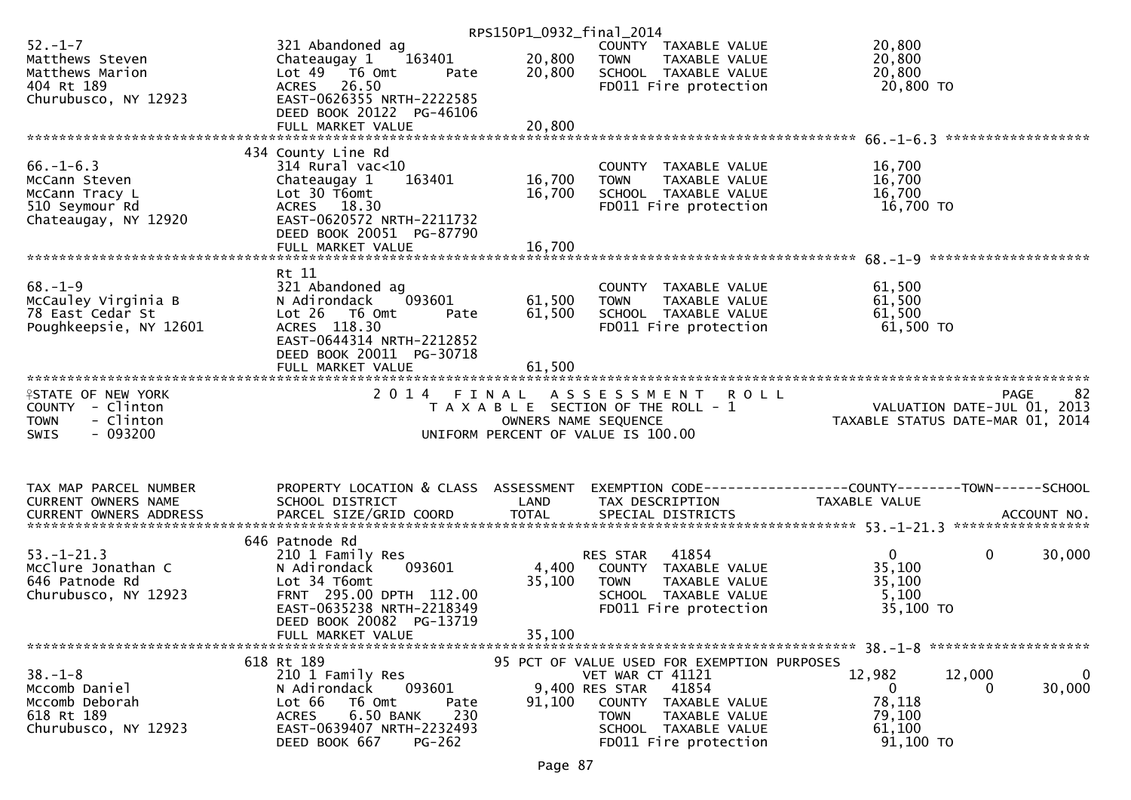|                           |                                      | RPS150P1_0932_final_2014 |                                             |                                                                 |
|---------------------------|--------------------------------------|--------------------------|---------------------------------------------|-----------------------------------------------------------------|
| $52 - 1 - 7$              | 321 Abandoned ag                     |                          | COUNTY TAXABLE VALUE                        | 20,800                                                          |
| Matthews Steven           | 163401<br>Chateaugay 1               | 20,800                   | <b>TOWN</b><br>TAXABLE VALUE                | 20,800                                                          |
| Matthews Marion           | Lot $49$ $\overline{16}$ Omt<br>Pate | 20,800                   | SCHOOL TAXABLE VALUE                        | 20,800                                                          |
| 404 Rt 189                | ACRES 26.50                          |                          | FD011 Fire protection                       | 20,800 TO                                                       |
| Churubusco, NY 12923      | EAST-0626355 NRTH-2222585            |                          |                                             |                                                                 |
|                           | DEED BOOK 20122 PG-46106             |                          |                                             |                                                                 |
|                           | FULL MARKET VALUE                    | 20,800                   |                                             |                                                                 |
|                           |                                      |                          |                                             |                                                                 |
|                           | 434 County Line Rd                   |                          |                                             |                                                                 |
| $66. - 1 - 6.3$           | $314$ Rural vac<10                   |                          | COUNTY TAXABLE VALUE                        | 16,700                                                          |
| McCann Steven             | 163401<br>Chateaugay 1               | 16,700                   | TAXABLE VALUE<br><b>TOWN</b>                | 16,700                                                          |
| McCann Tracy L            | Lot 30 T6omt                         | 16,700                   | SCHOOL TAXABLE VALUE                        | 16,700                                                          |
| 510 Seymour Rd            | ACRES 18.30                          |                          | FD011 Fire protection                       | 16,700 TO                                                       |
|                           | EAST-0620572 NRTH-2211732            |                          |                                             |                                                                 |
| Chateaugay, NY 12920      |                                      |                          |                                             |                                                                 |
|                           | DEED BOOK 20051 PG-87790             |                          |                                             |                                                                 |
|                           |                                      |                          |                                             |                                                                 |
|                           |                                      |                          |                                             |                                                                 |
|                           | Rt 11                                |                          |                                             |                                                                 |
| $68. - 1 - 9$             | 321 Abandoned ag                     |                          | COUNTY TAXABLE VALUE                        | 61,500                                                          |
| McCauley Virginia B       | 093601<br>N Adirondack               | 61,500                   | <b>TOWN</b><br>TAXABLE VALUE                | 61,500                                                          |
| 78 East Cedar St          | $Lot 26$ T6 Omt<br>Pate              | 61,500                   | SCHOOL TAXABLE VALUE                        | 61,500                                                          |
| Poughkeepsie, NY 12601    | ACRES 118.30                         |                          | FD011 Fire protection                       | 61,500 TO                                                       |
|                           | EAST-0644314 NRTH-2212852            |                          |                                             |                                                                 |
|                           | DEED BOOK 20011 PG-30718             |                          |                                             |                                                                 |
|                           | FULL MARKET VALUE                    | 61,500                   |                                             |                                                                 |
|                           |                                      |                          |                                             |                                                                 |
|                           |                                      |                          |                                             |                                                                 |
|                           |                                      |                          |                                             | <b>PAGE</b><br>-82                                              |
| <b>ISTATE OF NEW YORK</b> | 2014 FINAL                           |                          | A S S E S S M E N T<br><b>ROLL</b>          |                                                                 |
| COUNTY - Clinton          |                                      |                          | T A X A B L E SECTION OF THE ROLL - 1       |                                                                 |
| - Clinton<br><b>TOWN</b>  |                                      | OWNERS NAME SEQUENCE     |                                             | VALUATION DATE-JUL 01, 2013<br>TAXABLE STATUS DATE-MAR 01, 2014 |
| $-093200$<br><b>SWIS</b>  |                                      |                          | UNIFORM PERCENT OF VALUE IS 100.00          |                                                                 |
|                           |                                      |                          |                                             |                                                                 |
|                           |                                      |                          |                                             |                                                                 |
|                           |                                      |                          |                                             |                                                                 |
| TAX MAP PARCEL NUMBER     | PROPERTY LOCATION & CLASS ASSESSMENT |                          |                                             | EXEMPTION CODE-----------------COUNTY--------TOWN------SCHOOL   |
| CURRENT OWNERS NAME       | SCHOOL DISTRICT                      | LAND                     | TAX DESCRIPTION                             | TAXABLE VALUE                                                   |
|                           |                                      |                          |                                             |                                                                 |
|                           |                                      |                          |                                             |                                                                 |
|                           | 646 Patnode Rd                       |                          |                                             |                                                                 |
| $53. - 1 - 21.3$          | 210 1 Family Res                     |                          | RES STAR<br>41854                           | 0<br>30,000<br>$\mathbf{0}$                                     |
| McClure Jonathan C        | 093601<br>N Adirondack               | 4,400                    | COUNTY TAXABLE VALUE                        | 35,100                                                          |
| 646 Patnode Rd            | Lot 34 T6omt                         | 35,100                   | TAXABLE VALUE<br><b>TOWN</b>                | 35,100                                                          |
| Churubusco, NY 12923      | FRNT 295.00 DPTH 112.00              |                          | SCHOOL TAXABLE VALUE                        | 5,100                                                           |
|                           | EAST-0635238 NRTH-2218349            |                          | FD011 Fire protection                       | 35,100 TO                                                       |
|                           | DEED BOOK 20082 PG-13719             |                          |                                             |                                                                 |
|                           | FULL MARKET VALUE                    | 35,100                   |                                             |                                                                 |
|                           |                                      |                          |                                             |                                                                 |
|                           | 618 Rt 189                           |                          | 95 PCT OF VALUE USED FOR EXEMPTION PURPOSES |                                                                 |
| $38. - 1 - 8$             | 210 1 Family Res                     |                          | VET WAR CT 41121                            | 12,982<br>12,000<br>$\bf{0}$                                    |
| Mccomb Daniel             | 093601<br>N Adirondack               |                          | 9,400 RES STAR<br>41854                     | 30,000<br>$\mathbf{0}$<br>0                                     |
| Mccomb Deborah            | Lot 66<br>T6 Omt<br>Pate             | 91,100                   | COUNTY TAXABLE VALUE                        | 78,118                                                          |
| 618 Rt 189                | 6.50 BANK<br>230<br><b>ACRES</b>     |                          | <b>TOWN</b><br>TAXABLE VALUE                | 79,100                                                          |
| Churubusco, NY 12923      | EAST-0639407 NRTH-2232493            |                          | SCHOOL TAXABLE VALUE                        | 61,100                                                          |
|                           | DEED BOOK 667<br>$PG-262$            |                          | FD011 Fire protection                       | 91,100 TO                                                       |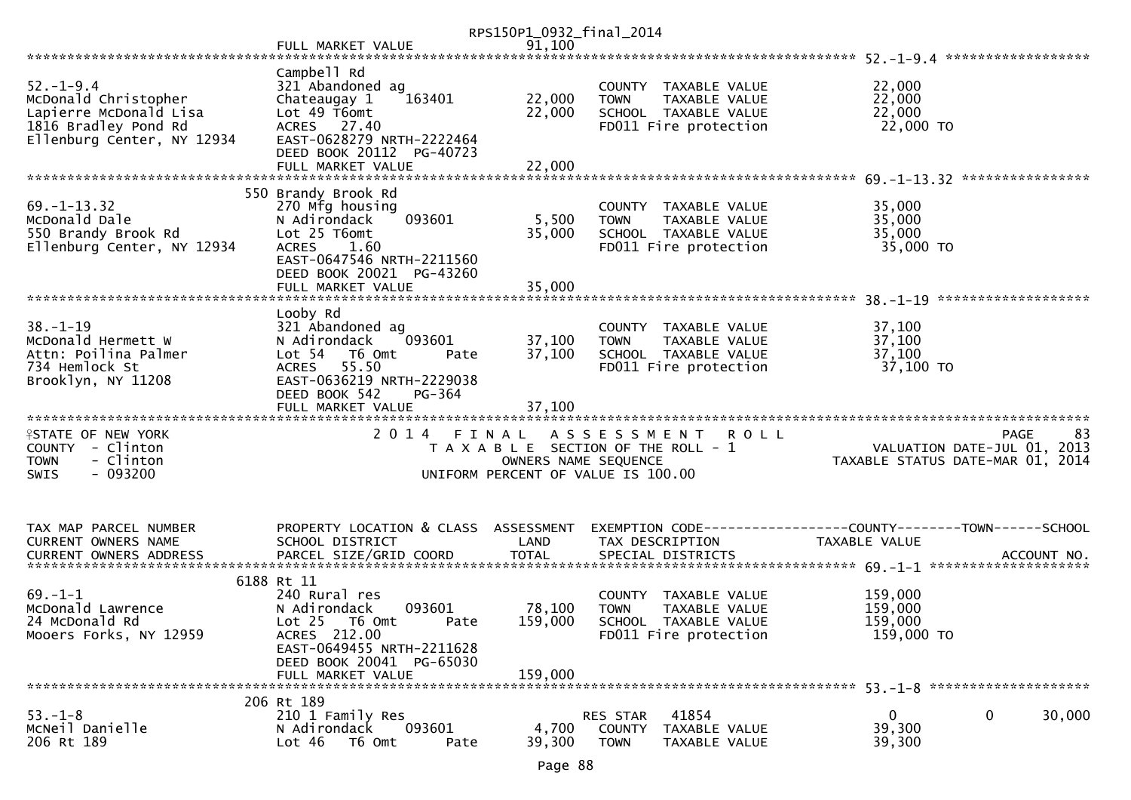|                                                                                                                         |                                                                                                                                                                                | RPS150P1_0932_final_2014     |                                                                                                                     |                                             |                                           |
|-------------------------------------------------------------------------------------------------------------------------|--------------------------------------------------------------------------------------------------------------------------------------------------------------------------------|------------------------------|---------------------------------------------------------------------------------------------------------------------|---------------------------------------------|-------------------------------------------|
|                                                                                                                         | FULL MARKET VALUE                                                                                                                                                              | 91,100                       |                                                                                                                     |                                             |                                           |
| $52. - 1 - 9.4$<br>McDonald Christopher<br>Lapierre McDonald Lisa<br>1816 Bradley Pond Rd<br>Ellenburg Center, NY 12934 | Campbell Rd<br>321 Abandoned ag<br>163401<br>Chateaugay 1<br>Lot 49 T6omt<br>ACRES 27.40<br>EAST-0628279 NRTH-2222464<br>DEED BOOK 20112 PG-40723                              | 22,000<br>22,000             | COUNTY TAXABLE VALUE<br>TAXABLE VALUE<br><b>TOWN</b><br>SCHOOL TAXABLE VALUE<br>FD011 Fire protection               | 22,000<br>22,000<br>22,000<br>22,000 TO     |                                           |
|                                                                                                                         | FULL MARKET VALUE                                                                                                                                                              | 22,000                       |                                                                                                                     |                                             |                                           |
|                                                                                                                         | 550 Brandy Brook Rd                                                                                                                                                            |                              |                                                                                                                     |                                             |                                           |
| $69. - 1 - 13.32$<br>McDonald Dale<br>550 Brandy Brook Rd<br>Ellenburg Center, NY 12934                                 | 270 Mfg housing<br>N Adirondack<br>093601<br>Lot 25 T6omt<br><b>ACRES</b><br>1.60<br>EAST-0647546 NRTH-2211560<br>DEED BOOK 20021 PG-43260<br>FULL MARKET VALUE                | 5,500<br>35,000<br>35,000    | COUNTY TAXABLE VALUE<br><b>TOWN</b><br>TAXABLE VALUE<br>SCHOOL TAXABLE VALUE<br>FD011 Fire protection               | 35,000<br>35,000<br>35,000<br>35,000 TO     |                                           |
|                                                                                                                         |                                                                                                                                                                                |                              |                                                                                                                     |                                             |                                           |
| $38. - 1 - 19$<br>McDonald Hermett W<br>Attn: Poilina Palmer<br>734 Hemlock St<br>Brooklyn, NY 11208                    | Looby Rd<br>321 Abandoned ag<br>N Adirondack<br>093601<br>Lot 54<br>T6 Omt<br>Pate<br>ACRES 55.50<br>EAST-0636219 NRTH-2229038<br>DEED BOOK 542<br>PG-364<br>FULL MARKET VALUE | 37,100<br>37,100<br>37,100   | COUNTY TAXABLE VALUE<br>TAXABLE VALUE<br><b>TOWN</b><br>SCHOOL TAXABLE VALUE<br>FD011 Fire protection               | 37,100<br>37,100<br>37,100<br>37,100 TO     |                                           |
|                                                                                                                         |                                                                                                                                                                                |                              |                                                                                                                     |                                             |                                           |
| <b>ISTATE OF NEW YORK</b><br>COUNTY - Clinton<br>- Clinton<br><b>TOWN</b><br>$-093200$<br><b>SWIS</b>                   |                                                                                                                                                                                | OWNERS NAME SEQUENCE         | 2014 FINAL ASSESSMENT<br><b>ROLL</b><br>T A X A B L E SECTION OF THE ROLL - 1<br>UNIFORM PERCENT OF VALUE IS 100.00 | TAXABLE STATUS DATE-MAR 01, 2014            | 83<br>PAGE<br>VALUATION DATE-JUL 01, 2013 |
| TAX MAP PARCEL NUMBER<br>CURRENT OWNERS NAME                                                                            | PROPERTY LOCATION & CLASS ASSESSMENT<br>SCHOOL DISTRICT                                                                                                                        | LAND                         | TAX DESCRIPTION                                                                                                     | TAXABLE VALUE                               |                                           |
|                                                                                                                         | 6188 Rt 11                                                                                                                                                                     |                              |                                                                                                                     |                                             |                                           |
| $69. - 1 - 1$<br>McDonald Lawrence<br>24 McDonald Rd<br>Mooers Forks, NY 12959                                          | 240 Rural res<br>N Adirondack<br>093601<br>Lot 25 T6 Omt<br>Pate<br>ACRES 212.00<br>EAST-0649455 NRTH-2211628<br>DEED BOOK 20041 PG-65030<br>FULL MARKET VALUE                 | 78,100<br>159,000<br>159,000 | COUNTY TAXABLE VALUE<br><b>TOWN</b><br><b>TAXABLE VALUE</b><br>SCHOOL TAXABLE VALUE<br>FD011 Fire protection        | 159,000<br>159,000<br>159,000<br>159,000 TO |                                           |
|                                                                                                                         | 206 Rt 189                                                                                                                                                                     |                              |                                                                                                                     |                                             |                                           |
| $53. - 1 - 8$<br>McNeil Danielle<br>206 Rt 189                                                                          | 210 1 Family Res<br>093601<br>N Adirondack<br>T6 Omt<br>Lot 46<br>Pate                                                                                                         | 4,700<br>39,300              | 41854<br>RES STAR<br>COUNTY<br>TAXABLE VALUE<br><b>TOWN</b><br>TAXABLE VALUE                                        | $\overline{0}$<br>39,300<br>39,300          | 30,000<br>$\mathbf 0$                     |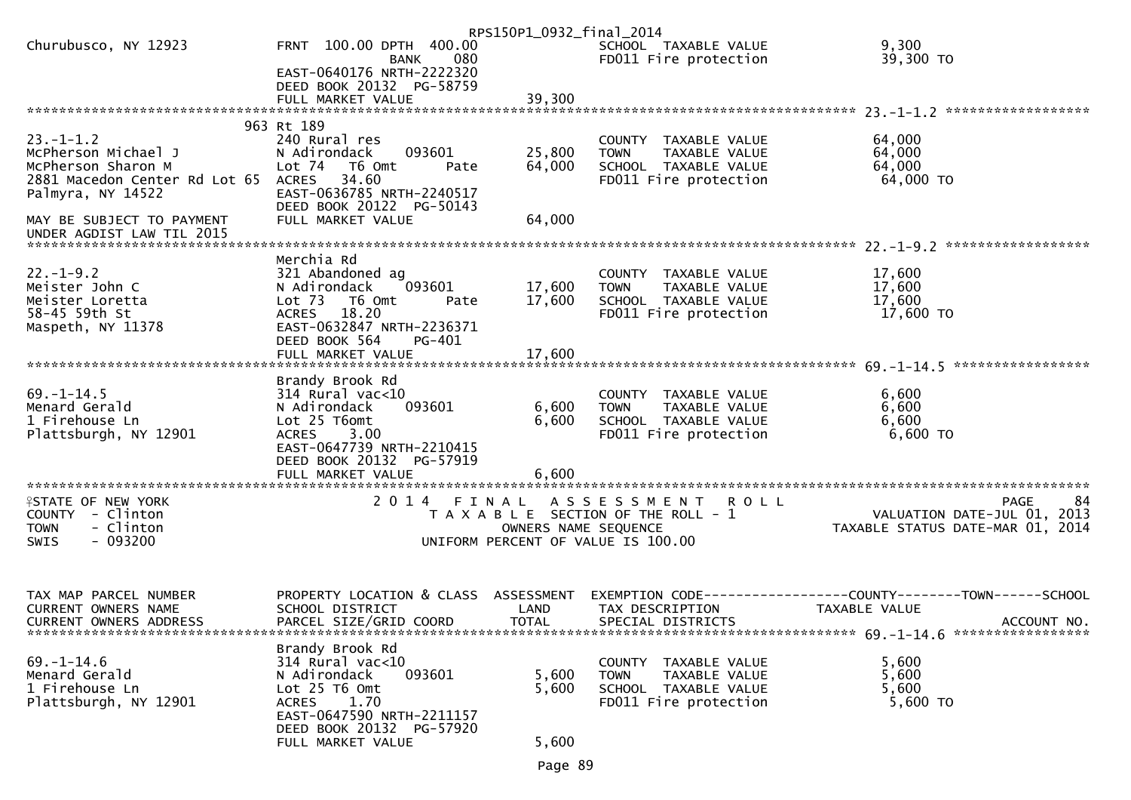|                                 |                                                       | RPS150P1_0932_final_2014 |                                                      |                                                              |
|---------------------------------|-------------------------------------------------------|--------------------------|------------------------------------------------------|--------------------------------------------------------------|
| Churubusco, NY 12923            | FRNT 100.00 DPTH 400.00<br>080<br>BANK                |                          | SCHOOL TAXABLE VALUE<br>FD011 Fire protection        | 9,300<br>39,300 TO                                           |
|                                 | EAST-0640176 NRTH-2222320<br>DEED BOOK 20132 PG-58759 |                          |                                                      |                                                              |
|                                 |                                                       |                          |                                                      |                                                              |
|                                 |                                                       |                          |                                                      |                                                              |
| $23. - 1 - 1.2$                 | 963 Rt 189<br>240 Rural res                           |                          | COUNTY TAXABLE VALUE                                 |                                                              |
| McPherson Michael J             | 093601<br>N Adirondack                                | 25,800                   | <b>TOWN</b><br>TAXABLE VALUE                         | 64,000<br>64,000                                             |
| McPherson Sharon M              | Lot 74 T6 Omt<br>Pate                                 | 64,000                   | SCHOOL TAXABLE VALUE                                 | 64,000                                                       |
| 2881 Macedon Center Rd Lot 65   | 34.60<br>ACRES                                        |                          | FD011 Fire protection                                | 64,000 TO                                                    |
| Palmyra, NY 14522               | EAST-0636785 NRTH-2240517                             |                          |                                                      |                                                              |
|                                 | DEED BOOK 20122 PG-50143                              |                          |                                                      |                                                              |
| MAY BE SUBJECT TO PAYMENT       | FULL MARKET VALUE                                     | 64,000                   |                                                      |                                                              |
|                                 |                                                       |                          |                                                      |                                                              |
| $22. - 1 - 9.2$                 | Merchia Rd                                            |                          |                                                      |                                                              |
| Meister John C                  | 321 Abandoned ag<br>093601<br>N Adirondack            | 17,600                   | COUNTY TAXABLE VALUE<br>TAXABLE VALUE<br><b>TOWN</b> | 17,600<br>17,600                                             |
| Meister Loretta                 | Lot 73 T6 Omt<br>Pate                                 | 17,600                   | SCHOOL TAXABLE VALUE                                 | 17,600                                                       |
| 58-45 59th St                   | ACRES 18.20                                           |                          | FD011 Fire protection                                | 17,600 TO                                                    |
| Maspeth, NY 11378               | EAST-0632847 NRTH-2236371                             |                          |                                                      |                                                              |
|                                 | DEED BOOK 564<br>PG-401                               |                          |                                                      |                                                              |
|                                 |                                                       |                          |                                                      |                                                              |
|                                 | Brandy Brook Rd                                       |                          |                                                      |                                                              |
| $69. - 1 - 14.5$                | $314$ Rural vac<10                                    |                          | COUNTY TAXABLE VALUE                                 | 6,600                                                        |
| Menard Gerald                   | 093601<br>N Adirondack                                | 6,600                    | <b>TOWN</b><br>TAXABLE VALUE                         | 6,600                                                        |
| 1 Firehouse Ln                  | Lot 25 T6omt                                          | 6,600                    | SCHOOL TAXABLE VALUE                                 | 6,600                                                        |
| Plattsburgh, NY 12901           | <b>ACRES</b><br>3.00                                  |                          | FD011 Fire protection                                | 6,600 TO                                                     |
|                                 | EAST-0647739 NRTH-2210415                             |                          |                                                      |                                                              |
|                                 | DEED BOOK 20132 PG-57919<br>FULL MARKET VALUE         | 6,600                    |                                                      |                                                              |
|                                 |                                                       |                          |                                                      |                                                              |
| <b>ISTATE OF NEW YORK</b>       | 2014 FINAL                                            |                          | ASSESSMENT ROLL                                      | <b>PAGE</b><br>84                                            |
| COUNTY - Clinton                |                                                       |                          | T A X A B L E SECTION OF THE ROLL - 1                | VALUATION DATE-JUL 01, 2013                                  |
| - Clinton<br><b>TOWN</b>        |                                                       | OWNERS NAME SEQUENCE     |                                                      | VALUATION DATE-MAR 01, 2014                                  |
| $-093200$<br><b>SWIS</b>        |                                                       |                          | UNIFORM PERCENT OF VALUE IS 100.00                   |                                                              |
|                                 |                                                       |                          |                                                      |                                                              |
| TAX MAP PARCEL NUMBER           | PROPERTY LOCATION & CLASS ASSESSMENT                  |                          |                                                      | EXEMPTION CODE-----------------COUNTY-------TOWN------SCHOOL |
| CURRENT OWNERS NAME             | SCHOOL DISTRICT                                       | LAND                     | TAX DESCRIPTION                                      | TAXABLE VALUE                                                |
| <b>CURRENT OWNERS ADDRESS</b>   | PARCEL SIZE/GRID COORD                                | <b>TOTAL</b>             | SPECIAL DISTRICTS                                    | ACCOUNT NO.                                                  |
|                                 |                                                       |                          |                                                      |                                                              |
|                                 | Brandy Brook Rd                                       |                          |                                                      |                                                              |
| $69. - 1 - 14.6$                | 314 Rural vac<10                                      |                          | COUNTY TAXABLE VALUE                                 | 5,600                                                        |
| Menard Gerald<br>1 Firehouse Ln | N Adirondack<br>093601<br>Lot 25 T6 Omt               | 5,600                    | TAXABLE VALUE<br><b>TOWN</b>                         | 5,600<br>5,600                                               |
| Plattsburgh, NY 12901           | 1.70<br>ACRES                                         | 5,600                    | SCHOOL TAXABLE VALUE<br>FD011 Fire protection        | 5,600 TO                                                     |
|                                 | EAST-0647590 NRTH-2211157                             |                          |                                                      |                                                              |
|                                 | DEED BOOK 20132 PG-57920                              |                          |                                                      |                                                              |
|                                 | FULL MARKET VALUE                                     | 5,600                    |                                                      |                                                              |

Page 89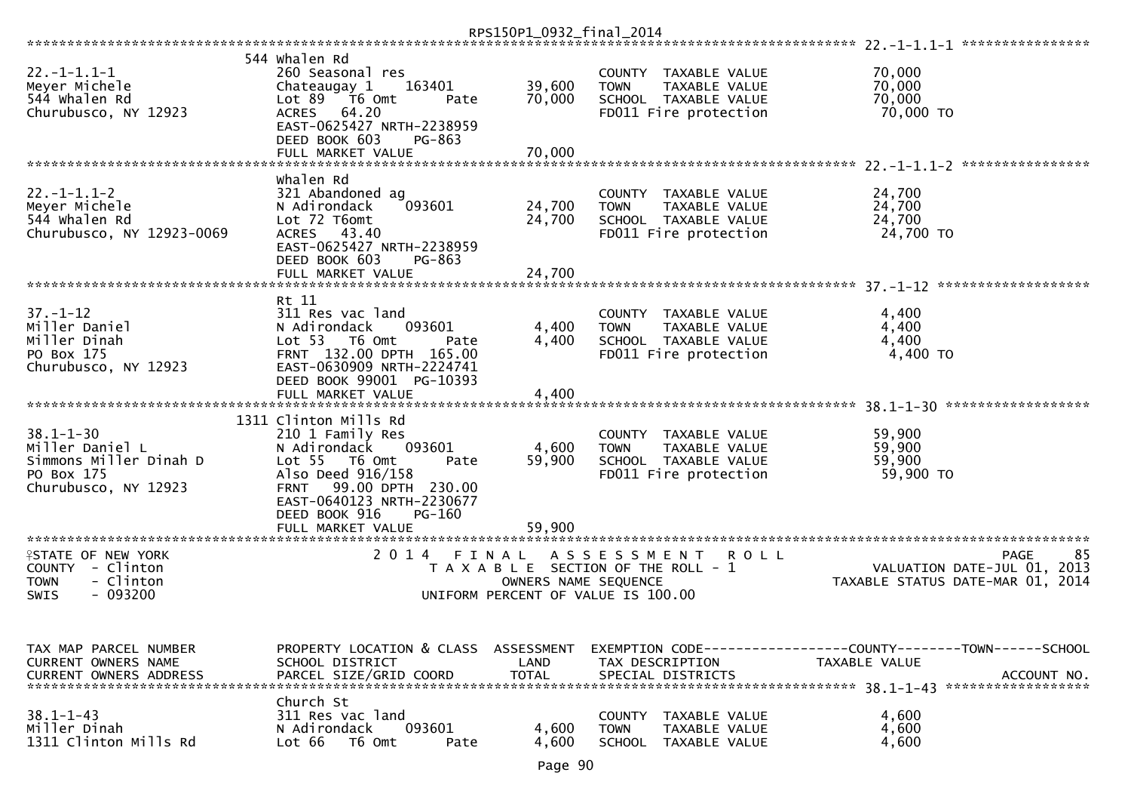|                                                                                                    |                                                                                                                                                                                                                             | RPS150P1_0932_final_2014           |                                                                                                                 |                                                                                                |
|----------------------------------------------------------------------------------------------------|-----------------------------------------------------------------------------------------------------------------------------------------------------------------------------------------------------------------------------|------------------------------------|-----------------------------------------------------------------------------------------------------------------|------------------------------------------------------------------------------------------------|
|                                                                                                    |                                                                                                                                                                                                                             |                                    |                                                                                                                 | ****************                                                                               |
| $22. - 1 - 1.1 - 1$<br>Meyer Michele<br>544 Whalen Rd<br>Churubusco, NY 12923                      | 544 Whalen Rd<br>260 Seasonal res<br>Chateaugay 1<br>163401<br>Lot 89<br>T6 Omt<br>Pate<br><b>ACRES</b><br>64.20<br>EAST-0625427 NRTH-2238959                                                                               | 39,600<br>70,000                   | COUNTY TAXABLE VALUE<br>TAXABLE VALUE<br><b>TOWN</b><br>SCHOOL TAXABLE VALUE<br>FD011 Fire protection           | 70,000<br>70,000<br>70,000<br>70,000 TO                                                        |
|                                                                                                    | DEED BOOK 603<br>PG-863<br>FULL MARKET VALUE                                                                                                                                                                                | 70,000                             |                                                                                                                 | ****************                                                                               |
| $22. - 1 - 1.1 - 2$<br>Meyer Michele<br>544 whalen Rd<br>Churubusco, NY 12923-0069                 | whalen Rd<br>321 Abandoned ag<br>093601<br>N Adirondack<br>Lot 72 T6omt<br>43.40<br><b>ACRES</b><br>EAST-0625427 NRTH-2238959<br>DEED BOOK 603<br>PG-863                                                                    | 24,700<br>24,700                   | COUNTY TAXABLE VALUE<br>TAXABLE VALUE<br><b>TOWN</b><br>SCHOOL TAXABLE VALUE<br>FD011 Fire protection           | 24,700<br>24,700<br>24,700<br>24,700 TO                                                        |
|                                                                                                    | FULL MARKET VALUE                                                                                                                                                                                                           | 24,700                             |                                                                                                                 | *******************                                                                            |
| $37. - 1 - 12$<br>Miller Daniel<br>Miller Dinah<br>PO Box 175<br>Churubusco, NY 12923              | Rt 11<br>311 Res vac land<br>N Adirondack<br>093601<br>Lot <sub>53</sub><br>T6 Omt<br>Pate<br>FRNT 132.00 DPTH 165.00<br>EAST-0630909 NRTH-2224741<br>DEED BOOK 99001 PG-10393                                              | 4,400<br>4,400                     | COUNTY TAXABLE VALUE<br>TAXABLE VALUE<br><b>TOWN</b><br>SCHOOL TAXABLE VALUE<br>FD011 Fire protection           | 4,400<br>4,400<br>4,400<br>4,400 TO                                                            |
|                                                                                                    | FULL MARKET VALUE                                                                                                                                                                                                           | 4,400                              |                                                                                                                 |                                                                                                |
| $38.1 - 1 - 30$<br>Miller Daniel L<br>Simmons Miller Dinah D<br>PO Box 175<br>Churubusco, NY 12923 | 1311 Clinton Mills Rd<br>210 1 Family Res<br>N Adirondack<br>093601<br>Lot <sub>55</sub><br>T6 Omt<br>Pate<br>Also Deed 916/158<br>99.00 DPTH 230.00<br><b>FRNT</b><br>EAST-0640123 NRTH-2230677<br>DEED BOOK 916<br>PG-160 | 4,600<br>59,900                    | <b>COUNTY</b><br>TAXABLE VALUE<br>TAXABLE VALUE<br><b>TOWN</b><br>SCHOOL TAXABLE VALUE<br>FD011 Fire protection | 59,900<br>59,900<br>59,900<br>59,900 TO                                                        |
| *********************                                                                              | FULL MARKET VALUE<br>*********************                                                                                                                                                                                  | 59,900                             |                                                                                                                 |                                                                                                |
| <b>ISTATE OF NEW YORK</b><br>COUNTY - Clinton<br>- Clinton<br><b>TOWN</b><br>$-093200$<br>SWIS     | 2 0 1 4<br>FINAL                                                                                                                                                                                                            | OWNERS NAME SEQUENCE               | ASSESSMENT<br>R O L L<br>T A X A B L E SECTION OF THE ROLL - 1<br>UNIFORM PERCENT OF VALUE IS 100.00            | 85<br><b>PAGE</b><br>VALUATION DATE-JUL 01, 2013<br>TAXABLE STATUS DATE-MAR 01, 2014           |
|                                                                                                    |                                                                                                                                                                                                                             |                                    |                                                                                                                 |                                                                                                |
| TAX MAP PARCEL NUMBER<br>CURRENT OWNERS NAME<br><b>CURRENT OWNERS ADDRESS</b>                      | PROPERTY LOCATION & CLASS<br>SCHOOL DISTRICT<br>PARCEL SIZE/GRID COORD                                                                                                                                                      | ASSESSMENT<br>LAND<br><b>TOTAL</b> | TAX DESCRIPTION<br>SPECIAL DISTRICTS                                                                            | EXEMPTION CODE------------------COUNTY--------TOWN------SCHOOL<br>TAXABLE VALUE<br>ACCOUNT NO. |
| $38.1 - 1 - 43$<br>Miller Dinah<br>1311 Clinton Mills Rd                                           | Church St<br>311 Res vac land<br>093601<br>N Adirondack<br>Lot 66<br>T6 Omt<br>Pate                                                                                                                                         | 4,600<br>4,600                     | <b>COUNTY</b><br>TAXABLE VALUE<br><b>TOWN</b><br>TAXABLE VALUE<br><b>SCHOOL</b><br>TAXABLE VALUE                | 4,600<br>4,600<br>4,600                                                                        |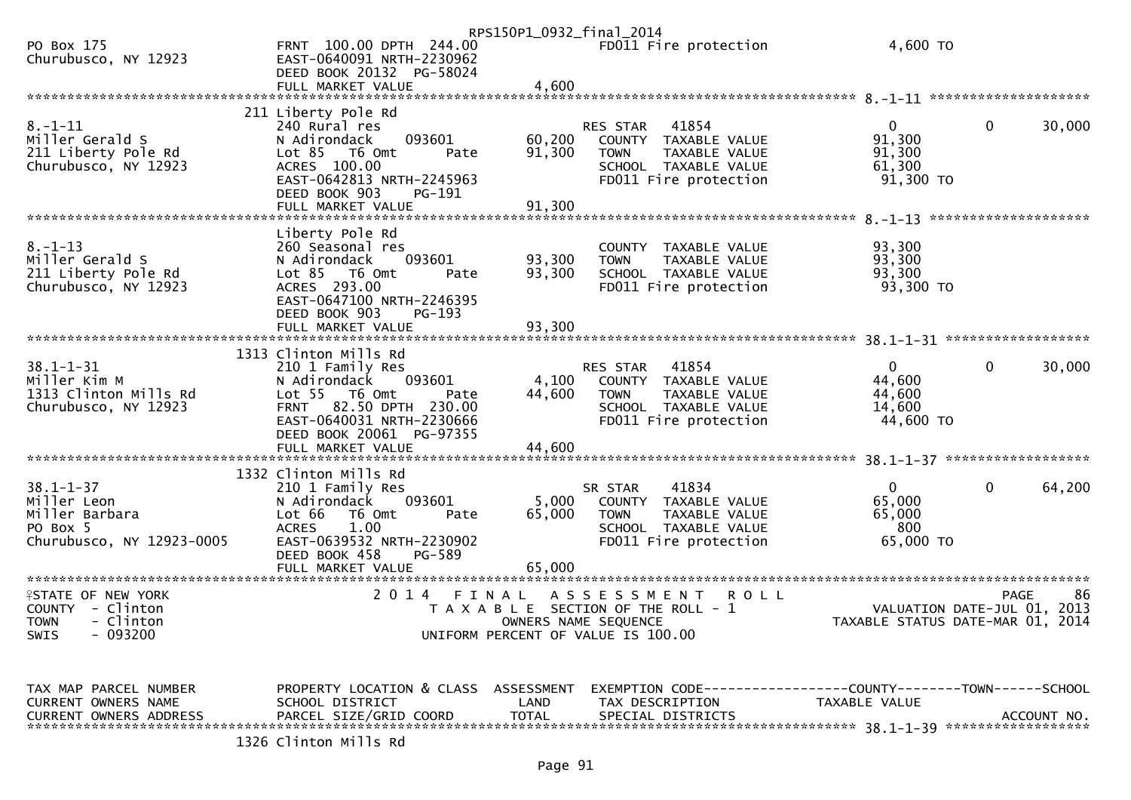|                                                                                           |                                                                                                                                                                                 | RPS150P1_0932_final_2014  |                                                                                                                            |                                                           |                             |
|-------------------------------------------------------------------------------------------|---------------------------------------------------------------------------------------------------------------------------------------------------------------------------------|---------------------------|----------------------------------------------------------------------------------------------------------------------------|-----------------------------------------------------------|-----------------------------|
| PO Box 175<br>Churubusco, NY 12923                                                        | FRNT 100.00 DPTH 244.00<br>EAST-0640091 NRTH-2230962<br>DEED BOOK 20132 PG-58024                                                                                                |                           | FD011 Fire protection                                                                                                      | 4,600 TO                                                  |                             |
|                                                                                           |                                                                                                                                                                                 |                           |                                                                                                                            |                                                           |                             |
|                                                                                           | 211 Liberty Pole Rd                                                                                                                                                             |                           |                                                                                                                            |                                                           |                             |
| $8. - 1 - 11$<br>Miller Gerald S<br>211 Liberty Pole Rd<br>Churubusco, NY 12923           | 240 Rural res<br>093601<br>N Adirondack<br>Lot $85$ T6 Omt<br>Pate<br>ACRES 100.00<br>EAST-0642813 NRTH-2245963<br>DEED BOOK 903<br>PG-191                                      | 60,200<br>91,300          | 41854<br>RES STAR<br>COUNTY TAXABLE VALUE<br>TAXABLE VALUE<br><b>TOWN</b><br>SCHOOL TAXABLE VALUE<br>FD011 Fire protection | $\overline{0}$<br>91,300<br>91,300<br>61,300<br>91,300 TO | 0<br>30,000                 |
|                                                                                           |                                                                                                                                                                                 |                           |                                                                                                                            |                                                           |                             |
|                                                                                           |                                                                                                                                                                                 |                           |                                                                                                                            |                                                           | ********************        |
| $8. - 1 - 13$<br>Miller Gerald S<br>211 Liberty Pole Rd<br>Churubusco, NY 12923           | Liberty Pole Rd<br>260 Seasonal res<br>093601<br>N Adirondack<br>Lot 85 T6 Omt<br>Pate<br>ACRES 293.00<br>EAST-0647100 NRTH-2246395<br>DEED BOOK 903<br>PG-193                  | 93,300<br>93,300          | COUNTY TAXABLE VALUE<br>TAXABLE VALUE<br><b>TOWN</b><br>SCHOOL TAXABLE VALUE<br>FD011 Fire protection                      | 93,300<br>93,300<br>93,300<br>93,300 TO                   |                             |
|                                                                                           |                                                                                                                                                                                 |                           |                                                                                                                            |                                                           |                             |
|                                                                                           |                                                                                                                                                                                 |                           |                                                                                                                            |                                                           |                             |
| $38.1 - 1 - 31$<br>Miller Kim M<br>1313 Clinton Mills Rd<br>Churubusco, NY 12923          | 1313 Clinton Mills Rd<br>210 1 Family Res<br>093601<br>N Adirondack<br>Lot 55 T6 Omt<br>Pate<br>FRNT 82.50 DPTH 230.00<br>EAST-0640031 NRTH-2230666<br>DEED BOOK 20061 PG-97355 | 4,100<br>44,600           | 41854<br>RES STAR<br>COUNTY TAXABLE VALUE<br><b>TOWN</b><br>TAXABLE VALUE<br>SCHOOL TAXABLE VALUE<br>FD011 Fire protection | $\Omega$<br>44,600<br>44,600<br>14,600<br>44,600 TO       | 0<br>30,000                 |
|                                                                                           | 1332 Clinton Mills Rd                                                                                                                                                           |                           |                                                                                                                            |                                                           |                             |
| $38.1 - 1 - 37$<br>Miller Leon<br>Miller Barbara<br>PO Box 5<br>Churubusco, NY 12923-0005 | 210 1 Family Res<br>093601<br>N Adirondack<br>Lot 66<br>T6 Omt<br>Pate<br>1.00<br><b>ACRES</b><br>EAST-0639532 NRTH-2230902<br>DEED BOOK 458<br>PG-589<br>FULL MARKET VALUE     | 5,000<br>65,000<br>65,000 | 41834<br>SR STAR<br>COUNTY TAXABLE VALUE<br><b>TOWN</b><br>TAXABLE VALUE<br>SCHOOL TAXABLE VALUE<br>FD011 Fire protection  | $\mathbf{0}$<br>65,000<br>65,000<br>800<br>65,000 TO      | 0<br>64,200                 |
| <b>ISTATE OF NEW YORK</b>                                                                 | 2014 FINAL                                                                                                                                                                      |                           | A S S E S S M E N T<br><b>ROLL</b>                                                                                         |                                                           | 86<br><b>PAGE</b>           |
| COUNTY - Clinton<br>TOWN - Clinton<br>$-093200$<br><b>SWIS</b>                            |                                                                                                                                                                                 |                           | T A X A B L E SECTION OF THE ROLL - 1<br>OWNERS NAME SEQUENCE<br>UNIFORM PERCENT OF VALUE IS 100.00                        | TAXABLE STATUS DATE-MAR 01, 2014                          | VALUATION DATE-JUL 01, 2013 |
| TAX MAP PARCEL NUMBER<br>CURRENT OWNERS NAME<br><b>CURRENT OWNERS ADDRESS</b>             | PROPERTY LOCATION & CLASS ASSESSMENT<br>SCHOOL DISTRICT<br>PARCEL SIZE/GRID COORD                                                                                               | LAND<br><b>TOTAL</b>      | EXEMPTION CODE------------------COUNTY--------TOWN------SCHOOL<br>TAX DESCRIPTION<br>SPECIAL DISTRICTS                     | TAXABLE VALUE                                             | ACCOUNT NO.                 |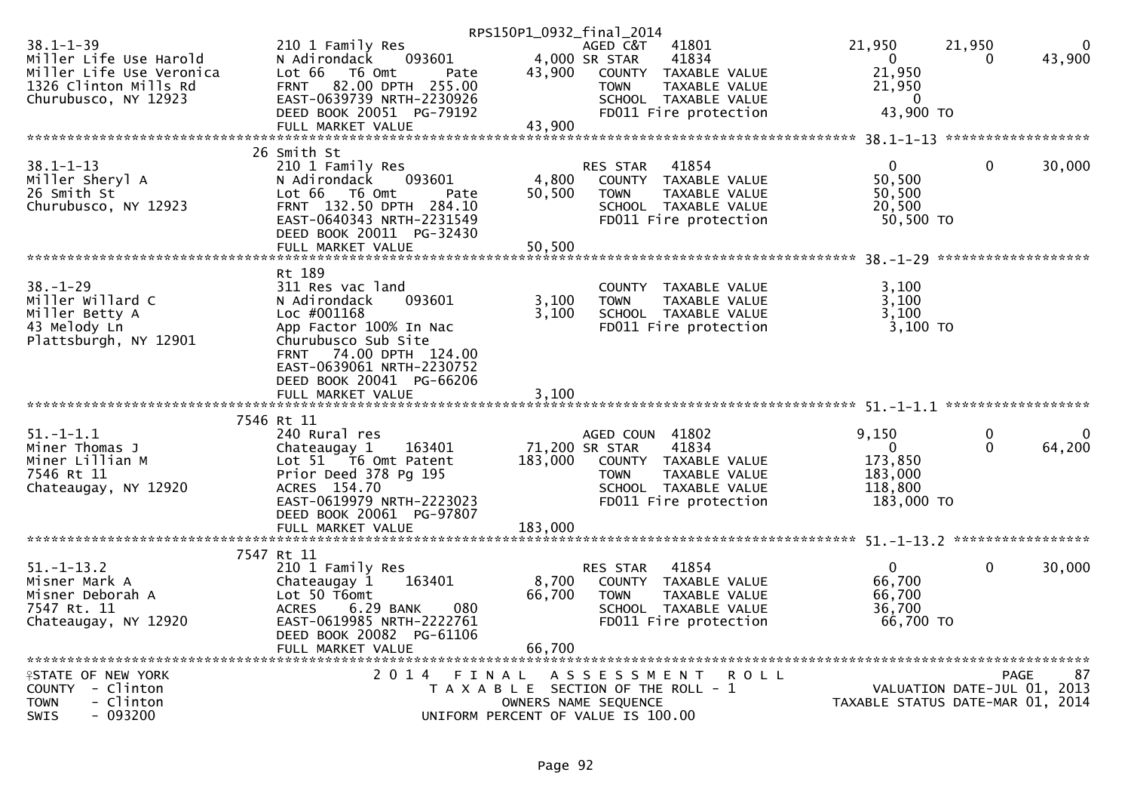|                                                                                                                        |                                                                                                                                                                                                         | RPS150P1_0932_final_2014                                                    |                                                  |                                                                                                          |                                                                        |                             |                    |
|------------------------------------------------------------------------------------------------------------------------|---------------------------------------------------------------------------------------------------------------------------------------------------------------------------------------------------------|-----------------------------------------------------------------------------|--------------------------------------------------|----------------------------------------------------------------------------------------------------------|------------------------------------------------------------------------|-----------------------------|--------------------|
| $38.1 - 1 - 39$<br>Miller Life Use Harold<br>Miller Life Use Veronica<br>1326 Clinton Mills Rd<br>Churubusco, NY 12923 | 210 1 Family Res<br>N Adirondack<br>093601<br>Lot 66  T6 0mt<br>Pate<br>FRNT 82.00 DPTH 255.00<br>EAST-0639739 NRTH-2230926<br>DEED BOOK 20051 PG-79192                                                 | 43,900                                                                      | AGED C&T<br>4,000 SR STAR<br><b>TOWN</b>         | 41801<br>41834<br>COUNTY TAXABLE VALUE<br>TAXABLE VALUE<br>SCHOOL TAXABLE VALUE<br>FD011 Fire protection | 21,950<br>$\mathbf 0$<br>21,950<br>21,950<br>0<br>43,900 TO            | 21,950<br>0                 | $\Omega$<br>43,900 |
|                                                                                                                        |                                                                                                                                                                                                         |                                                                             |                                                  |                                                                                                          |                                                                        |                             |                    |
| $38.1 - 1 - 13$<br>Miller Sheryl A<br>26 Smith St<br>Churubusco, NY 12923                                              | 26 Smith St<br>210 1 Family Res<br>093601<br>N Adirondack<br>Lot 66  T6 0mt<br>Pate<br>FRNT 132.50 DPTH 284.10<br>EAST-0640343 NRTH-2231549<br>DEED BOOK 20011 PG-32430                                 | 4,800<br>50,500                                                             | RES STAR<br><b>TOWN</b>                          | 41854<br>COUNTY TAXABLE VALUE<br>TAXABLE VALUE<br>SCHOOL TAXABLE VALUE<br>FD011 Fire protection          | $\mathbf{0}$<br>50,500<br>50,500<br>20,500<br>50,500 TO                | $\mathbf 0$                 | 30,000             |
|                                                                                                                        | FULL MARKET VALUE                                                                                                                                                                                       | 50,500                                                                      |                                                  |                                                                                                          |                                                                        |                             |                    |
| $38. - 1 - 29$<br>Miller Willard C<br>Miller Betty A<br>43 Melody Ln<br>Plattsburgh, NY 12901                          | Rt 189<br>311 Res vac land<br>N Adirondack<br>093601<br>Loc #001168<br>App Factor 100% In Nac<br>Churubusco Sub Site<br>FRNT 74.00 DPTH 124.00<br>EAST-0639061 NRTH-2230752<br>DEED BOOK 20041 PG-66206 | 3,100<br>3,100                                                              | <b>TOWN</b>                                      | COUNTY TAXABLE VALUE<br>TAXABLE VALUE<br>SCHOOL TAXABLE VALUE<br>FD011 Fire protection                   | 3,100<br>3,100<br>3,100<br>3,100 TO                                    |                             |                    |
|                                                                                                                        | FULL MARKET VALUE                                                                                                                                                                                       | 3,100                                                                       |                                                  |                                                                                                          |                                                                        |                             |                    |
| $51. - 1 - 1.1$<br>Miner Thomas J<br>Miner Lillian M<br>7546 Rt 11<br>Chateaugay, NY 12920                             | 7546 Rt 11<br>240 Rural res<br>Chateaugay 1<br>163401<br>Lot 51 T6 Omt Patent<br>Prior Deed 378 Pg 195<br>ACRES 154.70<br>EAST-0619979 NRTH-2223023<br>DEED BOOK 20061 PG-97807                         | 183,000                                                                     | AGED COUN 41802<br>71,200 SR STAR<br><b>TOWN</b> | 41834<br>COUNTY TAXABLE VALUE<br>TAXABLE VALUE<br>SCHOOL TAXABLE VALUE<br>FD011 Fire protection          | 9,150<br>$\overline{0}$<br>173,850<br>183,000<br>118,800<br>183,000 TO | 0<br>$\mathbf 0$            | 64,200             |
|                                                                                                                        | 7547 Rt 11                                                                                                                                                                                              |                                                                             |                                                  |                                                                                                          |                                                                        |                             |                    |
| $51.-1-13.2$<br>Misner Mark A<br>Misner Deborah A<br>7547 Rt. 11<br>Chateaugay, NY 12920                               | 210 1 Family Res<br>163401<br>Chateaugay 1<br>Lot 50 T6omt<br>6.29 BANK<br><b>ACRES</b><br>080<br>EAST-0619985 NRTH-2222761<br>DEED BOOK 20082 PG-61106<br>FULL MARKET VALUE                            | 8,700<br>66,700<br>66,700                                                   | RES STAR<br><b>TOWN</b>                          | 41854<br>COUNTY TAXABLE VALUE<br>TAXABLE VALUE<br>SCHOOL TAXABLE VALUE<br>FD011 Fire protection          | $\mathbf{0}$<br>66,700<br>66,700<br>36,700<br>66,700 TO                | $\mathbf 0$                 | 30,000             |
| <b><i>LESTATE OF NEW YORK</i></b>                                                                                      | 2014 FINAL ASSESSMENT ROLL                                                                                                                                                                              |                                                                             |                                                  |                                                                                                          |                                                                        |                             | 87<br><b>PAGE</b>  |
| COUNTY - Clinton<br>- Clinton<br><b>TOWN</b><br>$-093200$<br>SWIS                                                      |                                                                                                                                                                                                         | T A X A B L E SECTION OF THE ROLL - 1<br>UNIFORM PERCENT OF VALUE IS 100.00 | OWNERS NAME SEQUENCE                             |                                                                                                          | TAXABLE STATUS DATE-MAR 01, 2014                                       | VALUATION DATE-JUL 01, 2013 |                    |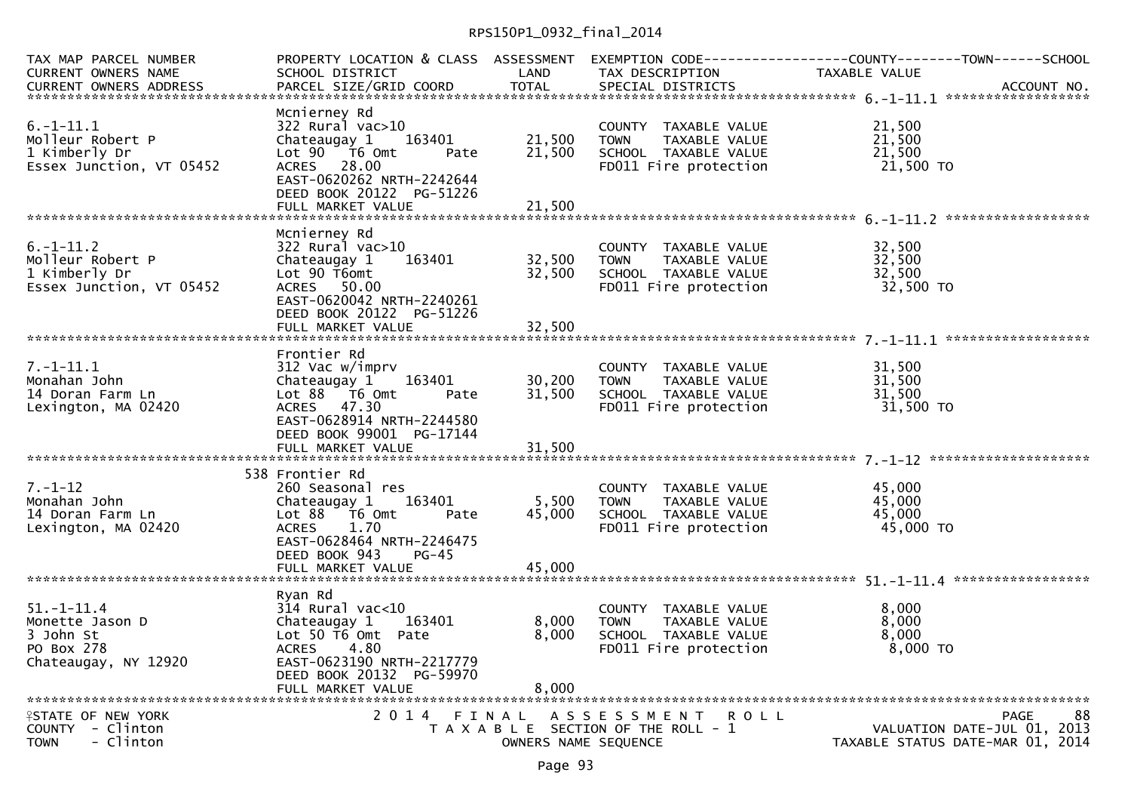## RPS150P1\_0932\_final\_2014

| TAX MAP PARCEL NUMBER<br>CURRENT OWNERS NAME                                           | SCHOOL DISTRICT                                                                                                                                                                           | <b>LAND</b>                   | TAX DESCRIPTION                                                                                                                           | PROPERTY LOCATION & CLASS ASSESSMENT EXEMPTION CODE----------------COUNTY--------TOWN------SCHOOL<br>TAXABLE VALUE |
|----------------------------------------------------------------------------------------|-------------------------------------------------------------------------------------------------------------------------------------------------------------------------------------------|-------------------------------|-------------------------------------------------------------------------------------------------------------------------------------------|--------------------------------------------------------------------------------------------------------------------|
| $6. -1 - 11.1$<br>Molleur Robert P<br>1 Kimberly Dr<br>Essex Junction, VT 05452        | Mcnierney Rd<br>322 Rural vac>10<br>Chateaugay 1<br>163401<br>Lot 90 T6 Omt<br>Pate<br>ACRES 28.00<br>EAST-0620262 NRTH-2242644<br>DEED BOOK 20122 PG-51226<br>FULL MARKET VALUE          | 21,500<br>21,500<br>21,500    | COUNTY TAXABLE VALUE<br><b>TOWN</b><br>TAXABLE VALUE<br>SCHOOL TAXABLE VALUE<br>FD011 Fire protection                                     | 21,500<br>21,500<br>21,500<br>21,500 TO                                                                            |
| $6. -1 - 11.2$<br>Molleur Robert P<br>1 Kimberly Dr<br>Essex Junction, VT 05452        | Mcnierney Rd<br>$322$ Rural vac $>10$<br>163401<br>Chateaugay 1<br>Lot 90 T6omt<br>ACRES 50.00<br>EAST-0620042 NRTH-2240261<br>DEED BOOK 20122 PG-51226<br>FULL MARKET VALUE              | 32,500<br>32,500<br>32,500    | COUNTY TAXABLE VALUE<br><b>TOWN</b><br>TAXABLE VALUE<br>TUWN LAVORELL<br>SCHOOL TAXABLE VALUE<br>Time protection<br>FD011 Fire protection | 32,500<br>32,500<br>32,500<br>32,500 TO                                                                            |
| $7. - 1 - 11.1$<br>Monahan John<br>14 Doran Farm Ln<br>Lexington, MA 02420             | Frontier Rd<br>312 Vac w/imprv<br>163401<br>Chateaugay 1<br>Lot 88 T6 Omt<br>Pate<br>ACRES 47.30<br>EAST-0628914 NRTH-2244580<br>DEED BOOK 99001 PG-17144                                 | 30,200<br>31,500              | COUNTY TAXABLE VALUE<br>TAXABLE VALUE<br><b>TOWN</b><br>SCHOOL TAXABLE VALUE<br>FD011 Fire protection                                     | 31,500<br>31,500<br>31,500<br>31,500 TO                                                                            |
| $7. - 1 - 12$<br>Monahan John<br>14 Doran Farm Ln<br>Lexington, MA 02420               | 538 Frontier Rd<br>260 Seasonal res<br>Chateaugay 1 163401<br>Lot 88 T6 Omt<br>Pate<br><b>ACRES</b><br>1.70<br>EAST-0628464 NRTH-2246475<br>DEED BOOK 943<br>$PG-45$<br>FULL MARKET VALUE | 5,500<br>45,000<br>45,000     | COUNTY TAXABLE VALUE<br><b>TOWN</b><br>TOWN       TAXABLE  VALUE<br>SCHOOL    TAXABLE  VALUE<br>FD011 Fire protection                     | 45,000<br>45,000<br>45,000<br>45,000 TO                                                                            |
| $51. - 1 - 11.4$<br>Monette Jason D<br>3 John St<br>PO Box 278<br>Chateaugay, NY 12920 | Ryan Rd<br>$314$ Rural vac<10<br>163401<br>Chateaugay 1<br>Lot 50 T6 Omt Pate<br>ACRES 4.80<br>EAST-0623190 NRTH-2217779<br>DEED BOOK 20132 PG-59970<br>FULL MARKET VALUE                 | 8,000<br>8,000<br>8,000       | COUNTY TAXABLE VALUE<br><b>TOWN</b><br>TAXABLE VALUE<br>SCHOOL TAXABLE VALUE<br>FD011 Fire protection                                     | 8,000<br>8,000<br>8,000<br>8,000 TO                                                                                |
| <b>ISTATE OF NEW YORK</b><br>COUNTY - Clinton<br>- Clinton<br><b>TOWN</b>              | 2 0 1 4                                                                                                                                                                                   | FINAL<br>OWNERS NAME SEQUENCE | ASSESSMENT ROLL<br>T A X A B L E SECTION OF THE ROLL - 1                                                                                  | <b>PAGE</b><br>88<br>VALUATION DATE-JUL 01, 2013<br>TAXABLE STATUS DATE-MAR 01, 2014                               |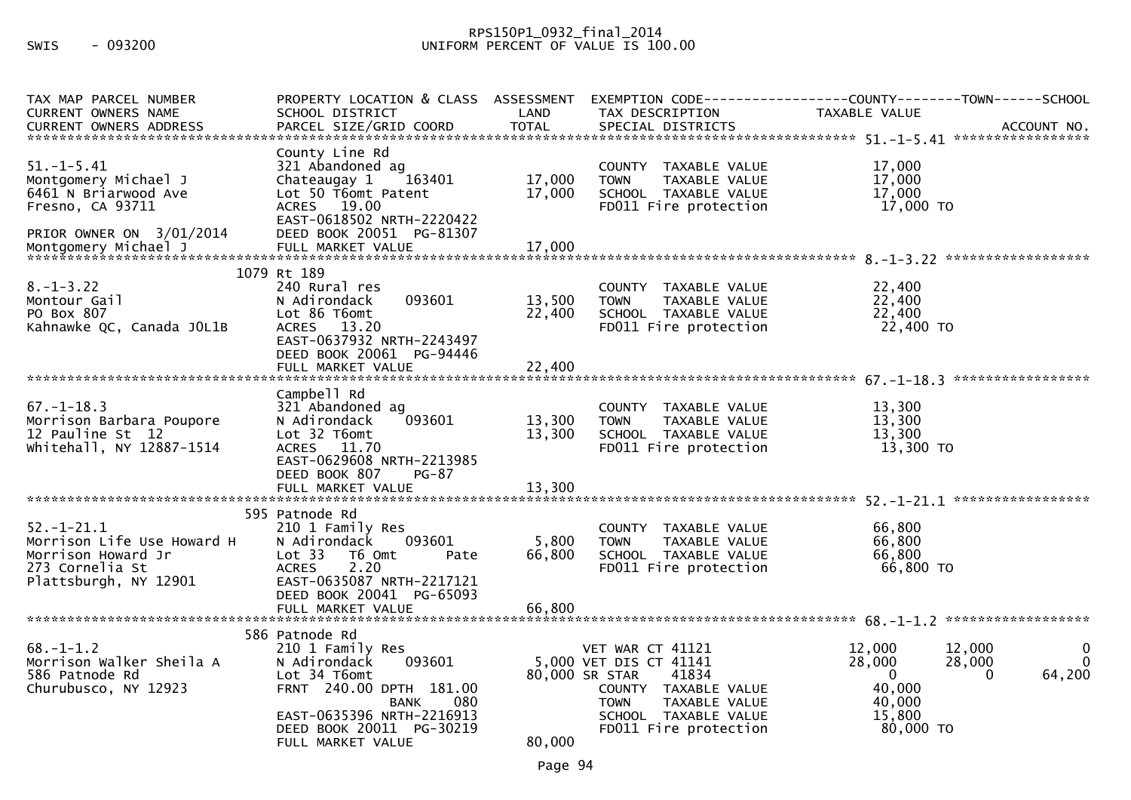## RPS150P1\_0932\_final\_2014 SWIS - 093200 UNIFORM PERCENT OF VALUE IS 100.00

| TAX MAP PARCEL NUMBER<br><b>CURRENT OWNERS NAME</b>                                                              | PROPERTY LOCATION & CLASS ASSESSMENT<br>SCHOOL DISTRICT                                                                                                                                                     | LAND                      | EXEMPTION CODE-----<br>TAX DESCRIPTION                                                                                                                                         | ------------COUNTY--------TOWN------SCHOOL<br>TAXABLE VALUE                                                                               |
|------------------------------------------------------------------------------------------------------------------|-------------------------------------------------------------------------------------------------------------------------------------------------------------------------------------------------------------|---------------------------|--------------------------------------------------------------------------------------------------------------------------------------------------------------------------------|-------------------------------------------------------------------------------------------------------------------------------------------|
|                                                                                                                  |                                                                                                                                                                                                             |                           |                                                                                                                                                                                |                                                                                                                                           |
| $51. - 1 - 5.41$<br>Montgomery Michael J<br>6461 N Briarwood Ave<br>Fresno, CA 93711<br>PRIOR OWNER ON 3/01/2014 | County Line Rd<br>321 Abandoned ag<br>Chateaugay 1<br>163401<br>Lot 50 T6omt Patent<br>ACRES 19.00<br>EAST-0618502 NRTH-2220422<br>DEED BOOK 20051 PG-81307                                                 | 17,000<br>17,000          | COUNTY TAXABLE VALUE<br><b>TOWN</b><br>TAXABLE VALUE<br>SCHOOL TAXABLE VALUE<br>FD011 Fire protection                                                                          | 17,000<br>17,000<br>17,000<br>17,000 TO                                                                                                   |
|                                                                                                                  |                                                                                                                                                                                                             |                           |                                                                                                                                                                                |                                                                                                                                           |
| $8. - 1 - 3.22$<br>Montour Gail<br>PO Box 807<br>Kahnawke QC, Canada JOL1B                                       | 1079 Rt 189<br>240 Rural res<br>093601<br>N Adirondack<br>Lot 86 T6omt<br>ACRES 13.20<br>EAST-0637932 NRTH-2243497<br>DEED BOOK 20061 PG-94446                                                              | 13,500<br>22,400          | COUNTY TAXABLE VALUE<br>TAXABLE VALUE<br><b>TOWN</b><br>SCHOOL TAXABLE VALUE<br>FD011 Fire protection                                                                          | 22,400<br>22,400<br>22,400<br>22,400 TO                                                                                                   |
|                                                                                                                  |                                                                                                                                                                                                             |                           |                                                                                                                                                                                |                                                                                                                                           |
| $67. - 1 - 18.3$<br>Morrison Barbara Poupore<br>12 Pauline St 12<br>whitehall, NY 12887-1514                     | Campbell Rd<br>321 Abandoned ag<br>093601<br>N Adirondack<br>Lot 32 T6omt<br>ACRES 11.70<br>EAST-0629608 NRTH-2213985<br>DEED BOOK 807<br>PG-87                                                             | 13,300<br>13,300          | COUNTY TAXABLE VALUE<br>TAXABLE VALUE<br><b>TOWN</b><br>SCHOOL TAXABLE VALUE<br>FD011 Fire protection                                                                          | 13,300<br>13,300<br>13,300<br>13,300 TO                                                                                                   |
| $52. - 1 - 21.1$<br>Morrison Life Use Howard H<br>Morrison Howard Jr<br>273 Cornelia St<br>Plattsburgh, NY 12901 | 595 Patnode Rd<br>210 1 Family Res<br>093601<br>N Adirondack<br>Lot 33<br>T6 Omt<br>Pate<br>2.20<br><b>ACRES</b><br>EAST-0635087 NRTH-2217121<br>DEED BOOK 20041 PG-65093<br>FULL MARKET VALUE              | 5,800<br>66,800<br>66,800 | COUNTY TAXABLE VALUE<br><b>TOWN</b><br>TAXABLE VALUE<br>SCHOOL TAXABLE VALUE<br>FD011 Fire protection                                                                          | 66,800<br>66,800<br>66,800<br>66,800 TO                                                                                                   |
| $68. - 1 - 1.2$<br>Morrison Walker Sheila A<br>586 Patnode Rd<br>Churubusco, NY 12923                            | 586 Patnode Rd<br>210 1 Family Res<br>093601<br>N Adirondack<br>Lot 34 T6omt<br>FRNT 240.00 DPTH 181.00<br>080<br><b>BANK</b><br>EAST-0635396 NRTH-2216913<br>DEED BOOK 20011 PG-30219<br>FULL MARKET VALUE | 80,000                    | VET WAR CT 41121<br>5,000 VET DIS CT 41141<br>80,000 SR STAR<br>41834<br>COUNTY TAXABLE VALUE<br><b>TOWN</b><br>TAXABLE VALUE<br>SCHOOL TAXABLE VALUE<br>FD011 Fire protection | 12,000<br>12,000<br>0<br>28,000<br>28,000<br>$\Omega$<br>$\mathbf 0$<br>64,200<br>$\mathbf{0}$<br>40,000<br>40,000<br>15,800<br>80,000 TO |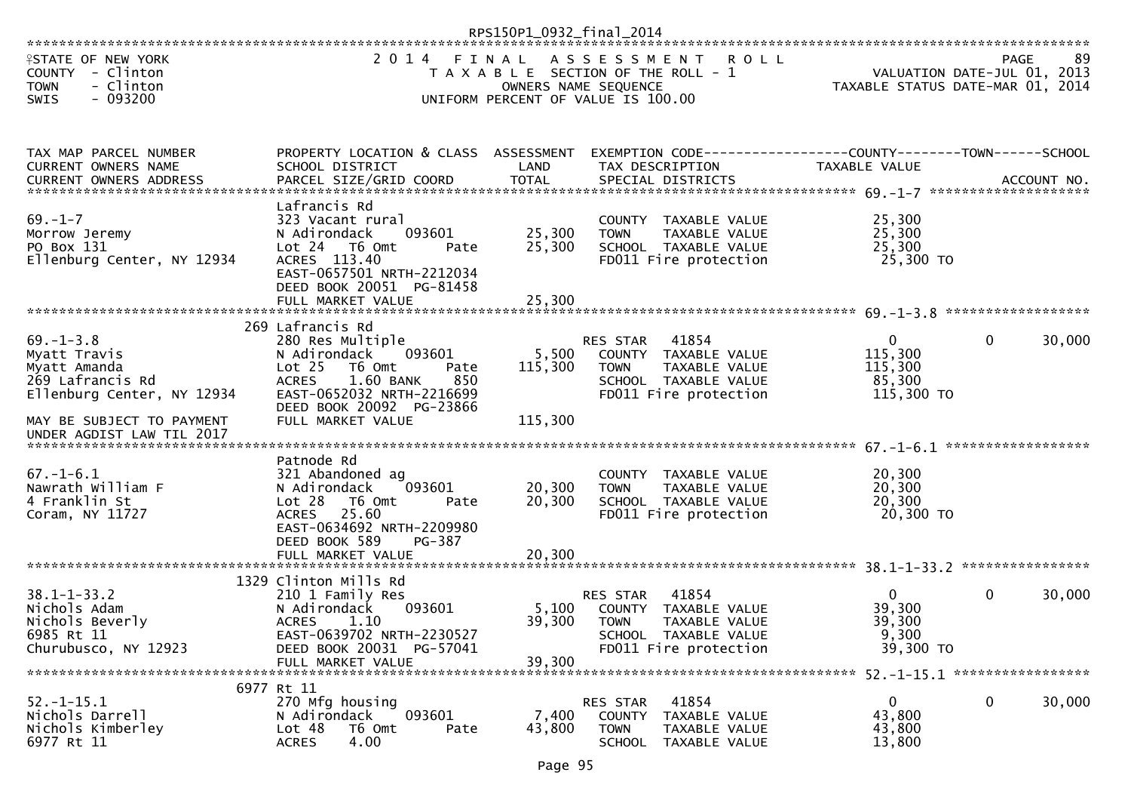|                                                                                                                                |                                                                                                                                                                                                                         | RPS150P1_0932_final_2014    |                                                                                                                                      |                                                                 |                  |        |
|--------------------------------------------------------------------------------------------------------------------------------|-------------------------------------------------------------------------------------------------------------------------------------------------------------------------------------------------------------------------|-----------------------------|--------------------------------------------------------------------------------------------------------------------------------------|-----------------------------------------------------------------|------------------|--------|
| <b>ISTATE OF NEW YORK</b><br>COUNTY - Clinton<br><b>TOWN</b><br>- Clinton<br>SWIS<br>$-093200$                                 | 2 0 1 4                                                                                                                                                                                                                 | FINAL                       | ASSESSMENT<br>R O L L<br>T A X A B L E SECTION OF THE ROLL - 1<br>OWNERS NAME SEQUENCE<br>UNIFORM PERCENT OF VALUE IS 100.00         | VALUATION DATE-JUL 01, 2013<br>TAXABLE STATUS DATE-MAR 01, 2014 | <b>PAGE</b>      | 89     |
| TAX MAP PARCEL NUMBER<br>CURRENT OWNERS NAME                                                                                   | PROPERTY LOCATION & CLASS ASSESSMENT<br>SCHOOL DISTRICT                                                                                                                                                                 | LAND                        | EXEMPTION CODE------------------COUNTY--------TOWN------SCHOOL<br>TAX DESCRIPTION                                                    | TAXABLE VALUE                                                   |                  |        |
| $69. - 1 - 7$<br>Morrow Jeremy<br>PO Box 131<br>Ellenburg Center, NY 12934                                                     | Lafrancis Rd<br>323 Vacant rural<br>093601<br>N Adirondack<br>Lot 24 T6 Omt<br>Pate<br>ACRES 113.40<br>EAST-0657501 NRTH-2212034<br>DEED BOOK 20051 PG-81458                                                            | 25,300<br>25,300            | COUNTY TAXABLE VALUE<br><b>TOWN</b><br>TAXABLE VALUE<br>SCHOOL TAXABLE VALUE<br>FD011 Fire protection                                | 25,300<br>25,300<br>25,300<br>25,300 TO                         |                  |        |
| $69. - 1 - 3.8$<br>Myatt Travis<br>Myatt Amanda<br>269 Lafrancis Rd<br>Ellenburg Center, NY 12934<br>MAY BE SUBJECT TO PAYMENT | 269 Lafrancis Rd<br>280 Res Multiple<br>N Adirondack<br>093601<br>Lot <sub>25</sub><br>T6 Omt<br>Pate<br><b>ACRES</b><br>1.60 BANK<br>850<br>EAST-0652032 NRTH-2216699<br>DEED BOOK 20092 PG-23866<br>FULL MARKET VALUE | 5,500<br>115,300<br>115,300 | 41854<br>RES STAR<br>COUNTY TAXABLE VALUE<br>TAXABLE VALUE<br><b>TOWN</b><br>SCHOOL TAXABLE VALUE<br>FD011 Fire protection           | $\mathbf{0}$<br>115,300<br>115,300<br>85,300<br>115,300 TO      | $\mathbf{0}$     | 30,000 |
| $67. - 1 - 6.1$<br>Nawrath William F<br>4 Franklin St<br>Coram, NY 11727                                                       | Patnode Rd<br>321 Abandoned ag<br>093601<br>N Adirondack<br>Lot <sub>28</sub><br>T6 Omt<br>Pate<br>25.60<br><b>ACRES</b><br>EAST-0634692 NRTH-2209980<br>DEED BOOK 589<br>PG-387<br>FULL MARKET VALUE                   | 20,300<br>20,300<br>20,300  | COUNTY TAXABLE VALUE<br><b>TOWN</b><br>TAXABLE VALUE<br>SCHOOL TAXABLE VALUE<br>FD011 Fire protection                                | 20,300<br>20,300<br>20,300<br>20,300 TO                         | **************** |        |
| $38.1 - 1 - 33.2$<br>Nichols Adam<br>Nichols Beverly<br>6985 Rt 11<br>Churubusco, NY 12923                                     | 1329 Clinton Mills Rd<br>210 1 Family Res<br>N Adirondack<br>093601<br><b>ACRES</b><br>1.10<br>EAST-0639702 NRTH-2230527<br>DEED BOOK 20031 PG-57041<br>FULL MARKET VALUE                                               | 5,100<br>39,300<br>39,300   | 41854<br><b>RES STAR</b><br>COUNTY<br>TAXABLE VALUE<br><b>TOWN</b><br>TAXABLE VALUE<br>SCHOOL TAXABLE VALUE<br>FD011 Fire protection | $\mathbf{0}$<br>39,300<br>39,300<br>9,300<br>39,300 TO          | 0                | 30,000 |
| $52. - 1 - 15.1$<br>Nichols Darrell<br>Nichols Kimberley<br>6977 Rt 11                                                         | 6977 Rt 11<br>270 Mfg housing<br>093601<br>N Adirondack<br>Lot 48<br>T6 Omt<br>Pate<br>4.00<br><b>ACRES</b>                                                                                                             | 7,400<br>43,800             | 41854<br>RES STAR<br><b>COUNTY</b><br>TAXABLE VALUE<br><b>TOWN</b><br>TAXABLE VALUE<br><b>SCHOOL</b><br>TAXABLE VALUE                | $\overline{0}$<br>43,800<br>43,800<br>13,800                    | 0                | 30,000 |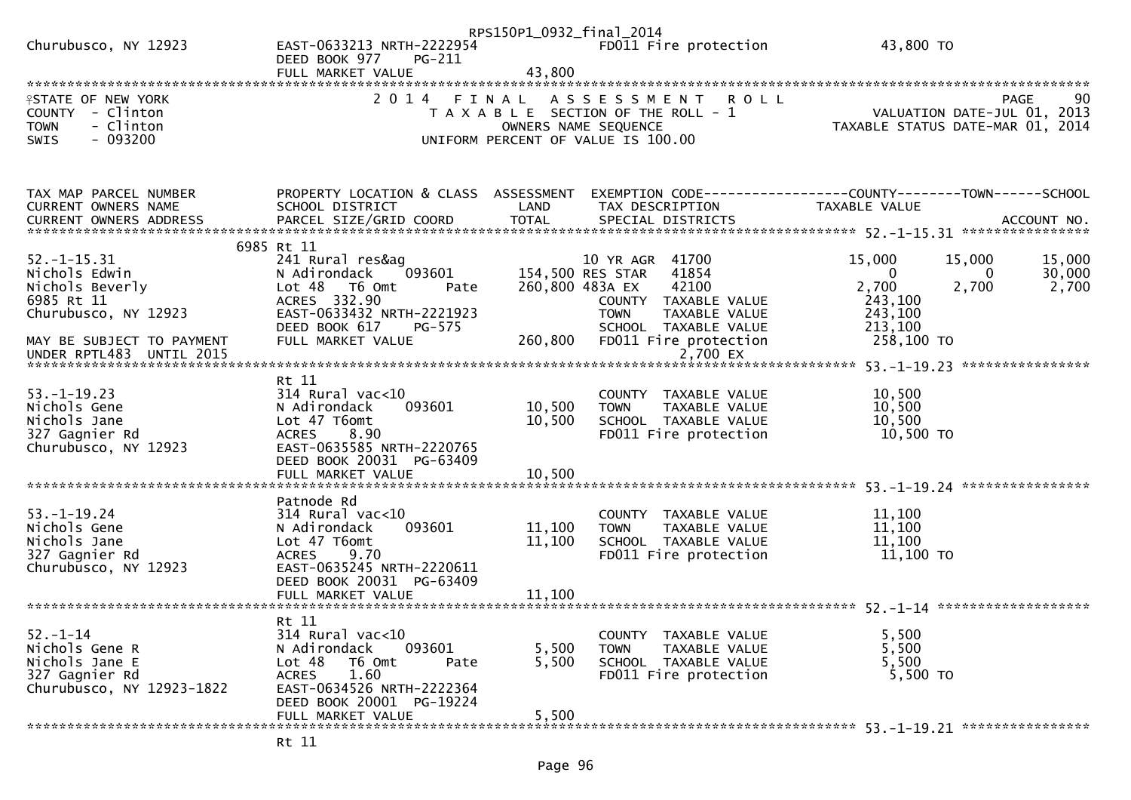|                                                                                                       |                                                      | RPS150P1_0932_final_2014 |                                                                                                                                           |                                                                                                                    |
|-------------------------------------------------------------------------------------------------------|------------------------------------------------------|--------------------------|-------------------------------------------------------------------------------------------------------------------------------------------|--------------------------------------------------------------------------------------------------------------------|
| Churubusco, NY 12923                                                                                  | EAST-0633213 NRTH-2222954<br>PG-211<br>DEED BOOK 977 |                          | FD011 Fire protection                                                                                                                     | 43,800 TO                                                                                                          |
|                                                                                                       | FULL MARKET VALUE                                    | 43,800                   |                                                                                                                                           |                                                                                                                    |
|                                                                                                       |                                                      |                          |                                                                                                                                           |                                                                                                                    |
| <b>ISTATE OF NEW YORK</b><br>COUNTY - Clinton<br>- Clinton<br><b>TOWN</b><br>$-093200$<br><b>SWIS</b> | 2 0 1 4                                              | FINAL                    | A S S E S S M E N T<br><b>ROLL</b><br>T A X A B L E SECTION OF THE ROLL - 1<br>OWNERS NAME SEQUENCE<br>UNIFORM PERCENT OF VALUE IS 100.00 | 90<br><b>PAGE</b><br>VALUATION DATE-JUL 01, 2013<br>VALUATION DATE SUL 11 2014<br>TAXABLE STATUS DATE-MAR 01, 2014 |
|                                                                                                       |                                                      |                          |                                                                                                                                           |                                                                                                                    |
| TAX MAP PARCEL NUMBER                                                                                 | PROPERTY LOCATION & CLASS ASSESSMENT                 |                          |                                                                                                                                           | EXEMPTION CODE------------------COUNTY--------TOWN------SCHOOL                                                     |
| CURRENT OWNERS NAME<br>CURRENT OWNERS ADDRESS                                                         | SCHOOL DISTRICT                                      | LAND                     | TAX DESCRIPTION                                                                                                                           | TAXABLE VALUE                                                                                                      |
|                                                                                                       |                                                      |                          |                                                                                                                                           |                                                                                                                    |
|                                                                                                       | 6985 Rt 11                                           |                          |                                                                                                                                           |                                                                                                                    |
| $52. - 1 - 15.31$                                                                                     | 241 Rural res&ag                                     |                          | 10 YR AGR 41700                                                                                                                           | 15,000<br>15,000<br>15,000                                                                                         |
| Nichols Edwin<br>Nichols Beverly                                                                      | N Adirondack<br>093601<br>Lot 48 T6 Omt<br>Pate      |                          | 41854<br>154,500 RES STAR<br>260,800 483A EX<br>42100                                                                                     | 30,000<br>$\mathbf{0}$<br>$\Omega$<br>2,700<br>2,700<br>2,700                                                      |
| 6985 Rt 11                                                                                            | ACRES 332.90                                         |                          | COUNTY TAXABLE VALUE                                                                                                                      | 243,100                                                                                                            |
| Churubusco, NY 12923                                                                                  | EAST-0633432 NRTH-2221923                            |                          | <b>TOWN</b><br>TAXABLE VALUE                                                                                                              | 243,100                                                                                                            |
|                                                                                                       | DEED BOOK 617<br>PG-575                              |                          | SCHOOL TAXABLE VALUE                                                                                                                      | 213,100                                                                                                            |
| MAY BE SUBJECT TO PAYMENT                                                                             | FULL MARKET VALUE                                    | 260,800                  | FD011 Fire protection                                                                                                                     | 258,100 TO                                                                                                         |
| UNDER RPTL483 UNTIL 2015                                                                              |                                                      |                          | 2,700 EX                                                                                                                                  |                                                                                                                    |
|                                                                                                       | Rt 11                                                |                          |                                                                                                                                           |                                                                                                                    |
| $53. - 1 - 19.23$                                                                                     | 314 Rural vac<10                                     |                          | COUNTY TAXABLE VALUE                                                                                                                      | 10,500                                                                                                             |
| Nichols Gene                                                                                          | N Adirondack<br>093601                               | 10,500                   | <b>TOWN</b><br>TAXABLE VALUE                                                                                                              | 10,500                                                                                                             |
| Nichols Jane                                                                                          | Lot 47 T6omt                                         | 10,500                   | SCHOOL TAXABLE VALUE                                                                                                                      | 10,500                                                                                                             |
| 327 Gagnier Rd                                                                                        | 8.90<br><b>ACRES</b>                                 |                          | FD011 Fire protection                                                                                                                     | 10,500 TO                                                                                                          |
| Churubusco, NY 12923                                                                                  | EAST-0635585 NRTH-2220765                            |                          |                                                                                                                                           |                                                                                                                    |
|                                                                                                       | DEED BOOK 20031 PG-63409<br>FULL MARKET VALUE        | 10,500                   |                                                                                                                                           |                                                                                                                    |
|                                                                                                       |                                                      |                          |                                                                                                                                           |                                                                                                                    |
|                                                                                                       | Patnode Rd                                           |                          |                                                                                                                                           |                                                                                                                    |
| $53. - 1 - 19.24$                                                                                     | $314$ Rural vac<10                                   |                          | COUNTY TAXABLE VALUE                                                                                                                      | 11,100                                                                                                             |
| Nichols Gene                                                                                          | 093601<br>N Adirondack                               | 11,100                   | TAXABLE VALUE<br><b>TOWN</b>                                                                                                              | 11,100                                                                                                             |
| Nichols Jane                                                                                          | Lot 47 T6omt                                         | 11,100                   | SCHOOL TAXABLE VALUE                                                                                                                      | 11,100                                                                                                             |
| 327 Gagnier Rd<br>Churubusco, NY 12923                                                                | <b>ACRES</b><br>9.70<br>EAST-0635245 NRTH-2220611    |                          | FD011 Fire protection                                                                                                                     | 11,100 TO                                                                                                          |
|                                                                                                       | DEED BOOK 20031 PG-63409                             |                          |                                                                                                                                           |                                                                                                                    |
|                                                                                                       | FULL MARKET VALUE                                    | 11,100                   |                                                                                                                                           |                                                                                                                    |
|                                                                                                       |                                                      |                          |                                                                                                                                           |                                                                                                                    |
|                                                                                                       | Rt 11                                                |                          |                                                                                                                                           |                                                                                                                    |
| $52. - 1 - 14$<br>Nichols Gene R                                                                      | 314 Rural vac<10<br>093601<br>N Adirondack           | 5,500                    | COUNTY TAXABLE VALUE<br><b>TOWN</b><br>TAXABLE VALUE                                                                                      | 5,500<br>5,500                                                                                                     |
| Nichols Jane E                                                                                        | Lot 48<br>T6 Omt<br>Pate                             | 5,500                    | SCHOOL TAXABLE VALUE                                                                                                                      | 5,500                                                                                                              |
| 327 Gagnier Rd                                                                                        | 1.60<br><b>ACRES</b>                                 |                          | FD011 Fire protection                                                                                                                     | 5,500 TO                                                                                                           |
| Churubusco, NY 12923-1822                                                                             | EAST-0634526 NRTH-2222364                            |                          |                                                                                                                                           |                                                                                                                    |
|                                                                                                       | DEED BOOK 20001 PG-19224                             |                          |                                                                                                                                           |                                                                                                                    |
|                                                                                                       | FULL MARKET VALUE                                    | 5,500                    |                                                                                                                                           |                                                                                                                    |
|                                                                                                       |                                                      |                          |                                                                                                                                           |                                                                                                                    |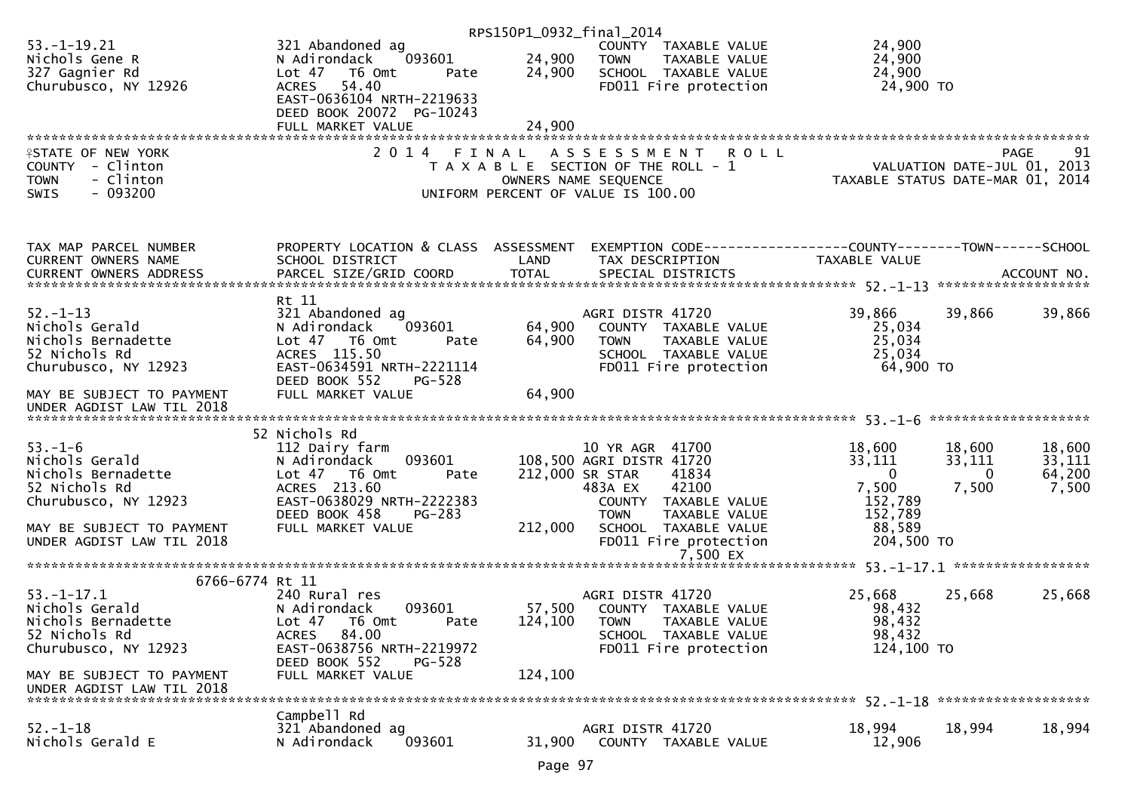|                                                        |                                                        | RPS150P1_0932_final_2014 |                                                                             |                                                               |                  |
|--------------------------------------------------------|--------------------------------------------------------|--------------------------|-----------------------------------------------------------------------------|---------------------------------------------------------------|------------------|
| $53. - 1 - 19.21$<br>Nichols Gene R                    | 321 Abandoned ag<br>093601<br>N Adirondack             | 24,900                   | COUNTY TAXABLE VALUE<br><b>TOWN</b><br>TAXABLE VALUE                        | 24,900<br>24,900                                              |                  |
| 327 Gagnier Rd<br>Churubusco, NY 12926                 | Lot 47 76 0mt<br>Pate<br>54.40<br><b>ACRES</b>         | 24,900                   | SCHOOL TAXABLE VALUE<br>FD011 Fire protection                               | 24,900<br>24,900 TO                                           |                  |
|                                                        | EAST-0636104 NRTH-2219633                              |                          |                                                                             |                                                               |                  |
|                                                        | DEED BOOK 20072 PG-10243<br>FULL MARKET VALUE          | 24,900                   |                                                                             |                                                               |                  |
|                                                        |                                                        |                          |                                                                             |                                                               |                  |
| <b>ISTATE OF NEW YORK</b><br>COUNTY - Clinton          | 2 0 1 4                                                | FINAL                    | A S S E S S M E N T<br><b>ROLL</b><br>T A X A B L E SECTION OF THE ROLL - 1 | VALUATION DATE-JUL 01, 2013                                   | PAGE<br>91       |
| <b>TOWN</b><br>- Clinton                               |                                                        |                          | OWNERS NAME SEQUENCE                                                        | TAXABLE STATUS DATE-MAR 01, 2014                              |                  |
| $-093200$<br><b>SWIS</b>                               |                                                        |                          | UNIFORM PERCENT OF VALUE IS 100.00                                          |                                                               |                  |
| TAX MAP PARCEL NUMBER                                  | PROPERTY LOCATION & CLASS ASSESSMENT                   |                          |                                                                             | EXEMPTION CODE-----------------COUNTY--------TOWN------SCHOOL |                  |
| CURRENT OWNERS NAME                                    | SCHOOL DISTRICT                                        | LAND                     | TAX DESCRIPTION                                                             | TAXABLE VALUE                                                 |                  |
|                                                        |                                                        |                          |                                                                             |                                                               |                  |
| $52. - 1 - 13$                                         | Rt 11<br>321 Abandoned ag                              |                          | AGRI DISTR 41720                                                            | 39,866<br>39,866                                              | 39,866           |
| Nichols Gerald                                         | 093601<br>N Adirondack                                 | 64,900                   | COUNTY TAXABLE VALUE                                                        | 25,034                                                        |                  |
| Nichols Bernadette<br>52 Nichols Rd                    | Lot 47 T6 Omt<br>Pate<br>ACRES 115.50                  | 64,900                   | TAXABLE VALUE<br><b>TOWN</b><br>SCHOOL TAXABLE VALUE                        | 25,034<br>25,034                                              |                  |
| Churubusco, NY 12923                                   | EAST-0634591 NRTH-2221114<br>DEED BOOK 552<br>$PG-528$ |                          | FD011 Fire protection                                                       | 64,900 TO                                                     |                  |
| MAY BE SUBJECT TO PAYMENT<br>UNDER AGDIST LAW TIL 2018 | FULL MARKET VALUE                                      | 64,900                   |                                                                             |                                                               |                  |
|                                                        | 52 Nichols Rd                                          |                          |                                                                             |                                                               |                  |
| $53. - 1 - 6$                                          | 112 Dairy farm                                         |                          | 10 YR AGR 41700                                                             | 18,600<br>18,600                                              | 18,600           |
| Nichols Gerald<br>Nichols Bernadette                   | 093601<br>N Adirondack<br>Lot 47 76 0mt<br>Pate        |                          | 108,500 AGRI DISTR 41720<br>212,000 SR STAR<br>41834                        | 33,111<br>33,111<br>$\mathbf 0$<br>0                          | 33,111<br>64,200 |
| 52 Nichols Rd                                          | ACRES 213.60                                           |                          | 42100<br>483A EX                                                            | 7,500<br>7,500                                                | 7,500            |
| Churubusco, NY 12923                                   | EAST-0638029 NRTH-2222383<br>DEED BOOK 458<br>PG-283   |                          | COUNTY TAXABLE VALUE<br><b>TOWN</b><br>TAXABLE VALUE                        | 152,789<br>152,789                                            |                  |
| MAY BE SUBJECT TO PAYMENT                              | FULL MARKET VALUE                                      | 212,000                  | SCHOOL TAXABLE VALUE                                                        | 88,589                                                        |                  |
| UNDER AGDIST LAW TIL 2018                              |                                                        |                          | FD011 Fire protection<br>7,500 EX                                           | 204,500 TO                                                    |                  |
|                                                        |                                                        |                          |                                                                             |                                                               |                  |
| 6766-6774 Rt 11<br>$53. - 1 - 17.1$                    | 240 Rural res                                          |                          | AGRI DISTR 41720                                                            | 25,668<br>25,668                                              | 25,668           |
| Nichols Gerald                                         | 093601<br>N Adirondack                                 | 57,500                   | COUNTY TAXABLE VALUE                                                        | 98,432                                                        |                  |
| Nichols Bernadette<br>52 Nichols Rd                    | Lot 47<br>T6 Omt<br>Pate<br>ACRES 84.00                | 124,100                  | <b>TOWN</b><br>TAXABLE VALUE<br>SCHOOL TAXABLE VALUE                        | 98,432<br>98,432                                              |                  |
| Churubusco, NY 12923                                   | EAST-0638756 NRTH-2219972                              |                          | FD011 Fire protection                                                       | 124,100 TO                                                    |                  |
| MAY BE SUBJECT TO PAYMENT                              | DEED BOOK 552<br>$PG-528$<br>FULL MARKET VALUE         | 124,100                  |                                                                             |                                                               |                  |
| UNDER AGDIST LAW TIL 2018                              |                                                        |                          |                                                                             |                                                               |                  |
| $52. - 1 - 18$                                         | Campbell Rd<br>321 Abandoned ag                        |                          | AGRI DISTR 41720                                                            | 18,994<br>18,994                                              | 18,994           |
| Nichols Gerald E                                       | 093601<br>N Adirondack                                 | 31,900                   | COUNTY TAXABLE VALUE                                                        | 12,906                                                        |                  |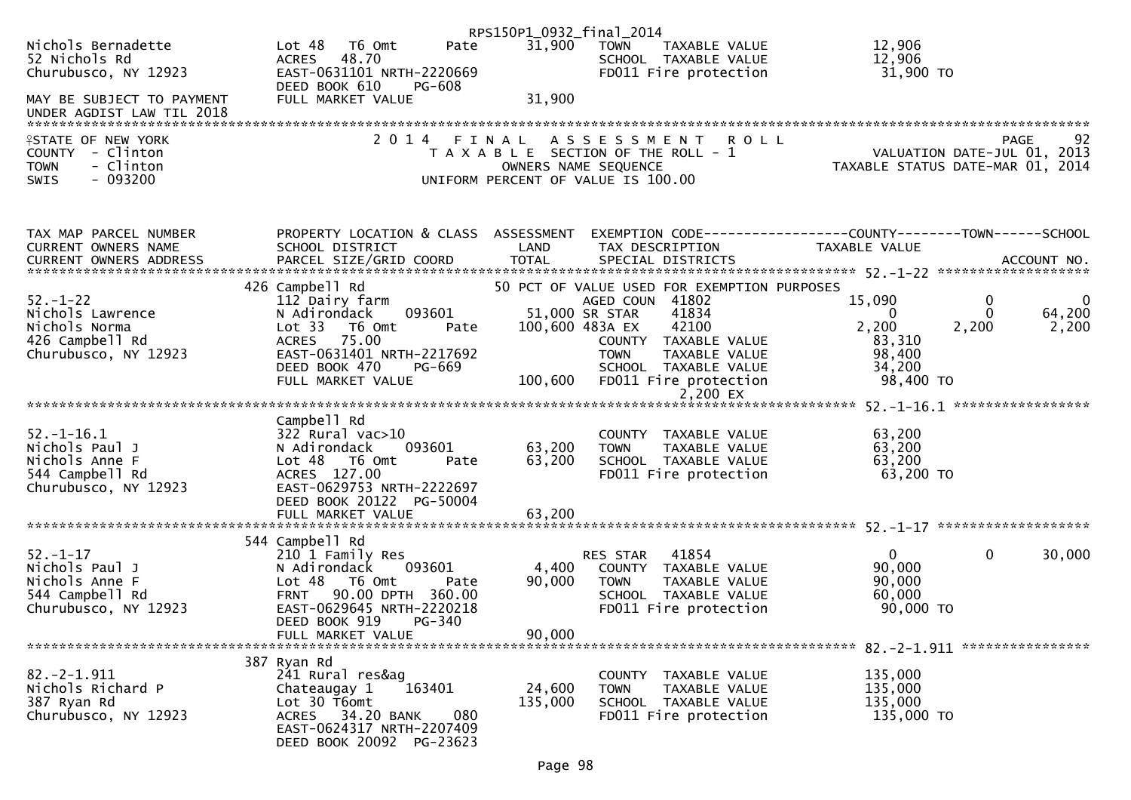|                                                                                                       |                                                                                                                                                                                         | RPS150P1_0932_final_2014   |                                                                                                                                                                                                                     |                                                                                                            |                                |
|-------------------------------------------------------------------------------------------------------|-----------------------------------------------------------------------------------------------------------------------------------------------------------------------------------------|----------------------------|---------------------------------------------------------------------------------------------------------------------------------------------------------------------------------------------------------------------|------------------------------------------------------------------------------------------------------------|--------------------------------|
| Nichols Bernadette<br>52 Nichols Rd<br>Churubusco, NY 12923                                           | Lot <sub>48</sub><br>T6 Omt<br>Pate<br>ACRES 48.70<br>EAST-0631101 NRTH-2220669<br>DEED BOOK 610                                                                                        | 31,900                     | <b>TOWN</b><br>TAXABLE VALUE<br>SCHOOL TAXABLE VALUE<br>FD011 Fire protection                                                                                                                                       | 12,906<br>12,906<br>31,900 TO                                                                              |                                |
| MAY BE SUBJECT TO PAYMENT<br>UNDER AGDIST LAW TIL 2018                                                | PG-608<br>FULL MARKET VALUE                                                                                                                                                             | 31,900                     |                                                                                                                                                                                                                     |                                                                                                            |                                |
| <b>ISTATE OF NEW YORK</b><br>COUNTY - Clinton<br><b>TOWN</b><br>- Clinton<br>$-093200$<br><b>SWIS</b> | 2014 FINAL                                                                                                                                                                              |                            | ASSESSMENT ROLL<br>T A X A B L E SECTION OF THE ROLL - 1<br>OWNERS NAME SEQUENCE<br>UNIFORM PERCENT OF VALUE IS 100.00                                                                                              | کوبہ ہے<br>2013 ,VALUATION DATE-JUL 01<br>2014 ,TAXABLE STATUS DATE-MAR 01                                 | 92<br>PAGE                     |
| TAX MAP PARCEL NUMBER<br>CURRENT OWNERS NAME                                                          | PROPERTY LOCATION & CLASS ASSESSMENT<br>SCHOOL DISTRICT                                                                                                                                 | LAND                       | TAX DESCRIPTION                                                                                                                                                                                                     | EXEMPTION CODE------------------COUNTY--------TOWN------SCHOOL<br>TAXABLE VALUE                            |                                |
| $52. - 1 - 22$<br>Nichols Lawrence<br>Nichols Norma<br>426 Campbell Rd<br>Churubusco, NY 12923        | 426 Campbell Rd<br>112 Dairy farm<br>093601<br>N Adirondack<br>Lot 33 T6 Omt<br>Pate<br>ACRES 75.00<br>EAST-0631401 NRTH-2217692<br>DEED BOOK 470<br><b>PG-669</b><br>FULL MARKET VALUE | 100,600 483A EX            | 50 PCT OF VALUE USED FOR EXEMPTION PURPOSES<br>AGED COUN 41802<br>51,000 SR STAR<br>41834<br>42100<br>COUNTY TAXABLE VALUE<br><b>TOWN</b><br>TAXABLE VALUE<br>SCHOOL TAXABLE VALUE<br>100,600 FD011 Fire protection | $\mathbf 0$<br>15,090<br>$\Omega$<br>$\Omega$<br>2,200<br>2,200<br>83,310<br>98,400<br>34,200<br>98,400 TO | $\mathbf 0$<br>64,200<br>2,200 |
|                                                                                                       |                                                                                                                                                                                         |                            |                                                                                                                                                                                                                     |                                                                                                            |                                |
| $52. - 1 - 16.1$<br>Nichols Paul J<br>Nichols Anne F<br>544 Campbell Rd<br>Churubusco, NY 12923       | Campbell Rd<br>$322$ Rural vac $>10$<br>093601<br>N Adirondack<br>Lot 48 T6 Omt<br>Pate<br>ACRES 127.00<br>EAST-0629753 NRTH-2222697<br>DEED BOOK 20122 PG-50004                        | 63,200<br>63,200<br>63,200 | COUNTY TAXABLE VALUE<br><b>TOWN</b><br>TAXABLE VALUE<br>SCHOOL TAXABLE VALUE<br>FD011 Fire protection                                                                                                               | 63,200<br>63,200<br>63,200<br>63,200 TO                                                                    |                                |
|                                                                                                       | FULL MARKET VALUE                                                                                                                                                                       |                            |                                                                                                                                                                                                                     |                                                                                                            |                                |
| $52. - 1 - 17$<br>Nichols Paul J<br>Nichols Anne F<br>544 Campbell Rd<br>Churubusco, NY 12923         | 544 Campbell Rd<br>210 1 Family Res<br>N Adirondack<br>093601<br>Lot 48 T6 Omt<br>Pate<br><b>FRNT</b><br>90.00 DPTH 360.00<br>EAST-0629645 NRTH-2220218<br>DEED BOOK 919<br>PG-340      | 4,400<br>90,000            | 41854<br>RES STAR<br>COUNTY TAXABLE VALUE<br><b>TOWN</b><br>TAXABLE VALUE<br>SCHOOL TAXABLE VALUE<br>FD011 Fire protection                                                                                          | $\mathbf{0}$<br>$\mathbf{0}$<br>90,000<br>90,000<br>60,000<br>90,000 TO                                    | 30,000                         |
|                                                                                                       | FULL MARKET VALUE                                                                                                                                                                       | 90,000                     |                                                                                                                                                                                                                     |                                                                                                            |                                |
| $82.-2-1.911$<br>Nichols Richard P<br>387 Ryan Rd<br>Churubusco, NY 12923                             | 387 Ryan Rd<br>241 Rural res&ag<br>163401<br>Chateaugay 1<br>Lot 30 T6omt<br>ACRES 34.20 BANK<br>080<br>EAST-0624317 NRTH-2207409<br>DEED BOOK 20092 PG-23623                           | 24,600<br>135,000          | COUNTY TAXABLE VALUE<br><b>TOWN</b><br>TAXABLE VALUE<br>SCHOOL TAXABLE VALUE<br>FD011 Fire protection                                                                                                               | 135,000<br>135,000<br>135,000<br>135,000 TO                                                                |                                |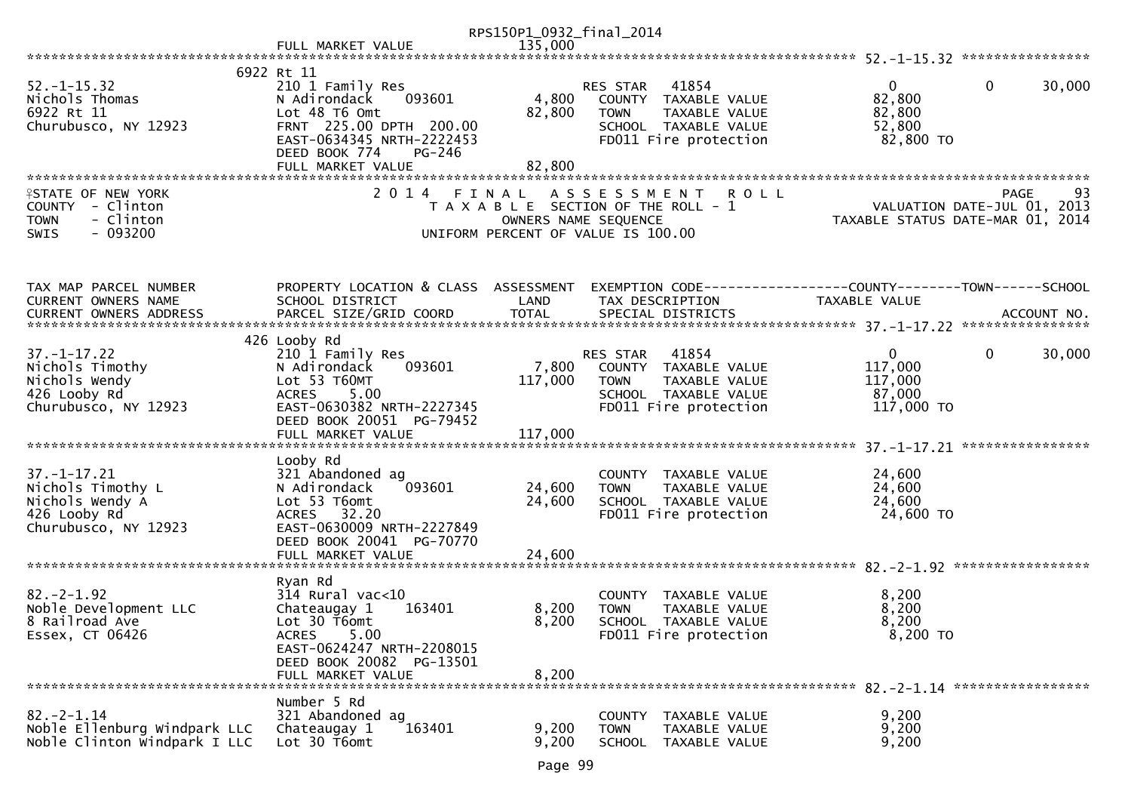|                                                                                                       |                                                                                                                                                                                   | RPS150P1_0932_final_2014   |                                                                                                                                   |                                                                                |        |
|-------------------------------------------------------------------------------------------------------|-----------------------------------------------------------------------------------------------------------------------------------------------------------------------------------|----------------------------|-----------------------------------------------------------------------------------------------------------------------------------|--------------------------------------------------------------------------------|--------|
|                                                                                                       | FULL MARKET VALUE                                                                                                                                                                 | 135,000                    |                                                                                                                                   |                                                                                |        |
|                                                                                                       |                                                                                                                                                                                   |                            |                                                                                                                                   |                                                                                |        |
| $52. - 1 - 15.32$<br>Nichols Thomas<br>6922 Rt 11<br>Churubusco, NY 12923                             | 6922 Rt 11<br>210 1 Family Res<br>093601<br>N Adirondack<br>Lot 48 T6 Omt<br>FRNT 225.00 DPTH 200.00<br>EAST-0634345 NRTH-2222453<br>DEED BOOK 774<br>PG-246<br>FULL MARKET VALUE | 4,800<br>82,800<br>82,800  | 41854<br><b>RES STAR</b><br>COUNTY TAXABLE VALUE<br><b>TOWN</b><br>TAXABLE VALUE<br>SCHOOL TAXABLE VALUE<br>FD011 Fire protection | $\overline{0}$<br>$\mathbf{0}$<br>82,800<br>82,800<br>52,800<br>82,800 TO      | 30,000 |
|                                                                                                       |                                                                                                                                                                                   |                            |                                                                                                                                   |                                                                                |        |
| <b>ASTATE OF NEW YORK</b><br>COUNTY - Clinton<br>- Clinton<br><b>TOWN</b><br>$-093200$<br><b>SWIS</b> | 2 0 1 4<br>FINAL                                                                                                                                                                  | OWNERS NAME SEQUENCE       | <b>ROLL</b><br>A S S E S S M E N T<br>T A X A B L E SECTION OF THE ROLL - 1<br>UNIFORM PERCENT OF VALUE IS 100.00                 | <b>PAGE</b><br>VALUATION DATE-JUL 01, 2013<br>TAXABLE STATUS DATE-MAR 01, 2014 | 93     |
| TAX MAP PARCEL NUMBER<br>CURRENT OWNERS NAME                                                          | PROPERTY LOCATION & CLASS ASSESSMENT<br>SCHOOL DISTRICT                                                                                                                           | LAND                       | TAX DESCRIPTION                                                                                                                   | EXEMPTION CODE-----------------COUNTY-------TOWN------SCHOOL<br>TAXABLE VALUE  |        |
|                                                                                                       | 426 Looby Rd                                                                                                                                                                      |                            |                                                                                                                                   |                                                                                |        |
| $37. - 1 - 17.22$<br>Nichols Timothy<br>Nichols Wendy<br>426 Looby Rd<br>Churubusco, NY 12923         | 210 1 Family Res<br>N Adirondack<br>093601<br>Lot 53 T60MT<br>5.00<br><b>ACRES</b><br>EAST-0630382 NRTH-2227345<br>DEED BOOK 20051 PG-79452                                       | 7,800<br>117,000           | 41854<br>RES STAR<br>COUNTY TAXABLE VALUE<br><b>TOWN</b><br><b>TAXABLE VALUE</b><br>SCHOOL TAXABLE VALUE<br>FD011 Fire protection | $\mathbf{0}$<br>$\mathbf 0$<br>117,000<br>117,000<br>87,000<br>117,000 TO      | 30,000 |
|                                                                                                       |                                                                                                                                                                                   |                            |                                                                                                                                   | ****************                                                               |        |
| $37. - 1 - 17.21$<br>Nichols Timothy L<br>Nichols Wendy A<br>426 Looby Rd<br>Churubusco, NY 12923     | Looby Rd<br>321 Abandoned ag<br>N Adirondack<br>093601<br>Lot 53 T6omt<br>ACRES 32.20<br>EAST-0630009 NRTH-2227849<br>DEED BOOK 20041 PG-70770<br>FULL MARKET VALUE               | 24,600<br>24,600<br>24,600 | COUNTY TAXABLE VALUE<br>TAXABLE VALUE<br><b>TOWN</b><br>SCHOOL TAXABLE VALUE<br>FD011 Fire protection                             | 24,600<br>24,600<br>24,600<br>24,600 TO                                        |        |
|                                                                                                       |                                                                                                                                                                                   |                            |                                                                                                                                   |                                                                                |        |
| $82 - 2 - 1.92$<br>Noble Development LLC<br>8 Railroad Ave<br>Essex, CT 06426                         | Ryan Rd<br>$314$ Rural vac<10<br>Chateaugay 1<br>163401<br>Lot 30 T6omt<br>5.00<br><b>ACRES</b><br>EAST-0624247 NRTH-2208015<br>DEED BOOK 20082 PG-13501<br>FULL MARKET VALUE     | 8,200<br>8,200<br>8,200    | COUNTY TAXABLE VALUE<br><b>TOWN</b><br>TAXABLE VALUE<br><b>SCHOOL</b><br>TAXABLE VALUE<br>FD011 Fire protection                   | 8,200<br>8,200<br>8,200<br>8,200 TO                                            |        |
|                                                                                                       | Number 5 Rd                                                                                                                                                                       |                            |                                                                                                                                   |                                                                                |        |
| $82. - 2 - 1.14$<br>Noble Ellenburg Windpark LLC<br>Noble Clinton Windpark I LLC                      | 321 Abandoned ag<br>163401<br>Chateaugay 1<br>Lot 30 T6omt                                                                                                                        | 9,200<br>9,200             | <b>COUNTY</b><br>TAXABLE VALUE<br>TAXABLE VALUE<br><b>TOWN</b><br><b>SCHOOL</b><br>TAXABLE VALUE                                  | 9,200<br>9,200<br>9,200                                                        |        |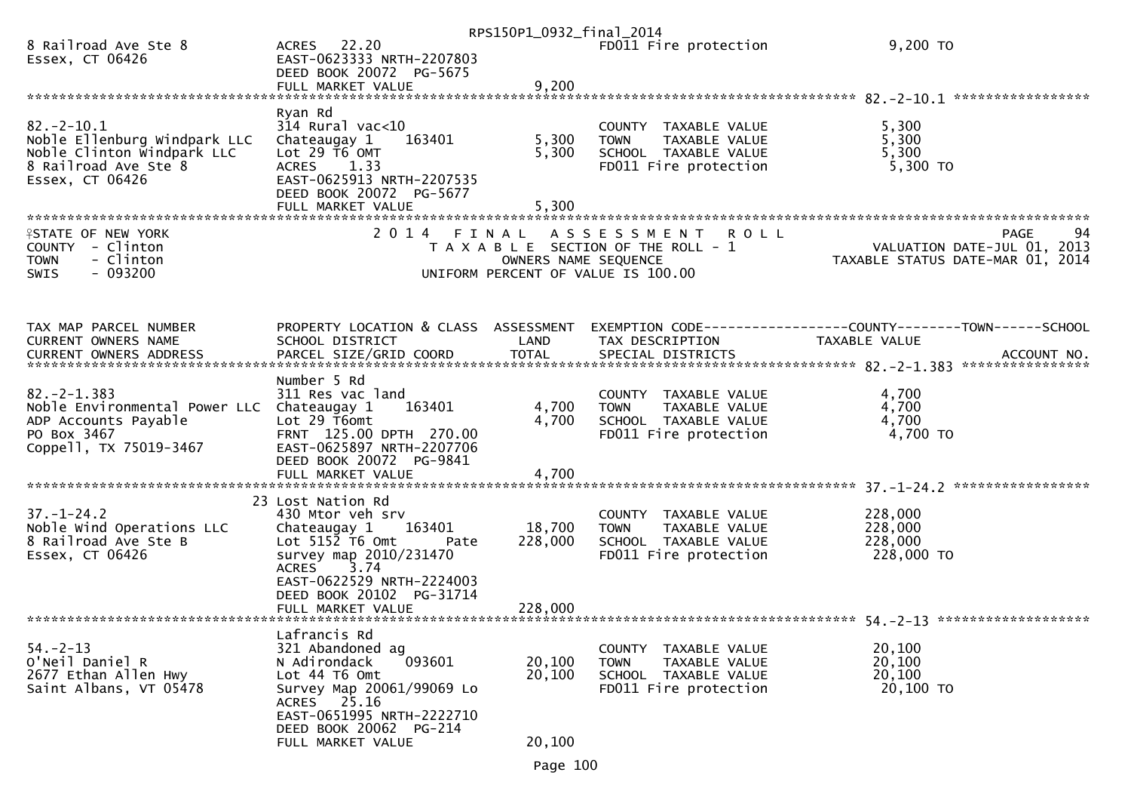|                                                                                                                                 |                                                                                                                                                                                                     | RPS150P1_0932_final_2014   |                                                                                                                   |                                                                                              |
|---------------------------------------------------------------------------------------------------------------------------------|-----------------------------------------------------------------------------------------------------------------------------------------------------------------------------------------------------|----------------------------|-------------------------------------------------------------------------------------------------------------------|----------------------------------------------------------------------------------------------|
| 8 Railroad Ave Ste 8<br>Essex, CT 06426                                                                                         | ACRES 22.20<br>EAST-0623333 NRTH-2207803<br>DEED BOOK 20072 PG-5675                                                                                                                                 |                            | FD011 Fire protection                                                                                             | 9,200 TO                                                                                     |
|                                                                                                                                 | FULL MARKET VALUE                                                                                                                                                                                   | 9,200                      |                                                                                                                   |                                                                                              |
|                                                                                                                                 | Ryan Rd                                                                                                                                                                                             |                            |                                                                                                                   |                                                                                              |
| $82 - 2 - 10.1$<br>Noble Ellenburg Windpark LLC<br>Noble Clinton Windpark LLC<br>8 Railroad Ave Ste 8<br>Essex, CT 06426        | $314$ Rural vac<10<br>163401<br>Chateaugay 1<br>Lot 29 T6 OMT<br><b>ACRES</b><br>1.33<br>EAST-0625913 NRTH-2207535<br>DEED BOOK 20072 PG-5677                                                       | 5,300<br>5,300             | COUNTY TAXABLE VALUE<br>TAXABLE VALUE<br><b>TOWN</b><br>SCHOOL TAXABLE VALUE<br>FD011 Fire protection             | 5,300<br>5,300<br>5,300<br>$5,300$ TO                                                        |
|                                                                                                                                 | FULL MARKET VALUE                                                                                                                                                                                   | 5,300                      |                                                                                                                   |                                                                                              |
| <b>ISTATE OF NEW YORK</b><br>COUNTY - Clinton<br>- Clinton<br><b>TOWN</b><br>$-093200$<br><b>SWIS</b>                           | 2014 FINAL                                                                                                                                                                                          | OWNERS NAME SEQUENCE       | <b>ROLL</b><br>A S S E S S M E N T<br>T A X A B L E SECTION OF THE ROLL - 1<br>UNIFORM PERCENT OF VALUE IS 100.00 | <b>PAGE</b><br>94<br>VALUATION DATE-JUL 01, 2013<br>TAXABLE STATUS DATE-MAR 01, 2014         |
| TAX MAP PARCEL NUMBER<br>CURRENT OWNERS NAME<br><b>CURRENT OWNERS ADDRESS</b>                                                   | PROPERTY LOCATION & CLASS ASSESSMENT<br>SCHOOL DISTRICT<br>PARCEL SIZE/GRID COORD                                                                                                                   | LAND<br><b>TOTAL</b>       | TAX DESCRIPTION<br>SPECIAL DISTRICTS                                                                              | EXEMPTION CODE-----------------COUNTY-------TOWN------SCHOOL<br>TAXABLE VALUE<br>ACCOUNT NO. |
|                                                                                                                                 | Number 5 Rd                                                                                                                                                                                         |                            |                                                                                                                   |                                                                                              |
| $82 - 2 - 1.383$<br>Noble Environmental Power LLC Chateaugay 1<br>ADP Accounts Payable<br>PO Box 3467<br>Coppell, TX 75019-3467 | 311 Res vac land<br>163401<br>Lot 29 T6omt<br>FRNT 125.00 DPTH 270.00<br>EAST-0625897 NRTH-2207706                                                                                                  | 4,700<br>4,700             | COUNTY TAXABLE VALUE<br><b>TOWN</b><br>TAXABLE VALUE<br>SCHOOL TAXABLE VALUE<br>FD011 Fire protection             | 4,700<br>4,700<br>4,700<br>4,700 TO                                                          |
|                                                                                                                                 | DEED BOOK 20072 PG-9841<br>FULL MARKET VALUE                                                                                                                                                        | 4,700                      |                                                                                                                   |                                                                                              |
|                                                                                                                                 |                                                                                                                                                                                                     |                            |                                                                                                                   |                                                                                              |
| $37. - 1 - 24.2$<br>Noble Wind Operations LLC<br>8 Railroad Ave Ste B<br>Essex, CT 06426                                        | 23 Lost Nation Rd<br>430 Mtor veh srv<br>163401<br>Chateaugay 1<br>$Lot$ 5152 T6 Omt<br>Pate<br>survey map 2010/231470<br>3.74<br><b>ACRES</b>                                                      | 18,700<br>228,000          | COUNTY TAXABLE VALUE<br>TAXABLE VALUE<br><b>TOWN</b><br>SCHOOL TAXABLE VALUE<br>FD011 Fire protection             | 228,000<br>228,000<br>228,000<br>228,000 TO                                                  |
|                                                                                                                                 | EAST-0622529 NRTH-2224003<br>DEED BOOK 20102 PG-31714<br>FULL MARKET VALUE                                                                                                                          | 228,000                    |                                                                                                                   |                                                                                              |
| $54. - 2 - 13$<br>O'Neil Daniel R<br>2677 Ethan Allen Hwy<br>Saint Albans, VT 05478                                             | Lafrancis Rd<br>321 Abandoned ag<br>093601<br>N Adirondack<br>Lot 44 T6 Omt<br>Survey Map 20061/99069 Lo<br>ACRES 25.16<br>EAST-0651995 NRTH-2222710<br>DEED BOOK 20062 PG-214<br>FULL MARKET VALUE | 20,100<br>20,100<br>20,100 | <b>COUNTY</b><br>TAXABLE VALUE<br><b>TOWN</b><br>TAXABLE VALUE<br>SCHOOL TAXABLE VALUE<br>FD011 Fire protection   | 20,100<br>20,100<br>20,100<br>20,100 TO                                                      |
|                                                                                                                                 |                                                                                                                                                                                                     |                            |                                                                                                                   |                                                                                              |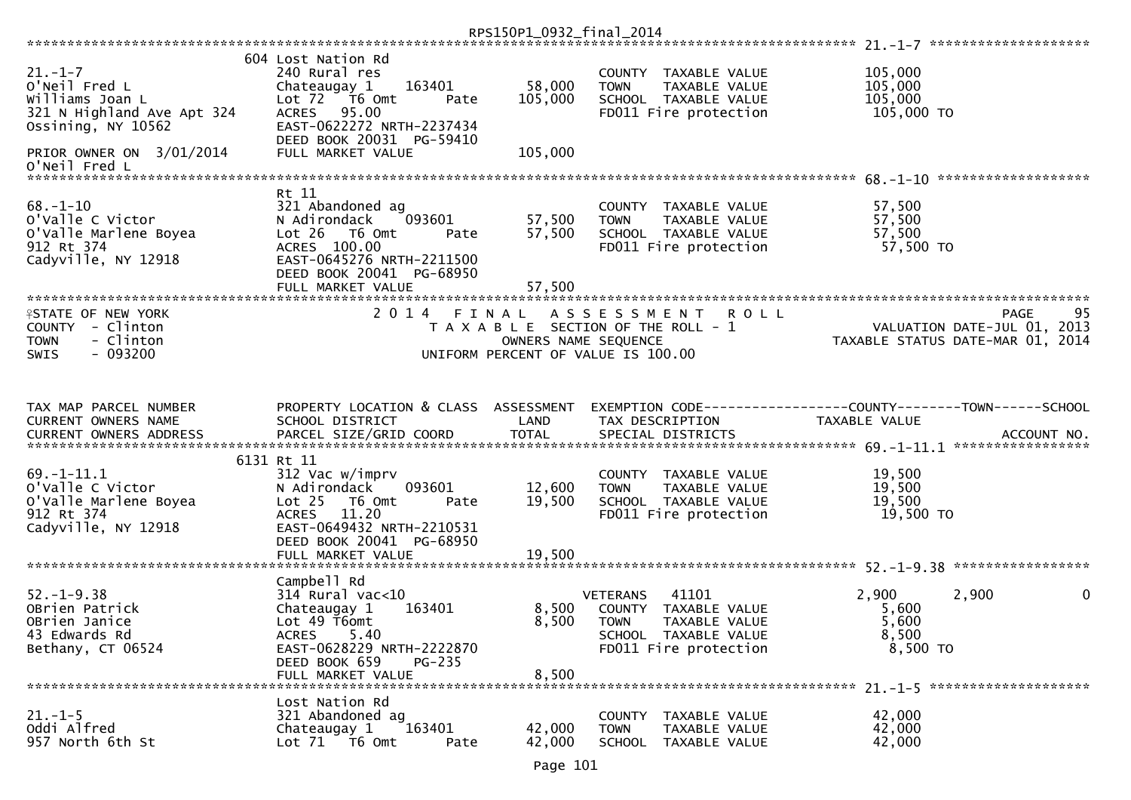| $21. - 1 - 7$<br>O'Neil Fred L<br>Williams Joan L<br>321 N Highland Ave Apt 324<br>Ossining, NY 10562 | 604 Lost Nation Rd<br>240 Rural res<br>163401<br>Chateaugay 1<br>Lot 72  T6 0mt<br>Pate<br>ACRES 95.00<br>EAST-0622272 NRTH-2237434                                                                   | 58,000<br>105,000          | COUNTY TAXABLE VALUE<br>TAXABLE VALUE<br><b>TOWN</b><br>SCHOOL TAXABLE VALUE<br>FD011 Fire protection                             | 105,000<br>105,000<br>105,000<br>105,000 TO  |                                           |
|-------------------------------------------------------------------------------------------------------|-------------------------------------------------------------------------------------------------------------------------------------------------------------------------------------------------------|----------------------------|-----------------------------------------------------------------------------------------------------------------------------------|----------------------------------------------|-------------------------------------------|
| PRIOR OWNER ON 3/01/2014<br>O'Neil Fred L                                                             | DEED BOOK 20031 PG-59410<br>FULL MARKET VALUE                                                                                                                                                         | 105,000                    |                                                                                                                                   |                                              |                                           |
|                                                                                                       | Rt 11                                                                                                                                                                                                 |                            |                                                                                                                                   |                                              |                                           |
| $68. - 1 - 10$<br>o'valle C victor<br>O'Valle Marlene Boyea<br>912 Rt 374<br>Cadyville, NY 12918      | 321 Abandoned ag<br>093601<br>N Adirondack<br>$Lot 26$ T6 Omt<br>Pate<br>ACRES 100.00<br>EAST-0645276 NRTH-2211500<br>DEED BOOK 20041 PG-68950<br>FULL MARKET VALUE                                   | 57,500<br>57,500<br>57,500 | COUNTY TAXABLE VALUE<br>TAXABLE VALUE<br><b>TOWN</b><br>SCHOOL TAXABLE VALUE<br>FD011 Fire protection                             | 57,500<br>57,500<br>57,500<br>57,500 TO      |                                           |
|                                                                                                       |                                                                                                                                                                                                       |                            |                                                                                                                                   |                                              |                                           |
| <b>ISTATE OF NEW YORK</b><br>COUNTY - Clinton<br>- Clinton<br><b>TOWN</b><br>$-093200$<br><b>SWIS</b> | 2014 FINAL                                                                                                                                                                                            | OWNERS NAME SEQUENCE       | A S S E S S M E N T<br><b>ROLL</b><br>T A X A B L E SECTION OF THE ROLL - 1<br>UNIFORM PERCENT OF VALUE IS 100.00                 | TAXABLE STATUS DATE-MAR 01, 2014             | 95<br>PAGE<br>VALUATION DATE-JUL 01, 2013 |
|                                                                                                       |                                                                                                                                                                                                       |                            |                                                                                                                                   |                                              |                                           |
| TAX MAP PARCEL NUMBER<br>CURRENT OWNERS NAME                                                          | PROPERTY LOCATION & CLASS ASSESSMENT<br>SCHOOL DISTRICT                                                                                                                                               | LAND                       | EXEMPTION CODE-----------------COUNTY-------TOWN------SCHOOL<br>TAX DESCRIPTION                                                   | TAXABLE VALUE                                |                                           |
|                                                                                                       |                                                                                                                                                                                                       |                            |                                                                                                                                   |                                              |                                           |
| $69. - 1 - 11.1$<br>o'valle C Victor<br>O'Valle Marlene Boyea<br>912 Rt 374<br>Cadyville, NY 12918    | 6131 Rt 11<br>312 Vac w/imprv<br>N Adirondack<br>093601<br>Lot <sub>25</sub><br>T6 Omt<br>Pate<br>11.20<br><b>ACRES</b><br>EAST-0649432 NRTH-2210531<br>DEED BOOK 20041 PG-68950<br>FULL MARKET VALUE | 12,600<br>19,500<br>19,500 | COUNTY TAXABLE VALUE<br>TAXABLE VALUE<br><b>TOWN</b><br>SCHOOL TAXABLE VALUE<br>FD011 Fire protection                             | 19,500<br>19,500<br>19,500<br>19,500 TO      |                                           |
|                                                                                                       |                                                                                                                                                                                                       |                            |                                                                                                                                   |                                              |                                           |
| $52. - 1 - 9.38$<br>OBrien Patrick<br>OBrien Janice<br>43 Edwards Rd<br>Bethany, CT 06524             | Campbell Rd<br>$314$ Rural vac<10<br>Chateaugay 1<br>163401<br>Lot 49 T6omt<br>5.40<br>ACRES<br>EAST-0628229 NRTH-2222870<br>DEED BOOK 659<br>PG-235<br>FULL MARKET VALUE                             | 8,500<br>8,500<br>8,500    | 41101<br><b>VETERANS</b><br>COUNTY TAXABLE VALUE<br><b>TOWN</b><br>TAXABLE VALUE<br>SCHOOL TAXABLE VALUE<br>FD011 Fire protection | 2,900<br>5,600<br>5,600<br>8,500<br>8,500 TO | 2,900<br>0                                |
|                                                                                                       |                                                                                                                                                                                                       |                            |                                                                                                                                   |                                              |                                           |
| $21 - 1 - 5$<br>Oddi Alfred<br>957 North 6th St                                                       | Lost Nation Rd<br>321 Abandoned ag<br>163401<br>Chateaugay 1<br>Lot 71  T6 0mt<br>Pate                                                                                                                | 42,000<br>42,000           | COUNTY TAXABLE VALUE<br><b>TOWN</b><br>TAXABLE VALUE<br>SCHOOL TAXABLE VALUE                                                      | 42,000<br>42,000<br>42,000                   |                                           |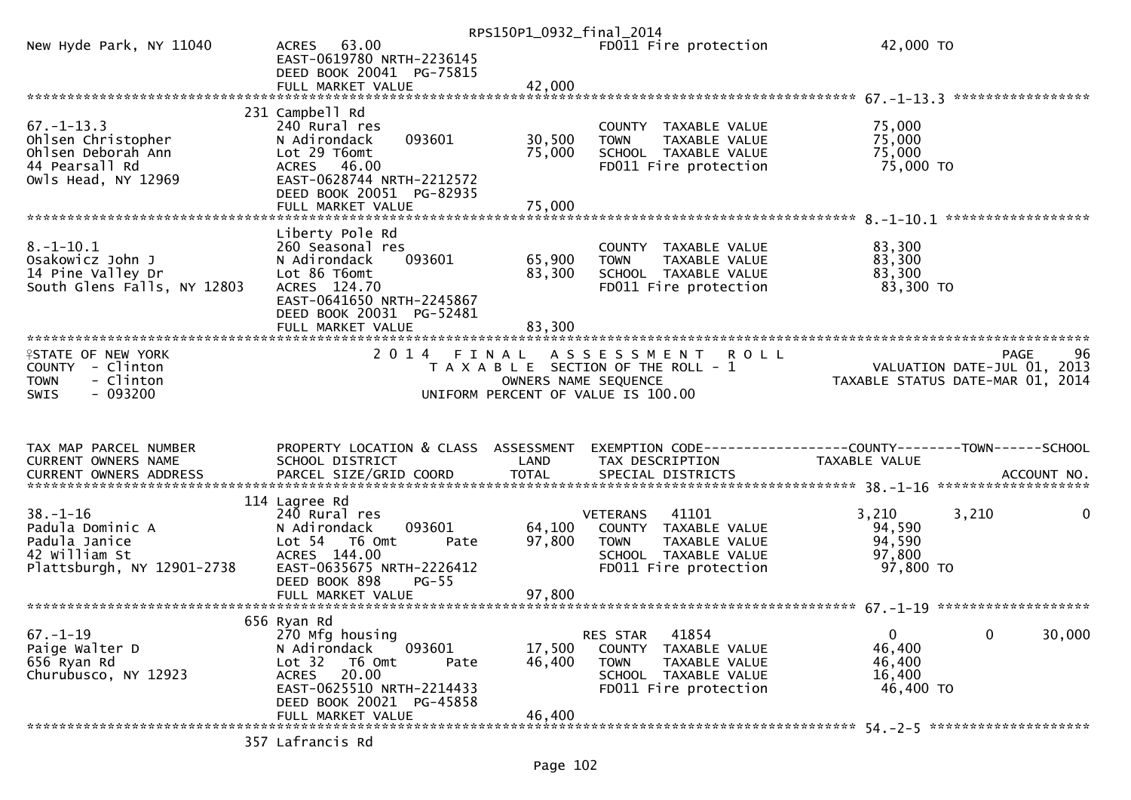|                                                                                                       |                                                                                                                                                              | RPS150P1_0932_final_2014 |                                                                                                                                   |                                                                        |
|-------------------------------------------------------------------------------------------------------|--------------------------------------------------------------------------------------------------------------------------------------------------------------|--------------------------|-----------------------------------------------------------------------------------------------------------------------------------|------------------------------------------------------------------------|
| New Hyde Park, NY 11040                                                                               | ACRES 63.00<br>EAST-0619780 NRTH-2236145<br>DEED BOOK 20041 PG-75815                                                                                         |                          | FD011 Fire protection                                                                                                             | 42,000 TO                                                              |
|                                                                                                       |                                                                                                                                                              |                          |                                                                                                                                   |                                                                        |
|                                                                                                       |                                                                                                                                                              |                          |                                                                                                                                   |                                                                        |
| $67. - 1 - 13.3$<br>Ohlsen Christopher<br>Ohlsen Deborah Ann<br>44 Pearsall Rd<br>Owls Head, NY 12969 | 231 Campbell Rd<br>240 Rural res<br>093601<br>N Adirondack<br>Lot 29 T6omt<br>ACRES 46.00<br>EAST-0628744 NRTH-2212572                                       | 30,500<br>75,000         | COUNTY TAXABLE VALUE<br><b>TOWN</b><br>TAXABLE VALUE<br>SCHOOL TAXABLE VALUE<br>FD011 Fire protection                             | 75,000<br>75,000<br>75,000<br>75,000 TO                                |
|                                                                                                       | DEED BOOK 20051 PG-82935                                                                                                                                     |                          |                                                                                                                                   |                                                                        |
|                                                                                                       |                                                                                                                                                              |                          |                                                                                                                                   | ******************                                                     |
| $8. - 1 - 10.1$<br>Osakowicz John J<br>14 Pine Valley Dr<br>South Glens Falls, NY 12803               | Liberty Pole Rd<br>260 Seasonal res<br>N Adirondack<br>093601<br>Lot 86 T6omt<br>ACRES 124.70<br>EAST-0641650 NRTH-2245867<br>DEED BOOK 20031 PG-52481       | 65,900<br>83,300         | COUNTY TAXABLE VALUE<br>TAXABLE VALUE<br><b>TOWN</b><br>SCHOOL TAXABLE VALUE<br>FD011 Fire protection                             | 83,300<br>83,300<br>83,300<br>83,300 TO                                |
|                                                                                                       | FULL MARKET VALUE                                                                                                                                            | 83,300                   |                                                                                                                                   |                                                                        |
| <b>ISTATE OF NEW YORK</b><br>COUNTY - Clinton<br>- Clinton<br><b>TOWN</b>                             | 2 0 1 4                                                                                                                                                      | FINAL                    | <b>ROLL</b><br>A S S E S S M E N T<br>T A X A B L E SECTION OF THE ROLL - 1                                                       | 96<br><b>PAGE</b><br>VALUATION DATE-JUL 01, 2013                       |
| $-093200$<br><b>SWIS</b>                                                                              |                                                                                                                                                              |                          | OWNERS NAME SEQUENCE<br>UNIFORM PERCENT OF VALUE IS 100.00                                                                        | TAXABLE STATUS DATE-MAR 01, 2014                                       |
| TAX MAP PARCEL NUMBER<br>CURRENT OWNERS NAME                                                          | PROPERTY LOCATION & CLASS ASSESSMENT<br>SCHOOL DISTRICT                                                                                                      | LAND                     | TAX DESCRIPTION                                                                                                                   | TAXABLE VALUE                                                          |
|                                                                                                       |                                                                                                                                                              |                          |                                                                                                                                   |                                                                        |
| $38. - 1 - 16$<br>Padula Dominic A<br>Padula Janice<br>42 William St<br>Plattsburgh, NY 12901-2738    | 114 Lagree Rd<br>240 Rural res<br>093601<br>N Adirondack<br>Lot 54  T6 Omt<br>Pate<br>ACRES 144.00<br>EAST-0635675 NRTH-2226412<br>DEED BOOK 898<br>$PG-55$  | 64,100<br>97,800         | 41101<br><b>VETERANS</b><br>COUNTY TAXABLE VALUE<br><b>TOWN</b><br>TAXABLE VALUE<br>SCHOOL TAXABLE VALUE<br>FD011 Fire protection | 3,210<br>3,210<br>0<br>94,590<br>94,590<br>97,800<br>97,800 TO         |
|                                                                                                       |                                                                                                                                                              |                          |                                                                                                                                   |                                                                        |
|                                                                                                       |                                                                                                                                                              |                          |                                                                                                                                   |                                                                        |
| $67. - 1 - 19$<br>Paige Walter D<br>656 Ryan Rd<br>Churubusco, NY 12923                               | 656 Ryan Rd<br>270 Mfg housing<br>093601<br>N Adirondack<br>Lot 32<br>T6 Omt<br>Pate<br>ACRES 20.00<br>EAST-0625510 NRTH-2214433<br>DEED BOOK 20021 PG-45858 | 17,500<br>46,400         | 41854<br>RES STAR<br>COUNTY TAXABLE VALUE<br><b>TOWN</b><br>TAXABLE VALUE<br>SCHOOL TAXABLE VALUE<br>FD011 Fire protection        | $\mathbf{0}$<br>0<br>30,000<br>46,400<br>46,400<br>16,400<br>46,400 TO |
|                                                                                                       | FULL MARKET VALUE<br>357 Lafrancis Rd                                                                                                                        | 46,400                   |                                                                                                                                   |                                                                        |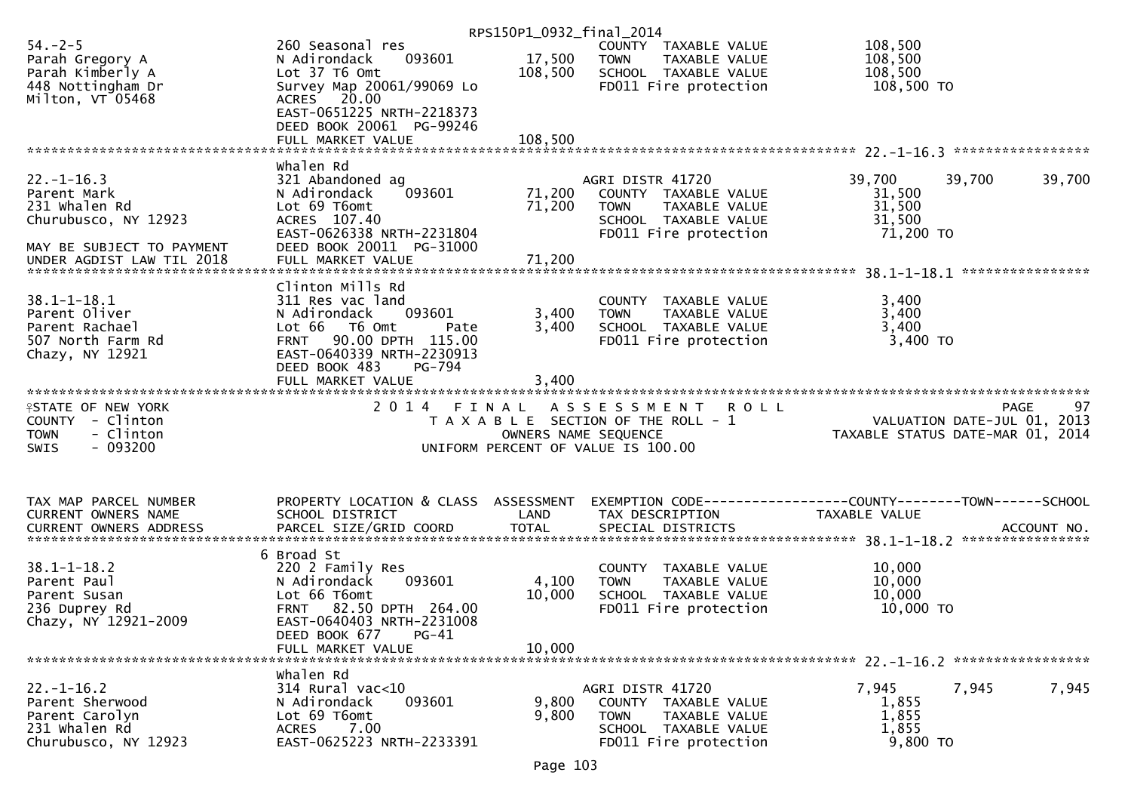|                                       |                                                   | RPS150P1_0932_final_2014 |                                                      |                                                              |        |
|---------------------------------------|---------------------------------------------------|--------------------------|------------------------------------------------------|--------------------------------------------------------------|--------|
| $54. - 2 - 5$                         | 260 Seasonal res                                  |                          | COUNTY TAXABLE VALUE                                 | 108,500                                                      |        |
| Parah Gregory A                       | 093601<br>N Adirondack                            | 17,500                   | <b>TOWN</b><br>TAXABLE VALUE                         | 108,500                                                      |        |
| Parah Kimberly A                      | Lot 37 T6 Omt                                     | 108,500                  | SCHOOL TAXABLE VALUE                                 | 108,500                                                      |        |
| 448 Nottingham Dr                     | Survey Map 20061/99069 Lo                         |                          | FD011 Fire protection                                | 108,500 TO                                                   |        |
| Milton, VT 05468                      | ACRES 20.00                                       |                          |                                                      |                                                              |        |
|                                       | EAST-0651225 NRTH-2218373                         |                          |                                                      |                                                              |        |
|                                       | DEED BOOK 20061 PG-99246                          |                          |                                                      |                                                              |        |
|                                       | FULL MARKET VALUE                                 | 108,500                  |                                                      |                                                              |        |
|                                       |                                                   |                          |                                                      |                                                              |        |
|                                       | whalen Rd                                         |                          |                                                      |                                                              |        |
| $22. - 1 - 16.3$                      | 321 Abandoned ag                                  |                          | AGRI DISTR 41720                                     | 39,700<br>39,700                                             | 39,700 |
| Parent Mark<br>231 whalen Rd          | 093601<br>N Adirondack<br>Lot 69 T6omt            | 71,200                   | COUNTY TAXABLE VALUE                                 | 31,500                                                       |        |
| Churubusco, NY 12923                  | ACRES 107.40                                      | 71,200                   | TAXABLE VALUE<br><b>TOWN</b><br>SCHOOL TAXABLE VALUE | 31,500<br>31,500                                             |        |
|                                       | EAST-0626338 NRTH-2231804                         |                          | FD011 Fire protection                                | 71,200 TO                                                    |        |
| MAY BE SUBJECT TO PAYMENT             | DEED BOOK 20011 PG-31000                          |                          |                                                      |                                                              |        |
|                                       |                                                   |                          |                                                      |                                                              |        |
|                                       |                                                   |                          |                                                      |                                                              |        |
|                                       | Clinton Mills Rd                                  |                          |                                                      |                                                              |        |
| $38.1 - 1 - 18.1$                     | 311 Res vac land                                  |                          | COUNTY TAXABLE VALUE                                 | 3,400                                                        |        |
| Parent Oliver                         | 093601<br>N Adirondack                            | 3,400                    | <b>TOWN</b><br>TAXABLE VALUE                         | 3,400                                                        |        |
| Parent Rachael                        | Lot 66<br>T6 Omt<br>Pate                          | 3,400                    | SCHOOL TAXABLE VALUE                                 | 3,400                                                        |        |
| 507 North Farm Rd                     | FRNT 90.00 DPTH 115.00                            |                          | FD011 Fire protection                                | 3,400 TO                                                     |        |
| Chazy, NY 12921                       | EAST-0640339 NRTH-2230913                         |                          |                                                      |                                                              |        |
|                                       | DEED BOOK 483<br>PG-794                           |                          |                                                      |                                                              |        |
|                                       | FULL MARKET VALUE                                 | 3,400                    |                                                      |                                                              |        |
|                                       |                                                   |                          |                                                      |                                                              |        |
|                                       |                                                   |                          |                                                      |                                                              |        |
| <b>ISTATE OF NEW YORK</b>             | 2 0 1 4<br>FINAL                                  |                          | ASSESSMENT ROLL                                      | <b>PAGE</b>                                                  | 97     |
| COUNTY - Clinton                      |                                                   |                          | T A X A B L E SECTION OF THE ROLL - 1                | VALUATION DATE-JUL 01, 2013                                  |        |
| - Clinton<br><b>TOWN</b>              |                                                   | OWNERS NAME SEQUENCE     |                                                      | TAXABLE STATUS DATE-MAR 01, 2014                             |        |
| <b>SWIS</b><br>- 093200               |                                                   |                          | UNIFORM PERCENT OF VALUE IS 100.00                   |                                                              |        |
|                                       |                                                   |                          |                                                      |                                                              |        |
|                                       |                                                   |                          |                                                      |                                                              |        |
|                                       |                                                   |                          |                                                      |                                                              |        |
| TAX MAP PARCEL NUMBER                 | PROPERTY LOCATION & CLASS ASSESSMENT              |                          |                                                      | EXEMPTION CODE-----------------COUNTY-------TOWN------SCHOOL |        |
| CURRENT OWNERS NAME                   | SCHOOL DISTRICT                                   | LAND                     | TAX DESCRIPTION                                      | TAXABLE VALUE                                                |        |
|                                       |                                                   |                          |                                                      |                                                              |        |
|                                       | 6 Broad St                                        |                          |                                                      |                                                              |        |
| $38.1 - 1 - 18.2$                     | 220 2 Family Res                                  |                          | COUNTY TAXABLE VALUE                                 | 10,000                                                       |        |
| Parent Paul                           | N Adirondack<br>093601                            | 4,100                    | TAXABLE VALUE<br><b>TOWN</b>                         | 10,000                                                       |        |
| Parent Susan                          | Lot 66 T6omt                                      | 10,000                   | SCHOOL TAXABLE VALUE                                 | 10,000                                                       |        |
| 236 Duprey Rd                         | FRNT 82.50 DPTH 264.00                            |                          | FD011 Fire protection                                | 10,000 TO                                                    |        |
| Chazy, NY 12921-2009                  | EAST-0640403 NRTH-2231008                         |                          |                                                      |                                                              |        |
|                                       | $PG-41$<br>DEED BOOK 677                          |                          |                                                      |                                                              |        |
|                                       | FULL MARKET VALUE                                 | 10,000                   |                                                      |                                                              |        |
|                                       |                                                   |                          |                                                      |                                                              |        |
|                                       | whalen Rd                                         |                          |                                                      |                                                              |        |
| $22. - 1 - 16.2$                      | $314$ Rural vac<10                                |                          | AGRI DISTR 41720                                     | 7,945<br>7,945                                               | 7,945  |
| Parent Sherwood                       | N Adirondack<br>093601                            | 9,800                    | COUNTY TAXABLE VALUE                                 | 1,855                                                        |        |
| Parent Carolyn                        | Lot 69 T6omt                                      | 9,800                    | <b>TOWN</b><br>TAXABLE VALUE                         | 1,855                                                        |        |
| 231 whalen Rd<br>Churubusco, NY 12923 | 7.00<br><b>ACRES</b><br>EAST-0625223 NRTH-2233391 |                          | SCHOOL TAXABLE VALUE<br>FD011 Fire protection        | 1,855<br>9,800 TO                                            |        |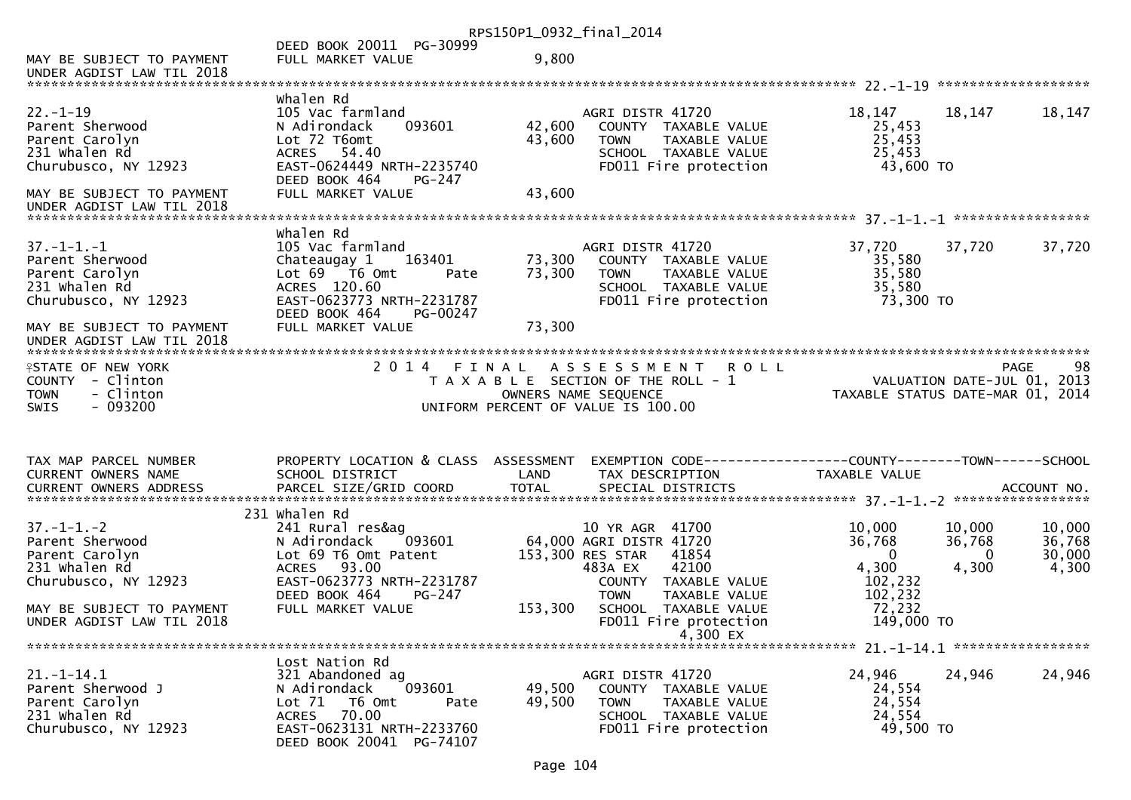|                                                                                                  |                                                                                                                                                     | RPS150P1_0932_final_2014 |                                                                                                                                                     |                                                             |                                       |                                     |
|--------------------------------------------------------------------------------------------------|-----------------------------------------------------------------------------------------------------------------------------------------------------|--------------------------|-----------------------------------------------------------------------------------------------------------------------------------------------------|-------------------------------------------------------------|---------------------------------------|-------------------------------------|
| MAY BE SUBJECT TO PAYMENT<br>UNDER AGDIST LAW TIL 2018                                           | DEED BOOK 20011 PG-30999<br>FULL MARKET VALUE                                                                                                       | 9,800                    |                                                                                                                                                     |                                                             |                                       |                                     |
|                                                                                                  |                                                                                                                                                     |                          |                                                                                                                                                     |                                                             |                                       |                                     |
| $22. - 1 - 19$<br>Parent Sherwood<br>Parent Carolyn<br>231 whalen Rd<br>Churubusco, NY 12923     | Whalen Rd<br>105 Vac farmland<br>093601<br>N Adirondack<br>Lot 72 T6omt<br>ACRES 54.40<br>EAST-0624449 NRTH-2235740<br>DEED BOOK 464<br>PG-247      | 42,600<br>43,600         | AGRI DISTR 41720<br>COUNTY TAXABLE VALUE<br><b>TOWN</b><br>TAXABLE VALUE<br>SCHOOL TAXABLE VALUE<br>FD011 Fire protection                           | 18,147<br>25,453<br>25,453<br>25,453<br>43,600 TO           | 18,147                                | 18,147                              |
| MAY BE SUBJECT TO PAYMENT<br>UNDER AGDIST LAW TIL 2018                                           | FULL MARKET VALUE                                                                                                                                   | 43,600                   |                                                                                                                                                     |                                                             |                                       |                                     |
|                                                                                                  | Whalen Rd                                                                                                                                           |                          |                                                                                                                                                     |                                                             |                                       |                                     |
| $37. - 1 - 1. - 1$<br>Parent Sherwood<br>Parent Carolyn<br>231 whalen Rd<br>Churubusco, NY 12923 | 105 Vac farmland<br>Chateaugay 1<br>163401<br>Lot 69 T6 Omt<br>Pate<br>ACRES 120.60<br>EAST-0623773 NRTH-2231787<br>DEED BOOK 464<br>PG-00247       | 73,300<br>73,300         | AGRI DISTR 41720<br>COUNTY TAXABLE VALUE<br><b>TOWN</b><br>TAXABLE VALUE<br>SCHOOL TAXABLE VALUE<br>FD011 Fire protection                           | 37,720<br>35,580<br>35,580<br>35,580<br>73,300 TO           | 37,720                                | 37,720                              |
| MAY BE SUBJECT TO PAYMENT                                                                        | FULL MARKET VALUE                                                                                                                                   | 73,300                   |                                                                                                                                                     |                                                             |                                       |                                     |
| <b>ISTATE OF NEW YORK</b><br>COUNTY - Clinton<br><b>TOWN</b><br>- Clinton<br>SWIS<br>$-093200$   |                                                                                                                                                     |                          | 2014 FINAL ASSESSMENT ROLL<br>T A X A B L E SECTION OF THE ROLL - 1<br>OWNERS NAME SEQUENCE<br>UNIFORM PERCENT OF VALUE IS 100.00                   | TAXABLE STATUS DATE-MAR 01, 2014                            | VALUATION DATE-JUL 01, 2013           | 98<br>PAGE                          |
| TAX MAP PARCEL NUMBER<br>CURRENT OWNERS NAME                                                     | PROPERTY LOCATION & CLASS ASSESSMENT<br>SCHOOL DISTRICT                                                                                             | LAND                     | TAX DESCRIPTION                                                                                                                                     | TAXABLE VALUE                                               |                                       |                                     |
|                                                                                                  |                                                                                                                                                     |                          |                                                                                                                                                     |                                                             |                                       |                                     |
|                                                                                                  | 231 Whalen Rd                                                                                                                                       |                          |                                                                                                                                                     |                                                             |                                       |                                     |
| $37. - 1 - 1. - 2$<br>Parent Sherwood<br>Parent Carolyn<br>231 whalen Rd<br>Churubusco, NY 12923 | 241 Rural res&ag<br>093601<br>N Adirondack<br>Lot 69 T6 Omt Patent<br>93.00<br><b>ACRES</b><br>EAST-0623773 NRTH-2231787<br>DEED BOOK 464<br>PG-247 |                          | 10 YR AGR 41700<br>64,000 AGRI DISTR 41720<br>153,300 RES STAR<br>41854<br>483A EX<br>42100<br>COUNTY TAXABLE VALUE<br><b>TOWN</b><br>TAXABLE VALUE | 10,000<br>36,768<br>$\Omega$<br>4,300<br>102,232<br>102,232 | 10,000<br>36,768<br>$\Omega$<br>4,300 | 10,000<br>36,768<br>30,000<br>4,300 |
| MAY BE SUBJECT TO PAYMENT<br>UNDER AGDIST LAW TIL 2018                                           | FULL MARKET VALUE                                                                                                                                   | 153,300                  | SCHOOL TAXABLE VALUE<br>FD011 Fire protection<br>4,300 EX                                                                                           | 72,232<br>149,000 TO                                        |                                       |                                     |
|                                                                                                  |                                                                                                                                                     |                          |                                                                                                                                                     |                                                             |                                       |                                     |
| $21. - 1 - 14.1$<br>Parent Sherwood J<br>Parent Carolyn<br>231 whalen Rd<br>Churubusco, NY 12923 | Lost Nation Rd<br>321 Abandoned ag<br>093601<br>N Adirondack<br>Lot 71<br>T6 Omt<br>Pate<br>70.00<br>ACRES<br>EAST-0623131 NRTH-2233760             | 49,500<br>49,500         | AGRI DISTR 41720<br>COUNTY TAXABLE VALUE<br><b>TOWN</b><br>TAXABLE VALUE<br>SCHOOL TAXABLE VALUE<br>FD011 Fire protection                           | 24,946<br>24,554<br>24,554<br>24,554<br>49,500 TO           | 24,946                                | 24,946                              |
|                                                                                                  | DEED BOOK 20041 PG-74107                                                                                                                            |                          |                                                                                                                                                     |                                                             |                                       |                                     |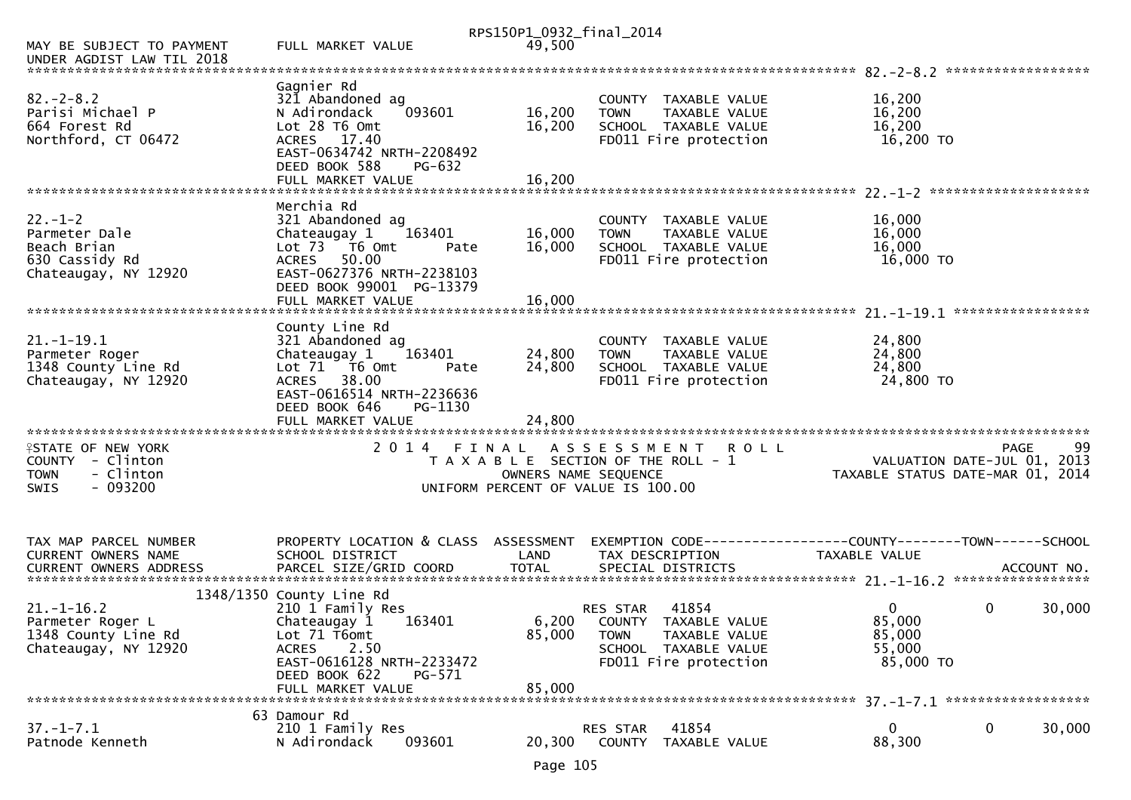|                                                                                                      |                                                                                                                                                                                             | RPS150P1_0932_final_2014 |                                                                                                                                         |                                                                                 |  |
|------------------------------------------------------------------------------------------------------|---------------------------------------------------------------------------------------------------------------------------------------------------------------------------------------------|--------------------------|-----------------------------------------------------------------------------------------------------------------------------------------|---------------------------------------------------------------------------------|--|
| MAY BE SUBJECT TO PAYMENT<br>UNDER AGDIST LAW TIL 2018                                               | FULL MARKET VALUE                                                                                                                                                                           | 49,500                   |                                                                                                                                         |                                                                                 |  |
|                                                                                                      |                                                                                                                                                                                             |                          |                                                                                                                                         |                                                                                 |  |
| $82 - 2 - 8.2$<br>Parisi Michael P<br>664 Forest Rd<br>Northford, CT 06472                           | Gagnier Rd<br>321 Abandoned ag<br>N Adirondack<br>093601<br>Lot 28 T6 Omt<br>ACRES 17.40<br>EAST-0634742 NRTH-2208492<br>DEED BOOK 588<br>PG-632                                            | 16,200<br>16,200         | COUNTY TAXABLE VALUE<br>TAXABLE VALUE<br><b>TOWN</b><br>SCHOOL TAXABLE VALUE<br>FD011 Fire protection                                   | 16,200<br>16,200<br>16,200<br>16,200 TO                                         |  |
|                                                                                                      |                                                                                                                                                                                             |                          |                                                                                                                                         |                                                                                 |  |
| $22 - 1 - 2$<br>Parmeter Dale<br>Beach Brian<br>630 Cassidy Rd<br>Chateaugay, NY 12920               | Merchia Rd<br>321 Abandoned ag<br>163401<br>Chateaugay 1<br>Lot 73  T6 Omt<br>Pate<br>50.00<br><b>ACRES</b><br>EAST-0627376 NRTH-2238103<br>DEED BOOK 99001 PG-13379                        | 16,000<br>16,000         | COUNTY TAXABLE VALUE<br>TAXABLE VALUE<br><b>TOWN</b><br>SCHOOL TAXABLE VALUE<br>FD011 Fire protection                                   | 16,000<br>16,000<br>16,000<br>16,000 TO                                         |  |
|                                                                                                      |                                                                                                                                                                                             |                          |                                                                                                                                         |                                                                                 |  |
|                                                                                                      |                                                                                                                                                                                             |                          |                                                                                                                                         |                                                                                 |  |
| $21. - 1 - 19.1$<br>Parmeter Roger<br>1348 County Line Rd<br>Chateaugay, NY 12920                    | County Line Rd<br>321 Abandoned ag<br>Chateaugay 1<br>163401<br>Lot 71  T6 0mt<br>Pate<br>ACRES 38.00<br>EAST-0616514 NRTH-2236636<br>DEED BOOK 646<br>PG-1130                              | 24,800<br>24,800         | COUNTY TAXABLE VALUE<br>TAXABLE VALUE<br><b>TOWN</b><br>SCHOOL TAXABLE VALUE<br>FD011 Fire protection                                   | 24,800<br>24,800<br>24,800<br>24,800 TO                                         |  |
|                                                                                                      |                                                                                                                                                                                             |                          |                                                                                                                                         |                                                                                 |  |
|                                                                                                      |                                                                                                                                                                                             |                          |                                                                                                                                         |                                                                                 |  |
| <b>ISTATE OF NEW YORK</b><br>COUNTY - Clinton<br>- Clinton<br><b>TOWN</b><br><b>SWIS</b><br>- 093200 | 2 0 1 4<br>FINAL                                                                                                                                                                            | OWNERS NAME SEQUENCE     | A S S E S S M E N T<br><b>ROLL</b><br>T A X A B L E SECTION OF THE ROLL - 1<br>UNIFORM PERCENT OF VALUE IS 100.00                       | 99<br>PAGE<br>VALUATION DATE-JUL 01, 2013<br>TAXABLE STATUS DATE-MAR 01, 2014   |  |
|                                                                                                      |                                                                                                                                                                                             |                          |                                                                                                                                         |                                                                                 |  |
| TAX MAP PARCEL NUMBER<br>CURRENT OWNERS NAME<br>CURRENT OWNERS ADDRESS                               | PROPERTY LOCATION & CLASS ASSESSMENT<br>SCHOOL DISTRICT                                                                                                                                     | LAND                     | TAX DESCRIPTION                                                                                                                         | EXEMPTION CODE------------------COUNTY--------TOWN------SCHOOL<br>TAXABLE VALUE |  |
|                                                                                                      |                                                                                                                                                                                             |                          |                                                                                                                                         |                                                                                 |  |
| $21. - 1 - 16.2$<br>Parmeter Roger L<br>1348 County Line Rd<br>Chateaugay, NY 12920                  | 1348/1350 County Line Rd<br>210 1 Family Res<br>Chateaugay 1<br>163401<br>Lot 71 T6omt<br><b>ACRES</b><br>2.50<br>EAST-0616128 NRTH-2233472<br>DEED BOOK 622<br>PG-571<br>FULL MARKET VALUE | 85,000<br>85,000         | 41854<br><b>RES STAR</b><br>6,200 COUNTY TAXABLE VALUE<br><b>TOWN</b><br>TAXABLE VALUE<br>SCHOOL TAXABLE VALUE<br>FD011 Fire protection | 0<br>0<br>30,000<br>85,000<br>85,000<br>55,000<br>85,000 TO                     |  |
|                                                                                                      |                                                                                                                                                                                             |                          |                                                                                                                                         |                                                                                 |  |
| $37. - 1 - 7.1$<br>Patnode Kenneth                                                                   | 63 Damour Rd<br>210 1 Family Res<br>N Adirondack<br>093601                                                                                                                                  | 20,300                   | 41854<br>RES STAR<br>COUNTY TAXABLE VALUE                                                                                               | 0<br>0<br>30,000<br>88,300                                                      |  |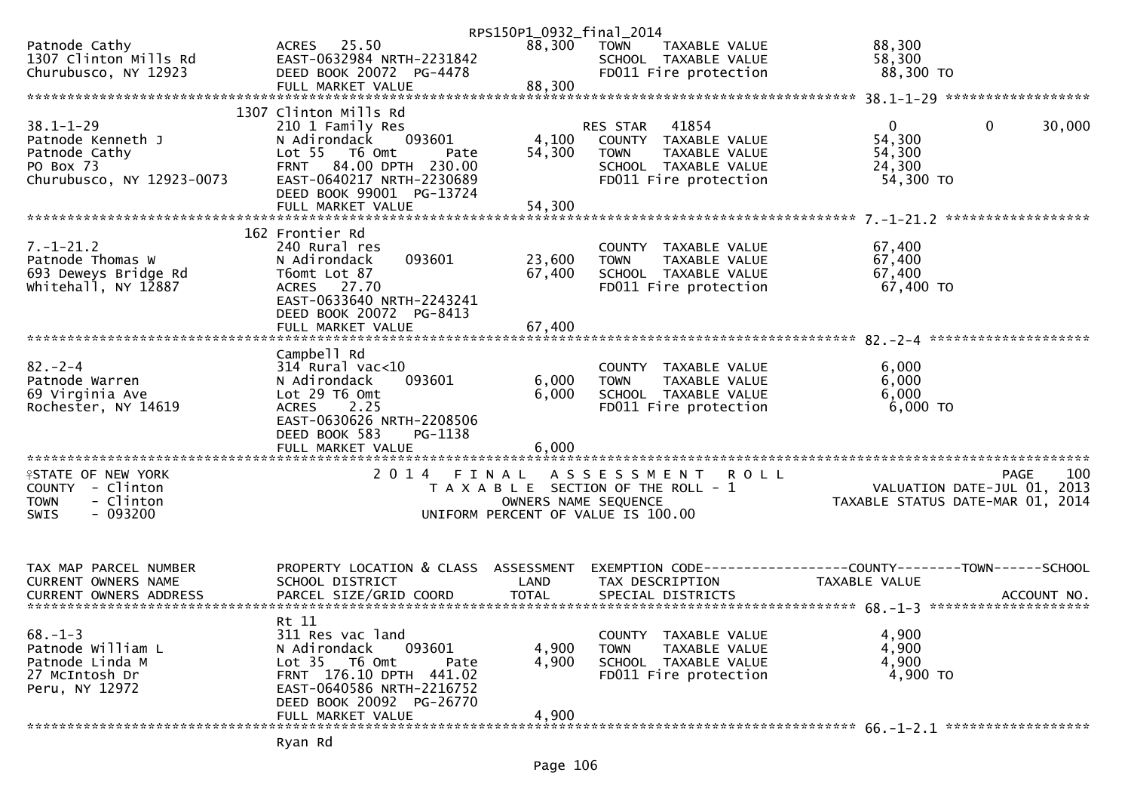|                                                      |                                                       | RPS150P1_0932_final_2014 |                                                               |                                  |                    |
|------------------------------------------------------|-------------------------------------------------------|--------------------------|---------------------------------------------------------------|----------------------------------|--------------------|
| Patnode Cathy<br>1307 Clinton Mills Rd               | ACRES 25.50<br>EAST-0632984 NRTH-2231842              | 88,300                   | TAXABLE VALUE<br>TOWN<br>SCHOOL TAXABLE VALUE                 | 88,300<br>58,300                 |                    |
| Churubusco, NY 12923                                 | DEED BOOK 20072 PG-4478<br>FULL MARKET VALUE          | 88,300                   | FD011 Fire protection                                         | 88,300 TO                        |                    |
|                                                      |                                                       |                          |                                                               |                                  |                    |
|                                                      | 1307 Clinton Mills Rd                                 |                          |                                                               |                                  |                    |
| $38.1 - 1 - 29$                                      | 210 1 Family Res                                      |                          | 41854<br>RES STAR                                             | $\overline{0}$<br>$\mathbf 0$    | 30,000             |
| Patnode Kenneth J<br>Patnode Cathy                   | 093601<br>N Adirondack<br>Lot 55 T6 Omt<br>Pate       | 4,100<br>54,300          | COUNTY TAXABLE VALUE<br><b>TOWN</b><br>TAXABLE VALUE          | 54,300<br>54,300                 |                    |
| PO Box 73                                            | FRNT 84.00 DPTH 230.00                                |                          | SCHOOL TAXABLE VALUE                                          | 24,300                           |                    |
| Churubusco, NY 12923-0073                            | EAST-0640217 NRTH-2230689<br>DEED BOOK 99001 PG-13724 |                          | FD011 Fire protection                                         | 54,300 TO                        |                    |
|                                                      | FULL MARKET VALUE                                     | 54,300                   |                                                               |                                  |                    |
|                                                      | 162 Frontier Rd                                       |                          |                                                               |                                  | ****************** |
| $7. - 1 - 21.2$                                      | 240 Rural res                                         |                          | COUNTY TAXABLE VALUE                                          | 67,400                           |                    |
| Patnode Thomas W                                     | 093601<br>N Adirondack                                | 23,600                   | <b>TOWN</b><br>TAXABLE VALUE                                  | 67,400                           |                    |
| 693 Deweys Bridge Rd                                 | T6omt Lot 87                                          | 67,400                   | SCHOOL TAXABLE VALUE                                          | 67,400                           |                    |
| whitehall, NY 12887                                  | ACRES 27.70                                           |                          | FD011 Fire protection                                         | 67,400 TO                        |                    |
|                                                      | EAST-0633640 NRTH-2243241                             |                          |                                                               |                                  |                    |
|                                                      | DEED BOOK 20072 PG-8413<br>FULL MARKET VALUE          | 67,400                   |                                                               |                                  |                    |
|                                                      |                                                       |                          |                                                               |                                  |                    |
|                                                      | Campbell Rd                                           |                          |                                                               |                                  |                    |
| $82 - 2 - 4$                                         | 314 Rural vac<10                                      |                          | COUNTY TAXABLE VALUE                                          | 6,000                            |                    |
| Patnode Warren                                       | 093601<br>N Adirondack                                | 6,000                    | <b>TOWN</b><br>TAXABLE VALUE                                  | 6,000                            |                    |
| 69 Virginia Ave                                      | Lot 29 T6 Omt                                         | 6,000                    | SCHOOL TAXABLE VALUE                                          | 6,000                            |                    |
| Rochester, NY 14619                                  | 2.25<br><b>ACRES</b><br>EAST-0630626 NRTH-2208506     |                          | FD011 Fire protection                                         | $6,000$ TO                       |                    |
|                                                      | DEED BOOK 583<br>PG-1138                              |                          |                                                               |                                  |                    |
|                                                      | FULL MARKET VALUE                                     | 6,000                    |                                                               |                                  |                    |
|                                                      |                                                       |                          |                                                               |                                  |                    |
| <b>ISTATE OF NEW YORK</b>                            | 2 0 1 4<br>FINAL                                      |                          | ASSESSMENT<br><b>ROLL</b>                                     |                                  | 100<br>PAGE        |
| COUNTY - Clinton                                     |                                                       |                          | T A X A B L E SECTION OF THE ROLL - 1                         | VALUATION DATE-JUL 01, 2013      |                    |
| - Clinton<br><b>TOWN</b><br>$-093200$<br><b>SWIS</b> |                                                       | OWNERS NAME SEQUENCE     | UNIFORM PERCENT OF VALUE IS 100.00                            | TAXABLE STATUS DATE-MAR 01, 2014 |                    |
|                                                      |                                                       |                          |                                                               |                                  |                    |
|                                                      |                                                       |                          |                                                               |                                  |                    |
|                                                      |                                                       |                          |                                                               |                                  |                    |
| TAX MAP PARCEL NUMBER                                | PROPERTY LOCATION & CLASS ASSESSMENT                  |                          | EXEMPTION CODE-----------------COUNTY--------TOWN------SCHOOL |                                  |                    |
| CURRENT OWNERS NAME                                  | SCHOOL DISTRICT                                       | LAND                     | TAX DESCRIPTION                                               | TAXABLE VALUE                    |                    |
|                                                      |                                                       |                          |                                                               |                                  |                    |
|                                                      | Rt 11                                                 |                          |                                                               |                                  |                    |
| $68 - 1 - 3$                                         | 311 Res vac land                                      |                          | COUNTY TAXABLE VALUE                                          | 4,900                            |                    |
| Patnode William L                                    | 093601<br>N Adirondack                                | 4,900                    | <b>TOWN</b><br><b>TAXABLE VALUE</b>                           | 4,900                            |                    |
| Patnode Linda M                                      | Lot 35  T6 Omt<br>Pate                                | 4,900                    | SCHOOL TAXABLE VALUE                                          | 4,900                            |                    |
| 27 McIntosh Dr                                       | FRNT 176.10 DPTH 441.02                               |                          | FD011 Fire protection                                         | 4,900 TO                         |                    |
| Peru, NY 12972                                       | EAST-0640586 NRTH-2216752<br>DEED BOOK 20092 PG-26770 |                          |                                                               |                                  |                    |
|                                                      | FULL MARKET VALUE                                     | 4,900                    |                                                               |                                  |                    |
|                                                      |                                                       |                          |                                                               |                                  |                    |
|                                                      |                                                       |                          |                                                               |                                  |                    |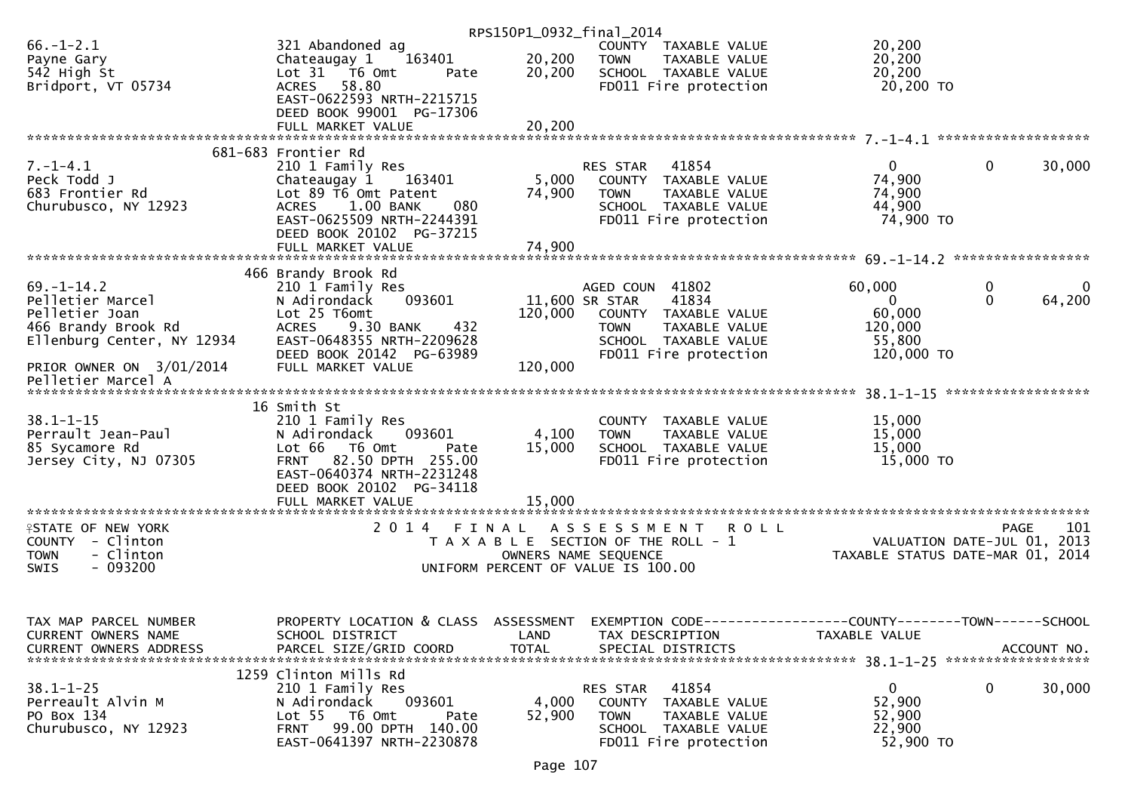|                                                      |                                                               | RPS150P1_0932_final_2014 |                                               |                                                                 |                             |
|------------------------------------------------------|---------------------------------------------------------------|--------------------------|-----------------------------------------------|-----------------------------------------------------------------|-----------------------------|
| $66. - 1 - 2.1$                                      | 321 Abandoned ag                                              |                          | COUNTY TAXABLE VALUE                          | 20,200                                                          |                             |
| Payne Gary                                           | 163401<br>Chateaugay 1                                        | 20,200                   | <b>TOWN</b><br>TAXABLE VALUE                  | 20,200                                                          |                             |
| 542 High St                                          | Lot 31 76 0mt<br>Pate                                         | 20,200                   | SCHOOL TAXABLE VALUE                          | 20,200                                                          |                             |
| Bridport, VT 05734                                   | ACRES 58.80                                                   |                          | FD011 Fire protection                         | 20,200 TO                                                       |                             |
|                                                      | EAST-0622593 NRTH-2215715                                     |                          |                                               |                                                                 |                             |
|                                                      | DEED BOOK 99001 PG-17306                                      |                          |                                               |                                                                 |                             |
|                                                      | FULL MARKET VALUE                                             | 20,200                   |                                               |                                                                 |                             |
|                                                      |                                                               |                          |                                               |                                                                 |                             |
| $7. - 1 - 4.1$                                       | 681-683 Frontier Rd<br>210 1 Family Res                       |                          | RES STAR 41854                                | $\mathbf{0}$                                                    | $\mathbf{0}$<br>30,000      |
| Peck Todd J                                          | Chateaugay 1<br>163401                                        | 5,000                    | COUNTY TAXABLE VALUE                          | 74,900                                                          |                             |
| 683 Frontier Rd                                      | Lot 89 T6 Omt Patent                                          | 74,900                   | TAXABLE VALUE<br><b>TOWN</b>                  | 74,900                                                          |                             |
| Churubusco, NY 12923                                 | ACRES 1.00 BANK<br>080                                        |                          | SCHOOL TAXABLE VALUE                          | 44,900                                                          |                             |
|                                                      | EAST-0625509 NRTH-2244391                                     |                          | FD011 Fire protection                         | 74,900 TO                                                       |                             |
|                                                      | DEED BOOK 20102 PG-37215                                      |                          |                                               |                                                                 |                             |
|                                                      |                                                               |                          |                                               |                                                                 |                             |
|                                                      |                                                               |                          |                                               |                                                                 |                             |
|                                                      | 466 Brandy Brook Rd                                           |                          |                                               |                                                                 |                             |
| $69. - 1 - 14.2$                                     | 210 1 Family Res                                              |                          | AGED COUN 41802                               | 60,000                                                          | $\mathbf 0$<br>$\mathbf{0}$ |
| Pelletier Marcel                                     | 093601<br>N Adirondack                                        |                          | 11,600 SR STAR<br>41834                       | $\mathbf{0}$                                                    | 64,200<br>$\mathbf{0}$      |
| Pelletier Joan                                       | Lot 25 T6omt                                                  |                          | 120,000 COUNTY TAXABLE VALUE                  | 60,000                                                          |                             |
| 466 Brandy Brook Rd                                  | 9.30 BANK<br>432<br><b>ACRES</b>                              |                          | TAXABLE VALUE<br><b>TOWN</b>                  | 120,000                                                         |                             |
| Ellenburg Center, NY 12934                           | EAST-0648355 NRTH-2209628                                     |                          | SCHOOL TAXABLE VALUE                          | 55,800                                                          |                             |
|                                                      | DEED BOOK 20142 PG-63989                                      |                          | FD011 Fire protection                         | 120,000 TO                                                      |                             |
| PRIOR OWNER ON 3/01/2014<br>Pelletier Marcel A       | FULL MARKET VALUE                                             | 120,000                  |                                               |                                                                 |                             |
|                                                      |                                                               |                          |                                               |                                                                 |                             |
|                                                      | 16 Smith St                                                   |                          |                                               |                                                                 |                             |
| $38.1 - 1 - 15$                                      | 210 1 Family Res                                              |                          | COUNTY TAXABLE VALUE                          | 15,000                                                          |                             |
| Perrault Jean-Paul                                   | N Adirondack<br>093601                                        | 4,100                    | <b>TOWN</b><br>TAXABLE VALUE                  | 15,000                                                          |                             |
| 85 Sycamore Rd                                       | Lot 66 T6 Omt<br>Pate                                         | 15,000                   | SCHOOL TAXABLE VALUE                          | 15,000                                                          |                             |
| Jersey City, NJ 07305                                | FRNT 82.50 DPTH 255.00                                        |                          | FD011 Fire protection                         | 15,000 TO                                                       |                             |
|                                                      | EAST-0640374 NRTH-2231248                                     |                          |                                               |                                                                 |                             |
|                                                      | DEED BOOK 20102 PG-34118                                      |                          |                                               |                                                                 |                             |
|                                                      |                                                               |                          |                                               |                                                                 |                             |
|                                                      |                                                               |                          |                                               |                                                                 |                             |
| <b>ISTATE OF NEW YORK</b>                            | 2014 FINAL                                                    |                          | A S S E S S M E N T R O L L                   |                                                                 | 101<br><b>PAGE</b>          |
| COUNTY - Clinton                                     |                                                               |                          | T A X A B L E SECTION OF THE ROLL - 1         | VALUATION DATE-JUL 01, 2013<br>TAXABLE STATUS DATE-MAR 01, 2014 |                             |
| - Clinton<br><b>TOWN</b><br>$-093200$<br><b>SWIS</b> |                                                               |                          | OWNERS NAME SEQUENCE                          |                                                                 |                             |
|                                                      |                                                               |                          | UNIFORM PERCENT OF VALUE IS 100.00            |                                                                 |                             |
|                                                      |                                                               |                          |                                               |                                                                 |                             |
|                                                      |                                                               |                          |                                               |                                                                 |                             |
| TAX MAP PARCEL NUMBER                                | PROPERTY LOCATION & CLASS ASSESSMENT                          |                          |                                               |                                                                 |                             |
| CURRENT OWNERS NAME                                  | SCHOOL DISTRICT                                               | LAND                     | TAX DESCRIPTION                               | TAXABLE VALUE                                                   |                             |
| <b>CURRENT OWNERS ADDRESS</b>                        | PARCEL SIZE/GRID COORD                                        | <b>TOTAL</b>             | SPECIAL DISTRICTS                             |                                                                 | ACCOUNT NO.                 |
|                                                      |                                                               |                          |                                               |                                                                 |                             |
|                                                      | 1259 Clinton Mills Rd                                         |                          |                                               |                                                                 |                             |
| $38.1 - 1 - 25$                                      | 210 1 Family Res                                              |                          | 41854<br>RES STAR                             | $\mathbf{0}$                                                    | 0<br>30,000                 |
| Perreault Alvin M                                    | 093601<br>N Adirondack                                        | 4,000                    | COUNTY<br>TAXABLE VALUE                       | 52,900                                                          |                             |
| PO Box 134                                           | Lot 55 T6 Omt<br>Pate                                         | 52,900                   | <b>TOWN</b><br>TAXABLE VALUE                  | 52,900                                                          |                             |
| Churubusco, NY 12923                                 |                                                               |                          |                                               |                                                                 |                             |
|                                                      | 99.00 DPTH 140.00<br><b>FRNT</b><br>EAST-0641397 NRTH-2230878 |                          | SCHOOL TAXABLE VALUE<br>FD011 Fire protection | 22,900<br>52,900 TO                                             |                             |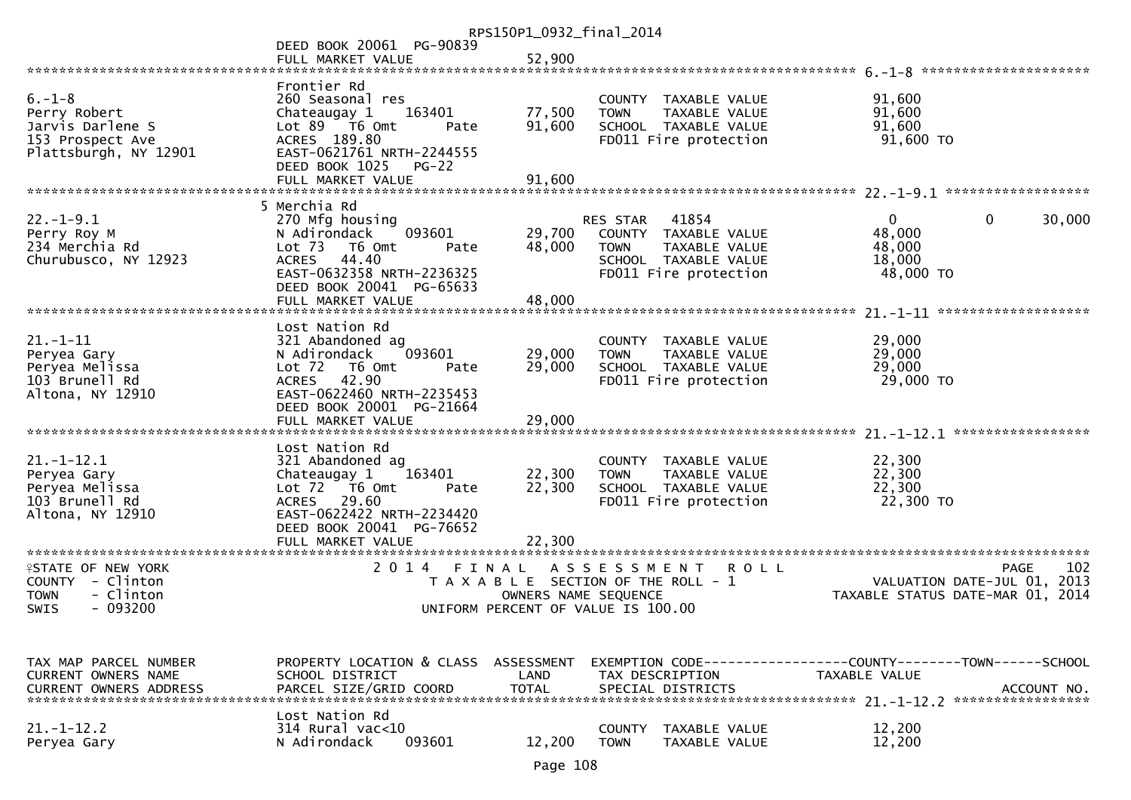|                                                                                               |                                                                                                                                                                                              | RPS150P1_0932_final_2014           |                                                                                                                            |                                                                 |                       |
|-----------------------------------------------------------------------------------------------|----------------------------------------------------------------------------------------------------------------------------------------------------------------------------------------------|------------------------------------|----------------------------------------------------------------------------------------------------------------------------|-----------------------------------------------------------------|-----------------------|
|                                                                                               | DEED BOOK 20061 PG-90839<br>FULL MARKET VALUE                                                                                                                                                | 52,900                             |                                                                                                                            |                                                                 |                       |
|                                                                                               |                                                                                                                                                                                              |                                    |                                                                                                                            |                                                                 |                       |
| $6. - 1 - 8$<br>Perry Robert<br>Jarvis Darlene S<br>153 Prospect Ave<br>Plattsburgh, NY 12901 | Frontier Rd<br>260 Seasonal res<br>Chateaugay 1<br>163401<br>Lot 89 T6 Omt<br>Pate<br>ACRES 189.80<br>EAST-0621761 NRTH-2244555<br>DEED BOOK 1025<br>$PG-22$<br>FULL MARKET VALUE            | 77,500<br>91,600<br>91,600         | COUNTY TAXABLE VALUE<br>TAXABLE VALUE<br><b>TOWN</b><br>SCHOOL TAXABLE VALUE<br>FD011 Fire protection                      | 91,600<br>91,600<br>91,600<br>$91,600$ TO                       |                       |
|                                                                                               |                                                                                                                                                                                              |                                    |                                                                                                                            |                                                                 |                       |
| $22. - 1 - 9.1$<br>Perry Roy M<br>234 Merchia Rd<br>Churubusco, NY 12923                      | 5 Merchia Rd<br>270 Mfg housing<br>093601<br>N Adirondack<br>Lot 73 T6 Omt<br>Pate<br><b>ACRES</b><br>44.40<br>EAST-0632358 NRTH-2236325<br>DEED BOOK 20041 PG-65633<br>FULL MARKET VALUE    | 29,700<br>48,000<br>48,000         | RES STAR<br>41854<br>COUNTY TAXABLE VALUE<br>TAXABLE VALUE<br><b>TOWN</b><br>SCHOOL TAXABLE VALUE<br>FD011 Fire protection | $\mathbf{0}$<br>48,000<br>48,000<br>18,000<br>48,000 TO         | $\mathbf 0$<br>30,000 |
|                                                                                               | Lost Nation Rd                                                                                                                                                                               |                                    |                                                                                                                            |                                                                 |                       |
| $21. - 1 - 11$<br>Peryea Gary<br>Peryea Melissa<br>103 Brunell Rd<br>Altona, NY 12910         | 321 Abandoned ag<br>093601<br>N Adirondack<br>Lot 72<br>T6 Omt<br>Pate<br><b>ACRES</b><br>42.90<br>EAST-0622460 NRTH-2235453<br>DEED BOOK 20001 PG-21664<br>FULL MARKET VALUE                | 29,000<br>29,000<br>29,000         | COUNTY TAXABLE VALUE<br>TAXABLE VALUE<br><b>TOWN</b><br>SCHOOL TAXABLE VALUE<br>FD011 Fire protection                      | 29,000<br>29,000<br>29,000<br>29,000 TO                         |                       |
|                                                                                               |                                                                                                                                                                                              |                                    |                                                                                                                            |                                                                 |                       |
| $21. - 1 - 12.1$<br>Peryea Gary<br>Peryea Melissa<br>103 Brunell Rd<br>Altona, NY 12910       | Lost Nation Rd<br>321 Abandoned ag<br>163401<br>Chateaugay 1<br>Lot 72 T6 Omt<br>Pate<br><b>ACRES</b><br>29.60<br>EAST-0622422 NRTH-2234420<br>DEED BOOK 20041 PG-76652<br>FULL MARKET VALUE | 22,300<br>22,300<br>22,300         | COUNTY TAXABLE VALUE<br><b>TOWN</b><br>TAXABLE VALUE<br>SCHOOL TAXABLE VALUE<br>FD011 Fire protection                      | 22,300<br>22,300<br>22,300<br>22,300 TO                         |                       |
| **********************                                                                        | ***********************                                                                                                                                                                      |                                    |                                                                                                                            |                                                                 |                       |
| <b>?STATE OF NEW YORK</b><br>COUNTY - Clinton<br><b>TOWN</b><br>- Clinton<br>SWIS<br>- 093200 | 2 0 1 4<br>FINAL                                                                                                                                                                             | OWNERS NAME SEQUENCE               | A S S E S S M E N T<br><b>ROLL</b><br>T A X A B L E SECTION OF THE ROLL - 1<br>UNIFORM PERCENT OF VALUE IS 100.00          | VALUATION DATE-JUL 01, 2013<br>TAXABLE STATUS DATE-MAR 01, 2014 | 102<br><b>PAGE</b>    |
|                                                                                               |                                                                                                                                                                                              |                                    |                                                                                                                            |                                                                 |                       |
| TAX MAP PARCEL NUMBER<br><b>CURRENT OWNERS NAME</b><br><b>CURRENT OWNERS ADDRESS</b>          | PROPERTY LOCATION & CLASS<br>SCHOOL DISTRICT<br>PARCEL SIZE/GRID COORD                                                                                                                       | ASSESSMENT<br>LAND<br><b>TOTAL</b> | EXEMPTION CODE-----------------COUNTY-------TOWN------SCHOOL<br>TAX DESCRIPTION<br>SPECIAL DISTRICTS                       | TAXABLE VALUE                                                   | ACCOUNT NO.           |
| $21. - 1 - 12.2$<br>Peryea Gary                                                               | Lost Nation Rd<br>314 Rural vac<10<br>N Adirondack<br>093601                                                                                                                                 | 12,200                             | <b>COUNTY</b><br>TAXABLE VALUE<br><b>TOWN</b><br>TAXABLE VALUE                                                             | 12,200<br>12,200                                                |                       |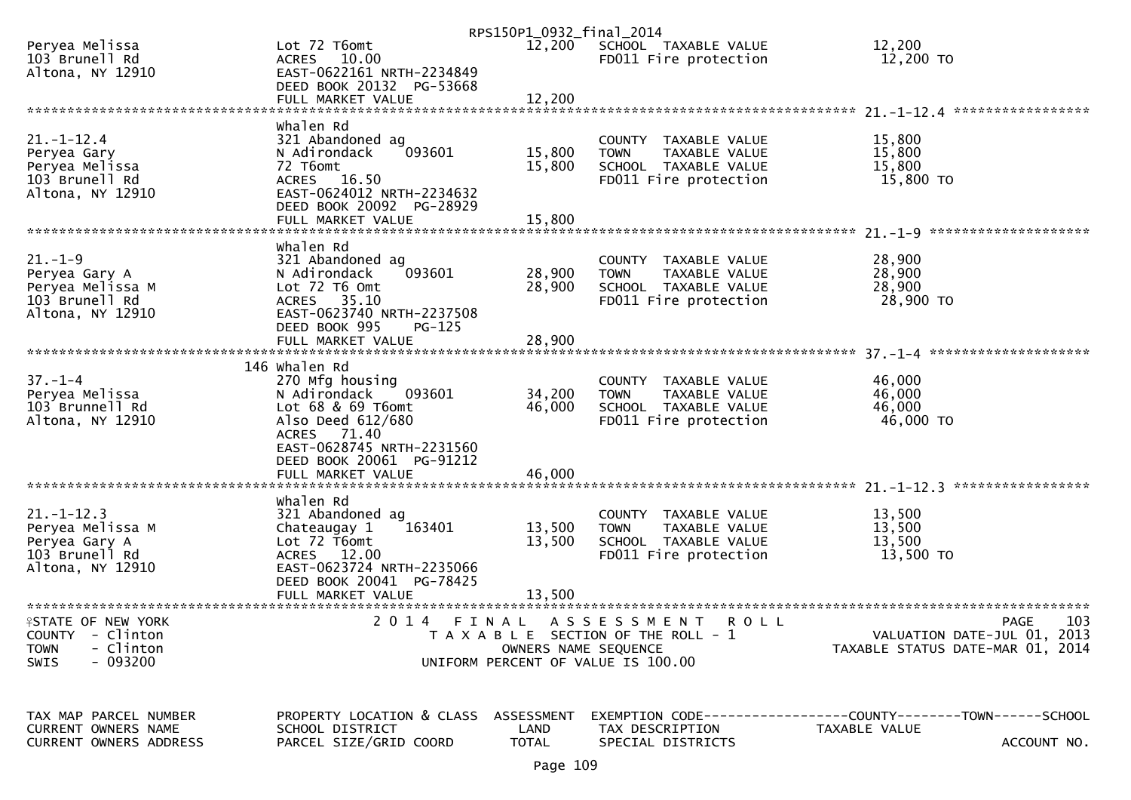|                                                      |                                                          | RPS150P1_0932_final_2014 |                                                      |                                                              |
|------------------------------------------------------|----------------------------------------------------------|--------------------------|------------------------------------------------------|--------------------------------------------------------------|
| Peryea Melissa<br>103 Brunell Rd<br>Altona, NY 12910 | Lot 72 T6omt<br>ACRES 10.00<br>EAST-0622161 NRTH-2234849 | 12,200                   | SCHOOL TAXABLE VALUE<br>FD011 Fire protection        | 12,200<br>12,200 TO                                          |
|                                                      | DEED BOOK 20132 PG-53668                                 |                          |                                                      |                                                              |
|                                                      |                                                          |                          |                                                      |                                                              |
|                                                      | whalen Rd                                                |                          |                                                      |                                                              |
| $21. - 1 - 12.4$                                     | 321 Abandoned ag                                         |                          | COUNTY TAXABLE VALUE                                 | 15,800                                                       |
| Peryea Gary<br>Peryea Melissa                        | N Adirondack<br>093601<br>72 T6omt                       | 15,800<br>15,800         | TAXABLE VALUE<br><b>TOWN</b><br>SCHOOL TAXABLE VALUE | 15,800<br>15,800                                             |
| 103 Brunell Rd                                       | ACRES 16.50                                              |                          | FD011 Fire protection                                | 15,800 TO                                                    |
| Altona, NY 12910                                     | EAST-0624012 NRTH-2234632                                |                          |                                                      |                                                              |
|                                                      | DEED BOOK 20092 PG-28929<br>FULL MARKET VALUE            | 15,800                   |                                                      |                                                              |
|                                                      |                                                          |                          |                                                      |                                                              |
|                                                      | Whalen Rd                                                |                          |                                                      |                                                              |
| $21. - 1 - 9$<br>Peryea Gary A                       | 321 Abandoned ag<br>N Adirondack<br>093601               | 28,900                   | COUNTY TAXABLE VALUE<br>TAXABLE VALUE<br><b>TOWN</b> | 28,900<br>28,900                                             |
| Peryea Melissa M                                     | Lot $72$ T6 Omt                                          | 28,900                   | SCHOOL TAXABLE VALUE                                 | 28,900                                                       |
| 103 Brunell Rd                                       | ACRES 35.10                                              |                          | FD011 Fire protection                                | 28,900 TO                                                    |
| Altona, NY 12910                                     | EAST-0623740 NRTH-2237508<br>DEED BOOK 995<br>$PG-125$   |                          |                                                      |                                                              |
|                                                      |                                                          |                          |                                                      |                                                              |
|                                                      |                                                          |                          |                                                      |                                                              |
| $37. - 1 - 4$                                        | 146 Whalen Rd<br>270 Mfg housing                         |                          | COUNTY TAXABLE VALUE                                 | 46,000                                                       |
| Peryea Melissa                                       | 093601<br>N Adirondack                                   | 34,200                   | <b>TOWN</b><br>TAXABLE VALUE                         | 46,000                                                       |
| 103 Brunnell Rd                                      | Lot 68 & 69 T6omt                                        | 46,000                   | SCHOOL TAXABLE VALUE                                 | 46,000                                                       |
| Altona, NY 12910                                     | Also Deed 612/680                                        |                          | FD011 Fire protection                                | 46,000 TO                                                    |
|                                                      | ACRES 71.40<br>EAST-0628745 NRTH-2231560                 |                          |                                                      |                                                              |
|                                                      | DEED BOOK 20061 PG-91212                                 |                          |                                                      |                                                              |
|                                                      | FULL MARKET VALUE                                        | 46,000                   |                                                      |                                                              |
|                                                      | whalen Rd                                                |                          |                                                      |                                                              |
| $21. - 1 - 12.3$                                     | 321 Abandoned ag                                         |                          | COUNTY TAXABLE VALUE                                 | 13,500                                                       |
| Peryea Melissa M                                     | 163401<br>Chateaugay 1                                   | 13,500                   | <b>TOWN</b><br>TAXABLE VALUE                         | 13,500                                                       |
| Peryea Gary A<br>103 Brunell Rd                      | Lot 72 T6omt<br>ACRES 12.00                              | 13,500                   | SCHOOL TAXABLE VALUE<br>FD011 Fire protection        | 13,500<br>13,500 TO                                          |
| Altona, NY 12910                                     | EAST-0623724 NRTH-2235066                                |                          |                                                      |                                                              |
|                                                      | DEED BOOK 20041 PG-78425                                 |                          |                                                      |                                                              |
| *******************************                      | FULL MARKET VALUE                                        | 13,500                   |                                                      |                                                              |
| <b>FSTATE OF NEW YORK</b>                            | 2 0 1 4<br>FINAL                                         |                          | A S S E S S M E N T<br><b>ROLL</b>                   | 103<br><b>PAGE</b>                                           |
| COUNTY - Clinton                                     |                                                          |                          | T A X A B L E SECTION OF THE ROLL - 1                | VALUATION DATE-JUL 01, 2013                                  |
| - Clinton<br><b>TOWN</b><br>$-093200$<br><b>SWIS</b> |                                                          | OWNERS NAME SEQUENCE     | UNIFORM PERCENT OF VALUE IS 100.00                   | TAXABLE STATUS DATE-MAR 01, 2014                             |
|                                                      |                                                          |                          |                                                      |                                                              |
|                                                      |                                                          |                          |                                                      |                                                              |
| TAX MAP PARCEL NUMBER                                | PROPERTY LOCATION & CLASS                                | ASSESSMENT               |                                                      | EXEMPTION CODE-----------------COUNTY-------TOWN------SCHOOL |
| CURRENT OWNERS NAME                                  | SCHOOL DISTRICT                                          | LAND                     | TAX DESCRIPTION                                      | TAXABLE VALUE                                                |
| CURRENT OWNERS ADDRESS                               | PARCEL SIZE/GRID COORD                                   | <b>TOTAL</b>             | SPECIAL DISTRICTS                                    | ACCOUNT NO.                                                  |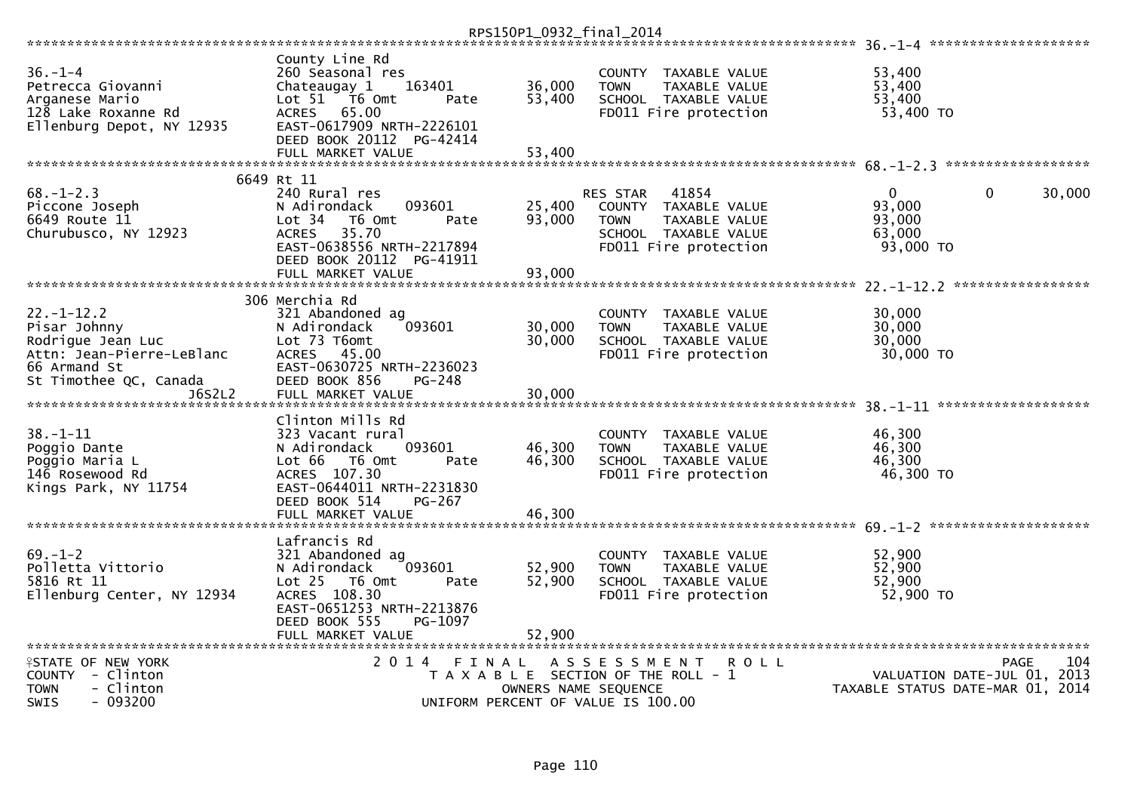|                                                                                                          |                                                                                                                                             |                  | RPS150P1_0932_final_2014                                                                                               |                                         |                    |
|----------------------------------------------------------------------------------------------------------|---------------------------------------------------------------------------------------------------------------------------------------------|------------------|------------------------------------------------------------------------------------------------------------------------|-----------------------------------------|--------------------|
|                                                                                                          |                                                                                                                                             |                  |                                                                                                                        | $36. -1 - 4$ **********************     |                    |
| $36. - 1 - 4$<br>Petrecca Giovanni<br>Arganese Mario<br>128 Lake Roxanne Rd<br>Ellenburg Depot, NY 12935 | County Line Rd<br>260 Seasonal res<br>Chateaugay 1<br>163401<br>Lot 51 76 0mt<br>Pate<br>65.00<br><b>ACRES</b><br>EAST-0617909 NRTH-2226101 | 36,000<br>53,400 | TAXABLE VALUE<br><b>COUNTY</b><br><b>TAXABLE VALUE</b><br><b>TOWN</b><br>SCHOOL TAXABLE VALUE<br>FD011 Fire protection | 53,400<br>53,400<br>53,400<br>53,400 TO |                    |
|                                                                                                          | DEED BOOK 20112 PG-42414                                                                                                                    |                  |                                                                                                                        |                                         |                    |
|                                                                                                          | FULL MARKET VALUE                                                                                                                           | 53,400           |                                                                                                                        |                                         |                    |
|                                                                                                          | 6649 Rt 11                                                                                                                                  |                  |                                                                                                                        |                                         |                    |
| $68. - 1 - 2.3$                                                                                          | 240 Rural res                                                                                                                               |                  | 41854<br><b>RES STAR</b>                                                                                               | $\mathbf{0}$<br>$\Omega$                | 30,000             |
| Piccone Joseph                                                                                           | 093601<br>N Adirondack                                                                                                                      | 25,400           | COUNTY TAXABLE VALUE                                                                                                   | 93,000                                  |                    |
| 6649 Route 11                                                                                            | Lot 34<br>T6 Omt<br>Pate                                                                                                                    | 93,000           | TAXABLE VALUE<br><b>TOWN</b>                                                                                           | 93,000                                  |                    |
| Churubusco, NY 12923                                                                                     | 35.70<br><b>ACRES</b>                                                                                                                       |                  | SCHOOL TAXABLE VALUE                                                                                                   | 63,000                                  |                    |
|                                                                                                          | EAST-0638556 NRTH-2217894                                                                                                                   |                  | FD011 Fire protection                                                                                                  | 93,000 TO                               |                    |
|                                                                                                          | DEED BOOK 20112 PG-41911                                                                                                                    |                  |                                                                                                                        |                                         |                    |
|                                                                                                          | FULL MARKET VALUE                                                                                                                           | 93,000           |                                                                                                                        |                                         | *****************  |
|                                                                                                          | 306 Merchia Rd                                                                                                                              |                  |                                                                                                                        |                                         |                    |
| $22. - 1 - 12.2$                                                                                         | 321 Abandoned ag                                                                                                                            |                  | <b>COUNTY</b><br>TAXABLE VALUE                                                                                         | 30,000                                  |                    |
| Pisar Johnny                                                                                             | 093601<br>N Adirondack                                                                                                                      | 30,000           | <b>TOWN</b><br>TAXABLE VALUE                                                                                           | 30,000                                  |                    |
| Rodrique Jean Luc                                                                                        | Lot 73 T6omt                                                                                                                                | 30,000           | SCHOOL TAXABLE VALUE                                                                                                   | 30,000                                  |                    |
| Attn: Jean-Pierre-LeBlanc                                                                                | 45.00<br><b>ACRES</b>                                                                                                                       |                  | FD011 Fire protection                                                                                                  | 30,000 TO                               |                    |
| 66 Armand St                                                                                             | EAST-0630725 NRTH-2236023                                                                                                                   |                  |                                                                                                                        |                                         |                    |
| St Timothee QC, Canada                                                                                   | DEED BOOK 856<br>PG-248                                                                                                                     |                  |                                                                                                                        |                                         |                    |
| J6S2L2                                                                                                   | FULL MARKET VALUE                                                                                                                           | 30.000           |                                                                                                                        |                                         |                    |
|                                                                                                          |                                                                                                                                             |                  |                                                                                                                        |                                         |                    |
|                                                                                                          | Clinton Mills Rd                                                                                                                            |                  |                                                                                                                        |                                         |                    |
| $38. - 1 - 11$                                                                                           | 323 Vacant rural<br>N Adirondack<br>093601                                                                                                  | 46,300           | <b>COUNTY</b><br>TAXABLE VALUE                                                                                         | 46,300<br>46,300                        |                    |
| Poggio Dante<br>Poggio Maria L                                                                           | Lot 66<br>T6 Omt<br>Pate                                                                                                                    | 46,300           | <b>TOWN</b><br>TAXABLE VALUE<br>SCHOOL TAXABLE VALUE                                                                   | 46.300                                  |                    |
| 146 Rosewood Rd                                                                                          | ACRES 107.30                                                                                                                                |                  | FD011 Fire protection                                                                                                  | 46,300 TO                               |                    |
| Kings Park, NY 11754                                                                                     | EAST-0644011 NRTH-2231830                                                                                                                   |                  |                                                                                                                        |                                         |                    |
|                                                                                                          | DEED BOOK 514<br>$PG-267$                                                                                                                   |                  |                                                                                                                        |                                         |                    |
|                                                                                                          | FULL MARKET VALUE                                                                                                                           | 46,300           |                                                                                                                        |                                         |                    |
|                                                                                                          |                                                                                                                                             |                  |                                                                                                                        |                                         |                    |
|                                                                                                          | Lafrancis Rd                                                                                                                                |                  |                                                                                                                        |                                         |                    |
| $69 - 1 - 2$                                                                                             | 321 Abandoned ag                                                                                                                            |                  | <b>COUNTY</b><br>TAXABLE VALUE                                                                                         | 52,900                                  |                    |
| Polletta Vittorio<br>5816 Rt 11                                                                          | 093601<br>N Adirondack<br>Lot 25  T6 Omt                                                                                                    | 52,900<br>52,900 | TAXABLE VALUE<br><b>TOWN</b><br>SCHOOL TAXABLE VALUE                                                                   | 52,900<br>52,900                        |                    |
| Ellenburg Center, NY 12934                                                                               | Pate<br>ACRES 108.30                                                                                                                        |                  | FD011 Fire protection                                                                                                  | 52,900 TO                               |                    |
|                                                                                                          | EAST-0651253 NRTH-2213876                                                                                                                   |                  |                                                                                                                        |                                         |                    |
|                                                                                                          | DEED BOOK 555<br>PG-1097                                                                                                                    |                  |                                                                                                                        |                                         |                    |
|                                                                                                          | FULL MARKET VALUE                                                                                                                           | 52.900           |                                                                                                                        |                                         |                    |
|                                                                                                          |                                                                                                                                             |                  |                                                                                                                        |                                         |                    |
| <b>ISTATE OF NEW YORK</b>                                                                                | 2 0 1 4<br>FINAL                                                                                                                            |                  | A S S E S S M E N T<br><b>ROLL</b>                                                                                     |                                         | 104<br><b>PAGE</b> |
| COUNTY - Clinton                                                                                         |                                                                                                                                             |                  | T A X A B L E SECTION OF THE ROLL - 1                                                                                  | VALUATION DATE-JUL 01,                  | 2013               |
| - Clinton<br><b>TOWN</b>                                                                                 |                                                                                                                                             |                  | OWNERS NAME SEQUENCE                                                                                                   | TAXABLE STATUS DATE-MAR 01, 2014        |                    |
| <b>SWIS</b><br>$-093200$                                                                                 |                                                                                                                                             |                  | UNIFORM PERCENT OF VALUE IS 100.00                                                                                     |                                         |                    |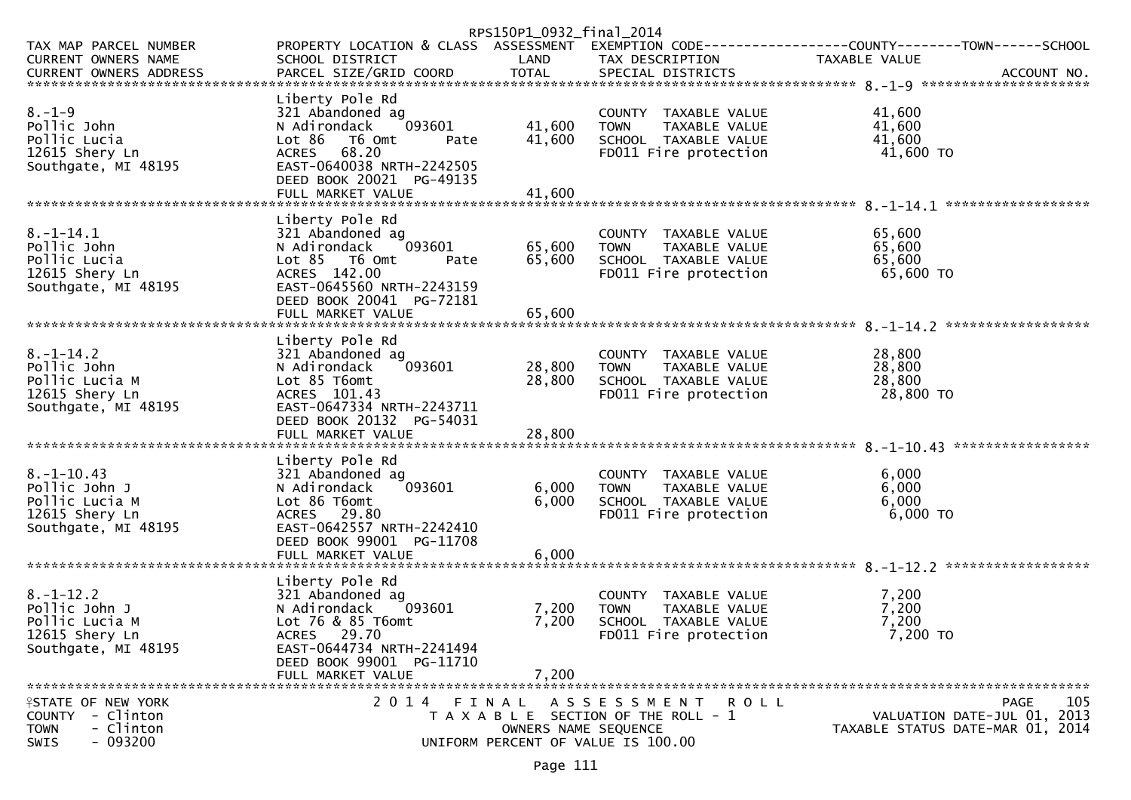|                                                                                                          |                                                                                                                                                                                        | RPS150P1_0932_final_2014   |                                                                                                               |                                         |                                            |
|----------------------------------------------------------------------------------------------------------|----------------------------------------------------------------------------------------------------------------------------------------------------------------------------------------|----------------------------|---------------------------------------------------------------------------------------------------------------|-----------------------------------------|--------------------------------------------|
| TAX MAP PARCEL NUMBER<br>CURRENT OWNERS NAME                                                             | PROPERTY LOCATION & CLASS ASSESSMENT EXEMPTION CODE----------------COUNTY-------TOWN------SCHOOL<br>SCHOOL DISTRICT                                                                    | LAND                       | TAX DESCRIPTION                                                                                               | TAXABLE VALUE                           |                                            |
| $8. - 1 - 9$<br>Pollic John<br>Pollic Lucia<br>12615 Shery Ln<br>Southgate, MI 48195                     | Liberty Pole Rd<br>321 Abandoned ag<br>093601<br>N Adirondack<br>Lot 86 T6 Omt<br>Pate<br>ACRES 68.20<br>EAST-0640038 NRTH-2242505<br>DEED BOOK 20021 PG-49135<br>FULL MARKET VALUE    | 41,600<br>41,600<br>41,600 | COUNTY TAXABLE VALUE<br><b>TOWN</b><br>TAXABLE VALUE<br>SCHOOL TAXABLE VALUE<br>FD011 Fire protection         | 41,600<br>41,600<br>41,600<br>41,600 TO |                                            |
| $8. - 1 - 14.1$<br>Pollic John<br>Pollic Lucia<br>12615 Shery Ln<br>Southgate, MI 48195                  | Liberty Pole Rd<br>321 Abandoned ag<br>093601<br>N Adirondack<br>$Lot 85$ T6 Omt<br>Pate<br>ACRES 142.00<br>EAST-0645560 NRTH-2243159<br>DEED BOOK 20041 PG-72181<br>FULL MARKET VALUE | 65,600<br>65,600<br>65,600 | COUNTY TAXABLE VALUE<br><b>TOWN</b><br>TAXABLE VALUE<br>SCHOOL TAXABLE VALUE<br>FD011 Fire protection         | 65,600<br>65,600<br>65,600<br>65,600 TO |                                            |
| $8. - 1 - 14.2$<br>Pollic John<br>Pollic Lucia M<br>12615 Shery Ln<br>Southgate, MI 48195                | Liberty Pole Rd<br>321 Abandoned ag<br>093601<br>N Adirondack<br>Lot 85 T6omt<br>ACRES 101.43<br>EAST-0647334 NRTH-2243711<br>DEED BOOK 20132 PG-54031<br>FULL MARKET VALUE            | 28,800<br>28,800<br>28,800 | COUNTY TAXABLE VALUE<br><b>TOWN</b><br>TAXABLE VALUE<br>SCHOOL TAXABLE VALUE<br>FD011 Fire protection         | 28,800<br>28,800<br>28,800<br>28,800 TO |                                            |
| $8. - 1 - 10.43$<br>Pollic John J<br>Pollic Lucia M<br>12615 Shery Ln<br>Southgate, MI 48195             | Liberty Pole Rd<br>321 Abandoned ag<br>093601<br>N Adirondack<br>Lot 86 T6omt<br>ACRES 29.80<br>EAST-0642557 NRTH-2242410<br>DEED BOOK 99001 PG-11708                                  | 6,000<br>6,000             | COUNTY TAXABLE VALUE<br>TAXABLE VALUE<br><b>TOWN</b><br>SCHOOL TAXABLE VALUE<br>FD011 Fire protection         | 6,000<br>6,000<br>6,000<br>6,000 TO     |                                            |
| $8. - 1 - 12.2$<br>Pollic John J<br>Pollic Lucia M<br>12615 Shery Ln<br>Southgate, MI 48195              | Liberty Pole Rd<br>321 Abandoned ag<br>N Adirondack<br>093601<br>Lot 76 & 85 T6omt<br>ACRES 29.70<br>EAST-0644734 NRTH-2241494<br>DEED BOOK 99001 PG-11710<br>FULL MARKET VALUE        | 7,200<br>7,200<br>7,200    | COUNTY TAXABLE VALUE<br><b>TOWN</b><br>TAXABLE VALUE<br>SCHOOL TAXABLE VALUE<br>FD011 Fire protection         | 7,200<br>7,200<br>7,200<br>7,200 TO     |                                            |
| <b>ISTATE OF NEW YORK</b><br>- Clinton<br><b>COUNTY</b><br>- Clinton<br><b>TOWN</b><br>$-093200$<br>SWIS | 2014 FINAL                                                                                                                                                                             | OWNERS NAME SEQUENCE       | A S S E S S M E N T<br>R O L L<br>T A X A B L E SECTION OF THE ROLL - 1<br>UNIFORM PERCENT OF VALUE IS 100.00 | TAXABLE STATUS DATE-MAR 01, 2014        | 105<br>PAGE<br>VALUATION DATE-JUL 01, 2013 |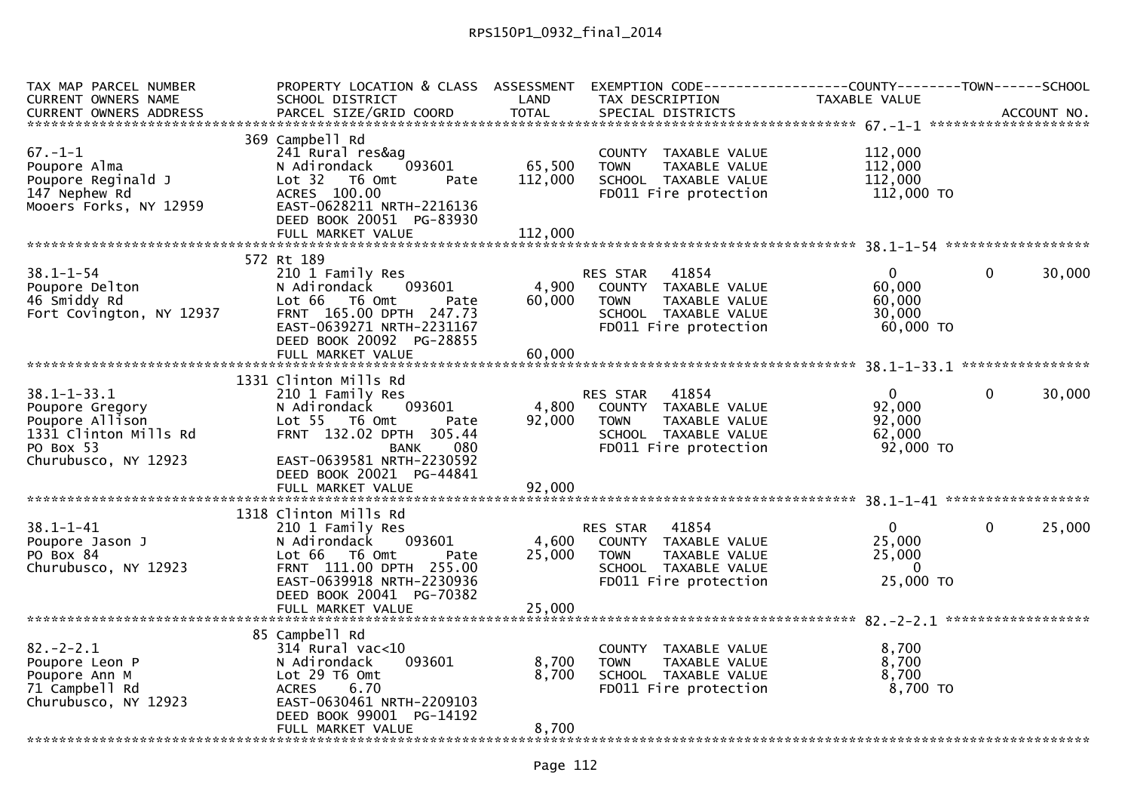| TAX MAP PARCEL NUMBER    | PROPERTY LOCATION & CLASS ASSESSMENT EXEMPTION CODE----------------COUNTY-------TOWN------SCHOOL                                         |         |                              |                     |              |        |
|--------------------------|------------------------------------------------------------------------------------------------------------------------------------------|---------|------------------------------|---------------------|--------------|--------|
| CURRENT OWNERS NAME      | SCHOOL DISTRICT                                                                                                                          | LAND    | TAX DESCRIPTION              | TAXABLE VALUE       |              |        |
|                          | .4CCOUNT NO . PARCEL SIZE/GRID COORD TOTAL SPECIAL DISTRICTS ACCOUNT NO . ACCOUNT NO . AND ARCEL SIZE/GRID COORD TOTAL SPECIAL DISTRICTS |         |                              |                     |              |        |
|                          |                                                                                                                                          |         |                              |                     |              |        |
|                          | 369 Campbell Rd                                                                                                                          |         |                              |                     |              |        |
| $67. - 1 - 1$            | 241 Rural res&ag                                                                                                                         |         | COUNTY TAXABLE VALUE         | 112,000             |              |        |
| Poupore Alma             | 093601<br>N Adirondack                                                                                                                   | 65,500  | <b>TOWN</b><br>TAXABLE VALUE | 112,000             |              |        |
| Poupore Reginald J       | Lot <sub>32</sub><br>T6 Omt<br>Pate                                                                                                      | 112,000 | SCHOOL TAXABLE VALUE         | 112,000             |              |        |
| 147 Nephew Rd            | ACRES 100.00                                                                                                                             |         | FD011 Fire protection        | 112,000 TO          |              |        |
| Mooers Forks, NY 12959   | EAST-0628211 NRTH-2216136                                                                                                                |         |                              |                     |              |        |
|                          | DEED BOOK 20051 PG-83930                                                                                                                 |         |                              |                     |              |        |
|                          |                                                                                                                                          |         |                              |                     |              |        |
|                          |                                                                                                                                          |         |                              |                     |              |        |
|                          | 572 Rt 189                                                                                                                               |         |                              |                     |              |        |
| $38.1 - 1 - 54$          | 210 1 Family Res                                                                                                                         |         | RES STAR 41854               | $\Omega$            | $\mathbf{0}$ | 30,000 |
| Poupore Delton           | 093601<br>N Adirondack                                                                                                                   | 4,900   | COUNTY TAXABLE VALUE         | 60,000              |              |        |
| 46 Smiddy Rd             | Lot 66 T6 Omt<br>Pate                                                                                                                    | 60,000  | <b>TOWN</b><br>TAXABLE VALUE | 60,000              |              |        |
| Fort Covington, NY 12937 | FRNT 165.00 DPTH 247.73                                                                                                                  |         | SCHOOL TAXABLE VALUE         | 30,000              |              |        |
|                          | EAST-0639271 NRTH-2231167                                                                                                                |         | FD011 Fire protection        | 60,000 TO           |              |        |
|                          | DEED BOOK 20092 PG-28855                                                                                                                 |         |                              |                     |              |        |
|                          |                                                                                                                                          |         |                              |                     |              |        |
|                          |                                                                                                                                          |         |                              |                     |              |        |
|                          | 1331 Clinton Mills Rd                                                                                                                    |         |                              |                     |              |        |
| $38.1 - 1 - 33.1$        | 210 1 Family Res                                                                                                                         |         | 41854<br><b>RES STAR</b>     | $\overline{0}$      | $\mathbf{0}$ | 30,000 |
| Poupore Gregory          | 093601<br>N Adirondack                                                                                                                   | 4,800   | COUNTY TAXABLE VALUE         | 92,000              |              |        |
| Poupore Allison          | Lot 55 T6 Omt<br>Pate                                                                                                                    | 92,000  | TAXABLE VALUE<br><b>TOWN</b> | 92,000              |              |        |
| 1331 Clinton Mills Rd    | FRNT 132.02 DPTH 305.44                                                                                                                  |         | SCHOOL TAXABLE VALUE         | 62,000              |              |        |
| PO Box 53                | BANK<br>080.                                                                                                                             |         | FD011 Fire protection        | 92,000 TO           |              |        |
| Churubusco, NY 12923     | EAST-0639581 NRTH-2230592                                                                                                                |         |                              |                     |              |        |
|                          | DEED BOOK 20021 PG-44841                                                                                                                 |         |                              |                     |              |        |
|                          |                                                                                                                                          |         |                              |                     |              |        |
|                          |                                                                                                                                          |         |                              |                     |              |        |
|                          | 1318 Clinton Mills Rd                                                                                                                    |         |                              |                     |              |        |
| $38.1 - 1 - 41$          | 210 1 Family Res                                                                                                                         |         | 41854<br>RES STAR            | $\mathbf{0}$        | $\mathbf{0}$ | 25,000 |
| Poupore Jason J          | 093601<br>N Adirondack                                                                                                                   | 4,600   | COUNTY TAXABLE VALUE         | 25,000              |              |        |
| PO Box 84                | Lot 66 T6 Omt<br>Pate                                                                                                                    | 25,000  | TAXABLE VALUE<br><b>TOWN</b> | 25,000              |              |        |
| Churubusco, NY 12923     | FRNT 111.00 DPTH 255.00                                                                                                                  |         | SCHOOL TAXABLE VALUE         | $\Omega$            |              |        |
|                          | EAST-0639918 NRTH-2230936                                                                                                                |         | FD011 Fire protection        | 25,000 TO           |              |        |
|                          | DEED BOOK 20041 PG-70382                                                                                                                 |         |                              |                     |              |        |
|                          | FULL MARKET VALUE                                                                                                                        | 25,000  |                              |                     |              |        |
|                          |                                                                                                                                          |         |                              |                     |              |        |
|                          | 85 Campbell Rd                                                                                                                           |         |                              |                     |              |        |
| $82 - 2 - 2.1$           | $314$ Rural vac<10                                                                                                                       | 8,700   | COUNTY TAXABLE VALUE         | 8,700<br>8,700      |              |        |
| Poupore Leon P           | 093601<br>N Adirondack                                                                                                                   |         | TAXABLE VALUE<br><b>TOWN</b> |                     |              |        |
| Poupore Ann M            | Lot 29 T6 Omt<br><b>ACRES</b><br>6.70                                                                                                    | 8,700   | SCHOOL TAXABLE VALUE         | 8,700<br>$8,700$ TO |              |        |
| 71 Campbell Rd           | EAST-0630461 NRTH-2209103                                                                                                                |         | FD011 Fire protection        |                     |              |        |
| Churubusco, NY 12923     | DEED BOOK 99001 PG-14192                                                                                                                 |         |                              |                     |              |        |
|                          | FULL MARKET VALUE                                                                                                                        | 8,700   |                              |                     |              |        |
|                          |                                                                                                                                          |         |                              |                     |              |        |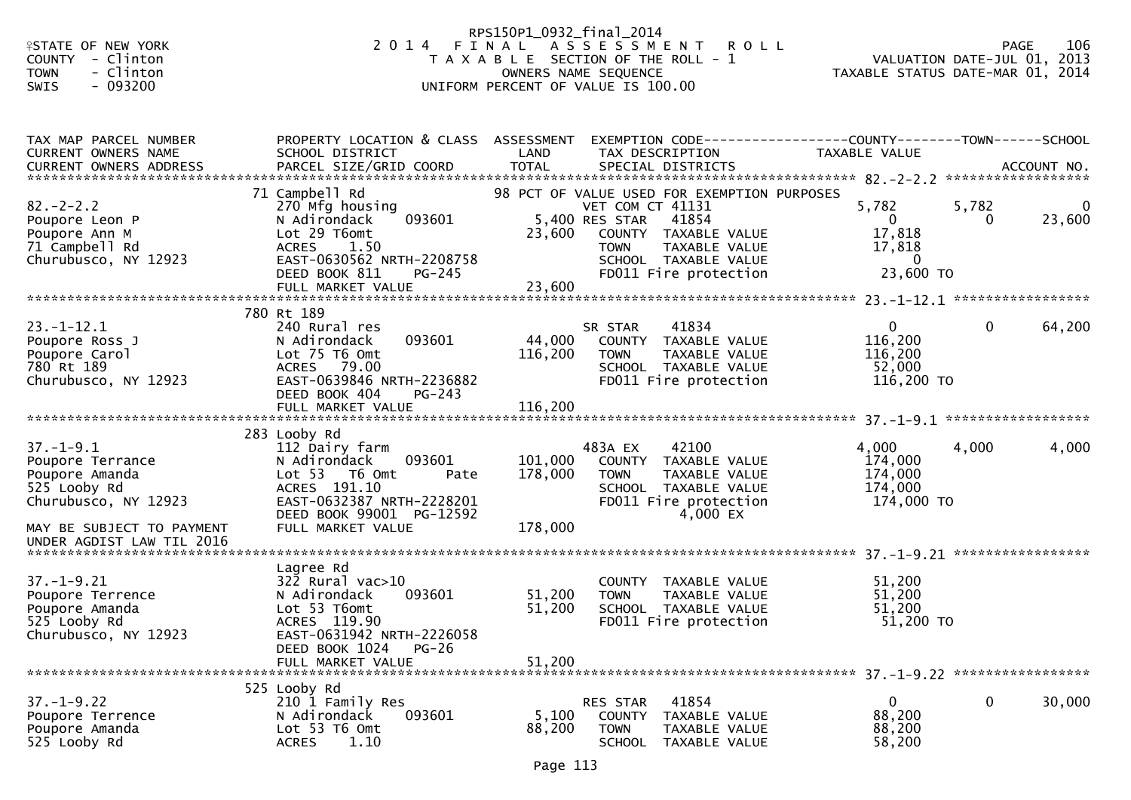| <b>ISTATE OF NEW YORK</b><br>COUNTY - Clinton<br><b>TOWN</b><br>- Clinton<br>$-093200$<br>SWIS                             |                                                                                                                                                                                  | RPS150P1_0932_final_2014      | 2014 FINAL ASSESSMENT<br><b>ROLL</b><br>T A X A B L E SECTION OF THE ROLL - 1<br>OWNERS NAME SEQUENCE<br>UNIFORM PERCENT OF VALUE IS 100.00                                                         |                                                                            | 106<br><b>PAGE</b><br>VALUATION DATE-JUL $01, 2013$<br>TAXABLE STATUS DATE-MAR 01, 2014 |
|----------------------------------------------------------------------------------------------------------------------------|----------------------------------------------------------------------------------------------------------------------------------------------------------------------------------|-------------------------------|-----------------------------------------------------------------------------------------------------------------------------------------------------------------------------------------------------|----------------------------------------------------------------------------|-----------------------------------------------------------------------------------------|
| TAX MAP PARCEL NUMBER<br>CURRENT OWNERS NAME<br>CURRENT OWNERS ADDRESS                                                     | PROPERTY LOCATION & CLASS ASSESSMENT<br>SCHOOL DISTRICT<br>PARCEL SIZE/GRID COORD                                                                                                | LAND<br><b>TOTAL</b>          | TAX DESCRIPTION<br>SPECIAL DISTRICTS                                                                                                                                                                | TAXABLE VALUE                                                              | ACCOUNT NO.                                                                             |
| $82 - 2 - 2.2$<br>Poupore Leon P<br>Poupore Ann M<br>71 Campbell Rd<br>Churubusco, NY 12923                                | 71 Campbell Rd<br>270 Mfg housing<br>093601<br>N Adirondack<br>Lot 29 T6omt<br><b>ACRES</b><br>1.50<br>EAST-0630562 NRTH-2208758<br>DEED BOOK 811<br>$PG-245$                    | 23,600                        | 98 PCT OF VALUE USED FOR EXEMPTION PURPOSES<br>VET COM CT 41131<br>5,400 RES STAR<br>41854<br>COUNTY TAXABLE VALUE<br><b>TOWN</b><br>TAXABLE VALUE<br>SCHOOL TAXABLE VALUE<br>FD011 Fire protection | 5,782<br>$\overline{0}$<br>17,818<br>17,818<br>$\overline{0}$<br>23,600 TO | 5,782<br>$\mathbf{0}$<br>23,600<br>$\Omega$                                             |
| $23. - 1 - 12.1$<br>Poupore Ross J<br>Poupore Carol<br>780 Rt 189<br>Churubusco, NY 12923                                  | 780 Rt 189<br>240 Rural res<br>093601<br>N Adirondack<br>Lot 75 T6 Omt<br>ACRES 79.00<br>EAST-0639846 NRTH-2236882<br>DEED BOOK 404<br>$PG-243$                                  | 44,000<br>116,200             | 41834<br>SR STAR<br>COUNTY TAXABLE VALUE<br>TAXABLE VALUE<br><b>TOWN</b><br>SCHOOL TAXABLE VALUE<br>FD011 Fire protection                                                                           | $\mathbf{0}$<br>116,200<br>116,200<br>52,000<br>116,200 TO                 | $\mathbf{0}$<br>64,200                                                                  |
|                                                                                                                            | FULL MARKET VALUE                                                                                                                                                                | 116,200                       |                                                                                                                                                                                                     |                                                                            |                                                                                         |
| $37. - 1 - 9.1$<br>Poupore Terrance<br>Poupore Amanda<br>525 Looby Rd<br>Churubusco, NY 12923<br>MAY BE SUBJECT TO PAYMENT | 283 Looby Rd<br>112 Dairy farm<br>093601<br>N Adirondack<br>Lot 53  T6 Omt<br>Pate<br>ACRES 191.10<br>EAST-0632387 NRTH-2228201<br>DEED BOOK 99001 PG-12592<br>FULL MARKET VALUE | 101,000<br>178,000<br>178,000 | 483A EX<br>42100<br>COUNTY TAXABLE VALUE<br><b>TOWN</b><br>TAXABLE VALUE<br>SCHOOL TAXABLE VALUE<br>FD011 Fire protection<br>4,000 EX                                                               | 4,000<br>174,000<br>174,000<br>174,000<br>174,000 TO                       | 4,000<br>4,000                                                                          |
| UNDER AGDIST LAW TIL 2016                                                                                                  |                                                                                                                                                                                  |                               |                                                                                                                                                                                                     |                                                                            |                                                                                         |
| $37. - 1 - 9.21$<br>Poupore Terrence<br>Poupore Amanda<br>525 Looby Rd<br>Churubusco, NY 12923                             | Lagree Rd<br>$322$ Rural vac $>10$<br>093601<br>N Adirondack<br>Lot 53 T6omt<br>ACRES 119.90<br>EAST-0631942 NRTH-2226058<br>DEED BOOK 1024 PG-26<br>FULL MARKET VALUE           | 51,200<br>51,200<br>51,200    | <b>COUNTY</b><br>TAXABLE VALUE<br><b>TOWN</b><br>TAXABLE VALUE<br>SCHOOL TAXABLE VALUE<br>FD011 Fire protection                                                                                     | 51,200<br>51,200<br>51,200<br>51,200 TO                                    |                                                                                         |
| $37. - 1 - 9.22$<br>Poupore Terrence<br>Poupore Amanda<br>525 Looby Rd                                                     | 525 Looby Rd<br>210 1 Family Res<br>093601<br>N Adirondack<br>Lot 53 T6 Omt<br>1.10<br><b>ACRES</b>                                                                              | 5,100<br>88,200               | RES STAR<br>41854<br>COUNTY<br>TAXABLE VALUE<br><b>TOWN</b><br>TAXABLE VALUE<br>SCHOOL TAXABLE VALUE                                                                                                | $\overline{0}$<br>88,200<br>88,200<br>58,200                               | 0<br>30,000                                                                             |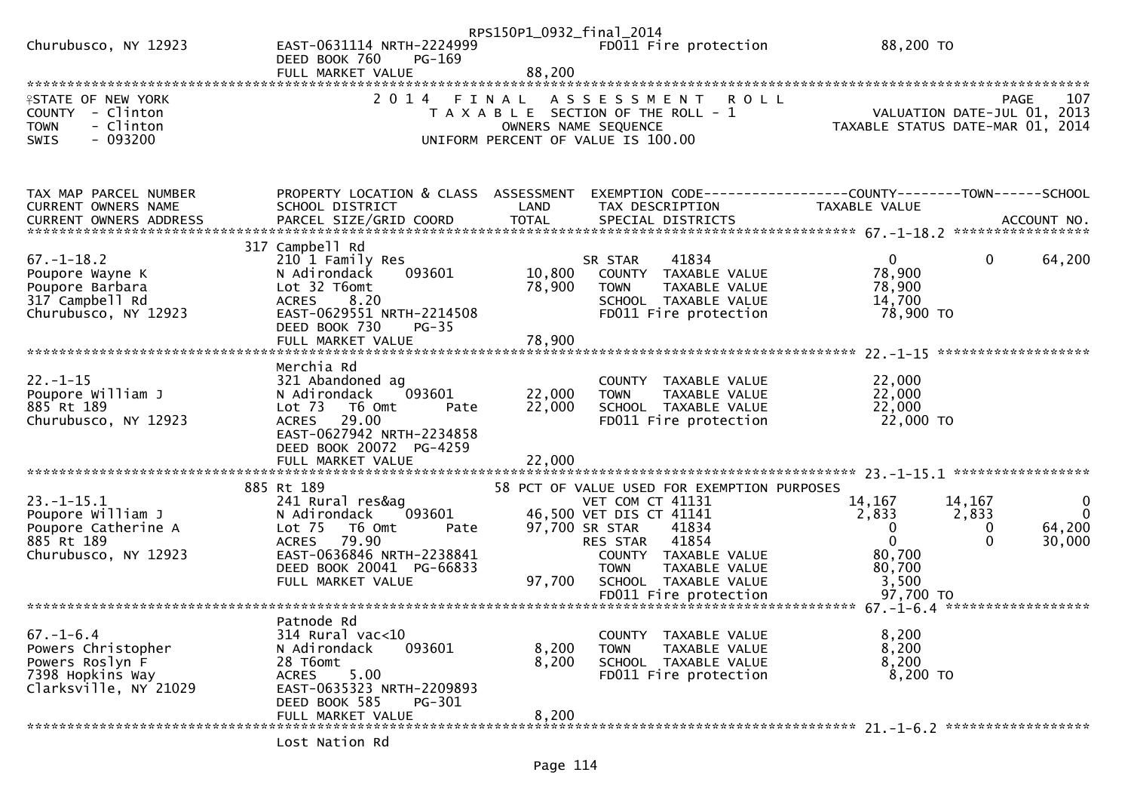|                                                      |                                                              | RPS150P1_0932_final_2014 |                                                                             |                                                                                        |                   |
|------------------------------------------------------|--------------------------------------------------------------|--------------------------|-----------------------------------------------------------------------------|----------------------------------------------------------------------------------------|-------------------|
| Churubusco, NY 12923                                 | EAST-0631114 NRTH-2224999<br>DEED BOOK 760<br>$PG-169$       |                          | FD011 Fire protection                                                       | 88,200 TO                                                                              |                   |
|                                                      | FULL MARKET VALUE                                            | 88,200                   |                                                                             |                                                                                        |                   |
| <b>ISTATE OF NEW YORK</b><br>COUNTY - Clinton        | 2 0 1 4                                                      | FINAL                    | A S S E S S M E N T<br><b>ROLL</b><br>T A X A B L E SECTION OF THE ROLL - 1 | VALUATION DATE-JUL 01, 2013                                                            | 107<br>PAGE       |
| - Clinton<br><b>TOWN</b><br>$-093200$<br><b>SWIS</b> |                                                              |                          | OWNERS NAME SEQUENCE<br>UNIFORM PERCENT OF VALUE IS 100.00                  | TAXABLE STATUS DATE-MAR 01,                                                            | 2014              |
|                                                      |                                                              |                          |                                                                             |                                                                                        |                   |
| TAX MAP PARCEL NUMBER<br>CURRENT OWNERS NAME         | PROPERTY LOCATION & CLASS ASSESSMENT<br>SCHOOL DISTRICT      | LAND                     | TAX DESCRIPTION                                                             | EXEMPTION CODE------------------COUNTY--------TOWN------SCHOOL<br><b>TAXABLE VALUE</b> |                   |
|                                                      |                                                              |                          |                                                                             |                                                                                        |                   |
| $67. - 1 - 18.2$                                     | 317 Campbell Rd<br>210 1 Family Res                          |                          | 41834<br>SR STAR                                                            | $\mathbf{0}$<br>$\mathbf{0}$                                                           | 64,200            |
| Poupore Wayne K<br>Poupore Barbara                   | N Adirondack<br>093601<br>Lot 32 T6omt                       | 10,800<br>78,900         | COUNTY TAXABLE VALUE<br><b>TOWN</b><br>TAXABLE VALUE                        | 78,900<br>78,900                                                                       |                   |
| 317 Campbell Rd                                      | 8.20<br><b>ACRES</b>                                         |                          | SCHOOL TAXABLE VALUE                                                        | 14,700                                                                                 |                   |
| Churubusco, NY 12923                                 | EAST-0629551 NRTH-2214508<br>DEED BOOK 730<br>$PG-35$        |                          | FD011 Fire protection                                                       | 78,900 TO                                                                              |                   |
|                                                      |                                                              |                          |                                                                             |                                                                                        |                   |
| $22. - 1 - 15$                                       | Merchia Rd<br>321 Abandoned ag                               |                          | COUNTY TAXABLE VALUE                                                        | 22,000                                                                                 |                   |
| Poupore William J                                    | N Adirondack<br>093601                                       | 22,000                   | <b>TOWN</b><br>TAXABLE VALUE                                                | 22,000                                                                                 |                   |
| 885 Rt 189<br>Churubusco, NY 12923                   | Lot <sub>73</sub><br>T6 Omt<br>Pate<br>29.00<br><b>ACRES</b> | 22,000                   | SCHOOL TAXABLE VALUE<br>FD011 Fire protection                               | 22,000<br>22,000 TO                                                                    |                   |
|                                                      | EAST-0627942 NRTH-2234858<br>DEED BOOK 20072 PG-4259         |                          |                                                                             |                                                                                        |                   |
|                                                      | FULL MARKET VALUE                                            | 22,000                   |                                                                             |                                                                                        |                   |
|                                                      | 885 Rt 189                                                   |                          | 58 PCT OF VALUE USED FOR EXEMPTION PURPOSES                                 |                                                                                        |                   |
| $23. - 1 - 15.1$<br>Poupore William J                | 241 Rural res&ag<br>N Adirondack<br>093601                   |                          | VET COM CT 41131<br>46,500 VET DIS CT 41141                                 | 14,167<br>14,167<br>2,833<br>2,833                                                     | 0<br>$\mathbf{0}$ |
| Poupore Catherine A                                  | Lot <sub>75</sub><br>T6 Omt<br>Pate                          |                          | 97,700 SR STAR<br>41834                                                     | 0<br>0                                                                                 | 64,200            |
| 885 Rt 189<br>Churubusco, NY 12923                   | 79.90<br><b>ACRES</b><br>EAST-0636846 NRTH-2238841           |                          | 41854<br>RES STAR<br>COUNTY TAXABLE VALUE                                   | $\Omega$<br>$\Omega$<br>80,700                                                         | 30,000            |
|                                                      | DEED BOOK 20041 PG-66833                                     |                          | TAXABLE VALUE<br>TOWN                                                       | 80,700                                                                                 |                   |
|                                                      | FULL MARKET VALUE                                            | 97,700                   | SCHOOL TAXABLE VALUE                                                        | 3,500                                                                                  |                   |
|                                                      |                                                              |                          |                                                                             |                                                                                        |                   |
| $67. - 1 - 6.4$                                      | Patnode Rd<br>314 Rural vac<10                               |                          | COUNTY TAXABLE VALUE                                                        | 8,200                                                                                  |                   |
| Powers Christopher                                   | N Adirondack<br>093601<br>28 T6omt                           | 8,200<br>8,200           | <b>TOWN</b><br>TAXABLE VALUE                                                | 8,200<br>8,200                                                                         |                   |
| Powers Roslyn F<br>7398 Hopkins Way                  | 5.00<br>ACRES                                                |                          | SCHOOL TAXABLE VALUE<br>FD011 Fire protection                               | 8,200 TO                                                                               |                   |
| Clarksville, NY 21029                                | EAST-0635323 NRTH-2209893<br>DEED BOOK 585<br>PG-301         |                          |                                                                             |                                                                                        |                   |
|                                                      | FULL MARKET VALUE                                            | 8,200                    |                                                                             |                                                                                        |                   |
|                                                      | Lost Nation Rd                                               |                          |                                                                             |                                                                                        |                   |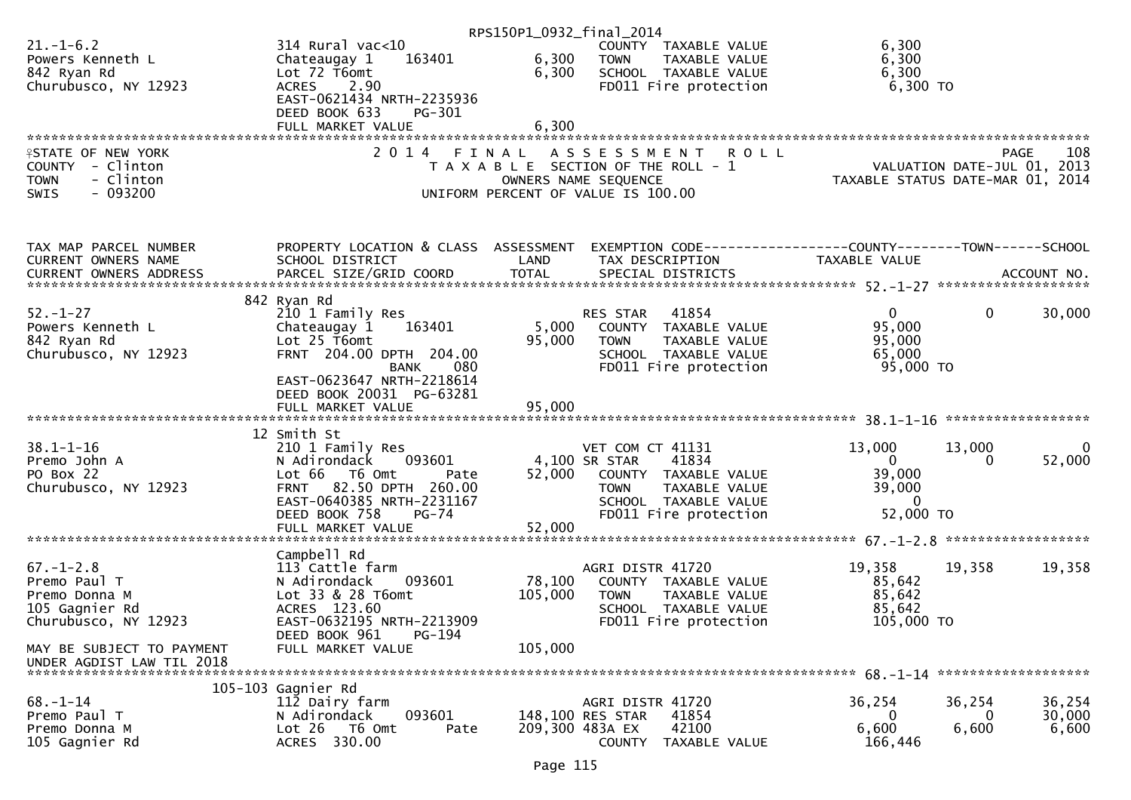|                                                                                                |                                                                                                                     |                | RPS150P1_0932_final_2014                                                                                               |                                                                              |                                              |
|------------------------------------------------------------------------------------------------|---------------------------------------------------------------------------------------------------------------------|----------------|------------------------------------------------------------------------------------------------------------------------|------------------------------------------------------------------------------|----------------------------------------------|
| $21. - 1 - 6.2$<br>Powers Kenneth L<br>842 Ryan Rd                                             | $314$ Rural vac<10<br>163401<br>Chateaugay 1<br>Lot 72 T6omt                                                        | 6,300<br>6,300 | COUNTY TAXABLE VALUE<br><b>TOWN</b><br>TAXABLE VALUE<br>SCHOOL TAXABLE VALUE                                           | 6,300<br>6,300<br>6,300                                                      |                                              |
| Churubusco, NY 12923                                                                           | 2.90<br>ACRES<br>EAST-0621434 NRTH-2235936<br>DEED BOOK 633<br>PG-301                                               |                | FD011 Fire protection                                                                                                  | 6,300 TO                                                                     |                                              |
|                                                                                                | FULL MARKET VALUE                                                                                                   | 6,300          |                                                                                                                        |                                                                              |                                              |
|                                                                                                |                                                                                                                     |                |                                                                                                                        |                                                                              |                                              |
| <b>ISTATE OF NEW YORK</b><br>COUNTY - Clinton<br>- Clinton<br><b>TOWN</b><br>$-093200$<br>SWIS | 2014 FINAL                                                                                                          |                | ASSESSMENT ROLL<br>T A X A B L E SECTION OF THE ROLL - 1<br>OWNERS NAME SEQUENCE<br>UNIFORM PERCENT OF VALUE IS 100.00 | PAGE 108<br>2013 , VALUATION DATE-JUL 01<br>7AXABLE STATUS DATE-MAR 01, 2014 | 108<br>PAGE                                  |
|                                                                                                |                                                                                                                     |                |                                                                                                                        |                                                                              |                                              |
| TAX MAP PARCEL NUMBER<br>CURRENT OWNERS NAME                                                   | PROPERTY LOCATION & CLASS ASSESSMENT EXEMPTION CODE----------------COUNTY-------TOWN------SCHOOL<br>SCHOOL DISTRICT | LAND           | TAX DESCRIPTION                                                                                                        | TAXABLE VALUE                                                                |                                              |
|                                                                                                |                                                                                                                     |                |                                                                                                                        |                                                                              |                                              |
| $52. - 1 - 27$                                                                                 | 842 Ryan Rd<br>210 1 Family Res                                                                                     |                | RES STAR<br>41854                                                                                                      | $\mathbf{0}$                                                                 | $\mathbf 0$<br>30,000                        |
| Powers Kenneth L                                                                               | 163401<br>Chateaugay 1                                                                                              | 5,000          | COUNTY TAXABLE VALUE                                                                                                   | 95,000                                                                       |                                              |
| 842 Ryan Rd                                                                                    | Lot $25$ T6omt<br>FRNT 204.00 DPTH 204.00                                                                           | 95,000         | <b>TOWN</b><br>TAXABLE VALUE<br>SCHOOL TAXABLE VALUE                                                                   | 95,000<br>65,000                                                             |                                              |
| Churubusco, NY 12923                                                                           | <b>BANK</b><br>080                                                                                                  |                | FD011 Fire protection                                                                                                  | 95,000 TO                                                                    |                                              |
|                                                                                                | EAST-0623647 NRTH-2218614                                                                                           |                |                                                                                                                        |                                                                              |                                              |
|                                                                                                | DEED BOOK 20031 PG-63281<br>FULL MARKET VALUE                                                                       | 95,000         |                                                                                                                        |                                                                              |                                              |
|                                                                                                |                                                                                                                     |                |                                                                                                                        |                                                                              |                                              |
|                                                                                                | 12 Smith St                                                                                                         |                |                                                                                                                        |                                                                              |                                              |
| $38.1 - 1 - 16$                                                                                | 210 1 Family Res<br>N Adirondack    093601                                                                          | 4,100 SR STAR  | VET COM CT 41131<br>41834                                                                                              | 13,000<br>$\mathbf{0}$                                                       | 13,000<br>$\bf{0}$<br>52,000<br>$\mathbf{0}$ |
| Premo John A<br>PO Box 22                                                                      | Lot 66 T6 Omt<br>Pate                                                                                               |                | 52,000 COUNTY TAXABLE VALUE                                                                                            | 39,000                                                                       |                                              |
| Churubusco, NY 12923                                                                           | 82.50 DPTH 260.00<br><b>FRNT</b>                                                                                    |                | TAXABLE VALUE<br><b>TOWN</b>                                                                                           | 39,000                                                                       |                                              |
|                                                                                                | EAST-0640385 NRTH-2231167                                                                                           |                | SCHOOL TAXABLE VALUE                                                                                                   | - 0                                                                          |                                              |
|                                                                                                | DEED BOOK 758<br>PG-74<br>FULL MARKET VALUE                                                                         | 52,000         | FD011 Fire protection                                                                                                  | 52,000 TO                                                                    |                                              |
|                                                                                                |                                                                                                                     |                |                                                                                                                        |                                                                              |                                              |
|                                                                                                | Campbell Rd                                                                                                         |                |                                                                                                                        |                                                                              |                                              |
| $67. - 1 - 2.8$<br>Premo Paul T                                                                | 113 Cattle farm<br>N Adirondack<br>093601                                                                           | 78,100         | AGRI DISTR 41720<br>COUNTY TAXABLE VALUE                                                                               | 19,358<br>85,642                                                             | 19,358<br>19,358                             |
| Premo Donna M                                                                                  | Lot 33 & 28 T6omt                                                                                                   | 105,000        | TAXABLE VALUE<br><b>TOWN</b>                                                                                           | 85,642                                                                       |                                              |
| 105 Gagnier Rd                                                                                 | ACRES 123.60                                                                                                        |                | SCHOOL TAXABLE VALUE                                                                                                   | 85,642                                                                       |                                              |
| Churubusco, NY 12923                                                                           | EAST-0632195 NRTH-2213909                                                                                           |                | FD011 Fire protection                                                                                                  | 105,000 TO                                                                   |                                              |
| MAY BE SUBJECT TO PAYMENT<br>UNDER AGDIST LAW TIL 2018                                         | DEED BOOK 961<br>PG-194<br>FULL MARKET VALUE                                                                        | 105,000        |                                                                                                                        |                                                                              |                                              |
|                                                                                                |                                                                                                                     |                |                                                                                                                        |                                                                              |                                              |
|                                                                                                | 105-103 Gagnier Rd                                                                                                  |                |                                                                                                                        |                                                                              |                                              |
| $68. - 1 - 14$                                                                                 | 112 Dairy farm<br>093601                                                                                            |                | AGRI DISTR 41720<br>148,100 RES STAR<br>41854                                                                          | 36,254<br>0                                                                  | 36,254<br>36,254<br>30,000<br>0              |
| Premo Paul T<br>Premo Donna M                                                                  | N Adirondack<br>Lot 26<br>T6 Omt<br>Pate                                                                            |                | 42100<br>209,300 483A EX                                                                                               | 6,600                                                                        | 6,600<br>6,600                               |
| 105 Gagnier Rd                                                                                 | ACRES 330.00                                                                                                        |                | COUNTY<br>TAXABLE VALUE                                                                                                | 166,446                                                                      |                                              |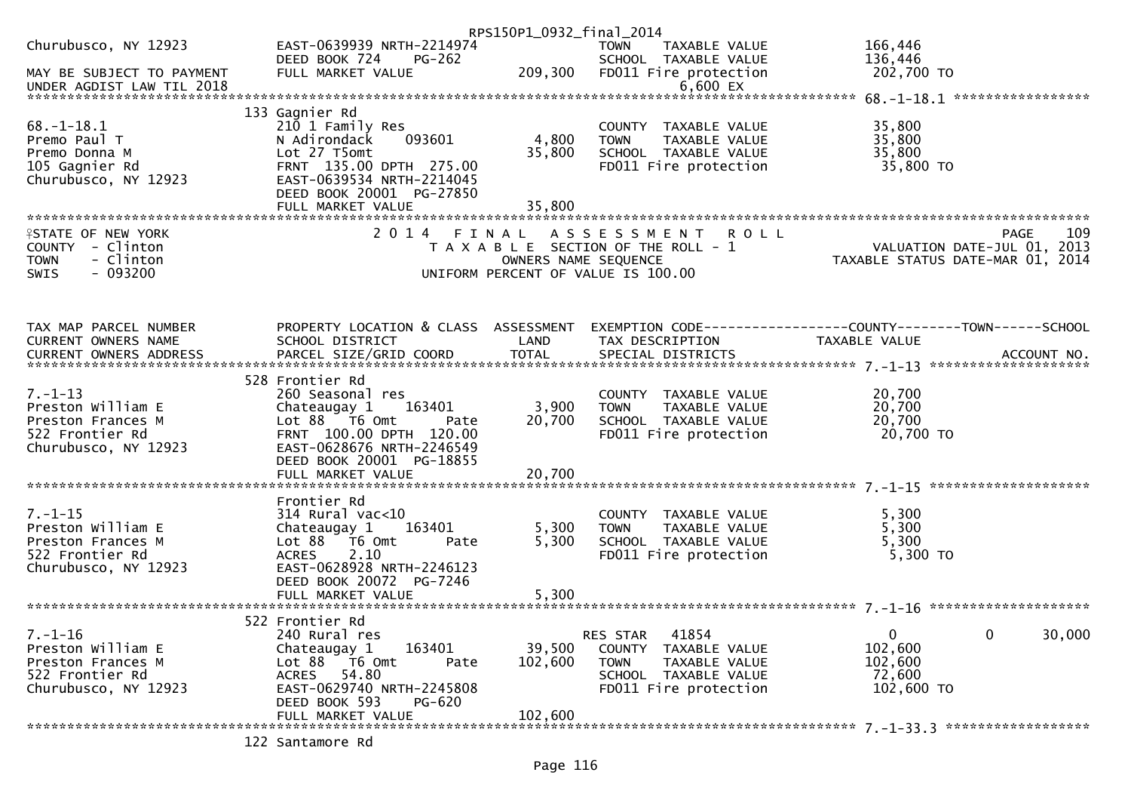|                                        |                                                                | RPS150P1_0932_final_2014 |                                                      |                                                                 |        |
|----------------------------------------|----------------------------------------------------------------|--------------------------|------------------------------------------------------|-----------------------------------------------------------------|--------|
| Churubusco, NY 12923                   | EAST-0639939 NRTH-2214974                                      |                          | <b>TOWN</b><br>TAXABLE VALUE                         | 166,446                                                         |        |
|                                        | PG-262<br>DEED BOOK 724                                        |                          | SCHOOL TAXABLE VALUE                                 | 136,446                                                         |        |
| MAY BE SUBJECT TO PAYMENT              | FULL MARKET VALUE                                              | 209,300                  | FD011 Fire protection                                | 202,700 TO                                                      |        |
| UNDER AGDIST LAW TIL 2018              |                                                                |                          | $6,600$ EX                                           |                                                                 |        |
|                                        |                                                                |                          |                                                      |                                                                 |        |
|                                        | 133 Gagnier Rd                                                 |                          |                                                      |                                                                 |        |
| $68. - 1 - 18.1$                       | 210 1 Family Res                                               |                          | COUNTY TAXABLE VALUE                                 | 35,800                                                          |        |
| Premo Paul T                           | 093601<br>N Adirondack                                         | 4,800                    | <b>TOWN</b><br>TAXABLE VALUE                         | 35,800                                                          |        |
| Premo Donna M                          | Lot 27 T5omt                                                   | 35,800                   | SCHOOL TAXABLE VALUE                                 | 35,800                                                          |        |
| 105 Gagnier Rd                         | FRNT 135.00 DPTH 275.00<br>EAST-0639534 NRTH-2214045           |                          | FD011 Fire protection                                | 35,800 TO                                                       |        |
| Churubusco, NY 12923                   | DEED BOOK 20001 PG-27850                                       |                          |                                                      |                                                                 |        |
|                                        | FULL MARKET VALUE                                              | 35,800                   |                                                      |                                                                 |        |
|                                        |                                                                |                          |                                                      |                                                                 |        |
| <b>ISTATE OF NEW YORK</b>              | 2014 FINAL                                                     |                          | ASSESSMENT ROLL                                      | <b>PAGE</b>                                                     | 109    |
| COUNTY - Clinton                       |                                                                |                          | T A X A B L E SECTION OF THE ROLL - 1                | VALUATION DATE-JUL 01, 2013<br>TAXABLE STATUS DATE-MAR 01, 2014 |        |
| - Clinton<br><b>TOWN</b>               |                                                                | OWNERS NAME SEQUENCE     |                                                      |                                                                 |        |
| $-093200$<br><b>SWIS</b>               |                                                                |                          | UNIFORM PERCENT OF VALUE IS 100.00                   |                                                                 |        |
|                                        |                                                                |                          |                                                      |                                                                 |        |
|                                        |                                                                |                          |                                                      |                                                                 |        |
|                                        |                                                                |                          |                                                      |                                                                 |        |
| TAX MAP PARCEL NUMBER                  | PROPERTY LOCATION & CLASS ASSESSMENT                           |                          |                                                      | EXEMPTION CODE-----------------COUNTY--------TOWN------SCHOOL   |        |
| CURRENT OWNERS NAME                    | SCHOOL DISTRICT                                                | LAND                     | TAX DESCRIPTION                                      | TAXABLE VALUE                                                   |        |
|                                        |                                                                |                          |                                                      |                                                                 |        |
|                                        | 528 Frontier Rd                                                |                          |                                                      |                                                                 |        |
| $7. - 1 - 13$                          | 260 Seasonal res                                               |                          | COUNTY TAXABLE VALUE                                 | 20,700                                                          |        |
| Preston William E                      | 163401<br>Chateaugay 1                                         | 3,900                    | <b>TOWN</b><br>TAXABLE VALUE                         | 20,700                                                          |        |
| Preston Frances M                      | Lot 88 T6 Omt<br>Pate                                          | 20,700                   | SCHOOL TAXABLE VALUE                                 | 20,700                                                          |        |
| 522 Frontier Rd                        | FRNT 100.00 DPTH 120.00                                        |                          | FD011 Fire protection                                | 20,700 TO                                                       |        |
| Churubusco, NY 12923                   | EAST-0628676 NRTH-2246549                                      |                          |                                                      |                                                                 |        |
|                                        | DEED BOOK 20001 PG-18855                                       |                          |                                                      |                                                                 |        |
|                                        | FULL MARKET VALUE                                              | 20,700                   |                                                      |                                                                 |        |
|                                        |                                                                |                          |                                                      |                                                                 |        |
|                                        | Frontier Rd                                                    |                          |                                                      |                                                                 |        |
| $7. - 1 - 15$                          | $314$ Rural vac<10                                             |                          | COUNTY TAXABLE VALUE                                 | 5,300                                                           |        |
| Preston William E<br>Preston Frances M | Chateaugay 1<br>163401<br>Lot $88$ $\overline{76}$ Omt<br>Pate | 5,300<br>5,300           | TAXABLE VALUE<br><b>TOWN</b><br>SCHOOL TAXABLE VALUE | 5,300<br>5,300                                                  |        |
| 522 Frontier Rd                        | 2.10<br><b>ACRES</b>                                           |                          | FD011 Fire protection                                | 5,300 TO                                                        |        |
| Churubusco, NY 12923                   | EAST-0628928 NRTH-2246123                                      |                          |                                                      |                                                                 |        |
|                                        | DEED BOOK 20072 PG-7246                                        |                          |                                                      |                                                                 |        |
|                                        | FULL MARKET VALUE                                              | 5,300                    |                                                      |                                                                 |        |
|                                        |                                                                |                          |                                                      |                                                                 |        |
|                                        | 522 Frontier Rd                                                |                          |                                                      |                                                                 |        |
| $7. - 1 - 16$                          | 240 Rural res                                                  |                          | 41854<br>RES STAR                                    | $\mathbf 0$<br>$\mathbf{0}$                                     | 30,000 |
| Preston William E                      | 163401<br>Chateaugay 1                                         | 39,500                   | COUNTY TAXABLE VALUE                                 | 102,600                                                         |        |
| Preston Frances M                      | Lot 88<br>T6 Omt<br>Pate                                       | 102,600                  | <b>TOWN</b><br>TAXABLE VALUE                         | 102,600                                                         |        |
| 522 Frontier Rd                        | 54.80<br>ACRES                                                 |                          | SCHOOL TAXABLE VALUE                                 | 72,600                                                          |        |
| Churubusco, NY 12923                   | EAST-0629740 NRTH-2245808                                      |                          | FD011 Fire protection                                | 102,600 TO                                                      |        |
|                                        | DEED BOOK 593<br><b>PG-620</b><br>FULL MARKET VALUE            | 102,600                  |                                                      |                                                                 |        |
|                                        |                                                                |                          |                                                      |                                                                 |        |
|                                        | 122 Santamore Rd                                               |                          |                                                      |                                                                 |        |
|                                        |                                                                |                          |                                                      |                                                                 |        |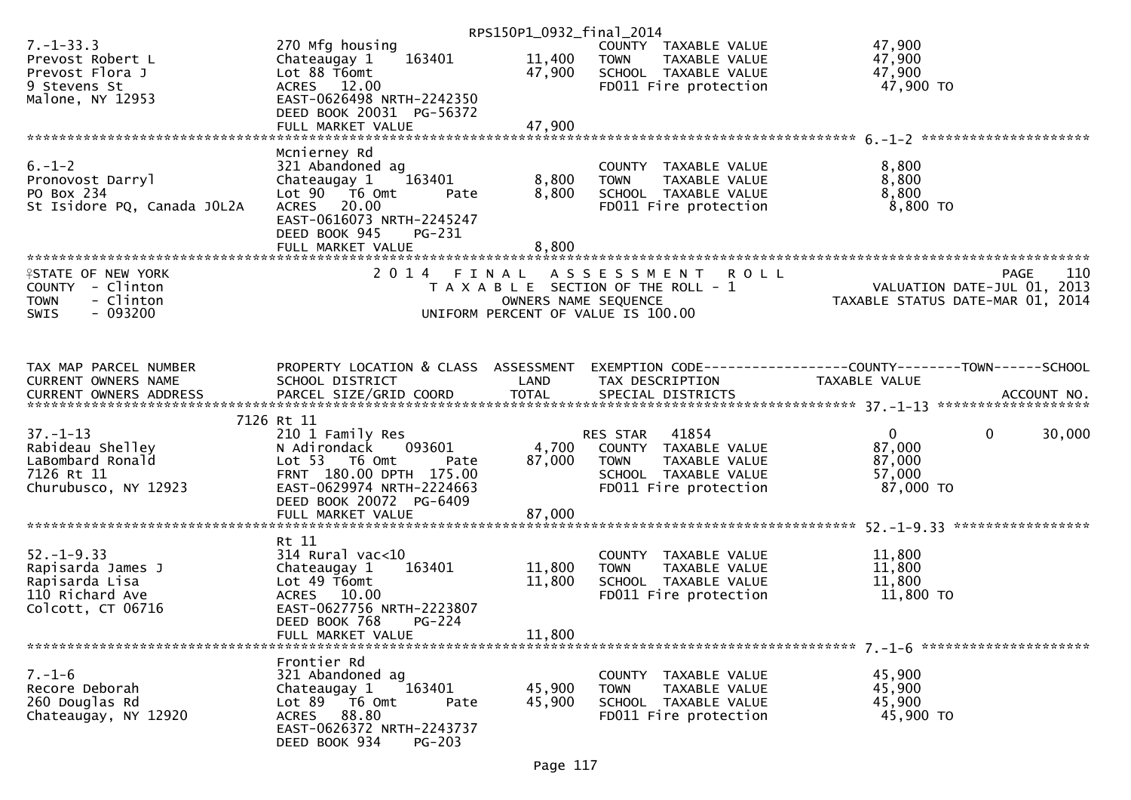|                                                                                                       |                                                                                                                                                                                            | RPS150P1_0932_final_2014   |                                                                                                                            |                                                                               |        |
|-------------------------------------------------------------------------------------------------------|--------------------------------------------------------------------------------------------------------------------------------------------------------------------------------------------|----------------------------|----------------------------------------------------------------------------------------------------------------------------|-------------------------------------------------------------------------------|--------|
| $7. - 1 - 33.3$<br>Prevost Robert L<br>Prevost Flora J<br>9 Stevens St<br>Malone, NY 12953            | 270 Mfg housing<br>163401<br>Chateaugay 1<br>Lot 88 T6omt<br>ACRES 12.00<br>EAST-0626498 NRTH-2242350                                                                                      | 11,400<br>47,900           | COUNTY TAXABLE VALUE<br><b>TOWN</b><br>TAXABLE VALUE<br>SCHOOL TAXABLE VALUE<br>FD011 Fire protection                      | 47,900<br>47,900<br>47,900<br>47,900 TO                                       |        |
|                                                                                                       | DEED BOOK 20031 PG-56372<br>FULL MARKET VALUE                                                                                                                                              | 47,900                     |                                                                                                                            |                                                                               |        |
| $6. - 1 - 2$<br>Pronovost Darryl<br>PO Box 234<br>St Isidore PQ, Canada JOL2A                         | Mcnierney Rd<br>321 Abandoned ag<br>Chateaugay 1<br>163401<br>Lot 90  T6 0mt<br>Pate<br>ACRES 20.00<br>EAST-0616073 NRTH-2245247<br>DEED BOOK 945<br>PG-231<br>FULL MARKET VALUE           | 8,800<br>8,800<br>8,800    | COUNTY TAXABLE VALUE<br>TAXABLE VALUE<br><b>TOWN</b><br>SCHOOL TAXABLE VALUE<br>FD011 Fire protection                      | 8,800<br>8,800<br>8,800<br>8,800 TO                                           |        |
| <b>ISTATE OF NEW YORK</b><br>COUNTY - Clinton<br>- Clinton<br><b>TOWN</b><br>$-093200$<br><b>SWIS</b> |                                                                                                                                                                                            | OWNERS NAME SEQUENCE       | 2014 FINAL ASSESSMENT ROLL<br>T A X A B L E SECTION OF THE ROLL - 1<br>UNIFORM PERCENT OF VALUE IS 100.00                  | PAGE<br>VALUATION DATE-JUL 01, 2013<br>TAXABLE STATUS DATE-MAR 01, 2014       | 110    |
| TAX MAP PARCEL NUMBER<br>CURRENT OWNERS NAME                                                          | PROPERTY LOCATION & CLASS ASSESSMENT<br>SCHOOL DISTRICT                                                                                                                                    | LAND                       | TAX DESCRIPTION                                                                                                            | EXEMPTION CODE-----------------COUNTY-------TOWN------SCHOOL<br>TAXABLE VALUE |        |
| $37. - 1 - 13$<br>Rabideau Shelley<br>LaBombard Ronald<br>7126 Rt 11<br>Churubusco, NY 12923          | 7126 Rt 11<br>210 1 Family Res<br>N Adirondack<br>093601<br>Lot 53  T6 Omt<br>Pate<br>FRNT 180.00 DPTH 175.00<br>EAST-0629974 NRTH-2224663<br>DEED BOOK 20072 PG-6409<br>FULL MARKET VALUE | 4,700<br>87,000<br>87,000  | 41854<br>RES STAR<br>COUNTY TAXABLE VALUE<br><b>TOWN</b><br>TAXABLE VALUE<br>SCHOOL TAXABLE VALUE<br>FD011 Fire protection | $\overline{0}$<br>$\Omega$<br>87,000<br>87,000<br>57,000<br>87,000 TO         | 30,000 |
| $52. - 1 - 9.33$<br>Rapisarda James J<br>Rapisarda Lisa<br>110 Richard Ave<br>Colcott, CT 06716       | Rt 11<br>$314$ Rural vac<10<br>Chateaugay 1<br>163401<br>Lot 49 T6omt<br>ACRES 10.00<br>EAST-0627756 NRTH-2223807<br>DEED BOOK 768<br>$PG-224$<br>FULL MARKET VALUE                        | 11,800<br>11,800<br>11,800 | COUNTY TAXABLE VALUE<br>TAXABLE VALUE<br><b>TOWN</b><br>SCHOOL TAXABLE VALUE<br>FD011 Fire protection                      | 11,800<br>11,800<br>11,800<br>11,800 TO                                       |        |
| $7. - 1 - 6$<br>Recore Deborah<br>260 Douglas Rd<br>Chateaugay, NY 12920                              | Frontier Rd<br>321 Abandoned ag<br>163401<br>Chateaugay 1<br>Lot 89 T6 Omt<br>Pate<br>ACRES 88.80<br>EAST-0626372 NRTH-2243737<br>DEED BOOK 934<br>$PG-203$                                | 45,900<br>45,900           | COUNTY TAXABLE VALUE<br><b>TOWN</b><br>TAXABLE VALUE<br>SCHOOL TAXABLE VALUE<br>FD011 Fire protection                      | 45,900<br>45,900<br>45,900<br>45,900 TO                                       |        |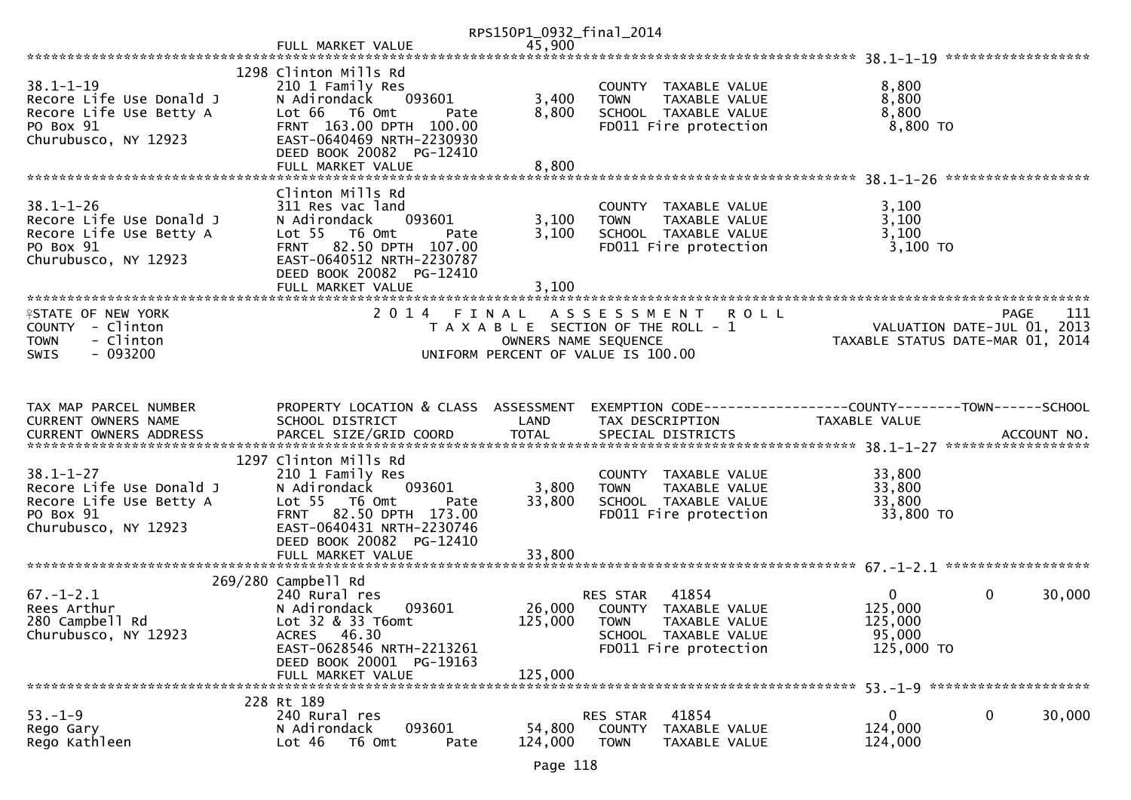|                                                                                                             |                                                                                                                                                                                                       | RPS150P1_0932_final_2014     |                                                                                                                            |                                                              |                                            |
|-------------------------------------------------------------------------------------------------------------|-------------------------------------------------------------------------------------------------------------------------------------------------------------------------------------------------------|------------------------------|----------------------------------------------------------------------------------------------------------------------------|--------------------------------------------------------------|--------------------------------------------|
|                                                                                                             | FULL MARKET VALUE                                                                                                                                                                                     | 45,900                       |                                                                                                                            |                                                              |                                            |
|                                                                                                             |                                                                                                                                                                                                       |                              |                                                                                                                            |                                                              |                                            |
| $38.1 - 1 - 19$<br>Recore Life Use Donald J<br>Recore Life Use Betty A<br>PO Box 91<br>Churubusco, NY 12923 | 1298 Clinton Mills Rd<br>210 1 Family Res<br>N Adirondack<br>093601<br>Lot 66 T6 Omt<br>Pate<br>FRNT 163.00 DPTH 100.00<br>EAST-0640469 NRTH-2230930<br>DEED BOOK 20082 PG-12410<br>FULL MARKET VALUE | 3,400<br>8,800<br>8,800      | COUNTY TAXABLE VALUE<br>TAXABLE VALUE<br><b>TOWN</b><br>SCHOOL TAXABLE VALUE<br>FD011 Fire protection                      | 8,800<br>8,800<br>8,800<br>8,800 TO                          |                                            |
|                                                                                                             |                                                                                                                                                                                                       |                              |                                                                                                                            |                                                              |                                            |
| $38.1 - 1 - 26$<br>Recore Life Use Donald J<br>Recore Life Use Betty A<br>PO Box 91<br>Churubusco, NY 12923 | Clinton Mills Rd<br>311 Res vac land<br>093601<br>N Adirondack<br>Lot 55  T6 Omt<br>Pate<br>FRNT 82.50 DPTH 107.00<br>EAST-0640512 NRTH-2230787<br>DEED BOOK 20082 PG-12410<br>FULL MARKET VALUE      | 3,100<br>3,100<br>3,100      | COUNTY TAXABLE VALUE<br><b>TOWN</b><br>TAXABLE VALUE<br>SCHOOL TAXABLE VALUE<br>FD011 Fire protection                      | 3,100<br>3,100<br>3,100<br>3,100 TO                          |                                            |
| <b>ISTATE OF NEW YORK</b><br>COUNTY - Clinton<br>- Clinton<br><b>TOWN</b><br>$-093200$<br>SWIS              | 2014 FINAL                                                                                                                                                                                            | OWNERS NAME SEQUENCE         | A S S E S S M E N T<br><b>ROLL</b><br>T A X A B L E SECTION OF THE ROLL - 1<br>UNIFORM PERCENT OF VALUE IS 100.00          | TAXABLE STATUS DATE-MAR 01, 2014                             | 111<br>PAGE<br>VALUATION DATE-JUL 01, 2013 |
|                                                                                                             |                                                                                                                                                                                                       |                              |                                                                                                                            |                                                              |                                            |
| TAX MAP PARCEL NUMBER<br>CURRENT OWNERS NAME                                                                | PROPERTY LOCATION & CLASS ASSESSMENT<br>SCHOOL DISTRICT                                                                                                                                               | LAND                         | EXEMPTION CODE-----------------COUNTY-------TOWN------SCHOOL<br>TAX DESCRIPTION                                            | TAXABLE VALUE                                                |                                            |
| $38.1 - 1 - 27$<br>Recore Life Use Donald J<br>Recore Life Use Betty A<br>PO Box 91<br>Churubusco, NY 12923 | 1297 Clinton Mills Rd<br>210 1 Family Res<br>093601<br>N Adirondack<br>Lot 55 T6 Omt<br>Pate<br>FRNT 82.50 DPTH 173.00<br>EAST-0640431 NRTH-2230746<br>DEED BOOK 20082 PG-12410<br>FULL MARKET VALUE  | 3,800<br>33,800<br>33,800    | COUNTY TAXABLE VALUE<br>TAXABLE VALUE<br><b>TOWN</b><br>SCHOOL TAXABLE VALUE<br>FD011 Fire protection                      | 33,800<br>33,800<br>33,800<br>33,800 TO                      |                                            |
|                                                                                                             | 269/280 Campbell Rd                                                                                                                                                                                   |                              |                                                                                                                            |                                                              |                                            |
| $67. - 1 - 2.1$<br>Rees Arthur<br>280 Campbell Rd<br>Churubusco, NY 12923                                   | 240 Rural res<br>093601<br>N Adirondack<br>Lot 32 & 33 T6omt<br>ACRES 46.30<br>EAST-0628546 NRTH-2213261<br>DEED BOOK 20001 PG-19163<br>FULL MARKET VALUE                                             | 26,000<br>125,000<br>125,000 | RES STAR<br>41854<br>COUNTY TAXABLE VALUE<br><b>TOWN</b><br>TAXABLE VALUE<br>SCHOOL TAXABLE VALUE<br>FD011 Fire protection | $\overline{0}$<br>125,000<br>125,000<br>95,000<br>125,000 TO | $\mathbf{0}$<br>30,000                     |
|                                                                                                             |                                                                                                                                                                                                       |                              |                                                                                                                            |                                                              |                                            |
| $53. - 1 - 9$<br>Rego Gary<br>Rego Kathleen                                                                 | 228 Rt 189<br>240 Rural res<br>N Adirondack<br>093601<br>Lot 46<br>T6 Omt<br>Pate                                                                                                                     | 54,800<br>124,000            | RES STAR<br>41854<br><b>COUNTY</b><br>TAXABLE VALUE<br><b>TOWN</b><br>TAXABLE VALUE                                        | 0<br>124,000<br>124,000                                      | 30,000<br>0                                |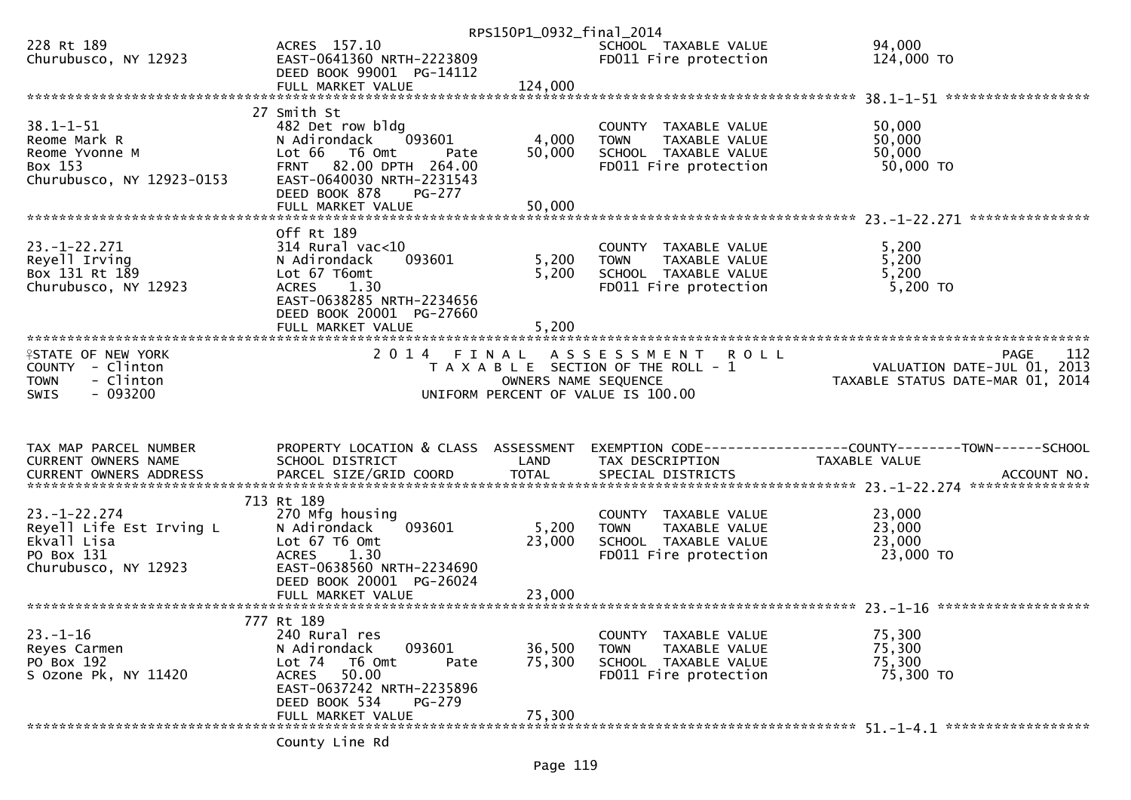|                                                                                                       |                                                                                                                                                                                     | RPS150P1_0932_final_2014 |                                                                                                                     |                                                                                                |
|-------------------------------------------------------------------------------------------------------|-------------------------------------------------------------------------------------------------------------------------------------------------------------------------------------|--------------------------|---------------------------------------------------------------------------------------------------------------------|------------------------------------------------------------------------------------------------|
| 228 Rt 189<br>Churubusco, NY 12923                                                                    | ACRES 157.10<br>EAST-0641360 NRTH-2223809<br>DEED BOOK 99001 PG-14112                                                                                                               |                          | SCHOOL TAXABLE VALUE<br>FD011 Fire protection                                                                       | 94,000<br>124,000 TO                                                                           |
|                                                                                                       | FULL MARKET VALUE<br>27 Smith St                                                                                                                                                    | 124,000                  |                                                                                                                     |                                                                                                |
| $38.1 - 1 - 51$<br>Reome Mark R<br>Reome Yvonne M<br>Box 153<br>Churubusco, NY 12923-0153             | 482 Det row bldg<br>093601<br>N Adirondack<br>Lot 66 T6 Omt<br>Pate<br>FRNT 82.00 DPTH 264.00<br>EAST-0640030 NRTH-2231543                                                          | 4,000<br>50,000          | COUNTY TAXABLE VALUE<br><b>TOWN</b><br>TAXABLE VALUE<br>SCHOOL TAXABLE VALUE<br>FD011 Fire protection               | 50,000<br>50,000<br>50,000<br>50,000 TO                                                        |
|                                                                                                       | DEED BOOK 878<br><b>PG-277</b><br>FULL MARKET VALUE                                                                                                                                 | 50,000                   |                                                                                                                     | ***************                                                                                |
| $23. - 1 - 22.271$<br>Reyell Irving<br>Box 131 Rt 189<br>Churubusco, NY 12923                         | Off Rt 189<br>$314$ Rural vac< $10$<br>N Adirondack<br>093601<br>Lot 67 T6omt<br><b>ACRES</b><br>1.30<br>EAST-0638285 NRTH-2234656<br>DEED BOOK 20001 PG-27660<br>FULL MARKET VALUE | 5,200<br>5,200<br>5,200  | COUNTY TAXABLE VALUE<br><b>TOWN</b><br>TAXABLE VALUE<br>SCHOOL TAXABLE VALUE<br>FD011 Fire protection               | 5,200<br>5,200<br>5,200<br>$5,200$ TO                                                          |
| <b>ISTATE OF NEW YORK</b><br>COUNTY - Clinton<br>- Clinton<br><b>TOWN</b><br>$-093200$<br><b>SWIS</b> |                                                                                                                                                                                     | OWNERS NAME SEQUENCE     | 2014 FINAL ASSESSMENT<br><b>ROLL</b><br>T A X A B L E SECTION OF THE ROLL - 1<br>UNIFORM PERCENT OF VALUE IS 100.00 | 112<br><b>PAGE</b><br>VALUATION DATE-JUL 01, 2013<br>TAXABLE STATUS DATE-MAR 01, 2014          |
| TAX MAP PARCEL NUMBER<br>CURRENT OWNERS NAME<br><b>CURRENT OWNERS ADDRESS</b>                         | PROPERTY LOCATION & CLASS ASSESSMENT<br>SCHOOL DISTRICT<br>PARCEL SIZE/GRID COORD                                                                                                   | LAND<br><b>TOTAL</b>     | TAX DESCRIPTION<br>SPECIAL DISTRICTS                                                                                | EXEMPTION CODE------------------COUNTY--------TOWN------SCHOOL<br>TAXABLE VALUE<br>ACCOUNT NO. |
| $23. - 1 - 22.274$<br>Reyell Life Est Irving L<br>Ekvall Lisa<br>PO Box 131<br>Churubusco, NY 12923   | 713 Rt 189<br>270 Mfg housing<br>093601<br>N Adirondack<br>Lot 67 T6 Omt<br>1.30<br><b>ACRES</b>                                                                                    | 5,200<br>23,000          | COUNTY TAXABLE VALUE<br>TAXABLE VALUE<br><b>TOWN</b><br>SCHOOL TAXABLE VALUE                                        | 23,000<br>23,000<br>23,000                                                                     |
|                                                                                                       | EAST-0638560 NRTH-2234690<br>DEED BOOK 20001 PG-26024                                                                                                                               |                          | FD011 Fire protection                                                                                               | 23,000 TO                                                                                      |
|                                                                                                       | FULL MARKET VALUE                                                                                                                                                                   | 23,000                   |                                                                                                                     |                                                                                                |
| $23. - 1 - 16$<br>Reyes Carmen<br>PO Box 192<br>S Ozone Pk, NY 11420                                  | 777 Rt 189<br>240 Rural res<br>093601<br>N Adirondack<br>Lot 74 T6 Omt<br>Pate<br>50.00<br>ACRES<br>EAST-0637242 NRTH-2235896<br>DEED BOOK 534<br>PG-279                            | 36,500<br>75,300         | COUNTY TAXABLE VALUE<br><b>TOWN</b><br>TAXABLE VALUE<br>SCHOOL TAXABLE VALUE<br>FD011 Fire protection               | 75,300<br>75,300<br>75,300<br>75,300 TO                                                        |
|                                                                                                       | FULL MARKET VALUE<br>County Line Rd                                                                                                                                                 | 75,300                   |                                                                                                                     |                                                                                                |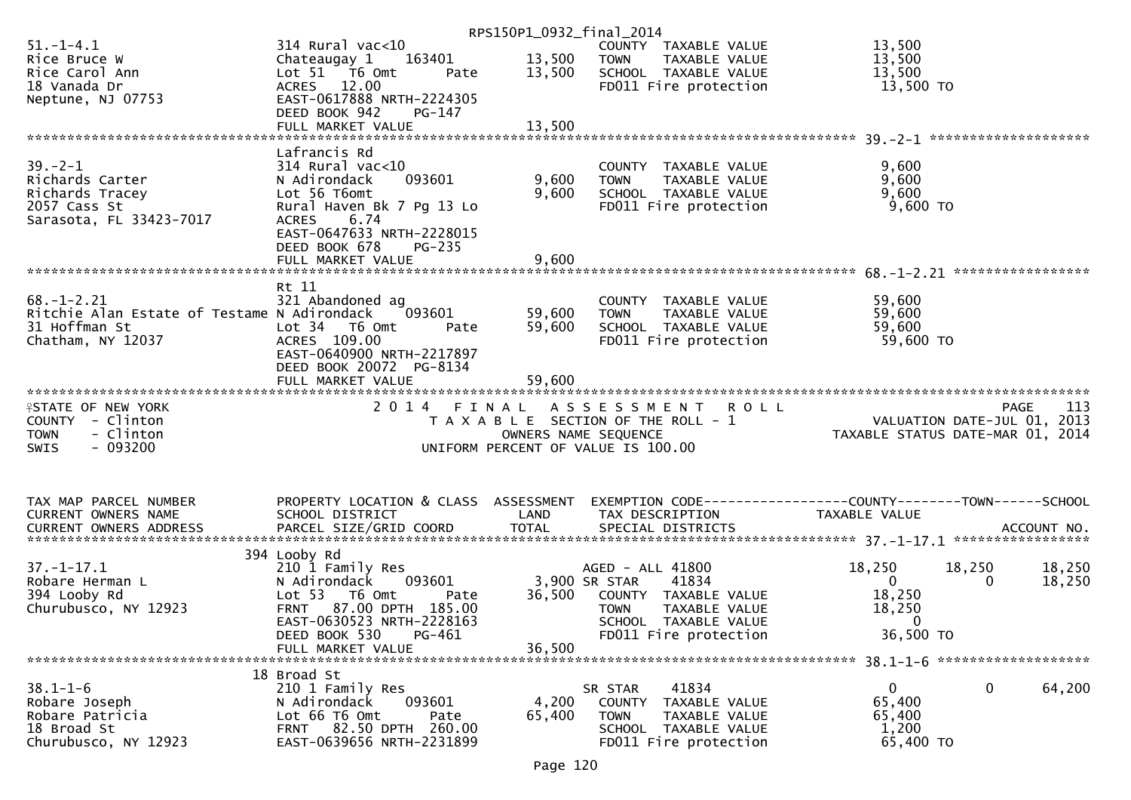|                                             |                                                     | RPS150P1_0932_final_2014 |                                               |                                                              |
|---------------------------------------------|-----------------------------------------------------|--------------------------|-----------------------------------------------|--------------------------------------------------------------|
| $51. - 1 - 4.1$                             | $314$ Rural vac<10                                  |                          | COUNTY TAXABLE VALUE                          | 13,500                                                       |
| Rice Bruce W                                | 163401<br>Chateaugay 1                              | 13,500                   | <b>TOWN</b><br>TAXABLE VALUE                  | 13,500                                                       |
| Rice Carol Ann                              | Lot 51 76 0mt<br>Pate                               | 13,500                   | SCHOOL TAXABLE VALUE                          | 13,500                                                       |
| 18 Vanada Dr                                | ACRES 12.00                                         |                          | FD011 Fire protection                         | 13,500 TO                                                    |
| Neptune, NJ 07753                           | EAST-0617888 NRTH-2224305                           |                          |                                               |                                                              |
|                                             | DEED BOOK 942<br>PG-147                             |                          |                                               |                                                              |
|                                             |                                                     |                          |                                               |                                                              |
|                                             | FULL MARKET VALUE                                   | 13,500                   |                                               |                                                              |
|                                             |                                                     |                          |                                               |                                                              |
|                                             | Lafrancis Rd                                        |                          |                                               |                                                              |
| $39 - 2 - 1$                                | $314$ Rural vac<10                                  |                          | COUNTY TAXABLE VALUE                          | 9,600                                                        |
| Richards Carter                             | 093601<br>N Adirondack                              | 9,600                    | TAXABLE VALUE<br><b>TOWN</b>                  | 9,600                                                        |
| Richards Tracey                             | Lot 56 T6omt                                        | 9,600                    | SCHOOL TAXABLE VALUE                          | 9,600                                                        |
| 2057 Cass St                                | Rural Haven Bk 7 Pg 13 Lo                           |                          | FD011 Fire protection                         | 9,600 TO                                                     |
| Sarasota, FL 33423-7017                     | 6.74<br><b>ACRES</b>                                |                          |                                               |                                                              |
|                                             | EAST-0647633 NRTH-2228015                           |                          |                                               |                                                              |
|                                             | DEED BOOK 678<br><b>PG-235</b>                      |                          |                                               |                                                              |
|                                             | FULL MARKET VALUE                                   | 9,600                    |                                               |                                                              |
|                                             |                                                     |                          |                                               |                                                              |
|                                             | Rt 11                                               |                          |                                               |                                                              |
| $68. - 1 - 2.21$                            | 321 Abandoned ag                                    |                          |                                               | 59,600                                                       |
|                                             |                                                     |                          | COUNTY TAXABLE VALUE                          |                                                              |
| Ritchie Alan Estate of Testame N Adirondack | 093601                                              | 59,600                   | <b>TOWN</b><br>TAXABLE VALUE                  | 59,600                                                       |
| 31 Hoffman St                               | Lot <sub>34</sub><br>T6 Omt<br>Pate                 | 59,600                   | SCHOOL TAXABLE VALUE                          | 59,600                                                       |
| Chatham, NY 12037                           | ACRES 109.00                                        |                          | FD011 Fire protection                         | 59,600 TO                                                    |
|                                             | EAST-0640900 NRTH-2217897                           |                          |                                               |                                                              |
|                                             | DEED BOOK 20072 PG-8134                             |                          |                                               |                                                              |
|                                             | FULL MARKET VALUE                                   | 59,600                   |                                               |                                                              |
|                                             |                                                     |                          |                                               |                                                              |
|                                             |                                                     |                          |                                               |                                                              |
| <b>ISTATE OF NEW YORK</b>                   | 2 0 1 4<br>FINAL                                    |                          | <b>ROLL</b><br>A S S E S S M E N T            | 113<br>PAGE                                                  |
|                                             |                                                     |                          |                                               |                                                              |
| COUNTY - Clinton                            |                                                     |                          | T A X A B L E SECTION OF THE ROLL - 1         | VALUATION DATE-JUL 01, 2013                                  |
| - Clinton<br><b>TOWN</b>                    |                                                     | OWNERS NAME SEQUENCE     |                                               | TAXABLE STATUS DATE-MAR 01, 2014                             |
| $-093200$<br>SWIS                           |                                                     |                          | UNIFORM PERCENT OF VALUE IS 100.00            |                                                              |
|                                             |                                                     |                          |                                               |                                                              |
|                                             |                                                     |                          |                                               |                                                              |
|                                             |                                                     |                          |                                               |                                                              |
| TAX MAP PARCEL NUMBER                       | PROPERTY LOCATION & CLASS ASSESSMENT                |                          |                                               | EXEMPTION CODE-----------------COUNTY-------TOWN------SCHOOL |
| CURRENT OWNERS NAME                         | SCHOOL DISTRICT                                     | LAND                     | TAX DESCRIPTION                               | TAXABLE VALUE                                                |
| <b>CURRENT OWNERS ADDRESS</b>               |                                                     |                          |                                               |                                                              |
|                                             |                                                     |                          |                                               |                                                              |
|                                             | 394 Looby Rd                                        |                          |                                               |                                                              |
| $37. - 1 - 17.1$                            | 210 1 Family Res                                    |                          | AGED - ALL 41800                              | 18,250<br>18,250<br>18,250                                   |
| Robare Herman L                             | N Adirondack<br>093601                              |                          | 3,900 SR STAR<br>41834                        | $\mathbf{0}$<br>$\Omega$<br>18,250                           |
| 394 Looby Rd                                | Lot 53  T6 Omt<br>Pate                              | 36,500                   | COUNTY TAXABLE VALUE                          | 18,250                                                       |
| Churubusco, NY 12923                        | FRNT 87.00 DPTH 185.00                              |                          | <b>TOWN</b><br>TAXABLE VALUE                  | 18,250                                                       |
|                                             | EAST-0630523 NRTH-2228163                           |                          | SCHOOL TAXABLE VALUE                          | $\mathbf{0}$                                                 |
|                                             |                                                     |                          |                                               |                                                              |
|                                             | DEED BOOK 530<br>PG-461<br>FULL MARKET VALUE        |                          | FD011 Fire protection                         | 36,500 TO                                                    |
|                                             |                                                     | 36,500                   |                                               |                                                              |
|                                             |                                                     |                          |                                               |                                                              |
|                                             | 18 Broad St                                         |                          |                                               |                                                              |
| $38.1 - 1 - 6$                              | 210 1 Family Res                                    |                          | 41834<br>SR STAR                              | 64,200<br>$\mathbf{0}$<br>$\mathbf 0$                        |
| Robare Joseph                               | N Adirondack<br>093601                              | 4,200                    | COUNTY TAXABLE VALUE                          | 65,400                                                       |
| Robare Patricia                             | Lot 66 T6 Omt<br>Pate                               | 65,400                   | <b>TOWN</b><br>TAXABLE VALUE                  | 65,400                                                       |
| 18 Broad St<br>Churubusco, NY 12923         | FRNT 82.50 DPTH 260.00<br>EAST-0639656 NRTH-2231899 |                          | SCHOOL TAXABLE VALUE<br>FD011 Fire protection | 1,200<br>65,400 TO                                           |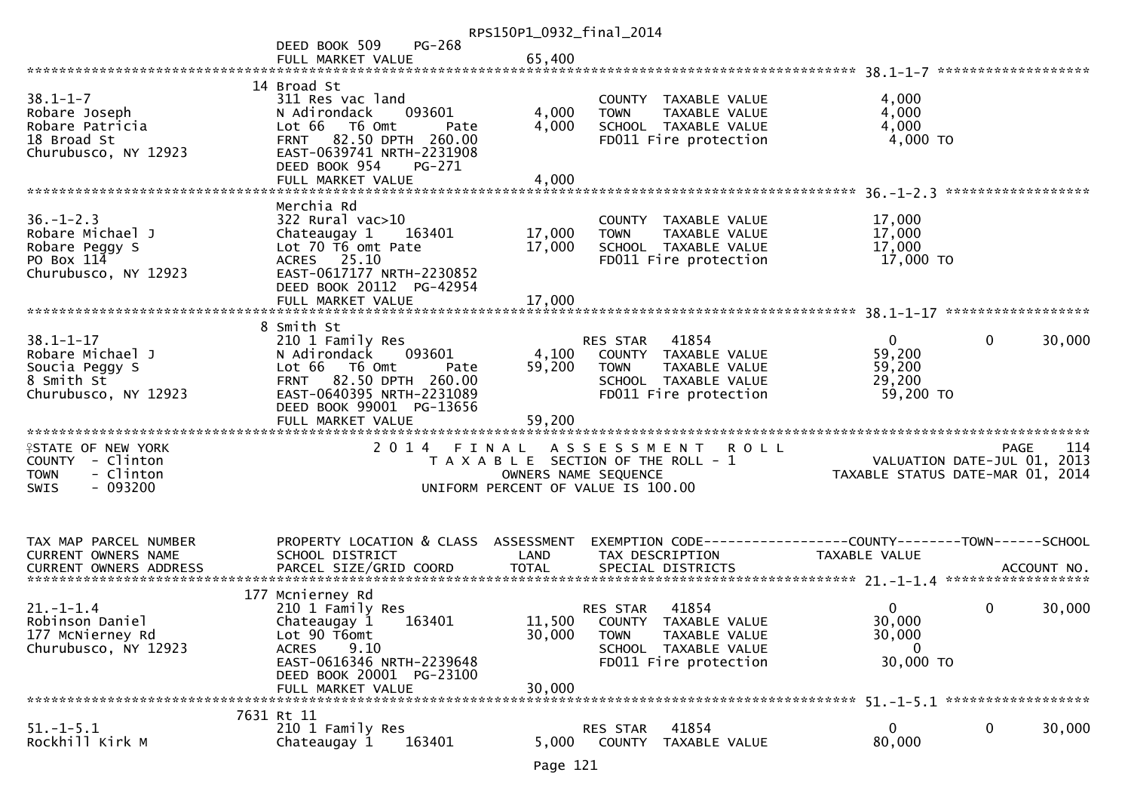|                                                                                                |                                                                                                                                                                                      | RPS150P1_0932_final_2014 |                                                                                                                                           |                                                                                             |                            |
|------------------------------------------------------------------------------------------------|--------------------------------------------------------------------------------------------------------------------------------------------------------------------------------------|--------------------------|-------------------------------------------------------------------------------------------------------------------------------------------|---------------------------------------------------------------------------------------------|----------------------------|
|                                                                                                | PG-268<br>DEED BOOK 509                                                                                                                                                              |                          |                                                                                                                                           |                                                                                             |                            |
|                                                                                                | FULL MARKET VALUE                                                                                                                                                                    | 65,400                   |                                                                                                                                           |                                                                                             |                            |
|                                                                                                |                                                                                                                                                                                      |                          |                                                                                                                                           |                                                                                             | *******************        |
| $38.1 - 1 - 7$<br>Robare Joseph<br>Robare Patricia<br>18 Broad St<br>Churubusco, NY 12923      | 14 Broad St<br>311 Res vac land<br>093601<br>N Adirondack<br>Lot 66<br>T6 Omt<br>Pate<br>82.50 DPTH 260.00<br><b>FRNT</b><br>EAST-0639741 NRTH-2231908                               | 4,000<br>4,000           | COUNTY TAXABLE VALUE<br>TAXABLE VALUE<br><b>TOWN</b><br>SCHOOL TAXABLE VALUE<br>FD011 Fire protection                                     | 4,000<br>4,000<br>4,000<br>$4,000$ TO                                                       |                            |
|                                                                                                | DEED BOOK 954<br>PG-271                                                                                                                                                              |                          |                                                                                                                                           |                                                                                             |                            |
|                                                                                                | Merchia Rd                                                                                                                                                                           |                          |                                                                                                                                           |                                                                                             |                            |
| $36. - 1 - 2.3$<br>Robare Michael J<br>Robare Peggy S<br>PO Box 114<br>Churubusco, NY 12923    | $322$ Rural vac $>10$<br>Chateaugay 1<br>163401<br>Lot 70 T6 omt Pate<br>ACRES 25.10<br>EAST-0617177 NRTH-2230852<br>DEED BOOK 20112 PG-42954                                        | 17,000<br>17,000         | COUNTY TAXABLE VALUE<br>TAXABLE VALUE<br><b>TOWN</b><br>SCHOOL TAXABLE VALUE<br>FD011 Fire protection                                     | 17,000<br>17,000<br>17,000<br>17,000 TO                                                     |                            |
|                                                                                                | FULL MARKET VALUE                                                                                                                                                                    | 17,000                   |                                                                                                                                           |                                                                                             |                            |
|                                                                                                |                                                                                                                                                                                      |                          |                                                                                                                                           |                                                                                             |                            |
| $38.1 - 1 - 17$<br>Robare Michael J<br>Soucia Peggy S<br>8 Smith St<br>Churubusco, NY 12923    | 8 Smith St<br>210 1 Family Res<br>093601<br>N Adirondack<br>Lot 66<br>T6 Omt<br>Pate<br>82.50 DPTH 260.00<br><b>FRNT</b><br>EAST-0640395 NRTH-2231089<br>DEED BOOK 99001 PG-13656    | 4,100<br>59,200          | RES STAR<br>41854<br>COUNTY TAXABLE VALUE<br><b>TOWN</b><br><b>TAXABLE VALUE</b><br>SCHOOL TAXABLE VALUE<br>FD011 Fire protection         | $\overline{0}$<br>0<br>59,200<br>59,200<br>29,200<br>59,200 TO                              | 30,000                     |
|                                                                                                | FULL MARKET VALUE                                                                                                                                                                    | 59,200                   |                                                                                                                                           |                                                                                             |                            |
| <b>ISTATE OF NEW YORK</b><br>COUNTY - Clinton<br>- Clinton<br><b>TOWN</b><br>$-093200$<br>SWIS | 2014 FINAL                                                                                                                                                                           |                          | A S S E S S M E N T<br><b>ROLL</b><br>T A X A B L E SECTION OF THE ROLL - 1<br>OWNERS NAME SEQUENCE<br>UNIFORM PERCENT OF VALUE IS 100.00 | VALUATION DATE-JUL 01,<br>TAXABLE STATUS DATE-MAR 01, 2014                                  | <b>PAGE</b><br>114<br>2013 |
| TAX MAP PARCEL NUMBER<br>CURRENT OWNERS NAME<br><b>CURRENT OWNERS ADDRESS</b>                  | PROPERTY LOCATION & CLASS ASSESSMENT<br>SCHOOL DISTRICT                                                                                                                              | LAND                     | TAX DESCRIPTION                                                                                                                           | EXEMPTION        CODE-----------------COUNTY-------TOWN------SCHOOL<br><b>TAXABLE VALUE</b> |                            |
| $21. - 1 - 1.4$<br>Robinson Daniel<br>177 McNierney Rd<br>Churubusco, NY 12923                 | 177 Mcnierney Rd<br>210 1 Family Res<br>Chateaugay 1<br>163401<br>Lot 90 T6omt<br><b>ACRES</b><br>9.10<br>EAST-0616346 NRTH-2239648<br>DEED BOOK 20001 PG-23100<br>FULL MARKET VALUE | 30,000<br>30,000         | 41854<br>RES STAR<br>11,500 COUNTY TAXABLE VALUE<br><b>TOWN</b><br>TAXABLE VALUE<br>SCHOOL TAXABLE VALUE<br>FD011 Fire protection         | 0<br>0<br>30,000<br>30,000<br>$\Omega$<br>30,000 TO                                         | 30,000                     |
|                                                                                                | 7631 Rt 11                                                                                                                                                                           |                          |                                                                                                                                           |                                                                                             |                            |
| $51. - 1 - 5.1$<br>Rockhill Kirk M                                                             | 210 1 Family Res<br>Chateaugay 1<br>163401                                                                                                                                           | 5,000                    | 41854<br>RES STAR<br>COUNTY TAXABLE VALUE                                                                                                 | 0<br>0<br>80,000                                                                            | 30,000                     |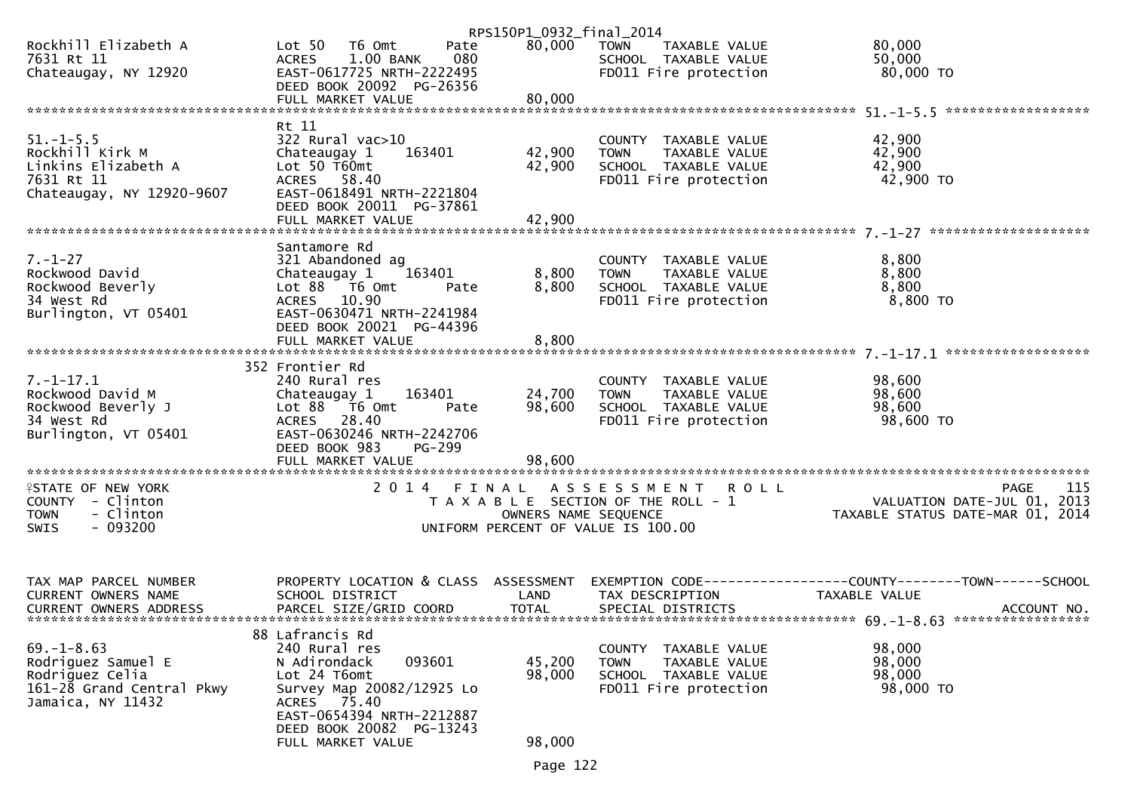|                                              |                                          | RPS150P1_0932_final_2014 |                                                      |                                                                                                                          |
|----------------------------------------------|------------------------------------------|--------------------------|------------------------------------------------------|--------------------------------------------------------------------------------------------------------------------------|
| Rockhill Elizabeth A                         | Lot 50  T6 0mt<br>Pate                   | 80,000                   | <b>TOWN</b><br>TAXABLE VALUE                         | 80,000                                                                                                                   |
| 7631 Rt 11                                   | 080<br>1.00 BANK<br><b>ACRES</b>         |                          | SCHOOL TAXABLE VALUE                                 | 50,000                                                                                                                   |
| Chateaugay, NY 12920                         | EAST-0617725 NRTH-2222495                |                          | FD011 Fire protection                                | 80,000 TO                                                                                                                |
|                                              | DEED BOOK 20092 PG-26356                 |                          |                                                      |                                                                                                                          |
|                                              |                                          |                          |                                                      |                                                                                                                          |
|                                              |                                          |                          |                                                      |                                                                                                                          |
|                                              | Rt 11                                    |                          |                                                      |                                                                                                                          |
| $51. - 1 - 5.5$                              | 322 Rural vac>10                         |                          | COUNTY TAXABLE VALUE                                 | 42,900                                                                                                                   |
| Rockhill Kirk M<br>Linkins Elizabeth A       | Chateaugay 1<br>163401<br>Lot $50$ T60mt | 42,900<br>42,900         | TAXABLE VALUE<br><b>TOWN</b><br>SCHOOL TAXABLE VALUE | 42,900<br>42,900                                                                                                         |
| 7631 Rt 11                                   | ACRES 58.40                              |                          | FD011 Fire protection                                | 42,900 TO                                                                                                                |
| Chateaugay, NY 12920-9607                    | EAST-0618491 NRTH-2221804                |                          |                                                      |                                                                                                                          |
|                                              | DEED BOOK 20011 PG-37861                 |                          |                                                      |                                                                                                                          |
|                                              |                                          |                          |                                                      |                                                                                                                          |
|                                              |                                          |                          |                                                      |                                                                                                                          |
|                                              | Santamore Rd                             |                          |                                                      |                                                                                                                          |
| $7. - 1 - 27$                                | 321 Abandoned ag                         |                          | COUNTY TAXABLE VALUE                                 | 8,800                                                                                                                    |
| Rockwood David                               | 163401<br>Chateaugay 1                   | 8,800                    | TAXABLE VALUE<br><b>TOWN</b>                         | 8,800                                                                                                                    |
| Rockwood Beverly                             | Lot 88 T6 Omt<br>Pate                    | 8,800                    | SCHOOL TAXABLE VALUE                                 | 8,800                                                                                                                    |
| 34 West Rd                                   | ACRES 10.90                              |                          | FD011 Fire protection                                | 8,800 TO                                                                                                                 |
| Burlington, VT 05401                         | EAST-0630471 NRTH-2241984                |                          |                                                      |                                                                                                                          |
|                                              | DEED BOOK 20021 PG-44396                 |                          |                                                      |                                                                                                                          |
|                                              |                                          |                          |                                                      |                                                                                                                          |
|                                              |                                          |                          |                                                      |                                                                                                                          |
| $7. - 1 - 17.1$                              | 352 Frontier Rd<br>240 Rural res         |                          | COUNTY TAXABLE VALUE                                 |                                                                                                                          |
| Rockwood David M                             | 163401<br>Chateaugay 1                   | 24,700                   | <b>TOWN</b><br>TAXABLE VALUE                         | 98,600<br>98,600                                                                                                         |
| Rockwood Beverly J                           | Lot 88 T6 Omt<br>Pate                    | 98,600                   | SCHOOL TAXABLE VALUE                                 | 98,600                                                                                                                   |
| 34 West Rd                                   | ACRES 28.40                              |                          | FD011 Fire protection                                | 98,600 TO                                                                                                                |
| Burlington, VT 05401                         | EAST-0630246 NRTH-2242706                |                          |                                                      |                                                                                                                          |
|                                              | DEED BOOK 983<br>PG-299                  |                          |                                                      |                                                                                                                          |
|                                              |                                          | 98,600                   |                                                      |                                                                                                                          |
|                                              |                                          |                          |                                                      |                                                                                                                          |
| <b>ISTATE OF NEW YORK</b>                    | 2 0 1 4                                  | FINAL                    | ASSESSMENT ROLL                                      | <b>PAGE</b><br>115                                                                                                       |
| COUNTY - Clinton                             |                                          |                          | T A X A B L E SECTION OF THE ROLL - 1                |                                                                                                                          |
| - Clinton<br><b>TOWN</b>                     |                                          | OWNERS NAME SEQUENCE     |                                                      | رین<br>2013 ,VALUATION DATE-JUL 01<br>2014 ,TAXABLE STATUS DATE-MAR 01                                                   |
| $-093200$<br><b>SWIS</b>                     |                                          |                          | UNIFORM PERCENT OF VALUE IS 100.00                   |                                                                                                                          |
|                                              |                                          |                          |                                                      |                                                                                                                          |
|                                              |                                          |                          |                                                      |                                                                                                                          |
|                                              |                                          |                          |                                                      |                                                                                                                          |
| TAX MAP PARCEL NUMBER<br>CURRENT OWNERS NAME | SCHOOL DISTRICT                          | LAND                     | TAX DESCRIPTION                                      | PROPERTY LOCATION & CLASS ASSESSMENT EXEMPTION CODE----------------COUNTY-------TOWN------SCHOOL<br><b>TAXABLE VALUE</b> |
| CURRENT OWNERS ADDRESS                       | PARCEL SIZE/GRID COORD                   | <b>TOTAL</b>             | SPECIAL DISTRICTS                                    | ACCOUNT NO.                                                                                                              |
|                                              |                                          |                          |                                                      |                                                                                                                          |
|                                              | 88 Lafrancis Rd                          |                          |                                                      |                                                                                                                          |
| $69. - 1 - 8.63$                             | 240 Rural res                            |                          | COUNTY<br>TAXABLE VALUE                              | 98,000                                                                                                                   |
| Rodriguez Samuel E                           | 093601<br>N Adirondack                   | 45,200                   | <b>TOWN</b><br>TAXABLE VALUE                         | 98,000                                                                                                                   |
| Rodriguez Celia                              | Lot 24 T6omt                             | 98,000                   | SCHOOL TAXABLE VALUE                                 | 98,000                                                                                                                   |
| 161-28 Grand Central Pkwy                    | Survey Map 20082/12925 Lo                |                          | FD011 Fire protection                                | 98,000 TO                                                                                                                |
| Jamaica, NY 11432                            | 75.40<br><b>ACRES</b>                    |                          |                                                      |                                                                                                                          |
|                                              | EAST-0654394 NRTH-2212887                |                          |                                                      |                                                                                                                          |
|                                              | DEED BOOK 20082 PG-13243                 |                          |                                                      |                                                                                                                          |
|                                              | FULL MARKET VALUE                        | 98,000                   |                                                      |                                                                                                                          |
|                                              |                                          |                          |                                                      |                                                                                                                          |

Page 122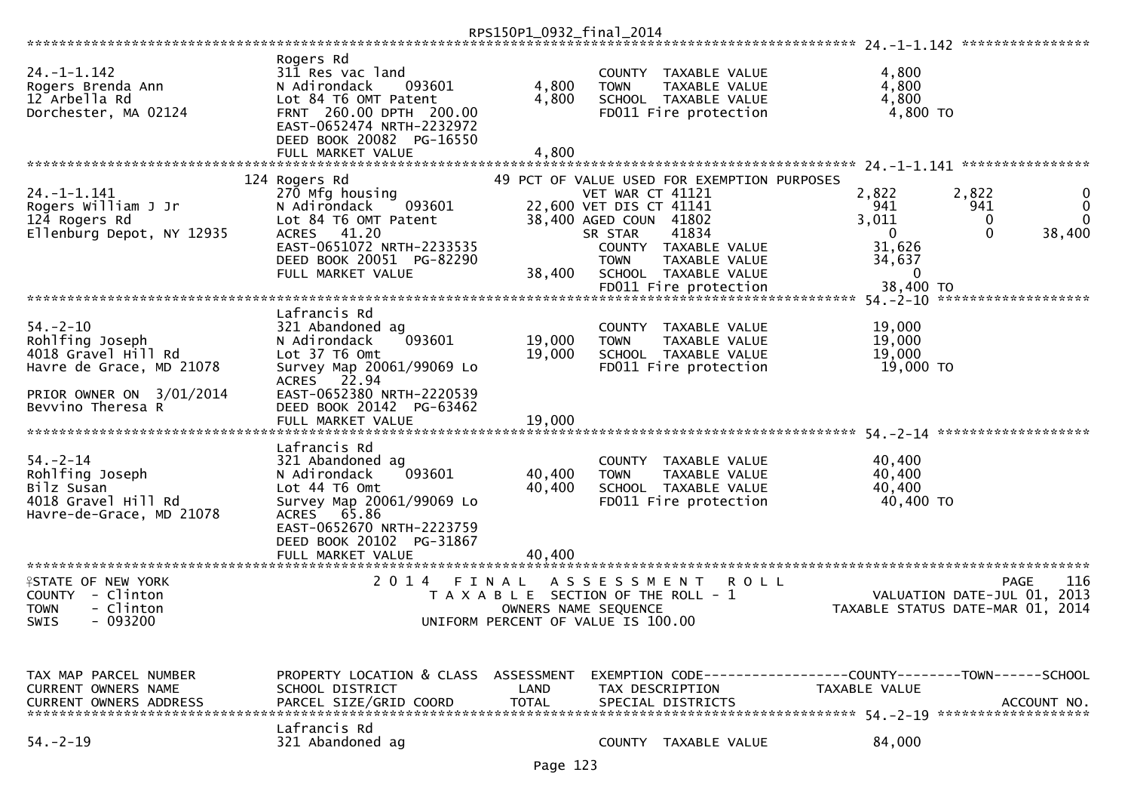|                                                                                                                                       |                                                                                                                                                                                                                 | RPS150P1_0932_final_2014   |                                                                                                                                                                                                                                                      |      |                                                                                    |                                                                                          |
|---------------------------------------------------------------------------------------------------------------------------------------|-----------------------------------------------------------------------------------------------------------------------------------------------------------------------------------------------------------------|----------------------------|------------------------------------------------------------------------------------------------------------------------------------------------------------------------------------------------------------------------------------------------------|------|------------------------------------------------------------------------------------|------------------------------------------------------------------------------------------|
| $24. - 1 - 1.142$<br>Rogers Brenda Ann<br>12 Arbella Rd<br>Dorchester, MA 02124                                                       | Rogers Rd<br>311 Res vac land<br>N Adirondack<br>093601<br>Lot 84 T6 OMT Patent<br>FRNT 260.00 DPTH 200.00<br>EAST-0652474 NRTH-2232972<br>DEED BOOK 20082 PG-16550<br>FULL MARKET VALUE                        | 4,800<br>4,800<br>4,800    | TAXABLE VALUE<br><b>COUNTY</b><br><b>TOWN</b><br>TAXABLE VALUE<br>SCHOOL TAXABLE VALUE<br>FD011 Fire protection                                                                                                                                      |      | 4,800<br>4,800<br>4,800<br>4,800 TO                                                |                                                                                          |
| $24. - 1 - 1.141$<br>Rogers William J Jr<br>124 Rogers Rd<br>Ellenburg Depot, NY 12935                                                | 124 Rogers Rd<br>270 Mfg housing<br>093601<br>N Adirondack<br>Lot 84 T6 OMT Patent<br>ACRES 41.20<br>EAST-0651072 NRTH-2233535<br>DEED BOOK 20051 PG-82290<br>FULL MARKET VALUE                                 | 38,400                     | 49 PCT OF VALUE USED FOR EXEMPTION PURPOSES<br>VET WAR CT 41121<br>22,600 VET DIS CT 41141<br>38,400 AGED COUN 41802<br>41834<br>SR STAR<br>COUNTY<br>TAXABLE VALUE<br><b>TOWN</b><br>TAXABLE VALUE<br>SCHOOL TAXABLE VALUE<br>FD011 Fire protection |      | 2,822<br>941<br>3,011<br>$\Omega$<br>31,626<br>34,637<br>$\mathbf{0}$<br>38,400 TO | 2,822<br>941<br>0<br>$\Omega$<br>$\Omega$<br>38,400<br>54. - 2 - 10 ******************** |
| $54. - 2 - 10$<br>Rohlfing Joseph<br>4018 Gravel Hill Rd<br>Havre de Grace, MD 21078<br>PRIOR OWNER ON 3/01/2014<br>Bevvino Theresa R | Lafrancis Rd<br>321 Abandoned ag<br>N Adirondack<br>093601<br>Lot 37 T6 Omt<br>Survey Map 20061/99069 Lo<br>22.94<br><b>ACRES</b><br>EAST-0652380 NRTH-2220539<br>DEED BOOK 20142 PG-63462<br>FULL MARKET VALUE | 19,000<br>19,000<br>19,000 | <b>COUNTY</b><br>TAXABLE VALUE<br>TAXABLE VALUE<br><b>TOWN</b><br>SCHOOL TAXABLE VALUE<br>FD011 Fire protection                                                                                                                                      |      | 19,000<br>19,000<br>19,000<br>19,000 TO                                            |                                                                                          |
| $54. - 2 - 14$<br>Rohlfing Joseph<br>Bilz Susan<br>4018 Gravel Hill Rd<br>Havre-de-Grace, MD 21078                                    | Lafrancis Rd<br>321 Abandoned ag<br>N Adirondack<br>093601<br>Lot 44 76 0mt<br>Survey Map 20061/99069 Lo<br>65.86<br><b>ACRES</b><br>EAST-0652670 NRTH-2223759<br>DEED BOOK 20102 PG-31867<br>FULL MARKET VALUE | 40,400<br>40,400<br>40,400 | <b>COUNTY</b><br>TAXABLE VALUE<br>TAXABLE VALUE<br><b>TOWN</b><br>SCHOOL TAXABLE VALUE<br>FD011 Fire protection                                                                                                                                      |      | 40,400<br>40,400<br>40,400<br>40,400 TO                                            |                                                                                          |
| <b>ISTATE OF NEW YORK</b><br>- Clinton<br><b>COUNTY</b><br>- Clinton<br><b>TOWN</b><br>$-093200$<br><b>SWIS</b>                       | 2 0 1 4                                                                                                                                                                                                         | FINAL                      | A S S E S S M E N T<br>T A X A B L E SECTION OF THE ROLL - 1<br>OWNERS NAME SEQUENCE<br>UNIFORM PERCENT OF VALUE IS 100.00                                                                                                                           | ROLL |                                                                                    | 116<br>PAGE<br>VALUATION DATE-JUL 01, 2013<br>TAXABLE STATUS DATE-MAR 01, 2014           |
| TAX MAP PARCEL NUMBER<br>CURRENT OWNERS NAME<br>CURRENT OWNERS ADDRESS<br>$54. - 2 - 19$                                              | PROPERTY LOCATION & CLASS ASSESSMENT<br>SCHOOL DISTRICT<br>PARCEL SIZE/GRID COORD<br>Lafrancis Rd<br>321 Abandoned ag                                                                                           | LAND<br><b>TOTAL</b>       | TAX DESCRIPTION<br>SPECIAL DISTRICTS<br>COUNTY TAXABLE VALUE                                                                                                                                                                                         |      | TAXABLE VALUE<br>84,000                                                            | EXEMPTION CODE-----------------COUNTY-------TOWN------SCHOOL<br>ACCOUNT NO.              |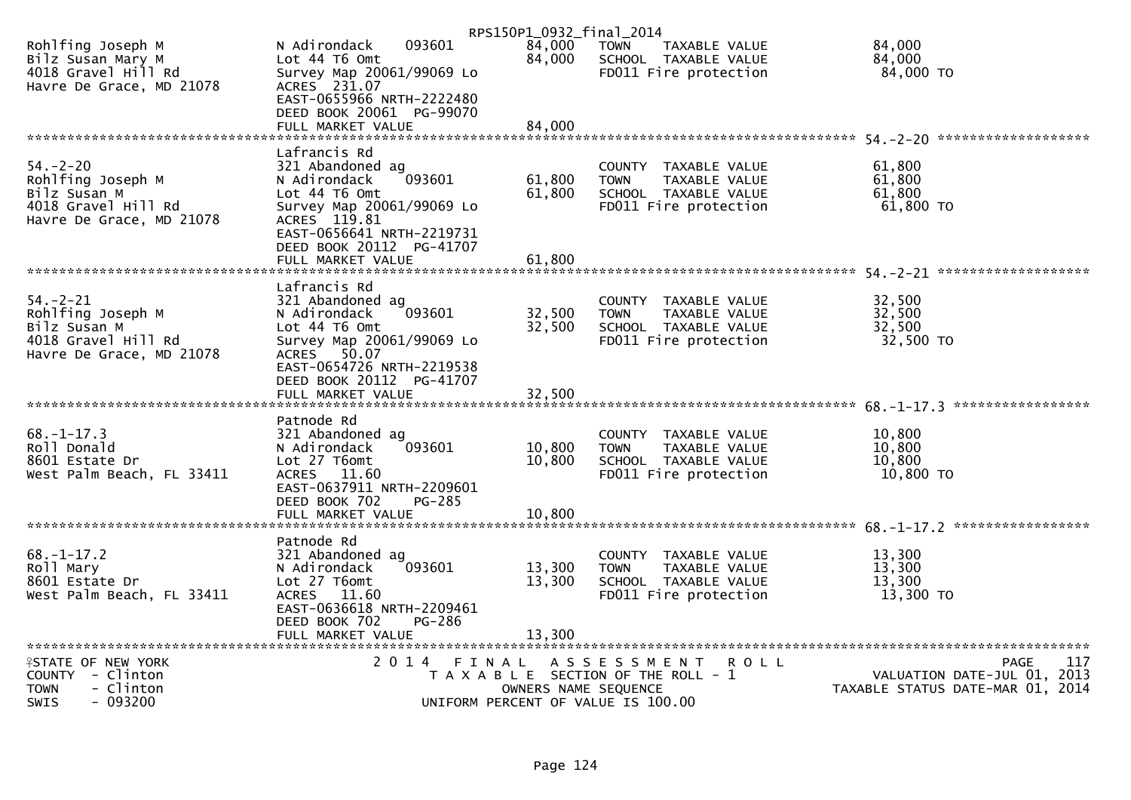|                                                                                                        |                                                                                                                                                       |                  | RPS150P1_0932_final_2014                                                                              |                                         |
|--------------------------------------------------------------------------------------------------------|-------------------------------------------------------------------------------------------------------------------------------------------------------|------------------|-------------------------------------------------------------------------------------------------------|-----------------------------------------|
| Rohlfing Joseph M<br>Bilz Susan Mary M<br>4018 Gravel Hill Rd<br>Havre De Grace, MD 21078              | N Adirondack<br>093601<br>Lot 44 76 0mt<br>Survey Map 20061/99069 Lo<br>ACRES 231.07                                                                  | 84,000<br>84,000 | <b>TOWN</b><br>TAXABLE VALUE<br>SCHOOL TAXABLE VALUE<br>FD011 Fire protection                         | 84,000<br>84,000<br>84,000 TO           |
|                                                                                                        | EAST-0655966 NRTH-2222480<br>DEED BOOK 20061 PG-99070<br>FULL MARKET VALUE                                                                            | 84,000           |                                                                                                       |                                         |
|                                                                                                        |                                                                                                                                                       |                  |                                                                                                       |                                         |
| $54. - 2 - 20$<br>Rohlfing Joseph M<br>Bilz Susan M<br>4018 Gravel Hill Rd<br>Havre De Grace, MD 21078 | Lafrancis Rd<br>321 Abandoned ag<br>093601<br>N Adirondack<br>Lot 44 T6 Omt<br>Survey Map 20061/99069 Lo<br>ACRES 119.81<br>EAST-0656641 NRTH-2219731 | 61,800<br>61,800 | COUNTY TAXABLE VALUE<br>TAXABLE VALUE<br><b>TOWN</b><br>SCHOOL TAXABLE VALUE<br>FD011 Fire protection | 61,800<br>61,800<br>61.800<br>61,800 TO |
|                                                                                                        | DEED BOOK 20112 PG-41707<br>FULL MARKET VALUE                                                                                                         | 61,800           |                                                                                                       |                                         |
|                                                                                                        | Lafrancis Rd                                                                                                                                          |                  |                                                                                                       |                                         |
| $54. - 2 - 21$                                                                                         | 321 Abandoned ag                                                                                                                                      |                  | COUNTY TAXABLE VALUE                                                                                  | 32,500                                  |
| Rohlfing Joseph M<br>Bilz Susan M                                                                      | 093601<br>N Adirondack<br>Lot 44 T6 Omt                                                                                                               | 32,500<br>32,500 | <b>TOWN</b><br>TAXABLE VALUE<br>SCHOOL TAXABLE VALUE                                                  | 32,500<br>32,500                        |
| 4018 Gravel Hill Rd                                                                                    | Survey Map 20061/99069 Lo                                                                                                                             |                  | FD011 Fire protection                                                                                 | 32,500 TO                               |
| Havre De Grace, MD 21078                                                                               | 50.07<br><b>ACRES</b>                                                                                                                                 |                  |                                                                                                       |                                         |
|                                                                                                        | EAST-0654726 NRTH-2219538                                                                                                                             |                  |                                                                                                       |                                         |
|                                                                                                        | DEED BOOK 20112 PG-41707                                                                                                                              |                  |                                                                                                       |                                         |
|                                                                                                        |                                                                                                                                                       |                  |                                                                                                       |                                         |
|                                                                                                        | Patnode Rd                                                                                                                                            |                  |                                                                                                       |                                         |
| $68. - 1 - 17.3$                                                                                       | 321 Abandoned ag                                                                                                                                      |                  | COUNTY TAXABLE VALUE                                                                                  | 10,800                                  |
| Roll Donald                                                                                            | 093601<br>N Adirondack                                                                                                                                | 10,800           | <b>TOWN</b><br>TAXABLE VALUE                                                                          | 10,800                                  |
| 8601 Estate Dr<br>West Palm Beach, FL 33411                                                            | Lot 27 T6omt<br>ACRES 11.60                                                                                                                           | 10,800           | SCHOOL TAXABLE VALUE<br>FD011 Fire protection                                                         | 10,800<br>10,800 TO                     |
|                                                                                                        | EAST-0637911 NRTH-2209601                                                                                                                             |                  |                                                                                                       |                                         |
|                                                                                                        | DEED BOOK 702<br>$PG-285$                                                                                                                             |                  |                                                                                                       |                                         |
|                                                                                                        |                                                                                                                                                       |                  |                                                                                                       |                                         |
|                                                                                                        | Patnode Rd                                                                                                                                            |                  |                                                                                                       |                                         |
| $68. - 1 - 17.2$                                                                                       | 321 Abandoned ag                                                                                                                                      |                  | COUNTY TAXABLE VALUE                                                                                  | 13,300                                  |
| Roll Mary                                                                                              | 093601<br>N Adirondack                                                                                                                                | 13,300           | TAXABLE VALUE<br><b>TOWN</b>                                                                          | 13,300                                  |
| 8601 Estate Dr<br>West Palm Beach, FL 33411                                                            | Lot 27 T6omt<br>ACRES 11.60                                                                                                                           | 13,300           | SCHOOL TAXABLE VALUE<br>FD011 Fire protection                                                         | 13,300<br>13,300 TO                     |
|                                                                                                        | EAST-0636618 NRTH-2209461                                                                                                                             |                  |                                                                                                       |                                         |
|                                                                                                        | DEED BOOK 702<br>PG-286                                                                                                                               |                  |                                                                                                       |                                         |
|                                                                                                        | FULL MARKET VALUE                                                                                                                                     | 13,300           |                                                                                                       |                                         |
| <b>ISTATE OF NEW YORK</b>                                                                              | 2 0 1 4<br>FINAL                                                                                                                                      |                  | A S S E S S M E N T<br><b>ROLL</b>                                                                    | 117<br><b>PAGE</b>                      |
| COUNTY - Clinton                                                                                       |                                                                                                                                                       |                  | T A X A B L E SECTION OF THE ROLL - 1                                                                 | VALUATION DATE-JUL 01, 2013             |
| - Clinton<br><b>TOWN</b>                                                                               |                                                                                                                                                       |                  | OWNERS NAME SEQUENCE                                                                                  | TAXABLE STATUS DATE-MAR 01, 2014        |
| <b>SWIS</b><br>- 093200                                                                                |                                                                                                                                                       |                  | UNIFORM PERCENT OF VALUE IS 100.00                                                                    |                                         |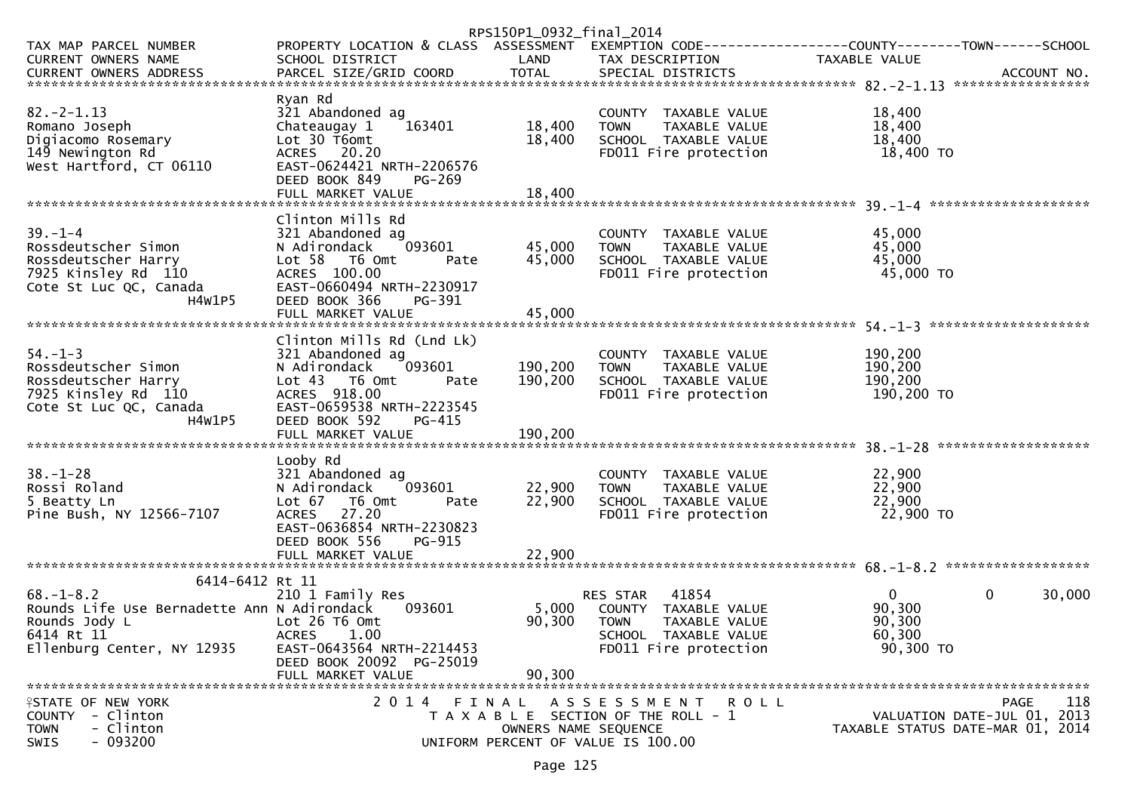|                                                                                                                                                |                                                                                                                                                                                               | RPS150P1_0932_final_2014      |                                                                                                                            |                                                           |                                                                                       |
|------------------------------------------------------------------------------------------------------------------------------------------------|-----------------------------------------------------------------------------------------------------------------------------------------------------------------------------------------------|-------------------------------|----------------------------------------------------------------------------------------------------------------------------|-----------------------------------------------------------|---------------------------------------------------------------------------------------|
| TAX MAP PARCEL NUMBER<br><b>CURRENT OWNERS NAME</b><br>CURRENT OWNERS ADDRESS                                                                  | PROPERTY LOCATION & CLASS ASSESSMENT EXEMPTION CODE----------------COUNTY-------TOWN------SCHOOL<br>SCHOOL DISTRICT                                                                           | LAND                          | TAX DESCRIPTION                                                                                                            | TAXABLE VALUE                                             |                                                                                       |
|                                                                                                                                                |                                                                                                                                                                                               |                               |                                                                                                                            |                                                           |                                                                                       |
| $82 - 2 - 1.13$<br>Romano Joseph<br>Digiacomo Rosemary<br>149 Newington Rd<br>West Hartford, CT 06110                                          | Ryan Rd<br>321 Abandoned ag<br>163401<br>Chateaugay 1<br>Lot 30 T6omt<br>ACRES 20.20<br>EAST-0624421 NRTH-2206576<br>DEED BOOK 849<br>PG-269<br>FULL MARKET VALUE                             | 18,400<br>18,400<br>18,400    | COUNTY TAXABLE VALUE<br><b>TOWN</b><br>TAXABLE VALUE<br>SCHOOL TAXABLE VALUE<br>FD011 Fire protection                      | 18,400<br>18,400<br>18,400<br>18,400 TO                   |                                                                                       |
|                                                                                                                                                |                                                                                                                                                                                               |                               |                                                                                                                            |                                                           |                                                                                       |
| $39. - 1 - 4$<br>Rossdeutscher Simon<br>Rossdeutscher Harry<br>7925 Kinsley Rd 110<br>Cote St Luc QC, Canada<br>H4W1P5                         | Clinton Mills Rd<br>321 Abandoned ag<br>093601<br>N Adirondack<br>Lot 58 T6 Omt<br>Pate<br>ACRES 100.00<br>EAST-0660494 NRTH-2230917<br>DEED BOOK 366<br>PG-391                               | 45,000<br>45,000              | COUNTY TAXABLE VALUE<br><b>TOWN</b><br>TAXABLE VALUE<br>SCHOOL TAXABLE VALUE<br>FD011 Fire protection                      | 45,000<br>45,000<br>45,000<br>45,000 TO                   |                                                                                       |
|                                                                                                                                                |                                                                                                                                                                                               |                               |                                                                                                                            |                                                           |                                                                                       |
| $54. - 1 - 3$<br>Rossdeutscher Simon<br>Rossdeutscher Harry<br>7925 Kinsley Rd 110<br>Cote St Luc QC, Canada<br>H4W1P5                         | Clinton Mills Rd (Lnd Lk)<br>321 Abandoned ag<br>093601<br>N Adirondack<br>Lot 43 T6 Omt<br>Pate<br>ACRES 918.00<br>EAST-0659538 NRTH-2223545<br>DEED BOOK 592<br>PG-415<br>FULL MARKET VALUE | 190,200<br>190,200<br>190,200 | COUNTY TAXABLE VALUE<br><b>TOWN</b><br>TAXABLE VALUE<br>SCHOOL TAXABLE VALUE<br>FD011 Fire protection                      | 190,200<br>190,200<br>190,200<br>190,200 TO               |                                                                                       |
|                                                                                                                                                | Looby Rd                                                                                                                                                                                      |                               |                                                                                                                            |                                                           |                                                                                       |
| $38. - 1 - 28$<br>Rossi Roland<br>5 Beatty Ln<br>Pine Bush, NY 12566-7107                                                                      | 321 Abandoned ag<br>093601<br>N Adirondack<br>Lot 67 T6 Omt<br>Pate<br>ACRES 27.20<br>EAST-0636854 NRTH-2230823<br>DEED BOOK 556<br>PG-915                                                    | 22,900<br>22,900              | COUNTY TAXABLE VALUE<br>TAXABLE VALUE<br><b>TOWN</b><br>SCHOOL TAXABLE VALUE<br>FD011 Fire protection                      | 22,900<br>22,900<br>22,900<br>22,900 TO                   |                                                                                       |
|                                                                                                                                                |                                                                                                                                                                                               |                               |                                                                                                                            |                                                           |                                                                                       |
| 6414-6412 Rt 11<br>$68. - 1 - 8.2$<br>Rounds Life Use Bernadette Ann N Adirondack<br>Rounds Jody L<br>6414 Rt 11<br>Ellenburg Center, NY 12935 | 210 1 Family Res<br>093601<br>Lot 26 T6 Omt<br><b>ACRES</b><br>1.00<br>EAST-0643564 NRTH-2214453<br>DEED BOOK 20092 PG-25019<br>FULL MARKET VALUE                                             | 5,000<br>90,300<br>90,300     | 41854<br>RES STAR<br>COUNTY TAXABLE VALUE<br><b>TOWN</b><br>TAXABLE VALUE<br>SCHOOL TAXABLE VALUE<br>FD011 Fire protection | $\overline{0}$<br>90,300<br>90,300<br>60,300<br>90,300 TO | $\mathbf{0}$<br>30,000                                                                |
| <b>ISTATE OF NEW YORK</b><br>COUNTY<br>- Clinton<br>- Clinton<br><b>TOWN</b><br>$-093200$<br>SWIS                                              |                                                                                                                                                                                               | OWNERS NAME SEQUENCE          | 2014 FINAL ASSESSMENT<br><b>ROLL</b><br>T A X A B L E SECTION OF THE ROLL - 1<br>UNIFORM PERCENT OF VALUE IS 100.00        |                                                           | 118<br><b>PAGE</b><br>VALUATION DATE-JUL 01, 2013<br>TAXABLE STATUS DATE-MAR 01, 2014 |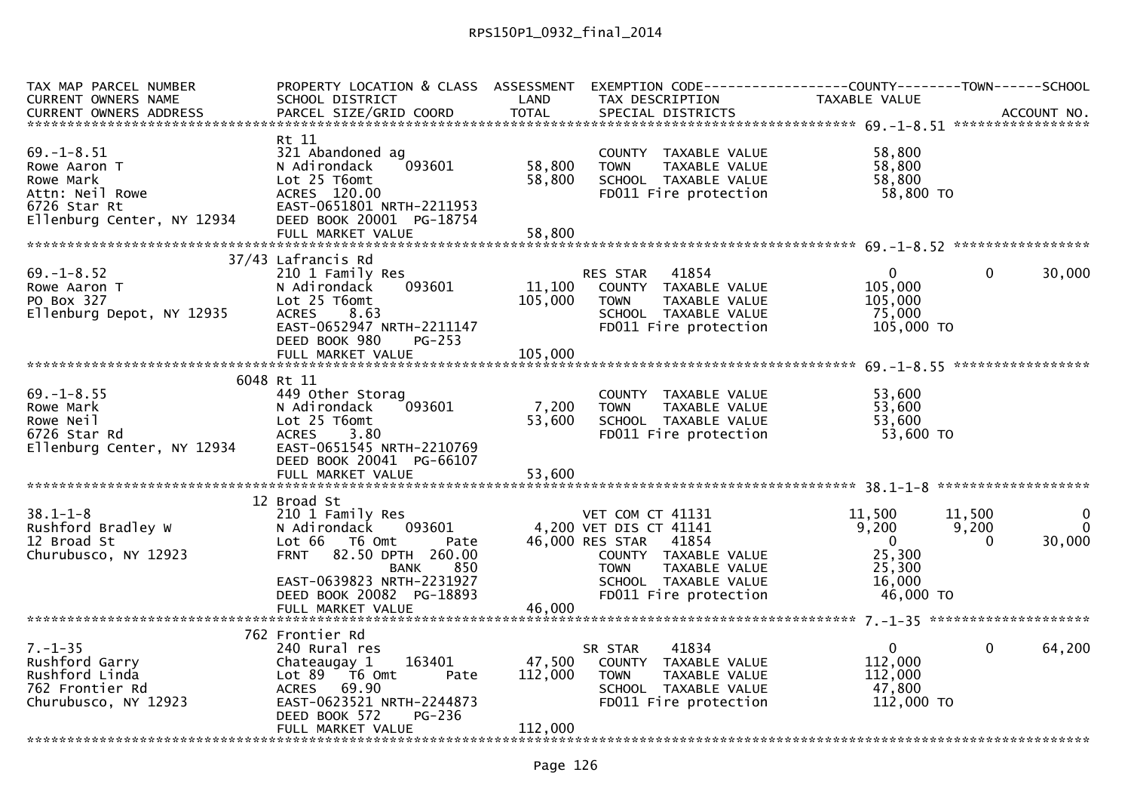| TAX MAP PARCEL NUMBER                                                                                                          | PROPERTY LOCATION & CLASS ASSESSMENT EXEMPTION CODE----------------COUNTY-------TOWN------SCHOOL |         |                              |                |             |              |
|--------------------------------------------------------------------------------------------------------------------------------|--------------------------------------------------------------------------------------------------|---------|------------------------------|----------------|-------------|--------------|
| CURRENT OWNERS NAME                                                                                                            | SCHOOL DISTRICT                                                                                  | LAND    | TAX DESCRIPTION              | TAXABLE VALUE  |             |              |
|                                                                                                                                |                                                                                                  |         |                              |                |             |              |
|                                                                                                                                |                                                                                                  |         |                              |                |             |              |
|                                                                                                                                | Rt 11                                                                                            |         |                              |                |             |              |
| $69. - 1 - 8.51$                                                                                                               | 321 Abandoned ag                                                                                 |         | COUNTY TAXABLE VALUE         | 58,800         |             |              |
| Rowe Aaron T                                                                                                                   | 093601<br>N Adirondack                                                                           | 58,800  | TAXABLE VALUE<br><b>TOWN</b> | 58,800         |             |              |
| Rowe Mark                                                                                                                      | Lot 25 T6omt                                                                                     | 58,800  | SCHOOL TAXABLE VALUE         | 58,800         |             |              |
| Attn: Neil Rowe<br>$\begin{array}{c}\n\stackrel{\wedge}{\longrightarrow} \\ \uparrow \\ \downarrow \\ \downarrow\n\end{array}$ | ACRES 120.00                                                                                     |         | FD011 Fire protection        | 58,800 TO      |             |              |
| 6726 Star Rt                                                                                                                   | EAST-0651801 NRTH-2211953                                                                        |         |                              |                |             |              |
| Ellenburg Center, NY 12934                                                                                                     | DEED BOOK 20001 PG-18754                                                                         |         |                              |                |             |              |
|                                                                                                                                | FULL MARKET VALUE                                                                                | 58,800  |                              |                |             |              |
|                                                                                                                                |                                                                                                  |         |                              |                |             |              |
|                                                                                                                                | 37/43 Lafrancis Rd                                                                               |         |                              |                |             |              |
| $69. - 1 - 8.52$                                                                                                               | 210 1 Family Res                                                                                 |         | RES STAR 41854               | $\mathbf{0}$   | $\Omega$    | 30,000       |
| Rowe Aaron T                                                                                                                   | 093601<br>N Adirondack                                                                           | 11,100  | COUNTY TAXABLE VALUE         | 105,000        |             |              |
| PO Box 327                                                                                                                     | Lot 25 T6omt                                                                                     | 105,000 | <b>TOWN</b><br>TAXABLE VALUE | 105,000        |             |              |
| Ellenburg Depot, NY 12935                                                                                                      | <b>ACRES</b><br>8.63                                                                             |         | SCHOOL TAXABLE VALUE         | 75,000         |             |              |
|                                                                                                                                |                                                                                                  |         |                              |                |             |              |
|                                                                                                                                | EAST-0652947 NRTH-2211147                                                                        |         | FD011 Fire protection        | 105,000 TO     |             |              |
|                                                                                                                                | DEED BOOK 980<br>$PG-253$                                                                        |         |                              |                |             |              |
|                                                                                                                                |                                                                                                  |         |                              |                |             |              |
|                                                                                                                                |                                                                                                  |         |                              |                |             |              |
|                                                                                                                                | 6048 Rt 11                                                                                       |         |                              |                |             |              |
| $69. - 1 - 8.55$                                                                                                               | 449 Other Storag                                                                                 |         | COUNTY TAXABLE VALUE         | 53,600         |             |              |
| Rowe Mark                                                                                                                      | 093601<br>N Adirondack                                                                           | 7,200   | <b>TOWN</b><br>TAXABLE VALUE | 53,600         |             |              |
| Rowe Neil                                                                                                                      | Lot 25 T6omt                                                                                     | 53,600  | SCHOOL TAXABLE VALUE         | 53,600         |             |              |
| 6726 Star Rd                                                                                                                   | 3.80<br><b>ACRES</b>                                                                             |         | FD011 Fire protection        | 53,600 TO      |             |              |
| Ellenburg Center, NY 12934                                                                                                     | EAST-0651545 NRTH-2210769                                                                        |         |                              |                |             |              |
|                                                                                                                                | DEED BOOK 20041 PG-66107                                                                         |         |                              |                |             |              |
|                                                                                                                                | FULL MARKET VALUE                                                                                | 53,600  |                              |                |             |              |
|                                                                                                                                |                                                                                                  |         |                              |                |             |              |
|                                                                                                                                | 12 Broad St                                                                                      |         |                              |                |             |              |
| $38.1 - 1 - 8$                                                                                                                 | 210 1 Family Res                                                                                 |         | VET COM CT 41131             | 11,500         | 11,500      | $\mathbf{0}$ |
| Rushford Bradley W                                                                                                             | N Adirondack<br>093601                                                                           |         | 4,200 VET DIS CT 41141       | 9,200          | 9,200       | $\mathbf{0}$ |
| 12 Broad St                                                                                                                    | Lot 66<br>T6 Omt<br>Pate                                                                         |         | 46,000 RES STAR 41854        | $\overline{0}$ | $\Omega$    | 30,000       |
| Churubusco, NY 12923                                                                                                           | 82.50 DPTH 260.00<br><b>FRNT</b>                                                                 |         | COUNTY TAXABLE VALUE         | 25,300         |             |              |
|                                                                                                                                | 850<br>BANK                                                                                      |         | TAXABLE VALUE<br><b>TOWN</b> | 25,300         |             |              |
|                                                                                                                                | EAST-0639823 NRTH-2231927                                                                        |         | SCHOOL TAXABLE VALUE         | 16,000         |             |              |
|                                                                                                                                | DEED BOOK 20082 PG-18893                                                                         |         |                              | 46,000 TO      |             |              |
|                                                                                                                                |                                                                                                  |         | FD011 Fire protection        |                |             |              |
|                                                                                                                                | FULL MARKET VALUE                                                                                | 46,000  |                              |                |             |              |
|                                                                                                                                |                                                                                                  |         |                              |                |             |              |
|                                                                                                                                | 762 Frontier Rd                                                                                  |         |                              |                |             |              |
| $7. - 1 - 35$                                                                                                                  | 240 Rural res                                                                                    |         | 41834<br>SR STAR             | 0              | $\mathbf 0$ | 64,200       |
| Rushford Garry                                                                                                                 | 163401<br>Chateaugay 1                                                                           | 47,500  | COUNTY TAXABLE VALUE         | 112,000        |             |              |
| Rushford Linda                                                                                                                 | Lot 89 T6 Omt<br>Pate                                                                            | 112,000 | TAXABLE VALUE<br>TOWN        | 112,000        |             |              |
| 762 Frontier Rd                                                                                                                | ACRES 69.90                                                                                      |         | SCHOOL TAXABLE VALUE         | 47,800         |             |              |
| Churubusco, NY 12923                                                                                                           | EAST-0623521 NRTH-2244873                                                                        |         | FD011 Fire protection        | 112,000 TO     |             |              |
|                                                                                                                                | DEED BOOK 572<br>PG-236                                                                          |         |                              |                |             |              |
|                                                                                                                                | FULL MARKET VALUE                                                                                | 112,000 |                              |                |             |              |
|                                                                                                                                |                                                                                                  |         |                              |                |             |              |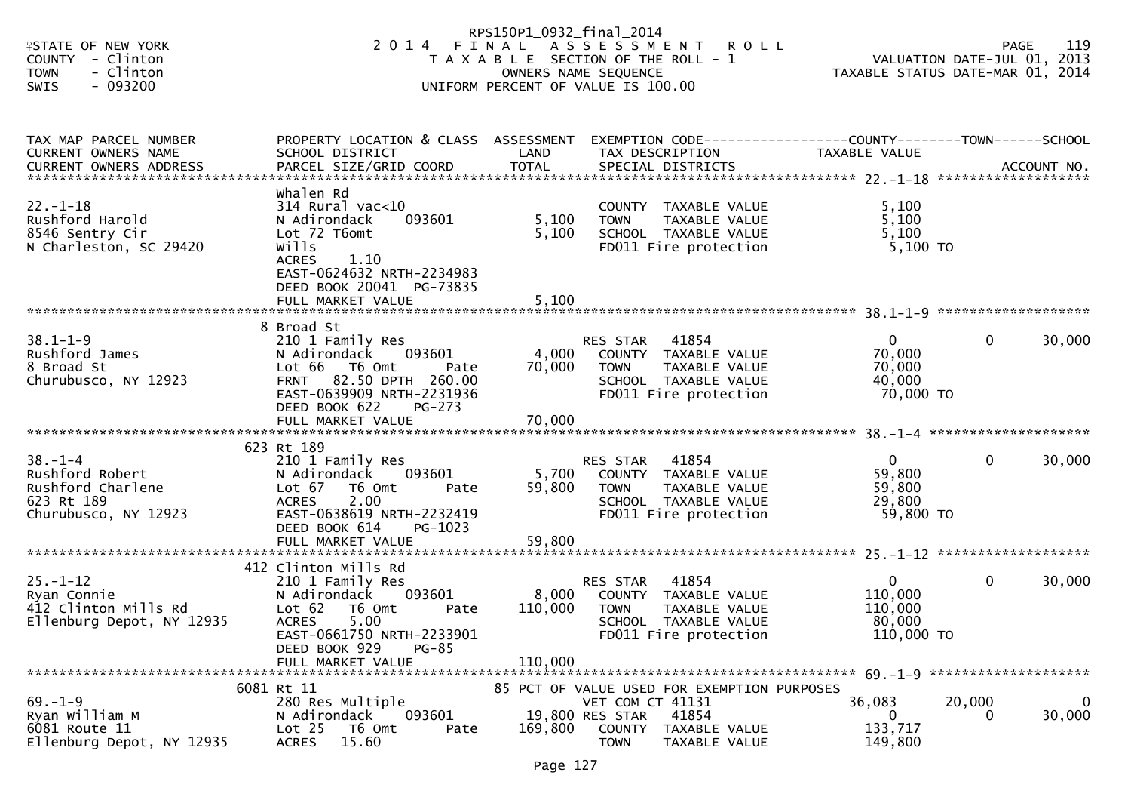| <b>ISTATE OF NEW YORK</b><br>COUNTY - Clinton<br><b>TOWN</b><br>- Clinton<br>- 093200<br>SWIS |                                                                                                                                                                                          | RPS150P1_0932_final_2014<br>OWNERS NAME SEQUENCE | 2014 FINAL ASSESSMENT ROLL<br>T A X A B L E SECTION OF THE ROLL - 1<br>UNIFORM PERCENT OF VALUE IS 100.00                  |                                                            | 119<br><b>PAGE</b><br>VALUATION DATE-JUL 01, 2013<br>TAXABLE STATUS DATE-MAR 01, 2014 |
|-----------------------------------------------------------------------------------------------|------------------------------------------------------------------------------------------------------------------------------------------------------------------------------------------|--------------------------------------------------|----------------------------------------------------------------------------------------------------------------------------|------------------------------------------------------------|---------------------------------------------------------------------------------------|
| TAX MAP PARCEL NUMBER<br><b>CURRENT OWNERS NAME</b>                                           | PROPERTY LOCATION & CLASS ASSESSMENT<br>SCHOOL DISTRICT                                                                                                                                  | LAND                                             | EXEMPTION CODE------------------COUNTY--------TOWN------SCHOOL<br>TAX DESCRIPTION                                          | TAXABLE VALUE                                              |                                                                                       |
| $22. - 1 - 18$<br>Rushford Harold<br>8546 Sentry Cir<br>N Charleston, SC 29420                | Whalen Rd<br>$314$ Rural vac<10<br>093601<br>N Adirondack<br>Lot 72 T6omt<br>wills<br><b>ACRES</b><br>1.10<br>EAST-0624632 NRTH-2234983<br>DEED BOOK 20041 PG-73835<br>FULL MARKET VALUE | 5,100<br>5,100<br>5,100                          | COUNTY TAXABLE VALUE<br>TAXABLE VALUE<br><b>TOWN</b><br>SCHOOL TAXABLE VALUE<br>FD011 Fire protection                      | 5,100<br>5,100<br>5,100<br>5,100 TO                        |                                                                                       |
|                                                                                               |                                                                                                                                                                                          |                                                  |                                                                                                                            |                                                            |                                                                                       |
| $38.1 - 1 - 9$<br>Rushford James<br>8 Broad St<br>Churubusco, NY 12923                        | 8 Broad St<br>210 1 Family Res<br>N Adirondack<br>093601<br>Lot 66 T6 Omt<br>Pate<br>82.50 DPTH 260.00<br><b>FRNT</b><br>EAST-0639909 NRTH-2231936<br>DEED BOOK 622<br>$PG-273$          | 4,000<br>70,000                                  | 41854<br>RES STAR<br>COUNTY TAXABLE VALUE<br><b>TOWN</b><br>TAXABLE VALUE<br>SCHOOL TAXABLE VALUE<br>FD011 Fire protection | $\mathbf{0}$<br>70,000<br>70,000<br>40,000<br>70,000 TO    | 30,000<br>$\mathbf 0$                                                                 |
|                                                                                               |                                                                                                                                                                                          |                                                  |                                                                                                                            |                                                            |                                                                                       |
| $38. - 1 - 4$<br>Rushford Robert<br>Rushford Charlene<br>623 Rt 189<br>Churubusco, NY 12923   | 623 Rt 189<br>210 1 Family Res<br>093601<br>N Adirondack<br>Lot 67<br>T6 Omt<br>Pate<br><b>ACRES</b><br>2.00<br>EAST-0638619 NRTH-2232419<br>DEED BOOK 614<br>PG-1023                    | 5,700<br>59,800<br>59,800                        | 41854<br>RES STAR<br>COUNTY TAXABLE VALUE<br>TAXABLE VALUE<br><b>TOWN</b><br>SCHOOL TAXABLE VALUE<br>FD011 Fire protection | $\overline{0}$<br>59,800<br>59,800<br>29,800<br>59,800 TO  | 30,000<br>$\mathbf 0$                                                                 |
|                                                                                               | FULL MARKET VALUE                                                                                                                                                                        |                                                  |                                                                                                                            |                                                            |                                                                                       |
| $25. - 1 - 12$<br>Ryan Connie<br>412 Clinton Mills Rd<br>Ellenburg Depot, NY 12935            | 412 Clinton Mills Rd<br>210 1 Family Res<br>N Adirondack<br>093601<br>Lot 62<br>T6 Omt<br>Pate<br><b>ACRES</b><br>5.00<br>EAST-0661750 NRTH-2233901                                      | 8,000<br>110,000                                 | 41854<br>RES STAR<br>COUNTY TAXABLE VALUE<br><b>TOWN</b><br>TAXABLE VALUE<br>SCHOOL TAXABLE VALUE<br>FD011 Fire protection | $\mathbf{0}$<br>110,000<br>110,000<br>80,000<br>110,000 TO | 30,000<br>$\mathbf 0$                                                                 |
|                                                                                               | DEED BOOK 929<br>$PG-85$<br>FULL MARKET VALUE                                                                                                                                            | 110,000                                          |                                                                                                                            |                                                            |                                                                                       |
|                                                                                               | 6081 Rt 11                                                                                                                                                                               |                                                  | 85 PCT OF VALUE USED FOR EXEMPTION PURPOSES                                                                                |                                                            |                                                                                       |
| $69. - 1 - 9$<br>Ryan William M<br>6081 Route 11<br>Ellenburg Depot, NY 12935                 | 280 Res Multiple<br>N Adirondack<br>093601<br>Lot <sub>25</sub><br>T6 Omt<br>Pate<br>15.60<br><b>ACRES</b>                                                                               | 169,800                                          | VET COM CT 41131<br>19,800 RES STAR<br>41854<br>COUNTY<br>TAXABLE VALUE<br><b>TOWN</b><br>TAXABLE VALUE                    | 36,083<br>$\bf{0}$<br>133,717<br>149,800                   | 20,000<br>0<br>30,000<br>0                                                            |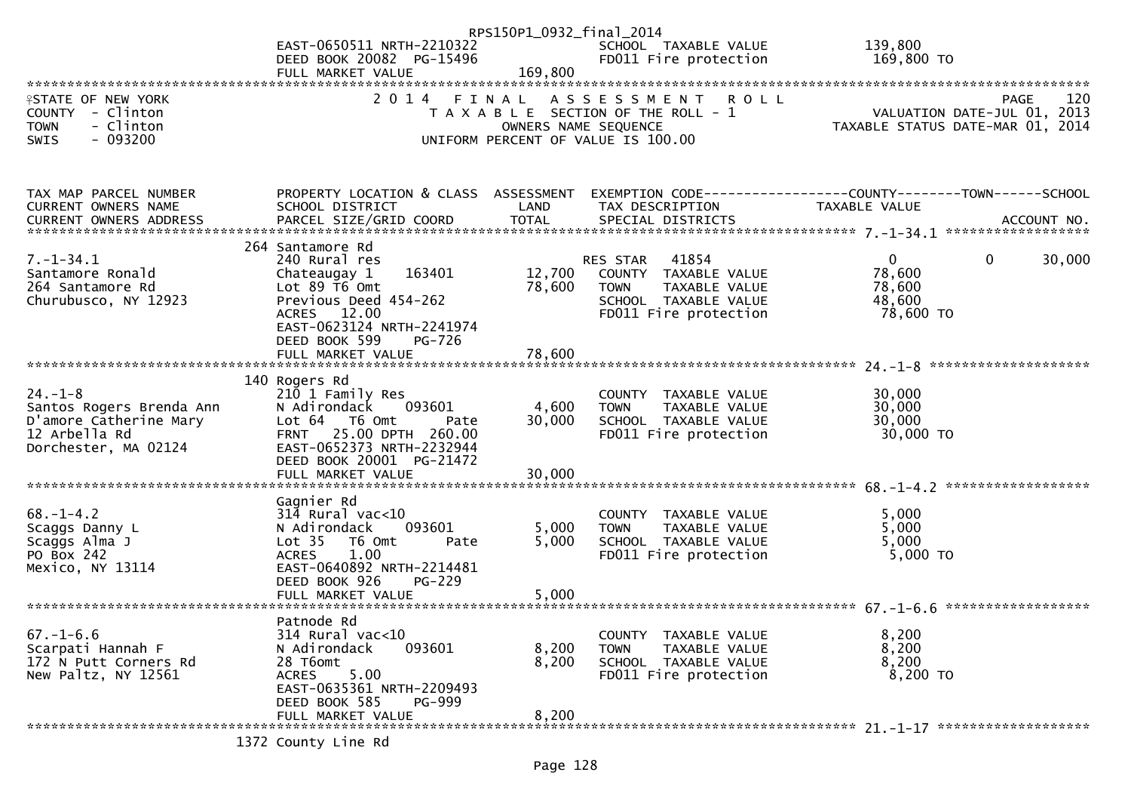|                                              |                                                               | RPS150P1_0932_final_2014 |                                                               |                                                                             |                    |
|----------------------------------------------|---------------------------------------------------------------|--------------------------|---------------------------------------------------------------|-----------------------------------------------------------------------------|--------------------|
|                                              | EAST-0650511 NRTH-2210322                                     |                          | SCHOOL TAXABLE VALUE<br>FDO11 Fire protection                 | 139,800                                                                     |                    |
|                                              | DEED BOOK 20082 PG-15496<br>FULL MARKET VALUE                 | 169,800                  |                                                               | 169,800 TO                                                                  |                    |
|                                              |                                                               |                          |                                                               |                                                                             |                    |
| <b>ISTATE OF NEW YORK</b>                    | 2014                                                          |                          | <b>ROLL</b><br>FINAL ASSESSMENT                               |                                                                             | 120<br><b>PAGE</b> |
| COUNTY - Clinton<br>- Clinton<br><b>TOWN</b> |                                                               |                          | T A X A B L E SECTION OF THE ROLL - 1<br>OWNERS NAME SEQUENCE | PAGE 120<br>VALUATION DATE-JUL 01, 2013<br>TAXABLE STATUS DATE-MAR 01, 2014 |                    |
| $-093200$<br><b>SWIS</b>                     |                                                               |                          | UNIFORM PERCENT OF VALUE IS 100.00                            |                                                                             |                    |
|                                              |                                                               |                          |                                                               |                                                                             |                    |
|                                              |                                                               |                          |                                                               |                                                                             |                    |
| TAX MAP PARCEL NUMBER                        | PROPERTY LOCATION & CLASS ASSESSMENT                          |                          |                                                               | EXEMPTION CODE-----------------COUNTY--------TOWN------SCHOOL               |                    |
| CURRENT OWNERS NAME                          | SCHOOL DISTRICT                                               | LAND                     | TAX DESCRIPTION                                               | <b>TAXABLE VALUE</b>                                                        |                    |
|                                              |                                                               |                          |                                                               |                                                                             |                    |
| $7. - 1 - 34.1$                              | 264 Santamore Rd                                              |                          |                                                               | $\overline{0}$<br>$\mathbf 0$                                               | 30,000             |
| Santamore Ronald                             | 240 Rural res<br>163401<br>Chateaugay 1                       | 12,700                   | RES STAR 41854<br>COUNTY TAXABLE VALUE                        | 78,600                                                                      |                    |
| 264 Santamore Rd                             | Lot $89$ T6 Omt                                               | 78,600                   | <b>TOWN</b><br>TAXABLE VALUE                                  | 78,600                                                                      |                    |
| Churubusco, NY 12923                         | Previous Deed 454-262                                         |                          | SCHOOL TAXABLE VALUE                                          | 48,600                                                                      |                    |
|                                              | ACRES 12.00<br>EAST-0623124 NRTH-2241974                      |                          | FD011 Fire protection                                         | 78,600 TO                                                                   |                    |
|                                              | DEED BOOK 599<br>PG-726                                       |                          |                                                               |                                                                             |                    |
|                                              |                                                               |                          |                                                               |                                                                             |                    |
|                                              | 140 Rogers Rd                                                 |                          |                                                               |                                                                             |                    |
| $24. - 1 - 8$                                | 210 1 Family Res                                              |                          | COUNTY TAXABLE VALUE                                          | 30,000                                                                      |                    |
| Santos Rogers Brenda Ann                     | 093601<br>N Adirondack                                        | 4,600                    | <b>TOWN</b><br>TAXABLE VALUE                                  | 30,000                                                                      |                    |
| D'amore Catherine Mary                       | Lot 64 T6 Omt<br>Pate                                         | 30,000                   | SCHOOL TAXABLE VALUE                                          | 30,000                                                                      |                    |
| 12 Arbella Rd<br>Dorchester, MA 02124        | 25.00 DPTH 260.00<br><b>FRNT</b><br>EAST-0652373 NRTH-2232944 |                          | FD011 Fire protection                                         | 30,000 TO                                                                   |                    |
|                                              | DEED BOOK 20001 PG-21472                                      |                          |                                                               |                                                                             |                    |
|                                              | FULL MARKET VALUE                                             | 30,000                   |                                                               |                                                                             |                    |
|                                              | Gagnier Rd                                                    |                          |                                                               |                                                                             |                    |
| $68. - 1 - 4.2$                              | $314$ Rural vac< $10$                                         |                          | COUNTY TAXABLE VALUE                                          | 5,000                                                                       |                    |
| Scaggs Danny L                               | 093601<br>N Adirondack                                        | 5,000                    | TAXABLE VALUE<br><b>TOWN</b>                                  | 5,000                                                                       |                    |
| Scaggs Alma J<br>PO Box 242                  | Lot <sub>35</sub><br>T6 Omt<br>Pate                           | 5,000                    | SCHOOL TAXABLE VALUE                                          | 5,000                                                                       |                    |
| Mexico, NY 13114                             | 1.00<br><b>ACRES</b><br>EAST-0640892 NRTH-2214481             |                          | FD011 Fire protection                                         | 5,000 TO                                                                    |                    |
|                                              | DEED BOOK 926<br>$PG-229$                                     |                          |                                                               |                                                                             |                    |
|                                              |                                                               |                          |                                                               |                                                                             |                    |
|                                              | Patnode Rd                                                    |                          |                                                               |                                                                             |                    |
| $67. - 1 - 6.6$                              | 314 Rural vac<10                                              |                          | COUNTY TAXABLE VALUE                                          | 8,200                                                                       |                    |
| Scarpati Hannah F                            | N Adirondack<br>093601                                        | 8,200                    | <b>TOWN</b><br>TAXABLE VALUE                                  | 8,200                                                                       |                    |
| 172 N Putt Corners Rd<br>New Paltz, NY 12561 | 28 T6omt<br>5.00<br><b>ACRES</b>                              | 8,200                    | SCHOOL TAXABLE VALUE<br>FD011 Fire protection                 | 8,200<br>8,200 TO                                                           |                    |
|                                              | EAST-0635361 NRTH-2209493                                     |                          |                                                               |                                                                             |                    |
|                                              | DEED BOOK 585<br>PG-999                                       |                          |                                                               |                                                                             |                    |
|                                              | FULL MARKET VALUE                                             | 8,200                    |                                                               |                                                                             |                    |
|                                              |                                                               |                          |                                                               |                                                                             |                    |

1372 County Line Rd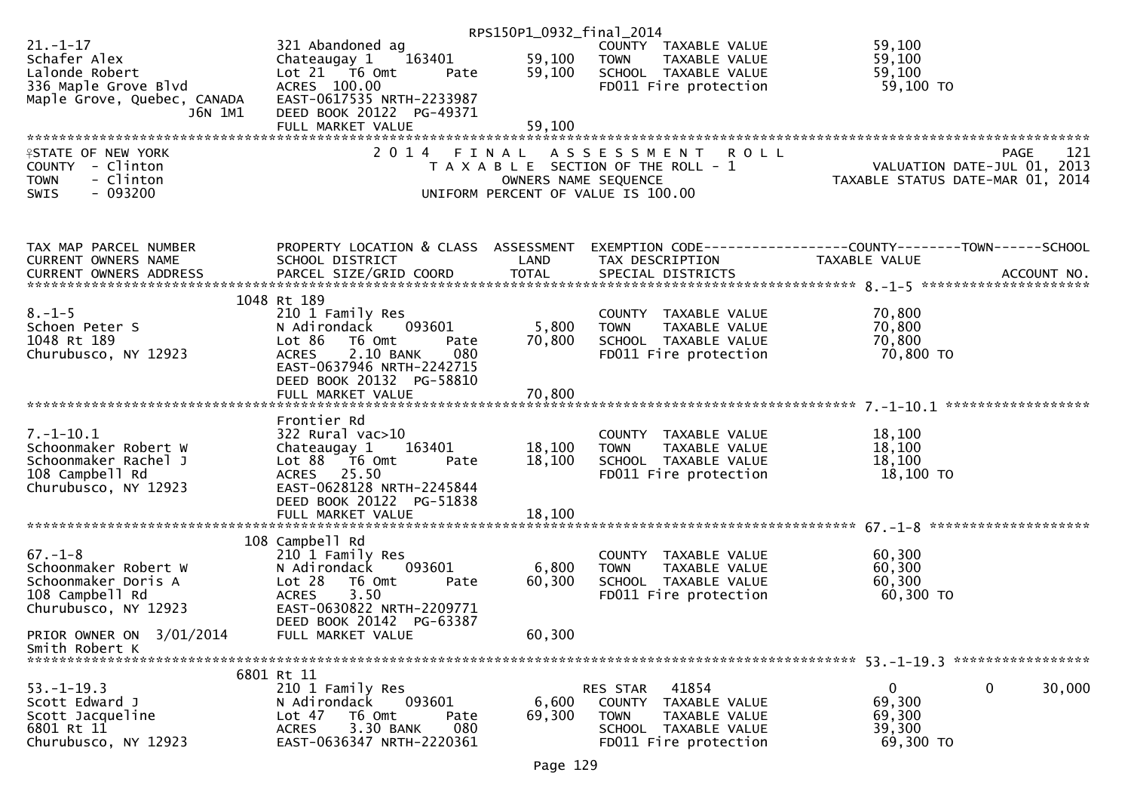|                                               |                                            | RPS150P1_0932_final_2014 |                                                                      |                                                                                                                  |
|-----------------------------------------------|--------------------------------------------|--------------------------|----------------------------------------------------------------------|------------------------------------------------------------------------------------------------------------------|
| $21. - 1 - 17$                                | 321 Abandoned ag                           |                          | COUNTY TAXABLE VALUE                                                 | 59,100                                                                                                           |
| Schafer Alex                                  | 163401<br>Chateaugay 1                     | 59,100                   | <b>TOWN</b><br>TAXABLE VALUE                                         | 59,100                                                                                                           |
| Lalonde Robert                                | Lot $21$ T6 Omt<br>Pate                    | 59,100                   | SCHOOL TAXABLE VALUE                                                 | 59,100                                                                                                           |
| 336 Maple Grove Blvd                          | ACRES 100.00                               |                          | FD011 Fire protection                                                | 59,100 TO                                                                                                        |
| Maple Grove, Quebec, CANADA                   | EAST-0617535 NRTH-2233987                  |                          |                                                                      |                                                                                                                  |
| J6N 1M1                                       | DEED BOOK 20122 PG-49371                   |                          |                                                                      |                                                                                                                  |
|                                               | FULL MARKET VALUE                          | 59,100                   |                                                                      |                                                                                                                  |
|                                               |                                            |                          |                                                                      |                                                                                                                  |
| <b>ISTATE OF NEW YORK</b><br>COUNTY - Clinton | 2014                                       | FINAL                    | A S S E S S M E N T R O L L<br>T A X A B L E SECTION OF THE ROLL - 1 | <b>PAGE</b><br>121                                                                                               |
| - Clinton<br><b>TOWN</b>                      |                                            | OWNERS NAME SEQUENCE     |                                                                      |                                                                                                                  |
| $-093200$<br>SWIS                             |                                            |                          | UNIFORM PERCENT OF VALUE IS 100.00                                   |                                                                                                                  |
|                                               |                                            |                          |                                                                      |                                                                                                                  |
| TAX MAP PARCEL NUMBER<br>CURRENT OWNERS NAME  | SCHOOL DISTRICT                            | LAND                     | TAX DESCRIPTION                                                      | PROPERTY LOCATION & CLASS ASSESSMENT EXEMPTION CODE---------------COUNTY-------TOWN------SCHOOL<br>TAXABLE VALUE |
|                                               |                                            |                          |                                                                      |                                                                                                                  |
|                                               |                                            |                          |                                                                      |                                                                                                                  |
|                                               | 1048 Rt 189                                |                          |                                                                      |                                                                                                                  |
| $8. - 1 - 5$                                  | 210 1 Family Res                           |                          | COUNTY TAXABLE VALUE                                                 | 70,800                                                                                                           |
| Schoen Peter S                                | N Adirondack<br>093601                     | 5,800                    | <b>TOWN</b><br>TAXABLE VALUE                                         | 70,800                                                                                                           |
| 1048 Rt 189                                   | Lot 86<br>T6 Omt<br>Pate                   | 70,800                   | SCHOOL TAXABLE VALUE                                                 | 70,800                                                                                                           |
| Churubusco, NY 12923                          | 2.10 BANK<br><b>ACRES</b><br>080           |                          | FD011 Fire protection                                                | 70,800 TO                                                                                                        |
|                                               | EAST-0637946 NRTH-2242715                  |                          |                                                                      |                                                                                                                  |
|                                               | DEED BOOK 20132 PG-58810                   |                          |                                                                      |                                                                                                                  |
|                                               |                                            |                          |                                                                      |                                                                                                                  |
|                                               | Frontier Rd                                |                          |                                                                      |                                                                                                                  |
| $7. - 1 - 10.1$                               | $322$ Rural vac $>10$                      |                          | COUNTY TAXABLE VALUE                                                 | 18,100                                                                                                           |
| Schoonmaker Robert W                          | 163401<br>Chateaugay 1                     | 18,100                   | <b>TOWN</b><br>TAXABLE VALUE                                         | 18,100                                                                                                           |
| Schoonmaker Rachel J                          | Lot 88 T6 Omt<br>Pate                      | 18,100                   | SCHOOL TAXABLE VALUE                                                 | 18,100                                                                                                           |
| 108 Campbell Rd                               | ACRES 25.50                                |                          | FD011 Fire protection                                                | 18,100 TO                                                                                                        |
| Churubusco, NY 12923                          | EAST-0628128 NRTH-2245844                  |                          |                                                                      |                                                                                                                  |
|                                               | DEED BOOK 20122 PG-51838                   |                          |                                                                      |                                                                                                                  |
|                                               | FULL MARKET VALUE                          | 18,100                   |                                                                      |                                                                                                                  |
|                                               |                                            |                          |                                                                      |                                                                                                                  |
| $67. - 1 - 8$                                 | 108 Campbell Rd<br>210 1 Family Res        |                          | COUNTY TAXABLE VALUE                                                 | 60,300                                                                                                           |
| Schoonmaker Robert W                          | N Adirondack<br>093601                     | 6,800                    | <b>TOWN</b><br>TAXABLE VALUE                                         | 60,300                                                                                                           |
| Schoonmaker Doris A                           | Lot 28<br>T6 Omt<br>Pate                   | 60,300                   | SCHOOL TAXABLE VALUE                                                 | 60,300                                                                                                           |
| 108 Campbell Rd                               | 3.50<br><b>ACRES</b>                       |                          | FD011 Fire protection                                                | 60,300 TO                                                                                                        |
| Churubusco, NY 12923                          | EAST-0630822 NRTH-2209771                  |                          |                                                                      |                                                                                                                  |
|                                               | DEED BOOK 20142 PG-63387                   |                          |                                                                      |                                                                                                                  |
| PRIOR OWNER ON 3/01/2014                      | FULL MARKET VALUE                          | 60,300                   |                                                                      |                                                                                                                  |
| Smith Robert K                                |                                            |                          |                                                                      |                                                                                                                  |
|                                               |                                            |                          |                                                                      |                                                                                                                  |
|                                               | 6801 Rt 11                                 |                          |                                                                      |                                                                                                                  |
| $53. - 1 - 19.3$<br>Scott Edward J            | 210 1 Family Res<br>093601<br>N Adirondack | 6,600                    | 41854<br>RES STAR                                                    | $\Omega$<br>0<br>30,000<br>69,300                                                                                |
| Scott Jacqueline                              | Lot 47<br>T6 Omt<br>Pate                   | 69,300                   | COUNTY TAXABLE VALUE<br><b>TOWN</b><br>TAXABLE VALUE                 | 69,300                                                                                                           |
| 6801 Rt 11                                    | 3.30 BANK<br>080<br><b>ACRES</b>           |                          | SCHOOL TAXABLE VALUE                                                 | 39,300                                                                                                           |
| Churubusco, NY 12923                          | EAST-0636347 NRTH-2220361                  |                          | FD011 Fire protection                                                | 69,300 TO                                                                                                        |
|                                               |                                            |                          |                                                                      |                                                                                                                  |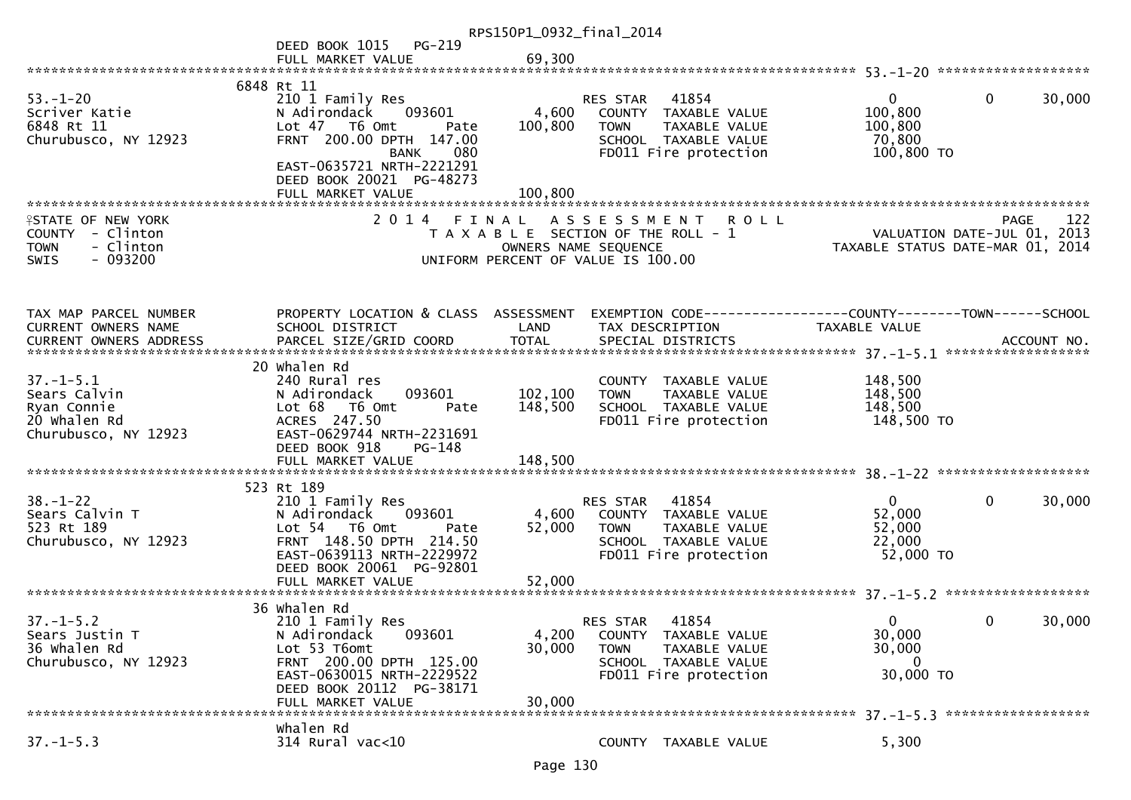|                                                                                               |                                                                                                                                                                                             | RPS150P1_0932_final_2014      |                                                                                                                                             |                                                                               |                        |
|-----------------------------------------------------------------------------------------------|---------------------------------------------------------------------------------------------------------------------------------------------------------------------------------------------|-------------------------------|---------------------------------------------------------------------------------------------------------------------------------------------|-------------------------------------------------------------------------------|------------------------|
|                                                                                               | PG-219<br>DEED BOOK 1015                                                                                                                                                                    |                               |                                                                                                                                             |                                                                               |                        |
|                                                                                               | FULL MARKET VALUE                                                                                                                                                                           | 69,300                        |                                                                                                                                             |                                                                               |                        |
| $53. - 1 - 20$<br>Scriver Katie<br>6848 Rt 11<br>Churubusco, NY 12923                         | 6848 Rt 11<br>210 1 Family Res<br>N Adirondack<br>093601<br>Lot 47 T6 Omt<br>Pate<br>FRNT 200.00 DPTH 147.00<br>080<br><b>BANK</b><br>EAST-0635721 NRTH-2221291<br>DEED BOOK 20021 PG-48273 | 4,600<br>100,800              | 41854<br><b>RES STAR</b><br>COUNTY TAXABLE VALUE<br>TAXABLE VALUE<br><b>TOWN</b><br>SCHOOL TAXABLE VALUE<br>FD011 Fire protection           | $\mathbf{0}$<br>100,800<br>100,800<br>70,800<br>100,800 TO                    | $\mathbf{0}$<br>30,000 |
|                                                                                               | FULL MARKET VALUE                                                                                                                                                                           | 100,800                       |                                                                                                                                             |                                                                               |                        |
| <b>ISTATE OF NEW YORK</b><br>COUNTY - Clinton<br>- Clinton<br><b>TOWN</b><br>SWIS<br>- 093200 |                                                                                                                                                                                             |                               | 2014 FINAL ASSESSMENT<br><b>ROLL</b><br>T A X A B L E SECTION OF THE ROLL - 1<br>OWNERS NAME SEQUENCE<br>UNIFORM PERCENT OF VALUE IS 100.00 | VALUATION DATE-JUL 01, 2013<br>TAXABLE STATUS DATE-MAR 01, 2014               | 122<br><b>PAGE</b>     |
| TAX MAP PARCEL NUMBER<br>CURRENT OWNERS NAME<br>CURRENT OWNERS ADDRESS                        | PROPERTY LOCATION & CLASS ASSESSMENT<br>SCHOOL DISTRICT                                                                                                                                     | LAND                          | TAX DESCRIPTION                                                                                                                             | EXEMPTION CODE-----------------COUNTY-------TOWN------SCHOOL<br>TAXABLE VALUE |                        |
| $37. - 1 - 5.1$<br>Sears Calvin<br>Ryan Connie<br>20 Whalen Rd<br>Churubusco, NY 12923        | 20 Whalen Rd<br>240 Rural res<br>N Adirondack<br>093601<br>Lot 68 T6 Omt<br>Pate<br>ACRES 247.50<br>EAST-0629744 NRTH-2231691<br>DEED BOOK 918<br>PG-148<br>FULL MARKET VALUE               | 102,100<br>148,500<br>148,500 | COUNTY TAXABLE VALUE<br>TAXABLE VALUE<br><b>TOWN</b><br>SCHOOL TAXABLE VALUE<br>FD011 Fire protection                                       | 148,500<br>148,500<br>148,500<br>148,500 TO                                   |                        |
|                                                                                               | 523 Rt 189                                                                                                                                                                                  |                               |                                                                                                                                             |                                                                               |                        |
| $38 - 1 - 22$<br>Sears Calvin T<br>523 Rt 189<br>Churubusco, NY 12923                         | 210 1 Family Res<br>N Adirondack<br>093601<br>Lot 54 T6 Omt<br>Pate<br>FRNT 148.50 DPTH 214.50<br>EAST-0639113 NRTH-2229972<br>DEED BOOK 20061 PG-92801                                     | 4,600<br>52,000               | 41854<br><b>RES STAR</b><br>COUNTY TAXABLE VALUE<br><b>TOWN</b><br>TAXABLE VALUE<br>SCHOOL TAXABLE VALUE<br>FD011 Fire protection           | $\mathbf{0}$<br>52,000<br>52,000<br>22,000<br>52,000 TO                       | $\mathbf{0}$<br>30,000 |
|                                                                                               | 36 Whalen Rd                                                                                                                                                                                |                               |                                                                                                                                             |                                                                               |                        |
| $37. - 1 - 5.2$<br>Sears Justin T<br>36 Whalen Rd<br>Churubusco, NY 12923                     | 210 1 Family Res<br>093601<br>N Adirondack<br>Lot 53 T6omt<br>FRNT 200.00 DPTH 125.00<br>EAST-0630015 NRTH-2229522<br>DEED BOOK 20112 PG-38171<br>FULL MARKET VALUE                         | 4,200<br>30,000<br>30,000     | 41854<br>RES STAR<br>COUNTY TAXABLE VALUE<br>TAXABLE VALUE<br><b>TOWN</b><br>SCHOOL TAXABLE VALUE<br>FD011 Fire protection                  | $\Omega$<br>30,000<br>30,000<br>0<br>30,000 TO                                | 30,000<br>0            |
|                                                                                               | Whalen Rd                                                                                                                                                                                   |                               |                                                                                                                                             |                                                                               |                        |
| $37. - 1 - 5.3$                                                                               | 314 Rural vac<10                                                                                                                                                                            |                               | COUNTY TAXABLE VALUE                                                                                                                        | 5,300                                                                         |                        |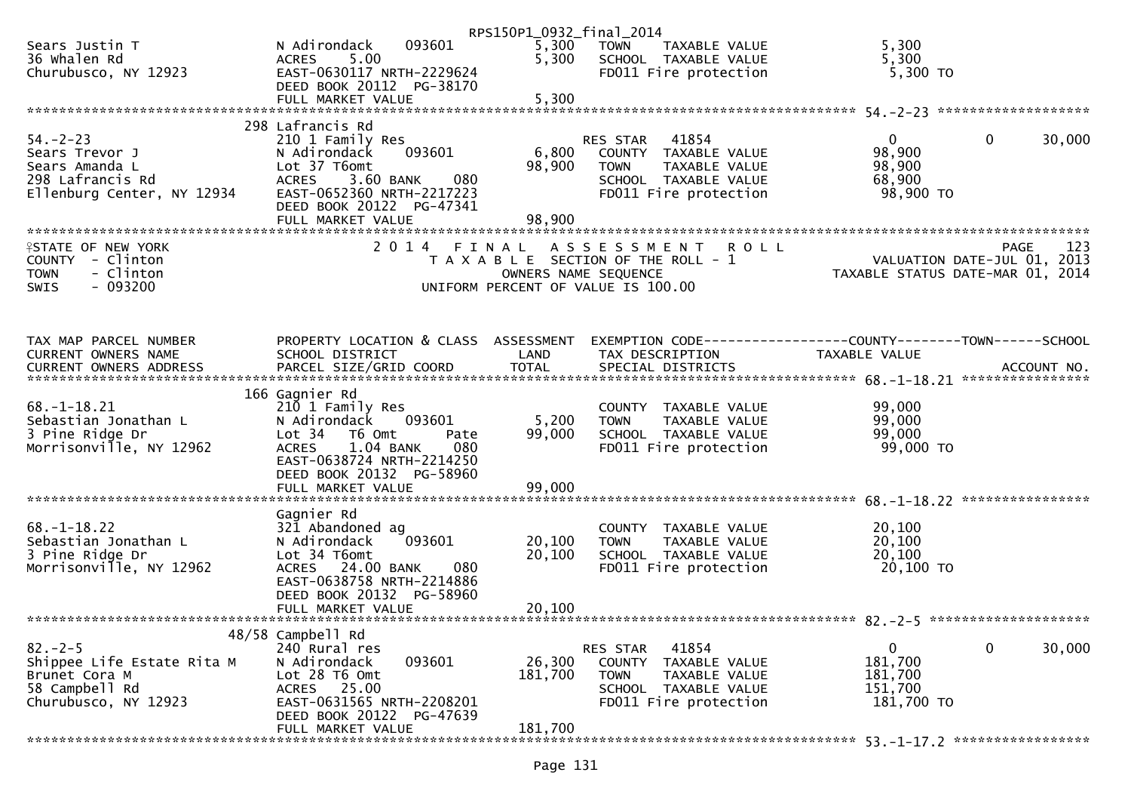|                                                |                                                       | RPS150P1_0932_final_2014 |                                                                             |                                  |                        |
|------------------------------------------------|-------------------------------------------------------|--------------------------|-----------------------------------------------------------------------------|----------------------------------|------------------------|
| Sears Justin T<br>36 Whalen Rd                 | 093601<br>N Adirondack<br><b>ACRES</b><br>5.00        | 5,300<br>5,300           | <b>TOWN</b><br>TAXABLE VALUE<br>SCHOOL TAXABLE VALUE                        | 5,300<br>5,300                   |                        |
| Churubusco, NY 12923                           | EAST-0630117 NRTH-2229624<br>DEED BOOK 20112 PG-38170 |                          | FD011 Fire protection                                                       | $5,300$ TO                       |                        |
|                                                | FULL MARKET VALUE                                     | 5,300                    |                                                                             |                                  |                        |
|                                                | 298 Lafrancis Rd                                      |                          |                                                                             |                                  |                        |
| $54. - 2 - 23$<br>Sears Trevor J               | 210 1 Family Res<br>093601<br>N Adirondack            | 6,800                    | RES STAR<br>41854<br>COUNTY TAXABLE VALUE                                   | $\mathbf{0}$<br>98,900           | 0<br>30,000            |
| Sears Amanda L                                 | Lot 37 T6omt<br><b>ACRES</b>                          | 98,900                   | TAXABLE VALUE<br><b>TOWN</b>                                                | 98,900                           |                        |
| 298 Lafrancis Rd<br>Ellenburg Center, NY 12934 | 3.60 BANK<br>080<br>EAST-0652360 NRTH-2217223         |                          | SCHOOL TAXABLE VALUE<br>FD011 Fire protection                               | 68,900<br>98,900 TO              |                        |
|                                                | DEED BOOK 20122 PG-47341<br>FULL MARKET VALUE         | 98,900                   |                                                                             |                                  |                        |
|                                                |                                                       |                          |                                                                             |                                  |                        |
| <b>ISTATE OF NEW YORK</b><br>COUNTY - Clinton  | 2 0 1 4                                               | FINAL                    | <b>ROLL</b><br>A S S E S S M E N T<br>T A X A B L E SECTION OF THE ROLL - 1 | VALUATION DATE-JUL 01, 2013      | <b>PAGE</b><br>123     |
| - Clinton<br><b>TOWN</b>                       |                                                       | OWNERS NAME SEQUENCE     |                                                                             | TAXABLE STATUS DATE-MAR 01, 2014 |                        |
| $-093200$<br><b>SWIS</b>                       |                                                       |                          | UNIFORM PERCENT OF VALUE IS 100.00                                          |                                  |                        |
|                                                |                                                       |                          |                                                                             |                                  |                        |
| TAX MAP PARCEL NUMBER                          | PROPERTY LOCATION & CLASS ASSESSMENT                  |                          | EXEMPTION CODE-----------------COUNTY-------TOWN------SCHOOL                |                                  |                        |
| <b>CURRENT OWNERS NAME</b>                     | SCHOOL DISTRICT                                       | LAND                     | TAX DESCRIPTION                                                             | TAXABLE VALUE                    |                        |
|                                                |                                                       |                          |                                                                             |                                  |                        |
| $68. - 1 - 18.21$                              | 166 Gagnier Rd<br>210 1 Family Res                    |                          | COUNTY                                                                      | 99,000                           |                        |
| Sebastian Jonathan L                           | N Adirondack<br>093601                                | 5,200                    | TAXABLE VALUE<br>TAXABLE VALUE<br><b>TOWN</b>                               | 99,000                           |                        |
| 3 Pine Ridge Dr<br>Morrisonville, NY 12962     | Lot 34 T6 Omt<br>Pate<br>1.04 BANK<br>080             | 99,000                   | SCHOOL TAXABLE VALUE                                                        | 99,000                           |                        |
|                                                | <b>ACRES</b><br>EAST-0638724 NRTH-2214250             |                          | FD011 Fire protection                                                       | 99,000 TO                        |                        |
|                                                | DEED BOOK 20132 PG-58960                              |                          |                                                                             |                                  |                        |
|                                                |                                                       |                          |                                                                             |                                  |                        |
| $68. - 1 - 18.22$                              | Gagnier Rd<br>321 Abandoned ag                        |                          | <b>COUNTY</b><br>TAXABLE VALUE                                              | 20,100                           |                        |
| Sebastian Jonathan L                           | 093601<br>N Adirondack                                | 20,100                   | TAXABLE VALUE<br><b>TOWN</b>                                                | 20,100                           |                        |
| 3 Pine Ridge Dr<br>Morrisonville, NY 12962     | Lot 34 T6omt<br>24.00 BANK<br>080<br><b>ACRES</b>     | 20,100                   | SCHOOL TAXABLE VALUE<br>FD011 Fire protection                               | 20,100<br>20,100 TO              |                        |
|                                                | EAST-0638758 NRTH-2214886                             |                          |                                                                             |                                  |                        |
|                                                | DEED BOOK 20132 PG-58960<br>FULL MARKET VALUE         | 20,100                   |                                                                             |                                  |                        |
|                                                |                                                       |                          |                                                                             |                                  |                        |
| $82 - 2 - 5$                                   | 48/58 Campbell Rd<br>240 Rural res                    |                          | 41854<br>RES STAR                                                           | 0                                | $\mathbf{0}$<br>30,000 |
| Shippee Life Estate Rita M                     | 093601<br>N Adirondack                                | 26,300                   | <b>COUNTY</b><br>TAXABLE VALUE                                              | 181,700                          |                        |
| Brunet Cora M<br>58 Campbell Rd                | Lot 28 T6 Omt<br>25.00<br>ACRES                       | 181,700                  | <b>TOWN</b><br>TAXABLE VALUE<br><b>SCHOOL</b><br>TAXABLE VALUE              | 181,700<br>151,700               |                        |
| Churubusco, NY 12923                           | EAST-0631565 NRTH-2208201                             |                          | FD011 Fire protection                                                       | 181,700 TO                       |                        |
|                                                | DEED BOOK 20122 PG-47639<br>FULL MARKET VALUE         | 181,700                  |                                                                             |                                  |                        |
|                                                |                                                       |                          |                                                                             |                                  |                        |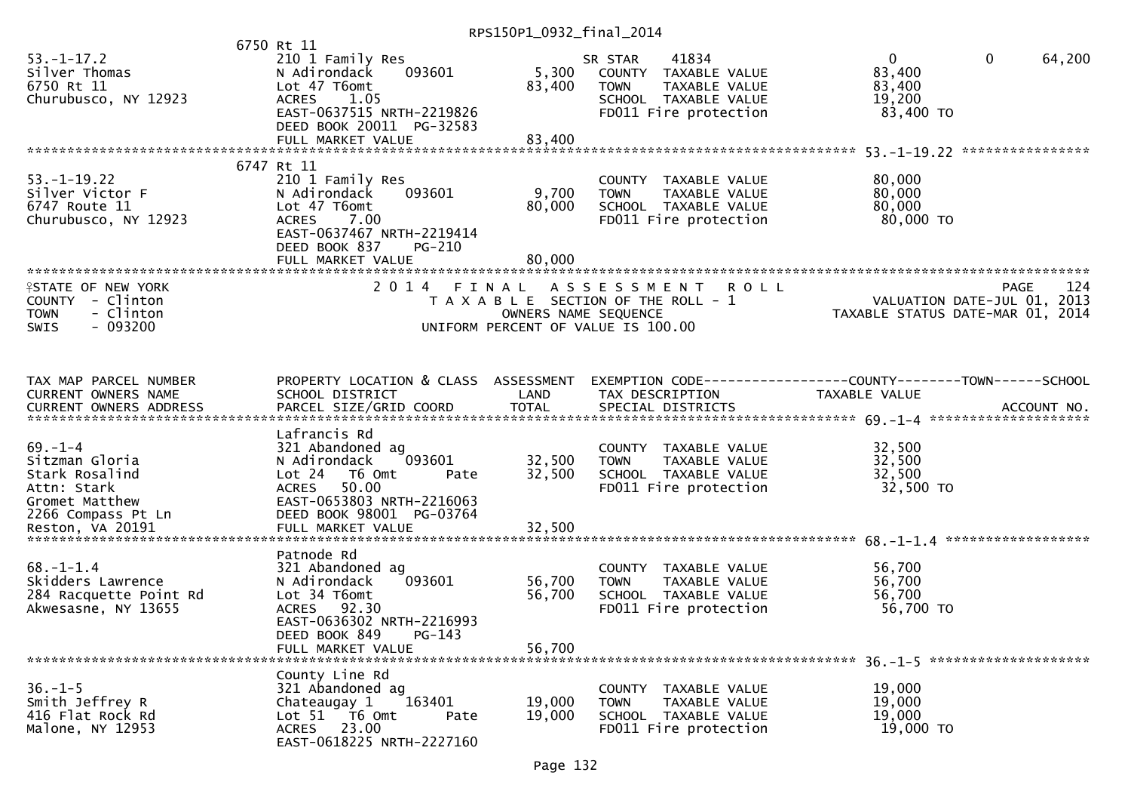|                                                                                                    |                                                                                                                                                                        | RPS150P1_0932_final_2014   |                                                                                                                          |                                                                 |                        |
|----------------------------------------------------------------------------------------------------|------------------------------------------------------------------------------------------------------------------------------------------------------------------------|----------------------------|--------------------------------------------------------------------------------------------------------------------------|-----------------------------------------------------------------|------------------------|
| $53. - 1 - 17.2$<br>Silver Thomas<br>6750 Rt 11<br>Churubusco, NY 12923                            | 6750 Rt 11<br>210 1 Family Res<br>093601<br>N Adirondack<br>Lot 47 T6omt<br><b>ACRES</b><br>1.05<br>EAST-0637515 NRTH-2219826<br>DEED BOOK 20011 PG-32583              | 83,400                     | 41834<br>SR STAR<br>5,300 COUNTY TAXABLE VALUE<br>TAXABLE VALUE<br>TOWN<br>SCHOOL TAXABLE VALUE<br>FD011 Fire protection | $\overline{0}$<br>83,400<br>83,400<br>19,200<br>83,400 TO       | 64,200<br>$\mathbf{0}$ |
|                                                                                                    | FULL MARKET VALUE                                                                                                                                                      | 83,400                     |                                                                                                                          |                                                                 |                        |
| $53. - 1 - 19.22$<br>Silver Victor F<br>6747 Route 11<br>Churubusco, NY 12923                      | 6747 Rt 11<br>210 1 Family Res<br>N Adirondack<br>093601<br>Lot 47 T6omt<br>ACRES<br>7.00<br>EAST-0637467 NRTH-2219414<br>DEED BOOK 837<br>PG-210<br>FULL MARKET VALUE | 9,700<br>80,000<br>80,000  | COUNTY TAXABLE VALUE<br><b>TOWN</b><br>TAXABLE VALUE<br>SCHOOL TAXABLE VALUE<br>FD011 Fire protection                    | 80,000<br>80,000<br>80,000<br>80,000 TO                         |                        |
| <b>ISTATE OF NEW YORK</b><br>COUNTY - Clinton<br>TOWN<br>- Clinton<br>- 093200<br>SWIS             |                                                                                                                                                                        | OWNERS NAME SEQUENCE       | 2014 FINAL ASSESSMENT ROLL<br>T A X A B L E SECTION OF THE ROLL - 1<br>UNIFORM PERCENT OF VALUE IS 100.00                | VALUATION DATE-JUL 01, 2013<br>TAXABLE STATUS DATE-MAR 01, 2014 | 124<br>PAGE            |
| TAX MAP PARCEL NUMBER<br>CURRENT OWNERS NAME                                                       | PROPERTY LOCATION & CLASS ASSESSMENT<br>SCHOOL DISTRICT                                                                                                                | LAND                       | EXEMPTION CODE-----------------COUNTY--------TOWN------SCHOOL<br>TAX DESCRIPTION                                         | TAXABLE VALUE                                                   |                        |
| 69.-1-4<br>Sitzman Gloria<br>Stark Rosalind<br>Attn: Stark<br>Gromet Matthew<br>2266 Compass Pt Ln | Lafrancis Rd<br>321 Abandoned ag<br>N Adirondack<br>093601<br>Lot 24 T6 Omt<br>Pate<br>ACRES 50.00<br>EAST-0653803 NRTH-2216063<br>DEED BOOK 98001 PG-03764            | 32,500<br>32,500           | COUNTY TAXABLE VALUE<br>TAXABLE VALUE<br><b>TOWN</b><br>SCHOOL TAXABLE VALUE<br>FD011 Fire protection                    | 32,500<br>32,500<br>32,500<br>32,500 TO                         |                        |
| $68. - 1 - 1.4$<br>Skidders Lawrence<br>284 Racquette Point Rd<br>Akwesasne, NY 13655              | Patnode Rd<br>321 Abandoned ag<br>093601<br>N Adirondack<br>Lot 34 T6omt<br>ACRES 92.30<br>EAST-0636302 NRTH-2216993<br>$PG-143$<br>DEED BOOK 849<br>FULL MARKET VALUE | 56,700<br>56,700<br>56,700 | COUNTY TAXABLE VALUE<br>TAXABLE VALUE<br><b>TOWN</b><br>SCHOOL TAXABLE VALUE<br>FD011 Fire protection                    | 56,700<br>56,700<br>56,700<br>56,700 TO                         |                        |
| $36. - 1 - 5$<br>Smith Jeffrey R<br>416 Flat Rock Rd<br>Malone, NY 12953                           | County Line Rd<br>321 Abandoned ag<br>163401<br>Chateaugay 1<br>Lot 51 76 0mt<br>Pate<br>ACRES 23.00<br>EAST-0618225 NRTH-2227160                                      | 19,000<br>19,000           | COUNTY<br>TAXABLE VALUE<br>TAXABLE VALUE<br><b>TOWN</b><br>SCHOOL TAXABLE VALUE<br>FD011 Fire protection                 | 19,000<br>19,000<br>19,000<br>19,000 TO                         |                        |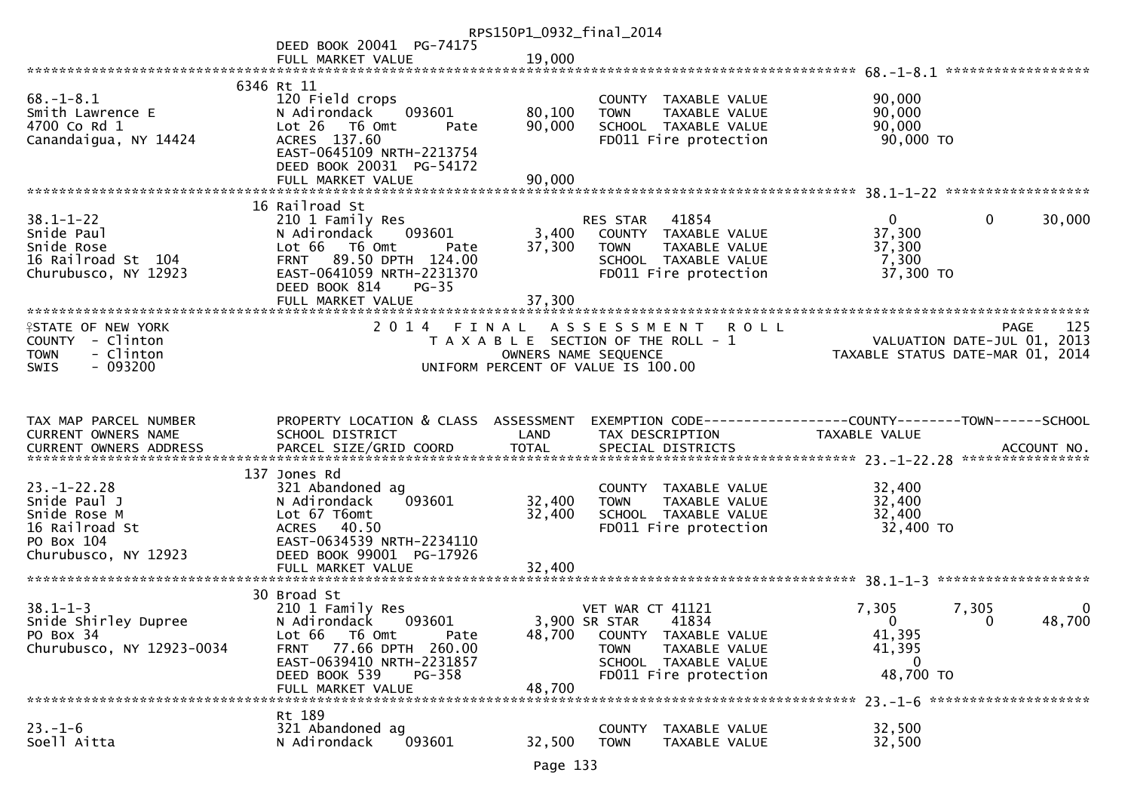|                                                                                                       |                                                                                                                                                                                                 | RPS150P1_0932_final_2014  |                                                                                                                                                            |                                                                                             |
|-------------------------------------------------------------------------------------------------------|-------------------------------------------------------------------------------------------------------------------------------------------------------------------------------------------------|---------------------------|------------------------------------------------------------------------------------------------------------------------------------------------------------|---------------------------------------------------------------------------------------------|
|                                                                                                       | DEED BOOK 20041 PG-74175                                                                                                                                                                        |                           |                                                                                                                                                            |                                                                                             |
|                                                                                                       | FULL MARKET VALUE                                                                                                                                                                               | 19,000                    |                                                                                                                                                            |                                                                                             |
|                                                                                                       | 6346 Rt 11                                                                                                                                                                                      |                           |                                                                                                                                                            |                                                                                             |
| $68. - 1 - 8.1$<br>Smith Lawrence E<br>4700 Co Rd 1<br>Canandaigua, NY 14424                          | 120 Field crops<br>N Adirondack<br>093601<br>Lot 26 T6 Omt<br>Pate<br>ACRES 137.60<br>EAST-0645109 NRTH-2213754<br>DEED BOOK 20031 PG-54172                                                     | 80,100<br>90,000          | COUNTY TAXABLE VALUE<br>TAXABLE VALUE<br><b>TOWN</b><br>SCHOOL TAXABLE VALUE<br>FD011 Fire protection                                                      | 90,000<br>90,000<br>90,000<br>90,000 TO                                                     |
|                                                                                                       |                                                                                                                                                                                                 |                           |                                                                                                                                                            |                                                                                             |
|                                                                                                       | 16 Railroad St                                                                                                                                                                                  |                           |                                                                                                                                                            |                                                                                             |
| $38.1 - 1 - 22$<br>Snide Paul<br>Snide Rose<br>16 Railroad St 104<br>Churubusco, NY 12923             | 210 1 Family Res<br>093601<br>N Adirondack<br>Lot 66 T6 Omt<br>Pate<br><b>FRNT</b><br>89.50 DPTH 124.00<br>EAST-0641059 NRTH-2231370<br>DEED BOOK 814<br>$PG-35$<br>FULL MARKET VALUE           | 3,400<br>37,300<br>37,300 | RES STAR<br>41854<br>COUNTY TAXABLE VALUE<br>TAXABLE VALUE<br><b>TOWN</b><br>SCHOOL TAXABLE VALUE<br>FD011 Fire protection                                 | 30,000<br>$\mathbf{0}$<br>0<br>37,300<br>37,300<br>7,300<br>37,300 TO                       |
|                                                                                                       |                                                                                                                                                                                                 |                           |                                                                                                                                                            |                                                                                             |
| <b>ISTATE OF NEW YORK</b><br>COUNTY - Clinton<br>- Clinton<br><b>TOWN</b><br>$-093200$<br><b>SWIS</b> | 2014 FINAL                                                                                                                                                                                      |                           | ASSESSMENT ROLL<br>T A X A B L E SECTION OF THE ROLL - 1<br>OWNERS NAME SEQUENCE<br>UNIFORM PERCENT OF VALUE IS 100.00                                     | 125<br><b>PAGE</b><br>VALUATION DATE-JUL 01, 2013<br>TAXABLE STATUS DATE-MAR 01, 2014       |
|                                                                                                       |                                                                                                                                                                                                 |                           |                                                                                                                                                            |                                                                                             |
| TAX MAP PARCEL NUMBER<br>CURRENT OWNERS NAME                                                          | PROPERTY LOCATION & CLASS ASSESSMENT<br>SCHOOL DISTRICT                                                                                                                                         | LAND                      | TAX DESCRIPTION                                                                                                                                            | EXEMPTION CODE-----------------COUNTY--------TOWN------SCHOOL<br>TAXABLE VALUE              |
|                                                                                                       |                                                                                                                                                                                                 |                           |                                                                                                                                                            | ACCOUNT NO.                                                                                 |
|                                                                                                       | 137 Jones Rd                                                                                                                                                                                    |                           |                                                                                                                                                            | ****************                                                                            |
| $23. - 1 - 22.28$<br>Snide Paul J<br>Snide Rose M<br>16 Railroad St<br>PO Box 104                     | 321 Abandoned ag<br>093601<br>N Adirondack<br>Lot 67 T6omt<br>ACRES 40.50<br>EAST-0634539 NRTH-2234110                                                                                          | 32,400<br>32,400          | COUNTY TAXABLE VALUE<br>TAXABLE VALUE<br><b>TOWN</b><br>SCHOOL TAXABLE VALUE<br>FD011 Fire protection                                                      | 32,400<br>32,400<br>32,400<br>32,400 TO                                                     |
| Churubusco, NY 12923                                                                                  | DEED BOOK 99001 PG-17926                                                                                                                                                                        |                           |                                                                                                                                                            |                                                                                             |
|                                                                                                       | FULL MARKET VALUE                                                                                                                                                                               | 32,400                    |                                                                                                                                                            |                                                                                             |
| $38.1 - 1 - 3$<br>Snide Shirley Dupree<br>PO Box 34<br>Churubusco, NY 12923-0034                      | 30 Broad St<br>210 1 Family Res<br>093601<br>N Adirondack<br>Lot 66<br>T6 Omt<br>Pate<br>77.66 DPTH 260.00<br>FRNT<br>EAST-0639410 NRTH-2231857<br>DEED BOOK 539<br>PG-358<br>FULL MARKET VALUE | 48,700<br>48,700          | <b>VET WAR CT 41121</b><br>3,900 SR STAR<br>41834<br>COUNTY TAXABLE VALUE<br>TAXABLE VALUE<br><b>TOWN</b><br>SCHOOL TAXABLE VALUE<br>FD011 Fire protection | 7,305<br>7,305<br>0<br>$\Omega$<br>48,700<br>$\Omega$<br>41,395<br>41,395<br>0<br>48,700 TO |
|                                                                                                       | Rt 189                                                                                                                                                                                          |                           |                                                                                                                                                            |                                                                                             |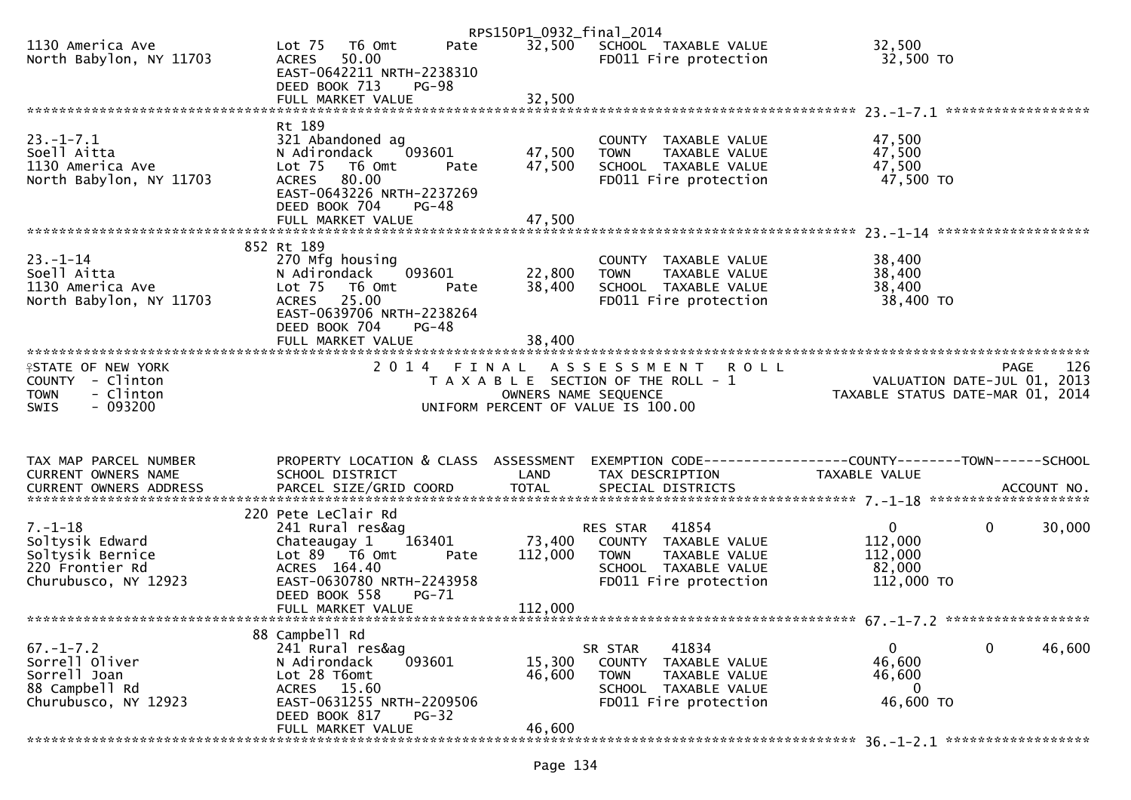|                                              |                                                       | RPS150P1_0932_final_2014 |                                                      |                                                                     |        |
|----------------------------------------------|-------------------------------------------------------|--------------------------|------------------------------------------------------|---------------------------------------------------------------------|--------|
| 1130 America Ave<br>North Babylon, NY 11703  | Lot 75  T6 0mt<br>Pate<br>50.00<br><b>ACRES</b>       | 32,500                   | SCHOOL TAXABLE VALUE<br>FD011 Fire protection        | 32,500<br>32,500 TO                                                 |        |
|                                              | EAST-0642211 NRTH-2238310<br>DEED BOOK 713<br>$PG-98$ |                          |                                                      |                                                                     |        |
|                                              | FULL MARKET VALUE                                     | 32,500                   |                                                      |                                                                     |        |
|                                              |                                                       |                          |                                                      |                                                                     |        |
| $23. - 1 - 7.1$                              | Rt 189<br>321 Abandoned ag                            |                          | COUNTY TAXABLE VALUE                                 | 47,500                                                              |        |
| Soell Aitta                                  | 093601<br>N Adirondack                                | 47,500                   | <b>TOWN</b><br>TAXABLE VALUE                         | 47,500                                                              |        |
| 1130 America Ave<br>North Babylon, NY 11703  | Lot 75 T6 Omt<br>Pate<br>80.00<br><b>ACRES</b>        | 47,500                   | SCHOOL TAXABLE VALUE<br>FD011 Fire protection        | 47,500<br>47,500 TO                                                 |        |
|                                              | EAST-0643226 NRTH-2237269                             |                          |                                                      |                                                                     |        |
|                                              | DEED BOOK 704<br>$PG-48$                              |                          |                                                      |                                                                     |        |
|                                              |                                                       |                          |                                                      |                                                                     |        |
|                                              | 852 Rt 189                                            |                          |                                                      |                                                                     |        |
| $23 - 1 - 14$                                | 270 Mfg housing                                       |                          | COUNTY TAXABLE VALUE                                 | 38,400                                                              |        |
| Soell Aitta<br>1130 America Ave              | N Adirondack<br>093601<br>Lot 75 T6 Omt<br>Pate       | 22,800<br>38,400         | TAXABLE VALUE<br><b>TOWN</b><br>SCHOOL TAXABLE VALUE | 38,400<br>38,400                                                    |        |
| North Babylon, NY 11703                      | ACRES 25.00                                           |                          | FD011 Fire protection                                | 38,400 TO                                                           |        |
|                                              | EAST-0639706 NRTH-2238264                             |                          |                                                      |                                                                     |        |
|                                              | DEED BOOK 704<br>$PG-48$                              |                          |                                                      |                                                                     |        |
|                                              |                                                       |                          |                                                      |                                                                     |        |
| <b>ISTATE OF NEW YORK</b>                    |                                                       |                          | 2014 FINAL ASSESSMENT ROLL                           | PAGE 126<br>VALUATION DATE-JUL 01, 2013<br>TAXABLE STATIS BATE 2013 |        |
| COUNTY - Clinton<br>- Clinton<br><b>TOWN</b> |                                                       | OWNERS NAME SEQUENCE     | T A X A B L E SECTION OF THE ROLL - 1                | TAXABLE STATUS DATE-MAR 01, 2014                                    |        |
| $-093200$<br><b>SWIS</b>                     |                                                       |                          | UNIFORM PERCENT OF VALUE IS 100.00                   |                                                                     |        |
|                                              |                                                       |                          |                                                      |                                                                     |        |
|                                              |                                                       |                          |                                                      |                                                                     |        |
| TAX MAP PARCEL NUMBER                        | PROPERTY LOCATION & CLASS ASSESSMENT                  |                          |                                                      | EXEMPTION CODE-----------------COUNTY--------TOWN------SCHOOL       |        |
|                                              |                                                       |                          |                                                      |                                                                     |        |
| CURRENT OWNERS NAME                          | SCHOOL DISTRICT                                       | LAND                     | TAX DESCRIPTION                                      | <b>TAXABLE VALUE</b>                                                |        |
|                                              |                                                       |                          |                                                      |                                                                     |        |
|                                              | 220 Pete LeClair Rd                                   |                          |                                                      |                                                                     |        |
| $7. - 1 - 18$                                | 241 Rural res&ag                                      |                          | 41854<br>RES STAR                                    | $\mathbf{0}$<br>$\overline{0}$                                      | 30,000 |
| Soltysik Edward<br>Soltysik Bernice          | 163401<br>Chateaugay 1<br>Lot 89 T6 Omt<br>Pate       | 73,400<br>112,000        | COUNTY TAXABLE VALUE<br><b>TOWN</b><br>TAXABLE VALUE | 112,000<br>112,000                                                  |        |
| 220 Frontier Rd                              | ACRES 164.40                                          |                          | SCHOOL TAXABLE VALUE                                 | 82,000                                                              |        |
| Churubusco, NY 12923                         | EAST-0630780 NRTH-2243958                             |                          | FD011 Fire protection                                | 112,000 TO                                                          |        |
|                                              | DEED BOOK 558<br>PG-71<br>FULL MARKET VALUE           | 112,000                  |                                                      |                                                                     |        |
|                                              |                                                       |                          |                                                      |                                                                     |        |
| $67. - 1 - 7.2$                              | 88 Campbell Rd                                        |                          |                                                      | $\mathbf{0}$                                                        |        |
| Sorrell Oliver                               | 241 Rural res&ag<br>093601<br>N Adirondack            | 15,300                   | 41834<br>SR STAR<br>COUNTY<br>TAXABLE VALUE          | $\mathbf 0$<br>46,600                                               | 46,600 |
| Sorrell Joan                                 | Lot 28 T6omt                                          | 46,600                   | <b>TOWN</b><br>TAXABLE VALUE                         | 46,600                                                              |        |
| 88 Campbell Rd<br>Churubusco, NY 12923       | ACRES 15.60<br>EAST-0631255 NRTH-2209506              |                          | SCHOOL TAXABLE VALUE                                 | $\mathbf{0}$                                                        |        |
|                                              | DEED BOOK 817<br>$PG-32$<br>FULL MARKET VALUE         | 46,600                   | FD011 Fire protection                                | 46,600 TO                                                           |        |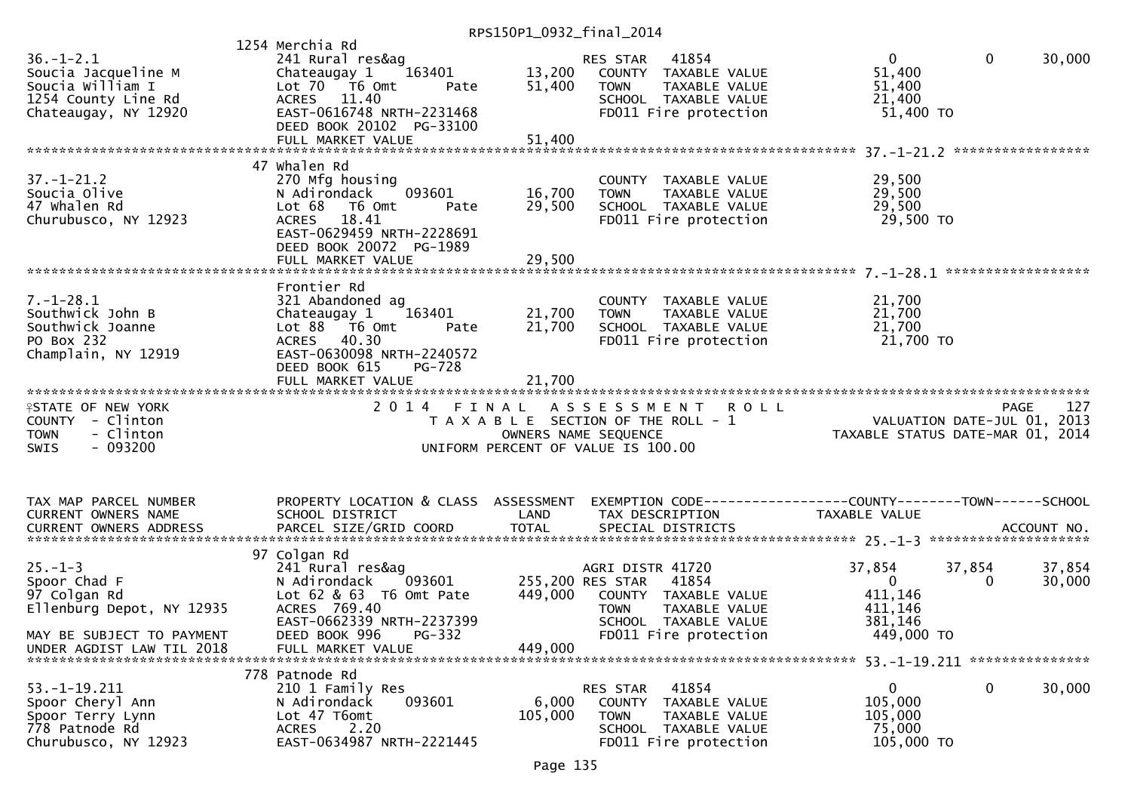RPS150P1\_0932\_final\_2014

| $36. - 1 - 2.1$<br>Soucia Jacqueline M<br>Soucia William I<br>1254 County Line Rd<br>Chateaugay, NY 12920                            | 1254 Merchia Rd<br>241 Rural res&ag<br>163401<br>Chateaugay 1<br>Lot 70 T6 Omt<br>Pate<br>ACRES 11.40<br>EAST-0616748 NRTH-2231468<br>DEED BOOK 20102 PG-33100<br>FULL MARKET VALUE | 13,200<br>51,400<br>51,400 | 41854<br>RES STAR<br>COUNTY TAXABLE VALUE<br>TAXABLE VALUE<br><b>TOWN</b><br>SCHOOL TAXABLE VALUE<br>FD011 Fire protection                             | $\mathbf{0}$<br>51,400<br>51,400<br>21,400<br>51,400 TO                 | $\mathbf{0}$ | 30,000           |
|--------------------------------------------------------------------------------------------------------------------------------------|-------------------------------------------------------------------------------------------------------------------------------------------------------------------------------------|----------------------------|--------------------------------------------------------------------------------------------------------------------------------------------------------|-------------------------------------------------------------------------|--------------|------------------|
|                                                                                                                                      | 47 Whalen Rd                                                                                                                                                                        |                            |                                                                                                                                                        |                                                                         |              |                  |
| $37. - 1 - 21.2$<br>Soucia Olive<br>47 Whalen Rd<br>Churubusco, NY 12923                                                             | 270 Mfg housing<br>093601<br>N Adirondack<br>Lot 68 T6 Omt<br>Pate<br>ACRES 18.41<br>EAST-0629459 NRTH-2228691<br>DEED BOOK 20072 PG-1989                                           | 16,700<br>29,500           | COUNTY TAXABLE VALUE<br><b>TOWN</b><br>TAXABLE VALUE<br>SCHOOL TAXABLE VALUE<br>FD011 Fire protection                                                  | 29,500<br>29,500<br>29,500<br>29,500 TO                                 |              |                  |
|                                                                                                                                      | FULL MARKET VALUE                                                                                                                                                                   | 29,500                     |                                                                                                                                                        |                                                                         |              |                  |
| $7. - 1 - 28.1$<br>Southwick John B<br>Southwick Joanne<br>PO Box 232<br>Champlain, NY 12919                                         | Frontier Rd<br>321 Abandoned ag<br>163401<br>Chateaugay 1<br>Lot 88 T6 Omt<br>Pate<br>ACRES 40.30<br>EAST-0630098 NRTH-2240572<br>DEED BOOK 615<br>PG-728                           | 21,700<br>21,700           | COUNTY TAXABLE VALUE<br><b>TOWN</b><br>TAXABLE VALUE<br>SCHOOL TAXABLE VALUE<br>FD011 Fire protection                                                  | 21,700<br>21,700<br>21,700<br>21,700 TO                                 |              |                  |
|                                                                                                                                      | FULL MARKET VALUE                                                                                                                                                                   | 21,700                     |                                                                                                                                                        |                                                                         |              |                  |
| <b>ISTATE OF NEW YORK</b><br>COUNTY - Clinton<br>- Clinton<br><b>TOWN</b><br>$-093200$<br><b>SWIS</b>                                | 2 0 1 4<br>FINAL                                                                                                                                                                    |                            | <b>ROLL</b><br>A S S E S S M E N T<br>T A X A B L E SECTION OF THE ROLL - 1<br>OWNERS NAME SEQUENCE<br>UNIFORM PERCENT OF VALUE IS 100.00              | VALUATION DATE-JUL 01, 2013<br>TAXABLE STATUS DATE-MAR 01, 2014         | <b>PAGE</b>  | 127              |
| TAX MAP PARCEL NUMBER<br>CURRENT OWNERS NAME                                                                                         | PROPERTY LOCATION & CLASS ASSESSMENT<br>SCHOOL DISTRICT                                                                                                                             | LAND                       | EXEMPTION CODE------------------COUNTY--------TOWN------SCHOOL<br>TAX DESCRIPTION                                                                      | TAXABLE VALUE                                                           |              |                  |
| CURRENT OWNERS ADDRESS                                                                                                               | PARCEL SIZE/GRID COORD                                                                                                                                                              | <b>TOTAL</b>               | SPECIAL DISTRICTS                                                                                                                                      |                                                                         |              | ACCOUNT NO.      |
| $25. - 1 - 3$<br>Spoor Chad F<br>97 Colgan Rd<br>Ellenburg Depot, NY 12935<br>MAY BE SUBJECT TO PAYMENT<br>UNDER AGDIST LAW TIL 2018 | 97 Colgan Rd<br>241 Rural res&ag<br>N Adirondack<br>093601<br>Lot 62 & 63 T6 Omt Pate<br>ACRES 769.40<br>EAST-0662339 NRTH-2237399<br>DEED BOOK 996<br>PG-332<br>FULL MARKET VALUE  | 449,000<br>449,000         | AGRI DISTR 41720<br>255,200 RES STAR<br>41854<br>COUNTY TAXABLE VALUE<br>TAXABLE VALUE<br><b>TOWN</b><br>SCHOOL TAXABLE VALUE<br>FD011 Fire protection | 37,854<br>$\overline{0}$<br>411,146<br>411,146<br>381,146<br>449,000 TO | 37,854<br>0  | 37,854<br>30,000 |
|                                                                                                                                      |                                                                                                                                                                                     |                            |                                                                                                                                                        |                                                                         |              |                  |
| $53. -1 - 19.211$<br>Spoor Cheryl Ann<br>Spoor Terry Lynn<br>778 Patnode Rd<br>Churubusco, NY 12923                                  | 778 Patnode Rd<br>210 1 Family Res<br>N Adirondack<br>093601<br>Lot 47 T6omt<br><b>ACRES</b><br>2.20<br>EAST-0634987 NRTH-2221445                                                   | 6,000<br>105,000           | 41854<br>RES STAR<br>COUNTY<br>TAXABLE VALUE<br><b>TOWN</b><br>TAXABLE VALUE<br>SCHOOL TAXABLE VALUE                                                   | $\mathbf 0$<br>105,000<br>105,000<br>75,000<br>105,000 TO               | $\mathbf 0$  | 30,000           |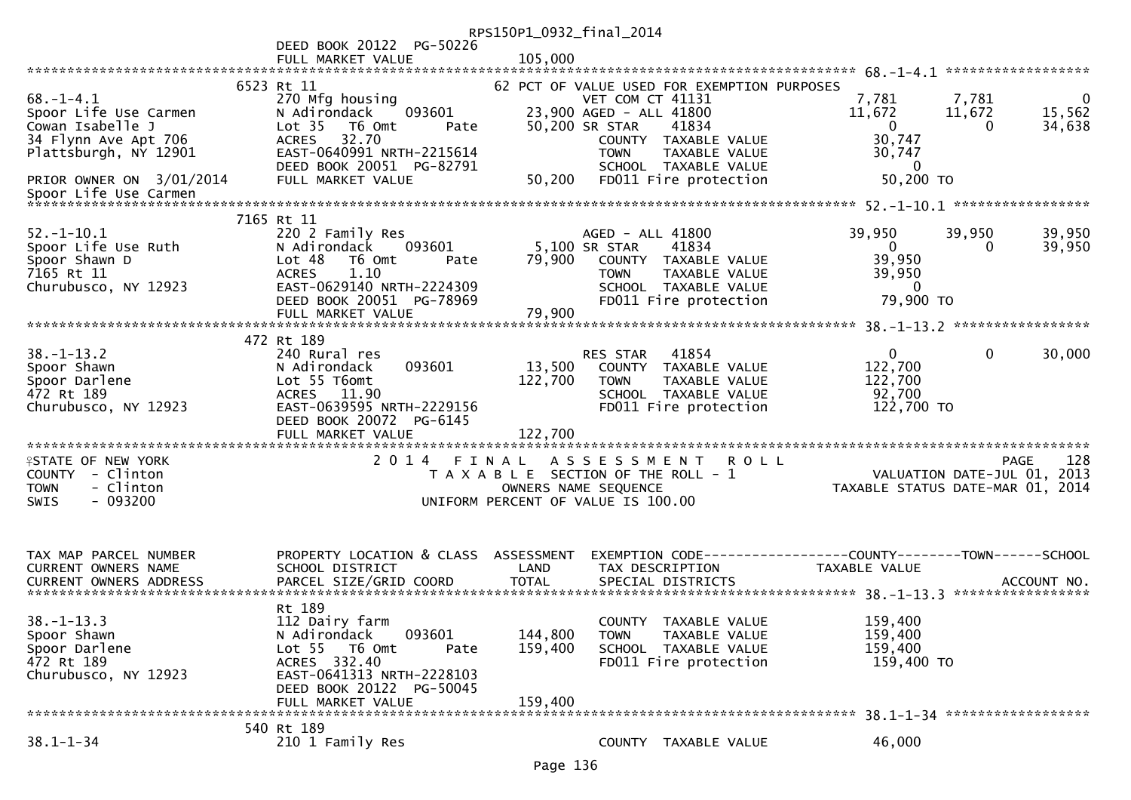|                                                                                                               |                                                                                                                                                                       | RPS150P1_0932_final_2014                                                    |                                                                                     |                                                                                                 |                 |                                                            |                      |                                  |
|---------------------------------------------------------------------------------------------------------------|-----------------------------------------------------------------------------------------------------------------------------------------------------------------------|-----------------------------------------------------------------------------|-------------------------------------------------------------------------------------|-------------------------------------------------------------------------------------------------|-----------------|------------------------------------------------------------|----------------------|----------------------------------|
|                                                                                                               | DEED BOOK 20122 PG-50226                                                                                                                                              |                                                                             |                                                                                     |                                                                                                 |                 |                                                            |                      |                                  |
|                                                                                                               | FULL MARKET VALUE                                                                                                                                                     | 105,000                                                                     |                                                                                     |                                                                                                 |                 |                                                            |                      |                                  |
|                                                                                                               | 6523 Rt 11                                                                                                                                                            |                                                                             |                                                                                     | 62 PCT OF VALUE USED FOR EXEMPTION PURPOSES                                                     |                 |                                                            |                      |                                  |
| $68. - 1 - 4.1$<br>Spoor Life Use Carmen<br>Cowan Isabelle J<br>34 Flynn Ave Apt 706<br>Plattsburgh, NY 12901 | 270 Mfg housing<br>093601<br>N Adirondack<br>Lot <sub>35</sub><br>T6 Omt<br>Pate<br>32.70<br><b>ACRES</b><br>EAST-0640991 NRTH-2215614<br>DEED BOOK 20051 PG-82791    |                                                                             | <b>VET COM CT 41131</b><br>23,900 AGED - ALL 41800<br>50,200 SR STAR<br><b>TOWN</b> | 41834<br>COUNTY TAXABLE VALUE<br>TAXABLE VALUE<br>SCHOOL TAXABLE VALUE                          | 7,781<br>11,672 | $\overline{0}$<br>30,747<br>30,747<br>$\bf{0}$             | 7,781<br>11,672<br>0 | $\mathbf{0}$<br>15,562<br>34,638 |
| PRIOR OWNER ON 3/01/2014<br>Spoor Life Use Carmen<br>************************                                 | FULL MARKET VALUE                                                                                                                                                     | 50,200                                                                      |                                                                                     | FD011 Fire protection                                                                           |                 | 50,200 TO                                                  |                      |                                  |
|                                                                                                               |                                                                                                                                                                       |                                                                             |                                                                                     |                                                                                                 |                 |                                                            |                      |                                  |
| $52. - 1 - 10.1$<br>Spoor Life Use Ruth<br>Spoor Shawn D<br>7165 Rt 11<br>Churubusco, NY 12923                | 7165 Rt 11<br>220 2 Family Res<br>N Adirondack<br>093601<br>Lot 48<br>T6 Omt<br>Pate<br><b>ACRES</b><br>1.10<br>EAST-0629140 NRTH-2224309<br>DEED BOOK 20051 PG-78969 | 79,900                                                                      | AGED - ALL 41800<br>5,100 SR STAR<br><b>TOWN</b>                                    | 41834<br>COUNTY TAXABLE VALUE<br>TAXABLE VALUE<br>SCHOOL TAXABLE VALUE<br>FD011 Fire protection | 39,950          | $\mathbf{0}$<br>39,950<br>39,950<br>$\bf{0}$<br>79,900 TO  | 39,950<br>0          | 39,950<br>39,950                 |
|                                                                                                               | FULL MARKET VALUE                                                                                                                                                     | 79,900                                                                      |                                                                                     |                                                                                                 |                 |                                                            |                      |                                  |
|                                                                                                               | 472 Rt 189                                                                                                                                                            |                                                                             |                                                                                     |                                                                                                 |                 |                                                            |                      |                                  |
| $38. - 1 - 13.2$<br>Spoor Shawn<br>Spoor Darlene<br>472 Rt 189<br>Churubusco, NY 12923                        | 240 Rural res<br>N Adirondack<br>093601<br>Lot 55 T6omt<br>ACRES 11.90<br>EAST-0639595 NRTH-2229156<br>DEED BOOK 20072 PG-6145<br>FULL MARKET VALUE                   | 13,500<br>122,700<br>122,700                                                | RES STAR<br><b>TOWN</b>                                                             | 41854<br>COUNTY TAXABLE VALUE<br>TAXABLE VALUE<br>SCHOOL TAXABLE VALUE<br>FD011 Fire protection |                 | $\mathbf{0}$<br>122,700<br>122,700<br>92,700<br>122,700 TO | $\mathbf{0}$         | 30,000                           |
|                                                                                                               |                                                                                                                                                                       |                                                                             |                                                                                     |                                                                                                 |                 |                                                            |                      |                                  |
| <b>ISTATE OF NEW YORK</b><br>COUNTY - Clinton<br>- Clinton<br><b>TOWN</b><br>$-093200$<br><b>SWIS</b>         | 2014 FINAL                                                                                                                                                            | T A X A B L E SECTION OF THE ROLL - 1<br>UNIFORM PERCENT OF VALUE IS 100.00 | A S S E S S M E N T<br>OWNERS NAME SEQUENCE                                         | <b>ROLL</b>                                                                                     |                 | VALUATION DATE-JUL 01,<br>TAXABLE STATUS DATE-MAR 01, 2014 | PAGE                 | 128<br>2013                      |
| TAX MAP PARCEL NUMBER<br><b>CURRENT OWNERS NAME</b><br><b>CURRENT OWNERS ADDRESS</b>                          | PROPERTY LOCATION & CLASS ASSESSMENT<br>SCHOOL DISTRICT<br>PARCEL SIZE/GRID COORD                                                                                     | LAND<br><b>TOTAL</b>                                                        | TAX DESCRIPTION                                                                     | SPECIAL DISTRICTS                                                                               | TAXABLE VALUE   |                                                            |                      | ACCOUNT NO.                      |
|                                                                                                               | Rt 189                                                                                                                                                                |                                                                             |                                                                                     |                                                                                                 |                 |                                                            |                      |                                  |
| $38. - 1 - 13.3$<br>Spoor Shawn<br>Spoor Darlene<br>472 Rt 189<br>Churubusco, NY 12923                        | 112 Dairy farm<br>093601<br>N Adirondack<br>Lot 55 T6 Omt<br>Pate<br>ACRES 332.40<br>EAST-0641313 NRTH-2228103<br>DEED BOOK 20122 PG-50045                            | 144,800<br>159,400                                                          | <b>TOWN</b>                                                                         | COUNTY TAXABLE VALUE<br>TAXABLE VALUE<br>SCHOOL TAXABLE VALUE<br>FD011 Fire protection          |                 | 159,400<br>159,400<br>159,400<br>159,400 TO                |                      |                                  |
|                                                                                                               | FULL MARKET VALUE                                                                                                                                                     | 159,400                                                                     |                                                                                     |                                                                                                 |                 |                                                            |                      |                                  |
| $38.1 - 1 - 34$                                                                                               | 540 Rt 189<br>210 1 Family Res                                                                                                                                        |                                                                             |                                                                                     | COUNTY TAXABLE VALUE                                                                            |                 | 46,000                                                     |                      |                                  |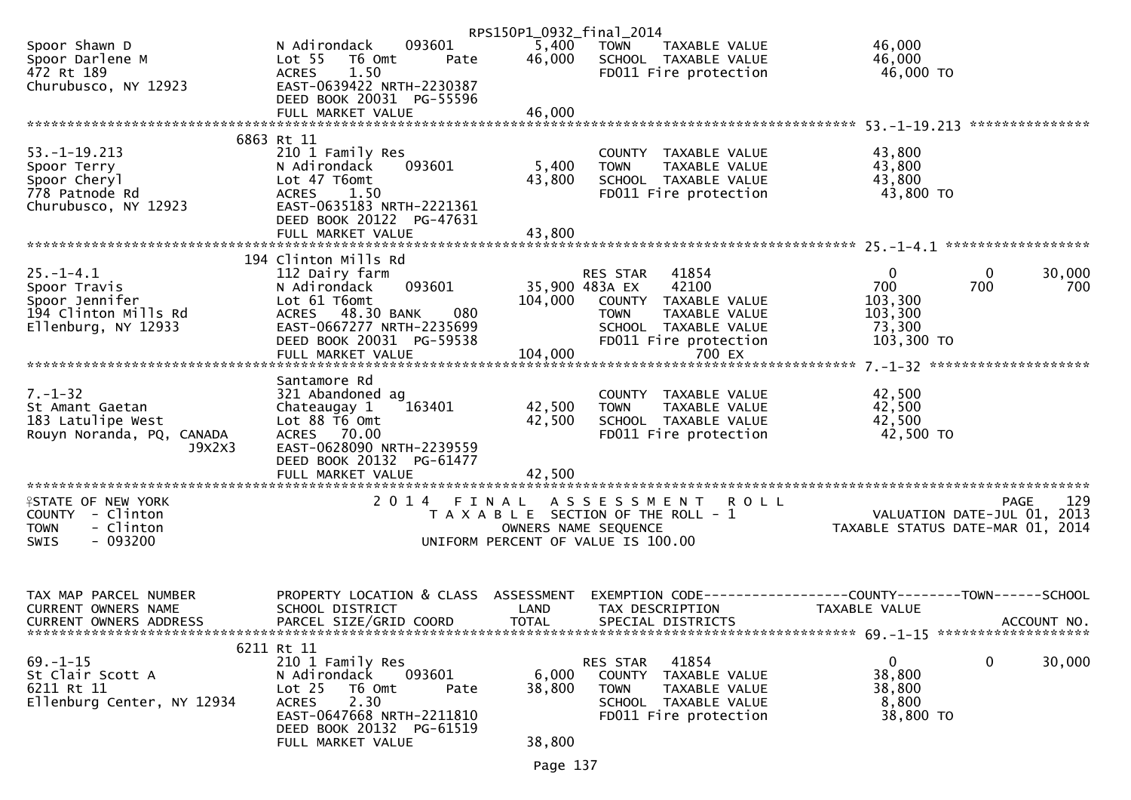|                                                |                                                                       | RPS150P1_0932_final_2014 |                                                                               |                                                                 |
|------------------------------------------------|-----------------------------------------------------------------------|--------------------------|-------------------------------------------------------------------------------|-----------------------------------------------------------------|
| Spoor Shawn D<br>Spoor Darlene M<br>472 Rt 189 | 093601<br>N Adirondack<br>Lot <sub>55</sub><br>T6 Omt<br>Pate<br>1.50 | 5,400<br>46,000          | <b>TOWN</b><br>TAXABLE VALUE<br>SCHOOL TAXABLE VALUE<br>FD011 Fire protection | 46,000<br>46,000<br>46,000 TO                                   |
| Churubusco, NY 12923                           | <b>ACRES</b><br>EAST-0639422 NRTH-2230387<br>DEED BOOK 20031 PG-55596 |                          |                                                                               |                                                                 |
|                                                | FULL MARKET VALUE                                                     | 46,000                   |                                                                               |                                                                 |
|                                                | 6863 Rt 11                                                            |                          |                                                                               |                                                                 |
| $53. -1 - 19.213$                              | 210 1 Family Res                                                      |                          | COUNTY TAXABLE VALUE                                                          | 43,800                                                          |
| Spoor Terry                                    | N Adirondack<br>093601                                                | 5,400                    | <b>TOWN</b><br>TAXABLE VALUE                                                  | 43,800                                                          |
| Spoor Cheryl<br>778 Patnode Rd                 | Lot 47 T6omt<br>1.50<br><b>ACRES</b>                                  | 43,800                   | SCHOOL TAXABLE VALUE<br>FD011 Fire protection                                 | 43,800<br>43,800 TO                                             |
| Churubusco, NY 12923                           | EAST-0635183 NRTH-2221361                                             |                          |                                                                               |                                                                 |
|                                                | DEED BOOK 20122 PG-47631                                              |                          |                                                                               |                                                                 |
|                                                |                                                                       |                          |                                                                               |                                                                 |
|                                                | 194 Clinton Mills Rd                                                  |                          |                                                                               |                                                                 |
| $25. - 1 - 4.1$                                | 112 Dairy farm                                                        |                          | RES STAR 41854                                                                | $\mathbf 0$<br>$\mathbf{0}$<br>30,000                           |
| Spoor Travis                                   | 093601<br>N Adirondack                                                |                          | 42100<br>35,900 483A EX                                                       | 700<br>700<br>700                                               |
| Spoor Jennifer                                 | Lot 61 T6omt                                                          | 104,000                  | COUNTY TAXABLE VALUE                                                          | 103,300                                                         |
| 194 Clinton Mills Rd                           | 080<br>ACRES 48.30 BANK<br>EAST-0667277 NRTH-2235699                  |                          | <b>TOWN</b><br>TAXABLE VALUE                                                  | 103,300                                                         |
| Ellenburg, NY 12933                            | DEED BOOK 20031 PG-59538                                              |                          | SCHOOL TAXABLE VALUE<br>FD011 Fire protection                                 | 73,300<br>103,300 TO                                            |
|                                                | FULL MARKET VALUE                                                     | 104,000                  | 700 EX                                                                        |                                                                 |
|                                                |                                                                       |                          |                                                                               |                                                                 |
| $7. - 1 - 32$                                  | Santamore Rd<br>321 Abandoned ag                                      |                          | COUNTY TAXABLE VALUE                                                          | 42,500                                                          |
| St Amant Gaetan                                | 163401<br>Chateaugay 1                                                | 42,500                   | TAXABLE VALUE<br><b>TOWN</b>                                                  | 42,500                                                          |
| 183 Latulipe West                              | Lot 88 T6 Omt                                                         | 42,500                   | SCHOOL TAXABLE VALUE                                                          | 42,500                                                          |
| Rouyn Noranda, PQ, CANADA                      | ACRES 70.00                                                           |                          | FD011 Fire protection                                                         | 42,500 TO                                                       |
| J9X2X3                                         | EAST-0628090 NRTH-2239559<br>DEED BOOK 20132 PG-61477                 |                          |                                                                               |                                                                 |
|                                                | FULL MARKET VALUE                                                     | 42,500                   |                                                                               |                                                                 |
|                                                |                                                                       |                          |                                                                               |                                                                 |
| <b>ISTATE OF NEW YORK</b>                      | 2014 FINAL                                                            |                          | ASSESSMENT ROLL                                                               | 129<br><b>PAGE</b>                                              |
| COUNTY - Clinton<br>- Clinton<br><b>TOWN</b>   |                                                                       |                          | T A X A B L E SECTION OF THE ROLL - 1<br>OWNERS NAME SEQUENCE                 | VALUATION DATE-JUL 01, 2013<br>TAXABLE STATUS DATE-MAR 01, 2014 |
| - 093200<br>SWIS                               |                                                                       |                          | UNIFORM PERCENT OF VALUE IS 100.00                                            |                                                                 |
|                                                |                                                                       |                          |                                                                               |                                                                 |
|                                                |                                                                       |                          |                                                                               |                                                                 |
| TAX MAP PARCEL NUMBER                          | PROPERTY LOCATION & CLASS ASSESSMENT                                  |                          |                                                                               | EXEMPTION CODE-----------------COUNTY-------TOWN------SCHOOL    |
| CURRENT OWNERS NAME                            | SCHOOL DISTRICT                                                       | LAND                     | TAX DESCRIPTION                                                               | TAXABLE VALUE                                                   |
| CURRENT OWNERS ADDRESS                         | PARCEL SIZE/GRID COORD                                                | <b>TOTAL</b>             | SPECIAL DISTRICTS                                                             | ACCOUNT NO.                                                     |
|                                                | 6211 Rt 11                                                            |                          |                                                                               |                                                                 |
| $69. - 1 - 15$                                 | 210 1 Family Res                                                      |                          | RES STAR 41854                                                                | $\mathbf 0$<br>$\Omega$<br>30,000                               |
| St Clair Scott A                               | 093601<br>N Adirondack                                                | 6,000                    | COUNTY TAXABLE VALUE                                                          | 38,800                                                          |
| 6211 Rt 11                                     | Lot <sub>25</sub><br>T6 Omt<br>Pate                                   | 38,800                   | <b>TOWN</b><br>TAXABLE VALUE                                                  | 38,800                                                          |
| Ellenburg Center, NY 12934                     | 2.30<br><b>ACRES</b><br>EAST-0647668 NRTH-2211810                     |                          | SCHOOL TAXABLE VALUE<br>FD011 Fire protection                                 | 8,800<br>38,800 TO                                              |
|                                                | DEED BOOK 20132 PG-61519                                              |                          |                                                                               |                                                                 |
|                                                | FULL MARKET VALUE                                                     | 38,800                   |                                                                               |                                                                 |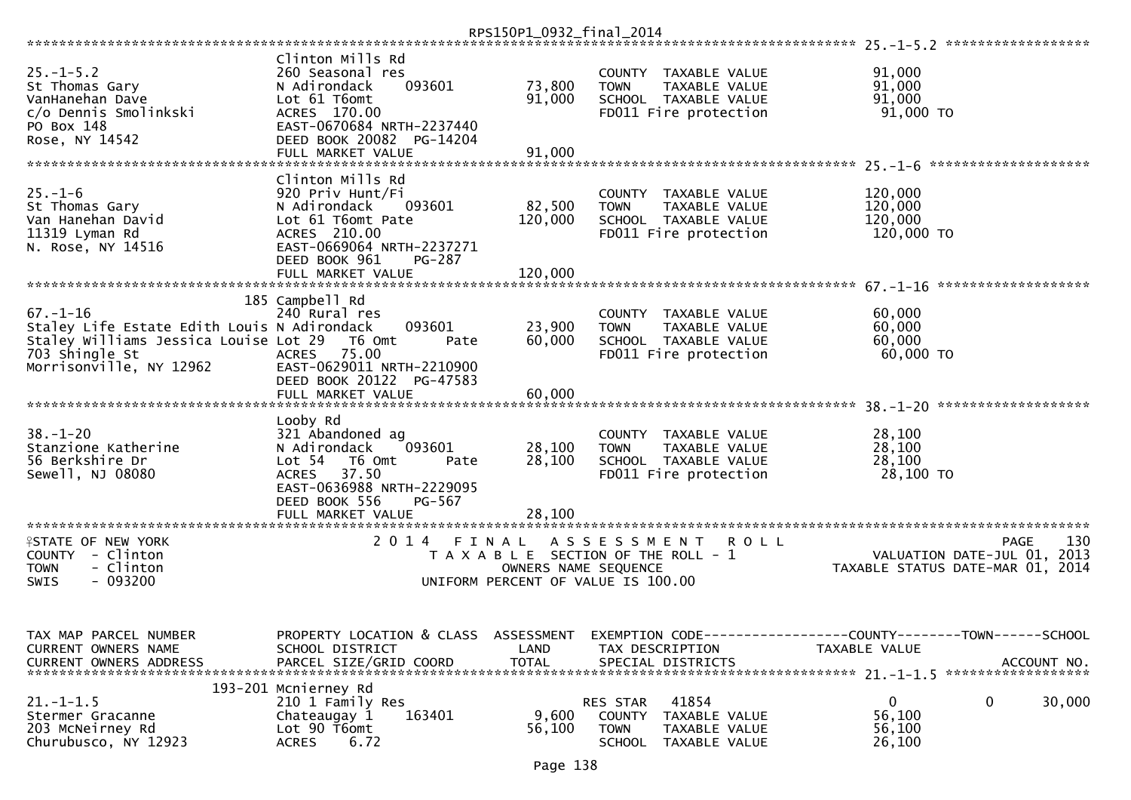|                                                                                                                                                     |                                                                                                                                                                                | RPS150P1_0932_final_2014           |                                                                                                                       |                                                                                              |
|-----------------------------------------------------------------------------------------------------------------------------------------------------|--------------------------------------------------------------------------------------------------------------------------------------------------------------------------------|------------------------------------|-----------------------------------------------------------------------------------------------------------------------|----------------------------------------------------------------------------------------------|
|                                                                                                                                                     |                                                                                                                                                                                |                                    |                                                                                                                       |                                                                                              |
| $25. - 1 - 5.2$<br>St Thomas Gary<br>VanHanehan Dave<br>c/o Dennis Smolinkski<br>PO Box 148                                                         | Clinton Mills Rd<br>260 Seasonal res<br>093601<br>N Adirondack<br>Lot 61 T6omt<br>ACRES 170.00<br>EAST-0670684 NRTH-2237440                                                    | 73,800<br>91,000                   | COUNTY TAXABLE VALUE<br><b>TOWN</b><br>TAXABLE VALUE<br>SCHOOL TAXABLE VALUE<br>FD011 Fire protection                 | 91,000<br>91,000<br>91,000<br>91,000 TO                                                      |
| Rose, NY 14542                                                                                                                                      | DEED BOOK 20082<br>PG-14204                                                                                                                                                    |                                    |                                                                                                                       |                                                                                              |
|                                                                                                                                                     | FULL MARKET VALUE                                                                                                                                                              | 91,000                             |                                                                                                                       |                                                                                              |
| $25. - 1 - 6$<br>St Thomas Gary<br>Van Hanehan David                                                                                                | Clinton Mills Rd<br>920 Priv Hunt/Fi<br>N Adirondack<br>093601<br>Lot 61 T6omt Pate                                                                                            | 82,500<br>120,000                  | COUNTY TAXABLE VALUE<br><b>TOWN</b><br>TAXABLE VALUE<br>SCHOOL TAXABLE VALUE                                          | 120,000<br>120,000<br>120,000                                                                |
| 11319 Lyman Rd<br>N. Rose, NY 14516                                                                                                                 | ACRES 210.00<br>EAST-0669064 NRTH-2237271<br>DEED BOOK 961<br><b>PG-287</b><br>FULL MARKET VALUE                                                                               | 120,000                            | FD011 Fire protection                                                                                                 | 120,000 TO                                                                                   |
|                                                                                                                                                     |                                                                                                                                                                                |                                    |                                                                                                                       | $67. - 1 - 16$<br>*******************                                                        |
| $67. - 1 - 16$<br>Staley Life Estate Edith Louis N Adirondack<br>Staley Williams Jessica Louise Lot 29<br>703 Shingle St<br>Morrisonville, NY 12962 | 185 Campbell Rd<br>240 Rural res<br>093601<br>T6 Omt<br>Pate<br>75.00<br><b>ACRES</b><br>EAST-0629011 NRTH-2210900<br>DEED BOOK 20122<br>PG-47583                              | 23,900<br>60,000                   | COUNTY TAXABLE VALUE<br><b>TOWN</b><br>TAXABLE VALUE<br>SCHOOL TAXABLE VALUE<br>FD011 Fire protection                 | 60,000<br>60,000<br>60,000<br>60,000 TO                                                      |
|                                                                                                                                                     | FULL MARKET VALUE                                                                                                                                                              | 60,000                             |                                                                                                                       |                                                                                              |
| $38. - 1 - 20$<br>Stanzione Katherine<br>56 Berkshire Dr<br>Sewell, NJ 08080                                                                        | Looby Rd<br>321 Abandoned ag<br>093601<br>N Adirondack<br>Lot <sub>54</sub><br>T6 Omt<br>Pate<br>37.50<br><b>ACRES</b><br>EAST-0636988 NRTH-2229095<br>DEED BOOK 556<br>PG-567 | 28,100<br>28,100                   | <b>COUNTY</b><br>TAXABLE VALUE<br><b>TOWN</b><br>TAXABLE VALUE<br>SCHOOL TAXABLE VALUE<br>FD011 Fire protection       | 28,100<br>28,100<br>28,100<br>28,100 TO                                                      |
|                                                                                                                                                     | FULL MARKET VALUE                                                                                                                                                              | 28,100                             |                                                                                                                       |                                                                                              |
| <b>ISTATE OF NEW YORK</b><br>COUNTY - Clinton<br><b>TOWN</b><br>- Clinton<br>$-093200$<br>SWIS                                                      | 2 0 1 4<br>FINAL                                                                                                                                                               | OWNERS NAME SEQUENCE               | A S S E S S M E N T<br>R O L L<br>T A X A B L E SECTION OF THE ROLL - 1<br>UNIFORM PERCENT OF VALUE IS 100.00         | 130<br><b>PAGE</b><br>2013<br>VALUATION DATE-JUL 01,<br>TAXABLE STATUS DATE-MAR 01, 2014     |
| TAX MAP PARCEL NUMBER<br>CURRENT OWNERS NAME<br><b>CURRENT OWNERS ADDRESS</b>                                                                       | PROPERTY LOCATION & CLASS<br>SCHOOL DISTRICT<br>PARCEL SIZE/GRID COORD                                                                                                         | ASSESSMENT<br>LAND<br><b>TOTAL</b> | TAX DESCRIPTION<br>SPECIAL DISTRICTS                                                                                  | EXEMPTION CODE-----------------COUNTY-------TOWN------SCHOOL<br>TAXABLE VALUE<br>ACCOUNT NO. |
| $21. - 1 - 1.5$<br>Stermer Gracanne<br>203 McNeirney Rd<br>Churubusco, NY 12923                                                                     | 193-201 Mcnierney Rd<br>210 1 Family Res<br>163401<br>Chateaugay 1<br>Lot 90 T6omt<br>6.72<br><b>ACRES</b>                                                                     | 9,600<br>56,100                    | 41854<br>RES STAR<br><b>COUNTY</b><br>TAXABLE VALUE<br><b>TOWN</b><br>TAXABLE VALUE<br><b>SCHOOL</b><br>TAXABLE VALUE | 0<br>0<br>30,000<br>56,100<br>56,100<br>26,100                                               |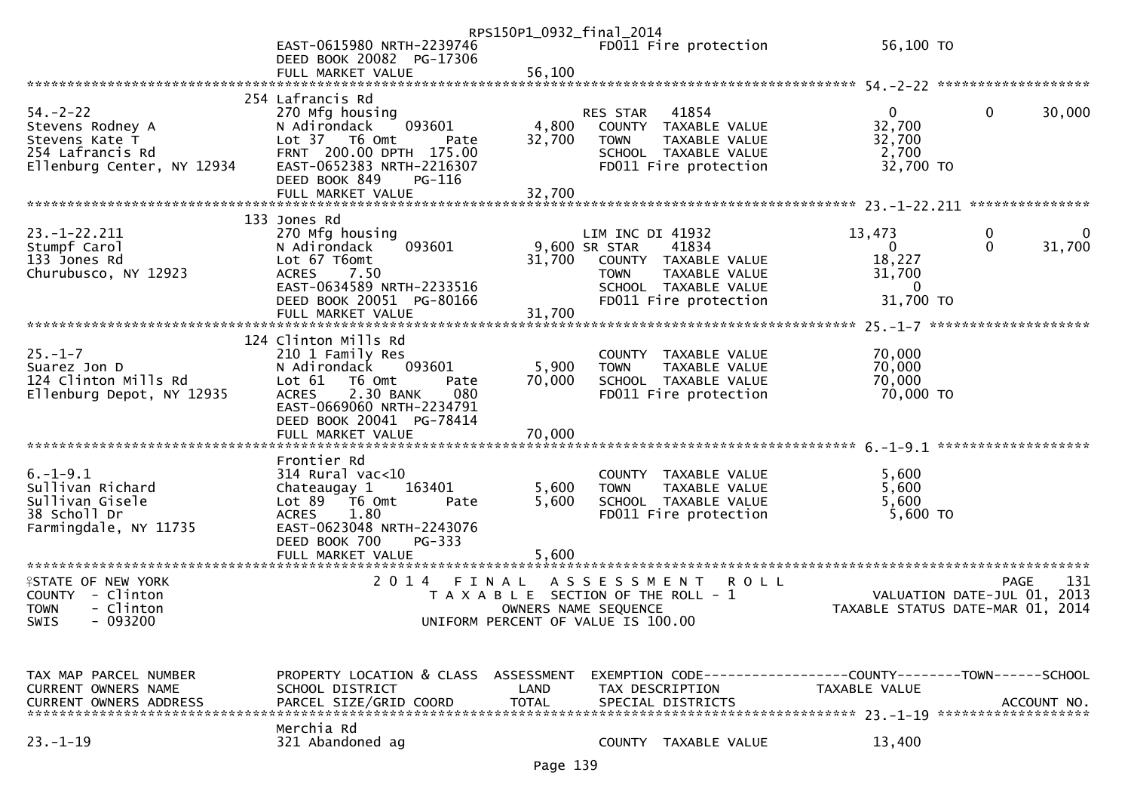|                                                                                                        | EAST-0615980 NRTH-2239746<br>DEED BOOK 20082 PG-17306                                                                                                                                          | RPS150P1_0932_final_2014  | FD011 Fire protection                                                                                                                                      | 56,100 TO                                                                            |                                                   |
|--------------------------------------------------------------------------------------------------------|------------------------------------------------------------------------------------------------------------------------------------------------------------------------------------------------|---------------------------|------------------------------------------------------------------------------------------------------------------------------------------------------------|--------------------------------------------------------------------------------------|---------------------------------------------------|
|                                                                                                        | FULL MARKET VALUE                                                                                                                                                                              | 56,100                    |                                                                                                                                                            |                                                                                      |                                                   |
| $54. - 2 - 22$<br>Stevens Rodney A<br>Stevens Kate T<br>254 Lafrancis Rd<br>Ellenburg Center, NY 12934 | 254 Lafrancis Rd<br>270 Mfg housing<br>093601<br>N Adirondack<br>Lot 37 T6 Omt<br>Pate<br>FRNT 200.00 DPTH 175.00<br>EAST-0652383 NRTH-2216307<br>DEED BOOK 849<br>PG-116<br>FULL MARKET VALUE | 4,800<br>32,700<br>32,700 | 41854<br><b>RES STAR</b><br>COUNTY TAXABLE VALUE<br><b>TOWN</b><br>TAXABLE VALUE<br>SCHOOL TAXABLE VALUE<br>FD011 Fire protection                          | $\mathbf{0}$<br>32,700<br>32,700<br>2,700<br>32,700 TO                               | 0<br>30,000                                       |
|                                                                                                        |                                                                                                                                                                                                |                           |                                                                                                                                                            |                                                                                      |                                                   |
| $23. - 1 - 22.211$<br>Stumpf Carol<br>133 Jones Rd<br>Churubusco, NY 12923                             | 133 Jones Rd<br>270 Mfg housing<br>093601<br>N Adirondack<br>Lot 67 T6omt<br>ACRES 7.50<br>EAST-0634589 NRTH-2233516<br>DEED BOOK 20051 PG-80166<br>FULL MARKET VALUE                          | 31,700                    | LIM INC DI 41932<br>9,600 SR STAR<br>41834<br>31,700 COUNTY TAXABLE VALUE<br><b>TOWN</b><br>TAXABLE VALUE<br>SCHOOL TAXABLE VALUE<br>FD011 Fire protection | 13,473<br>0<br>18,227<br>31,700<br>$\Omega$<br>31,700 TO                             | 0<br>0<br>31,700<br>$\Omega$                      |
|                                                                                                        |                                                                                                                                                                                                |                           |                                                                                                                                                            |                                                                                      |                                                   |
| $25. - 1 - 7$<br>Suarez Jon D<br>124 Clinton Mills Rd<br>Ellenburg Depot, NY 12935                     | 124 Clinton Mills Rd<br>210 1 Family Res<br>093601<br>N Adirondack<br>Lot $61$ T6 Omt<br>Pate<br>2.30 BANK<br><b>ACRES</b><br>080<br>EAST-0669060 NRTH-2234791<br>DEED BOOK 20041 PG-78414     | 5,900<br>70,000           | COUNTY TAXABLE VALUE<br>TAXABLE VALUE<br><b>TOWN</b><br>SCHOOL TAXABLE VALUE<br>FD011 Fire protection                                                      | 70,000<br>70,000<br>70,000<br>70,000 TO                                              |                                                   |
|                                                                                                        |                                                                                                                                                                                                |                           |                                                                                                                                                            |                                                                                      |                                                   |
| $6. - 1 - 9.1$<br>Sullivan Richard<br>Sullivan Gisele<br>38 Scholl Dr<br>Farmingdale, NY 11735         | Frontier Rd<br>$314$ Rural vac<10<br>Chateaugay 1<br>163401<br>Lot 89 T6 Omt<br>Pate<br>1.80<br><b>ACRES</b><br>EAST-0623048 NRTH-2243076<br>DEED BOOK 700<br>PG-333<br>FULL MARKET VALUE      | 5,600<br>5,600<br>5.600   | COUNTY TAXABLE VALUE<br>TAXABLE VALUE<br><b>TOWN</b><br>SCHOOL TAXABLE VALUE<br>FD011 Fire protection                                                      | 5,600<br>5,600<br>5,600<br>5,600 TO                                                  |                                                   |
| <b>ISTATE OF NEW YORK</b><br>COUNTY - Clinton<br>- Clinton<br><b>TOWN</b><br>- 093200<br>SWIS          | 2014 FINAL                                                                                                                                                                                     |                           | A S S E S S M E N T<br><b>ROLL</b><br>T A X A B L E SECTION OF THE ROLL - 1<br>OWNERS NAME SEQUENCE<br>UNIFORM PERCENT OF VALUE IS 100.00                  | TAXABLE STATUS DATE-MAR 01, 2014                                                     | 131<br><b>PAGE</b><br>VALUATION DATE-JUL 01, 2013 |
| TAX MAP PARCEL NUMBER<br>CURRENT OWNERS NAME<br><b>CURRENT OWNERS ADDRESS</b>                          | PROPERTY LOCATION & CLASS ASSESSMENT<br>SCHOOL DISTRICT<br>PARCEL SIZE/GRID COORD                                                                                                              | LAND<br><b>TOTAL</b>      | TAX DESCRIPTION<br>SPECIAL DISTRICTS                                                                                                                       | EXEMPTION        CODE-----------------COUNTY-------TOWN------SCHOOL<br>TAXABLE VALUE | ACCOUNT NO.                                       |
| $23. - 1 - 19$                                                                                         | Merchia Rd<br>321 Abandoned ag                                                                                                                                                                 |                           | COUNTY TAXABLE VALUE                                                                                                                                       | 13,400                                                                               |                                                   |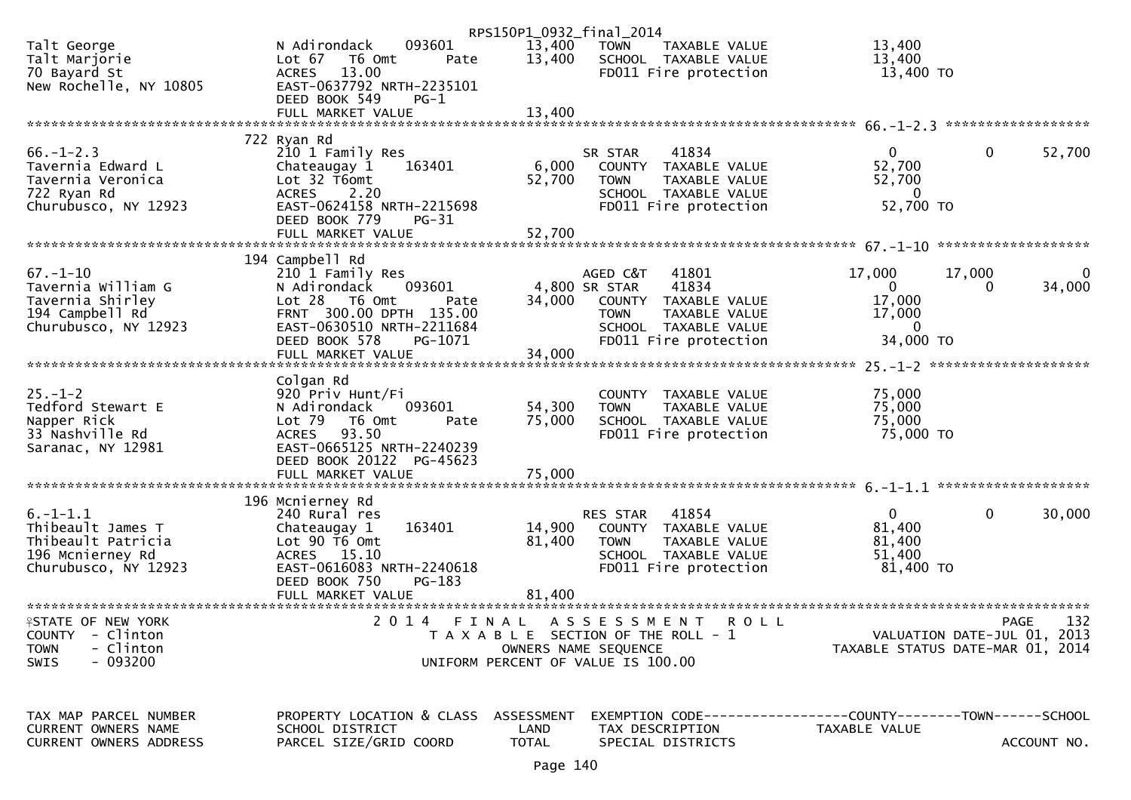|                            |                           | RPS150P1_0932_final_2014 |                                                                |                                  |                        |
|----------------------------|---------------------------|--------------------------|----------------------------------------------------------------|----------------------------------|------------------------|
| Talt George                | 093601<br>N Adirondack    | 13,400                   | <b>TOWN</b><br>TAXABLE VALUE                                   | 13,400                           |                        |
| Talt Marjorie              | Lot 67 T6 Omt<br>Pate     | 13,400                   | SCHOOL TAXABLE VALUE                                           | 13,400                           |                        |
| 70 Bayard St               | 13.00<br><b>ACRES</b>     |                          | FD011 Fire protection                                          | 13,400 TO                        |                        |
| New Rochelle, NY 10805     | EAST-0637792 NRTH-2235101 |                          |                                                                |                                  |                        |
|                            | DEED BOOK 549<br>$PG-1$   |                          |                                                                |                                  |                        |
|                            | FULL MARKET VALUE         | 13,400                   |                                                                |                                  |                        |
|                            |                           |                          |                                                                |                                  |                        |
|                            | 722 Ryan Rd               |                          |                                                                |                                  |                        |
| $66. - 1 - 2.3$            | 210 1 Family Res          |                          | 41834<br>SR STAR                                               | $\overline{0}$                   | $\mathbf{0}$<br>52,700 |
| Tavernia Edward L          | 163401<br>Chateaugay 1    | 6,000                    | COUNTY TAXABLE VALUE                                           | 52,700                           |                        |
| Tavernia Veronica          | Lot 32 T6omt              |                          | <b>TOWN</b><br>TAXABLE VALUE                                   |                                  |                        |
|                            |                           | 52,700                   |                                                                | 52,700                           |                        |
| 722 Ryan Rd                | ACRES 2.20                |                          | SCHOOL TAXABLE VALUE                                           | $\mathbf{0}$                     |                        |
| Churubusco, NY 12923       | EAST-0624158 NRTH-2215698 |                          | FD011 Fire protection                                          | 52,700 TO                        |                        |
|                            | DEED BOOK 779<br>PG-31    |                          |                                                                |                                  |                        |
|                            | FULL MARKET VALUE         | 52,700                   |                                                                |                                  |                        |
|                            |                           |                          |                                                                |                                  |                        |
|                            | 194 Campbell Rd           |                          |                                                                |                                  |                        |
| $67 - 1 - 10$              | 210 1 Family Res          |                          | AGED C&T<br>41801                                              | 17,000<br>17,000                 | 0                      |
| Tavernia William G         | 093601<br>N Adirondack    |                          | 4,800 SR STAR<br>41834                                         | $\mathbf{0}$                     | 34,000<br>$\Omega$     |
| Tavernia Shirley           | Lot 28 T6 Omt<br>Pate     | 34,000                   | COUNTY TAXABLE VALUE                                           | 17,000                           |                        |
| 194 Campbell Rd            | FRNT 300.00 DPTH 135.00   |                          | TAXABLE VALUE<br><b>TOWN</b>                                   | 17,000                           |                        |
| Churubusco, NY 12923       | EAST-0630510 NRTH-2211684 |                          | SCHOOL TAXABLE VALUE                                           | $\overline{0}$                   |                        |
|                            | DEED BOOK 578<br>PG-1071  |                          | FD011 Fire protection                                          | 34,000 TO                        |                        |
|                            | FULL MARKET VALUE         | 34,000                   |                                                                |                                  |                        |
|                            |                           |                          |                                                                |                                  |                        |
|                            | Colgan Rd                 |                          |                                                                |                                  |                        |
| $25. - 1 - 2$              | 920 Priv Hunt/Fi          |                          | COUNTY<br>TAXABLE VALUE                                        | 75,000                           |                        |
| Tedford Stewart E          | 093601<br>N Adirondack    | 54,300                   | TAXABLE VALUE<br><b>TOWN</b>                                   | 75,000                           |                        |
| Napper Rick                | Lot 79  T6 0mt<br>Pate    | 75,000                   | SCHOOL TAXABLE VALUE                                           | 75,000                           |                        |
| 33 Nashville Rd            | 93.50<br>ACRES            |                          | FD011 Fire protection                                          | 75,000 TO                        |                        |
| Saranac, NY 12981          | EAST-0665125 NRTH-2240239 |                          |                                                                |                                  |                        |
|                            | DEED BOOK 20122 PG-45623  |                          |                                                                |                                  |                        |
|                            |                           |                          |                                                                |                                  |                        |
|                            |                           |                          |                                                                |                                  |                        |
|                            | 196 Mcnierney Rd          |                          |                                                                |                                  |                        |
| $6. - 1 - 1.1$             | 240 Rural res             |                          | 41854<br>RES STAR                                              | $\mathbf{0}$                     | $\mathbf{0}$<br>30,000 |
| Thibeault James T          | 163401                    | 14,900                   | COUNTY TAXABLE VALUE                                           | 81,400                           |                        |
|                            | Chateaugay 1              | 81,400                   |                                                                |                                  |                        |
| Thibeault Patricia         | Lot 90 T6 Omt             |                          | <b>TOWN</b><br>TAXABLE VALUE                                   | 81,400                           |                        |
| 196 Mcnierney Rd           | ACRES 15.10               |                          | SCHOOL TAXABLE VALUE                                           | 51,400                           |                        |
| Churubusco, NY 12923       | EAST-0616083 NRTH-2240618 |                          | FD011 Fire protection                                          | 81,400 TO                        |                        |
|                            | DEED BOOK 750<br>$PG-183$ |                          |                                                                |                                  |                        |
|                            | FULL MARKET VALUE         | 81,400                   |                                                                |                                  |                        |
|                            |                           |                          |                                                                |                                  |                        |
| <b>ISTATE OF NEW YORK</b>  | 2 0 1 4                   | FINAL                    | ASSESSMENT<br><b>ROLL</b>                                      |                                  | 132<br><b>PAGE</b>     |
| <b>COUNTY</b><br>- Clinton |                           |                          | T A X A B L E SECTION OF THE ROLL - 1                          | VALUATION DATE-JUL 01, 2013      |                        |
| - Clinton<br><b>TOWN</b>   |                           |                          | OWNERS NAME SEQUENCE                                           | TAXABLE STATUS DATE-MAR 01, 2014 |                        |
| $-093200$<br><b>SWIS</b>   |                           |                          | UNIFORM PERCENT OF VALUE IS 100.00                             |                                  |                        |
|                            |                           |                          |                                                                |                                  |                        |
| TAX MAP PARCEL NUMBER      | PROPERTY LOCATION & CLASS | ASSESSMENT               | EXEMPTION CODE------------------COUNTY--------TOWN------SCHOOL |                                  |                        |
| CURRENT OWNERS NAME        | SCHOOL DISTRICT           | LAND                     | TAX DESCRIPTION                                                | TAXABLE VALUE                    |                        |
| CURRENT OWNERS ADDRESS     | PARCEL SIZE/GRID COORD    | <b>TOTAL</b>             | SPECIAL DISTRICTS                                              |                                  | ACCOUNT NO.            |
|                            |                           |                          |                                                                |                                  |                        |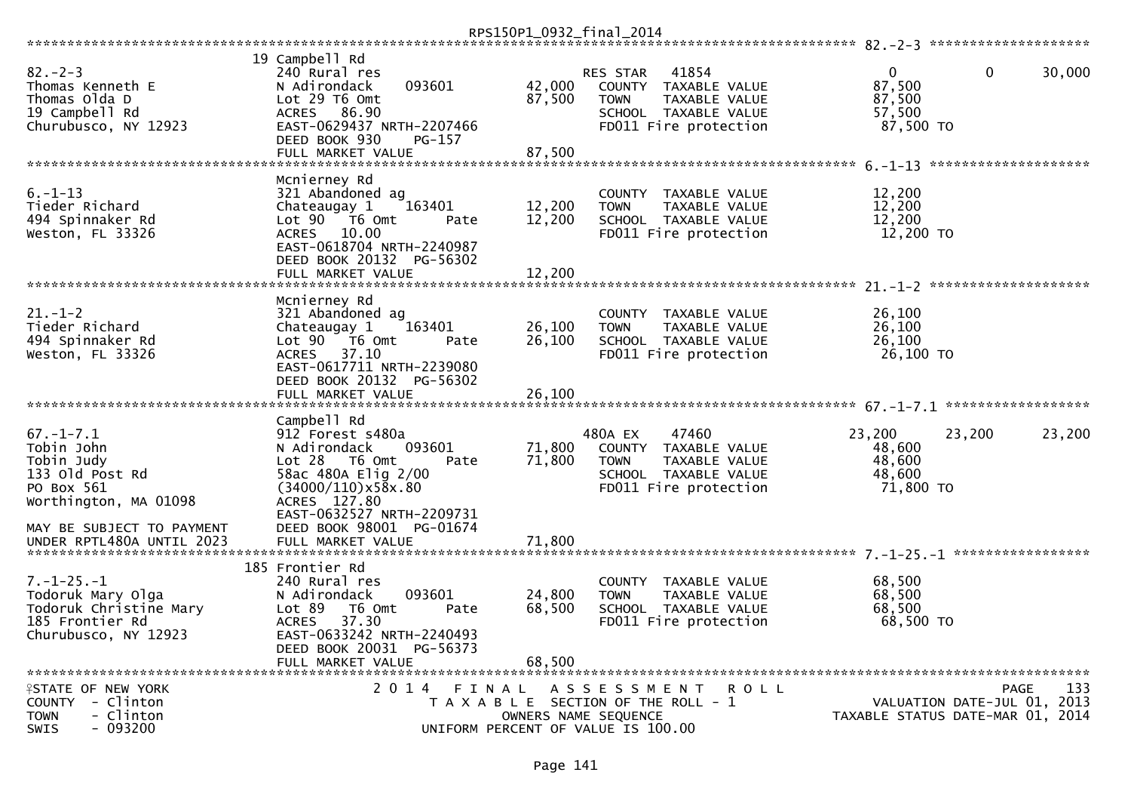| $82 - 2 - 3$<br>Thomas Kenneth E<br>Thomas Olda D<br>19 Campbell Rd                                                                | 19 Campbell Rd<br>240 Rural res<br>093601<br>N Adirondack<br>Lot 29 T6 Omt<br>ACRES 86.90                                                                                                                  | 42,000<br>87,500           | RES STAR<br><b>TOWN</b> | 41854<br>COUNTY TAXABLE VALUE<br>TAXABLE VALUE<br>SCHOOL TAXABLE VALUE<br>FD011 Fire protection | $\mathbf{0}$<br>87,500<br>87,500<br>57,500        | $\mathbf 0$                                | 30,000 |
|------------------------------------------------------------------------------------------------------------------------------------|------------------------------------------------------------------------------------------------------------------------------------------------------------------------------------------------------------|----------------------------|-------------------------|-------------------------------------------------------------------------------------------------|---------------------------------------------------|--------------------------------------------|--------|
| Churubusco, NY 12923                                                                                                               | EAST-0629437 NRTH-2207466<br>DEED BOOK 930<br>PG-157<br>FULL MARKET VALUE                                                                                                                                  | 87,500                     |                         |                                                                                                 | 87,500 TO                                         |                                            |        |
|                                                                                                                                    |                                                                                                                                                                                                            |                            |                         |                                                                                                 |                                                   |                                            |        |
| $6. - 1 - 13$<br>Tieder Richard<br>494 Spinnaker Rd<br>Weston, FL 33326                                                            | Mcnierney Rd<br>321 Abandoned ag<br>163401<br>Chateaugay 1<br>Lot 90 T6 Omt<br>Pate<br>ACRES 10.00<br>EAST-0618704 NRTH-2240987<br>DEED BOOK 20132 PG-56302<br>FULL MARKET VALUE                           | 12,200<br>12,200<br>12,200 | <b>TOWN</b>             | COUNTY TAXABLE VALUE<br>TAXABLE VALUE<br>SCHOOL TAXABLE VALUE<br>FD011 Fire protection          | 12,200<br>12,200<br>12,200<br>12,200 TO           |                                            |        |
|                                                                                                                                    | Mcnierney Rd                                                                                                                                                                                               |                            |                         |                                                                                                 |                                                   |                                            |        |
| $21. - 1 - 2$<br>Tieder Richard<br>494 Spinnaker Rd<br>Weston, FL 33326                                                            | 321 Abandoned ag<br>163401<br>Chateaugay 1<br>Lot 90  T6 0mt<br>Pate<br>ACRES 37.10<br>EAST-0617711 NRTH-2239080<br>DEED BOOK 20132 PG-56302                                                               | 26,100<br>26,100           | <b>TOWN</b>             | COUNTY TAXABLE VALUE<br>TAXABLE VALUE<br>SCHOOL TAXABLE VALUE<br>FD011 Fire protection          | 26,100<br>26,100<br>26,100<br>26,100 TO           |                                            |        |
|                                                                                                                                    | FULL MARKET VALUE                                                                                                                                                                                          | 26,100                     |                         |                                                                                                 |                                                   |                                            |        |
|                                                                                                                                    |                                                                                                                                                                                                            |                            |                         |                                                                                                 |                                                   |                                            |        |
| $67. - 1 - 7.1$<br>Tobin John<br>Tobin Judy<br>133 Old Post Rd<br>PO Box 561<br>Worthington, MA 01098<br>MAY BE SUBJECT TO PAYMENT | Campbell Rd<br>912 Forest s480a<br>093601<br>N Adirondack<br>$Lot 28$ T6 Omt<br>Pate<br>58ac 480A Elig 2/00<br>(34000/110)x58x.80<br>ACRES 127.80<br>EAST-0632527 NRTH-2209731<br>DEED BOOK 98001 PG-01674 | 71,800<br>71,800           | 480A EX<br><b>TOWN</b>  | 47460<br>COUNTY TAXABLE VALUE<br>TAXABLE VALUE<br>SCHOOL TAXABLE VALUE<br>FD011 Fire protection | 23,200<br>48,600<br>48,600<br>48,600<br>71,800 TO | 23,200                                     | 23,200 |
| UNDER RPTL480A UNTIL 2023                                                                                                          | FULL MARKET VALUE                                                                                                                                                                                          | 71,800                     |                         |                                                                                                 |                                                   |                                            |        |
|                                                                                                                                    |                                                                                                                                                                                                            |                            |                         |                                                                                                 |                                                   |                                            |        |
| $7. - 1 - 25. - 1$<br>Todoruk Mary Olga<br>Todoruk Christine Mary<br>185 Frontier Rd<br>Churubusco, NY 12923                       | 185 Frontier Rd<br>240 Rural res<br>093601<br>N Adirondack<br>Lot 89<br>T6 Omt<br>Pate<br>37.30<br><b>ACRES</b><br>EAST-0633242 NRTH-2240493<br>DEED BOOK 20031 PG-56373<br>FULL MARKET VALUE              | 24,800<br>68,500<br>68,500 | <b>TOWN</b>             | COUNTY TAXABLE VALUE<br>TAXABLE VALUE<br>SCHOOL TAXABLE VALUE<br>FD011 Fire protection          | 68,500<br>68,500<br>68,500<br>68,500 TO           |                                            |        |
| <b>ISTATE OF NEW YORK</b><br>COUNTY - Clinton<br>- Clinton<br>TOWN<br>$-093200$<br>SWIS                                            | 2014 FINAL<br>UNIFORM PERCENT OF VALUE IS 100.00                                                                                                                                                           |                            | OWNERS NAME SEQUENCE    | A S S E S S M E N T R O L L<br>T A X A B L E SECTION OF THE ROLL - 1                            | TAXABLE STATUS DATE-MAR 01, 2014                  | <b>PAGE</b><br>VALUATION DATE-JUL 01, 2013 | 133    |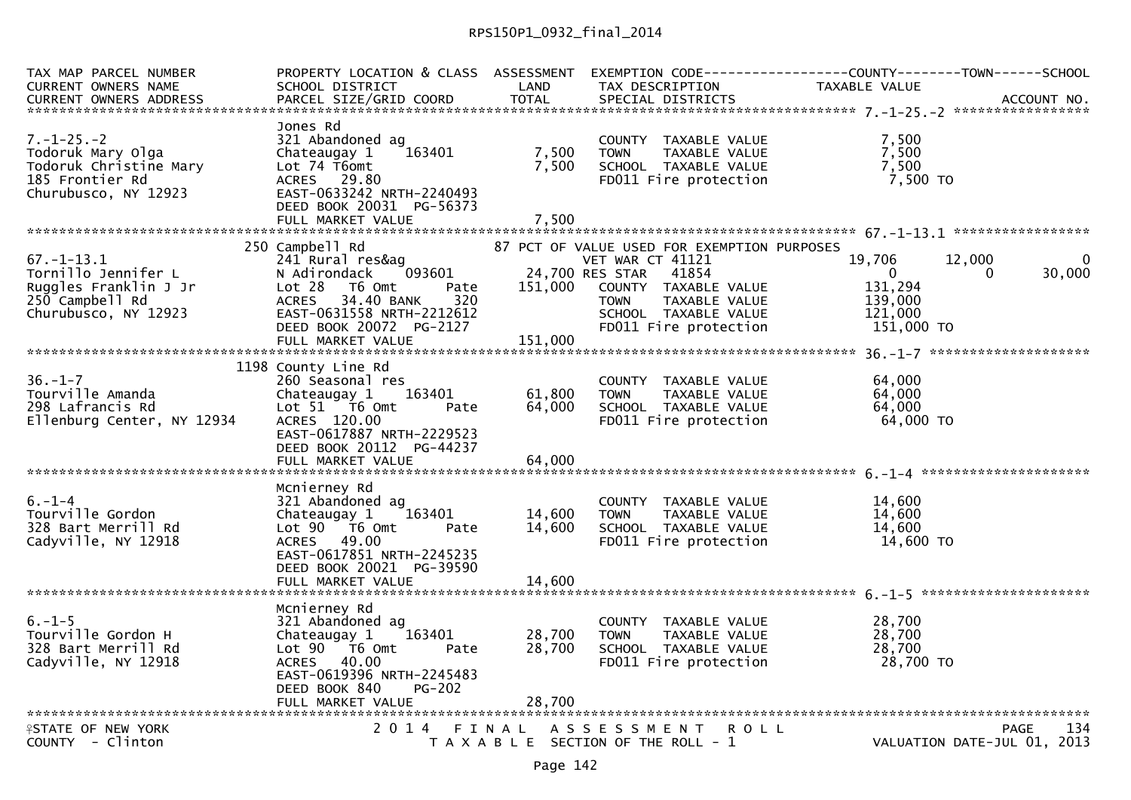| TAX MAP PARCEL NUMBER<br><b>CURRENT OWNERS NAME</b><br><b>CURRENT OWNERS ADDRESS</b>                         | SCHOOL DISTRICT<br>PARCEL SIZE/GRID COORD                                                                                                                                                                   | LAND<br><b>TOTAL</b>       | TAX DESCRIPTION<br>SPECIAL DISTRICTS                                                                                                                                                                 | PROPERTY LOCATION & CLASS ASSESSMENT EXEMPTION CODE----------------COUNTY--------TOWN------SCHOOL<br>TAXABLE VALUE | ACCOUNT NO.             |
|--------------------------------------------------------------------------------------------------------------|-------------------------------------------------------------------------------------------------------------------------------------------------------------------------------------------------------------|----------------------------|------------------------------------------------------------------------------------------------------------------------------------------------------------------------------------------------------|--------------------------------------------------------------------------------------------------------------------|-------------------------|
| $7. - 1 - 25. - 2$<br>Todoruk Mary Olga<br>Todoruk Christine Mary<br>185 Frontier Rd<br>Churubusco, NY 12923 | Jones Rd<br>321 Abandoned ag<br>Chateaugay 1<br>163401<br>Lot 74 T6omt<br>ACRES 29.80<br>EAST-0633242 NRTH-2240493<br>DEED BOOK 20031 PG-56373                                                              | 7,500<br>7,500             | COUNTY TAXABLE VALUE<br>TAXABLE VALUE<br><b>TOWN</b><br>SCHOOL TAXABLE VALUE<br>FD011 Fire protection                                                                                                | 7,500<br>7,500<br>7,500<br>7,500 TO                                                                                |                         |
|                                                                                                              |                                                                                                                                                                                                             |                            |                                                                                                                                                                                                      |                                                                                                                    |                         |
| $67. - 1 - 13.1$<br>Tornillo Jennifer L<br>Ruggles Franklin J Jr<br>250 Campbell Rd<br>Churubusco, NY 12923  | 250 Campbell Rd<br>241 Rural res&ag<br>N Adirondack<br>093601<br>Lot 28<br>T6 Omt<br>Pate<br><b>ACRES</b><br>34.40 BANK<br>320<br>EAST-0631558 NRTH-2212612<br>DEED BOOK 20072 PG-2127<br>FULL MARKET VALUE | 151,000<br>151,000         | 87 PCT OF VALUE USED FOR EXEMPTION PURPOSES<br>VET WAR CT 41121<br>24,700 RES STAR<br>41854<br>COUNTY TAXABLE VALUE<br>TAXABLE VALUE<br><b>TOWN</b><br>SCHOOL TAXABLE VALUE<br>FD011 Fire protection | 19,706<br>12,000<br>$\overline{0}$<br>131,294<br>139,000<br>121,000<br>151,000 TO                                  | $\Omega$<br>30,000<br>0 |
| $36. - 1 - 7$<br>Tourville Amanda<br>298 Lafrancis Rd<br>Ellenburg Center, NY 12934                          | 1198 County Line Rd<br>260 Seasonal res<br>163401<br>Chateaugay 1<br>Lot 51 76 0mt<br>Pate<br>ACRES 120.00<br>EAST-0617887 NRTH-2229523<br>DEED BOOK 20112 PG-44237<br>FULL MARKET VALUE                    | 61,800<br>64,000<br>64,000 | COUNTY TAXABLE VALUE<br><b>TOWN</b><br>TAXABLE VALUE<br>SCHOOL TAXABLE VALUE<br>FD011 Fire protection                                                                                                | 64,000<br>64,000<br>64,000<br>64,000 TO                                                                            |                         |
| $6. - 1 - 4$<br>Tourville Gordon<br>328 Bart Merrill Rd<br>Cadyville, NY 12918                               | Mcnierney Rd<br>321 Abandoned ag<br>Chateaugay 1<br>163401<br>Lot 90 76 0<br>Pate<br>ACRES 49.00<br>EAST-0617851 NRTH-2245235<br>DEED BOOK 20021 PG-39590                                                   | 14,600<br>14,600           | COUNTY TAXABLE VALUE<br><b>TOWN</b><br>TAXABLE VALUE<br>SCHOOL TAXABLE VALUE<br>FD011 Fire protection                                                                                                | 14,600<br>14,600<br>14.600<br>14,600 TO                                                                            |                         |
| $6. - 1 - 5$<br>Tourville Gordon H<br>328 Bart Merrill Rd<br>Cadyville, NY 12918                             | Mcnierney Rd<br>321 Abandoned ag<br>163401<br>Chateaugay 1<br>Lot 90  T6 0mt<br>Pate<br>ACRES 40.00<br>EAST-0619396 NRTH-2245483<br><b>PG-202</b><br>DEED BOOK 840                                          | 28,700<br>28,700           | COUNTY TAXABLE VALUE<br><b>TOWN</b><br>TAXABLE VALUE<br>SCHOOL TAXABLE VALUE<br>FD011 Fire protection                                                                                                | 28,700<br>28,700<br>28,700<br>28,700 TO                                                                            |                         |
| <b>ISTATE OF NEW YORK</b><br>COUNTY - Clinton                                                                | 2014 FINAL                                                                                                                                                                                                  |                            | A S S E S S M E N T<br><b>ROLL</b><br>T A X A B L E SECTION OF THE ROLL - 1                                                                                                                          | VALUATION DATE-JUL 01, 2013                                                                                        | 134<br>PAGE             |
|                                                                                                              |                                                                                                                                                                                                             |                            |                                                                                                                                                                                                      |                                                                                                                    |                         |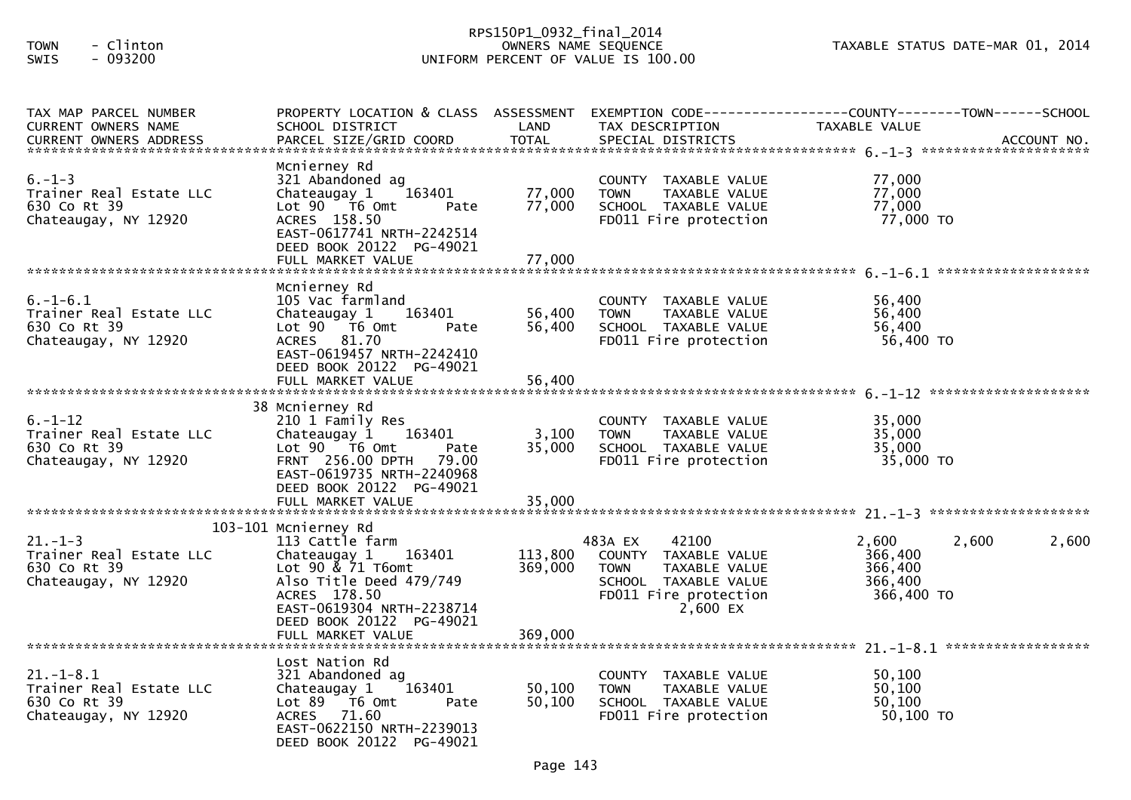## RPS150P1\_0932\_final\_2014 TOWN - Clinton OWNERS NAME SEQUENCE TAXABLE STATUS DATE-MAR 01, 2014SWIS - 093200 UNIFORM PERCENT OF VALUE IS 100.00

| TAX MAP PARCEL NUMBER<br>CURRENT OWNERS NAME                                     | PROPERTY LOCATION & CLASS ASSESSMENT<br>SCHOOL DISTRICT                                                                                                                                        | LAND                       | TAX DESCRIPTION                                                                                                                       | EXEMPTION CODE------------------COUNTY--------TOWN------SCHOOL<br>TAXABLE VALUE |
|----------------------------------------------------------------------------------|------------------------------------------------------------------------------------------------------------------------------------------------------------------------------------------------|----------------------------|---------------------------------------------------------------------------------------------------------------------------------------|---------------------------------------------------------------------------------|
| $6. - 1 - 3$<br>Trainer Real Estate LLC<br>630 Co Rt 39<br>Chateaugay, NY 12920  | Mcnierney Rd<br>321 Abandoned ag<br>Chateaugay 1<br>163401<br>Lot 90 T6 Omt<br>Pate<br>ACRES 158.50<br>EAST-0617741 NRTH-2242514<br>DEED BOOK 20122 PG-49021<br>FULL MARKET VALUE              | 77,000<br>77,000<br>77,000 | COUNTY TAXABLE VALUE<br>TAXABLE VALUE<br><b>TOWN</b><br>SCHOOL TAXABLE VALUE<br>FD011 Fire protection                                 | 77,000<br>77,000<br>77,000<br>77,000 TO                                         |
|                                                                                  | Mcnierney Rd                                                                                                                                                                                   |                            |                                                                                                                                       |                                                                                 |
| $6. -1 - 6.1$<br>Trainer Real Estate LLC<br>630 Co Rt 39<br>Chateaugay, NY 12920 | 105 Vac farmland<br>Chateaugay 1<br>163401<br>Lot 90 T6 Omt<br>Pate<br>ACRES 81.70<br>EAST-0619457 NRTH-2242410                                                                                | 56,400<br>56,400           | COUNTY TAXABLE VALUE<br><b>TOWN</b><br>TAXABLE VALUE<br>SCHOOL TAXABLE VALUE<br>FD011 Fire protection                                 | 56,400<br>56,400<br>56,400<br>56,400 TO                                         |
|                                                                                  | DEED BOOK 20122 PG-49021<br>FULL MARKET VALUE                                                                                                                                                  | 56,400                     |                                                                                                                                       |                                                                                 |
|                                                                                  | 38 Mcnierney Rd                                                                                                                                                                                |                            |                                                                                                                                       |                                                                                 |
| $6. - 1 - 12$<br>Trainer Real Estate LLC<br>630 Co Rt 39<br>Chateaugay, NY 12920 | 210 1 Family Res<br>Chateaugay 1 163401<br>Lot $90$ $\overline{76}$ Omt<br>Pate<br>FRNT 256.00 DPTH 79.00<br>EAST-0619735 NRTH-2240968                                                         | 3,100<br>35,000            | COUNTY TAXABLE VALUE<br><b>TOWN</b><br>TAXABLE VALUE<br>SCHOOL TAXABLE VALUE<br>FD011 Fire protection                                 | 35,000<br>35,000<br>35,000<br>35,000 TO                                         |
|                                                                                  | DEED BOOK 20122 PG-49021<br>FULL MARKET VALUE                                                                                                                                                  | 35,000                     |                                                                                                                                       |                                                                                 |
|                                                                                  |                                                                                                                                                                                                |                            |                                                                                                                                       |                                                                                 |
| $21. - 1 - 3$<br>Trainer Real Estate LLC<br>630 Co Rt 39<br>Chateaugay, NY 12920 | 103-101 Mcnierney Rd<br>113 Cattle farm<br>Chateaugay 1 163401<br>Lot $90 \times 71$ T6omt<br>Also Title Deed 479/749<br>ACRES 178.50<br>EAST-0619304 NRTH-2238714<br>DEED BOOK 20122 PG-49021 | 113,800<br>369,000         | 42100<br>483A EX<br>COUNTY TAXABLE VALUE<br>TAXABLE VALUE<br><b>TOWN</b><br>SCHOOL TAXABLE VALUE<br>FD011 Fire protection<br>2,600 EX | 2,600<br>2,600<br>2,600<br>366,400<br>366,400<br>366,400<br>366,400 TO          |
|                                                                                  |                                                                                                                                                                                                |                            |                                                                                                                                       |                                                                                 |
| $21.-1-8.1$<br>Trainer Real Estate LLC<br>630 Co Rt 39<br>Chateaugay, NY 12920   | Lost Nation Rd<br>321 Abandoned ag<br>163401<br>Chateaugay 1<br>Lot 89 T6 Omt<br>Pate<br>ACRES 71.60<br>EAST-0622150 NRTH-2239013<br>DEED BOOK 20122 PG-49021                                  | 50,100<br>50,100           | COUNTY TAXABLE VALUE<br><b>TOWN</b><br>TAXABLE VALUE<br>SCHOOL TAXABLE VALUE<br>FD011 Fire protection                                 | 50,100<br>50,100<br>50,100<br>$50,100$ TO                                       |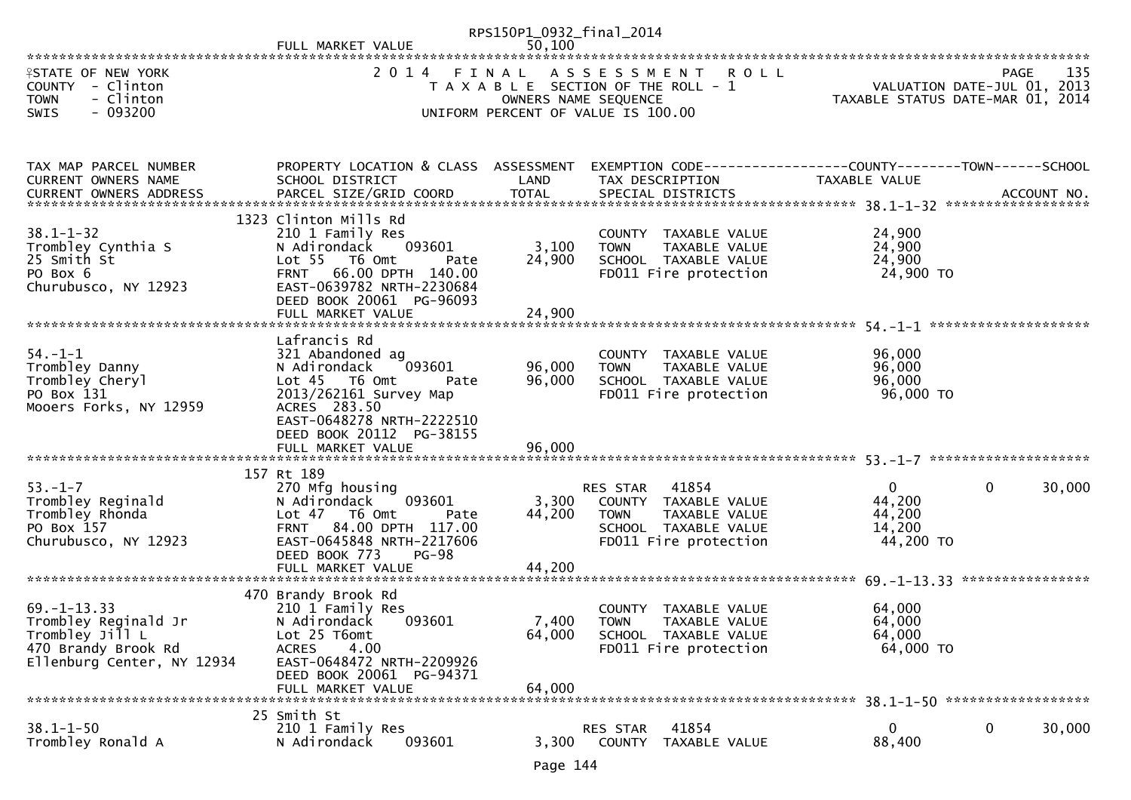|                                                                                                                   |                                                                                                                                                                                                                | RPS150P1_0932_final_2014  |                                                                                                                            |                                                     |                                                   |
|-------------------------------------------------------------------------------------------------------------------|----------------------------------------------------------------------------------------------------------------------------------------------------------------------------------------------------------------|---------------------------|----------------------------------------------------------------------------------------------------------------------------|-----------------------------------------------------|---------------------------------------------------|
| <b>ISTATE OF NEW YORK</b><br>COUNTY - Clinton<br>- Clinton<br><b>TOWN</b><br>SWIS<br>- 093200                     | 2014 FINAL                                                                                                                                                                                                     |                           | ASSESSMENT ROLL<br>T A X A B L E SECTION OF THE ROLL - 1<br>OWNERS NAME SEQUENCE<br>UNIFORM PERCENT OF VALUE IS 100.00     | TAXABLE STATUS DATE-MAR 01, 2014                    | 135<br><b>PAGE</b><br>VALUATION DATE-JUL 01, 2013 |
| TAX MAP PARCEL NUMBER<br>CURRENT OWNERS NAME<br><b>CURRENT OWNERS ADDRESS</b>                                     | PROPERTY LOCATION & CLASS ASSESSMENT<br>SCHOOL DISTRICT                                                                                                                                                        | LAND                      | EXEMPTION CODE------------------COUNTY--------TOWN------SCHOOL<br>TAX DESCRIPTION                                          | TAXABLE VALUE                                       |                                                   |
| $38.1 - 1 - 32$<br>Trombley Cynthia S<br>25 Smith St<br>PO Box 6<br>Churubusco, NY 12923                          | 1323 Clinton Mills Rd<br>210 1 Family Res<br>N Adirondack<br>093601<br>Lot 55 T6 Omt<br>Pate<br>66.00 DPTH 140.00<br><b>FRNT</b><br>EAST-0639782 NRTH-2230684<br>DEED BOOK 20061 PG-96093<br>FULL MARKET VALUE | 3,100<br>24,900<br>24,900 | COUNTY TAXABLE VALUE<br><b>TOWN</b><br>TAXABLE VALUE<br>SCHOOL TAXABLE VALUE<br>FD011 Fire protection                      | 24,900<br>24,900<br>24,900<br>24,900 TO             |                                                   |
| $54. - 1 - 1$<br>Trombley Danny<br>Trombley Cheryl<br>PO Box 131<br>Mooers Forks, NY 12959                        | Lafrancis Rd<br>321 Abandoned ag<br>N Adirondack<br>093601<br>Lot 45  T6 Omt<br>Pate<br>2013/262161 Survey Map<br>ACRES 283.50<br>EAST-0648278 NRTH-2222510<br>DEED BOOK 20112 PG-38155                        | 96,000<br>96,000          | COUNTY TAXABLE VALUE<br>TAXABLE VALUE<br><b>TOWN</b><br>SCHOOL TAXABLE VALUE<br>FD011 Fire protection                      | 96,000<br>96,000<br>96,000<br>96,000 TO             |                                                   |
| $53. - 1 - 7$<br>Trombley Reginald<br>Trombley Rhonda<br>PO Box 157<br>Churubusco, NY 12923                       | 157 Rt 189<br>270 Mfg housing<br>093601<br>N Adirondack<br>Lot 47 T6 Omt<br>Pate<br>84.00 DPTH 117.00<br><b>FRNT</b><br>EAST-0645848 NRTH-2217606<br>DEED BOOK 773<br>$PG-98$<br>FULL MARKET VALUE             | 3,300<br>44,200<br>44,200 | RES STAR<br>41854<br>COUNTY TAXABLE VALUE<br><b>TOWN</b><br>TAXABLE VALUE<br>SCHOOL TAXABLE VALUE<br>FD011 Fire protection | $\Omega$<br>44,200<br>44,200<br>14,200<br>44,200 TO | 30,000<br>$\mathbf{0}$                            |
| $69. - 1 - 13.33$<br>Trombley Reginald Jr<br>Trombley Jill L<br>470 Brandy Brook Rd<br>Ellenburg Center, NY 12934 | 470 Brandy Brook Rd<br>210 1 Family Res<br>N Adirondack<br>093601<br>Lot 25 T6omt<br>4.00<br><b>ACRES</b><br>EAST-0648472 NRTH-2209926<br>DEED BOOK 20061 PG-94371<br>FULL MARKET VALUE                        | 64,000<br>64,000          | COUNTY TAXABLE VALUE<br>7,400 TOWN<br>TAXABLE VALUE<br>SCHOOL TAXABLE VALUE<br>FD011 Fire protection                       | 64,000<br>64,000<br>64,000<br>64,000 TO             |                                                   |
| $38.1 - 1 - 50$<br>Trombley Ronald A                                                                              | 25 Smith St<br>210 1 Family Res<br>093601<br>N Adirondack                                                                                                                                                      | 3,300                     | 41854<br>RES STAR<br><b>COUNTY</b><br>TAXABLE VALUE                                                                        | $\bf{0}$<br>88,400                                  | 30,000<br>0                                       |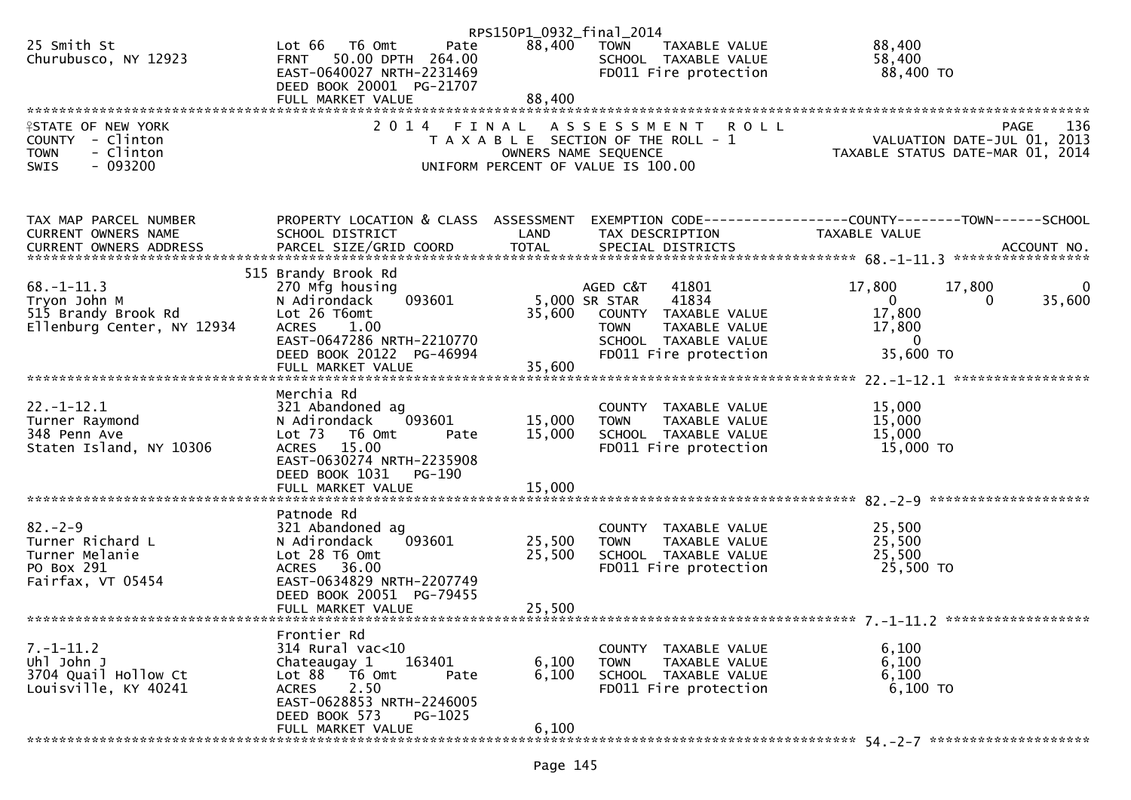|                            |                                      | RPS150P1_0932_final_2014 |                                       |                                                              |
|----------------------------|--------------------------------------|--------------------------|---------------------------------------|--------------------------------------------------------------|
| 25 Smith St                | Lot 66  T6 0mt<br>Pate               | 88,400                   | TOWN<br>TAXABLE VALUE                 | 88,400                                                       |
| Churubusco, NY 12923       | FRNT 50.00 DPTH 264.00               |                          | SCHOOL TAXABLE VALUE                  | 58,400                                                       |
|                            | EAST-0640027 NRTH-2231469            |                          | FD011 Fire protection                 | 88,400 TO                                                    |
|                            | DEED BOOK 20001 PG-21707             |                          |                                       |                                                              |
|                            | FULL MARKET VALUE                    | 88,400                   |                                       |                                                              |
|                            |                                      |                          |                                       |                                                              |
| <b>ISTATE OF NEW YORK</b>  | 2014 FINAL                           |                          | ASSESSMENT ROLL                       | 136<br><b>PAGE</b>                                           |
| COUNTY - Clinton           |                                      |                          | T A X A B L E SECTION OF THE ROLL - 1 | VALUATION DATE-JUL 01, 2013                                  |
| <b>TOWN</b><br>- Clinton   |                                      |                          | OWNERS NAME SEQUENCE                  | TAXABLE STATUS DATE-MAR 01, 2014                             |
| $-093200$<br><b>SWIS</b>   |                                      |                          | UNIFORM PERCENT OF VALUE IS 100.00    |                                                              |
|                            |                                      |                          |                                       |                                                              |
|                            |                                      |                          |                                       |                                                              |
|                            |                                      |                          |                                       |                                                              |
| TAX MAP PARCEL NUMBER      | PROPERTY LOCATION & CLASS ASSESSMENT |                          |                                       | EXEMPTION CODE-----------------COUNTY-------TOWN------SCHOOL |
| CURRENT OWNERS NAME        | SCHOOL DISTRICT                      | LAND                     | TAX DESCRIPTION                       | TAXABLE VALUE                                                |
|                            |                                      |                          |                                       |                                                              |
|                            |                                      |                          |                                       |                                                              |
|                            | 515 Brandy Brook Rd                  |                          |                                       |                                                              |
| $68. - 1 - 11.3$           | 270 Mfg housing                      |                          | AGED C&T<br>41801                     | 17,800<br>17,800<br>0                                        |
| Tryon John M               | 093601<br>N Adirondack               |                          | 5,000 SR STAR<br>41834                | 35,600<br>$\mathbf{0}$<br>0                                  |
| 515 Brandy Brook Rd        | Lot 26 T6omt                         | 35,600                   | COUNTY TAXABLE VALUE                  | 17,800                                                       |
| Ellenburg Center, NY 12934 | <b>ACRES</b><br>1.00                 |                          | <b>TOWN</b><br>TAXABLE VALUE          | 17,800                                                       |
|                            | EAST-0647286 NRTH-2210770            |                          | SCHOOL TAXABLE VALUE                  | $\mathbf{0}$                                                 |
|                            | DEED BOOK 20122 PG-46994             |                          | FD011 Fire protection                 | 35,600 TO                                                    |
|                            |                                      |                          |                                       |                                                              |
|                            | Merchia Rd                           |                          |                                       |                                                              |
| $22. - 1 - 12.1$           | 321 Abandoned ag                     |                          | COUNTY TAXABLE VALUE                  | 15,000                                                       |
| Turner Raymond             | N Adirondack<br>093601               | 15,000                   | TAXABLE VALUE<br><b>TOWN</b>          | 15,000                                                       |
| 348 Penn Ave               | Lot 73 T6 Omt<br>Pate                | 15,000                   | SCHOOL TAXABLE VALUE                  | 15,000                                                       |
| Staten Island, NY 10306    | ACRES 15.00                          |                          | FD011 Fire protection                 | 15,000 TO                                                    |
|                            | EAST-0630274 NRTH-2235908            |                          |                                       |                                                              |
|                            | DEED BOOK 1031<br>PG-190             |                          |                                       |                                                              |
|                            |                                      |                          |                                       |                                                              |
|                            |                                      |                          |                                       |                                                              |
|                            | Patnode Rd                           |                          |                                       |                                                              |
| $82 - 2 - 9$               | 321 Abandoned ag                     |                          | COUNTY TAXABLE VALUE                  | 25,500                                                       |
| Turner Richard L           | 093601<br>N Adirondack               | 25,500                   | <b>TOWN</b><br>TAXABLE VALUE          | 25,500                                                       |
| Turner Melanie             | Lot 28 T6 Omt                        | 25,500                   | SCHOOL TAXABLE VALUE                  | 25,500                                                       |
| PO Box 291                 | ACRES 36.00                          |                          | FD011 Fire protection                 | 25,500 TO                                                    |
| Fairfax, VT 05454          | EAST-0634829 NRTH-2207749            |                          |                                       |                                                              |
|                            | DEED BOOK 20051 PG-79455             |                          |                                       |                                                              |
|                            | FULL MARKET VALUE                    | 25,500                   |                                       |                                                              |
|                            |                                      |                          |                                       |                                                              |
|                            | Frontier Rd                          |                          |                                       |                                                              |
| $7. - 1 - 11.2$            | 314 Rural vac<10                     |                          | COUNTY TAXABLE VALUE                  | 6,100                                                        |
| Uhl John J                 | Chateaugay 1<br>163401               | 6,100                    | <b>TOWN</b><br>TAXABLE VALUE          | 6,100                                                        |
| 3704 Quail Hollow Ct       | Lot 88<br>T6 Omt<br>Pate             | 6,100                    | SCHOOL TAXABLE VALUE                  | 6,100                                                        |
| Louisville, KY 40241       | 2.50<br><b>ACRES</b>                 |                          | FD011 Fire protection                 | $6,100$ TO                                                   |
|                            | EAST-0628853 NRTH-2246005            |                          |                                       |                                                              |
|                            | DEED BOOK 573<br>PG-1025             |                          |                                       |                                                              |
|                            | FULL MARKET VALUE                    | 6,100                    |                                       |                                                              |
|                            |                                      |                          |                                       |                                                              |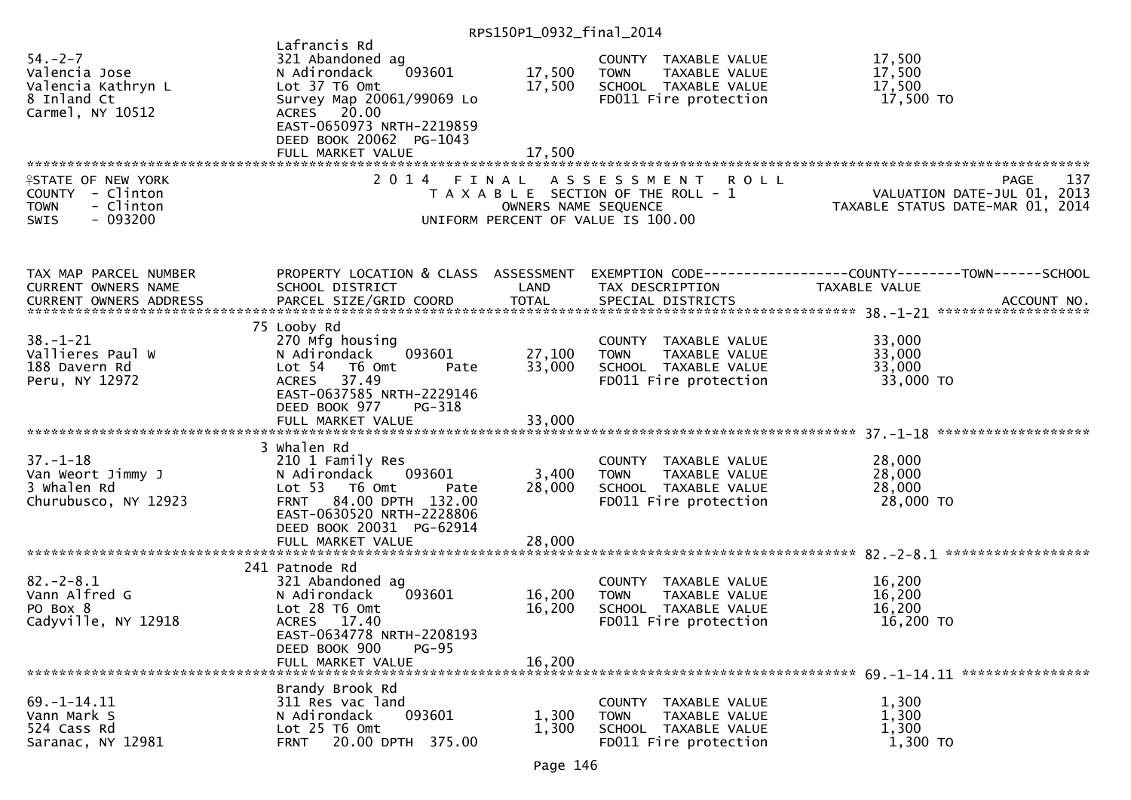| $54. - 2 - 7$<br>Valencia Jose<br>Valencia Kathryn L<br>8 Inland Ct<br>Carmel, NY 10512        | Lafrancis Rd<br>321 Abandoned ag<br>N Adirondack<br>093601<br>Lot 37 T6 Omt<br>Survey Map 20061/99069 Lo<br>20.00<br><b>ACRES</b><br>EAST-0650973 NRTH-2219859<br>DEED BOOK 20062 PG-1043<br>FULL MARKET VALUE | 17,500<br>17,500<br>17,500 | COUNTY TAXABLE VALUE<br><b>TOWN</b><br>TAXABLE VALUE<br>SCHOOL TAXABLE VALUE<br>FD011 Fire protection             | 17,500<br>17,500<br>17,500<br>17,500 TO                                        |
|------------------------------------------------------------------------------------------------|----------------------------------------------------------------------------------------------------------------------------------------------------------------------------------------------------------------|----------------------------|-------------------------------------------------------------------------------------------------------------------|--------------------------------------------------------------------------------|
|                                                                                                |                                                                                                                                                                                                                |                            |                                                                                                                   |                                                                                |
| <b>ISTATE OF NEW YORK</b><br>COUNTY - Clinton<br><b>TOWN</b><br>- Clinton<br>$-093200$<br>SWIS | 2 0 1 4<br>FINAL                                                                                                                                                                                               | OWNERS NAME SEQUENCE       | <b>ROLL</b><br>A S S E S S M E N T<br>T A X A B L E SECTION OF THE ROLL - 1<br>UNIFORM PERCENT OF VALUE IS 100.00 | 137<br>PAGE<br>VALUATION DATE-JUL 01, 2013<br>TAXABLE STATUS DATE-MAR 01, 2014 |
| TAX MAP PARCEL NUMBER                                                                          | PROPERTY LOCATION & CLASS ASSESSMENT                                                                                                                                                                           |                            |                                                                                                                   | EXEMPTION CODE-----------------COUNTY-------TOWN------SCHOOL                   |
| CURRENT OWNERS NAME                                                                            | SCHOOL DISTRICT                                                                                                                                                                                                | LAND                       | TAX DESCRIPTION                                                                                                   | TAXABLE VALUE                                                                  |
|                                                                                                |                                                                                                                                                                                                                |                            |                                                                                                                   |                                                                                |
|                                                                                                |                                                                                                                                                                                                                |                            |                                                                                                                   |                                                                                |
| $38. - 1 - 21$<br>Vallieres Paul W<br>188 Davern Rd<br>Peru, NY 12972                          | 75 Looby Rd<br>270 Mfg housing<br>093601<br>N Adirondack<br>Lot 54 76 0mt<br>Pate<br><b>ACRES</b><br>37.49<br>EAST-0637585 NRTH-2229146                                                                        | 27,100<br>33,000           | COUNTY TAXABLE VALUE<br>TAXABLE VALUE<br><b>TOWN</b><br>SCHOOL TAXABLE VALUE<br>FD011 Fire protection             | 33,000<br>33,000<br>33,000<br>33,000 TO                                        |
|                                                                                                | DEED BOOK 977<br>PG-318                                                                                                                                                                                        |                            |                                                                                                                   |                                                                                |
| $37. - 1 - 18$<br>Van Weort Jimmy J<br>3 Whalen Rd<br>Churubusco, NY 12923                     | 3 Whalen Rd<br>210 1 Family Res<br>093601<br>N Adirondack<br>Lot 53  T6 Omt<br>Pate<br>84.00 DPTH 132.00<br><b>FRNT</b><br>EAST-0630520 NRTH-2228806<br>DEED BOOK 20031 PG-62914                               | 3,400<br>28,000            | COUNTY TAXABLE VALUE<br><b>TOWN</b><br>TAXABLE VALUE<br>SCHOOL TAXABLE VALUE<br>FD011 Fire protection             | 28,000<br>28,000<br>28,000<br>28,000 TO                                        |
|                                                                                                | FULL MARKET VALUE                                                                                                                                                                                              | 28,000                     |                                                                                                                   |                                                                                |
| $82 - 2 - 8.1$<br>Vann Alfred G<br>PO Box 8<br>Cadyville, NY 12918                             | 241 Patnode Rd<br>321 Abandoned ag<br>093601<br>N Adirondack<br>Lot 28 T6 Omt<br>ACRES 17.40<br>EAST-0634778 NRTH-2208193<br>DEED BOOK 900<br>$PG-95$<br>FULL MARKET VALUE                                     | 16,200<br>16,200<br>16,200 | COUNTY TAXABLE VALUE<br>TAXABLE VALUE<br><b>TOWN</b><br>SCHOOL TAXABLE VALUE<br>FD011 Fire protection             | 16,200<br>16,200<br>16,200<br>16,200 TO                                        |
|                                                                                                |                                                                                                                                                                                                                |                            |                                                                                                                   |                                                                                |
| $69. - 1 - 14.11$<br>Vann Mark S<br>524 Cass Rd<br>Saranac, NY 12981                           | Brandy Brook Rd<br>311 Res vac land<br>093601<br>N Adirondack<br>Lot 25 T6 Omt<br>20.00 DPTH 375.00<br><b>FRNT</b>                                                                                             | 1,300<br>1,300             | COUNTY TAXABLE VALUE<br>TAXABLE VALUE<br><b>TOWN</b><br>SCHOOL TAXABLE VALUE<br>FD011 Fire protection             | 1,300<br>1,300<br>1,300<br>1,300 TO                                            |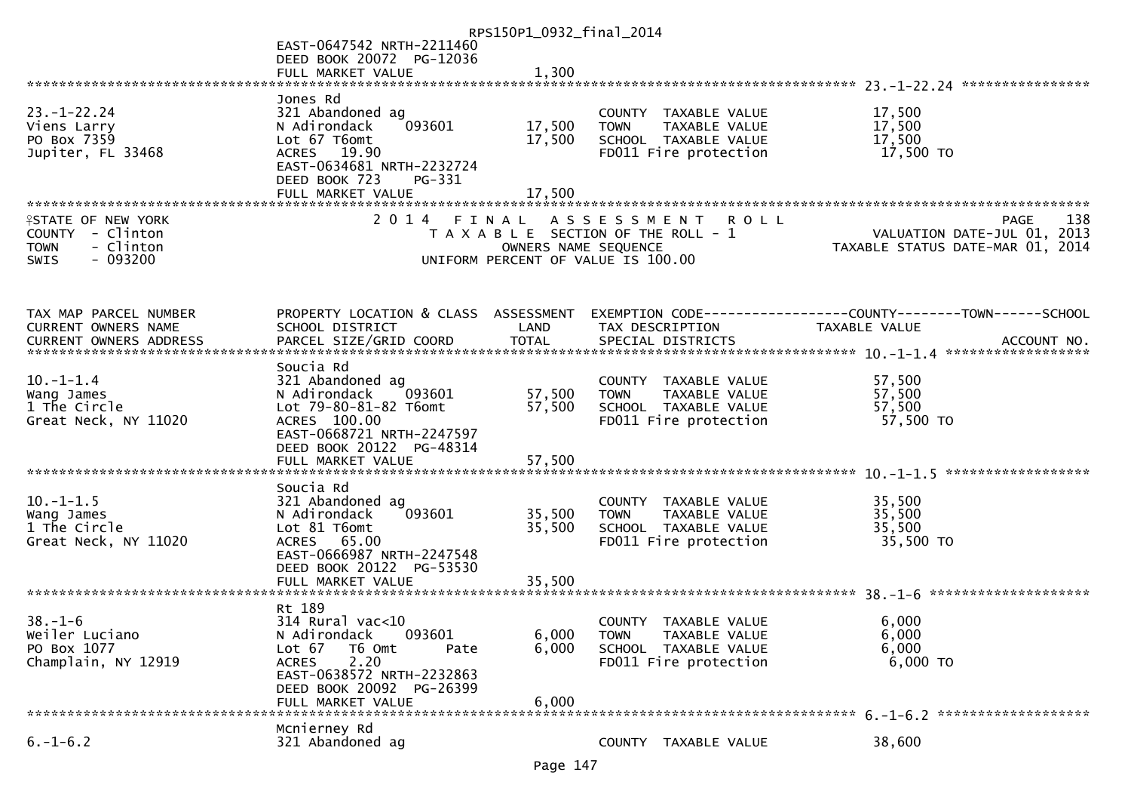|                                  |                                                       | RPS150P1_0932_final_2014 |                                                      |                                                                |
|----------------------------------|-------------------------------------------------------|--------------------------|------------------------------------------------------|----------------------------------------------------------------|
|                                  | EAST-0647542 NRTH-2211460                             |                          |                                                      |                                                                |
|                                  | DEED BOOK 20072 PG-12036                              |                          |                                                      |                                                                |
|                                  | FULL MARKET VALUE                                     | 1,300                    |                                                      |                                                                |
|                                  |                                                       |                          |                                                      |                                                                |
|                                  | Jones Rd                                              |                          |                                                      |                                                                |
| $23 - 1 - 22.24$                 | 321 Abandoned ag                                      |                          | COUNTY TAXABLE VALUE                                 | 17,500                                                         |
| Viens Larry                      | 093601<br>N Adirondack                                | 17,500                   | TAXABLE VALUE<br><b>TOWN</b>                         | 17,500                                                         |
| PO Box 7359<br>Jupiter, FL 33468 | Lot 67 T6omt<br>ACRES 19.90                           | 17,500                   | SCHOOL TAXABLE VALUE<br>FD011 Fire protection        | 17,500<br>17,500 TO                                            |
|                                  | EAST-0634681 NRTH-2232724                             |                          |                                                      |                                                                |
|                                  | DEED BOOK 723<br>PG-331                               |                          |                                                      |                                                                |
|                                  | FULL MARKET VALUE                                     | 17,500                   |                                                      |                                                                |
|                                  |                                                       |                          |                                                      |                                                                |
| <b>ISTATE OF NEW YORK</b>        |                                                       |                          | 2014 FINAL ASSESSMENT<br><b>ROLL</b>                 | 138<br>PAGE                                                    |
| COUNTY - Clinton                 |                                                       |                          | T A X A B L E SECTION OF THE ROLL - 1                | VALUATION DATE-JUL 01, 2013                                    |
| - Clinton<br><b>TOWN</b>         |                                                       | OWNERS NAME SEQUENCE     |                                                      | TAXABLE STATUS DATE-MAR 01, 2014                               |
| $-093200$<br><b>SWIS</b>         |                                                       |                          | UNIFORM PERCENT OF VALUE IS 100.00                   |                                                                |
|                                  |                                                       |                          |                                                      |                                                                |
|                                  |                                                       |                          |                                                      |                                                                |
|                                  |                                                       |                          |                                                      |                                                                |
| TAX MAP PARCEL NUMBER            | PROPERTY LOCATION & CLASS ASSESSMENT                  |                          |                                                      | EXEMPTION CODE------------------COUNTY--------TOWN------SCHOOL |
| CURRENT OWNERS NAME              | SCHOOL DISTRICT                                       | LAND                     | TAX DESCRIPTION                                      | TAXABLE VALUE                                                  |
|                                  |                                                       |                          |                                                      |                                                                |
|                                  | Soucia Rd                                             |                          |                                                      |                                                                |
| $10. - 1 - 1.4$                  | 321 Abandoned ag                                      |                          | COUNTY TAXABLE VALUE                                 | 57,500                                                         |
| Wang James                       | 093601<br>N Adirondack                                | 57,500                   | TAXABLE VALUE<br><b>TOWN</b>                         | 57,500                                                         |
| 1 The Circle                     | Lot 79-80-81-82 T6omt                                 | 57,500                   | SCHOOL TAXABLE VALUE                                 | 57,500                                                         |
| Great Neck, NY 11020             | ACRES 100.00                                          |                          | FD011 Fire protection                                | 57,500 TO                                                      |
|                                  | EAST-0668721 NRTH-2247597                             |                          |                                                      |                                                                |
|                                  | DEED BOOK 20122 PG-48314                              |                          |                                                      |                                                                |
|                                  |                                                       |                          |                                                      |                                                                |
|                                  |                                                       |                          |                                                      | ******************                                             |
| $10. -1 - 1.5$                   | Soucia Rd                                             |                          |                                                      |                                                                |
|                                  | 321 Abandoned ag<br>093601<br>N Adirondack            | 35,500                   | COUNTY TAXABLE VALUE<br>TAXABLE VALUE<br><b>TOWN</b> | 35,500<br>35,500                                               |
| Wang James<br>1 The Circle       | Lot 81 T6omt                                          | 35,500                   | SCHOOL TAXABLE VALUE                                 | 35,500                                                         |
| Great Neck, NY 11020             | ACRES 65.00                                           |                          | FD011 Fire protection                                | 35,500 TO                                                      |
|                                  | EAST-0666987 NRTH-2247548                             |                          |                                                      |                                                                |
|                                  | DEED BOOK 20122 PG-53530                              |                          |                                                      |                                                                |
|                                  | FULL MARKET VALUE                                     | 35,500                   |                                                      |                                                                |
|                                  |                                                       |                          |                                                      |                                                                |
|                                  | Rt 189                                                |                          |                                                      |                                                                |
| $38. - 1 - 6$                    | 314 Rural vac<10                                      |                          | COUNTY TAXABLE VALUE                                 | 6,000                                                          |
| Weiler Luciano                   | 093601<br>N Adirondack                                | 6,000                    | TAXABLE VALUE<br>TOWN                                | 6,000                                                          |
| PO Box 1077                      | Lot $67$<br>T6 Omt<br>Pate                            | 6,000                    | SCHOOL TAXABLE VALUE                                 | 6,000                                                          |
| Champlain, NY 12919              | 2.20<br><b>ACRES</b>                                  |                          | FD011 Fire protection                                | 6,000 TO                                                       |
|                                  | EAST-0638572 NRTH-2232863<br>DEED BOOK 20092 PG-26399 |                          |                                                      |                                                                |
|                                  | FULL MARKET VALUE                                     | 6,000                    |                                                      |                                                                |
|                                  |                                                       |                          |                                                      |                                                                |
|                                  | Mcnierney Rd                                          |                          |                                                      |                                                                |
| $6. -1 - 6.2$                    | 321 Abandoned ag                                      |                          | COUNTY TAXABLE VALUE                                 | 38,600                                                         |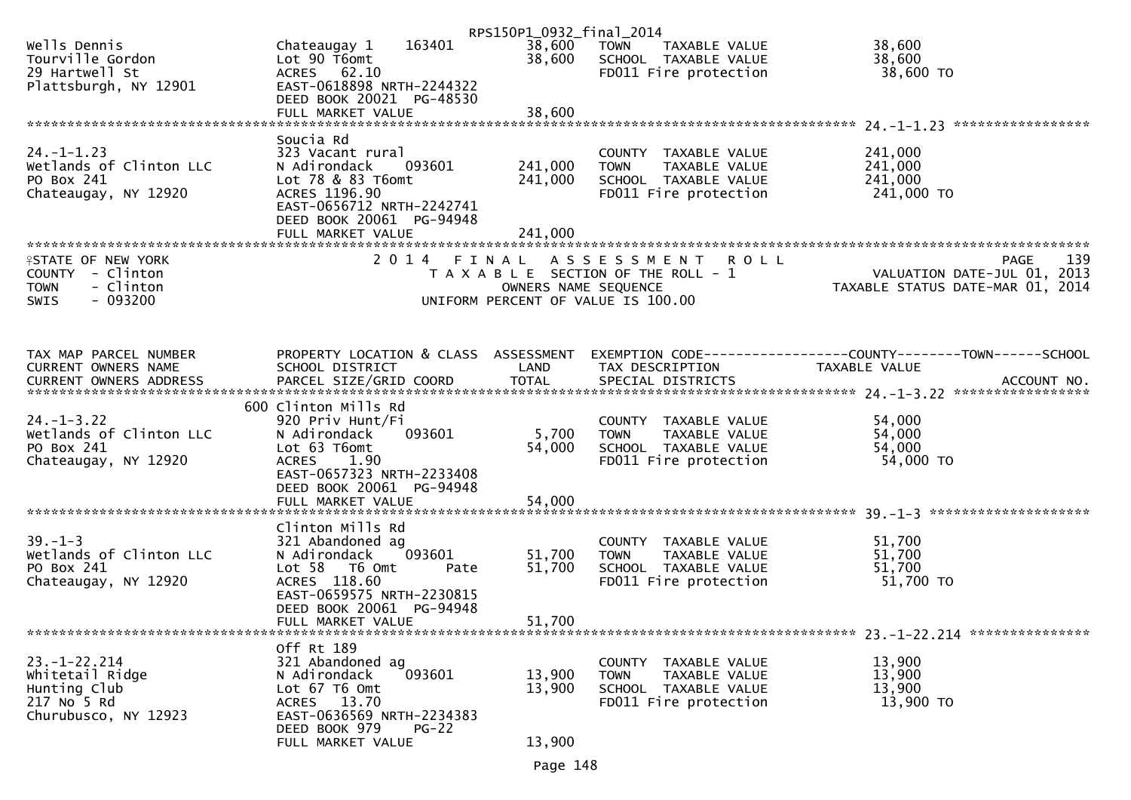|                                                                                              |                                                                                                                                                                        | RPS150P1_0932_final_2014      |                                                                                                       |                                                                 |
|----------------------------------------------------------------------------------------------|------------------------------------------------------------------------------------------------------------------------------------------------------------------------|-------------------------------|-------------------------------------------------------------------------------------------------------|-----------------------------------------------------------------|
| Wells Dennis<br>Tourville Gordon<br>29 Hartwell St<br>Plattsburgh, NY 12901                  | 163401<br>Chateaugay 1<br>Lot 90 T6omt<br>ACRES 62.10<br>EAST-0618898 NRTH-2244322                                                                                     | 38,600<br>38,600              | <b>TOWN</b><br>TAXABLE VALUE<br>SCHOOL TAXABLE VALUE<br>FD011 Fire protection                         | 38,600<br>38,600<br>38,600 TO                                   |
|                                                                                              | DEED BOOK 20021 PG-48530<br>FULL MARKET VALUE                                                                                                                          | 38,600                        |                                                                                                       |                                                                 |
|                                                                                              | Soucia Rd                                                                                                                                                              |                               |                                                                                                       |                                                                 |
| $24. - 1 - 1.23$<br>Wetlands of Clinton LLC<br>PO Box 241<br>Chateaugay, NY 12920            | 323 Vacant rural<br>N Adirondack<br>093601<br>Lot 78 & 83 T6omt<br>ACRES 1196.90<br>EAST-0656712 NRTH-2242741<br>DEED BOOK 20061 PG-94948<br>FULL MARKET VALUE         | 241,000<br>241,000<br>241,000 | COUNTY TAXABLE VALUE<br><b>TOWN</b><br>TAXABLE VALUE<br>SCHOOL TAXABLE VALUE<br>FD011 Fire protection | 241,000<br>241,000<br>241,000<br>241,000 TO                     |
| <b>ISTATE OF NEW YORK</b>                                                                    |                                                                                                                                                                        |                               | 2014 FINAL ASSESSMENT ROLL                                                                            | 139<br>PAGE                                                     |
| COUNTY - Clinton<br><b>TOWN</b><br>- Clinton<br>$-093200$<br><b>SWIS</b>                     |                                                                                                                                                                        | OWNERS NAME SEQUENCE          | T A X A B L E SECTION OF THE ROLL - 1<br>UNIFORM PERCENT OF VALUE IS 100.00                           | VALUATION DATE-JUL 01, 2013<br>TAXABLE STATUS DATE-MAR 01, 2014 |
| TAX MAP PARCEL NUMBER                                                                        | PROPERTY LOCATION & CLASS ASSESSMENT                                                                                                                                   |                               |                                                                                                       | EXEMPTION CODE------------------COUNTY--------TOWN------SCHOOL  |
| CURRENT OWNERS NAME                                                                          | SCHOOL DISTRICT                                                                                                                                                        | LAND                          | TAX DESCRIPTION                                                                                       | TAXABLE VALUE                                                   |
|                                                                                              | 600 Clinton Mills Rd                                                                                                                                                   |                               |                                                                                                       |                                                                 |
| $24. - 1 - 3.22$<br>Wetlands of Clinton LLC<br>PO Box 241<br>Chateaugay, NY 12920            | 920 Priv Hunt/Fi<br>093601<br>N Adirondack<br>Lot 63 T6omt<br>1.90<br><b>ACRES</b>                                                                                     | 5,700<br>54,000               | COUNTY TAXABLE VALUE<br><b>TOWN</b><br>TAXABLE VALUE<br>SCHOOL TAXABLE VALUE<br>FD011 Fire protection | 54,000<br>54,000<br>54,000<br>54,000 TO                         |
|                                                                                              | EAST-0657323 NRTH-2233408<br>DEED BOOK 20061 PG-94948<br>FULL MARKET VALUE                                                                                             | 54,000                        |                                                                                                       |                                                                 |
|                                                                                              |                                                                                                                                                                        |                               |                                                                                                       |                                                                 |
| $39. - 1 - 3$<br>Wetlands of Clinton LLC<br>PO Box 241<br>Chateaugay, NY 12920               | Clinton Mills Rd<br>321 Abandoned ag<br>N Adirondack<br>093601<br>Lot 58<br>T6 Omt<br>Pate<br>ACRES 118.60<br>EAST-0659575 NRTH-2230815<br>DEED BOOK 20061 PG-94948    | 51,700<br>51,700              | COUNTY TAXABLE VALUE<br><b>TOWN</b><br>TAXABLE VALUE<br>SCHOOL TAXABLE VALUE<br>FD011 Fire protection | 51,700<br>51,700<br>51,700<br>51,700 TO                         |
|                                                                                              | FULL MARKET VALUE                                                                                                                                                      | 51,700                        |                                                                                                       |                                                                 |
| $23. - 1 - 22.214$<br>Whitetail Ridge<br>Hunting Club<br>217 No 5 Rd<br>Churubusco, NY 12923 | Off Rt 189<br>321 Abandoned ag<br>093601<br>N Adirondack<br>Lot 67 T6 Omt<br>ACRES 13.70<br>EAST-0636569 NRTH-2234383<br>DEED BOOK 979<br>$PG-22$<br>FULL MARKET VALUE | 13,900<br>13,900<br>13,900    | COUNTY TAXABLE VALUE<br><b>TOWN</b><br>TAXABLE VALUE<br>SCHOOL TAXABLE VALUE<br>FD011 Fire protection | 13,900<br>13,900<br>13,900<br>13,900 TO                         |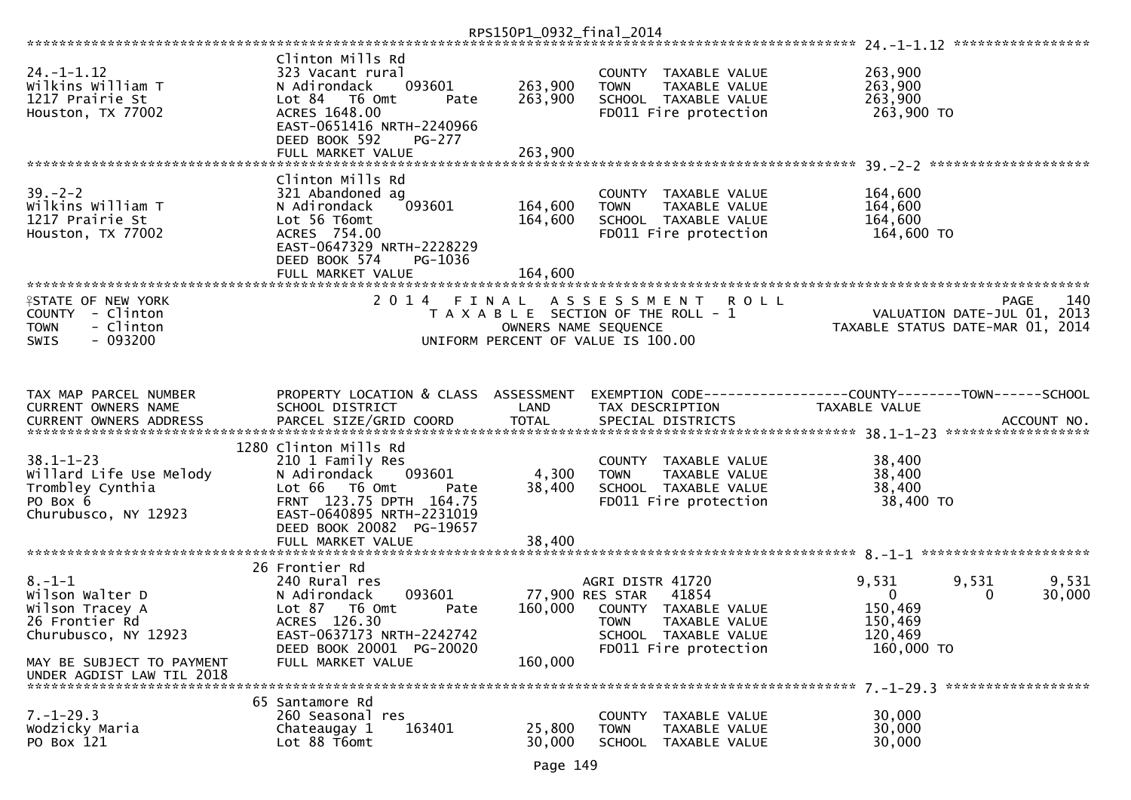|                                                                                                       |                                                                                                                                       | RPS150P1_0932_final_2014 |                                                                                                                                           |                                             |                                                                                |
|-------------------------------------------------------------------------------------------------------|---------------------------------------------------------------------------------------------------------------------------------------|--------------------------|-------------------------------------------------------------------------------------------------------------------------------------------|---------------------------------------------|--------------------------------------------------------------------------------|
|                                                                                                       |                                                                                                                                       |                          |                                                                                                                                           |                                             |                                                                                |
| $24. - 1 - 1.12$<br>Wilkins William T<br>1217 Prairie St<br>Houston, TX 77002                         | Clinton Mills Rd<br>323 Vacant rural<br>093601<br>N Adirondack<br>Lot 84 T6 Omt<br>Pate<br>ACRES 1648.00<br>EAST-0651416 NRTH-2240966 | 263,900<br>263,900       | COUNTY TAXABLE VALUE<br>TAXABLE VALUE<br><b>TOWN</b><br>SCHOOL TAXABLE VALUE<br>FD011 Fire protection                                     | 263,900<br>263,900<br>263,900<br>263,900 TO |                                                                                |
|                                                                                                       | DEED BOOK 592<br><b>PG-277</b>                                                                                                        |                          |                                                                                                                                           |                                             |                                                                                |
|                                                                                                       | FULL MARKET VALUE                                                                                                                     | 263,900                  |                                                                                                                                           |                                             |                                                                                |
| $39. - 2 - 2$<br>Wilkins William T<br>1217 Prairie St<br>Houston, TX 77002                            | Clinton Mills Rd<br>321 Abandoned ag<br>093601<br>N Adirondack<br>Lot 56 T6omt<br>ACRES 754.00<br>EAST-0647329 NRTH-2228229           | 164,600<br>164,600       | COUNTY TAXABLE VALUE<br>TAXABLE VALUE<br><b>TOWN</b><br>SCHOOL TAXABLE VALUE<br>FD011 Fire protection                                     | 164,600<br>164,600<br>164,600<br>164,600 TO |                                                                                |
|                                                                                                       | DEED BOOK 574<br>PG-1036<br>FULL MARKET VALUE                                                                                         | 164,600                  |                                                                                                                                           |                                             |                                                                                |
|                                                                                                       |                                                                                                                                       |                          |                                                                                                                                           |                                             |                                                                                |
| <b>ISTATE OF NEW YORK</b><br>COUNTY - Clinton<br><b>TOWN</b><br>- Clinton<br>$-093200$<br><b>SWIS</b> | 2014 FINAL                                                                                                                            |                          | A S S E S S M E N T<br><b>ROLL</b><br>T A X A B L E SECTION OF THE ROLL - 1<br>OWNERS NAME SEQUENCE<br>UNIFORM PERCENT OF VALUE IS 100.00 |                                             | 140<br>PAGE<br>VALUATION DATE-JUL 01, 2013<br>TAXABLE STATUS DATE-MAR 01, 2014 |
|                                                                                                       |                                                                                                                                       |                          |                                                                                                                                           |                                             |                                                                                |
| TAX MAP PARCEL NUMBER                                                                                 | PROPERTY LOCATION & CLASS ASSESSMENT                                                                                                  | LAND                     | EXEMPTION CODE-----------------COUNTY-------TOWN------SCHOOL<br>TAX DESCRIPTION                                                           | TAXABLE VALUE                               |                                                                                |
| CURRENT OWNERS NAME                                                                                   | SCHOOL DISTRICT                                                                                                                       |                          |                                                                                                                                           |                                             |                                                                                |
|                                                                                                       | .4CCOUNT NO . PARCEL SIZE/GRID COORD TOTAL SPECIAL DISTRICTS SPERE BARGEL MACCOUNT NO . ACCOUNT NO . AND TOTAL SPECIAL DISTRICTS      |                          |                                                                                                                                           |                                             |                                                                                |
|                                                                                                       | 1280 Clinton Mills Rd                                                                                                                 |                          |                                                                                                                                           |                                             |                                                                                |
| $38.1 - 1 - 23$<br>Willard Life Use Melody                                                            | 210 1 Family Res<br>093601                                                                                                            | 4,300                    | COUNTY TAXABLE VALUE<br>TAXABLE VALUE                                                                                                     | 38,400                                      |                                                                                |
| Trombley Cynthia                                                                                      | N Adirondack<br>T6 Omt<br>Lot 66<br>Pate                                                                                              | 38,400                   | <b>TOWN</b><br>SCHOOL TAXABLE VALUE                                                                                                       | 38,400<br>38,400                            |                                                                                |
| PO Box 6                                                                                              | FRNT 123.75 DPTH 164.75                                                                                                               |                          | FD011 Fire protection                                                                                                                     | 38,400 TO                                   |                                                                                |
| Churubusco, NY 12923                                                                                  | EAST-0640895 NRTH-2231019                                                                                                             |                          |                                                                                                                                           |                                             |                                                                                |
|                                                                                                       | DEED BOOK 20082 PG-19657                                                                                                              |                          |                                                                                                                                           |                                             |                                                                                |
|                                                                                                       | FULL MARKET VALUE                                                                                                                     | 38,400                   |                                                                                                                                           |                                             |                                                                                |
|                                                                                                       | 26 Frontier Rd                                                                                                                        |                          |                                                                                                                                           |                                             |                                                                                |
| $8. - 1 - 1$                                                                                          | 240 Rural res                                                                                                                         |                          | AGRI DISTR 41720                                                                                                                          | 9,531                                       | 9,531<br>9,531                                                                 |
| Wilson Walter D                                                                                       | 093601<br>N Adirondack                                                                                                                | 77,900 RES STAR          | 41854                                                                                                                                     | $\overline{0}$                              | 30,000<br>0                                                                    |
| Wilson Tracey A                                                                                       | Lot 87<br>T6 Omt<br>Pate                                                                                                              | 160,000                  | COUNTY TAXABLE VALUE                                                                                                                      | 150,469                                     |                                                                                |
| 26 Frontier Rd<br>Churubusco, NY 12923                                                                | ACRES 126.30<br>EAST-0637173 NRTH-2242742                                                                                             |                          | <b>TOWN</b><br>TAXABLE VALUE<br>SCHOOL TAXABLE VALUE                                                                                      | 150,469<br>120,469                          |                                                                                |
|                                                                                                       | DEED BOOK 20001 PG-20020                                                                                                              |                          | FD011 Fire protection                                                                                                                     | 160,000 TO                                  |                                                                                |
| MAY BE SUBJECT TO PAYMENT                                                                             | FULL MARKET VALUE                                                                                                                     | 160,000                  |                                                                                                                                           |                                             |                                                                                |
| UNDER AGDIST LAW TIL 2018                                                                             |                                                                                                                                       |                          |                                                                                                                                           |                                             |                                                                                |
|                                                                                                       | 65 Santamore Rd                                                                                                                       |                          |                                                                                                                                           |                                             |                                                                                |
| $7. - 1 - 29.3$                                                                                       | 260 Seasonal res                                                                                                                      |                          | <b>COUNTY</b><br>TAXABLE VALUE                                                                                                            | 30,000                                      |                                                                                |
| Wodzicky Maria                                                                                        | 163401<br>Chateaugay 1                                                                                                                | 25,800                   | <b>TOWN</b><br>TAXABLE VALUE                                                                                                              | 30,000                                      |                                                                                |
| PO Box 121                                                                                            | Lot 88 T6omt                                                                                                                          | 30,000                   | SCHOOL TAXABLE VALUE                                                                                                                      | 30,000                                      |                                                                                |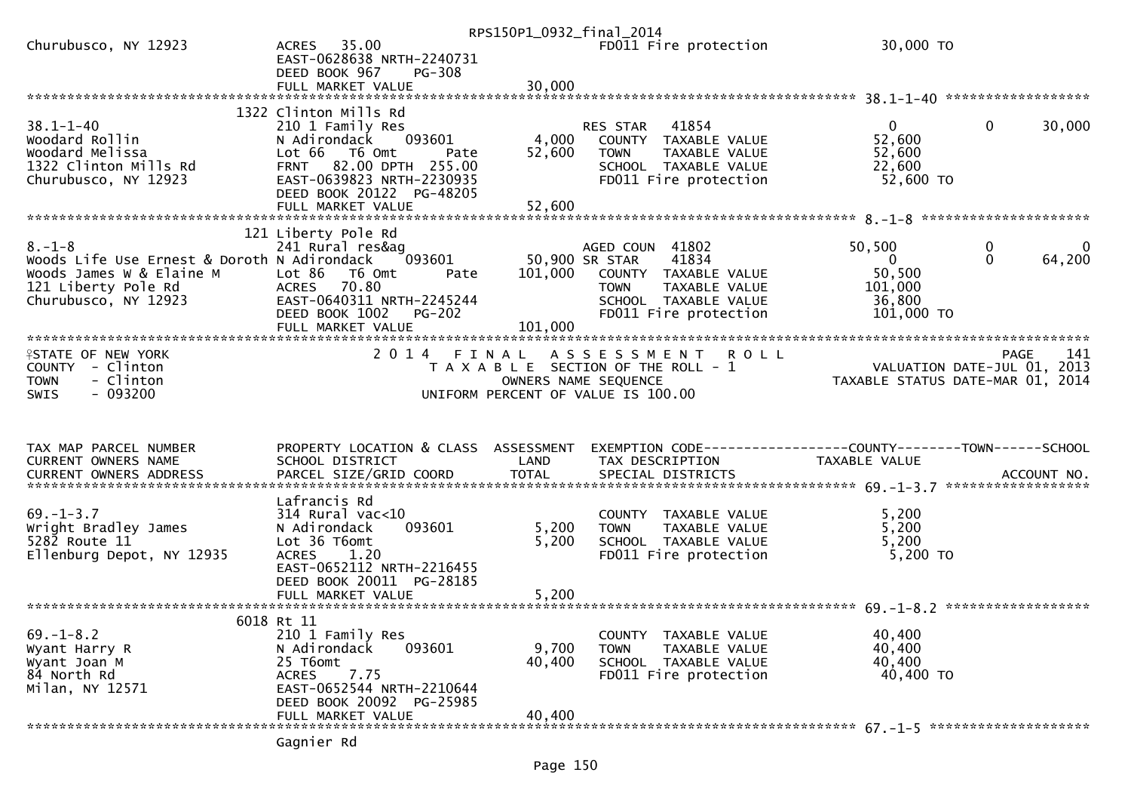|                                                                                                                                        |                                                                                                                                                                                                      | RPS150P1_0932_final_2014  |                                                                                                                                                     |                                                                       |                                         |
|----------------------------------------------------------------------------------------------------------------------------------------|------------------------------------------------------------------------------------------------------------------------------------------------------------------------------------------------------|---------------------------|-----------------------------------------------------------------------------------------------------------------------------------------------------|-----------------------------------------------------------------------|-----------------------------------------|
| Churubusco, NY 12923                                                                                                                   | ACRES 35.00<br>EAST-0628638 NRTH-2240731<br>DEED BOOK 967<br><b>PG-308</b>                                                                                                                           |                           | FD011 Fire protection                                                                                                                               | 30,000 TO                                                             |                                         |
|                                                                                                                                        |                                                                                                                                                                                                      |                           |                                                                                                                                                     |                                                                       |                                         |
| $38.1 - 1 - 40$<br>Woodard Rollin<br>Woodard Melissa<br>1322 Clinton Mills Rd<br>Churubusco, NY 12923                                  | 1322 Clinton Mills Rd<br>210 1 Family Res<br>093601<br>N Adirondack<br>Lot 66 T6 Omt<br>Pate<br>FRNT 82.00 DPTH 255.00<br>EAST-0639823 NRTH-2230935<br>DEED BOOK 20122 PG-48205<br>FULL MARKET VALUE | 4,000<br>52,600<br>52,600 | RES STAR 41854<br>COUNTY TAXABLE VALUE<br>TAXABLE VALUE<br><b>TOWN</b><br>SCHOOL TAXABLE VALUE<br>FD011 Fire protection                             | $\mathbf{0}$<br>52,600<br>52,600<br>22,600<br>52,600 TO               | $\mathbf 0$<br>30,000                   |
|                                                                                                                                        |                                                                                                                                                                                                      |                           |                                                                                                                                                     |                                                                       |                                         |
| $8. - 1 - 8$<br>Woods Life Use Ernest & Doroth N Adirondack<br>Woods James W & Elaine M<br>121 Liberty Pole Rd<br>Churubusco, NY 12923 | 121 Liberty Pole Rd<br>241 Rural res&ag<br>093601<br>Lot 86<br>T6 Omt<br>Pate<br>ACRES 70.80<br>EAST-0640311 NRTH-2245244<br><b>PG-202</b><br>DEED BOOK 1002<br>FULL MARKET VALUE                    | 101,000<br>101,000        | AGED COUN 41802<br>50,900 SR STAR<br>41834<br>COUNTY TAXABLE VALUE<br><b>TOWN</b><br>TAXABLE VALUE<br>SCHOOL TAXABLE VALUE<br>FD011 Fire protection | 50,500<br>$\overline{0}$<br>50,500<br>101,000<br>36,800<br>101,000 TO | $\mathbf{0}$<br>0<br>$\Omega$<br>64,200 |
|                                                                                                                                        |                                                                                                                                                                                                      |                           |                                                                                                                                                     |                                                                       |                                         |
| <b>ISTATE OF NEW YORK</b><br>COUNTY - Clinton<br><b>TOWN</b><br>- Clinton<br>$-093200$<br><b>SWIS</b>                                  | 2 0 1 4                                                                                                                                                                                              | FINAL                     | <b>ROLL</b><br>A S S E S S M E N T<br>T A X A B L E SECTION OF THE ROLL - 1<br>OWNERS NAME SEQUENCE<br>UNIFORM PERCENT OF VALUE IS 100.00           | VALUATION DATE-JUL 01, 2013<br>TAXABLE STATUS DATE-MAR 01, 2014       | 141<br><b>PAGE</b>                      |
| TAX MAP PARCEL NUMBER<br>CURRENT OWNERS NAME                                                                                           | PROPERTY LOCATION & CLASS ASSESSMENT<br>SCHOOL DISTRICT                                                                                                                                              | LAND                      | EXEMPTION CODE-----------------COUNTY-------TOWN------SCHOOL<br>TAX DESCRIPTION                                                                     | TAXABLE VALUE                                                         |                                         |
|                                                                                                                                        | Lafrancis Rd                                                                                                                                                                                         |                           |                                                                                                                                                     |                                                                       |                                         |
| $69. - 1 - 3.7$<br>Wright Bradley James<br>$528\overline{2}$ Route $11$                                                                | $314$ Rural vac<10<br>N Adirondack<br>093601                                                                                                                                                         | 5,200                     | COUNTY TAXABLE VALUE<br>TAXABLE VALUE<br><b>TOWN</b>                                                                                                | 5,200                                                                 |                                         |
| Ellenburg Depot, NY 12935                                                                                                              | Lot 36 T6omt<br><b>ACRES</b><br>1.20<br>EAST-0652112 NRTH-2216455<br>DEED BOOK 20011 PG-28185                                                                                                        | 5,200                     | SCHOOL TAXABLE VALUE<br>FD011 Fire protection                                                                                                       | 5,200<br>5,200<br>5,200 TO                                            |                                         |
|                                                                                                                                        |                                                                                                                                                                                                      |                           |                                                                                                                                                     |                                                                       |                                         |
|                                                                                                                                        |                                                                                                                                                                                                      |                           |                                                                                                                                                     |                                                                       |                                         |
| $69. - 1 - 8.2$<br>Wyant Harry R<br>Wyant Joan M<br>84 North Rd<br>Milan, NY 12571                                                     | 6018 Rt 11<br>210 1 Family Res<br>N Adirondack<br>093601<br>25 T6omt<br>7.75<br>ACRES<br>EAST-0652544 NRTH-2210644<br>DEED BOOK 20092 PG-25985<br>FULL MARKET VALUE                                  | 9,700<br>40,400<br>40,400 | COUNTY TAXABLE VALUE<br><b>TOWN</b><br>TAXABLE VALUE<br>SCHOOL TAXABLE VALUE<br>FD011 Fire protection                                               | 40,400<br>40,400<br>40,400<br>40,400 TO                               |                                         |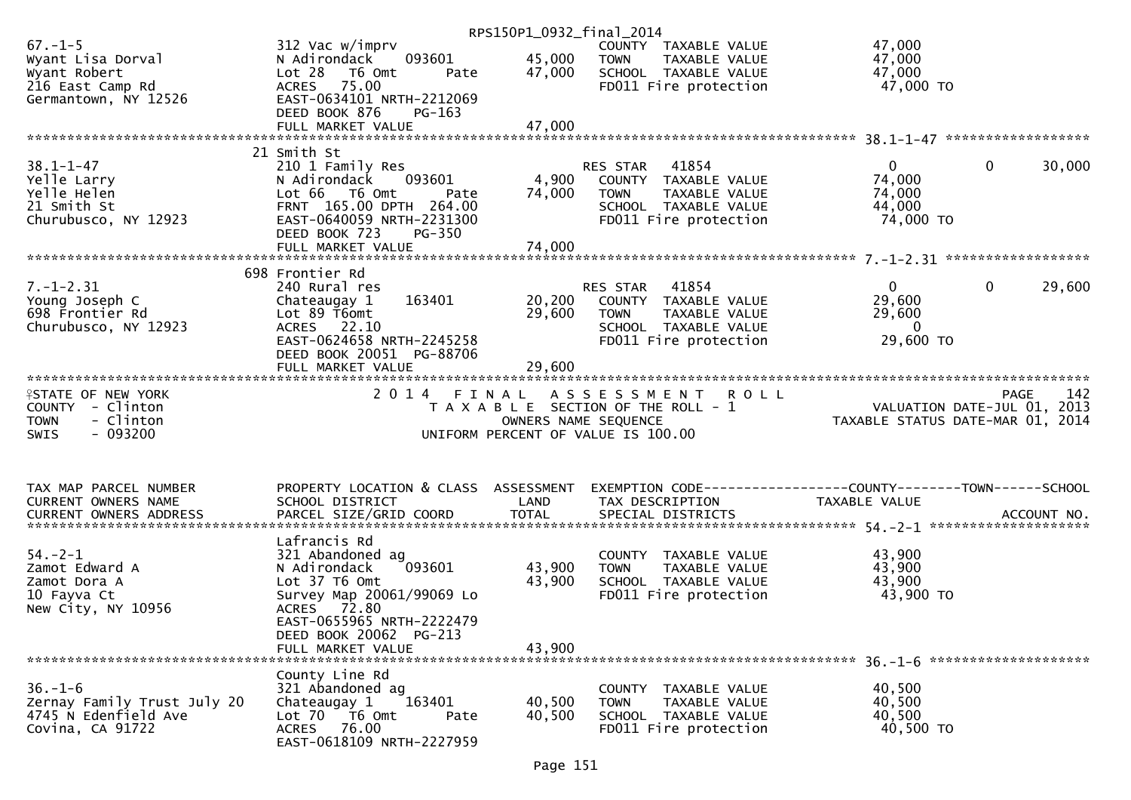|                                                                                                           |                                                                                                                                                                                                     | RPS150P1_0932_final_2014   |                                                                                                                                   |                                                                                 |        |
|-----------------------------------------------------------------------------------------------------------|-----------------------------------------------------------------------------------------------------------------------------------------------------------------------------------------------------|----------------------------|-----------------------------------------------------------------------------------------------------------------------------------|---------------------------------------------------------------------------------|--------|
| $67. - 1 - 5$<br>Wyant Lisa Dorval<br>Wyant Robert<br><sup>216 Fast Camp</sup> Rd<br>Germantown, NY 12526 | 312 Vac w/imprv<br>093601<br>N Adirondack<br>Lot 28 T6 Omt<br>Pate<br>ACRES 75.00<br>EAST-0634101 NRTH-2212069                                                                                      | 45,000<br>47,000           | COUNTY TAXABLE VALUE<br><b>TOWN</b><br>TAXABLE VALUE<br>SCHOOL TAXABLE VALUE<br>FD011 Fire protection                             | 47,000<br>47,000<br>47,000<br>47,000 TO                                         |        |
|                                                                                                           | DEED BOOK 876<br>PG-163                                                                                                                                                                             |                            |                                                                                                                                   |                                                                                 |        |
|                                                                                                           |                                                                                                                                                                                                     |                            |                                                                                                                                   |                                                                                 |        |
| $38.1 - 1 - 47$<br>Yelle Larry<br>Yelle Helen<br>21 Smith St<br>Churubusco, NY 12923                      | 21 Smith St<br>210 1 Family Res<br>N Adirondack 093601<br>Lot 66 T6 Omt<br>Pate<br>FRNT 165.00 DPTH 264.00<br>EAST-0640059 NRTH-2231300<br>DEED BOOK 723<br><b>PG-350</b>                           | 4,900<br>74,000            | 41854<br>RES STAR<br>COUNTY TAXABLE VALUE<br><b>TOWN</b><br>TAXABLE VALUE<br>SCHOOL TAXABLE VALUE<br>FD011 Fire protection        | $\mathbf{0}$<br>$\overline{0}$<br>74,000<br>74,000<br>44,000<br>74,000 TO       | 30,000 |
|                                                                                                           | 698 Frontier Rd                                                                                                                                                                                     |                            |                                                                                                                                   |                                                                                 |        |
| $7. - 1 - 2.31$<br>Young Joseph C<br>698 Frontier Rd<br>Churubusco, NY 12923                              | 240 Rural res<br>163401<br>Chateaugay 1<br>Lot 89 T6omt<br>ACRES 22.10<br>EAST-0624658 NRTH-2245258<br>DEED BOOK 20051 PG-88706                                                                     | 29,600                     | 41854<br>RES STAR<br>20,200 COUNTY TAXABLE VALUE<br>TAXABLE VALUE<br><b>TOWN</b><br>SCHOOL TAXABLE VALUE<br>FD011 Fire protection | $\mathbf{0}$<br>$\mathbf{0}$<br>29,600<br>29,600<br>$\overline{0}$<br>29,600 TO | 29,600 |
|                                                                                                           | FULL MARKET VALUE                                                                                                                                                                                   | 29,600                     |                                                                                                                                   |                                                                                 |        |
| <b>ISTATE OF NEW YORK</b><br>COUNTY - Clinton<br>- Clinton<br><b>TOWN</b><br>$-093200$<br>SWIS            |                                                                                                                                                                                                     |                            | 2014 FINAL ASSESSMENT ROLL<br>T A X A B L E SECTION OF THE ROLL - 1<br>OWNERS NAME SEQUENCE<br>UNIFORM PERCENT OF VALUE IS 100.00 | 0 L L<br>VALUATION DATE-JUL 01, 2013<br>TAXABLE STATUS DATE-MAR 01, 2014        |        |
| TAX MAP PARCEL NUMBER                                                                                     | PROPERTY LOCATION & CLASS ASSESSMENT                                                                                                                                                                |                            | EXEMPTION CODE-----------------COUNTY--------TOWN------SCHOOL                                                                     |                                                                                 |        |
| CURRENT OWNERS NAME                                                                                       | SCHOOL DISTRICT                                                                                                                                                                                     | LAND                       | TAX DESCRIPTION                                                                                                                   | TAXABLE VALUE                                                                   |        |
| $54. - 2 - 1$<br>Zamot Edward A<br>Zamot Dora A<br>10 Fayva Ct<br>New City, NY 10956                      | Lafrancis Rd<br>321 Abandoned ag<br>093601<br>N Adirondack<br>Lot 37 T6 Omt<br>Survey Map 20061/99069 Lo<br>ACRES 72.80<br>EAST-0655965 NRTH-2222479<br>DEED BOOK 20062 PG-213<br>FULL MARKET VALUE | 43,900<br>43,900<br>43.900 | COUNTY TAXABLE VALUE<br><b>TOWN</b><br>TAXABLE VALUE<br>SCHOOL TAXABLE VALUE<br>FD011 Fire protection                             | 43,900<br>43,900<br>43,900<br>43,900 TO                                         |        |
|                                                                                                           |                                                                                                                                                                                                     |                            |                                                                                                                                   |                                                                                 |        |
| $36. - 1 - 6$<br>Zernay Family Trust July 20<br>4745 N Edenfield Ave<br>Covina, CA 91722                  | County Line Rd<br>321 Abandoned ag<br>163401<br>Chateaugay 1<br>Lot 70 T6 Omt<br>Pate<br>ACRES 76.00<br>EAST-0618109 NRTH-2227959                                                                   | 40,500<br>40,500           | COUNTY TAXABLE VALUE<br>TAXABLE VALUE<br><b>TOWN</b><br>SCHOOL TAXABLE VALUE<br>FD011 Fire protection                             | 40,500<br>40,500<br>40,500<br>40,500 TO                                         |        |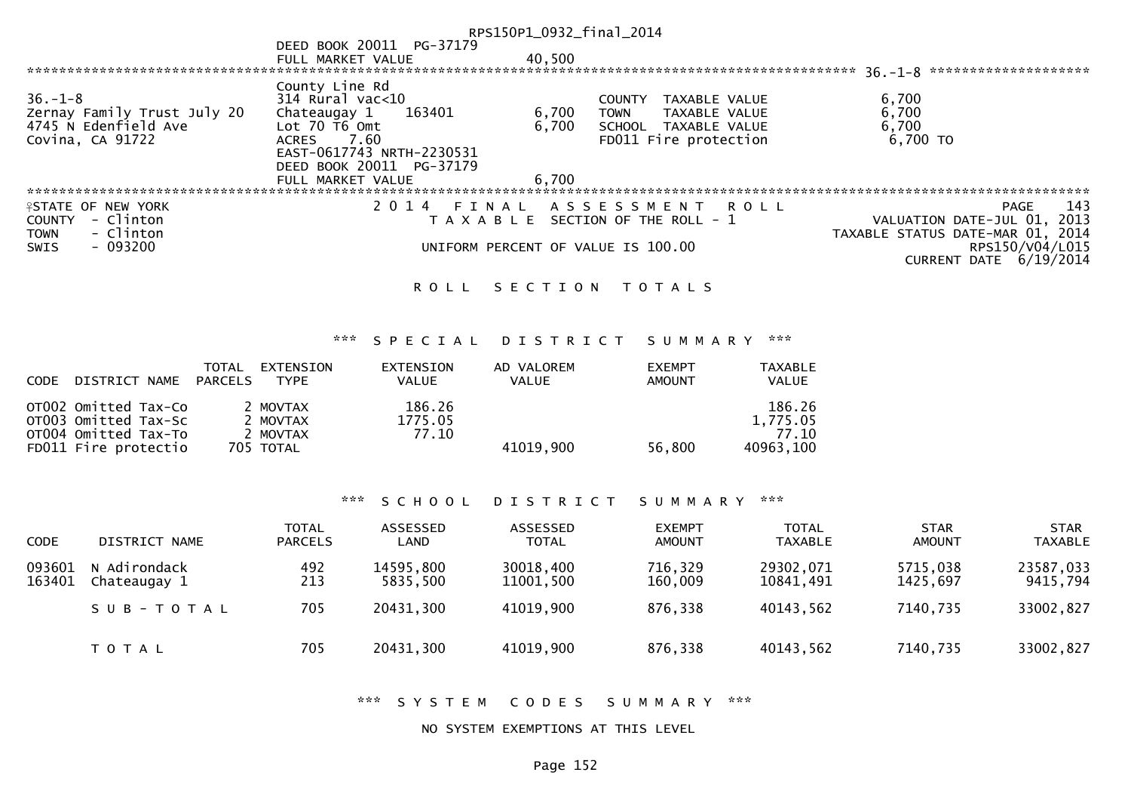|                             |                                                        | RPS150P1_0932_final_2014 |                                       |                                      |
|-----------------------------|--------------------------------------------------------|--------------------------|---------------------------------------|--------------------------------------|
|                             | DEED BOOK 20011 PG-37179                               |                          |                                       |                                      |
|                             | FULL MARKET VALUE                                      | 40,500                   |                                       |                                      |
|                             |                                                        |                          |                                       | $36. - 1 - 8$ ********************** |
|                             | County Line Rd                                         |                          |                                       |                                      |
| $36. - 1 - 8$               | $314$ Rural vac<10                                     |                          | TAXABLE VALUE<br><b>COUNTY</b>        | 6,700                                |
| Zernay Family Trust July 20 | 163401<br>Chateaugay 1                                 | 6,700                    | TAXABLE VALUE<br><b>TOWN</b>          | 6,700                                |
| 4745 N Edenfield Ave        | Lot $70$ $\overline{16}$ $\overline{0}$ $\overline{m}$ | 6,700                    | SCHOOL TAXABLE VALUE                  | 6,700                                |
| Covina, CA 91722            | ACRES 7.60                                             |                          | FD011 Fire protection                 | $6,700$ TO                           |
|                             | EAST-0617743 NRTH-2230531                              |                          |                                       |                                      |
|                             | DEED BOOK 20011 PG-37179                               |                          |                                       |                                      |
|                             | FULL MARKET VALUE                                      | 6,700                    |                                       |                                      |
|                             |                                                        |                          |                                       |                                      |
| <b>ISTATE OF NEW YORK</b>   | 2 0 1 4                                                |                          | FINAL ASSESSMENT ROLL                 | 143<br>PAGE                          |
| - Clinton<br><b>COUNTY</b>  |                                                        |                          | T A X A B L E SECTION OF THE ROLL - 1 | VALUATION DATE-JUL 01, 2013          |
| - Clinton<br><b>TOWN</b>    |                                                        |                          |                                       | TAXABLE STATUS DATE-MAR 01, 2014     |
| $-093200$<br>SWIS           |                                                        |                          | UNIFORM PERCENT OF VALUE IS 100.00    | RPS150/V04/L015                      |
|                             |                                                        |                          |                                       | CURRENT DATE 6/19/2014               |
|                             |                                                        |                          |                                       |                                      |

# ROLL SECTION TOTALS

## \*\*\* S P E C I A L D I S T R I C T S U M M A R Y \*\*\*

| CODE | DISTRICT NAME                                                                                | TOTAL<br>PARCELS | EXTENSION<br>TYPE                             | EXTENSION<br><b>VALUE</b>  | AD VALOREM<br><b>VALUE</b> | <b>EXEMPT</b><br>AMOUNT | <b>TAXABLE</b><br><b>VALUE</b>           |
|------|----------------------------------------------------------------------------------------------|------------------|-----------------------------------------------|----------------------------|----------------------------|-------------------------|------------------------------------------|
|      | OT002 Omitted Tax-Co<br>OT003 Omitted Tax-Sc<br>OT004 Omitted Tax-To<br>FD011 Fire protectio |                  | 2 MOVTAX<br>2 MOVTAX<br>2 MOVTAX<br>705 TOTAL | 186.26<br>1775.05<br>77.10 | 41019,900                  | 56,800                  | 186.26<br>1,775.05<br>77.10<br>40963.100 |

### \*\*\* S C H O O L D I S T R I C T S U M M A R Y \*\*\*

| <b>CODE</b>      | DISTRICT NAME                | <b>TOTAL</b><br><b>PARCELS</b> | ASSESSED<br>LAND      | ASSESSED<br><b>TOTAL</b> | <b>EXEMPT</b><br><b>AMOUNT</b> | <b>TOTAL</b><br><b>TAXABLE</b> | <b>STAR</b><br>AMOUNT | <b>STAR</b><br><b>TAXABLE</b> |
|------------------|------------------------------|--------------------------------|-----------------------|--------------------------|--------------------------------|--------------------------------|-----------------------|-------------------------------|
| 093601<br>163401 | N Adirondack<br>Chateaugay 1 | 492<br>213                     | 14595,800<br>5835.500 | 30018,400<br>11001,500   | 716,329<br>160,009             | 29302,071<br>10841,491         | 5715,038<br>1425.697  | 23587,033<br>9415,794         |
|                  | SUB-TOTAL                    | 705                            | 20431,300             | 41019,900                | 876,338                        | 40143,562                      | 7140,735              | 33002,827                     |
|                  | T O T A L                    | 705                            | 20431,300             | 41019,900                | 876,338                        | 40143,562                      | 7140,735              | 33002,827                     |

\*\*\* S Y S T E M C O D E S S U M M A R Y \*\*\*

#### NO SYSTEM EXEMPTIONS AT THIS LEVEL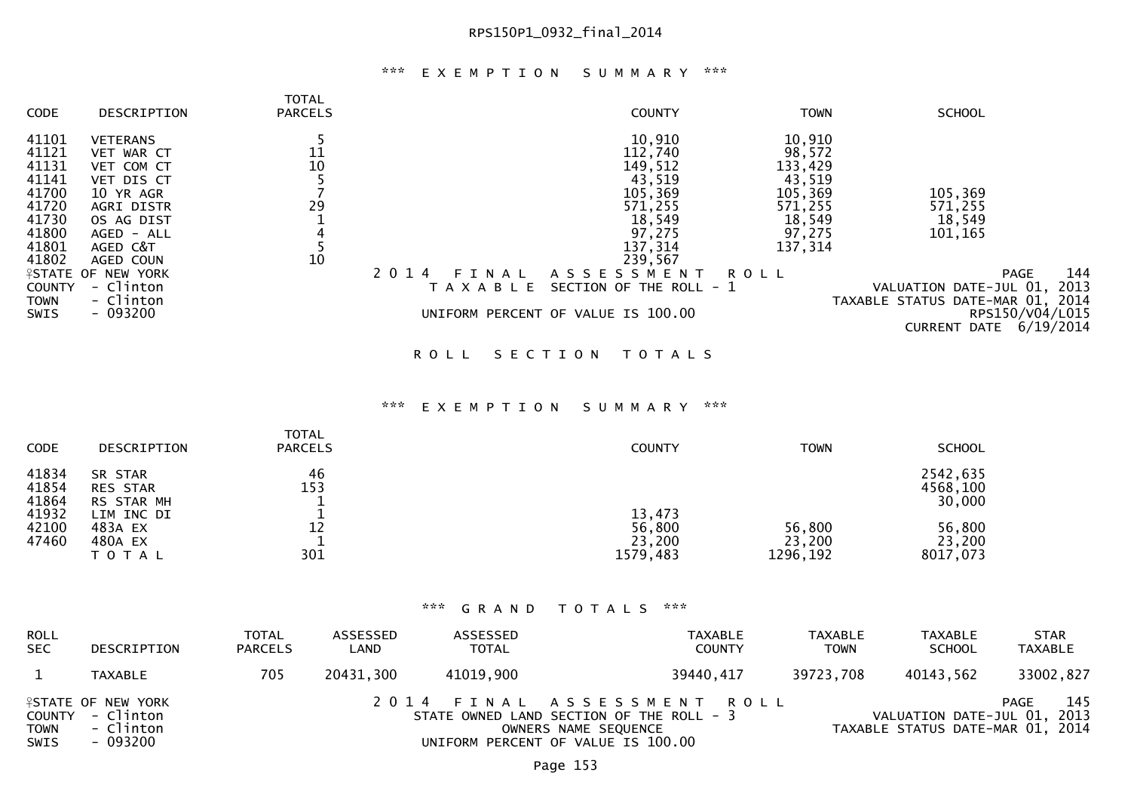## \*\*\* E X E M P T I O N S U M M A R Y \*\*\*

| CODE          | DESCRIPTION               | <b>TOTAL</b><br><b>PARCELS</b> | <b>COUNTY</b>                                       | <b>TOWN</b> | <b>SCHOOL</b>                    |
|---------------|---------------------------|--------------------------------|-----------------------------------------------------|-------------|----------------------------------|
| 41101         | <b>VETERANS</b>           |                                | 10,910                                              | 10,910      |                                  |
| 41121         | VET WAR CT                | 11                             | 112,740                                             | 98,572      |                                  |
| 41131         | VET COM CT                | 10                             | 149,512                                             | 133,429     |                                  |
| 41141         | VET DIS CT                |                                | 43,519                                              | 43,519      |                                  |
| 41700         | 10 YR AGR                 |                                | 105,369                                             | 105,369     | 105,369                          |
| 41720         | AGRI DISTR                | 29                             | 571,255                                             | 571,255     | 571,255                          |
| 41730         | OS AG DIST                |                                | 18,549                                              | 18,549      | 18,549                           |
| 41800         | AGED - ALL                |                                | 97,275                                              | 97,275      | 101,165                          |
| 41801         | AGED C&T                  |                                | 137,314                                             | 137,314     |                                  |
| 41802         | AGED COUN                 | 10                             | 239,567                                             |             |                                  |
|               | <b>ISTATE OF NEW YORK</b> |                                | 2 0 1 4<br>A S S E S S M E N T<br>ROLL<br>FТ<br>NAL |             | 144<br>PAGE                      |
| <b>COUNTY</b> | - Clinton                 |                                | SECTION OF THE ROLL - 1<br>T A X A B L E            |             | 2013<br>VALUATION DATE-JUL 01,   |
| <b>TOWN</b>   | - Clinton                 |                                |                                                     |             | TAXABLE STATUS DATE-MAR 01, 2014 |
| SWIS          | $-093200$                 |                                | UNIFORM PERCENT OF VALUE IS 100.00                  |             | RPS150/V04/L015                  |
|               |                           |                                |                                                     |             | 6/19/2014<br><b>CURRENT DATE</b> |
|               |                           |                                | SECTION<br>R O L L<br>T O T A L S                   |             |                                  |

#### \*\*\* E X E M P T I O N S U M M A R Y \*\*\*

| <b>CODE</b>             | DESCRIPTION                                   | <b>TOTAL</b><br><b>PARCELS</b> | <b>COUNTY</b>                          | <b>TOWN</b>                  | <b>SCHOOL</b>                  |
|-------------------------|-----------------------------------------------|--------------------------------|----------------------------------------|------------------------------|--------------------------------|
| 41834<br>41854<br>41864 | SR STAR<br><b>RES STAR</b><br>RS STAR MH      | 46<br>153                      |                                        |                              | 2542,635<br>4568,100<br>30,000 |
| 41932<br>42100<br>47460 | LIM INC DI<br>483A EX<br>480A EX<br>T O T A L | 12<br>301                      | 13,473<br>56,800<br>23,200<br>1579,483 | 56,800<br>23,200<br>1296,192 | 56,800<br>23,200<br>8017,073   |

| <b>ROLL</b><br><b>SEC</b>  | DESCRIPTION                                                            | <b>TOTAL</b><br><b>PARCELS</b> | ASSESSED<br>LAND | ASSESSED<br><b>TOTAL</b>                                                                                                             | TAXABLE<br><b>COUNTY</b> | <b>TAXABLE</b><br><b>TOWN</b> | TAXABLE<br><b>SCHOOL</b>                                        | <b>STAR</b><br>TAXABLE |
|----------------------------|------------------------------------------------------------------------|--------------------------------|------------------|--------------------------------------------------------------------------------------------------------------------------------------|--------------------------|-------------------------------|-----------------------------------------------------------------|------------------------|
|                            | <b>TAXABLE</b>                                                         | 705                            | 20431,300        | 41019,900                                                                                                                            | 39440,417                | 39723,708                     | 40143.562                                                       | 33002,827              |
| <b>TOWN</b><br><b>SWIS</b> | <b>ISTATE OF NEW YORK</b><br>COUNTY - Clinton<br>- Clinton<br>- 093200 |                                |                  | 2014 FINAL ASSESSMENT ROLL<br>STATE OWNED LAND SECTION OF THE ROLL - 3<br>OWNERS NAME SEQUENCE<br>UNIFORM PERCENT OF VALUE IS 100.00 |                          |                               | VALUATION DATE-JUL 01, 2013<br>TAXABLE STATUS DATE-MAR 01, 2014 | 145<br>PAGE            |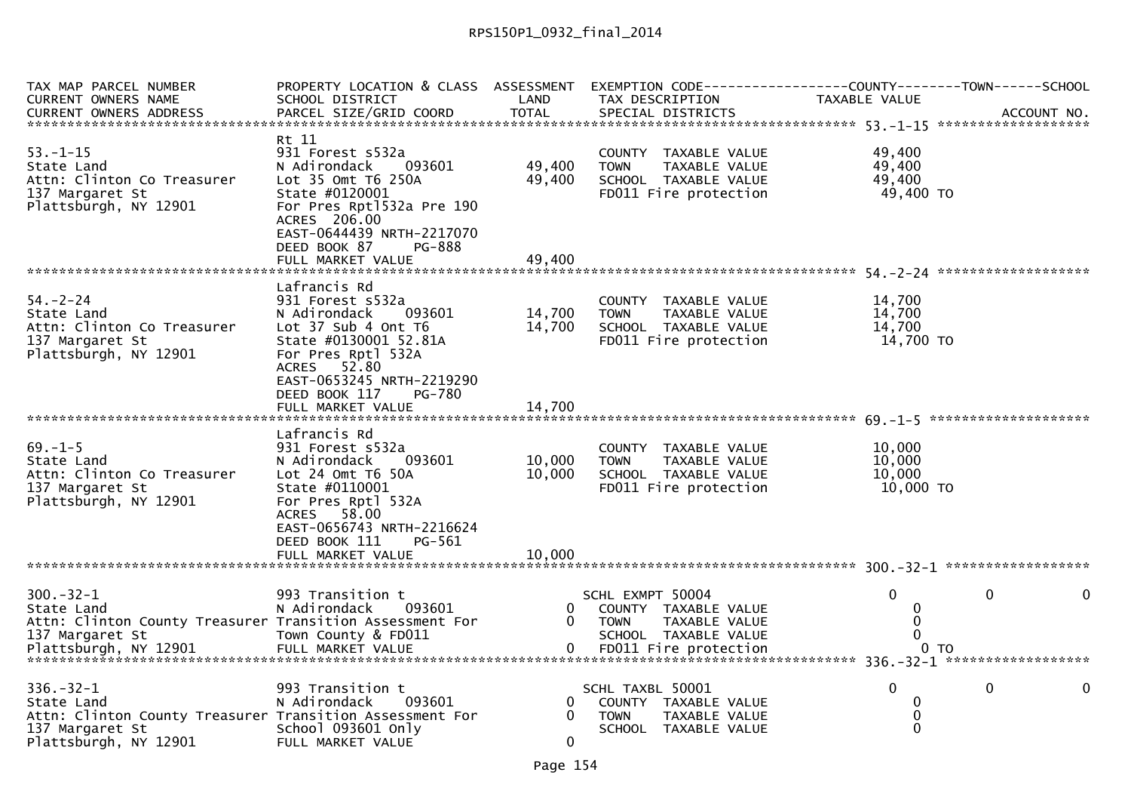| TAX MAP PARCEL NUMBER<br>CURRENT OWNERS NAME                                                                                          | PROPERTY LOCATION & CLASS ASSESSMENT EXEMPTION CODE----------------COUNTY--------TOWN------SCHOOL<br>SCHOOL DISTRICT                                                                           | LAND                          | TAX DESCRIPTION                                                                                       | TAXABLE VALUE                           |             |
|---------------------------------------------------------------------------------------------------------------------------------------|------------------------------------------------------------------------------------------------------------------------------------------------------------------------------------------------|-------------------------------|-------------------------------------------------------------------------------------------------------|-----------------------------------------|-------------|
| <b>CURRENT OWNERS ADDRESS</b>                                                                                                         | PARCEL SIZE/GRID COORD                                                                                                                                                                         | <b>TOTAL</b>                  | SPECIAL DISTRICTS                                                                                     |                                         | ACCOUNT NO. |
| $53. - 1 - 15$<br>State Land<br>Attn: Clinton Co Treasurer<br>137 Margaret St<br>Plattsburgh, NY 12901                                | Rt 11<br>931 Forest s532a<br>093601<br>N Adirondack<br>Lot 35 Omt T6 250A<br>State #0120001<br>For Pres Rpt1532a Pre 190<br>ACRES 206.00                                                       | 49,400<br>49,400              | COUNTY TAXABLE VALUE<br>TAXABLE VALUE<br><b>TOWN</b><br>SCHOOL TAXABLE VALUE<br>FD011 Fire protection | 49,400<br>49,400<br>49,400<br>49,400 TO |             |
|                                                                                                                                       | EAST-0644439 NRTH-2217070<br>DEED BOOK 87<br>PG-888<br>FULL MARKET VALUE                                                                                                                       | 49.400                        |                                                                                                       |                                         |             |
|                                                                                                                                       | Lafrancis Rd                                                                                                                                                                                   |                               |                                                                                                       |                                         |             |
| $54. - 2 - 24$<br>State Land<br>Attn: Clinton Co Treasurer<br>137 Margaret St<br>Plattsburgh, NY 12901                                | 931 Forest s532a<br>093601<br>N Adirondack<br>Lot 37 Sub 4 Ont T6<br>State #0130001 52.81A<br>For Pres Rptl 532A<br>ACRES 52.80<br>EAST-0653245 NRTH-2219290                                   | 14,700<br>14,700              | COUNTY TAXABLE VALUE<br><b>TOWN</b><br>TAXABLE VALUE<br>SCHOOL TAXABLE VALUE<br>FD011 Fire protection | 14,700<br>14,700<br>14,700<br>14,700 TO |             |
|                                                                                                                                       | DEED BOOK 117<br><b>PG-780</b><br>FULL MARKET VALUE                                                                                                                                            | 14,700                        |                                                                                                       |                                         |             |
| $69. - 1 - 5$<br>State Land<br>Attn: Clinton Co Treasurer<br>137 Margaret St<br>Plattsburgh, NY 12901                                 | Lafrancis Rd<br>931 Forest s532a<br>N Adirondack<br>093601<br>Lot 24 Omt T6 50A<br>State #0110001<br>For Pres Rptl 532A<br>ACRES 58.00<br>EAST-0656743 NRTH-2216624<br>DEED BOOK 111<br>PG-561 | 10,000<br>10,000              | COUNTY TAXABLE VALUE<br>TAXABLE VALUE<br><b>TOWN</b><br>SCHOOL TAXABLE VALUE<br>FD011 Fire protection | 10,000<br>10,000<br>10,000<br>10,000 TO |             |
|                                                                                                                                       | FULL MARKET VALUE                                                                                                                                                                              | 10,000                        |                                                                                                       |                                         |             |
| $300 - 32 - 1$<br>State Land<br>Attn: Clinton County Treasurer Transition Assessment For<br>137 Margaret St                           | 993 Transition t<br>N Adirondack<br>093601<br>Town County & FD011                                                                                                                              | 0<br>$\mathbf{0}$             | SCHL EXMPT 50004<br>COUNTY TAXABLE VALUE<br><b>TOWN</b><br>TAXABLE VALUE<br>SCHOOL TAXABLE VALUE      | $\Omega$<br>0<br>0                      | 0           |
| $336. - 32 - 1$<br>State Land<br>Attn: Clinton County Treasurer Transition Assessment For<br>137 Margaret St<br>Plattsburgh, NY 12901 | 993 Transition t<br>N Adirondack<br>093601<br>School 093601 Only<br>FULL MARKET VALUE                                                                                                          | 0<br>$\Omega$<br>$\mathbf{0}$ | SCHL TAXBL 50001<br>COUNTY TAXABLE VALUE<br><b>TOWN</b><br>TAXABLE VALUE<br>SCHOOL TAXABLE VALUE      | $\Omega$<br>0<br>0<br>$\mathbf 0$       | 0<br>0      |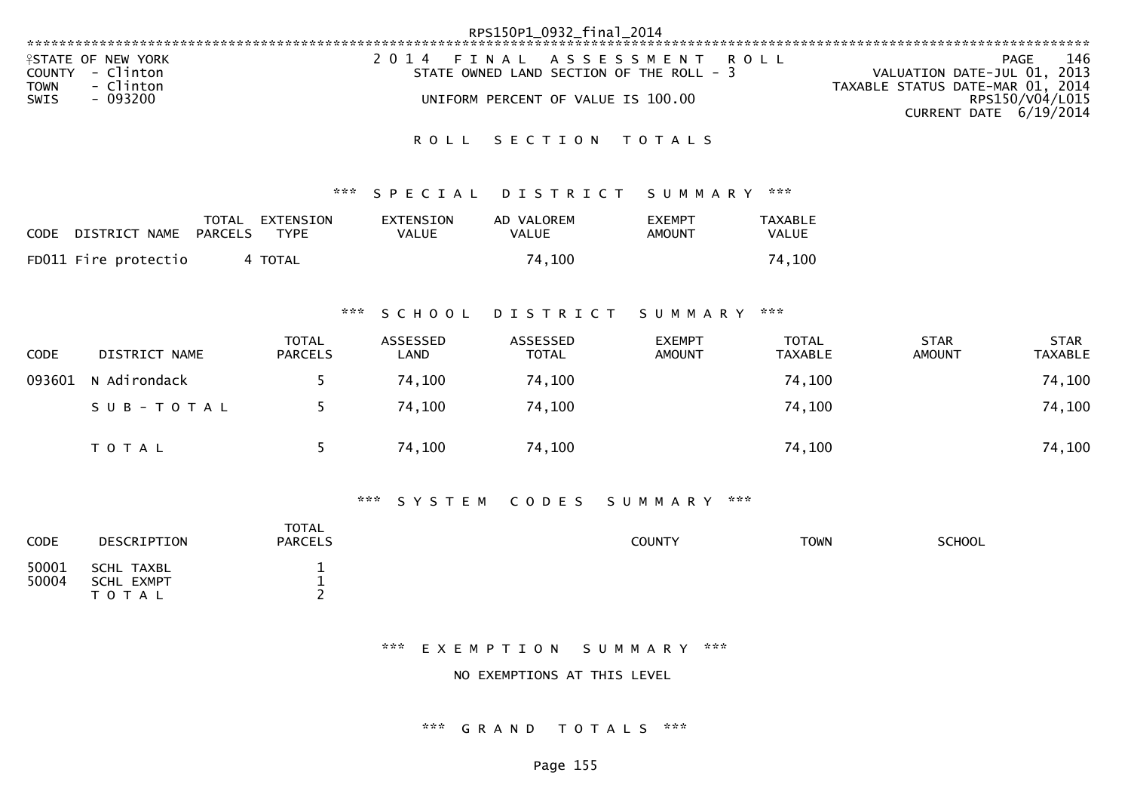|                                                                                                      | RPS150P1_0932_final_2014                                                                                     |                                                                                                                             |
|------------------------------------------------------------------------------------------------------|--------------------------------------------------------------------------------------------------------------|-----------------------------------------------------------------------------------------------------------------------------|
| <b>ISTATE OF NEW YORK</b><br>COUNTY - Clinton<br>- Clinton<br><b>TOWN</b><br><b>SWIS</b><br>- 093200 | 2014 FINAL ASSESSMENT ROLL<br>STATE OWNED LAND SECTION OF THE ROLL - 3<br>UNIFORM PERCENT OF VALUE IS 100.00 | 146<br>PAGE<br>VALUATION DATE-JUL 01, 2013<br>TAXABLE STATUS DATE-MAR 01, 2014<br>RPS150/V04/L015<br>CURRENT DATE 6/19/2014 |

### ROLL SECTION TOTALS

#### \*\*\* S P E C I A L D I S T R I C T S U M M A R Y \*\*\*

| CODE | DISTRICT NAME        | TOTAL<br>PARCELS | EXTENSION<br><b>TYPE</b> | EXTENSION<br>VALUE | AD VALOREM<br>VALUE | <b>EXEMPT</b><br>AMOUNT | TAXABLE<br><b>VALUE</b> |
|------|----------------------|------------------|--------------------------|--------------------|---------------------|-------------------------|-------------------------|
|      | FD011 Fire protectio |                  | 4 TOTAL                  |                    | 74,100              |                         | 74,100                  |

#### \*\*\* S C H O O L D I S T R I C T S U M M A R Y \*\*\*

| <b>CODE</b> | DISTRICT NAME | TOTAL<br><b>PARCELS</b> | ASSESSED<br>LAND | ASSESSED<br><b>TOTAL</b> | <b>EXEMPT</b><br><b>AMOUNT</b> | <b>TOTAL</b><br><b>TAXABLE</b> | <b>STAR</b><br><b>AMOUNT</b> | <b>STAR</b><br><b>TAXABLE</b> |
|-------------|---------------|-------------------------|------------------|--------------------------|--------------------------------|--------------------------------|------------------------------|-------------------------------|
| 093601      | N Adirondack  |                         | 74,100           | 74,100                   |                                | 74,100                         |                              | 74,100                        |
|             | SUB-TOTAL     |                         | 74,100           | 74,100                   |                                | 74,100                         |                              | 74,100                        |
|             | T O T A L     |                         | 74,100           | 74,100                   |                                | 74,100                         |                              | 74,100                        |

### \*\*\* S Y S T E M C O D E S S U M M A R Y \*\*\*

| <b>CODE</b>    | DESCRIPTION                                  | TOTAL<br><b>PARCELS</b> | <b>COUNTY</b> | <b>TOWN</b> | <b>SCHOOL</b> |
|----------------|----------------------------------------------|-------------------------|---------------|-------------|---------------|
| 50001<br>50004 | SCHL TAXBL<br><b>SCHL EXMPT</b><br>T 0 T A L | -<br>-                  |               |             |               |

### \*\*\* E X E M P T I O N S U M M A R Y \*\*\*

NO EXEMPTIONS AT THIS LEVEL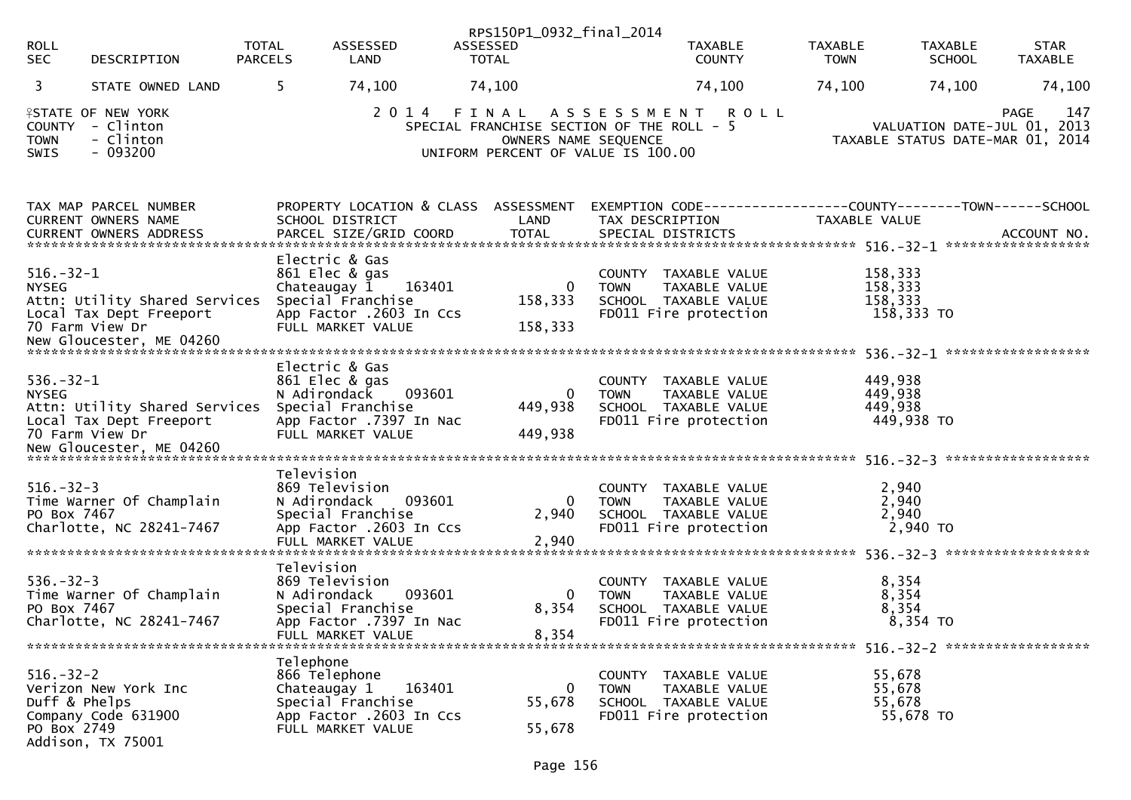| <b>ROLL</b><br><b>SEC</b>                       | DESCRIPTION                                                                 | <b>TOTAL</b><br><b>PARCELS</b> | ASSESSED<br>LAND                                                                                                                | RPS150P1_0932_final_2014<br>ASSESSED<br><b>TOTAL</b> | <b>TAXABLE</b><br><b>COUNTY</b>                                                                                                                 | TAXABLE<br><b>TOWN</b> | <b>TAXABLE</b><br><b>SCHOOL</b>                                 | <b>STAR</b><br><b>TAXABLE</b> |
|-------------------------------------------------|-----------------------------------------------------------------------------|--------------------------------|---------------------------------------------------------------------------------------------------------------------------------|------------------------------------------------------|-------------------------------------------------------------------------------------------------------------------------------------------------|------------------------|-----------------------------------------------------------------|-------------------------------|
| 3                                               | STATE OWNED LAND                                                            | 5.                             | 74,100                                                                                                                          | 74,100                                               | 74,100                                                                                                                                          | 74,100                 | 74,100                                                          | 74,100                        |
| <b>TOWN</b><br>SWIS                             | <b>ISTATE OF NEW YORK</b><br>COUNTY - Clinton<br>- Clinton<br>$-093200$     |                                |                                                                                                                                 |                                                      | 2014 FINAL ASSESSMENT<br><b>ROLL</b><br>SPECIAL FRANCHISE SECTION OF THE ROLL - 5<br>OWNERS NAME SEQUENCE<br>UNIFORM PERCENT OF VALUE IS 100.00 |                        | VALUATION DATE-JUL 01, 2013<br>TAXABLE STATUS DATE-MAR 01, 2014 | 147<br><b>PAGE</b>            |
|                                                 | TAX MAP PARCEL NUMBER<br>CURRENT OWNERS NAME                                |                                | PROPERTY LOCATION & CLASS ASSESSMENT<br>SCHOOL DISTRICT                                                                         | LAND                                                 | EXEMPTION CODE-----------------COUNTY-------TOWN------SCHOOL<br>TAX DESCRIPTION                                                                 | TAXABLE VALUE          |                                                                 |                               |
|                                                 |                                                                             |                                |                                                                                                                                 |                                                      |                                                                                                                                                 |                        |                                                                 |                               |
| $516. - 32 - 1$<br><b>NYSEG</b>                 | Attn: Utility Shared Services<br>Local Tax Dept Freeport<br>70 Farm View Dr |                                | Electric & Gas<br>861 Elec & gas<br>163401<br>Chateaugay 1<br>Special Franchise<br>App Factor .2603 In Ccs<br>FULL MARKET VALUE | 0<br>158,333<br>158,333                              | COUNTY TAXABLE VALUE<br><b>TOWN</b><br>TAXABLE VALUE<br>SCHOOL TAXABLE VALUE<br>FD011 Fire protection                                           |                        | 158,333<br>158,333<br>158,333<br>158,333 TO                     |                               |
|                                                 |                                                                             |                                | Electric & Gas                                                                                                                  |                                                      |                                                                                                                                                 |                        |                                                                 |                               |
| $536. - 32 - 1$<br><b>NYSEG</b>                 | Attn: Utility Shared Services<br>Local Tax Dept Freeport<br>70 Farm View Dr |                                | 861 Elec & gas<br>093601<br>N Adirondack<br>Special Franchise<br>App Factor .7397 In Nac<br>FULL MARKET VALUE                   | 0<br>449,938<br>449,938                              | COUNTY TAXABLE VALUE<br>TAXABLE VALUE<br><b>TOWN</b><br>SCHOOL TAXABLE VALUE<br>FD011 Fire protection                                           |                        | 449,938<br>449,938<br>449,938<br>449,938 TO                     |                               |
|                                                 |                                                                             |                                |                                                                                                                                 |                                                      |                                                                                                                                                 |                        |                                                                 |                               |
| $516. - 32 - 3$<br>PO Box 7467                  | Time Warner Of Champlain<br>Charlotte, NC 28241-7467                        | Television                     | 869 Television<br>093601<br>N Adirondack<br>Special Franchise<br>App Factor .2603 In Ccs<br>FULL MARKET VALUE                   | $\overline{0}$<br>2,940<br>2,940                     | COUNTY TAXABLE VALUE<br><b>TOWN</b><br>TAXABLE VALUE<br>SCHOOL TAXABLE VALUE<br>FD011 Fire protection                                           |                        | 2,940<br>2,940<br>2,940<br>2,940 TO                             |                               |
|                                                 |                                                                             | Television                     |                                                                                                                                 |                                                      |                                                                                                                                                 |                        |                                                                 |                               |
| $536. - 32 - 3$<br>PO Box 7467                  | Time Warner Of Champlain<br>Charlotte, NC 28241-7467                        |                                | 869 Television<br>093601<br>N Adirondack<br>Special Franchise<br>App Factor .7397 In Nac<br>FULL MARKET VALUE                   | 0<br>8,354<br>8,354                                  | COUNTY TAXABLE VALUE<br>TAXABLE VALUE<br><b>TOWN</b><br>SCHOOL TAXABLE VALUE<br>FD011 Fire protection                                           |                        | 8,354<br>8,354<br>8,354<br>8,354 TO                             |                               |
|                                                 |                                                                             | Telephone                      |                                                                                                                                 |                                                      |                                                                                                                                                 |                        |                                                                 |                               |
| $516. - 32 - 2$<br>Duff & Phelps<br>PO Box 2749 | Verizon New York Inc<br>Company Code 631900<br>Addison, TX 75001            |                                | 866 Telephone<br>163401<br>Chateaugay 1<br>Special Franchise<br>App Factor .2603 In Ccs<br>FULL MARKET VALUE                    | 0<br>55,678<br>55,678                                | COUNTY TAXABLE VALUE<br><b>TOWN</b><br>TAXABLE VALUE<br>SCHOOL TAXABLE VALUE<br>FD011 Fire protection                                           |                        | 55,678<br>55,678<br>55,678<br>55,678 TO                         |                               |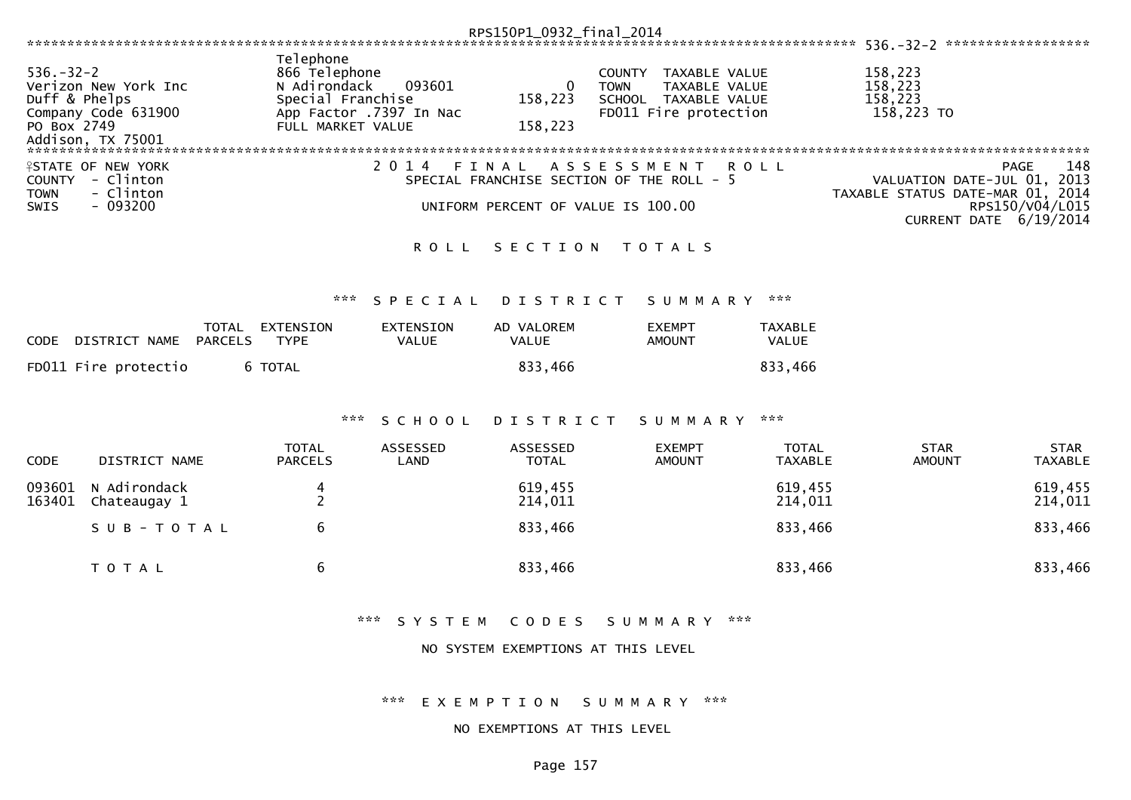|                                  |                                                     |                                                                                            |                                  | RPS150P1_0932_final_2014                           |                              |                                                                                 |                                |                                                            |                               |
|----------------------------------|-----------------------------------------------------|--------------------------------------------------------------------------------------------|----------------------------------|----------------------------------------------------|------------------------------|---------------------------------------------------------------------------------|--------------------------------|------------------------------------------------------------|-------------------------------|
|                                  |                                                     |                                                                                            |                                  |                                                    |                              |                                                                                 |                                |                                                            |                               |
| $536. - 32 - 2$<br>Duff & Phelps | Verizon New York Inc<br>Company Code 631900         | Telephone<br>866 Telephone<br>N Adirondack<br>Special Franchise<br>App Factor .7397 In Nac | 093601                           | $\mathbf{0}$<br>158,223                            | <b>COUNTY</b><br><b>TOWN</b> | TAXABLE VALUE<br>TAXABLE VALUE<br>SCHOOL TAXABLE VALUE<br>FD011 Fire protection |                                | 158,223<br>158,223<br>158,223<br>158,223 TO                |                               |
| PO Box 2749                      |                                                     | FULL MARKET VALUE                                                                          |                                  | 158,223                                            |                              |                                                                                 |                                |                                                            |                               |
|                                  |                                                     |                                                                                            |                                  |                                                    |                              |                                                                                 |                                |                                                            |                               |
| <b>COUNTY</b><br><b>TOWN</b>     | <b>ISTATE OF NEW YORK</b><br>- Clinton<br>- Clinton |                                                                                            | 2 0 1 4                          | FINAL<br>SPECIAL FRANCHISE SECTION OF THE ROLL - 5 | ASSESSMENT                   |                                                                                 | <b>ROLL</b>                    | VALUATION DATE-JUL 01,<br>TAXABLE STATUS DATE-MAR 01, 2014 | 148<br><b>PAGE</b><br>2013    |
| <b>SWIS</b>                      | $-093200$                                           |                                                                                            |                                  | UNIFORM PERCENT OF VALUE IS 100.00                 |                              |                                                                                 |                                | CURRENT DATE 6/19/2014                                     | RPS150/V04/L015               |
|                                  |                                                     |                                                                                            | <b>ROLL</b>                      | SECTION TOTALS                                     |                              |                                                                                 |                                |                                                            |                               |
|                                  |                                                     | ***                                                                                        | SPECIAL                          | <b>DISTRICT</b>                                    |                              | SUMMARY                                                                         | ***                            |                                                            |                               |
|                                  |                                                     |                                                                                            |                                  |                                                    |                              |                                                                                 |                                |                                                            |                               |
| <b>CODE</b>                      | TOTAL<br><b>PARCELS</b><br>DISTRICT NAME            | EXTENSION<br><b>TYPE</b>                                                                   | <b>EXTENSION</b><br><b>VALUE</b> | AD VALOREM<br><b>VALUE</b>                         |                              | <b>EXEMPT</b><br><b>AMOUNT</b>                                                  | <b>TAXABLE</b><br><b>VALUE</b> |                                                            |                               |
|                                  | FD011 Fire protectio                                | 6 TOTAL                                                                                    |                                  | 833,466                                            |                              |                                                                                 | 833,466                        |                                                            |                               |
|                                  |                                                     | ***                                                                                        | SCHOOL                           | DISTRICT                                           |                              | SUMMARY                                                                         | $\pi \times \pi$               |                                                            |                               |
|                                  |                                                     |                                                                                            |                                  |                                                    |                              |                                                                                 |                                |                                                            |                               |
| CODE                             | DISTRICT NAME                                       | <b>TOTAL</b><br><b>PARCELS</b>                                                             | <b>ASSESSED</b><br>LAND          | ASSESSED<br><b>TOTAL</b>                           |                              | <b>EXEMPT</b><br><b>AMOUNT</b>                                                  | <b>TOTAL</b><br><b>TAXABLE</b> | <b>STAR</b><br><b>AMOUNT</b>                               | <b>STAR</b><br><b>TAXABLE</b> |
| 093601<br>163401                 | N Adirondack<br>Chateaugay 1                        | 4<br>$\overline{2}$                                                                        |                                  | 619,455<br>214,011                                 |                              |                                                                                 | 619,455<br>214,011             |                                                            | 619,455<br>214,011            |
|                                  | SUB-TOTAL                                           | 6                                                                                          |                                  | 833,466                                            |                              |                                                                                 | 833,466                        |                                                            | 833,466                       |
|                                  | TOTAL                                               | 6                                                                                          |                                  | 833,466                                            |                              |                                                                                 | 833,466                        |                                                            | 833,466                       |
|                                  |                                                     |                                                                                            |                                  |                                                    |                              |                                                                                 |                                |                                                            |                               |

\*\*\* S Y S T E M C O D E S S U M M A R Y \*\*\*

NO SYSTEM EXEMPTIONS AT THIS LEVEL

\*\*\* E X E M P T I O N S U M M A R Y \*\*\*

NO EXEMPTIONS AT THIS LEVEL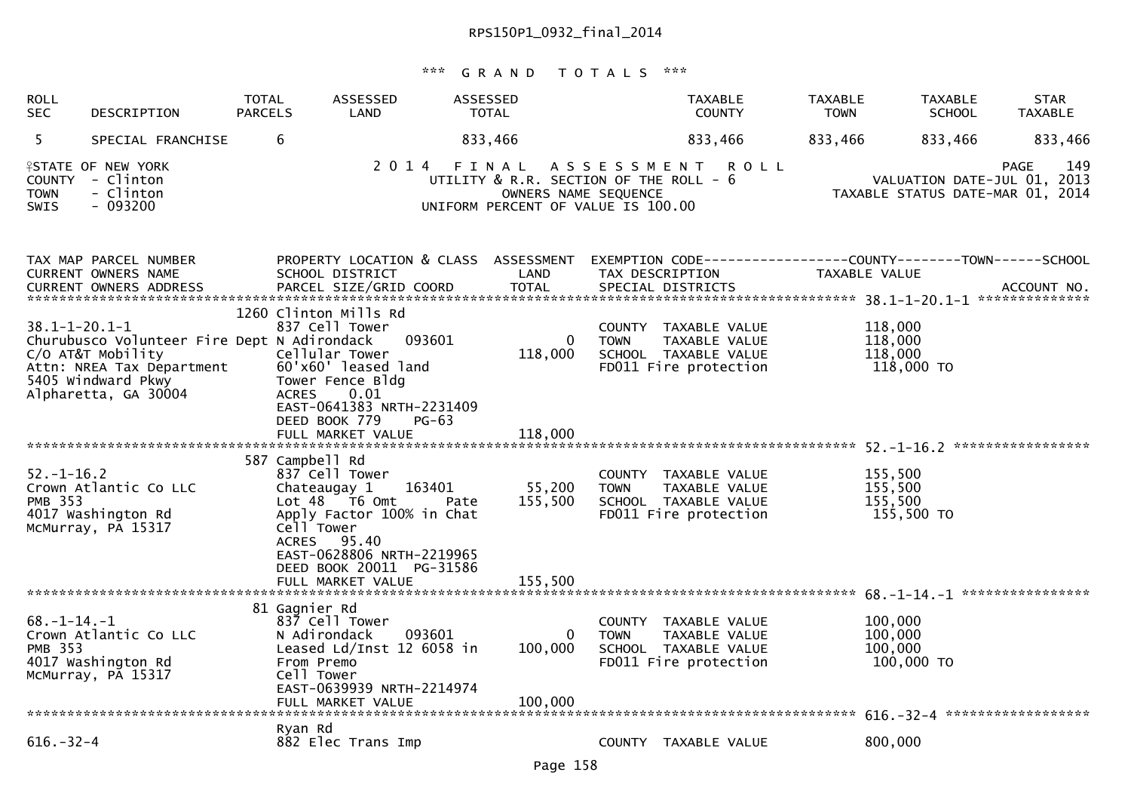| <b>ROLL</b><br><b>SEC</b>             | DESCRIPTION                                                                                                                                 | <b>TOTAL</b><br><b>PARCELS</b> | ASSESSED<br>LAND                                                                                                                                                                                                     | ASSESSED<br><b>TOTAL</b> | <b>TAXABLE</b><br><b>COUNTY</b>                                                                                 | <b>TAXABLE</b><br><b>TOWN</b> | <b>TAXABLE</b><br><b>SCHOOL</b>                                 | <b>STAR</b><br><b>TAXABLE</b> |
|---------------------------------------|---------------------------------------------------------------------------------------------------------------------------------------------|--------------------------------|----------------------------------------------------------------------------------------------------------------------------------------------------------------------------------------------------------------------|--------------------------|-----------------------------------------------------------------------------------------------------------------|-------------------------------|-----------------------------------------------------------------|-------------------------------|
| 5                                     | SPECIAL FRANCHISE                                                                                                                           | 6                              |                                                                                                                                                                                                                      | 833,466                  | 833,466                                                                                                         | 833,466                       | 833,466                                                         | 833,466                       |
| <b>TOWN</b><br>SWIS                   | <b>ISTATE OF NEW YORK</b><br>COUNTY - Clinton<br>- Clinton<br>- 093200                                                                      |                                | 2014                                                                                                                                                                                                                 | OWNERS NAME SEQUENCE     | FINAL ASSESSMENT<br><b>ROLL</b><br>UTILITY & R.R. SECTION OF THE ROLL - 6<br>UNIFORM PERCENT OF VALUE IS 100.00 |                               | VALUATION DATE-JUL 01, 2013<br>TAXABLE STATUS DATE-MAR 01, 2014 | 149<br>PAGE                   |
|                                       | TAX MAP PARCEL NUMBER<br>CURRENT OWNERS NAME                                                                                                |                                | PROPERTY LOCATION & CLASS ASSESSMENT<br>SCHOOL DISTRICT                                                                                                                                                              | LAND                     | TAX DESCRIPTION                                                                                                 | TAXABLE VALUE                 |                                                                 |                               |
| $38.1 - 1 - 20.1 - 1$                 | Churubusco Volunteer Fire Dept N Adirondack<br>C/O AT&T Mobility<br>Attn: NREA Tax Department<br>5405 Windward Pkwy<br>Alpharetta, GA 30004 |                                | 1260 Clinton Mills Rd<br>837 Cell Tower<br>093601<br>Cellular Tower<br>60'x60' leased land<br>Tower Fence Bldg<br>0.01<br><b>ACRES</b><br>EAST-0641383 NRTH-2231409<br>DEED BOOK 779<br>$PG-63$<br>FULL MARKET VALUE | 0<br>118,000<br>118,000  | COUNTY TAXABLE VALUE<br><b>TOWN</b><br>TAXABLE VALUE<br>SCHOOL TAXABLE VALUE<br>FD011 Fire protection           | 118,000<br>118,000<br>118,000 | 118,000 TO                                                      |                               |
|                                       |                                                                                                                                             |                                |                                                                                                                                                                                                                      |                          |                                                                                                                 |                               |                                                                 |                               |
| $52. - 1 - 16.2$<br>PMB 353           | Crown Atlantic Co LLC<br>4017 Washington Rd<br>McMurray, PA 15317                                                                           |                                | 587 Campbell Rd<br>837 Cell Tower<br>163401<br>Chateaugay 1<br>$Lot 48$ T6 Omt<br>Pate<br>Apply Factor 100% in Chat<br>Cell Tower<br>ACRES 95.40<br>EAST-0628806 NRTH-2219965<br>DEED BOOK 20011 PG-31586            | 55,200<br>155,500        | COUNTY TAXABLE VALUE<br>TAXABLE VALUE<br><b>TOWN</b><br>SCHOOL TAXABLE VALUE<br>FD011 Fire protection           | 155,500<br>155,500<br>155,500 | 155,500 TO                                                      |                               |
|                                       |                                                                                                                                             |                                |                                                                                                                                                                                                                      |                          |                                                                                                                 |                               |                                                                 |                               |
| $68. - 1 - 14. - 1$<br><b>PMB 353</b> | Crown Atlantic Co LLC<br>4017 Washington Rd<br>McMurray, PA 15317                                                                           |                                | 81 Gagnier Rd<br>837 Cell Tower<br>N Adirondack<br>093601<br>Leased Ld/Inst 12 6058 in<br>From Premo<br>Cell Tower<br>EAST-0639939 NRTH-2214974                                                                      | 0<br>100,000             | COUNTY TAXABLE VALUE<br>TAXABLE VALUE<br><b>TOWN</b><br>SCHOOL TAXABLE VALUE<br>FD011 Fire protection           | 100,000<br>100,000<br>100,000 | 100,000 TO                                                      |                               |
| $616. - 32 - 4$                       |                                                                                                                                             |                                | Ryan Rd<br>882 Elec Trans Imp                                                                                                                                                                                        |                          | COUNTY TAXABLE VALUE                                                                                            | 800,000                       |                                                                 |                               |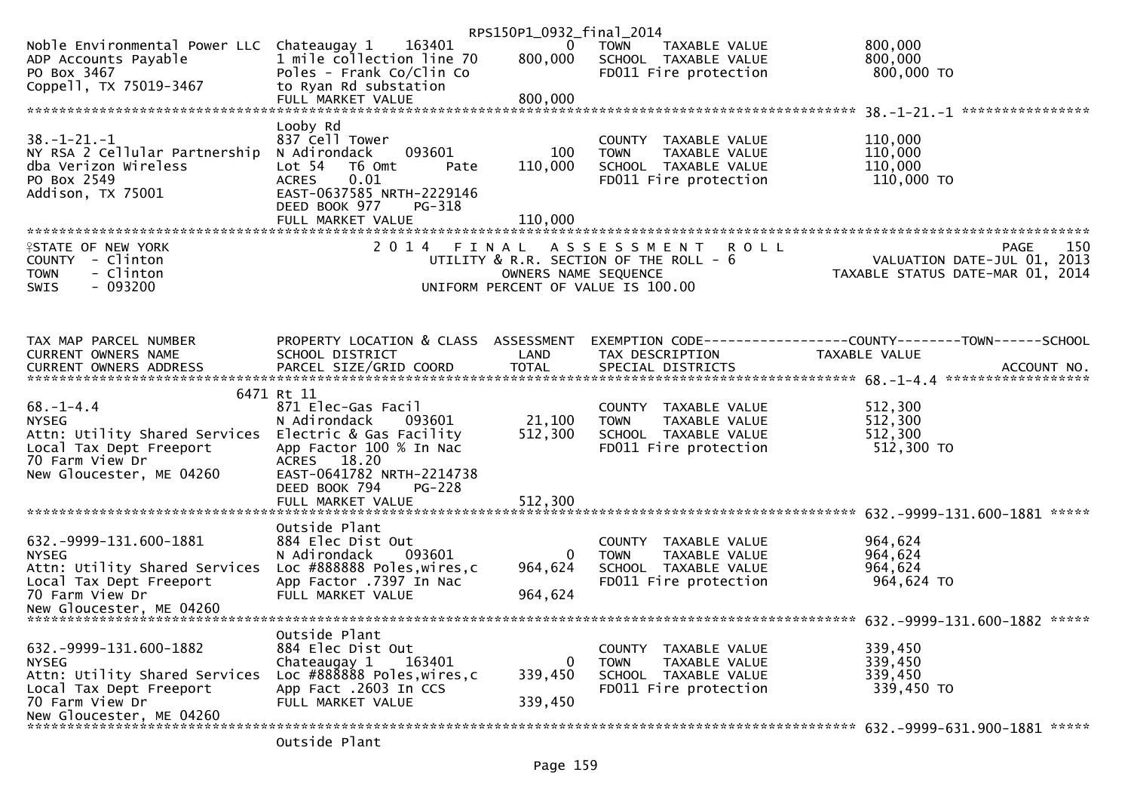|                                                          |                                                    | RPS150P1_0932_final_2014 |                                                      |                                                              |
|----------------------------------------------------------|----------------------------------------------------|--------------------------|------------------------------------------------------|--------------------------------------------------------------|
| Noble Environmental Power LLC Chateaugay 1 163401        |                                                    | $\bf{0}$                 | TOWN<br>TAXABLE VALUE                                | 800,000                                                      |
| ADP Accounts Payable                                     | 1 mile collection line 70                          | 800,000                  | SCHOOL TAXABLE VALUE                                 | 800,000                                                      |
| PO Box 3467                                              | Poles - Frank Co/Clin Co                           |                          | FD011 Fire protection                                | 800,000 TO                                                   |
| Coppell, TX 75019-3467                                   | to Ryan Rd substation                              |                          |                                                      |                                                              |
|                                                          | FULL MARKET VALUE                                  | 800,000                  |                                                      |                                                              |
|                                                          |                                                    |                          |                                                      |                                                              |
| $38. - 1 - 21. - 1$                                      | Looby Rd                                           |                          |                                                      | 110,000                                                      |
| NY RSA 2 Cellular Partnership                            | 837 Cell Tower<br>093601<br>N Adirondack           | 100                      | COUNTY TAXABLE VALUE<br><b>TOWN</b><br>TAXABLE VALUE | 110,000                                                      |
| dba Verizon Wireless                                     | T6 Omt<br>Lot 54<br>Pate                           | 110,000                  | SCHOOL TAXABLE VALUE                                 | 110,000                                                      |
| PO Box 2549                                              | 0.01<br><b>ACRES</b>                               |                          | FD011 Fire protection                                | 110,000 TO                                                   |
| Addison, TX 75001                                        | EAST-0637585 NRTH-2229146                          |                          |                                                      |                                                              |
|                                                          | DEED BOOK 977<br>PG-318                            |                          |                                                      |                                                              |
|                                                          | FULL MARKET VALUE                                  | 110.000                  |                                                      |                                                              |
|                                                          |                                                    |                          |                                                      |                                                              |
| <b>ISTATE OF NEW YORK</b>                                | 2 0 1 4                                            | FINAL                    | A S S E S S M E N T<br><b>ROLL</b>                   | 150<br><b>PAGE</b>                                           |
| COUNTY - Clinton                                         |                                                    |                          | UTILITY & R.R. SECTION OF THE ROLL - 6               | VALUATION DATE-JUL 01, 2013                                  |
| - Clinton<br>TOWN                                        |                                                    | OWNERS NAME SEQUENCE     |                                                      | TAXABLE STATUS DATE-MAR 01, 2014                             |
| <b>SWIS</b><br>- 093200                                  |                                                    |                          | UNIFORM PERCENT OF VALUE IS 100.00                   |                                                              |
|                                                          |                                                    |                          |                                                      |                                                              |
|                                                          |                                                    |                          |                                                      |                                                              |
| TAX MAP PARCEL NUMBER                                    | PROPERTY LOCATION & CLASS ASSESSMENT               |                          |                                                      | EXEMPTION CODE-----------------COUNTY-------TOWN------SCHOOL |
| CURRENT OWNERS NAME                                      | SCHOOL DISTRICT                                    | LAND                     | TAX DESCRIPTION                                      | TAXABLE VALUE                                                |
| CURRENT OWNERS ADDRESS                                   |                                                    |                          |                                                      |                                                              |
|                                                          |                                                    |                          |                                                      |                                                              |
|                                                          | 6471 Rt 11                                         |                          |                                                      |                                                              |
| $68. - 1 - 4.4$                                          | 871 Elec-Gas Facil                                 |                          | COUNTY TAXABLE VALUE                                 | 512,300                                                      |
| <b>NYSEG</b>                                             | N Adirondack<br>093601                             | 21,100                   | TAXABLE VALUE<br><b>TOWN</b>                         | 512,300<br>512,300                                           |
| Attn: Utility Shared Services<br>Local Tax Dept Freeport | Electric & Gas Facility<br>App Factor 100 % In Nac | 512,300                  | SCHOOL TAXABLE VALUE<br>FD011 Fire protection        | 512,300 TO                                                   |
| 70 Farm View Dr                                          | ACRES 18.20                                        |                          |                                                      |                                                              |
| New Gloucester, ME 04260                                 | EAST-0641782 NRTH-2214738                          |                          |                                                      |                                                              |
|                                                          | DEED BOOK 794<br>PG-228                            |                          |                                                      |                                                              |
|                                                          |                                                    |                          |                                                      |                                                              |
|                                                          |                                                    |                          |                                                      | *****                                                        |
|                                                          | Outside Plant                                      |                          |                                                      |                                                              |
| 632. - 9999 - 131. 600 - 1881                            | 884 Elec Dist Out                                  |                          | COUNTY TAXABLE VALUE                                 | 964,624                                                      |
| <b>NYSEG</b>                                             | N Adirondack<br>093601                             | 0                        | <b>TOWN</b><br><b>TAXABLE VALUE</b>                  | 964,624                                                      |
| Attn: Utility Shared Services                            | Loc #888888 Poles, wires, c                        | 964,624                  | SCHOOL TAXABLE VALUE                                 | 964,624                                                      |
| Local Tax Dept Freeport                                  | App Factor .7397 In Nac                            |                          | FD011 Fire protection                                | 964,624 TO                                                   |
| 70 Farm View Dr                                          | FULL MARKET VALUE                                  | 964,624                  |                                                      |                                                              |
| New Gloucester, ME 04260                                 |                                                    |                          |                                                      |                                                              |
|                                                          | Outside Plant                                      |                          |                                                      |                                                              |
| 632. -9999-131. 600-1882                                 | 884 Elec Dist Out                                  |                          | COUNTY TAXABLE VALUE                                 | 339,450                                                      |
| <b>NYSEG</b>                                             | Chateaugay 1<br>163401                             | 0                        | <b>TOWN</b><br>TAXABLE VALUE                         | 339,450                                                      |
| Attn: Utility Shared Services                            | Loc #888888 Poles, wires, c                        | 339,450                  | SCHOOL TAXABLE VALUE                                 | 339,450                                                      |
| Local Tax Dept Freeport                                  | App Fact .2603 In CCS                              |                          | FD011 Fire protection                                | 339,450 TO                                                   |
| 70 Farm View Dr                                          | FULL MARKET VALUE                                  | 339,450                  |                                                      |                                                              |
| New Gloucester, ME 04260                                 |                                                    |                          |                                                      |                                                              |
|                                                          |                                                    |                          |                                                      |                                                              |
|                                                          | Outside Plant                                      |                          |                                                      |                                                              |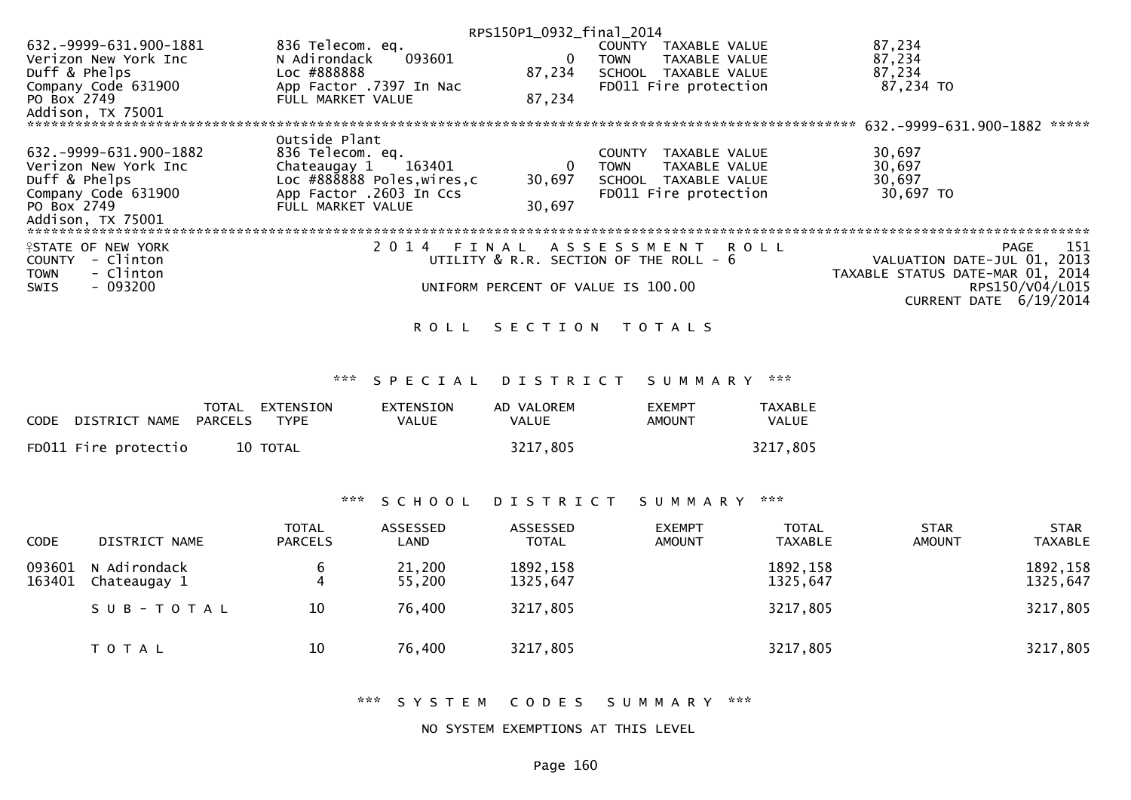| RPS150P1_0932_final_2014   |                                        |        |               |                             |                                  |  |
|----------------------------|----------------------------------------|--------|---------------|-----------------------------|----------------------------------|--|
| 632.-9999-631.900-1881     | 836 Telecom. eq.                       |        | <b>COUNTY</b> | TAXABLE VALUE               | 87,234                           |  |
| Verizon New York Inc       | N Adirondack<br>093601                 | 0      | TOWN          | TAXABLE VALUE               | 87,234                           |  |
| Duff & Phelps              | Loc #888888                            | 87,234 | <b>SCHOOL</b> | TAXABLE VALUE               | 87,234                           |  |
| Company Code 631900        | App Factor .7397 In Nac                |        |               | FD011 Fire protection       | 87,234 TO                        |  |
| PO Box 2749                | FULL MARKET VALUE                      | 87,234 |               |                             |                                  |  |
| Addison, TX 75001          |                                        |        |               |                             |                                  |  |
|                            |                                        |        |               |                             | 632.-9999-631.900-1882<br>*****  |  |
|                            | Outside Plant                          |        |               |                             |                                  |  |
| 632. -9999-631.900-1882    | 836 Telecom. eq.                       |        | <b>COUNTY</b> | TAXABLE VALUE               | 30,697                           |  |
| Verizon New York Inc       | 163401<br>Chateaugay 1                 | 0      | TOWN          | TAXABLE VALUE               | 30,697                           |  |
| Duff & Phelps              | Loc #888888 Poles, wires, c            | 30,697 | SCHOOL        | TAXABLE VALUE               | 30,697                           |  |
| Company Code 631900        | App Factor .2603 In Ccs                |        |               | FD011 Fire protection       | 30,697 TO                        |  |
| PO Box 2749                | FULL MARKET VALUE                      | 30,697 |               |                             |                                  |  |
| Addison, TX 75001          |                                        |        |               |                             |                                  |  |
|                            |                                        |        |               |                             |                                  |  |
| <b>ISTATE OF NEW YORK</b>  | 2014<br>FINAL                          |        |               | A S S E S S M E N T R O L L | -151<br>PAGE                     |  |
| - Clinton<br><b>COUNTY</b> | UTILITY & R.R. SECTION OF THE ROLL - 6 |        |               |                             | VALUATION DATE-JUL 01, 2013      |  |
| - Clinton<br><b>TOWN</b>   |                                        |        |               |                             | TAXABLE STATUS DATE-MAR 01, 2014 |  |
| $-093200$<br><b>SWIS</b>   | UNIFORM PERCENT OF VALUE IS 100.00     |        |               |                             | RPS150/V04/L015                  |  |
|                            |                                        |        |               |                             | CURRENT DATE 6/19/2014           |  |
|                            |                                        |        |               |                             |                                  |  |

### ROLL SECTION TOTALS

\*\*\* S P E C I A L D I S T R I C T S U M M A R Y \*\*\*

| CODE DISTRICT NAME PARCELS | TOTAL EXTENSION<br><b>TYPE</b> | <b>EXTENSTON</b><br>VALUE | AD VALOREM<br><b>VALUE</b> | <b>FXFMPT</b><br>AMOUNT | <b>TAXABLE</b><br>VALUE |
|----------------------------|--------------------------------|---------------------------|----------------------------|-------------------------|-------------------------|
| FD011 Fire protectio       | 10 TOTAL                       |                           | 3217,805                   |                         | 3217,805                |

### \*\*\* S C H O O L D I S T R I C T S U M M A R Y \*\*\*

| <b>CODE</b>      | DISTRICT NAME                | TOTAL<br><b>PARCELS</b> | ASSESSED<br>LAND | <b>ASSESSED</b><br><b>TOTAL</b> | <b>EXEMPT</b><br><b>AMOUNT</b> | <b>TOTAL</b><br><b>TAXABLE</b> | <b>STAR</b><br><b>AMOUNT</b> | <b>STAR</b><br><b>TAXABLE</b> |
|------------------|------------------------------|-------------------------|------------------|---------------------------------|--------------------------------|--------------------------------|------------------------------|-------------------------------|
| 093601<br>163401 | N Adirondack<br>Chateaugay 1 | b<br>4                  | 21,200<br>55,200 | 1892, 158<br>1325,647           |                                | 1892, 158<br>1325,647          |                              | 1892, 158<br>1325,647         |
|                  | SUB-TOTAL                    | 10                      | 76,400           | 3217,805                        |                                | 3217,805                       |                              | 3217,805                      |
|                  | T O T A L                    | 10                      | 76,400           | 3217,805                        |                                | 3217,805                       |                              | 3217,805                      |

\*\*\* S Y S T E M C O D E S S U M M A R Y \*\*\*

#### NO SYSTEM EXEMPTIONS AT THIS LEVEL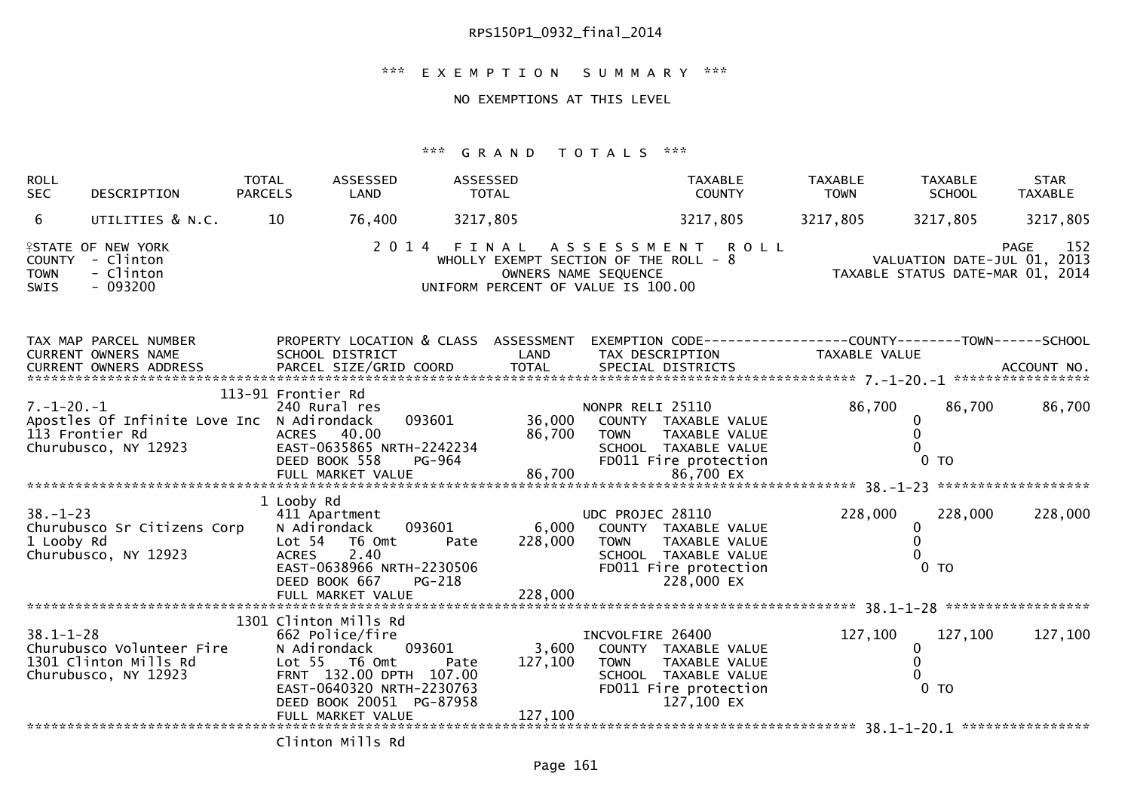## \*\*\* E X E M P T I O N S U M M A R Y \*\*\*

### NO EXEMPTIONS AT THIS LEVEL

| <b>ROLL</b><br><b>SEC</b>                   | DESCRIPTION                                                                           | TOTAL<br><b>PARCELS</b>    | ASSESSED<br>LAND                                                                                                                                                        | ASSESSED<br><b>TOTAL</b>                                                             |                                             | <b>TAXABLE</b><br><b>COUNTY</b>                                                                      | <b>TAXABLE</b><br><b>TOWN</b> | <b>TAXABLE</b><br><b>SCHOOL</b>                                 | <b>STAR</b><br><b>TAXABLE</b> |
|---------------------------------------------|---------------------------------------------------------------------------------------|----------------------------|-------------------------------------------------------------------------------------------------------------------------------------------------------------------------|--------------------------------------------------------------------------------------|---------------------------------------------|------------------------------------------------------------------------------------------------------|-------------------------------|-----------------------------------------------------------------|-------------------------------|
| 6                                           | UTILITIES & N.C.                                                                      | 10                         | 76,400                                                                                                                                                                  | 3217,805                                                                             |                                             | 3217,805                                                                                             | 3217,805                      | 3217,805                                                        | 3217,805                      |
| <b>COUNTY</b><br><b>TOWN</b><br><b>SWIS</b> | <b>ISTATE OF NEW YORK</b><br>- Clinton<br>- Clinton<br>$-093200$                      |                            | 2 0 1 4                                                                                                                                                                 | FINAL<br>WHOLLY EXEMPT SECTION OF THE ROLL - 8<br>UNIFORM PERCENT OF VALUE IS 100.00 | A S S E S S M E N T<br>OWNERS NAME SEQUENCE | <b>ROLL</b>                                                                                          |                               | VALUATION DATE-JUL 01, 2013<br>TAXABLE STATUS DATE-MAR 01, 2014 | 152<br><b>PAGE</b>            |
|                                             | TAX MAP PARCEL NUMBER<br>CURRENT OWNERS NAME                                          |                            | SCHOOL DISTRICT                                                                                                                                                         | PROPERTY LOCATION & CLASS ASSESSMENT<br>LAND                                         |                                             | TAX DESCRIPTION                                                                                      | TAXABLE VALUE                 |                                                                 |                               |
| $7. - 1 - 20. - 1$                          | Apostles Of Infinite Love Inc N Adirondack<br>113 Frontier Rd<br>Churubusco, NY 12923 | 113-91 Frontier Rd         | 240 Rural res<br>093601<br>ACRES 40.00<br>EAST-0635865 NRTH-2242234<br>DEED BOOK 558                                                                                    | 36,000<br>86,700<br><b>PG-964</b>                                                    | NONPR RELI 25110<br><b>TOWN</b>             | COUNTY TAXABLE VALUE<br><b>TAXABLE VALUE</b><br>SCHOOL TAXABLE VALUE<br>FD011 Fire protection        | 86,700                        | 86,700<br>0<br>$0$ TO                                           | 86,700                        |
| $38. - 1 - 23$<br>1 Looby Rd                | Churubusco Sr Citizens Corp<br>Churubusco, NY 12923                                   | 1 Looby Rd<br><b>ACRES</b> | 411 Apartment<br>093601<br>N Adirondack<br>Lot 54 76 0mt<br>2.40<br>EAST-0638966 NRTH-2230506<br>DEED BOOK 667                                                          | 6,000<br>228,000<br>Pate<br>PG-218                                                   | UDC PROJEC 28110<br><b>TOWN</b>             | COUNTY TAXABLE VALUE<br>TAXABLE VALUE<br>SCHOOL TAXABLE VALUE<br>FD011 Fire protection<br>228,000 EX | 228,000                       | 228,000<br>0<br>$0$ TO                                          | 228,000                       |
| $38.1 - 1 - 28$                             | Churubusco Volunteer Fire<br>1301 Clinton Mills Rd<br>Churubusco, NY 12923            |                            | 1301 Clinton Mills Rd<br>662 Police/fire<br>093601<br>N Adirondack<br>Lot 55 T6 Omt<br>FRNT 132.00 DPTH 107.00<br>EAST-0640320 NRTH-2230763<br>DEED BOOK 20051 PG-87958 | 3,600<br>127,100<br>Pate                                                             | INCVOLFIRE 26400<br><b>TOWN</b>             | COUNTY TAXABLE VALUE<br>TAXABLE VALUE<br>SCHOOL TAXABLE VALUE<br>FD011 Fire protection<br>127,100 EX | 127,100                       | 127,100<br>0<br>0 <sub>T</sub>                                  | 127,100                       |
|                                             |                                                                                       |                            | Clinton Mills Rd                                                                                                                                                        |                                                                                      |                                             |                                                                                                      |                               |                                                                 |                               |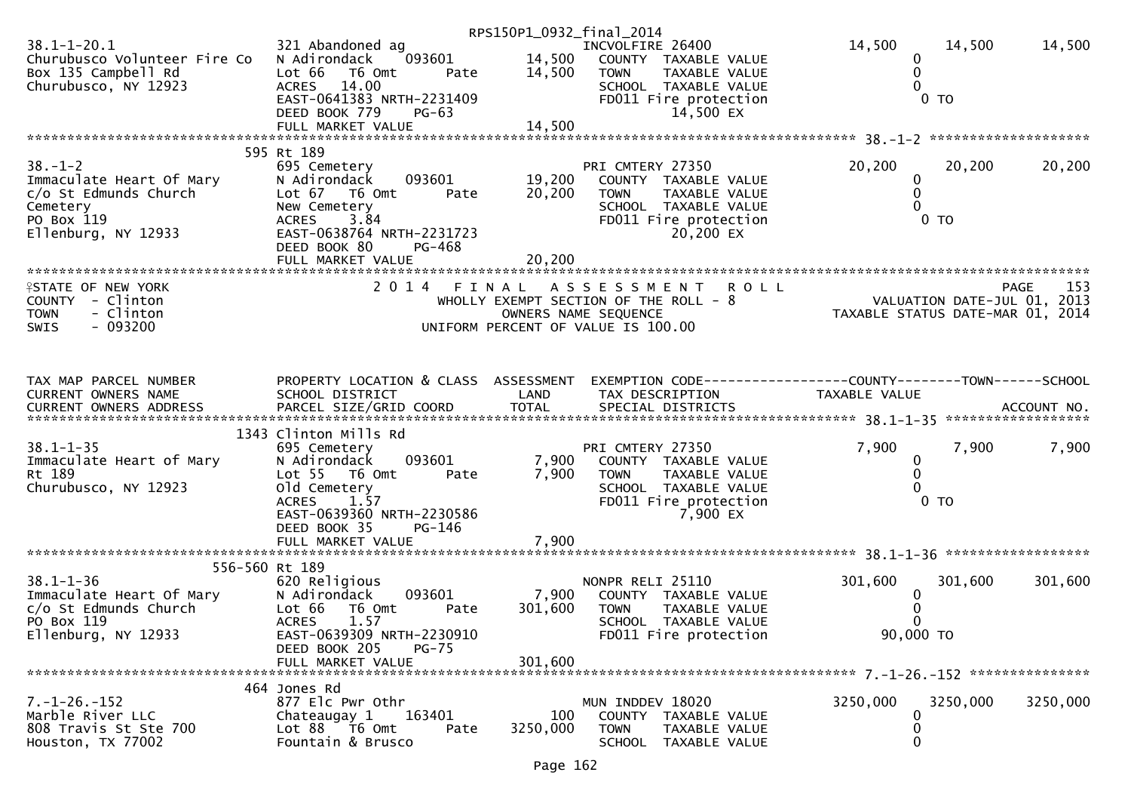|                                                                                                                                                                                    |                                                   | RPS150P1_0932_final_2014 |                                                                |                   |                                                                 |
|------------------------------------------------------------------------------------------------------------------------------------------------------------------------------------|---------------------------------------------------|--------------------------|----------------------------------------------------------------|-------------------|-----------------------------------------------------------------|
| $38.1 - 1 - 20.1$<br>Churubusco Volunteer Fire Co N Adirondack                                                                                                                     | 321 Abandoned ag<br>093601                        | 14,500                   | INCVOLFIRE 26400<br>COUNTY TAXABLE VALUE                       | 14,500<br>0       | 14,500<br>14,500                                                |
| Box 135 Campbell Rd<br>Churubusco, NY 12923                                                                                                                                        | Lot 66<br>T6 Omt<br>Pate<br><b>ACRES</b><br>14.00 | 14,500                   | TAXABLE VALUE<br><b>TOWN</b><br>SCHOOL TAXABLE VALUE           | 0<br>0            |                                                                 |
|                                                                                                                                                                                    | EAST-0641383 NRTH-2231409                         |                          | FD011 Fire protection                                          |                   | 0 <sub>T</sub>                                                  |
|                                                                                                                                                                                    | DEED BOOK 779<br>$PG-63$                          |                          | 14,500 EX                                                      |                   |                                                                 |
|                                                                                                                                                                                    |                                                   |                          |                                                                |                   |                                                                 |
|                                                                                                                                                                                    | 595 Rt 189                                        |                          |                                                                |                   |                                                                 |
| $38. - 1 - 2$                                                                                                                                                                      | 695 Cemetery                                      |                          | PRI CMTERY 27350                                               | 20,200            | 20,200<br>20,200                                                |
| Immaculate Heart Of Mary<br>c/o St Edmunds Church                                                                                                                                  | N Adirondack<br>093601<br>Lot 67 T6 Omt<br>Pate   | 19,200<br>20,200         | COUNTY TAXABLE VALUE<br>TAXABLE VALUE<br><b>TOWN</b>           | 0<br>$\mathbf{0}$ |                                                                 |
| Cemetery                                                                                                                                                                           | New Cemetery                                      |                          | SCHOOL TAXABLE VALUE                                           | 0                 |                                                                 |
| PO Box 119                                                                                                                                                                         | <b>ACRES</b><br>3.84                              |                          | FD011 Fire protection                                          |                   | 0 <sub>T</sub>                                                  |
| Ellenburg, NY 12933                                                                                                                                                                | EAST-0638764 NRTH-2231723                         |                          | 20,200 EX                                                      |                   |                                                                 |
|                                                                                                                                                                                    | DEED BOOK 80<br>PG-468<br>FULL MARKET VALUE       | 20,200                   |                                                                |                   |                                                                 |
|                                                                                                                                                                                    |                                                   |                          |                                                                |                   |                                                                 |
| <b>ISTATE OF NEW YORK</b>                                                                                                                                                          | 2014 FINAL                                        |                          | A S S E S S M E N T<br><b>ROLL</b>                             |                   | 153<br><b>PAGE</b>                                              |
| COUNTY - Clinton                                                                                                                                                                   |                                                   |                          | WHOLLY EXEMPT SECTION OF THE ROLL - 8                          |                   | VALUATION DATE-JUL 01, 2013<br>TAXABLE STATUS DATE-MAR 01, 2014 |
| <b>TOWN</b><br>- Clinton<br>$-093200$<br>SWIS                                                                                                                                      |                                                   |                          | OWNERS NAME SEQUENCE<br>UNIFORM PERCENT OF VALUE IS 100.00     |                   |                                                                 |
|                                                                                                                                                                                    |                                                   |                          |                                                                |                   |                                                                 |
|                                                                                                                                                                                    |                                                   |                          |                                                                |                   |                                                                 |
| TAX MAP PARCEL NUMBER                                                                                                                                                              | PROPERTY LOCATION & CLASS ASSESSMENT              |                          | EXEMPTION CODE------------------COUNTY--------TOWN------SCHOOL |                   |                                                                 |
| CURRENT OWNERS NAME                                                                                                                                                                | SCHOOL DISTRICT                                   | LAND                     | TAX DESCRIPTION                                                | TAXABLE VALUE     |                                                                 |
| -CURRENT OWNERS ADDRESS PARCEL SIZE/GRID COORD TOTAL SPECIAL DISTRICTS AND MONERS ADDRESS PARCEL SIZE/GRID COORD TOTAL SPECIAL DISTRICTS AND MONERS ADDRESS PARCEL SIZE/GRID COORD |                                                   |                          |                                                                |                   |                                                                 |
|                                                                                                                                                                                    |                                                   |                          |                                                                |                   |                                                                 |
| $38.1 - 1 - 35$                                                                                                                                                                    | 1343 Clinton Mills Rd<br>695 Cemetery             |                          | PRI CMTERY 27350                                               | 7,900             | 7,900<br>7,900                                                  |
| Immaculate Heart of Mary                                                                                                                                                           | 093601<br>N Adirondack                            | 7,900                    | COUNTY TAXABLE VALUE                                           | 0                 |                                                                 |
| Rt 189                                                                                                                                                                             | Lot 55  T6 Omt<br>Pate                            | 7,900                    | <b>TOWN</b><br>TAXABLE VALUE                                   | $\mathbf{0}$      |                                                                 |
| Churubusco, NY 12923                                                                                                                                                               | old Cemetery<br><b>ACRES</b><br>1.57              |                          | SCHOOL TAXABLE VALUE                                           | 0                 | 0 <sub>T</sub>                                                  |
|                                                                                                                                                                                    | EAST-0639360 NRTH-2230586                         |                          | FD011 Fire protection<br>7,900 EX                              |                   |                                                                 |
|                                                                                                                                                                                    | DEED BOOK 35<br>PG-146                            |                          |                                                                |                   |                                                                 |
|                                                                                                                                                                                    | FULL MARKET VALUE                                 | 7,900                    |                                                                |                   |                                                                 |
| 556-560 Rt 189                                                                                                                                                                     |                                                   |                          |                                                                |                   |                                                                 |
| $38.1 - 1 - 36$                                                                                                                                                                    | 620 Religious                                     |                          | NONPR RELI 25110                                               | 301,600           | 301,600<br>301,600                                              |
| Immaculate Heart Of Mary                                                                                                                                                           | 093601<br>N Adirondack                            | 7,900                    | COUNTY TAXABLE VALUE                                           | 0                 |                                                                 |
| c/o St Edmunds Church                                                                                                                                                              | Lot 66<br>T6 Omt<br>Pate                          | 301,600                  | TAXABLE VALUE<br><b>TOWN</b>                                   |                   |                                                                 |
| PO Box 119<br>Ellenburg, NY 12933                                                                                                                                                  | 1.57<br><b>ACRES</b><br>EAST-0639309 NRTH-2230910 |                          | SCHOOL TAXABLE VALUE<br>FD011 Fire protection                  | 0<br>90,000 TO    |                                                                 |
|                                                                                                                                                                                    | DEED BOOK 205<br>$PG-75$                          |                          |                                                                |                   |                                                                 |
|                                                                                                                                                                                    | FULL MARKET VALUE                                 | 301,600                  |                                                                |                   |                                                                 |
|                                                                                                                                                                                    |                                                   |                          |                                                                |                   |                                                                 |
| $7. - 1 - 26. - 152$                                                                                                                                                               | 464 Jones Rd<br>877 Elc Pwr Othr                  |                          | MUN INDDEV 18020                                               | 3250,000          | 3250,000<br>3250,000                                            |
| Marble River LLC                                                                                                                                                                   | Chateaugay 1<br>163401                            | 100                      | COUNTY TAXABLE VALUE                                           | 0                 |                                                                 |
| 808 Travis St Ste 700                                                                                                                                                              | Lot 88<br>T6 Omt<br>Pate                          | 3250,000                 | <b>TOWN</b><br>TAXABLE VALUE                                   | 0                 |                                                                 |
| Houston, TX 77002                                                                                                                                                                  | Fountain & Brusco                                 |                          | SCHOOL TAXABLE VALUE                                           | 0                 |                                                                 |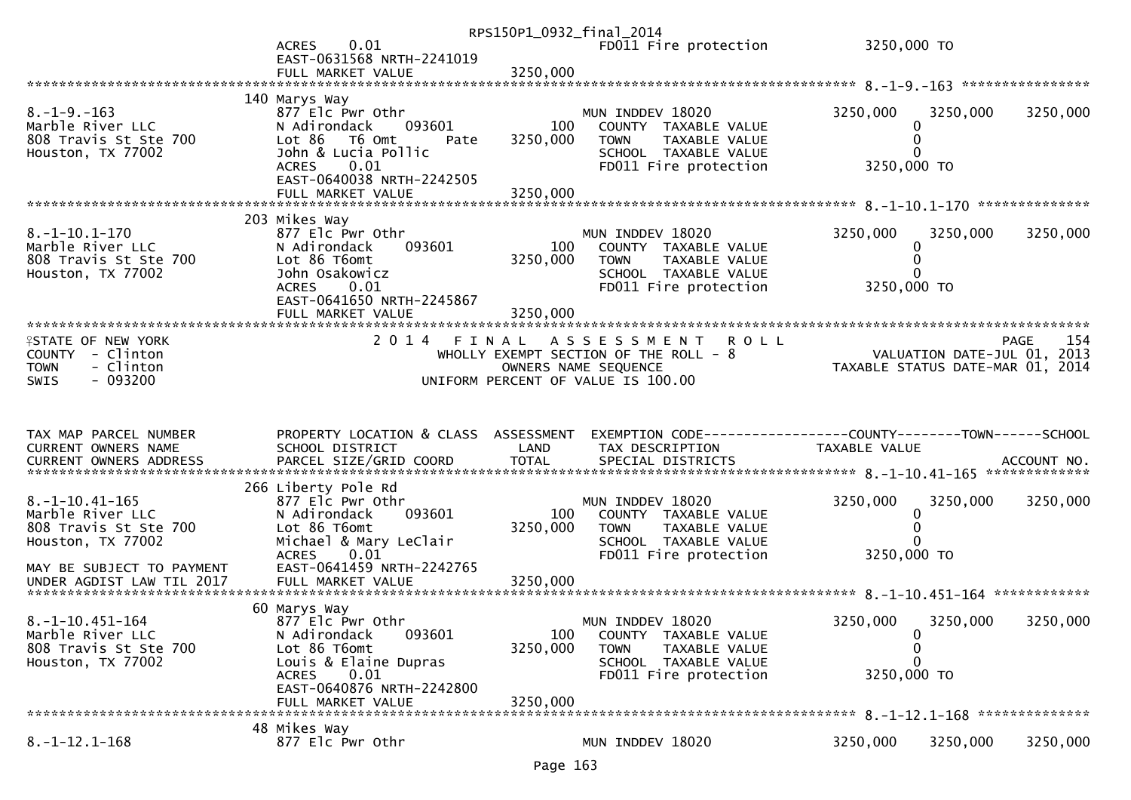|                                                                                                                                                   | 0.01<br><b>ACRES</b><br>EAST-0631568 NRTH-2241019                                                                                                                                     | RPS150P1_0932_final_2014    | FD011 Fire protection                                                                                                                       | 3250,000 TO                                                                     |          |
|---------------------------------------------------------------------------------------------------------------------------------------------------|---------------------------------------------------------------------------------------------------------------------------------------------------------------------------------------|-----------------------------|---------------------------------------------------------------------------------------------------------------------------------------------|---------------------------------------------------------------------------------|----------|
| $8. -1 - 9. -163$<br>Marble River LLC<br>808 Travis St Ste 700<br>Houston, TX 77002                                                               | 140 Marys Way<br>877 Elc Pwr Othr<br>093601<br>N Adirondack<br>Lot $86$<br>T6 Omt<br>Pate<br>John & Lucia Pollic<br>ACRES 0.01<br>EAST-0640038 NRTH-2242505<br>FULL MARKET VALUE      | 100<br>3250,000<br>3250,000 | MUN INDDEV 18020<br>COUNTY TAXABLE VALUE<br><b>TOWN</b><br>TAXABLE VALUE<br>SCHOOL TAXABLE VALUE<br>FD011 Fire protection                   | 3250,000<br>3250,000<br>0<br>$\bf{0}$<br>3250,000 TO                            | 3250,000 |
|                                                                                                                                                   |                                                                                                                                                                                       |                             |                                                                                                                                             |                                                                                 |          |
| $8. -1 - 10.1 - 170$<br>Marble River LLC<br>808 Travis St Ste 700<br>Houston, TX 77002                                                            | 203 Mikes Way<br>877 Elc Pwr Othr<br>093601<br>N Adirondack<br>Lot 86 T6omt<br>John Osakowicz<br>0.01<br><b>ACRES</b><br>EAST-0641650 NRTH-2245867                                    | 100<br>3250,000             | MUN INDDEV 18020<br>COUNTY TAXABLE VALUE<br><b>TOWN</b><br>TAXABLE VALUE<br>SCHOOL TAXABLE VALUE<br>FD011 Fire protection                   | 3250,000<br>3250,000<br>0<br>0<br>3250,000 TO                                   | 3250,000 |
|                                                                                                                                                   | FULL MARKET VALUE                                                                                                                                                                     | 3250,000                    |                                                                                                                                             |                                                                                 |          |
| <b>ISTATE OF NEW YORK</b><br>COUNTY - Clinton<br><b>TOWN</b><br>- Clinton<br>$-093200$<br><b>SWIS</b>                                             |                                                                                                                                                                                       |                             | 2014 FINAL ASSESSMENT<br><b>ROLL</b><br>WHOLLY EXEMPT SECTION OF THE ROLL - 8<br>OWNERS NAME SEQUENCE<br>UNIFORM PERCENT OF VALUE IS 100.00 | PAGE<br>VALUATION DATE-JUL 01, 2013<br>TAXABLE STATUS DATE-MAR 01, 2014         | 154      |
|                                                                                                                                                   |                                                                                                                                                                                       |                             |                                                                                                                                             |                                                                                 |          |
| TAX MAP PARCEL NUMBER<br>CURRENT OWNERS NAME                                                                                                      | PROPERTY LOCATION & CLASS ASSESSMENT<br>SCHOOL DISTRICT                                                                                                                               | LAND                        | TAX DESCRIPTION                                                                                                                             | EXEMPTION CODE------------------COUNTY--------TOWN------SCHOOL<br>TAXABLE VALUE |          |
| $8. -1 - 10.41 - 165$<br>Marble River LLC<br>808 Travis St Ste 700<br>Houston, TX 77002<br>MAY BE SUBJECT TO PAYMENT<br>UNDER AGDIST LAW TIL 2017 | 266 Liberty Pole Rd<br>877 Elc Pwr Othr<br>N Adirondack<br>093601<br>Lot 86 T6omt<br>Michael & Mary LeClair<br>0.01<br><b>ACRES</b><br>EAST-0641459 NRTH-2242765<br>FULL MARKET VALUE | 100<br>3250,000<br>3250,000 | MUN INDDEV 18020<br>COUNTY TAXABLE VALUE<br><b>TOWN</b><br>TAXABLE VALUE<br>SCHOOL TAXABLE VALUE<br>FD011 Fire protection                   | 3250,000<br>3250,000<br>0<br>3250,000 TO                                        | 3250,000 |
|                                                                                                                                                   |                                                                                                                                                                                       |                             |                                                                                                                                             |                                                                                 |          |
| $8. -1 - 10.451 - 164$<br>Marble River LLC<br>808 Travis St Ste 700<br>Houston, TX 77002                                                          | 60 Marys Way<br>877 Elc Pwr Othr<br>093601<br>N Adirondack<br>Lot 86 T6omt<br>Louis & Elaine Dupras<br>0.01<br><b>ACRES</b><br>EAST-0640876 NRTH-2242800<br>FULL MARKET VALUE         | 100<br>3250,000<br>3250,000 | MUN INDDEV 18020<br>COUNTY TAXABLE VALUE<br><b>TOWN</b><br>TAXABLE VALUE<br>SCHOOL TAXABLE VALUE<br>FD011 Fire protection                   | 3250,000<br>3250,000<br>0<br>0<br>$\Omega$<br>3250,000 TO                       | 3250,000 |
|                                                                                                                                                   | 48 Mikes Way                                                                                                                                                                          |                             |                                                                                                                                             |                                                                                 |          |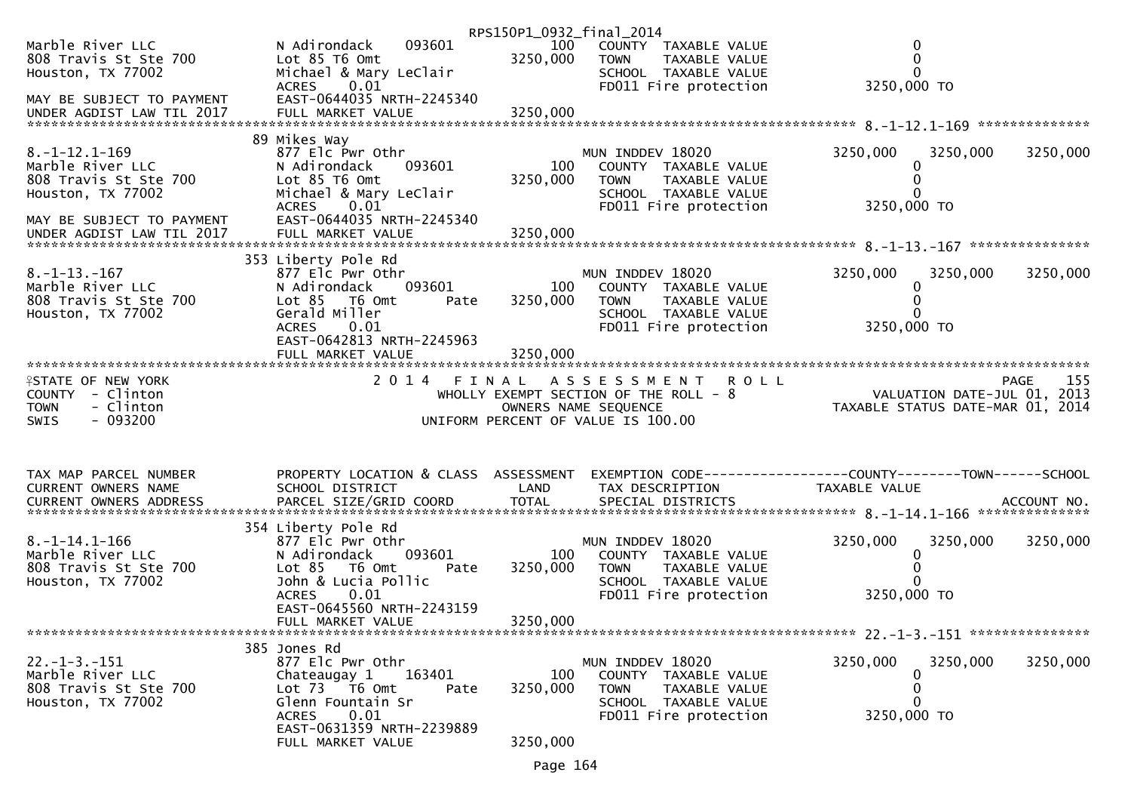|                                                                  |                                                                                             | RPS150P1_0932_final_2014 |                                                                                                       |                                                                                |             |
|------------------------------------------------------------------|---------------------------------------------------------------------------------------------|--------------------------|-------------------------------------------------------------------------------------------------------|--------------------------------------------------------------------------------|-------------|
| Marble River LLC<br>808 Travis St Ste 700<br>Houston, TX 77002   | 093601<br>N Adirondack<br>Lot $85$ T6 Omt<br>Michael & Mary LeClair<br>0.01<br><b>ACRES</b> | 100<br>3250,000          | COUNTY TAXABLE VALUE<br><b>TOWN</b><br>TAXABLE VALUE<br>SCHOOL TAXABLE VALUE<br>FD011 Fire protection | $\mathbf 0$<br>0<br>$\mathbf{0}$<br>3250,000 TO                                |             |
| MAY BE SUBJECT TO PAYMENT                                        | EAST-0644035 NRTH-2245340                                                                   |                          |                                                                                                       |                                                                                |             |
| $8. -1 - 12.1 - 169$                                             | 89 Mikes Way<br>877 Elc Pwr Othr                                                            |                          | MUN INDDEV 18020                                                                                      | 3250,000<br>3250,000                                                           | 3250,000    |
| Marble River LLC<br>808 Travis St Ste 700<br>Houston, TX 77002   | N Adirondack<br>093601<br>Lot 85 T6 Omt<br>Michael & Mary LeClair                           | 100<br>3250,000          | COUNTY TAXABLE VALUE<br><b>TOWN</b><br>TAXABLE VALUE<br>SCHOOL TAXABLE VALUE                          | 0<br>0<br>0                                                                    |             |
| MAY BE SUBJECT TO PAYMENT                                        | 0.01<br><b>ACRES</b><br>EAST-0644035 NRTH-2245340                                           |                          | FD011 Fire protection                                                                                 | 3250,000 TO                                                                    |             |
|                                                                  | 353 Liberty Pole Rd                                                                         |                          |                                                                                                       |                                                                                |             |
| $8. -1 - 13. - 167$<br>Marble River LLC<br>808 Travis St Ste 700 | 877 Elc Pwr Othr<br>093601<br>N Adirondack<br>Lot 85 T6 Omt<br>Pate                         | 100<br>3250,000          | MUN INDDEV 18020<br>COUNTY TAXABLE VALUE<br><b>TOWN</b><br>TAXABLE VALUE                              | 3250,000<br>3250,000<br>0                                                      | 3250,000    |
| Houston, TX 77002                                                | Gerald Miller<br>0.01<br><b>ACRES</b><br>EAST-0642813 NRTH-2245963                          |                          | SCHOOL TAXABLE VALUE<br>FD011 Fire protection                                                         | 0<br>3250,000 TO                                                               |             |
|                                                                  | FULL MARKET VALUE                                                                           | 3250,000                 |                                                                                                       |                                                                                |             |
| <b>ISTATE OF NEW YORK</b>                                        |                                                                                             |                          | 2014 FINAL ASSESSMENT ROLL                                                                            |                                                                                | 155<br>PAGE |
| COUNTY - Clinton                                                 |                                                                                             |                          | WHOLLY EXEMPT SECTION OF THE ROLL - 8                                                                 | VALUATION DATE-JUL 01, 2013                                                    |             |
| <b>TOWN</b><br>- Clinton<br>$-093200$                            |                                                                                             |                          | OWNERS NAME SEQUENCE                                                                                  | TAXABLE STATUS DATE-MAR 01, 2014                                               |             |
| <b>SWIS</b>                                                      |                                                                                             |                          | UNIFORM PERCENT OF VALUE IS 100.00                                                                    |                                                                                |             |
| TAX MAP PARCEL NUMBER<br>CURRENT OWNERS NAME                     | PROPERTY LOCATION & CLASS ASSESSMENT<br>SCHOOL DISTRICT                                     | LAND                     | TAX DESCRIPTION                                                                                       | EXEMPTION CODE-----------------COUNTY--------TOWN------SCHOOL<br>TAXABLE VALUE |             |
|                                                                  |                                                                                             |                          |                                                                                                       |                                                                                |             |
|                                                                  |                                                                                             |                          |                                                                                                       |                                                                                |             |
| $8. -1 - 14.1 - 166$                                             | 354 Liberty Pole Rd<br>877 Elc Pwr Othr                                                     |                          | MUN INDDEV 18020                                                                                      | 3250,000<br>3250,000                                                           | 3250,000    |
| Marble River LLC                                                 | N Adirondack<br>093601                                                                      | 100                      | COUNTY TAXABLE VALUE                                                                                  | 0                                                                              |             |
| 808 Travis St Ste 700<br>Houston, TX 77002                       | Lot 85<br>T6 Omt<br>Pate<br>John & Lucia Pollic                                             | 3250,000                 | <b>TOWN</b><br>TAXABLE VALUE<br>SCHOOL TAXABLE VALUE                                                  | 0<br>0                                                                         |             |
|                                                                  | 0.01<br><b>ACRES</b>                                                                        |                          | FD011 Fire protection                                                                                 | 3250,000 TO                                                                    |             |
|                                                                  | EAST-0645560 NRTH-2243159                                                                   |                          |                                                                                                       |                                                                                |             |
|                                                                  | FULL MARKET VALUE                                                                           | 3250,000                 |                                                                                                       |                                                                                |             |
|                                                                  | 385 Jones Rd                                                                                |                          |                                                                                                       |                                                                                |             |
| $22. -1 - 3. -151$<br>Marble River LLC                           | 877 Elc Pwr Othr<br>Chateaugay 1<br>163401                                                  | 100                      | MUN INDDEV 18020<br>COUNTY TAXABLE VALUE                                                              | 3250,000<br>3250,000<br>0                                                      | 3250,000    |
| 808 Travis St Ste 700                                            | Lot $73 - 76$ Omt<br>Pate                                                                   | 3250,000                 | <b>TOWN</b><br>TAXABLE VALUE                                                                          | 0                                                                              |             |
| Houston, TX 77002                                                | Glenn Fountain Sr                                                                           |                          | SCHOOL TAXABLE VALUE                                                                                  | 0                                                                              |             |
|                                                                  | 0.01<br>ACRES<br>EAST-0631359 NRTH-2239889                                                  |                          | FD011 Fire protection                                                                                 | 3250,000 TO                                                                    |             |
|                                                                  | FULL MARKET VALUE                                                                           | 3250,000                 |                                                                                                       |                                                                                |             |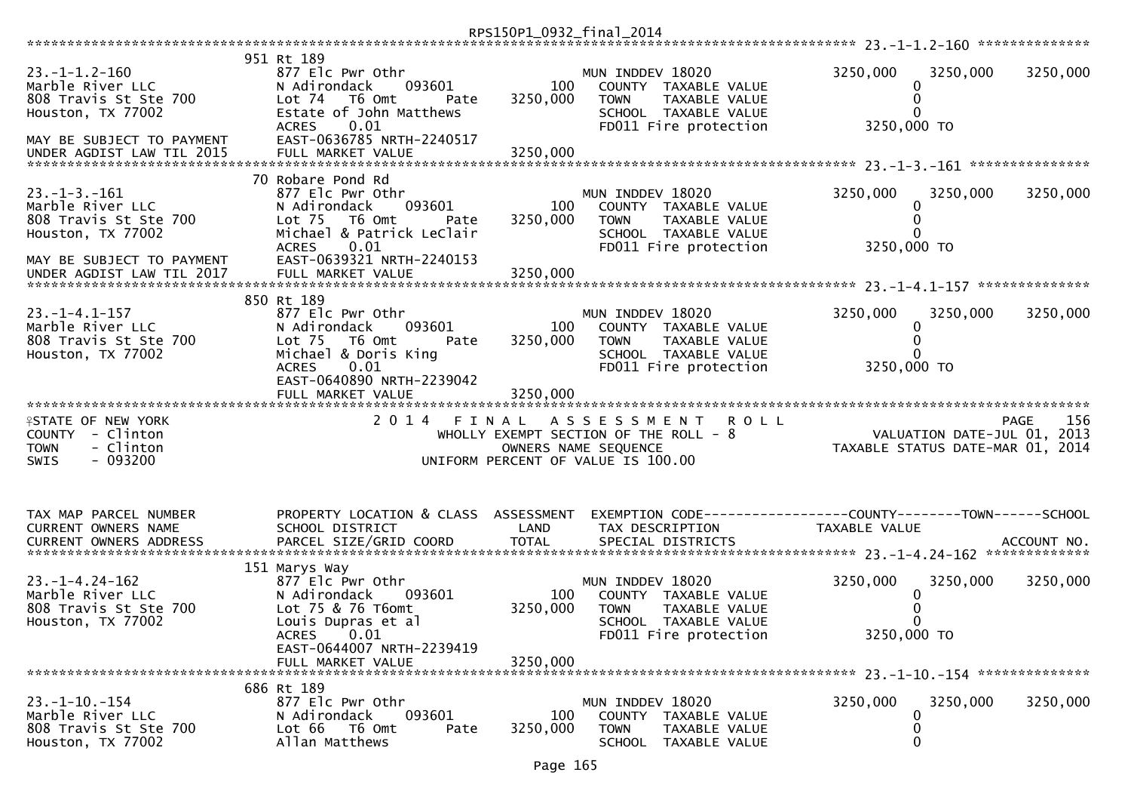|                                                                                                       |                                                                                                                                                                                  | RPS150P1_0932_final_2014    |                                                                                                                                             |                                                                                 |             |
|-------------------------------------------------------------------------------------------------------|----------------------------------------------------------------------------------------------------------------------------------------------------------------------------------|-----------------------------|---------------------------------------------------------------------------------------------------------------------------------------------|---------------------------------------------------------------------------------|-------------|
|                                                                                                       | 951 Rt 189                                                                                                                                                                       |                             |                                                                                                                                             |                                                                                 |             |
| $23. -1 - 1.2 - 160$<br>Marble River LLC<br>808 Travis St Ste 700<br>Houston, TX 77002                | 877 Elc Pwr Othr<br>N Adirondack<br>093601<br>Lot <sub>74</sub><br>T6 Omt<br>Pate<br>Estate of John Matthews                                                                     | 100<br>3250,000             | MUN INDDEV 18020<br>COUNTY TAXABLE VALUE<br><b>TOWN</b><br>TAXABLE VALUE<br>SCHOOL TAXABLE VALUE                                            | 3250,000<br>3250,000<br>0<br>0                                                  | 3250,000    |
| MAY BE SUBJECT TO PAYMENT<br>UNDER AGDIST LAW TIL 2015                                                | <b>ACRES</b><br>0.01<br>EAST-0636785 NRTH-2240517<br>FULL MARKET VALUE                                                                                                           | 3250,000                    | FD011 Fire protection                                                                                                                       | 3250,000 TO                                                                     |             |
| $23. -1 - 3. -161$<br>Marble River LLC<br>808 Travis St Ste 700<br>Houston, TX 77002                  | 70 Robare Pond Rd<br>877 Elc Pwr Othr<br>N Adirondack<br>093601<br>Lot <sub>75</sub><br>T6 Omt<br>Pate<br>Michael & Patrick LeClair<br>0.01<br><b>ACRES</b>                      | 100<br>3250,000             | MUN INDDEV 18020<br>COUNTY TAXABLE VALUE<br>TAXABLE VALUE<br><b>TOWN</b><br>SCHOOL TAXABLE VALUE<br>FD011 Fire protection                   | 3250,000<br>3250,000<br>0<br>3250,000 TO                                        | 3250,000    |
| MAY BE SUBJECT TO PAYMENT                                                                             | EAST-0639321 NRTH-2240153                                                                                                                                                        |                             |                                                                                                                                             |                                                                                 |             |
| $23. -1 - 4.1 - 157$<br>Marble River LLC<br>808 Travis St Ste 700<br>Houston, TX 77002                | 850 Rt 189<br>877 Elc Pwr Othr<br>N Adirondack<br>093601<br>Lot <sub>75</sub><br>T6 Omt<br>Pate<br>Michael & Doris King<br>0.01<br><b>ACRES</b><br>EAST-0640890 NRTH-2239042     | 100<br>3250,000             | MUN INDDEV 18020<br>COUNTY TAXABLE VALUE<br><b>TOWN</b><br>TAXABLE VALUE<br>SCHOOL TAXABLE VALUE<br>FD011 Fire protection                   | 3250,000<br>3250,000<br>0<br>0<br>0<br>3250,000 TO                              | 3250,000    |
|                                                                                                       | FULL MARKET VALUE                                                                                                                                                                | 3250,000                    |                                                                                                                                             |                                                                                 |             |
| <b>ISTATE OF NEW YORK</b><br>COUNTY - Clinton<br>- Clinton<br><b>TOWN</b><br>$-093200$<br><b>SWIS</b> |                                                                                                                                                                                  |                             | 2014 FINAL ASSESSMENT<br><b>ROLL</b><br>WHOLLY EXEMPT SECTION OF THE ROLL - 8<br>OWNERS NAME SEQUENCE<br>UNIFORM PERCENT OF VALUE IS 100.00 | VALUATION DATE-JUL 01, 2013<br>TAXABLE STATUS DATE-MAR 01, 2014                 | 156<br>PAGE |
| TAX MAP PARCEL NUMBER<br>CURRENT OWNERS NAME<br><b>CURRENT OWNERS ADDRESS</b>                         | PROPERTY LOCATION & CLASS ASSESSMENT<br>SCHOOL DISTRICT<br>PARCEL SIZE/GRID COORD                                                                                                | LAND<br><b>TOTAL</b>        | TAX DESCRIPTION<br>SPECIAL DISTRICTS                                                                                                        | EXEMPTION CODE------------------COUNTY--------TOWN------SCHOOL<br>TAXABLE VALUE | ACCOUNT NO. |
| $23. - 1 - 4.24 - 162$<br>Marble River LLC<br>808 Travis St Ste 700<br>Houston, TX 77002              | 151 Marys Way<br>877 Elc Pwr Othr<br>N Adirondack<br>093601<br>Lot 75 & 76 T6omt<br>Louis Dupras et al<br><b>ACRES</b><br>0.01<br>EAST-0644007 NRTH-2239419<br>FULL MARKET VALUE | 100<br>3250,000<br>3250,000 | MUN INDDEV 18020<br>COUNTY TAXABLE VALUE<br>TAXABLE VALUE<br><b>TOWN</b><br>SCHOOL TAXABLE VALUE<br>FD011 Fire protection                   | 3250,000<br>3250,000<br>0<br>3250,000 TO                                        | 3250,000    |
| $23. -1 - 10. -154$<br>Marble River LLC<br>808 Travis St Ste 700<br>Houston, TX 77002                 | 686 Rt 189<br>877 Elc Pwr Othr<br>093601<br>N Adirondack<br>Lot 66<br>T6 Omt<br>Pate<br>Allan Matthews                                                                           | 100<br>3250,000             | MUN INDDEV 18020<br>COUNTY TAXABLE VALUE<br><b>TOWN</b><br>TAXABLE VALUE<br>SCHOOL TAXABLE VALUE                                            | 3250,000<br>3250,000<br>0<br>0<br>0                                             | 3250,000    |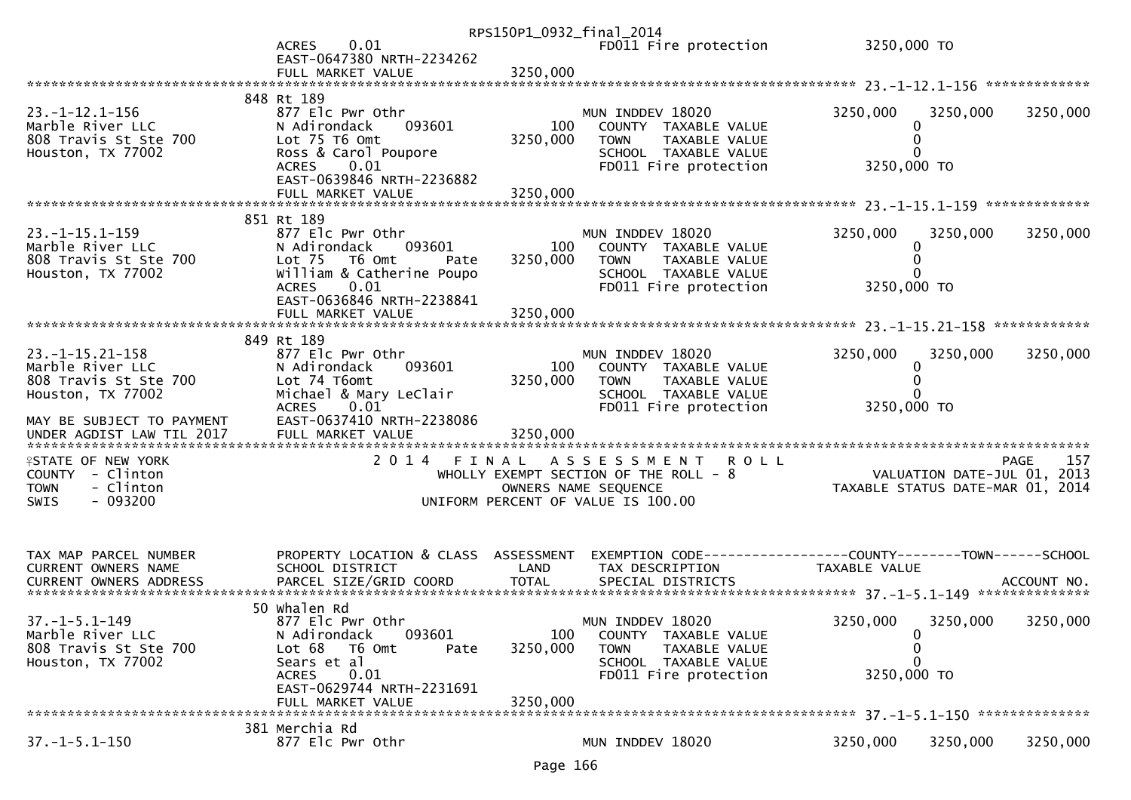|                                                                                                                                                    | 0.01<br><b>ACRES</b><br>EAST-0647380 NRTH-2234262<br>FULL MARKET VALUE                                                                                                                                 | RPS150P1_0932_final_2014<br>3250,000 | FD011 Fire protection                                                                                                                       | 3250,000 TO                                                                       |          |
|----------------------------------------------------------------------------------------------------------------------------------------------------|--------------------------------------------------------------------------------------------------------------------------------------------------------------------------------------------------------|--------------------------------------|---------------------------------------------------------------------------------------------------------------------------------------------|-----------------------------------------------------------------------------------|----------|
| $23. -1 - 12.1 - 156$<br>Marble River LLC<br>808 Travis St Ste 700<br>Houston, TX 77002                                                            | 848 Rt 189<br>877 Elc Pwr Othr<br>N Adirondack<br>093601<br>Lot 75 T6 Omt<br>Ross & Carol Poupore<br>0.01<br>ACRES<br>EAST-0639846 NRTH-2236882<br>FULL MARKET VALUE                                   | 100<br>3250,000<br>3250,000          | MUN INDDEV 18020<br>COUNTY TAXABLE VALUE<br>TAXABLE VALUE<br><b>TOWN</b><br>SCHOOL TAXABLE VALUE<br>FD011 Fire protection                   | 3250,000<br>3250,000<br>0<br>0<br>3250,000 TO                                     | 3250,000 |
| $23. -1 - 15.1 - 159$<br>Marble River LLC<br>808 Travis St Ste 700<br>Houston, TX 77002                                                            | 851 Rt 189<br>877 Elc Pwr Othr<br>N Adirondack<br>093601<br>Lot <sub>75</sub><br>T6 Omt<br>Pate<br>William & Catherine Poupo<br>0.01<br><b>ACRES</b><br>EAST-0636846 NRTH-2238841<br>FULL MARKET VALUE | 100<br>3250,000<br>3250,000          | MUN INDDEV 18020<br>COUNTY TAXABLE VALUE<br>TAXABLE VALUE<br>TOWN<br>SCHOOL TAXABLE VALUE<br>FD011 Fire protection                          | 3250,000<br>3250,000<br>0<br>3250,000 TO                                          | 3250,000 |
| $23. -1 - 15.21 - 158$<br>Marble River LLC<br>808 Travis St Ste 700<br>Houston, TX 77002<br>MAY BE SUBJECT TO PAYMENT<br>UNDER AGDIST LAW TIL 2017 | 849 Rt 189<br>877 Elc Pwr Othr<br>N Adirondack<br>093601<br>Lot 74 T6omt<br>Michael & Mary LeClair<br>0.01<br><b>ACRES</b><br>EAST-0637410 NRTH-2238086<br>FULL MARKET VALUE                           | 100<br>3250,000<br>3250,000          | MUN INDDEV 18020<br>COUNTY TAXABLE VALUE<br><b>TOWN</b><br>TAXABLE VALUE<br>SCHOOL TAXABLE VALUE<br>FD011 Fire protection                   | 3250,000<br>3250,000<br>0<br>0<br>3250,000 TO                                     | 3250,000 |
| <b>ISTATE OF NEW YORK</b><br>COUNTY - Clinton<br>- Clinton<br><b>TOWN</b><br>$-093200$<br><b>SWIS</b>                                              |                                                                                                                                                                                                        |                                      | 2014 FINAL ASSESSMENT<br><b>ROLL</b><br>WHOLLY EXEMPT SECTION OF THE ROLL - 8<br>OWNERS NAME SEQUENCE<br>UNIFORM PERCENT OF VALUE IS 100.00 | <b>PAGE</b><br>VALUATION DATE-JUL $01$ , 2013<br>TAXABLE STATUS DATE-MAR 01, 2014 | 157      |
| TAX MAP PARCEL NUMBER<br>CURRENT OWNERS NAME                                                                                                       | PROPERTY LOCATION & CLASS ASSESSMENT<br>SCHOOL DISTRICT                                                                                                                                                | LAND                                 | TAX DESCRIPTION                                                                                                                             | EXEMPTION CODE-----------------COUNTY-------TOWN------SCHOOL<br>TAXABLE VALUE     |          |
| $37. - 1 - 5.1 - 149$<br>Marble River LLC<br>808 Travis St Ste 700<br>Houston, TX 77002                                                            | 50 Whalen Rd<br>877 Elc Pwr Othr<br>093601<br>N Adirondack<br>Lot 68<br>T6 Omt<br>Pate<br>Sears et al<br>0.01<br><b>ACRES</b><br>EAST-0629744 NRTH-2231691<br>FULL MARKET VALUE                        | 100<br>3250,000<br>3250,000          | MUN INDDEV 18020<br>COUNTY TAXABLE VALUE<br><b>TOWN</b><br>TAXABLE VALUE<br>SCHOOL TAXABLE VALUE<br>FD011 Fire protection                   | 3250,000<br>3250,000<br>0<br>0<br>$\Omega$<br>3250,000 TO                         | 3250,000 |
| $37. - 1 - 5.1 - 150$                                                                                                                              | 381 Merchia Rd<br>877 Elc Pwr Othr                                                                                                                                                                     |                                      | MUN INDDEV 18020                                                                                                                            | 3250,000<br>3250,000                                                              | 3250,000 |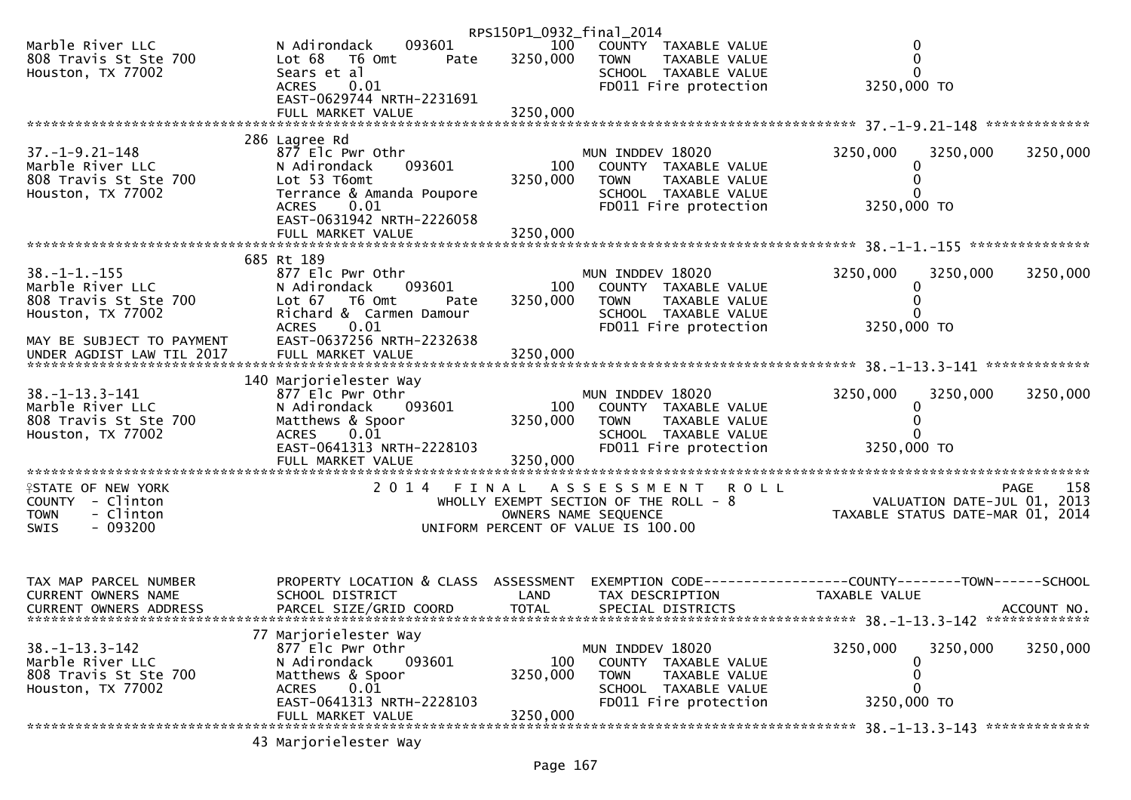|                                                                |                                                                   | RPS150P1_0932_final_2014 |                                                                              |                                                                 |                    |
|----------------------------------------------------------------|-------------------------------------------------------------------|--------------------------|------------------------------------------------------------------------------|-----------------------------------------------------------------|--------------------|
| Marble River LLC<br>808 Travis St Ste 700<br>Houston, TX 77002 | 093601<br>N Adirondack<br>Lot 68<br>T6 Omt<br>Pate<br>Sears et al | 100<br>3250,000          | COUNTY TAXABLE VALUE<br><b>TOWN</b><br>TAXABLE VALUE<br>SCHOOL TAXABLE VALUE | 0<br>0                                                          |                    |
|                                                                | 0.01<br><b>ACRES</b>                                              |                          | FD011 Fire protection                                                        | 3250,000 TO                                                     |                    |
|                                                                | EAST-0629744 NRTH-2231691<br>FULL MARKET VALUE                    | 3250,000                 |                                                                              |                                                                 |                    |
|                                                                |                                                                   |                          |                                                                              |                                                                 |                    |
| $37. - 1 - 9.21 - 148$                                         | 286 Lagree Rd<br>877 Elc Pwr Othr                                 |                          | MUN INDDEV 18020                                                             | 3250,000<br>3250,000                                            | 3250,000           |
| Marble River LLC<br>808 Travis St Ste 700                      | N Adirondack<br>093601<br>Lot 53 T6omt                            | 100<br>3250,000          | COUNTY TAXABLE VALUE<br><b>TOWN</b><br>TAXABLE VALUE                         | $\Omega$                                                        |                    |
| Houston, TX 77002                                              | Terrance & Amanda Poupore<br>0.01<br><b>ACRES</b>                 |                          | SCHOOL TAXABLE VALUE<br>FD011 Fire protection                                | 3250,000 TO                                                     |                    |
|                                                                | EAST-0631942 NRTH-2226058                                         |                          |                                                                              |                                                                 |                    |
|                                                                | FULL MARKET VALUE                                                 | 3250,000                 |                                                                              |                                                                 |                    |
| $38. - 1 - 1. - 155$                                           | 685 Rt 189<br>877 Elc Pwr Othr                                    |                          | MUN INDDEV 18020                                                             | 3250,000<br>3250,000                                            | 3250,000           |
| Marble River LLC                                               | N Adirondack<br>093601                                            | 100                      | COUNTY TAXABLE VALUE                                                         | 0                                                               |                    |
| 808 Travis St Ste 700<br>Houston, TX 77002                     | Lot 67<br>T6 Omt<br>Pate<br>Richard & Carmen Damour               | 3250,000                 | <b>TOWN</b><br>TAXABLE VALUE<br>SCHOOL TAXABLE VALUE                         |                                                                 |                    |
| MAY BE SUBJECT TO PAYMENT                                      | 0.01<br><b>ACRES</b><br>EAST-0637256 NRTH-2232638                 |                          | FD011 Fire protection                                                        | 3250,000 TO                                                     |                    |
| UNDER AGDIST LAW TIL 2017                                      | FULL MARKET VALUE                                                 | 3250,000                 |                                                                              |                                                                 |                    |
|                                                                | 140 Marjorielester Way                                            |                          |                                                                              |                                                                 |                    |
| $38. -1 - 13.3 - 141$<br>Marble River LLC                      | 877 Elc Pwr Othr<br>093601<br>N Adirondack                        | 100                      | MUN INDDEV 18020<br>COUNTY TAXABLE VALUE                                     | 3250,000<br>3250,000                                            | 3250,000           |
| 808 Travis St Ste 700                                          | Matthews & Spoor<br>0.01<br><b>ACRES</b>                          | 3250,000                 | <b>TOWN</b><br>TAXABLE VALUE                                                 |                                                                 |                    |
| Houston, TX 77002                                              | EAST-0641313 NRTH-2228103                                         |                          | SCHOOL TAXABLE VALUE<br>FD011 Fire protection                                | 3250,000 TO                                                     |                    |
|                                                                | FULL MARKET VALUE                                                 | 3250,000                 |                                                                              |                                                                 |                    |
| <b>ISTATE OF NEW YORK</b><br>COUNTY - Clinton                  | 2 0 1 4                                                           | FINAL                    | <b>ROLL</b><br>A S S E S S M E N T<br>WHOLLY EXEMPT SECTION OF THE ROLL - 8  | VALUATION DATE-JUL 01, 2013                                     | 158<br><b>PAGE</b> |
| - Clinton<br><b>TOWN</b>                                       |                                                                   |                          | OWNERS NAME SEQUENCE                                                         | VALUATIUN DATE JUL 11, 2014<br>TAXABLE STATUS DATE-MAR 01, 2014 |                    |
| $-093200$<br><b>SWIS</b>                                       |                                                                   |                          | UNIFORM PERCENT OF VALUE IS 100.00                                           |                                                                 |                    |
|                                                                |                                                                   |                          |                                                                              |                                                                 |                    |
| TAX MAP PARCEL NUMBER                                          | PROPERTY LOCATION & CLASS ASSESSMENT                              |                          | EXEMPTION CODE-----------------COUNTY-------TOWN------SCHOOL                 |                                                                 |                    |
| CURRENT OWNERS NAME<br>CURRENT OWNERS ADDRESS                  | SCHOOL DISTRICT<br>PARCEL SIZE/GRID COORD                         | LAND<br><b>TOTAL</b>     | TAX DESCRIPTION<br>SPECIAL DISTRICTS                                         | <b>TAXABLE VALUE</b>                                            | ACCOUNT NO.        |
|                                                                | 77 Marjorielester Way                                             |                          |                                                                              |                                                                 |                    |
| $38. - 1 - 13.3 - 142$<br>Marble River LLC                     | 877 Elc Pwr Othr<br>N Adirondack<br>093601                        | 100                      | MUN INDDEV 18020                                                             | 3250,000<br>3250,000                                            | 3250,000           |
| 808 Travis St Ste 700                                          | Matthews & Spoor                                                  | 3250,000                 | COUNTY TAXABLE VALUE<br><b>TOWN</b><br>TAXABLE VALUE                         |                                                                 |                    |
| Houston, TX 77002                                              | 0.01<br><b>ACRES</b><br>EAST-0641313 NRTH-2228103                 |                          | SCHOOL TAXABLE VALUE<br>FD011 Fire protection                                | 3250,000 TO                                                     |                    |
|                                                                | FULL MARKET VALUE                                                 | 3250,000                 |                                                                              | 38. -1-13. 3-143 **************                                 |                    |
|                                                                | 43 Marjorielester Way                                             |                          |                                                                              |                                                                 |                    |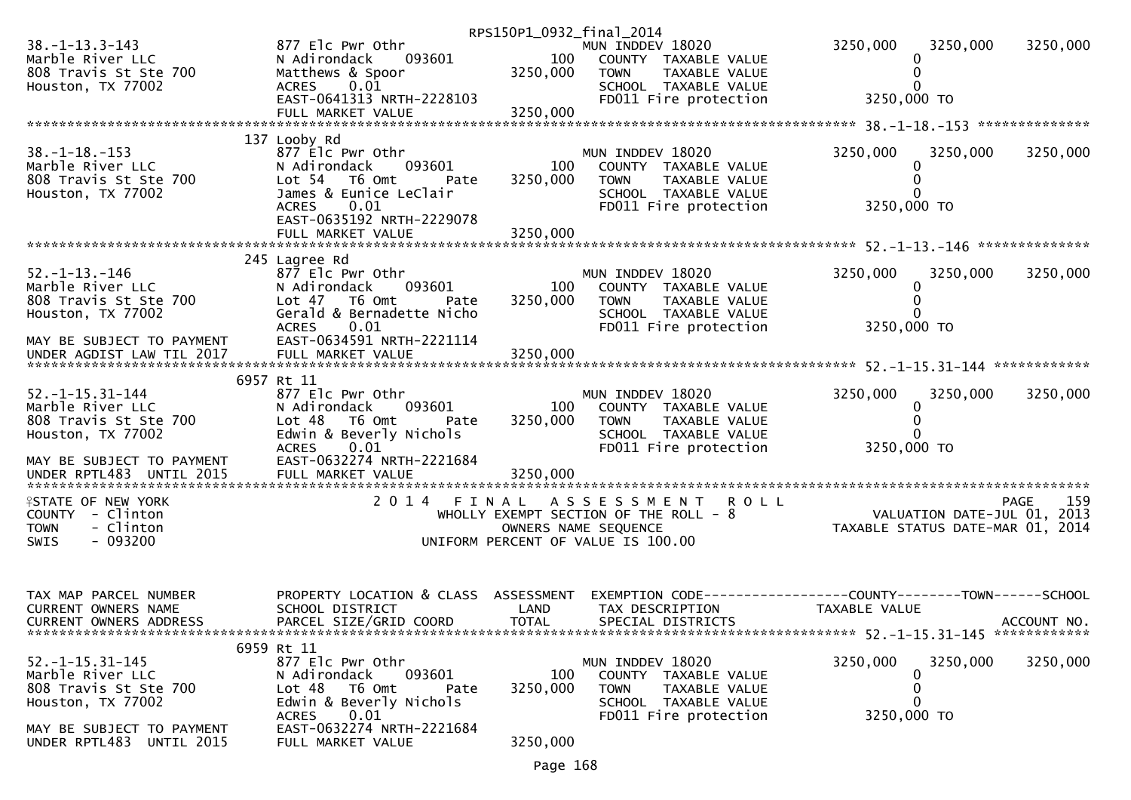|                                           |                                      | RPS150P1_0932_final_2014 |                                       |                                                                                    |             |
|-------------------------------------------|--------------------------------------|--------------------------|---------------------------------------|------------------------------------------------------------------------------------|-------------|
| $38. -1 - 13.3 - 143$                     | 877 Elc Pwr Othr                     |                          | MUN INDDEV 18020                      | 3250,000<br>3250,000                                                               | 3250,000    |
| Marble River LLC                          | 093601<br>N Adirondack               |                          | 100 COUNTY TAXABLE VALUE              |                                                                                    |             |
| 808 Travis St Ste 700                     | Matthews & Spoor                     | 3250,000                 | TAXABLE VALUE<br><b>TOWN</b>          | $\Omega$                                                                           |             |
| Houston, TX 77002                         | 0.01<br><b>ACRES</b>                 |                          | SCHOOL TAXABLE VALUE                  |                                                                                    |             |
|                                           | EAST-0641313 NRTH-2228103            |                          | FD011 Fire protection                 | 3250,000 TO                                                                        |             |
|                                           |                                      |                          |                                       |                                                                                    |             |
|                                           |                                      |                          |                                       |                                                                                    |             |
|                                           | 137 Looby Rd                         |                          |                                       |                                                                                    |             |
| $38. - 1 - 18. - 153$                     | 877 Elc Pwr Othr                     |                          | MUN INDDEV 18020                      | 3250,000<br>3250,000                                                               | 3250,000    |
| Marble River LLC                          | 093601<br>N Adirondack               | 100                      | COUNTY TAXABLE VALUE                  |                                                                                    |             |
| 808 Travis St Ste 700                     | Lot 54 T6 Omt<br>Pate                | 3250,000                 | TAXABLE VALUE<br><b>TOWN</b>          | 0                                                                                  |             |
| Houston, TX 77002                         | James & Eunice LeClair               |                          | SCHOOL TAXABLE VALUE                  |                                                                                    |             |
|                                           | 0.01<br><b>ACRES</b>                 |                          | FD011 Fire protection                 | 3250,000 TO                                                                        |             |
|                                           | EAST-0635192 NRTH-2229078            |                          |                                       |                                                                                    |             |
|                                           | FULL MARKET VALUE                    | 3250,000                 |                                       |                                                                                    |             |
|                                           |                                      |                          |                                       |                                                                                    |             |
|                                           | 245 Lagree Rd                        |                          |                                       |                                                                                    |             |
| 52. –1–13. –146                           | 877 Elc Pwr Othr                     |                          | MUN INDDEV 18020                      | 3250,000<br>3250,000                                                               | 3250,000    |
| Marble River LLC                          | 093601<br>N Adirondack               | 100                      | COUNTY TAXABLE VALUE                  | 0                                                                                  |             |
| 808 Travis St Ste 700<br>Wayatan TY 77002 | Lot 47 T6 Omt<br>Pate                | 3250,000                 | <b>TOWN</b><br>TAXABLE VALUE          |                                                                                    |             |
| Houston, TX 77002                         | Gerald & Bernadette Nicho            |                          | SCHOOL TAXABLE VALUE                  |                                                                                    |             |
|                                           | <b>ACRES</b><br>0.01                 |                          | FD011 Fire protection                 | 3250,000 TO                                                                        |             |
| MAY BE SUBJECT TO PAYMENT                 | EAST-0634591 NRTH-2221114            |                          |                                       |                                                                                    |             |
|                                           |                                      |                          |                                       |                                                                                    |             |
|                                           |                                      |                          |                                       |                                                                                    |             |
|                                           | 6957 Rt 11                           |                          |                                       |                                                                                    |             |
| $52. -1 - 15.31 - 144$                    | 877 Elc Pwr Othr                     |                          | MUN INDDEV 18020                      | 3250,000<br>3250,000                                                               | 3250,000    |
| Marble River LLC                          | 093601<br>N Adirondack               | 100                      | COUNTY TAXABLE VALUE                  |                                                                                    |             |
| 808 Travis St Ste 700                     | Lot 48 T6 Omt<br>Pate                | 3250,000                 | <b>TOWN</b><br>TAXABLE VALUE          |                                                                                    |             |
| Houston, TX 77002                         | Edwin & Beverly Nichols              |                          | SCHOOL TAXABLE VALUE                  |                                                                                    |             |
|                                           | 0.01<br><b>ACRES</b>                 |                          | FD011 Fire protection                 | 3250,000 TO                                                                        |             |
| MAY BE SUBJECT TO PAYMENT                 | EAST-0632274 NRTH-2221684            |                          |                                       |                                                                                    |             |
| UNDER RPTL483 UNTIL 2015                  | FULL MARKET VALUE                    | 3250,000                 |                                       |                                                                                    |             |
|                                           |                                      |                          |                                       |                                                                                    |             |
| <b>ISTATE OF NEW YORK</b>                 |                                      |                          | 2014 FINAL ASSESSMENT ROLL            |                                                                                    | 159<br>PAGE |
| COUNTY - Clinton                          |                                      |                          | WHOLLY EXEMPT SECTION OF THE ROLL - 8 | 9 159 PAGE<br>2013 VALUATION DATE-JUL 01, 2013<br>TAXABLE STATUS DATE-MAR 01, 2014 |             |
| - Clinton<br><b>TOWN</b>                  |                                      |                          | OWNERS NAME SEQUENCE                  |                                                                                    |             |
| $-093200$<br>SWIS                         |                                      |                          | UNIFORM PERCENT OF VALUE IS 100.00    |                                                                                    |             |
|                                           |                                      |                          |                                       |                                                                                    |             |
|                                           |                                      |                          |                                       |                                                                                    |             |
|                                           |                                      |                          |                                       |                                                                                    |             |
| TAX MAP PARCEL NUMBER                     | PROPERTY LOCATION & CLASS ASSESSMENT |                          |                                       | EXEMPTION CODE------------------COUNTY--------TOWN------SCHOOL                     |             |
| CURRENT OWNERS NAME                       | SCHOOL DISTRICT                      | LAND                     | TAX DESCRIPTION                       | TAXABLE VALUE                                                                      |             |
| CURRENT OWNERS ADDRESS                    | PARCEL SIZE/GRID COORD               | <b>TOTAL</b>             | SPECIAL DISTRICTS                     |                                                                                    | ACCOUNT NO. |
|                                           |                                      |                          |                                       |                                                                                    |             |
|                                           | 6959 Rt 11                           |                          |                                       |                                                                                    |             |
| $52. -1 - 15.31 - 145$                    | 877 Elc Pwr Othr                     |                          | MUN INDDEV 18020                      | 3250,000<br>3250,000                                                               | 3250,000    |
| Marble River LLC                          | 093601<br>N Adirondack               | 100                      | COUNTY TAXABLE VALUE                  | 0                                                                                  |             |
| 808 Travis St Ste 700                     | Lot 48<br>T6 Omt<br>Pate             | 3250,000                 | <b>TOWN</b><br>TAXABLE VALUE          | $\Omega$                                                                           |             |
| Houston, TX 77002                         | Edwin & Beverly Nichols              |                          | SCHOOL TAXABLE VALUE                  | 0                                                                                  |             |
|                                           | 0.01<br><b>ACRES</b>                 |                          | FD011 Fire protection                 | 3250,000 TO                                                                        |             |
| MAY BE SUBJECT TO PAYMENT                 | EAST-0632274 NRTH-2221684            |                          |                                       |                                                                                    |             |
| UNDER RPTL483 UNTIL 2015                  | FULL MARKET VALUE                    | 3250,000                 |                                       |                                                                                    |             |
|                                           |                                      |                          |                                       |                                                                                    |             |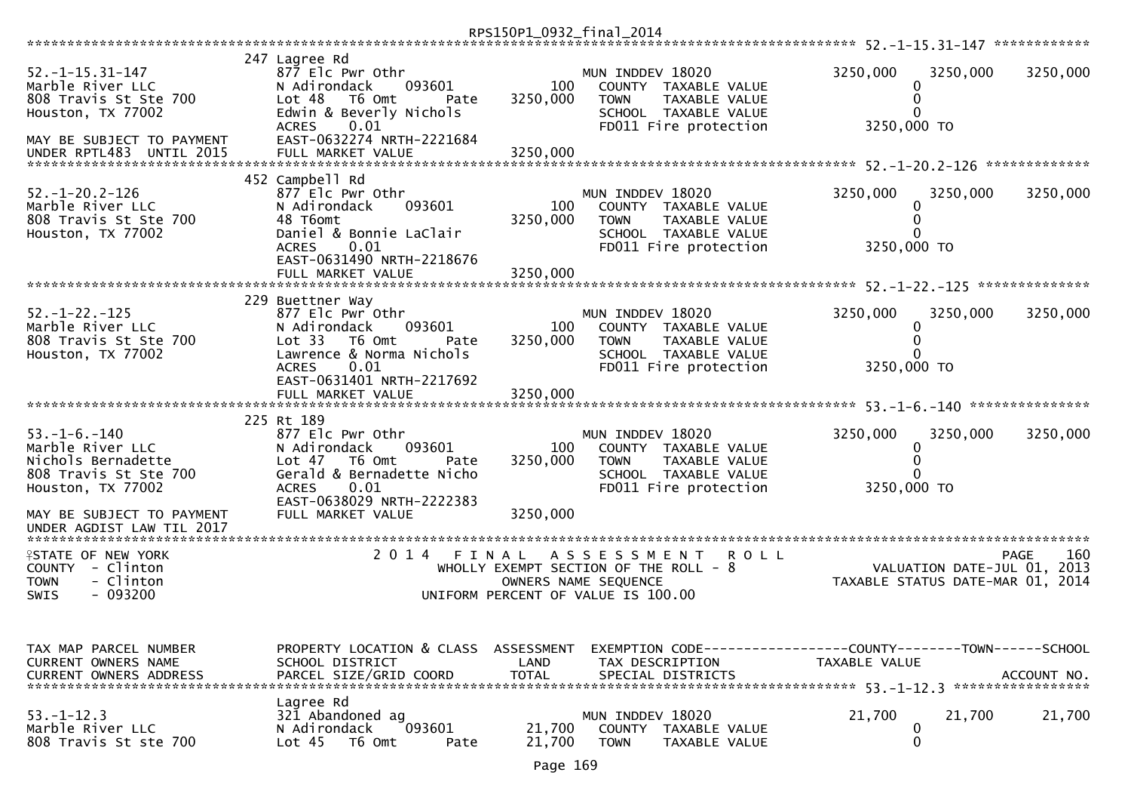|                                                                                                                                                    |                                                                                                                                                                                                         | RPS150P1_0932_final_2014    |                                                                                                                                    |                                                                                 |             |
|----------------------------------------------------------------------------------------------------------------------------------------------------|---------------------------------------------------------------------------------------------------------------------------------------------------------------------------------------------------------|-----------------------------|------------------------------------------------------------------------------------------------------------------------------------|---------------------------------------------------------------------------------|-------------|
| $52. - 1 - 15.31 - 147$<br>Marble River LLC<br>808 Travis St Ste 700<br>Houston, TX 77002<br>MAY BE SUBJECT TO PAYMENT<br>UNDER RPTL483 UNTIL 2015 | 247 Lagree Rd<br>877 Elc Pwr Othr<br>N Adirondack<br>093601<br>Lot <sub>48</sub><br>T6 Omt<br>Pate<br>Edwin & Beverly Nichols<br>0.01<br><b>ACRES</b><br>EAST-0632274 NRTH-2221684<br>FULL MARKET VALUE | 100<br>3250,000<br>3250,000 | MUN INDDEV 18020<br>COUNTY TAXABLE VALUE<br><b>TOWN</b><br>TAXABLE VALUE<br>SCHOOL TAXABLE VALUE<br>FD011 Fire protection          | 3250,000<br>3250,000<br>0<br>0<br>0<br>3250,000 TO                              | 3250,000    |
| $52. - 1 - 20.2 - 126$<br>Marble River LLC<br>808 Travis St Ste 700<br>Houston, TX 77002                                                           | 452 Campbell Rd<br>877 Elc Pwr Othr<br>N Adirondack<br>093601<br>48 T6omt<br>Daniel & Bonnie LaClair<br>0.01<br><b>ACRES</b><br>EAST-0631490 NRTH-2218676<br>FULL MARKET VALUE                          | 100<br>3250,000<br>3250.000 | MUN INDDEV 18020<br>COUNTY TAXABLE VALUE<br>TAXABLE VALUE<br><b>TOWN</b><br>SCHOOL TAXABLE VALUE<br>FD011 Fire protection          | 3250,000<br>3250,000<br>0<br>0<br>3250,000 TO                                   | 3250,000    |
| $52. - 1 - 22. - 125$<br>Marble River LLC<br>808 Travis St Ste 700<br>Houston, TX 77002                                                            | 229 Buettner Way<br>877 Elc Pwr Othr<br>N Adirondack<br>093601<br>Lot 33<br>T6 Omt<br>Pate<br>Lawrence & Norma Nichols<br><b>ACRES</b><br>0.01<br>EAST-0631401 NRTH-2217692                             | 100<br>3250,000             | MUN INDDEV 18020<br>COUNTY TAXABLE VALUE<br>TAXABLE VALUE<br><b>TOWN</b><br>SCHOOL TAXABLE VALUE<br>FD011 Fire protection          | 3250,000<br>3250,000<br>0<br>0<br>O<br>3250,000 TO                              | 3250,000    |
| $53. - 1 - 6. - 140$<br>Marble River LLC<br>Nichols Bernadette<br>808 Travis St Ste 700<br>Houston, TX 77002<br>MAY BE SUBJECT TO PAYMENT          | 225 Rt 189<br>877 Elc Pwr Othr<br>N Adirondack<br>093601<br>Lot $47$<br>T6 Omt<br>Pate<br>Gerald & Bernadette Nicho<br>0.01<br><b>ACRES</b><br>EAST-0638029 NRTH-2222383<br>FULL MARKET VALUE           | 100<br>3250,000<br>3250,000 | MUN INDDEV 18020<br>COUNTY TAXABLE VALUE<br>TAXABLE VALUE<br><b>TOWN</b><br>SCHOOL TAXABLE VALUE<br>FD011 Fire protection          | 3250,000<br>3250,000<br>0<br>0<br>ŋ<br>3250,000 TO                              | 3250,000    |
| <b>ISTATE OF NEW YORK</b><br>COUNTY - Clinton<br>- Clinton<br><b>TOWN</b><br>$-093200$<br><b>SWIS</b>                                              | 2 0 1 4<br>FINAL                                                                                                                                                                                        |                             | A S S E S S M E N T<br>ROLL<br>WHOLLY EXEMPT SECTION OF THE ROLL - 8<br>OWNERS NAME SEQUENCE<br>UNIFORM PERCENT OF VALUE IS 100.00 | VALUATION DATE-JUL 01, 2013<br>TAXABLE STATUS DATE-MAR 01, 2014                 | 160<br>PAGE |
| TAX MAP PARCEL NUMBER<br>CURRENT OWNERS NAME<br><b>CURRENT OWNERS ADDRESS</b>                                                                      | PROPERTY LOCATION & CLASS ASSESSMENT<br>SCHOOL DISTRICT<br>PARCEL SIZE/GRID COORD                                                                                                                       | LAND<br><b>TOTAL</b>        | TAX DESCRIPTION<br>SPECIAL DISTRICTS                                                                                               | EXEMPTION CODE------------------COUNTY--------TOWN------SCHOOL<br>TAXABLE VALUE | ACCOUNT NO. |
| $53. - 1 - 12.3$<br>Marble River LLC<br>808 Travis St ste 700                                                                                      | Lagree Rd<br>321 Abandoned ag<br>093601<br>N Adirondack<br>Lot <sub>45</sub><br>T6 Omt<br>Pate                                                                                                          | 21,700<br>21,700            | MUN INDDEV 18020<br>COUNTY TAXABLE VALUE<br><b>TOWN</b><br>TAXABLE VALUE                                                           | 21,700<br>21,700<br>0<br>0                                                      | 21,700      |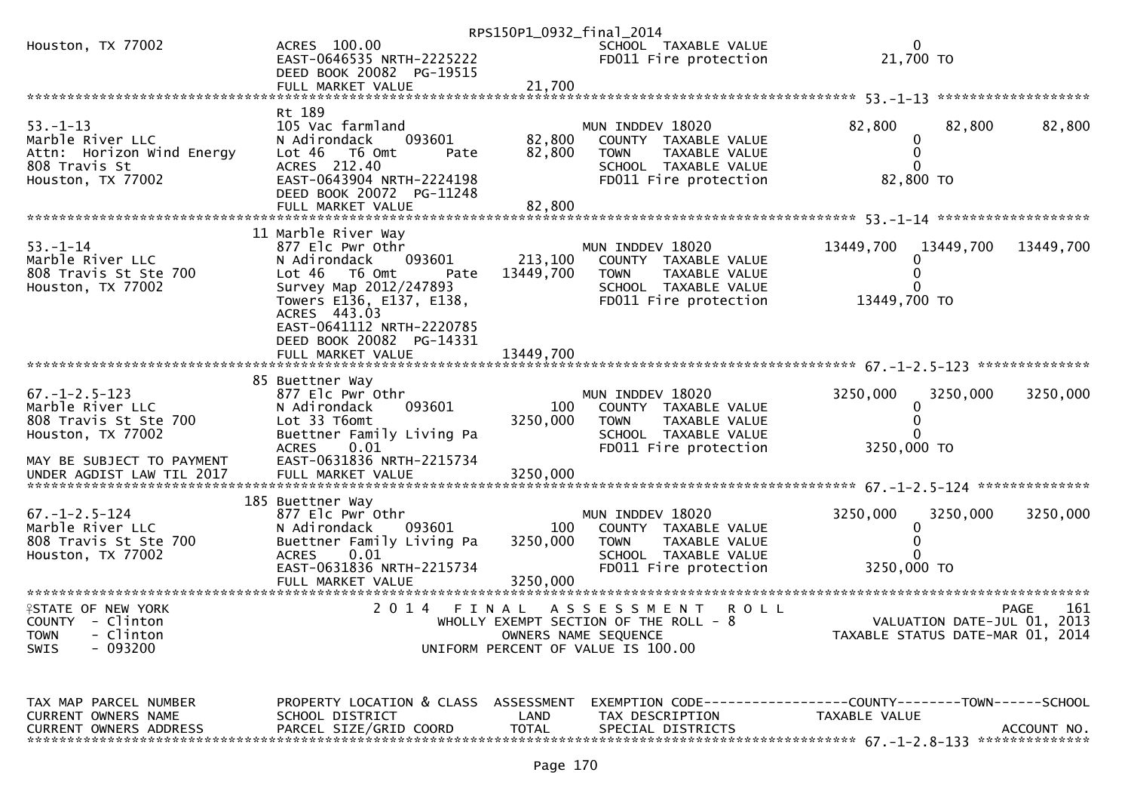|                                                                                                                                    |                                                                                                                                                                        | RPS150P1_0932_final_2014    |                                                                                                                                           |                           |                                                                 |                    |
|------------------------------------------------------------------------------------------------------------------------------------|------------------------------------------------------------------------------------------------------------------------------------------------------------------------|-----------------------------|-------------------------------------------------------------------------------------------------------------------------------------------|---------------------------|-----------------------------------------------------------------|--------------------|
| Houston, TX 77002                                                                                                                  | ACRES 100.00<br>EAST-0646535 NRTH-2225222<br>DEED BOOK 20082 PG-19515                                                                                                  |                             | SCHOOL TAXABLE VALUE<br>FD011 Fire protection                                                                                             |                           | $\Omega$<br>21,700 TO                                           |                    |
|                                                                                                                                    |                                                                                                                                                                        |                             |                                                                                                                                           |                           |                                                                 |                    |
| $53. - 1 - 13$<br>Marble River LLC<br>Attn: Horizon Wind Energy<br>808 Travis St<br>Houston, TX 77002                              | Rt 189<br>105 Vac farmland<br>N Adirondack<br>093601<br>Lot 46 T6 Omt<br>Pate<br>ACRES 212.40<br>EAST-0643904 NRTH-2224198<br>DEED BOOK 20072 PG-11248                 | 82,800<br>82,800            | MUN INDDEV 18020<br>COUNTY TAXABLE VALUE<br>TAXABLE VALUE<br><b>TOWN</b><br>SCHOOL TAXABLE VALUE<br>FD011 Fire protection                 | 82,800                    | 82,800<br>0<br>0<br>$\mathbf 0$<br>82,800 TO                    | 82,800             |
|                                                                                                                                    |                                                                                                                                                                        |                             |                                                                                                                                           |                           |                                                                 |                    |
|                                                                                                                                    | 11 Marble River Way                                                                                                                                                    |                             |                                                                                                                                           |                           |                                                                 |                    |
| $53. - 1 - 14$<br>Marble River LLC<br>808 Travis St Ste 700<br>Houston, TX 77002                                                   | 877 Elc Pwr Othr<br>093601<br>N Adirondack<br>Lot 46 T6 Omt<br>Pate<br>Survey Map 2012/247893<br>Towers E136, E137, E138,<br>ACRES 443.03<br>EAST-0641112 NRTH-2220785 | 213,100<br>13449,700        | MUN INDDEV 18020<br>COUNTY TAXABLE VALUE<br><b>TOWN</b><br>TAXABLE VALUE<br>SCHOOL TAXABLE VALUE<br>FD011 Fire protection                 | 13449,700<br>13449,700 TO | 13449,700<br>0<br>$\Omega$<br>0                                 | 13449,700          |
|                                                                                                                                    | DEED BOOK 20082 PG-14331                                                                                                                                               |                             |                                                                                                                                           |                           |                                                                 |                    |
|                                                                                                                                    | 85 Buettner Way                                                                                                                                                        |                             |                                                                                                                                           |                           |                                                                 |                    |
| $67. - 1 - 2.5 - 123$<br>Marble River LLC<br>808 Travis St Ste 700<br>Houston, TX 77002                                            | 877 Elc Pwr Othr<br>093601<br>N Adirondack<br>Lot 33 T6omt<br>Buettner Family Living Pa<br><b>ACRES</b><br>0.01                                                        | 100<br>3250,000             | MUN INDDEV 18020<br>COUNTY TAXABLE VALUE<br>TAXABLE VALUE<br><b>TOWN</b><br>SCHOOL TAXABLE VALUE<br>FD011 Fire protection                 | 3250,000<br>3250,000 TO   | 3250,000<br>0<br>0                                              | 3250,000           |
| MAY BE SUBJECT TO PAYMENT<br>UNDER AGDIST LAW TIL 2017                                                                             | EAST-0631836 NRTH-2215734<br>FULL MARKET VALUE                                                                                                                         | 3250,000                    |                                                                                                                                           |                           |                                                                 |                    |
| $67. - 1 - 2.5 - 124$<br>Marble River LLC<br>808 Travis St Ste 700<br>Houston, TX 77002                                            | 185 Buettner Way<br>877 Elc Pwr Othr<br>N Adirondack<br>093601<br>Buettner Family Living Pa<br>0.01<br><b>ACRES</b><br>EAST-0631836 NRTH-2215734<br>FULL MARKET VALUE  | 100<br>3250,000<br>3250,000 | MUN INDDEV 18020<br>COUNTY TAXABLE VALUE<br><b>TOWN</b><br>TAXABLE VALUE<br>SCHOOL TAXABLE VALUE<br>FD011 Fire protection                 | 3250.000<br>3250,000 TO   | 3250,000<br>0<br>$\Omega$<br>0                                  | 3250,000           |
| *************************<br><b>ISTATE OF NEW YORK</b><br>COUNTY - Clinton<br><b>TOWN</b><br>- Clinton<br>$-093200$<br><b>SWIS</b> | 2014<br>FINAL                                                                                                                                                          |                             | <b>ROLL</b><br>A S S E S S M E N T<br>WHOLLY EXEMPT SECTION OF THE ROLL - 8<br>OWNERS NAME SEQUENCE<br>UNIFORM PERCENT OF VALUE IS 100.00 |                           | VALUATION DATE-JUL 01, 2013<br>TAXABLE STATUS DATE-MAR 01, 2014 | 161<br><b>PAGE</b> |

TAX MAP PARCEL NUMBER PROPERTY LOCATION & CLASS ASSESSMENT EXEMPTION CODE------------------COUNTY--------TOWN------SCHOOLCURRENT OWNERS NAME SCHOOL DISTRICT LAND TAX DESCRIPTION TAXABLE VALUE CURRENT OWNERS ADDRESS PARCEL SIZE/GRID COORD TOTAL SPECIAL DISTRICTS ACCOUNT NO. \*\*\*\*\*\*\*\*\*\*\*\*\*\*\*\*\*\*\*\*\*\*\*\*\*\*\*\*\*\*\*\*\*\*\*\*\*\*\*\*\*\*\*\*\*\*\*\*\*\*\*\*\*\*\*\*\*\*\*\*\*\*\*\*\*\*\*\*\*\*\*\*\*\*\*\*\*\*\*\*\*\*\*\*\*\*\*\*\*\*\*\*\*\*\*\*\*\*\*\*\*\*\* 67.-1-2.8-133 \*\*\*\*\*\*\*\*\*\*\*\*\*\*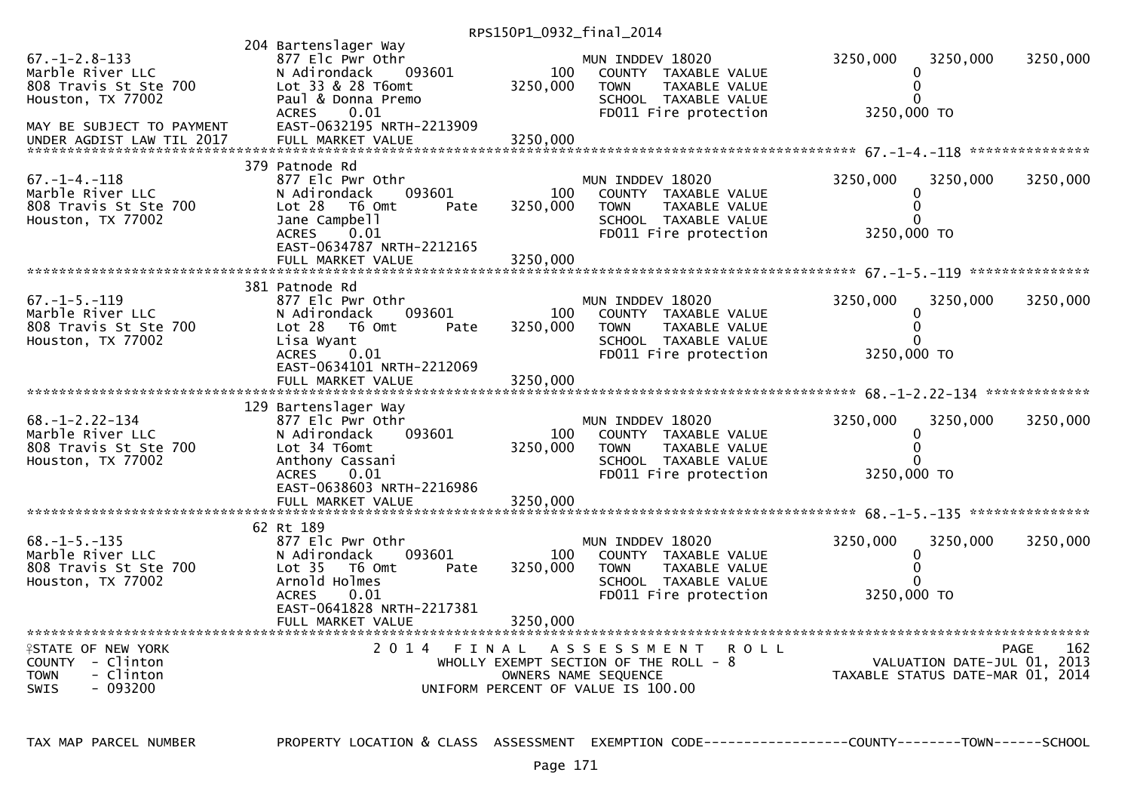| $67. - 1 - 2.8 - 133$<br>Marble River LLC<br>808 Travis St Ste 700<br>Houston, TX 77002<br>MAY BE SUBJECT TO PAYMENT | 204 Bartenslager Way<br>877 Elc Pwr Othr<br>N Adirondack<br>093601<br>Lot 33 & 28 T6omt<br>Paul & Donna Premo<br><b>ACRES</b><br>0.01<br>EAST-0632195 NRTH-2213909                  | 100<br>3250,000             | MUN INDDEV 18020<br>COUNTY TAXABLE VALUE<br>TAXABLE VALUE<br><b>TOWN</b><br>SCHOOL TAXABLE VALUE<br>FD011 Fire protection                 | 3250,000<br>0<br>0<br>$\Omega$<br>3250,000 TO            | 3250,000                    | 3250,000           |
|----------------------------------------------------------------------------------------------------------------------|-------------------------------------------------------------------------------------------------------------------------------------------------------------------------------------|-----------------------------|-------------------------------------------------------------------------------------------------------------------------------------------|----------------------------------------------------------|-----------------------------|--------------------|
| $67. - 1 - 4. - 118$<br>Marble River LLC<br>808 Travis St Ste 700<br>Houston, TX 77002                               | 379 Patnode Rd<br>877 Elc Pwr Othr<br>093601<br>N Adirondack<br>Lot 28<br>T6 Omt<br>Pate<br>Jane Campbell<br><b>ACRES</b><br>0.01<br>EAST-0634787 NRTH-2212165<br>FULL MARKET VALUE | 100<br>3250,000<br>3250,000 | MUN INDDEV 18020<br>COUNTY TAXABLE VALUE<br><b>TOWN</b><br>TAXABLE VALUE<br>SCHOOL TAXABLE VALUE<br>FD011 Fire protection                 | 3250,000<br>0<br>$\Omega$<br>0<br>3250,000 TO            | 3250,000                    | 3250,000           |
| $67. - 1 - 5. - 119$<br>Marble River LLC<br>808 Travis St Ste 700<br>Houston, TX 77002                               | 381 Patnode Rd<br>877 Elc Pwr Othr<br>093601<br>N Adirondack<br>Lot 28<br>T6 Omt<br>Pate<br>Lisa Wyant<br><b>ACRES</b><br>0.01<br>EAST-0634101 NRTH-2212069<br>FULL MARKET VALUE    | 100<br>3250,000<br>3250,000 | MUN INDDEV 18020<br>COUNTY TAXABLE VALUE<br><b>TOWN</b><br>TAXABLE VALUE<br>SCHOOL TAXABLE VALUE<br>FD011 Fire protection                 | 3250,000<br>0<br>$\Omega$<br>0<br>3250,000 TO            | 3250,000                    | 3250,000           |
| $68. - 1 - 2.22 - 134$<br>Marble River LLC<br>808 Travis St Ste 700<br>Houston, TX 77002                             | 129 Bartenslager Way<br>877 Elc Pwr Othr<br>093601<br>N Adirondack<br>Lot 34 T6omt<br>Anthony Cassani<br>0.01<br><b>ACRES</b><br>EAST-0638603 NRTH-2216986<br>FULL MARKET VALUE     | 100<br>3250,000<br>3250,000 | MUN INDDEV 18020<br>COUNTY TAXABLE VALUE<br>TAXABLE VALUE<br><b>TOWN</b><br>SCHOOL TAXABLE VALUE<br>FD011 Fire protection                 | 3250,000<br>0<br>$\Omega$<br>U<br>3250,000 TO            | 3250,000                    | 3250,000           |
| $68. -1 - 5. -135$<br>Marble River LLC<br>808 Travis St Ste 700<br>Houston, TX 77002                                 | 62 Rt 189<br>877 Elc Pwr Othr<br>093601<br>N Adirondack<br>Lot <sub>35</sub><br>T6 Omt<br>Pate<br>Arnold Holmes<br><b>ACRES</b><br>0.01<br>EAST-0641828 NRTH-2217381                | 100<br>3250,000             | MUN INDDEV 18020<br>COUNTY TAXABLE VALUE<br><b>TOWN</b><br>TAXABLE VALUE<br>SCHOOL TAXABLE VALUE<br>FD011 Fire protection                 | 3250,000<br>0<br>$\mathbf{0}$<br>$\Omega$<br>3250,000 TO | 3250,000                    | 3250,000           |
| <b>ISTATE OF NEW YORK</b><br>COUNTY - Clinton<br>- Clinton<br><b>TOWN</b><br>$-093200$<br><b>SWIS</b>                | 2014 FINAL                                                                                                                                                                          |                             | A S S E S S M E N T<br><b>ROLL</b><br>WHOLLY EXEMPT SECTION OF THE ROLL - 8<br>OWNERS NAME SEQUENCE<br>UNIFORM PERCENT OF VALUE IS 100.00 | TAXABLE STATUS DATE-MAR 01, 2014                         | VALUATION DATE-JUL 01, 2013 | 162<br><b>PAGE</b> |

TAX MAP PARCEL NUMBER PROPERTY LOCATION & CLASS ASSESSMENT EXEMPTION CODE------------------COUNTY--------TOWN------SCHOOL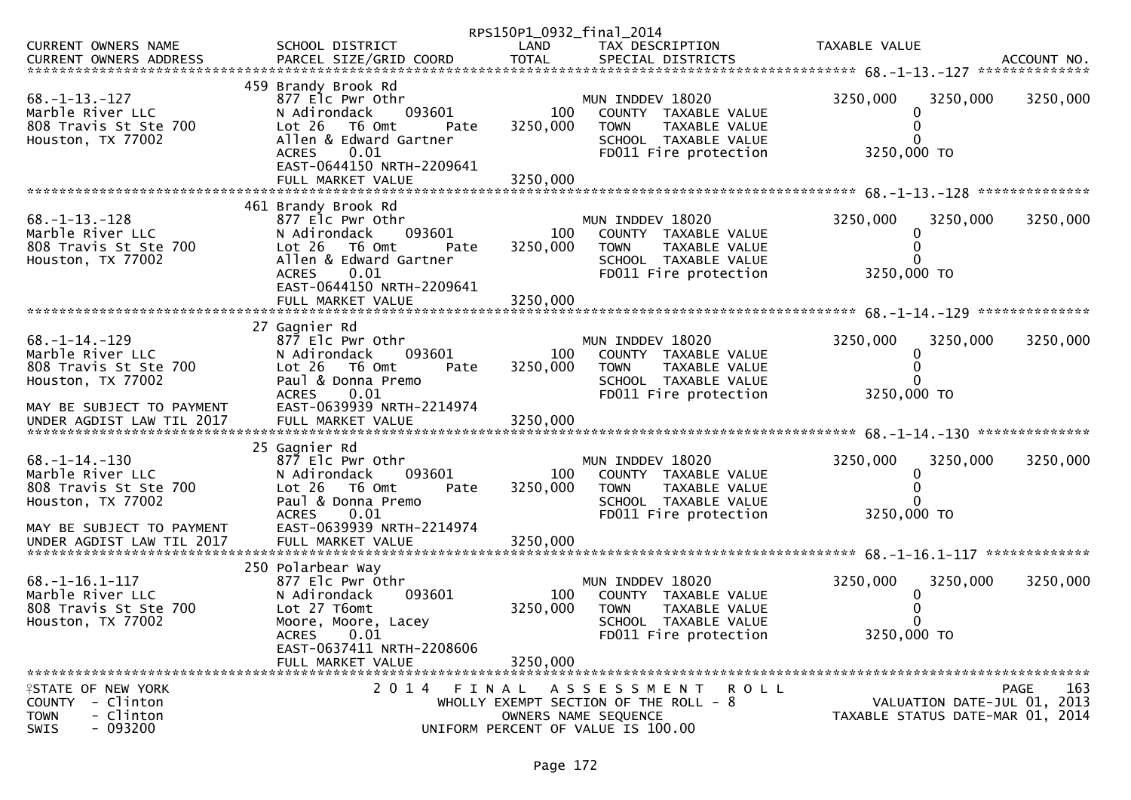|                                                                                                   |                                                                                                                                                                              |                 | RPS150P1_0932_final_2014                                                                                                  |                                                                 |             |
|---------------------------------------------------------------------------------------------------|------------------------------------------------------------------------------------------------------------------------------------------------------------------------------|-----------------|---------------------------------------------------------------------------------------------------------------------------|-----------------------------------------------------------------|-------------|
| CURRENT OWNERS NAME                                                                               | SCHOOL DISTRICT                                                                                                                                                              | LAND            | TAX DESCRIPTION                                                                                                           | TAXABLE VALUE                                                   |             |
|                                                                                                   |                                                                                                                                                                              |                 |                                                                                                                           |                                                                 |             |
| $68. -1 - 13. -127$<br>Marble River LLC<br>808 Travis St Ste 700<br>Houston, TX 77002             | 459 Brandy Brook Rd<br>877 Elc Pwr Othr<br>N Adirondack<br>093601<br>Lot 26<br>T6 Omt<br>Pate<br>Allen & Edward Gartner<br>0.01<br><b>ACRES</b><br>EAST-0644150 NRTH-2209641 | 100<br>3250,000 | MUN INDDEV 18020<br>COUNTY TAXABLE VALUE<br>TAXABLE VALUE<br><b>TOWN</b><br>SCHOOL TAXABLE VALUE<br>FD011 Fire protection | 3250,000<br>3250,000<br>3250,000 TO                             | 3250,000    |
|                                                                                                   |                                                                                                                                                                              |                 |                                                                                                                           |                                                                 |             |
| $68. -1 - 13. -128$<br>Marble River LLC<br>808 Travis St Ste 700<br>Houston, TX 77002             | 461 Brandy Brook Rd<br>877 Elc Pwr Othr<br>N Adirondack<br>093601<br>Lot 26<br>T6 Omt<br>Pate<br>Allen & Edward Gartner<br>0.01<br><b>ACRES</b>                              | 100<br>3250,000 | MUN INDDEV 18020<br>COUNTY TAXABLE VALUE<br><b>TOWN</b><br>TAXABLE VALUE<br>SCHOOL TAXABLE VALUE<br>FD011 Fire protection | 3250,000<br>3250,000<br>3250,000 TO                             | 3250,000    |
|                                                                                                   | EAST-0644150 NRTH-2209641                                                                                                                                                    |                 |                                                                                                                           |                                                                 |             |
|                                                                                                   | 27 Gagnier Rd                                                                                                                                                                |                 |                                                                                                                           |                                                                 |             |
| $68. -1 - 14. -129$<br>Marble River LLC<br>808 Travis St Ste 700<br>Houston, TX 77002             | 877 Elc Pwr Othr<br>N Adirondack<br>093601<br>Lot 26<br>T6 Omt<br>Pate<br>Paul & Donna Premo                                                                                 | 100<br>3250,000 | MUN INDDEV 18020<br>COUNTY TAXABLE VALUE<br>TAXABLE VALUE<br><b>TOWN</b><br>SCHOOL TAXABLE VALUE                          | 3250,000<br>3250,000<br>0                                       | 3250,000    |
| MAY BE SUBJECT TO PAYMENT                                                                         | <b>ACRES</b><br>0.01<br>EAST-0639939 NRTH-2214974                                                                                                                            |                 | FD011 Fire protection                                                                                                     | 3250,000 TO                                                     |             |
|                                                                                                   |                                                                                                                                                                              |                 |                                                                                                                           |                                                                 |             |
| $68. - 1 - 14. - 130$<br>Marble River LLC<br>808 Travis St Ste 700<br>Houston, TX 77002           | 25 Gagnier Rd<br>877 Elc Pwr Othr<br>093601<br>N Adirondack<br>Lot 26<br>T6 Omt<br>Pate<br>Paul & Donna Premo<br><b>ACRES</b><br>0.01                                        | 100<br>3250,000 | MUN INDDEV 18020<br>COUNTY TAXABLE VALUE<br><b>TOWN</b><br>TAXABLE VALUE<br>SCHOOL TAXABLE VALUE<br>FD011 Fire protection | 3250,000<br>3250,000<br>3250,000 TO                             | 3250,000    |
| MAY BE SUBJECT TO PAYMENT<br>UNDER AGDIST LAW TIL 2017                                            | EAST-0639939 NRTH-2214974<br>FULL MARKET VALUE                                                                                                                               | 3250,000        |                                                                                                                           |                                                                 |             |
|                                                                                                   | 250 Polarbear Way                                                                                                                                                            |                 |                                                                                                                           |                                                                 |             |
| $68. -1 - 16.1 - 117$<br>Marble River LLC<br>808 Travis St Ste 700<br>Houston, TX 77002           | 877 Elc Pwr Othr<br>093601<br>N Adirondack<br>Lot 27 T6omt<br>Moore, Moore, Lacey<br>ACRES 0.01                                                                              | 100<br>3250,000 | MUN INDDEV 18020<br>COUNTY TAXABLE VALUE<br><b>TOWN</b><br>TAXABLE VALUE<br>SCHOOL TAXABLE VALUE<br>FD011 Fire protection | 3250,000<br>3250,000<br>3250,000 TO                             | 3250,000    |
|                                                                                                   | EAST-0637411 NRTH-2208606<br>FULL MARKET VALUE                                                                                                                               | 3250,000        |                                                                                                                           |                                                                 |             |
| FINATE OF NEW YORK<br>- Clinton<br>COUNTY<br>- Clinton<br><b>TOWN</b><br>$-093200$<br><b>SWIS</b> | 2014 FINAL                                                                                                                                                                   |                 | ASSESSMENT ROLL<br>WHOLLY EXEMPT SECTION OF THE ROLL - 8<br>OWNERS NAME SEQUENCE<br>UNIFORM PERCENT OF VALUE IS 100.00    | VALUATION DATE-JUL 01, 2013<br>TAXABLE STATUS DATE-MAR 01, 2014 | 163<br>PAGE |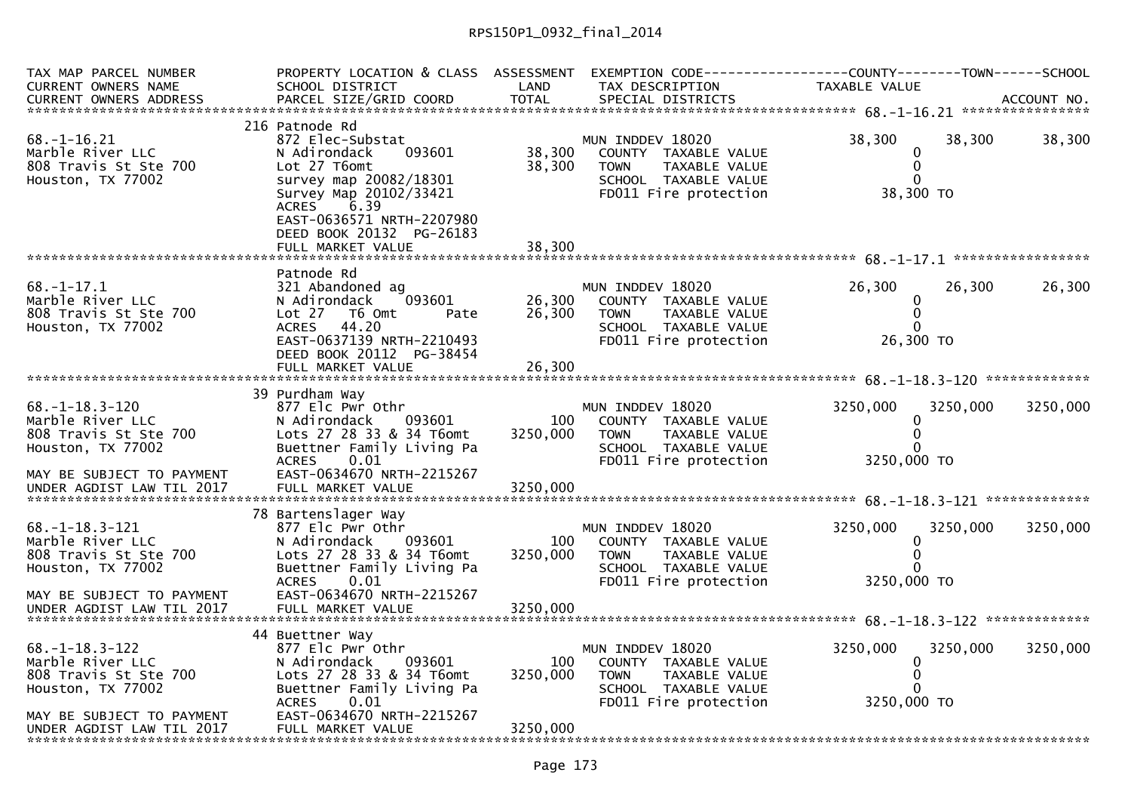| TAX MAP PARCEL NUMBER                     | PROPERTY LOCATION & CLASS ASSESSMENT    |          | EXEMPTION CODE-----------------COUNTY-------TOWN------SCHOOL |               |          |          |
|-------------------------------------------|-----------------------------------------|----------|--------------------------------------------------------------|---------------|----------|----------|
| <b>CURRENT OWNERS NAME</b>                | SCHOOL DISTRICT                         | LAND     | TAX DESCRIPTION                                              | TAXABLE VALUE |          |          |
|                                           |                                         |          |                                                              |               |          |          |
|                                           |                                         |          |                                                              |               |          |          |
|                                           | 216 Patnode Rd                          |          |                                                              |               |          |          |
| $68. - 1 - 16.21$                         | 872 Elec-Substat                        |          | MUN INDDEV 18020                                             | 38,300        | 38,300   | 38,300   |
| Marble River LLC                          | N Adirondack<br>093601                  | 38,300   | COUNTY TAXABLE VALUE                                         | 0             |          |          |
| 808 Travis St Ste 700                     | Lot 27 T6omt                            | 38,300   | <b>TOWN</b><br>TAXABLE VALUE                                 | $\pmb{0}$     |          |          |
| Houston, TX 77002                         | survey map 20082/18301                  |          | SCHOOL TAXABLE VALUE                                         | $\Omega$      |          |          |
|                                           | Survey Map 20102/33421                  |          | FD011 Fire protection                                        | 38,300 TO     |          |          |
|                                           | 6.39<br><b>ACRES</b>                    |          |                                                              |               |          |          |
|                                           | EAST-0636571 NRTH-2207980               |          |                                                              |               |          |          |
|                                           | DEED BOOK 20132 PG-26183                |          |                                                              |               |          |          |
|                                           |                                         |          |                                                              |               |          |          |
|                                           |                                         |          |                                                              |               |          |          |
|                                           | Patnode Rd                              |          |                                                              |               |          |          |
| $68. - 1 - 17.1$                          | 321 Abandoned ag                        |          | MUN INDDEV 18020                                             | 26,300        | 26,300   | 26,300   |
| Marble River LLC<br>808 Travis St Ste 700 | N Adirondack<br>093601                  | 26,300   | COUNTY TAXABLE VALUE                                         | 0<br>0        |          |          |
| Houston, TX 77002                         | Lot 27<br>T6 Omt<br>Pate<br>ACRES 44.20 | 26,300   | <b>TOWN</b><br>TAXABLE VALUE<br>SCHOOL TAXABLE VALUE         | $\Omega$      |          |          |
|                                           | EAST-0637139 NRTH-2210493               |          |                                                              | 26,300 TO     |          |          |
|                                           | DEED BOOK 20112 PG-38454                |          | FD011 Fire protection                                        |               |          |          |
|                                           |                                         |          |                                                              |               |          |          |
|                                           |                                         |          |                                                              |               |          |          |
|                                           | 39 Purdham Way                          |          |                                                              |               |          |          |
| $68. - 1 - 18.3 - 120$                    | 877 Elc Pwr Othr                        |          | MUN INDDEV 18020                                             | 3250,000      | 3250,000 | 3250,000 |
| Marble River LLC                          | N Adirondack<br>093601                  | 100      | COUNTY TAXABLE VALUE                                         | 0             |          |          |
| 808 Travis St Ste 700                     | Lots 27 28 33 & 34 T6omt                | 3250,000 | <b>TAXABLE VALUE</b><br><b>TOWN</b>                          | $\Omega$      |          |          |
| Houston, TX 77002                         | Buettner Family Living Pa               |          | SCHOOL TAXABLE VALUE                                         | 0             |          |          |
|                                           | 0.01<br><b>ACRES</b>                    |          | FD011 Fire protection                                        | 3250,000 TO   |          |          |
| MAY BE SUBJECT TO PAYMENT                 | EAST-0634670 NRTH-2215267               |          |                                                              |               |          |          |
| UNDER AGDIST LAW TIL 2017                 | FULL MARKET VALUE                       | 3250,000 |                                                              |               |          |          |
|                                           |                                         |          |                                                              |               |          |          |
|                                           | 78 Bartenslager Way                     |          |                                                              |               |          |          |
| $68. - 1 - 18.3 - 121$                    | 877 Elc Pwr Othr                        |          | MUN INDDEV 18020                                             | 3250,000      | 3250,000 | 3250,000 |
| Marble River LLC                          | N Adirondack<br>093601                  | 100      | COUNTY TAXABLE VALUE                                         | 0             |          |          |
| 808 Travis St Ste 700                     | Lots 27 28 33 & 34 T6omt                | 3250,000 | <b>TOWN</b><br>TAXABLE VALUE                                 | 0             |          |          |
| Houston, TX 77002                         | Buettner Family Living Pa               |          | SCHOOL TAXABLE VALUE                                         |               |          |          |
|                                           | 0.01<br><b>ACRES</b>                    |          | FD011 Fire protection                                        | 3250,000 TO   |          |          |
| MAY BE SUBJECT TO PAYMENT                 | EAST-0634670 NRTH-2215267               |          |                                                              |               |          |          |
| UNDER AGDIST LAW TIL 2017                 | FULL MARKET VALUE                       | 3250,000 |                                                              |               |          |          |
|                                           |                                         |          |                                                              |               |          |          |
|                                           | 44 Buettner Way                         |          |                                                              |               |          |          |
| $68. - 1 - 18.3 - 122$                    | 877 Elc Pwr Othr                        |          | MUN INDDEV 18020                                             | 3250,000      | 3250,000 | 3250,000 |
| Marble River LLC                          | N Adirondack<br>093601                  | 100      | COUNTY TAXABLE VALUE                                         | 0             |          |          |
| 808 Travis St Ste 700                     | Lots 27 28 33 & 34 T6omt                | 3250,000 | <b>TAXABLE VALUE</b><br><b>TOWN</b>                          | $\Omega$      |          |          |
| Houston, TX 77002                         | Buettner Family Living Pa               |          | SCHOOL TAXABLE VALUE                                         | 0             |          |          |
|                                           | <b>ACRES</b><br>0.01                    |          | FD011 Fire protection                                        | 3250,000 TO   |          |          |
| MAY BE SUBJECT TO PAYMENT                 | EAST-0634670 NRTH-2215267               |          |                                                              |               |          |          |
| UNDER AGDIST LAW TIL 2017                 | FULL MARKET VALUE                       | 3250,000 |                                                              |               |          |          |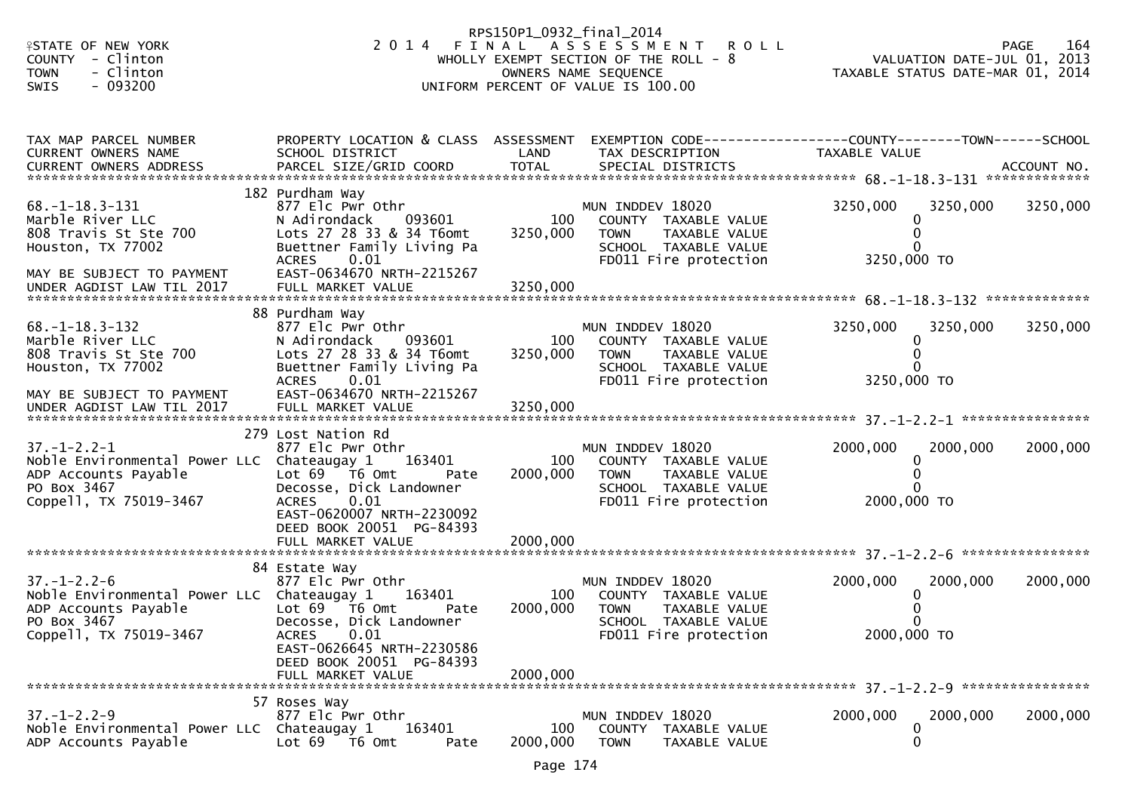| <b>ISTATE OF NEW YORK</b>                                          |                                                         | RPS150P1_0932_final_2014 | 2014 FINAL ASSESSMENT ROLL                                 |                                                                                 | 164<br>PAGE |
|--------------------------------------------------------------------|---------------------------------------------------------|--------------------------|------------------------------------------------------------|---------------------------------------------------------------------------------|-------------|
| COUNTY - Clinton                                                   |                                                         |                          | WHOLLY EXEMPT SECTION OF THE ROLL - 8                      | VALUATION DATE-JUL 01, 2013                                                     |             |
| - Clinton<br><b>TOWN</b><br>$-093200$<br>SWIS                      |                                                         |                          | OWNERS NAME SEQUENCE<br>UNIFORM PERCENT OF VALUE IS 100.00 | TAXABLE STATUS DATE-MAR 01, 2014                                                |             |
|                                                                    |                                                         |                          |                                                            |                                                                                 |             |
|                                                                    |                                                         |                          |                                                            |                                                                                 |             |
| TAX MAP PARCEL NUMBER<br>CURRENT OWNERS NAME                       | PROPERTY LOCATION & CLASS ASSESSMENT<br>SCHOOL DISTRICT | LAND                     | TAX DESCRIPTION                                            | EXEMPTION CODE------------------COUNTY--------TOWN------SCHOOL<br>TAXABLE VALUE |             |
|                                                                    |                                                         |                          |                                                            |                                                                                 |             |
|                                                                    | 182 Purdham Way                                         |                          |                                                            |                                                                                 |             |
| 68. – 1–18. 3–131<br>Marble River LLC                              | 877 Elc Pwr Othr<br>093601<br>N Adirondack              | 100                      | MUN INDDEV 18020<br>COUNTY TAXABLE VALUE                   | 3250,000<br>3250,000<br>$\Omega$                                                | 3250,000    |
| 808 Travis St Ste 700                                              | Lots 27 28 33 & 34 T6omt                                | 3250,000                 | <b>TOWN</b><br>TAXABLE VALUE                               |                                                                                 |             |
| Houston, TX 77002                                                  | Buettner Family Living Pa                               |                          | SCHOOL TAXABLE VALUE                                       |                                                                                 |             |
| MAY BE SUBJECT TO PAYMENT                                          | <b>ACRES</b><br>0.01<br>EAST-0634670 NRTH-2215267       |                          | FD011 Fire protection                                      | 3250,000 TO                                                                     |             |
| UNDER AGDIST LAW TIL 2017                                          | FULL MARKET VALUE                                       | 3250,000                 |                                                            |                                                                                 |             |
|                                                                    |                                                         |                          |                                                            |                                                                                 |             |
| $68. - 1 - 18.3 - 132$                                             | 88 Purdham Way<br>877 Elc Pwr Othr                      |                          | MUN INDDEV 18020                                           | 3250,000<br>3250,000                                                            | 3250,000    |
| Marble River LLC                                                   | N Adirondack<br>093601                                  | 100                      | COUNTY TAXABLE VALUE                                       | $\Omega$                                                                        |             |
| 808 Travis St Ste 700                                              | Lots 27 28 33 & 34 T6omt                                | 3250,000                 | <b>TOWN</b><br>TAXABLE VALUE                               | $\Omega$                                                                        |             |
| Houston, TX 77002                                                  | Buettner Family Living Pa<br><b>ACRES</b><br>0.01       |                          | SCHOOL TAXABLE VALUE<br>FD011 Fire protection              | 3250,000 TO                                                                     |             |
| MAY BE SUBJECT TO PAYMENT                                          | EAST-0634670 NRTH-2215267                               |                          |                                                            |                                                                                 |             |
| UNDER AGDIST LAW TIL 2017                                          | FULL MARKET VALUE                                       | 3250,000                 |                                                            |                                                                                 |             |
|                                                                    | 279 Lost Nation Rd                                      |                          |                                                            |                                                                                 |             |
| $37. - 1 - 2.2 - 1$                                                | 877 Elc Pwr Othr                                        |                          | MUN INDDEV 18020                                           | 2000,000<br>2000,000                                                            | 2000,000    |
| Noble Environmental Power LLC Chateaugay 1                         | 163401                                                  | 100                      | COUNTY TAXABLE VALUE                                       | 0                                                                               |             |
| ADP Accounts Payable<br>PO Box 3467                                | Lot 69  T6 0mt<br>Pate<br>Decosse, Dick Landowner       | 2000,000                 | <b>TOWN</b><br>TAXABLE VALUE<br>SCHOOL TAXABLE VALUE       |                                                                                 |             |
| Coppell, TX 75019-3467                                             | <b>ACRES</b><br>0.01                                    |                          | FD011 Fire protection                                      | 2000,000 TO                                                                     |             |
|                                                                    | EAST-0620007 NRTH-2230092<br>DEED BOOK 20051 PG-84393   |                          |                                                            |                                                                                 |             |
|                                                                    | FULL MARKET VALUE                                       | 2000,000                 |                                                            |                                                                                 |             |
|                                                                    |                                                         |                          |                                                            |                                                                                 |             |
| $37. - 1 - 2.2 - 6$                                                | 84 Estate Way<br>877 Elc Pwr Othr                       |                          | MUN INDDEV 18020                                           | 2000,000<br>2000,000                                                            | 2000,000    |
| Noble Environmental Power LLC Chateaugay 1                         | 163401                                                  | 100                      | COUNTY TAXABLE VALUE                                       | $\Omega$                                                                        |             |
| ADP Accounts Payable                                               | Lot 69 T6 Omt<br>Pate                                   | 2000,000                 | <b>TOWN</b><br>TAXABLE VALUE                               |                                                                                 |             |
| PO Box 3467<br>Coppell, TX 75019-3467                              | Decosse, Dick Landowner<br>0.01<br><b>ACRES</b>         |                          | SCHOOL TAXABLE VALUE<br>FD011 Fire protection              | 2000,000 TO                                                                     |             |
|                                                                    | EAST-0626645 NRTH-2230586                               |                          |                                                            |                                                                                 |             |
|                                                                    | DEED BOOK 20051 PG-84393                                |                          |                                                            |                                                                                 |             |
|                                                                    | FULL MARKET VALUE                                       | 2000,000                 |                                                            |                                                                                 |             |
|                                                                    | 57 Roses Way                                            |                          |                                                            |                                                                                 |             |
| $37. - 1 - 2.2 - 9$                                                | 877 Elc Pwr Othr                                        |                          | MUN INDDEV 18020                                           | 2000,000<br>2000,000                                                            | 2000,000    |
| Noble Environmental Power LLC Chateaugay 1<br>ADP Accounts Payable | 163401<br>Lot 69<br>T6 Omt<br>Pate                      | 100<br>2000,000          | COUNTY TAXABLE VALUE<br><b>TOWN</b><br>TAXABLE VALUE       | 0<br>0                                                                          |             |
|                                                                    |                                                         |                          |                                                            |                                                                                 |             |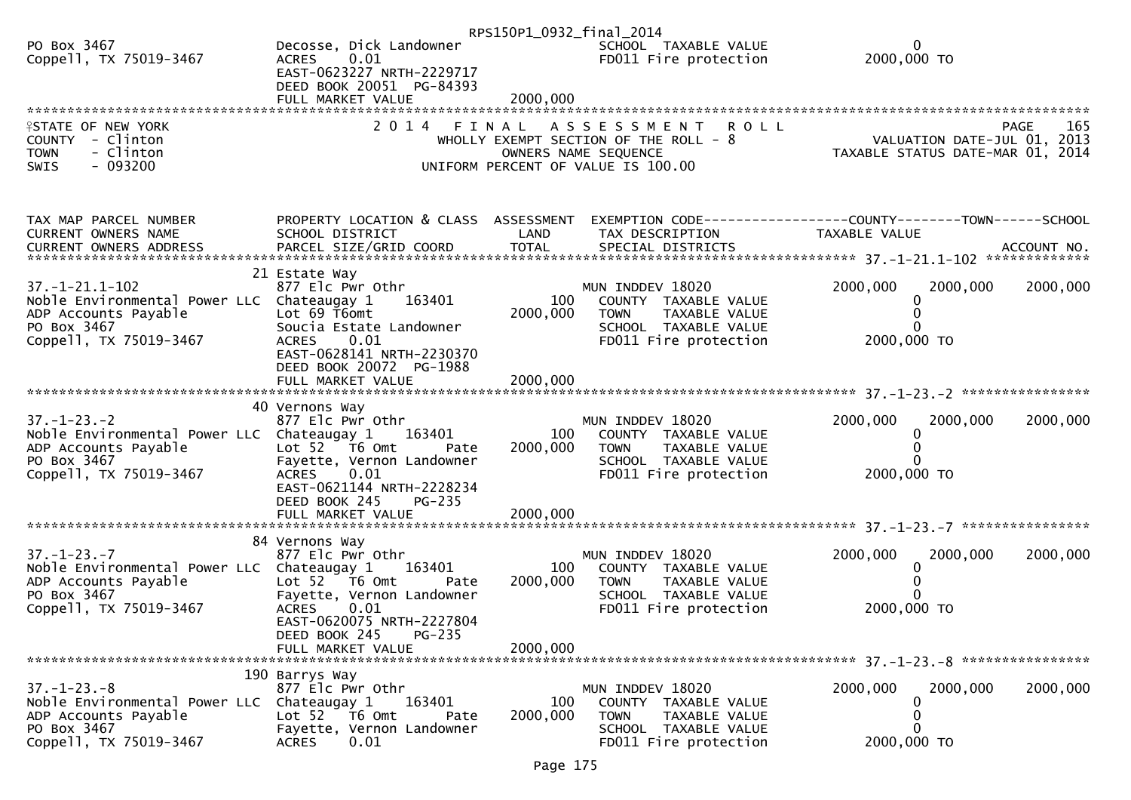|                                                                                                                                    |                                                                                                                                                                           | RPS150P1_0932_final_2014 |                                                                                                                                           |                                                                                                                 |          |
|------------------------------------------------------------------------------------------------------------------------------------|---------------------------------------------------------------------------------------------------------------------------------------------------------------------------|--------------------------|-------------------------------------------------------------------------------------------------------------------------------------------|-----------------------------------------------------------------------------------------------------------------|----------|
| PO Box 3467<br>Coppell, TX 75019-3467                                                                                              | Decosse, Dick Landowner<br>0.01<br><b>ACRES</b><br>EAST-0623227 NRTH-2229717<br>DEED BOOK 20051 PG-84393<br>FULL MARKET VALUE                                             | 2000,000                 | SCHOOL TAXABLE VALUE<br>FD011 Fire protection                                                                                             | 0<br>2000,000 TO                                                                                                |          |
|                                                                                                                                    |                                                                                                                                                                           |                          |                                                                                                                                           |                                                                                                                 |          |
| <b>ISTATE OF NEW YORK</b><br>COUNTY - Clinton<br>- Clinton<br><b>TOWN</b><br>$-093200$<br>SWIS                                     | 2 0 1 4                                                                                                                                                                   | FINAL                    | <b>ROLL</b><br>A S S E S S M E N T<br>WHOLLY EXEMPT SECTION OF THE ROLL - 8<br>OWNERS NAME SEQUENCE<br>UNIFORM PERCENT OF VALUE IS 100.00 | PAGE 165<br>VALUATION DATE-JUL 01, 2013<br>TAXARLE STATUS DATE ULL 01, 2013<br>TAXABLE STATUS DATE-MAR 01, 2014 | 165      |
| TAX MAP PARCEL NUMBER<br>CURRENT OWNERS NAME                                                                                       | PROPERTY LOCATION & CLASS ASSESSMENT<br>SCHOOL DISTRICT                                                                                                                   | LAND                     | TAX DESCRIPTION                                                                                                                           | EXEMPTION CODE-----------------COUNTY--------TOWN------SCHOOL<br>TAXABLE VALUE                                  |          |
| 37. -1-21. 1-102<br>Noble Environmental Power LLC Chateaugay 1<br>ADP Accounts Payable<br>PO Box 3467<br>Coppell, TX 75019-3467    | 21 Estate Way<br>877 Elc Pwr Othr<br>163401<br>Lot 69 T6omt<br>Soucia Estate Landowner<br>0.01<br><b>ACRES</b><br>EAST-0628141 NRTH-2230370<br>DEED BOOK 20072 PG-1988    | 100<br>2000,000          | MUN INDDEV 18020<br>COUNTY TAXABLE VALUE<br>TAXABLE VALUE<br><b>TOWN</b><br>SCHOOL TAXABLE VALUE<br>FD011 Fire protection                 | 2000,000<br>2000,000<br>2000,000 TO                                                                             | 2000,000 |
|                                                                                                                                    | FULL MARKET VALUE                                                                                                                                                         | 2000,000                 |                                                                                                                                           |                                                                                                                 |          |
|                                                                                                                                    |                                                                                                                                                                           |                          |                                                                                                                                           |                                                                                                                 |          |
| $37. - 1 - 23. - 2$<br>Noble Environmental Power LLC Chateaugay 1<br>ADP Accounts Payable<br>PO Box 3467<br>Coppell, TX 75019-3467 | 40 Vernons Way<br>877 Elc Pwr Othr<br>163401<br>Lot 52  T6 0mt<br>Pate<br>Fayette, Vernon Landowner<br><b>ACRES</b><br>0.01<br>EAST-0621144 NRTH-2228234<br>DEED BOOK 245 | 100<br>2000,000          | MUN INDDEV 18020<br>COUNTY TAXABLE VALUE<br>TAXABLE VALUE<br><b>TOWN</b><br>SCHOOL TAXABLE VALUE<br>FD011 Fire protection                 | 2000,000<br>2000,000<br>$\Omega$<br>2000,000 TO                                                                 | 2000,000 |
|                                                                                                                                    | <b>PG-235</b><br>FULL MARKET VALUE                                                                                                                                        | 2000,000                 |                                                                                                                                           |                                                                                                                 |          |
|                                                                                                                                    |                                                                                                                                                                           |                          |                                                                                                                                           |                                                                                                                 |          |
| $37. - 1 - 23. - 7$<br>Noble Environmental Power LLC Chateaugay 1<br>ADP Accounts Payable<br>PO Box 3467<br>Coppell, TX 75019-3467 | 84 Vernons Way<br>877 Elc Pwr Othr<br>163401<br>Lot 52 T6 Omt<br>Pate<br>Fayette, Vernon Landowner<br><b>ACRES</b><br>0.01<br>EAST-0620075 NRTH-2227804                   | 100<br>2000,000          | MUN INDDEV 18020<br>COUNTY TAXABLE VALUE<br><b>TOWN</b><br>TAXABLE VALUE<br>SCHOOL TAXABLE VALUE<br>FD011 Fire protection                 | 2000,000<br>2000,000<br>2000,000 TO                                                                             | 2000,000 |
|                                                                                                                                    | PG-235<br>DEED BOOK 245                                                                                                                                                   |                          |                                                                                                                                           |                                                                                                                 |          |
|                                                                                                                                    | FULL MARKET VALUE                                                                                                                                                         | 2000.000                 |                                                                                                                                           |                                                                                                                 |          |
| $37. - 1 - 23. - 8$<br>Noble Environmental Power LLC<br>ADP Accounts Payable<br>PO Box 3467<br>Coppell, TX 75019-3467              | 190 Barrys Way<br>877 Elc Pwr Othr<br>163401<br>Chateaugay 1<br>Lot 52 T6 Omt<br>Pate<br>Fayette, Vernon Landowner<br>0.01<br><b>ACRES</b>                                | 100<br>2000,000          | MUN INDDEV 18020<br>COUNTY TAXABLE VALUE<br><b>TOWN</b><br>TAXABLE VALUE<br>SCHOOL TAXABLE VALUE<br>FD011 Fire protection                 | 2000,000<br>2000,000<br>0<br>2000,000 TO                                                                        | 2000,000 |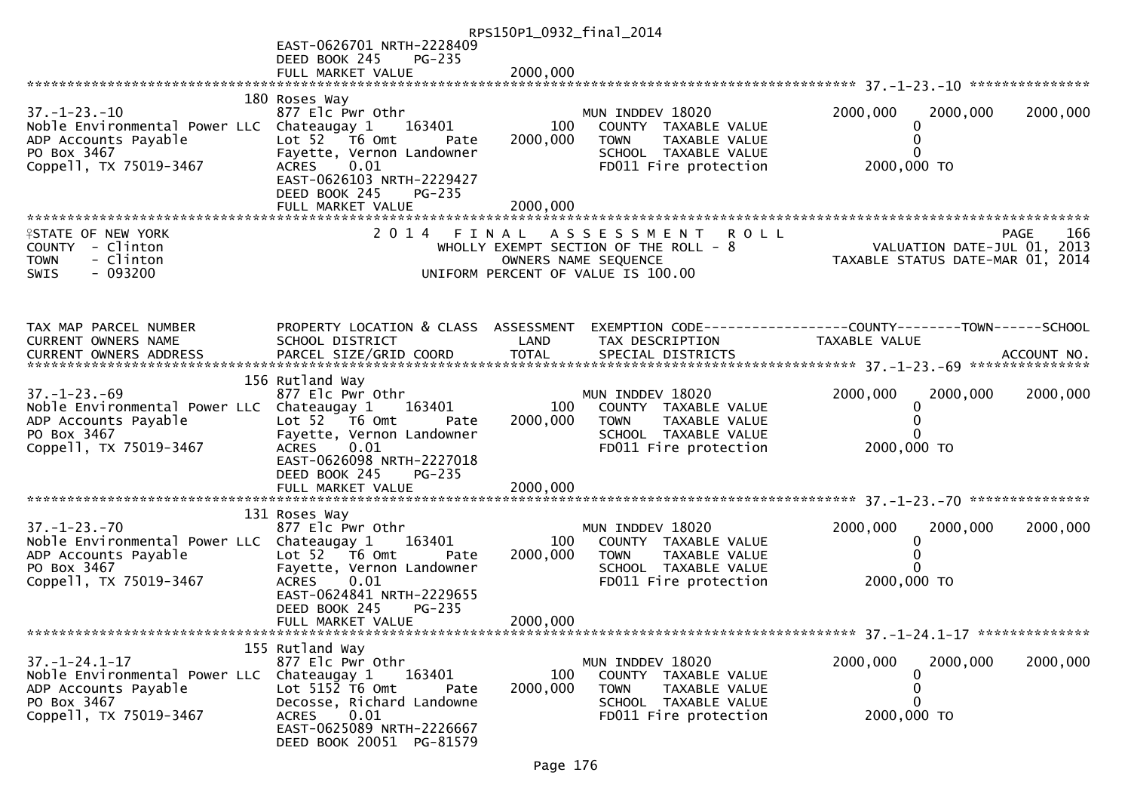|                                                                    |                                                         | RPS150P1_0932_final_2014 |                                                      |                                                                               |                    |
|--------------------------------------------------------------------|---------------------------------------------------------|--------------------------|------------------------------------------------------|-------------------------------------------------------------------------------|--------------------|
|                                                                    | EAST-0626701 NRTH-2228409                               |                          |                                                      |                                                                               |                    |
|                                                                    | DEED BOOK 245<br><b>PG-235</b>                          |                          |                                                      |                                                                               |                    |
|                                                                    | FULL MARKET VALUE                                       | 2000,000                 |                                                      |                                                                               |                    |
|                                                                    | 180 Roses Way                                           |                          |                                                      |                                                                               |                    |
| $37. - 1 - 23. - 10$                                               | 877 Elc Pwr Othr                                        |                          | MUN INDDEV 18020                                     | 2000,000<br>2000,000                                                          | 2000,000           |
| Noble Environmental Power LLC Chateaugay 1                         | 163401                                                  | 100                      | COUNTY TAXABLE VALUE                                 | 0                                                                             |                    |
| ADP Accounts Payable<br>PO Box 3467                                | Lot 52 76 0mt<br>Pate<br>Fayette, Vernon Landowner      | 2000,000                 | TAXABLE VALUE<br><b>TOWN</b><br>SCHOOL TAXABLE VALUE |                                                                               |                    |
| Coppell, TX 75019-3467                                             | 0.01<br><b>ACRES</b>                                    |                          | FD011 Fire protection                                | 2000,000 TO                                                                   |                    |
|                                                                    | EAST-0626103 NRTH-2229427                               |                          |                                                      |                                                                               |                    |
|                                                                    | DEED BOOK 245<br>PG-235                                 |                          |                                                      |                                                                               |                    |
|                                                                    | FULL MARKET VALUE                                       | 2000,000                 |                                                      |                                                                               |                    |
| <b>ISTATE OF NEW YORK</b>                                          |                                                         |                          | 2014 FINAL ASSESSMENT ROLL                           |                                                                               | 166<br><b>PAGE</b> |
| COUNTY - Clinton                                                   |                                                         |                          | WHOLLY EXEMPT SECTION OF THE ROLL $-8$               | VALUATION DATE-JUL 01, 2013<br>TAXABLE STATUS DATE-MAR 01, 2014               |                    |
| - Clinton<br><b>TOWN</b>                                           |                                                         |                          | OWNERS NAME SEQUENCE                                 |                                                                               |                    |
| $-093200$<br>SWIS                                                  |                                                         |                          | UNIFORM PERCENT OF VALUE IS 100.00                   |                                                                               |                    |
|                                                                    |                                                         |                          |                                                      |                                                                               |                    |
|                                                                    |                                                         |                          |                                                      |                                                                               |                    |
| TAX MAP PARCEL NUMBER<br>CURRENT OWNERS NAME                       | PROPERTY LOCATION & CLASS ASSESSMENT<br>SCHOOL DISTRICT | LAND                     | TAX DESCRIPTION                                      | EXEMPTION CODE-----------------COUNTY-------TOWN------SCHOOL<br>TAXABLE VALUE |                    |
|                                                                    |                                                         |                          |                                                      |                                                                               |                    |
|                                                                    |                                                         |                          |                                                      |                                                                               |                    |
|                                                                    | 156 Rutland Way                                         |                          |                                                      |                                                                               |                    |
| $37. - 1 - 23. - 69$<br>Noble Environmental Power LLC Chateaugay 1 | 877 Elc Pwr Othr<br>163401                              | 100                      | MUN INDDEV 18020<br>COUNTY TAXABLE VALUE             | 2000,000<br>2000,000<br>0                                                     | 2000,000           |
| ADP Accounts Payable                                               | Lot 52 T6 Omt<br>Pate                                   | 2000,000                 | <b>TOWN</b><br>TAXABLE VALUE                         |                                                                               |                    |
| PO Box 3467                                                        | Fayette, Vernon Landowner                               |                          | SCHOOL TAXABLE VALUE                                 |                                                                               |                    |
| Coppell, TX 75019-3467                                             | 0.01<br>ACRES<br>EAST-0626098 NRTH-2227018              |                          | FD011 Fire protection                                | 2000,000 TO                                                                   |                    |
|                                                                    | DEED BOOK 245<br>PG-235                                 |                          |                                                      |                                                                               |                    |
|                                                                    |                                                         |                          |                                                      |                                                                               |                    |
|                                                                    |                                                         |                          |                                                      |                                                                               |                    |
| $37. - 1 - 23. - 70$                                               | 131 Roses Way<br>877 Elc Pwr Othr                       |                          | MUN INDDEV 18020                                     | 2000,000<br>2000,000                                                          | 2000,000           |
| Noble Environmental Power LLC Chateaugay 1                         | 163401                                                  | 100                      | COUNTY TAXABLE VALUE                                 | 0                                                                             |                    |
| ADP Accounts Payable                                               | Lot 52  T6 Omt<br>Pate                                  | 2000,000                 | TAXABLE VALUE<br>TOWN                                |                                                                               |                    |
| PO Box 3467                                                        | Fayette, Vernon Landowner                               |                          | SCHOOL TAXABLE VALUE                                 |                                                                               |                    |
| Coppell, TX 75019-3467                                             | <b>ACRES</b><br>0.01<br>EAST-0624841 NRTH-2229655       |                          | FD011 Fire protection                                | 2000,000 TO                                                                   |                    |
|                                                                    | DEED BOOK 245<br>$PG-235$                               |                          |                                                      |                                                                               |                    |
|                                                                    | FULL MARKET VALUE                                       | 2000,000                 |                                                      |                                                                               |                    |
|                                                                    |                                                         |                          |                                                      |                                                                               |                    |
| $37. - 1 - 24.1 - 17$                                              | 155 Rutland Way<br>877 Elc Pwr Othr                     |                          | MUN INDDEV 18020                                     | 2000,000<br>2000,000                                                          | 2000,000           |
| Noble Environmental Power LLC Chateaugay 1                         | 163401                                                  | 100                      | COUNTY TAXABLE VALUE                                 | 0                                                                             |                    |
| ADP Accounts Payable                                               | Lot $5152$ T6 Omt<br>Pate                               | 2000,000                 | TAXABLE VALUE<br><b>TOWN</b>                         | 0                                                                             |                    |
| PO Box 3467<br>Coppell, TX 75019-3467                              | Decosse, Richard Landowne<br><b>ACRES</b><br>0.01       |                          | SCHOOL TAXABLE VALUE<br>FD011 Fire protection        | 2000,000 TO                                                                   |                    |
|                                                                    | EAST-0625089 NRTH-2226667                               |                          |                                                      |                                                                               |                    |
|                                                                    | DEED BOOK 20051 PG-81579                                |                          |                                                      |                                                                               |                    |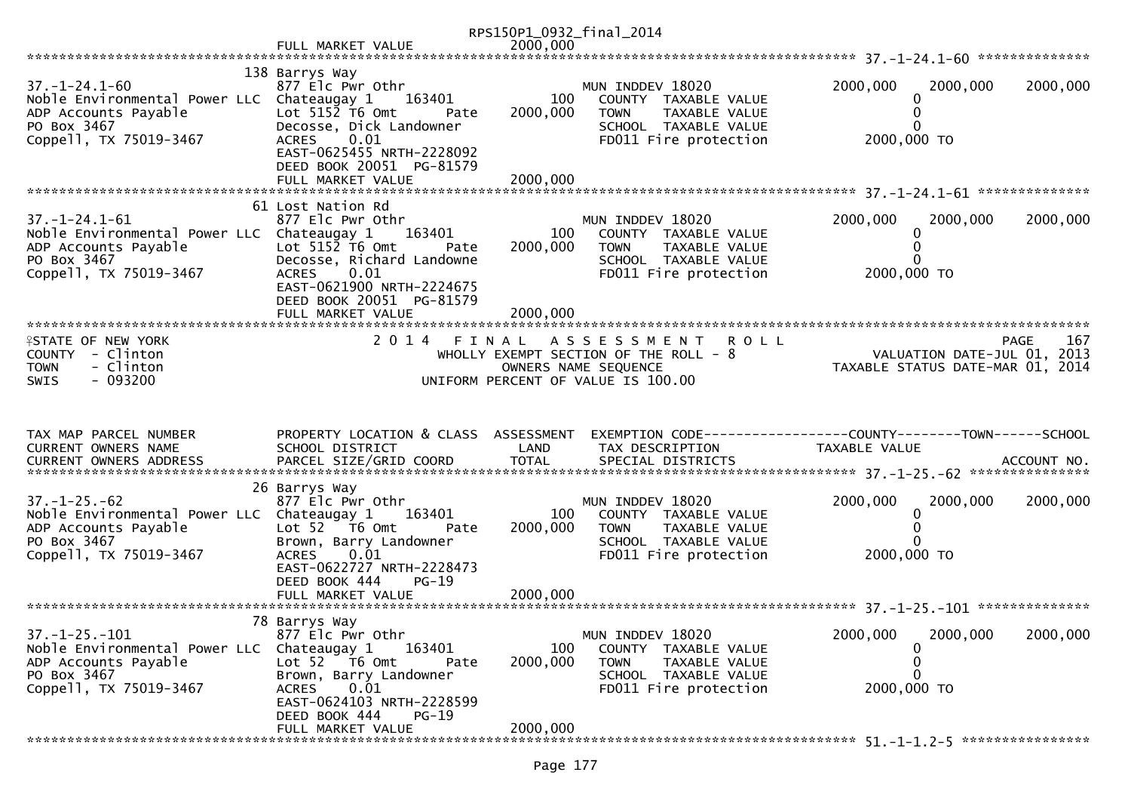|                                                                                                             |                                                                                                         | RPS150P1_0932_final_2014 |                                                                                                                                           |                                                                 |          |             |
|-------------------------------------------------------------------------------------------------------------|---------------------------------------------------------------------------------------------------------|--------------------------|-------------------------------------------------------------------------------------------------------------------------------------------|-----------------------------------------------------------------|----------|-------------|
|                                                                                                             | FULL MARKET VALUE                                                                                       | 2000,000                 |                                                                                                                                           |                                                                 |          |             |
| $37. - 1 - 24.1 - 60$                                                                                       | 138 Barrys Way<br>877 Elc Pwr Othr                                                                      |                          | MUN INDDEV 18020                                                                                                                          | 2000,000                                                        | 2000,000 | 2000,000    |
| Noble Environmental Power LLC Chateaugay 1<br>ADP Accounts Payable<br>PO Box 3467<br>Coppell, TX 75019-3467 | 163401<br>$Lot$ 5152 T6 Omt<br>Pate<br>Decosse, Dick Landowner<br>0.01<br><b>ACRES</b>                  | 100<br>2000,000          | COUNTY TAXABLE VALUE<br>TAXABLE VALUE<br><b>TOWN</b><br>SCHOOL TAXABLE VALUE<br>FD011 Fire protection                                     | 0<br>0<br>0<br>2000,000 TO                                      |          |             |
|                                                                                                             | EAST-0625455 NRTH-2228092<br>DEED BOOK 20051 PG-81579                                                   |                          |                                                                                                                                           |                                                                 |          |             |
|                                                                                                             | 61 Lost Nation Rd                                                                                       |                          |                                                                                                                                           |                                                                 |          |             |
| $37. - 1 - 24.1 - 61$<br>Noble Environmental Power LLC Chateaugay 1<br>ADP Accounts Payable<br>PO Box 3467  | 877 Elc Pwr Othr<br>163401<br>Lot $5152$ T6 Omt<br>Pate<br>Decosse, Richard Landowne                    | 100<br>2000,000          | MUN INDDEV 18020<br>COUNTY TAXABLE VALUE<br>TOWN<br>TAXABLE VALUE<br>SCHOOL TAXABLE VALUE                                                 | 2000,000<br>0                                                   | 2000,000 | 2000,000    |
| Coppell, TX 75019-3467                                                                                      | 0.01<br><b>ACRES</b><br>EAST-0621900 NRTH-2224675<br>DEED BOOK 20051 PG-81579<br>FULL MARKET VALUE      | 2000,000                 | FD011 Fire protection                                                                                                                     | 2000,000 TO                                                     |          |             |
|                                                                                                             |                                                                                                         |                          |                                                                                                                                           |                                                                 |          |             |
| <b>ISTATE OF NEW YORK</b><br>COUNTY - Clinton<br>- Clinton<br><b>TOWN</b><br>$-093200$<br><b>SWIS</b>       | 2 0 1 4                                                                                                 | FINAL                    | <b>ROLL</b><br>A S S E S S M E N T<br>WHOLLY EXEMPT SECTION OF THE ROLL - 8<br>OWNERS NAME SEQUENCE<br>UNIFORM PERCENT OF VALUE IS 100.00 | VALUATION DATE-JUL 01, 2013<br>TAXABLE STATUS DATE-MAR 01, 2014 |          | 167<br>PAGE |
|                                                                                                             |                                                                                                         |                          |                                                                                                                                           |                                                                 |          |             |
| TAX MAP PARCEL NUMBER<br>CURRENT OWNERS NAME                                                                | PROPERTY LOCATION & CLASS ASSESSMENT<br>SCHOOL DISTRICT                                                 | LAND                     | TAX DESCRIPTION                                                                                                                           | TAXABLE VALUE                                                   |          |             |
|                                                                                                             |                                                                                                         |                          |                                                                                                                                           |                                                                 |          |             |
| $37. - 1 - 25. - 62$<br>Noble Environmental Power LLC Chateaugay 1<br>ADP Accounts Payable                  | 26 Barrys Way<br>877 Elc Pwr Othr<br>163401<br>Lot 52  T6 Omt<br>Pate                                   | 100<br>2000,000          | MUN INDDEV 18020<br>COUNTY TAXABLE VALUE<br><b>TAXABLE VALUE</b><br><b>TOWN</b>                                                           | 2000,000<br>0                                                   | 2000,000 | 2000,000    |
| PO Box 3467<br>Coppell, TX 75019-3467                                                                       | Brown, Barry Landowner<br>0.01<br><b>ACRES</b><br>EAST-0622727 NRTH-2228473<br>DEED BOOK 444<br>$PG-19$ |                          | SCHOOL TAXABLE VALUE<br>FD011 Fire protection                                                                                             | 0<br>2000,000 TO                                                |          |             |
|                                                                                                             | FULL MARKET VALUE                                                                                       | 2000,000                 |                                                                                                                                           |                                                                 |          |             |
|                                                                                                             | 78 Barrys Way                                                                                           |                          |                                                                                                                                           |                                                                 |          |             |
| $37. - 1 - 25. - 101$<br>Noble Environmental Power LLC<br>ADP Accounts Payable<br>PO Box 3467               | 877 Elc Pwr Othr<br>Chateaugay 1<br>163401<br>Lot 52 76 0mt<br>Pate<br>Brown, Barry Landowner           | 100<br>2000,000          | MUN INDDEV 18020<br>COUNTY TAXABLE VALUE<br><b>TOWN</b><br>TAXABLE VALUE<br>SCHOOL TAXABLE VALUE                                          | 2000,000<br>0<br>0<br>0                                         | 2000,000 | 2000,000    |
| Coppell, TX 75019-3467                                                                                      | 0.01<br><b>ACRES</b><br>EAST-0624103 NRTH-2228599<br>DEED BOOK 444<br>$PG-19$<br>FULL MARKET VALUE      | 2000,000                 | FD011 Fire protection                                                                                                                     | 2000,000 TO                                                     |          |             |
|                                                                                                             |                                                                                                         |                          |                                                                                                                                           |                                                                 |          |             |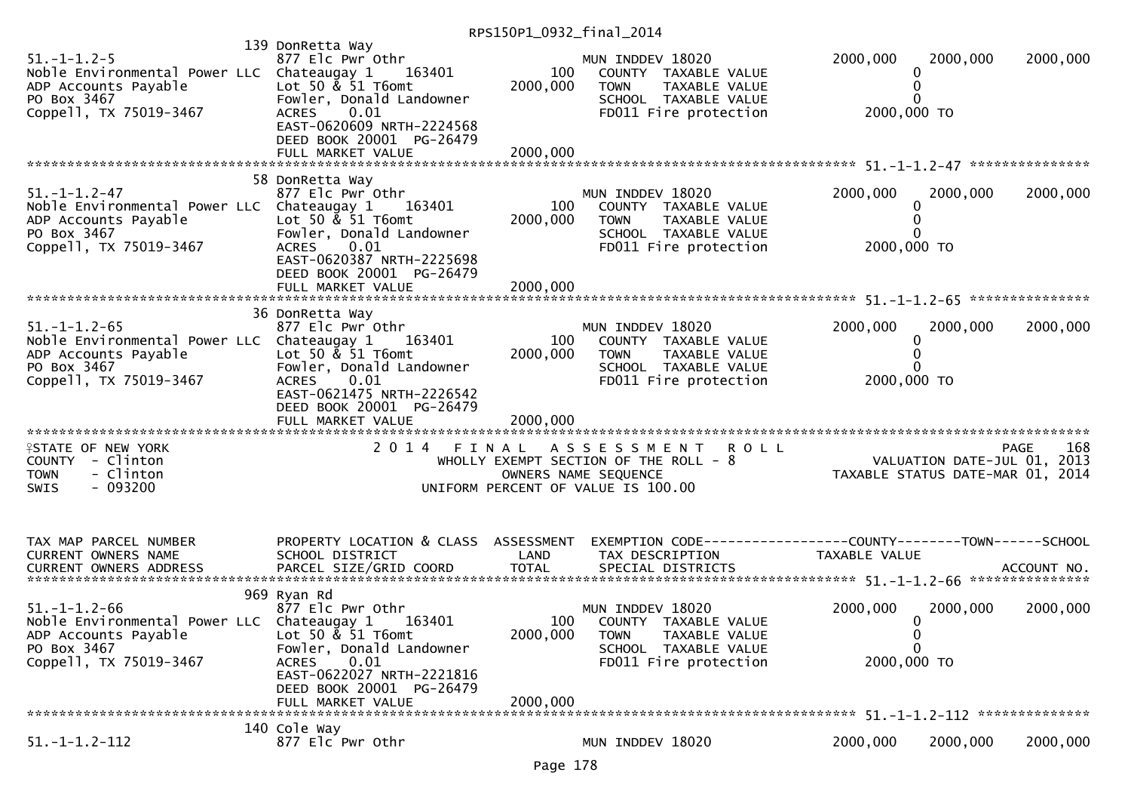| $51. - 1 - 1.2 - 5$<br>Noble Environmental Power LLC Chateaugay 1<br>ADP Accounts Payable<br>PO Box 3467<br>Coppell, TX 75019-3467  | 139 DonRetta Way<br>877 Elc Pwr Othr<br>163401<br>Lot 50 & 51 T6omt<br>Fowler, Donald Landowner<br>0.01<br><b>ACRES</b><br>EAST-0620609 NRTH-2224568<br>DEED BOOK 20001 PG-26479 | 100<br>2000,000 | MUN INDDEV 18020<br>COUNTY TAXABLE VALUE<br>TAXABLE VALUE<br><b>TOWN</b><br>SCHOOL TAXABLE VALUE<br>FD011 Fire protection                 | 2000,000<br>2000,000<br>0<br>2000,000 TO                                             | 2000,000           |
|-------------------------------------------------------------------------------------------------------------------------------------|----------------------------------------------------------------------------------------------------------------------------------------------------------------------------------|-----------------|-------------------------------------------------------------------------------------------------------------------------------------------|--------------------------------------------------------------------------------------|--------------------|
|                                                                                                                                     | 58 DonRetta Way                                                                                                                                                                  |                 |                                                                                                                                           |                                                                                      |                    |
| $51. - 1 - 1.2 - 47$<br>Noble Environmental Power LLC Chateaugay 1<br>ADP Accounts Payable<br>PO Box 3467<br>Coppell, TX 75019-3467 | 877 Elc Pwr Othr<br>163401<br>Lot 50 & 51 T6omt<br>Fowler, Donald Landowner<br>0.01<br><b>ACRES</b><br>EAST-0620387 NRTH-2225698                                                 | 100<br>2000,000 | MUN INDDEV 18020<br>COUNTY TAXABLE VALUE<br><b>TOWN</b><br>TAXABLE VALUE<br>SCHOOL TAXABLE VALUE<br>FD011 Fire protection                 | 2000,000<br>2000,000<br>0<br>0<br>2000,000 TO                                        | 2000,000           |
|                                                                                                                                     | DEED BOOK 20001 PG-26479<br>FULL MARKET VALUE                                                                                                                                    | 2000,000        |                                                                                                                                           |                                                                                      |                    |
|                                                                                                                                     |                                                                                                                                                                                  |                 |                                                                                                                                           |                                                                                      |                    |
| $51. - 1 - 1.2 - 65$<br>Noble Environmental Power LLC Chateaugay 1<br>ADP Accounts Payable<br>PO Box 3467<br>Coppell, TX 75019-3467 | 36 DonRetta Way<br>877 Elc Pwr Othr<br>163401<br>Lot 50 & 51 T6omt<br>Fowler, Donald Landowner<br>0.01<br><b>ACRES</b><br>EAST-0621475 NRTH-2226542                              | 100<br>2000,000 | MUN INDDEV 18020<br>COUNTY TAXABLE VALUE<br><b>TOWN</b><br>TAXABLE VALUE<br>SCHOOL TAXABLE VALUE<br>FD011 Fire protection                 | 2000,000<br>2000,000<br>0<br>O<br>2000,000 TO                                        | 2000,000           |
|                                                                                                                                     | DEED BOOK 20001 PG-26479<br>FULL MARKET VALUE                                                                                                                                    | 2000,000        |                                                                                                                                           |                                                                                      |                    |
|                                                                                                                                     |                                                                                                                                                                                  |                 |                                                                                                                                           |                                                                                      |                    |
| <b>ISTATE OF NEW YORK</b><br>COUNTY - Clinton<br>- Clinton<br><b>TOWN</b><br>$-093200$<br>SWIS                                      | 2014 FINAL                                                                                                                                                                       |                 | A S S E S S M E N T<br><b>ROLL</b><br>WHOLLY EXEMPT SECTION OF THE ROLL - 8<br>OWNERS NAME SEQUENCE<br>UNIFORM PERCENT OF VALUE IS 100.00 | VALUATION DATE-JUL 01, 2013<br>TAXABLE STATUS DATE-MAR 01, 2014                      | 168<br><b>PAGE</b> |
|                                                                                                                                     |                                                                                                                                                                                  |                 |                                                                                                                                           |                                                                                      |                    |
| TAX MAP PARCEL NUMBER<br>CURRENT OWNERS NAME<br>CURRENT OWNERS ADDRESS                                                              | PROPERTY LOCATION & CLASS ASSESSMENT<br>SCHOOL DISTRICT                                                                                                                          | LAND            | TAX DESCRIPTION                                                                                                                           | EXEMPTION        CODE-----------------COUNTY-------TOWN------SCHOOL<br>TAXABLE VALUE |                    |
|                                                                                                                                     | 969 Ryan Rd                                                                                                                                                                      |                 |                                                                                                                                           |                                                                                      |                    |
| $51. - 1 - 1.2 - 66$<br>Noble Environmental Power LLC Chateaugay 1<br>ADP Accounts Payable<br>PO Box 3467                           | 877 Elc Pwr Othr<br>163401<br>Lot 50 $\&$ 51 T6omt<br>Fowler, Donald Landowner                                                                                                   | 100<br>2000,000 | MUN INDDEV 18020<br>COUNTY TAXABLE VALUE<br><b>TOWN</b><br>TAXABLE VALUE<br>SCHOOL TAXABLE VALUE                                          | 2000,000<br>2000,000<br>0<br>0<br>0                                                  | 2000,000           |
| Coppell, TX 75019-3467                                                                                                              | 0.01<br><b>ACRES</b><br>EAST-0622027 NRTH-2221816<br>DEED BOOK 20001 PG-26479<br>FULL MARKET VALUE                                                                               | 2000,000        | FD011 Fire protection                                                                                                                     | 2000,000 TO                                                                          |                    |
|                                                                                                                                     |                                                                                                                                                                                  |                 |                                                                                                                                           |                                                                                      |                    |
| $51. - 1 - 1.2 - 112$                                                                                                               | 140 Cole Way<br>877 Elc Pwr Othr                                                                                                                                                 |                 | MUN INDDEV 18020                                                                                                                          | 2000,000<br>2000,000                                                                 | 2000,000           |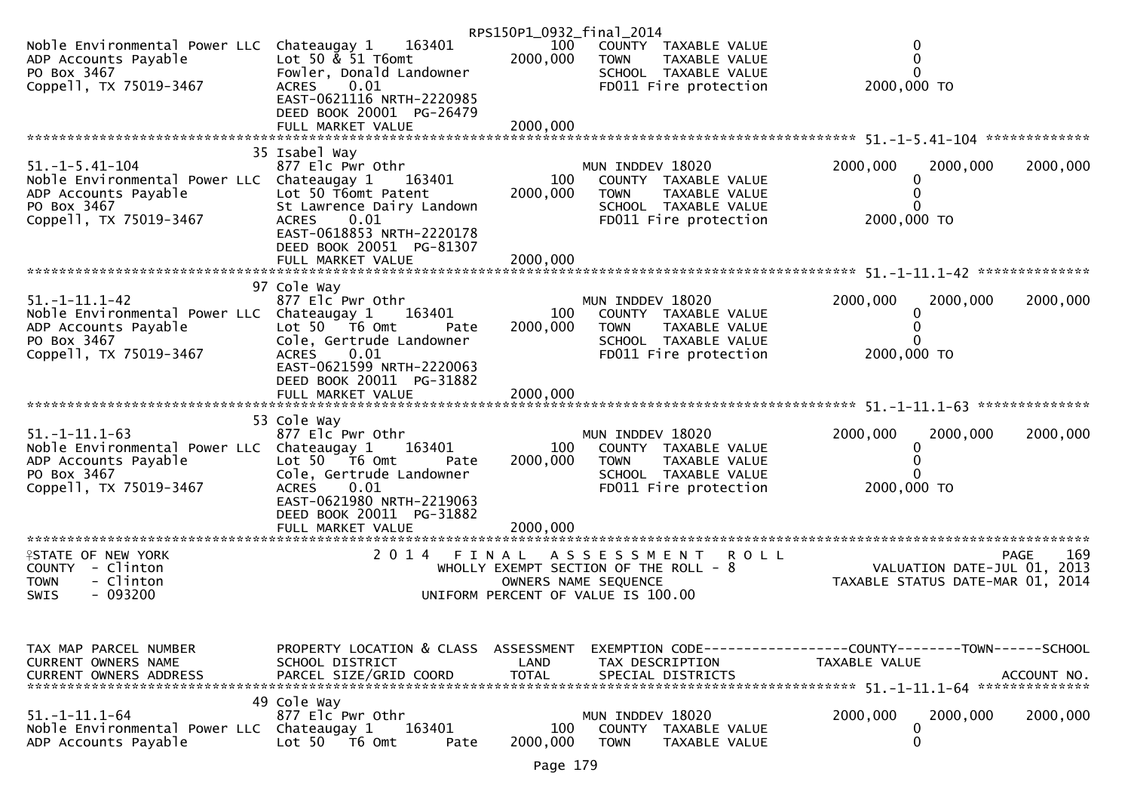|                                                                                                                                       |                                                                                                                                                                                 | RPS150P1_0932_final_2014           |                                                                                                                                           |                                                                                              |     |
|---------------------------------------------------------------------------------------------------------------------------------------|---------------------------------------------------------------------------------------------------------------------------------------------------------------------------------|------------------------------------|-------------------------------------------------------------------------------------------------------------------------------------------|----------------------------------------------------------------------------------------------|-----|
| Noble Environmental Power LLC Chateaugay 1<br>ADP Accounts Payable<br>PO Box 3467<br>Coppell, TX 75019-3467                           | 163401<br>Lot 50 $\&$ 51 T6omt<br>Fowler, Donald Landowner<br>0.01<br><b>ACRES</b><br>EAST-0621116 NRTH-2220985                                                                 | 100<br>2000,000                    | COUNTY TAXABLE VALUE<br><b>TOWN</b><br>TAXABLE VALUE<br>SCHOOL TAXABLE VALUE<br>FD011 Fire protection                                     | 0<br>0<br>2000,000 TO                                                                        |     |
|                                                                                                                                       | DEED BOOK 20001 PG-26479<br>FULL MARKET VALUE<br>35 Isabel Way                                                                                                                  | 2000,000                           |                                                                                                                                           |                                                                                              |     |
| $51. - 1 - 5.41 - 104$<br>Noble Environmental Power LLC Chateaugay 1<br>ADP Accounts Payable<br>PO Box 3467<br>Coppell, TX 75019-3467 | 877 Elc Pwr Othr<br>163401<br>Lot 50 T6omt Patent<br>St Lawrence Dairy Landown<br>0.01<br><b>ACRES</b><br>EAST-0618853 NRTH-2220178<br>DEED BOOK 20051 PG-81307                 | 100<br>2000,000                    | MUN INDDEV 18020<br>COUNTY TAXABLE VALUE<br><b>TOWN</b><br><b>TAXABLE VALUE</b><br>SCHOOL TAXABLE VALUE<br>FD011 Fire protection          | 2000,000<br>2000,000<br>2000,000<br>2000,000 TO                                              |     |
|                                                                                                                                       |                                                                                                                                                                                 |                                    |                                                                                                                                           |                                                                                              |     |
| $51. -1 - 11.1 - 42$<br>Noble Environmental Power LLC Chateaugay 1<br>ADP Accounts Payable<br>PO Box 3467<br>Coppell, TX 75019-3467   | 97 Cole Way<br>877 Elc Pwr Othr<br>163401<br>Lot 50 T6 Omt<br>Pate<br>Cole, Gertrude Landowner<br>0.01<br><b>ACRES</b><br>EAST-0621599 NRTH-2220063<br>DEED BOOK 20011 PG-31882 | 100<br>2000,000                    | MUN INDDEV 18020<br>COUNTY TAXABLE VALUE<br>TAXABLE VALUE<br><b>TOWN</b><br>SCHOOL TAXABLE VALUE<br>FD011 Fire protection                 | 2000,000<br>2000,000<br>2000,000<br>2000,000 TO                                              |     |
|                                                                                                                                       |                                                                                                                                                                                 |                                    |                                                                                                                                           |                                                                                              |     |
|                                                                                                                                       |                                                                                                                                                                                 |                                    |                                                                                                                                           |                                                                                              |     |
| $51. - 1 - 11.1 - 63$<br>Noble Environmental Power LLC Chateaugay 1<br>ADP Accounts Payable<br>PO Box 3467<br>Coppell, TX 75019-3467  | 53 Cole Way<br>877 Elc Pwr Othr<br>163401<br>Lot 50 T6 Omt<br>Pate<br>Cole, Gertrude Landowner<br>0.01<br><b>ACRES</b><br>EAST-0621980 NRTH-2219063<br>DEED BOOK 20011 PG-31882 | 100<br>2000,000                    | MUN INDDEV 18020<br>COUNTY TAXABLE VALUE<br>TAXABLE VALUE<br><b>TOWN</b><br>SCHOOL TAXABLE VALUE<br>FD011 Fire protection                 | 2000,000<br>2000,000<br>2000,000<br>$\Omega$<br>2000,000 TO                                  |     |
|                                                                                                                                       | FULL MARKET VALUE                                                                                                                                                               | 2000,000                           |                                                                                                                                           |                                                                                              |     |
| <b>ISTATE OF NEW YORK</b><br>COUNTY - Clinton<br>- Clinton<br><b>TOWN</b><br>$-093200$<br><b>SWIS</b>                                 | 2 0 1 4<br>FINAL                                                                                                                                                                |                                    | A S S E S S M E N T<br><b>ROLL</b><br>WHOLLY EXEMPT SECTION OF THE ROLL - 8<br>OWNERS NAME SEQUENCE<br>UNIFORM PERCENT OF VALUE IS 100.00 | <b>PAGE</b><br>VALUATION DATE-JUL 01, 2013<br>TAXABLE STATUS DATE-MAR 01, 2014               | 169 |
|                                                                                                                                       |                                                                                                                                                                                 |                                    |                                                                                                                                           |                                                                                              |     |
| TAX MAP PARCEL NUMBER<br>CURRENT OWNERS NAME<br><b>CURRENT OWNERS ADDRESS</b>                                                         | PROPERTY LOCATION & CLASS<br>SCHOOL DISTRICT<br>PARCEL SIZE/GRID COORD                                                                                                          | ASSESSMENT<br>LAND<br><b>TOTAL</b> | TAX DESCRIPTION<br>SPECIAL DISTRICTS                                                                                                      | EXEMPTION CODE-----------------COUNTY-------TOWN------SCHOOL<br>TAXABLE VALUE<br>ACCOUNT NO. |     |
| $51. - 1 - 11.1 - 64$<br>Noble Environmental Power LLC<br>ADP Accounts Payable                                                        | 49 Cole Way<br>877 Elc Pwr Othr<br>Chateaugay 1<br>163401<br>Lot 50 T6 Omt<br>Pate                                                                                              | 100<br>2000,000                    | MUN INDDEV 18020<br>COUNTY<br>TAXABLE VALUE<br><b>TOWN</b><br>TAXABLE VALUE                                                               | 2000,000<br>2000,000<br>2000,000<br>0<br>0                                                   |     |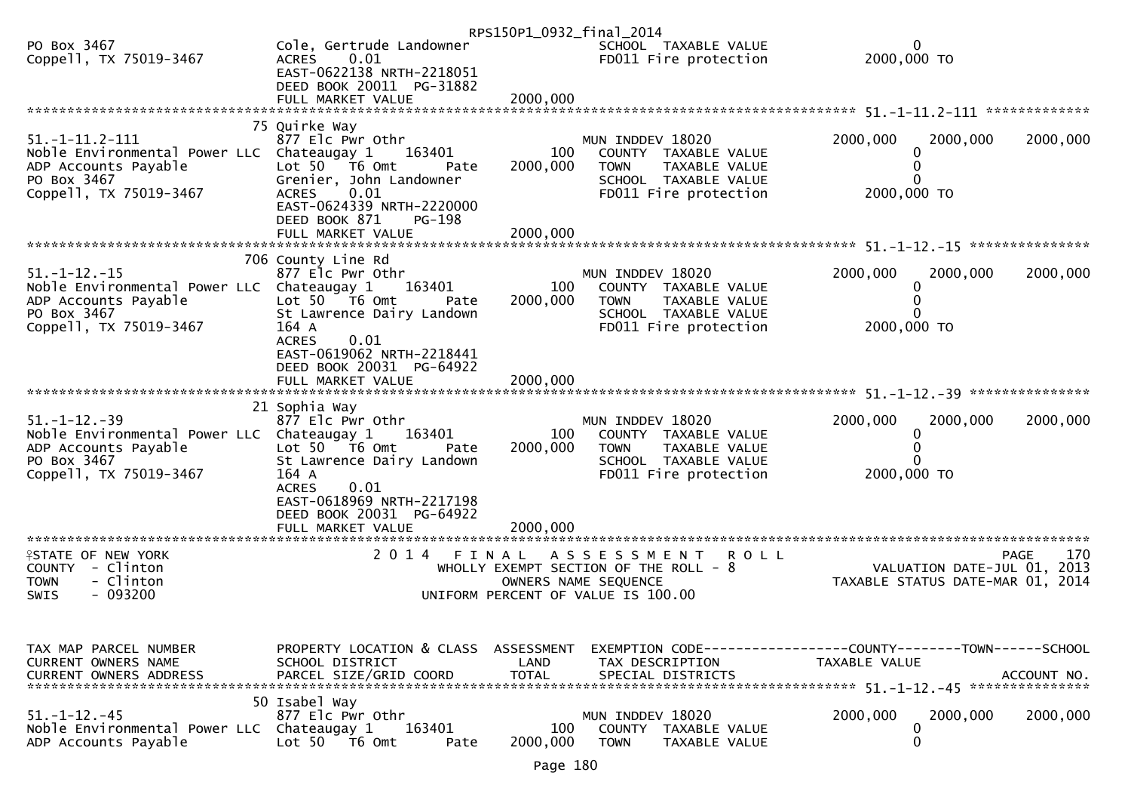|                                                                                                                                      |                                                                                                                                                                                                                       | RPS150P1_0932_final_2014    |                                                                                                                                           |                                                                               |                    |
|--------------------------------------------------------------------------------------------------------------------------------------|-----------------------------------------------------------------------------------------------------------------------------------------------------------------------------------------------------------------------|-----------------------------|-------------------------------------------------------------------------------------------------------------------------------------------|-------------------------------------------------------------------------------|--------------------|
| PO Box 3467<br>Coppell, TX 75019-3467                                                                                                | Cole, Gertrude Landowner<br>ACRES<br>0.01<br>EAST-0622138 NRTH-2218051<br>DEED BOOK 20011 PG-31882                                                                                                                    |                             | SCHOOL TAXABLE VALUE<br>FD011 Fire protection                                                                                             | 0<br>2000,000 TO                                                              |                    |
|                                                                                                                                      |                                                                                                                                                                                                                       |                             |                                                                                                                                           |                                                                               |                    |
| $51. -1 - 11.2 - 111$<br>Noble Environmental Power LLC Chateaugay 1<br>ADP Accounts Payable<br>PO Box 3467<br>Coppell, TX 75019-3467 | 75 Quirke Way<br>877 Elc Pwr Othr<br>163401<br>Lot $50$ $\overline{76}$ Omt<br>Pate<br>Grenier, John Landowner<br>0.01<br><b>ACRES</b><br>EAST-0624339 NRTH-2220000<br>DEED BOOK 871<br>$PG-198$<br>FULL MARKET VALUE | 100<br>2000,000<br>2000,000 | MUN INDDEV 18020<br>COUNTY TAXABLE VALUE<br>TAXABLE VALUE<br><b>TOWN</b><br>SCHOOL TAXABLE VALUE<br>FD011 Fire protection                 | 2000,000<br>2000,000<br>2000,000 TO                                           | 2000,000           |
|                                                                                                                                      |                                                                                                                                                                                                                       |                             |                                                                                                                                           |                                                                               |                    |
| $51. - 1 - 12. - 15$<br>Noble Environmental Power LLC Chateaugay 1<br>ADP Accounts Payable<br>PO Box 3467<br>Coppell, TX 75019-3467  | 706 County Line Rd<br>877 Elc Pwr Othr<br>163401<br>Lot 50 T6 Omt<br>Pate<br>St Lawrence Dairy Landown<br>164 A<br><b>ACRES</b><br>0.01                                                                               | 100<br>2000,000             | MUN INDDEV 18020<br>COUNTY TAXABLE VALUE<br>TAXABLE VALUE<br><b>TOWN</b><br>SCHOOL TAXABLE VALUE<br>FD011 Fire protection                 | 2000,000<br>2000,000<br>0<br>2000,000 TO                                      | 2000,000           |
|                                                                                                                                      | EAST-0619062 NRTH-2218441<br>DEED BOOK 20031 PG-64922<br>FULL MARKET VALUE                                                                                                                                            | 2000,000                    |                                                                                                                                           |                                                                               |                    |
| $51. - 1 - 12. - 39$<br>Noble Environmental Power LLC Chateaugay 1<br>ADP Accounts Payable<br>PO Box 3467<br>Coppell, TX 75019-3467  | 21 Sophia Way<br>877 Elc Pwr Othr<br>163401<br>Lot 50 T6 Omt<br>Pate<br>St Lawrence Dairy Landown<br>164 A<br>0.01<br><b>ACRES</b><br>EAST-0618969 NRTH-2217198<br>DEED BOOK 20031 PG-64922                           | 100<br>2000,000             | MUN INDDEV 18020<br>COUNTY TAXABLE VALUE<br><b>TOWN</b><br>TAXABLE VALUE<br>SCHOOL TAXABLE VALUE<br>FD011 Fire protection                 | 2000,000<br>2000,000<br>0<br>2000,000 TO                                      | 2000,000           |
| **********************                                                                                                               | FULL MARKET VALUE                                                                                                                                                                                                     | 2000,000                    |                                                                                                                                           |                                                                               |                    |
| <b>ISTATE OF NEW YORK</b><br>COUNTY - Clinton<br>- Clinton<br><b>TOWN</b><br>$-093200$<br>SWIS                                       | 2014 FINAL                                                                                                                                                                                                            |                             | <b>ROLL</b><br>A S S E S S M E N T<br>WHOLLY EXEMPT SECTION OF THE ROLL - 8<br>OWNERS NAME SEQUENCE<br>UNIFORM PERCENT OF VALUE IS 100.00 | VALUATION DATE-JUL 01, 2013<br>TAXABLE STATUS DATE-MAR 01, 2014               | 170<br><b>PAGE</b> |
|                                                                                                                                      |                                                                                                                                                                                                                       |                             |                                                                                                                                           |                                                                               |                    |
| TAX MAP PARCEL NUMBER<br>CURRENT OWNERS NAME<br><b>CURRENT OWNERS ADDRESS</b>                                                        | PROPERTY LOCATION & CLASS ASSESSMENT<br>SCHOOL DISTRICT<br>PARCEL SIZE/GRID COORD                                                                                                                                     | LAND<br><b>TOTAL</b>        | TAX DESCRIPTION<br>SPECIAL DISTRICTS                                                                                                      | EXEMPTION CODE-----------------COUNTY-------TOWN------SCHOOL<br>TAXABLE VALUE | ACCOUNT NO.        |
| $51. - 1 - 12. - 45$<br>Noble Environmental Power LLC Chateaugay 1<br>ADP Accounts Payable                                           | 50 Isabel Way<br>877 Elc Pwr Othr<br>163401<br>Lot 50  T6 0mt<br>Pate                                                                                                                                                 | 100<br>2000,000             | MUN INDDEV 18020<br>COUNTY TAXABLE VALUE<br><b>TOWN</b><br>TAXABLE VALUE                                                                  | 2000,000<br>2000,000<br>0<br>0                                                | 2000,000           |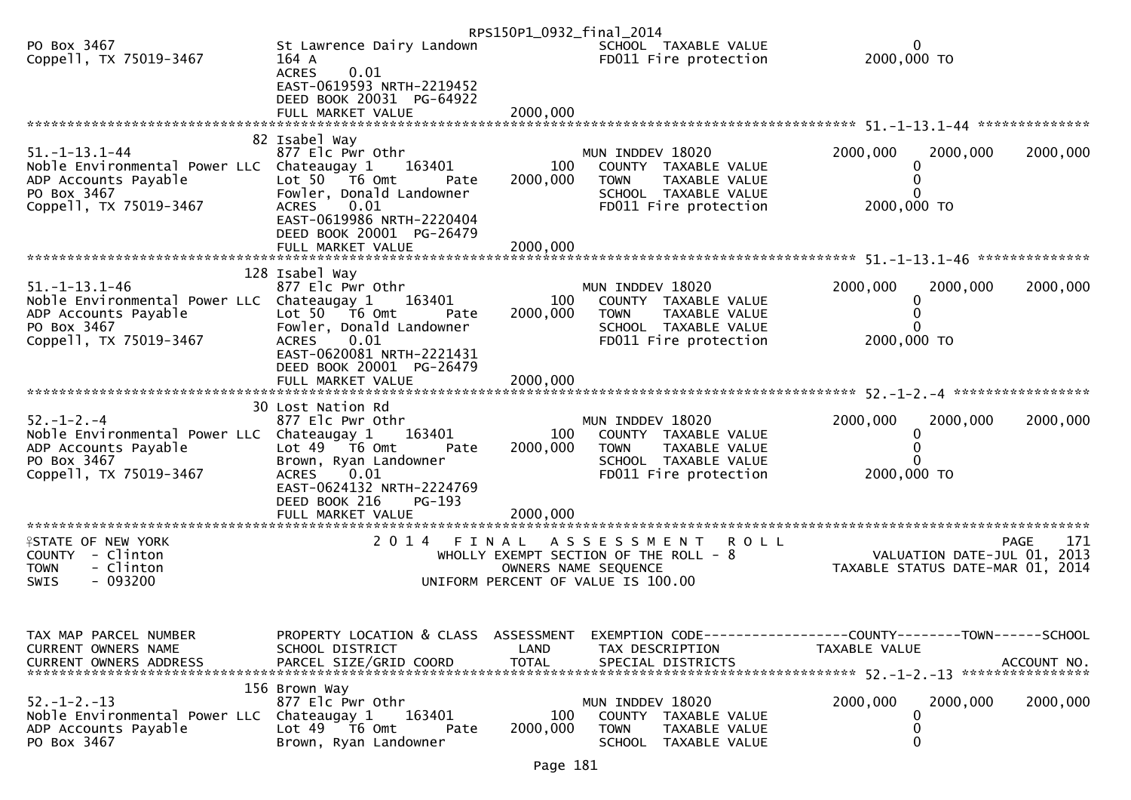|                                              |                                                         | RPS150P1_0932_final_2014 |                                                               |                                                                               |     |
|----------------------------------------------|---------------------------------------------------------|--------------------------|---------------------------------------------------------------|-------------------------------------------------------------------------------|-----|
| PO Box 3467<br>Coppell, TX 75019-3467        | St Lawrence Dairy Landown<br>164 A                      |                          | SCHOOL TAXABLE VALUE<br>FD011 Fire protection                 | 2000,000 TO                                                                   |     |
|                                              | 0.01<br><b>ACRES</b>                                    |                          |                                                               |                                                                               |     |
|                                              | EAST-0619593 NRTH-2219452                               |                          |                                                               |                                                                               |     |
|                                              | DEED BOOK 20031 PG-64922<br>FULL MARKET VALUE           | 2000,000                 |                                                               |                                                                               |     |
|                                              |                                                         |                          |                                                               |                                                                               |     |
| $51. - 1 - 13.1 - 44$                        | 82 Isabel Way<br>877 Elc Pwr Othr                       |                          | MUN INDDEV 18020                                              | 2000,000<br>2000,000<br>2000,000                                              |     |
| Noble Environmental Power LLC Chateaugay 1   | 163401                                                  | 100                      | COUNTY TAXABLE VALUE                                          |                                                                               |     |
| ADP Accounts Payable                         | Lot 50 T6 Omt<br>Pate                                   | 2000,000                 | <b>TOWN</b><br>TAXABLE VALUE                                  |                                                                               |     |
| PO Box 3467<br>Coppell, TX 75019-3467        | Fowler, Donald Landowner<br>0.01<br>ACRES               |                          | SCHOOL TAXABLE VALUE<br>FD011 Fire protection                 | 2000,000 TO                                                                   |     |
|                                              | EAST-0619986 NRTH-2220404                               |                          |                                                               |                                                                               |     |
|                                              | DEED BOOK 20001 PG-26479                                |                          |                                                               |                                                                               |     |
|                                              |                                                         |                          |                                                               |                                                                               |     |
| $51. - 1 - 13.1 - 46$                        | 128 Isabel Way<br>877 Elc Pwr Othr                      |                          | MUN INDDEV 18020                                              | 2000,000<br>2000,000<br>2000,000                                              |     |
| Noble Environmental Power LLC Chateaugay 1   | 163401                                                  | 100                      | COUNTY TAXABLE VALUE                                          | 0                                                                             |     |
| ADP Accounts Payable                         | Lot $50$ $\overline{76}$ Omt<br>Pate                    | 2000,000                 | TAXABLE VALUE<br><b>TOWN</b>                                  |                                                                               |     |
| PO Box 3467<br>Coppell, TX 75019-3467        | Fowler, Donald Landowner<br>0.01<br><b>ACRES</b>        |                          | SCHOOL TAXABLE VALUE<br>FD011 Fire protection                 | 2000,000 TO                                                                   |     |
|                                              | EAST-0620081 NRTH-2221431                               |                          |                                                               |                                                                               |     |
|                                              | DEED BOOK 20001 PG-26479<br>FULL MARKET VALUE           | 2000,000                 |                                                               |                                                                               |     |
|                                              |                                                         |                          |                                                               |                                                                               |     |
| $52. - 1 - 2. - 4$                           | 30 Lost Nation Rd<br>877 Elc Pwr Othr                   |                          | MUN INDDEV 18020                                              | 2000,000<br>2000,000<br>2000,000                                              |     |
| Noble Environmental Power LLC Chateaugay 1   | 163401                                                  | 100                      | COUNTY TAXABLE VALUE                                          | 0                                                                             |     |
| ADP Accounts Payable                         | Lot $49$ T6 Omt<br>Pate                                 | 2000,000                 | <b>TOWN</b><br>TAXABLE VALUE                                  |                                                                               |     |
| PO Box 3467<br>Coppell, TX 75019-3467        | Brown, Ryan Landowner<br>0.01<br>ACRES                  |                          | SCHOOL TAXABLE VALUE<br>FD011 Fire protection                 | 2000,000 TO                                                                   |     |
|                                              | EAST-0624132 NRTH-2224769                               |                          |                                                               |                                                                               |     |
|                                              | DEED BOOK 216<br>PG-193<br>FULL MARKET VALUE            | 2000,000                 |                                                               |                                                                               |     |
| **********************                       | **********************                                  |                          |                                                               |                                                                               |     |
| <b>ISTATE OF NEW YORK</b>                    | 2014                                                    | FINAL                    | ASSESSMENT ROLL                                               | <b>PAGE</b>                                                                   | 171 |
| COUNTY - Clinton<br>- Clinton<br><b>TOWN</b> |                                                         |                          | WHOLLY EXEMPT SECTION OF THE ROLL - 8<br>OWNERS NAME SEQUENCE | VALUATION DATE-JUL 01, 2013<br>TAXABLE STATUS DATE-MAR 01, 2014               |     |
| $-093200$<br><b>SWIS</b>                     |                                                         |                          | UNIFORM PERCENT OF VALUE IS 100.00                            |                                                                               |     |
|                                              |                                                         |                          |                                                               |                                                                               |     |
|                                              |                                                         |                          |                                                               |                                                                               |     |
| TAX MAP PARCEL NUMBER<br>CURRENT OWNERS NAME | PROPERTY LOCATION & CLASS ASSESSMENT<br>SCHOOL DISTRICT | LAND                     | TAX DESCRIPTION                                               | EXEMPTION CODE-----------------COUNTY-------TOWN------SCHOOL<br>TAXABLE VALUE |     |
| <b>CURRENT OWNERS ADDRESS</b>                | PARCEL SIZE/GRID COORD                                  | <b>TOTAL</b>             | SPECIAL DISTRICTS                                             | ACCOUNT NO.                                                                   |     |
|                                              |                                                         |                          |                                                               | ****************                                                              |     |
| $52. - 1 - 2. - 13$                          | 156 Brown Way<br>877 Elc Pwr Othr                       |                          | MUN INDDEV 18020                                              | 2000,000<br>2000,000<br>2000,000                                              |     |
| Noble Environmental Power LLC Chateaugay 1   | 163401                                                  | 100                      | COUNTY TAXABLE VALUE                                          | 0                                                                             |     |
| ADP Accounts Payable<br>PO Box 3467          | Lot 49  T6 Omt<br>Pate<br>Brown, Ryan Landowner         | 2000,000                 | <b>TOWN</b><br>TAXABLE VALUE<br>SCHOOL TAXABLE VALUE          | 0<br>0                                                                        |     |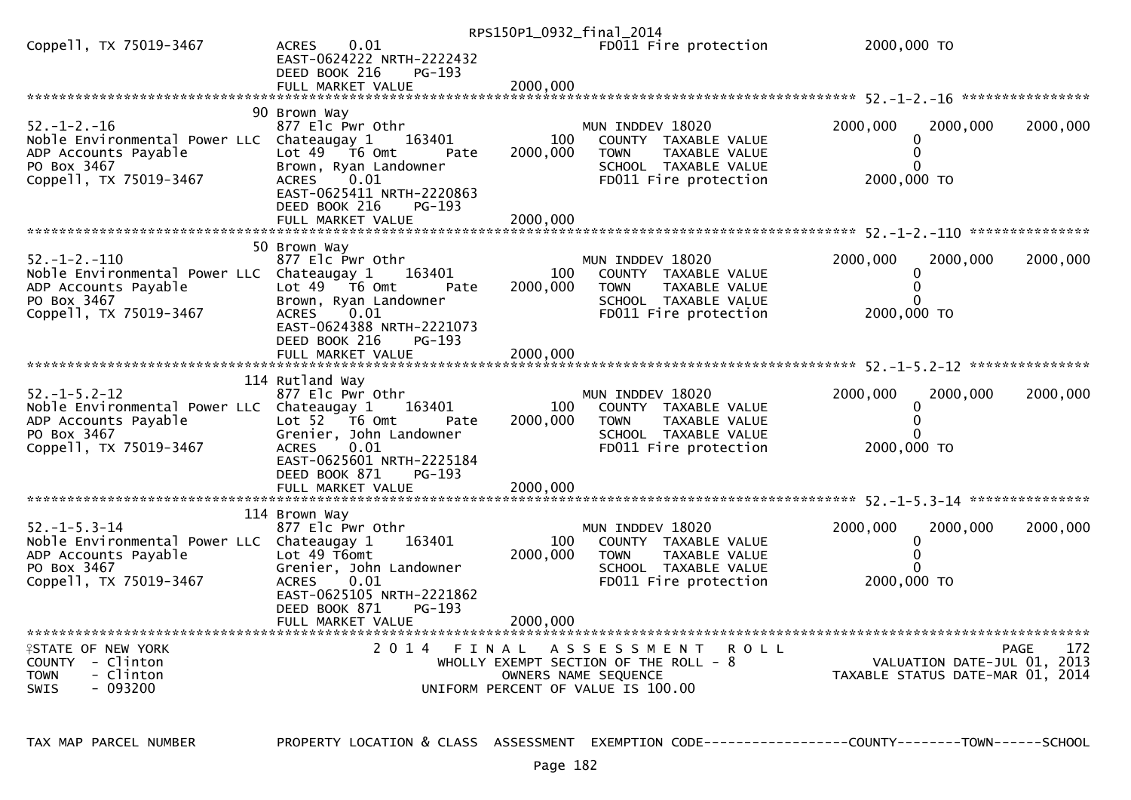|                                                                                                                                     |                                                                                                                                                                                               |                 | RPS150P1_0932_final_2014                                                                                                                   |                                                                 |             |
|-------------------------------------------------------------------------------------------------------------------------------------|-----------------------------------------------------------------------------------------------------------------------------------------------------------------------------------------------|-----------------|--------------------------------------------------------------------------------------------------------------------------------------------|-----------------------------------------------------------------|-------------|
| Coppell, TX 75019-3467                                                                                                              | 0.01<br><b>ACRES</b><br>EAST-0624222 NRTH-2222432<br>DEED BOOK 216<br>$PG-193$                                                                                                                |                 | FD011 Fire protection                                                                                                                      | 2000,000 TO                                                     |             |
|                                                                                                                                     |                                                                                                                                                                                               |                 |                                                                                                                                            |                                                                 |             |
| $52. - 1 - 2. - 16$<br>Noble Environmental Power LLC Chateaugay 1<br>ADP Accounts Payable<br>PO Box 3467<br>Coppell, TX 75019-3467  | 90 Brown Way<br>877 Elc Pwr Othr<br>163401<br>Lot $49$ $\overline{76}$ Omt<br>Pate<br>Brown, Ryan Landowner<br><b>ACRES</b><br>0.01<br>EAST-0625411 NRTH-2220863<br>DEED BOOK 216<br>$PG-193$ | 100<br>2000,000 | MUN INDDEV 18020<br>COUNTY TAXABLE VALUE<br><b>TOWN</b><br>TAXABLE VALUE<br>SCHOOL TAXABLE VALUE<br>FD011 Fire protection                  | 2000,000<br>2000.000<br>$\Omega$<br>2000,000 TO                 | 2000,000    |
|                                                                                                                                     |                                                                                                                                                                                               |                 |                                                                                                                                            |                                                                 |             |
| $52. - 1 - 2. - 110$<br>Noble Environmental Power LLC Chateaugay 1<br>ADP Accounts Payable<br>PO Box 3467<br>Coppell, TX 75019-3467 | 50 Brown Way<br>877 Elc Pwr Othr<br>163401<br>Lot $49$ $\overline{16}$ Omt<br>Pate<br>Brown, Ryan Landowner<br>0.01<br><b>ACRES</b><br>EAST-0624388 NRTH-2221073<br>DEED BOOK 216<br>PG-193   | 100<br>2000,000 | MUN INDDEV 18020<br>COUNTY TAXABLE VALUE<br><b>TOWN</b><br>TAXABLE VALUE<br>SCHOOL TAXABLE VALUE<br>FD011 Fire protection                  | 2000,000<br>2000,000<br>2000.000 TO                             | 2000,000    |
|                                                                                                                                     |                                                                                                                                                                                               |                 |                                                                                                                                            |                                                                 |             |
| $52. - 1 - 5.2 - 12$<br>Noble Environmental Power LLC Chateaugay 1<br>ADP Accounts Payable<br>PO Box 3467<br>Coppell, TX 75019-3467 | 114 Rutland Way<br>877 Elc Pwr Othr<br>163401<br>Lot 52  T6 0mt<br>Pate<br>Grenier, John Landowner<br>0.01<br><b>ACRES</b><br>EAST-0625601 NRTH-2225184<br>DEED BOOK 871<br>$PG-193$          | 100<br>2000,000 | MUN INDDEV 18020<br>COUNTY TAXABLE VALUE<br><b>TOWN</b><br>TAXABLE VALUE<br>SCHOOL TAXABLE VALUE<br>FD011 Fire protection                  | 2000,000<br>2000,000<br>0<br>0<br>2000,000 TO                   | 2000,000    |
|                                                                                                                                     | FULL MARKET VALUE                                                                                                                                                                             | 2000.000        |                                                                                                                                            |                                                                 |             |
| $52. - 1 - 5.3 - 14$<br>Noble Environmental Power LLC Chateaugay 1<br>ADP Accounts Payable<br>PO Box 3467<br>Coppell, TX 75019-3467 | 114 Brown Way<br>877 Elc Pwr Othr<br>163401<br>Lot 49 T6omt<br>Grenier, John Landowner<br>0.01<br><b>ACRES</b><br>EAST-0625105 NRTH-2221862<br>PG-193<br>DEED BOOK 871                        | 100<br>2000,000 | MUN INDDEV 18020<br>COUNTY TAXABLE VALUE<br><b>TAXABLE VALUE</b><br><b>TOWN</b><br>SCHOOL TAXABLE VALUE<br>FD011 Fire protection           | 2000.000<br>2000,000<br>0<br>2000,000 TO                        | 2000,000    |
| ************************                                                                                                            |                                                                                                                                                                                               |                 |                                                                                                                                            |                                                                 |             |
| <b>¥STATE OF NEW YORK</b><br>COUNTY - Clinton<br>- Clinton<br><b>TOWN</b><br>- 093200<br><b>SWIS</b>                                | 2014 FINAL                                                                                                                                                                                    |                 | A S S E S S M E N T<br><b>ROLL</b><br>WHOLLY EXEMPT SECTION OF THE ROLL $-8$<br>OWNERS NAME SEQUENCE<br>UNIFORM PERCENT OF VALUE IS 100.00 | VALUATION DATE-JUL 01, 2013<br>TAXABLE STATUS DATE-MAR 01, 2014 | 172<br>PAGE |

TAX MAP PARCEL NUMBER

PROPERTY LOCATION & CLASS ASSESSMENT EXEMPTION CODE----------------COUNTY-------TOWN------SCHOOL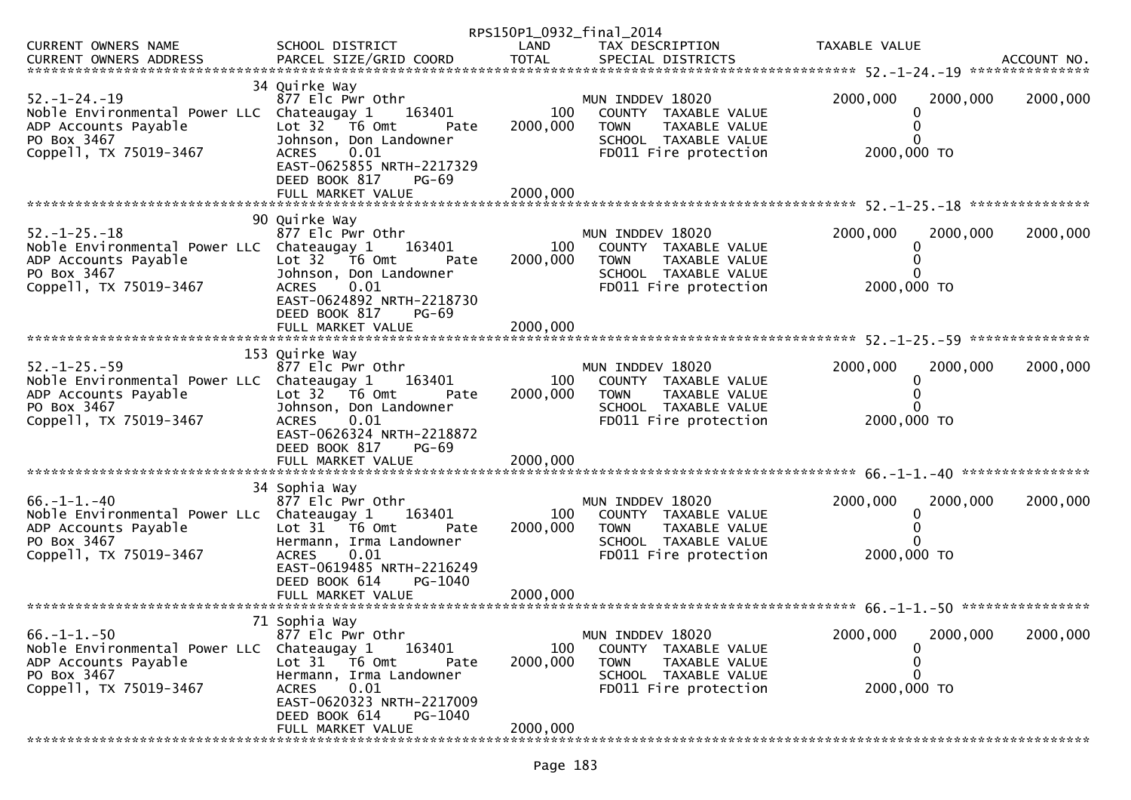|                                                                                                                                     |                                                                                                                                                                                                     |                 | RPS150P1_0932_final_2014                                                                                                  |                                                    |          |
|-------------------------------------------------------------------------------------------------------------------------------------|-----------------------------------------------------------------------------------------------------------------------------------------------------------------------------------------------------|-----------------|---------------------------------------------------------------------------------------------------------------------------|----------------------------------------------------|----------|
| CURRENT OWNERS NAME                                                                                                                 | SCHOOL DISTRICT                                                                                                                                                                                     | LAND            | TAX DESCRIPTION                                                                                                           | TAXABLE VALUE                                      |          |
|                                                                                                                                     |                                                                                                                                                                                                     |                 |                                                                                                                           |                                                    |          |
| $52. - 1 - 24. - 19$<br>Noble Environmental Power LLC Chateaugay 1<br>ADP Accounts Payable<br>PO Box 3467<br>Coppell, TX 75019-3467 | 34 Quirke Way<br>877 Elc Pwr Othr<br>163401<br>Lot 32 T6 Omt<br>Pate<br>Johnson, Don Landowner<br>0.01<br><b>ACRES</b><br>EAST-0625855 NRTH-2217329<br>DEED BOOK 817<br>$PG-69$                     | 100<br>2000,000 | MUN INDDEV 18020<br>COUNTY TAXABLE VALUE<br><b>TOWN</b><br>TAXABLE VALUE<br>SCHOOL TAXABLE VALUE<br>FD011 Fire protection | 2000,000<br>2000,000<br>0<br>0<br>0<br>2000,000 TO | 2000,000 |
|                                                                                                                                     | FULL MARKET VALUE                                                                                                                                                                                   | 2000,000        |                                                                                                                           |                                                    |          |
| $52. - 1 - 25. - 18$<br>Noble Environmental Power LLC Chateaugay 1<br>ADP Accounts Payable<br>PO Box 3467<br>Coppell, TX 75019-3467 | 90 Quirke Way<br>877 Elc Pwr Othr<br>163401<br>Lot $32$ $\overline{76}$ Omt<br>Pate<br>Johnson, Don Landowner<br>0.01<br><b>ACRES</b><br>EAST-0624892 NRTH-2218730<br>DEED BOOK 817<br><b>PG-69</b> | 100<br>2000,000 | MUN INDDEV 18020<br>COUNTY TAXABLE VALUE<br>TAXABLE VALUE<br><b>TOWN</b><br>SCHOOL TAXABLE VALUE<br>FD011 Fire protection | 2000,000<br>2000,000<br>0<br>0<br>2000,000 TO      | 2000,000 |
|                                                                                                                                     | FULL MARKET VALUE                                                                                                                                                                                   | 2000,000        |                                                                                                                           |                                                    |          |
|                                                                                                                                     |                                                                                                                                                                                                     |                 |                                                                                                                           |                                                    |          |
| $52. - 1 - 25. - 59$<br>Noble Environmental Power LLC Chateaugay 1<br>ADP Accounts Payable<br>PO Box 3467<br>Coppell, TX 75019-3467 | 153 Quirke Way<br>877 Elc Pwr Othr<br>163401<br>Lot 32 76 0mt<br>Pate<br>Johnson, Don Landowner<br>0.01<br><b>ACRES</b><br>EAST-0626324 NRTH-2218872<br>DEED BOOK 817<br>$PG-69$                    | 100<br>2000,000 | MUN INDDEV 18020<br>COUNTY TAXABLE VALUE<br>TAXABLE VALUE<br><b>TOWN</b><br>SCHOOL TAXABLE VALUE<br>FD011 Fire protection | 2000,000<br>2000,000<br>0<br>2000,000 TO           | 2000,000 |
|                                                                                                                                     | FULL MARKET VALUE                                                                                                                                                                                   | 2000,000        |                                                                                                                           |                                                    |          |
|                                                                                                                                     |                                                                                                                                                                                                     |                 |                                                                                                                           |                                                    |          |
| $66. - 1 - 1. - 40$<br>Noble Environmental Power LLc Chateaugay 1<br>ADP Accounts Payable<br>PO Box 3467<br>Coppell, TX 75019-3467  | 34 Sophia Way<br>877 Elc Pwr Othr<br>163401<br>Lot $31$ $\overline{16}$ Omt<br>Pate<br>Hermann, Irma Landowner<br>0.01<br><b>ACRES</b><br>EAST-0619485 NRTH-2216249<br>DEED BOOK 614<br>PG-1040     | 100<br>2000,000 | MUN INDDEV 18020<br>COUNTY TAXABLE VALUE<br>TAXABLE VALUE<br><b>TOWN</b><br>SCHOOL TAXABLE VALUE<br>FD011 Fire protection | 2000,000<br>2000,000<br>0<br>0<br>0<br>2000,000 TO | 2000,000 |
|                                                                                                                                     |                                                                                                                                                                                                     |                 |                                                                                                                           |                                                    |          |
|                                                                                                                                     |                                                                                                                                                                                                     |                 |                                                                                                                           |                                                    |          |
| $66. - 1 - 1. - 50$<br>Noble Environmental Power LLC Chateaugay 1<br>ADP Accounts Payable<br>PO Box 3467<br>Coppell, TX 75019-3467  | 71 Sophia Way<br>877 Elc Pwr Othr<br>163401<br>Lot 31 76 0mt<br>Pate<br>Hermann, Irma Landowner<br>0.01<br>ACRES<br>EAST-0620323 NRTH-2217009<br>DEED BOOK 614<br>PG-1040                           | 100<br>2000,000 | MUN INDDEV 18020<br>COUNTY TAXABLE VALUE<br><b>TOWN</b><br>TAXABLE VALUE<br>SCHOOL TAXABLE VALUE<br>FD011 Fire protection | 2000,000<br>2000,000<br>0<br>0<br>0<br>2000,000 TO | 2000,000 |
|                                                                                                                                     | FULL MARKET VALUE                                                                                                                                                                                   | 2000,000        |                                                                                                                           |                                                    |          |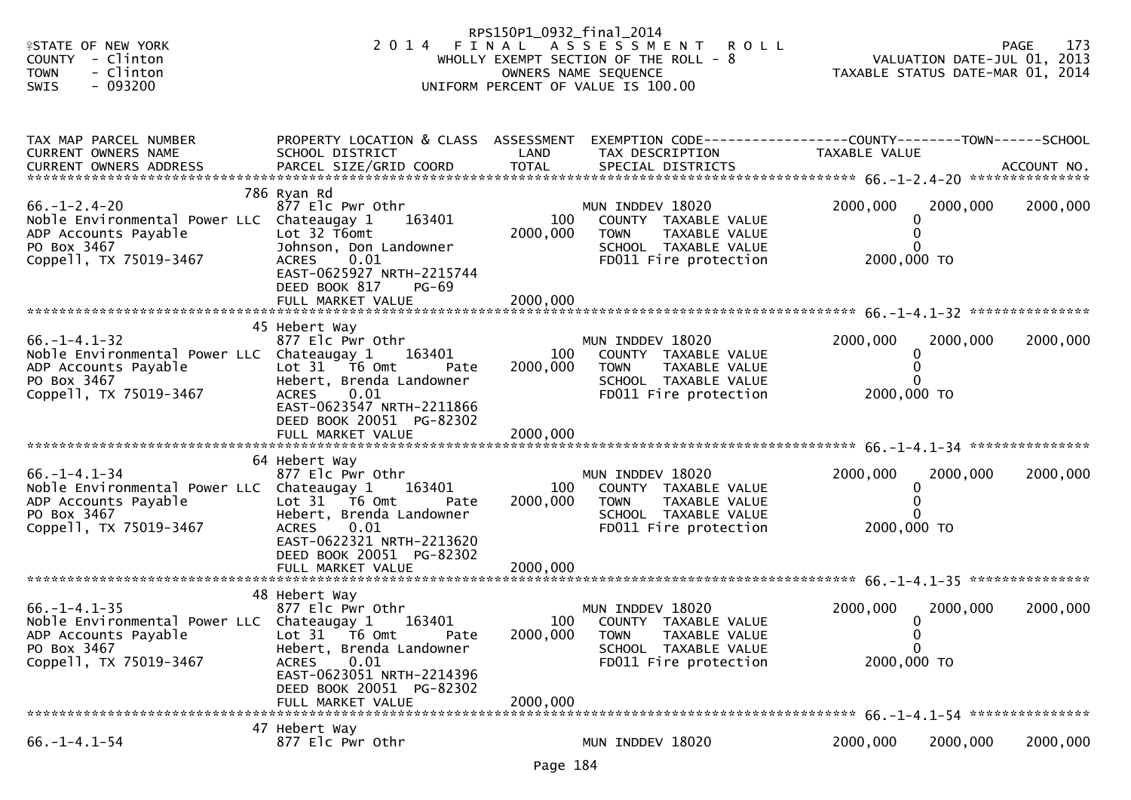| <b>ISTATE OF NEW YORK</b>                                                                                                                        |                                                                                                                                                                      | RPS150P1_0932_final_2014 | 2014 FINAL ASSESSMENT ROLL                                                                                                |                         |                                                                            | 173<br>PAGE |
|--------------------------------------------------------------------------------------------------------------------------------------------------|----------------------------------------------------------------------------------------------------------------------------------------------------------------------|--------------------------|---------------------------------------------------------------------------------------------------------------------------|-------------------------|----------------------------------------------------------------------------|-------------|
| <b>COUNTY</b><br>- Clinton<br>- Clinton<br><b>TOWN</b><br>$-093200$<br><b>SWIS</b>                                                               |                                                                                                                                                                      |                          | WHOLLY EXEMPT SECTION OF THE ROLL - 8<br>OWNERS NAME SEQUENCE<br>UNIFORM PERCENT OF VALUE IS 100.00                       |                         | 2 /1<br>2013 VALUATION DATE-JUL 01, 20<br>TAXABLE STATUS DATE-MAR 01, 2014 |             |
|                                                                                                                                                  |                                                                                                                                                                      |                          |                                                                                                                           |                         |                                                                            |             |
| TAX MAP PARCEL NUMBER<br>CURRENT OWNERS NAME                                                                                                     | PROPERTY LOCATION & CLASS ASSESSMENT<br>SCHOOL DISTRICT                                                                                                              | LAND                     | EXEMPTION CODE-----------------COUNTY-------TOWN------SCHOOL<br>TAX DESCRIPTION                                           | TAXABLE VALUE           |                                                                            |             |
|                                                                                                                                                  |                                                                                                                                                                      |                          |                                                                                                                           |                         |                                                                            |             |
| $66. - 1 - 2.4 - 20$<br>Noble Environmental Power LLC Chateaugay 1<br>ADP Accounts Payable<br>PO Box 3467<br>Coppell, TX 75019-3467              | 786 Ryan Rd<br>877 Elc Pwr Othr<br>163401<br>Lot 32 T6omt<br>Johnson, Don Landowner<br>0.01<br><b>ACRES</b><br>EAST-0625927 NRTH-2215744<br>DEED BOOK 817<br>$PG-69$ | 100<br>2000,000          | MUN INDDEV 18020<br>COUNTY TAXABLE VALUE<br>TAXABLE VALUE<br><b>TOWN</b><br>SCHOOL TAXABLE VALUE<br>FD011 Fire protection | 2000,000<br>2000,000 TO | 2000,000<br>0                                                              | 2000,000    |
|                                                                                                                                                  | FULL MARKET VALUE                                                                                                                                                    | 2000,000                 |                                                                                                                           |                         |                                                                            |             |
|                                                                                                                                                  | 45 Hebert Way                                                                                                                                                        |                          |                                                                                                                           |                         |                                                                            |             |
| $66. - 1 - 4.1 - 32$<br>Noble Environmental Power LLC Chateaugay 1<br>ADP Accounts Payable<br>PO Box 3467                                        | 877 Elc Pwr Othr<br>163401<br>Lot $31$ T6 Omt<br>Pate<br>Hebert, Brenda Landowner                                                                                    | 100<br>2000,000          | MUN INDDEV 18020<br>COUNTY TAXABLE VALUE<br>TAXABLE VALUE<br><b>TOWN</b><br>SCHOOL TAXABLE VALUE                          | 2000,000                | 2000,000<br>0<br>0                                                         | 2000,000    |
| Coppell, TX 75019-3467                                                                                                                           | 0.01<br><b>ACRES</b><br>EAST-0623547 NRTH-2211866<br>DEED BOOK 20051 PG-82302                                                                                        |                          | FD011 Fire protection                                                                                                     | 2000,000 TO             |                                                                            |             |
|                                                                                                                                                  | 64 Hebert Way                                                                                                                                                        |                          |                                                                                                                           |                         |                                                                            |             |
| $66. - 1 - 4.1 - 34$<br>Noble Environmental Power LLC Chateaugay 1<br>ADP Accounts Payable<br>PO Box 3467<br>Coppell, TX 75019-3467              | 877 Elc Pwr Othr<br>163401<br>Lot $31$ $\overline{76}$ Omt<br>Pate<br>Hebert, Brenda Landowner<br>0.01<br><b>ACRES</b><br>EAST-0622321 NRTH-2213620                  | 100<br>2000,000          | MUN INDDEV 18020<br>COUNTY TAXABLE VALUE<br>TAXABLE VALUE<br><b>TOWN</b><br>SCHOOL TAXABLE VALUE<br>FD011 Fire protection | 2000,000<br>2000,000 TO | 2000,000<br>0                                                              | 2000,000    |
|                                                                                                                                                  | DEED BOOK 20051 PG-82302<br>FULL MARKET VALUE                                                                                                                        | 2000,000                 |                                                                                                                           |                         |                                                                            |             |
|                                                                                                                                                  | 48 Hebert Way                                                                                                                                                        |                          |                                                                                                                           |                         |                                                                            |             |
| $66. -1 - 4.1 - 35$<br>Noble Environmental Power LLC Chateaugay 1<br>ADP Accounts Payable Lot 31 T6 Omt<br>PO Box 3467<br>Coppell, TX 75019-3467 | 877 Elc Pwr Othr<br>163401<br>Pate<br>Hebert, Brenda Landowner<br>0.01<br><b>ACRES</b>                                                                               | 100<br>2000,000          | MUN INDDEV 18020<br>COUNTY TAXABLE VALUE<br><b>TOWN</b><br>TAXABLE VALUE<br>SCHOOL TAXABLE VALUE<br>FD011 Fire protection | 2000,000<br>2000,000 TO | 2000,000<br>$\Omega$<br>0<br>$\Omega$                                      | 2000,000    |
|                                                                                                                                                  | EAST-0623051 NRTH-2214396<br>DEED BOOK 20051 PG-82302<br>FULL MARKET VALUE                                                                                           | 2000,000                 |                                                                                                                           |                         |                                                                            |             |
|                                                                                                                                                  | 47 Hebert Way                                                                                                                                                        |                          |                                                                                                                           |                         |                                                                            |             |
| $66. - 1 - 4.1 - 54$                                                                                                                             | 877 Elc Pwr Othr                                                                                                                                                     |                          | MUN INDDEV 18020                                                                                                          | 2000,000                | 2000,000                                                                   | 2000,000    |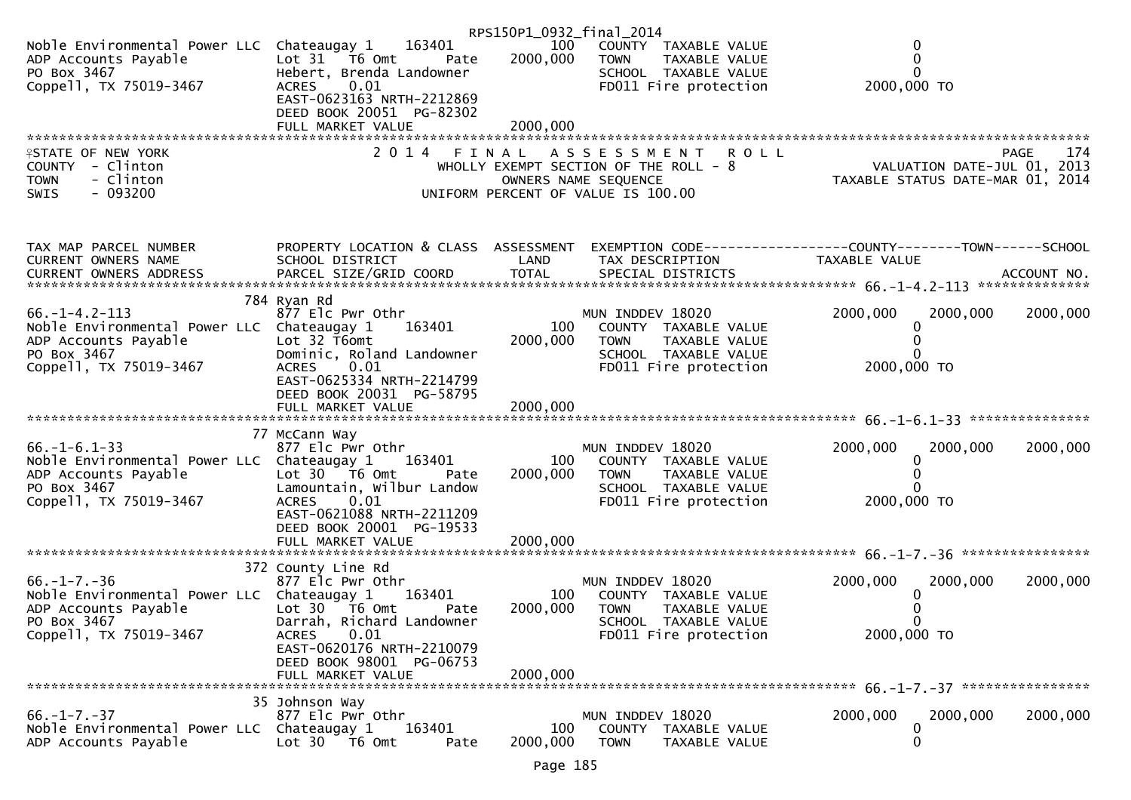|                                                                                                                                     |                                                                                                                                                                                    | RPS150P1_0932_final_2014 |                                                                                                                                     |                                                                                                                   |          |
|-------------------------------------------------------------------------------------------------------------------------------------|------------------------------------------------------------------------------------------------------------------------------------------------------------------------------------|--------------------------|-------------------------------------------------------------------------------------------------------------------------------------|-------------------------------------------------------------------------------------------------------------------|----------|
| Noble Environmental Power LLC Chateaugay 1<br>ADP Accounts Payable<br>PO Box 3467<br>Coppell, TX 75019-3467                         | 163401<br>Lot 31 76 0mt<br>Pate<br>Hebert, Brenda Landowner<br>0.01<br><b>ACRES</b><br>EAST-0623163 NRTH-2212869                                                                   | 100<br>2000,000          | COUNTY TAXABLE VALUE<br><b>TOWN</b><br>TAXABLE VALUE<br>SCHOOL TAXABLE VALUE<br>FD011 Fire protection                               | 0<br>$\mathbf{0}$<br>$\mathbf{0}$<br>2000,000 TO                                                                  |          |
|                                                                                                                                     | DEED BOOK 20051 PG-82302                                                                                                                                                           | 2000,000                 |                                                                                                                                     |                                                                                                                   |          |
|                                                                                                                                     | FULL MARKET VALUE                                                                                                                                                                  |                          |                                                                                                                                     |                                                                                                                   |          |
| <b>ISTATE OF NEW YORK</b><br>COUNTY - Clinton<br>- Clinton<br><b>TOWN</b><br>$-093200$<br><b>SWIS</b>                               | 2014 FINAL                                                                                                                                                                         |                          | A S S E S S M E N T R O L L<br>WHOLLY EXEMPT SECTION OF THE ROLL $-8$<br>OWNERS NAME SEQUENCE<br>UNIFORM PERCENT OF VALUE IS 100.00 | PAGE<br>rage 174<br>2013    VALUATION DATE-JUL 01, 2013<br>TAXABLE STATUS DATE-MAR 01, 2014                       | 174      |
| TAX MAP PARCEL NUMBER<br>CURRENT OWNERS NAME                                                                                        | SCHOOL DISTRICT                                                                                                                                                                    | LAND                     | TAX DESCRIPTION                                                                                                                     | PROPERTY LOCATION & CLASS ASSESSMENT EXEMPTION CODE----------------COUNTY-------TOWN------SCHOOL<br>TAXABLE VALUE |          |
|                                                                                                                                     |                                                                                                                                                                                    |                          |                                                                                                                                     |                                                                                                                   |          |
| $66. -1 - 4.2 - 113$<br>Noble Environmental Power LLC Chateaugay 1<br>ADP Accounts Payable<br>PO Box 3467<br>Coppell, TX 75019-3467 | 784 Ryan Rd<br>877 Elc Pwr Othr<br>163401<br>Lot 32 T6omt<br>Dominic, Roland Landowner<br>0.01<br>ACRES<br>EAST-0625334 NRTH-2214799<br>DEED BOOK 20031 PG-58795                   | 100<br>2000,000          | MUN INDDEV 18020<br>COUNTY TAXABLE VALUE<br><b>TOWN</b><br>TAXABLE VALUE<br>SCHOOL TAXABLE VALUE<br>FD011 Fire protection           | 2000,000<br>2000,000<br>0<br>0<br>2000,000 TO                                                                     | 2000,000 |
|                                                                                                                                     |                                                                                                                                                                                    |                          |                                                                                                                                     |                                                                                                                   |          |
| $66. - 1 - 6.1 - 33$<br>Noble Environmental Power LLC Chateaugay 1<br>ADP Accounts Payable<br>PO Box 3467<br>Coppell, TX 75019-3467 | 77 McCann Way<br>877 Elc Pwr Othr<br>163401<br>Lot 30 T6 Omt<br>Pate<br>Lamountain, Wilbur Landow<br><b>ACRES</b><br>0.01<br>EAST-0621088 NRTH-2211209<br>DEED BOOK 20001 PG-19533 | 100<br>2000,000          | MUN INDDEV 18020<br>COUNTY TAXABLE VALUE<br><b>TOWN</b><br>TAXABLE VALUE<br>SCHOOL TAXABLE VALUE<br>FD011 Fire protection           | 2000,000<br>2000,000<br>0<br>0<br>0<br>2000,000 TO                                                                | 2000,000 |
|                                                                                                                                     | FULL MARKET VALUE                                                                                                                                                                  | 2000,000                 |                                                                                                                                     |                                                                                                                   |          |
|                                                                                                                                     | 372 County Line Rd                                                                                                                                                                 |                          |                                                                                                                                     |                                                                                                                   |          |
| $66. - 1 - 7. - 36$<br>Noble Environmental Power LLC Chateaugay 1<br>ADP Accounts Payable<br>PO Box 3467<br>Coppell, TX 75019-3467  | 877 Elc Pwr Othr<br>163401<br>Lot 30 T6 Omt<br>Pate<br>Darrah, Richard Landowner<br>0.01<br>ACRES                                                                                  | 100<br>2000,000          | MUN INDDEV 18020<br>COUNTY TAXABLE VALUE<br><b>TOWN</b><br>TAXABLE VALUE<br>SCHOOL TAXABLE VALUE<br>FD011 Fire protection           | 2000,000<br>2000,000<br>0<br>2000,000 TO                                                                          | 2000,000 |
|                                                                                                                                     | EAST-0620176 NRTH-2210079<br>DEED BOOK 98001 PG-06753<br>FULL MARKET VALUE                                                                                                         | 2000,000                 |                                                                                                                                     |                                                                                                                   |          |
|                                                                                                                                     | 35 Johnson Way                                                                                                                                                                     |                          |                                                                                                                                     |                                                                                                                   |          |
| $66. - 1 - 7. - 37$<br>Noble Environmental Power LLC<br>ADP Accounts Payable                                                        | 877 Elc Pwr Othr<br>Chateaugay 1<br>163401<br>Lot 30 T6 Omt<br>Pate                                                                                                                | 100<br>2000,000          | MUN INDDEV 18020<br>COUNTY TAXABLE VALUE<br><b>TOWN</b><br>TAXABLE VALUE                                                            | 2000,000<br>2000,000<br>0<br>0                                                                                    | 2000,000 |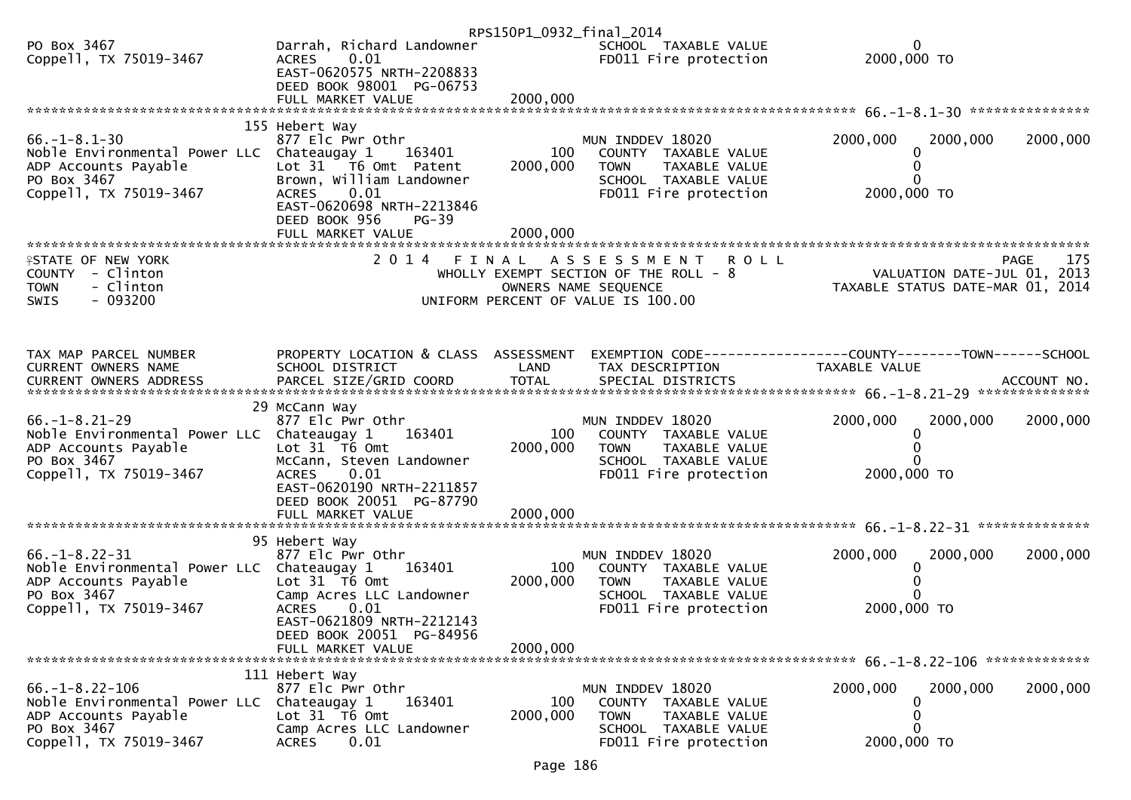|                                                                                                                                      |                                                                                                                                                                                                             | RPS150P1_0932_final_2014    |                                                                                                                                           |                                                                 |                    |
|--------------------------------------------------------------------------------------------------------------------------------------|-------------------------------------------------------------------------------------------------------------------------------------------------------------------------------------------------------------|-----------------------------|-------------------------------------------------------------------------------------------------------------------------------------------|-----------------------------------------------------------------|--------------------|
| PO Box 3467<br>Coppell, TX 75019-3467                                                                                                | Darrah, Richard Landowner<br>0.01<br><b>ACRES</b><br>EAST-0620575 NRTH-2208833<br>DEED BOOK 98001 PG-06753                                                                                                  |                             | SCHOOL TAXABLE VALUE<br>FD011 Fire protection                                                                                             | 0<br>2000,000 TO                                                |                    |
|                                                                                                                                      |                                                                                                                                                                                                             |                             |                                                                                                                                           |                                                                 |                    |
| $66. - 1 - 8.1 - 30$<br>Noble Environmental Power LLC Chateaugay 1<br>ADP Accounts Payable<br>PO Box 3467<br>Coppell, TX 75019-3467  | 155 Hebert Way<br>877 Elc Pwr Othr<br>163401<br>Lot 31 T6 Omt Patent<br>Brown, William Landowner<br><b>ACRES</b><br>0.01<br>EAST-0620698 NRTH-2213846<br>DEED BOOK 956<br><b>PG-39</b><br>FULL MARKET VALUE | 100<br>2000,000<br>2000,000 | MUN INDDEV 18020<br>COUNTY TAXABLE VALUE<br><b>TOWN</b><br>TAXABLE VALUE<br>SCHOOL TAXABLE VALUE<br>FD011 Fire protection                 | 2000,000<br>2000,000<br>2000,000 TO                             | 2000,000           |
| <b>ISTATE OF NEW YORK</b><br>COUNTY - Clinton<br>- Clinton<br><b>TOWN</b><br>$-093200$<br>SWIS                                       | 2 0 1 4                                                                                                                                                                                                     | FINAL                       | A S S E S S M E N T<br><b>ROLL</b><br>WHOLLY EXEMPT SECTION OF THE ROLL - 8<br>OWNERS NAME SEQUENCE<br>UNIFORM PERCENT OF VALUE IS 100.00 | VALUATION DATE-JUL 01, 2013<br>TAXABLE STATUS DATE-MAR 01, 2014 | 175<br><b>PAGE</b> |
| TAX MAP PARCEL NUMBER<br>CURRENT OWNERS NAME<br>CURRENT OWNERS ADDRESS                                                               | PROPERTY LOCATION & CLASS ASSESSMENT<br>SCHOOL DISTRICT                                                                                                                                                     | LAND                        | TAX DESCRIPTION                                                                                                                           | TAXABLE VALUE                                                   |                    |
| $66. - 1 - 8.21 - 29$<br>Noble Environmental Power LLC Chateaugay 1<br>ADP Accounts Payable<br>PO Box 3467<br>Coppell, TX 75019-3467 | 29 McCann Way<br>877 Elc Pwr Othr<br>163401<br>Lot 31 76 0mt<br>McCann, Steven Landowner<br>ACRES 0.01<br>EAST-0620190 NRTH-2211857<br>DEED BOOK 20051 PG-87790<br>FULL MARKET VALUE                        | 100<br>2000,000<br>2000,000 | MUN INDDEV 18020<br>COUNTY TAXABLE VALUE<br>TAXABLE VALUE<br><b>TOWN</b><br>SCHOOL TAXABLE VALUE<br>FD011 Fire protection                 | 2000,000<br>2000,000<br>0<br>2000,000 TO                        | 2000,000           |
| $66. -1 - 8.22 - 31$<br>Noble Environmental Power LLC Chateaugay 1<br>ADP Accounts Payable<br>PO Box 3467<br>Coppell, TX 75019-3467  | 95 Hebert Way<br>877 Elc Pwr Othr<br>163401<br>Lot 31 T6 Omt<br>Camp Acres LLC Landowner<br><b>ACRES</b><br>0.01<br>EAST-0621809 NRTH-2212143<br>DEED BOOK 20051 PG-84956<br>FULL MARKET VALUE              | 100<br>2000,000<br>2000.000 | MUN INDDEV 18020<br>COUNTY TAXABLE VALUE<br><b>TOWN</b><br>TAXABLE VALUE<br>SCHOOL TAXABLE VALUE<br>FD011 Fire protection                 | 2000,000<br>2000,000<br>2000,000 TO                             | 2000,000           |
| $66. - 1 - 8.22 - 106$<br>Noble Environmental Power LLC<br>ADP Accounts Payable<br>PO Box 3467<br>Coppell, TX 75019-3467             | 111 Hebert Way<br>877 Elc Pwr Othr<br>163401<br>Chateaugay 1<br>Lot 31 T6 Omt<br>Camp Acres LLC Landowner<br>0.01<br><b>ACRES</b>                                                                           | 100<br>2000,000             | MUN INDDEV 18020<br>COUNTY TAXABLE VALUE<br><b>TOWN</b><br>TAXABLE VALUE<br>SCHOOL TAXABLE VALUE<br>FD011 Fire protection                 | 2000,000<br>2000,000<br>0<br>2000,000 TO                        | 2000,000           |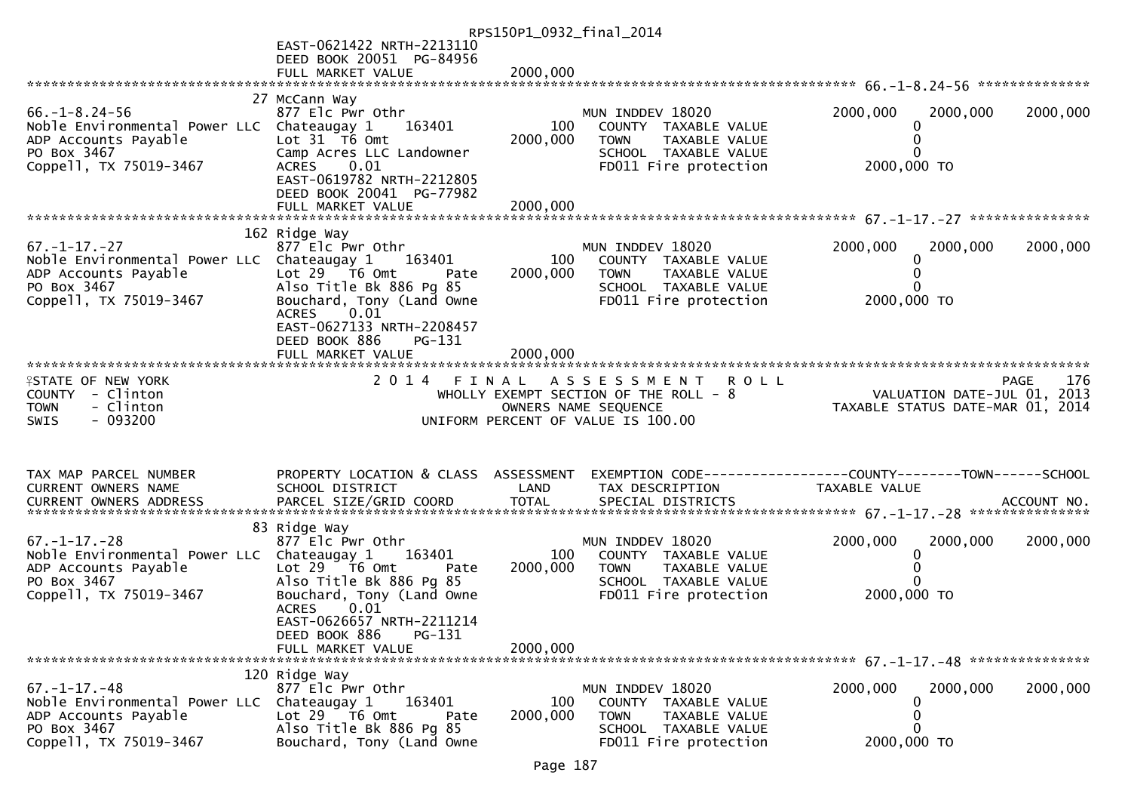|                                                                                                                                     |                                                                                                                                                                                                                            | RPS150P1_0932_final_2014    |                                                                                                                                   |                                                                                 |             |
|-------------------------------------------------------------------------------------------------------------------------------------|----------------------------------------------------------------------------------------------------------------------------------------------------------------------------------------------------------------------------|-----------------------------|-----------------------------------------------------------------------------------------------------------------------------------|---------------------------------------------------------------------------------|-------------|
|                                                                                                                                     | EAST-0621422 NRTH-2213110<br>DEED BOOK 20051 PG-84956                                                                                                                                                                      |                             |                                                                                                                                   |                                                                                 |             |
|                                                                                                                                     | FULL MARKET VALUE                                                                                                                                                                                                          | 2000,000                    |                                                                                                                                   |                                                                                 |             |
| $66. -1 - 8.24 - 56$<br>Noble Environmental Power LLC Chateaugay 1<br>ADP Accounts Payable<br>PO Box 3467<br>Coppell, TX 75019-3467 | 27 McCann Way<br>877 Elc Pwr Othr<br>163401<br>Lot $31$ T6 Omt<br>Camp Acres LLC Landowner<br>ACRES 0.01<br>EAST-0619782 NRTH-2212805<br>DEED BOOK 20041 PG-77982                                                          | 100<br>2000,000             | MUN INDDEV 18020<br>COUNTY TAXABLE VALUE<br>TAXABLE VALUE<br><b>TOWN</b><br>SCHOOL TAXABLE VALUE<br>FD011 Fire protection         | 2000,000<br>2000,000<br>0<br>0<br>0<br>2000,000 TO                              | 2000,000    |
|                                                                                                                                     | FULL MARKET VALUE                                                                                                                                                                                                          | 2000,000                    |                                                                                                                                   |                                                                                 |             |
| $67. - 1 - 17. - 27$<br>Noble Environmental Power LLC Chateaugay 1<br>ADP Accounts Payable<br>PO Box 3467<br>Coppell, TX 75019-3467 | 162 Ridge Way<br>877 Elc Pwr Othr<br>163401<br>Lot 29 T6 Omt<br>Pate<br>Also Title Bk 886 Pg 85<br>Bouchard, Tony (Land Owne<br>0.01<br><b>ACRES</b><br>EAST-0627133 NRTH-2208457<br>DEED BOOK 886<br>$PG-131$             | 100<br>2000,000             | MUN INDDEV 18020<br>COUNTY TAXABLE VALUE<br><b>TOWN</b><br>TAXABLE VALUE<br>SCHOOL TAXABLE VALUE<br>FD011 Fire protection         | 2000,000<br>2000,000<br>0<br>0<br>0<br>2000,000 TO                              | 2000,000    |
|                                                                                                                                     |                                                                                                                                                                                                                            |                             |                                                                                                                                   |                                                                                 |             |
| <b>ISTATE OF NEW YORK</b><br>COUNTY - Clinton<br>- Clinton<br><b>TOWN</b><br>$-093200$<br>SWIS                                      |                                                                                                                                                                                                                            |                             | 2014 FINAL ASSESSMENT ROLL<br>WHOLLY EXEMPT SECTION OF THE ROLL - 8<br>OWNERS NAME SEQUENCE<br>UNIFORM PERCENT OF VALUE IS 100.00 | VALUATION DATE-JUL 01, 2013<br>TAXABLE STATUS DATE-MAR 01, 2014                 | 176<br>PAGE |
| TAX MAP PARCEL NUMBER<br>CURRENT OWNERS NAME                                                                                        | PROPERTY LOCATION & CLASS ASSESSMENT<br>SCHOOL DISTRICT                                                                                                                                                                    | LAND                        | TAX DESCRIPTION                                                                                                                   | EXEMPTION CODE------------------COUNTY--------TOWN------SCHOOL<br>TAXABLE VALUE |             |
| $67. - 1 - 17. - 28$<br>Noble Environmental Power LLC Chateaugay 1<br>ADP Accounts Payable<br>PO Box 3467<br>Coppell, TX 75019-3467 | 83 Ridge Way<br>877 Elc Pwr Othr<br>163401<br>Lot $29$ $\overline{76}$ Omt<br>Pate<br>Also Title Bk 886 Pg 85<br>Bouchard, Tony (Land Owne<br><b>ACRES</b><br>0.01<br>EAST-0626657 NRTH-2211214<br>PG-131<br>DEED BOOK 886 | 100<br>2000,000<br>2000,000 | MUN INDDEV 18020<br>COUNTY TAXABLE VALUE<br>TAXABLE VALUE<br><b>TOWN</b><br>SCHOOL TAXABLE VALUE<br>FD011 Fire protection         | 2000,000<br>2000,000<br>0<br>0<br>0<br>2000,000 TO                              | 2000,000    |
|                                                                                                                                     | FULL MARKET VALUE                                                                                                                                                                                                          |                             |                                                                                                                                   |                                                                                 |             |
| $67. - 1 - 17. - 48$<br>Noble Environmental Power LLC<br>ADP Accounts Payable<br>PO Box 3467<br>Coppell, TX 75019-3467              | 120 Ridge Way<br>877 Elc Pwr Othr<br>Chateaugay 1<br>163401<br>Lot 29 T6 Omt<br>Pate<br>Also Title Bk 886 Pg 85<br>Bouchard, Tony (Land Owne                                                                               | 100<br>2000,000             | MUN INDDEV 18020<br>COUNTY TAXABLE VALUE<br><b>TOWN</b><br>TAXABLE VALUE<br>SCHOOL TAXABLE VALUE<br>FD011 Fire protection         | 2000,000<br>2000,000<br>0<br>0<br>0<br>2000,000 TO                              | 2000,000    |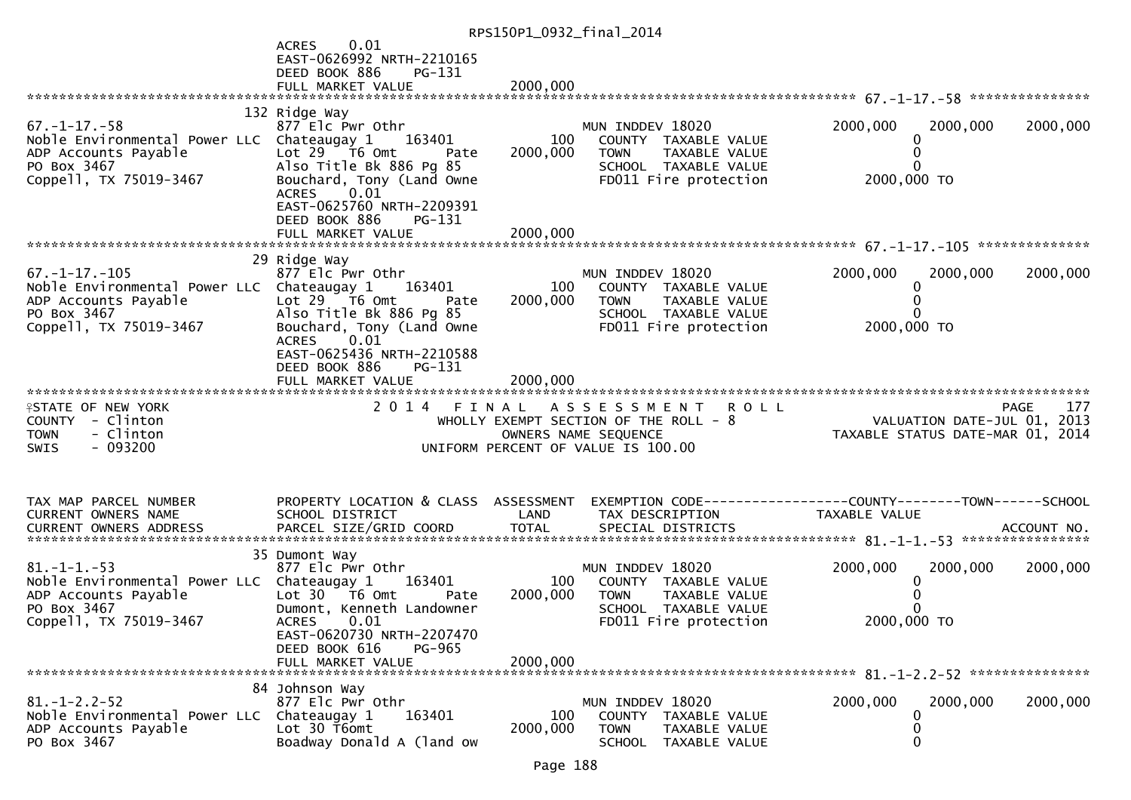|                                                                    |                                                                 | RPS150P1_0932_final_2014 |                                                                |                                                              |             |
|--------------------------------------------------------------------|-----------------------------------------------------------------|--------------------------|----------------------------------------------------------------|--------------------------------------------------------------|-------------|
|                                                                    | 0.01<br><b>ACRES</b>                                            |                          |                                                                |                                                              |             |
|                                                                    | EAST-0626992 NRTH-2210165                                       |                          |                                                                |                                                              |             |
|                                                                    | DEED BOOK 886<br>PG-131                                         |                          |                                                                |                                                              |             |
|                                                                    |                                                                 |                          |                                                                |                                                              |             |
|                                                                    | 132 Ridge Way                                                   |                          |                                                                |                                                              |             |
| $67. - 1 - 17. - 58$                                               | 877 Elc Pwr Othr                                                |                          | MUN INDDEV 18020                                               | 2000,000<br>2000,000                                         | 2000,000    |
| Noble Environmental Power LLC Chateaugay 1                         | 163401                                                          | 100                      | COUNTY TAXABLE VALUE                                           | 0                                                            |             |
| ADP Accounts Payable<br>PO Box 3467                                | Lot $29$ $\overline{16}$ Omt<br>Pate<br>Also Title Bk 886 Pg 85 | 2000,000                 | TOWN<br>TAXABLE VALUE<br>SCHOOL TAXABLE VALUE                  | 0<br>$\Omega$                                                |             |
| Coppell, TX 75019-3467                                             | Bouchard, Tony (Land Owne                                       |                          | FD011 Fire protection                                          | 2000,000 TO                                                  |             |
|                                                                    | $\left[0.01\right]$<br><b>ACRES</b>                             |                          |                                                                |                                                              |             |
|                                                                    | EAST-0625760 NRTH-2209391                                       |                          |                                                                |                                                              |             |
|                                                                    | DEED BOOK 886<br>PG-131                                         |                          |                                                                |                                                              |             |
|                                                                    |                                                                 |                          |                                                                |                                                              |             |
|                                                                    | 29 Ridge Way                                                    |                          |                                                                |                                                              |             |
| $67. - 1 - 17. - 105$                                              | 877 Elc Pwr Othr                                                |                          | MUN INDDEV 18020                                               | 2000,000<br>2000,000                                         | 2000,000    |
| Noble Environmental Power LLC Chateaugay 1                         | 163401                                                          | 100                      | COUNTY TAXABLE VALUE                                           | 0                                                            |             |
| ADP Accounts Payable<br>PO Box 3467                                | Lot $29$ $\overline{76}$ Omt<br>Pate                            | 2000,000                 | TAXABLE VALUE<br>TOWN                                          | 0                                                            |             |
| Coppell, TX 75019-3467                                             | Also Title Bk 886 Pg 85<br>Bouchard, Tony (Land Owne            |                          | SCHOOL TAXABLE VALUE<br>FD011 Fire protection                  | 2000,000 TO                                                  |             |
|                                                                    | 0.01<br><b>ACRES</b>                                            |                          |                                                                |                                                              |             |
|                                                                    | EAST-0625436 NRTH-2210588                                       |                          |                                                                |                                                              |             |
|                                                                    | DEED BOOK 886<br>PG-131                                         |                          |                                                                |                                                              |             |
|                                                                    | FULL MARKET VALUE                                               | 2000,000                 |                                                                |                                                              |             |
| <b>ISTATE OF NEW YORK</b>                                          | 2 0 1 4                                                         | FINAL                    | <b>ROLL</b><br>A S S E S S M E N T                             |                                                              | 177<br>PAGE |
| COUNTY - Clinton                                                   |                                                                 |                          | WHOLLY EXEMPT SECTION OF THE ROLL - 8                          | VALUATION DATE-JUL 01, 2013                                  |             |
| - Clinton<br><b>TOWN</b>                                           |                                                                 |                          | OWNERS NAME SEQUENCE                                           | TAXABLE STATUS DATE-MAR 01, 2014                             |             |
| - 093200<br>SWIS                                                   |                                                                 |                          | UNIFORM PERCENT OF VALUE IS 100.00                             |                                                              |             |
|                                                                    |                                                                 |                          |                                                                |                                                              |             |
|                                                                    |                                                                 |                          |                                                                |                                                              |             |
| TAX MAP PARCEL NUMBER                                              | PROPERTY LOCATION & CLASS ASSESSMENT                            |                          |                                                                | EXEMPTION CODE-----------------COUNTY-------TOWN------SCHOOL |             |
| CURRENT OWNERS NAME<br>CURRENT OWNERS ADDRESS                      | SCHOOL DISTRICT                                                 | LAND                     | TAX DESCRIPTION                                                | TAXABLE VALUE                                                |             |
|                                                                    |                                                                 |                          |                                                                |                                                              |             |
|                                                                    | 35 Dumont Way                                                   |                          |                                                                |                                                              |             |
| $81. - 1 - 1. - 53$                                                | 877 Elc Pwr Othr                                                |                          | MUN INDDEV 18020                                               | 2000,000<br>2000,000                                         | 2000,000    |
| Noble Environmental Power LLC Chateaugay 1<br>ADP Accounts Payable | 163401<br>Lot 30 T6 Omt<br>Pate                                 | 100<br>2000,000          | COUNTY TAXABLE VALUE<br><b>TOWN</b><br>TAXABLE VALUE           | 0<br>0                                                       |             |
| PO Box 3467                                                        | Dumont, Kenneth Landowner                                       |                          | SCHOOL TAXABLE VALUE                                           | $\Omega$                                                     |             |
| Coppell, TX 75019-3467                                             | <b>ACRES</b><br>0.01                                            |                          | FD011 Fire protection                                          | 2000,000 TO                                                  |             |
|                                                                    | EAST-0620730 NRTH-2207470                                       |                          |                                                                |                                                              |             |
|                                                                    | DEED BOOK 616<br><b>PG-965</b>                                  |                          |                                                                |                                                              |             |
|                                                                    | FULL MARKET VALUE                                               | 2000,000                 |                                                                |                                                              |             |
|                                                                    | 84 Johnson Way                                                  |                          |                                                                |                                                              |             |
| $81. - 1 - 2.2 - 52$                                               | 877 Elc Pwr Othr                                                |                          | MUN INDDEV 18020                                               | 2000,000<br>2000,000                                         | 2000,000    |
| Noble Environmental Power LLC                                      | 163401<br>Chateaugay 1                                          | 100                      | COUNTY TAXABLE VALUE                                           | 0                                                            |             |
| ADP Accounts Payable<br>PO Box 3467                                | Lot 30 T6omt<br>Boadway Donald A (land ow                       | 2000,000                 | <b>TOWN</b><br>TAXABLE VALUE<br><b>SCHOOL</b><br>TAXABLE VALUE | 0<br>0                                                       |             |
|                                                                    |                                                                 |                          |                                                                |                                                              |             |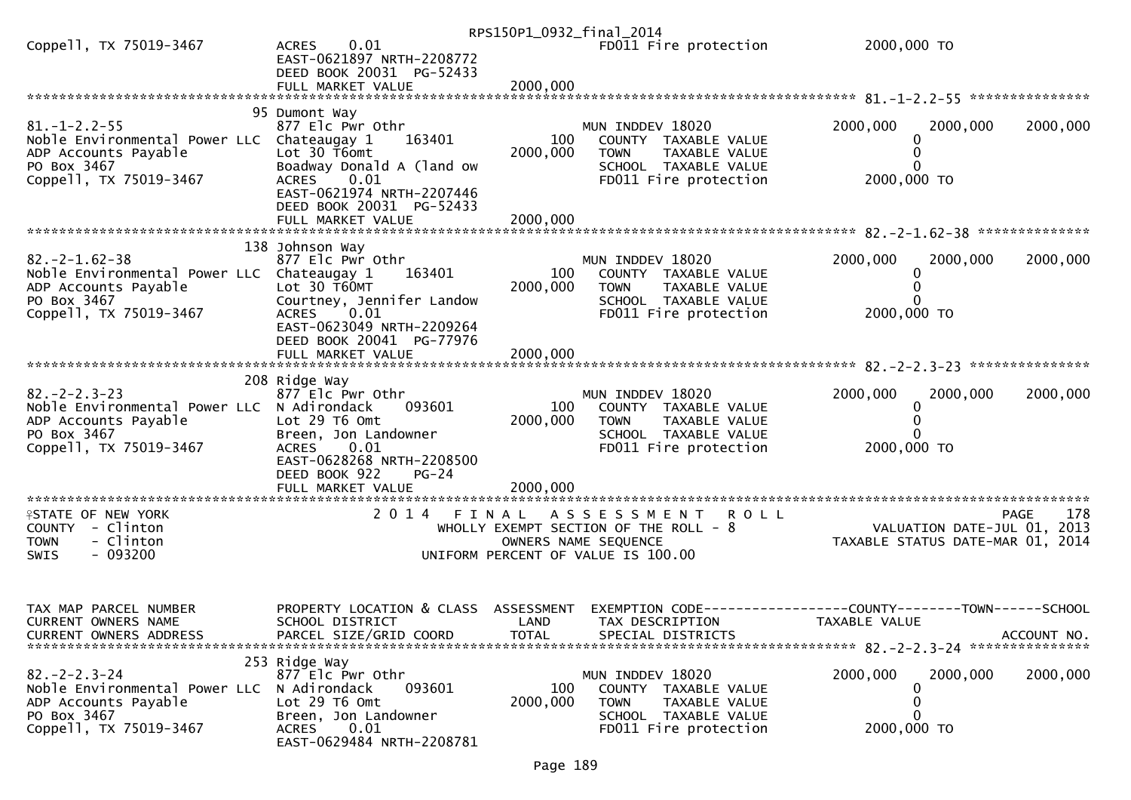|                                                                                                                                      |                                                                                                                                                                                     |                             | RPS150P1_0932_final_2014                                                                                                                  |                                          |                                            |
|--------------------------------------------------------------------------------------------------------------------------------------|-------------------------------------------------------------------------------------------------------------------------------------------------------------------------------------|-----------------------------|-------------------------------------------------------------------------------------------------------------------------------------------|------------------------------------------|--------------------------------------------|
| Coppell, TX 75019-3467                                                                                                               | 0.01<br><b>ACRES</b><br>EAST-0621897 NRTH-2208772<br>DEED BOOK 20031 PG-52433                                                                                                       |                             | FD011 Fire protection                                                                                                                     | 2000,000 TO                              |                                            |
|                                                                                                                                      |                                                                                                                                                                                     |                             |                                                                                                                                           |                                          |                                            |
|                                                                                                                                      |                                                                                                                                                                                     |                             |                                                                                                                                           |                                          |                                            |
| $81. - 1 - 2.2 - 55$<br>Noble Environmental Power LLC Chateaugay 1<br>ADP Accounts Payable<br>PO Box 3467<br>Coppell, TX 75019-3467  | 95 Dumont Way<br>877 Elc Pwr Othr<br>163401<br>Lot 30 T6omt<br>Boadway Donald A (land ow<br>0.01<br><b>ACRES</b><br>EAST-0621974 NRTH-2207446                                       | 100<br>2000,000             | MUN INDDEV 18020<br>COUNTY TAXABLE VALUE<br><b>TOWN</b><br>TAXABLE VALUE<br>SCHOOL TAXABLE VALUE<br>FD011 Fire protection                 | 2000,000<br>2000,000<br>0<br>2000,000 TO | 2000,000                                   |
|                                                                                                                                      | DEED BOOK 20031 PG-52433<br>FULL MARKET VALUE                                                                                                                                       | 2000,000                    |                                                                                                                                           |                                          |                                            |
| $82 - 2 - 1.62 - 38$<br>Noble Environmental Power LLC Chateaugay 1<br>ADP Accounts Payable<br>PO Box 3467<br>Coppell, TX 75019-3467  | 138 Johnson Way<br>877 Elc Pwr Othr<br>163401<br>Lot 30 T60MT<br>Courtney, Jennifer Landow<br>0.01<br><b>ACRES</b><br>EAST-0623049 NRTH-2209264<br>DEED BOOK 20041 PG-77976         | 100<br>2000,000             | MUN INDDEV 18020<br>COUNTY TAXABLE VALUE<br>TAXABLE VALUE<br><b>TOWN</b><br>SCHOOL TAXABLE VALUE<br>FD011 Fire protection                 | 2000,000<br>2000,000<br>2000,000 TO      | 2000,000                                   |
|                                                                                                                                      | FULL MARKET VALUE                                                                                                                                                                   | 2000,000                    |                                                                                                                                           |                                          |                                            |
|                                                                                                                                      |                                                                                                                                                                                     |                             |                                                                                                                                           |                                          |                                            |
| $82 - 2 - 2 - 3 - 23$<br>Noble Environmental Power LLC N Adirondack<br>ADP Accounts Payable<br>PO Box 3467<br>Coppell, TX 75019-3467 | 208 Ridge Way<br>877 Elc Pwr Othr<br>093601<br>Lot 29 T6 Omt<br>Breen, Jon Landowner<br>0.01<br>ACRES<br>EAST-0628268 NRTH-2208500<br>DEED BOOK 922<br>$PG-24$<br>FULL MARKET VALUE | 100<br>2000,000<br>2000,000 | MUN INDDEV 18020<br>COUNTY TAXABLE VALUE<br><b>TOWN</b><br>TAXABLE VALUE<br>SCHOOL TAXABLE VALUE<br>FD011 Fire protection                 | 2000,000<br>2000,000<br>2000,000 TO      | 2000,000                                   |
|                                                                                                                                      |                                                                                                                                                                                     |                             |                                                                                                                                           |                                          |                                            |
| <b>ISTATE OF NEW YORK</b><br>COUNTY - Clinton<br>- Clinton<br><b>TOWN</b><br>$-093200$<br><b>SWIS</b>                                | 2014<br>FINAL                                                                                                                                                                       |                             | A S S E S S M E N T<br><b>ROLL</b><br>WHOLLY EXEMPT SECTION OF THE ROLL - 8<br>OWNERS NAME SEQUENCE<br>UNIFORM PERCENT OF VALUE IS 100.00 | TAXABLE STATUS DATE-MAR 01, 2014         | 178<br>PAGE<br>VALUATION DATE-JUL 01, 2013 |
| TAX MAP PARCEL NUMBER<br>CURRENT OWNERS NAME<br><b>CURRENT OWNERS ADDRESS</b>                                                        | PROPERTY LOCATION & CLASS ASSESSMENT<br>SCHOOL DISTRICT<br>PARCEL SIZE/GRID COORD                                                                                                   | LAND<br><b>TOTAL</b>        | EXEMPTION CODE-----------------COUNTY-------TOWN------SCHOOL<br>TAX DESCRIPTION<br>SPECIAL DISTRICTS                                      | TAXABLE VALUE                            | ACCOUNT NO.                                |
| $82 - 2 - 2 - 3 - 24$<br>Noble Environmental Power LLC<br>ADP Accounts Payable<br>PO Box 3467<br>Coppell, TX 75019-3467              | 253 Ridge Way<br>877 Elc Pwr Othr<br>093601<br>N Adirondack<br>Lot 29 T6 Omt<br>Breen, Jon Landowner<br>0.01<br><b>ACRES</b><br>EAST-0629484 NRTH-2208781                           | 100<br>2000,000             | MUN INDDEV 18020<br>COUNTY TAXABLE VALUE<br><b>TOWN</b><br>TAXABLE VALUE<br>SCHOOL TAXABLE VALUE<br>FD011 Fire protection                 | 2000,000<br>2000,000<br>2000,000 TO      | 2000,000                                   |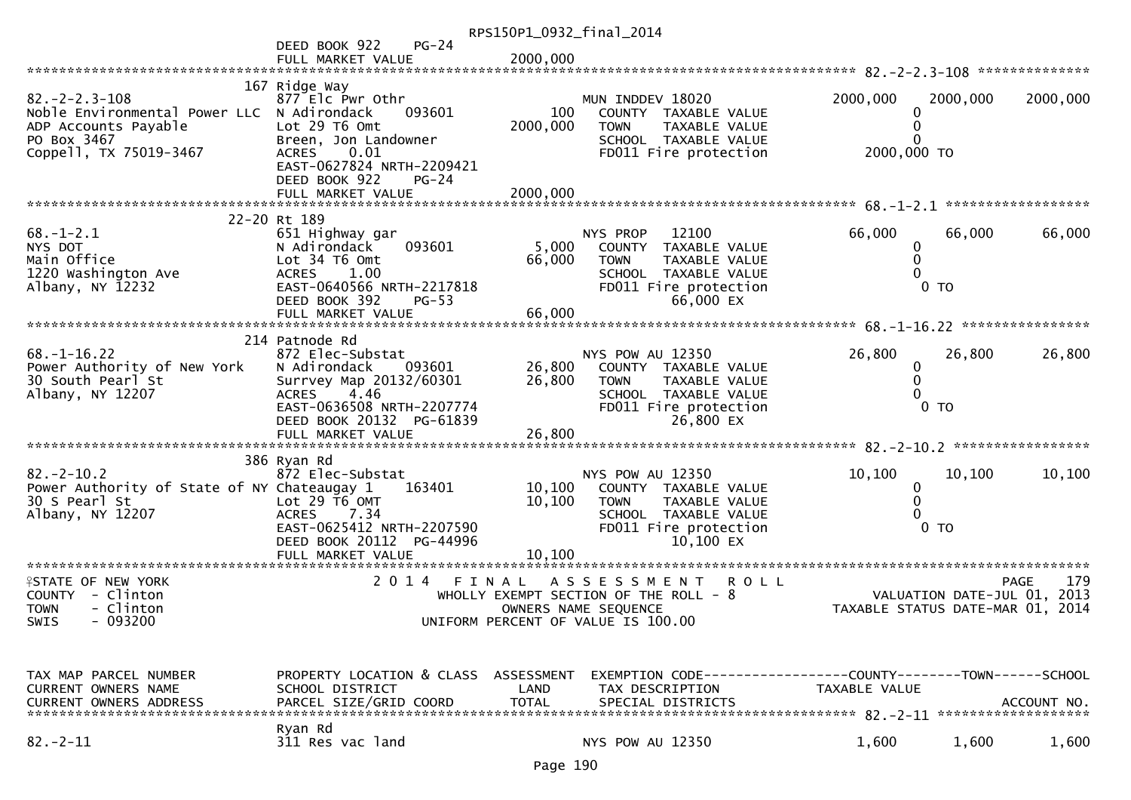|                                                                                                             |                                                                                                                                                                                               | RPS150P1_0932_final_2014    |                                                                                                                                            |                  |                                                            |                            |
|-------------------------------------------------------------------------------------------------------------|-----------------------------------------------------------------------------------------------------------------------------------------------------------------------------------------------|-----------------------------|--------------------------------------------------------------------------------------------------------------------------------------------|------------------|------------------------------------------------------------|----------------------------|
|                                                                                                             | DEED BOOK 922<br>$PG-24$                                                                                                                                                                      |                             |                                                                                                                                            |                  |                                                            |                            |
|                                                                                                             | FULL MARKET VALUE                                                                                                                                                                             | 2000,000                    |                                                                                                                                            |                  |                                                            |                            |
|                                                                                                             |                                                                                                                                                                                               |                             |                                                                                                                                            |                  |                                                            |                            |
| $82 - 2 - 2 - 3 - 108$<br>Noble Environmental Power LLC N Adirondack<br>ADP Accounts Payable<br>PO Box 3467 | 167 Ridge Way<br>877 Elc Pwr Othr<br>093601<br>Lot 29 T6 Omt<br>Breen, Jon Landowner                                                                                                          | 100<br>2000,000             | MUN INDDEV 18020<br>COUNTY TAXABLE VALUE<br><b>TAXABLE VALUE</b><br><b>TOWN</b><br>SCHOOL TAXABLE VALUE                                    | 2000,000         | 2000,000                                                   | 2000,000                   |
| Coppell, TX 75019-3467                                                                                      | 0.01<br><b>ACRES</b><br>EAST-0627824 NRTH-2209421<br>DEED BOOK 922<br>$PG-24$<br>FULL MARKET VALUE                                                                                            | 2000,000                    | FD011 Fire protection                                                                                                                      | 2000,000 TO      |                                                            |                            |
|                                                                                                             |                                                                                                                                                                                               |                             |                                                                                                                                            |                  |                                                            | ******************         |
|                                                                                                             | 22-20 Rt 189                                                                                                                                                                                  |                             |                                                                                                                                            |                  |                                                            |                            |
| $68. - 1 - 2.1$<br>NYS DOT<br>Main Office<br>1220 Washington Ave<br>Albany, NY 12232                        | 651 Highway gar<br>N Adirondack<br>093601<br>Lot 34 76 0mt<br>1.00<br><b>ACRES</b><br>EAST-0640566 NRTH-2217818<br>DEED BOOK 392<br>$PG-53$<br>FULL MARKET VALUE                              | 5,000<br>66,000<br>66,000   | NYS PROP<br>12100<br>COUNTY<br>TAXABLE VALUE<br><b>TOWN</b><br>TAXABLE VALUE<br>SCHOOL TAXABLE VALUE<br>FD011 Fire protection<br>66,000 EX | 66,000<br>0<br>0 | 66,000<br>0 <sub>T</sub>                                   | 66,000                     |
|                                                                                                             |                                                                                                                                                                                               |                             |                                                                                                                                            |                  |                                                            |                            |
| $68. - 1 - 16.22$<br>Power Authority of New York<br>30 South Pearl St<br>Albany, NY 12207                   | 214 Patnode Rd<br>872 Elec-Substat<br>N Adirondack<br>093601<br>Surrvey Map 20132/60301<br>4.46<br><b>ACRES</b><br>EAST-0636508 NRTH-2207774<br>DEED BOOK 20132 PG-61839<br>FULL MARKET VALUE | 26,800<br>26,800<br>26,800  | NYS POW AU 12350<br>COUNTY TAXABLE VALUE<br><b>TOWN</b><br>TAXABLE VALUE<br>SCHOOL TAXABLE VALUE<br>FD011 Fire protection<br>26,800 EX     | 26,800<br>0      | 26,800<br>0 <sub>T</sub>                                   | 26,800                     |
|                                                                                                             | ******************************                                                                                                                                                                |                             |                                                                                                                                            |                  |                                                            |                            |
| $82 - 2 - 10.2$<br>Power Authority of State of NY Chateaugay 1<br>30 S Pearl St<br>Albany, NY 12207         | 386 Ryan Rd<br>872 Elec-Substat<br>163401<br>Lot 29 T6 OMT<br>7.34<br><b>ACRES</b><br>EAST-0625412 NRTH-2207590<br>DEED BOOK 20112 PG-44996<br>FULL MARKET VALUE                              | 10,100<br>10,100<br>10,100  | NYS POW AU 12350<br>COUNTY TAXABLE VALUE<br><b>TOWN</b><br>TAXABLE VALUE<br>SCHOOL TAXABLE VALUE<br>FD011 Fire protection<br>10,100 EX     | 10,100<br>0      | 10,100<br>0 <sub>T</sub>                                   | 10,100                     |
| <b>ISTATE OF NEW YORK</b><br>COUNTY - Clinton<br>- Clinton<br><b>TOWN</b><br>$-093200$<br>SWIS              | 2 0 1 4                                                                                                                                                                                       | FINAL                       | <b>ROLL</b><br>A S S E S S M E N T<br>WHOLLY EXEMPT SECTION OF THE ROLL - 8<br>OWNERS NAME SEQUENCE<br>UNIFORM PERCENT OF VALUE IS 100.00  |                  | VALUATION DATE-JUL 01,<br>TAXABLE STATUS DATE-MAR 01, 2014 | 179<br><b>PAGE</b><br>2013 |
| TAX MAP PARCEL NUMBER<br>CURRENT OWNERS NAME<br><b>CURRENT OWNERS ADDRESS</b>                               | PROPERTY LOCATION & CLASS ASSESSMENT<br>SCHOOL DISTRICT<br>PARCEL SIZE/GRID COORD                                                                                                             | <b>LAND</b><br><b>TOTAL</b> | EXEMPTION CODE-----------------COUNTY-------TOWN------SCHOOL<br>TAX DESCRIPTION<br>SPECIAL DISTRICTS                                       | TAXABLE VALUE    |                                                            | ACCOUNT NO.                |
| $82 - 2 - 11$                                                                                               | Ryan Rd<br>311 Res vac land                                                                                                                                                                   |                             | NYS POW AU 12350                                                                                                                           | 1,600            | 1,600                                                      | 1,600                      |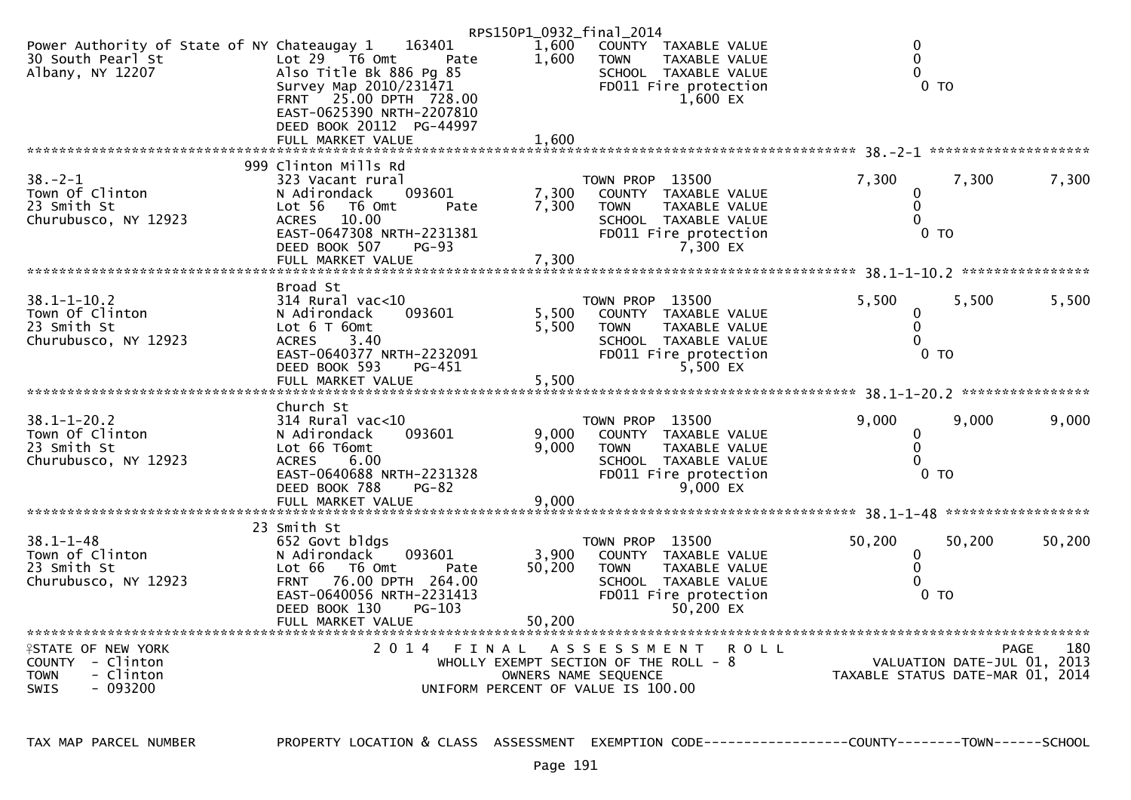|                                                                                                       |                                                                                                                                                                                                      | RPS150P1_0932_final_2014                                                                             |                                |                                                                                                           |                                  |                             |             |
|-------------------------------------------------------------------------------------------------------|------------------------------------------------------------------------------------------------------------------------------------------------------------------------------------------------------|------------------------------------------------------------------------------------------------------|--------------------------------|-----------------------------------------------------------------------------------------------------------|----------------------------------|-----------------------------|-------------|
| Power Authority of State of NY Chateaugay 1<br>30 South Pearl St<br>Albany, NY 12207                  | 163401<br>Lot $29$ $\overline{76}$ Omt<br>Pate<br>Also Title Bk 886 Pg 85<br>Survey Map 2010/231471<br>$25.00$ DPTH $728.00$<br><b>FRNT</b><br>EAST-0625390 NRTH-2207810<br>DEED BOOK 20112 PG-44997 | 1,600<br>1,600                                                                                       | <b>TOWN</b>                    | COUNTY TAXABLE VALUE<br><b>TAXABLE VALUE</b><br>SCHOOL TAXABLE VALUE<br>FD011 Fire protection<br>1,600 EX | $\mathbf{0}$<br>0<br>0           | $0$ TO                      |             |
|                                                                                                       | FULL MARKET VALUE                                                                                                                                                                                    | 1,600                                                                                                |                                |                                                                                                           |                                  |                             |             |
| $38. - 2 - 1$<br>Town Of Clinton<br>23 Smith St<br>Churubusco, NY 12923                               | 999 Clinton Mills Rd<br>323 Vacant rural<br>093601<br>N Adirondack<br>Lot 56<br>T6 Omt<br>Pate<br>10.00<br><b>ACRES</b>                                                                              | 7,300<br>7,300                                                                                       | TOWN PROP 13500<br><b>TOWN</b> | COUNTY TAXABLE VALUE<br>TAXABLE VALUE<br>SCHOOL TAXABLE VALUE                                             | 7,300<br>0<br>$\mathbf{0}$<br>0  | 7,300                       | 7,300       |
|                                                                                                       | EAST-0647308 NRTH-2231381<br>DEED BOOK 507<br>$PG-93$<br>FULL MARKET VALUE                                                                                                                           | 7,300                                                                                                |                                | FD011 Fire protection<br>7,300 EX                                                                         |                                  | $0$ TO                      |             |
|                                                                                                       | Broad St                                                                                                                                                                                             |                                                                                                      |                                |                                                                                                           |                                  |                             |             |
| $38.1 - 1 - 10.2$<br>Town Of Clinton<br>23 Smith St<br>Churubusco, NY 12923                           | $314$ Rural vac< $10$<br>N Adirondack<br>093601<br>Lot 6 T 60mt<br>3.40<br><b>ACRES</b><br>EAST-0640377 NRTH-2232091<br>DEED BOOK 593<br>PG-451                                                      | 5,500<br>5,500                                                                                       | TOWN PROP 13500<br><b>TOWN</b> | COUNTY TAXABLE VALUE<br>TAXABLE VALUE<br>SCHOOL TAXABLE VALUE<br>FD011 Fire protection<br>5,500 EX        | 5,500<br>0<br>0<br>0             | 5,500<br>$0$ TO             | 5,500       |
|                                                                                                       | FULL MARKET VALUE                                                                                                                                                                                    | 5,500                                                                                                |                                |                                                                                                           |                                  |                             |             |
| $38.1 - 1 - 20.2$<br>Town Of Clinton<br>23 Smith St<br>Churubusco, NY 12923                           | Church St<br>$314$ Rural vac<10<br>N Adirondack<br>093601<br>Lot 66 T6omt<br>6.00<br><b>ACRES</b><br>EAST-0640688 NRTH-2231328<br>DEED BOOK 788<br><b>PG-82</b><br>FULL MARKET VALUE                 | 9,000<br>9.000<br>9,000                                                                              | TOWN PROP 13500<br><b>TOWN</b> | COUNTY TAXABLE VALUE<br>TAXABLE VALUE<br>SCHOOL TAXABLE VALUE<br>FD011 Fire protection<br>9,000 EX        | 9,000<br>0<br>0<br>0             | 9,000<br>$0$ TO             | 9,000       |
|                                                                                                       |                                                                                                                                                                                                      |                                                                                                      |                                |                                                                                                           |                                  |                             |             |
| $38.1 - 1 - 48$<br>Town of Clinton<br>23 Smith St<br>Churubusco, NY 12923                             | 23 Smith St<br>652 Govt bldgs<br>N Adirondack<br>093601<br>Lot 66 T6 Omt<br>Pate<br>76.00 DPTH 264.00<br><b>FRNT</b><br>EAST-0640056 NRTH-2231413<br>PG-103<br>DEED BOOK 130                         | 3,900<br>50,200                                                                                      | TOWN PROP 13500<br><b>TOWN</b> | COUNTY TAXABLE VALUE<br>TAXABLE VALUE<br>SCHOOL TAXABLE VALUE<br>FD011 Fire protection<br>50.200 EX       | 50,200<br>0<br>$\mathbf 0$<br>0  | 50,200<br>$0$ TO            | 50,200      |
| **************************                                                                            |                                                                                                                                                                                                      |                                                                                                      |                                |                                                                                                           |                                  |                             |             |
| <b>ISTATE OF NEW YORK</b><br>COUNTY - Clinton<br>- Clinton<br><b>TOWN</b><br><b>SWIS</b><br>$-093200$ | 2014 FINAL                                                                                                                                                                                           | WHOLLY EXEMPT SECTION OF THE ROLL $-8$<br>OWNERS NAME SEQUENCE<br>UNIFORM PERCENT OF VALUE IS 100.00 | A S S E S S M E N T            | <b>ROLL</b>                                                                                               | TAXABLE STATUS DATE-MAR 01, 2014 | VALUATION DATE-JUL 01, 2013 | 180<br>PAGE |

TAX MAP PARCEL NUMBER PROPERTY LOCATION & CLASS ASSESSMENT EXEMPTION CODE------------------COUNTY--------TOWN------SCHOOL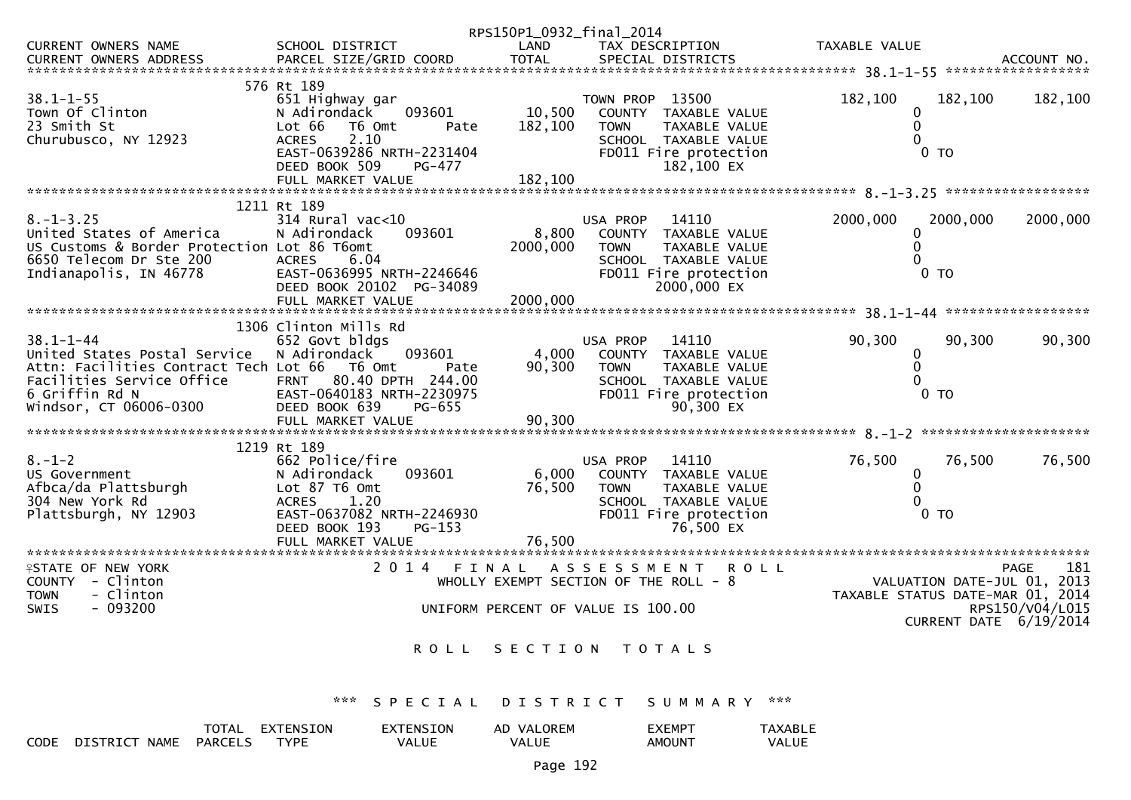|                                             |                                  | RPS150P1_0932_final_2014 |                                        |                                  |                        |
|---------------------------------------------|----------------------------------|--------------------------|----------------------------------------|----------------------------------|------------------------|
| <b>CURRENT OWNERS NAME</b>                  | SCHOOL DISTRICT                  | LAND                     | TAX DESCRIPTION                        | TAXABLE VALUE                    |                        |
| <b>CURRENT OWNERS ADDRESS</b>               | PARCEL SIZE/GRID COORD           | <b>TOTAL</b>             | SPECIAL DISTRICTS                      |                                  | ACCOUNT NO.            |
|                                             |                                  |                          |                                        |                                  |                        |
|                                             | 576 Rt 189                       |                          |                                        |                                  |                        |
| $38.1 - 1 - 55$                             | 651 Highway gar                  |                          | TOWN PROP 13500                        | 182,100<br>182,100               | 182,100                |
| Town Of Clinton                             | 093601<br>N Adirondack           | 10,500                   | COUNTY TAXABLE VALUE                   | 0                                |                        |
| 23 Smith St                                 | Lot 66<br>T6 Omt<br>Pate         | 182,100                  | <b>TOWN</b><br>TAXABLE VALUE           | $\mathbf{0}$                     |                        |
| Churubusco, NY 12923                        | 2.10<br><b>ACRES</b>             |                          | SCHOOL TAXABLE VALUE                   | 0                                |                        |
|                                             | EAST-0639286 NRTH-2231404        |                          | FD011 Fire protection                  | 0 TO                             |                        |
|                                             | DEED BOOK 509<br>PG-477          |                          | 182,100 EX                             |                                  |                        |
|                                             | FULL MARKET VALUE                | 182,100                  |                                        |                                  |                        |
|                                             |                                  |                          |                                        |                                  |                        |
|                                             | 1211 Rt 189                      |                          |                                        |                                  |                        |
| $8. - 1 - 3.25$                             | 314 Rural vac<10                 |                          | USA PROP<br>14110                      | 2000,000<br>2000,000             | 2000,000               |
| United States of America                    | 093601<br>N Adirondack           | 8,800                    | COUNTY TAXABLE VALUE                   | 0                                |                        |
| US Customs & Border Protection Lot 86 T6omt |                                  | 2000,000                 | TAXABLE VALUE<br><b>TOWN</b>           | 0                                |                        |
| 6650 Telecom Dr Ste 200                     | <b>ACRES</b><br>6.04             |                          | SCHOOL TAXABLE VALUE                   | 0                                |                        |
|                                             |                                  |                          |                                        | 0 TO                             |                        |
| Indianapolis, IN 46778                      | EAST-0636995 NRTH-2246646        |                          | FD011 Fire protection<br>2000,000 EX   |                                  |                        |
|                                             | DEED BOOK 20102 PG-34089         |                          |                                        |                                  |                        |
|                                             |                                  |                          |                                        |                                  |                        |
|                                             |                                  |                          |                                        |                                  |                        |
|                                             | 1306 Clinton Mills Rd            |                          |                                        |                                  |                        |
| $38.1 - 1 - 44$                             | 652 Govt bldgs                   |                          | 14110<br>USA PROP                      | 90,300<br>90,300                 | 90,300                 |
| United States Postal Service                | N Adirondack<br>093601           | 4,000                    | COUNTY<br>TAXABLE VALUE                | 0                                |                        |
| Attn: Facilities Contract Tech Lot 66       | T6 Omt<br>Pate                   | 90,300                   | TAXABLE VALUE<br><b>TOWN</b>           | $\Omega$                         |                        |
| Facilities Service Office                   | <b>FRNT</b><br>80.40 DPTH 244.00 |                          | SCHOOL TAXABLE VALUE                   | 0                                |                        |
| 6 Griffin Rd N                              | EAST-0640183 NRTH-2230975        |                          | FD011 Fire protection                  | 0 TO                             |                        |
| Windsor, CT 06006-0300                      | DEED BOOK 639<br>PG-655          |                          | 90.300 EX                              |                                  |                        |
|                                             |                                  |                          |                                        |                                  |                        |
|                                             |                                  |                          |                                        |                                  |                        |
|                                             | 1219 Rt 189                      |                          |                                        |                                  |                        |
| $8. - 1 - 2$                                | 662 Police/fire                  |                          | 14110<br>USA PROP                      | 76,500<br>76,500                 | 76,500                 |
| US Government                               | N Adirondack<br>093601           | 6,000                    | <b>COUNTY</b><br>TAXABLE VALUE         | 0                                |                        |
| Afbca/da Plattsburgh                        | Lot 87 T6 Omt                    | 76,500                   | <b>TAXABLE VALUE</b><br><b>TOWN</b>    | $\Omega$                         |                        |
| 304 New York Rd                             | <b>ACRES</b><br>1.20             |                          | SCHOOL TAXABLE VALUE                   | 0                                |                        |
| Plattsburgh, NY 12903                       | EAST-0637082 NRTH-2246930        |                          | FD011 Fire protection                  | 0 TO                             |                        |
|                                             | DEED BOOK 193<br>PG-153          |                          | 76.500 EX                              |                                  |                        |
|                                             | FULL MARKET VALUE                | 76.500                   |                                        |                                  |                        |
| **********************                      |                                  |                          |                                        |                                  |                        |
| <b>ISTATE OF NEW YORK</b>                   | 2 0 1 4                          | FINAL                    | ASSESSMENT<br><b>ROLL</b>              |                                  | 181<br><b>PAGE</b>     |
| COUNTY - Clinton                            |                                  |                          | WHOLLY EXEMPT SECTION OF THE ROLL $-8$ | VALUATION DATE-JUL 01, 2013      |                        |
| - Clinton<br><b>TOWN</b>                    |                                  |                          |                                        | TAXABLE STATUS DATE-MAR 01, 2014 |                        |
| - 093200<br><b>SWIS</b>                     |                                  |                          | UNIFORM PERCENT OF VALUE IS 100.00     |                                  | RPS150/V04/L015        |
|                                             |                                  |                          |                                        |                                  | CURRENT DATE 6/19/2014 |
|                                             |                                  |                          |                                        |                                  |                        |
|                                             | <b>ROLL</b>                      | SECTION                  | T O T A L S                            |                                  |                        |
|                                             |                                  |                          |                                        |                                  |                        |
|                                             |                                  |                          |                                        |                                  |                        |
|                                             |                                  |                          |                                        |                                  |                        |
|                                             | ***<br>S P<br>ECIAL              | DISTRICT                 | S U M M A R Y                          | ***                              |                        |
|                                             |                                  |                          |                                        |                                  |                        |

TOTAL EXTENSION<br>CODE DISTRICT\_NAME PARCELS TYPE EXTENSION<br>VALUE AD VALOREM<br>VALUE EXEMPT<br>AMOUNT TAXABLE<br>VALUE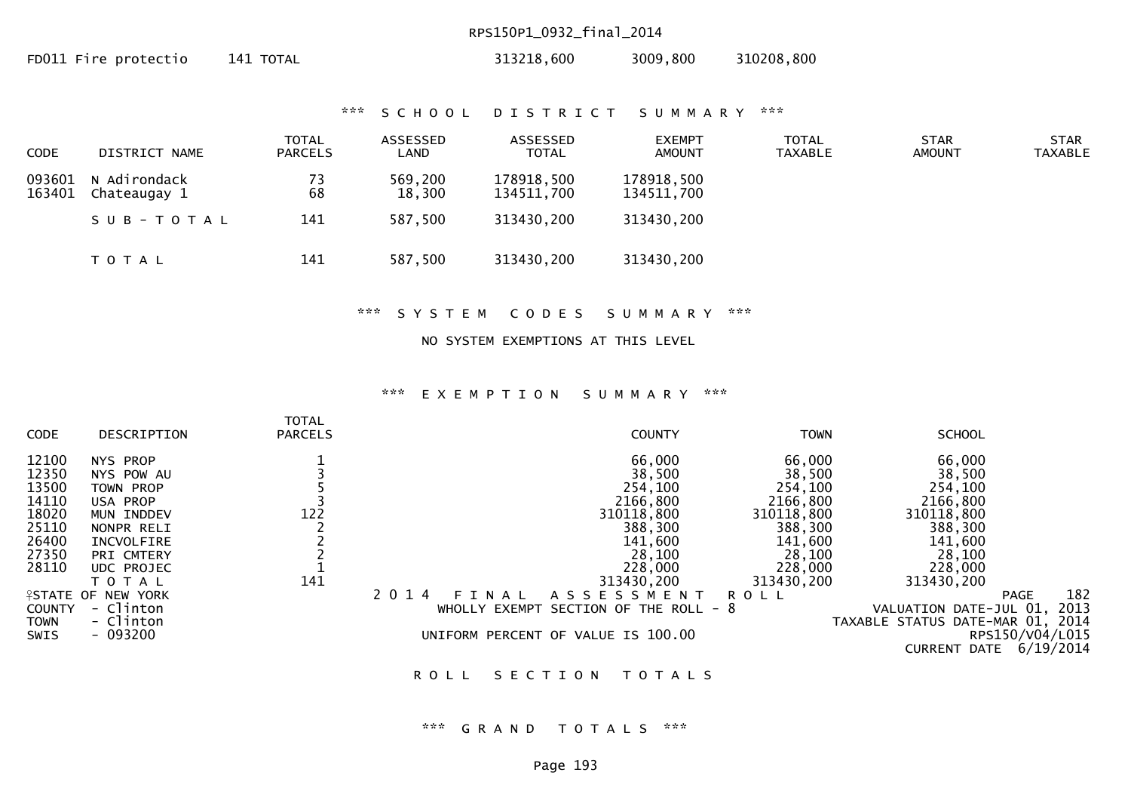## RPS150P1\_0932\_final\_2014

| FD011 Fire protectio<br>313218,600<br>141 TOTAL | 310208,800<br>3009,800 |
|-------------------------------------------------|------------------------|
|-------------------------------------------------|------------------------|

#### \*\*\* S C H O O L D I S T R I C T S U M M A R Y \*\*\*

| <b>CODE</b>      | DISTRICT NAME                | TOTAL<br><b>PARCELS</b> | ASSESSED<br>LAND  | ASSESSED<br>TOTAL        | <b>EXEMPT</b><br><b>AMOUNT</b> | <b>TOTAL</b><br><b>TAXABLE</b> | <b>STAR</b><br><b>AMOUNT</b> | <b>STAR</b><br><b>TAXABLE</b> |
|------------------|------------------------------|-------------------------|-------------------|--------------------------|--------------------------------|--------------------------------|------------------------------|-------------------------------|
| 093601<br>163401 | N Adirondack<br>Chateaugay 1 | 73<br>68                | 569,200<br>18,300 | 178918,500<br>134511,700 | 178918,500<br>134511,700       |                                |                              |                               |
|                  | SUB-TOTAL                    | 141                     | 587,500           | 313430,200               | 313430,200                     |                                |                              |                               |
|                  | T O T A L                    | 141                     | 587,500           | 313430,200               | 313430,200                     |                                |                              |                               |

\*\*\* S Y S T E M C O D E S S U M M A R Y \*\*\*

### NO SYSTEM EXEMPTIONS AT THIS LEVEL

#### \*\*\* E X E M P T I O N S U M M A R Y \*\*\*

|               |                           | <b>TOTAL</b>   |                  |                                    |             |                                  |                    |
|---------------|---------------------------|----------------|------------------|------------------------------------|-------------|----------------------------------|--------------------|
| CODE          | DESCRIPTION               | <b>PARCELS</b> |                  | <b>COUNTY</b>                      | <b>TOWN</b> | <b>SCHOOL</b>                    |                    |
| 12100         | <b>NYS PROP</b>           |                |                  | 66,000                             | 66,000      | 66,000                           |                    |
| 12350         | NYS POW AU                |                |                  | 38,500                             | 38,500      | 38,500                           |                    |
| 13500         | TOWN PROP                 |                |                  | 254,100                            | 254,100     | 254,100                          |                    |
| 14110         | USA PROP                  |                |                  | 2166,800                           | 2166,800    | 2166,800                         |                    |
| 18020         | MUN INDDEV                | 122            |                  | 310118,800                         | 310118,800  | 310118,800                       |                    |
| 25110         | NONPR RELI                |                |                  | 388,300                            | 388,300     | 388,300                          |                    |
| 26400         | INCVOLFIRE                |                |                  | 141,600                            | 141,600     | 141,600                          |                    |
| 27350         | PRI CMTERY                |                |                  | 28,100                             | 28,100      | 28,100                           |                    |
| 28110         | UDC PROJEC                |                |                  | 228,000                            | 228,000     | 228,000                          |                    |
|               | T O T A L                 | 141            |                  | 313430,200                         | 313430,200  | 313430,200                       |                    |
|               | <b>ISTATE OF NEW YORK</b> |                | 2 0 1 4<br>NAL   | ASSESSMENT                         | <b>ROLL</b> |                                  | 182<br><b>PAGE</b> |
| <b>COUNTY</b> | - Clinton                 |                | EXEMPT<br>WHOLLY | SECTION OF THE ROLL - 8            |             | VALUATION DATE-JUL 01,           | 2013               |
| <b>TOWN</b>   | - Clinton                 |                |                  |                                    |             | TAXABLE STATUS DATE-MAR 01, 2014 |                    |
| <b>SWIS</b>   | $-093200$                 |                |                  | UNIFORM PERCENT OF VALUE IS 100.00 |             |                                  | RPS150/V04/L015    |
|               |                           |                |                  |                                    |             | CURRENT DATE                     | 6/19/2014          |

ROLL SECTION TOTALS

### \*\*\* G R A N D T O T A L S \*\*\*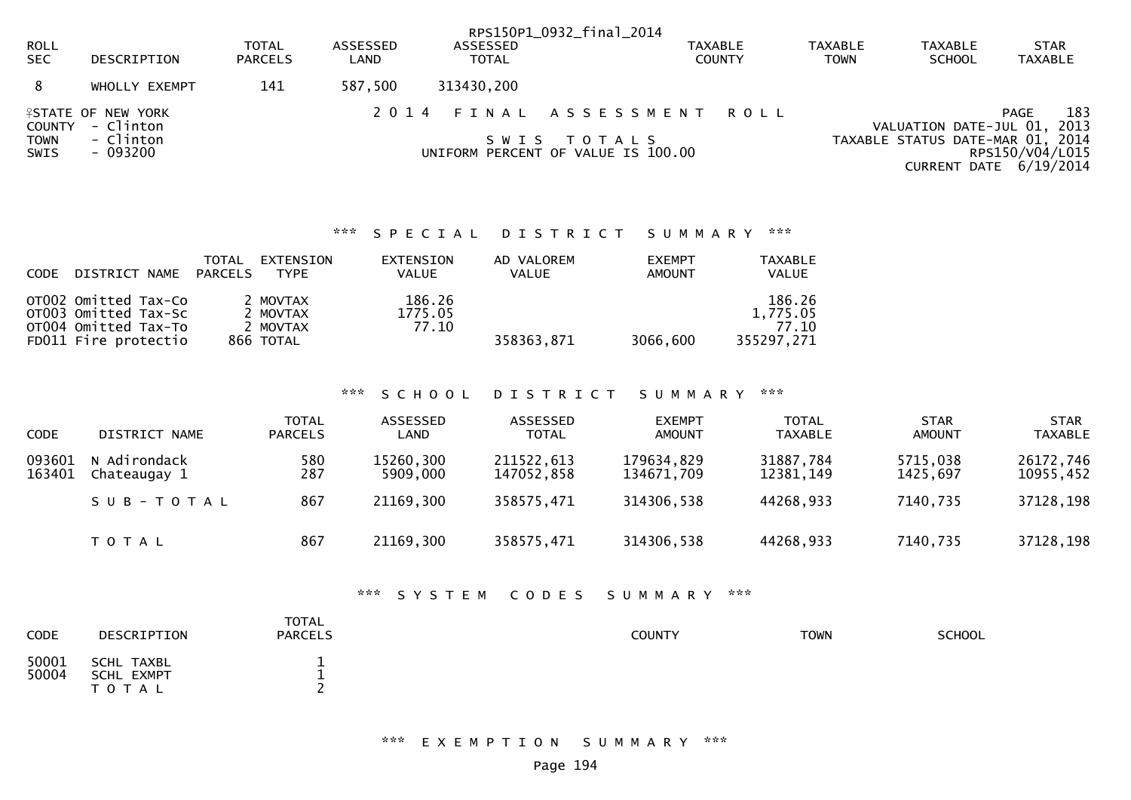|                     |                                               |                         |                  |                          | RPS150P1_0932_final_2014                          |                                 |                               |                                 |                                                                                 |
|---------------------|-----------------------------------------------|-------------------------|------------------|--------------------------|---------------------------------------------------|---------------------------------|-------------------------------|---------------------------------|---------------------------------------------------------------------------------|
| ROLL<br><b>SEC</b>  | DESCRIPTION                                   | TOTAL<br><b>PARCELS</b> | ASSESSED<br>LAND | ASSESSED<br><b>TOTAL</b> |                                                   | <b>TAXABLE</b><br><b>COUNTY</b> | <b>TAXABLE</b><br><b>TOWN</b> | <b>TAXABLE</b><br><b>SCHOOL</b> | <b>STAR</b><br>TAXABLE                                                          |
|                     | WHOLLY EXEMPT                                 | 141                     | 587,500          | 313430,200               |                                                   |                                 |                               |                                 |                                                                                 |
|                     | <b>ASTATE OF NEW YORK</b><br>COUNTY - Clinton |                         | 2014             |                          | FINAL ASSESSMENT ROLL                             |                                 |                               |                                 | 183<br>PAGE<br>VALUATION DATE-JUL 01, 2013                                      |
| <b>TOWN</b><br>SWIS | - Clinton<br>- 093200                         |                         |                  | S W I S                  | T O T A L S<br>UNIFORM PERCENT OF VALUE IS 100.00 |                                 |                               |                                 | TAXABLE STATUS DATE-MAR 01, 2014<br>RPS150/V04/L015<br>CURRENT DATE $6/19/2014$ |

## \*\*\* S P E C I A L D I S T R I C T S U M M A R Y \*\*\*

| <b>CODE</b> | DISTRICT NAME                                                                                | TOTAL<br>PARCELS | <b>EXTENSION</b><br><b>TYPE</b>               | EXTENSION<br><b>VALUE</b>  | AD VALOREM<br><b>VALUE</b> | <b>EXEMPT</b><br>AMOUNT | TAXABLE<br><b>VALUE</b>                   |
|-------------|----------------------------------------------------------------------------------------------|------------------|-----------------------------------------------|----------------------------|----------------------------|-------------------------|-------------------------------------------|
|             | OT002 Omitted Tax-Co<br>OT003 Omitted Tax-Sc<br>OT004 Omitted Tax-To<br>FD011 Fire protectio |                  | 2 MOVTAX<br>2 MOVTAX<br>2 MOVTAX<br>866 TOTAL | 186.26<br>1775.05<br>77.10 | 358363,871                 | 3066,600                | 186.26<br>1.775.05<br>77.10<br>355297,271 |

## \*\*\* S C H O O L D I S T R I C T S U M M A R Y \*\*\*

| <b>CODE</b>      | DISTRICT NAME                | <b>TOTAL</b><br><b>PARCELS</b> | ASSESSED<br>LAND      | ASSESSED<br><b>TOTAL</b> | <b>EXEMPT</b><br><b>AMOUNT</b> | <b>TOTAL</b><br><b>TAXABLE</b> | <b>STAR</b><br><b>AMOUNT</b> | <b>STAR</b><br><b>TAXABLE</b> |
|------------------|------------------------------|--------------------------------|-----------------------|--------------------------|--------------------------------|--------------------------------|------------------------------|-------------------------------|
| 093601<br>163401 | N Adirondack<br>Chateaugay 1 | 580<br>287                     | 15260,300<br>5909,000 | 211522,613<br>147052.858 | 179634,829<br>134671.709       | 31887,784<br>12381,149         | 5715,038<br>1425.697         | 26172,746<br>10955,452        |
|                  | SUB-TOTAL                    | 867                            | 21169,300             | 358575,471               | 314306,538                     | 44268,933                      | 7140,735                     | 37128,198                     |
|                  | T O T A L                    | 867                            | 21169,300             | 358575,471               | 314306,538                     | 44268,933                      | 7140,735                     | 37128,198                     |

### \*\*\* S Y S T E M C O D E S S U M M A R Y \*\*\*

| <b>CODE</b>    | DESCRIPTION                                     | <b>TOTAL</b><br><b>PARCELS</b> | <b>COUNTY</b> | <b>TOWN</b> | <b>SCHOOL</b> |
|----------------|-------------------------------------------------|--------------------------------|---------------|-------------|---------------|
| 50001<br>50004 | SCHL TAXBL<br><b>SCHL EXMPT</b><br>τ ο τ<br>A L | ∽                              |               |             |               |

\*\*\* E X E M P T I O N S U M M A R Y \*\*\*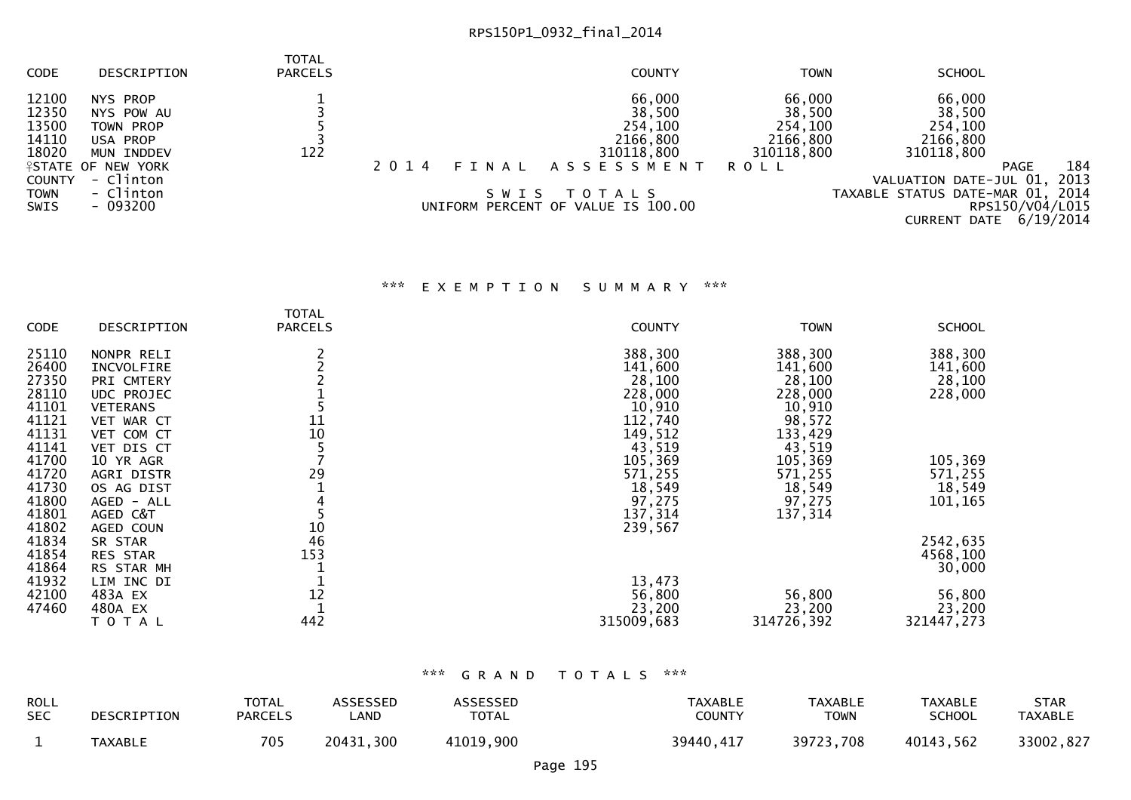# RPS150P1\_0932\_final\_2014

| <b>CODE</b>   | DESCRIPTION               | <b>TOTAL</b><br><b>PARCELS</b> |                  | <b>COUNTY</b>                      | <b>TOWN</b> | <b>SCHOOL</b>                    |                 |      |
|---------------|---------------------------|--------------------------------|------------------|------------------------------------|-------------|----------------------------------|-----------------|------|
| 12100         | NYS PROP                  |                                |                  | 66,000                             | 66,000      | 66,000                           |                 |      |
| 12350         | NYS POW AU                |                                |                  | 38,500                             | 38,500      | 38,500                           |                 |      |
| 13500         | TOWN PROP                 |                                |                  | 254,100                            | 254,100     | 254,100                          |                 |      |
| 14110         | USA PROP                  |                                |                  | 2166,800                           | 2166,800    | 2166,800                         |                 |      |
| 18020         | MUN INDDEV                | 122                            |                  | 310118,800                         | 310118,800  | 310118,800                       |                 |      |
|               | <b>ISTATE OF NEW YORK</b> |                                | 2 0 1 4<br>FINAL | A S S E S S M E N T                | R O L L     |                                  | <b>PAGE</b>     | 184  |
| <b>COUNTY</b> | - Clinton                 |                                |                  |                                    |             | VALUATION DATE-JUL 01,           |                 | 2013 |
| <b>TOWN</b>   | - Clinton                 |                                | SWIS             | T O T A L S                        |             | TAXABLE STATUS DATE-MAR 01, 2014 |                 |      |
| <b>SWIS</b>   | - 093200                  |                                |                  | UNIFORM PERCENT OF VALUE IS 100.00 |             |                                  | RPS150/V04/L015 |      |
|               |                           |                                |                  |                                    |             | <b>CURRENT DATE 6/19/2014</b>    |                 |      |

## \*\*\* E X E M P T I O N S U M M A R Y \*\*\*

|                |                    | <b>TOTAL</b>   |                  |                  |                  |
|----------------|--------------------|----------------|------------------|------------------|------------------|
| CODE           | DESCRIPTION        | <b>PARCELS</b> | <b>COUNTY</b>    | <b>TOWN</b>      | <b>SCHOOL</b>    |
| 25110          | NONPR RELI         |                | 388,300          | 388,300          | 388,300          |
| 26400          | INCVOLFIRE         |                | 141,600          | 141,600          | 141,600          |
| 27350          | PRI CMTERY         |                | 28,100           | 28,100           | 28,100           |
| 28110          | <b>UDC PROJEC</b>  |                | 228,000          | 228,000          | 228,000          |
| 41101          | <b>VETERANS</b>    |                | 10,910           | 10,910           |                  |
| 41121          | VET WAR CT         | 11             | 112,740          | 98,572           |                  |
| 41131          | VET COM CT         | 10             | 149,512          | 133,429          |                  |
| 41141          | VET DIS CT         |                | 43,519           | 43,519           |                  |
| 41700          | 10 YR AGR          |                | 105,369          | 105,369          | 105,369          |
| 41720          | <b>AGRI DISTR</b>  | 29             | 571,255          | 571,255          | 571,255          |
| 41730          | OS AG DIST         |                | 18,549           | 18,549           | 18,549           |
| 41800          | AGED - ALL         |                | 97,275           | 97,275           | 101,165          |
| 41801          | AGED C&T           |                | 137,314          | 137,314          |                  |
| 41802          | AGED COUN          | 10             | 239,567          |                  |                  |
| 41834          | SR STAR            | 46             |                  |                  | 2542,635         |
| 41854          | <b>RES STAR</b>    | 153            |                  |                  | 4568,100         |
| 41864          | RS STAR MH         |                |                  |                  | 30,000           |
| 41932<br>42100 | LIM INC DI         | 12             | 13,473           |                  |                  |
| 47460          | 483A EX<br>480A EX |                | 56,800<br>23,200 | 56,800<br>23,200 | 56,800<br>23,200 |
|                |                    | 442            | 315009,683       | 314726,392       |                  |
|                | T O T A L          |                |                  |                  | 321447,273       |

### \*\*\* G R A N D T O T A L S \*\*\*

| <b>ROLL</b> | DESCRIPTION    | <b>TOTAL</b>   | <b>ASSESSED</b> | <b>ASSESSED</b> | <b>TAXABLE</b> | <b>TAXABLE</b> | <b>TAXABLE</b> | STAR           |
|-------------|----------------|----------------|-----------------|-----------------|----------------|----------------|----------------|----------------|
| <b>SEC</b>  |                | <b>PARCELS</b> | _AND            | <b>TOTAL</b>    | <b>COUNTY</b>  | TOWN           | SCHOOL         | <b>TAXABLE</b> |
|             | <b>TAXABLE</b> | 705            | 20431,300       | 41019,900       | 39440,417      | 39723,708      | 40143,562      | 33002,827      |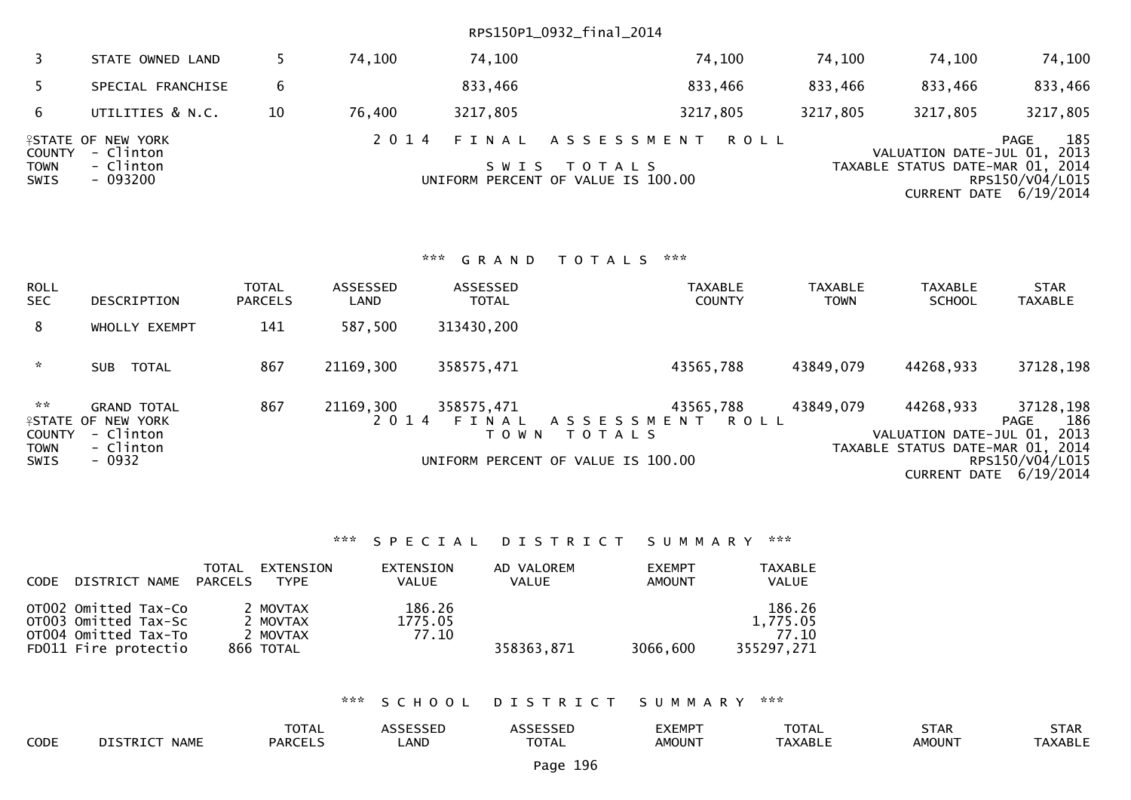## RPS150P1\_0932\_final\_2014

| 3                                    | STATE OWNED LAND                                                |    | 74,100 | 74,100   |                                                                       | 74,100   | 74.100   | 74,100                           | 74,100                                                                                  |
|--------------------------------------|-----------------------------------------------------------------|----|--------|----------|-----------------------------------------------------------------------|----------|----------|----------------------------------|-----------------------------------------------------------------------------------------|
|                                      | SPECIAL FRANCHISE                                               | 6  |        | 833,466  |                                                                       | 833,466  | 833,466  | 833,466                          | 833,466                                                                                 |
| 6                                    | UTILITIES & N.C.                                                | 10 | 76,400 | 3217,805 |                                                                       | 3217,805 | 3217,805 | 3217,805                         | 3217,805                                                                                |
| <b>COUNTY</b><br><b>TOWN</b><br>SWIS | <b>ISTATE OF NEW YORK</b><br>- Clinton<br>- Clinton<br>- 093200 |    | 2014   |          | FINAL ASSESSMENT<br>SWIS TOTALS<br>UNIFORM PERCENT OF VALUE IS 100.00 | R O L L  |          | TAXABLE STATUS DATE-MAR 01, 2014 | 185<br>PAGE<br>VALUATION DATE-JUL 01, 2013<br>RPS150/V04/L015<br>CURRENT DATE 6/19/2014 |

### \*\*\* G R A N D T O T A L S \*\*\*

| ROLL<br>SEC.                                                   | DESCRIPTION                                                                  | <b>TOTAL</b><br><b>PARCELS</b> | ASSESSED<br>LAND | ASSESSED<br><b>TOTAL</b> | <b>TAXABLE</b><br><b>COUNTY</b>                                                                 | <b>TAXABLE</b><br><b>TOWN</b> | <b>TAXABLE</b><br><b>SCHOOL</b>                                              | <b>STAR</b><br><b>TAXABLE</b>                                           |
|----------------------------------------------------------------|------------------------------------------------------------------------------|--------------------------------|------------------|--------------------------|-------------------------------------------------------------------------------------------------|-------------------------------|------------------------------------------------------------------------------|-------------------------------------------------------------------------|
| 8                                                              | WHOLLY EXEMPT                                                                | 141                            | 587,500          | 313430,200               |                                                                                                 |                               |                                                                              |                                                                         |
| $\mathcal{H}$                                                  | TOTAL<br>SUB.                                                                | 867                            | 21169,300        | 358575,471               | 43565,788                                                                                       | 43849,079                     | 44268,933                                                                    | 37128,198                                                               |
| $\sim$ $\times$<br><b>COUNTY</b><br><b>TOWN</b><br><b>SWIS</b> | <b>GRAND TOTAL</b><br>FSTATE OF NEW YORK<br>- Clinton<br>- Clinton<br>- 0932 | 867                            | 21169,300        | 358575,471<br>T O W N    | 43565,788<br>2014 FINAL ASSESSMENT<br>ROLL<br>T O T A L S<br>UNIFORM PERCENT OF VALUE IS 100.00 | 43849,079                     | 44268,933<br>VALUATION DATE-JUL 01, 2013<br>TAXABLE STATUS DATE-MAR 01, 2014 | 37128,198<br>186<br>PAGE<br>RPS150/V04/L015<br>CURRENT DATE $6/19/2014$ |

## \*\*\* S P E C I A L D I S T R I C T S U M M A R Y \*\*\*

| <b>CODE</b> | DISTRICT NAME                                                                                | TOTAL<br>PARCELS | EXTENSION<br><b>TYPE</b>                      | EXTENSION<br><b>VALUE</b>  | AD VALOREM<br><b>VALUE</b> | <b>EXEMPT</b><br>AMOUNT | <b>TAXABLE</b><br><b>VALUE</b>            |
|-------------|----------------------------------------------------------------------------------------------|------------------|-----------------------------------------------|----------------------------|----------------------------|-------------------------|-------------------------------------------|
|             | OTO02 Omitted Tax-Co<br>OT003 Omitted Tax-Sc<br>OT004 Omitted Tax-To<br>FD011 Fire protectio |                  | 2 MOVTAX<br>2 MOVTAX<br>2 MOVTAX<br>866 TOTAL | 186.26<br>1775.05<br>77.10 | 358363.871                 | 3066,600                | 186.26<br>1.775.05<br>77.10<br>355297,271 |

## \*\*\* S C H O O L D I S T R I C T S U M M A R Y \*\*\*

|      |                                | <b>TOTAL</b>           | $\sim$ $\sim$ $\sim$ $\sim$ $\sim$ $\sim$<br>ここつ ヒレ | $- - - - - -$<br>ココニレ | <b>EXEMPT</b> | $-2$<br>ıΔ<br>1 V I A L | STAR               | <b>STAR</b> |
|------|--------------------------------|------------------------|-----------------------------------------------------|-----------------------|---------------|-------------------------|--------------------|-------------|
| CODE | <b>DISTRICT</b><br><b>NAME</b> | <b>DADCE!</b><br>ANLEL | LAND                                                | <b>TOTAL</b>          | AMOUNT        | TAYADIF<br>"XABL_       | AMOUN <sup>-</sup> | TAXABLE     |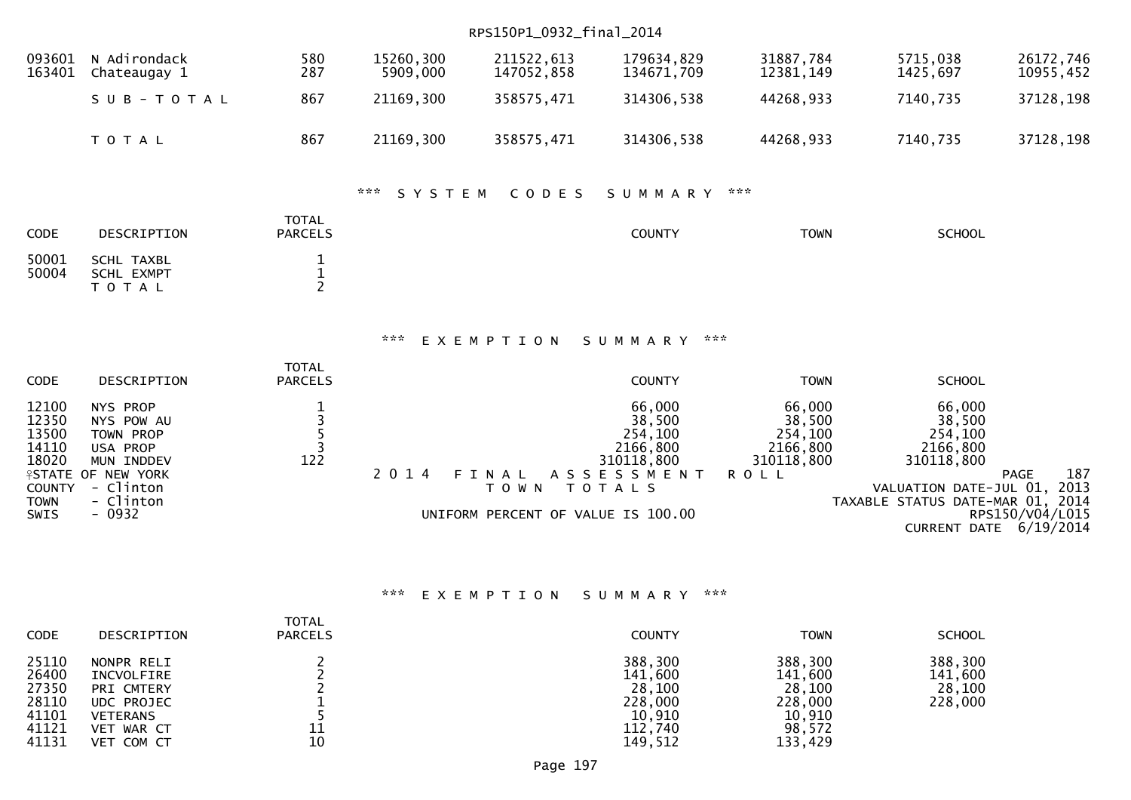|                                                                                   |                                                                                                                                 |                                                          |                       | RPS150P1_0932_final_2014                               |                                                                               |                                                                      |                                                                                                                |                                                                                 |  |  |
|-----------------------------------------------------------------------------------|---------------------------------------------------------------------------------------------------------------------------------|----------------------------------------------------------|-----------------------|--------------------------------------------------------|-------------------------------------------------------------------------------|----------------------------------------------------------------------|----------------------------------------------------------------------------------------------------------------|---------------------------------------------------------------------------------|--|--|
| 093601<br>163401                                                                  | N Adirondack<br>Chateaugay 1                                                                                                    | 580<br>287                                               | 15260,300<br>5909,000 | 211522,613<br>147052,858                               | 179634,829<br>134671,709                                                      | 31887,784<br>12381, 149                                              | 5715,038<br>1425,697                                                                                           | 26172,746<br>10955,452                                                          |  |  |
|                                                                                   | SUB-TOTAL                                                                                                                       | 867                                                      | 21169,300             | 358575,471                                             | 314306,538                                                                    | 44268,933                                                            | 7140,735                                                                                                       | 37128,198                                                                       |  |  |
|                                                                                   | T O T A L                                                                                                                       | 867                                                      | 21169,300             | 358575,471                                             | 314306,538                                                                    | 44268,933                                                            | 7140,735                                                                                                       | 37128,198                                                                       |  |  |
|                                                                                   |                                                                                                                                 |                                                          | ***<br>SYSTEM         | CODES                                                  | SUMMARY                                                                       | ***                                                                  |                                                                                                                |                                                                                 |  |  |
| CODE                                                                              | DESCRIPTION                                                                                                                     | <b>TOTAL</b><br><b>PARCELS</b>                           |                       |                                                        | <b>COUNTY</b>                                                                 | <b>TOWN</b>                                                          | <b>SCHOOL</b>                                                                                                  |                                                                                 |  |  |
| 50001<br>50004                                                                    | <b>SCHL TAXBL</b><br>SCHL EXMPT<br>TOTAL                                                                                        | $\mathbf{1}$<br>$\frac{1}{2}$                            |                       |                                                        |                                                                               |                                                                      |                                                                                                                |                                                                                 |  |  |
|                                                                                   | ***<br>$\pi \times \pi$<br>EXEMPTION<br>SUMMARY                                                                                 |                                                          |                       |                                                        |                                                                               |                                                                      |                                                                                                                |                                                                                 |  |  |
| CODE                                                                              | DESCRIPTION                                                                                                                     | <b>TOTAL</b><br><b>PARCELS</b>                           |                       |                                                        | <b>COUNTY</b>                                                                 | <b>TOWN</b>                                                          | <b>SCHOOL</b>                                                                                                  |                                                                                 |  |  |
| 12100<br>12350<br>13500<br>14110<br>18020<br><b>COUNTY</b><br><b>TOWN</b><br>SWIS | NYS PROP<br>NYS POW AU<br>TOWN PROP<br>USA PROP<br>MUN INDDEV<br><b>ISTATE OF NEW YORK</b><br>- Clinton<br>- Clinton<br>$-0932$ | $\begin{array}{c}\n1 \\ 3 \\ 5 \\ 3\n\end{array}$<br>122 | 2 0 1 4               | FINAL<br>T O W N<br>UNIFORM PERCENT OF VALUE IS 100.00 | 66,000<br>38,500<br>254,100<br>2166,800<br>310118,800<br>ASSESSMENT<br>TOTALS | 66,000<br>38,500<br>254,100<br>2166,800<br>310118,800<br><b>ROLL</b> | 66,000<br>38,500<br>254,100<br>2166,800<br>310118,800<br>VALUATION DATE-JUL 01,<br>TAXABLE STATUS DATE-MAR 01, | 187<br><b>PAGE</b><br>2013<br>2014<br>RPS150/V04/L015<br>CURRENT DATE 6/19/2014 |  |  |
|                                                                                   |                                                                                                                                 |                                                          | ***                   | EXEMPTION SUMMARY                                      | ***                                                                           |                                                                      |                                                                                                                |                                                                                 |  |  |

| AAA EXEMPILON SUMMARYAAA |  |  |  |  |  |  |  |  |
|--------------------------|--|--|--|--|--|--|--|--|
|                          |  |  |  |  |  |  |  |  |

| 388,300<br>388,300<br>25110<br>NONPR RELI<br>26400<br>141,600<br>141,600<br>INCVOLFIRE<br>27350<br>28,100<br>28,100<br>PRI CMTERY<br>28110<br>228,000<br>228,000<br>UDC PROJEC<br>41101<br>10,910<br>10,910<br>VETERANS<br>98,572<br>41121<br>112,740<br>11<br>VET WAR CT | <b>CODE</b> | <b>DESCRIPTION</b> | <b>TOTAL</b><br><b>PARCELS</b> | <b>COUNTY</b> | <b>TOWN</b> | <b>SCHOOL</b>                           |
|---------------------------------------------------------------------------------------------------------------------------------------------------------------------------------------------------------------------------------------------------------------------------|-------------|--------------------|--------------------------------|---------------|-------------|-----------------------------------------|
|                                                                                                                                                                                                                                                                           | 41131       | VET COM CT         | 10                             | 149,512       | 133,429     | 388,300<br>141,600<br>28,100<br>228,000 |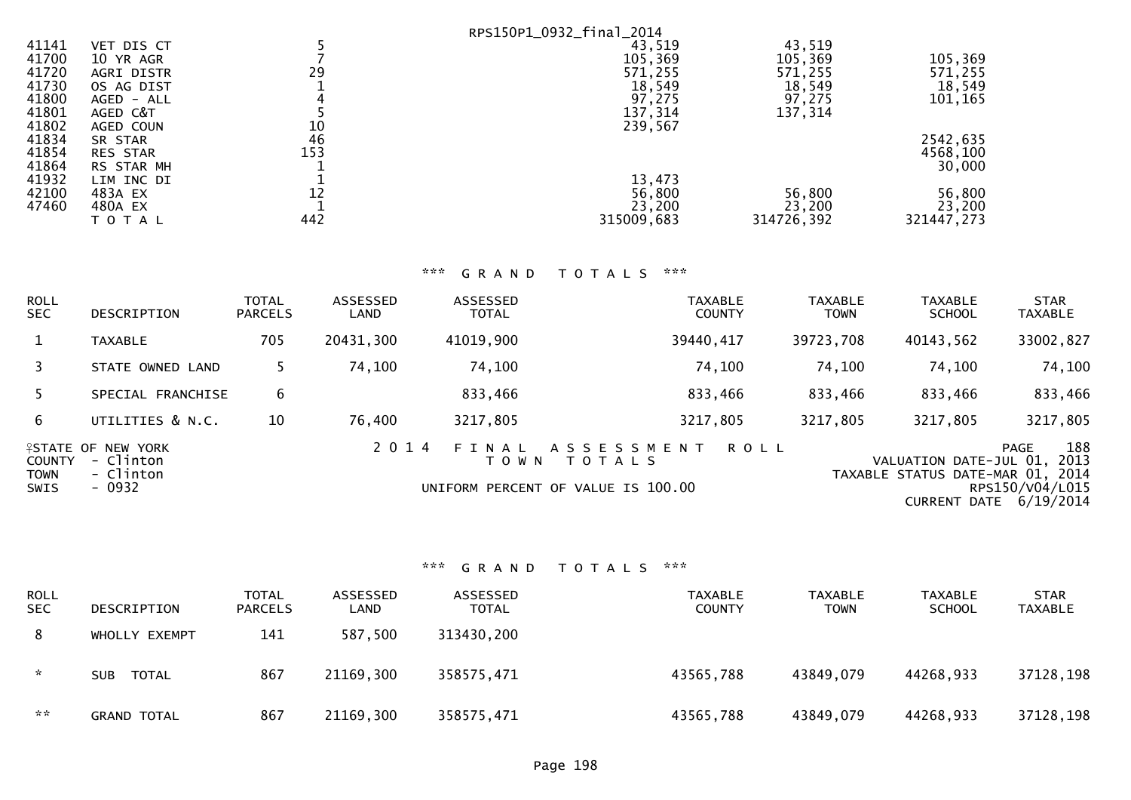|       |                 |     | RPS150P1_0932_final_2014 |            |            |
|-------|-----------------|-----|--------------------------|------------|------------|
| 41141 | VET DIS CT      |     | 43,519                   | 43,519     |            |
| 41700 | 10 YR AGR       |     | 105,369                  | 105,369    | 105,369    |
| 41720 | AGRI DISTR      | 29  | 571,255                  | 571,255    | 571,255    |
| 41730 | OS AG DIST      |     | 18,549                   | 18,549     | 18,549     |
| 41800 | AGED - ALL      |     | 97,275                   | 97,275     | 101,165    |
| 41801 | AGED C&T        |     | 137,314                  | 137,314    |            |
| 41802 | AGED COUN       | 10  | 239,567                  |            |            |
| 41834 | SR STAR         | 46  |                          |            | 2542,635   |
| 41854 | <b>RES STAR</b> | 153 |                          |            | 4568,100   |
| 41864 | RS STAR MH      |     |                          |            | 30,000     |
| 41932 | LIM INC DI      |     | 13,473                   |            |            |
| 42100 | 483A EX         | 12  | 56,800                   | 56,800     | 56,800     |
| 47460 | 480A EX         |     | 23,200                   | 23,200     | 23,200     |
|       | T O T A L       | 442 | 315009,683               | 314726,392 | 321447,273 |

## \*\*\* G R A N D T O T A L S \*\*\*

| <b>ROLL</b><br><b>SEC</b>                   | DESCRIPTION                                                   | <b>TOTAL</b><br><b>PARCELS</b> | ASSESSED<br>LAND | <b>ASSESSED</b><br><b>TOTAL</b> | <b>TAXABLE</b><br><b>COUNTY</b>                                   | <b>TAXABLE</b><br><b>TOWN</b> | <b>TAXABLE</b><br><b>SCHOOL</b>                                                   | <b>STAR</b><br><b>TAXABLE</b>                       |
|---------------------------------------------|---------------------------------------------------------------|--------------------------------|------------------|---------------------------------|-------------------------------------------------------------------|-------------------------------|-----------------------------------------------------------------------------------|-----------------------------------------------------|
|                                             | <b>TAXABLE</b>                                                | 705                            | 20431,300        | 41019,900                       | 39440,417                                                         | 39723,708                     | 40143,562                                                                         | 33002,827                                           |
|                                             | STATE OWNED LAND                                              |                                | 74,100           | 74,100                          | 74,100                                                            | 74,100                        | 74,100                                                                            | 74,100                                              |
| 5.                                          | SPECIAL FRANCHISE                                             | 6                              |                  | 833,466                         | 833,466                                                           | 833,466                       | 833,466                                                                           | 833,466                                             |
| 6                                           | UTILITIES & N.C.                                              | 10                             | 76,400           | 3217,805                        | 3217,805                                                          | 3217,805                      | 3217,805                                                                          | 3217,805                                            |
| <b>COUNTY</b><br><b>TOWN</b><br><b>SWIS</b> | <b>ASTATE OF NEW YORK</b><br>- Clinton<br>- Clinton<br>- 0932 |                                | 2 0 1 4          | FINAL<br>T O W N                | ASSESSMENT<br><b>TOTALS</b><br>UNIFORM PERCENT OF VALUE IS 100.00 | <b>ROLL</b>                   | VALUATION DATE-JUL 01,<br>TAXABLE STATUS DATE-MAR 01, 2014<br><b>CURRENT DATE</b> | 188<br>PAGE<br>2013<br>RPS150/V04/L015<br>6/19/2014 |

# \*\*\* G R A N D T O T A L S \*\*\*

| ROLL<br><b>SEC</b> | DESCRIPTION         | <b>TOTAL</b><br><b>PARCELS</b> | ASSESSED<br>LAND | ASSESSED<br><b>TOTAL</b> | TAXABLE<br><b>COUNTY</b> | <b>TAXABLE</b><br><b>TOWN</b> | <b>TAXABLE</b><br><b>SCHOOL</b> | <b>STAR</b><br><b>TAXABLE</b> |
|--------------------|---------------------|--------------------------------|------------------|--------------------------|--------------------------|-------------------------------|---------------------------------|-------------------------------|
| 8                  | WHOLLY EXEMPT       | 141                            | 587,500          | 313430,200               |                          |                               |                                 |                               |
| $\sim$             | TOTAL<br><b>SUB</b> | 867                            | 21169,300        | 358575,471               | 43565,788                | 43849,079                     | 44268,933                       | 37128,198                     |
| $\sim$ $\sim$      | <b>GRAND TOTAL</b>  | 867                            | 21169,300        | 358575,471               | 43565,788                | 43849,079                     | 44268,933                       | 37128,198                     |